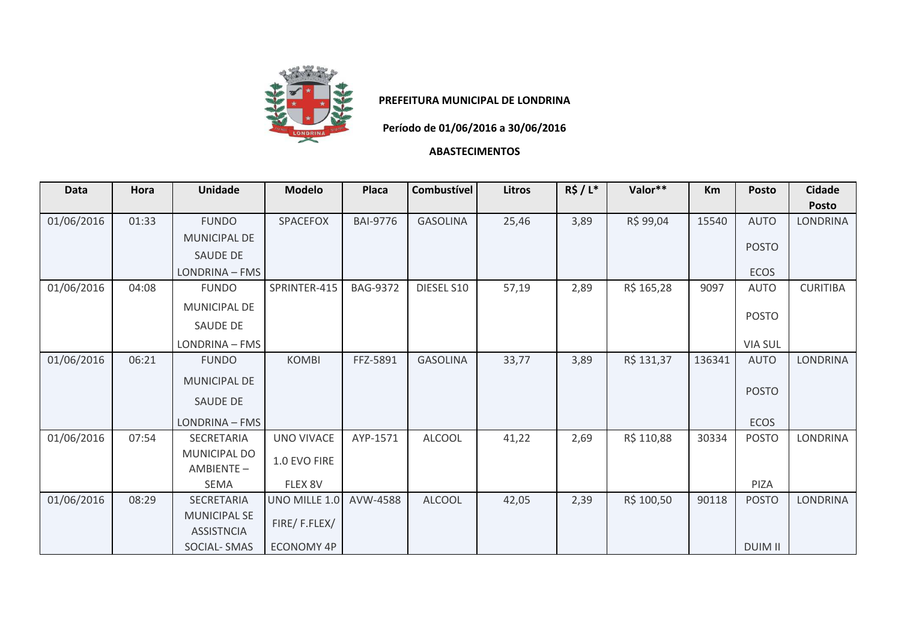

## **PREFEITURA MUNICIPAL DE LONDRINA**

**Período de 01/06/2016 a 30/06/2016**

## **ABASTECIMENTOS**

| <b>Data</b> | Hora  | <b>Unidade</b>      | <b>Modelo</b>     | Placa           | <b>Combustível</b> | <b>Litros</b> | $R\$ / L^* | Valor**    | <b>Km</b> | Posto          | <b>Cidade</b>   |
|-------------|-------|---------------------|-------------------|-----------------|--------------------|---------------|------------|------------|-----------|----------------|-----------------|
|             |       |                     |                   |                 |                    |               |            |            |           |                | <b>Posto</b>    |
| 01/06/2016  | 01:33 | <b>FUNDO</b>        | <b>SPACEFOX</b>   | <b>BAI-9776</b> | <b>GASOLINA</b>    | 25,46         | 3,89       | R\$ 99,04  | 15540     | <b>AUTO</b>    | <b>LONDRINA</b> |
|             |       | <b>MUNICIPAL DE</b> |                   |                 |                    |               |            |            |           |                |                 |
|             |       | <b>SAUDE DE</b>     |                   |                 |                    |               |            |            |           | <b>POSTO</b>   |                 |
|             |       | LONDRINA - FMS      |                   |                 |                    |               |            |            |           | ECOS           |                 |
| 01/06/2016  | 04:08 | <b>FUNDO</b>        | SPRINTER-415      | <b>BAG-9372</b> | DIESEL S10         | 57,19         | 2,89       | R\$ 165,28 | 9097      | <b>AUTO</b>    | <b>CURITIBA</b> |
|             |       | <b>MUNICIPAL DE</b> |                   |                 |                    |               |            |            |           |                |                 |
|             |       | SAUDE DE            |                   |                 |                    |               |            |            |           | <b>POSTO</b>   |                 |
|             |       | LONDRINA - FMS      |                   |                 |                    |               |            |            |           | <b>VIA SUL</b> |                 |
| 01/06/2016  | 06:21 | <b>FUNDO</b>        | <b>KOMBI</b>      | FFZ-5891        | <b>GASOLINA</b>    | 33,77         | 3,89       | R\$ 131,37 | 136341    | <b>AUTO</b>    | LONDRINA        |
|             |       | <b>MUNICIPAL DE</b> |                   |                 |                    |               |            |            |           |                |                 |
|             |       | <b>SAUDE DE</b>     |                   |                 |                    |               |            |            |           | <b>POSTO</b>   |                 |
|             |       |                     |                   |                 |                    |               |            |            |           |                |                 |
|             |       | LONDRINA - FMS      |                   |                 |                    |               |            |            |           | <b>ECOS</b>    |                 |
| 01/06/2016  | 07:54 | SECRETARIA          | UNO VIVACE        | AYP-1571        | <b>ALCOOL</b>      | 41,22         | 2,69       | R\$ 110,88 | 30334     | <b>POSTO</b>   | <b>LONDRINA</b> |
|             |       | <b>MUNICIPAL DO</b> | 1.0 EVO FIRE      |                 |                    |               |            |            |           |                |                 |
|             |       | AMBIENTE-           |                   |                 |                    |               |            |            |           |                |                 |
|             |       | <b>SEMA</b>         | FLEX 8V           |                 |                    |               |            |            |           | PIZA           |                 |
| 01/06/2016  | 08:29 | <b>SECRETARIA</b>   | UNO MILLE 1.0     | AVW-4588        | <b>ALCOOL</b>      | 42,05         | 2,39       | R\$ 100,50 | 90118     | <b>POSTO</b>   | LONDRINA        |
|             |       | <b>MUNICIPAL SE</b> |                   |                 |                    |               |            |            |           |                |                 |
|             |       | <b>ASSISTNCIA</b>   | FIRE/F.FLEX/      |                 |                    |               |            |            |           |                |                 |
|             |       | <b>SOCIAL-SMAS</b>  | <b>ECONOMY 4P</b> |                 |                    |               |            |            |           | <b>DUIM II</b> |                 |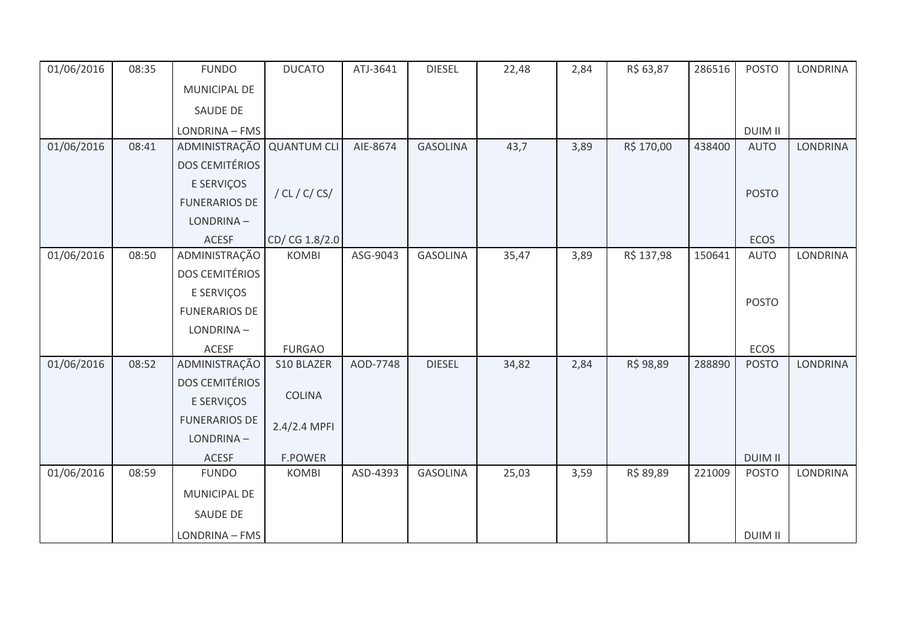| 01/06/2016 | 08:35 | <b>FUNDO</b>          | <b>DUCATO</b>      | ATJ-3641 | <b>DIESEL</b>   | 22,48 | 2,84 | R\$ 63,87  | 286516 | <b>POSTO</b>   | LONDRINA        |
|------------|-------|-----------------------|--------------------|----------|-----------------|-------|------|------------|--------|----------------|-----------------|
|            |       | MUNICIPAL DE          |                    |          |                 |       |      |            |        |                |                 |
|            |       | SAUDE DE              |                    |          |                 |       |      |            |        |                |                 |
|            |       | LONDRINA - FMS        |                    |          |                 |       |      |            |        | <b>DUIM II</b> |                 |
| 01/06/2016 | 08:41 | ADMINISTRAÇÃO         | <b>QUANTUM CLI</b> | AIE-8674 | <b>GASOLINA</b> | 43,7  | 3,89 | R\$ 170,00 | 438400 | <b>AUTO</b>    | LONDRINA        |
|            |       | <b>DOS CEMITÉRIOS</b> |                    |          |                 |       |      |            |        |                |                 |
|            |       | E SERVIÇOS            |                    |          |                 |       |      |            |        |                |                 |
|            |       | <b>FUNERARIOS DE</b>  | / CL / C/ CS/      |          |                 |       |      |            |        | <b>POSTO</b>   |                 |
|            |       | LONDRINA-             |                    |          |                 |       |      |            |        |                |                 |
|            |       | <b>ACESF</b>          | CD/ CG 1.8/2.0     |          |                 |       |      |            |        | <b>ECOS</b>    |                 |
| 01/06/2016 | 08:50 | ADMINISTRAÇÃO         | <b>KOMBI</b>       | ASG-9043 | <b>GASOLINA</b> | 35,47 | 3,89 | R\$ 137,98 | 150641 | <b>AUTO</b>    | LONDRINA        |
|            |       | <b>DOS CEMITÉRIOS</b> |                    |          |                 |       |      |            |        |                |                 |
|            |       | E SERVIÇOS            |                    |          |                 |       |      |            |        | <b>POSTO</b>   |                 |
|            |       | <b>FUNERARIOS DE</b>  |                    |          |                 |       |      |            |        |                |                 |
|            |       | LONDRINA-             |                    |          |                 |       |      |            |        |                |                 |
|            |       | ACESF                 | <b>FURGAO</b>      |          |                 |       |      |            |        | ECOS           |                 |
| 01/06/2016 | 08:52 | ADMINISTRAÇÃO         | S10 BLAZER         | AOD-7748 | <b>DIESEL</b>   | 34,82 | 2,84 | R\$ 98,89  | 288890 | <b>POSTO</b>   | <b>LONDRINA</b> |
|            |       | <b>DOS CEMITÉRIOS</b> |                    |          |                 |       |      |            |        |                |                 |
|            |       | E SERVIÇOS            | <b>COLINA</b>      |          |                 |       |      |            |        |                |                 |
|            |       | <b>FUNERARIOS DE</b>  | 2.4/2.4 MPFI       |          |                 |       |      |            |        |                |                 |
|            |       | LONDRINA-             |                    |          |                 |       |      |            |        |                |                 |
|            |       | <b>ACESF</b>          | <b>F.POWER</b>     |          |                 |       |      |            |        | <b>DUIM II</b> |                 |
| 01/06/2016 | 08:59 | <b>FUNDO</b>          | <b>KOMBI</b>       | ASD-4393 | <b>GASOLINA</b> | 25,03 | 3,59 | R\$ 89,89  | 221009 | <b>POSTO</b>   | LONDRINA        |
|            |       | MUNICIPAL DE          |                    |          |                 |       |      |            |        |                |                 |
|            |       | SAUDE DE              |                    |          |                 |       |      |            |        |                |                 |
|            |       | LONDRINA - FMS        |                    |          |                 |       |      |            |        | <b>DUIM II</b> |                 |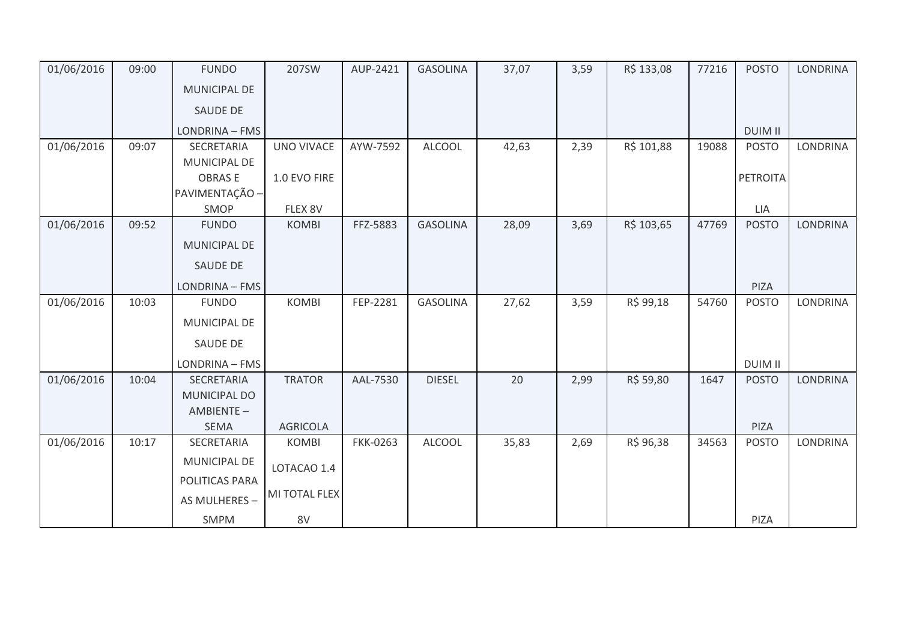| 01/06/2016 | 09:00 | <b>FUNDO</b>        | 207SW             | AUP-2421        | <b>GASOLINA</b> | 37,07 | 3,59 | R\$ 133,08 | 77216 | <b>POSTO</b>    | <b>LONDRINA</b> |
|------------|-------|---------------------|-------------------|-----------------|-----------------|-------|------|------------|-------|-----------------|-----------------|
|            |       | MUNICIPAL DE        |                   |                 |                 |       |      |            |       |                 |                 |
|            |       | <b>SAUDE DE</b>     |                   |                 |                 |       |      |            |       |                 |                 |
|            |       | LONDRINA - FMS      |                   |                 |                 |       |      |            |       | <b>DUIM II</b>  |                 |
| 01/06/2016 | 09:07 | SECRETARIA          | <b>UNO VIVACE</b> | AYW-7592        | <b>ALCOOL</b>   | 42,63 | 2,39 | R\$ 101,88 | 19088 | <b>POSTO</b>    | LONDRINA        |
|            |       | MUNICIPAL DE        |                   |                 |                 |       |      |            |       |                 |                 |
|            |       | <b>OBRASE</b>       | 1.0 EVO FIRE      |                 |                 |       |      |            |       | <b>PETROITA</b> |                 |
|            |       | PAVIMENTAÇÃO -      |                   |                 |                 |       |      |            |       |                 |                 |
|            |       | SMOP                | FLEX 8V           |                 |                 |       |      |            |       | LIA             |                 |
| 01/06/2016 | 09:52 | <b>FUNDO</b>        | <b>KOMBI</b>      | FFZ-5883        | <b>GASOLINA</b> | 28,09 | 3,69 | R\$ 103,65 | 47769 | <b>POSTO</b>    | <b>LONDRINA</b> |
|            |       | MUNICIPAL DE        |                   |                 |                 |       |      |            |       |                 |                 |
|            |       | SAUDE DE            |                   |                 |                 |       |      |            |       |                 |                 |
|            |       | LONDRINA - FMS      |                   |                 |                 |       |      |            |       | PIZA            |                 |
| 01/06/2016 | 10:03 | <b>FUNDO</b>        | <b>KOMBI</b>      | FEP-2281        | <b>GASOLINA</b> | 27,62 | 3,59 | R\$ 99,18  | 54760 | <b>POSTO</b>    | <b>LONDRINA</b> |
|            |       | MUNICIPAL DE        |                   |                 |                 |       |      |            |       |                 |                 |
|            |       | SAUDE DE            |                   |                 |                 |       |      |            |       |                 |                 |
|            |       | LONDRINA - FMS      |                   |                 |                 |       |      |            |       | <b>DUIM II</b>  |                 |
| 01/06/2016 | 10:04 | SECRETARIA          | <b>TRATOR</b>     | AAL-7530        | <b>DIESEL</b>   | 20    | 2,99 | R\$ 59,80  | 1647  | <b>POSTO</b>    | <b>LONDRINA</b> |
|            |       | <b>MUNICIPAL DO</b> |                   |                 |                 |       |      |            |       |                 |                 |
|            |       | AMBIENTE-           |                   |                 |                 |       |      |            |       |                 |                 |
|            |       | <b>SEMA</b>         | <b>AGRICOLA</b>   |                 |                 |       |      |            |       | PIZA            |                 |
| 01/06/2016 | 10:17 | SECRETARIA          | <b>KOMBI</b>      | <b>FKK-0263</b> | <b>ALCOOL</b>   | 35,83 | 2,69 | R\$ 96,38  | 34563 | <b>POSTO</b>    | LONDRINA        |
|            |       | <b>MUNICIPAL DE</b> | LOTACAO 1.4       |                 |                 |       |      |            |       |                 |                 |
|            |       | POLITICAS PARA      |                   |                 |                 |       |      |            |       |                 |                 |
|            |       | AS MULHERES -       | MI TOTAL FLEX     |                 |                 |       |      |            |       |                 |                 |
|            |       |                     |                   |                 |                 |       |      |            |       |                 |                 |
|            |       | SMPM                | 8V                |                 |                 |       |      |            |       | PIZA            |                 |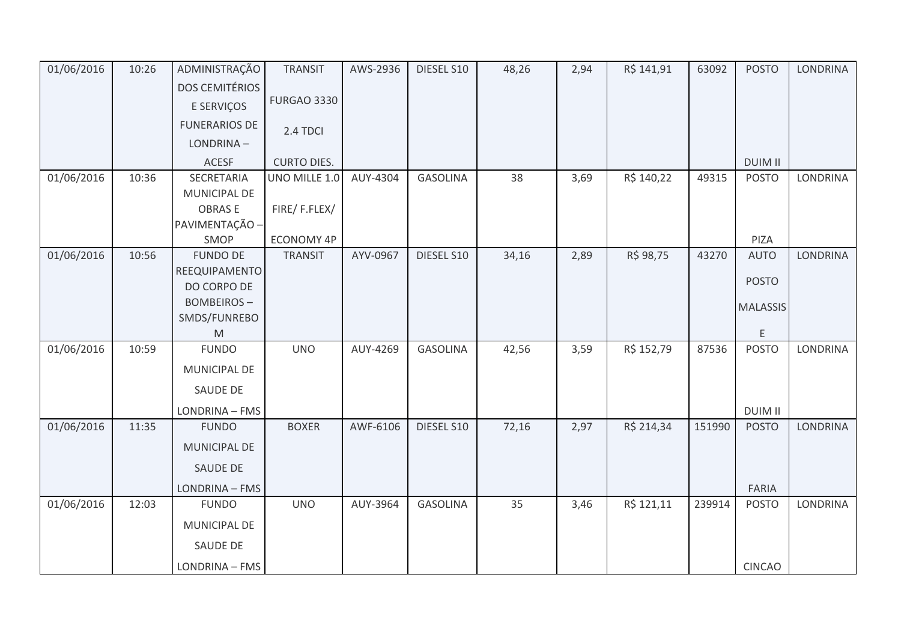| 01/06/2016 | 10:26 | ADMINISTRAÇÃO                    | <b>TRANSIT</b>     | AWS-2936 | DIESEL S10      | 48,26 | 2,94 | R\$ 141,91 | 63092  | <b>POSTO</b>    | <b>LONDRINA</b> |
|------------|-------|----------------------------------|--------------------|----------|-----------------|-------|------|------------|--------|-----------------|-----------------|
|            |       | <b>DOS CEMITÉRIOS</b>            |                    |          |                 |       |      |            |        |                 |                 |
|            |       | E SERVIÇOS                       | <b>FURGAO 3330</b> |          |                 |       |      |            |        |                 |                 |
|            |       | <b>FUNERARIOS DE</b>             | 2.4 TDCI           |          |                 |       |      |            |        |                 |                 |
|            |       | LONDRINA-                        |                    |          |                 |       |      |            |        |                 |                 |
|            |       | <b>ACESF</b>                     | <b>CURTO DIES.</b> |          |                 |       |      |            |        | <b>DUIM II</b>  |                 |
| 01/06/2016 | 10:36 | SECRETARIA                       | UNO MILLE 1.0      | AUY-4304 | <b>GASOLINA</b> | 38    | 3,69 | R\$ 140,22 | 49315  | <b>POSTO</b>    | <b>LONDRINA</b> |
|            |       | MUNICIPAL DE                     |                    |          |                 |       |      |            |        |                 |                 |
|            |       | <b>OBRASE</b>                    | FIRE/F.FLEX/       |          |                 |       |      |            |        |                 |                 |
|            |       | PAVIMENTAÇÃO -                   |                    |          |                 |       |      |            |        |                 |                 |
|            |       | SMOP                             | ECONOMY 4P         |          |                 |       |      |            |        | PIZA            |                 |
| 01/06/2016 | 10:56 | <b>FUNDO DE</b><br>REEQUIPAMENTO | <b>TRANSIT</b>     | AYV-0967 | DIESEL S10      | 34,16 | 2,89 | R\$ 98,75  | 43270  | <b>AUTO</b>     | LONDRINA        |
|            |       | DO CORPO DE                      |                    |          |                 |       |      |            |        | <b>POSTO</b>    |                 |
|            |       | <b>BOMBEIROS-</b>                |                    |          |                 |       |      |            |        |                 |                 |
|            |       | SMDS/FUNREBO                     |                    |          |                 |       |      |            |        | <b>MALASSIS</b> |                 |
|            |       | M                                |                    |          |                 |       |      |            |        | E.              |                 |
| 01/06/2016 | 10:59 | <b>FUNDO</b>                     | <b>UNO</b>         | AUY-4269 | <b>GASOLINA</b> | 42,56 | 3,59 | R\$ 152,79 | 87536  | <b>POSTO</b>    | LONDRINA        |
|            |       | MUNICIPAL DE                     |                    |          |                 |       |      |            |        |                 |                 |
|            |       | SAUDE DE                         |                    |          |                 |       |      |            |        |                 |                 |
|            |       | LONDRINA - FMS                   |                    |          |                 |       |      |            |        | <b>DUIM II</b>  |                 |
| 01/06/2016 | 11:35 | <b>FUNDO</b>                     | <b>BOXER</b>       | AWF-6106 | DIESEL S10      | 72,16 | 2,97 | R\$ 214,34 | 151990 | <b>POSTO</b>    | <b>LONDRINA</b> |
|            |       | MUNICIPAL DE                     |                    |          |                 |       |      |            |        |                 |                 |
|            |       | SAUDE DE                         |                    |          |                 |       |      |            |        |                 |                 |
|            |       | LONDRINA - FMS                   |                    |          |                 |       |      |            |        | FARIA           |                 |
| 01/06/2016 | 12:03 | <b>FUNDO</b>                     | <b>UNO</b>         | AUY-3964 | <b>GASOLINA</b> | 35    | 3,46 | R\$ 121,11 | 239914 | <b>POSTO</b>    | <b>LONDRINA</b> |
|            |       | MUNICIPAL DE                     |                    |          |                 |       |      |            |        |                 |                 |
|            |       | SAUDE DE                         |                    |          |                 |       |      |            |        |                 |                 |
|            |       | LONDRINA - FMS                   |                    |          |                 |       |      |            |        | <b>CINCAO</b>   |                 |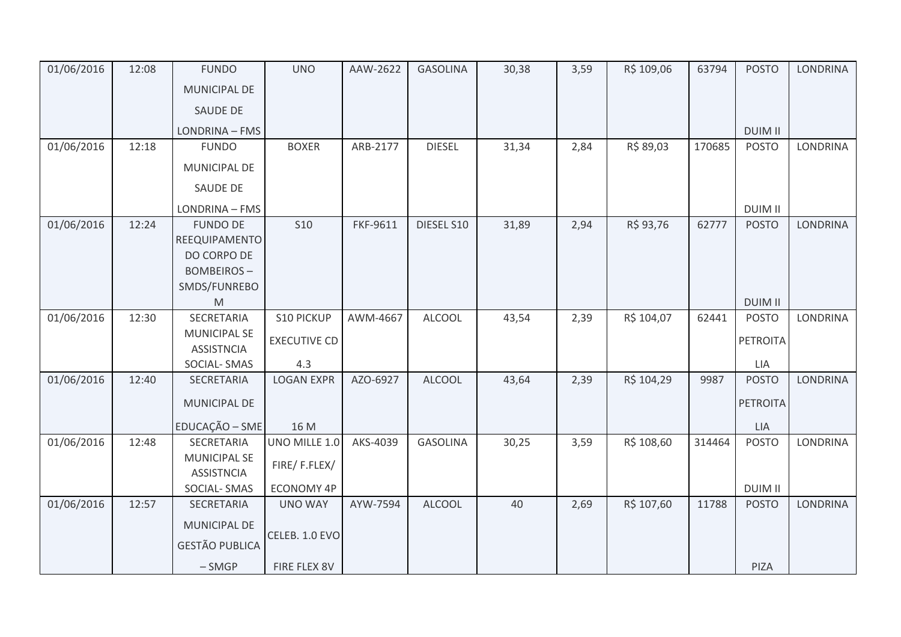| 01/06/2016 | 12:08 | <b>FUNDO</b>                             | <b>UNO</b>          | AAW-2622 | <b>GASOLINA</b> | 30,38 | 3,59 | R\$ 109,06 | 63794  | <b>POSTO</b>    | <b>LONDRINA</b> |
|------------|-------|------------------------------------------|---------------------|----------|-----------------|-------|------|------------|--------|-----------------|-----------------|
|            |       | <b>MUNICIPAL DE</b>                      |                     |          |                 |       |      |            |        |                 |                 |
|            |       | SAUDE DE                                 |                     |          |                 |       |      |            |        |                 |                 |
|            |       | LONDRINA - FMS                           |                     |          |                 |       |      |            |        | <b>DUIM II</b>  |                 |
| 01/06/2016 | 12:18 | <b>FUNDO</b>                             | <b>BOXER</b>        | ARB-2177 | <b>DIESEL</b>   | 31,34 | 2,84 | R\$ 89,03  | 170685 | <b>POSTO</b>    | <b>LONDRINA</b> |
|            |       | MUNICIPAL DE                             |                     |          |                 |       |      |            |        |                 |                 |
|            |       | SAUDE DE                                 |                     |          |                 |       |      |            |        |                 |                 |
|            |       | LONDRINA - FMS                           |                     |          |                 |       |      |            |        | <b>DUIM II</b>  |                 |
| 01/06/2016 | 12:24 | <b>FUNDO DE</b>                          | <b>S10</b>          | FKF-9611 | DIESEL S10      | 31,89 | 2,94 | R\$ 93,76  | 62777  | <b>POSTO</b>    | <b>LONDRINA</b> |
|            |       | REEQUIPAMENTO                            |                     |          |                 |       |      |            |        |                 |                 |
|            |       | DO CORPO DE                              |                     |          |                 |       |      |            |        |                 |                 |
|            |       | <b>BOMBEIROS-</b>                        |                     |          |                 |       |      |            |        |                 |                 |
|            |       | SMDS/FUNREBO                             |                     |          |                 |       |      |            |        |                 |                 |
|            |       | M                                        |                     |          |                 |       |      |            |        | <b>DUIM II</b>  |                 |
| 01/06/2016 | 12:30 | SECRETARIA                               | S10 PICKUP          | AWM-4667 | <b>ALCOOL</b>   | 43,54 | 2,39 | R\$ 104,07 | 62441  | <b>POSTO</b>    | LONDRINA        |
|            |       | <b>MUNICIPAL SE</b><br><b>ASSISTNCIA</b> | <b>EXECUTIVE CD</b> |          |                 |       |      |            |        | PETROITA        |                 |
|            |       | SOCIAL-SMAS                              | 4.3                 |          |                 |       |      |            |        | LIA             |                 |
| 01/06/2016 | 12:40 | SECRETARIA                               | <b>LOGAN EXPR</b>   | AZO-6927 | <b>ALCOOL</b>   | 43,64 | 2,39 | R\$ 104,29 | 9987   | <b>POSTO</b>    | <b>LONDRINA</b> |
|            |       |                                          |                     |          |                 |       |      |            |        |                 |                 |
|            |       | MUNICIPAL DE                             |                     |          |                 |       |      |            |        | <b>PETROITA</b> |                 |
|            |       | EDUCAÇÃO - SME                           | 16 M                |          |                 |       |      |            |        | LIA             |                 |
| 01/06/2016 | 12:48 | SECRETARIA                               | UNO MILLE 1.0       | AKS-4039 | <b>GASOLINA</b> | 30,25 | 3,59 | R\$ 108,60 | 314464 | <b>POSTO</b>    | LONDRINA        |
|            |       | <b>MUNICIPAL SE</b><br><b>ASSISTNCIA</b> | FIRE/F.FLEX/        |          |                 |       |      |            |        |                 |                 |
|            |       | SOCIAL-SMAS                              | <b>ECONOMY 4P</b>   |          |                 |       |      |            |        | <b>DUIM II</b>  |                 |
| 01/06/2016 | 12:57 | SECRETARIA                               | <b>UNO WAY</b>      | AYW-7594 | <b>ALCOOL</b>   | 40    | 2,69 | R\$ 107,60 | 11788  | <b>POSTO</b>    | <b>LONDRINA</b> |
|            |       | <b>MUNICIPAL DE</b>                      |                     |          |                 |       |      |            |        |                 |                 |
|            |       | <b>GESTÃO PUBLICA</b>                    | CELEB. 1.0 EVO      |          |                 |       |      |            |        |                 |                 |
|            |       |                                          |                     |          |                 |       |      |            |        |                 |                 |
|            |       | $-SMGP$                                  | FIRE FLEX 8V        |          |                 |       |      |            |        | PIZA            |                 |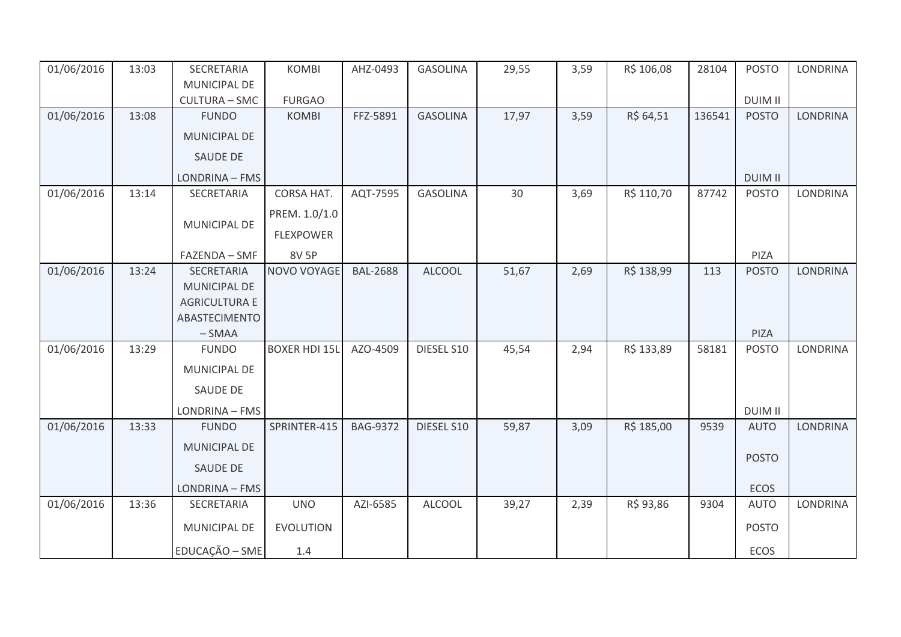| 01/06/2016 | 13:03 | SECRETARIA           | <b>KOMBI</b>         | AHZ-0493        | <b>GASOLINA</b> | 29,55 | 3,59 | R\$ 106,08 | 28104  | <b>POSTO</b>   | <b>LONDRINA</b> |
|------------|-------|----------------------|----------------------|-----------------|-----------------|-------|------|------------|--------|----------------|-----------------|
|            |       | MUNICIPAL DE         |                      |                 |                 |       |      |            |        |                |                 |
|            |       | <b>CULTURA - SMC</b> | <b>FURGAO</b>        |                 |                 |       |      |            |        | <b>DUIM II</b> |                 |
| 01/06/2016 | 13:08 | <b>FUNDO</b>         | <b>KOMBI</b>         | FFZ-5891        | <b>GASOLINA</b> | 17,97 | 3,59 | R\$ 64,51  | 136541 | <b>POSTO</b>   | <b>LONDRINA</b> |
|            |       | <b>MUNICIPAL DE</b>  |                      |                 |                 |       |      |            |        |                |                 |
|            |       | <b>SAUDE DE</b>      |                      |                 |                 |       |      |            |        |                |                 |
|            |       | LONDRINA - FMS       |                      |                 |                 |       |      |            |        | <b>DUIM II</b> |                 |
| 01/06/2016 | 13:14 | SECRETARIA           | CORSA HAT.           | AQT-7595        | <b>GASOLINA</b> | 30    | 3,69 | R\$ 110,70 | 87742  | <b>POSTO</b>   | <b>LONDRINA</b> |
|            |       |                      | PREM. 1.0/1.0        |                 |                 |       |      |            |        |                |                 |
|            |       | MUNICIPAL DE         | <b>FLEXPOWER</b>     |                 |                 |       |      |            |        |                |                 |
|            |       | FAZENDA - SMF        | 8V 5P                |                 |                 |       |      |            |        | PIZA           |                 |
| 01/06/2016 | 13:24 | SECRETARIA           | NOVO VOYAGE          | <b>BAL-2688</b> | <b>ALCOOL</b>   | 51,67 | 2,69 | R\$ 138,99 | 113    | <b>POSTO</b>   | <b>LONDRINA</b> |
|            |       | MUNICIPAL DE         |                      |                 |                 |       |      |            |        |                |                 |
|            |       | <b>AGRICULTURA E</b> |                      |                 |                 |       |      |            |        |                |                 |
|            |       | ABASTECIMENTO        |                      |                 |                 |       |      |            |        |                |                 |
|            |       | $-SMAA$              |                      |                 |                 |       |      |            |        | PIZA           |                 |
| 01/06/2016 | 13:29 | <b>FUNDO</b>         | <b>BOXER HDI 15L</b> | AZO-4509        | DIESEL S10      | 45,54 | 2,94 | R\$ 133,89 | 58181  | <b>POSTO</b>   | LONDRINA        |
|            |       | MUNICIPAL DE         |                      |                 |                 |       |      |            |        |                |                 |
|            |       | <b>SAUDE DE</b>      |                      |                 |                 |       |      |            |        |                |                 |
|            |       | LONDRINA - FMS       |                      |                 |                 |       |      |            |        | <b>DUIM II</b> |                 |
| 01/06/2016 | 13:33 | <b>FUNDO</b>         | SPRINTER-415         | <b>BAG-9372</b> | DIESEL S10      | 59,87 | 3,09 | R\$ 185,00 | 9539   | <b>AUTO</b>    | <b>LONDRINA</b> |
|            |       | MUNICIPAL DE         |                      |                 |                 |       |      |            |        |                |                 |
|            |       | <b>SAUDE DE</b>      |                      |                 |                 |       |      |            |        | <b>POSTO</b>   |                 |
|            |       | LONDRINA - FMS       |                      |                 |                 |       |      |            |        | <b>ECOS</b>    |                 |
| 01/06/2016 | 13:36 | SECRETARIA           | <b>UNO</b>           | AZI-6585        | <b>ALCOOL</b>   | 39,27 | 2,39 | R\$ 93,86  | 9304   | <b>AUTO</b>    | <b>LONDRINA</b> |
|            |       | MUNICIPAL DE         | <b>EVOLUTION</b>     |                 |                 |       |      |            |        | <b>POSTO</b>   |                 |
|            |       | EDUCAÇÃO - SME       | 1.4                  |                 |                 |       |      |            |        | ECOS           |                 |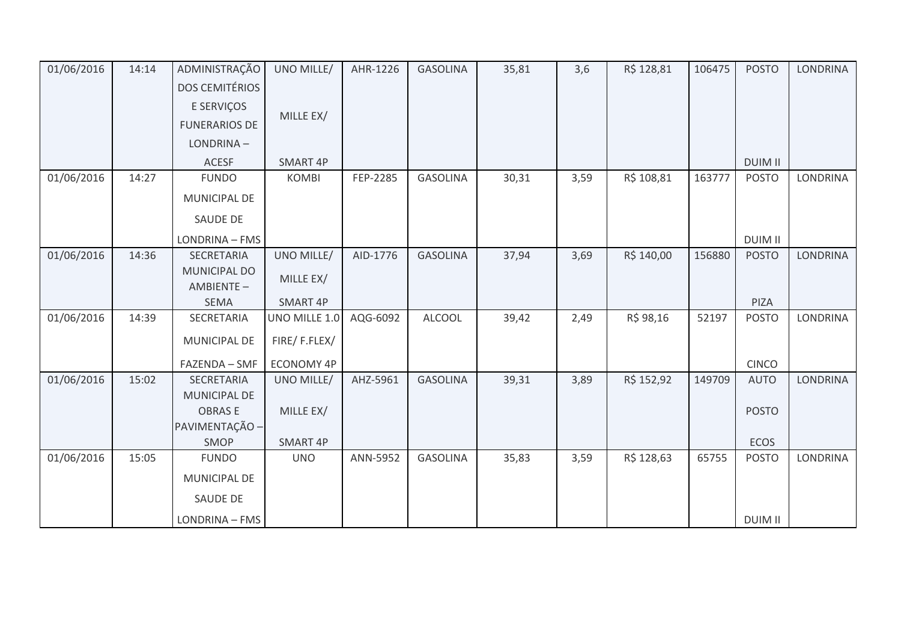| 01/06/2016 | 14:14 | ADMINISTRAÇÃO                    | UNO MILLE/        | AHR-1226 | <b>GASOLINA</b> | 35,81 | 3,6  | R\$ 128,81 | 106475 | <b>POSTO</b>   | LONDRINA        |
|------------|-------|----------------------------------|-------------------|----------|-----------------|-------|------|------------|--------|----------------|-----------------|
|            |       | <b>DOS CEMITÉRIOS</b>            |                   |          |                 |       |      |            |        |                |                 |
|            |       | E SERVIÇOS                       |                   |          |                 |       |      |            |        |                |                 |
|            |       | <b>FUNERARIOS DE</b>             | MILLE EX/         |          |                 |       |      |            |        |                |                 |
|            |       | LONDRINA-                        |                   |          |                 |       |      |            |        |                |                 |
|            |       | <b>ACESF</b>                     | SMART 4P          |          |                 |       |      |            |        | <b>DUIM II</b> |                 |
| 01/06/2016 | 14:27 | <b>FUNDO</b>                     | <b>KOMBI</b>      | FEP-2285 | <b>GASOLINA</b> | 30,31 | 3,59 | R\$ 108,81 | 163777 | <b>POSTO</b>   | <b>LONDRINA</b> |
|            |       | MUNICIPAL DE                     |                   |          |                 |       |      |            |        |                |                 |
|            |       | <b>SAUDE DE</b>                  |                   |          |                 |       |      |            |        |                |                 |
|            |       | LONDRINA - FMS                   |                   |          |                 |       |      |            |        | <b>DUIM II</b> |                 |
| 01/06/2016 | 14:36 | <b>SECRETARIA</b>                | UNO MILLE/        | AID-1776 | <b>GASOLINA</b> | 37,94 | 3,69 | R\$ 140,00 | 156880 | <b>POSTO</b>   | <b>LONDRINA</b> |
|            |       | <b>MUNICIPAL DO</b><br>AMBIENTE- | MILLE EX/         |          |                 |       |      |            |        |                |                 |
|            |       | SEMA                             | <b>SMART 4P</b>   |          |                 |       |      |            |        | PIZA           |                 |
| 01/06/2016 | 14:39 | SECRETARIA                       | UNO MILLE 1.0     | AQG-6092 | <b>ALCOOL</b>   | 39,42 | 2,49 | R\$ 98,16  | 52197  | <b>POSTO</b>   | LONDRINA        |
|            |       | <b>MUNICIPAL DE</b>              | FIRE/F.FLEX/      |          |                 |       |      |            |        |                |                 |
|            |       | FAZENDA - SMF                    | <b>ECONOMY 4P</b> |          |                 |       |      |            |        | <b>CINCO</b>   |                 |
| 01/06/2016 | 15:02 | SECRETARIA                       | UNO MILLE/        | AHZ-5961 | <b>GASOLINA</b> | 39,31 | 3,89 | R\$ 152,92 | 149709 | <b>AUTO</b>    | <b>LONDRINA</b> |
|            |       | MUNICIPAL DE                     |                   |          |                 |       |      |            |        |                |                 |
|            |       | <b>OBRASE</b>                    | MILLE EX/         |          |                 |       |      |            |        | <b>POSTO</b>   |                 |
|            |       | PAVIMENTAÇÃO -<br>SMOP           | SMART 4P          |          |                 |       |      |            |        | ECOS           |                 |
| 01/06/2016 | 15:05 | <b>FUNDO</b>                     | <b>UNO</b>        | ANN-5952 | <b>GASOLINA</b> | 35,83 | 3,59 | R\$ 128,63 | 65755  | <b>POSTO</b>   | LONDRINA        |
|            |       |                                  |                   |          |                 |       |      |            |        |                |                 |
|            |       | MUNICIPAL DE                     |                   |          |                 |       |      |            |        |                |                 |
|            |       | <b>SAUDE DE</b>                  |                   |          |                 |       |      |            |        |                |                 |
|            |       | LONDRINA - FMS                   |                   |          |                 |       |      |            |        | <b>DUIM II</b> |                 |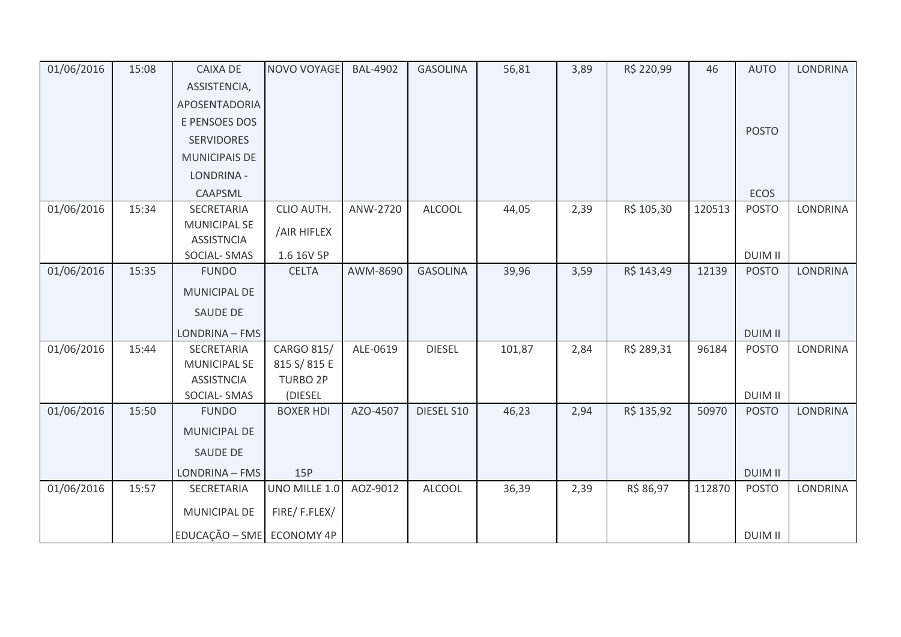| 01/06/2016 | 15:08 | <b>CAIXA DE</b>           | NOVO VOYAGE      | <b>BAL-4902</b> | <b>GASOLINA</b> | 56,81  | 3,89 | R\$ 220,99 | 46     | <b>AUTO</b>    | <b>LONDRINA</b> |
|------------|-------|---------------------------|------------------|-----------------|-----------------|--------|------|------------|--------|----------------|-----------------|
|            |       | ASSISTENCIA,              |                  |                 |                 |        |      |            |        |                |                 |
|            |       | APOSENTADORIA             |                  |                 |                 |        |      |            |        |                |                 |
|            |       | E PENSOES DOS             |                  |                 |                 |        |      |            |        |                |                 |
|            |       | <b>SERVIDORES</b>         |                  |                 |                 |        |      |            |        | <b>POSTO</b>   |                 |
|            |       | <b>MUNICIPAIS DE</b>      |                  |                 |                 |        |      |            |        |                |                 |
|            |       | LONDRINA -                |                  |                 |                 |        |      |            |        |                |                 |
|            |       | CAAPSML                   |                  |                 |                 |        |      |            |        | <b>ECOS</b>    |                 |
| 01/06/2016 | 15:34 | SECRETARIA                | CLIO AUTH.       | ANW-2720        | <b>ALCOOL</b>   | 44,05  | 2,39 | R\$ 105,30 | 120513 | <b>POSTO</b>   | <b>LONDRINA</b> |
|            |       | <b>MUNICIPAL SE</b>       | /AIR HIFLEX      |                 |                 |        |      |            |        |                |                 |
|            |       | <b>ASSISTNCIA</b>         |                  |                 |                 |        |      |            |        |                |                 |
|            |       | SOCIAL-SMAS               | 1.6 16V 5P       |                 |                 |        |      |            |        | <b>DUIM II</b> |                 |
| 01/06/2016 | 15:35 | <b>FUNDO</b>              | <b>CELTA</b>     | AWM-8690        | <b>GASOLINA</b> | 39,96  | 3,59 | R\$ 143,49 | 12139  | <b>POSTO</b>   | <b>LONDRINA</b> |
|            |       | MUNICIPAL DE              |                  |                 |                 |        |      |            |        |                |                 |
|            |       | <b>SAUDE DE</b>           |                  |                 |                 |        |      |            |        |                |                 |
|            |       | LONDRINA - FMS            |                  |                 |                 |        |      |            |        | <b>DUIM II</b> |                 |
| 01/06/2016 | 15:44 | SECRETARIA                | CARGO 815/       | ALE-0619        | <b>DIESEL</b>   | 101,87 | 2,84 | R\$ 289,31 | 96184  | <b>POSTO</b>   | LONDRINA        |
|            |       | <b>MUNICIPAL SE</b>       | 815 S/815 E      |                 |                 |        |      |            |        |                |                 |
|            |       | <b>ASSISTNCIA</b>         | <b>TURBO 2P</b>  |                 |                 |        |      |            |        |                |                 |
|            |       | SOCIAL-SMAS               | (DIESEL          |                 |                 |        |      |            |        | <b>DUIM II</b> |                 |
| 01/06/2016 | 15:50 | <b>FUNDO</b>              | <b>BOXER HDI</b> | AZO-4507        | DIESEL S10      | 46,23  | 2,94 | R\$ 135,92 | 50970  | <b>POSTO</b>   | <b>LONDRINA</b> |
|            |       | <b>MUNICIPAL DE</b>       |                  |                 |                 |        |      |            |        |                |                 |
|            |       | <b>SAUDE DE</b>           |                  |                 |                 |        |      |            |        |                |                 |
|            |       | LONDRINA - FMS            | 15P              |                 |                 |        |      |            |        | <b>DUIM II</b> |                 |
| 01/06/2016 | 15:57 | SECRETARIA                | UNO MILLE 1.0    | AOZ-9012        | <b>ALCOOL</b>   | 36,39  | 2,39 | R\$ 86,97  | 112870 | <b>POSTO</b>   | <b>LONDRINA</b> |
|            |       | MUNICIPAL DE              | FIRE/F.FLEX/     |                 |                 |        |      |            |        |                |                 |
|            |       | EDUCAÇÃO - SME ECONOMY 4P |                  |                 |                 |        |      |            |        | <b>DUIM II</b> |                 |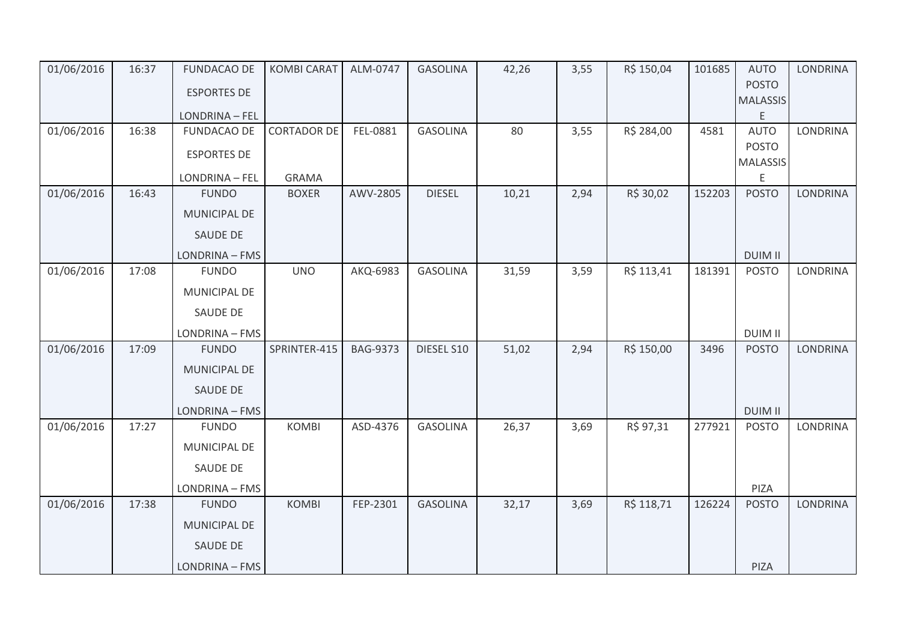| 01/06/2016 | 16:37 | <b>FUNDACAO DE</b> | <b>KOMBI CARAT</b> | ALM-0747        | <b>GASOLINA</b> | 42,26 | 3,55 | R\$ 150,04 | 101685 | <b>AUTO</b>          | <b>LONDRINA</b> |
|------------|-------|--------------------|--------------------|-----------------|-----------------|-------|------|------------|--------|----------------------|-----------------|
|            |       | <b>ESPORTES DE</b> |                    |                 |                 |       |      |            |        | <b>POSTO</b>         |                 |
|            |       | LONDRINA - FEL     |                    |                 |                 |       |      |            |        | <b>MALASSIS</b><br>E |                 |
| 01/06/2016 | 16:38 | <b>FUNDACAO DE</b> | <b>CORTADOR DE</b> | FEL-0881        | <b>GASOLINA</b> | 80    | 3,55 | R\$ 284,00 | 4581   | <b>AUTO</b>          | <b>LONDRINA</b> |
|            |       | <b>ESPORTES DE</b> |                    |                 |                 |       |      |            |        | <b>POSTO</b>         |                 |
|            |       | LONDRINA - FEL     | <b>GRAMA</b>       |                 |                 |       |      |            |        | <b>MALASSIS</b><br>E |                 |
| 01/06/2016 | 16:43 | <b>FUNDO</b>       | <b>BOXER</b>       | AWV-2805        | <b>DIESEL</b>   | 10,21 | 2,94 | R\$ 30,02  | 152203 | <b>POSTO</b>         | <b>LONDRINA</b> |
|            |       | MUNICIPAL DE       |                    |                 |                 |       |      |            |        |                      |                 |
|            |       | SAUDE DE           |                    |                 |                 |       |      |            |        |                      |                 |
|            |       | LONDRINA - FMS     |                    |                 |                 |       |      |            |        | <b>DUIM II</b>       |                 |
| 01/06/2016 | 17:08 | <b>FUNDO</b>       | <b>UNO</b>         | AKQ-6983        | <b>GASOLINA</b> | 31,59 | 3,59 | R\$ 113,41 | 181391 | <b>POSTO</b>         | <b>LONDRINA</b> |
|            |       | MUNICIPAL DE       |                    |                 |                 |       |      |            |        |                      |                 |
|            |       | <b>SAUDE DE</b>    |                    |                 |                 |       |      |            |        |                      |                 |
|            |       | LONDRINA - FMS     |                    |                 |                 |       |      |            |        | <b>DUIM II</b>       |                 |
| 01/06/2016 | 17:09 | <b>FUNDO</b>       | SPRINTER-415       | <b>BAG-9373</b> | DIESEL S10      | 51,02 | 2,94 | R\$ 150,00 | 3496   | <b>POSTO</b>         | LONDRINA        |
|            |       | MUNICIPAL DE       |                    |                 |                 |       |      |            |        |                      |                 |
|            |       | <b>SAUDE DE</b>    |                    |                 |                 |       |      |            |        |                      |                 |
|            |       | LONDRINA - FMS     |                    |                 |                 |       |      |            |        | <b>DUIM II</b>       |                 |
| 01/06/2016 | 17:27 | <b>FUNDO</b>       | <b>KOMBI</b>       | ASD-4376        | <b>GASOLINA</b> | 26,37 | 3,69 | R\$ 97,31  | 277921 | <b>POSTO</b>         | <b>LONDRINA</b> |
|            |       | MUNICIPAL DE       |                    |                 |                 |       |      |            |        |                      |                 |
|            |       | SAUDE DE           |                    |                 |                 |       |      |            |        |                      |                 |
|            |       | LONDRINA - FMS     |                    |                 |                 |       |      |            |        | PIZA                 |                 |
| 01/06/2016 | 17:38 | <b>FUNDO</b>       | <b>KOMBI</b>       | FEP-2301        | <b>GASOLINA</b> | 32,17 | 3,69 | R\$ 118,71 | 126224 | <b>POSTO</b>         | <b>LONDRINA</b> |
|            |       | MUNICIPAL DE       |                    |                 |                 |       |      |            |        |                      |                 |
|            |       | <b>SAUDE DE</b>    |                    |                 |                 |       |      |            |        |                      |                 |
|            |       | LONDRINA - FMS     |                    |                 |                 |       |      |            |        | PIZA                 |                 |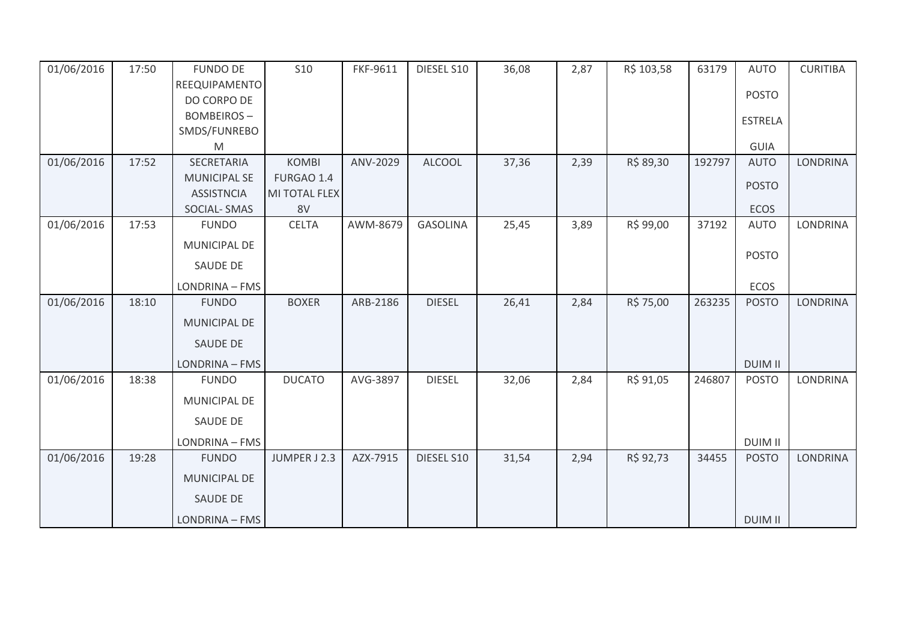| 01/06/2016 | 17:50 | <b>FUNDO DE</b>     | <b>S10</b>    | FKF-9611 | DIESEL S10      | 36,08 | 2,87 | R\$ 103,58 | 63179  | <b>AUTO</b>    | <b>CURITIBA</b> |
|------------|-------|---------------------|---------------|----------|-----------------|-------|------|------------|--------|----------------|-----------------|
|            |       | REEQUIPAMENTO       |               |          |                 |       |      |            |        |                |                 |
|            |       | DO CORPO DE         |               |          |                 |       |      |            |        | <b>POSTO</b>   |                 |
|            |       | <b>BOMBEIROS-</b>   |               |          |                 |       |      |            |        | <b>ESTRELA</b> |                 |
|            |       | SMDS/FUNREBO        |               |          |                 |       |      |            |        |                |                 |
|            |       | M                   |               |          |                 |       |      |            |        | <b>GUIA</b>    |                 |
| 01/06/2016 | 17:52 | <b>SECRETARIA</b>   | <b>KOMBI</b>  | ANV-2029 | <b>ALCOOL</b>   | 37,36 | 2,39 | R\$ 89,30  | 192797 | <b>AUTO</b>    | <b>LONDRINA</b> |
|            |       | <b>MUNICIPAL SE</b> | FURGAO 1.4    |          |                 |       |      |            |        | <b>POSTO</b>   |                 |
|            |       | <b>ASSISTNCIA</b>   | MI TOTAL FLEX |          |                 |       |      |            |        |                |                 |
|            |       | <b>SOCIAL-SMAS</b>  | 8V            |          |                 |       |      |            |        | <b>ECOS</b>    |                 |
| 01/06/2016 | 17:53 | <b>FUNDO</b>        | <b>CELTA</b>  | AWM-8679 | <b>GASOLINA</b> | 25,45 | 3,89 | R\$ 99,00  | 37192  | <b>AUTO</b>    | <b>LONDRINA</b> |
|            |       | MUNICIPAL DE        |               |          |                 |       |      |            |        | <b>POSTO</b>   |                 |
|            |       | SAUDE DE            |               |          |                 |       |      |            |        |                |                 |
|            |       | LONDRINA - FMS      |               |          |                 |       |      |            |        | ECOS           |                 |
| 01/06/2016 | 18:10 | <b>FUNDO</b>        | <b>BOXER</b>  | ARB-2186 | <b>DIESEL</b>   | 26,41 | 2,84 | R\$ 75,00  | 263235 | <b>POSTO</b>   | <b>LONDRINA</b> |
|            |       | <b>MUNICIPAL DE</b> |               |          |                 |       |      |            |        |                |                 |
|            |       | SAUDE DE            |               |          |                 |       |      |            |        |                |                 |
|            |       | LONDRINA - FMS      |               |          |                 |       |      |            |        | <b>DUIM II</b> |                 |
| 01/06/2016 | 18:38 | <b>FUNDO</b>        | <b>DUCATO</b> | AVG-3897 | <b>DIESEL</b>   | 32,06 | 2,84 | R\$ 91,05  | 246807 | <b>POSTO</b>   | LONDRINA        |
|            |       | <b>MUNICIPAL DE</b> |               |          |                 |       |      |            |        |                |                 |
|            |       | SAUDE DE            |               |          |                 |       |      |            |        |                |                 |
|            |       | LONDRINA - FMS      |               |          |                 |       |      |            |        | <b>DUIM II</b> |                 |
| 01/06/2016 | 19:28 | <b>FUNDO</b>        | JUMPER J 2.3  | AZX-7915 | DIESEL S10      | 31,54 | 2,94 | R\$ 92,73  | 34455  | <b>POSTO</b>   | <b>LONDRINA</b> |
|            |       | <b>MUNICIPAL DE</b> |               |          |                 |       |      |            |        |                |                 |
|            |       | SAUDE DE            |               |          |                 |       |      |            |        |                |                 |
|            |       | LONDRINA - FMS      |               |          |                 |       |      |            |        | <b>DUIM II</b> |                 |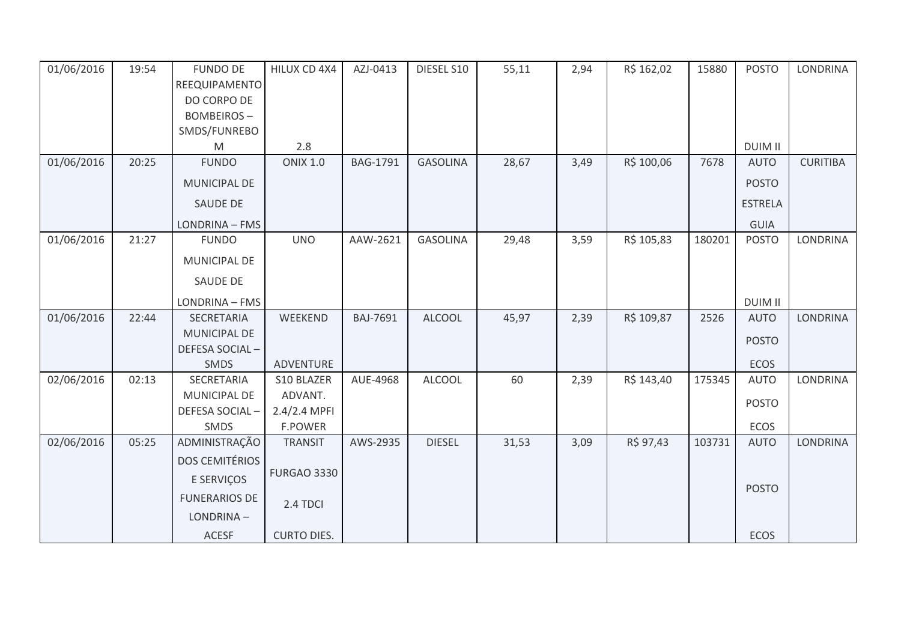| 01/06/2016 | 19:54 | <b>FUNDO DE</b><br>REEQUIPAMENTO<br>DO CORPO DE<br><b>BOMBEIROS-</b> | HILUX CD 4X4          | AZJ-0413        | DIESEL S10      | 55,11 | 2,94 | R\$ 162,02 | 15880  | <b>POSTO</b>   | <b>LONDRINA</b> |
|------------|-------|----------------------------------------------------------------------|-----------------------|-----------------|-----------------|-------|------|------------|--------|----------------|-----------------|
|            |       | SMDS/FUNREBO                                                         |                       |                 |                 |       |      |            |        |                |                 |
|            |       | M                                                                    | 2.8                   |                 |                 |       |      |            |        | <b>DUIM II</b> |                 |
| 01/06/2016 | 20:25 | <b>FUNDO</b>                                                         | <b>ONIX 1.0</b>       | <b>BAG-1791</b> | <b>GASOLINA</b> | 28,67 | 3,49 | R\$ 100,06 | 7678   | <b>AUTO</b>    | <b>CURITIBA</b> |
|            |       | MUNICIPAL DE                                                         |                       |                 |                 |       |      |            |        | <b>POSTO</b>   |                 |
|            |       | <b>SAUDE DE</b>                                                      |                       |                 |                 |       |      |            |        | <b>ESTRELA</b> |                 |
|            |       | LONDRINA - FMS                                                       |                       |                 |                 |       |      |            |        | <b>GUIA</b>    |                 |
| 01/06/2016 | 21:27 | <b>FUNDO</b>                                                         | <b>UNO</b>            | AAW-2621        | <b>GASOLINA</b> | 29,48 | 3,59 | R\$ 105,83 | 180201 | <b>POSTO</b>   | <b>LONDRINA</b> |
|            |       | MUNICIPAL DE                                                         |                       |                 |                 |       |      |            |        |                |                 |
|            |       | <b>SAUDE DE</b>                                                      |                       |                 |                 |       |      |            |        |                |                 |
|            |       | LONDRINA - FMS                                                       |                       |                 |                 |       |      |            |        | <b>DUIM II</b> |                 |
| 01/06/2016 | 22:44 | SECRETARIA                                                           | WEEKEND               | <b>BAJ-7691</b> | <b>ALCOOL</b>   | 45,97 | 2,39 | R\$ 109,87 | 2526   | <b>AUTO</b>    | <b>LONDRINA</b> |
|            |       | MUNICIPAL DE                                                         |                       |                 |                 |       |      |            |        | <b>POSTO</b>   |                 |
|            |       | DEFESA SOCIAL-                                                       |                       |                 |                 |       |      |            |        |                |                 |
|            |       | <b>SMDS</b>                                                          | ADVENTURE             |                 |                 |       |      |            |        | ECOS           |                 |
| 02/06/2016 | 02:13 | SECRETARIA<br>MUNICIPAL DE                                           | S10 BLAZER<br>ADVANT. | AUE-4968        | <b>ALCOOL</b>   | 60    | 2,39 | R\$ 143,40 | 175345 | <b>AUTO</b>    | <b>LONDRINA</b> |
|            |       | DEFESA SOCIAL-                                                       | 2.4/2.4 MPFI          |                 |                 |       |      |            |        | <b>POSTO</b>   |                 |
|            |       | SMDS                                                                 | <b>F.POWER</b>        |                 |                 |       |      |            |        | ECOS           |                 |
| 02/06/2016 | 05:25 | ADMINISTRAÇÃO                                                        | <b>TRANSIT</b>        | AWS-2935        | <b>DIESEL</b>   | 31,53 | 3,09 | R\$ 97,43  | 103731 | <b>AUTO</b>    | LONDRINA        |
|            |       | <b>DOS CEMITÉRIOS</b>                                                |                       |                 |                 |       |      |            |        |                |                 |
|            |       | E SERVIÇOS                                                           | <b>FURGAO 3330</b>    |                 |                 |       |      |            |        |                |                 |
|            |       | <b>FUNERARIOS DE</b>                                                 | 2.4 TDCI              |                 |                 |       |      |            |        | <b>POSTO</b>   |                 |
|            |       | LONDRINA-                                                            |                       |                 |                 |       |      |            |        |                |                 |
|            |       | <b>ACESF</b>                                                         | <b>CURTO DIES.</b>    |                 |                 |       |      |            |        | <b>ECOS</b>    |                 |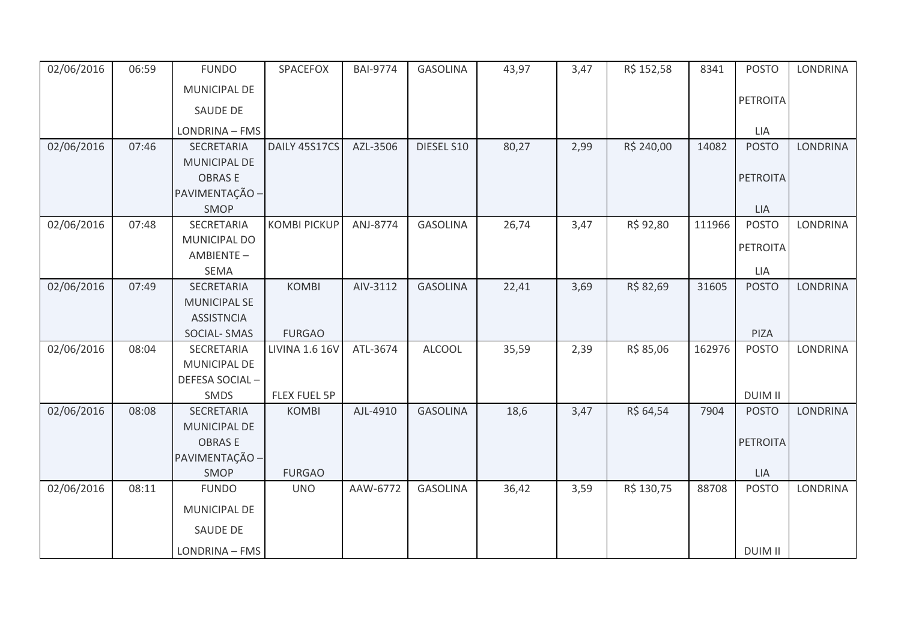| 02/06/2016 | 06:59 | <b>FUNDO</b>        | SPACEFOX              | <b>BAI-9774</b> | <b>GASOLINA</b> | 43,97 | 3,47 | R\$ 152,58 | 8341   | <b>POSTO</b>    | <b>LONDRINA</b> |
|------------|-------|---------------------|-----------------------|-----------------|-----------------|-------|------|------------|--------|-----------------|-----------------|
|            |       | MUNICIPAL DE        |                       |                 |                 |       |      |            |        |                 |                 |
|            |       | <b>SAUDE DE</b>     |                       |                 |                 |       |      |            |        | PETROITA        |                 |
|            |       | LONDRINA - FMS      |                       |                 |                 |       |      |            |        | <b>LIA</b>      |                 |
| 02/06/2016 | 07:46 | <b>SECRETARIA</b>   | DAILY 45S17CS         | AZL-3506        | DIESEL S10      | 80,27 | 2,99 | R\$ 240,00 | 14082  | <b>POSTO</b>    | <b>LONDRINA</b> |
|            |       | MUNICIPAL DE        |                       |                 |                 |       |      |            |        |                 |                 |
|            |       | <b>OBRASE</b>       |                       |                 |                 |       |      |            |        | <b>PETROITA</b> |                 |
|            |       | PAVIMENTAÇÃO -      |                       |                 |                 |       |      |            |        |                 |                 |
|            |       | SMOP                |                       |                 |                 |       |      |            |        | <b>LIA</b>      |                 |
| 02/06/2016 | 07:48 | SECRETARIA          | <b>KOMBI PICKUP</b>   | ANJ-8774        | <b>GASOLINA</b> | 26,74 | 3,47 | R\$ 92,80  | 111966 | <b>POSTO</b>    | <b>LONDRINA</b> |
|            |       | MUNICIPAL DO        |                       |                 |                 |       |      |            |        |                 |                 |
|            |       | AMBIENTE-           |                       |                 |                 |       |      |            |        | PETROITA        |                 |
|            |       | SEMA                |                       |                 |                 |       |      |            |        | LIA             |                 |
| 02/06/2016 | 07:49 | SECRETARIA          | <b>KOMBI</b>          | AIV-3112        | <b>GASOLINA</b> | 22,41 | 3,69 | R\$ 82,69  | 31605  | <b>POSTO</b>    | <b>LONDRINA</b> |
|            |       | <b>MUNICIPAL SE</b> |                       |                 |                 |       |      |            |        |                 |                 |
|            |       | <b>ASSISTNCIA</b>   |                       |                 |                 |       |      |            |        |                 |                 |
|            |       | SOCIAL-SMAS         | <b>FURGAO</b>         |                 |                 |       |      |            |        | PIZA            |                 |
| 02/06/2016 | 08:04 | SECRETARIA          | <b>LIVINA 1.6 16V</b> | ATL-3674        | <b>ALCOOL</b>   | 35,59 | 2,39 | R\$ 85,06  | 162976 | <b>POSTO</b>    | LONDRINA        |
|            |       | MUNICIPAL DE        |                       |                 |                 |       |      |            |        |                 |                 |
|            |       | DEFESA SOCIAL-      |                       |                 |                 |       |      |            |        |                 |                 |
|            |       | SMDS                | FLEX FUEL 5P          |                 |                 |       |      |            |        | <b>DUIM II</b>  |                 |
| 02/06/2016 | 08:08 | SECRETARIA          | <b>KOMBI</b>          | AJL-4910        | <b>GASOLINA</b> | 18,6  | 3,47 | R\$ 64,54  | 7904   | <b>POSTO</b>    | <b>LONDRINA</b> |
|            |       | MUNICIPAL DE        |                       |                 |                 |       |      |            |        |                 |                 |
|            |       | <b>OBRASE</b>       |                       |                 |                 |       |      |            |        | <b>PETROITA</b> |                 |
|            |       | PAVIMENTAÇÃO -      |                       |                 |                 |       |      |            |        |                 |                 |
|            |       | SMOP                | <b>FURGAO</b>         |                 |                 |       |      |            |        | <b>LIA</b>      |                 |
| 02/06/2016 | 08:11 | <b>FUNDO</b>        | <b>UNO</b>            | AAW-6772        | <b>GASOLINA</b> | 36,42 | 3,59 | R\$ 130,75 | 88708  | <b>POSTO</b>    | <b>LONDRINA</b> |
|            |       | MUNICIPAL DE        |                       |                 |                 |       |      |            |        |                 |                 |
|            |       | SAUDE DE            |                       |                 |                 |       |      |            |        |                 |                 |
|            |       | LONDRINA - FMS      |                       |                 |                 |       |      |            |        | <b>DUIM II</b>  |                 |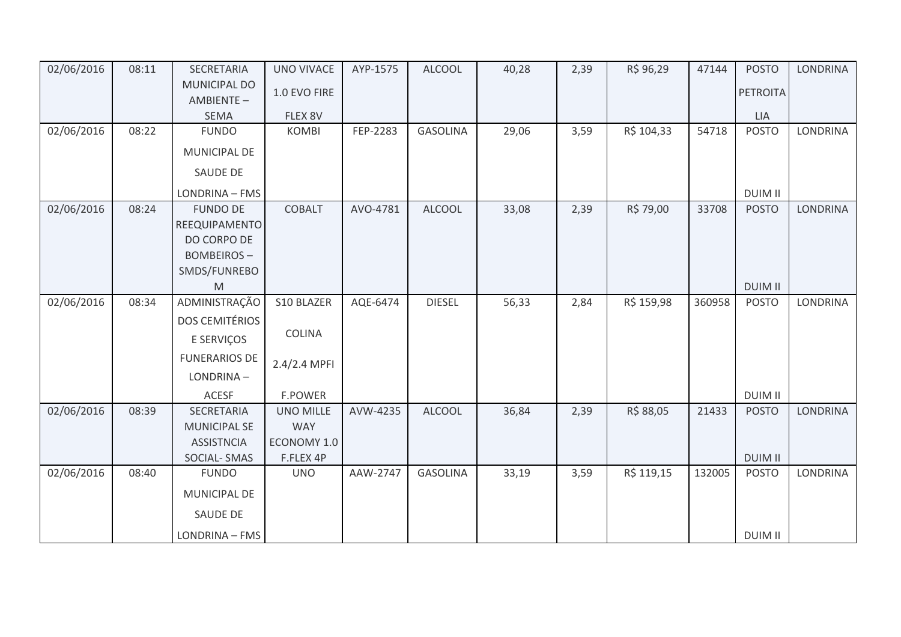| 02/06/2016 | 08:11 | SECRETARIA                       | <b>UNO VIVACE</b> | AYP-1575 | <b>ALCOOL</b>   | 40,28 | 2,39 | R\$ 96,29  | 47144  | <b>POSTO</b>    | <b>LONDRINA</b> |
|------------|-------|----------------------------------|-------------------|----------|-----------------|-------|------|------------|--------|-----------------|-----------------|
|            |       | <b>MUNICIPAL DO</b><br>AMBIENTE- | 1.0 EVO FIRE      |          |                 |       |      |            |        | <b>PETROITA</b> |                 |
|            |       | <b>SEMA</b>                      | FLEX 8V           |          |                 |       |      |            |        | <b>LIA</b>      |                 |
| 02/06/2016 | 08:22 | <b>FUNDO</b>                     | <b>KOMBI</b>      | FEP-2283 | <b>GASOLINA</b> | 29,06 | 3,59 | R\$ 104,33 | 54718  | <b>POSTO</b>    | LONDRINA        |
|            |       | MUNICIPAL DE                     |                   |          |                 |       |      |            |        |                 |                 |
|            |       | SAUDE DE                         |                   |          |                 |       |      |            |        |                 |                 |
|            |       | LONDRINA - FMS                   |                   |          |                 |       |      |            |        | <b>DUIM II</b>  |                 |
| 02/06/2016 | 08:24 | <b>FUNDO DE</b>                  | <b>COBALT</b>     | AVO-4781 | <b>ALCOOL</b>   | 33,08 | 2,39 | R\$ 79,00  | 33708  | <b>POSTO</b>    | <b>LONDRINA</b> |
|            |       | REEQUIPAMENTO                    |                   |          |                 |       |      |            |        |                 |                 |
|            |       | DO CORPO DE                      |                   |          |                 |       |      |            |        |                 |                 |
|            |       | <b>BOMBEIROS-</b>                |                   |          |                 |       |      |            |        |                 |                 |
|            |       | SMDS/FUNREBO                     |                   |          |                 |       |      |            |        |                 |                 |
|            |       | M                                |                   |          |                 |       |      |            |        | <b>DUIM II</b>  |                 |
| 02/06/2016 | 08:34 | ADMINISTRAÇÃO                    | S10 BLAZER        | AQE-6474 | <b>DIESEL</b>   | 56,33 | 2,84 | R\$ 159,98 | 360958 | <b>POSTO</b>    | LONDRINA        |
|            |       | <b>DOS CEMITÉRIOS</b>            |                   |          |                 |       |      |            |        |                 |                 |
|            |       | E SERVIÇOS                       | <b>COLINA</b>     |          |                 |       |      |            |        |                 |                 |
|            |       | <b>FUNERARIOS DE</b>             | 2.4/2.4 MPFI      |          |                 |       |      |            |        |                 |                 |
|            |       | LONDRINA-                        |                   |          |                 |       |      |            |        |                 |                 |
|            |       | ACESF                            | <b>F.POWER</b>    |          |                 |       |      |            |        | <b>DUIM II</b>  |                 |
| 02/06/2016 | 08:39 | SECRETARIA                       | <b>UNO MILLE</b>  | AVW-4235 | <b>ALCOOL</b>   | 36,84 | 2,39 | R\$ 88,05  | 21433  | <b>POSTO</b>    | <b>LONDRINA</b> |
|            |       | <b>MUNICIPAL SE</b>              | <b>WAY</b>        |          |                 |       |      |            |        |                 |                 |
|            |       | <b>ASSISTNCIA</b>                | ECONOMY 1.0       |          |                 |       |      |            |        |                 |                 |
|            |       | SOCIAL-SMAS                      | F.FLEX 4P         |          |                 |       |      |            |        | <b>DUIM II</b>  |                 |
| 02/06/2016 | 08:40 | <b>FUNDO</b>                     | <b>UNO</b>        | AAW-2747 | <b>GASOLINA</b> | 33,19 | 3,59 | R\$ 119,15 | 132005 | <b>POSTO</b>    | LONDRINA        |
|            |       | MUNICIPAL DE                     |                   |          |                 |       |      |            |        |                 |                 |
|            |       | <b>SAUDE DE</b>                  |                   |          |                 |       |      |            |        |                 |                 |
|            |       | LONDRINA - FMS                   |                   |          |                 |       |      |            |        | <b>DUIM II</b>  |                 |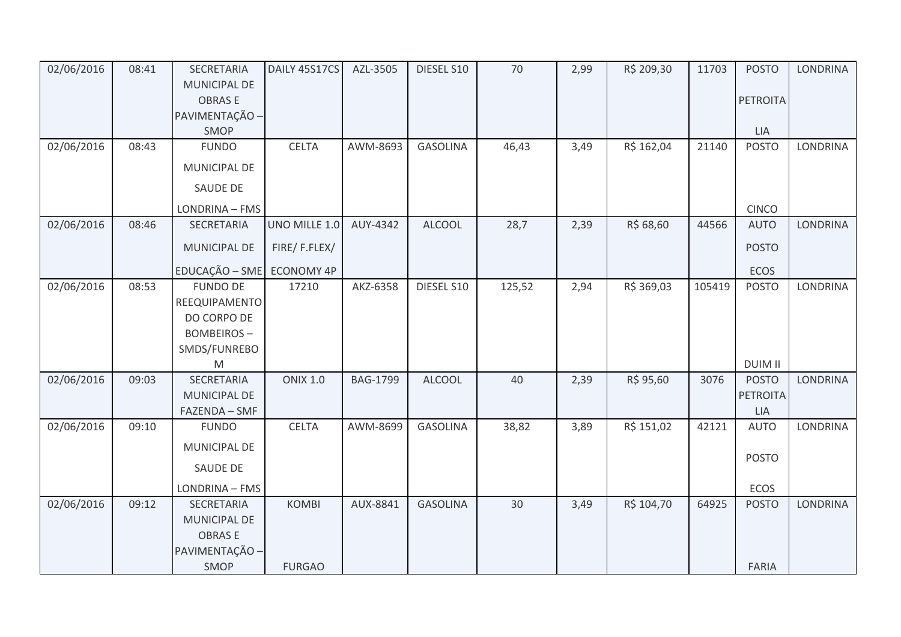| 02/06/2016 | 08:41 | SECRETARIA                | DAILY 45S17CS   | AZL-3505        | DIESEL S10      | $70\,$ | 2,99 | R\$ 209,30 | 11703  | <b>POSTO</b>    | <b>LONDRINA</b> |
|------------|-------|---------------------------|-----------------|-----------------|-----------------|--------|------|------------|--------|-----------------|-----------------|
|            |       | MUNICIPAL DE              |                 |                 |                 |        |      |            |        |                 |                 |
|            |       | <b>OBRASE</b>             |                 |                 |                 |        |      |            |        | <b>PETROITA</b> |                 |
|            |       | PAVIMENTAÇÃO -            |                 |                 |                 |        |      |            |        |                 |                 |
|            |       | SMOP                      |                 |                 |                 |        |      |            |        | LIA             |                 |
| 02/06/2016 | 08:43 | <b>FUNDO</b>              | <b>CELTA</b>    | AWM-8693        | <b>GASOLINA</b> | 46,43  | 3,49 | R\$ 162,04 | 21140  | <b>POSTO</b>    | LONDRINA        |
|            |       | MUNICIPAL DE              |                 |                 |                 |        |      |            |        |                 |                 |
|            |       | <b>SAUDE DE</b>           |                 |                 |                 |        |      |            |        |                 |                 |
|            |       | LONDRINA - FMS            |                 |                 |                 |        |      |            |        | <b>CINCO</b>    |                 |
| 02/06/2016 | 08:46 | SECRETARIA                | UNO MILLE 1.0   | AUY-4342        | <b>ALCOOL</b>   | 28,7   | 2,39 | R\$ 68,60  | 44566  | <b>AUTO</b>     | <b>LONDRINA</b> |
|            |       | MUNICIPAL DE              | FIRE/F.FLEX/    |                 |                 |        |      |            |        | <b>POSTO</b>    |                 |
|            |       | EDUCAÇÃO - SME ECONOMY 4P |                 |                 |                 |        |      |            |        | <b>ECOS</b>     |                 |
| 02/06/2016 | 08:53 | <b>FUNDO DE</b>           | 17210           | AKZ-6358        | DIESEL S10      | 125,52 | 2,94 | R\$ 369,03 | 105419 | <b>POSTO</b>    | LONDRINA        |
|            |       | REEQUIPAMENTO             |                 |                 |                 |        |      |            |        |                 |                 |
|            |       | DO CORPO DE               |                 |                 |                 |        |      |            |        |                 |                 |
|            |       | <b>BOMBEIROS-</b>         |                 |                 |                 |        |      |            |        |                 |                 |
|            |       | SMDS/FUNREBO              |                 |                 |                 |        |      |            |        |                 |                 |
|            |       | M                         |                 |                 |                 |        |      |            |        | <b>DUIM II</b>  |                 |
| 02/06/2016 | 09:03 | <b>SECRETARIA</b>         | <b>ONIX 1.0</b> | <b>BAG-1799</b> | <b>ALCOOL</b>   | 40     | 2,39 | R\$ 95,60  | 3076   | <b>POSTO</b>    | <b>LONDRINA</b> |
|            |       | MUNICIPAL DE              |                 |                 |                 |        |      |            |        | <b>PETROITA</b> |                 |
|            |       | FAZENDA - SMF             |                 |                 |                 |        |      |            |        | LIA             |                 |
| 02/06/2016 | 09:10 | <b>FUNDO</b>              | <b>CELTA</b>    | AWM-8699        | <b>GASOLINA</b> | 38,82  | 3,89 | R\$ 151,02 | 42121  | <b>AUTO</b>     | LONDRINA        |
|            |       | <b>MUNICIPAL DE</b>       |                 |                 |                 |        |      |            |        | <b>POSTO</b>    |                 |
|            |       | SAUDE DE                  |                 |                 |                 |        |      |            |        |                 |                 |
|            |       | LONDRINA - FMS            |                 |                 |                 |        |      |            |        | ECOS            |                 |
| 02/06/2016 | 09:12 | <b>SECRETARIA</b>         | <b>KOMBI</b>    | AUX-8841        | <b>GASOLINA</b> | 30     | 3,49 | R\$ 104,70 | 64925  | <b>POSTO</b>    | <b>LONDRINA</b> |
|            |       | MUNICIPAL DE              |                 |                 |                 |        |      |            |        |                 |                 |
|            |       | <b>OBRASE</b>             |                 |                 |                 |        |      |            |        |                 |                 |
|            |       | PAVIMENTAÇÃO -            |                 |                 |                 |        |      |            |        |                 |                 |
|            |       | SMOP                      | <b>FURGAO</b>   |                 |                 |        |      |            |        | <b>FARIA</b>    |                 |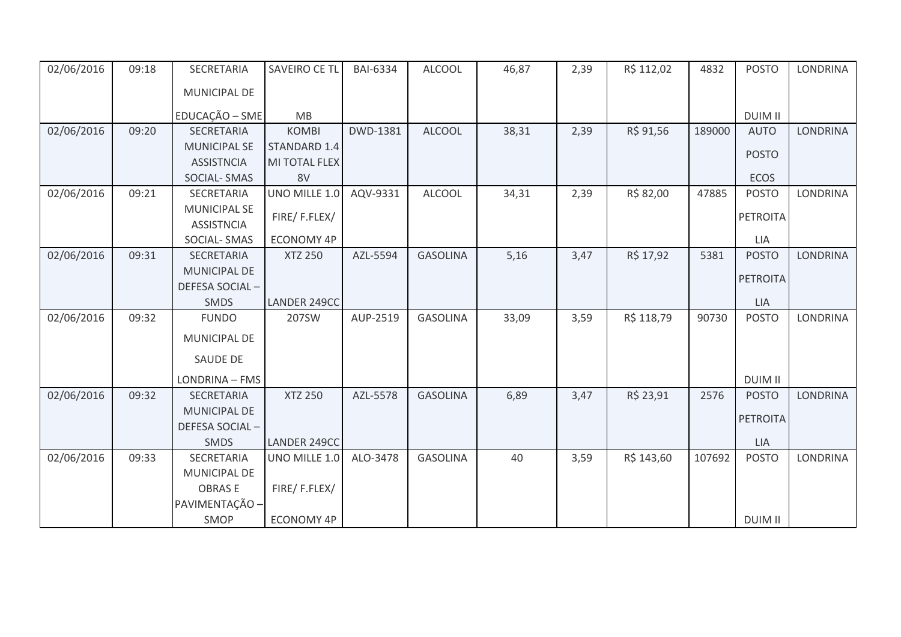| 02/06/2016 | 09:18 | SECRETARIA          | SAVEIRO CE TL     | <b>BAI-6334</b> | <b>ALCOOL</b>   | 46,87 | 2,39 | R\$ 112,02 | 4832   | <b>POSTO</b>    | <b>LONDRINA</b> |
|------------|-------|---------------------|-------------------|-----------------|-----------------|-------|------|------------|--------|-----------------|-----------------|
|            |       | MUNICIPAL DE        |                   |                 |                 |       |      |            |        |                 |                 |
|            |       | EDUCAÇÃO - SME      | <b>MB</b>         |                 |                 |       |      |            |        | <b>DUIM II</b>  |                 |
| 02/06/2016 | 09:20 | SECRETARIA          | <b>KOMBI</b>      | DWD-1381        | <b>ALCOOL</b>   | 38,31 | 2,39 | R\$ 91,56  | 189000 | <b>AUTO</b>     | <b>LONDRINA</b> |
|            |       | <b>MUNICIPAL SE</b> | STANDARD 1.4      |                 |                 |       |      |            |        | <b>POSTO</b>    |                 |
|            |       | <b>ASSISTNCIA</b>   | MI TOTAL FLEX     |                 |                 |       |      |            |        |                 |                 |
|            |       | SOCIAL-SMAS         | 8V                |                 |                 |       |      |            |        | ECOS            |                 |
| 02/06/2016 | 09:21 | <b>SECRETARIA</b>   | UNO MILLE 1.0     | AQV-9331        | <b>ALCOOL</b>   | 34,31 | 2,39 | R\$ 82,00  | 47885  | <b>POSTO</b>    | <b>LONDRINA</b> |
|            |       | <b>MUNICIPAL SE</b> | FIRE/F.FLEX/      |                 |                 |       |      |            |        | <b>PETROITA</b> |                 |
|            |       | <b>ASSISTNCIA</b>   |                   |                 |                 |       |      |            |        |                 |                 |
|            |       | <b>SOCIAL-SMAS</b>  | <b>ECONOMY 4P</b> |                 |                 |       |      |            |        | LIA             |                 |
| 02/06/2016 | 09:31 | SECRETARIA          | <b>XTZ 250</b>    | AZL-5594        | <b>GASOLINA</b> | 5,16  | 3,47 | R\$ 17,92  | 5381   | <b>POSTO</b>    | <b>LONDRINA</b> |
|            |       | <b>MUNICIPAL DE</b> |                   |                 |                 |       |      |            |        | <b>PETROITA</b> |                 |
|            |       | DEFESA SOCIAL-      |                   |                 |                 |       |      |            |        |                 |                 |
|            |       | <b>SMDS</b>         | LANDER 249CC      |                 |                 |       |      |            |        | <b>LIA</b>      |                 |
| 02/06/2016 | 09:32 | <b>FUNDO</b>        | 207SW             | AUP-2519        | <b>GASOLINA</b> | 33,09 | 3,59 | R\$ 118,79 | 90730  | <b>POSTO</b>    | LONDRINA        |
|            |       | MUNICIPAL DE        |                   |                 |                 |       |      |            |        |                 |                 |
|            |       | <b>SAUDE DE</b>     |                   |                 |                 |       |      |            |        |                 |                 |
|            |       | LONDRINA - FMS      |                   |                 |                 |       |      |            |        | <b>DUIM II</b>  |                 |
| 02/06/2016 | 09:32 | SECRETARIA          | <b>XTZ 250</b>    | AZL-5578        | <b>GASOLINA</b> | 6,89  | 3,47 | R\$ 23,91  | 2576   | <b>POSTO</b>    | <b>LONDRINA</b> |
|            |       | <b>MUNICIPAL DE</b> |                   |                 |                 |       |      |            |        | <b>PETROITA</b> |                 |
|            |       | DEFESA SOCIAL-      |                   |                 |                 |       |      |            |        |                 |                 |
|            |       | <b>SMDS</b>         | LANDER 249CC      |                 |                 |       |      |            |        | <b>LIA</b>      |                 |
| 02/06/2016 | 09:33 | SECRETARIA          | UNO MILLE 1.0     | ALO-3478        | <b>GASOLINA</b> | 40    | 3,59 | R\$ 143,60 | 107692 | <b>POSTO</b>    | <b>LONDRINA</b> |
|            |       | <b>MUNICIPAL DE</b> |                   |                 |                 |       |      |            |        |                 |                 |
|            |       | <b>OBRASE</b>       | FIRE/F.FLEX/      |                 |                 |       |      |            |        |                 |                 |
|            |       | PAVIMENTAÇÃO -      |                   |                 |                 |       |      |            |        |                 |                 |
|            |       | SMOP                | ECONOMY 4P        |                 |                 |       |      |            |        | <b>DUIM II</b>  |                 |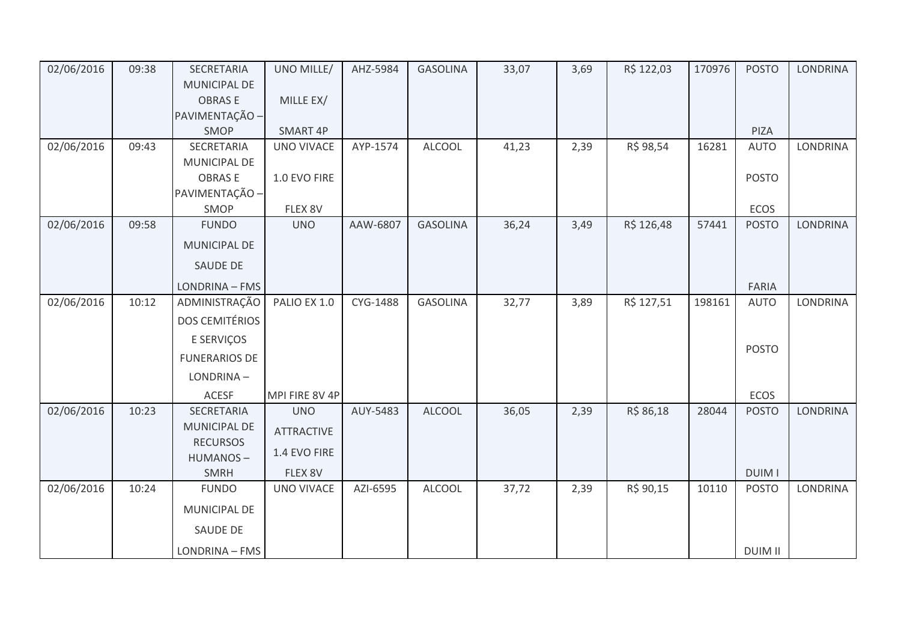| 02/06/2016 | 09:38 | SECRETARIA            | UNO MILLE/        | AHZ-5984 | <b>GASOLINA</b> | 33,07 | 3,69 | R\$ 122,03 | 170976 | <b>POSTO</b>   | <b>LONDRINA</b> |
|------------|-------|-----------------------|-------------------|----------|-----------------|-------|------|------------|--------|----------------|-----------------|
|            |       | MUNICIPAL DE          |                   |          |                 |       |      |            |        |                |                 |
|            |       | <b>OBRASE</b>         | MILLE EX/         |          |                 |       |      |            |        |                |                 |
|            |       | PAVIMENTAÇÃO -        |                   |          |                 |       |      |            |        |                |                 |
|            |       | SMOP                  | SMART 4P          |          |                 |       |      |            |        | PIZA           |                 |
| 02/06/2016 | 09:43 | SECRETARIA            | <b>UNO VIVACE</b> | AYP-1574 | <b>ALCOOL</b>   | 41,23 | 2,39 | R\$ 98,54  | 16281  | <b>AUTO</b>    | LONDRINA        |
|            |       | MUNICIPAL DE          |                   |          |                 |       |      |            |        |                |                 |
|            |       | <b>OBRASE</b>         | 1.0 EVO FIRE      |          |                 |       |      |            |        | <b>POSTO</b>   |                 |
|            |       | PAVIMENTAÇÃO -        |                   |          |                 |       |      |            |        |                |                 |
|            |       | SMOP                  | FLEX 8V           |          |                 |       |      |            |        | ECOS           |                 |
| 02/06/2016 | 09:58 | <b>FUNDO</b>          | <b>UNO</b>        | AAW-6807 | <b>GASOLINA</b> | 36,24 | 3,49 | R\$ 126,48 | 57441  | <b>POSTO</b>   | <b>LONDRINA</b> |
|            |       | MUNICIPAL DE          |                   |          |                 |       |      |            |        |                |                 |
|            |       | SAUDE DE              |                   |          |                 |       |      |            |        |                |                 |
|            |       | LONDRINA - FMS        |                   |          |                 |       |      |            |        | <b>FARIA</b>   |                 |
| 02/06/2016 | 10:12 | ADMINISTRAÇÃO         | PALIO EX 1.0      | CYG-1488 | <b>GASOLINA</b> | 32,77 | 3,89 | R\$ 127,51 | 198161 | <b>AUTO</b>    | LONDRINA        |
|            |       | <b>DOS CEMITÉRIOS</b> |                   |          |                 |       |      |            |        |                |                 |
|            |       | E SERVIÇOS            |                   |          |                 |       |      |            |        | <b>POSTO</b>   |                 |
|            |       | <b>FUNERARIOS DE</b>  |                   |          |                 |       |      |            |        |                |                 |
|            |       | LONDRINA-             |                   |          |                 |       |      |            |        |                |                 |
|            |       | <b>ACESF</b>          | MPI FIRE 8V 4P    |          |                 |       |      |            |        | ECOS           |                 |
| 02/06/2016 | 10:23 | SECRETARIA            | <b>UNO</b>        | AUY-5483 | <b>ALCOOL</b>   | 36,05 | 2,39 | R\$ 86,18  | 28044  | <b>POSTO</b>   | <b>LONDRINA</b> |
|            |       | MUNICIPAL DE          | <b>ATTRACTIVE</b> |          |                 |       |      |            |        |                |                 |
|            |       | <b>RECURSOS</b>       |                   |          |                 |       |      |            |        |                |                 |
|            |       | HUMANOS-              | 1.4 EVO FIRE      |          |                 |       |      |            |        |                |                 |
|            |       | <b>SMRH</b>           | FLEX 8V           |          |                 |       |      |            |        | <b>DUIMI</b>   |                 |
| 02/06/2016 | 10:24 | <b>FUNDO</b>          | <b>UNO VIVACE</b> | AZI-6595 | <b>ALCOOL</b>   | 37,72 | 2,39 | R\$ 90,15  | 10110  | <b>POSTO</b>   | <b>LONDRINA</b> |
|            |       | MUNICIPAL DE          |                   |          |                 |       |      |            |        |                |                 |
|            |       | SAUDE DE              |                   |          |                 |       |      |            |        |                |                 |
|            |       | LONDRINA - FMS        |                   |          |                 |       |      |            |        | <b>DUIM II</b> |                 |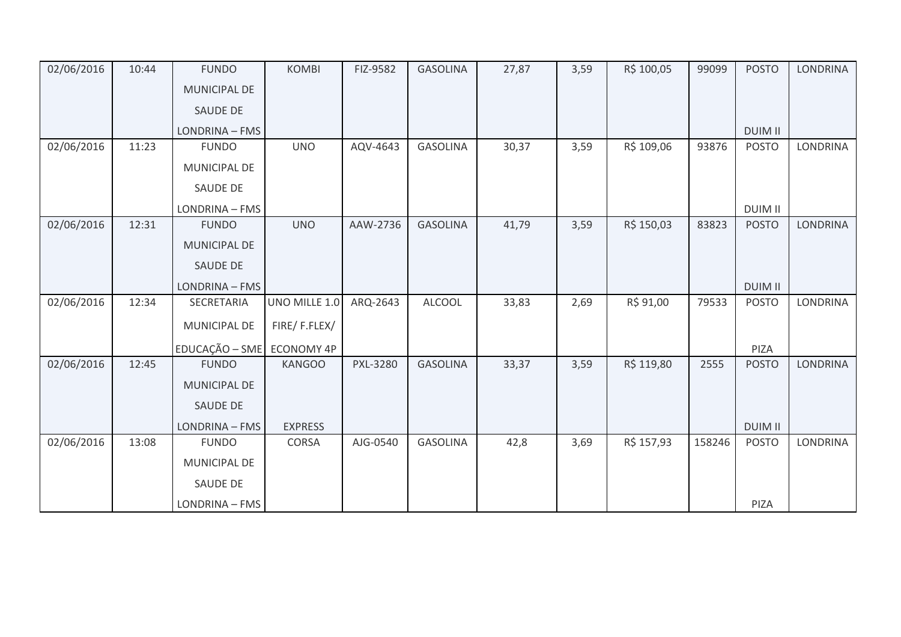| 02/06/2016 | 10:44 | <b>FUNDO</b>              | <b>KOMBI</b>   | FIZ-9582        | <b>GASOLINA</b> | 27,87 | 3,59 | R\$ 100,05 | 99099  | <b>POSTO</b>   | <b>LONDRINA</b> |
|------------|-------|---------------------------|----------------|-----------------|-----------------|-------|------|------------|--------|----------------|-----------------|
|            |       | MUNICIPAL DE              |                |                 |                 |       |      |            |        |                |                 |
|            |       | <b>SAUDE DE</b>           |                |                 |                 |       |      |            |        |                |                 |
|            |       | LONDRINA - FMS            |                |                 |                 |       |      |            |        | <b>DUIM II</b> |                 |
| 02/06/2016 | 11:23 | <b>FUNDO</b>              | <b>UNO</b>     | AQV-4643        | <b>GASOLINA</b> | 30,37 | 3,59 | R\$ 109,06 | 93876  | <b>POSTO</b>   | LONDRINA        |
|            |       | MUNICIPAL DE              |                |                 |                 |       |      |            |        |                |                 |
|            |       | SAUDE DE                  |                |                 |                 |       |      |            |        |                |                 |
|            |       | LONDRINA - FMS            |                |                 |                 |       |      |            |        | <b>DUIM II</b> |                 |
| 02/06/2016 | 12:31 | <b>FUNDO</b>              | <b>UNO</b>     | AAW-2736        | <b>GASOLINA</b> | 41,79 | 3,59 | R\$ 150,03 | 83823  | <b>POSTO</b>   | <b>LONDRINA</b> |
|            |       | <b>MUNICIPAL DE</b>       |                |                 |                 |       |      |            |        |                |                 |
|            |       | <b>SAUDE DE</b>           |                |                 |                 |       |      |            |        |                |                 |
|            |       | LONDRINA - FMS            |                |                 |                 |       |      |            |        | <b>DUIM II</b> |                 |
| 02/06/2016 | 12:34 | SECRETARIA                | UNO MILLE 1.0  | ARQ-2643        | <b>ALCOOL</b>   | 33,83 | 2,69 | R\$ 91,00  | 79533  | <b>POSTO</b>   | <b>LONDRINA</b> |
|            |       | MUNICIPAL DE              | FIRE/F.FLEX/   |                 |                 |       |      |            |        |                |                 |
|            |       | EDUCAÇÃO - SME ECONOMY 4P |                |                 |                 |       |      |            |        | PIZA           |                 |
| 02/06/2016 | 12:45 | <b>FUNDO</b>              | <b>KANGOO</b>  | <b>PXL-3280</b> | <b>GASOLINA</b> | 33,37 | 3,59 | R\$ 119,80 | 2555   | <b>POSTO</b>   | LONDRINA        |
|            |       | <b>MUNICIPAL DE</b>       |                |                 |                 |       |      |            |        |                |                 |
|            |       | SAUDE DE                  |                |                 |                 |       |      |            |        |                |                 |
|            |       | LONDRINA - FMS            | <b>EXPRESS</b> |                 |                 |       |      |            |        | <b>DUIM II</b> |                 |
| 02/06/2016 | 13:08 | <b>FUNDO</b>              | <b>CORSA</b>   | AJG-0540        | <b>GASOLINA</b> | 42,8  | 3,69 | R\$ 157,93 | 158246 | <b>POSTO</b>   | LONDRINA        |
|            |       | MUNICIPAL DE              |                |                 |                 |       |      |            |        |                |                 |
|            |       | SAUDE DE                  |                |                 |                 |       |      |            |        |                |                 |
|            |       | LONDRINA - FMS            |                |                 |                 |       |      |            |        | PIZA           |                 |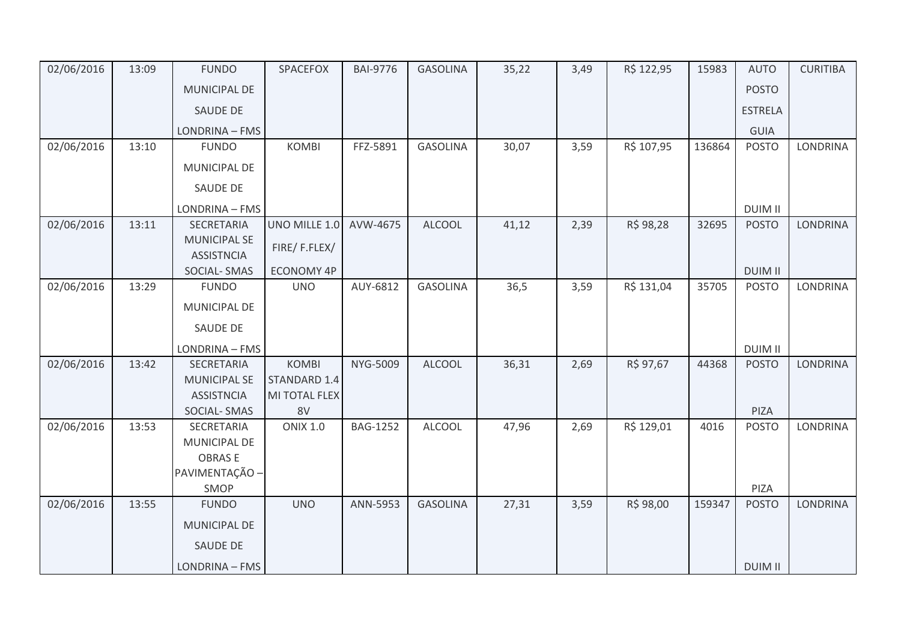| 02/06/2016 | 13:09 | <b>FUNDO</b>                             | SPACEFOX          | <b>BAI-9776</b> | <b>GASOLINA</b> | 35,22 | 3,49 | R\$ 122,95 | 15983  | <b>AUTO</b>    | <b>CURITIBA</b> |
|------------|-------|------------------------------------------|-------------------|-----------------|-----------------|-------|------|------------|--------|----------------|-----------------|
|            |       | <b>MUNICIPAL DE</b>                      |                   |                 |                 |       |      |            |        | <b>POSTO</b>   |                 |
|            |       | SAUDE DE                                 |                   |                 |                 |       |      |            |        | <b>ESTRELA</b> |                 |
|            |       | LONDRINA - FMS                           |                   |                 |                 |       |      |            |        | GUIA           |                 |
| 02/06/2016 | 13:10 | <b>FUNDO</b>                             | <b>KOMBI</b>      | FFZ-5891        | <b>GASOLINA</b> | 30,07 | 3,59 | R\$ 107,95 | 136864 | <b>POSTO</b>   | LONDRINA        |
|            |       | MUNICIPAL DE                             |                   |                 |                 |       |      |            |        |                |                 |
|            |       | SAUDE DE                                 |                   |                 |                 |       |      |            |        |                |                 |
|            |       | LONDRINA - FMS                           |                   |                 |                 |       |      |            |        | <b>DUIM II</b> |                 |
| 02/06/2016 | 13:11 | SECRETARIA                               | UNO MILLE 1.0     | AVW-4675        | <b>ALCOOL</b>   | 41,12 | 2,39 | R\$ 98,28  | 32695  | <b>POSTO</b>   | <b>LONDRINA</b> |
|            |       | <b>MUNICIPAL SE</b><br><b>ASSISTNCIA</b> | FIRE/F.FLEX/      |                 |                 |       |      |            |        |                |                 |
|            |       | <b>SOCIAL-SMAS</b>                       | <b>ECONOMY 4P</b> |                 |                 |       |      |            |        | <b>DUIM II</b> |                 |
| 02/06/2016 | 13:29 | <b>FUNDO</b>                             | <b>UNO</b>        | AUY-6812        | <b>GASOLINA</b> | 36,5  | 3,59 | R\$ 131,04 | 35705  | <b>POSTO</b>   | <b>LONDRINA</b> |
|            |       | MUNICIPAL DE                             |                   |                 |                 |       |      |            |        |                |                 |
|            |       | SAUDE DE                                 |                   |                 |                 |       |      |            |        |                |                 |
|            |       | LONDRINA - FMS                           |                   |                 |                 |       |      |            |        | <b>DUIM II</b> |                 |
| 02/06/2016 | 13:42 | <b>SECRETARIA</b>                        | <b>KOMBI</b>      | NYG-5009        | <b>ALCOOL</b>   | 36,31 | 2,69 | R\$ 97,67  | 44368  | <b>POSTO</b>   | <b>LONDRINA</b> |
|            |       | <b>MUNICIPAL SE</b>                      | STANDARD 1.4      |                 |                 |       |      |            |        |                |                 |
|            |       | <b>ASSISTNCIA</b>                        | MI TOTAL FLEX     |                 |                 |       |      |            |        |                |                 |
|            |       | SOCIAL-SMAS                              | 8V                |                 |                 |       |      |            |        | PIZA           |                 |
| 02/06/2016 | 13:53 | SECRETARIA<br>MUNICIPAL DE               | <b>ONIX 1.0</b>   | <b>BAG-1252</b> | <b>ALCOOL</b>   | 47,96 | 2,69 | R\$ 129,01 | 4016   | <b>POSTO</b>   | <b>LONDRINA</b> |
|            |       | <b>OBRASE</b>                            |                   |                 |                 |       |      |            |        |                |                 |
|            |       | PAVIMENTAÇÃO -                           |                   |                 |                 |       |      |            |        |                |                 |
|            |       | SMOP                                     |                   |                 |                 |       |      |            |        | PIZA           |                 |
| 02/06/2016 | 13:55 | <b>FUNDO</b>                             | <b>UNO</b>        | ANN-5953        | <b>GASOLINA</b> | 27,31 | 3,59 | R\$ 98,00  | 159347 | <b>POSTO</b>   | <b>LONDRINA</b> |
|            |       | <b>MUNICIPAL DE</b>                      |                   |                 |                 |       |      |            |        |                |                 |
|            |       | SAUDE DE                                 |                   |                 |                 |       |      |            |        |                |                 |
|            |       |                                          |                   |                 |                 |       |      |            |        |                |                 |
|            |       | LONDRINA - FMS                           |                   |                 |                 |       |      |            |        | <b>DUIM II</b> |                 |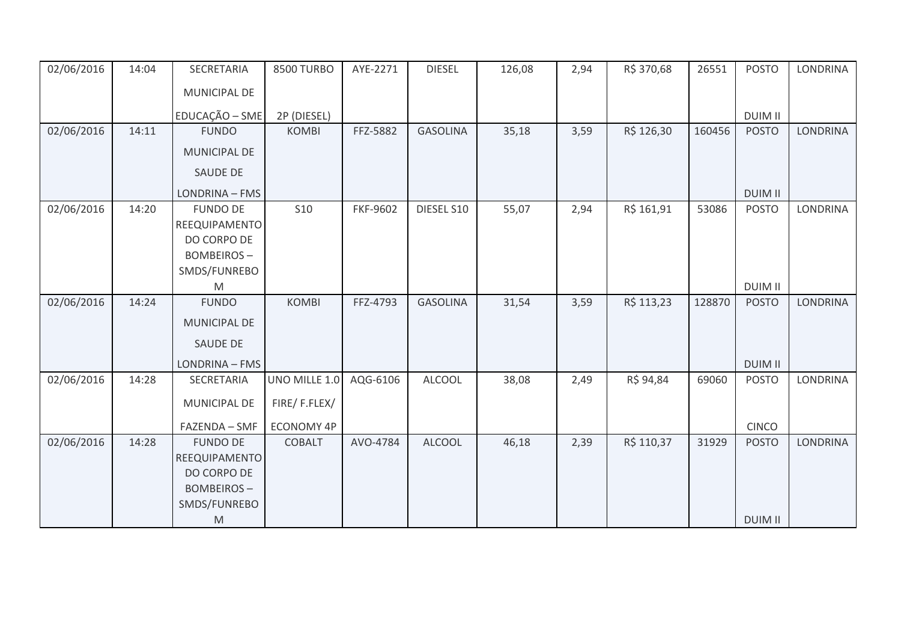| 02/06/2016 | 14:04 | SECRETARIA                        | <b>8500 TURBO</b> | AYE-2271 | <b>DIESEL</b>   | 126,08 | 2,94 | R\$ 370,68 | 26551  | <b>POSTO</b>   | <b>LONDRINA</b> |
|------------|-------|-----------------------------------|-------------------|----------|-----------------|--------|------|------------|--------|----------------|-----------------|
|            |       | MUNICIPAL DE                      |                   |          |                 |        |      |            |        |                |                 |
|            |       | EDUCAÇÃO - SME                    | 2P (DIESEL)       |          |                 |        |      |            |        | <b>DUIM II</b> |                 |
| 02/06/2016 | 14:11 | <b>FUNDO</b>                      | <b>KOMBI</b>      | FFZ-5882 | <b>GASOLINA</b> | 35,18  | 3,59 | R\$ 126,30 | 160456 | <b>POSTO</b>   | <b>LONDRINA</b> |
|            |       | <b>MUNICIPAL DE</b>               |                   |          |                 |        |      |            |        |                |                 |
|            |       | <b>SAUDE DE</b>                   |                   |          |                 |        |      |            |        |                |                 |
|            |       | LONDRINA - FMS                    |                   |          |                 |        |      |            |        | <b>DUIM II</b> |                 |
| 02/06/2016 | 14:20 | <b>FUNDO DE</b>                   | <b>S10</b>        | FKF-9602 | DIESEL S10      | 55,07  | 2,94 | R\$ 161,91 | 53086  | <b>POSTO</b>   | <b>LONDRINA</b> |
|            |       | REEQUIPAMENTO                     |                   |          |                 |        |      |            |        |                |                 |
|            |       | DO CORPO DE                       |                   |          |                 |        |      |            |        |                |                 |
|            |       | <b>BOMBEIROS-</b><br>SMDS/FUNREBO |                   |          |                 |        |      |            |        |                |                 |
|            |       | M                                 |                   |          |                 |        |      |            |        | <b>DUIM II</b> |                 |
| 02/06/2016 | 14:24 | <b>FUNDO</b>                      | <b>KOMBI</b>      | FFZ-4793 | <b>GASOLINA</b> | 31,54  | 3,59 | R\$ 113,23 | 128870 | <b>POSTO</b>   | <b>LONDRINA</b> |
|            |       | <b>MUNICIPAL DE</b>               |                   |          |                 |        |      |            |        |                |                 |
|            |       |                                   |                   |          |                 |        |      |            |        |                |                 |
|            |       | SAUDE DE                          |                   |          |                 |        |      |            |        |                |                 |
|            |       | LONDRINA - FMS                    |                   |          |                 |        |      |            |        | <b>DUIM II</b> |                 |
| 02/06/2016 | 14:28 | SECRETARIA                        | UNO MILLE 1.0     | AQG-6106 | <b>ALCOOL</b>   | 38,08  | 2,49 | R\$ 94,84  | 69060  | <b>POSTO</b>   | <b>LONDRINA</b> |
|            |       | MUNICIPAL DE                      | FIRE/F.FLEX/      |          |                 |        |      |            |        |                |                 |
|            |       | FAZENDA - SMF                     | <b>ECONOMY 4P</b> |          |                 |        |      |            |        | <b>CINCO</b>   |                 |
| 02/06/2016 | 14:28 | <b>FUNDO DE</b>                   | <b>COBALT</b>     | AVO-4784 | <b>ALCOOL</b>   | 46,18  | 2,39 | R\$ 110,37 | 31929  | <b>POSTO</b>   | <b>LONDRINA</b> |
|            |       | REEQUIPAMENTO                     |                   |          |                 |        |      |            |        |                |                 |
|            |       | DO CORPO DE                       |                   |          |                 |        |      |            |        |                |                 |
|            |       | <b>BOMBEIROS-</b>                 |                   |          |                 |        |      |            |        |                |                 |
|            |       | SMDS/FUNREBO                      |                   |          |                 |        |      |            |        |                |                 |
|            |       | ${\sf M}$                         |                   |          |                 |        |      |            |        | <b>DUIM II</b> |                 |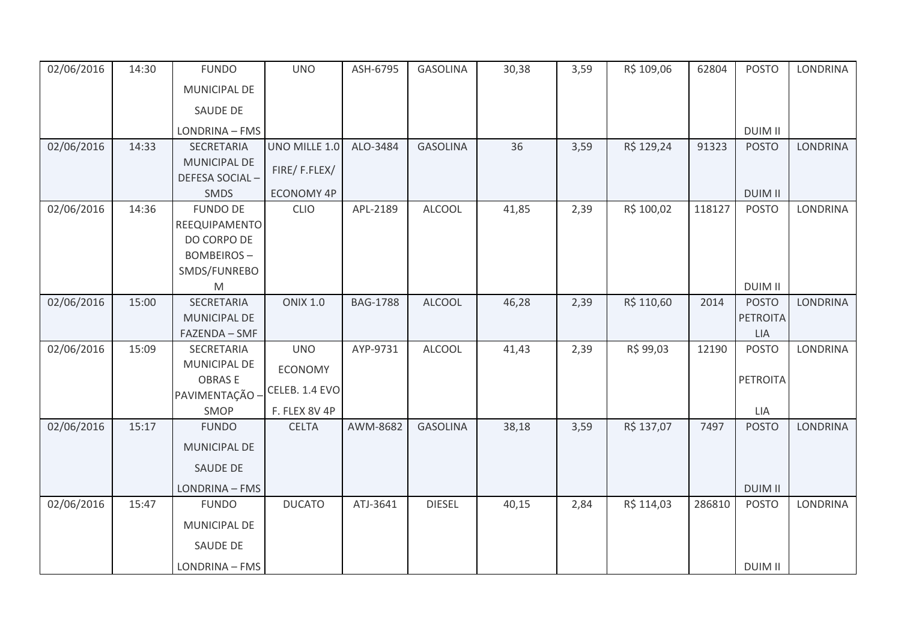| 02/06/2016 | 14:30 | <b>FUNDO</b>                     | <b>UNO</b>        | ASH-6795        | <b>GASOLINA</b> | 30,38 | 3,59 | R\$ 109,06 | 62804  | <b>POSTO</b>    | <b>LONDRINA</b> |
|------------|-------|----------------------------------|-------------------|-----------------|-----------------|-------|------|------------|--------|-----------------|-----------------|
|            |       | MUNICIPAL DE                     |                   |                 |                 |       |      |            |        |                 |                 |
|            |       | <b>SAUDE DE</b>                  |                   |                 |                 |       |      |            |        |                 |                 |
|            |       | LONDRINA - FMS                   |                   |                 |                 |       |      |            |        | <b>DUIM II</b>  |                 |
| 02/06/2016 | 14:33 | SECRETARIA                       | UNO MILLE 1.0     | ALO-3484        | <b>GASOLINA</b> | 36    | 3,59 | R\$ 129,24 | 91323  | <b>POSTO</b>    | <b>LONDRINA</b> |
|            |       | <b>MUNICIPAL DE</b>              | FIRE/F.FLEX/      |                 |                 |       |      |            |        |                 |                 |
|            |       | DEFESA SOCIAL-                   |                   |                 |                 |       |      |            |        |                 |                 |
|            |       | SMDS                             | <b>ECONOMY 4P</b> |                 |                 |       |      |            |        | <b>DUIM II</b>  |                 |
| 02/06/2016 | 14:36 | <b>FUNDO DE</b>                  | <b>CLIO</b>       | APL-2189        | <b>ALCOOL</b>   | 41,85 | 2,39 | R\$ 100,02 | 118127 | <b>POSTO</b>    | LONDRINA        |
|            |       | REEQUIPAMENTO                    |                   |                 |                 |       |      |            |        |                 |                 |
|            |       | DO CORPO DE<br><b>BOMBEIROS-</b> |                   |                 |                 |       |      |            |        |                 |                 |
|            |       | SMDS/FUNREBO                     |                   |                 |                 |       |      |            |        |                 |                 |
|            |       | M                                |                   |                 |                 |       |      |            |        | <b>DUIM II</b>  |                 |
| 02/06/2016 | 15:00 | <b>SECRETARIA</b>                | <b>ONIX 1.0</b>   | <b>BAG-1788</b> | <b>ALCOOL</b>   | 46,28 | 2,39 | R\$ 110,60 | 2014   | <b>POSTO</b>    | <b>LONDRINA</b> |
|            |       | MUNICIPAL DE                     |                   |                 |                 |       |      |            |        | <b>PETROITA</b> |                 |
|            |       | FAZENDA - SMF                    |                   |                 |                 |       |      |            |        | <b>LIA</b>      |                 |
| 02/06/2016 | 15:09 | SECRETARIA                       | <b>UNO</b>        | AYP-9731        | <b>ALCOOL</b>   | 41,43 | 2,39 | R\$ 99,03  | 12190  | <b>POSTO</b>    | LONDRINA        |
|            |       | MUNICIPAL DE                     | ECONOMY           |                 |                 |       |      |            |        |                 |                 |
|            |       | <b>OBRASE</b>                    |                   |                 |                 |       |      |            |        | <b>PETROITA</b> |                 |
|            |       | PAVIMENTAÇÃO -                   | CELEB. 1.4 EVO    |                 |                 |       |      |            |        |                 |                 |
|            |       | SMOP                             | F. FLEX 8V 4P     |                 |                 |       |      |            |        | LIA             |                 |
| 02/06/2016 | 15:17 | <b>FUNDO</b>                     | <b>CELTA</b>      | AWM-8682        | <b>GASOLINA</b> | 38,18 | 3,59 | R\$ 137,07 | 7497   | <b>POSTO</b>    | <b>LONDRINA</b> |
|            |       | <b>MUNICIPAL DE</b>              |                   |                 |                 |       |      |            |        |                 |                 |
|            |       | SAUDE DE                         |                   |                 |                 |       |      |            |        |                 |                 |
|            |       | LONDRINA - FMS                   |                   |                 |                 |       |      |            |        | <b>DUIM II</b>  |                 |
| 02/06/2016 | 15:47 | <b>FUNDO</b>                     | <b>DUCATO</b>     | ATJ-3641        | <b>DIESEL</b>   | 40,15 | 2,84 | R\$ 114,03 | 286810 | <b>POSTO</b>    | LONDRINA        |
|            |       | MUNICIPAL DE                     |                   |                 |                 |       |      |            |        |                 |                 |
|            |       | <b>SAUDE DE</b>                  |                   |                 |                 |       |      |            |        |                 |                 |
|            |       | LONDRINA - FMS                   |                   |                 |                 |       |      |            |        | <b>DUIM II</b>  |                 |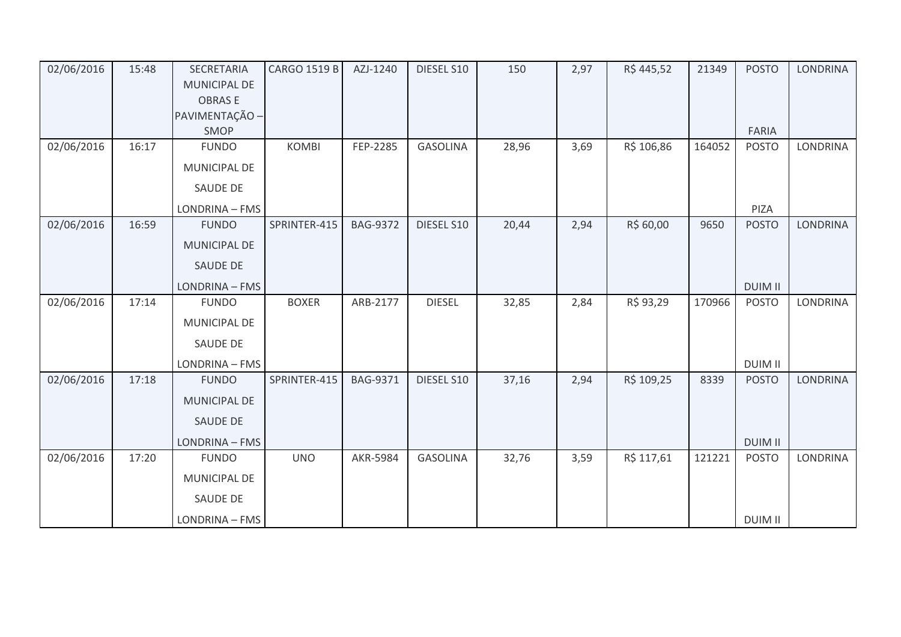| 02/06/2016 | 15:48 | <b>SECRETARIA</b>                    | <b>CARGO 1519 B</b> | AZJ-1240        | DIESEL S10      | 150   | 2,97 | R\$445,52  | 21349  | <b>POSTO</b>   | <b>LONDRINA</b> |
|------------|-------|--------------------------------------|---------------------|-----------------|-----------------|-------|------|------------|--------|----------------|-----------------|
|            |       | <b>MUNICIPAL DE</b><br><b>OBRASE</b> |                     |                 |                 |       |      |            |        |                |                 |
|            |       | PAVIMENTAÇÃO -                       |                     |                 |                 |       |      |            |        |                |                 |
|            |       | SMOP                                 |                     |                 |                 |       |      |            |        | FARIA          |                 |
| 02/06/2016 | 16:17 | <b>FUNDO</b>                         | <b>KOMBI</b>        | FEP-2285        | <b>GASOLINA</b> | 28,96 | 3,69 | R\$ 106,86 | 164052 | <b>POSTO</b>   | LONDRINA        |
|            |       | <b>MUNICIPAL DE</b>                  |                     |                 |                 |       |      |            |        |                |                 |
|            |       | <b>SAUDE DE</b>                      |                     |                 |                 |       |      |            |        |                |                 |
|            |       | LONDRINA - FMS                       |                     |                 |                 |       |      |            |        | PIZA           |                 |
| 02/06/2016 | 16:59 | <b>FUNDO</b>                         | SPRINTER-415        | <b>BAG-9372</b> | DIESEL S10      | 20,44 | 2,94 | R\$ 60,00  | 9650   | <b>POSTO</b>   | <b>LONDRINA</b> |
|            |       | MUNICIPAL DE                         |                     |                 |                 |       |      |            |        |                |                 |
|            |       | SAUDE DE                             |                     |                 |                 |       |      |            |        |                |                 |
|            |       | LONDRINA - FMS                       |                     |                 |                 |       |      |            |        | <b>DUIM II</b> |                 |
| 02/06/2016 | 17:14 | <b>FUNDO</b>                         | <b>BOXER</b>        | ARB-2177        | <b>DIESEL</b>   | 32,85 | 2,84 | R\$ 93,29  | 170966 | <b>POSTO</b>   | <b>LONDRINA</b> |
|            |       | <b>MUNICIPAL DE</b>                  |                     |                 |                 |       |      |            |        |                |                 |
|            |       | SAUDE DE                             |                     |                 |                 |       |      |            |        |                |                 |
|            |       | LONDRINA - FMS                       |                     |                 |                 |       |      |            |        | <b>DUIM II</b> |                 |
| 02/06/2016 | 17:18 | <b>FUNDO</b>                         | SPRINTER-415        | <b>BAG-9371</b> | DIESEL S10      | 37,16 | 2,94 | R\$ 109,25 | 8339   | <b>POSTO</b>   | <b>LONDRINA</b> |
|            |       | <b>MUNICIPAL DE</b>                  |                     |                 |                 |       |      |            |        |                |                 |
|            |       | SAUDE DE                             |                     |                 |                 |       |      |            |        |                |                 |
|            |       | LONDRINA - FMS                       |                     |                 |                 |       |      |            |        | <b>DUIM II</b> |                 |
| 02/06/2016 | 17:20 | <b>FUNDO</b>                         | <b>UNO</b>          | AKR-5984        | <b>GASOLINA</b> | 32,76 | 3,59 | R\$ 117,61 | 121221 | <b>POSTO</b>   | LONDRINA        |
|            |       | MUNICIPAL DE                         |                     |                 |                 |       |      |            |        |                |                 |
|            |       | SAUDE DE                             |                     |                 |                 |       |      |            |        |                |                 |
|            |       | LONDRINA - FMS                       |                     |                 |                 |       |      |            |        | <b>DUIM II</b> |                 |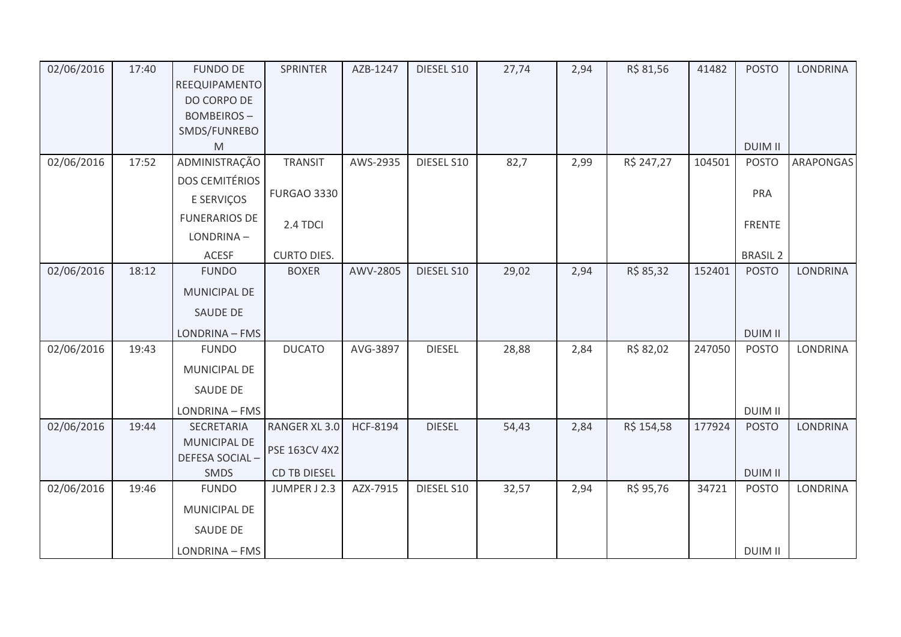| 02/06/2016 | 17:40 | <b>FUNDO DE</b>       | SPRINTER            | AZB-1247 | DIESEL S10    | 27,74 | 2,94 | R\$ 81,56  | 41482  | <b>POSTO</b>    | <b>LONDRINA</b> |
|------------|-------|-----------------------|---------------------|----------|---------------|-------|------|------------|--------|-----------------|-----------------|
|            |       | REEQUIPAMENTO         |                     |          |               |       |      |            |        |                 |                 |
|            |       | DO CORPO DE           |                     |          |               |       |      |            |        |                 |                 |
|            |       | <b>BOMBEIROS-</b>     |                     |          |               |       |      |            |        |                 |                 |
|            |       | SMDS/FUNREBO          |                     |          |               |       |      |            |        |                 |                 |
|            |       | M                     |                     |          |               |       |      |            |        | <b>DUIM II</b>  |                 |
| 02/06/2016 | 17:52 | ADMINISTRAÇÃO         | TRANSIT             | AWS-2935 | DIESEL S10    | 82,7  | 2,99 | R\$ 247,27 | 104501 | <b>POSTO</b>    | ARAPONGAS       |
|            |       | <b>DOS CEMITÉRIOS</b> |                     |          |               |       |      |            |        |                 |                 |
|            |       | E SERVIÇOS            | <b>FURGAO 3330</b>  |          |               |       |      |            |        | PRA             |                 |
|            |       | <b>FUNERARIOS DE</b>  | 2.4 TDCI            |          |               |       |      |            |        | <b>FRENTE</b>   |                 |
|            |       | LONDRINA-             |                     |          |               |       |      |            |        |                 |                 |
|            |       | <b>ACESF</b>          | <b>CURTO DIES.</b>  |          |               |       |      |            |        | <b>BRASIL 2</b> |                 |
| 02/06/2016 | 18:12 | <b>FUNDO</b>          | <b>BOXER</b>        | AWV-2805 | DIESEL S10    | 29,02 | 2,94 | R\$ 85,32  | 152401 | <b>POSTO</b>    | LONDRINA        |
|            |       | <b>MUNICIPAL DE</b>   |                     |          |               |       |      |            |        |                 |                 |
|            |       | <b>SAUDE DE</b>       |                     |          |               |       |      |            |        |                 |                 |
|            |       | LONDRINA - FMS        |                     |          |               |       |      |            |        | <b>DUIM II</b>  |                 |
| 02/06/2016 | 19:43 | <b>FUNDO</b>          | <b>DUCATO</b>       | AVG-3897 | <b>DIESEL</b> | 28,88 | 2,84 | R\$ 82,02  | 247050 | <b>POSTO</b>    | LONDRINA        |
|            |       | <b>MUNICIPAL DE</b>   |                     |          |               |       |      |            |        |                 |                 |
|            |       | SAUDE DE              |                     |          |               |       |      |            |        |                 |                 |
|            |       | LONDRINA - FMS        |                     |          |               |       |      |            |        | <b>DUIM II</b>  |                 |
| 02/06/2016 | 19:44 | SECRETARIA            | RANGER XL 3.0       | HCF-8194 | <b>DIESEL</b> | 54,43 | 2,84 | R\$ 154,58 | 177924 | <b>POSTO</b>    | <b>LONDRINA</b> |
|            |       | <b>MUNICIPAL DE</b>   | PSE 163CV 4X2       |          |               |       |      |            |        |                 |                 |
|            |       | DEFESA SOCIAL-        |                     |          |               |       |      |            |        |                 |                 |
|            |       | <b>SMDS</b>           | <b>CD TB DIESEL</b> |          |               |       |      |            |        | <b>DUIM II</b>  |                 |
| 02/06/2016 | 19:46 | <b>FUNDO</b>          | JUMPER J 2.3        | AZX-7915 | DIESEL S10    | 32,57 | 2,94 | R\$ 95,76  | 34721  | <b>POSTO</b>    | LONDRINA        |
|            |       | MUNICIPAL DE          |                     |          |               |       |      |            |        |                 |                 |
|            |       | SAUDE DE              |                     |          |               |       |      |            |        |                 |                 |
|            |       | LONDRINA - FMS        |                     |          |               |       |      |            |        | DUIM II         |                 |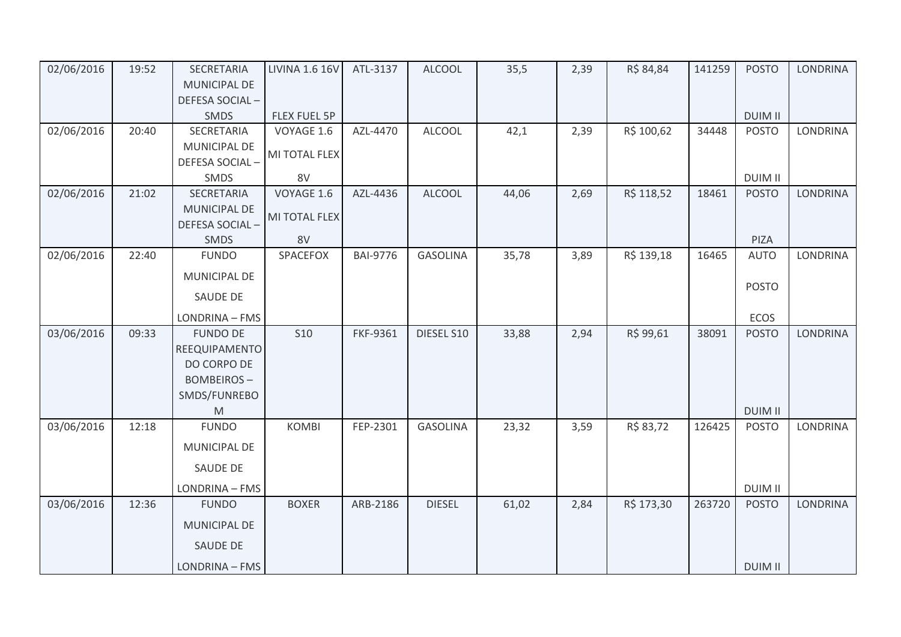| 02/06/2016 | 19:52 | SECRETARIA                            | <b>LIVINA 1.6 16V</b> | ATL-3137        | <b>ALCOOL</b>   | 35,5  | 2,39 | R\$ 84,84  | 141259 | <b>POSTO</b>   | <b>LONDRINA</b> |
|------------|-------|---------------------------------------|-----------------------|-----------------|-----------------|-------|------|------------|--------|----------------|-----------------|
|            |       | MUNICIPAL DE                          |                       |                 |                 |       |      |            |        |                |                 |
|            |       | DEFESA SOCIAL-                        |                       |                 |                 |       |      |            |        |                |                 |
|            |       | SMDS                                  | <b>FLEX FUEL 5P</b>   |                 |                 |       |      |            |        | <b>DUIM II</b> |                 |
| 02/06/2016 | 20:40 | SECRETARIA                            | VOYAGE 1.6            | AZL-4470        | <b>ALCOOL</b>   | 42,1  | 2,39 | R\$ 100,62 | 34448  | <b>POSTO</b>   | <b>LONDRINA</b> |
|            |       | <b>MUNICIPAL DE</b>                   | MI TOTAL FLEX         |                 |                 |       |      |            |        |                |                 |
|            |       | DEFESA SOCIAL-                        |                       |                 |                 |       |      |            |        |                |                 |
|            |       | SMDS                                  | 8V                    |                 |                 |       |      |            |        | <b>DUIM II</b> |                 |
| 02/06/2016 | 21:02 | SECRETARIA                            | VOYAGE 1.6            | AZL-4436        | <b>ALCOOL</b>   | 44,06 | 2,69 | R\$ 118,52 | 18461  | <b>POSTO</b>   | <b>LONDRINA</b> |
|            |       | <b>MUNICIPAL DE</b><br>DEFESA SOCIAL- | MI TOTAL FLEX         |                 |                 |       |      |            |        |                |                 |
|            |       | SMDS                                  | 8V                    |                 |                 |       |      |            |        | PIZA           |                 |
| 02/06/2016 | 22:40 | <b>FUNDO</b>                          | SPACEFOX              | <b>BAI-9776</b> | <b>GASOLINA</b> | 35,78 | 3,89 | R\$ 139,18 | 16465  | <b>AUTO</b>    | <b>LONDRINA</b> |
|            |       | MUNICIPAL DE                          |                       |                 |                 |       |      |            |        | <b>POSTO</b>   |                 |
|            |       | SAUDE DE                              |                       |                 |                 |       |      |            |        |                |                 |
|            |       | LONDRINA - FMS                        |                       |                 |                 |       |      |            |        | ECOS           |                 |
| 03/06/2016 | 09:33 | <b>FUNDO DE</b>                       | <b>S10</b>            | FKF-9361        | DIESEL S10      | 33,88 | 2,94 | R\$ 99,61  | 38091  | <b>POSTO</b>   | LONDRINA        |
|            |       | REEQUIPAMENTO                         |                       |                 |                 |       |      |            |        |                |                 |
|            |       | DO CORPO DE                           |                       |                 |                 |       |      |            |        |                |                 |
|            |       | <b>BOMBEIROS-</b>                     |                       |                 |                 |       |      |            |        |                |                 |
|            |       | SMDS/FUNREBO                          |                       |                 |                 |       |      |            |        |                |                 |
|            |       | M                                     |                       |                 |                 |       |      |            |        | <b>DUIM II</b> |                 |
| 03/06/2016 | 12:18 | <b>FUNDO</b>                          | <b>KOMBI</b>          | FEP-2301        | <b>GASOLINA</b> | 23,32 | 3,59 | R\$ 83,72  | 126425 | <b>POSTO</b>   | <b>LONDRINA</b> |
|            |       | MUNICIPAL DE                          |                       |                 |                 |       |      |            |        |                |                 |
|            |       | <b>SAUDE DE</b>                       |                       |                 |                 |       |      |            |        |                |                 |
|            |       | LONDRINA - FMS                        |                       |                 |                 |       |      |            |        | <b>DUIM II</b> |                 |
| 03/06/2016 | 12:36 | <b>FUNDO</b>                          | <b>BOXER</b>          | ARB-2186        | <b>DIESEL</b>   | 61,02 | 2,84 | R\$ 173,30 | 263720 | <b>POSTO</b>   | LONDRINA        |
|            |       | <b>MUNICIPAL DE</b>                   |                       |                 |                 |       |      |            |        |                |                 |
|            |       | <b>SAUDE DE</b>                       |                       |                 |                 |       |      |            |        |                |                 |
|            |       | LONDRINA - FMS                        |                       |                 |                 |       |      |            |        | <b>DUIM II</b> |                 |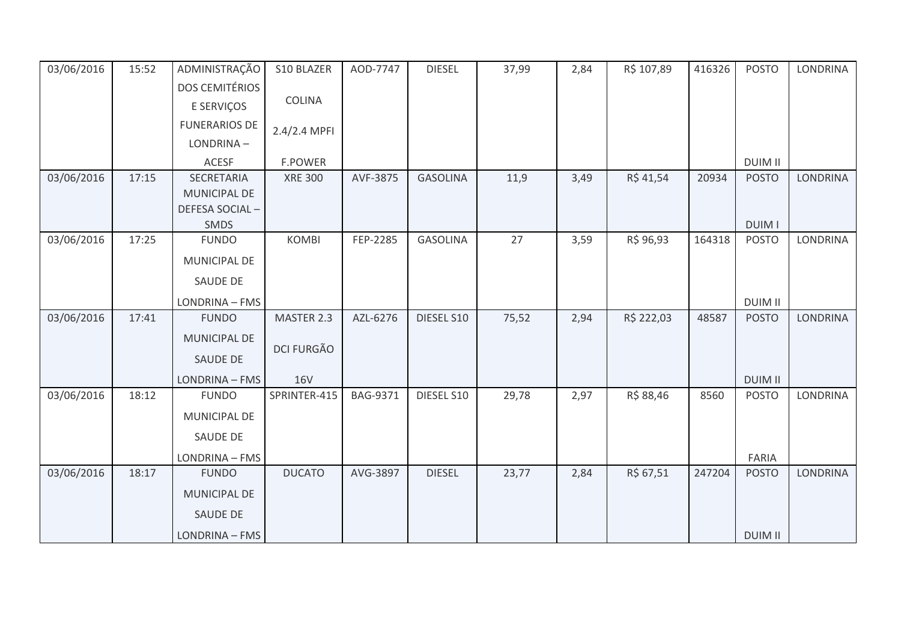| 03/06/2016 | 15:52 | ADMINISTRAÇÃO         | S10 BLAZER        | AOD-7747        | <b>DIESEL</b>   | 37,99 | 2,84 | R\$ 107,89 | 416326 | <b>POSTO</b>   | <b>LONDRINA</b> |
|------------|-------|-----------------------|-------------------|-----------------|-----------------|-------|------|------------|--------|----------------|-----------------|
|            |       | <b>DOS CEMITÉRIOS</b> |                   |                 |                 |       |      |            |        |                |                 |
|            |       | E SERVIÇOS            | <b>COLINA</b>     |                 |                 |       |      |            |        |                |                 |
|            |       | <b>FUNERARIOS DE</b>  | 2.4/2.4 MPFI      |                 |                 |       |      |            |        |                |                 |
|            |       | LONDRINA-             |                   |                 |                 |       |      |            |        |                |                 |
|            |       | ACESF                 | F.POWER           |                 |                 |       |      |            |        | <b>DUIM II</b> |                 |
| 03/06/2016 | 17:15 | <b>SECRETARIA</b>     | <b>XRE 300</b>    | AVF-3875        | <b>GASOLINA</b> | 11,9  | 3,49 | R\$ 41,54  | 20934  | <b>POSTO</b>   | <b>LONDRINA</b> |
|            |       | MUNICIPAL DE          |                   |                 |                 |       |      |            |        |                |                 |
|            |       | DEFESA SOCIAL-        |                   |                 |                 |       |      |            |        |                |                 |
|            |       | SMDS                  |                   |                 |                 |       |      |            |        | <b>DUIM I</b>  |                 |
| 03/06/2016 | 17:25 | <b>FUNDO</b>          | <b>KOMBI</b>      | FEP-2285        | <b>GASOLINA</b> | 27    | 3,59 | R\$ 96,93  | 164318 | <b>POSTO</b>   | <b>LONDRINA</b> |
|            |       | MUNICIPAL DE          |                   |                 |                 |       |      |            |        |                |                 |
|            |       | <b>SAUDE DE</b>       |                   |                 |                 |       |      |            |        |                |                 |
|            |       | LONDRINA - FMS        |                   |                 |                 |       |      |            |        | <b>DUIM II</b> |                 |
| 03/06/2016 | 17:41 | <b>FUNDO</b>          | MASTER 2.3        | AZL-6276        | DIESEL S10      | 75,52 | 2,94 | R\$ 222,03 | 48587  | <b>POSTO</b>   | <b>LONDRINA</b> |
|            |       | MUNICIPAL DE          | <b>DCI FURGÃO</b> |                 |                 |       |      |            |        |                |                 |
|            |       | <b>SAUDE DE</b>       |                   |                 |                 |       |      |            |        |                |                 |
|            |       | LONDRINA - FMS        | <b>16V</b>        |                 |                 |       |      |            |        | <b>DUIM II</b> |                 |
| 03/06/2016 | 18:12 | <b>FUNDO</b>          | SPRINTER-415      | <b>BAG-9371</b> | DIESEL S10      | 29,78 | 2,97 | R\$ 88,46  | 8560   | <b>POSTO</b>   | <b>LONDRINA</b> |
|            |       | MUNICIPAL DE          |                   |                 |                 |       |      |            |        |                |                 |
|            |       | SAUDE DE              |                   |                 |                 |       |      |            |        |                |                 |
|            |       | LONDRINA - FMS        |                   |                 |                 |       |      |            |        | FARIA          |                 |
| 03/06/2016 | 18:17 | <b>FUNDO</b>          | <b>DUCATO</b>     | AVG-3897        | <b>DIESEL</b>   | 23,77 | 2,84 | R\$ 67,51  | 247204 | <b>POSTO</b>   | <b>LONDRINA</b> |
|            |       | <b>MUNICIPAL DE</b>   |                   |                 |                 |       |      |            |        |                |                 |
|            |       | <b>SAUDE DE</b>       |                   |                 |                 |       |      |            |        |                |                 |
|            |       | LONDRINA - FMS        |                   |                 |                 |       |      |            |        | <b>DUIM II</b> |                 |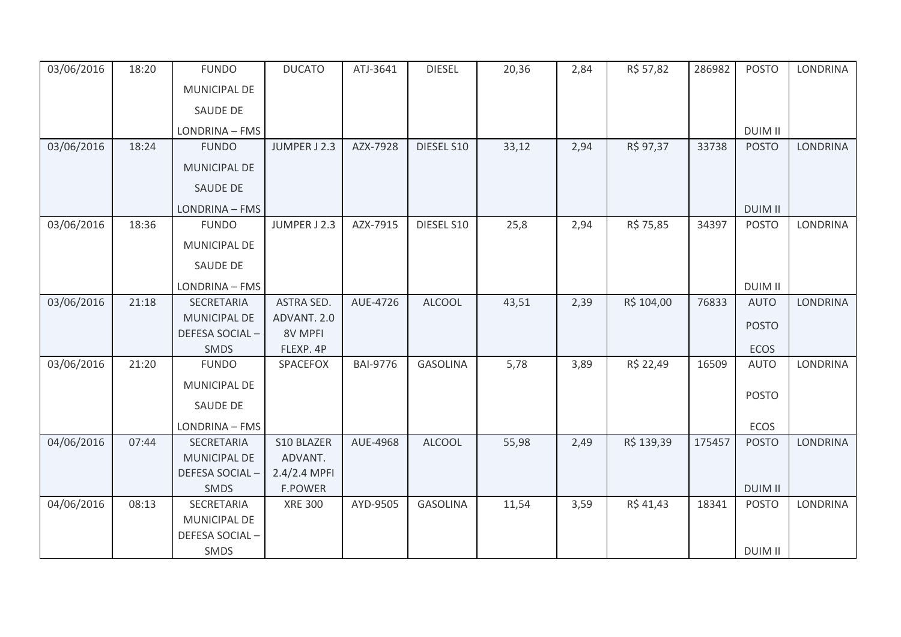| 03/06/2016 | 18:20 | <b>FUNDO</b>        | <b>DUCATO</b>     | ATJ-3641        | <b>DIESEL</b>   | 20,36 | 2,84 | R\$ 57,82  | 286982 | <b>POSTO</b>   | <b>LONDRINA</b> |
|------------|-------|---------------------|-------------------|-----------------|-----------------|-------|------|------------|--------|----------------|-----------------|
|            |       | MUNICIPAL DE        |                   |                 |                 |       |      |            |        |                |                 |
|            |       | <b>SAUDE DE</b>     |                   |                 |                 |       |      |            |        |                |                 |
|            |       | LONDRINA - FMS      |                   |                 |                 |       |      |            |        | <b>DUIM II</b> |                 |
| 03/06/2016 | 18:24 | <b>FUNDO</b>        | JUMPER J 2.3      | AZX-7928        | DIESEL S10      | 33,12 | 2,94 | R\$ 97,37  | 33738  | <b>POSTO</b>   | <b>LONDRINA</b> |
|            |       | <b>MUNICIPAL DE</b> |                   |                 |                 |       |      |            |        |                |                 |
|            |       | <b>SAUDE DE</b>     |                   |                 |                 |       |      |            |        |                |                 |
|            |       | LONDRINA - FMS      |                   |                 |                 |       |      |            |        | <b>DUIM II</b> |                 |
| 03/06/2016 | 18:36 | <b>FUNDO</b>        | JUMPER J 2.3      | AZX-7915        | DIESEL S10      | 25,8  | 2,94 | R\$ 75,85  | 34397  | <b>POSTO</b>   | LONDRINA        |
|            |       | MUNICIPAL DE        |                   |                 |                 |       |      |            |        |                |                 |
|            |       | <b>SAUDE DE</b>     |                   |                 |                 |       |      |            |        |                |                 |
|            |       | LONDRINA - FMS      |                   |                 |                 |       |      |            |        | <b>DUIM II</b> |                 |
| 03/06/2016 | 21:18 | SECRETARIA          | <b>ASTRA SED.</b> | AUE-4726        | <b>ALCOOL</b>   | 43,51 | 2,39 | R\$ 104,00 | 76833  | <b>AUTO</b>    | <b>LONDRINA</b> |
|            |       | MUNICIPAL DE        | ADVANT. 2.0       |                 |                 |       |      |            |        | <b>POSTO</b>   |                 |
|            |       | DEFESA SOCIAL-      | <b>8V MPFI</b>    |                 |                 |       |      |            |        |                |                 |
|            |       | <b>SMDS</b>         | FLEXP. 4P         |                 |                 |       |      |            |        | <b>ECOS</b>    |                 |
| 03/06/2016 | 21:20 | <b>FUNDO</b>        | SPACEFOX          | <b>BAI-9776</b> | <b>GASOLINA</b> | 5,78  | 3,89 | R\$ 22,49  | 16509  | <b>AUTO</b>    | <b>LONDRINA</b> |
|            |       | MUNICIPAL DE        |                   |                 |                 |       |      |            |        |                |                 |
|            |       | SAUDE DE            |                   |                 |                 |       |      |            |        | <b>POSTO</b>   |                 |
|            |       | LONDRINA - FMS      |                   |                 |                 |       |      |            |        | ECOS           |                 |
| 04/06/2016 | 07:44 | SECRETARIA          | S10 BLAZER        | AUE-4968        | <b>ALCOOL</b>   | 55,98 | 2,49 | R\$ 139,39 | 175457 | <b>POSTO</b>   | <b>LONDRINA</b> |
|            |       | MUNICIPAL DE        | ADVANT.           |                 |                 |       |      |            |        |                |                 |
|            |       | DEFESA SOCIAL-      | 2.4/2.4 MPFI      |                 |                 |       |      |            |        |                |                 |
|            |       | SMDS                | <b>F.POWER</b>    |                 |                 |       |      |            |        | <b>DUIM II</b> |                 |
| 04/06/2016 | 08:13 | SECRETARIA          | <b>XRE 300</b>    | AYD-9505        | <b>GASOLINA</b> | 11,54 | 3,59 | R\$ 41,43  | 18341  | <b>POSTO</b>   | <b>LONDRINA</b> |
|            |       | MUNICIPAL DE        |                   |                 |                 |       |      |            |        |                |                 |
|            |       | DEFESA SOCIAL-      |                   |                 |                 |       |      |            |        |                |                 |
|            |       | SMDS                |                   |                 |                 |       |      |            |        | <b>DUIM II</b> |                 |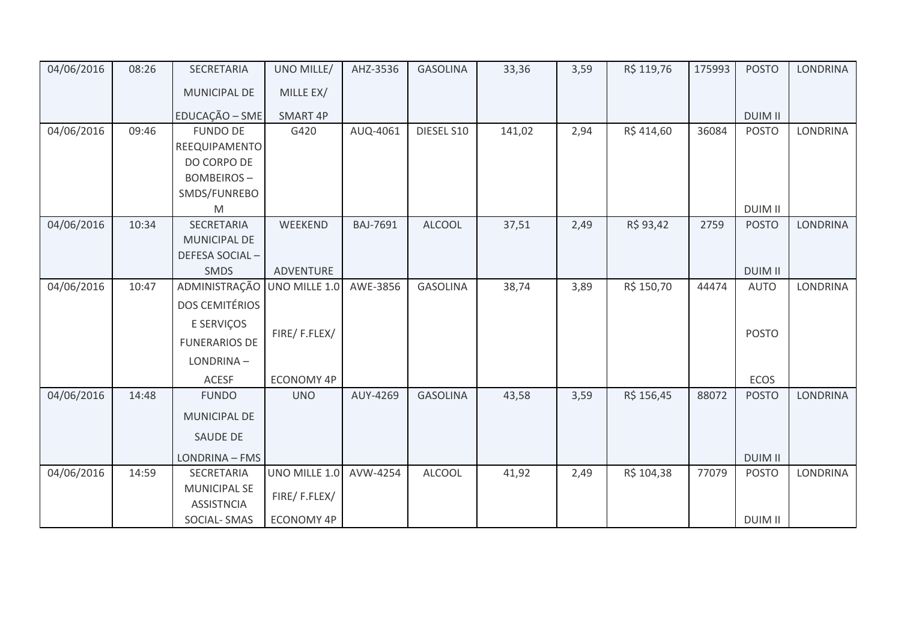| 04/06/2016 | 08:26 | SECRETARIA                               | UNO MILLE/      | AHZ-3536        | <b>GASOLINA</b> | 33,36  | 3,59 | R\$ 119,76 | 175993 | <b>POSTO</b>   | <b>LONDRINA</b> |
|------------|-------|------------------------------------------|-----------------|-----------------|-----------------|--------|------|------------|--------|----------------|-----------------|
|            |       | MUNICIPAL DE                             | MILLE EX/       |                 |                 |        |      |            |        |                |                 |
|            |       | EDUCAÇÃO - SME                           | <b>SMART 4P</b> |                 |                 |        |      |            |        | <b>DUIM II</b> |                 |
| 04/06/2016 | 09:46 | <b>FUNDO DE</b>                          | G420            | AUQ-4061        | DIESEL S10      | 141,02 | 2,94 | R\$414,60  | 36084  | <b>POSTO</b>   | <b>LONDRINA</b> |
|            |       | REEQUIPAMENTO                            |                 |                 |                 |        |      |            |        |                |                 |
|            |       | DO CORPO DE                              |                 |                 |                 |        |      |            |        |                |                 |
|            |       | <b>BOMBEIROS-</b>                        |                 |                 |                 |        |      |            |        |                |                 |
|            |       | SMDS/FUNREBO                             |                 |                 |                 |        |      |            |        |                |                 |
|            |       | M                                        |                 |                 |                 |        |      |            |        | <b>DUIM II</b> |                 |
| 04/06/2016 | 10:34 | <b>SECRETARIA</b>                        | WEEKEND         | <b>BAJ-7691</b> | <b>ALCOOL</b>   | 37,51  | 2,49 | R\$ 93,42  | 2759   | <b>POSTO</b>   | <b>LONDRINA</b> |
|            |       | MUNICIPAL DE                             |                 |                 |                 |        |      |            |        |                |                 |
|            |       | DEFESA SOCIAL-                           |                 |                 |                 |        |      |            |        |                |                 |
|            |       | SMDS                                     | ADVENTURE       |                 |                 |        |      |            |        | <b>DUIM II</b> |                 |
| 04/06/2016 | 10:47 | ADMINISTRAÇÃO                            | UNO MILLE 1.0   | AWE-3856        | <b>GASOLINA</b> | 38,74  | 3,89 | R\$ 150,70 | 44474  | <b>AUTO</b>    | LONDRINA        |
|            |       | <b>DOS CEMITÉRIOS</b>                    |                 |                 |                 |        |      |            |        |                |                 |
|            |       | E SERVIÇOS                               |                 |                 |                 |        |      |            |        |                |                 |
|            |       | <b>FUNERARIOS DE</b>                     | FIRE/F.FLEX/    |                 |                 |        |      |            |        | <b>POSTO</b>   |                 |
|            |       | LONDRINA-                                |                 |                 |                 |        |      |            |        |                |                 |
|            |       | <b>ACESF</b>                             | ECONOMY 4P      |                 |                 |        |      |            |        | ECOS           |                 |
| 04/06/2016 | 14:48 | <b>FUNDO</b>                             | <b>UNO</b>      | AUY-4269        | <b>GASOLINA</b> | 43,58  | 3,59 | R\$ 156,45 | 88072  | <b>POSTO</b>   | LONDRINA        |
|            |       | <b>MUNICIPAL DE</b>                      |                 |                 |                 |        |      |            |        |                |                 |
|            |       | SAUDE DE                                 |                 |                 |                 |        |      |            |        |                |                 |
|            |       | LONDRINA - FMS                           |                 |                 |                 |        |      |            |        | <b>DUIM II</b> |                 |
| 04/06/2016 | 14:59 | SECRETARIA                               | UNO MILLE 1.0   | AVW-4254        | <b>ALCOOL</b>   | 41,92  | 2,49 | R\$ 104,38 | 77079  | <b>POSTO</b>   | <b>LONDRINA</b> |
|            |       | <b>MUNICIPAL SE</b><br><b>ASSISTNCIA</b> | FIRE/F.FLEX/    |                 |                 |        |      |            |        |                |                 |
|            |       | SOCIAL-SMAS                              | ECONOMY 4P      |                 |                 |        |      |            |        | <b>DUIM II</b> |                 |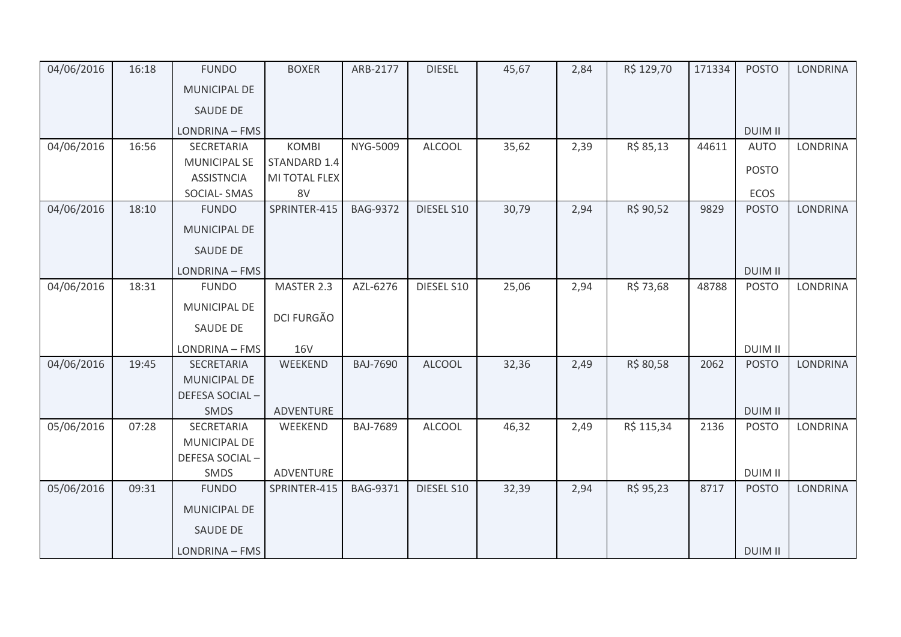| 04/06/2016 | 16:18 | <b>FUNDO</b>          | <b>BOXER</b>      | ARB-2177        | <b>DIESEL</b> | 45,67 | 2,84 | R\$ 129,70 | 171334 | <b>POSTO</b>   | <b>LONDRINA</b> |
|------------|-------|-----------------------|-------------------|-----------------|---------------|-------|------|------------|--------|----------------|-----------------|
|            |       | <b>MUNICIPAL DE</b>   |                   |                 |               |       |      |            |        |                |                 |
|            |       | SAUDE DE              |                   |                 |               |       |      |            |        |                |                 |
|            |       | LONDRINA - FMS        |                   |                 |               |       |      |            |        | <b>DUIM II</b> |                 |
| 04/06/2016 | 16:56 | SECRETARIA            | <b>KOMBI</b>      | NYG-5009        | <b>ALCOOL</b> | 35,62 | 2,39 | R\$ 85,13  | 44611  | <b>AUTO</b>    | LONDRINA        |
|            |       | <b>MUNICIPAL SE</b>   | STANDARD 1.4      |                 |               |       |      |            |        | <b>POSTO</b>   |                 |
|            |       | <b>ASSISTNCIA</b>     | MI TOTAL FLEX     |                 |               |       |      |            |        |                |                 |
|            |       | SOCIAL-SMAS           | 8V                |                 |               |       |      |            |        | ECOS           |                 |
| 04/06/2016 | 18:10 | <b>FUNDO</b>          | SPRINTER-415      | <b>BAG-9372</b> | DIESEL S10    | 30,79 | 2,94 | R\$ 90,52  | 9829   | <b>POSTO</b>   | <b>LONDRINA</b> |
|            |       | <b>MUNICIPAL DE</b>   |                   |                 |               |       |      |            |        |                |                 |
|            |       | <b>SAUDE DE</b>       |                   |                 |               |       |      |            |        |                |                 |
|            |       | LONDRINA - FMS        |                   |                 |               |       |      |            |        | <b>DUIM II</b> |                 |
| 04/06/2016 | 18:31 | <b>FUNDO</b>          | MASTER 2.3        | AZL-6276        | DIESEL S10    | 25,06 | 2,94 | R\$ 73,68  | 48788  | <b>POSTO</b>   | <b>LONDRINA</b> |
|            |       | <b>MUNICIPAL DE</b>   |                   |                 |               |       |      |            |        |                |                 |
|            |       | <b>SAUDE DE</b>       | <b>DCI FURGÃO</b> |                 |               |       |      |            |        |                |                 |
|            |       | LONDRINA - FMS        | <b>16V</b>        |                 |               |       |      |            |        | <b>DUIM II</b> |                 |
| 04/06/2016 | 19:45 | SECRETARIA            | WEEKEND           | <b>BAJ-7690</b> | <b>ALCOOL</b> | 32,36 | 2,49 | R\$ 80,58  | 2062   | <b>POSTO</b>   | <b>LONDRINA</b> |
|            |       | MUNICIPAL DE          |                   |                 |               |       |      |            |        |                |                 |
|            |       | <b>DEFESA SOCIAL-</b> |                   |                 |               |       |      |            |        |                |                 |
|            |       | <b>SMDS</b>           | ADVENTURE         |                 |               |       |      |            |        | <b>DUIM II</b> |                 |
| 05/06/2016 | 07:28 | SECRETARIA            | WEEKEND           | <b>BAJ-7689</b> | <b>ALCOOL</b> | 46,32 | 2,49 | R\$ 115,34 | 2136   | <b>POSTO</b>   | <b>LONDRINA</b> |
|            |       | MUNICIPAL DE          |                   |                 |               |       |      |            |        |                |                 |
|            |       | DEFESA SOCIAL-        |                   |                 |               |       |      |            |        |                |                 |
|            |       | SMDS                  | ADVENTURE         |                 |               |       |      |            |        | <b>DUIM II</b> |                 |
| 05/06/2016 | 09:31 | <b>FUNDO</b>          | SPRINTER-415      | <b>BAG-9371</b> | DIESEL S10    | 32,39 | 2,94 | R\$ 95,23  | 8717   | <b>POSTO</b>   | <b>LONDRINA</b> |
|            |       | <b>MUNICIPAL DE</b>   |                   |                 |               |       |      |            |        |                |                 |
|            |       | SAUDE DE              |                   |                 |               |       |      |            |        |                |                 |
|            |       | LONDRINA - FMS        |                   |                 |               |       |      |            |        | <b>DUIM II</b> |                 |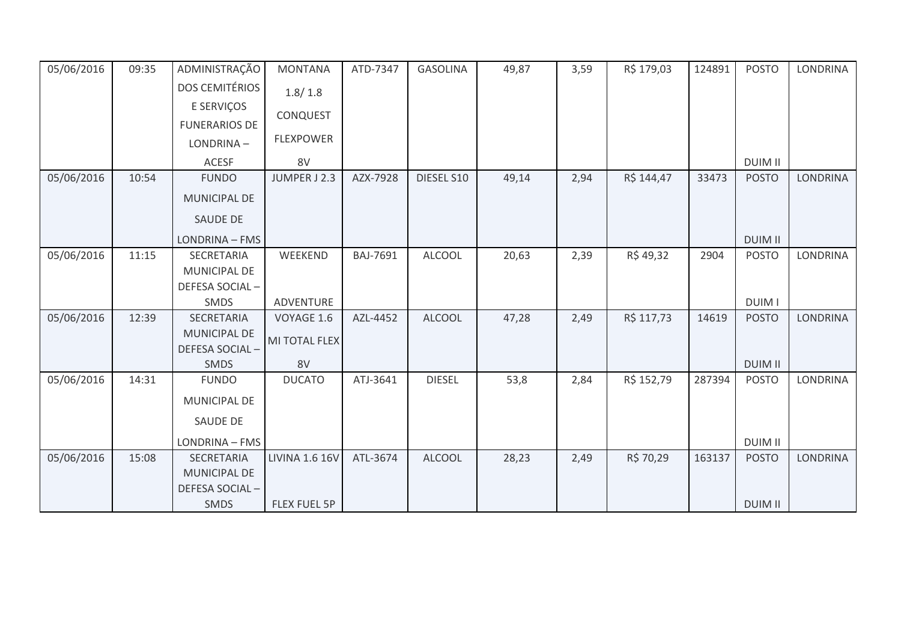| 05/06/2016 | 09:35 | ADMINISTRAÇÃO         | <b>MONTANA</b>          | ATD-7347 | <b>GASOLINA</b> | 49,87 | 3,59 | R\$ 179,03 | 124891 | <b>POSTO</b>   | LONDRINA        |
|------------|-------|-----------------------|-------------------------|----------|-----------------|-------|------|------------|--------|----------------|-----------------|
|            |       | <b>DOS CEMITÉRIOS</b> | 1.8/1.8                 |          |                 |       |      |            |        |                |                 |
|            |       | E SERVIÇOS            | <b>CONQUEST</b>         |          |                 |       |      |            |        |                |                 |
|            |       | <b>FUNERARIOS DE</b>  |                         |          |                 |       |      |            |        |                |                 |
|            |       | LONDRINA-             | <b>FLEXPOWER</b>        |          |                 |       |      |            |        |                |                 |
|            |       | <b>ACESF</b>          | 8V                      |          |                 |       |      |            |        | <b>DUIM II</b> |                 |
| 05/06/2016 | 10:54 | <b>FUNDO</b>          | JUMPER J 2.3            | AZX-7928 | DIESEL S10      | 49,14 | 2,94 | R\$ 144,47 | 33473  | <b>POSTO</b>   | <b>LONDRINA</b> |
|            |       | MUNICIPAL DE          |                         |          |                 |       |      |            |        |                |                 |
|            |       | <b>SAUDE DE</b>       |                         |          |                 |       |      |            |        |                |                 |
|            |       | LONDRINA - FMS        |                         |          |                 |       |      |            |        | <b>DUIM II</b> |                 |
| 05/06/2016 | 11:15 | SECRETARIA            | WEEKEND                 | BAJ-7691 | <b>ALCOOL</b>   | 20,63 | 2,39 | R\$49,32   | 2904   | <b>POSTO</b>   | LONDRINA        |
|            |       | MUNICIPAL DE          |                         |          |                 |       |      |            |        |                |                 |
|            |       | DEFESA SOCIAL-        |                         |          |                 |       |      |            |        | <b>DUIM I</b>  |                 |
| 05/06/2016 | 12:39 | SMDS<br>SECRETARIA    | ADVENTURE<br>VOYAGE 1.6 | AZL-4452 | <b>ALCOOL</b>   | 47,28 | 2,49 | R\$ 117,73 | 14619  | <b>POSTO</b>   | <b>LONDRINA</b> |
|            |       | <b>MUNICIPAL DE</b>   |                         |          |                 |       |      |            |        |                |                 |
|            |       | DEFESA SOCIAL-        | MI TOTAL FLEX           |          |                 |       |      |            |        |                |                 |
|            |       | <b>SMDS</b>           | 8V                      |          |                 |       |      |            |        | <b>DUIM II</b> |                 |
| 05/06/2016 | 14:31 | <b>FUNDO</b>          | <b>DUCATO</b>           | ATJ-3641 | <b>DIESEL</b>   | 53,8  | 2,84 | R\$ 152,79 | 287394 | <b>POSTO</b>   | LONDRINA        |
|            |       | MUNICIPAL DE          |                         |          |                 |       |      |            |        |                |                 |
|            |       | <b>SAUDE DE</b>       |                         |          |                 |       |      |            |        |                |                 |
|            |       | LONDRINA - FMS        |                         |          |                 |       |      |            |        | <b>DUIM II</b> |                 |
| 05/06/2016 | 15:08 | <b>SECRETARIA</b>     | <b>LIVINA 1.6 16V</b>   | ATL-3674 | <b>ALCOOL</b>   | 28,23 | 2,49 | R\$ 70,29  | 163137 | <b>POSTO</b>   | <b>LONDRINA</b> |
|            |       | MUNICIPAL DE          |                         |          |                 |       |      |            |        |                |                 |
|            |       | DEFESA SOCIAL-        |                         |          |                 |       |      |            |        |                |                 |
|            |       | <b>SMDS</b>           | FLEX FUEL 5P            |          |                 |       |      |            |        | <b>DUIM II</b> |                 |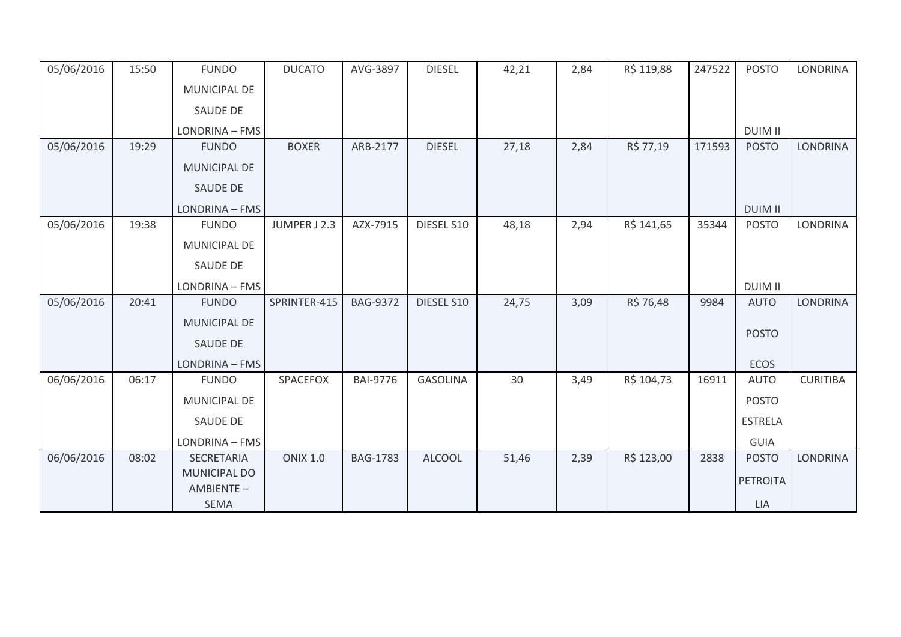| 05/06/2016 | 15:50 | <b>FUNDO</b>             | <b>DUCATO</b>   | AVG-3897        | <b>DIESEL</b>   | 42,21 | 2,84 | R\$ 119,88 | 247522 | <b>POSTO</b>    | <b>LONDRINA</b> |
|------------|-------|--------------------------|-----------------|-----------------|-----------------|-------|------|------------|--------|-----------------|-----------------|
|            |       | MUNICIPAL DE             |                 |                 |                 |       |      |            |        |                 |                 |
|            |       | <b>SAUDE DE</b>          |                 |                 |                 |       |      |            |        |                 |                 |
|            |       | LONDRINA - FMS           |                 |                 |                 |       |      |            |        | <b>DUIM II</b>  |                 |
| 05/06/2016 | 19:29 | <b>FUNDO</b>             | <b>BOXER</b>    | ARB-2177        | <b>DIESEL</b>   | 27,18 | 2,84 | R\$ 77,19  | 171593 | <b>POSTO</b>    | <b>LONDRINA</b> |
|            |       | MUNICIPAL DE             |                 |                 |                 |       |      |            |        |                 |                 |
|            |       | <b>SAUDE DE</b>          |                 |                 |                 |       |      |            |        |                 |                 |
|            |       | LONDRINA - FMS           |                 |                 |                 |       |      |            |        | <b>DUIM II</b>  |                 |
| 05/06/2016 | 19:38 | <b>FUNDO</b>             | JUMPER J 2.3    | AZX-7915        | DIESEL S10      | 48,18 | 2,94 | R\$ 141,65 | 35344  | <b>POSTO</b>    | LONDRINA        |
|            |       | MUNICIPAL DE             |                 |                 |                 |       |      |            |        |                 |                 |
|            |       | <b>SAUDE DE</b>          |                 |                 |                 |       |      |            |        |                 |                 |
|            |       | LONDRINA - FMS           |                 |                 |                 |       |      |            |        | <b>DUIM II</b>  |                 |
| 05/06/2016 | 20:41 | <b>FUNDO</b>             | SPRINTER-415    | <b>BAG-9372</b> | DIESEL S10      | 24,75 | 3,09 | R\$ 76,48  | 9984   | <b>AUTO</b>     | <b>LONDRINA</b> |
|            |       | MUNICIPAL DE             |                 |                 |                 |       |      |            |        |                 |                 |
|            |       | SAUDE DE                 |                 |                 |                 |       |      |            |        | <b>POSTO</b>    |                 |
|            |       | LONDRINA - FMS           |                 |                 |                 |       |      |            |        | <b>ECOS</b>     |                 |
| 06/06/2016 | 06:17 | <b>FUNDO</b>             | SPACEFOX        | <b>BAI-9776</b> | <b>GASOLINA</b> | 30    | 3,49 | R\$ 104,73 | 16911  | <b>AUTO</b>     | <b>CURITIBA</b> |
|            |       | <b>MUNICIPAL DE</b>      |                 |                 |                 |       |      |            |        | <b>POSTO</b>    |                 |
|            |       | SAUDE DE                 |                 |                 |                 |       |      |            |        | <b>ESTRELA</b>  |                 |
|            |       | LONDRINA - FMS           |                 |                 |                 |       |      |            |        | <b>GUIA</b>     |                 |
| 06/06/2016 | 08:02 | SECRETARIA               | <b>ONIX 1.0</b> | <b>BAG-1783</b> | <b>ALCOOL</b>   | 51,46 | 2,39 | R\$ 123,00 | 2838   | <b>POSTO</b>    | <b>LONDRINA</b> |
|            |       | MUNICIPAL DO             |                 |                 |                 |       |      |            |        | <b>PETROITA</b> |                 |
|            |       | AMBIENTE-<br><b>SEMA</b> |                 |                 |                 |       |      |            |        | LIA             |                 |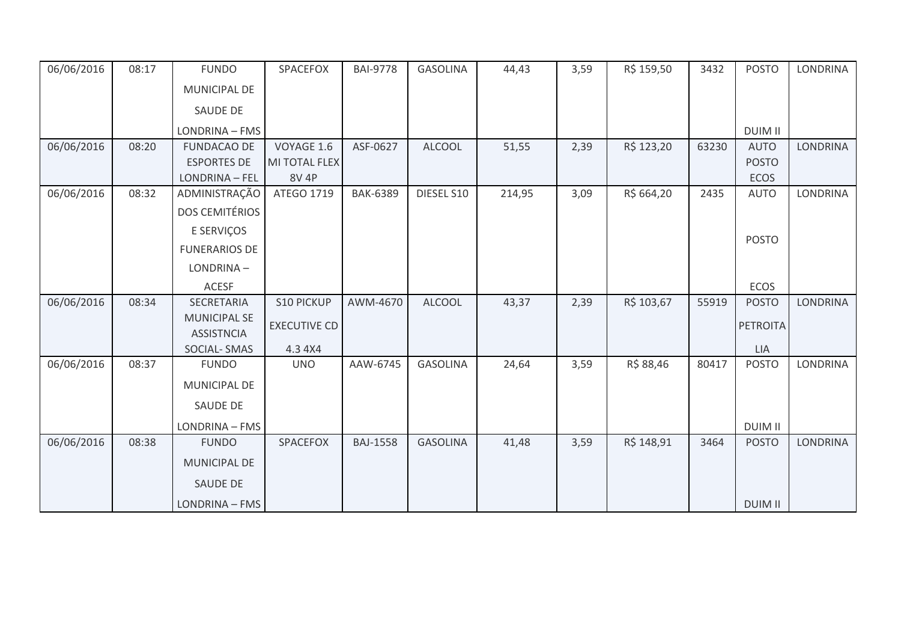| 06/06/2016 | 08:17 | <b>FUNDO</b>          | SPACEFOX            | <b>BAI-9778</b> | <b>GASOLINA</b> | 44,43  | 3,59 | R\$ 159,50 | 3432  | <b>POSTO</b>    | <b>LONDRINA</b> |
|------------|-------|-----------------------|---------------------|-----------------|-----------------|--------|------|------------|-------|-----------------|-----------------|
|            |       | MUNICIPAL DE          |                     |                 |                 |        |      |            |       |                 |                 |
|            |       | SAUDE DE              |                     |                 |                 |        |      |            |       |                 |                 |
|            |       | LONDRINA - FMS        |                     |                 |                 |        |      |            |       | <b>DUIM II</b>  |                 |
| 06/06/2016 | 08:20 | <b>FUNDACAO DE</b>    | VOYAGE 1.6          | ASF-0627        | <b>ALCOOL</b>   | 51,55  | 2,39 | R\$ 123,20 | 63230 | <b>AUTO</b>     | <b>LONDRINA</b> |
|            |       | <b>ESPORTES DE</b>    | MI TOTAL FLEX       |                 |                 |        |      |            |       | <b>POSTO</b>    |                 |
|            |       | LONDRINA - FEL        | <b>8V 4P</b>        |                 |                 |        |      |            |       | <b>ECOS</b>     |                 |
| 06/06/2016 | 08:32 | ADMINISTRAÇÃO         | ATEGO 1719          | <b>BAK-6389</b> | DIESEL S10      | 214,95 | 3,09 | R\$ 664,20 | 2435  | <b>AUTO</b>     | <b>LONDRINA</b> |
|            |       | <b>DOS CEMITÉRIOS</b> |                     |                 |                 |        |      |            |       |                 |                 |
|            |       | E SERVIÇOS            |                     |                 |                 |        |      |            |       | <b>POSTO</b>    |                 |
|            |       | <b>FUNERARIOS DE</b>  |                     |                 |                 |        |      |            |       |                 |                 |
|            |       | LONDRINA-             |                     |                 |                 |        |      |            |       |                 |                 |
|            |       | <b>ACESF</b>          |                     |                 |                 |        |      |            |       | <b>ECOS</b>     |                 |
| 06/06/2016 | 08:34 | <b>SECRETARIA</b>     | <b>S10 PICKUP</b>   | AWM-4670        | <b>ALCOOL</b>   | 43,37  | 2,39 | R\$ 103,67 | 55919 | <b>POSTO</b>    | <b>LONDRINA</b> |
|            |       | <b>MUNICIPAL SE</b>   | <b>EXECUTIVE CD</b> |                 |                 |        |      |            |       | <b>PETROITA</b> |                 |
|            |       | <b>ASSISTNCIA</b>     |                     |                 |                 |        |      |            |       |                 |                 |
|            |       | SOCIAL-SMAS           | 4.3 4X4             |                 |                 |        |      |            |       | LIA             |                 |
| 06/06/2016 | 08:37 | <b>FUNDO</b>          | <b>UNO</b>          | AAW-6745        | <b>GASOLINA</b> | 24,64  | 3,59 | R\$ 88,46  | 80417 | <b>POSTO</b>    | <b>LONDRINA</b> |
|            |       | MUNICIPAL DE          |                     |                 |                 |        |      |            |       |                 |                 |
|            |       | SAUDE DE              |                     |                 |                 |        |      |            |       |                 |                 |
|            |       | LONDRINA - FMS        |                     |                 |                 |        |      |            |       | <b>DUIM II</b>  |                 |
| 06/06/2016 | 08:38 | <b>FUNDO</b>          | <b>SPACEFOX</b>     | <b>BAJ-1558</b> | <b>GASOLINA</b> | 41,48  | 3,59 | R\$ 148,91 | 3464  | <b>POSTO</b>    | <b>LONDRINA</b> |
|            |       | <b>MUNICIPAL DE</b>   |                     |                 |                 |        |      |            |       |                 |                 |
|            |       | <b>SAUDE DE</b>       |                     |                 |                 |        |      |            |       |                 |                 |
|            |       | LONDRINA - FMS        |                     |                 |                 |        |      |            |       | <b>DUIM II</b>  |                 |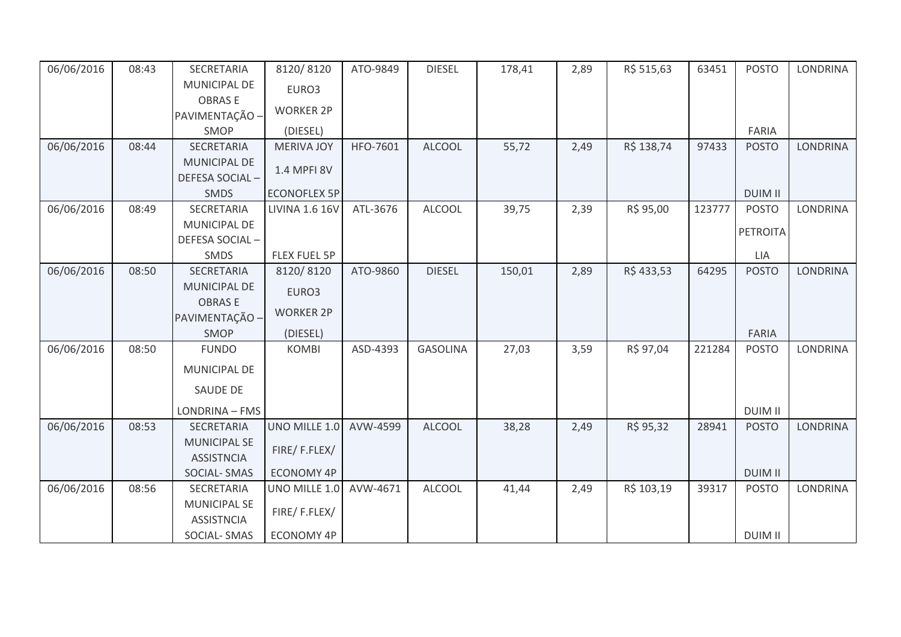| 06/06/2016 | 08:43 | SECRETARIA                               | 8120/8120             | ATO-9849 | <b>DIESEL</b>   | 178,41 | 2,89 | R\$ 515,63 | 63451  | <b>POSTO</b>    | <b>LONDRINA</b> |
|------------|-------|------------------------------------------|-----------------------|----------|-----------------|--------|------|------------|--------|-----------------|-----------------|
|            |       | MUNICIPAL DE                             | EURO3                 |          |                 |        |      |            |        |                 |                 |
|            |       | <b>OBRASE</b>                            |                       |          |                 |        |      |            |        |                 |                 |
|            |       | PAVIMENTAÇÃO -                           | <b>WORKER 2P</b>      |          |                 |        |      |            |        |                 |                 |
|            |       | SMOP                                     | (DIESEL)              |          |                 |        |      |            |        | FARIA           |                 |
| 06/06/2016 | 08:44 | <b>SECRETARIA</b>                        | <b>MERIVA JOY</b>     | HFO-7601 | <b>ALCOOL</b>   | 55,72  | 2,49 | R\$ 138,74 | 97433  | <b>POSTO</b>    | <b>LONDRINA</b> |
|            |       | <b>MUNICIPAL DE</b>                      | 1.4 MPFI 8V           |          |                 |        |      |            |        |                 |                 |
|            |       | DEFESA SOCIAL-                           |                       |          |                 |        |      |            |        |                 |                 |
|            |       | <b>SMDS</b>                              | <b>ECONOFLEX 5P</b>   |          |                 |        |      |            |        | <b>DUIM II</b>  |                 |
| 06/06/2016 | 08:49 | SECRETARIA                               | <b>LIVINA 1.6 16V</b> | ATL-3676 | <b>ALCOOL</b>   | 39,75  | 2,39 | R\$ 95,00  | 123777 | <b>POSTO</b>    | <b>LONDRINA</b> |
|            |       | <b>MUNICIPAL DE</b>                      |                       |          |                 |        |      |            |        | <b>PETROITA</b> |                 |
|            |       | DEFESA SOCIAL-                           |                       |          |                 |        |      |            |        |                 |                 |
|            |       | SMDS                                     | <b>FLEX FUEL 5P</b>   |          |                 |        |      |            |        | LIA             |                 |
| 06/06/2016 | 08:50 | SECRETARIA                               | 8120/8120             | ATO-9860 | <b>DIESEL</b>   | 150,01 | 2,89 | R\$433,53  | 64295  | <b>POSTO</b>    | <b>LONDRINA</b> |
|            |       | <b>MUNICIPAL DE</b>                      | EURO3                 |          |                 |        |      |            |        |                 |                 |
|            |       | <b>OBRASE</b>                            | <b>WORKER 2P</b>      |          |                 |        |      |            |        |                 |                 |
|            |       | PAVIMENTAÇÃO -                           |                       |          |                 |        |      |            |        |                 |                 |
|            |       | SMOP                                     | (DIESEL)              |          |                 |        |      |            |        | FARIA           |                 |
| 06/06/2016 | 08:50 | <b>FUNDO</b>                             | <b>KOMBI</b>          | ASD-4393 | <b>GASOLINA</b> | 27,03  | 3,59 | R\$ 97,04  | 221284 | <b>POSTO</b>    | LONDRINA        |
|            |       | MUNICIPAL DE                             |                       |          |                 |        |      |            |        |                 |                 |
|            |       | <b>SAUDE DE</b>                          |                       |          |                 |        |      |            |        |                 |                 |
|            |       | LONDRINA - FMS                           |                       |          |                 |        |      |            |        | <b>DUIM II</b>  |                 |
| 06/06/2016 | 08:53 | SECRETARIA                               | UNO MILLE 1.0         | AVW-4599 | <b>ALCOOL</b>   | 38,28  | 2,49 | R\$ 95,32  | 28941  | <b>POSTO</b>    | <b>LONDRINA</b> |
|            |       | <b>MUNICIPAL SE</b>                      | FIRE/F.FLEX/          |          |                 |        |      |            |        |                 |                 |
|            |       | <b>ASSISTNCIA</b>                        |                       |          |                 |        |      |            |        |                 |                 |
|            |       | <b>SOCIAL-SMAS</b>                       | <b>ECONOMY 4P</b>     |          |                 |        |      |            |        | <b>DUIM II</b>  |                 |
| 06/06/2016 | 08:56 | SECRETARIA                               | UNO MILLE 1.0         | AVW-4671 | <b>ALCOOL</b>   | 41,44  | 2,49 | R\$ 103,19 | 39317  | <b>POSTO</b>    | <b>LONDRINA</b> |
|            |       | <b>MUNICIPAL SE</b><br><b>ASSISTNCIA</b> | FIRE/F.FLEX/          |          |                 |        |      |            |        |                 |                 |
|            |       | SOCIAL-SMAS                              | <b>ECONOMY 4P</b>     |          |                 |        |      |            |        | <b>DUIM II</b>  |                 |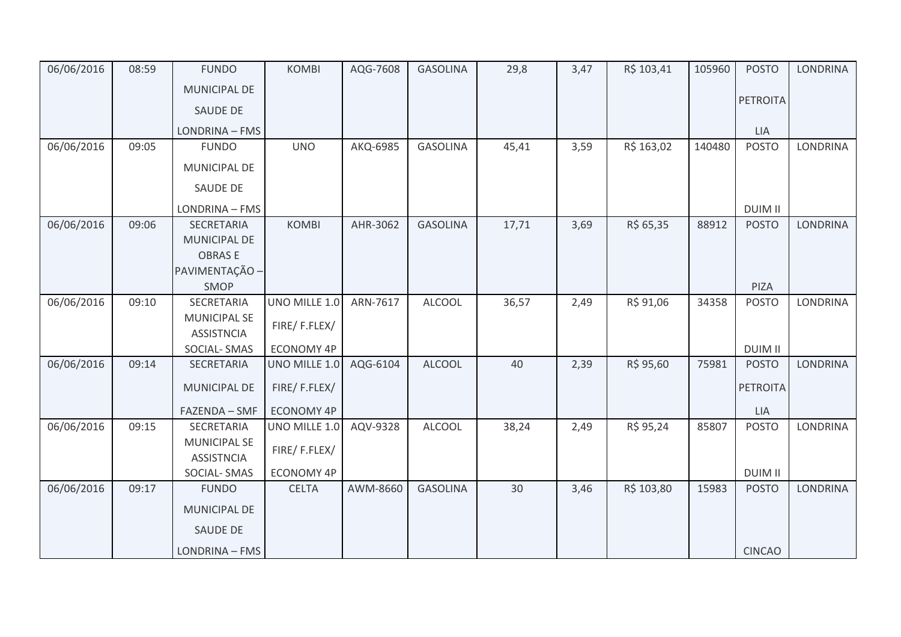| 06/06/2016 | 08:59 | <b>FUNDO</b>        | <b>KOMBI</b>      | AQG-7608 | <b>GASOLINA</b> | 29,8  | 3,47 | R\$ 103,41 | 105960 | <b>POSTO</b>    | <b>LONDRINA</b> |
|------------|-------|---------------------|-------------------|----------|-----------------|-------|------|------------|--------|-----------------|-----------------|
|            |       | <b>MUNICIPAL DE</b> |                   |          |                 |       |      |            |        |                 |                 |
|            |       | <b>SAUDE DE</b>     |                   |          |                 |       |      |            |        | <b>PETROITA</b> |                 |
|            |       | LONDRINA - FMS      |                   |          |                 |       |      |            |        | <b>LIA</b>      |                 |
| 06/06/2016 | 09:05 | <b>FUNDO</b>        | <b>UNO</b>        | AKQ-6985 | <b>GASOLINA</b> | 45,41 | 3,59 | R\$ 163,02 | 140480 | <b>POSTO</b>    | LONDRINA        |
|            |       | MUNICIPAL DE        |                   |          |                 |       |      |            |        |                 |                 |
|            |       | SAUDE DE            |                   |          |                 |       |      |            |        |                 |                 |
|            |       | LONDRINA - FMS      |                   |          |                 |       |      |            |        | <b>DUIM II</b>  |                 |
| 06/06/2016 | 09:06 | <b>SECRETARIA</b>   | <b>KOMBI</b>      | AHR-3062 | <b>GASOLINA</b> | 17,71 | 3,69 | R\$ 65,35  | 88912  | <b>POSTO</b>    | <b>LONDRINA</b> |
|            |       | <b>MUNICIPAL DE</b> |                   |          |                 |       |      |            |        |                 |                 |
|            |       | <b>OBRASE</b>       |                   |          |                 |       |      |            |        |                 |                 |
|            |       | PAVIMENTAÇÃO -      |                   |          |                 |       |      |            |        |                 |                 |
|            |       | SMOP                |                   |          |                 |       |      |            |        | PIZA            |                 |
| 06/06/2016 | 09:10 | <b>SECRETARIA</b>   | UNO MILLE 1.0     | ARN-7617 | <b>ALCOOL</b>   | 36,57 | 2,49 | R\$ 91,06  | 34358  | <b>POSTO</b>    | LONDRINA        |
|            |       | <b>MUNICIPAL SE</b> | FIRE/F.FLEX/      |          |                 |       |      |            |        |                 |                 |
|            |       | <b>ASSISTNCIA</b>   |                   |          |                 |       |      |            |        |                 |                 |
|            |       | <b>SOCIAL-SMAS</b>  | <b>ECONOMY 4P</b> |          |                 |       |      |            |        | <b>DUIM II</b>  |                 |
| 06/06/2016 | 09:14 | SECRETARIA          | UNO MILLE 1.0     | AQG-6104 | <b>ALCOOL</b>   | 40    | 2,39 | R\$ 95,60  | 75981  | <b>POSTO</b>    | <b>LONDRINA</b> |
|            |       | <b>MUNICIPAL DE</b> | FIRE/F.FLEX/      |          |                 |       |      |            |        | <b>PETROITA</b> |                 |
|            |       | FAZENDA - SMF       | <b>ECONOMY 4P</b> |          |                 |       |      |            |        | LIA             |                 |
| 06/06/2016 | 09:15 | SECRETARIA          | UNO MILLE 1.0     | AQV-9328 | <b>ALCOOL</b>   | 38,24 | 2,49 | R\$ 95,24  | 85807  | <b>POSTO</b>    | <b>LONDRINA</b> |
|            |       | MUNICIPAL SE        | FIRE/F.FLEX/      |          |                 |       |      |            |        |                 |                 |
|            |       | <b>ASSISTNCIA</b>   |                   |          |                 |       |      |            |        |                 |                 |
|            |       | SOCIAL-SMAS         | ECONOMY 4P        |          |                 |       |      |            |        | <b>DUIM II</b>  |                 |
| 06/06/2016 | 09:17 | <b>FUNDO</b>        | <b>CELTA</b>      | AWM-8660 | <b>GASOLINA</b> | 30    | 3,46 | R\$ 103,80 | 15983  | <b>POSTO</b>    | <b>LONDRINA</b> |
|            |       | <b>MUNICIPAL DE</b> |                   |          |                 |       |      |            |        |                 |                 |
|            |       | SAUDE DE            |                   |          |                 |       |      |            |        |                 |                 |
|            |       | LONDRINA - FMS      |                   |          |                 |       |      |            |        | <b>CINCAO</b>   |                 |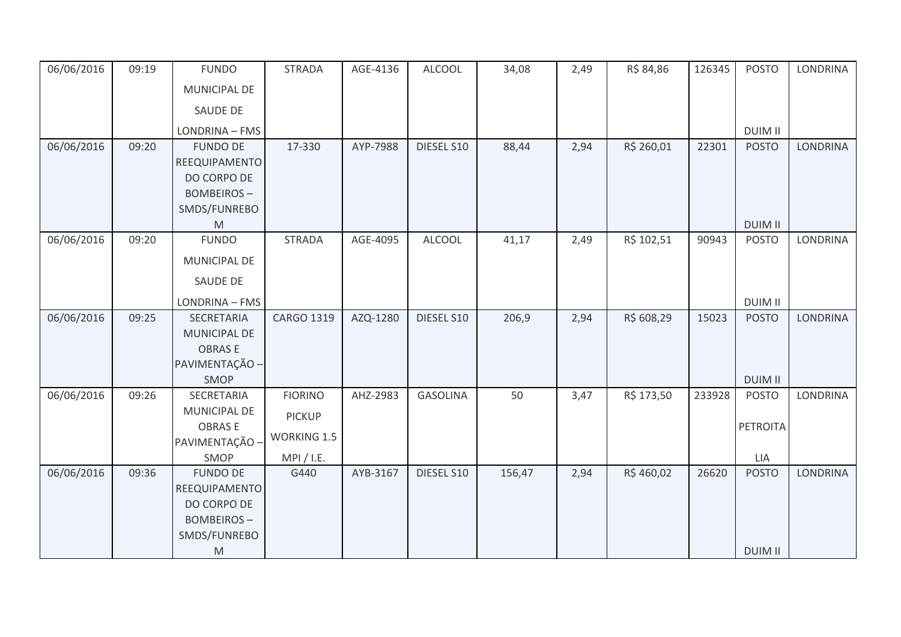| 06/06/2016 | 09:19 | <b>FUNDO</b>                                                                                                               | <b>STRADA</b>                                     | AGE-4136 | <b>ALCOOL</b>   | 34,08  | 2,49 | R\$ 84,86  | 126345 | <b>POSTO</b>                   | <b>LONDRINA</b> |
|------------|-------|----------------------------------------------------------------------------------------------------------------------------|---------------------------------------------------|----------|-----------------|--------|------|------------|--------|--------------------------------|-----------------|
|            |       | MUNICIPAL DE                                                                                                               |                                                   |          |                 |        |      |            |        |                                |                 |
|            |       | SAUDE DE                                                                                                                   |                                                   |          |                 |        |      |            |        |                                |                 |
|            |       | LONDRINA - FMS                                                                                                             |                                                   |          |                 |        |      |            |        | <b>DUIM II</b>                 |                 |
| 06/06/2016 | 09:20 | <b>FUNDO DE</b><br>REEQUIPAMENTO<br>DO CORPO DE<br><b>BOMBEIROS-</b><br>SMDS/FUNREBO                                       | 17-330                                            | AYP-7988 | DIESEL S10      | 88,44  | 2,94 | R\$ 260,01 | 22301  | <b>POSTO</b>                   | <b>LONDRINA</b> |
| 06/06/2016 | 09:20 | $\mathsf{M}% _{T}=\mathsf{M}_{T}\!\left( a,b\right) ,\ \mathsf{M}_{T}=\mathsf{M}_{T}\!\left( a,b\right) ,$<br><b>FUNDO</b> | <b>STRADA</b>                                     | AGE-4095 | <b>ALCOOL</b>   | 41,17  | 2,49 | R\$ 102,51 | 90943  | <b>DUIM II</b><br><b>POSTO</b> | <b>LONDRINA</b> |
|            |       | MUNICIPAL DE<br>SAUDE DE                                                                                                   |                                                   |          |                 |        |      |            |        |                                |                 |
|            |       |                                                                                                                            |                                                   |          |                 |        |      |            |        |                                |                 |
|            |       | LONDRINA - FMS                                                                                                             |                                                   |          |                 |        |      |            |        | <b>DUIM II</b>                 |                 |
| 06/06/2016 | 09:25 | SECRETARIA<br>MUNICIPAL DE<br><b>OBRASE</b><br>PAVIMENTAÇÃO -<br>SMOP                                                      | CARGO 1319                                        | AZQ-1280 | DIESEL S10      | 206,9  | 2,94 | R\$ 608,29 | 15023  | <b>POSTO</b><br><b>DUIM II</b> | LONDRINA        |
| 06/06/2016 | 09:26 | SECRETARIA                                                                                                                 | <b>FIORINO</b>                                    | AHZ-2983 | <b>GASOLINA</b> | 50     | 3,47 | R\$ 173,50 | 233928 | <b>POSTO</b>                   | <b>LONDRINA</b> |
|            |       | MUNICIPAL DE<br><b>OBRASE</b><br>PAVIMENTAÇÃO -<br>SMOP                                                                    | <b>PICKUP</b><br><b>WORKING 1.5</b><br>MPI / I.E. |          |                 |        |      |            |        | <b>PETROITA</b><br>LIA         |                 |
| 06/06/2016 | 09:36 | <b>FUNDO DE</b><br>REEQUIPAMENTO<br>DO CORPO DE<br><b>BOMBEIROS-</b><br>SMDS/FUNREBO<br>M                                  | G440                                              | AYB-3167 | DIESEL S10      | 156,47 | 2,94 | R\$460,02  | 26620  | <b>POSTO</b><br><b>DUIM II</b> | <b>LONDRINA</b> |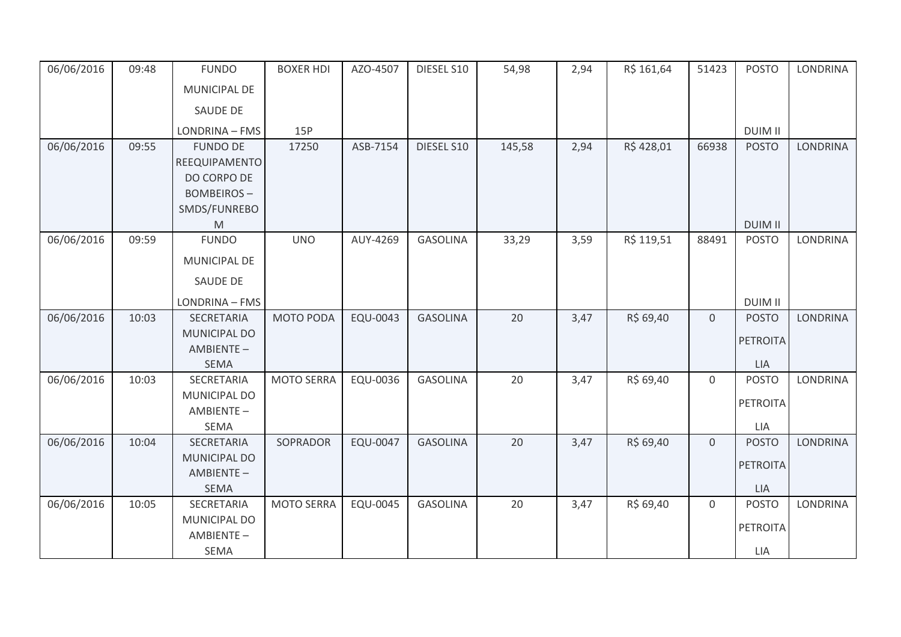| 06/06/2016 | 09:48 | <b>FUNDO</b>                                                                              | <b>BOXER HDI</b>  | AZO-4507 | DIESEL S10      | 54,98  | 2,94 | R\$ 161,64 | 51423          | <b>POSTO</b>                                  | <b>LONDRINA</b> |
|------------|-------|-------------------------------------------------------------------------------------------|-------------------|----------|-----------------|--------|------|------------|----------------|-----------------------------------------------|-----------------|
|            |       | MUNICIPAL DE                                                                              |                   |          |                 |        |      |            |                |                                               |                 |
|            |       | SAUDE DE                                                                                  |                   |          |                 |        |      |            |                |                                               |                 |
|            |       | LONDRINA - FMS                                                                            | 15P               |          |                 |        |      |            |                | <b>DUIM II</b>                                |                 |
| 06/06/2016 | 09:55 | <b>FUNDO DE</b><br>REEQUIPAMENTO<br>DO CORPO DE<br><b>BOMBEIROS-</b><br>SMDS/FUNREBO<br>M | 17250             | ASB-7154 | DIESEL S10      | 145,58 | 2,94 | R\$428,01  | 66938          | <b>POSTO</b><br><b>DUIM II</b>                | <b>LONDRINA</b> |
| 06/06/2016 | 09:59 | <b>FUNDO</b>                                                                              | <b>UNO</b>        | AUY-4269 | <b>GASOLINA</b> | 33,29  | 3,59 | R\$ 119,51 | 88491          | <b>POSTO</b>                                  | <b>LONDRINA</b> |
|            |       | MUNICIPAL DE<br>SAUDE DE                                                                  |                   |          |                 |        |      |            |                |                                               |                 |
|            |       | LONDRINA - FMS                                                                            |                   |          |                 |        |      |            |                | <b>DUIM II</b>                                |                 |
| 06/06/2016 | 10:03 | SECRETARIA<br>MUNICIPAL DO<br>AMBIENTE-<br><b>SEMA</b>                                    | MOTO PODA         | EQU-0043 | <b>GASOLINA</b> | 20     | 3,47 | R\$ 69,40  | $\overline{0}$ | <b>POSTO</b><br><b>PETROITA</b><br><b>LIA</b> | <b>LONDRINA</b> |
| 06/06/2016 | 10:03 | SECRETARIA<br>MUNICIPAL DO<br>AMBIENTE-<br><b>SEMA</b>                                    | <b>MOTO SERRA</b> | EQU-0036 | <b>GASOLINA</b> | 20     | 3,47 | R\$ 69,40  | $\overline{0}$ | <b>POSTO</b><br><b>PETROITA</b><br>LIA        | <b>LONDRINA</b> |
| 06/06/2016 | 10:04 | SECRETARIA<br>MUNICIPAL DO<br>AMBIENTE-<br><b>SEMA</b>                                    | SOPRADOR          | EQU-0047 | <b>GASOLINA</b> | 20     | 3,47 | R\$ 69,40  | $\overline{0}$ | <b>POSTO</b><br><b>PETROITA</b><br><b>LIA</b> | <b>LONDRINA</b> |
| 06/06/2016 | 10:05 | SECRETARIA<br>MUNICIPAL DO<br>AMBIENTE-<br>SEMA                                           | <b>MOTO SERRA</b> | EQU-0045 | <b>GASOLINA</b> | 20     | 3,47 | R\$ 69,40  | $\mathbf 0$    | <b>POSTO</b><br><b>PETROITA</b><br>LIA        | <b>LONDRINA</b> |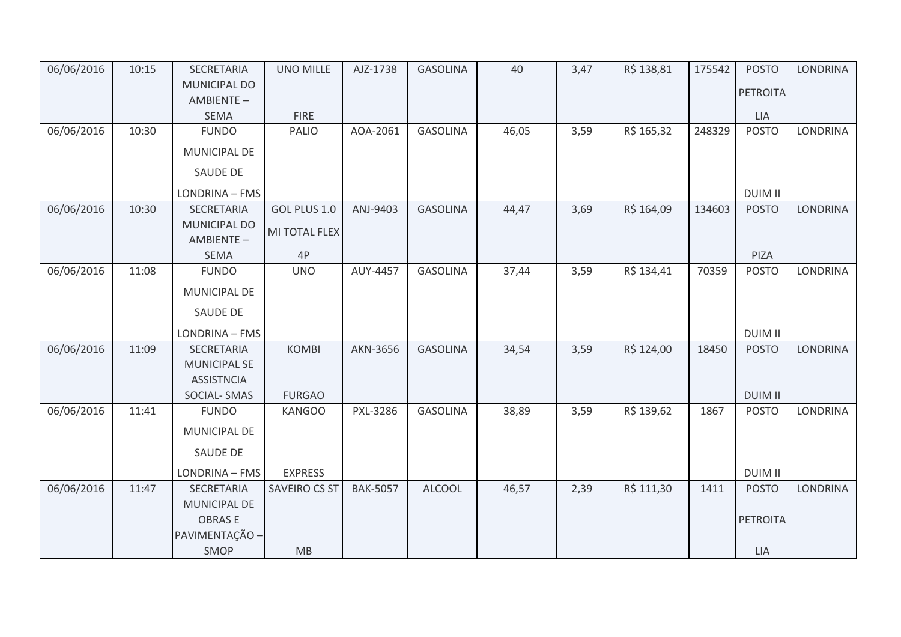| 06/06/2016 | 10:15 | SECRETARIA                | <b>UNO MILLE</b> | AJZ-1738        | <b>GASOLINA</b> | 40    | 3,47 | R\$ 138,81 | 175542 | <b>POSTO</b>   | <b>LONDRINA</b> |
|------------|-------|---------------------------|------------------|-----------------|-----------------|-------|------|------------|--------|----------------|-----------------|
|            |       | MUNICIPAL DO              |                  |                 |                 |       |      |            |        | PETROITA       |                 |
|            |       | AMBIENTE-                 |                  |                 |                 |       |      |            |        |                |                 |
|            |       | <b>SEMA</b>               | <b>FIRE</b>      |                 |                 |       |      |            |        | <b>LIA</b>     |                 |
| 06/06/2016 | 10:30 | <b>FUNDO</b>              | <b>PALIO</b>     | AOA-2061        | <b>GASOLINA</b> | 46,05 | 3,59 | R\$ 165,32 | 248329 | <b>POSTO</b>   | LONDRINA        |
|            |       | MUNICIPAL DE              |                  |                 |                 |       |      |            |        |                |                 |
|            |       | SAUDE DE                  |                  |                 |                 |       |      |            |        |                |                 |
|            |       | LONDRINA - FMS            |                  |                 |                 |       |      |            |        | <b>DUIM II</b> |                 |
| 06/06/2016 | 10:30 | SECRETARIA                | GOL PLUS 1.0     | ANJ-9403        | <b>GASOLINA</b> | 44,47 | 3,69 | R\$ 164,09 | 134603 | <b>POSTO</b>   | <b>LONDRINA</b> |
|            |       | MUNICIPAL DO<br>AMBIENTE- | MI TOTAL FLEX    |                 |                 |       |      |            |        |                |                 |
|            |       | <b>SEMA</b>               | 4P               |                 |                 |       |      |            |        | PIZA           |                 |
| 06/06/2016 | 11:08 | <b>FUNDO</b>              | <b>UNO</b>       | AUY-4457        | <b>GASOLINA</b> | 37,44 | 3,59 | R\$ 134,41 | 70359  | <b>POSTO</b>   | <b>LONDRINA</b> |
|            |       | MUNICIPAL DE              |                  |                 |                 |       |      |            |        |                |                 |
|            |       | SAUDE DE                  |                  |                 |                 |       |      |            |        |                |                 |
|            |       | LONDRINA - FMS            |                  |                 |                 |       |      |            |        | <b>DUIM II</b> |                 |
| 06/06/2016 | 11:09 | SECRETARIA                | <b>KOMBI</b>     | AKN-3656        | <b>GASOLINA</b> | 34,54 | 3,59 | R\$ 124,00 | 18450  | <b>POSTO</b>   | LONDRINA        |
|            |       | <b>MUNICIPAL SE</b>       |                  |                 |                 |       |      |            |        |                |                 |
|            |       | <b>ASSISTNCIA</b>         |                  |                 |                 |       |      |            |        |                |                 |
|            |       | <b>SOCIAL-SMAS</b>        | <b>FURGAO</b>    |                 |                 |       |      |            |        | <b>DUIM II</b> |                 |
| 06/06/2016 | 11:41 | <b>FUNDO</b>              | <b>KANGOO</b>    | PXL-3286        | <b>GASOLINA</b> | 38,89 | 3,59 | R\$ 139,62 | 1867   | <b>POSTO</b>   | <b>LONDRINA</b> |
|            |       | MUNICIPAL DE              |                  |                 |                 |       |      |            |        |                |                 |
|            |       | SAUDE DE                  |                  |                 |                 |       |      |            |        |                |                 |
|            |       | LONDRINA - FMS            | <b>EXPRESS</b>   |                 |                 |       |      |            |        | <b>DUIM II</b> |                 |
| 06/06/2016 | 11:47 | SECRETARIA                | SAVEIRO CS ST    | <b>BAK-5057</b> | <b>ALCOOL</b>   | 46,57 | 2,39 | R\$ 111,30 | 1411   | <b>POSTO</b>   | <b>LONDRINA</b> |
|            |       | MUNICIPAL DE              |                  |                 |                 |       |      |            |        |                |                 |
|            |       | <b>OBRASE</b>             |                  |                 |                 |       |      |            |        | PETROITA       |                 |
|            |       | PAVIMENTAÇÃO -            |                  |                 |                 |       |      |            |        |                |                 |
|            |       | SMOP                      | MB               |                 |                 |       |      |            |        | <b>LIA</b>     |                 |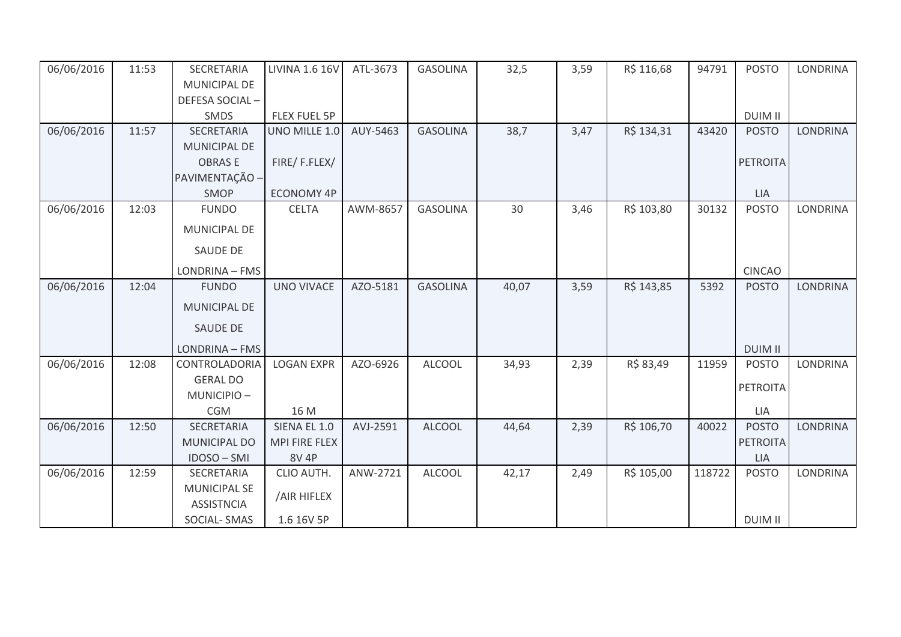| 06/06/2016 | 11:53 | SECRETARIA                               | <b>LIVINA 1.6 16V</b> | ATL-3673 | <b>GASOLINA</b> | 32,5  | 3,59 | R\$ 116,68 | 94791  | <b>POSTO</b>    | <b>LONDRINA</b> |
|------------|-------|------------------------------------------|-----------------------|----------|-----------------|-------|------|------------|--------|-----------------|-----------------|
|            |       | <b>MUNICIPAL DE</b>                      |                       |          |                 |       |      |            |        |                 |                 |
|            |       | DEFESA SOCIAL-                           |                       |          |                 |       |      |            |        |                 |                 |
|            |       | SMDS                                     | <b>FLEX FUEL 5P</b>   |          |                 |       |      |            |        | <b>DUIM II</b>  |                 |
| 06/06/2016 | 11:57 | <b>SECRETARIA</b>                        | UNO MILLE 1.0         | AUY-5463 | <b>GASOLINA</b> | 38,7  | 3,47 | R\$ 134,31 | 43420  | <b>POSTO</b>    | <b>LONDRINA</b> |
|            |       | <b>MUNICIPAL DE</b>                      |                       |          |                 |       |      |            |        |                 |                 |
|            |       | <b>OBRASE</b>                            | FIRE/F.FLEX/          |          |                 |       |      |            |        | <b>PETROITA</b> |                 |
|            |       | PAVIMENTAÇÃO -                           |                       |          |                 |       |      |            |        |                 |                 |
|            |       | <b>SMOP</b>                              | <b>ECONOMY 4P</b>     |          |                 |       |      |            |        | <b>LIA</b>      |                 |
| 06/06/2016 | 12:03 | <b>FUNDO</b>                             | <b>CELTA</b>          | AWM-8657 | <b>GASOLINA</b> | 30    | 3,46 | R\$ 103,80 | 30132  | <b>POSTO</b>    | <b>LONDRINA</b> |
|            |       | MUNICIPAL DE                             |                       |          |                 |       |      |            |        |                 |                 |
|            |       | SAUDE DE                                 |                       |          |                 |       |      |            |        |                 |                 |
|            |       | LONDRINA - FMS                           |                       |          |                 |       |      |            |        | <b>CINCAO</b>   |                 |
| 06/06/2016 | 12:04 | <b>FUNDO</b>                             | <b>UNO VIVACE</b>     | AZO-5181 | <b>GASOLINA</b> | 40,07 | 3,59 | R\$ 143,85 | 5392   | <b>POSTO</b>    | <b>LONDRINA</b> |
|            |       | MUNICIPAL DE                             |                       |          |                 |       |      |            |        |                 |                 |
|            |       | SAUDE DE                                 |                       |          |                 |       |      |            |        |                 |                 |
|            |       | LONDRINA - FMS                           |                       |          |                 |       |      |            |        | <b>DUIM II</b>  |                 |
| 06/06/2016 | 12:08 | CONTROLADORIA                            | <b>LOGAN EXPR</b>     | AZO-6926 | <b>ALCOOL</b>   | 34,93 | 2,39 | R\$ 83,49  | 11959  | <b>POSTO</b>    | <b>LONDRINA</b> |
|            |       | <b>GERAL DO</b>                          |                       |          |                 |       |      |            |        | <b>PETROITA</b> |                 |
|            |       | MUNICIPIO-                               |                       |          |                 |       |      |            |        |                 |                 |
|            |       | <b>CGM</b>                               | 16 M                  |          |                 |       |      |            |        | LIA             |                 |
| 06/06/2016 | 12:50 | SECRETARIA                               | SIENA EL 1.0          | AVJ-2591 | <b>ALCOOL</b>   | 44,64 | 2,39 | R\$ 106,70 | 40022  | <b>POSTO</b>    | <b>LONDRINA</b> |
|            |       | <b>MUNICIPAL DO</b>                      | <b>MPI FIRE FLEX</b>  |          |                 |       |      |            |        | <b>PETROITA</b> |                 |
|            |       | IDOSO - SMI                              | <b>8V 4P</b>          |          |                 |       |      |            |        | <b>LIA</b>      |                 |
| 06/06/2016 | 12:59 | SECRETARIA                               | CLIO AUTH.            | ANW-2721 | <b>ALCOOL</b>   | 42,17 | 2,49 | R\$ 105,00 | 118722 | <b>POSTO</b>    | <b>LONDRINA</b> |
|            |       | <b>MUNICIPAL SE</b><br><b>ASSISTNCIA</b> | /AIR HIFLEX           |          |                 |       |      |            |        |                 |                 |
|            |       | SOCIAL-SMAS                              | 1.6 16V 5P            |          |                 |       |      |            |        | <b>DUIM II</b>  |                 |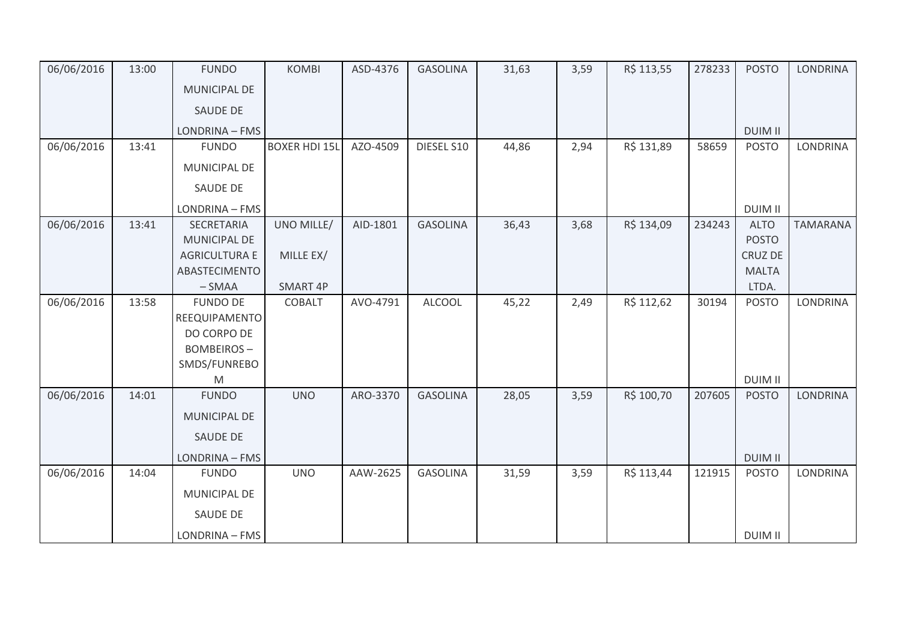| 06/06/2016 | 13:00 | <b>FUNDO</b>          | <b>KOMBI</b>         | ASD-4376 | <b>GASOLINA</b> | 31,63 | 3,59 | R\$ 113,55 | 278233 | <b>POSTO</b>   | <b>LONDRINA</b> |
|------------|-------|-----------------------|----------------------|----------|-----------------|-------|------|------------|--------|----------------|-----------------|
|            |       | <b>MUNICIPAL DE</b>   |                      |          |                 |       |      |            |        |                |                 |
|            |       | SAUDE DE              |                      |          |                 |       |      |            |        |                |                 |
|            |       | <b>LONDRINA - FMS</b> |                      |          |                 |       |      |            |        | <b>DUIM II</b> |                 |
| 06/06/2016 | 13:41 | <b>FUNDO</b>          | <b>BOXER HDI 15L</b> | AZO-4509 | DIESEL S10      | 44,86 | 2,94 | R\$ 131,89 | 58659  | <b>POSTO</b>   | <b>LONDRINA</b> |
|            |       | MUNICIPAL DE          |                      |          |                 |       |      |            |        |                |                 |
|            |       | SAUDE DE              |                      |          |                 |       |      |            |        |                |                 |
|            |       | LONDRINA - FMS        |                      |          |                 |       |      |            |        | <b>DUIM II</b> |                 |
| 06/06/2016 | 13:41 | SECRETARIA            | UNO MILLE/           | AID-1801 | <b>GASOLINA</b> | 36,43 | 3,68 | R\$ 134,09 | 234243 | <b>ALTO</b>    | <b>TAMARANA</b> |
|            |       | <b>MUNICIPAL DE</b>   |                      |          |                 |       |      |            |        | <b>POSTO</b>   |                 |
|            |       | <b>AGRICULTURA E</b>  | MILLE EX/            |          |                 |       |      |            |        | CRUZ DE        |                 |
|            |       | ABASTECIMENTO         |                      |          |                 |       |      |            |        | <b>MALTA</b>   |                 |
|            |       | $-SMAA$               | SMART 4P             |          |                 |       |      |            |        | LTDA.          |                 |
| 06/06/2016 | 13:58 | <b>FUNDO DE</b>       | <b>COBALT</b>        | AVO-4791 | <b>ALCOOL</b>   | 45,22 | 2,49 | R\$ 112,62 | 30194  | <b>POSTO</b>   | <b>LONDRINA</b> |
|            |       | REEQUIPAMENTO         |                      |          |                 |       |      |            |        |                |                 |
|            |       | DO CORPO DE           |                      |          |                 |       |      |            |        |                |                 |
|            |       | <b>BOMBEIROS-</b>     |                      |          |                 |       |      |            |        |                |                 |
|            |       | SMDS/FUNREBO          |                      |          |                 |       |      |            |        |                |                 |
|            |       | M                     |                      |          |                 |       |      |            |        | <b>DUIM II</b> |                 |
| 06/06/2016 | 14:01 | <b>FUNDO</b>          | <b>UNO</b>           | ARO-3370 | <b>GASOLINA</b> | 28,05 | 3,59 | R\$ 100,70 | 207605 | <b>POSTO</b>   | <b>LONDRINA</b> |
|            |       | <b>MUNICIPAL DE</b>   |                      |          |                 |       |      |            |        |                |                 |
|            |       | SAUDE DE              |                      |          |                 |       |      |            |        |                |                 |
|            |       | LONDRINA - FMS        |                      |          |                 |       |      |            |        | <b>DUIM II</b> |                 |
| 06/06/2016 | 14:04 | <b>FUNDO</b>          | <b>UNO</b>           | AAW-2625 | <b>GASOLINA</b> | 31,59 | 3,59 | R\$ 113,44 | 121915 | <b>POSTO</b>   | <b>LONDRINA</b> |
|            |       | <b>MUNICIPAL DE</b>   |                      |          |                 |       |      |            |        |                |                 |
|            |       | SAUDE DE              |                      |          |                 |       |      |            |        |                |                 |
|            |       | LONDRINA - FMS        |                      |          |                 |       |      |            |        | <b>DUIM II</b> |                 |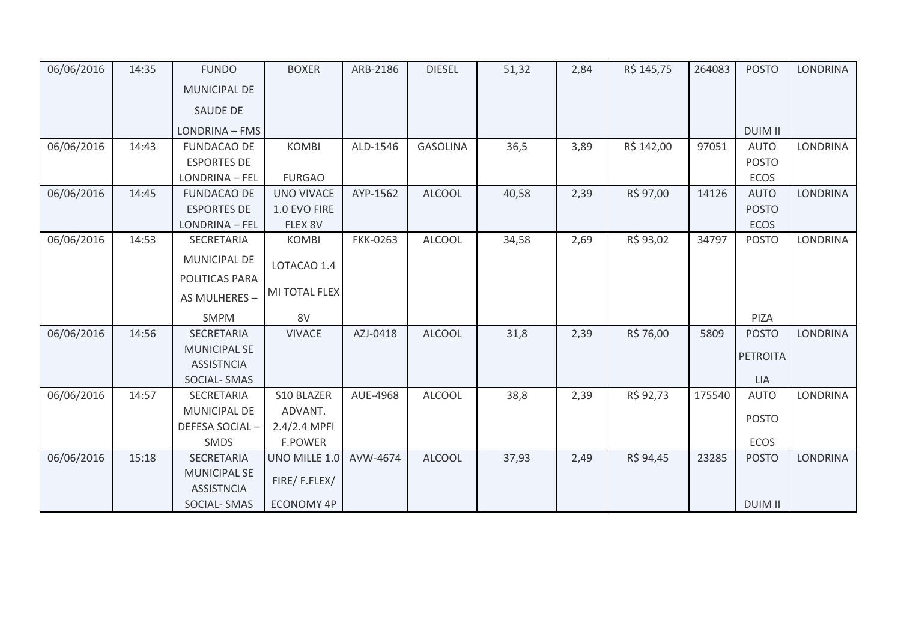| 06/06/2016 | 14:35 | <b>FUNDO</b>                             | <b>BOXER</b>      | ARB-2186        | <b>DIESEL</b>   | 51,32 | 2,84 | R\$ 145,75 | 264083 | <b>POSTO</b>    | LONDRINA        |
|------------|-------|------------------------------------------|-------------------|-----------------|-----------------|-------|------|------------|--------|-----------------|-----------------|
|            |       | <b>MUNICIPAL DE</b>                      |                   |                 |                 |       |      |            |        |                 |                 |
|            |       | <b>SAUDE DE</b>                          |                   |                 |                 |       |      |            |        |                 |                 |
|            |       | LONDRINA - FMS                           |                   |                 |                 |       |      |            |        | <b>DUIM II</b>  |                 |
| 06/06/2016 | 14:43 | <b>FUNDACAO DE</b>                       | <b>KOMBI</b>      | ALD-1546        | <b>GASOLINA</b> | 36,5  | 3,89 | R\$ 142,00 | 97051  | <b>AUTO</b>     | <b>LONDRINA</b> |
|            |       | <b>ESPORTES DE</b>                       |                   |                 |                 |       |      |            |        | <b>POSTO</b>    |                 |
|            |       | LONDRINA - FEL                           | <b>FURGAO</b>     |                 |                 |       |      |            |        | ECOS            |                 |
| 06/06/2016 | 14:45 | <b>FUNDACAO DE</b>                       | <b>UNO VIVACE</b> | AYP-1562        | <b>ALCOOL</b>   | 40,58 | 2,39 | R\$ 97,00  | 14126  | <b>AUTO</b>     | <b>LONDRINA</b> |
|            |       | <b>ESPORTES DE</b>                       | 1.0 EVO FIRE      |                 |                 |       |      |            |        | <b>POSTO</b>    |                 |
|            |       | LONDRINA - FEL                           | FLEX 8V           |                 |                 |       |      |            |        | <b>ECOS</b>     |                 |
| 06/06/2016 | 14:53 | SECRETARIA                               | <b>KOMBI</b>      | <b>FKK-0263</b> | <b>ALCOOL</b>   | 34,58 | 2,69 | R\$ 93,02  | 34797  | <b>POSTO</b>    | LONDRINA        |
|            |       | <b>MUNICIPAL DE</b>                      | LOTACAO 1.4       |                 |                 |       |      |            |        |                 |                 |
|            |       | POLITICAS PARA                           |                   |                 |                 |       |      |            |        |                 |                 |
|            |       | AS MULHERES -                            | MI TOTAL FLEX     |                 |                 |       |      |            |        |                 |                 |
|            |       | <b>SMPM</b>                              | 8V                |                 |                 |       |      |            |        | PIZA            |                 |
| 06/06/2016 | 14:56 | SECRETARIA                               | <b>VIVACE</b>     | AZJ-0418        | <b>ALCOOL</b>   | 31,8  | 2,39 | R\$ 76,00  | 5809   | <b>POSTO</b>    | <b>LONDRINA</b> |
|            |       | <b>MUNICIPAL SE</b>                      |                   |                 |                 |       |      |            |        |                 |                 |
|            |       | <b>ASSISTNCIA</b>                        |                   |                 |                 |       |      |            |        | <b>PETROITA</b> |                 |
|            |       | <b>SOCIAL-SMAS</b>                       |                   |                 |                 |       |      |            |        | <b>LIA</b>      |                 |
| 06/06/2016 | 14:57 | SECRETARIA                               | S10 BLAZER        | AUE-4968        | <b>ALCOOL</b>   | 38,8  | 2,39 | R\$ 92,73  | 175540 | <b>AUTO</b>     | LONDRINA        |
|            |       | MUNICIPAL DE                             | ADVANT.           |                 |                 |       |      |            |        |                 |                 |
|            |       | DEFESA SOCIAL-                           | $2.4/2.4$ MPFI    |                 |                 |       |      |            |        | <b>POSTO</b>    |                 |
|            |       | SMDS                                     | <b>F.POWER</b>    |                 |                 |       |      |            |        | <b>ECOS</b>     |                 |
| 06/06/2016 | 15:18 | SECRETARIA                               | UNO MILLE 1.0     | AVW-4674        | <b>ALCOOL</b>   | 37,93 | 2,49 | R\$ 94,45  | 23285  | <b>POSTO</b>    | <b>LONDRINA</b> |
|            |       | <b>MUNICIPAL SE</b><br><b>ASSISTNCIA</b> | FIRE/F.FLEX/      |                 |                 |       |      |            |        |                 |                 |
|            |       | <b>SOCIAL-SMAS</b>                       | ECONOMY 4P        |                 |                 |       |      |            |        | <b>DUIM II</b>  |                 |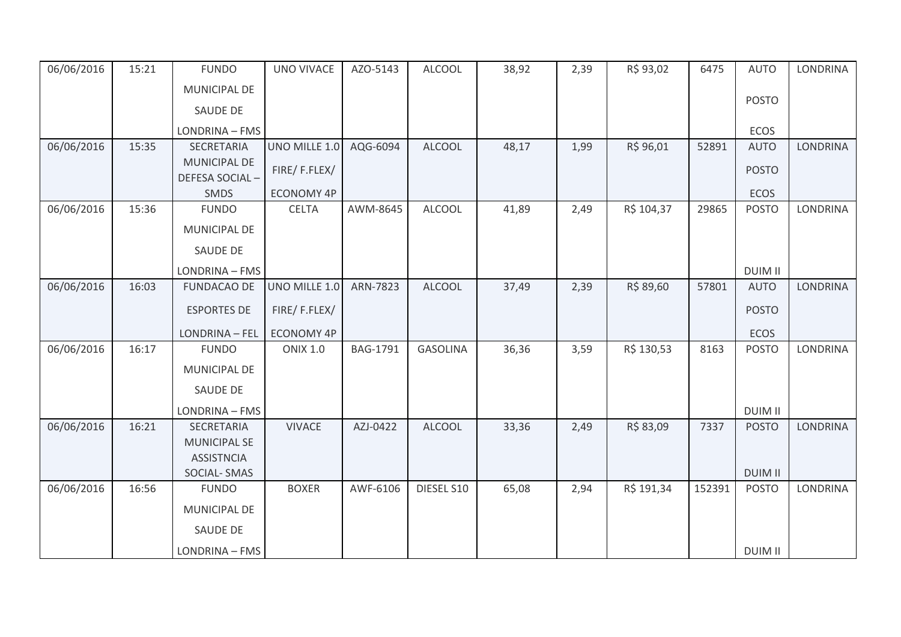| 06/06/2016 | 15:21 | <b>FUNDO</b>                                 | <b>UNO VIVACE</b> | AZO-5143 | <b>ALCOOL</b>   | 38,92 | 2,39 | R\$ 93,02  | 6475   | <b>AUTO</b>                    | <b>LONDRINA</b> |
|------------|-------|----------------------------------------------|-------------------|----------|-----------------|-------|------|------------|--------|--------------------------------|-----------------|
|            |       | MUNICIPAL DE                                 |                   |          |                 |       |      |            |        |                                |                 |
|            |       | SAUDE DE                                     |                   |          |                 |       |      |            |        | <b>POSTO</b>                   |                 |
|            |       | LONDRINA - FMS                               |                   |          |                 |       |      |            |        | ECOS                           |                 |
| 06/06/2016 | 15:35 | SECRETARIA                                   | UNO MILLE 1.0     | AQG-6094 | <b>ALCOOL</b>   | 48,17 | 1,99 | R\$ 96,01  | 52891  | <b>AUTO</b>                    | <b>LONDRINA</b> |
|            |       | <b>MUNICIPAL DE</b><br><b>DEFESA SOCIAL-</b> | FIRE/F.FLEX/      |          |                 |       |      |            |        | <b>POSTO</b>                   |                 |
|            |       | SMDS                                         | ECONOMY 4P        |          |                 |       |      |            |        | ECOS                           |                 |
| 06/06/2016 | 15:36 | <b>FUNDO</b>                                 | <b>CELTA</b>      | AWM-8645 | <b>ALCOOL</b>   | 41,89 | 2,49 | R\$ 104,37 | 29865  | <b>POSTO</b>                   | <b>LONDRINA</b> |
|            |       | MUNICIPAL DE                                 |                   |          |                 |       |      |            |        |                                |                 |
|            |       | <b>SAUDE DE</b>                              |                   |          |                 |       |      |            |        |                                |                 |
|            |       | LONDRINA - FMS                               |                   |          |                 |       |      |            |        | <b>DUIM II</b>                 |                 |
| 06/06/2016 | 16:03 | <b>FUNDACAO DE</b>                           | UNO MILLE 1.0     | ARN-7823 | <b>ALCOOL</b>   | 37,49 | 2,39 | R\$ 89,60  | 57801  | <b>AUTO</b>                    | <b>LONDRINA</b> |
|            |       | <b>ESPORTES DE</b>                           | FIRE/F.FLEX/      |          |                 |       |      |            |        | <b>POSTO</b>                   |                 |
|            |       | LONDRINA - FEL                               | <b>ECONOMY 4P</b> |          |                 |       |      |            |        | ECOS                           |                 |
| 06/06/2016 | 16:17 | <b>FUNDO</b>                                 | <b>ONIX 1.0</b>   | BAG-1791 | <b>GASOLINA</b> | 36,36 | 3,59 | R\$ 130,53 | 8163   | <b>POSTO</b>                   | LONDRINA        |
|            |       | <b>MUNICIPAL DE</b>                          |                   |          |                 |       |      |            |        |                                |                 |
|            |       | SAUDE DE                                     |                   |          |                 |       |      |            |        |                                |                 |
|            |       | LONDRINA - FMS                               |                   |          |                 |       |      |            |        | <b>DUIM II</b>                 |                 |
| 06/06/2016 | 16:21 | SECRETARIA                                   | <b>VIVACE</b>     | AZJ-0422 | <b>ALCOOL</b>   | 33,36 | 2,49 | R\$ 83,09  | 7337   | <b>POSTO</b>                   | <b>LONDRINA</b> |
|            |       | <b>MUNICIPAL SE</b>                          |                   |          |                 |       |      |            |        |                                |                 |
|            |       | <b>ASSISTNCIA</b>                            |                   |          |                 |       |      |            |        |                                |                 |
| 06/06/2016 | 16:56 | <b>SOCIAL-SMAS</b><br><b>FUNDO</b>           | <b>BOXER</b>      | AWF-6106 | DIESEL S10      | 65,08 | 2,94 | R\$ 191,34 | 152391 | <b>DUIM II</b><br><b>POSTO</b> | <b>LONDRINA</b> |
|            |       |                                              |                   |          |                 |       |      |            |        |                                |                 |
|            |       | MUNICIPAL DE                                 |                   |          |                 |       |      |            |        |                                |                 |
|            |       | SAUDE DE                                     |                   |          |                 |       |      |            |        |                                |                 |
|            |       | LONDRINA - FMS                               |                   |          |                 |       |      |            |        | <b>DUIM II</b>                 |                 |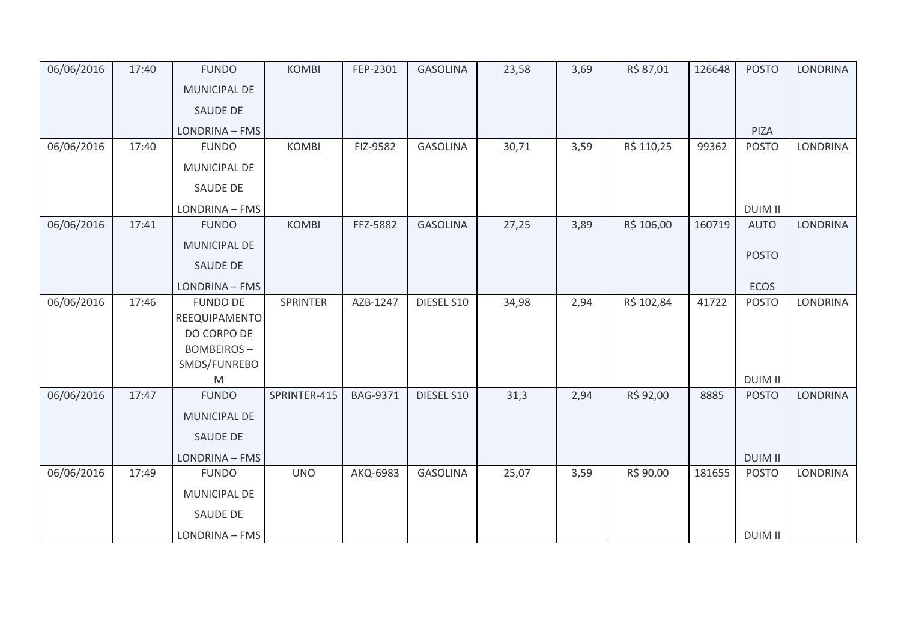| 06/06/2016 | 17:40 | <b>FUNDO</b>                     | <b>KOMBI</b> | FEP-2301        | <b>GASOLINA</b> | 23,58 | 3,69 | R\$ 87,01  | 126648 | <b>POSTO</b>                   | <b>LONDRINA</b> |
|------------|-------|----------------------------------|--------------|-----------------|-----------------|-------|------|------------|--------|--------------------------------|-----------------|
|            |       | <b>MUNICIPAL DE</b>              |              |                 |                 |       |      |            |        |                                |                 |
|            |       | SAUDE DE                         |              |                 |                 |       |      |            |        |                                |                 |
|            |       | LONDRINA - FMS                   |              |                 |                 |       |      |            |        | PIZA                           |                 |
| 06/06/2016 | 17:40 | <b>FUNDO</b>                     | <b>KOMBI</b> | FIZ-9582        | <b>GASOLINA</b> | 30,71 | 3,59 | R\$ 110,25 | 99362  | <b>POSTO</b>                   | <b>LONDRINA</b> |
|            |       | MUNICIPAL DE                     |              |                 |                 |       |      |            |        |                                |                 |
|            |       | SAUDE DE                         |              |                 |                 |       |      |            |        |                                |                 |
|            |       | LONDRINA - FMS                   |              |                 |                 |       |      |            |        | <b>DUIM II</b>                 |                 |
| 06/06/2016 | 17:41 | <b>FUNDO</b>                     | <b>KOMBI</b> | FFZ-5882        | <b>GASOLINA</b> | 27,25 | 3,89 | R\$ 106,00 | 160719 | <b>AUTO</b>                    | <b>LONDRINA</b> |
|            |       | MUNICIPAL DE                     |              |                 |                 |       |      |            |        | <b>POSTO</b>                   |                 |
|            |       | SAUDE DE                         |              |                 |                 |       |      |            |        |                                |                 |
|            |       | LONDRINA - FMS                   |              |                 |                 |       |      |            |        | <b>ECOS</b>                    |                 |
| 06/06/2016 | 17:46 | <b>FUNDO DE</b><br>REEQUIPAMENTO | SPRINTER     | AZB-1247        | DIESEL S10      | 34,98 | 2,94 | R\$ 102,84 | 41722  | <b>POSTO</b>                   | <b>LONDRINA</b> |
|            |       | DO CORPO DE                      |              |                 |                 |       |      |            |        |                                |                 |
|            |       | <b>BOMBEIROS-</b>                |              |                 |                 |       |      |            |        |                                |                 |
|            |       | SMDS/FUNREBO                     |              |                 |                 |       |      |            |        |                                |                 |
| 06/06/2016 | 17:47 | M<br><b>FUNDO</b>                | SPRINTER-415 | <b>BAG-9371</b> | DIESEL S10      | 31,3  | 2,94 | R\$ 92,00  | 8885   | <b>DUIM II</b><br><b>POSTO</b> | <b>LONDRINA</b> |
|            |       | <b>MUNICIPAL DE</b>              |              |                 |                 |       |      |            |        |                                |                 |
|            |       | SAUDE DE                         |              |                 |                 |       |      |            |        |                                |                 |
|            |       |                                  |              |                 |                 |       |      |            |        |                                |                 |
|            |       | LONDRINA - FMS                   |              |                 |                 |       |      |            |        | <b>DUIM II</b>                 |                 |
| 06/06/2016 | 17:49 | <b>FUNDO</b>                     | <b>UNO</b>   | AKQ-6983        | <b>GASOLINA</b> | 25,07 | 3,59 | R\$ 90,00  | 181655 | <b>POSTO</b>                   | <b>LONDRINA</b> |
|            |       | MUNICIPAL DE                     |              |                 |                 |       |      |            |        |                                |                 |
|            |       | SAUDE DE                         |              |                 |                 |       |      |            |        |                                |                 |
|            |       | LONDRINA - FMS                   |              |                 |                 |       |      |            |        | <b>DUIM II</b>                 |                 |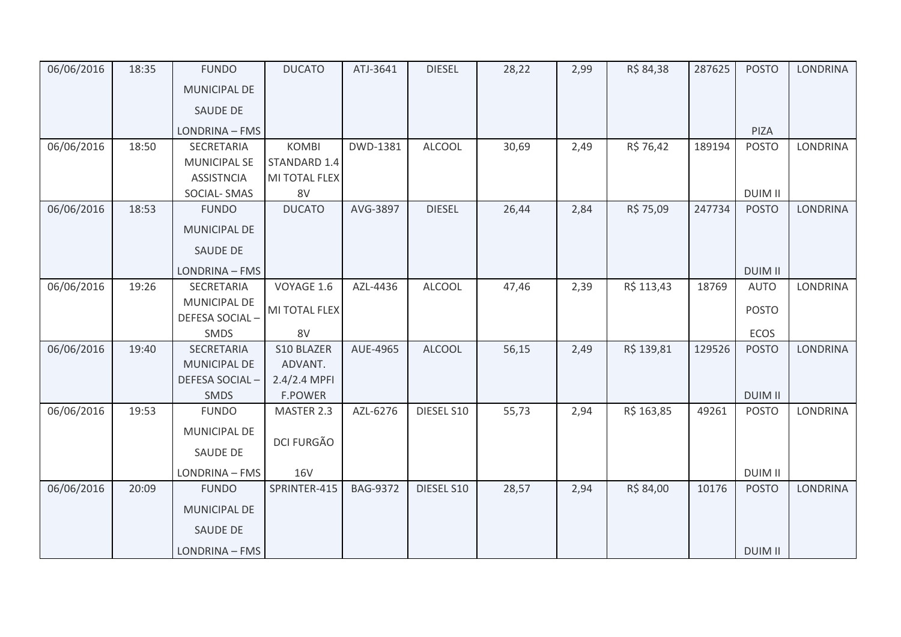| 06/06/2016 | 18:35 | <b>FUNDO</b>        | <b>DUCATO</b>     | ATJ-3641        | <b>DIESEL</b> | 28,22 | 2,99 | R\$ 84,38  | 287625 | <b>POSTO</b>   | <b>LONDRINA</b> |
|------------|-------|---------------------|-------------------|-----------------|---------------|-------|------|------------|--------|----------------|-----------------|
|            |       | <b>MUNICIPAL DE</b> |                   |                 |               |       |      |            |        |                |                 |
|            |       | <b>SAUDE DE</b>     |                   |                 |               |       |      |            |        |                |                 |
|            |       | LONDRINA - FMS      |                   |                 |               |       |      |            |        | PIZA           |                 |
| 06/06/2016 | 18:50 | SECRETARIA          | <b>KOMBI</b>      | DWD-1381        | <b>ALCOOL</b> | 30,69 | 2,49 | R\$ 76,42  | 189194 | <b>POSTO</b>   | LONDRINA        |
|            |       | <b>MUNICIPAL SE</b> | STANDARD 1.4      |                 |               |       |      |            |        |                |                 |
|            |       | <b>ASSISTNCIA</b>   | MI TOTAL FLEX     |                 |               |       |      |            |        |                |                 |
|            |       | SOCIAL-SMAS         | 8V                |                 |               |       |      |            |        | <b>DUIM II</b> |                 |
| 06/06/2016 | 18:53 | <b>FUNDO</b>        | <b>DUCATO</b>     | AVG-3897        | <b>DIESEL</b> | 26,44 | 2,84 | R\$ 75,09  | 247734 | <b>POSTO</b>   | <b>LONDRINA</b> |
|            |       | <b>MUNICIPAL DE</b> |                   |                 |               |       |      |            |        |                |                 |
|            |       | <b>SAUDE DE</b>     |                   |                 |               |       |      |            |        |                |                 |
|            |       | LONDRINA - FMS      |                   |                 |               |       |      |            |        | <b>DUIM II</b> |                 |
| 06/06/2016 | 19:26 | SECRETARIA          | VOYAGE 1.6        | AZL-4436        | <b>ALCOOL</b> | 47,46 | 2,39 | R\$ 113,43 | 18769  | <b>AUTO</b>    | <b>LONDRINA</b> |
|            |       | MUNICIPAL DE        |                   |                 |               |       |      |            |        |                |                 |
|            |       | DEFESA SOCIAL-      | MI TOTAL FLEX     |                 |               |       |      |            |        | <b>POSTO</b>   |                 |
|            |       | SMDS                | 8V                |                 |               |       |      |            |        | ECOS           |                 |
| 06/06/2016 | 19:40 | SECRETARIA          | S10 BLAZER        | AUE-4965        | <b>ALCOOL</b> | 56,15 | 2,49 | R\$ 139,81 | 129526 | <b>POSTO</b>   | LONDRINA        |
|            |       | MUNICIPAL DE        | ADVANT.           |                 |               |       |      |            |        |                |                 |
|            |       | DEFESA SOCIAL-      | 2.4/2.4 MPFI      |                 |               |       |      |            |        |                |                 |
|            |       | <b>SMDS</b>         | <b>F.POWER</b>    |                 |               |       |      |            |        | <b>DUIM II</b> |                 |
| 06/06/2016 | 19:53 | <b>FUNDO</b>        | MASTER 2.3        | AZL-6276        | DIESEL S10    | 55,73 | 2,94 | R\$ 163,85 | 49261  | <b>POSTO</b>   | <b>LONDRINA</b> |
|            |       | MUNICIPAL DE        |                   |                 |               |       |      |            |        |                |                 |
|            |       |                     | <b>DCI FURGÃO</b> |                 |               |       |      |            |        |                |                 |
|            |       | SAUDE DE            |                   |                 |               |       |      |            |        |                |                 |
|            |       | LONDRINA - FMS      | <b>16V</b>        |                 |               |       |      |            |        | <b>DUIM II</b> |                 |
| 06/06/2016 | 20:09 | <b>FUNDO</b>        | SPRINTER-415      | <b>BAG-9372</b> | DIESEL S10    | 28,57 | 2,94 | R\$ 84,00  | 10176  | <b>POSTO</b>   | <b>LONDRINA</b> |
|            |       | MUNICIPAL DE        |                   |                 |               |       |      |            |        |                |                 |
|            |       | SAUDE DE            |                   |                 |               |       |      |            |        |                |                 |
|            |       | LONDRINA - FMS      |                   |                 |               |       |      |            |        | <b>DUIM II</b> |                 |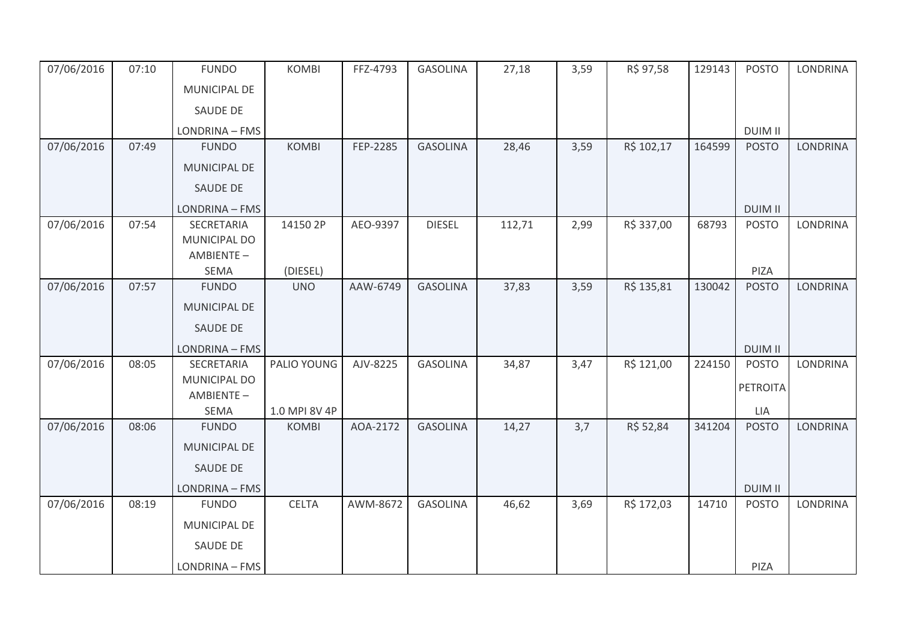| 07/06/2016 | 07:10 | <b>FUNDO</b>        | <b>KOMBI</b>  | FFZ-4793 | <b>GASOLINA</b> | 27,18  | 3,59 | R\$ 97,58  | 129143 | <b>POSTO</b>    | <b>LONDRINA</b> |
|------------|-------|---------------------|---------------|----------|-----------------|--------|------|------------|--------|-----------------|-----------------|
|            |       | <b>MUNICIPAL DE</b> |               |          |                 |        |      |            |        |                 |                 |
|            |       | SAUDE DE            |               |          |                 |        |      |            |        |                 |                 |
|            |       | LONDRINA - FMS      |               |          |                 |        |      |            |        | <b>DUIM II</b>  |                 |
| 07/06/2016 | 07:49 | <b>FUNDO</b>        | <b>KOMBI</b>  | FEP-2285 | <b>GASOLINA</b> | 28,46  | 3,59 | R\$ 102,17 | 164599 | <b>POSTO</b>    | <b>LONDRINA</b> |
|            |       | MUNICIPAL DE        |               |          |                 |        |      |            |        |                 |                 |
|            |       | <b>SAUDE DE</b>     |               |          |                 |        |      |            |        |                 |                 |
|            |       | LONDRINA - FMS      |               |          |                 |        |      |            |        | <b>DUIM II</b>  |                 |
| 07/06/2016 | 07:54 | SECRETARIA          | 14150 2P      | AEO-9397 | <b>DIESEL</b>   | 112,71 | 2,99 | R\$ 337,00 | 68793  | <b>POSTO</b>    | <b>LONDRINA</b> |
|            |       | MUNICIPAL DO        |               |          |                 |        |      |            |        |                 |                 |
|            |       | AMBIENTE-<br>SEMA   | (DIESEL)      |          |                 |        |      |            |        | PIZA            |                 |
| 07/06/2016 | 07:57 | <b>FUNDO</b>        | <b>UNO</b>    | AAW-6749 | <b>GASOLINA</b> | 37,83  | 3,59 | R\$ 135,81 | 130042 | <b>POSTO</b>    | <b>LONDRINA</b> |
|            |       | <b>MUNICIPAL DE</b> |               |          |                 |        |      |            |        |                 |                 |
|            |       | SAUDE DE            |               |          |                 |        |      |            |        |                 |                 |
|            |       | LONDRINA - FMS      |               |          |                 |        |      |            |        | <b>DUIM II</b>  |                 |
| 07/06/2016 | 08:05 | SECRETARIA          | PALIO YOUNG   | AJV-8225 | <b>GASOLINA</b> | 34,87  | 3,47 | R\$ 121,00 | 224150 | <b>POSTO</b>    | <b>LONDRINA</b> |
|            |       | MUNICIPAL DO        |               |          |                 |        |      |            |        | <b>PETROITA</b> |                 |
|            |       | AMBIENTE-<br>SEMA   | 1.0 MPI 8V 4P |          |                 |        |      |            |        | LIA             |                 |
| 07/06/2016 | 08:06 | <b>FUNDO</b>        | <b>KOMBI</b>  | AOA-2172 | <b>GASOLINA</b> | 14,27  | 3,7  | R\$ 52,84  | 341204 | <b>POSTO</b>    | <b>LONDRINA</b> |
|            |       | <b>MUNICIPAL DE</b> |               |          |                 |        |      |            |        |                 |                 |
|            |       | SAUDE DE            |               |          |                 |        |      |            |        |                 |                 |
|            |       | LONDRINA - FMS      |               |          |                 |        |      |            |        | <b>DUIM II</b>  |                 |
| 07/06/2016 | 08:19 | <b>FUNDO</b>        | <b>CELTA</b>  | AWM-8672 | <b>GASOLINA</b> | 46,62  | 3,69 | R\$ 172,03 | 14710  | <b>POSTO</b>    | <b>LONDRINA</b> |
|            |       | MUNICIPAL DE        |               |          |                 |        |      |            |        |                 |                 |
|            |       | SAUDE DE            |               |          |                 |        |      |            |        |                 |                 |
|            |       |                     |               |          |                 |        |      |            |        |                 |                 |
|            |       | LONDRINA - FMS      |               |          |                 |        |      |            |        | PIZA            |                 |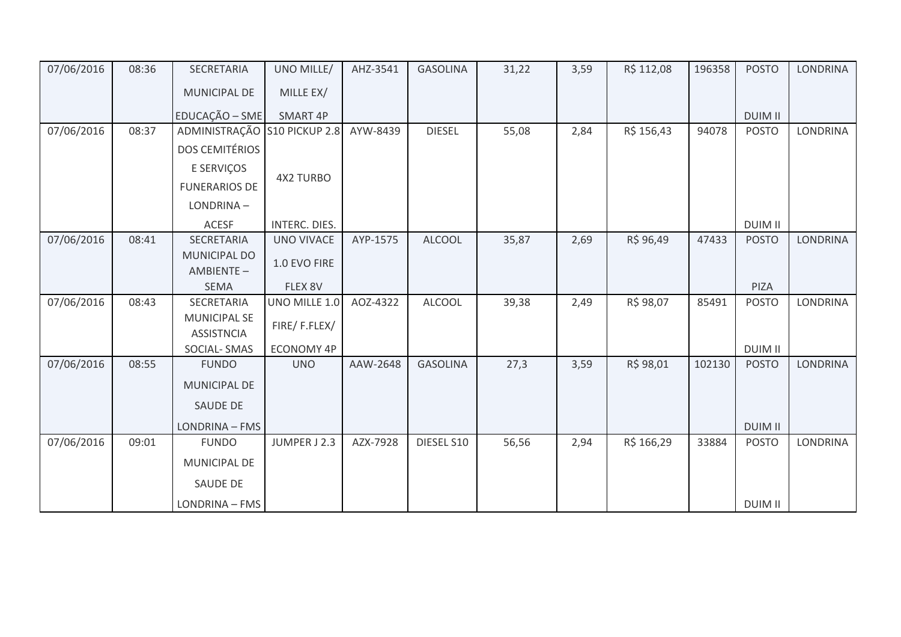| 07/06/2016 | 08:36 | SECRETARIA                               | UNO MILLE/        | AHZ-3541 | <b>GASOLINA</b> | 31,22 | 3,59 | R\$ 112,08 | 196358 | <b>POSTO</b>   | LONDRINA        |
|------------|-------|------------------------------------------|-------------------|----------|-----------------|-------|------|------------|--------|----------------|-----------------|
|            |       | MUNICIPAL DE                             | MILLE EX/         |          |                 |       |      |            |        |                |                 |
|            |       | EDUCAÇÃO - SME                           | SMART 4P          |          |                 |       |      |            |        | <b>DUIM II</b> |                 |
| 07/06/2016 | 08:37 | ADMINISTRAÇÃO S10 PICKUP 2.8             |                   | AYW-8439 | <b>DIESEL</b>   | 55,08 | 2,84 | R\$ 156,43 | 94078  | <b>POSTO</b>   | LONDRINA        |
|            |       | <b>DOS CEMITÉRIOS</b>                    |                   |          |                 |       |      |            |        |                |                 |
|            |       | E SERVIÇOS                               |                   |          |                 |       |      |            |        |                |                 |
|            |       | <b>FUNERARIOS DE</b>                     | <b>4X2 TURBO</b>  |          |                 |       |      |            |        |                |                 |
|            |       | LONDRINA-                                |                   |          |                 |       |      |            |        |                |                 |
|            |       | ACESF                                    | INTERC. DIES.     |          |                 |       |      |            |        | <b>DUIM II</b> |                 |
| 07/06/2016 | 08:41 | SECRETARIA                               | <b>UNO VIVACE</b> | AYP-1575 | <b>ALCOOL</b>   | 35,87 | 2,69 | R\$ 96,49  | 47433  | <b>POSTO</b>   | <b>LONDRINA</b> |
|            |       | MUNICIPAL DO<br>AMBIENTE-                | 1.0 EVO FIRE      |          |                 |       |      |            |        |                |                 |
|            |       | <b>SEMA</b>                              | FLEX 8V           |          |                 |       |      |            |        | PIZA           |                 |
| 07/06/2016 | 08:43 | SECRETARIA                               | UNO MILLE 1.0     | AOZ-4322 | <b>ALCOOL</b>   | 39,38 | 2,49 | R\$ 98,07  | 85491  | <b>POSTO</b>   | LONDRINA        |
|            |       | <b>MUNICIPAL SE</b><br><b>ASSISTNCIA</b> | FIRE/F.FLEX/      |          |                 |       |      |            |        |                |                 |
|            |       | SOCIAL-SMAS                              | ECONOMY 4P        |          |                 |       |      |            |        | <b>DUIM II</b> |                 |
| 07/06/2016 | 08:55 | <b>FUNDO</b>                             | <b>UNO</b>        | AAW-2648 | <b>GASOLINA</b> | 27,3  | 3,59 | R\$ 98,01  | 102130 | <b>POSTO</b>   | LONDRINA        |
|            |       | MUNICIPAL DE                             |                   |          |                 |       |      |            |        |                |                 |
|            |       | <b>SAUDE DE</b>                          |                   |          |                 |       |      |            |        |                |                 |
|            |       | LONDRINA - FMS                           |                   |          |                 |       |      |            |        | <b>DUIM II</b> |                 |
| 07/06/2016 | 09:01 | <b>FUNDO</b>                             | JUMPER J 2.3      | AZX-7928 | DIESEL S10      | 56,56 | 2,94 | R\$ 166,29 | 33884  | <b>POSTO</b>   | <b>LONDRINA</b> |
|            |       | MUNICIPAL DE                             |                   |          |                 |       |      |            |        |                |                 |
|            |       | <b>SAUDE DE</b>                          |                   |          |                 |       |      |            |        |                |                 |
|            |       | LONDRINA - FMS                           |                   |          |                 |       |      |            |        | <b>DUIM II</b> |                 |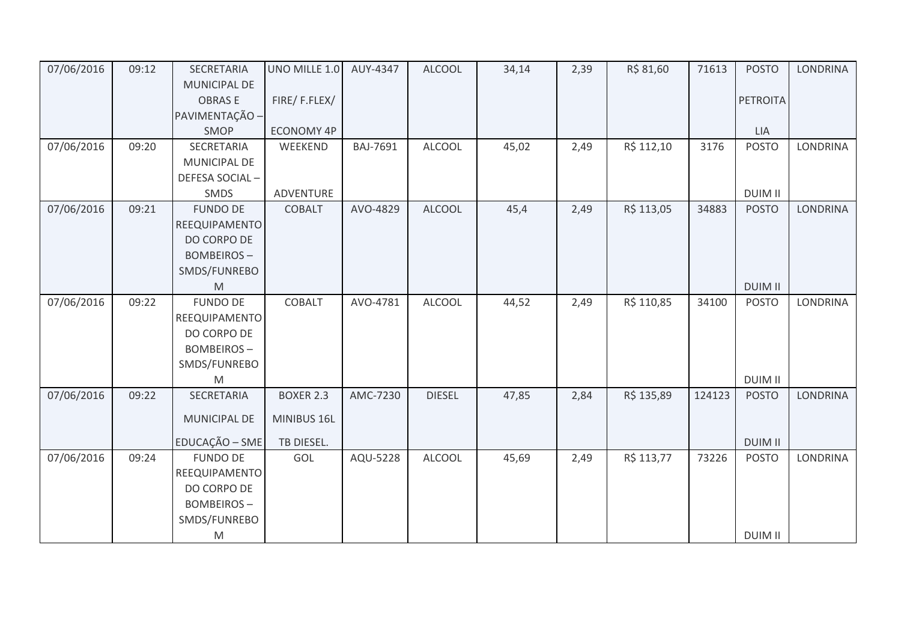| 07/06/2016 | 09:12 | SECRETARIA          | UNO MILLE 1.0     | AUY-4347        | <b>ALCOOL</b> | 34,14 | 2,39 | R\$ 81,60  | 71613  | <b>POSTO</b>    | <b>LONDRINA</b> |
|------------|-------|---------------------|-------------------|-----------------|---------------|-------|------|------------|--------|-----------------|-----------------|
|            |       | <b>MUNICIPAL DE</b> |                   |                 |               |       |      |            |        |                 |                 |
|            |       | <b>OBRASE</b>       | FIRE/F.FLEX/      |                 |               |       |      |            |        | <b>PETROITA</b> |                 |
|            |       | PAVIMENTAÇÃO -      |                   |                 |               |       |      |            |        |                 |                 |
|            |       | SMOP                | <b>ECONOMY 4P</b> |                 |               |       |      |            |        | <b>LIA</b>      |                 |
| 07/06/2016 | 09:20 | SECRETARIA          | WEEKEND           | <b>BAJ-7691</b> | <b>ALCOOL</b> | 45,02 | 2,49 | R\$ 112,10 | 3176   | <b>POSTO</b>    | <b>LONDRINA</b> |
|            |       | MUNICIPAL DE        |                   |                 |               |       |      |            |        |                 |                 |
|            |       | DEFESA SOCIAL-      |                   |                 |               |       |      |            |        |                 |                 |
|            |       | <b>SMDS</b>         | ADVENTURE         |                 |               |       |      |            |        | <b>DUIM II</b>  |                 |
| 07/06/2016 | 09:21 | <b>FUNDO DE</b>     | <b>COBALT</b>     | AVO-4829        | <b>ALCOOL</b> | 45,4  | 2,49 | R\$ 113,05 | 34883  | <b>POSTO</b>    | <b>LONDRINA</b> |
|            |       | REEQUIPAMENTO       |                   |                 |               |       |      |            |        |                 |                 |
|            |       | DO CORPO DE         |                   |                 |               |       |      |            |        |                 |                 |
|            |       | <b>BOMBEIROS-</b>   |                   |                 |               |       |      |            |        |                 |                 |
|            |       | SMDS/FUNREBO        |                   |                 |               |       |      |            |        |                 |                 |
|            |       | M                   |                   |                 |               |       |      |            |        | <b>DUIM II</b>  |                 |
| 07/06/2016 | 09:22 | <b>FUNDO DE</b>     | COBALT            | AVO-4781        | <b>ALCOOL</b> | 44,52 | 2,49 | R\$ 110,85 | 34100  | <b>POSTO</b>    | <b>LONDRINA</b> |
|            |       | REEQUIPAMENTO       |                   |                 |               |       |      |            |        |                 |                 |
|            |       | DO CORPO DE         |                   |                 |               |       |      |            |        |                 |                 |
|            |       | <b>BOMBEIROS-</b>   |                   |                 |               |       |      |            |        |                 |                 |
|            |       | SMDS/FUNREBO        |                   |                 |               |       |      |            |        |                 |                 |
|            |       | M                   |                   |                 |               |       |      |            |        | <b>DUIM II</b>  |                 |
| 07/06/2016 | 09:22 | SECRETARIA          | <b>BOXER 2.3</b>  | AMC-7230        | <b>DIESEL</b> | 47,85 | 2,84 | R\$ 135,89 | 124123 | <b>POSTO</b>    | <b>LONDRINA</b> |
|            |       | MUNICIPAL DE        | MINIBUS 16L       |                 |               |       |      |            |        |                 |                 |
|            |       | EDUCAÇÃO - SME      | TB DIESEL.        |                 |               |       |      |            |        | <b>DUIM II</b>  |                 |
| 07/06/2016 | 09:24 | <b>FUNDO DE</b>     | GOL               | AQU-5228        | <b>ALCOOL</b> | 45,69 | 2,49 | R\$ 113,77 | 73226  | <b>POSTO</b>    | LONDRINA        |
|            |       | REEQUIPAMENTO       |                   |                 |               |       |      |            |        |                 |                 |
|            |       | DO CORPO DE         |                   |                 |               |       |      |            |        |                 |                 |
|            |       | <b>BOMBEIROS-</b>   |                   |                 |               |       |      |            |        |                 |                 |
|            |       | SMDS/FUNREBO        |                   |                 |               |       |      |            |        |                 |                 |
|            |       | M                   |                   |                 |               |       |      |            |        | <b>DUIM II</b>  |                 |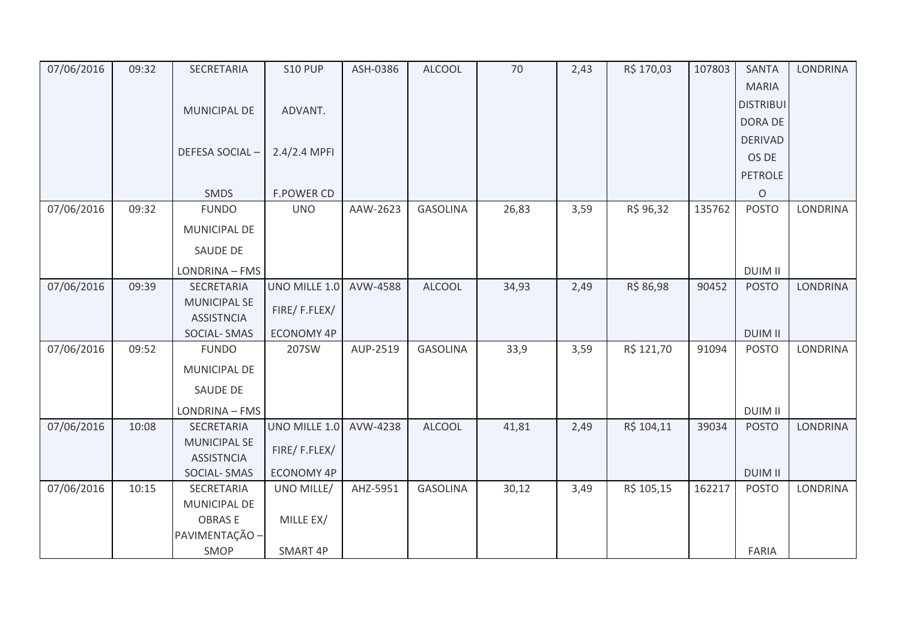| 07/06/2016 | 09:32 | SECRETARIA            | <b>S10 PUP</b>    | ASH-0386 | <b>ALCOOL</b>   | 70    | 2,43 | R\$ 170,03 | 107803 | <b>SANTA</b>     | <b>LONDRINA</b> |
|------------|-------|-----------------------|-------------------|----------|-----------------|-------|------|------------|--------|------------------|-----------------|
|            |       |                       |                   |          |                 |       |      |            |        | <b>MARIA</b>     |                 |
|            |       | MUNICIPAL DE          | ADVANT.           |          |                 |       |      |            |        | <b>DISTRIBUI</b> |                 |
|            |       |                       |                   |          |                 |       |      |            |        | DORA DE          |                 |
|            |       |                       |                   |          |                 |       |      |            |        | <b>DERIVAD</b>   |                 |
|            |       | <b>DEFESA SOCIAL-</b> | 2.4/2.4 MPFI      |          |                 |       |      |            |        | OS DE            |                 |
|            |       |                       |                   |          |                 |       |      |            |        | <b>PETROLE</b>   |                 |
|            |       | SMDS                  | <b>F.POWER CD</b> |          |                 |       |      |            |        | $\circ$          |                 |
| 07/06/2016 | 09:32 | <b>FUNDO</b>          | <b>UNO</b>        | AAW-2623 | <b>GASOLINA</b> | 26,83 | 3,59 | R\$ 96,32  | 135762 | <b>POSTO</b>     | <b>LONDRINA</b> |
|            |       | <b>MUNICIPAL DE</b>   |                   |          |                 |       |      |            |        |                  |                 |
|            |       | SAUDE DE              |                   |          |                 |       |      |            |        |                  |                 |
|            |       | LONDRINA - FMS        |                   |          |                 |       |      |            |        | <b>DUIM II</b>   |                 |
| 07/06/2016 | 09:39 | SECRETARIA            | UNO MILLE 1.0     | AVW-4588 | <b>ALCOOL</b>   | 34,93 | 2,49 | R\$ 86,98  | 90452  | <b>POSTO</b>     | <b>LONDRINA</b> |
|            |       | <b>MUNICIPAL SE</b>   | FIRE/F.FLEX/      |          |                 |       |      |            |        |                  |                 |
|            |       | <b>ASSISTNCIA</b>     |                   |          |                 |       |      |            |        |                  |                 |
|            |       | SOCIAL-SMAS           | ECONOMY 4P        |          |                 |       |      |            |        | <b>DUIM II</b>   |                 |
| 07/06/2016 | 09:52 | <b>FUNDO</b>          | 207SW             | AUP-2519 | <b>GASOLINA</b> | 33,9  | 3,59 | R\$ 121,70 | 91094  | <b>POSTO</b>     | LONDRINA        |
|            |       | <b>MUNICIPAL DE</b>   |                   |          |                 |       |      |            |        |                  |                 |
|            |       | SAUDE DE              |                   |          |                 |       |      |            |        |                  |                 |
|            |       | LONDRINA - FMS        |                   |          |                 |       |      |            |        | <b>DUIM II</b>   |                 |
| 07/06/2016 | 10:08 | SECRETARIA            | UNO MILLE 1.0     | AVW-4238 | <b>ALCOOL</b>   | 41,81 | 2,49 | R\$ 104,11 | 39034  | <b>POSTO</b>     | <b>LONDRINA</b> |
|            |       | <b>MUNICIPAL SE</b>   | FIRE/F.FLEX/      |          |                 |       |      |            |        |                  |                 |
|            |       | <b>ASSISTNCIA</b>     |                   |          |                 |       |      |            |        |                  |                 |
|            |       | SOCIAL-SMAS           | <b>ECONOMY 4P</b> |          |                 |       |      |            |        | <b>DUIM II</b>   |                 |
| 07/06/2016 | 10:15 | SECRETARIA            | UNO MILLE/        | AHZ-5951 | <b>GASOLINA</b> | 30,12 | 3,49 | R\$ 105,15 | 162217 | <b>POSTO</b>     | <b>LONDRINA</b> |
|            |       | MUNICIPAL DE          |                   |          |                 |       |      |            |        |                  |                 |
|            |       | <b>OBRASE</b>         | MILLE EX/         |          |                 |       |      |            |        |                  |                 |
|            |       | PAVIMENTAÇÃO -        |                   |          |                 |       |      |            |        |                  |                 |
|            |       | SMOP                  | SMART 4P          |          |                 |       |      |            |        | <b>FARIA</b>     |                 |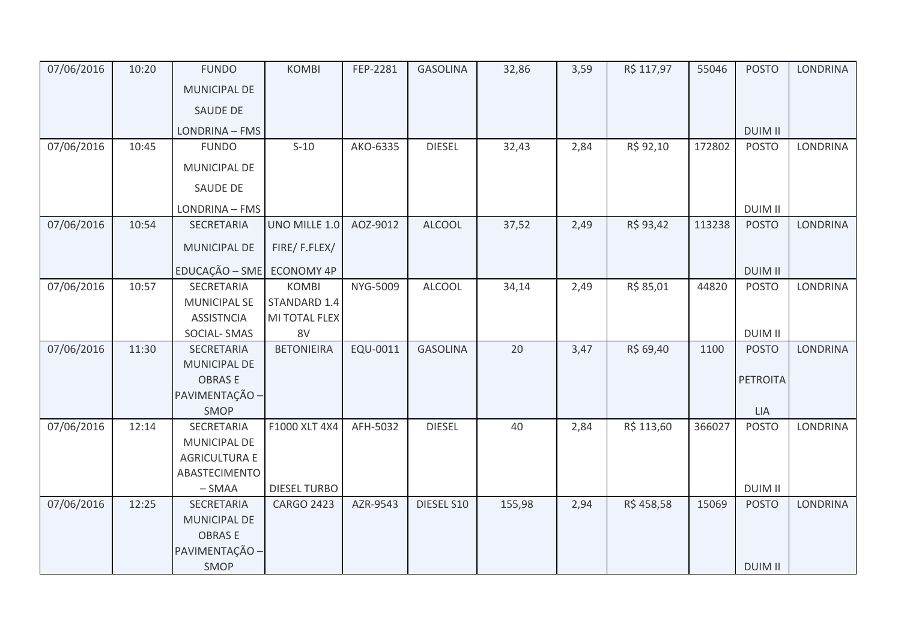| 07/06/2016 | 10:20 | <b>FUNDO</b>                    | <b>KOMBI</b>        | FEP-2281 | <b>GASOLINA</b> | 32,86  | 3,59 | R\$ 117,97 | 55046  | <b>POSTO</b>    | <b>LONDRINA</b> |
|------------|-------|---------------------------------|---------------------|----------|-----------------|--------|------|------------|--------|-----------------|-----------------|
|            |       | MUNICIPAL DE                    |                     |          |                 |        |      |            |        |                 |                 |
|            |       | SAUDE DE                        |                     |          |                 |        |      |            |        |                 |                 |
|            |       | LONDRINA - FMS                  |                     |          |                 |        |      |            |        | <b>DUIM II</b>  |                 |
| 07/06/2016 | 10:45 | <b>FUNDO</b>                    | $S-10$              | AKO-6335 | <b>DIESEL</b>   | 32,43  | 2,84 | R\$ 92,10  | 172802 | <b>POSTO</b>    | LONDRINA        |
|            |       | <b>MUNICIPAL DE</b>             |                     |          |                 |        |      |            |        |                 |                 |
|            |       | SAUDE DE                        |                     |          |                 |        |      |            |        |                 |                 |
|            |       | LONDRINA - FMS                  |                     |          |                 |        |      |            |        | <b>DUIM II</b>  |                 |
| 07/06/2016 | 10:54 | <b>SECRETARIA</b>               | UNO MILLE 1.0       | AOZ-9012 | <b>ALCOOL</b>   | 37,52  | 2,49 | R\$ 93,42  | 113238 | <b>POSTO</b>    | <b>LONDRINA</b> |
|            |       | MUNICIPAL DE                    | FIRE/F.FLEX/        |          |                 |        |      |            |        |                 |                 |
|            |       | EDUCAÇÃO - SME ECONOMY 4P       |                     |          |                 |        |      |            |        | <b>DUIM II</b>  |                 |
| 07/06/2016 | 10:57 | <b>SECRETARIA</b>               | <b>KOMBI</b>        | NYG-5009 | <b>ALCOOL</b>   | 34,14  | 2,49 | R\$ 85,01  | 44820  | <b>POSTO</b>    | LONDRINA        |
|            |       | <b>MUNICIPAL SE</b>             | STANDARD 1.4        |          |                 |        |      |            |        |                 |                 |
|            |       | <b>ASSISTNCIA</b>               | MI TOTAL FLEX       |          |                 |        |      |            |        |                 |                 |
|            |       | SOCIAL-SMAS                     | 8V                  |          |                 |        |      |            |        | <b>DUIM II</b>  |                 |
| 07/06/2016 | 11:30 | SECRETARIA                      | <b>BETONIEIRA</b>   | EQU-0011 | <b>GASOLINA</b> | 20     | 3,47 | R\$ 69,40  | 1100   | <b>POSTO</b>    | LONDRINA        |
|            |       | <b>MUNICIPAL DE</b>             |                     |          |                 |        |      |            |        |                 |                 |
|            |       | <b>OBRASE</b>                   |                     |          |                 |        |      |            |        | <b>PETROITA</b> |                 |
|            |       | PAVIMENTAÇÃO -                  |                     |          |                 |        |      |            |        |                 |                 |
|            |       | SMOP                            |                     |          |                 |        |      |            |        | LIA             |                 |
| 07/06/2016 | 12:14 | SECRETARIA                      | F1000 XLT 4X4       | AFH-5032 | <b>DIESEL</b>   | 40     | 2,84 | R\$ 113,60 | 366027 | <b>POSTO</b>    | <b>LONDRINA</b> |
|            |       | MUNICIPAL DE                    |                     |          |                 |        |      |            |        |                 |                 |
|            |       | <b>AGRICULTURA E</b>            |                     |          |                 |        |      |            |        |                 |                 |
|            |       | ABASTECIMENTO                   |                     |          |                 |        |      |            |        |                 |                 |
|            |       | $-SMAA$                         | <b>DIESEL TURBO</b> |          |                 |        |      |            |        | <b>DUIM II</b>  |                 |
| 07/06/2016 | 12:25 | <b>SECRETARIA</b>               | <b>CARGO 2423</b>   | AZR-9543 | DIESEL S10      | 155,98 | 2,94 | R\$458,58  | 15069  | <b>POSTO</b>    | <b>LONDRINA</b> |
|            |       | MUNICIPAL DE                    |                     |          |                 |        |      |            |        |                 |                 |
|            |       | <b>OBRASE</b><br>PAVIMENTAÇÃO - |                     |          |                 |        |      |            |        |                 |                 |
|            |       | SMOP                            |                     |          |                 |        |      |            |        | <b>DUIM II</b>  |                 |
|            |       |                                 |                     |          |                 |        |      |            |        |                 |                 |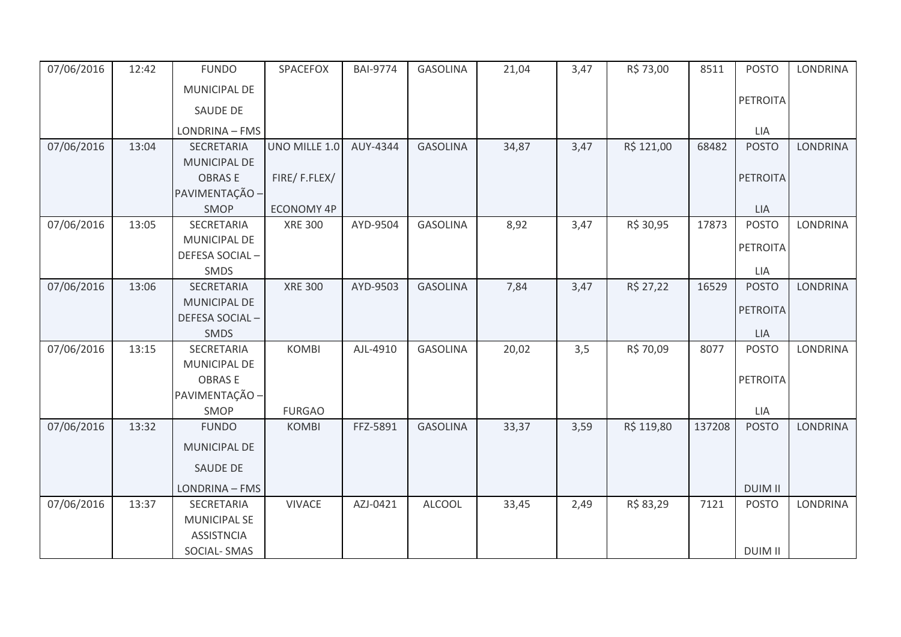| 07/06/2016 | 12:42 | <b>FUNDO</b>        | SPACEFOX          | <b>BAI-9774</b> | <b>GASOLINA</b> | 21,04 | 3,47 | R\$ 73,00  | 8511   | <b>POSTO</b>    | <b>LONDRINA</b> |
|------------|-------|---------------------|-------------------|-----------------|-----------------|-------|------|------------|--------|-----------------|-----------------|
|            |       | MUNICIPAL DE        |                   |                 |                 |       |      |            |        |                 |                 |
|            |       | <b>SAUDE DE</b>     |                   |                 |                 |       |      |            |        | <b>PETROITA</b> |                 |
|            |       | LONDRINA - FMS      |                   |                 |                 |       |      |            |        | LIA             |                 |
| 07/06/2016 | 13:04 | SECRETARIA          | UNO MILLE 1.0     | AUY-4344        | <b>GASOLINA</b> | 34,87 | 3,47 | R\$ 121,00 | 68482  | <b>POSTO</b>    | <b>LONDRINA</b> |
|            |       | MUNICIPAL DE        |                   |                 |                 |       |      |            |        |                 |                 |
|            |       | <b>OBRASE</b>       | FIRE/F.FLEX/      |                 |                 |       |      |            |        | <b>PETROITA</b> |                 |
|            |       | PAVIMENTAÇÃO -      |                   |                 |                 |       |      |            |        |                 |                 |
|            |       | SMOP                | <b>ECONOMY 4P</b> |                 |                 |       |      |            |        | <b>LIA</b>      |                 |
| 07/06/2016 | 13:05 | SECRETARIA          | <b>XRE 300</b>    | AYD-9504        | <b>GASOLINA</b> | 8,92  | 3,47 | R\$ 30,95  | 17873  | <b>POSTO</b>    | LONDRINA        |
|            |       | MUNICIPAL DE        |                   |                 |                 |       |      |            |        | <b>PETROITA</b> |                 |
|            |       | DEFESA SOCIAL-      |                   |                 |                 |       |      |            |        |                 |                 |
|            |       | SMDS                |                   |                 |                 |       |      |            |        | LIA             |                 |
| 07/06/2016 | 13:06 | SECRETARIA          | <b>XRE 300</b>    | AYD-9503        | <b>GASOLINA</b> | 7,84  | 3,47 | R\$ 27,22  | 16529  | <b>POSTO</b>    | <b>LONDRINA</b> |
|            |       | <b>MUNICIPAL DE</b> |                   |                 |                 |       |      |            |        | <b>PETROITA</b> |                 |
|            |       | DEFESA SOCIAL-      |                   |                 |                 |       |      |            |        |                 |                 |
|            |       | SMDS                |                   |                 |                 |       |      |            |        | <b>LIA</b>      |                 |
| 07/06/2016 | 13:15 | SECRETARIA          | <b>KOMBI</b>      | AJL-4910        | <b>GASOLINA</b> | 20,02 | 3,5  | R\$ 70,09  | 8077   | <b>POSTO</b>    | LONDRINA        |
|            |       | MUNICIPAL DE        |                   |                 |                 |       |      |            |        |                 |                 |
|            |       | <b>OBRASE</b>       |                   |                 |                 |       |      |            |        | <b>PETROITA</b> |                 |
|            |       | PAVIMENTAÇÃO -      |                   |                 |                 |       |      |            |        |                 |                 |
|            |       | SMOP                | <b>FURGAO</b>     |                 |                 |       |      |            | 137208 | <b>LIA</b>      |                 |
| 07/06/2016 | 13:32 | <b>FUNDO</b>        | <b>KOMBI</b>      | FFZ-5891        | <b>GASOLINA</b> | 33,37 | 3,59 | R\$ 119,80 |        | <b>POSTO</b>    | <b>LONDRINA</b> |
|            |       | MUNICIPAL DE        |                   |                 |                 |       |      |            |        |                 |                 |
|            |       | SAUDE DE            |                   |                 |                 |       |      |            |        |                 |                 |
|            |       | LONDRINA - FMS      |                   |                 |                 |       |      |            |        | <b>DUIM II</b>  |                 |
| 07/06/2016 | 13:37 | SECRETARIA          | <b>VIVACE</b>     | AZJ-0421        | <b>ALCOOL</b>   | 33,45 | 2,49 | R\$ 83,29  | 7121   | <b>POSTO</b>    | LONDRINA        |
|            |       | <b>MUNICIPAL SE</b> |                   |                 |                 |       |      |            |        |                 |                 |
|            |       | <b>ASSISTNCIA</b>   |                   |                 |                 |       |      |            |        |                 |                 |
|            |       | SOCIAL-SMAS         |                   |                 |                 |       |      |            |        | <b>DUIM II</b>  |                 |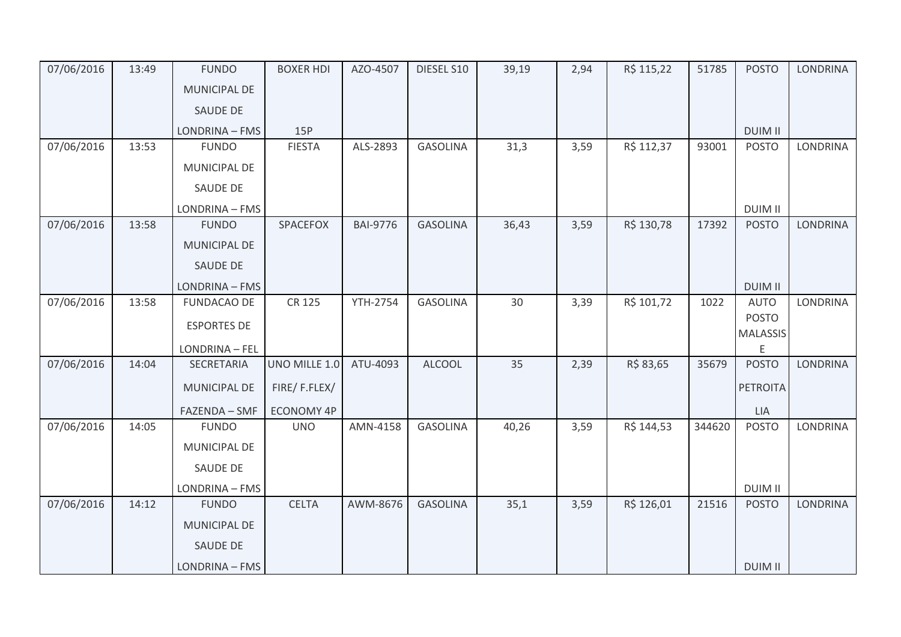| 07/06/2016 | 13:49 | <b>FUNDO</b>        | <b>BOXER HDI</b>  | AZO-4507        | DIESEL S10      | 39,19 | 2,94 | R\$ 115,22 | 51785  | <b>POSTO</b>                    | <b>LONDRINA</b> |
|------------|-------|---------------------|-------------------|-----------------|-----------------|-------|------|------------|--------|---------------------------------|-----------------|
|            |       | <b>MUNICIPAL DE</b> |                   |                 |                 |       |      |            |        |                                 |                 |
|            |       | SAUDE DE            |                   |                 |                 |       |      |            |        |                                 |                 |
|            |       | LONDRINA - FMS      | 15P               |                 |                 |       |      |            |        | <b>DUIM II</b>                  |                 |
| 07/06/2016 | 13:53 | <b>FUNDO</b>        | <b>FIESTA</b>     | ALS-2893        | <b>GASOLINA</b> | 31,3  | 3,59 | R\$ 112,37 | 93001  | <b>POSTO</b>                    | LONDRINA        |
|            |       | MUNICIPAL DE        |                   |                 |                 |       |      |            |        |                                 |                 |
|            |       | <b>SAUDE DE</b>     |                   |                 |                 |       |      |            |        |                                 |                 |
|            |       | LONDRINA - FMS      |                   |                 |                 |       |      |            |        | <b>DUIM II</b>                  |                 |
| 07/06/2016 | 13:58 | <b>FUNDO</b>        | SPACEFOX          | <b>BAI-9776</b> | <b>GASOLINA</b> | 36,43 | 3,59 | R\$ 130,78 | 17392  | <b>POSTO</b>                    | <b>LONDRINA</b> |
|            |       | <b>MUNICIPAL DE</b> |                   |                 |                 |       |      |            |        |                                 |                 |
|            |       | SAUDE DE            |                   |                 |                 |       |      |            |        |                                 |                 |
|            |       | LONDRINA - FMS      |                   |                 |                 |       |      |            |        | <b>DUIM II</b>                  |                 |
| 07/06/2016 | 13:58 | <b>FUNDACAO DE</b>  | CR 125            | <b>YTH-2754</b> | <b>GASOLINA</b> | 30    | 3,39 | R\$ 101,72 | 1022   | <b>AUTO</b>                     | <b>LONDRINA</b> |
|            |       | <b>ESPORTES DE</b>  |                   |                 |                 |       |      |            |        | <b>POSTO</b><br><b>MALASSIS</b> |                 |
|            |       | LONDRINA - FEL      |                   |                 |                 |       |      |            |        | E                               |                 |
| 07/06/2016 | 14:04 | SECRETARIA          | UNO MILLE 1.0     | ATU-4093        | <b>ALCOOL</b>   | 35    | 2,39 | R\$ 83,65  | 35679  | <b>POSTO</b>                    | <b>LONDRINA</b> |
|            |       | <b>MUNICIPAL DE</b> | FIRE/F.FLEX/      |                 |                 |       |      |            |        | <b>PETROITA</b>                 |                 |
|            |       | FAZENDA - SMF       | <b>ECONOMY 4P</b> |                 |                 |       |      |            |        | <b>LIA</b>                      |                 |
| 07/06/2016 | 14:05 | <b>FUNDO</b>        | <b>UNO</b>        | AMN-4158        | <b>GASOLINA</b> | 40,26 | 3,59 | R\$ 144,53 | 344620 | <b>POSTO</b>                    | LONDRINA        |
|            |       | MUNICIPAL DE        |                   |                 |                 |       |      |            |        |                                 |                 |
|            |       | SAUDE DE            |                   |                 |                 |       |      |            |        |                                 |                 |
|            |       | LONDRINA - FMS      |                   |                 |                 |       |      |            |        | <b>DUIM II</b>                  |                 |
| 07/06/2016 | 14:12 | <b>FUNDO</b>        | <b>CELTA</b>      | AWM-8676        | <b>GASOLINA</b> | 35,1  | 3,59 | R\$ 126,01 | 21516  | <b>POSTO</b>                    | <b>LONDRINA</b> |
|            |       | <b>MUNICIPAL DE</b> |                   |                 |                 |       |      |            |        |                                 |                 |
|            |       | SAUDE DE            |                   |                 |                 |       |      |            |        |                                 |                 |
|            |       | LONDRINA - FMS      |                   |                 |                 |       |      |            |        | <b>DUIM II</b>                  |                 |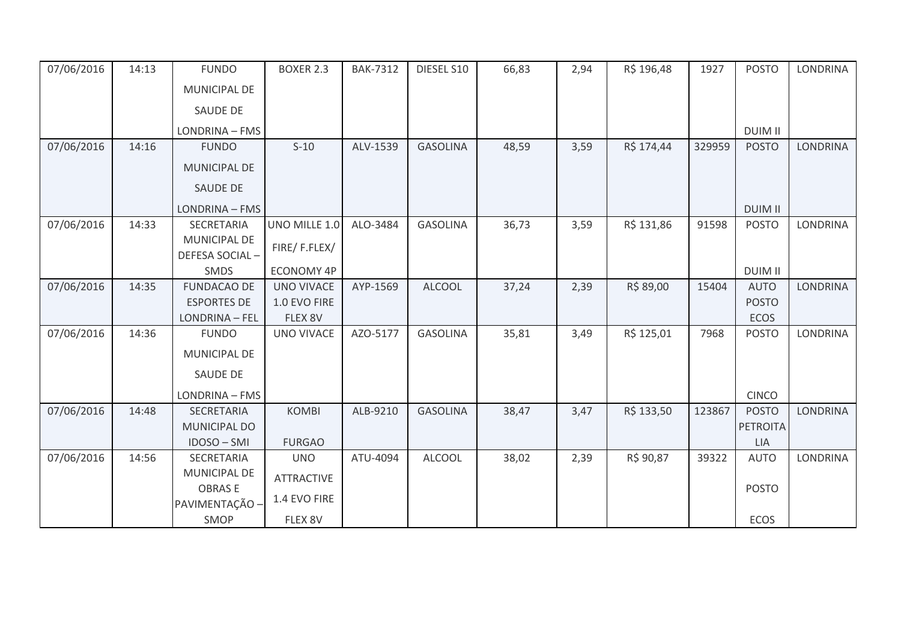| 07/06/2016 | 14:13 | <b>FUNDO</b>          | <b>BOXER 2.3</b>  | <b>BAK-7312</b> | DIESEL S10      | 66,83 | 2,94 | R\$ 196,48 | 1927   | <b>POSTO</b>    | <b>LONDRINA</b> |
|------------|-------|-----------------------|-------------------|-----------------|-----------------|-------|------|------------|--------|-----------------|-----------------|
|            |       | <b>MUNICIPAL DE</b>   |                   |                 |                 |       |      |            |        |                 |                 |
|            |       | SAUDE DE              |                   |                 |                 |       |      |            |        |                 |                 |
|            |       | LONDRINA - FMS        |                   |                 |                 |       |      |            |        | <b>DUIM II</b>  |                 |
| 07/06/2016 | 14:16 | <b>FUNDO</b>          | $S-10$            | ALV-1539        | <b>GASOLINA</b> | 48,59 | 3,59 | R\$ 174,44 | 329959 | <b>POSTO</b>    | <b>LONDRINA</b> |
|            |       | <b>MUNICIPAL DE</b>   |                   |                 |                 |       |      |            |        |                 |                 |
|            |       | <b>SAUDE DE</b>       |                   |                 |                 |       |      |            |        |                 |                 |
|            |       | LONDRINA - FMS        |                   |                 |                 |       |      |            |        | <b>DUIM II</b>  |                 |
| 07/06/2016 | 14:33 | <b>SECRETARIA</b>     | UNO MILLE 1.0     | ALO-3484        | <b>GASOLINA</b> | 36,73 | 3,59 | R\$ 131,86 | 91598  | <b>POSTO</b>    | <b>LONDRINA</b> |
|            |       | <b>MUNICIPAL DE</b>   | FIRE/F.FLEX/      |                 |                 |       |      |            |        |                 |                 |
|            |       | DEFESA SOCIAL-        |                   |                 |                 |       |      |            |        |                 |                 |
|            |       | SMDS                  | <b>ECONOMY 4P</b> |                 |                 |       |      |            |        | <b>DUIM II</b>  |                 |
| 07/06/2016 | 14:35 | <b>FUNDACAO DE</b>    | <b>UNO VIVACE</b> | AYP-1569        | <b>ALCOOL</b>   | 37,24 | 2,39 | R\$ 89,00  | 15404  | <b>AUTO</b>     | <b>LONDRINA</b> |
|            |       | <b>ESPORTES DE</b>    | 1.0 EVO FIRE      |                 |                 |       |      |            |        | <b>POSTO</b>    |                 |
|            |       | <b>LONDRINA - FEL</b> | FLEX 8V           |                 |                 |       |      |            |        | <b>ECOS</b>     |                 |
| 07/06/2016 | 14:36 | <b>FUNDO</b>          | UNO VIVACE        | AZO-5177        | <b>GASOLINA</b> | 35,81 | 3,49 | R\$ 125,01 | 7968   | <b>POSTO</b>    | LONDRINA        |
|            |       | <b>MUNICIPAL DE</b>   |                   |                 |                 |       |      |            |        |                 |                 |
|            |       | SAUDE DE              |                   |                 |                 |       |      |            |        |                 |                 |
|            |       | LONDRINA - FMS        |                   |                 |                 |       |      |            |        | <b>CINCO</b>    |                 |
| 07/06/2016 | 14:48 | <b>SECRETARIA</b>     | <b>KOMBI</b>      | ALB-9210        | <b>GASOLINA</b> | 38,47 | 3,47 | R\$ 133,50 | 123867 | <b>POSTO</b>    | <b>LONDRINA</b> |
|            |       | MUNICIPAL DO          |                   |                 |                 |       |      |            |        | <b>PETROITA</b> |                 |
|            |       | IDOSO-SMI             | <b>FURGAO</b>     |                 |                 |       |      |            |        | <b>LIA</b>      |                 |
| 07/06/2016 | 14:56 | SECRETARIA            | <b>UNO</b>        | ATU-4094        | <b>ALCOOL</b>   | 38,02 | 2,39 | R\$ 90,87  | 39322  | <b>AUTO</b>     | LONDRINA        |
|            |       | <b>MUNICIPAL DE</b>   | <b>ATTRACTIVE</b> |                 |                 |       |      |            |        |                 |                 |
|            |       | <b>OBRASE</b>         |                   |                 |                 |       |      |            |        | <b>POSTO</b>    |                 |
|            |       | PAVIMENTAÇÃO -        | 1.4 EVO FIRE      |                 |                 |       |      |            |        |                 |                 |
|            |       | SMOP                  | FLEX 8V           |                 |                 |       |      |            |        | ECOS            |                 |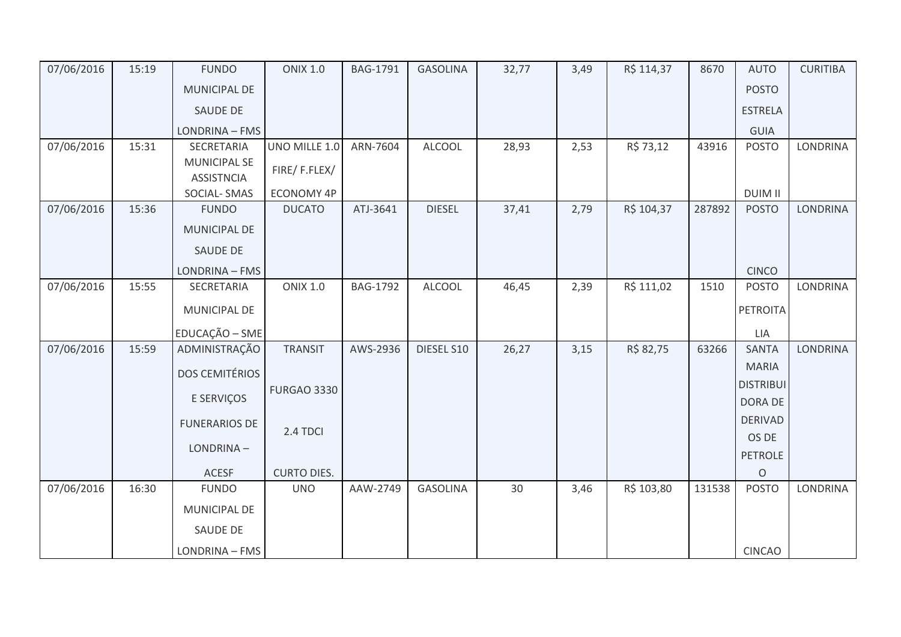| 07/06/2016 | 15:19 | <b>FUNDO</b>                             | <b>ONIX 1.0</b>    | BAG-1791        | <b>GASOLINA</b> | 32,77 | 3,49 | R\$ 114,37 | 8670   | <b>AUTO</b>                 | <b>CURITIBA</b> |
|------------|-------|------------------------------------------|--------------------|-----------------|-----------------|-------|------|------------|--------|-----------------------------|-----------------|
|            |       | MUNICIPAL DE                             |                    |                 |                 |       |      |            |        | <b>POSTO</b>                |                 |
|            |       | SAUDE DE                                 |                    |                 |                 |       |      |            |        | <b>ESTRELA</b>              |                 |
|            |       | LONDRINA - FMS                           |                    |                 |                 |       |      |            |        | <b>GUIA</b>                 |                 |
| 07/06/2016 | 15:31 | SECRETARIA                               | UNO MILLE 1.0      | ARN-7604        | <b>ALCOOL</b>   | 28,93 | 2,53 | R\$ 73,12  | 43916  | <b>POSTO</b>                | LONDRINA        |
|            |       | <b>MUNICIPAL SE</b><br><b>ASSISTNCIA</b> | FIRE/F.FLEX/       |                 |                 |       |      |            |        |                             |                 |
|            |       | SOCIAL-SMAS                              | ECONOMY 4P         |                 |                 |       |      |            |        | <b>DUIM II</b>              |                 |
| 07/06/2016 | 15:36 | <b>FUNDO</b>                             | <b>DUCATO</b>      | ATJ-3641        | <b>DIESEL</b>   | 37,41 | 2,79 | R\$ 104,37 | 287892 | <b>POSTO</b>                | <b>LONDRINA</b> |
|            |       | MUNICIPAL DE                             |                    |                 |                 |       |      |            |        |                             |                 |
|            |       | SAUDE DE                                 |                    |                 |                 |       |      |            |        |                             |                 |
|            |       | LONDRINA - FMS                           |                    |                 |                 |       |      |            |        | <b>CINCO</b>                |                 |
| 07/06/2016 | 15:55 | SECRETARIA                               | <b>ONIX 1.0</b>    | <b>BAG-1792</b> | <b>ALCOOL</b>   | 46,45 | 2,39 | R\$ 111,02 | 1510   | <b>POSTO</b>                | LONDRINA        |
|            |       | MUNICIPAL DE                             |                    |                 |                 |       |      |            |        | PETROITA                    |                 |
|            |       | EDUCAÇÃO - SME                           |                    |                 |                 |       |      |            |        | LIA                         |                 |
| 07/06/2016 | 15:59 | ADMINISTRAÇÃO                            | <b>TRANSIT</b>     | AWS-2936        | DIESEL S10      | 26,27 | 3,15 | R\$ 82,75  | 63266  | SANTA                       | LONDRINA        |
|            |       | <b>DOS CEMITÉRIOS</b>                    |                    |                 |                 |       |      |            |        | <b>MARIA</b>                |                 |
|            |       | E SERVIÇOS                               | <b>FURGAO 3330</b> |                 |                 |       |      |            |        | <b>DISTRIBUI</b><br>DORA DE |                 |
|            |       | <b>FUNERARIOS DE</b>                     |                    |                 |                 |       |      |            |        | <b>DERIVAD</b>              |                 |
|            |       |                                          | 2.4 TDCI           |                 |                 |       |      |            |        | OS DE                       |                 |
|            |       | LONDRINA-                                |                    |                 |                 |       |      |            |        | PETROLE                     |                 |
|            |       | <b>ACESF</b>                             | <b>CURTO DIES.</b> |                 |                 |       |      |            |        | $\mathsf O$                 |                 |
| 07/06/2016 | 16:30 | <b>FUNDO</b>                             | <b>UNO</b>         | AAW-2749        | <b>GASOLINA</b> | 30    | 3,46 | R\$ 103,80 | 131538 | <b>POSTO</b>                | LONDRINA        |
|            |       | MUNICIPAL DE                             |                    |                 |                 |       |      |            |        |                             |                 |
|            |       | SAUDE DE                                 |                    |                 |                 |       |      |            |        |                             |                 |
|            |       | LONDRINA - FMS                           |                    |                 |                 |       |      |            |        | <b>CINCAO</b>               |                 |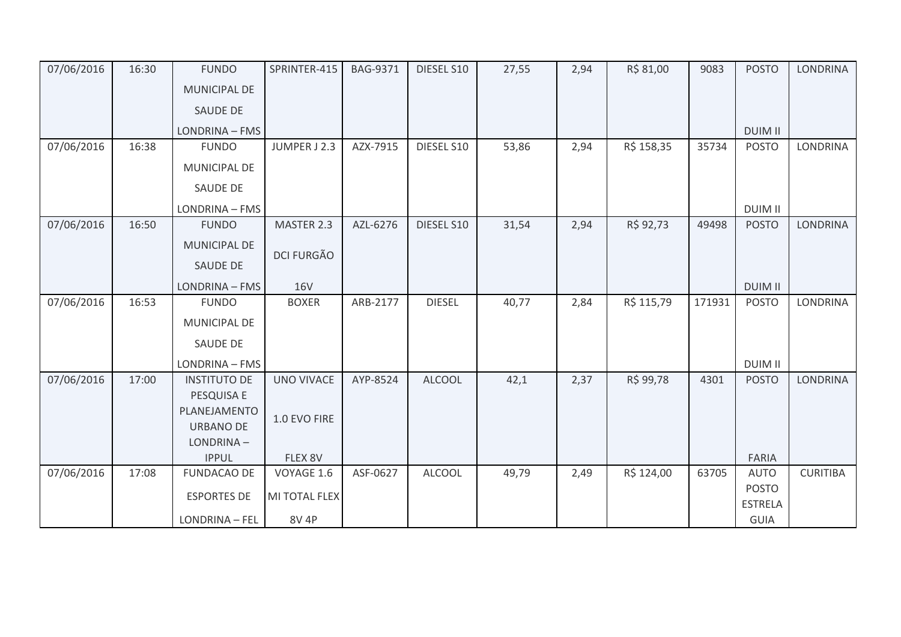| 07/06/2016 | 16:30 | <b>FUNDO</b>                  | SPRINTER-415      | <b>BAG-9371</b> | DIESEL S10    | 27,55 | 2,94 | R\$ 81,00  | 9083   | <b>POSTO</b>   | <b>LONDRINA</b> |
|------------|-------|-------------------------------|-------------------|-----------------|---------------|-------|------|------------|--------|----------------|-----------------|
|            |       | <b>MUNICIPAL DE</b>           |                   |                 |               |       |      |            |        |                |                 |
|            |       | <b>SAUDE DE</b>               |                   |                 |               |       |      |            |        |                |                 |
|            |       | LONDRINA - FMS                |                   |                 |               |       |      |            |        | <b>DUIM II</b> |                 |
| 07/06/2016 | 16:38 | <b>FUNDO</b>                  | JUMPER J 2.3      | AZX-7915        | DIESEL S10    | 53,86 | 2,94 | R\$ 158,35 | 35734  | <b>POSTO</b>   | <b>LONDRINA</b> |
|            |       | MUNICIPAL DE                  |                   |                 |               |       |      |            |        |                |                 |
|            |       | <b>SAUDE DE</b>               |                   |                 |               |       |      |            |        |                |                 |
|            |       | LONDRINA - FMS                |                   |                 |               |       |      |            |        | <b>DUIM II</b> |                 |
| 07/06/2016 | 16:50 | <b>FUNDO</b>                  | MASTER 2.3        | AZL-6276        | DIESEL S10    | 31,54 | 2,94 | R\$ 92,73  | 49498  | <b>POSTO</b>   | <b>LONDRINA</b> |
|            |       | MUNICIPAL DE                  | <b>DCI FURGÃO</b> |                 |               |       |      |            |        |                |                 |
|            |       | SAUDE DE                      |                   |                 |               |       |      |            |        |                |                 |
|            |       | LONDRINA - FMS                | <b>16V</b>        |                 |               |       |      |            |        | <b>DUIM II</b> |                 |
| 07/06/2016 | 16:53 | <b>FUNDO</b>                  | <b>BOXER</b>      | ARB-2177        | <b>DIESEL</b> | 40,77 | 2,84 | R\$ 115,79 | 171931 | <b>POSTO</b>   | <b>LONDRINA</b> |
|            |       | MUNICIPAL DE                  |                   |                 |               |       |      |            |        |                |                 |
|            |       | SAUDE DE                      |                   |                 |               |       |      |            |        |                |                 |
|            |       | LONDRINA - FMS                |                   |                 |               |       |      |            |        | <b>DUIM II</b> |                 |
| 07/06/2016 | 17:00 | <b>INSTITUTO DE</b>           | <b>UNO VIVACE</b> | AYP-8524        | <b>ALCOOL</b> | 42,1  | 2,37 | R\$ 99,78  | 4301   | <b>POSTO</b>   | <b>LONDRINA</b> |
|            |       | PESQUISA E                    |                   |                 |               |       |      |            |        |                |                 |
|            |       | PLANEJAMENTO                  | 1.0 EVO FIRE      |                 |               |       |      |            |        |                |                 |
|            |       | <b>URBANO DE</b><br>LONDRINA- |                   |                 |               |       |      |            |        |                |                 |
|            |       | <b>IPPUL</b>                  | FLEX 8V           |                 |               |       |      |            |        | <b>FARIA</b>   |                 |
| 07/06/2016 | 17:08 | <b>FUNDACAO DE</b>            | VOYAGE 1.6        | ASF-0627        | <b>ALCOOL</b> | 49,79 | 2,49 | R\$ 124,00 | 63705  | <b>AUTO</b>    | <b>CURITIBA</b> |
|            |       |                               |                   |                 |               |       |      |            |        | <b>POSTO</b>   |                 |
|            |       | <b>ESPORTES DE</b>            | MI TOTAL FLEX     |                 |               |       |      |            |        | <b>ESTRELA</b> |                 |
|            |       | LONDRINA - FEL                | <b>8V 4P</b>      |                 |               |       |      |            |        | GUIA           |                 |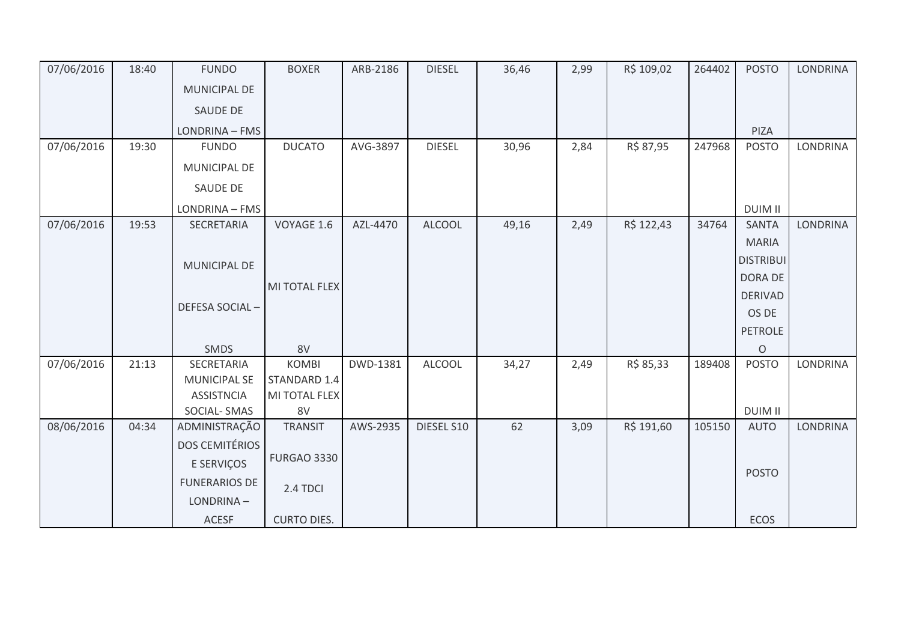| 07/06/2016 | 18:40 | <b>FUNDO</b>          | <b>BOXER</b>       | ARB-2186 | <b>DIESEL</b> | 36,46 | 2,99 | R\$ 109,02 | 264402 | <b>POSTO</b>     | <b>LONDRINA</b> |
|------------|-------|-----------------------|--------------------|----------|---------------|-------|------|------------|--------|------------------|-----------------|
|            |       | MUNICIPAL DE          |                    |          |               |       |      |            |        |                  |                 |
|            |       | SAUDE DE              |                    |          |               |       |      |            |        |                  |                 |
|            |       | LONDRINA - FMS        |                    |          |               |       |      |            |        | PIZA             |                 |
| 07/06/2016 | 19:30 | <b>FUNDO</b>          | <b>DUCATO</b>      | AVG-3897 | <b>DIESEL</b> | 30,96 | 2,84 | R\$ 87,95  | 247968 | <b>POSTO</b>     | <b>LONDRINA</b> |
|            |       | MUNICIPAL DE          |                    |          |               |       |      |            |        |                  |                 |
|            |       | SAUDE DE              |                    |          |               |       |      |            |        |                  |                 |
|            |       | LONDRINA - FMS        |                    |          |               |       |      |            |        | <b>DUIM II</b>   |                 |
| 07/06/2016 | 19:53 | SECRETARIA            | VOYAGE 1.6         | AZL-4470 | <b>ALCOOL</b> | 49,16 | 2,49 | R\$ 122,43 | 34764  | <b>SANTA</b>     | <b>LONDRINA</b> |
|            |       |                       |                    |          |               |       |      |            |        | <b>MARIA</b>     |                 |
|            |       | MUNICIPAL DE          |                    |          |               |       |      |            |        | <b>DISTRIBUI</b> |                 |
|            |       |                       | MI TOTAL FLEX      |          |               |       |      |            |        | DORA DE          |                 |
|            |       |                       |                    |          |               |       |      |            |        | <b>DERIVAD</b>   |                 |
|            |       | DEFESA SOCIAL-        |                    |          |               |       |      |            |        | OS DE            |                 |
|            |       |                       |                    |          |               |       |      |            |        | <b>PETROLE</b>   |                 |
|            |       | <b>SMDS</b>           | 8V                 |          |               |       |      |            |        | $\circ$          |                 |
| 07/06/2016 | 21:13 | SECRETARIA            | <b>KOMBI</b>       | DWD-1381 | <b>ALCOOL</b> | 34,27 | 2,49 | R\$ 85,33  | 189408 | <b>POSTO</b>     | LONDRINA        |
|            |       | <b>MUNICIPAL SE</b>   | STANDARD 1.4       |          |               |       |      |            |        |                  |                 |
|            |       | <b>ASSISTNCIA</b>     | MI TOTAL FLEX      |          |               |       |      |            |        |                  |                 |
|            |       | SOCIAL-SMAS           | 8V                 |          |               |       |      |            |        | <b>DUIM II</b>   |                 |
| 08/06/2016 | 04:34 | ADMINISTRAÇÃO         | <b>TRANSIT</b>     | AWS-2935 | DIESEL S10    | 62    | 3,09 | R\$ 191,60 | 105150 | <b>AUTO</b>      | <b>LONDRINA</b> |
|            |       | <b>DOS CEMITÉRIOS</b> |                    |          |               |       |      |            |        |                  |                 |
|            |       | E SERVIÇOS            | <b>FURGAO 3330</b> |          |               |       |      |            |        |                  |                 |
|            |       | <b>FUNERARIOS DE</b>  | 2.4 TDCI           |          |               |       |      |            |        | <b>POSTO</b>     |                 |
|            |       | LONDRINA-             |                    |          |               |       |      |            |        |                  |                 |
|            |       | ACESF                 | <b>CURTO DIES.</b> |          |               |       |      |            |        | ECOS             |                 |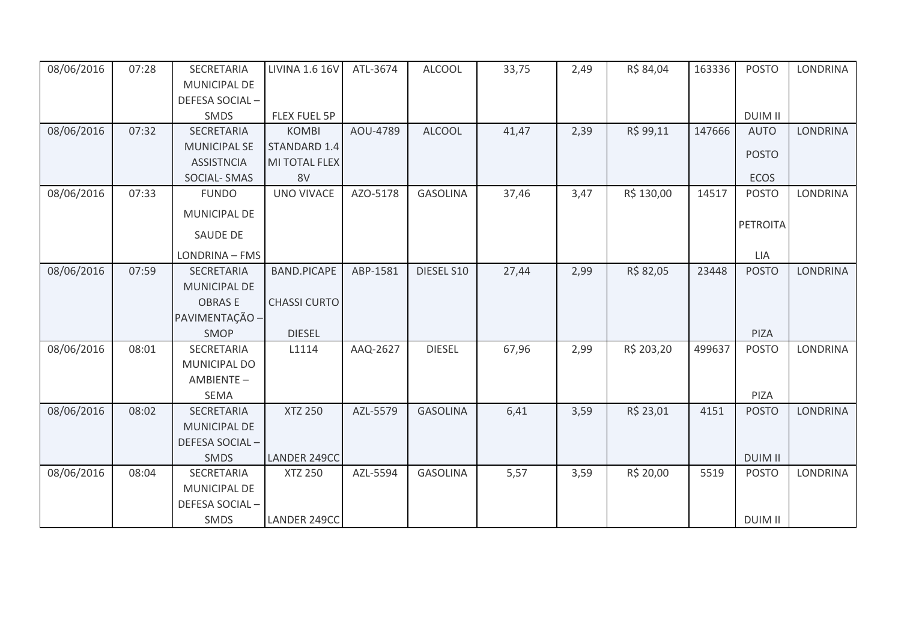| 08/06/2016 | 07:28 | SECRETARIA          | <b>LIVINA 1.6 16V</b> | ATL-3674 | <b>ALCOOL</b>   | 33,75 | 2,49 | R\$ 84,04  | 163336 | <b>POSTO</b>   | <b>LONDRINA</b> |
|------------|-------|---------------------|-----------------------|----------|-----------------|-------|------|------------|--------|----------------|-----------------|
|            |       | <b>MUNICIPAL DE</b> |                       |          |                 |       |      |            |        |                |                 |
|            |       | DEFESA SOCIAL-      |                       |          |                 |       |      |            |        |                |                 |
|            |       | SMDS                | FLEX FUEL 5P          |          |                 |       |      |            |        | <b>DUIM II</b> |                 |
| 08/06/2016 | 07:32 | SECRETARIA          | <b>KOMBI</b>          | AOU-4789 | <b>ALCOOL</b>   | 41,47 | 2,39 | R\$ 99,11  | 147666 | <b>AUTO</b>    | <b>LONDRINA</b> |
|            |       | <b>MUNICIPAL SE</b> | STANDARD 1.4          |          |                 |       |      |            |        | <b>POSTO</b>   |                 |
|            |       | <b>ASSISTNCIA</b>   | MI TOTAL FLEX         |          |                 |       |      |            |        |                |                 |
|            |       | SOCIAL-SMAS         | 8V                    |          |                 |       |      |            |        | ECOS           |                 |
| 08/06/2016 | 07:33 | <b>FUNDO</b>        | <b>UNO VIVACE</b>     | AZO-5178 | <b>GASOLINA</b> | 37,46 | 3,47 | R\$ 130,00 | 14517  | <b>POSTO</b>   | <b>LONDRINA</b> |
|            |       | MUNICIPAL DE        |                       |          |                 |       |      |            |        |                |                 |
|            |       | <b>SAUDE DE</b>     |                       |          |                 |       |      |            |        | PETROITA       |                 |
|            |       | LONDRINA - FMS      |                       |          |                 |       |      |            |        | LIA            |                 |
| 08/06/2016 | 07:59 | SECRETARIA          | <b>BAND.PICAPE</b>    | ABP-1581 | DIESEL S10      | 27,44 | 2,99 | R\$ 82,05  | 23448  | <b>POSTO</b>   | <b>LONDRINA</b> |
|            |       | <b>MUNICIPAL DE</b> |                       |          |                 |       |      |            |        |                |                 |
|            |       | <b>OBRASE</b>       | <b>CHASSI CURTO</b>   |          |                 |       |      |            |        |                |                 |
|            |       | PAVIMENTAÇÃO -      |                       |          |                 |       |      |            |        |                |                 |
|            |       | SMOP                | <b>DIESEL</b>         |          |                 |       |      |            |        | PIZA           |                 |
| 08/06/2016 | 08:01 | SECRETARIA          | L1114                 | AAQ-2627 | <b>DIESEL</b>   | 67,96 | 2,99 | R\$ 203,20 | 499637 | <b>POSTO</b>   | <b>LONDRINA</b> |
|            |       | MUNICIPAL DO        |                       |          |                 |       |      |            |        |                |                 |
|            |       | AMBIENTE-           |                       |          |                 |       |      |            |        |                |                 |
|            |       | <b>SEMA</b>         |                       |          |                 |       |      |            |        | PIZA           |                 |
| 08/06/2016 | 08:02 | SECRETARIA          | <b>XTZ 250</b>        | AZL-5579 | <b>GASOLINA</b> | 6,41  | 3,59 | R\$ 23,01  | 4151   | <b>POSTO</b>   | <b>LONDRINA</b> |
|            |       | <b>MUNICIPAL DE</b> |                       |          |                 |       |      |            |        |                |                 |
|            |       | DEFESA SOCIAL-      |                       |          |                 |       |      |            |        |                |                 |
|            |       | <b>SMDS</b>         | LANDER 249CC          |          |                 |       |      |            |        | <b>DUIM II</b> |                 |
| 08/06/2016 | 08:04 | SECRETARIA          | <b>XTZ 250</b>        | AZL-5594 | <b>GASOLINA</b> | 5,57  | 3,59 | R\$ 20,00  | 5519   | <b>POSTO</b>   | <b>LONDRINA</b> |
|            |       | MUNICIPAL DE        |                       |          |                 |       |      |            |        |                |                 |
|            |       | DEFESA SOCIAL-      |                       |          |                 |       |      |            |        |                |                 |
|            |       | <b>SMDS</b>         | LANDER 249CC          |          |                 |       |      |            |        | <b>DUIM II</b> |                 |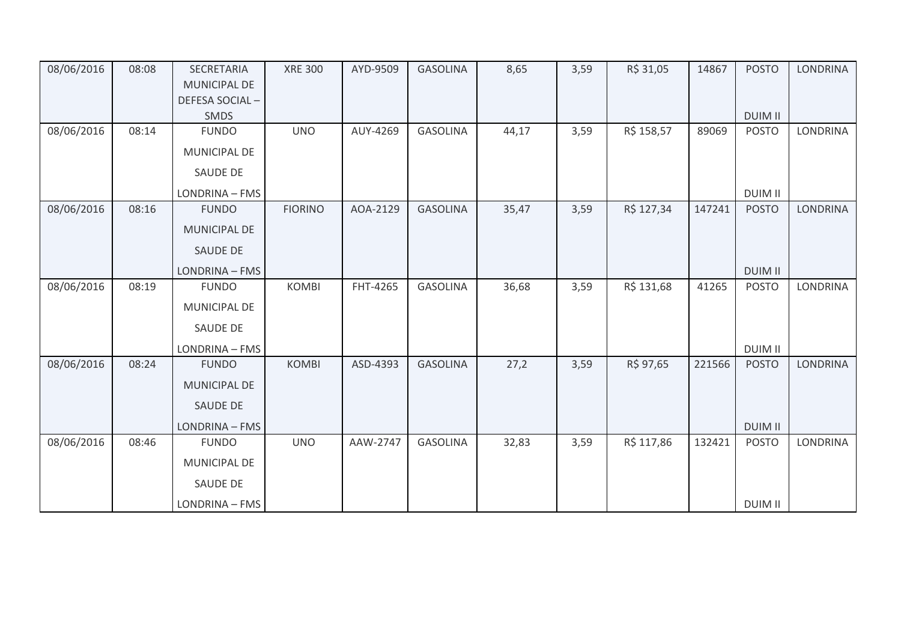| 08/06/2016 | 08:08 | SECRETARIA<br><b>MUNICIPAL DE</b> | <b>XRE 300</b> | AYD-9509 | <b>GASOLINA</b> | 8,65  | 3,59 | R\$ 31,05  | 14867  | <b>POSTO</b>   | <b>LONDRINA</b> |
|------------|-------|-----------------------------------|----------------|----------|-----------------|-------|------|------------|--------|----------------|-----------------|
|            |       | DEFESA SOCIAL-                    |                |          |                 |       |      |            |        |                |                 |
|            |       | <b>SMDS</b>                       |                |          |                 |       |      |            |        | <b>DUIM II</b> |                 |
| 08/06/2016 | 08:14 | <b>FUNDO</b>                      | <b>UNO</b>     | AUY-4269 | <b>GASOLINA</b> | 44,17 | 3,59 | R\$ 158,57 | 89069  | <b>POSTO</b>   | <b>LONDRINA</b> |
|            |       | <b>MUNICIPAL DE</b>               |                |          |                 |       |      |            |        |                |                 |
|            |       | <b>SAUDE DE</b>                   |                |          |                 |       |      |            |        |                |                 |
|            |       | LONDRINA - FMS                    |                |          |                 |       |      |            |        | <b>DUIM II</b> |                 |
| 08/06/2016 | 08:16 | <b>FUNDO</b>                      | <b>FIORINO</b> | AOA-2129 | <b>GASOLINA</b> | 35,47 | 3,59 | R\$ 127,34 | 147241 | <b>POSTO</b>   | LONDRINA        |
|            |       | <b>MUNICIPAL DE</b>               |                |          |                 |       |      |            |        |                |                 |
|            |       | <b>SAUDE DE</b>                   |                |          |                 |       |      |            |        |                |                 |
|            |       | LONDRINA - FMS                    |                |          |                 |       |      |            |        | <b>DUIM II</b> |                 |
| 08/06/2016 | 08:19 | <b>FUNDO</b>                      | <b>KOMBI</b>   | FHT-4265 | <b>GASOLINA</b> | 36,68 | 3,59 | R\$ 131,68 | 41265  | <b>POSTO</b>   | LONDRINA        |
|            |       | <b>MUNICIPAL DE</b>               |                |          |                 |       |      |            |        |                |                 |
|            |       | <b>SAUDE DE</b>                   |                |          |                 |       |      |            |        |                |                 |
|            |       | LONDRINA - FMS                    |                |          |                 |       |      |            |        | <b>DUIM II</b> |                 |
| 08/06/2016 | 08:24 | <b>FUNDO</b>                      | <b>KOMBI</b>   | ASD-4393 | <b>GASOLINA</b> | 27,2  | 3,59 | R\$ 97,65  | 221566 | <b>POSTO</b>   | <b>LONDRINA</b> |
|            |       | MUNICIPAL DE                      |                |          |                 |       |      |            |        |                |                 |
|            |       | <b>SAUDE DE</b>                   |                |          |                 |       |      |            |        |                |                 |
|            |       | LONDRINA - FMS                    |                |          |                 |       |      |            |        | <b>DUIM II</b> |                 |
| 08/06/2016 | 08:46 | <b>FUNDO</b>                      | <b>UNO</b>     | AAW-2747 | <b>GASOLINA</b> | 32,83 | 3,59 | R\$ 117,86 | 132421 | <b>POSTO</b>   | <b>LONDRINA</b> |
|            |       | <b>MUNICIPAL DE</b>               |                |          |                 |       |      |            |        |                |                 |
|            |       | <b>SAUDE DE</b>                   |                |          |                 |       |      |            |        |                |                 |
|            |       | LONDRINA - FMS                    |                |          |                 |       |      |            |        | <b>DUIM II</b> |                 |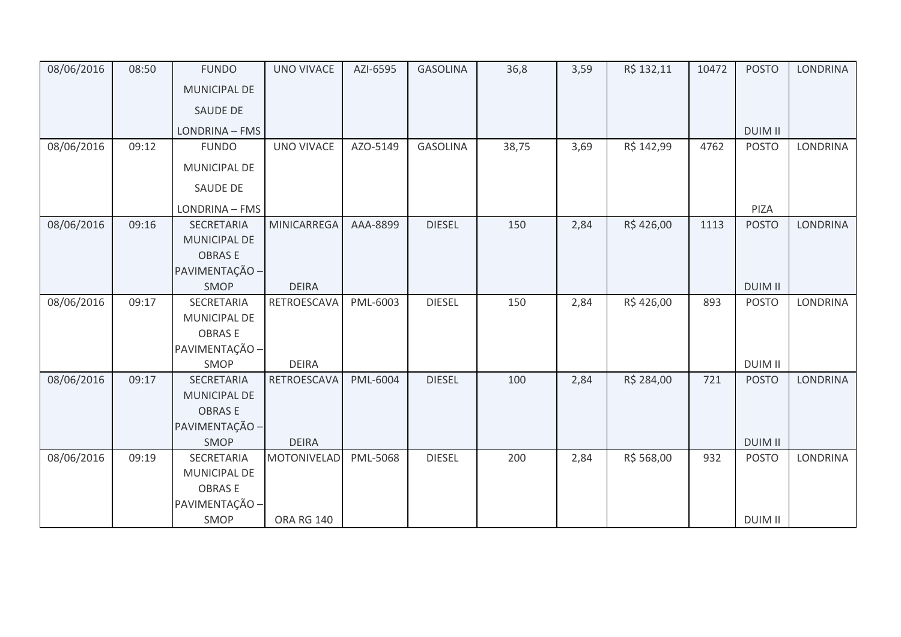| 08/06/2016 | 08:50 | <b>FUNDO</b>        | <b>UNO VIVACE</b>  | AZI-6595 | <b>GASOLINA</b> | 36,8  | 3,59 | R\$ 132,11 | 10472 | <b>POSTO</b>   | <b>LONDRINA</b> |
|------------|-------|---------------------|--------------------|----------|-----------------|-------|------|------------|-------|----------------|-----------------|
|            |       | <b>MUNICIPAL DE</b> |                    |          |                 |       |      |            |       |                |                 |
|            |       | <b>SAUDE DE</b>     |                    |          |                 |       |      |            |       |                |                 |
|            |       | LONDRINA - FMS      |                    |          |                 |       |      |            |       | <b>DUIM II</b> |                 |
| 08/06/2016 | 09:12 | <b>FUNDO</b>        | <b>UNO VIVACE</b>  | AZO-5149 | <b>GASOLINA</b> | 38,75 | 3,69 | R\$ 142,99 | 4762  | <b>POSTO</b>   | <b>LONDRINA</b> |
|            |       | MUNICIPAL DE        |                    |          |                 |       |      |            |       |                |                 |
|            |       | SAUDE DE            |                    |          |                 |       |      |            |       |                |                 |
|            |       | LONDRINA - FMS      |                    |          |                 |       |      |            |       | PIZA           |                 |
| 08/06/2016 | 09:16 | <b>SECRETARIA</b>   | <b>MINICARREGA</b> | AAA-8899 | <b>DIESEL</b>   | 150   | 2,84 | R\$426,00  | 1113  | <b>POSTO</b>   | <b>LONDRINA</b> |
|            |       | <b>MUNICIPAL DE</b> |                    |          |                 |       |      |            |       |                |                 |
|            |       | <b>OBRASE</b>       |                    |          |                 |       |      |            |       |                |                 |
|            |       | PAVIMENTAÇÃO -      |                    |          |                 |       |      |            |       |                |                 |
|            |       | SMOP                | <b>DEIRA</b>       |          |                 |       |      |            |       | <b>DUIM II</b> |                 |
| 08/06/2016 | 09:17 | SECRETARIA          | RETROESCAVA        | PML-6003 | <b>DIESEL</b>   | 150   | 2,84 | R\$426,00  | 893   | <b>POSTO</b>   | <b>LONDRINA</b> |
|            |       | MUNICIPAL DE        |                    |          |                 |       |      |            |       |                |                 |
|            |       | <b>OBRASE</b>       |                    |          |                 |       |      |            |       |                |                 |
|            |       | PAVIMENTAÇÃO -      |                    |          |                 |       |      |            |       |                |                 |
|            |       | SMOP                | <b>DEIRA</b>       |          |                 |       |      |            |       | <b>DUIM II</b> |                 |
| 08/06/2016 | 09:17 | SECRETARIA          | RETROESCAVA        | PML-6004 | <b>DIESEL</b>   | 100   | 2,84 | R\$ 284,00 | 721   | <b>POSTO</b>   | <b>LONDRINA</b> |
|            |       | MUNICIPAL DE        |                    |          |                 |       |      |            |       |                |                 |
|            |       | <b>OBRASE</b>       |                    |          |                 |       |      |            |       |                |                 |
|            |       | PAVIMENTAÇÃO -      |                    |          |                 |       |      |            |       |                |                 |
|            |       | SMOP                | <b>DEIRA</b>       |          |                 |       |      |            |       | <b>DUIM II</b> |                 |
| 08/06/2016 | 09:19 | SECRETARIA          | <b>MOTONIVELAD</b> | PML-5068 | <b>DIESEL</b>   | 200   | 2,84 | R\$ 568,00 | 932   | <b>POSTO</b>   | <b>LONDRINA</b> |
|            |       | <b>MUNICIPAL DE</b> |                    |          |                 |       |      |            |       |                |                 |
|            |       | <b>OBRASE</b>       |                    |          |                 |       |      |            |       |                |                 |
|            |       | PAVIMENTAÇÃO -      |                    |          |                 |       |      |            |       |                |                 |
|            |       | SMOP                | <b>ORA RG 140</b>  |          |                 |       |      |            |       | <b>DUIM II</b> |                 |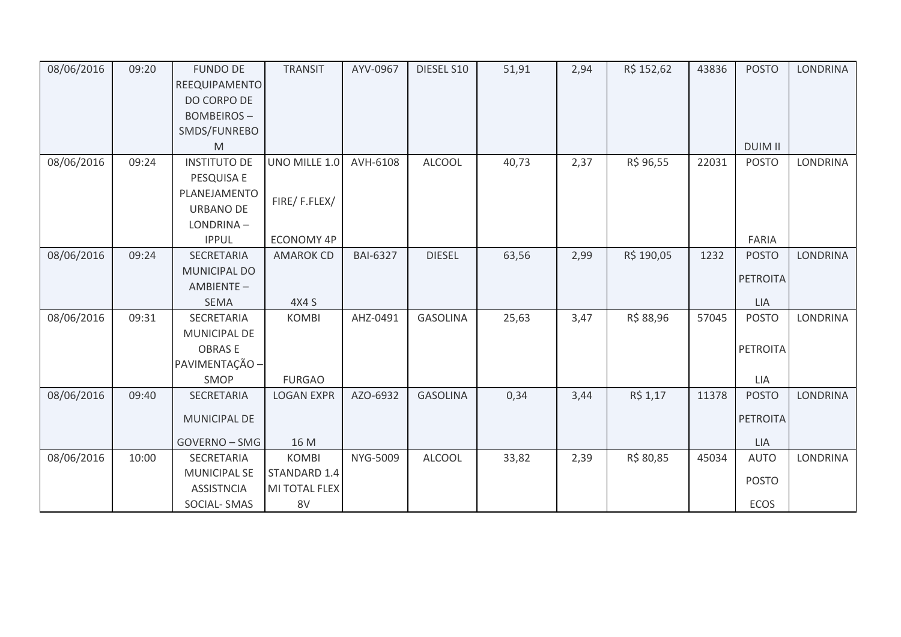| 08/06/2016 | 09:20 | <b>FUNDO DE</b>     | <b>TRANSIT</b>    | AYV-0967        | DIESEL S10      | 51,91 | 2,94 | R\$ 152,62 | 43836 | <b>POSTO</b>    | <b>LONDRINA</b> |
|------------|-------|---------------------|-------------------|-----------------|-----------------|-------|------|------------|-------|-----------------|-----------------|
|            |       | REEQUIPAMENTO       |                   |                 |                 |       |      |            |       |                 |                 |
|            |       | DO CORPO DE         |                   |                 |                 |       |      |            |       |                 |                 |
|            |       | <b>BOMBEIROS-</b>   |                   |                 |                 |       |      |            |       |                 |                 |
|            |       | SMDS/FUNREBO        |                   |                 |                 |       |      |            |       |                 |                 |
|            |       | M                   |                   |                 |                 |       |      |            |       | <b>DUIM II</b>  |                 |
| 08/06/2016 | 09:24 | <b>INSTITUTO DE</b> | UNO MILLE 1.0     | AVH-6108        | <b>ALCOOL</b>   | 40,73 | 2,37 | R\$ 96,55  | 22031 | <b>POSTO</b>    | LONDRINA        |
|            |       | PESQUISA E          |                   |                 |                 |       |      |            |       |                 |                 |
|            |       | PLANEJAMENTO        | FIRE/F.FLEX/      |                 |                 |       |      |            |       |                 |                 |
|            |       | <b>URBANO DE</b>    |                   |                 |                 |       |      |            |       |                 |                 |
|            |       | LONDRINA-           |                   |                 |                 |       |      |            |       |                 |                 |
|            |       | <b>IPPUL</b>        | ECONOMY 4P        |                 |                 |       |      |            |       | FARIA           |                 |
| 08/06/2016 | 09:24 | <b>SECRETARIA</b>   | <b>AMAROK CD</b>  | <b>BAI-6327</b> | <b>DIESEL</b>   | 63,56 | 2,99 | R\$ 190,05 | 1232  | <b>POSTO</b>    | <b>LONDRINA</b> |
|            |       | MUNICIPAL DO        |                   |                 |                 |       |      |            |       | PETROITA        |                 |
|            |       | AMBIENTE-           |                   |                 |                 |       |      |            |       |                 |                 |
|            |       | <b>SEMA</b>         | 4X4 S             |                 |                 |       |      |            |       | LIA             |                 |
| 08/06/2016 | 09:31 | SECRETARIA          | <b>KOMBI</b>      | AHZ-0491        | <b>GASOLINA</b> | 25,63 | 3,47 | R\$ 88,96  | 57045 | <b>POSTO</b>    | LONDRINA        |
|            |       | <b>MUNICIPAL DE</b> |                   |                 |                 |       |      |            |       |                 |                 |
|            |       | <b>OBRASE</b>       |                   |                 |                 |       |      |            |       | <b>PETROITA</b> |                 |
|            |       | PAVIMENTAÇÃO -      |                   |                 |                 |       |      |            |       |                 |                 |
|            |       | <b>SMOP</b>         | <b>FURGAO</b>     |                 |                 |       |      |            |       | LIA             |                 |
| 08/06/2016 | 09:40 | SECRETARIA          | <b>LOGAN EXPR</b> | AZO-6932        | <b>GASOLINA</b> | 0,34  | 3,44 | R\$ 1,17   | 11378 | <b>POSTO</b>    | <b>LONDRINA</b> |
|            |       | <b>MUNICIPAL DE</b> |                   |                 |                 |       |      |            |       | <b>PETROITA</b> |                 |
|            |       |                     |                   |                 |                 |       |      |            |       |                 |                 |
|            |       | GOVERNO - SMG       | 16 M              |                 |                 |       |      |            |       | LIA             |                 |
| 08/06/2016 | 10:00 | SECRETARIA          | <b>KOMBI</b>      | NYG-5009        | <b>ALCOOL</b>   | 33,82 | 2,39 | R\$ 80,85  | 45034 | <b>AUTO</b>     | <b>LONDRINA</b> |
|            |       | <b>MUNICIPAL SE</b> | STANDARD 1.4      |                 |                 |       |      |            |       | <b>POSTO</b>    |                 |
|            |       | <b>ASSISTNCIA</b>   | MI TOTAL FLEX     |                 |                 |       |      |            |       |                 |                 |
|            |       | SOCIAL-SMAS         | 8V                |                 |                 |       |      |            |       | ECOS            |                 |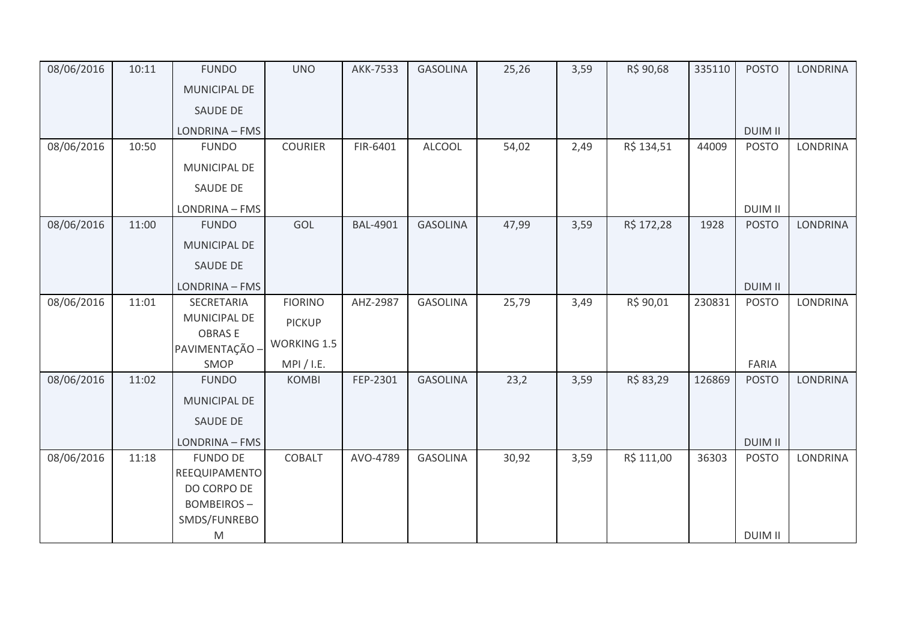| 08/06/2016 | 10:11 | <b>FUNDO</b>                    | <b>UNO</b>         | <b>AKK-7533</b> | <b>GASOLINA</b> | 25,26 | 3,59 | R\$ 90,68  | 335110 | <b>POSTO</b>   | <b>LONDRINA</b> |
|------------|-------|---------------------------------|--------------------|-----------------|-----------------|-------|------|------------|--------|----------------|-----------------|
|            |       | <b>MUNICIPAL DE</b>             |                    |                 |                 |       |      |            |        |                |                 |
|            |       | SAUDE DE                        |                    |                 |                 |       |      |            |        |                |                 |
|            |       | LONDRINA - FMS                  |                    |                 |                 |       |      |            |        | <b>DUIM II</b> |                 |
| 08/06/2016 | 10:50 | <b>FUNDO</b>                    | <b>COURIER</b>     | FIR-6401        | <b>ALCOOL</b>   | 54,02 | 2,49 | R\$ 134,51 | 44009  | <b>POSTO</b>   | <b>LONDRINA</b> |
|            |       | MUNICIPAL DE                    |                    |                 |                 |       |      |            |        |                |                 |
|            |       | SAUDE DE                        |                    |                 |                 |       |      |            |        |                |                 |
|            |       | LONDRINA - FMS                  |                    |                 |                 |       |      |            |        | <b>DUIM II</b> |                 |
| 08/06/2016 | 11:00 | <b>FUNDO</b>                    | GOL                | <b>BAL-4901</b> | <b>GASOLINA</b> | 47,99 | 3,59 | R\$ 172,28 | 1928   | <b>POSTO</b>   | <b>LONDRINA</b> |
|            |       | <b>MUNICIPAL DE</b>             |                    |                 |                 |       |      |            |        |                |                 |
|            |       | SAUDE DE                        |                    |                 |                 |       |      |            |        |                |                 |
|            |       | LONDRINA - FMS                  |                    |                 |                 |       |      |            |        | <b>DUIM II</b> |                 |
| 08/06/2016 | 11:01 | SECRETARIA                      | <b>FIORINO</b>     | AHZ-2987        | <b>GASOLINA</b> | 25,79 | 3,49 | R\$ 90,01  | 230831 | <b>POSTO</b>   | <b>LONDRINA</b> |
|            |       | MUNICIPAL DE                    | <b>PICKUP</b>      |                 |                 |       |      |            |        |                |                 |
|            |       | <b>OBRASE</b><br>PAVIMENTAÇÃO - | <b>WORKING 1.5</b> |                 |                 |       |      |            |        |                |                 |
|            |       | SMOP                            | MPI / I.E.         |                 |                 |       |      |            |        | FARIA          |                 |
| 08/06/2016 | 11:02 | <b>FUNDO</b>                    | <b>KOMBI</b>       | FEP-2301        | <b>GASOLINA</b> | 23,2  | 3,59 | R\$ 83,29  | 126869 | <b>POSTO</b>   | <b>LONDRINA</b> |
|            |       | <b>MUNICIPAL DE</b>             |                    |                 |                 |       |      |            |        |                |                 |
|            |       | SAUDE DE                        |                    |                 |                 |       |      |            |        |                |                 |
|            |       | LONDRINA - FMS                  |                    |                 |                 |       |      |            |        | <b>DUIM II</b> |                 |
| 08/06/2016 | 11:18 | <b>FUNDO DE</b>                 | COBALT             | AVO-4789        | <b>GASOLINA</b> | 30,92 | 3,59 | R\$ 111,00 | 36303  | <b>POSTO</b>   | LONDRINA        |
|            |       | REEQUIPAMENTO                   |                    |                 |                 |       |      |            |        |                |                 |
|            |       | DO CORPO DE                     |                    |                 |                 |       |      |            |        |                |                 |
|            |       | <b>BOMBEIROS-</b>               |                    |                 |                 |       |      |            |        |                |                 |
|            |       | SMDS/FUNREBO                    |                    |                 |                 |       |      |            |        | <b>DUIM II</b> |                 |
|            |       | M                               |                    |                 |                 |       |      |            |        |                |                 |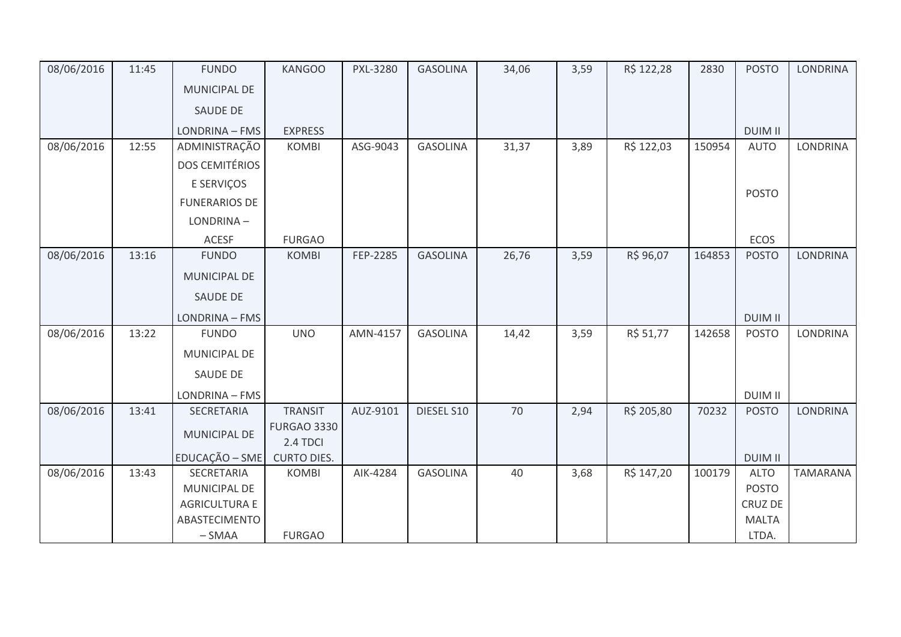| 08/06/2016 | 11:45 | <b>FUNDO</b>          | <b>KANGOO</b>                  | <b>PXL-3280</b> | <b>GASOLINA</b> | 34,06 | 3,59 | R\$ 122,28 | 2830   | <b>POSTO</b>   | <b>LONDRINA</b> |
|------------|-------|-----------------------|--------------------------------|-----------------|-----------------|-------|------|------------|--------|----------------|-----------------|
|            |       | <b>MUNICIPAL DE</b>   |                                |                 |                 |       |      |            |        |                |                 |
|            |       | SAUDE DE              |                                |                 |                 |       |      |            |        |                |                 |
|            |       | LONDRINA - FMS        | <b>EXPRESS</b>                 |                 |                 |       |      |            |        | <b>DUIM II</b> |                 |
| 08/06/2016 | 12:55 | ADMINISTRAÇÃO         | <b>KOMBI</b>                   | ASG-9043        | <b>GASOLINA</b> | 31,37 | 3,89 | R\$ 122,03 | 150954 | <b>AUTO</b>    | <b>LONDRINA</b> |
|            |       | <b>DOS CEMITÉRIOS</b> |                                |                 |                 |       |      |            |        |                |                 |
|            |       | E SERVIÇOS            |                                |                 |                 |       |      |            |        |                |                 |
|            |       | <b>FUNERARIOS DE</b>  |                                |                 |                 |       |      |            |        | <b>POSTO</b>   |                 |
|            |       | LONDRINA-             |                                |                 |                 |       |      |            |        |                |                 |
|            |       | <b>ACESF</b>          | <b>FURGAO</b>                  |                 |                 |       |      |            |        | ECOS           |                 |
| 08/06/2016 | 13:16 | <b>FUNDO</b>          | <b>KOMBI</b>                   | FEP-2285        | <b>GASOLINA</b> | 26,76 | 3,59 | R\$ 96,07  | 164853 | <b>POSTO</b>   | <b>LONDRINA</b> |
|            |       | <b>MUNICIPAL DE</b>   |                                |                 |                 |       |      |            |        |                |                 |
|            |       | SAUDE DE              |                                |                 |                 |       |      |            |        |                |                 |
|            |       | LONDRINA - FMS        |                                |                 |                 |       |      |            |        | <b>DUIM II</b> |                 |
| 08/06/2016 | 13:22 | <b>FUNDO</b>          | <b>UNO</b>                     | AMN-4157        | <b>GASOLINA</b> | 14,42 | 3,59 | R\$ 51,77  | 142658 | <b>POSTO</b>   | <b>LONDRINA</b> |
|            |       | <b>MUNICIPAL DE</b>   |                                |                 |                 |       |      |            |        |                |                 |
|            |       | SAUDE DE              |                                |                 |                 |       |      |            |        |                |                 |
|            |       | LONDRINA - FMS        |                                |                 |                 |       |      |            |        | <b>DUIM II</b> |                 |
| 08/06/2016 | 13:41 | <b>SECRETARIA</b>     | <b>TRANSIT</b>                 | AUZ-9101        | DIESEL S10      | 70    | 2,94 | R\$ 205,80 | 70232  | <b>POSTO</b>   | <b>LONDRINA</b> |
|            |       | MUNICIPAL DE          | <b>FURGAO 3330</b><br>2.4 TDCI |                 |                 |       |      |            |        |                |                 |
|            |       | EDUCAÇÃO - SME        | <b>CURTO DIES.</b>             |                 |                 |       |      |            |        | <b>DUIM II</b> |                 |
| 08/06/2016 | 13:43 | SECRETARIA            | <b>KOMBI</b>                   | AIK-4284        | <b>GASOLINA</b> | 40    | 3,68 | R\$ 147,20 | 100179 | <b>ALTO</b>    | <b>TAMARANA</b> |
|            |       | MUNICIPAL DE          |                                |                 |                 |       |      |            |        | <b>POSTO</b>   |                 |
|            |       | <b>AGRICULTURA E</b>  |                                |                 |                 |       |      |            |        | CRUZ DE        |                 |
|            |       | ABASTECIMENTO         |                                |                 |                 |       |      |            |        | <b>MALTA</b>   |                 |
|            |       | $-SMAA$               | <b>FURGAO</b>                  |                 |                 |       |      |            |        | LTDA.          |                 |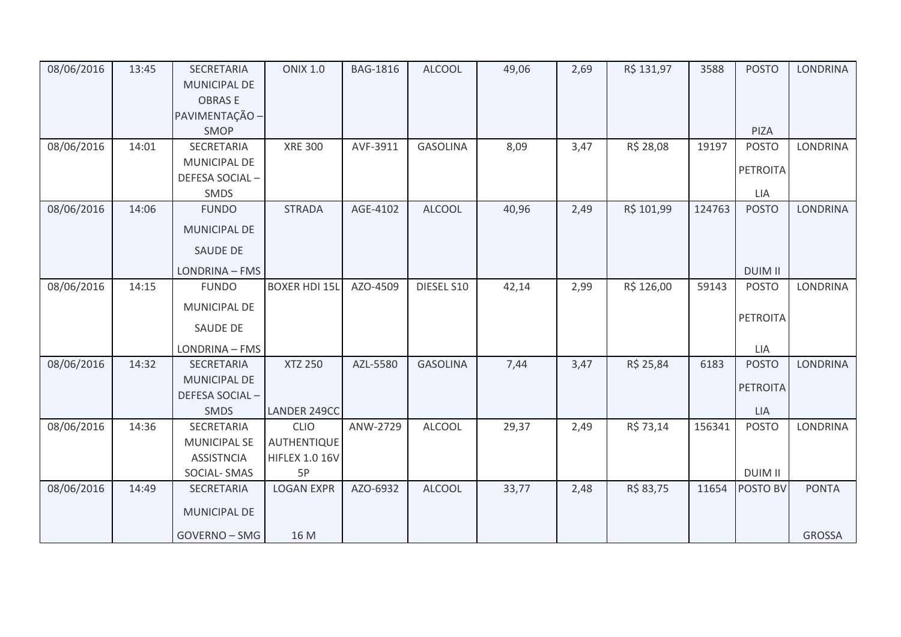| 08/06/2016 | 13:45 | SECRETARIA          | <b>ONIX 1.0</b>       | <b>BAG-1816</b> | <b>ALCOOL</b>   | 49,06 | 2,69 | R\$ 131,97 | 3588   | <b>POSTO</b>    | <b>LONDRINA</b> |
|------------|-------|---------------------|-----------------------|-----------------|-----------------|-------|------|------------|--------|-----------------|-----------------|
|            |       | MUNICIPAL DE        |                       |                 |                 |       |      |            |        |                 |                 |
|            |       | <b>OBRASE</b>       |                       |                 |                 |       |      |            |        |                 |                 |
|            |       | PAVIMENTAÇÃO -      |                       |                 |                 |       |      |            |        |                 |                 |
|            |       | SMOP                |                       |                 |                 |       |      |            |        | PIZA            |                 |
| 08/06/2016 | 14:01 | SECRETARIA          | <b>XRE 300</b>        | AVF-3911        | <b>GASOLINA</b> | 8,09  | 3,47 | R\$ 28,08  | 19197  | <b>POSTO</b>    | <b>LONDRINA</b> |
|            |       | MUNICIPAL DE        |                       |                 |                 |       |      |            |        | <b>PETROITA</b> |                 |
|            |       | DEFESA SOCIAL-      |                       |                 |                 |       |      |            |        |                 |                 |
|            |       | SMDS                |                       |                 |                 |       |      |            |        | LIA             |                 |
| 08/06/2016 | 14:06 | <b>FUNDO</b>        | <b>STRADA</b>         | AGE-4102        | <b>ALCOOL</b>   | 40,96 | 2,49 | R\$ 101,99 | 124763 | <b>POSTO</b>    | <b>LONDRINA</b> |
|            |       | <b>MUNICIPAL DE</b> |                       |                 |                 |       |      |            |        |                 |                 |
|            |       | SAUDE DE            |                       |                 |                 |       |      |            |        |                 |                 |
|            |       | LONDRINA - FMS      |                       |                 |                 |       |      |            |        | <b>DUIM II</b>  |                 |
| 08/06/2016 | 14:15 | <b>FUNDO</b>        | <b>BOXER HDI 15L</b>  | AZO-4509        | DIESEL S10      | 42,14 | 2,99 | R\$ 126,00 | 59143  | <b>POSTO</b>    | LONDRINA        |
|            |       | MUNICIPAL DE        |                       |                 |                 |       |      |            |        | PETROITA        |                 |
|            |       | SAUDE DE            |                       |                 |                 |       |      |            |        |                 |                 |
|            |       | LONDRINA - FMS      |                       |                 |                 |       |      |            |        | LIA             |                 |
| 08/06/2016 | 14:32 | SECRETARIA          | <b>XTZ 250</b>        | AZL-5580        | <b>GASOLINA</b> | 7,44  | 3,47 | R\$ 25,84  | 6183   | <b>POSTO</b>    | <b>LONDRINA</b> |
|            |       | MUNICIPAL DE        |                       |                 |                 |       |      |            |        | <b>PETROITA</b> |                 |
|            |       | DEFESA SOCIAL-      |                       |                 |                 |       |      |            |        |                 |                 |
|            |       | SMDS                | LANDER 249CC          |                 |                 |       |      |            |        | LIA             |                 |
| 08/06/2016 | 14:36 | SECRETARIA          | <b>CLIO</b>           | ANW-2729        | <b>ALCOOL</b>   | 29,37 | 2,49 | R\$ 73,14  | 156341 | <b>POSTO</b>    | <b>LONDRINA</b> |
|            |       | <b>MUNICIPAL SE</b> | AUTHENTIQUE           |                 |                 |       |      |            |        |                 |                 |
|            |       | <b>ASSISTNCIA</b>   | <b>HIFLEX 1.0 16V</b> |                 |                 |       |      |            |        |                 |                 |
|            |       | SOCIAL-SMAS         | 5P                    |                 |                 |       |      |            |        | <b>DUIM II</b>  |                 |
| 08/06/2016 | 14:49 | SECRETARIA          | <b>LOGAN EXPR</b>     | AZO-6932        | <b>ALCOOL</b>   | 33,77 | 2,48 | R\$ 83,75  | 11654  | POSTO BV        | <b>PONTA</b>    |
|            |       | MUNICIPAL DE        |                       |                 |                 |       |      |            |        |                 |                 |
|            |       | GOVERNO - SMG       | 16 M                  |                 |                 |       |      |            |        |                 | <b>GROSSA</b>   |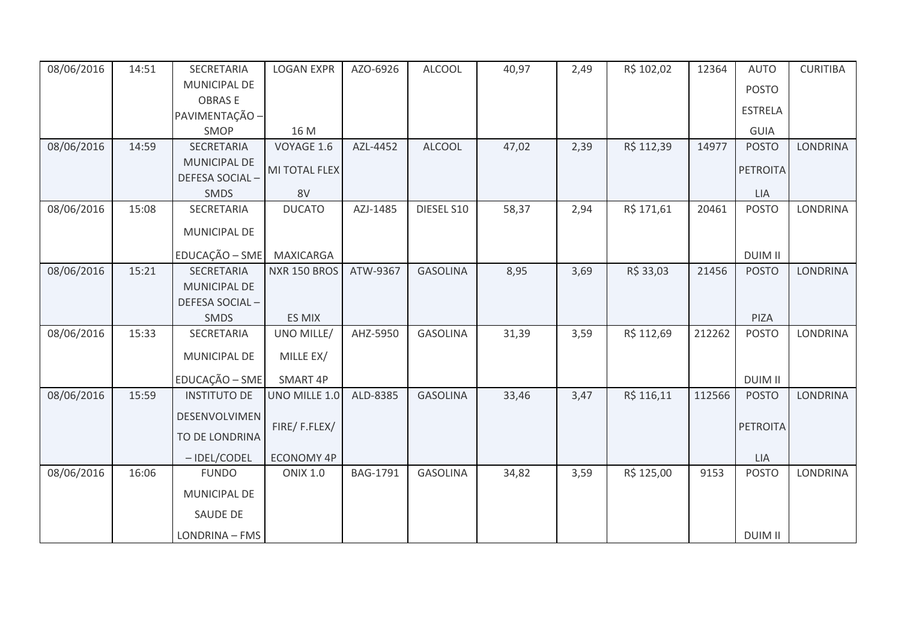| 08/06/2016 | 14:51 | SECRETARIA          | <b>LOGAN EXPR</b>   | AZO-6926        | <b>ALCOOL</b>   | 40,97 | 2,49 | R\$ 102,02 | 12364  | <b>AUTO</b>     | <b>CURITIBA</b> |
|------------|-------|---------------------|---------------------|-----------------|-----------------|-------|------|------------|--------|-----------------|-----------------|
|            |       | MUNICIPAL DE        |                     |                 |                 |       |      |            |        | <b>POSTO</b>    |                 |
|            |       | <b>OBRASE</b>       |                     |                 |                 |       |      |            |        |                 |                 |
|            |       | PAVIMENTAÇÃO -      |                     |                 |                 |       |      |            |        | <b>ESTRELA</b>  |                 |
|            |       | SMOP                | 16 M                |                 |                 |       |      |            |        | <b>GUIA</b>     |                 |
| 08/06/2016 | 14:59 | SECRETARIA          | VOYAGE 1.6          | AZL-4452        | <b>ALCOOL</b>   | 47,02 | 2,39 | R\$ 112,39 | 14977  | <b>POSTO</b>    | <b>LONDRINA</b> |
|            |       | <b>MUNICIPAL DE</b> | MI TOTAL FLEX       |                 |                 |       |      |            |        | <b>PETROITA</b> |                 |
|            |       | DEFESA SOCIAL-      |                     |                 |                 |       |      |            |        |                 |                 |
|            |       | SMDS                | 8V                  |                 |                 |       |      |            |        | <b>LIA</b>      |                 |
| 08/06/2016 | 15:08 | SECRETARIA          | <b>DUCATO</b>       | AZJ-1485        | DIESEL S10      | 58,37 | 2,94 | R\$ 171,61 | 20461  | <b>POSTO</b>    | LONDRINA        |
|            |       | MUNICIPAL DE        |                     |                 |                 |       |      |            |        |                 |                 |
|            |       | EDUCAÇÃO - SME      | <b>MAXICARGA</b>    |                 |                 |       |      |            |        | <b>DUIM II</b>  |                 |
| 08/06/2016 | 15:21 | SECRETARIA          | <b>NXR 150 BROS</b> | ATW-9367        | <b>GASOLINA</b> | 8,95  | 3,69 | R\$ 33,03  | 21456  | <b>POSTO</b>    | <b>LONDRINA</b> |
|            |       | MUNICIPAL DE        |                     |                 |                 |       |      |            |        |                 |                 |
|            |       | DEFESA SOCIAL-      |                     |                 |                 |       |      |            |        |                 |                 |
|            |       | SMDS                | ES MIX              |                 |                 |       |      |            |        | PIZA            |                 |
| 08/06/2016 | 15:33 | SECRETARIA          | UNO MILLE/          | AHZ-5950        | <b>GASOLINA</b> | 31,39 | 3,59 | R\$ 112,69 | 212262 | <b>POSTO</b>    | <b>LONDRINA</b> |
|            |       |                     |                     |                 |                 |       |      |            |        |                 |                 |
|            |       | MUNICIPAL DE        | MILLE EX/           |                 |                 |       |      |            |        |                 |                 |
|            |       | EDUCAÇÃO - SME      | SMART 4P            |                 |                 |       |      |            |        | <b>DUIM II</b>  |                 |
| 08/06/2016 | 15:59 | <b>INSTITUTO DE</b> | UNO MILLE 1.0       | ALD-8385        | <b>GASOLINA</b> | 33,46 | 3,47 | R\$ 116,11 | 112566 | <b>POSTO</b>    | <b>LONDRINA</b> |
|            |       | DESENVOLVIMEN       |                     |                 |                 |       |      |            |        |                 |                 |
|            |       | TO DE LONDRINA      | FIRE/F.FLEX/        |                 |                 |       |      |            |        | <b>PETROITA</b> |                 |
|            |       | -IDEL/CODEL         | <b>ECONOMY 4P</b>   |                 |                 |       |      |            |        | LIA             |                 |
| 08/06/2016 | 16:06 | <b>FUNDO</b>        | <b>ONIX 1.0</b>     | <b>BAG-1791</b> | <b>GASOLINA</b> | 34,82 | 3,59 | R\$ 125,00 | 9153   | <b>POSTO</b>    | <b>LONDRINA</b> |
|            |       | <b>MUNICIPAL DE</b> |                     |                 |                 |       |      |            |        |                 |                 |
|            |       | SAUDE DE            |                     |                 |                 |       |      |            |        |                 |                 |
|            |       | LONDRINA - FMS      |                     |                 |                 |       |      |            |        | <b>DUIM II</b>  |                 |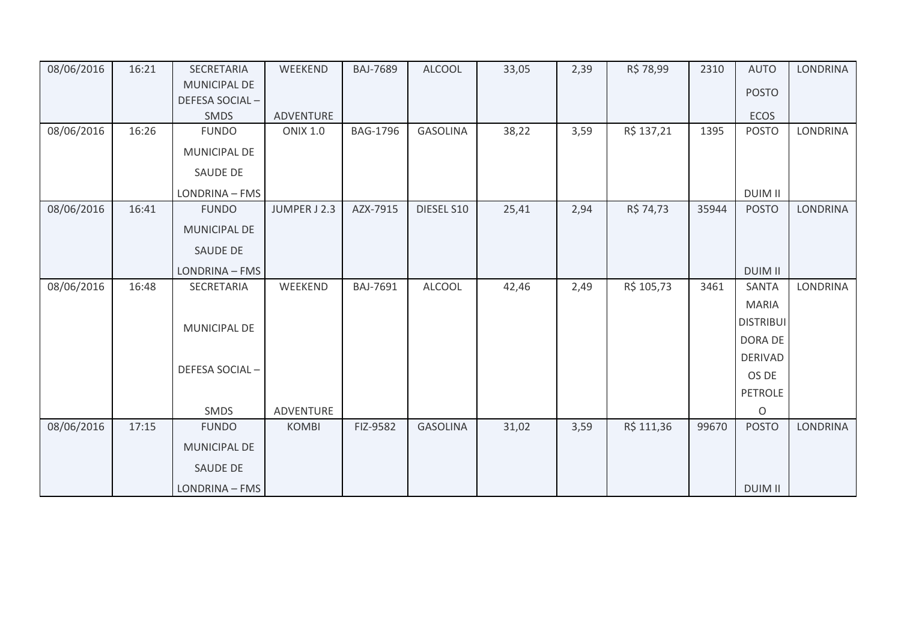| 08/06/2016 | 16:21 | SECRETARIA          | WEEKEND         | <b>BAJ-7689</b> | <b>ALCOOL</b>   | 33,05 | 2,39 | R\$ 78,99  | 2310  | <b>AUTO</b>      | <b>LONDRINA</b> |
|------------|-------|---------------------|-----------------|-----------------|-----------------|-------|------|------------|-------|------------------|-----------------|
|            |       | <b>MUNICIPAL DE</b> |                 |                 |                 |       |      |            |       | <b>POSTO</b>     |                 |
|            |       | DEFESA SOCIAL-      |                 |                 |                 |       |      |            |       |                  |                 |
|            |       | <b>SMDS</b>         | ADVENTURE       |                 |                 |       |      |            |       | ECOS             |                 |
| 08/06/2016 | 16:26 | <b>FUNDO</b>        | <b>ONIX 1.0</b> | <b>BAG-1796</b> | <b>GASOLINA</b> | 38,22 | 3,59 | R\$ 137,21 | 1395  | <b>POSTO</b>     | <b>LONDRINA</b> |
|            |       | MUNICIPAL DE        |                 |                 |                 |       |      |            |       |                  |                 |
|            |       | SAUDE DE            |                 |                 |                 |       |      |            |       |                  |                 |
|            |       | LONDRINA - FMS      |                 |                 |                 |       |      |            |       | <b>DUIM II</b>   |                 |
| 08/06/2016 | 16:41 | <b>FUNDO</b>        | JUMPER J 2.3    | AZX-7915        | DIESEL S10      | 25,41 | 2,94 | R\$ 74,73  | 35944 | <b>POSTO</b>     | <b>LONDRINA</b> |
|            |       | MUNICIPAL DE        |                 |                 |                 |       |      |            |       |                  |                 |
|            |       | <b>SAUDE DE</b>     |                 |                 |                 |       |      |            |       |                  |                 |
|            |       | LONDRINA - FMS      |                 |                 |                 |       |      |            |       | <b>DUIM II</b>   |                 |
| 08/06/2016 | 16:48 | SECRETARIA          | WEEKEND         | BAJ-7691        | <b>ALCOOL</b>   | 42,46 | 2,49 | R\$ 105,73 | 3461  | <b>SANTA</b>     | <b>LONDRINA</b> |
|            |       |                     |                 |                 |                 |       |      |            |       | <b>MARIA</b>     |                 |
|            |       | MUNICIPAL DE        |                 |                 |                 |       |      |            |       | <b>DISTRIBUI</b> |                 |
|            |       |                     |                 |                 |                 |       |      |            |       | DORA DE          |                 |
|            |       |                     |                 |                 |                 |       |      |            |       | <b>DERIVAD</b>   |                 |
|            |       | DEFESA SOCIAL-      |                 |                 |                 |       |      |            |       | OS DE            |                 |
|            |       |                     |                 |                 |                 |       |      |            |       | <b>PETROLE</b>   |                 |
|            |       | <b>SMDS</b>         | ADVENTURE       |                 |                 |       |      |            |       | $\circ$          |                 |
| 08/06/2016 | 17:15 | <b>FUNDO</b>        | <b>KOMBI</b>    | FIZ-9582        | <b>GASOLINA</b> | 31,02 | 3,59 | R\$ 111,36 | 99670 | <b>POSTO</b>     | <b>LONDRINA</b> |
|            |       | <b>MUNICIPAL DE</b> |                 |                 |                 |       |      |            |       |                  |                 |
|            |       | <b>SAUDE DE</b>     |                 |                 |                 |       |      |            |       |                  |                 |
|            |       | LONDRINA - FMS      |                 |                 |                 |       |      |            |       | <b>DUIM II</b>   |                 |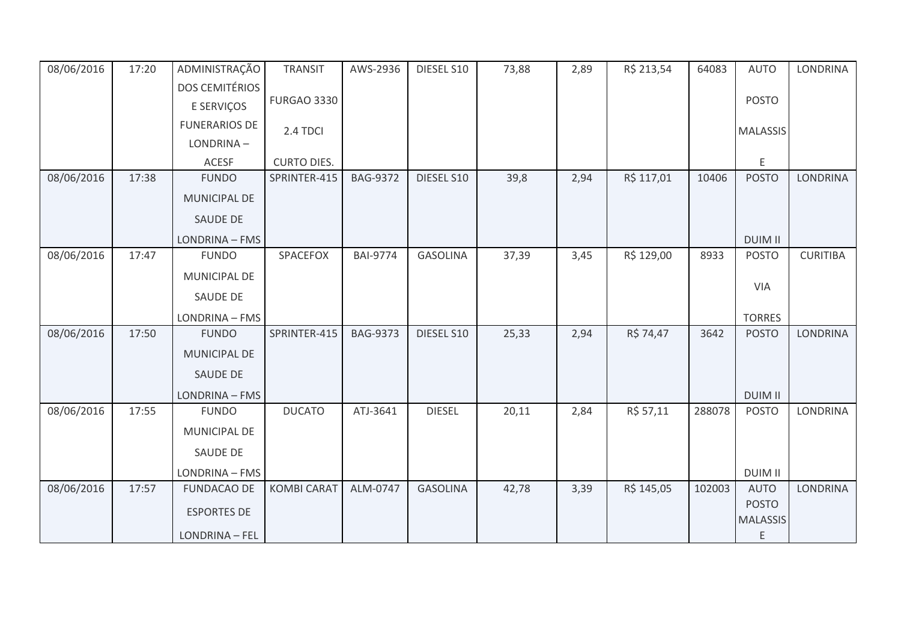| 08/06/2016 | 17:20 | ADMINISTRAÇÃO         | <b>TRANSIT</b>     | AWS-2936        | DIESEL S10      | 73,88 | 2,89 | R\$ 213,54 | 64083  | <b>AUTO</b>          | LONDRINA        |
|------------|-------|-----------------------|--------------------|-----------------|-----------------|-------|------|------------|--------|----------------------|-----------------|
|            |       | <b>DOS CEMITÉRIOS</b> |                    |                 |                 |       |      |            |        |                      |                 |
|            |       | E SERVIÇOS            | <b>FURGAO 3330</b> |                 |                 |       |      |            |        | <b>POSTO</b>         |                 |
|            |       | <b>FUNERARIOS DE</b>  | 2.4 TDCI           |                 |                 |       |      |            |        | <b>MALASSIS</b>      |                 |
|            |       | LONDRINA-             |                    |                 |                 |       |      |            |        |                      |                 |
|            |       | <b>ACESF</b>          | <b>CURTO DIES.</b> |                 |                 |       |      |            |        | E                    |                 |
| 08/06/2016 | 17:38 | <b>FUNDO</b>          | SPRINTER-415       | <b>BAG-9372</b> | DIESEL S10      | 39,8  | 2,94 | R\$ 117,01 | 10406  | <b>POSTO</b>         | <b>LONDRINA</b> |
|            |       | MUNICIPAL DE          |                    |                 |                 |       |      |            |        |                      |                 |
|            |       | SAUDE DE              |                    |                 |                 |       |      |            |        |                      |                 |
|            |       | LONDRINA - FMS        |                    |                 |                 |       |      |            |        | <b>DUIM II</b>       |                 |
| 08/06/2016 | 17:47 | <b>FUNDO</b>          | SPACEFOX           | <b>BAI-9774</b> | <b>GASOLINA</b> | 37,39 | 3,45 | R\$ 129,00 | 8933   | <b>POSTO</b>         | <b>CURITIBA</b> |
|            |       | MUNICIPAL DE          |                    |                 |                 |       |      |            |        |                      |                 |
|            |       | SAUDE DE              |                    |                 |                 |       |      |            |        | VIA                  |                 |
|            |       | LONDRINA - FMS        |                    |                 |                 |       |      |            |        | <b>TORRES</b>        |                 |
| 08/06/2016 | 17:50 | <b>FUNDO</b>          | SPRINTER-415       | <b>BAG-9373</b> | DIESEL S10      | 25,33 | 2,94 | R\$ 74,47  | 3642   | <b>POSTO</b>         | LONDRINA        |
|            |       | MUNICIPAL DE          |                    |                 |                 |       |      |            |        |                      |                 |
|            |       | SAUDE DE              |                    |                 |                 |       |      |            |        |                      |                 |
|            |       | LONDRINA - FMS        |                    |                 |                 |       |      |            |        | <b>DUIM II</b>       |                 |
| 08/06/2016 | 17:55 | <b>FUNDO</b>          | <b>DUCATO</b>      | ATJ-3641        | <b>DIESEL</b>   | 20,11 | 2,84 | R\$ 57,11  | 288078 | <b>POSTO</b>         | LONDRINA        |
|            |       | MUNICIPAL DE          |                    |                 |                 |       |      |            |        |                      |                 |
|            |       | SAUDE DE              |                    |                 |                 |       |      |            |        |                      |                 |
|            |       | LONDRINA - FMS        |                    |                 |                 |       |      |            |        | <b>DUIM II</b>       |                 |
| 08/06/2016 | 17:57 | <b>FUNDACAO DE</b>    | <b>KOMBI CARAT</b> | ALM-0747        | <b>GASOLINA</b> | 42,78 | 3,39 | R\$ 145,05 | 102003 | <b>AUTO</b>          | <b>LONDRINA</b> |
|            |       | <b>ESPORTES DE</b>    |                    |                 |                 |       |      |            |        | <b>POSTO</b>         |                 |
|            |       | LONDRINA - FEL        |                    |                 |                 |       |      |            |        | <b>MALASSIS</b><br>E |                 |
|            |       |                       |                    |                 |                 |       |      |            |        |                      |                 |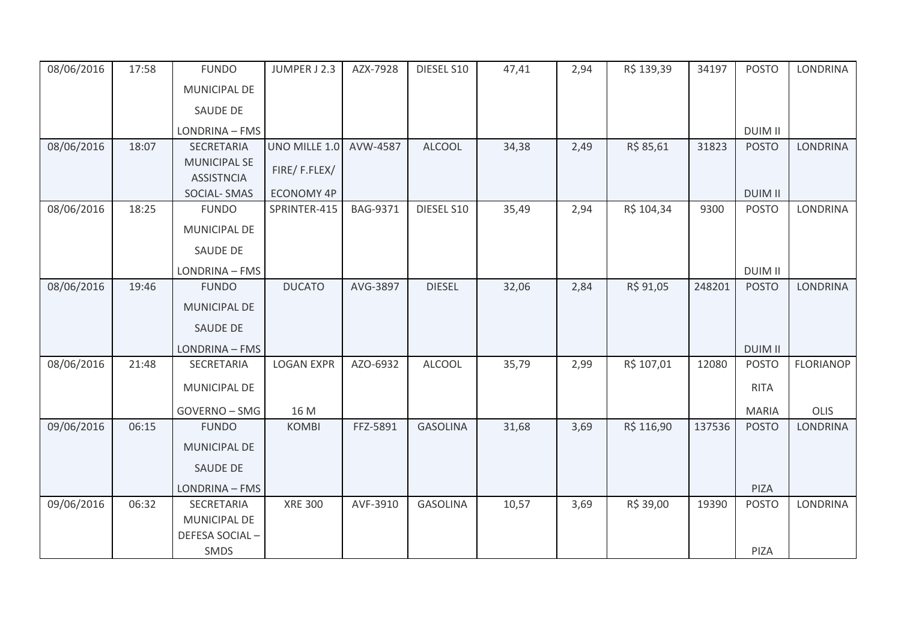| 08/06/2016 | 17:58 | <b>FUNDO</b>                             | JUMPER J 2.3      | AZX-7928        | DIESEL S10      | 47,41 | 2,94 | R\$ 139,39 | 34197  | <b>POSTO</b>   | <b>LONDRINA</b>  |
|------------|-------|------------------------------------------|-------------------|-----------------|-----------------|-------|------|------------|--------|----------------|------------------|
|            |       | MUNICIPAL DE                             |                   |                 |                 |       |      |            |        |                |                  |
|            |       | <b>SAUDE DE</b>                          |                   |                 |                 |       |      |            |        |                |                  |
|            |       | LONDRINA - FMS                           |                   |                 |                 |       |      |            |        | <b>DUIM II</b> |                  |
| 08/06/2016 | 18:07 | SECRETARIA                               | UNO MILLE 1.0     | AVW-4587        | <b>ALCOOL</b>   | 34,38 | 2,49 | R\$ 85,61  | 31823  | <b>POSTO</b>   | LONDRINA         |
|            |       | <b>MUNICIPAL SE</b><br><b>ASSISTNCIA</b> | FIRE/F.FLEX/      |                 |                 |       |      |            |        |                |                  |
|            |       | SOCIAL-SMAS                              | <b>ECONOMY 4P</b> |                 |                 |       |      |            |        | <b>DUIM II</b> |                  |
| 08/06/2016 | 18:25 | <b>FUNDO</b>                             | SPRINTER-415      | <b>BAG-9371</b> | DIESEL S10      | 35,49 | 2,94 | R\$ 104,34 | 9300   | <b>POSTO</b>   | <b>LONDRINA</b>  |
|            |       | <b>MUNICIPAL DE</b>                      |                   |                 |                 |       |      |            |        |                |                  |
|            |       | <b>SAUDE DE</b>                          |                   |                 |                 |       |      |            |        |                |                  |
|            |       | LONDRINA - FMS                           |                   |                 |                 |       |      |            |        | <b>DUIM II</b> |                  |
| 08/06/2016 | 19:46 | <b>FUNDO</b>                             | <b>DUCATO</b>     | AVG-3897        | <b>DIESEL</b>   | 32,06 | 2,84 | R\$ 91,05  | 248201 | <b>POSTO</b>   | <b>LONDRINA</b>  |
|            |       | MUNICIPAL DE                             |                   |                 |                 |       |      |            |        |                |                  |
|            |       | <b>SAUDE DE</b>                          |                   |                 |                 |       |      |            |        |                |                  |
|            |       | LONDRINA - FMS                           |                   |                 |                 |       |      |            |        | <b>DUIM II</b> |                  |
| 08/06/2016 | 21:48 | SECRETARIA                               | <b>LOGAN EXPR</b> | AZO-6932        | <b>ALCOOL</b>   | 35,79 | 2,99 | R\$ 107,01 | 12080  | <b>POSTO</b>   | <b>FLORIANOP</b> |
|            |       | MUNICIPAL DE                             |                   |                 |                 |       |      |            |        | <b>RITA</b>    |                  |
|            |       | GOVERNO - SMG                            | 16 M              |                 |                 |       |      |            |        | <b>MARIA</b>   | OLIS             |
| 09/06/2016 | 06:15 | <b>FUNDO</b>                             | <b>KOMBI</b>      | FFZ-5891        | <b>GASOLINA</b> | 31,68 | 3,69 | R\$ 116,90 | 137536 | <b>POSTO</b>   | <b>LONDRINA</b>  |
|            |       | <b>MUNICIPAL DE</b>                      |                   |                 |                 |       |      |            |        |                |                  |
|            |       | SAUDE DE                                 |                   |                 |                 |       |      |            |        |                |                  |
|            |       | LONDRINA - FMS                           |                   |                 |                 |       |      |            |        | PIZA           |                  |
| 09/06/2016 | 06:32 | SECRETARIA                               | <b>XRE 300</b>    | AVF-3910        | <b>GASOLINA</b> | 10,57 | 3,69 | R\$ 39,00  | 19390  | <b>POSTO</b>   | <b>LONDRINA</b>  |
|            |       | <b>MUNICIPAL DE</b>                      |                   |                 |                 |       |      |            |        |                |                  |
|            |       | DEFESA SOCIAL-                           |                   |                 |                 |       |      |            |        |                |                  |
|            |       | SMDS                                     |                   |                 |                 |       |      |            |        | PIZA           |                  |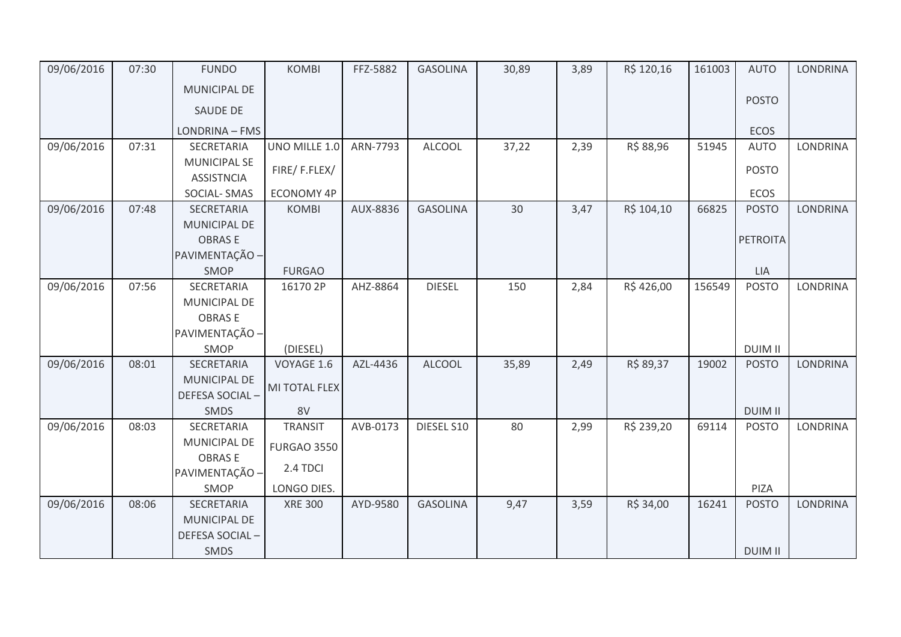| 09/06/2016 | 07:30 | <b>FUNDO</b>        | <b>KOMBI</b>       | FFZ-5882 | <b>GASOLINA</b> | 30,89 | 3,89 | R\$ 120,16 | 161003 | <b>AUTO</b>     | <b>LONDRINA</b> |
|------------|-------|---------------------|--------------------|----------|-----------------|-------|------|------------|--------|-----------------|-----------------|
|            |       | <b>MUNICIPAL DE</b> |                    |          |                 |       |      |            |        |                 |                 |
|            |       | SAUDE DE            |                    |          |                 |       |      |            |        | <b>POSTO</b>    |                 |
|            |       | LONDRINA - FMS      |                    |          |                 |       |      |            |        | <b>ECOS</b>     |                 |
| 09/06/2016 | 07:31 | SECRETARIA          | UNO MILLE 1.0      | ARN-7793 | <b>ALCOOL</b>   | 37,22 | 2,39 | R\$ 88,96  | 51945  | <b>AUTO</b>     | LONDRINA        |
|            |       | <b>MUNICIPAL SE</b> |                    |          |                 |       |      |            |        |                 |                 |
|            |       | <b>ASSISTNCIA</b>   | FIRE/F.FLEX/       |          |                 |       |      |            |        | <b>POSTO</b>    |                 |
|            |       |                     |                    |          |                 |       |      |            |        |                 |                 |
|            |       | SOCIAL-SMAS         | <b>ECONOMY 4P</b>  |          |                 |       |      |            |        | ECOS            |                 |
| 09/06/2016 | 07:48 | SECRETARIA          | <b>KOMBI</b>       | AUX-8836 | <b>GASOLINA</b> | 30    | 3,47 | R\$ 104,10 | 66825  | <b>POSTO</b>    | <b>LONDRINA</b> |
|            |       | <b>MUNICIPAL DE</b> |                    |          |                 |       |      |            |        |                 |                 |
|            |       | <b>OBRASE</b>       |                    |          |                 |       |      |            |        | <b>PETROITA</b> |                 |
|            |       | PAVIMENTAÇÃO -      |                    |          |                 |       |      |            |        |                 |                 |
|            |       | SMOP                | <b>FURGAO</b>      |          |                 |       |      |            |        | LIA             |                 |
| 09/06/2016 | 07:56 | SECRETARIA          | 16170 2P           | AHZ-8864 | <b>DIESEL</b>   | 150   | 2,84 | R\$426,00  | 156549 | <b>POSTO</b>    | LONDRINA        |
|            |       | MUNICIPAL DE        |                    |          |                 |       |      |            |        |                 |                 |
|            |       | <b>OBRASE</b>       |                    |          |                 |       |      |            |        |                 |                 |
|            |       | PAVIMENTAÇÃO -      |                    |          |                 |       |      |            |        |                 |                 |
|            |       | SMOP                | (DIESEL)           |          |                 |       |      |            |        | <b>DUIM II</b>  |                 |
| 09/06/2016 | 08:01 | SECRETARIA          | VOYAGE 1.6         | AZL-4436 | <b>ALCOOL</b>   | 35,89 | 2,49 | R\$ 89,37  | 19002  | <b>POSTO</b>    | <b>LONDRINA</b> |
|            |       | MUNICIPAL DE        |                    |          |                 |       |      |            |        |                 |                 |
|            |       | DEFESA SOCIAL-      | MI TOTAL FLEX      |          |                 |       |      |            |        |                 |                 |
|            |       | <b>SMDS</b>         | 8V                 |          |                 |       |      |            |        | <b>DUIM II</b>  |                 |
| 09/06/2016 | 08:03 | SECRETARIA          | <b>TRANSIT</b>     | AVB-0173 | DIESEL S10      | 80    | 2,99 | R\$ 239,20 | 69114  | <b>POSTO</b>    | <b>LONDRINA</b> |
|            |       | <b>MUNICIPAL DE</b> | <b>FURGAO 3550</b> |          |                 |       |      |            |        |                 |                 |
|            |       | <b>OBRASE</b>       |                    |          |                 |       |      |            |        |                 |                 |
|            |       | PAVIMENTAÇÃO -      | 2.4 TDCI           |          |                 |       |      |            |        |                 |                 |
|            |       | SMOP                | LONGO DIES.        |          |                 |       |      |            |        | PIZA            |                 |
| 09/06/2016 | 08:06 | SECRETARIA          | <b>XRE 300</b>     | AYD-9580 | <b>GASOLINA</b> | 9,47  | 3,59 | R\$ 34,00  | 16241  | <b>POSTO</b>    | <b>LONDRINA</b> |
|            |       | <b>MUNICIPAL DE</b> |                    |          |                 |       |      |            |        |                 |                 |
|            |       | DEFESA SOCIAL-      |                    |          |                 |       |      |            |        |                 |                 |
|            |       | <b>SMDS</b>         |                    |          |                 |       |      |            |        | <b>DUIM II</b>  |                 |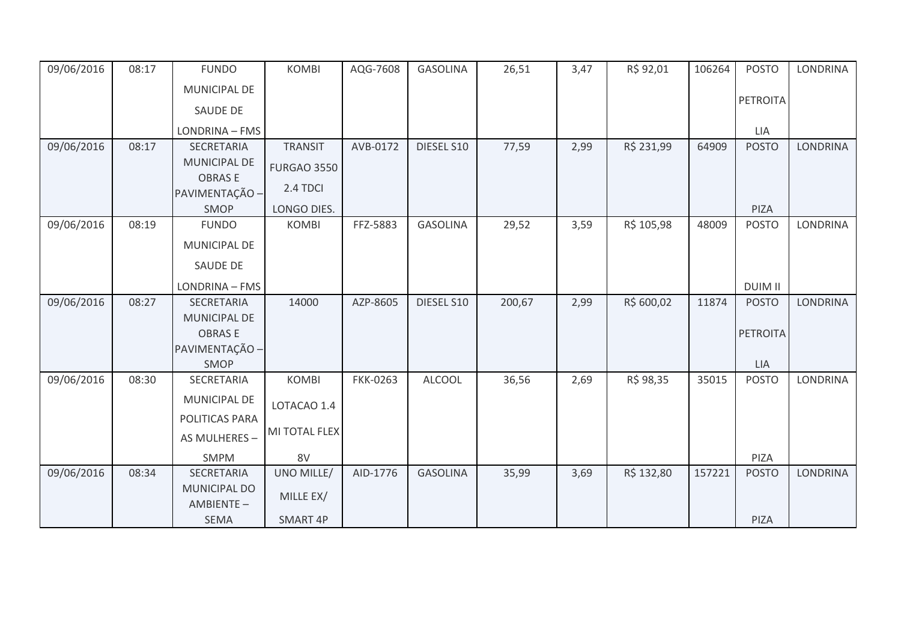| 09/06/2016 | 08:17 | <b>FUNDO</b>              | <b>KOMBI</b>       | AQG-7608        | <b>GASOLINA</b> | 26,51  | 3,47 | R\$ 92,01  | 106264 | <b>POSTO</b>    | <b>LONDRINA</b> |
|------------|-------|---------------------------|--------------------|-----------------|-----------------|--------|------|------------|--------|-----------------|-----------------|
|            |       | MUNICIPAL DE              |                    |                 |                 |        |      |            |        |                 |                 |
|            |       | SAUDE DE                  |                    |                 |                 |        |      |            |        | PETROITA        |                 |
|            |       | LONDRINA - FMS            |                    |                 |                 |        |      |            |        | <b>LIA</b>      |                 |
| 09/06/2016 | 08:17 | SECRETARIA                | <b>TRANSIT</b>     | AVB-0172        | DIESEL S10      | 77,59  | 2,99 | R\$ 231,99 | 64909  | <b>POSTO</b>    | <b>LONDRINA</b> |
|            |       | MUNICIPAL DE              | <b>FURGAO 3550</b> |                 |                 |        |      |            |        |                 |                 |
|            |       | <b>OBRASE</b>             |                    |                 |                 |        |      |            |        |                 |                 |
|            |       | PAVIMENTAÇÃO -            | 2.4 TDCI           |                 |                 |        |      |            |        |                 |                 |
|            |       | SMOP                      | LONGO DIES.        |                 |                 |        |      |            |        | PIZA            |                 |
| 09/06/2016 | 08:19 | <b>FUNDO</b>              | <b>KOMBI</b>       | FFZ-5883        | <b>GASOLINA</b> | 29,52  | 3,59 | R\$ 105,98 | 48009  | <b>POSTO</b>    | <b>LONDRINA</b> |
|            |       | MUNICIPAL DE              |                    |                 |                 |        |      |            |        |                 |                 |
|            |       | SAUDE DE                  |                    |                 |                 |        |      |            |        |                 |                 |
|            |       | LONDRINA - FMS            |                    |                 |                 |        |      |            |        | <b>DUIM II</b>  |                 |
| 09/06/2016 | 08:27 | <b>SECRETARIA</b>         | 14000              | AZP-8605        | DIESEL S10      | 200,67 | 2,99 | R\$ 600,02 | 11874  | <b>POSTO</b>    | <b>LONDRINA</b> |
|            |       | MUNICIPAL DE              |                    |                 |                 |        |      |            |        |                 |                 |
|            |       | <b>OBRASE</b>             |                    |                 |                 |        |      |            |        | <b>PETROITA</b> |                 |
|            |       | PAVIMENTAÇÃO -            |                    |                 |                 |        |      |            |        |                 |                 |
|            |       | SMOP                      |                    |                 |                 |        |      |            |        | <b>LIA</b>      |                 |
| 09/06/2016 | 08:30 | SECRETARIA                | <b>KOMBI</b>       | <b>FKK-0263</b> | <b>ALCOOL</b>   | 36,56  | 2,69 | R\$ 98,35  | 35015  | <b>POSTO</b>    | <b>LONDRINA</b> |
|            |       | MUNICIPAL DE              | LOTACAO 1.4        |                 |                 |        |      |            |        |                 |                 |
|            |       | POLITICAS PARA            |                    |                 |                 |        |      |            |        |                 |                 |
|            |       | AS MULHERES -             | MI TOTAL FLEX      |                 |                 |        |      |            |        |                 |                 |
|            |       | <b>SMPM</b>               | 8V                 |                 |                 |        |      |            |        | <b>PIZA</b>     |                 |
| 09/06/2016 | 08:34 | SECRETARIA                | UNO MILLE/         | AID-1776        | <b>GASOLINA</b> | 35,99  | 3,69 | R\$ 132,80 | 157221 | <b>POSTO</b>    | <b>LONDRINA</b> |
|            |       | MUNICIPAL DO<br>AMBIENTE- | MILLE EX/          |                 |                 |        |      |            |        |                 |                 |
|            |       | SEMA                      | SMART 4P           |                 |                 |        |      |            |        | PIZA            |                 |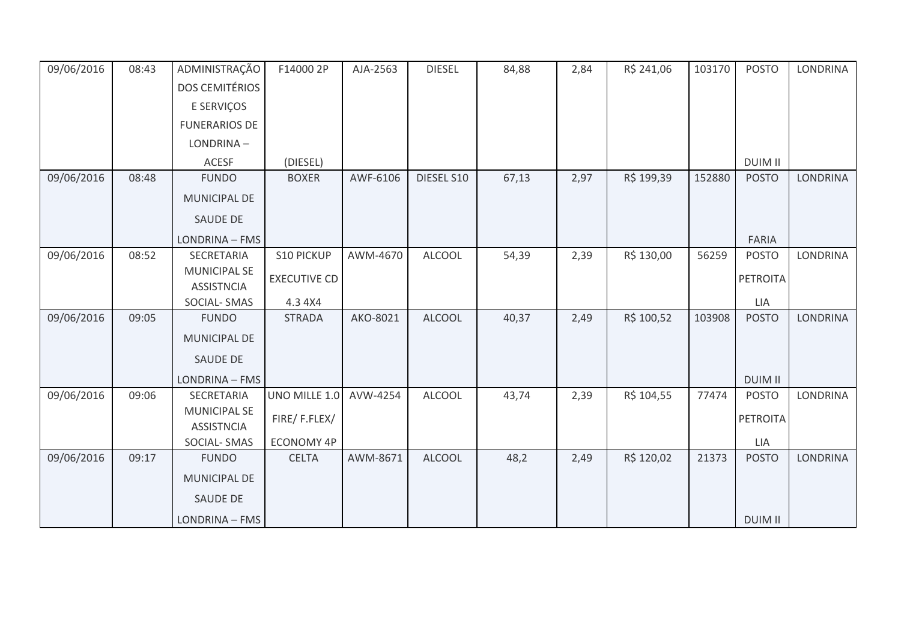| 09/06/2016 | 08:43 | ADMINISTRAÇÃO                            | F14000 2P           | AJA-2563 | <b>DIESEL</b> | 84,88 | 2,84 | R\$ 241,06 | 103170 | <b>POSTO</b>    | <b>LONDRINA</b> |
|------------|-------|------------------------------------------|---------------------|----------|---------------|-------|------|------------|--------|-----------------|-----------------|
|            |       | <b>DOS CEMITÉRIOS</b>                    |                     |          |               |       |      |            |        |                 |                 |
|            |       | E SERVIÇOS                               |                     |          |               |       |      |            |        |                 |                 |
|            |       | <b>FUNERARIOS DE</b>                     |                     |          |               |       |      |            |        |                 |                 |
|            |       | LONDRINA-                                |                     |          |               |       |      |            |        |                 |                 |
|            |       | <b>ACESF</b>                             | (DIESEL)            |          |               |       |      |            |        | <b>DUIM II</b>  |                 |
| 09/06/2016 | 08:48 | <b>FUNDO</b>                             | <b>BOXER</b>        | AWF-6106 | DIESEL S10    | 67,13 | 2,97 | R\$ 199,39 | 152880 | <b>POSTO</b>    | <b>LONDRINA</b> |
|            |       | <b>MUNICIPAL DE</b>                      |                     |          |               |       |      |            |        |                 |                 |
|            |       | <b>SAUDE DE</b>                          |                     |          |               |       |      |            |        |                 |                 |
|            |       | LONDRINA - FMS                           |                     |          |               |       |      |            |        | <b>FARIA</b>    |                 |
| 09/06/2016 | 08:52 | SECRETARIA                               | S10 PICKUP          | AWM-4670 | <b>ALCOOL</b> | 54,39 | 2,39 | R\$ 130,00 | 56259  | <b>POSTO</b>    | LONDRINA        |
|            |       | <b>MUNICIPAL SE</b>                      | <b>EXECUTIVE CD</b> |          |               |       |      |            |        | <b>PETROITA</b> |                 |
|            |       | <b>ASSISTNCIA</b><br><b>SOCIAL-SMAS</b>  | 4.3 4X4             |          |               |       |      |            |        | LIA             |                 |
| 09/06/2016 | 09:05 | <b>FUNDO</b>                             | <b>STRADA</b>       | AKO-8021 | <b>ALCOOL</b> | 40,37 | 2,49 | R\$ 100,52 | 103908 | <b>POSTO</b>    | <b>LONDRINA</b> |
|            |       | MUNICIPAL DE                             |                     |          |               |       |      |            |        |                 |                 |
|            |       | <b>SAUDE DE</b>                          |                     |          |               |       |      |            |        |                 |                 |
|            |       |                                          |                     |          |               |       |      |            |        |                 |                 |
|            |       | LONDRINA - FMS                           |                     |          |               |       |      |            |        | <b>DUIM II</b>  |                 |
| 09/06/2016 | 09:06 | <b>SECRETARIA</b>                        | UNO MILLE 1.0       | AVW-4254 | <b>ALCOOL</b> | 43,74 | 2,39 | R\$ 104,55 | 77474  | <b>POSTO</b>    | <b>LONDRINA</b> |
|            |       | <b>MUNICIPAL SE</b><br><b>ASSISTNCIA</b> | FIRE/F.FLEX/        |          |               |       |      |            |        | <b>PETROITA</b> |                 |
|            |       | SOCIAL-SMAS                              | <b>ECONOMY 4P</b>   |          |               |       |      |            |        | LIA             |                 |
| 09/06/2016 | 09:17 | <b>FUNDO</b>                             | <b>CELTA</b>        | AWM-8671 | <b>ALCOOL</b> | 48,2  | 2,49 | R\$ 120,02 | 21373  | <b>POSTO</b>    | <b>LONDRINA</b> |
|            |       |                                          |                     |          |               |       |      |            |        |                 |                 |
|            |       | <b>MUNICIPAL DE</b>                      |                     |          |               |       |      |            |        |                 |                 |
|            |       | <b>SAUDE DE</b>                          |                     |          |               |       |      |            |        |                 |                 |
|            |       | LONDRINA - FMS                           |                     |          |               |       |      |            |        | <b>DUIM II</b>  |                 |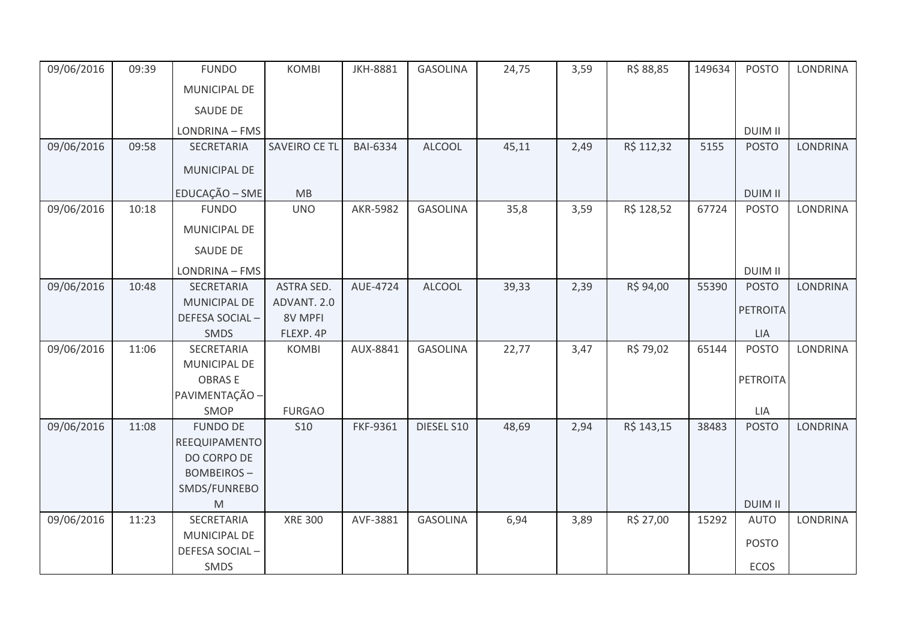| 09/06/2016 | 09:39 | <b>FUNDO</b>                                                                                               | <b>KOMBI</b>   | <b>JKH-8881</b> | <b>GASOLINA</b> | 24,75 | 3,59 | R\$ 88,85  | 149634 | <b>POSTO</b>               | <b>LONDRINA</b> |
|------------|-------|------------------------------------------------------------------------------------------------------------|----------------|-----------------|-----------------|-------|------|------------|--------|----------------------------|-----------------|
|            |       | <b>MUNICIPAL DE</b>                                                                                        |                |                 |                 |       |      |            |        |                            |                 |
|            |       | SAUDE DE                                                                                                   |                |                 |                 |       |      |            |        |                            |                 |
|            |       | LONDRINA - FMS                                                                                             |                |                 |                 |       |      |            |        | <b>DUIM II</b>             |                 |
| 09/06/2016 | 09:58 | SECRETARIA                                                                                                 | SAVEIRO CE TL  | <b>BAI-6334</b> | <b>ALCOOL</b>   | 45,11 | 2,49 | R\$ 112,32 | 5155   | <b>POSTO</b>               | <b>LONDRINA</b> |
|            |       | MUNICIPAL DE                                                                                               |                |                 |                 |       |      |            |        |                            |                 |
|            |       | EDUCAÇÃO - SME                                                                                             | MB             |                 |                 |       |      |            |        | <b>DUIM II</b>             |                 |
| 09/06/2016 | 10:18 | <b>FUNDO</b>                                                                                               | <b>UNO</b>     | AKR-5982        | <b>GASOLINA</b> | 35,8  | 3,59 | R\$ 128,52 | 67724  | <b>POSTO</b>               | LONDRINA        |
|            |       | MUNICIPAL DE                                                                                               |                |                 |                 |       |      |            |        |                            |                 |
|            |       | SAUDE DE                                                                                                   |                |                 |                 |       |      |            |        |                            |                 |
|            |       | LONDRINA - FMS                                                                                             |                |                 |                 |       |      |            |        | <b>DUIM II</b>             |                 |
| 09/06/2016 | 10:48 | <b>SECRETARIA</b>                                                                                          | ASTRA SED.     | AUE-4724        | <b>ALCOOL</b>   | 39,33 | 2,39 | R\$ 94,00  | 55390  | <b>POSTO</b>               | <b>LONDRINA</b> |
|            |       | MUNICIPAL DE                                                                                               | ADVANT. 2.0    |                 |                 |       |      |            |        | <b>PETROITA</b>            |                 |
|            |       | <b>DEFESA SOCIAL-</b>                                                                                      | 8V MPFI        |                 |                 |       |      |            |        |                            |                 |
|            |       | <b>SMDS</b>                                                                                                | FLEXP. 4P      | AUX-8841        | <b>GASOLINA</b> |       |      |            | 65144  | <b>LIA</b><br><b>POSTO</b> | LONDRINA        |
| 09/06/2016 | 11:06 | SECRETARIA<br>MUNICIPAL DE                                                                                 | <b>KOMBI</b>   |                 |                 | 22,77 | 3,47 | R\$ 79,02  |        |                            |                 |
|            |       | <b>OBRASE</b>                                                                                              |                |                 |                 |       |      |            |        | <b>PETROITA</b>            |                 |
|            |       | PAVIMENTAÇÃO -                                                                                             |                |                 |                 |       |      |            |        |                            |                 |
|            |       | SMOP                                                                                                       | <b>FURGAO</b>  |                 |                 |       |      |            |        | LIA                        |                 |
| 09/06/2016 | 11:08 | <b>FUNDO DE</b>                                                                                            | <b>S10</b>     | FKF-9361        | DIESEL S10      | 48,69 | 2,94 | R\$ 143,15 | 38483  | <b>POSTO</b>               | <b>LONDRINA</b> |
|            |       | REEQUIPAMENTO                                                                                              |                |                 |                 |       |      |            |        |                            |                 |
|            |       | DO CORPO DE                                                                                                |                |                 |                 |       |      |            |        |                            |                 |
|            |       | <b>BOMBEIROS-</b>                                                                                          |                |                 |                 |       |      |            |        |                            |                 |
|            |       | SMDS/FUNREBO                                                                                               |                |                 |                 |       |      |            |        |                            |                 |
|            |       | $\mathsf{M}% _{T}=\mathsf{M}_{T}\!\left( a,b\right) ,\ \mathsf{M}_{T}=\mathsf{M}_{T}\!\left( a,b\right) ,$ |                |                 |                 |       |      |            |        | <b>DUIM II</b>             |                 |
| 09/06/2016 | 11:23 | SECRETARIA                                                                                                 | <b>XRE 300</b> | AVF-3881        | <b>GASOLINA</b> | 6,94  | 3,89 | R\$ 27,00  | 15292  | <b>AUTO</b>                | <b>LONDRINA</b> |
|            |       | MUNICIPAL DE                                                                                               |                |                 |                 |       |      |            |        | <b>POSTO</b>               |                 |
|            |       | DEFESA SOCIAL-                                                                                             |                |                 |                 |       |      |            |        |                            |                 |
|            |       | SMDS                                                                                                       |                |                 |                 |       |      |            |        | ECOS                       |                 |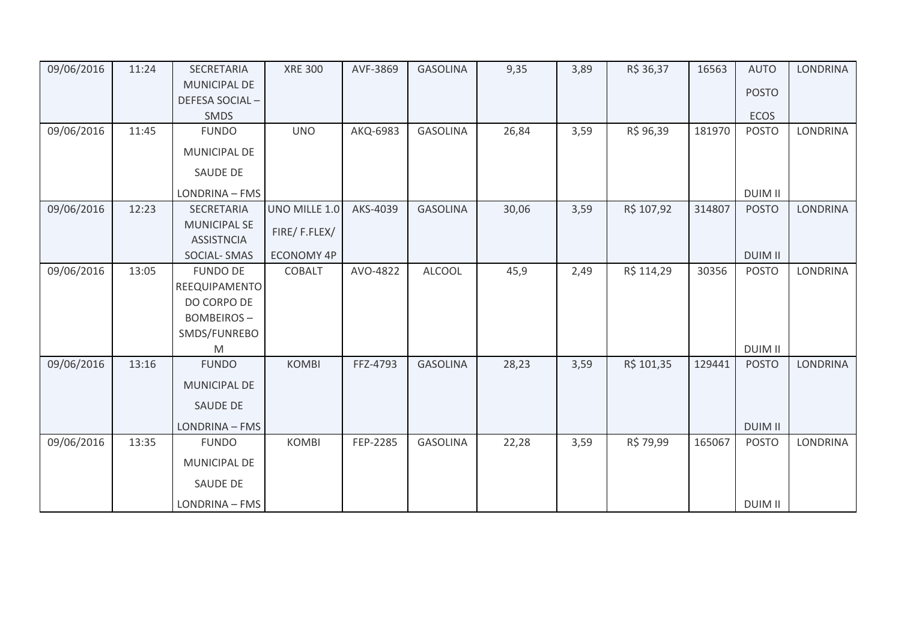| 09/06/2016 | 11:24 | SECRETARIA          | <b>XRE 300</b>    | AVF-3869 | <b>GASOLINA</b> | 9,35  | 3,89 | R\$ 36,37  | 16563  | <b>AUTO</b>    | <b>LONDRINA</b> |
|------------|-------|---------------------|-------------------|----------|-----------------|-------|------|------------|--------|----------------|-----------------|
|            |       | <b>MUNICIPAL DE</b> |                   |          |                 |       |      |            |        | <b>POSTO</b>   |                 |
|            |       | DEFESA SOCIAL-      |                   |          |                 |       |      |            |        |                |                 |
|            |       | SMDS                |                   |          |                 |       |      |            |        | <b>ECOS</b>    |                 |
| 09/06/2016 | 11:45 | <b>FUNDO</b>        | <b>UNO</b>        | AKQ-6983 | <b>GASOLINA</b> | 26,84 | 3,59 | R\$ 96,39  | 181970 | <b>POSTO</b>   | <b>LONDRINA</b> |
|            |       | MUNICIPAL DE        |                   |          |                 |       |      |            |        |                |                 |
|            |       | <b>SAUDE DE</b>     |                   |          |                 |       |      |            |        |                |                 |
|            |       | LONDRINA - FMS      |                   |          |                 |       |      |            |        | <b>DUIM II</b> |                 |
| 09/06/2016 | 12:23 | SECRETARIA          | UNO MILLE 1.0     | AKS-4039 | <b>GASOLINA</b> | 30,06 | 3,59 | R\$ 107,92 | 314807 | <b>POSTO</b>   | <b>LONDRINA</b> |
|            |       | <b>MUNICIPAL SE</b> | FIRE/F.FLEX/      |          |                 |       |      |            |        |                |                 |
|            |       | <b>ASSISTNCIA</b>   |                   |          |                 |       |      |            |        |                |                 |
|            |       | <b>SOCIAL-SMAS</b>  | <b>ECONOMY 4P</b> |          |                 |       |      |            |        | <b>DUIM II</b> |                 |
| 09/06/2016 | 13:05 | <b>FUNDO DE</b>     | <b>COBALT</b>     | AVO-4822 | <b>ALCOOL</b>   | 45,9  | 2,49 | R\$ 114,29 | 30356  | <b>POSTO</b>   | <b>LONDRINA</b> |
|            |       | REEQUIPAMENTO       |                   |          |                 |       |      |            |        |                |                 |
|            |       | DO CORPO DE         |                   |          |                 |       |      |            |        |                |                 |
|            |       | <b>BOMBEIROS-</b>   |                   |          |                 |       |      |            |        |                |                 |
|            |       | SMDS/FUNREBO        |                   |          |                 |       |      |            |        |                |                 |
|            |       | M                   |                   |          |                 |       |      |            |        | <b>DUIM II</b> |                 |
| 09/06/2016 | 13:16 | <b>FUNDO</b>        | <b>KOMBI</b>      | FFZ-4793 | <b>GASOLINA</b> | 28,23 | 3,59 | R\$ 101,35 | 129441 | <b>POSTO</b>   | <b>LONDRINA</b> |
|            |       | <b>MUNICIPAL DE</b> |                   |          |                 |       |      |            |        |                |                 |
|            |       | <b>SAUDE DE</b>     |                   |          |                 |       |      |            |        |                |                 |
|            |       | LONDRINA - FMS      |                   |          |                 |       |      |            |        | <b>DUIM II</b> |                 |
| 09/06/2016 | 13:35 | <b>FUNDO</b>        | <b>KOMBI</b>      | FEP-2285 | <b>GASOLINA</b> | 22,28 | 3,59 | R\$ 79,99  | 165067 | <b>POSTO</b>   | <b>LONDRINA</b> |
|            |       | MUNICIPAL DE        |                   |          |                 |       |      |            |        |                |                 |
|            |       | <b>SAUDE DE</b>     |                   |          |                 |       |      |            |        |                |                 |
|            |       | LONDRINA - FMS      |                   |          |                 |       |      |            |        | <b>DUIM II</b> |                 |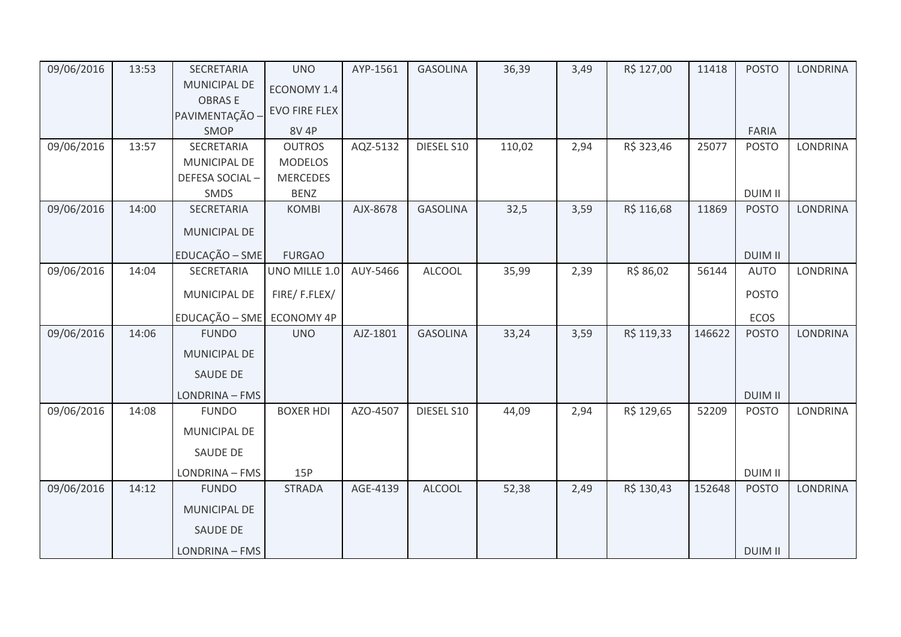| 09/06/2016 | 13:53 | SECRETARIA                | <b>UNO</b>           | AYP-1561 | <b>GASOLINA</b> | 36,39  | 3,49 | R\$ 127,00 | 11418  | <b>POSTO</b>   | <b>LONDRINA</b> |
|------------|-------|---------------------------|----------------------|----------|-----------------|--------|------|------------|--------|----------------|-----------------|
|            |       | <b>MUNICIPAL DE</b>       | ECONOMY 1.4          |          |                 |        |      |            |        |                |                 |
|            |       | <b>OBRASE</b>             | <b>EVO FIRE FLEX</b> |          |                 |        |      |            |        |                |                 |
|            |       | PAVIMENTAÇÃO -            |                      |          |                 |        |      |            |        |                |                 |
|            |       | <b>SMOP</b>               | <b>8V 4P</b>         |          |                 |        |      |            |        | FARIA          |                 |
| 09/06/2016 | 13:57 | SECRETARIA                | <b>OUTROS</b>        | AQZ-5132 | DIESEL S10      | 110,02 | 2,94 | R\$ 323,46 | 25077  | <b>POSTO</b>   | LONDRINA        |
|            |       | MUNICIPAL DE              | <b>MODELOS</b>       |          |                 |        |      |            |        |                |                 |
|            |       | DEFESA SOCIAL-            | <b>MERCEDES</b>      |          |                 |        |      |            |        |                |                 |
|            |       | SMDS                      | <b>BENZ</b>          |          |                 |        |      |            |        | <b>DUIM II</b> |                 |
| 09/06/2016 | 14:00 | SECRETARIA                | <b>KOMBI</b>         | AJX-8678 | <b>GASOLINA</b> | 32,5   | 3,59 | R\$ 116,68 | 11869  | <b>POSTO</b>   | <b>LONDRINA</b> |
|            |       | MUNICIPAL DE              |                      |          |                 |        |      |            |        |                |                 |
|            |       | EDUCAÇÃO - SME            | <b>FURGAO</b>        |          |                 |        |      |            |        | <b>DUIM II</b> |                 |
| 09/06/2016 | 14:04 | SECRETARIA                | UNO MILLE 1.0        | AUY-5466 | <b>ALCOOL</b>   | 35,99  | 2,39 | R\$ 86,02  | 56144  | <b>AUTO</b>    | LONDRINA        |
|            |       | MUNICIPAL DE              | FIRE/F.FLEX/         |          |                 |        |      |            |        | <b>POSTO</b>   |                 |
|            |       | EDUCAÇÃO - SME ECONOMY 4P |                      |          |                 |        |      |            |        | <b>ECOS</b>    |                 |
| 09/06/2016 | 14:06 | <b>FUNDO</b>              | <b>UNO</b>           | AJZ-1801 | <b>GASOLINA</b> | 33,24  | 3,59 | R\$ 119,33 | 146622 | <b>POSTO</b>   | <b>LONDRINA</b> |
|            |       | MUNICIPAL DE              |                      |          |                 |        |      |            |        |                |                 |
|            |       | <b>SAUDE DE</b>           |                      |          |                 |        |      |            |        |                |                 |
|            |       | LONDRINA - FMS            |                      |          |                 |        |      |            |        | <b>DUIM II</b> |                 |
| 09/06/2016 | 14:08 | <b>FUNDO</b>              | <b>BOXER HDI</b>     | AZO-4507 | DIESEL S10      | 44,09  | 2,94 | R\$ 129,65 | 52209  | <b>POSTO</b>   | LONDRINA        |
|            |       | MUNICIPAL DE              |                      |          |                 |        |      |            |        |                |                 |
|            |       | SAUDE DE                  |                      |          |                 |        |      |            |        |                |                 |
|            |       | LONDRINA - FMS            | 15P                  |          |                 |        |      |            |        | <b>DUIM II</b> |                 |
| 09/06/2016 | 14:12 | <b>FUNDO</b>              | <b>STRADA</b>        | AGE-4139 | <b>ALCOOL</b>   | 52,38  | 2,49 | R\$ 130,43 | 152648 | <b>POSTO</b>   | <b>LONDRINA</b> |
|            |       | <b>MUNICIPAL DE</b>       |                      |          |                 |        |      |            |        |                |                 |
|            |       | <b>SAUDE DE</b>           |                      |          |                 |        |      |            |        |                |                 |
|            |       | LONDRINA - FMS            |                      |          |                 |        |      |            |        | <b>DUIM II</b> |                 |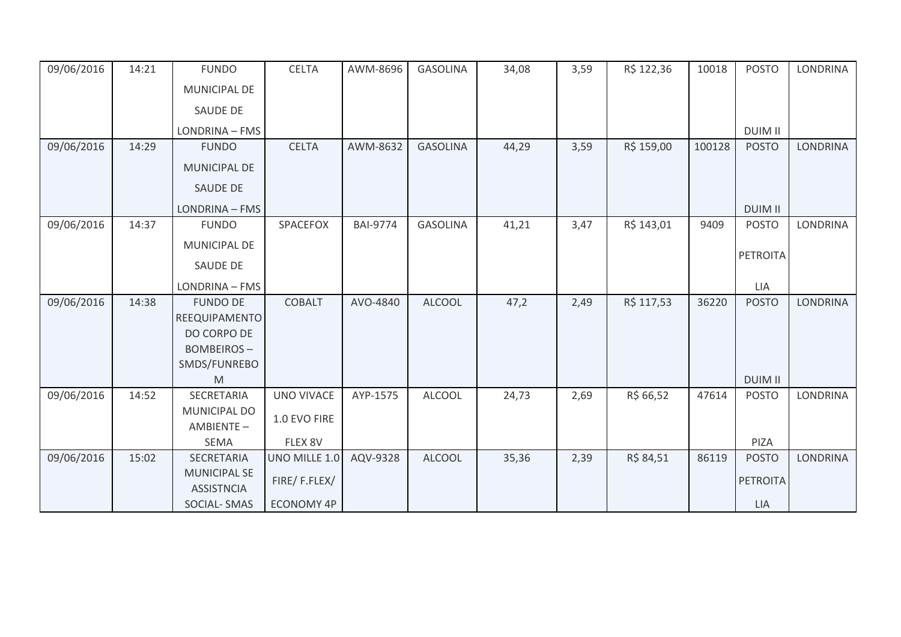| 09/06/2016 | 14:21 | <b>FUNDO</b>                             | <b>CELTA</b>      | AWM-8696        | <b>GASOLINA</b> | 34,08 | 3,59 | R\$ 122,36 | 10018  | <b>POSTO</b>    | LONDRINA        |
|------------|-------|------------------------------------------|-------------------|-----------------|-----------------|-------|------|------------|--------|-----------------|-----------------|
|            |       | MUNICIPAL DE                             |                   |                 |                 |       |      |            |        |                 |                 |
|            |       | <b>SAUDE DE</b>                          |                   |                 |                 |       |      |            |        |                 |                 |
|            |       | LONDRINA - FMS                           |                   |                 |                 |       |      |            |        | <b>DUIM II</b>  |                 |
| 09/06/2016 | 14:29 | <b>FUNDO</b>                             | <b>CELTA</b>      | AWM-8632        | <b>GASOLINA</b> | 44,29 | 3,59 | R\$ 159,00 | 100128 | <b>POSTO</b>    | <b>LONDRINA</b> |
|            |       | <b>MUNICIPAL DE</b>                      |                   |                 |                 |       |      |            |        |                 |                 |
|            |       | SAUDE DE                                 |                   |                 |                 |       |      |            |        |                 |                 |
|            |       | LONDRINA - FMS                           |                   |                 |                 |       |      |            |        | <b>DUIM II</b>  |                 |
| 09/06/2016 | 14:37 | <b>FUNDO</b>                             | SPACEFOX          | <b>BAI-9774</b> | <b>GASOLINA</b> | 41,21 | 3,47 | R\$ 143,01 | 9409   | <b>POSTO</b>    | LONDRINA        |
|            |       | MUNICIPAL DE                             |                   |                 |                 |       |      |            |        |                 |                 |
|            |       | <b>SAUDE DE</b>                          |                   |                 |                 |       |      |            |        | <b>PETROITA</b> |                 |
|            |       | LONDRINA - FMS                           |                   |                 |                 |       |      |            |        | LIA             |                 |
| 09/06/2016 | 14:38 | <b>FUNDO DE</b>                          | <b>COBALT</b>     | AVO-4840        | <b>ALCOOL</b>   | 47,2  | 2,49 | R\$ 117,53 | 36220  | <b>POSTO</b>    | <b>LONDRINA</b> |
|            |       | REEQUIPAMENTO                            |                   |                 |                 |       |      |            |        |                 |                 |
|            |       | DO CORPO DE                              |                   |                 |                 |       |      |            |        |                 |                 |
|            |       | <b>BOMBEIROS-</b>                        |                   |                 |                 |       |      |            |        |                 |                 |
|            |       | SMDS/FUNREBO                             |                   |                 |                 |       |      |            |        |                 |                 |
|            |       | M                                        |                   |                 |                 |       |      |            |        | <b>DUIM II</b>  |                 |
| 09/06/2016 | 14:52 | SECRETARIA                               | <b>UNO VIVACE</b> | AYP-1575        | <b>ALCOOL</b>   | 24,73 | 2,69 | R\$ 66,52  | 47614  | <b>POSTO</b>    | LONDRINA        |
|            |       | <b>MUNICIPAL DO</b><br>AMBIENTE-         | 1.0 EVO FIRE      |                 |                 |       |      |            |        |                 |                 |
|            |       | SEMA                                     | FLEX 8V           |                 |                 |       |      |            |        | PIZA            |                 |
| 09/06/2016 | 15:02 | SECRETARIA                               | UNO MILLE 1.0     | AQV-9328        | <b>ALCOOL</b>   | 35,36 | 2,39 | R\$ 84,51  | 86119  | <b>POSTO</b>    | <b>LONDRINA</b> |
|            |       | <b>MUNICIPAL SE</b><br><b>ASSISTNCIA</b> | FIRE/F.FLEX/      |                 |                 |       |      |            |        | <b>PETROITA</b> |                 |
|            |       | <b>SOCIAL-SMAS</b>                       | <b>ECONOMY 4P</b> |                 |                 |       |      |            |        | LIA             |                 |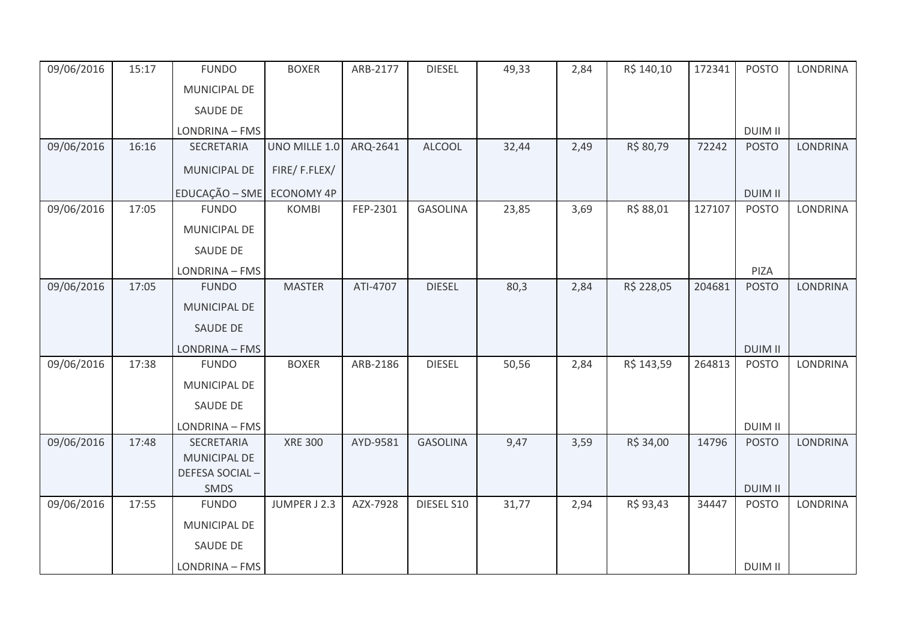| 09/06/2016 | 15:17 | <b>FUNDO</b>              | <b>BOXER</b>   | ARB-2177 | <b>DIESEL</b>   | 49,33 | 2,84 | R\$ 140,10 | 172341 | <b>POSTO</b>   | <b>LONDRINA</b> |
|------------|-------|---------------------------|----------------|----------|-----------------|-------|------|------------|--------|----------------|-----------------|
|            |       | <b>MUNICIPAL DE</b>       |                |          |                 |       |      |            |        |                |                 |
|            |       | SAUDE DE                  |                |          |                 |       |      |            |        |                |                 |
|            |       | LONDRINA - FMS            |                |          |                 |       |      |            |        | <b>DUIM II</b> |                 |
| 09/06/2016 | 16:16 | SECRETARIA                | UNO MILLE 1.0  | ARQ-2641 | <b>ALCOOL</b>   | 32,44 | 2,49 | R\$ 80,79  | 72242  | <b>POSTO</b>   | <b>LONDRINA</b> |
|            |       | MUNICIPAL DE              | FIRE/F.FLEX/   |          |                 |       |      |            |        |                |                 |
|            |       | EDUCAÇÃO - SME ECONOMY 4P |                |          |                 |       |      |            |        | <b>DUIM II</b> |                 |
| 09/06/2016 | 17:05 | <b>FUNDO</b>              | <b>KOMBI</b>   | FEP-2301 | <b>GASOLINA</b> | 23,85 | 3,69 | R\$ 88,01  | 127107 | <b>POSTO</b>   | LONDRINA        |
|            |       | MUNICIPAL DE              |                |          |                 |       |      |            |        |                |                 |
|            |       | SAUDE DE                  |                |          |                 |       |      |            |        |                |                 |
|            |       | LONDRINA - FMS            |                |          |                 |       |      |            |        | PIZA           |                 |
| 09/06/2016 | 17:05 | <b>FUNDO</b>              | <b>MASTER</b>  | ATI-4707 | <b>DIESEL</b>   | 80,3  | 2,84 | R\$ 228,05 | 204681 | <b>POSTO</b>   | <b>LONDRINA</b> |
|            |       | <b>MUNICIPAL DE</b>       |                |          |                 |       |      |            |        |                |                 |
|            |       | SAUDE DE                  |                |          |                 |       |      |            |        |                |                 |
|            |       | LONDRINA - FMS            |                |          |                 |       |      |            |        | <b>DUIM II</b> |                 |
| 09/06/2016 | 17:38 | <b>FUNDO</b>              | <b>BOXER</b>   | ARB-2186 | <b>DIESEL</b>   | 50,56 | 2,84 | R\$ 143,59 | 264813 | <b>POSTO</b>   | <b>LONDRINA</b> |
|            |       | <b>MUNICIPAL DE</b>       |                |          |                 |       |      |            |        |                |                 |
|            |       | SAUDE DE                  |                |          |                 |       |      |            |        |                |                 |
|            |       | LONDRINA - FMS            |                |          |                 |       |      |            |        | <b>DUIM II</b> |                 |
| 09/06/2016 | 17:48 | SECRETARIA                | <b>XRE 300</b> | AYD-9581 | <b>GASOLINA</b> | 9,47  | 3,59 | R\$ 34,00  | 14796  | <b>POSTO</b>   | <b>LONDRINA</b> |
|            |       | <b>MUNICIPAL DE</b>       |                |          |                 |       |      |            |        |                |                 |
|            |       | DEFESA SOCIAL-<br>SMDS    |                |          |                 |       |      |            |        | <b>DUIM II</b> |                 |
| 09/06/2016 | 17:55 | <b>FUNDO</b>              | JUMPER J 2.3   | AZX-7928 | DIESEL S10      | 31,77 | 2,94 | R\$ 93,43  | 34447  | <b>POSTO</b>   | LONDRINA        |
|            |       | MUNICIPAL DE              |                |          |                 |       |      |            |        |                |                 |
|            |       | SAUDE DE                  |                |          |                 |       |      |            |        |                |                 |
|            |       | LONDRINA - FMS            |                |          |                 |       |      |            |        | <b>DUIM II</b> |                 |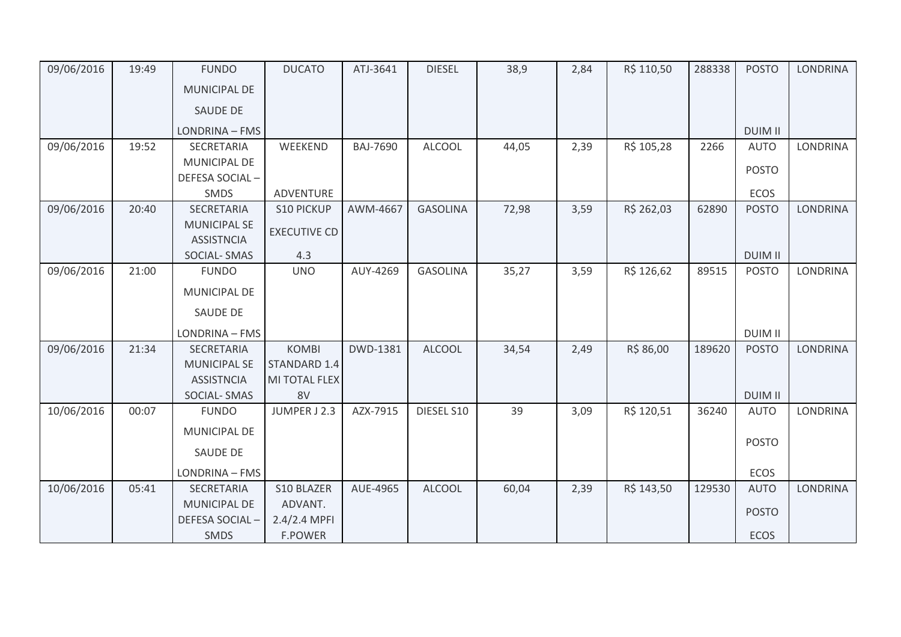| 09/06/2016 | 19:49 | <b>FUNDO</b>        | <b>DUCATO</b>       | ATJ-3641        | <b>DIESEL</b>   | 38,9  | 2,84 | R\$ 110,50 | 288338 | <b>POSTO</b>   | <b>LONDRINA</b> |
|------------|-------|---------------------|---------------------|-----------------|-----------------|-------|------|------------|--------|----------------|-----------------|
|            |       | <b>MUNICIPAL DE</b> |                     |                 |                 |       |      |            |        |                |                 |
|            |       | <b>SAUDE DE</b>     |                     |                 |                 |       |      |            |        |                |                 |
|            |       | LONDRINA - FMS      |                     |                 |                 |       |      |            |        | <b>DUIM II</b> |                 |
| 09/06/2016 | 19:52 | SECRETARIA          | WEEKEND             | <b>BAJ-7690</b> | <b>ALCOOL</b>   | 44,05 | 2,39 | R\$ 105,28 | 2266   | <b>AUTO</b>    | <b>LONDRINA</b> |
|            |       | <b>MUNICIPAL DE</b> |                     |                 |                 |       |      |            |        |                |                 |
|            |       | DEFESA SOCIAL-      |                     |                 |                 |       |      |            |        | <b>POSTO</b>   |                 |
|            |       | SMDS                | ADVENTURE           |                 |                 |       |      |            |        | ECOS           |                 |
| 09/06/2016 | 20:40 | <b>SECRETARIA</b>   | <b>S10 PICKUP</b>   | AWM-4667        | <b>GASOLINA</b> | 72,98 | 3,59 | R\$ 262,03 | 62890  | <b>POSTO</b>   | <b>LONDRINA</b> |
|            |       | <b>MUNICIPAL SE</b> | <b>EXECUTIVE CD</b> |                 |                 |       |      |            |        |                |                 |
|            |       | <b>ASSISTNCIA</b>   |                     |                 |                 |       |      |            |        |                |                 |
|            |       | <b>SOCIAL-SMAS</b>  | 4.3                 |                 |                 |       |      |            |        | <b>DUIM II</b> |                 |
| 09/06/2016 | 21:00 | <b>FUNDO</b>        | <b>UNO</b>          | AUY-4269        | <b>GASOLINA</b> | 35,27 | 3,59 | R\$ 126,62 | 89515  | <b>POSTO</b>   | <b>LONDRINA</b> |
|            |       | MUNICIPAL DE        |                     |                 |                 |       |      |            |        |                |                 |
|            |       | <b>SAUDE DE</b>     |                     |                 |                 |       |      |            |        |                |                 |
|            |       |                     |                     |                 |                 |       |      |            |        |                |                 |
|            |       | LONDRINA - FMS      |                     |                 |                 |       |      |            |        | <b>DUIM II</b> |                 |
| 09/06/2016 | 21:34 | SECRETARIA          | <b>KOMBI</b>        | DWD-1381        | <b>ALCOOL</b>   | 34,54 | 2,49 | R\$ 86,00  | 189620 | <b>POSTO</b>   | LONDRINA        |
|            |       | <b>MUNICIPAL SE</b> | STANDARD 1.4        |                 |                 |       |      |            |        |                |                 |
|            |       | <b>ASSISTNCIA</b>   | MI TOTAL FLEX       |                 |                 |       |      |            |        |                |                 |
|            |       | <b>SOCIAL-SMAS</b>  | 8V                  |                 |                 |       |      |            |        | <b>DUIM II</b> |                 |
| 10/06/2016 | 00:07 | <b>FUNDO</b>        | JUMPER J 2.3        | AZX-7915        | DIESEL S10      | 39    | 3,09 | R\$ 120,51 | 36240  | <b>AUTO</b>    | <b>LONDRINA</b> |
|            |       | MUNICIPAL DE        |                     |                 |                 |       |      |            |        |                |                 |
|            |       | <b>SAUDE DE</b>     |                     |                 |                 |       |      |            |        | <b>POSTO</b>   |                 |
|            |       | LONDRINA - FMS      |                     |                 |                 |       |      |            |        | ECOS           |                 |
| 10/06/2016 | 05:41 | SECRETARIA          | S10 BLAZER          | AUE-4965        | <b>ALCOOL</b>   | 60,04 | 2,39 | R\$ 143,50 | 129530 | <b>AUTO</b>    | <b>LONDRINA</b> |
|            |       | MUNICIPAL DE        | ADVANT.             |                 |                 |       |      |            |        |                |                 |
|            |       | DEFESA SOCIAL-      | 2.4/2.4 MPFI        |                 |                 |       |      |            |        | <b>POSTO</b>   |                 |
|            |       | <b>SMDS</b>         | <b>F.POWER</b>      |                 |                 |       |      |            |        | <b>ECOS</b>    |                 |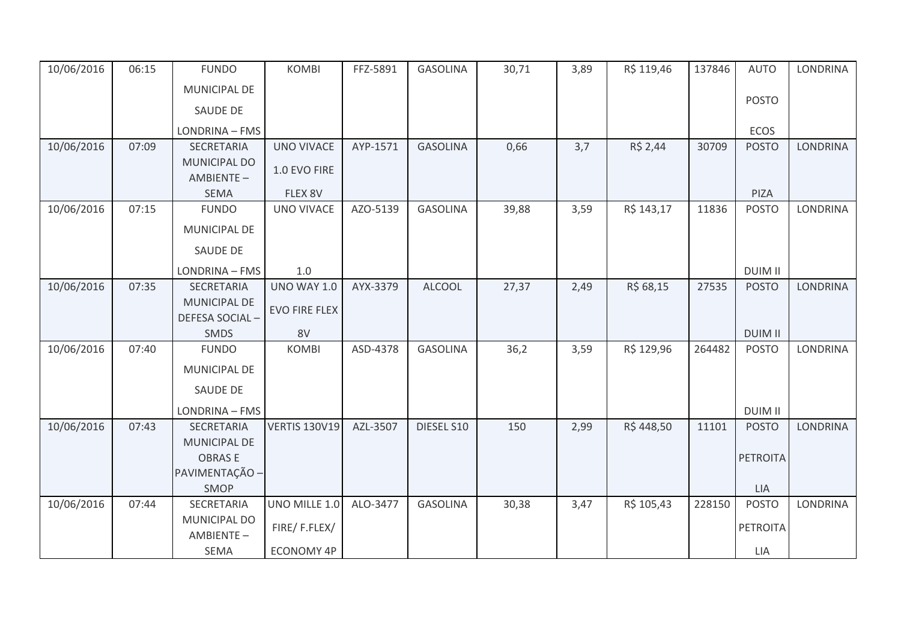| 10/06/2016 | 06:15 | <b>FUNDO</b>                     | <b>KOMBI</b>         | FFZ-5891 | <b>GASOLINA</b> | 30,71 | 3,89 | R\$ 119,46 | 137846 | <b>AUTO</b>                    | <b>LONDRINA</b> |
|------------|-------|----------------------------------|----------------------|----------|-----------------|-------|------|------------|--------|--------------------------------|-----------------|
|            |       | MUNICIPAL DE                     |                      |          |                 |       |      |            |        |                                |                 |
|            |       | SAUDE DE                         |                      |          |                 |       |      |            |        | <b>POSTO</b>                   |                 |
|            |       | LONDRINA - FMS                   |                      |          |                 |       |      |            |        | <b>ECOS</b>                    |                 |
| 10/06/2016 | 07:09 | SECRETARIA                       | <b>UNO VIVACE</b>    | AYP-1571 | <b>GASOLINA</b> | 0,66  | 3,7  | R\$ 2,44   | 30709  | <b>POSTO</b>                   | <b>LONDRINA</b> |
|            |       | MUNICIPAL DO<br>AMBIENTE-        | 1.0 EVO FIRE         |          |                 |       |      |            |        |                                |                 |
|            |       | <b>SEMA</b>                      | FLEX 8V              |          |                 |       |      |            |        | PIZA                           |                 |
| 10/06/2016 | 07:15 | <b>FUNDO</b>                     | <b>UNO VIVACE</b>    | AZO-5139 | <b>GASOLINA</b> | 39,88 | 3,59 | R\$ 143,17 | 11836  | <b>POSTO</b>                   | LONDRINA        |
|            |       | MUNICIPAL DE                     |                      |          |                 |       |      |            |        |                                |                 |
|            |       | <b>SAUDE DE</b>                  |                      |          |                 |       |      |            |        |                                |                 |
|            |       | LONDRINA - FMS                   | 1.0                  |          |                 |       |      |            |        | <b>DUIM II</b>                 |                 |
| 10/06/2016 | 07:35 | SECRETARIA                       | <b>UNO WAY 1.0</b>   | AYX-3379 | <b>ALCOOL</b>   | 27,37 | 2,49 | R\$ 68,15  | 27535  | <b>POSTO</b>                   | <b>LONDRINA</b> |
|            |       | <b>MUNICIPAL DE</b>              | <b>EVO FIRE FLEX</b> |          |                 |       |      |            |        |                                |                 |
|            |       | DEFESA SOCIAL-                   |                      |          |                 |       |      |            |        |                                |                 |
|            |       | SMDS                             | 8V                   | ASD-4378 | <b>GASOLINA</b> |       |      | R\$ 129,96 | 264482 | <b>DUIM II</b><br><b>POSTO</b> | LONDRINA        |
| 10/06/2016 | 07:40 | <b>FUNDO</b>                     | <b>KOMBI</b>         |          |                 | 36,2  | 3,59 |            |        |                                |                 |
|            |       | <b>MUNICIPAL DE</b>              |                      |          |                 |       |      |            |        |                                |                 |
|            |       | SAUDE DE                         |                      |          |                 |       |      |            |        |                                |                 |
|            |       | LONDRINA - FMS                   |                      |          |                 |       |      |            |        | <b>DUIM II</b>                 |                 |
| 10/06/2016 | 07:43 | SECRETARIA                       | <b>VERTIS 130V19</b> | AZL-3507 | DIESEL S10      | 150   | 2,99 | R\$448,50  | 11101  | <b>POSTO</b>                   | <b>LONDRINA</b> |
|            |       | <b>MUNICIPAL DE</b>              |                      |          |                 |       |      |            |        |                                |                 |
|            |       | <b>OBRASE</b>                    |                      |          |                 |       |      |            |        | <b>PETROITA</b>                |                 |
|            |       | PAVIMENTAÇÃO -                   |                      |          |                 |       |      |            |        |                                |                 |
|            |       | SMOP                             |                      |          |                 |       |      |            |        | LIA                            |                 |
| 10/06/2016 | 07:44 | SECRETARIA                       | UNO MILLE 1.0        | ALO-3477 | <b>GASOLINA</b> | 30,38 | 3,47 | R\$ 105,43 | 228150 | <b>POSTO</b>                   | <b>LONDRINA</b> |
|            |       | <b>MUNICIPAL DO</b><br>AMBIENTE- | FIRE/F.FLEX/         |          |                 |       |      |            |        | <b>PETROITA</b>                |                 |
|            |       | <b>SEMA</b>                      | <b>ECONOMY 4P</b>    |          |                 |       |      |            |        | <b>LIA</b>                     |                 |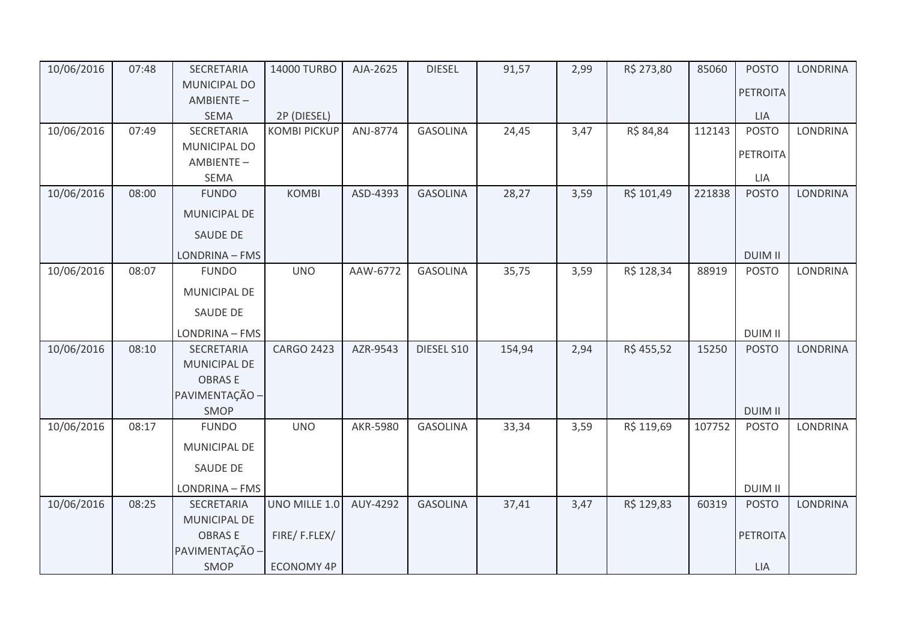| 10/06/2016 | 07:48 | SECRETARIA                | 14000 TURBO         | AJA-2625 | <b>DIESEL</b>   | 91,57  | 2,99 | R\$ 273,80 | 85060  | <b>POSTO</b>    | <b>LONDRINA</b> |
|------------|-------|---------------------------|---------------------|----------|-----------------|--------|------|------------|--------|-----------------|-----------------|
|            |       | MUNICIPAL DO              |                     |          |                 |        |      |            |        | <b>PETROITA</b> |                 |
|            |       | AMBIENTE-                 |                     |          |                 |        |      |            |        |                 |                 |
|            |       | <b>SEMA</b>               | 2P (DIESEL)         |          |                 |        |      |            |        | <b>LIA</b>      |                 |
| 10/06/2016 | 07:49 | SECRETARIA                | <b>KOMBI PICKUP</b> | ANJ-8774 | <b>GASOLINA</b> | 24,45  | 3,47 | R\$ 84,84  | 112143 | <b>POSTO</b>    | <b>LONDRINA</b> |
|            |       | MUNICIPAL DO<br>AMBIENTE- |                     |          |                 |        |      |            |        | PETROITA        |                 |
|            |       | <b>SEMA</b>               |                     |          |                 |        |      |            |        | LIA             |                 |
| 10/06/2016 | 08:00 | <b>FUNDO</b>              | KOMBI               | ASD-4393 | <b>GASOLINA</b> | 28,27  | 3,59 | R\$ 101,49 | 221838 | <b>POSTO</b>    | <b>LONDRINA</b> |
|            |       |                           |                     |          |                 |        |      |            |        |                 |                 |
|            |       | <b>MUNICIPAL DE</b>       |                     |          |                 |        |      |            |        |                 |                 |
|            |       | <b>SAUDE DE</b>           |                     |          |                 |        |      |            |        |                 |                 |
|            |       | LONDRINA - FMS            |                     |          |                 |        |      |            |        | <b>DUIM II</b>  |                 |
| 10/06/2016 | 08:07 | <b>FUNDO</b>              | <b>UNO</b>          | AAW-6772 | <b>GASOLINA</b> | 35,75  | 3,59 | R\$ 128,34 | 88919  | <b>POSTO</b>    | <b>LONDRINA</b> |
|            |       | MUNICIPAL DE              |                     |          |                 |        |      |            |        |                 |                 |
|            |       | <b>SAUDE DE</b>           |                     |          |                 |        |      |            |        |                 |                 |
|            |       | LONDRINA - FMS            |                     |          |                 |        |      |            |        | <b>DUIM II</b>  |                 |
| 10/06/2016 | 08:10 | SECRETARIA                | <b>CARGO 2423</b>   | AZR-9543 | DIESEL S10      | 154,94 | 2,94 | R\$ 455,52 | 15250  | <b>POSTO</b>    | LONDRINA        |
|            |       | MUNICIPAL DE              |                     |          |                 |        |      |            |        |                 |                 |
|            |       | <b>OBRASE</b>             |                     |          |                 |        |      |            |        |                 |                 |
|            |       | PAVIMENTAÇÃO -            |                     |          |                 |        |      |            |        |                 |                 |
|            |       | SMOP                      |                     |          |                 |        |      |            |        | <b>DUIM II</b>  |                 |
| 10/06/2016 | 08:17 | <b>FUNDO</b>              | <b>UNO</b>          | AKR-5980 | <b>GASOLINA</b> | 33,34  | 3,59 | R\$ 119,69 | 107752 | <b>POSTO</b>    | <b>LONDRINA</b> |
|            |       | MUNICIPAL DE              |                     |          |                 |        |      |            |        |                 |                 |
|            |       | <b>SAUDE DE</b>           |                     |          |                 |        |      |            |        |                 |                 |
|            |       | LONDRINA - FMS            |                     |          |                 |        |      |            |        | <b>DUIM II</b>  |                 |
| 10/06/2016 | 08:25 | SECRETARIA                | UNO MILLE 1.0       | AUY-4292 | <b>GASOLINA</b> | 37,41  | 3,47 | R\$ 129,83 | 60319  | <b>POSTO</b>    | <b>LONDRINA</b> |
|            |       | MUNICIPAL DE              |                     |          |                 |        |      |            |        |                 |                 |
|            |       | <b>OBRASE</b>             | FIRE/F.FLEX/        |          |                 |        |      |            |        | <b>PETROITA</b> |                 |
|            |       | PAVIMENTAÇÃO -            |                     |          |                 |        |      |            |        |                 |                 |
|            |       | SMOP                      | ECONOMY 4P          |          |                 |        |      |            |        | LIA             |                 |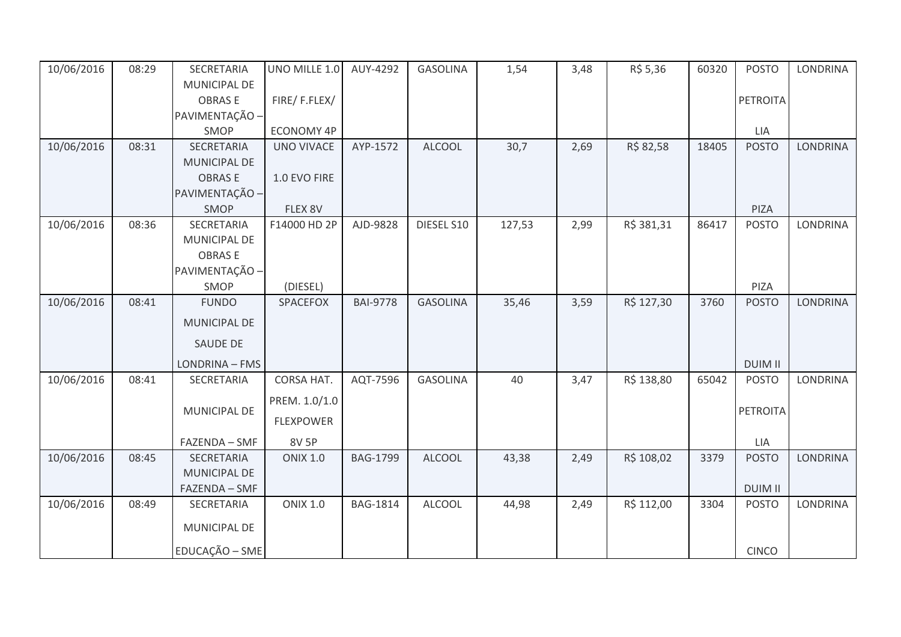| 10/06/2016 | 08:29 | SECRETARIA      | UNO MILLE 1.0     | AUY-4292        | <b>GASOLINA</b> | 1,54   | 3,48 | R\$ 5,36   | 60320 | <b>POSTO</b>   | <b>LONDRINA</b> |
|------------|-------|-----------------|-------------------|-----------------|-----------------|--------|------|------------|-------|----------------|-----------------|
|            |       | MUNICIPAL DE    |                   |                 |                 |        |      |            |       |                |                 |
|            |       | <b>OBRASE</b>   | FIRE/F.FLEX/      |                 |                 |        |      |            |       | PETROITA       |                 |
|            |       | PAVIMENTAÇÃO -  |                   |                 |                 |        |      |            |       |                |                 |
|            |       | SMOP            | <b>ECONOMY 4P</b> |                 |                 |        |      |            |       | LIA            |                 |
| 10/06/2016 | 08:31 | SECRETARIA      | <b>UNO VIVACE</b> | AYP-1572        | <b>ALCOOL</b>   | 30,7   | 2,69 | R\$ 82,58  | 18405 | <b>POSTO</b>   | <b>LONDRINA</b> |
|            |       | MUNICIPAL DE    |                   |                 |                 |        |      |            |       |                |                 |
|            |       | <b>OBRASE</b>   | 1.0 EVO FIRE      |                 |                 |        |      |            |       |                |                 |
|            |       | PAVIMENTAÇÃO -  |                   |                 |                 |        |      |            |       |                |                 |
|            |       | SMOP            | FLEX 8V           |                 |                 |        |      |            |       | PIZA           |                 |
| 10/06/2016 | 08:36 | SECRETARIA      | F14000 HD 2P      | AJD-9828        | DIESEL S10      | 127,53 | 2,99 | R\$ 381,31 | 86417 | <b>POSTO</b>   | <b>LONDRINA</b> |
|            |       | MUNICIPAL DE    |                   |                 |                 |        |      |            |       |                |                 |
|            |       | <b>OBRASE</b>   |                   |                 |                 |        |      |            |       |                |                 |
|            |       | PAVIMENTAÇÃO -  |                   |                 |                 |        |      |            |       |                |                 |
|            |       | SMOP            | (DIESEL)          |                 |                 |        |      |            |       | PIZA           |                 |
| 10/06/2016 | 08:41 | <b>FUNDO</b>    | <b>SPACEFOX</b>   | <b>BAI-9778</b> | <b>GASOLINA</b> | 35,46  | 3,59 | R\$ 127,30 | 3760  | <b>POSTO</b>   | <b>LONDRINA</b> |
|            |       | MUNICIPAL DE    |                   |                 |                 |        |      |            |       |                |                 |
|            |       | <b>SAUDE DE</b> |                   |                 |                 |        |      |            |       |                |                 |
|            |       | LONDRINA - FMS  |                   |                 |                 |        |      |            |       | <b>DUIM II</b> |                 |
| 10/06/2016 | 08:41 | SECRETARIA      | CORSA HAT.        | AQT-7596        | <b>GASOLINA</b> | 40     | 3,47 | R\$ 138,80 | 65042 | <b>POSTO</b>   | <b>LONDRINA</b> |
|            |       |                 | PREM. 1.0/1.0     |                 |                 |        |      |            |       |                |                 |
|            |       | MUNICIPAL DE    | <b>FLEXPOWER</b>  |                 |                 |        |      |            |       | PETROITA       |                 |
|            |       | FAZENDA - SMF   | 8V 5P             |                 |                 |        |      |            |       | LIA            |                 |
| 10/06/2016 | 08:45 | SECRETARIA      | <b>ONIX 1.0</b>   | <b>BAG-1799</b> | <b>ALCOOL</b>   | 43,38  | 2,49 | R\$ 108,02 | 3379  | <b>POSTO</b>   | <b>LONDRINA</b> |
|            |       | MUNICIPAL DE    |                   |                 |                 |        |      |            |       |                |                 |
|            |       | FAZENDA - SMF   |                   |                 |                 |        |      |            |       | <b>DUIM II</b> |                 |
| 10/06/2016 | 08:49 | SECRETARIA      | <b>ONIX 1.0</b>   | <b>BAG-1814</b> | <b>ALCOOL</b>   | 44,98  | 2,49 | R\$ 112,00 | 3304  | <b>POSTO</b>   | LONDRINA        |
|            |       | MUNICIPAL DE    |                   |                 |                 |        |      |            |       |                |                 |
|            |       | EDUCAÇÃO - SME  |                   |                 |                 |        |      |            |       | <b>CINCO</b>   |                 |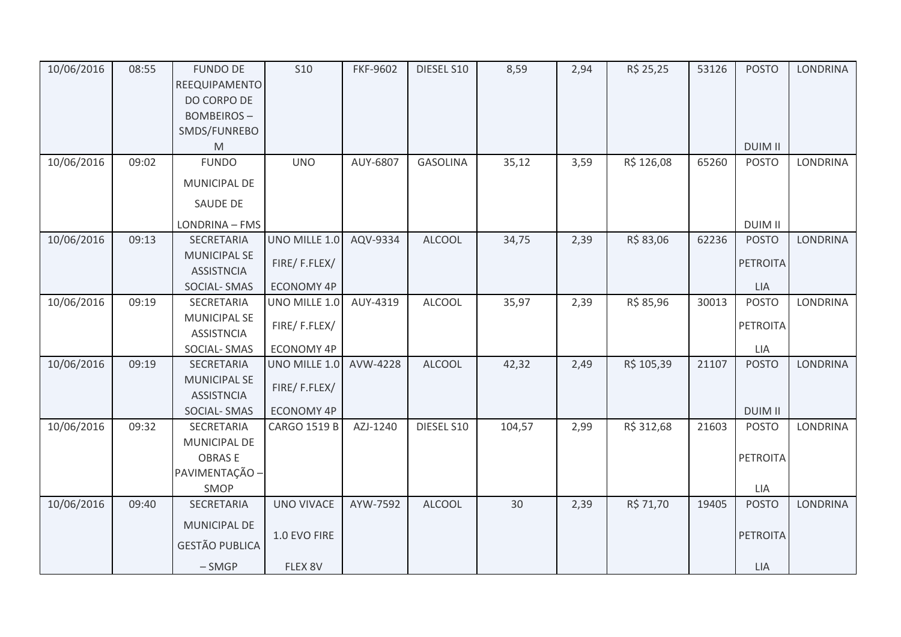| 10/06/2016 | 08:55 | <b>FUNDO DE</b><br>REEQUIPAMENTO<br>DO CORPO DE<br><b>BOMBEIROS-</b><br>SMDS/FUNREBO<br>M | <b>S10</b>          | <b>FKF-9602</b> | DIESEL S10      | 8,59   | 2,94 | R\$ 25,25  | 53126 | <b>POSTO</b><br><b>DUIM II</b> | <b>LONDRINA</b> |
|------------|-------|-------------------------------------------------------------------------------------------|---------------------|-----------------|-----------------|--------|------|------------|-------|--------------------------------|-----------------|
| 10/06/2016 | 09:02 | <b>FUNDO</b>                                                                              | <b>UNO</b>          | AUY-6807        | <b>GASOLINA</b> | 35,12  | 3,59 | R\$ 126,08 | 65260 | <b>POSTO</b>                   | <b>LONDRINA</b> |
|            |       | MUNICIPAL DE                                                                              |                     |                 |                 |        |      |            |       |                                |                 |
|            |       | SAUDE DE                                                                                  |                     |                 |                 |        |      |            |       |                                |                 |
|            |       | LONDRINA - FMS                                                                            |                     |                 |                 |        |      |            |       | <b>DUIM II</b>                 |                 |
| 10/06/2016 | 09:13 | <b>SECRETARIA</b>                                                                         | UNO MILLE 1.0       | AQV-9334        | <b>ALCOOL</b>   | 34,75  | 2,39 | R\$ 83,06  | 62236 | <b>POSTO</b>                   | <b>LONDRINA</b> |
|            |       | <b>MUNICIPAL SE</b><br><b>ASSISTNCIA</b>                                                  | FIRE/F.FLEX/        |                 |                 |        |      |            |       | <b>PETROITA</b>                |                 |
|            |       | <b>SOCIAL-SMAS</b>                                                                        | <b>ECONOMY 4P</b>   |                 |                 |        |      |            |       | <b>LIA</b>                     |                 |
| 10/06/2016 | 09:19 | SECRETARIA                                                                                | UNO MILLE 1.0       | AUY-4319        | ALCOOL          | 35,97  | 2,39 | R\$ 85,96  | 30013 | <b>POSTO</b>                   | <b>LONDRINA</b> |
|            |       | <b>MUNICIPAL SE</b><br><b>ASSISTNCIA</b>                                                  | FIRE/F.FLEX/        |                 |                 |        |      |            |       | <b>PETROITA</b>                |                 |
|            |       | SOCIAL-SMAS                                                                               | <b>ECONOMY 4P</b>   |                 |                 |        |      |            |       | LIA                            |                 |
| 10/06/2016 | 09:19 | <b>SECRETARIA</b>                                                                         | UNO MILLE 1.0       | AVW-4228        | <b>ALCOOL</b>   | 42,32  | 2,49 | R\$ 105,39 | 21107 | <b>POSTO</b>                   | <b>LONDRINA</b> |
|            |       | <b>MUNICIPAL SE</b><br><b>ASSISTNCIA</b>                                                  | FIRE/F.FLEX/        |                 |                 |        |      |            |       |                                |                 |
|            |       | SOCIAL-SMAS                                                                               | ECONOMY 4P          |                 |                 |        |      |            |       | <b>DUIM II</b>                 |                 |
| 10/06/2016 | 09:32 | SECRETARIA                                                                                | <b>CARGO 1519 B</b> | AZJ-1240        | DIESEL S10      | 104,57 | 2,99 | R\$ 312,68 | 21603 | <b>POSTO</b>                   | <b>LONDRINA</b> |
|            |       | MUNICIPAL DE                                                                              |                     |                 |                 |        |      |            |       |                                |                 |
|            |       | <b>OBRASE</b><br>PAVIMENTAÇÃO -                                                           |                     |                 |                 |        |      |            |       | PETROITA                       |                 |
|            |       | SMOP                                                                                      |                     |                 |                 |        |      |            |       | LIA                            |                 |
| 10/06/2016 | 09:40 | SECRETARIA                                                                                | <b>UNO VIVACE</b>   | AYW-7592        | <b>ALCOOL</b>   | 30     | 2,39 | R\$ 71,70  | 19405 | <b>POSTO</b>                   | <b>LONDRINA</b> |
|            |       | MUNICIPAL DE                                                                              |                     |                 |                 |        |      |            |       |                                |                 |
|            |       |                                                                                           | 1.0 EVO FIRE        |                 |                 |        |      |            |       | <b>PETROITA</b>                |                 |
|            |       | <b>GESTÃO PUBLICA</b>                                                                     |                     |                 |                 |        |      |            |       |                                |                 |
|            |       | $-SMGP$                                                                                   | FLEX 8V             |                 |                 |        |      |            |       | LIA                            |                 |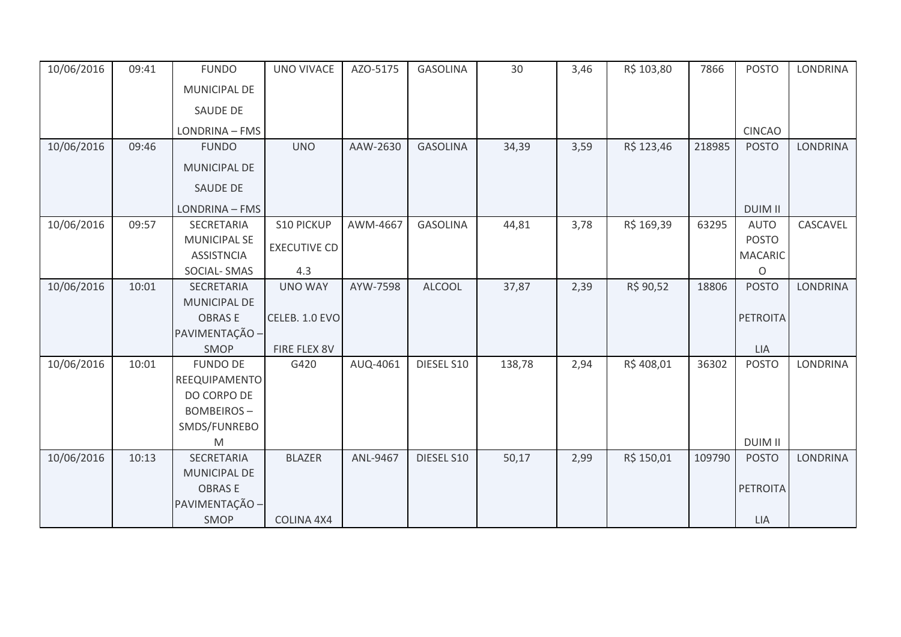| 10/06/2016 | 09:41 | <b>FUNDO</b>        | <b>UNO VIVACE</b>   | AZO-5175 | <b>GASOLINA</b> | 30     | 3,46 | R\$ 103,80 | 7866   | <b>POSTO</b>    | <b>LONDRINA</b> |
|------------|-------|---------------------|---------------------|----------|-----------------|--------|------|------------|--------|-----------------|-----------------|
|            |       | <b>MUNICIPAL DE</b> |                     |          |                 |        |      |            |        |                 |                 |
|            |       | SAUDE DE            |                     |          |                 |        |      |            |        |                 |                 |
|            |       | LONDRINA - FMS      |                     |          |                 |        |      |            |        | <b>CINCAO</b>   |                 |
| 10/06/2016 | 09:46 | <b>FUNDO</b>        | <b>UNO</b>          | AAW-2630 | <b>GASOLINA</b> | 34,39  | 3,59 | R\$ 123,46 | 218985 | <b>POSTO</b>    | <b>LONDRINA</b> |
|            |       | <b>MUNICIPAL DE</b> |                     |          |                 |        |      |            |        |                 |                 |
|            |       | <b>SAUDE DE</b>     |                     |          |                 |        |      |            |        |                 |                 |
|            |       | LONDRINA - FMS      |                     |          |                 |        |      |            |        | <b>DUIM II</b>  |                 |
| 10/06/2016 | 09:57 | SECRETARIA          | <b>S10 PICKUP</b>   | AWM-4667 | <b>GASOLINA</b> | 44,81  | 3,78 | R\$ 169,39 | 63295  | <b>AUTO</b>     | CASCAVEL        |
|            |       | <b>MUNICIPAL SE</b> | <b>EXECUTIVE CD</b> |          |                 |        |      |            |        | <b>POSTO</b>    |                 |
|            |       | <b>ASSISTNCIA</b>   |                     |          |                 |        |      |            |        | <b>MACARIC</b>  |                 |
|            |       | SOCIAL-SMAS         | 4.3                 |          |                 |        |      |            |        | O               |                 |
| 10/06/2016 | 10:01 | SECRETARIA          | <b>UNO WAY</b>      | AYW-7598 | <b>ALCOOL</b>   | 37,87  | 2,39 | R\$ 90,52  | 18806  | <b>POSTO</b>    | <b>LONDRINA</b> |
|            |       | <b>MUNICIPAL DE</b> |                     |          |                 |        |      |            |        |                 |                 |
|            |       | <b>OBRASE</b>       | CELEB. 1.0 EVO      |          |                 |        |      |            |        | <b>PETROITA</b> |                 |
|            |       | PAVIMENTAÇÃO -      |                     |          |                 |        |      |            |        |                 |                 |
|            |       | SMOP                | FIRE FLEX 8V        |          |                 |        |      |            |        | LIA             |                 |
| 10/06/2016 | 10:01 | <b>FUNDO DE</b>     | G420                | AUQ-4061 | DIESEL S10      | 138,78 | 2,94 | R\$408,01  | 36302  | <b>POSTO</b>    | <b>LONDRINA</b> |
|            |       | REEQUIPAMENTO       |                     |          |                 |        |      |            |        |                 |                 |
|            |       | DO CORPO DE         |                     |          |                 |        |      |            |        |                 |                 |
|            |       | <b>BOMBEIROS-</b>   |                     |          |                 |        |      |            |        |                 |                 |
|            |       | SMDS/FUNREBO        |                     |          |                 |        |      |            |        |                 |                 |
|            |       | M                   |                     |          |                 |        |      |            |        | <b>DUIM II</b>  |                 |
| 10/06/2016 | 10:13 | <b>SECRETARIA</b>   | <b>BLAZER</b>       | ANL-9467 | DIESEL S10      | 50,17  | 2,99 | R\$ 150,01 | 109790 | <b>POSTO</b>    | <b>LONDRINA</b> |
|            |       | <b>MUNICIPAL DE</b> |                     |          |                 |        |      |            |        |                 |                 |
|            |       | <b>OBRASE</b>       |                     |          |                 |        |      |            |        | <b>PETROITA</b> |                 |
|            |       | PAVIMENTAÇÃO -      |                     |          |                 |        |      |            |        |                 |                 |
|            |       | SMOP                | COLINA 4X4          |          |                 |        |      |            |        | LIA             |                 |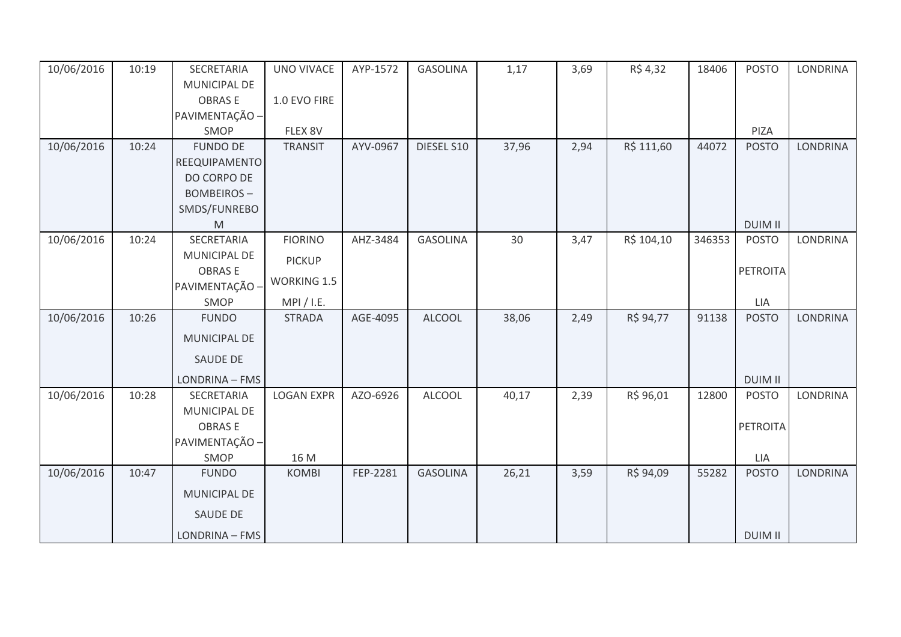| 10/06/2016 | 10:19 | SECRETARIA          | <b>UNO VIVACE</b>  | AYP-1572 | <b>GASOLINA</b> | 1,17  | 3,69 | R\$ 4,32   | 18406  | <b>POSTO</b>    | <b>LONDRINA</b> |
|------------|-------|---------------------|--------------------|----------|-----------------|-------|------|------------|--------|-----------------|-----------------|
|            |       | <b>MUNICIPAL DE</b> |                    |          |                 |       |      |            |        |                 |                 |
|            |       | <b>OBRASE</b>       | 1.0 EVO FIRE       |          |                 |       |      |            |        |                 |                 |
|            |       | PAVIMENTAÇÃO -      |                    |          |                 |       |      |            |        |                 |                 |
|            |       | SMOP                | FLEX 8V            |          |                 |       |      |            |        | PIZA            |                 |
| 10/06/2016 | 10:24 | <b>FUNDO DE</b>     | <b>TRANSIT</b>     | AYV-0967 | DIESEL S10      | 37,96 | 2,94 | R\$ 111,60 | 44072  | <b>POSTO</b>    | <b>LONDRINA</b> |
|            |       | REEQUIPAMENTO       |                    |          |                 |       |      |            |        |                 |                 |
|            |       | DO CORPO DE         |                    |          |                 |       |      |            |        |                 |                 |
|            |       | <b>BOMBEIROS-</b>   |                    |          |                 |       |      |            |        |                 |                 |
|            |       | SMDS/FUNREBO        |                    |          |                 |       |      |            |        |                 |                 |
|            |       | M                   |                    |          |                 |       |      |            |        | <b>DUIM II</b>  |                 |
| 10/06/2016 | 10:24 | SECRETARIA          | <b>FIORINO</b>     | AHZ-3484 | <b>GASOLINA</b> | 30    | 3,47 | R\$ 104,10 | 346353 | <b>POSTO</b>    | <b>LONDRINA</b> |
|            |       | <b>MUNICIPAL DE</b> | <b>PICKUP</b>      |          |                 |       |      |            |        |                 |                 |
|            |       | <b>OBRASE</b>       | <b>WORKING 1.5</b> |          |                 |       |      |            |        | <b>PETROITA</b> |                 |
|            |       | PAVIMENTAÇÃO -      |                    |          |                 |       |      |            |        |                 |                 |
|            |       | SMOP                | MPI / I.E.         |          |                 |       |      |            |        | LIA             |                 |
| 10/06/2016 | 10:26 | <b>FUNDO</b>        | <b>STRADA</b>      | AGE-4095 | <b>ALCOOL</b>   | 38,06 | 2,49 | R\$ 94,77  | 91138  | <b>POSTO</b>    | <b>LONDRINA</b> |
|            |       | MUNICIPAL DE        |                    |          |                 |       |      |            |        |                 |                 |
|            |       | <b>SAUDE DE</b>     |                    |          |                 |       |      |            |        |                 |                 |
|            |       | LONDRINA - FMS      |                    |          |                 |       |      |            |        | <b>DUIM II</b>  |                 |
| 10/06/2016 | 10:28 | SECRETARIA          | <b>LOGAN EXPR</b>  | AZO-6926 | <b>ALCOOL</b>   | 40,17 | 2,39 | R\$ 96,01  | 12800  | <b>POSTO</b>    | <b>LONDRINA</b> |
|            |       | MUNICIPAL DE        |                    |          |                 |       |      |            |        |                 |                 |
|            |       | <b>OBRASE</b>       |                    |          |                 |       |      |            |        | <b>PETROITA</b> |                 |
|            |       | PAVIMENTAÇÃO -      |                    |          |                 |       |      |            |        |                 |                 |
|            |       | SMOP                | 16 M               |          |                 |       |      |            |        | LIA             |                 |
| 10/06/2016 | 10:47 | <b>FUNDO</b>        | <b>KOMBI</b>       | FEP-2281 | <b>GASOLINA</b> | 26,21 | 3,59 | R\$ 94,09  | 55282  | <b>POSTO</b>    | <b>LONDRINA</b> |
|            |       | MUNICIPAL DE        |                    |          |                 |       |      |            |        |                 |                 |
|            |       | SAUDE DE            |                    |          |                 |       |      |            |        |                 |                 |
|            |       | LONDRINA - FMS      |                    |          |                 |       |      |            |        | <b>DUIM II</b>  |                 |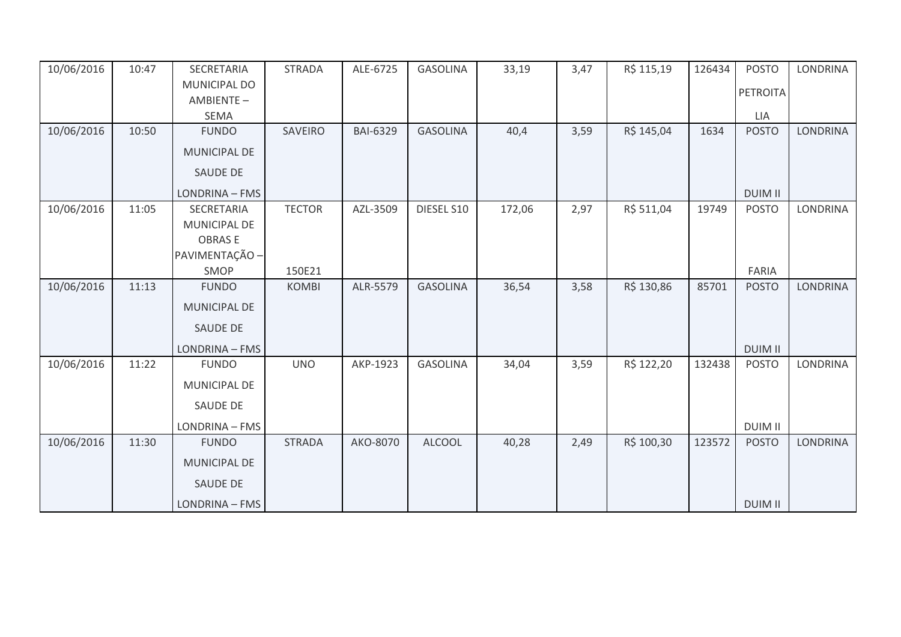| 10/06/2016 | 10:47 | SECRETARIA          | <b>STRADA</b> | ALE-6725        | <b>GASOLINA</b> | 33,19  | 3,47 | R\$ 115,19 | 126434 | <b>POSTO</b>    | <b>LONDRINA</b> |
|------------|-------|---------------------|---------------|-----------------|-----------------|--------|------|------------|--------|-----------------|-----------------|
|            |       | <b>MUNICIPAL DO</b> |               |                 |                 |        |      |            |        | <b>PETROITA</b> |                 |
|            |       | AMBIENTE-           |               |                 |                 |        |      |            |        |                 |                 |
|            |       | <b>SEMA</b>         |               |                 |                 |        |      |            |        | LIA             |                 |
| 10/06/2016 | 10:50 | <b>FUNDO</b>        | SAVEIRO       | <b>BAI-6329</b> | <b>GASOLINA</b> | 40,4   | 3,59 | R\$ 145,04 | 1634   | <b>POSTO</b>    | <b>LONDRINA</b> |
|            |       | <b>MUNICIPAL DE</b> |               |                 |                 |        |      |            |        |                 |                 |
|            |       | <b>SAUDE DE</b>     |               |                 |                 |        |      |            |        |                 |                 |
|            |       | LONDRINA - FMS      |               |                 |                 |        |      |            |        | <b>DUIM II</b>  |                 |
| 10/06/2016 | 11:05 | SECRETARIA          | <b>TECTOR</b> | AZL-3509        | DIESEL S10      | 172,06 | 2,97 | R\$ 511,04 | 19749  | <b>POSTO</b>    | <b>LONDRINA</b> |
|            |       | MUNICIPAL DE        |               |                 |                 |        |      |            |        |                 |                 |
|            |       | <b>OBRASE</b>       |               |                 |                 |        |      |            |        |                 |                 |
|            |       | PAVIMENTAÇÃO -      |               |                 |                 |        |      |            |        |                 |                 |
|            |       | SMOP                | 150E21        |                 |                 |        |      |            |        | FARIA           |                 |
| 10/06/2016 | 11:13 | <b>FUNDO</b>        | <b>KOMBI</b>  | ALR-5579        | <b>GASOLINA</b> | 36,54  | 3,58 | R\$ 130,86 | 85701  | <b>POSTO</b>    | <b>LONDRINA</b> |
|            |       | <b>MUNICIPAL DE</b> |               |                 |                 |        |      |            |        |                 |                 |
|            |       | SAUDE DE            |               |                 |                 |        |      |            |        |                 |                 |
|            |       | LONDRINA - FMS      |               |                 |                 |        |      |            |        | <b>DUIM II</b>  |                 |
| 10/06/2016 | 11:22 | <b>FUNDO</b>        | <b>UNO</b>    | AKP-1923        | <b>GASOLINA</b> | 34,04  | 3,59 | R\$ 122,20 | 132438 | <b>POSTO</b>    | <b>LONDRINA</b> |
|            |       | MUNICIPAL DE        |               |                 |                 |        |      |            |        |                 |                 |
|            |       | SAUDE DE            |               |                 |                 |        |      |            |        |                 |                 |
|            |       | LONDRINA - FMS      |               |                 |                 |        |      |            |        | <b>DUIM II</b>  |                 |
| 10/06/2016 | 11:30 | <b>FUNDO</b>        | <b>STRADA</b> | AKO-8070        | <b>ALCOOL</b>   | 40,28  | 2,49 | R\$ 100,30 | 123572 | <b>POSTO</b>    | <b>LONDRINA</b> |
|            |       | MUNICIPAL DE        |               |                 |                 |        |      |            |        |                 |                 |
|            |       | <b>SAUDE DE</b>     |               |                 |                 |        |      |            |        |                 |                 |
|            |       | LONDRINA - FMS      |               |                 |                 |        |      |            |        | <b>DUIM II</b>  |                 |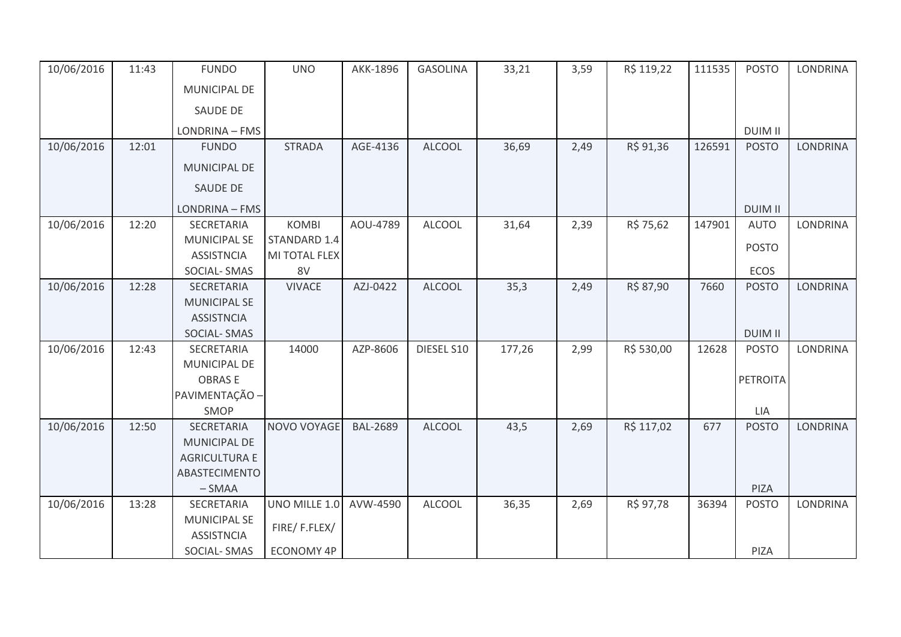| 10/06/2016 | 11:43 | <b>FUNDO</b>         | <b>UNO</b>        | AKK-1896        | <b>GASOLINA</b> | 33,21  | 3,59 | R\$ 119,22 | 111535 | <b>POSTO</b>    | <b>LONDRINA</b> |
|------------|-------|----------------------|-------------------|-----------------|-----------------|--------|------|------------|--------|-----------------|-----------------|
|            |       | MUNICIPAL DE         |                   |                 |                 |        |      |            |        |                 |                 |
|            |       | <b>SAUDE DE</b>      |                   |                 |                 |        |      |            |        |                 |                 |
|            |       | LONDRINA - FMS       |                   |                 |                 |        |      |            |        | <b>DUIM II</b>  |                 |
| 10/06/2016 | 12:01 | <b>FUNDO</b>         | <b>STRADA</b>     | AGE-4136        | <b>ALCOOL</b>   | 36,69  | 2,49 | R\$ 91,36  | 126591 | <b>POSTO</b>    | <b>LONDRINA</b> |
|            |       | MUNICIPAL DE         |                   |                 |                 |        |      |            |        |                 |                 |
|            |       | SAUDE DE             |                   |                 |                 |        |      |            |        |                 |                 |
|            |       | LONDRINA - FMS       |                   |                 |                 |        |      |            |        | <b>DUIM II</b>  |                 |
| 10/06/2016 | 12:20 | SECRETARIA           | <b>KOMBI</b>      | AOU-4789        | <b>ALCOOL</b>   | 31,64  | 2,39 | R\$ 75,62  | 147901 | <b>AUTO</b>     | <b>LONDRINA</b> |
|            |       | <b>MUNICIPAL SE</b>  | STANDARD 1.4      |                 |                 |        |      |            |        | <b>POSTO</b>    |                 |
|            |       | <b>ASSISTNCIA</b>    | MI TOTAL FLEX     |                 |                 |        |      |            |        |                 |                 |
|            |       | SOCIAL-SMAS          | 8V                |                 |                 |        |      |            |        | ECOS            |                 |
| 10/06/2016 | 12:28 | SECRETARIA           | <b>VIVACE</b>     | AZJ-0422        | <b>ALCOOL</b>   | 35,3   | 2,49 | R\$ 87,90  | 7660   | <b>POSTO</b>    | <b>LONDRINA</b> |
|            |       | <b>MUNICIPAL SE</b>  |                   |                 |                 |        |      |            |        |                 |                 |
|            |       | <b>ASSISTNCIA</b>    |                   |                 |                 |        |      |            |        |                 |                 |
|            |       | SOCIAL-SMAS          |                   |                 |                 |        |      |            |        | <b>DUIM II</b>  |                 |
| 10/06/2016 | 12:43 | SECRETARIA           | 14000             | AZP-8606        | DIESEL S10      | 177,26 | 2,99 | R\$ 530,00 | 12628  | <b>POSTO</b>    | LONDRINA        |
|            |       | MUNICIPAL DE         |                   |                 |                 |        |      |            |        |                 |                 |
|            |       | <b>OBRASE</b>        |                   |                 |                 |        |      |            |        | <b>PETROITA</b> |                 |
|            |       | PAVIMENTAÇÃO -       |                   |                 |                 |        |      |            |        |                 |                 |
|            |       | SMOP                 |                   |                 |                 |        |      |            |        | LIA             |                 |
| 10/06/2016 | 12:50 | SECRETARIA           | NOVO VOYAGE       | <b>BAL-2689</b> | <b>ALCOOL</b>   | 43,5   | 2,69 | R\$ 117,02 | 677    | <b>POSTO</b>    | <b>LONDRINA</b> |
|            |       | MUNICIPAL DE         |                   |                 |                 |        |      |            |        |                 |                 |
|            |       | <b>AGRICULTURA E</b> |                   |                 |                 |        |      |            |        |                 |                 |
|            |       | ABASTECIMENTO        |                   |                 |                 |        |      |            |        |                 |                 |
|            |       | $-SMAA$              |                   |                 |                 |        |      |            |        | PIZA            |                 |
| 10/06/2016 | 13:28 | SECRETARIA           | UNO MILLE 1.0     | AVW-4590        | <b>ALCOOL</b>   | 36,35  | 2,69 | R\$ 97,78  | 36394  | <b>POSTO</b>    | LONDRINA        |
|            |       | <b>MUNICIPAL SE</b>  | FIRE/F.FLEX/      |                 |                 |        |      |            |        |                 |                 |
|            |       | <b>ASSISTNCIA</b>    |                   |                 |                 |        |      |            |        |                 |                 |
|            |       | SOCIAL-SMAS          | <b>ECONOMY 4P</b> |                 |                 |        |      |            |        | PIZA            |                 |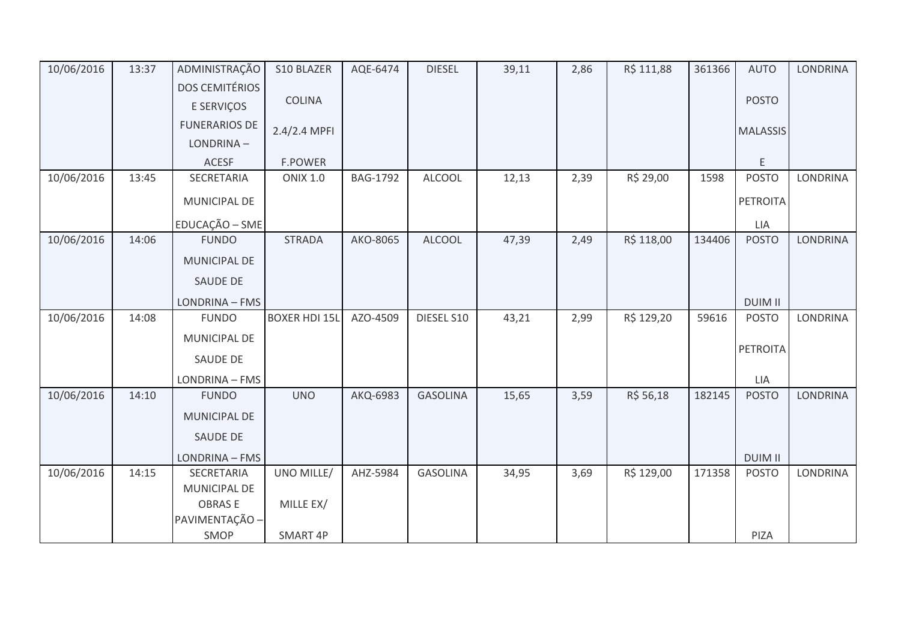| 10/06/2016 | 13:37 | ADMINISTRAÇÃO         | S10 BLAZER           | AQE-6474        | <b>DIESEL</b>   | 39,11 | 2,86 | R\$ 111,88 | 361366 | <b>AUTO</b>     | <b>LONDRINA</b> |
|------------|-------|-----------------------|----------------------|-----------------|-----------------|-------|------|------------|--------|-----------------|-----------------|
|            |       | <b>DOS CEMITÉRIOS</b> |                      |                 |                 |       |      |            |        |                 |                 |
|            |       | E SERVIÇOS            | <b>COLINA</b>        |                 |                 |       |      |            |        | <b>POSTO</b>    |                 |
|            |       | <b>FUNERARIOS DE</b>  | 2.4/2.4 MPFI         |                 |                 |       |      |            |        | <b>MALASSIS</b> |                 |
|            |       | LONDRINA-             |                      |                 |                 |       |      |            |        |                 |                 |
|            |       | <b>ACESF</b>          | <b>F.POWER</b>       |                 |                 |       |      |            |        | E               |                 |
| 10/06/2016 | 13:45 | SECRETARIA            | <b>ONIX 1.0</b>      | <b>BAG-1792</b> | <b>ALCOOL</b>   | 12,13 | 2,39 | R\$ 29,00  | 1598   | <b>POSTO</b>    | <b>LONDRINA</b> |
|            |       | MUNICIPAL DE          |                      |                 |                 |       |      |            |        | PETROITA        |                 |
|            |       | EDUCAÇÃO - SME        |                      |                 |                 |       |      |            |        | LIA             |                 |
| 10/06/2016 | 14:06 | <b>FUNDO</b>          | <b>STRADA</b>        | AKO-8065        | <b>ALCOOL</b>   | 47,39 | 2,49 | R\$ 118,00 | 134406 | <b>POSTO</b>    | <b>LONDRINA</b> |
|            |       | <b>MUNICIPAL DE</b>   |                      |                 |                 |       |      |            |        |                 |                 |
|            |       | SAUDE DE              |                      |                 |                 |       |      |            |        |                 |                 |
|            |       | LONDRINA - FMS        |                      |                 |                 |       |      |            |        | <b>DUIM II</b>  |                 |
| 10/06/2016 | 14:08 | <b>FUNDO</b>          | <b>BOXER HDI 15L</b> | AZO-4509        | DIESEL S10      | 43,21 | 2,99 | R\$ 129,20 | 59616  | <b>POSTO</b>    | <b>LONDRINA</b> |
|            |       | MUNICIPAL DE          |                      |                 |                 |       |      |            |        | PETROITA        |                 |
|            |       | <b>SAUDE DE</b>       |                      |                 |                 |       |      |            |        |                 |                 |
|            |       | LONDRINA - FMS        |                      |                 |                 |       |      |            |        | LIA             |                 |
| 10/06/2016 | 14:10 | <b>FUNDO</b>          | <b>UNO</b>           | AKQ-6983        | <b>GASOLINA</b> | 15,65 | 3,59 | R\$ 56,18  | 182145 | <b>POSTO</b>    | <b>LONDRINA</b> |
|            |       | <b>MUNICIPAL DE</b>   |                      |                 |                 |       |      |            |        |                 |                 |
|            |       | <b>SAUDE DE</b>       |                      |                 |                 |       |      |            |        |                 |                 |
|            |       | LONDRINA - FMS        |                      |                 |                 |       |      |            |        | <b>DUIM II</b>  |                 |
| 10/06/2016 | 14:15 | SECRETARIA            | UNO MILLE/           | AHZ-5984        | <b>GASOLINA</b> | 34,95 | 3,69 | R\$ 129,00 | 171358 | <b>POSTO</b>    | <b>LONDRINA</b> |
|            |       | MUNICIPAL DE          |                      |                 |                 |       |      |            |        |                 |                 |
|            |       | <b>OBRASE</b>         | MILLE EX/            |                 |                 |       |      |            |        |                 |                 |
|            |       | PAVIMENTAÇÃO -        |                      |                 |                 |       |      |            |        |                 |                 |
|            |       | SMOP                  | SMART 4P             |                 |                 |       |      |            |        | PIZA            |                 |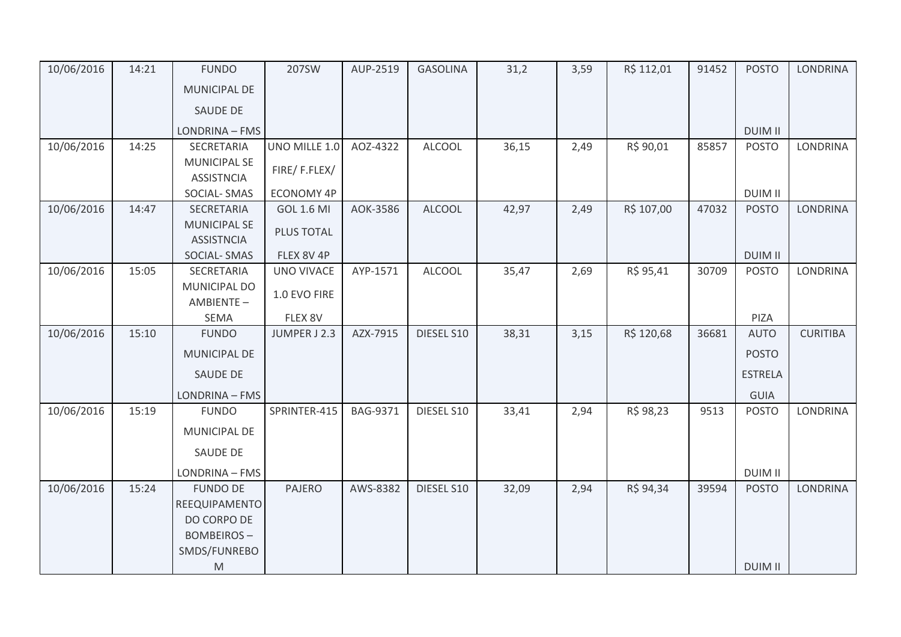| 10/06/2016 | 14:21 | <b>FUNDO</b>              | 207SW             | AUP-2519        | <b>GASOLINA</b> | 31,2  | 3,59 | R\$ 112,01 | 91452 | <b>POSTO</b>   | <b>LONDRINA</b> |
|------------|-------|---------------------------|-------------------|-----------------|-----------------|-------|------|------------|-------|----------------|-----------------|
|            |       | <b>MUNICIPAL DE</b>       |                   |                 |                 |       |      |            |       |                |                 |
|            |       | SAUDE DE                  |                   |                 |                 |       |      |            |       |                |                 |
|            |       | LONDRINA - FMS            |                   |                 |                 |       |      |            |       | <b>DUIM II</b> |                 |
| 10/06/2016 | 14:25 | SECRETARIA                | UNO MILLE 1.0     | AOZ-4322        | <b>ALCOOL</b>   | 36,15 | 2,49 | R\$ 90,01  | 85857 | <b>POSTO</b>   | <b>LONDRINA</b> |
|            |       | <b>MUNICIPAL SE</b>       | FIRE/F.FLEX/      |                 |                 |       |      |            |       |                |                 |
|            |       | <b>ASSISTNCIA</b>         |                   |                 |                 |       |      |            |       |                |                 |
|            |       | SOCIAL-SMAS               | <b>ECONOMY 4P</b> |                 |                 |       |      |            |       | <b>DUIM II</b> |                 |
| 10/06/2016 | 14:47 | SECRETARIA                | <b>GOL 1.6 MI</b> | AOK-3586        | <b>ALCOOL</b>   | 42,97 | 2,49 | R\$ 107,00 | 47032 | <b>POSTO</b>   | <b>LONDRINA</b> |
|            |       | <b>MUNICIPAL SE</b>       | PLUS TOTAL        |                 |                 |       |      |            |       |                |                 |
|            |       | <b>ASSISTNCIA</b>         | FLEX 8V 4P        |                 |                 |       |      |            |       | <b>DUIM II</b> |                 |
| 10/06/2016 | 15:05 | SOCIAL-SMAS<br>SECRETARIA | <b>UNO VIVACE</b> | AYP-1571        | <b>ALCOOL</b>   | 35,47 | 2,69 | R\$ 95,41  | 30709 | <b>POSTO</b>   | <b>LONDRINA</b> |
|            |       | <b>MUNICIPAL DO</b>       |                   |                 |                 |       |      |            |       |                |                 |
|            |       | AMBIENTE-                 | 1.0 EVO FIRE      |                 |                 |       |      |            |       |                |                 |
|            |       | <b>SEMA</b>               | FLEX 8V           |                 |                 |       |      |            |       | PIZA           |                 |
| 10/06/2016 | 15:10 | <b>FUNDO</b>              | JUMPER J 2.3      | AZX-7915        | DIESEL S10      | 38,31 | 3,15 | R\$ 120,68 | 36681 | <b>AUTO</b>    | <b>CURITIBA</b> |
|            |       | <b>MUNICIPAL DE</b>       |                   |                 |                 |       |      |            |       | <b>POSTO</b>   |                 |
|            |       | SAUDE DE                  |                   |                 |                 |       |      |            |       | <b>ESTRELA</b> |                 |
|            |       | LONDRINA - FMS            |                   |                 |                 |       |      |            |       | <b>GUIA</b>    |                 |
| 10/06/2016 | 15:19 | <b>FUNDO</b>              | SPRINTER-415      | <b>BAG-9371</b> | DIESEL S10      | 33,41 | 2,94 | R\$ 98,23  | 9513  | <b>POSTO</b>   | <b>LONDRINA</b> |
|            |       | <b>MUNICIPAL DE</b>       |                   |                 |                 |       |      |            |       |                |                 |
|            |       | SAUDE DE                  |                   |                 |                 |       |      |            |       |                |                 |
|            |       | LONDRINA - FMS            |                   |                 |                 |       |      |            |       | <b>DUIM II</b> |                 |
| 10/06/2016 | 15:24 | <b>FUNDO DE</b>           | <b>PAJERO</b>     | AWS-8382        | DIESEL S10      | 32,09 | 2,94 | R\$ 94,34  | 39594 | <b>POSTO</b>   | <b>LONDRINA</b> |
|            |       | REEQUIPAMENTO             |                   |                 |                 |       |      |            |       |                |                 |
|            |       | DO CORPO DE               |                   |                 |                 |       |      |            |       |                |                 |
|            |       | <b>BOMBEIROS-</b>         |                   |                 |                 |       |      |            |       |                |                 |
|            |       | SMDS/FUNREBO              |                   |                 |                 |       |      |            |       |                |                 |
|            |       | M                         |                   |                 |                 |       |      |            |       | <b>DUIM II</b> |                 |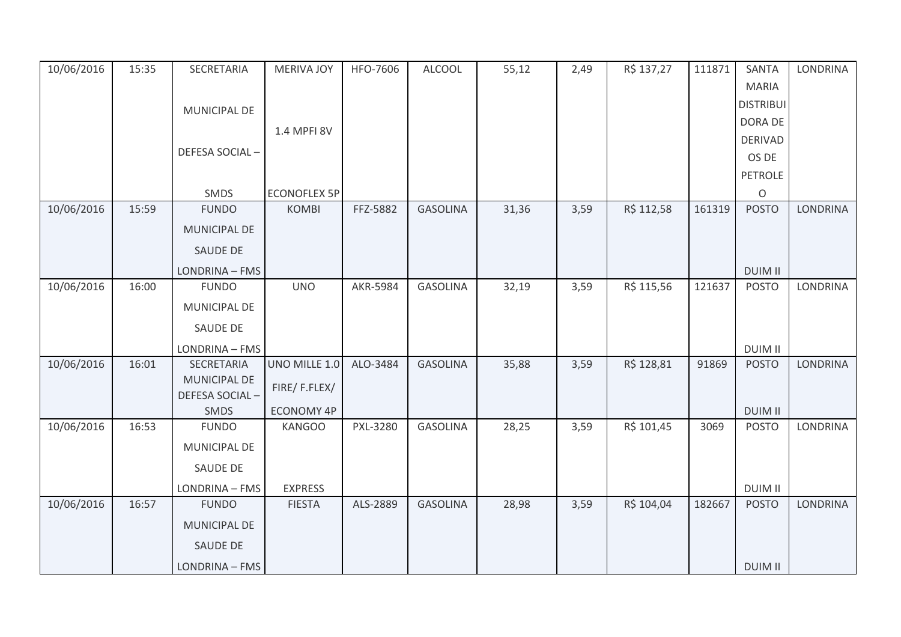| 10/06/2016 | 15:35 | SECRETARIA            | <b>MERIVA JOY</b>   | HFO-7606 | <b>ALCOOL</b>   | 55,12 | 2,49 | R\$ 137,27 | 111871 | SANTA            | <b>LONDRINA</b> |
|------------|-------|-----------------------|---------------------|----------|-----------------|-------|------|------------|--------|------------------|-----------------|
|            |       |                       |                     |          |                 |       |      |            |        | <b>MARIA</b>     |                 |
|            |       | MUNICIPAL DE          |                     |          |                 |       |      |            |        | <b>DISTRIBUI</b> |                 |
|            |       |                       | 1.4 MPFI 8V         |          |                 |       |      |            |        | DORA DE          |                 |
|            |       |                       |                     |          |                 |       |      |            |        | <b>DERIVAD</b>   |                 |
|            |       | DEFESA SOCIAL-        |                     |          |                 |       |      |            |        | OS DE            |                 |
|            |       |                       |                     |          |                 |       |      |            |        | <b>PETROLE</b>   |                 |
|            |       | SMDS                  | <b>ECONOFLEX 5P</b> |          |                 |       |      |            |        | O                |                 |
| 10/06/2016 | 15:59 | <b>FUNDO</b>          | <b>KOMBI</b>        | FFZ-5882 | <b>GASOLINA</b> | 31,36 | 3,59 | R\$ 112,58 | 161319 | <b>POSTO</b>     | <b>LONDRINA</b> |
|            |       | MUNICIPAL DE          |                     |          |                 |       |      |            |        |                  |                 |
|            |       | SAUDE DE              |                     |          |                 |       |      |            |        |                  |                 |
|            |       | LONDRINA - FMS        |                     |          |                 |       |      |            |        | <b>DUIM II</b>   |                 |
| 10/06/2016 | 16:00 | <b>FUNDO</b>          | <b>UNO</b>          | AKR-5984 | <b>GASOLINA</b> | 32,19 | 3,59 | R\$ 115,56 | 121637 | <b>POSTO</b>     | <b>LONDRINA</b> |
|            |       | MUNICIPAL DE          |                     |          |                 |       |      |            |        |                  |                 |
|            |       | SAUDE DE              |                     |          |                 |       |      |            |        |                  |                 |
|            |       | LONDRINA - FMS        |                     |          |                 |       |      |            |        | <b>DUIM II</b>   |                 |
| 10/06/2016 | 16:01 | SECRETARIA            | UNO MILLE 1.0       | ALO-3484 | <b>GASOLINA</b> | 35,88 | 3,59 | R\$ 128,81 | 91869  | <b>POSTO</b>     | <b>LONDRINA</b> |
|            |       | MUNICIPAL DE          | FIRE/F.FLEX/        |          |                 |       |      |            |        |                  |                 |
|            |       | <b>DEFESA SOCIAL-</b> |                     |          |                 |       |      |            |        |                  |                 |
|            |       | SMDS                  | <b>ECONOMY 4P</b>   |          |                 |       |      |            |        | <b>DUIM II</b>   |                 |
| 10/06/2016 | 16:53 | <b>FUNDO</b>          | <b>KANGOO</b>       | PXL-3280 | <b>GASOLINA</b> | 28,25 | 3,59 | R\$ 101,45 | 3069   | <b>POSTO</b>     | <b>LONDRINA</b> |
|            |       | <b>MUNICIPAL DE</b>   |                     |          |                 |       |      |            |        |                  |                 |
|            |       | SAUDE DE              |                     |          |                 |       |      |            |        |                  |                 |
|            |       | LONDRINA - FMS        | <b>EXPRESS</b>      |          |                 |       |      |            |        | <b>DUIM II</b>   |                 |
| 10/06/2016 | 16:57 | <b>FUNDO</b>          | <b>FIESTA</b>       | ALS-2889 | <b>GASOLINA</b> | 28,98 | 3,59 | R\$ 104,04 | 182667 | <b>POSTO</b>     | <b>LONDRINA</b> |
|            |       | MUNICIPAL DE          |                     |          |                 |       |      |            |        |                  |                 |
|            |       | SAUDE DE              |                     |          |                 |       |      |            |        |                  |                 |
|            |       | LONDRINA - FMS        |                     |          |                 |       |      |            |        | <b>DUIM II</b>   |                 |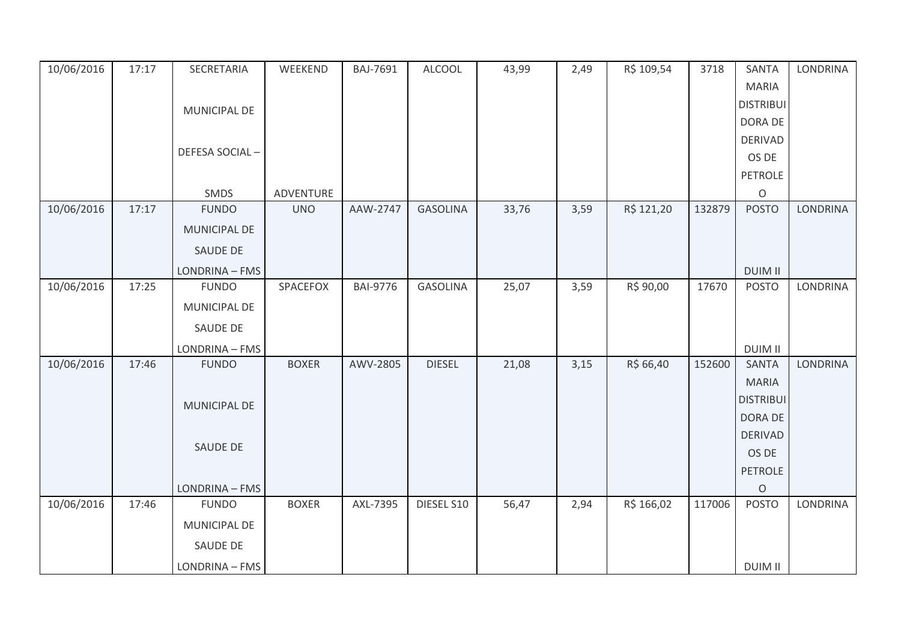| 10/06/2016 | 17:17 | SECRETARIA     | WEEKEND      | BAJ-7691        | <b>ALCOOL</b>   | 43,99 | 2,49 | R\$ 109,54 | 3718   | SANTA            | <b>LONDRINA</b> |
|------------|-------|----------------|--------------|-----------------|-----------------|-------|------|------------|--------|------------------|-----------------|
|            |       |                |              |                 |                 |       |      |            |        | <b>MARIA</b>     |                 |
|            |       | MUNICIPAL DE   |              |                 |                 |       |      |            |        | <b>DISTRIBUI</b> |                 |
|            |       |                |              |                 |                 |       |      |            |        | DORA DE          |                 |
|            |       |                |              |                 |                 |       |      |            |        | <b>DERIVAD</b>   |                 |
|            |       | DEFESA SOCIAL- |              |                 |                 |       |      |            |        | OS DE            |                 |
|            |       |                |              |                 |                 |       |      |            |        | <b>PETROLE</b>   |                 |
|            |       | SMDS           | ADVENTURE    |                 |                 |       |      |            |        | $\circ$          |                 |
| 10/06/2016 | 17:17 | <b>FUNDO</b>   | <b>UNO</b>   | AAW-2747        | <b>GASOLINA</b> | 33,76 | 3,59 | R\$ 121,20 | 132879 | <b>POSTO</b>     | <b>LONDRINA</b> |
|            |       | MUNICIPAL DE   |              |                 |                 |       |      |            |        |                  |                 |
|            |       | SAUDE DE       |              |                 |                 |       |      |            |        |                  |                 |
|            |       | LONDRINA - FMS |              |                 |                 |       |      |            |        | <b>DUIM II</b>   |                 |
| 10/06/2016 | 17:25 | <b>FUNDO</b>   | SPACEFOX     | <b>BAI-9776</b> | <b>GASOLINA</b> | 25,07 | 3,59 | R\$ 90,00  | 17670  | <b>POSTO</b>     | <b>LONDRINA</b> |
|            |       | MUNICIPAL DE   |              |                 |                 |       |      |            |        |                  |                 |
|            |       | SAUDE DE       |              |                 |                 |       |      |            |        |                  |                 |
|            |       | LONDRINA - FMS |              |                 |                 |       |      |            |        | <b>DUIM II</b>   |                 |
| 10/06/2016 | 17:46 | <b>FUNDO</b>   | <b>BOXER</b> | AWV-2805        | <b>DIESEL</b>   | 21,08 | 3,15 | R\$ 66,40  | 152600 | <b>SANTA</b>     | <b>LONDRINA</b> |
|            |       |                |              |                 |                 |       |      |            |        | <b>MARIA</b>     |                 |
|            |       | MUNICIPAL DE   |              |                 |                 |       |      |            |        | <b>DISTRIBUI</b> |                 |
|            |       |                |              |                 |                 |       |      |            |        | DORA DE          |                 |
|            |       |                |              |                 |                 |       |      |            |        | <b>DERIVAD</b>   |                 |
|            |       | SAUDE DE       |              |                 |                 |       |      |            |        | OS DE            |                 |
|            |       |                |              |                 |                 |       |      |            |        | PETROLE          |                 |
|            |       | LONDRINA - FMS |              |                 |                 |       |      |            |        | $\circ$          |                 |
| 10/06/2016 | 17:46 | <b>FUNDO</b>   | <b>BOXER</b> | AXL-7395        | DIESEL S10      | 56,47 | 2,94 | R\$ 166,02 | 117006 | <b>POSTO</b>     | LONDRINA        |
|            |       | MUNICIPAL DE   |              |                 |                 |       |      |            |        |                  |                 |
|            |       | SAUDE DE       |              |                 |                 |       |      |            |        |                  |                 |
|            |       | LONDRINA - FMS |              |                 |                 |       |      |            |        | <b>DUIM II</b>   |                 |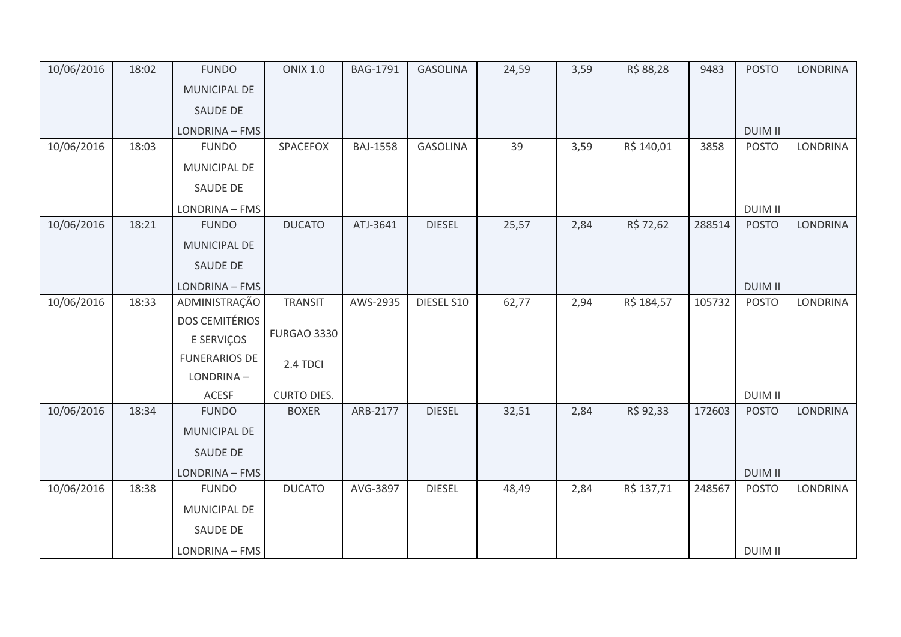| 10/06/2016 | 18:02 | <b>FUNDO</b>          | <b>ONIX 1.0</b>    | BAG-1791        | <b>GASOLINA</b> | 24,59 | 3,59 | R\$ 88,28  | 9483   | <b>POSTO</b>   | <b>LONDRINA</b> |
|------------|-------|-----------------------|--------------------|-----------------|-----------------|-------|------|------------|--------|----------------|-----------------|
|            |       | MUNICIPAL DE          |                    |                 |                 |       |      |            |        |                |                 |
|            |       | SAUDE DE              |                    |                 |                 |       |      |            |        |                |                 |
|            |       | LONDRINA - FMS        |                    |                 |                 |       |      |            |        | <b>DUIM II</b> |                 |
| 10/06/2016 | 18:03 | <b>FUNDO</b>          | SPACEFOX           | <b>BAJ-1558</b> | <b>GASOLINA</b> | 39    | 3,59 | R\$ 140,01 | 3858   | <b>POSTO</b>   | LONDRINA        |
|            |       | MUNICIPAL DE          |                    |                 |                 |       |      |            |        |                |                 |
|            |       | SAUDE DE              |                    |                 |                 |       |      |            |        |                |                 |
|            |       | LONDRINA - FMS        |                    |                 |                 |       |      |            |        | <b>DUIM II</b> |                 |
| 10/06/2016 | 18:21 | <b>FUNDO</b>          | <b>DUCATO</b>      | ATJ-3641        | <b>DIESEL</b>   | 25,57 | 2,84 | R\$ 72,62  | 288514 | <b>POSTO</b>   | <b>LONDRINA</b> |
|            |       | MUNICIPAL DE          |                    |                 |                 |       |      |            |        |                |                 |
|            |       | SAUDE DE              |                    |                 |                 |       |      |            |        |                |                 |
|            |       | LONDRINA - FMS        |                    |                 |                 |       |      |            |        | <b>DUIM II</b> |                 |
| 10/06/2016 | 18:33 | ADMINISTRAÇÃO         | <b>TRANSIT</b>     | AWS-2935        | DIESEL S10      | 62,77 | 2,94 | R\$ 184,57 | 105732 | <b>POSTO</b>   | LONDRINA        |
|            |       | <b>DOS CEMITÉRIOS</b> |                    |                 |                 |       |      |            |        |                |                 |
|            |       | E SERVIÇOS            | <b>FURGAO 3330</b> |                 |                 |       |      |            |        |                |                 |
|            |       | <b>FUNERARIOS DE</b>  | 2.4 TDCI           |                 |                 |       |      |            |        |                |                 |
|            |       | LONDRINA-             |                    |                 |                 |       |      |            |        |                |                 |
|            |       | <b>ACESF</b>          | <b>CURTO DIES.</b> |                 |                 |       |      |            |        | <b>DUIM II</b> |                 |
| 10/06/2016 | 18:34 | <b>FUNDO</b>          | <b>BOXER</b>       | ARB-2177        | <b>DIESEL</b>   | 32,51 | 2,84 | R\$ 92,33  | 172603 | <b>POSTO</b>   | <b>LONDRINA</b> |
|            |       | MUNICIPAL DE          |                    |                 |                 |       |      |            |        |                |                 |
|            |       | SAUDE DE              |                    |                 |                 |       |      |            |        |                |                 |
|            |       | LONDRINA - FMS        |                    |                 |                 |       |      |            |        | <b>DUIM II</b> |                 |
| 10/06/2016 | 18:38 | <b>FUNDO</b>          | <b>DUCATO</b>      | AVG-3897        | <b>DIESEL</b>   | 48,49 | 2,84 | R\$ 137,71 | 248567 | <b>POSTO</b>   | <b>LONDRINA</b> |
|            |       | MUNICIPAL DE          |                    |                 |                 |       |      |            |        |                |                 |
|            |       | SAUDE DE              |                    |                 |                 |       |      |            |        |                |                 |
|            |       | LONDRINA - FMS        |                    |                 |                 |       |      |            |        | <b>DUIM II</b> |                 |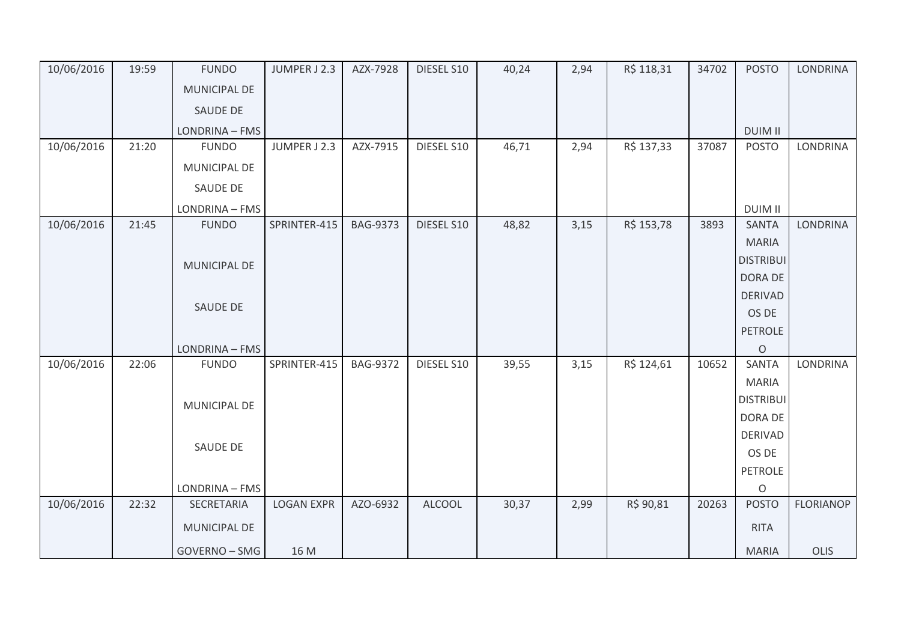| 10/06/2016 | 19:59 | <b>FUNDO</b>    | JUMPER J 2.3      | AZX-7928        | DIESEL S10    | 40,24 | 2,94 | R\$ 118,31 | 34702 | <b>POSTO</b>     | <b>LONDRINA</b>  |
|------------|-------|-----------------|-------------------|-----------------|---------------|-------|------|------------|-------|------------------|------------------|
|            |       | MUNICIPAL DE    |                   |                 |               |       |      |            |       |                  |                  |
|            |       | <b>SAUDE DE</b> |                   |                 |               |       |      |            |       |                  |                  |
|            |       | LONDRINA - FMS  |                   |                 |               |       |      |            |       | <b>DUIM II</b>   |                  |
| 10/06/2016 | 21:20 | <b>FUNDO</b>    | JUMPER J 2.3      | AZX-7915        | DIESEL S10    | 46,71 | 2,94 | R\$ 137,33 | 37087 | <b>POSTO</b>     | <b>LONDRINA</b>  |
|            |       | MUNICIPAL DE    |                   |                 |               |       |      |            |       |                  |                  |
|            |       | SAUDE DE        |                   |                 |               |       |      |            |       |                  |                  |
|            |       | LONDRINA - FMS  |                   |                 |               |       |      |            |       | <b>DUIM II</b>   |                  |
| 10/06/2016 | 21:45 | <b>FUNDO</b>    | SPRINTER-415      | <b>BAG-9373</b> | DIESEL S10    | 48,82 | 3,15 | R\$ 153,78 | 3893  | <b>SANTA</b>     | <b>LONDRINA</b>  |
|            |       |                 |                   |                 |               |       |      |            |       | <b>MARIA</b>     |                  |
|            |       | MUNICIPAL DE    |                   |                 |               |       |      |            |       | <b>DISTRIBUI</b> |                  |
|            |       |                 |                   |                 |               |       |      |            |       | DORA DE          |                  |
|            |       |                 |                   |                 |               |       |      |            |       | <b>DERIVAD</b>   |                  |
|            |       | SAUDE DE        |                   |                 |               |       |      |            |       | OS DE            |                  |
|            |       |                 |                   |                 |               |       |      |            |       | <b>PETROLE</b>   |                  |
|            |       | LONDRINA - FMS  |                   |                 |               |       |      |            |       | $\circ$          |                  |
| 10/06/2016 | 22:06 | <b>FUNDO</b>    | SPRINTER-415      | <b>BAG-9372</b> | DIESEL S10    | 39,55 | 3,15 | R\$ 124,61 | 10652 | <b>SANTA</b>     | <b>LONDRINA</b>  |
|            |       |                 |                   |                 |               |       |      |            |       | <b>MARIA</b>     |                  |
|            |       | MUNICIPAL DE    |                   |                 |               |       |      |            |       | <b>DISTRIBUI</b> |                  |
|            |       |                 |                   |                 |               |       |      |            |       | DORA DE          |                  |
|            |       | SAUDE DE        |                   |                 |               |       |      |            |       | <b>DERIVAD</b>   |                  |
|            |       |                 |                   |                 |               |       |      |            |       | OS DE            |                  |
|            |       |                 |                   |                 |               |       |      |            |       | <b>PETROLE</b>   |                  |
|            |       | LONDRINA - FMS  |                   |                 |               |       |      |            |       | $\circ$          |                  |
| 10/06/2016 | 22:32 | SECRETARIA      | <b>LOGAN EXPR</b> | AZO-6932        | <b>ALCOOL</b> | 30,37 | 2,99 | R\$ 90,81  | 20263 | <b>POSTO</b>     | <b>FLORIANOP</b> |
|            |       | MUNICIPAL DE    |                   |                 |               |       |      |            |       | <b>RITA</b>      |                  |
|            |       | GOVERNO - SMG   | 16 M              |                 |               |       |      |            |       | <b>MARIA</b>     | OLIS             |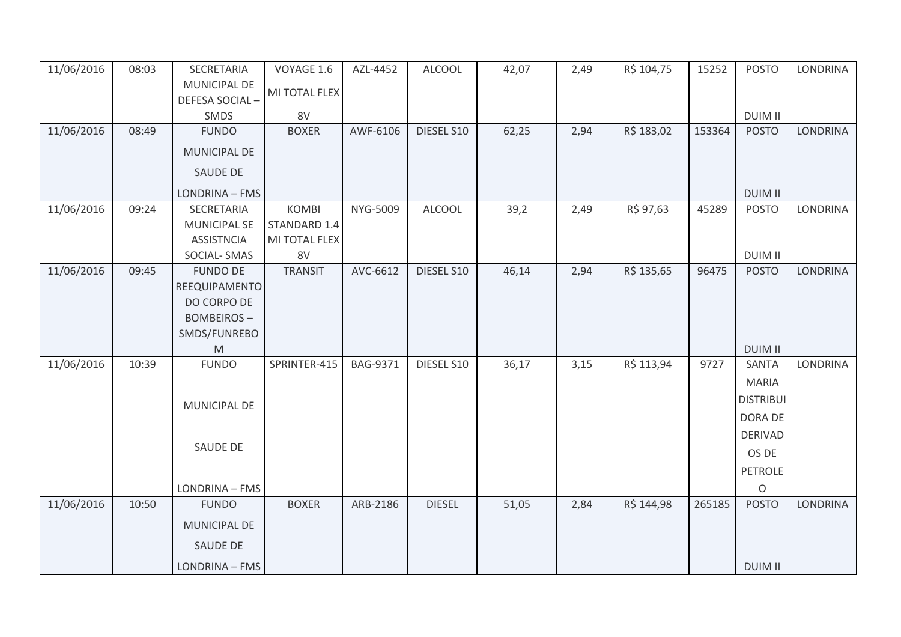| 11/06/2016 | 08:03 | SECRETARIA                                                                                                 | VOYAGE 1.6     | AZL-4452        | <b>ALCOOL</b> | 42,07 | 2,49 | R\$ 104,75 | 15252  | <b>POSTO</b>     | <b>LONDRINA</b> |
|------------|-------|------------------------------------------------------------------------------------------------------------|----------------|-----------------|---------------|-------|------|------------|--------|------------------|-----------------|
|            |       | MUNICIPAL DE                                                                                               | MI TOTAL FLEX  |                 |               |       |      |            |        |                  |                 |
|            |       | DEFESA SOCIAL-                                                                                             |                |                 |               |       |      |            |        |                  |                 |
|            |       | SMDS                                                                                                       | 8V             |                 |               |       |      |            |        | <b>DUIM II</b>   |                 |
| 11/06/2016 | 08:49 | <b>FUNDO</b>                                                                                               | <b>BOXER</b>   | AWF-6106        | DIESEL S10    | 62,25 | 2,94 | R\$ 183,02 | 153364 | <b>POSTO</b>     | <b>LONDRINA</b> |
|            |       | MUNICIPAL DE                                                                                               |                |                 |               |       |      |            |        |                  |                 |
|            |       | <b>SAUDE DE</b>                                                                                            |                |                 |               |       |      |            |        |                  |                 |
|            |       | LONDRINA - FMS                                                                                             |                |                 |               |       |      |            |        | <b>DUIM II</b>   |                 |
| 11/06/2016 | 09:24 | SECRETARIA                                                                                                 | <b>KOMBI</b>   | NYG-5009        | <b>ALCOOL</b> | 39,2  | 2,49 | R\$ 97,63  | 45289  | <b>POSTO</b>     | <b>LONDRINA</b> |
|            |       | <b>MUNICIPAL SE</b>                                                                                        | STANDARD 1.4   |                 |               |       |      |            |        |                  |                 |
|            |       | <b>ASSISTNCIA</b>                                                                                          | MI TOTAL FLEX  |                 |               |       |      |            |        |                  |                 |
|            |       | SOCIAL-SMAS                                                                                                | 8V             |                 |               |       |      |            |        | <b>DUIM II</b>   |                 |
| 11/06/2016 | 09:45 | <b>FUNDO DE</b>                                                                                            | <b>TRANSIT</b> | AVC-6612        | DIESEL S10    | 46,14 | 2,94 | R\$ 135,65 | 96475  | <b>POSTO</b>     | <b>LONDRINA</b> |
|            |       | REEQUIPAMENTO                                                                                              |                |                 |               |       |      |            |        |                  |                 |
|            |       | DO CORPO DE                                                                                                |                |                 |               |       |      |            |        |                  |                 |
|            |       | <b>BOMBEIROS-</b>                                                                                          |                |                 |               |       |      |            |        |                  |                 |
|            |       | SMDS/FUNREBO                                                                                               |                |                 |               |       |      |            |        |                  |                 |
|            |       | $\mathsf{M}% _{T}=\mathsf{M}_{T}\!\left( a,b\right) ,\ \mathsf{M}_{T}=\mathsf{M}_{T}\!\left( a,b\right) ,$ |                |                 |               |       |      |            |        | <b>DUIM II</b>   |                 |
| 11/06/2016 | 10:39 | <b>FUNDO</b>                                                                                               | SPRINTER-415   | <b>BAG-9371</b> | DIESEL S10    | 36,17 | 3,15 | R\$ 113,94 | 9727   | SANTA            | <b>LONDRINA</b> |
|            |       |                                                                                                            |                |                 |               |       |      |            |        | <b>MARIA</b>     |                 |
|            |       |                                                                                                            |                |                 |               |       |      |            |        | <b>DISTRIBUI</b> |                 |
|            |       | <b>MUNICIPAL DE</b>                                                                                        |                |                 |               |       |      |            |        |                  |                 |
|            |       |                                                                                                            |                |                 |               |       |      |            |        | DORA DE          |                 |
|            |       | <b>SAUDE DE</b>                                                                                            |                |                 |               |       |      |            |        | <b>DERIVAD</b>   |                 |
|            |       |                                                                                                            |                |                 |               |       |      |            |        | OS DE            |                 |
|            |       |                                                                                                            |                |                 |               |       |      |            |        | <b>PETROLE</b>   |                 |
|            |       | LONDRINA - FMS                                                                                             |                |                 |               |       |      |            |        | O                |                 |
| 11/06/2016 | 10:50 | <b>FUNDO</b>                                                                                               | <b>BOXER</b>   | ARB-2186        | <b>DIESEL</b> | 51,05 | 2,84 | R\$ 144,98 | 265185 | <b>POSTO</b>     | <b>LONDRINA</b> |
|            |       | <b>MUNICIPAL DE</b>                                                                                        |                |                 |               |       |      |            |        |                  |                 |
|            |       | <b>SAUDE DE</b>                                                                                            |                |                 |               |       |      |            |        |                  |                 |
|            |       | LONDRINA - FMS                                                                                             |                |                 |               |       |      |            |        | <b>DUIM II</b>   |                 |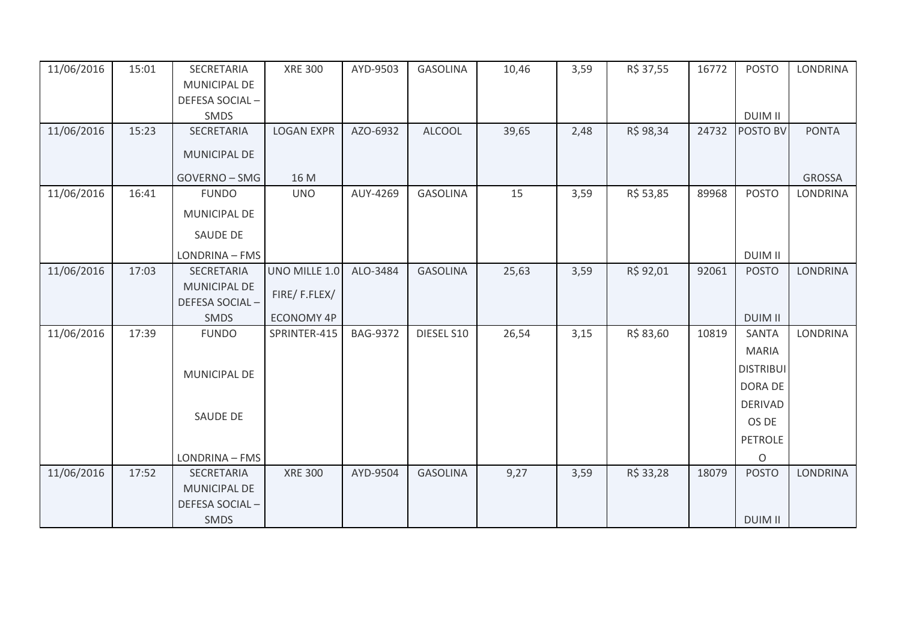| 11/06/2016 | 15:01 | SECRETARIA          | <b>XRE 300</b>    | AYD-9503        | <b>GASOLINA</b> | 10,46 | 3,59 | R\$ 37,55 | 16772 | <b>POSTO</b>     | <b>LONDRINA</b> |
|------------|-------|---------------------|-------------------|-----------------|-----------------|-------|------|-----------|-------|------------------|-----------------|
|            |       | MUNICIPAL DE        |                   |                 |                 |       |      |           |       |                  |                 |
|            |       | DEFESA SOCIAL-      |                   |                 |                 |       |      |           |       |                  |                 |
|            |       | SMDS                |                   |                 |                 |       |      |           |       | <b>DUIM II</b>   |                 |
| 11/06/2016 | 15:23 | SECRETARIA          | <b>LOGAN EXPR</b> | AZO-6932        | <b>ALCOOL</b>   | 39,65 | 2,48 | R\$ 98,34 | 24732 | POSTO BV         | <b>PONTA</b>    |
|            |       | MUNICIPAL DE        |                   |                 |                 |       |      |           |       |                  |                 |
|            |       | GOVERNO - SMG       | 16 M              |                 |                 |       |      |           |       |                  | <b>GROSSA</b>   |
| 11/06/2016 | 16:41 | <b>FUNDO</b>        | <b>UNO</b>        | AUY-4269        | <b>GASOLINA</b> | 15    | 3,59 | R\$ 53,85 | 89968 | <b>POSTO</b>     | <b>LONDRINA</b> |
|            |       | MUNICIPAL DE        |                   |                 |                 |       |      |           |       |                  |                 |
|            |       | <b>SAUDE DE</b>     |                   |                 |                 |       |      |           |       |                  |                 |
|            |       | LONDRINA - FMS      |                   |                 |                 |       |      |           |       | <b>DUIM II</b>   |                 |
| 11/06/2016 | 17:03 | SECRETARIA          | UNO MILLE 1.0     | ALO-3484        | <b>GASOLINA</b> | 25,63 | 3,59 | R\$ 92,01 | 92061 | <b>POSTO</b>     | <b>LONDRINA</b> |
|            |       | <b>MUNICIPAL DE</b> |                   |                 |                 |       |      |           |       |                  |                 |
|            |       | DEFESA SOCIAL-      | FIRE/F.FLEX/      |                 |                 |       |      |           |       |                  |                 |
|            |       | SMDS                | <b>ECONOMY 4P</b> |                 |                 |       |      |           |       | <b>DUIM II</b>   |                 |
| 11/06/2016 | 17:39 | <b>FUNDO</b>        | SPRINTER-415      | <b>BAG-9372</b> | DIESEL S10      | 26,54 | 3,15 | R\$ 83,60 | 10819 | <b>SANTA</b>     | <b>LONDRINA</b> |
|            |       |                     |                   |                 |                 |       |      |           |       | <b>MARIA</b>     |                 |
|            |       | MUNICIPAL DE        |                   |                 |                 |       |      |           |       | <b>DISTRIBUI</b> |                 |
|            |       |                     |                   |                 |                 |       |      |           |       | DORA DE          |                 |
|            |       |                     |                   |                 |                 |       |      |           |       | <b>DERIVAD</b>   |                 |
|            |       | <b>SAUDE DE</b>     |                   |                 |                 |       |      |           |       | OS DE            |                 |
|            |       |                     |                   |                 |                 |       |      |           |       | <b>PETROLE</b>   |                 |
|            |       | LONDRINA - FMS      |                   |                 |                 |       |      |           |       | $\circ$          |                 |
| 11/06/2016 | 17:52 | <b>SECRETARIA</b>   | <b>XRE 300</b>    | AYD-9504        | <b>GASOLINA</b> | 9,27  | 3,59 | R\$ 33,28 | 18079 | <b>POSTO</b>     | <b>LONDRINA</b> |
|            |       | <b>MUNICIPAL DE</b> |                   |                 |                 |       |      |           |       |                  |                 |
|            |       | DEFESA SOCIAL-      |                   |                 |                 |       |      |           |       |                  |                 |
|            |       | <b>SMDS</b>         |                   |                 |                 |       |      |           |       | <b>DUIM II</b>   |                 |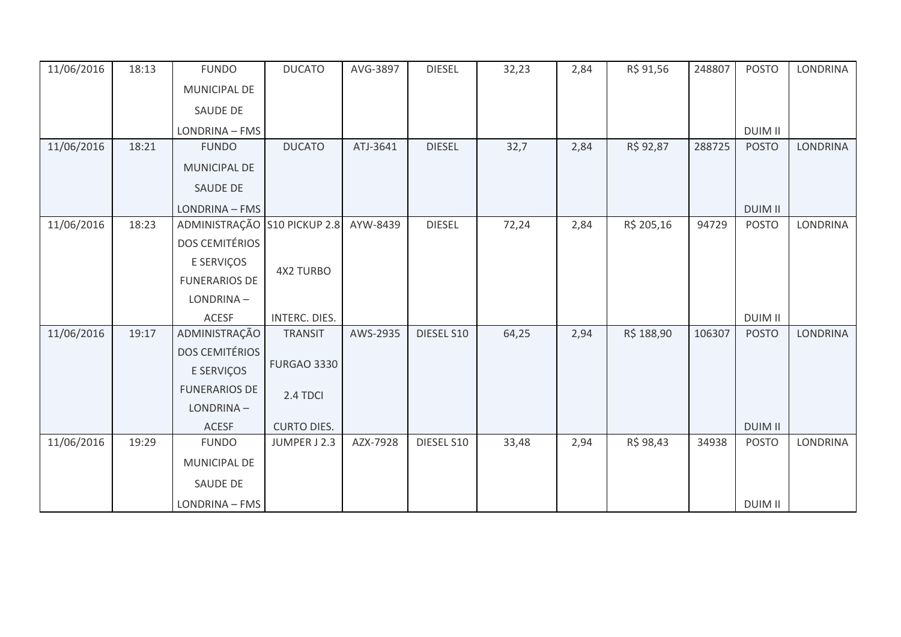| 11/06/2016 | 18:13 | <b>FUNDO</b>                 | <b>DUCATO</b>      | AVG-3897 | <b>DIESEL</b> | 32,23 | 2,84 | R\$ 91,56  | 248807 | <b>POSTO</b>   | <b>LONDRINA</b> |
|------------|-------|------------------------------|--------------------|----------|---------------|-------|------|------------|--------|----------------|-----------------|
|            |       | MUNICIPAL DE                 |                    |          |               |       |      |            |        |                |                 |
|            |       | <b>SAUDE DE</b>              |                    |          |               |       |      |            |        |                |                 |
|            |       | LONDRINA - FMS               |                    |          |               |       |      |            |        | <b>DUIM II</b> |                 |
| 11/06/2016 | 18:21 | <b>FUNDO</b>                 | <b>DUCATO</b>      | ATJ-3641 | <b>DIESEL</b> | 32,7  | 2,84 | R\$ 92,87  | 288725 | <b>POSTO</b>   | <b>LONDRINA</b> |
|            |       | MUNICIPAL DE                 |                    |          |               |       |      |            |        |                |                 |
|            |       | SAUDE DE                     |                    |          |               |       |      |            |        |                |                 |
|            |       | LONDRINA - FMS               |                    |          |               |       |      |            |        | <b>DUIM II</b> |                 |
| 11/06/2016 | 18:23 | ADMINISTRAÇÃO S10 PICKUP 2.8 |                    | AYW-8439 | <b>DIESEL</b> | 72,24 | 2,84 | R\$ 205,16 | 94729  | <b>POSTO</b>   | <b>LONDRINA</b> |
|            |       | <b>DOS CEMITÉRIOS</b>        |                    |          |               |       |      |            |        |                |                 |
|            |       | E SERVIÇOS                   |                    |          |               |       |      |            |        |                |                 |
|            |       | <b>FUNERARIOS DE</b>         | <b>4X2 TURBO</b>   |          |               |       |      |            |        |                |                 |
|            |       | LONDRINA-                    |                    |          |               |       |      |            |        |                |                 |
|            |       | <b>ACESF</b>                 | INTERC. DIES.      |          |               |       |      |            |        | <b>DUIM II</b> |                 |
| 11/06/2016 | 19:17 | ADMINISTRAÇÃO                | <b>TRANSIT</b>     | AWS-2935 | DIESEL S10    | 64,25 | 2,94 | R\$ 188,90 | 106307 | <b>POSTO</b>   | <b>LONDRINA</b> |
|            |       | <b>DOS CEMITÉRIOS</b>        |                    |          |               |       |      |            |        |                |                 |
|            |       | E SERVIÇOS                   | <b>FURGAO 3330</b> |          |               |       |      |            |        |                |                 |
|            |       | <b>FUNERARIOS DE</b>         | 2.4 TDCI           |          |               |       |      |            |        |                |                 |
|            |       | LONDRINA-                    |                    |          |               |       |      |            |        |                |                 |
|            |       | <b>ACESF</b>                 | <b>CURTO DIES.</b> |          |               |       |      |            |        | <b>DUIM II</b> |                 |
| 11/06/2016 | 19:29 | <b>FUNDO</b>                 | JUMPER J 2.3       | AZX-7928 | DIESEL S10    | 33,48 | 2,94 | R\$ 98,43  | 34938  | <b>POSTO</b>   | <b>LONDRINA</b> |
|            |       | MUNICIPAL DE                 |                    |          |               |       |      |            |        |                |                 |
|            |       | SAUDE DE                     |                    |          |               |       |      |            |        |                |                 |
|            |       | LONDRINA - FMS               |                    |          |               |       |      |            |        | <b>DUIM II</b> |                 |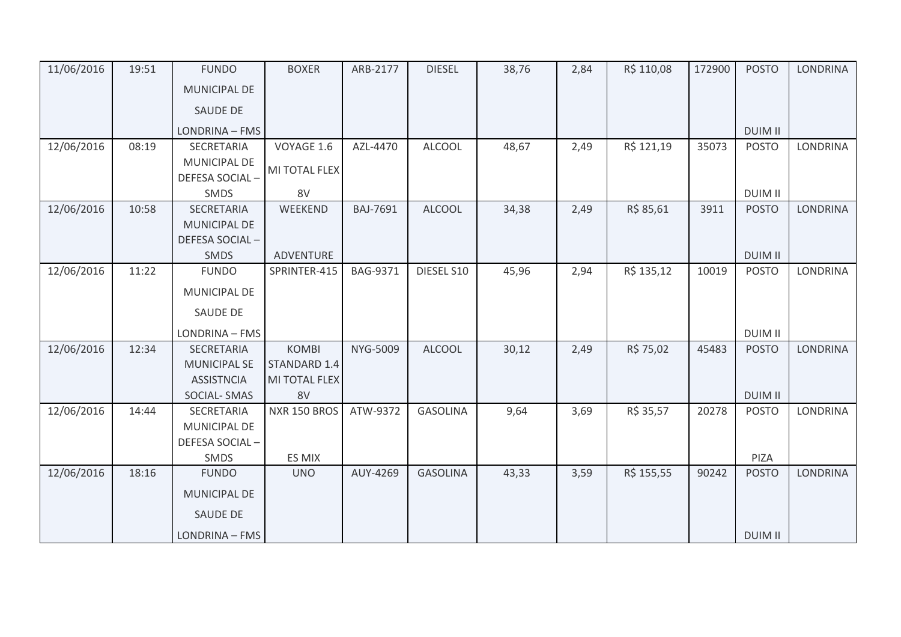| 11/06/2016 | 19:51 | <b>FUNDO</b>        | <b>BOXER</b>        | ARB-2177        | <b>DIESEL</b>   | 38,76 | 2,84 | R\$ 110,08 | 172900 | <b>POSTO</b>   | <b>LONDRINA</b> |
|------------|-------|---------------------|---------------------|-----------------|-----------------|-------|------|------------|--------|----------------|-----------------|
|            |       | <b>MUNICIPAL DE</b> |                     |                 |                 |       |      |            |        |                |                 |
|            |       | <b>SAUDE DE</b>     |                     |                 |                 |       |      |            |        |                |                 |
|            |       | LONDRINA - FMS      |                     |                 |                 |       |      |            |        | <b>DUIM II</b> |                 |
| 12/06/2016 | 08:19 | SECRETARIA          | VOYAGE 1.6          | AZL-4470        | <b>ALCOOL</b>   | 48,67 | 2,49 | R\$ 121,19 | 35073  | <b>POSTO</b>   | <b>LONDRINA</b> |
|            |       | <b>MUNICIPAL DE</b> | MI TOTAL FLEX       |                 |                 |       |      |            |        |                |                 |
|            |       | DEFESA SOCIAL-      |                     |                 |                 |       |      |            |        |                |                 |
|            |       | SMDS                | 8V                  |                 |                 |       |      |            |        | <b>DUIM II</b> |                 |
| 12/06/2016 | 10:58 | SECRETARIA          | WEEKEND             | <b>BAJ-7691</b> | <b>ALCOOL</b>   | 34,38 | 2,49 | R\$ 85,61  | 3911   | <b>POSTO</b>   | <b>LONDRINA</b> |
|            |       | MUNICIPAL DE        |                     |                 |                 |       |      |            |        |                |                 |
|            |       | DEFESA SOCIAL-      |                     |                 |                 |       |      |            |        |                |                 |
|            |       | SMDS                | ADVENTURE           |                 |                 |       |      |            |        | <b>DUIM II</b> |                 |
| 12/06/2016 | 11:22 | <b>FUNDO</b>        | SPRINTER-415        | <b>BAG-9371</b> | DIESEL S10      | 45,96 | 2,94 | R\$ 135,12 | 10019  | <b>POSTO</b>   | LONDRINA        |
|            |       | MUNICIPAL DE        |                     |                 |                 |       |      |            |        |                |                 |
|            |       | <b>SAUDE DE</b>     |                     |                 |                 |       |      |            |        |                |                 |
|            |       |                     |                     |                 |                 |       |      |            |        |                |                 |
|            |       | LONDRINA - FMS      |                     |                 |                 |       |      |            |        | <b>DUIM II</b> |                 |
| 12/06/2016 | 12:34 | SECRETARIA          | <b>KOMBI</b>        | NYG-5009        | <b>ALCOOL</b>   | 30,12 | 2,49 | R\$ 75,02  | 45483  | <b>POSTO</b>   | LONDRINA        |
|            |       | <b>MUNICIPAL SE</b> | STANDARD 1.4        |                 |                 |       |      |            |        |                |                 |
|            |       | <b>ASSISTNCIA</b>   | MI TOTAL FLEX       |                 |                 |       |      |            |        |                |                 |
|            |       | SOCIAL-SMAS         | 8V                  |                 |                 |       |      |            |        | <b>DUIM II</b> |                 |
| 12/06/2016 | 14:44 | SECRETARIA          | <b>NXR 150 BROS</b> | ATW-9372        | <b>GASOLINA</b> | 9,64  | 3,69 | R\$ 35,57  | 20278  | <b>POSTO</b>   | <b>LONDRINA</b> |
|            |       | MUNICIPAL DE        |                     |                 |                 |       |      |            |        |                |                 |
|            |       | DEFESA SOCIAL-      |                     |                 |                 |       |      |            |        |                |                 |
|            |       | SMDS                | ES MIX              |                 |                 |       |      |            |        | PIZA           |                 |
| 12/06/2016 | 18:16 | <b>FUNDO</b>        | <b>UNO</b>          | AUY-4269        | <b>GASOLINA</b> | 43,33 | 3,59 | R\$ 155,55 | 90242  | <b>POSTO</b>   | <b>LONDRINA</b> |
|            |       | <b>MUNICIPAL DE</b> |                     |                 |                 |       |      |            |        |                |                 |
|            |       | SAUDE DE            |                     |                 |                 |       |      |            |        |                |                 |
|            |       | LONDRINA - FMS      |                     |                 |                 |       |      |            |        | <b>DUIM II</b> |                 |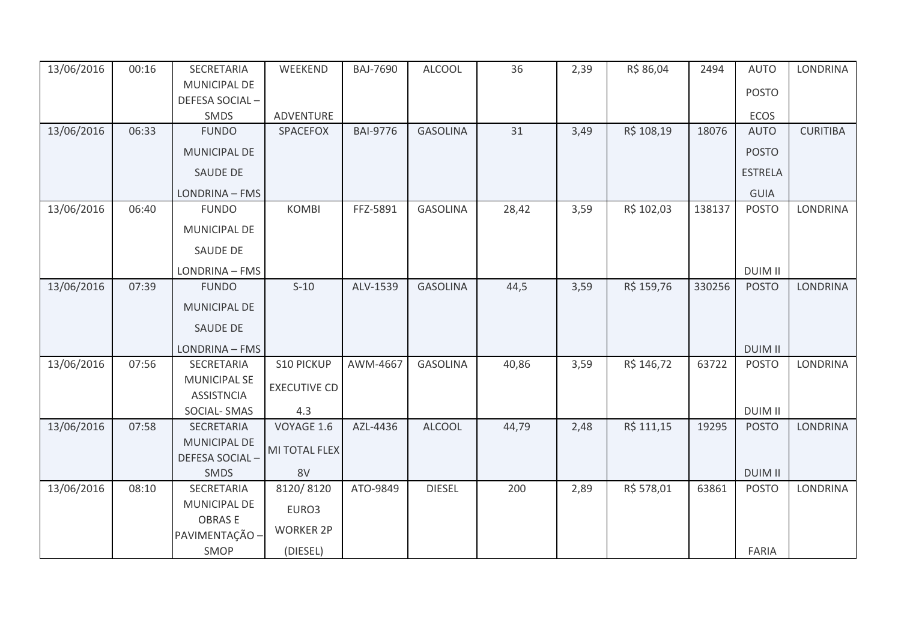| 13/06/2016 | 00:16 | SECRETARIA                               | WEEKEND             | <b>BAJ-7690</b> | <b>ALCOOL</b>   | 36    | 2,39 | R\$ 86,04  | 2494   | <b>AUTO</b>    | LONDRINA        |
|------------|-------|------------------------------------------|---------------------|-----------------|-----------------|-------|------|------------|--------|----------------|-----------------|
|            |       | MUNICIPAL DE                             |                     |                 |                 |       |      |            |        | <b>POSTO</b>   |                 |
|            |       | DEFESA SOCIAL-                           |                     |                 |                 |       |      |            |        |                |                 |
|            |       | SMDS                                     | ADVENTURE           |                 |                 |       |      |            |        | <b>ECOS</b>    |                 |
| 13/06/2016 | 06:33 | <b>FUNDO</b>                             | SPACEFOX            | <b>BAI-9776</b> | <b>GASOLINA</b> | 31    | 3,49 | R\$ 108,19 | 18076  | <b>AUTO</b>    | <b>CURITIBA</b> |
|            |       | MUNICIPAL DE                             |                     |                 |                 |       |      |            |        | <b>POSTO</b>   |                 |
|            |       | <b>SAUDE DE</b>                          |                     |                 |                 |       |      |            |        | <b>ESTRELA</b> |                 |
|            |       | LONDRINA - FMS                           |                     |                 |                 |       |      |            |        | <b>GUIA</b>    |                 |
| 13/06/2016 | 06:40 | <b>FUNDO</b>                             | <b>KOMBI</b>        | FFZ-5891        | <b>GASOLINA</b> | 28,42 | 3,59 | R\$ 102,03 | 138137 | <b>POSTO</b>   | <b>LONDRINA</b> |
|            |       | MUNICIPAL DE                             |                     |                 |                 |       |      |            |        |                |                 |
|            |       | <b>SAUDE DE</b>                          |                     |                 |                 |       |      |            |        |                |                 |
|            |       | LONDRINA - FMS                           |                     |                 |                 |       |      |            |        | <b>DUIM II</b> |                 |
| 13/06/2016 | 07:39 | <b>FUNDO</b>                             | $S-10$              | ALV-1539        | <b>GASOLINA</b> | 44,5  | 3,59 | R\$ 159,76 | 330256 | <b>POSTO</b>   | <b>LONDRINA</b> |
|            |       | <b>MUNICIPAL DE</b>                      |                     |                 |                 |       |      |            |        |                |                 |
|            |       | <b>SAUDE DE</b>                          |                     |                 |                 |       |      |            |        |                |                 |
|            |       | LONDRINA - FMS                           |                     |                 |                 |       |      |            |        | <b>DUIM II</b> |                 |
| 13/06/2016 | 07:56 | SECRETARIA                               | S10 PICKUP          | AWM-4667        | <b>GASOLINA</b> | 40,86 | 3,59 | R\$ 146,72 | 63722  | <b>POSTO</b>   | <b>LONDRINA</b> |
|            |       | <b>MUNICIPAL SE</b><br><b>ASSISTNCIA</b> | <b>EXECUTIVE CD</b> |                 |                 |       |      |            |        |                |                 |
|            |       | <b>SOCIAL-SMAS</b>                       | 4.3                 |                 |                 |       |      |            |        | <b>DUIM II</b> |                 |
| 13/06/2016 | 07:58 | SECRETARIA                               | VOYAGE 1.6          | AZL-4436        | <b>ALCOOL</b>   | 44,79 | 2,48 | R\$ 111,15 | 19295  | <b>POSTO</b>   | <b>LONDRINA</b> |
|            |       | <b>MUNICIPAL DE</b>                      | MI TOTAL FLEX       |                 |                 |       |      |            |        |                |                 |
|            |       | DEFESA SOCIAL-                           |                     |                 |                 |       |      |            |        |                |                 |
|            |       | SMDS                                     | 8V                  |                 |                 |       |      |            |        | <b>DUIM II</b> |                 |
| 13/06/2016 | 08:10 | SECRETARIA                               | 8120/8120           | ATO-9849        | <b>DIESEL</b>   | 200   | 2,89 | R\$ 578,01 | 63861  | <b>POSTO</b>   | <b>LONDRINA</b> |
|            |       | MUNICIPAL DE                             | EURO3               |                 |                 |       |      |            |        |                |                 |
|            |       | <b>OBRASE</b><br>PAVIMENTAÇÃO -          | <b>WORKER 2P</b>    |                 |                 |       |      |            |        |                |                 |
|            |       | SMOP                                     | (DIESEL)            |                 |                 |       |      |            |        | <b>FARIA</b>   |                 |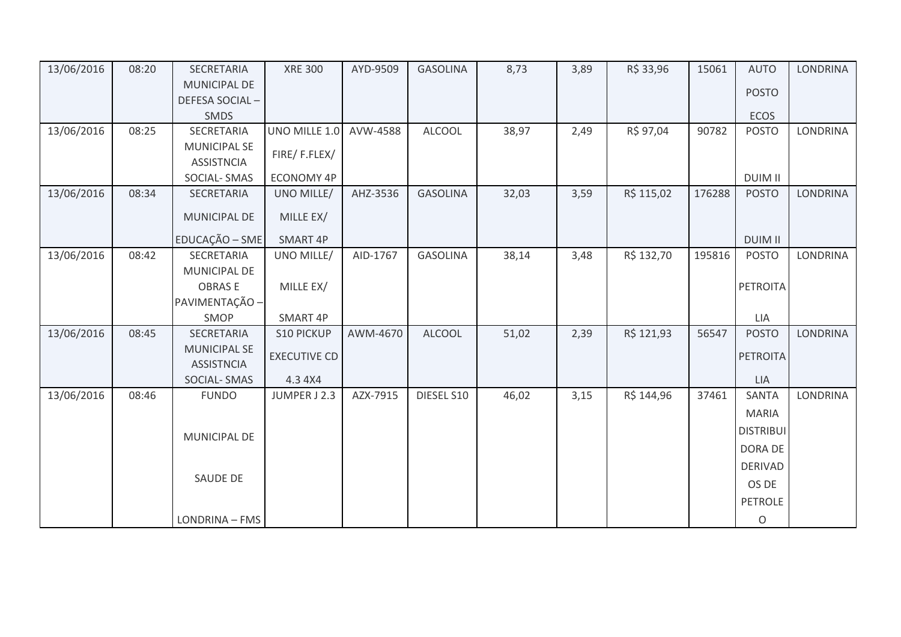| 13/06/2016 | 08:20 | SECRETARIA                               | <b>XRE 300</b>      | AYD-9509 | <b>GASOLINA</b> | 8,73  | 3,89 | R\$ 33,96  | 15061  | <b>AUTO</b>      | <b>LONDRINA</b> |
|------------|-------|------------------------------------------|---------------------|----------|-----------------|-------|------|------------|--------|------------------|-----------------|
|            |       | MUNICIPAL DE                             |                     |          |                 |       |      |            |        | <b>POSTO</b>     |                 |
|            |       | DEFESA SOCIAL-                           |                     |          |                 |       |      |            |        |                  |                 |
|            |       | SMDS                                     |                     |          |                 |       |      |            |        | ECOS             |                 |
| 13/06/2016 | 08:25 | SECRETARIA                               | UNO MILLE 1.0       | AVW-4588 | <b>ALCOOL</b>   | 38,97 | 2,49 | R\$ 97,04  | 90782  | <b>POSTO</b>     | <b>LONDRINA</b> |
|            |       | <b>MUNICIPAL SE</b><br><b>ASSISTNCIA</b> | FIRE/F.FLEX/        |          |                 |       |      |            |        |                  |                 |
|            |       | <b>SOCIAL-SMAS</b>                       | <b>ECONOMY 4P</b>   |          |                 |       |      |            |        | <b>DUIM II</b>   |                 |
| 13/06/2016 | 08:34 | SECRETARIA                               | UNO MILLE/          | AHZ-3536 | <b>GASOLINA</b> | 32,03 | 3,59 | R\$ 115,02 | 176288 | <b>POSTO</b>     | <b>LONDRINA</b> |
|            |       | <b>MUNICIPAL DE</b>                      | MILLE EX/           |          |                 |       |      |            |        |                  |                 |
|            |       | EDUCAÇÃO - SME                           | SMART 4P            |          |                 |       |      |            |        | <b>DUIM II</b>   |                 |
| 13/06/2016 | 08:42 | SECRETARIA                               | UNO MILLE/          | AID-1767 | <b>GASOLINA</b> | 38,14 | 3,48 | R\$ 132,70 | 195816 | <b>POSTO</b>     | <b>LONDRINA</b> |
|            |       | MUNICIPAL DE                             |                     |          |                 |       |      |            |        |                  |                 |
|            |       | <b>OBRASE</b>                            | MILLE EX/           |          |                 |       |      |            |        | PETROITA         |                 |
|            |       | PAVIMENTAÇÃO -                           |                     |          |                 |       |      |            |        |                  |                 |
|            |       | SMOP                                     | SMART 4P            |          |                 |       |      |            |        | LIA              |                 |
| 13/06/2016 | 08:45 | SECRETARIA                               | <b>S10 PICKUP</b>   | AWM-4670 | <b>ALCOOL</b>   | 51,02 | 2,39 | R\$ 121,93 | 56547  | <b>POSTO</b>     | <b>LONDRINA</b> |
|            |       | <b>MUNICIPAL SE</b><br><b>ASSISTNCIA</b> | <b>EXECUTIVE CD</b> |          |                 |       |      |            |        | <b>PETROITA</b>  |                 |
|            |       | <b>SOCIAL-SMAS</b>                       | 4.3 4X4             |          |                 |       |      |            |        | LIA              |                 |
| 13/06/2016 | 08:46 | <b>FUNDO</b>                             | JUMPER J 2.3        | AZX-7915 | DIESEL S10      | 46,02 | 3,15 | R\$ 144,96 | 37461  | <b>SANTA</b>     | <b>LONDRINA</b> |
|            |       |                                          |                     |          |                 |       |      |            |        | <b>MARIA</b>     |                 |
|            |       | MUNICIPAL DE                             |                     |          |                 |       |      |            |        | <b>DISTRIBUI</b> |                 |
|            |       |                                          |                     |          |                 |       |      |            |        | DORA DE          |                 |
|            |       |                                          |                     |          |                 |       |      |            |        | <b>DERIVAD</b>   |                 |
|            |       | <b>SAUDE DE</b>                          |                     |          |                 |       |      |            |        | OS DE            |                 |
|            |       |                                          |                     |          |                 |       |      |            |        | <b>PETROLE</b>   |                 |
|            |       | LONDRINA - FMS                           |                     |          |                 |       |      |            |        | $\mathsf O$      |                 |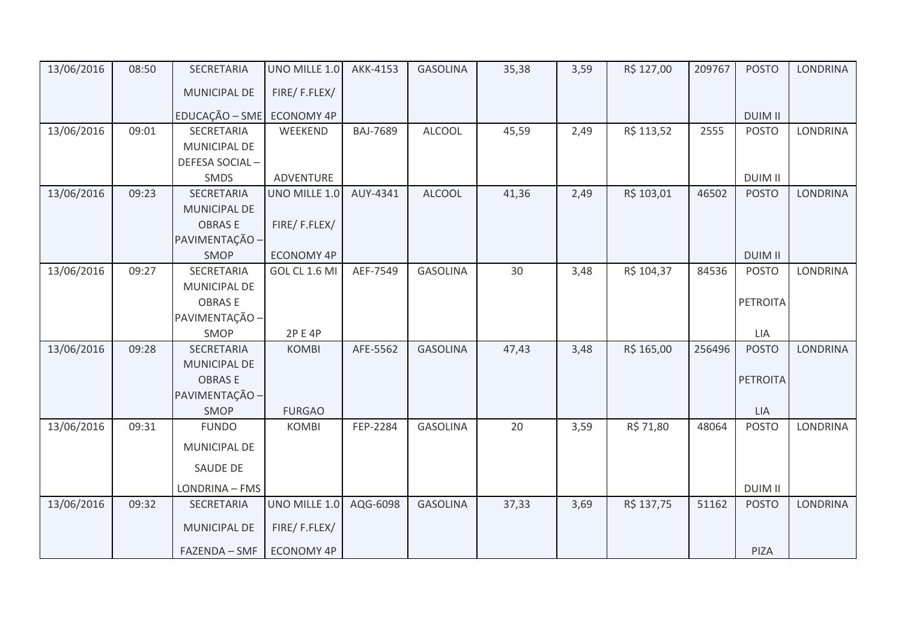| 13/06/2016 | 08:50 | SECRETARIA          | UNO MILLE 1.0     | AKK-4153        | <b>GASOLINA</b> | 35,38 | 3,59 | R\$ 127,00 | 209767 | <b>POSTO</b>    | <b>LONDRINA</b> |
|------------|-------|---------------------|-------------------|-----------------|-----------------|-------|------|------------|--------|-----------------|-----------------|
|            |       | MUNICIPAL DE        | FIRE/F.FLEX/      |                 |                 |       |      |            |        |                 |                 |
|            |       | EDUCAÇÃO - SME      | <b>ECONOMY 4P</b> |                 |                 |       |      |            |        | <b>DUIM II</b>  |                 |
| 13/06/2016 | 09:01 | SECRETARIA          | WEEKEND           | <b>BAJ-7689</b> | <b>ALCOOL</b>   | 45,59 | 2,49 | R\$ 113,52 | 2555   | <b>POSTO</b>    | LONDRINA        |
|            |       | MUNICIPAL DE        |                   |                 |                 |       |      |            |        |                 |                 |
|            |       | DEFESA SOCIAL-      |                   |                 |                 |       |      |            |        |                 |                 |
|            |       | SMDS                | ADVENTURE         |                 |                 |       |      |            |        | <b>DUIM II</b>  |                 |
| 13/06/2016 | 09:23 | SECRETARIA          | UNO MILLE 1.0     | AUY-4341        | <b>ALCOOL</b>   | 41,36 | 2,49 | R\$ 103,01 | 46502  | <b>POSTO</b>    | <b>LONDRINA</b> |
|            |       | <b>MUNICIPAL DE</b> |                   |                 |                 |       |      |            |        |                 |                 |
|            |       | <b>OBRASE</b>       | FIRE/F.FLEX/      |                 |                 |       |      |            |        |                 |                 |
|            |       | PAVIMENTAÇÃO -      |                   |                 |                 |       |      |            |        |                 |                 |
|            |       | SMOP                | <b>ECONOMY 4P</b> |                 |                 |       |      |            |        | <b>DUIM II</b>  |                 |
| 13/06/2016 | 09:27 | SECRETARIA          | GOL CL 1.6 MI     | AEF-7549        | <b>GASOLINA</b> | 30    | 3,48 | R\$ 104,37 | 84536  | <b>POSTO</b>    | <b>LONDRINA</b> |
|            |       | MUNICIPAL DE        |                   |                 |                 |       |      |            |        |                 |                 |
|            |       | <b>OBRASE</b>       |                   |                 |                 |       |      |            |        | PETROITA        |                 |
|            |       | PAVIMENTAÇÃO -      |                   |                 |                 |       |      |            |        |                 |                 |
|            |       | SMOP                | 2P E 4P           |                 |                 |       |      |            |        | LIA             |                 |
| 13/06/2016 | 09:28 | SECRETARIA          | <b>KOMBI</b>      | AFE-5562        | <b>GASOLINA</b> | 47,43 | 3,48 | R\$ 165,00 | 256496 | <b>POSTO</b>    | LONDRINA        |
|            |       | <b>MUNICIPAL DE</b> |                   |                 |                 |       |      |            |        |                 |                 |
|            |       | <b>OBRASE</b>       |                   |                 |                 |       |      |            |        | <b>PETROITA</b> |                 |
|            |       | PAVIMENTAÇÃO -      |                   |                 |                 |       |      |            |        |                 |                 |
|            |       | SMOP                | <b>FURGAO</b>     |                 |                 |       |      |            |        | <b>LIA</b>      |                 |
| 13/06/2016 | 09:31 | <b>FUNDO</b>        | <b>KOMBI</b>      | FEP-2284        | <b>GASOLINA</b> | 20    | 3,59 | R\$ 71,80  | 48064  | <b>POSTO</b>    | <b>LONDRINA</b> |
|            |       | MUNICIPAL DE        |                   |                 |                 |       |      |            |        |                 |                 |
|            |       | SAUDE DE            |                   |                 |                 |       |      |            |        |                 |                 |
|            |       | LONDRINA - FMS      |                   |                 |                 |       |      |            |        | <b>DUIM II</b>  |                 |
| 13/06/2016 | 09:32 | SECRETARIA          | UNO MILLE 1.0     | AQG-6098        | <b>GASOLINA</b> | 37,33 | 3,69 | R\$ 137,75 | 51162  | <b>POSTO</b>    | <b>LONDRINA</b> |
|            |       | MUNICIPAL DE        | FIRE/F.FLEX/      |                 |                 |       |      |            |        |                 |                 |
|            |       | FAZENDA - SMF       | <b>ECONOMY 4P</b> |                 |                 |       |      |            |        | PIZA            |                 |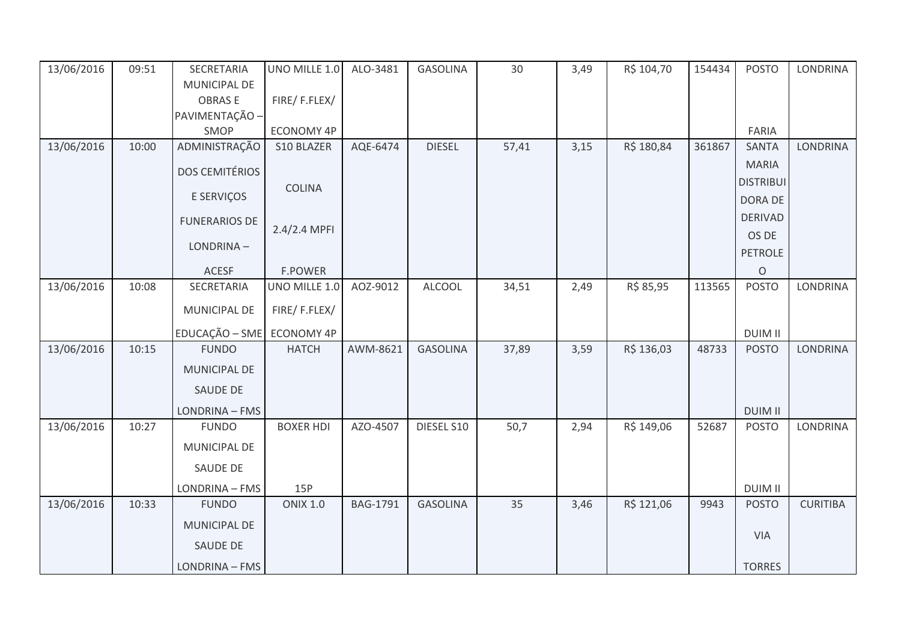| 13/06/2016 | 09:51 | SECRETARIA                | UNO MILLE 1.0    | ALO-3481        | <b>GASOLINA</b> | 30    | 3,49 | R\$ 104,70 | 154434 | <b>POSTO</b>     | <b>LONDRINA</b> |
|------------|-------|---------------------------|------------------|-----------------|-----------------|-------|------|------------|--------|------------------|-----------------|
|            |       | MUNICIPAL DE              |                  |                 |                 |       |      |            |        |                  |                 |
|            |       | <b>OBRASE</b>             | FIRE/F.FLEX/     |                 |                 |       |      |            |        |                  |                 |
|            |       | PAVIMENTAÇÃO -            |                  |                 |                 |       |      |            |        |                  |                 |
|            |       | SMOP                      | ECONOMY 4P       |                 |                 |       |      |            |        | FARIA            |                 |
| 13/06/2016 | 10:00 | ADMINISTRAÇÃO             | S10 BLAZER       | AQE-6474        | <b>DIESEL</b>   | 57,41 | 3,15 | R\$ 180,84 | 361867 | <b>SANTA</b>     | <b>LONDRINA</b> |
|            |       | <b>DOS CEMITÉRIOS</b>     |                  |                 |                 |       |      |            |        | <b>MARIA</b>     |                 |
|            |       |                           | <b>COLINA</b>    |                 |                 |       |      |            |        | <b>DISTRIBUI</b> |                 |
|            |       | E SERVIÇOS                |                  |                 |                 |       |      |            |        | DORA DE          |                 |
|            |       | <b>FUNERARIOS DE</b>      | 2.4/2.4 MPFI     |                 |                 |       |      |            |        | <b>DERIVAD</b>   |                 |
|            |       | LONDRINA-                 |                  |                 |                 |       |      |            |        | OS DE            |                 |
|            |       |                           |                  |                 |                 |       |      |            |        | <b>PETROLE</b>   |                 |
|            |       | <b>ACESF</b>              | <b>F.POWER</b>   |                 |                 |       |      |            |        | $\circ$          |                 |
| 13/06/2016 | 10:08 | SECRETARIA                | UNO MILLE 1.0    | AOZ-9012        | <b>ALCOOL</b>   | 34,51 | 2,49 | R\$ 85,95  | 113565 | <b>POSTO</b>     | <b>LONDRINA</b> |
|            |       | MUNICIPAL DE              | FIRE/F.FLEX/     |                 |                 |       |      |            |        |                  |                 |
|            |       | EDUCAÇÃO - SME ECONOMY 4P |                  |                 |                 |       |      |            |        | <b>DUIM II</b>   |                 |
| 13/06/2016 | 10:15 | <b>FUNDO</b>              | <b>HATCH</b>     | AWM-8621        | <b>GASOLINA</b> | 37,89 | 3,59 | R\$ 136,03 | 48733  | <b>POSTO</b>     | LONDRINA        |
|            |       | <b>MUNICIPAL DE</b>       |                  |                 |                 |       |      |            |        |                  |                 |
|            |       | <b>SAUDE DE</b>           |                  |                 |                 |       |      |            |        |                  |                 |
|            |       | LONDRINA - FMS            |                  |                 |                 |       |      |            |        | <b>DUIM II</b>   |                 |
| 13/06/2016 | 10:27 | <b>FUNDO</b>              | <b>BOXER HDI</b> | AZO-4507        | DIESEL S10      | 50,7  | 2,94 | R\$ 149,06 | 52687  | <b>POSTO</b>     | <b>LONDRINA</b> |
|            |       | MUNICIPAL DE              |                  |                 |                 |       |      |            |        |                  |                 |
|            |       | SAUDE DE                  |                  |                 |                 |       |      |            |        |                  |                 |
|            |       | LONDRINA - FMS            | 15P              |                 |                 |       |      |            |        | <b>DUIM II</b>   |                 |
| 13/06/2016 | 10:33 | <b>FUNDO</b>              | <b>ONIX 1.0</b>  | <b>BAG-1791</b> | <b>GASOLINA</b> | 35    | 3,46 | R\$ 121,06 | 9943   | <b>POSTO</b>     | <b>CURITIBA</b> |
|            |       | MUNICIPAL DE              |                  |                 |                 |       |      |            |        |                  |                 |
|            |       | SAUDE DE                  |                  |                 |                 |       |      |            |        | <b>VIA</b>       |                 |
|            |       | LONDRINA - FMS            |                  |                 |                 |       |      |            |        | <b>TORRES</b>    |                 |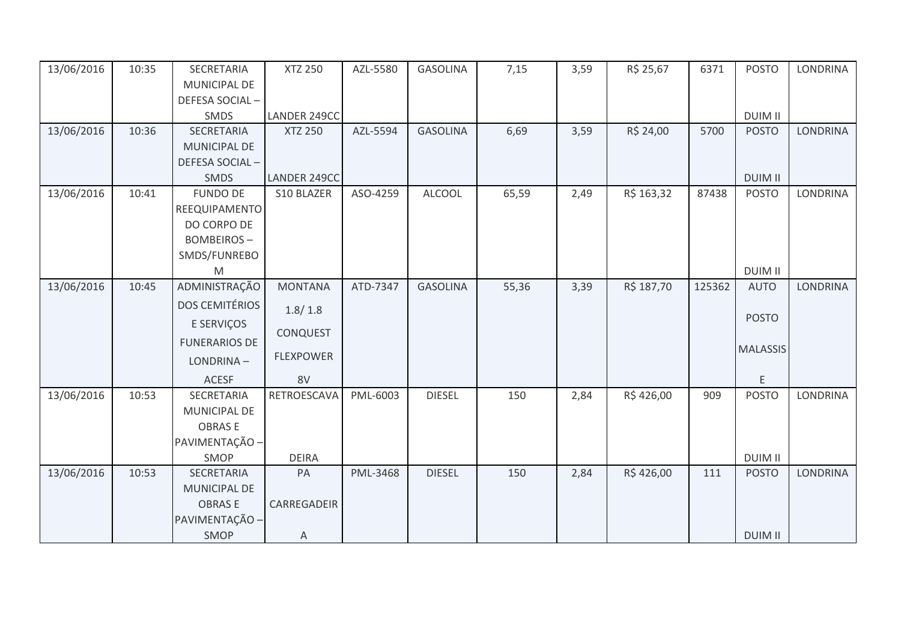| 13/06/2016 | 10:35 | SECRETARIA            | <b>XTZ 250</b>   | AZL-5580 | <b>GASOLINA</b> | 7,15  | 3,59 | R\$ 25,67  | 6371   | <b>POSTO</b>    | <b>LONDRINA</b> |
|------------|-------|-----------------------|------------------|----------|-----------------|-------|------|------------|--------|-----------------|-----------------|
|            |       | MUNICIPAL DE          |                  |          |                 |       |      |            |        |                 |                 |
|            |       | DEFESA SOCIAL-        |                  |          |                 |       |      |            |        |                 |                 |
|            |       | SMDS                  | LANDER 249CC     |          |                 |       |      |            |        | <b>DUIM II</b>  |                 |
| 13/06/2016 | 10:36 | <b>SECRETARIA</b>     | <b>XTZ 250</b>   | AZL-5594 | <b>GASOLINA</b> | 6,69  | 3,59 | R\$ 24,00  | 5700   | <b>POSTO</b>    | <b>LONDRINA</b> |
|            |       | <b>MUNICIPAL DE</b>   |                  |          |                 |       |      |            |        |                 |                 |
|            |       | DEFESA SOCIAL-        |                  |          |                 |       |      |            |        |                 |                 |
|            |       | <b>SMDS</b>           | LANDER 249CC     |          |                 |       |      |            |        | <b>DUIM II</b>  |                 |
| 13/06/2016 | 10:41 | <b>FUNDO DE</b>       | S10 BLAZER       | ASO-4259 | <b>ALCOOL</b>   | 65,59 | 2,49 | R\$ 163,32 | 87438  | <b>POSTO</b>    | <b>LONDRINA</b> |
|            |       | REEQUIPAMENTO         |                  |          |                 |       |      |            |        |                 |                 |
|            |       | DO CORPO DE           |                  |          |                 |       |      |            |        |                 |                 |
|            |       | <b>BOMBEIROS-</b>     |                  |          |                 |       |      |            |        |                 |                 |
|            |       | SMDS/FUNREBO          |                  |          |                 |       |      |            |        |                 |                 |
|            |       | M                     |                  |          |                 |       |      |            |        | <b>DUIM II</b>  |                 |
| 13/06/2016 | 10:45 | ADMINISTRAÇÃO         | <b>MONTANA</b>   | ATD-7347 | <b>GASOLINA</b> | 55,36 | 3,39 | R\$ 187,70 | 125362 | <b>AUTO</b>     | <b>LONDRINA</b> |
|            |       | <b>DOS CEMITÉRIOS</b> | 1.8/1.8          |          |                 |       |      |            |        |                 |                 |
|            |       | E SERVIÇOS            |                  |          |                 |       |      |            |        | <b>POSTO</b>    |                 |
|            |       | <b>FUNERARIOS DE</b>  | <b>CONQUEST</b>  |          |                 |       |      |            |        |                 |                 |
|            |       | LONDRINA-             | <b>FLEXPOWER</b> |          |                 |       |      |            |        | <b>MALASSIS</b> |                 |
|            |       |                       |                  |          |                 |       |      |            |        |                 |                 |
|            |       | ACESF                 | 8V               |          |                 |       |      |            |        | E               |                 |
| 13/06/2016 | 10:53 | SECRETARIA            | RETROESCAVA      | PML-6003 | <b>DIESEL</b>   | 150   | 2,84 | R\$426,00  | 909    | <b>POSTO</b>    | <b>LONDRINA</b> |
|            |       | MUNICIPAL DE          |                  |          |                 |       |      |            |        |                 |                 |
|            |       | <b>OBRASE</b>         |                  |          |                 |       |      |            |        |                 |                 |
|            |       | PAVIMENTAÇÃO -        |                  |          |                 |       |      |            |        |                 |                 |
|            |       | SMOP                  | <b>DEIRA</b>     |          |                 |       |      |            |        | <b>DUIM II</b>  |                 |
| 13/06/2016 | 10:53 | SECRETARIA            | PA               | PML-3468 | <b>DIESEL</b>   | 150   | 2,84 | R\$426,00  | 111    | <b>POSTO</b>    | <b>LONDRINA</b> |
|            |       | <b>MUNICIPAL DE</b>   |                  |          |                 |       |      |            |        |                 |                 |
|            |       | <b>OBRASE</b>         | CARREGADEIR      |          |                 |       |      |            |        |                 |                 |
|            |       | PAVIMENTAÇÃO -        |                  |          |                 |       |      |            |        |                 |                 |
|            |       | <b>SMOP</b>           | Α                |          |                 |       |      |            |        | <b>DUIM II</b>  |                 |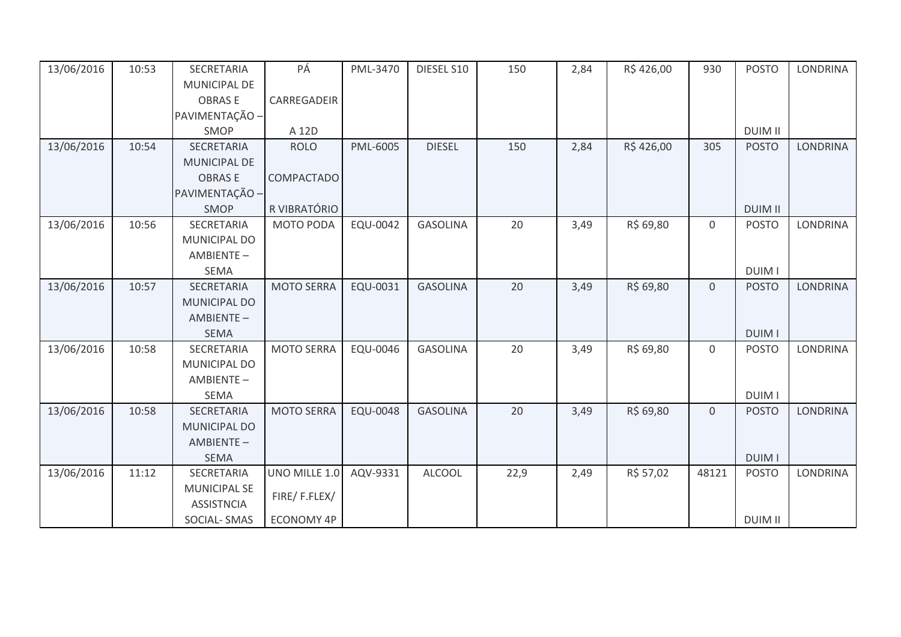| 13/06/2016 | 10:53 | <b>SECRETARIA</b>   | PÁ                | PML-3470        | DIESEL S10      | 150  | 2,84 | R\$426,00 | 930         | <b>POSTO</b>   | <b>LONDRINA</b> |
|------------|-------|---------------------|-------------------|-----------------|-----------------|------|------|-----------|-------------|----------------|-----------------|
|            |       | <b>MUNICIPAL DE</b> |                   |                 |                 |      |      |           |             |                |                 |
|            |       | <b>OBRASE</b>       | CARREGADEIR       |                 |                 |      |      |           |             |                |                 |
|            |       | PAVIMENTAÇÃO -      |                   |                 |                 |      |      |           |             |                |                 |
|            |       | SMOP                | A 12D             |                 |                 |      |      |           |             | <b>DUIM II</b> |                 |
| 13/06/2016 | 10:54 | SECRETARIA          | <b>ROLO</b>       | PML-6005        | <b>DIESEL</b>   | 150  | 2,84 | R\$426,00 | 305         | <b>POSTO</b>   | <b>LONDRINA</b> |
|            |       | <b>MUNICIPAL DE</b> |                   |                 |                 |      |      |           |             |                |                 |
|            |       | <b>OBRASE</b>       | COMPACTADO        |                 |                 |      |      |           |             |                |                 |
|            |       | PAVIMENTAÇÃO -      |                   |                 |                 |      |      |           |             |                |                 |
|            |       | SMOP                | R VIBRATÓRIO      |                 |                 |      |      |           |             | <b>DUIM II</b> |                 |
| 13/06/2016 | 10:56 | SECRETARIA          | MOTO PODA         | EQU-0042        | <b>GASOLINA</b> | 20   | 3,49 | R\$ 69,80 | $\mathbf 0$ | <b>POSTO</b>   | <b>LONDRINA</b> |
|            |       | MUNICIPAL DO        |                   |                 |                 |      |      |           |             |                |                 |
|            |       | AMBIENTE-           |                   |                 |                 |      |      |           |             |                |                 |
|            |       | <b>SEMA</b>         |                   |                 |                 |      |      |           |             | <b>DUIM I</b>  |                 |
| 13/06/2016 | 10:57 | SECRETARIA          | <b>MOTO SERRA</b> | EQU-0031        | <b>GASOLINA</b> | 20   | 3,49 | R\$ 69,80 | $\mathbf 0$ | <b>POSTO</b>   | <b>LONDRINA</b> |
|            |       | <b>MUNICIPAL DO</b> |                   |                 |                 |      |      |           |             |                |                 |
|            |       | AMBIENTE-           |                   |                 |                 |      |      |           |             |                |                 |
|            |       | <b>SEMA</b>         |                   |                 |                 |      |      |           |             | <b>DUIM I</b>  |                 |
| 13/06/2016 | 10:58 | SECRETARIA          | <b>MOTO SERRA</b> | EQU-0046        | <b>GASOLINA</b> | 20   | 3,49 | R\$ 69,80 | $\mathbf 0$ | <b>POSTO</b>   | LONDRINA        |
|            |       | MUNICIPAL DO        |                   |                 |                 |      |      |           |             |                |                 |
|            |       | AMBIENTE-           |                   |                 |                 |      |      |           |             |                |                 |
|            |       | <b>SEMA</b>         |                   |                 |                 |      |      |           |             | <b>DUIMI</b>   |                 |
| 13/06/2016 | 10:58 | SECRETARIA          | <b>MOTO SERRA</b> | <b>EQU-0048</b> | <b>GASOLINA</b> | 20   | 3,49 | R\$ 69,80 | $\mathbf 0$ | <b>POSTO</b>   | <b>LONDRINA</b> |
|            |       | MUNICIPAL DO        |                   |                 |                 |      |      |           |             |                |                 |
|            |       | AMBIENTE-           |                   |                 |                 |      |      |           |             |                |                 |
|            |       | <b>SEMA</b>         |                   |                 |                 |      |      |           |             | <b>DUIM I</b>  |                 |
| 13/06/2016 | 11:12 | <b>SECRETARIA</b>   | UNO MILLE 1.0     | AQV-9331        | <b>ALCOOL</b>   | 22,9 | 2,49 | R\$ 57,02 | 48121       | <b>POSTO</b>   | <b>LONDRINA</b> |
|            |       | <b>MUNICIPAL SE</b> |                   |                 |                 |      |      |           |             |                |                 |
|            |       | <b>ASSISTNCIA</b>   | FIRE/F.FLEX/      |                 |                 |      |      |           |             |                |                 |
|            |       | SOCIAL-SMAS         | <b>ECONOMY 4P</b> |                 |                 |      |      |           |             | <b>DUIM II</b> |                 |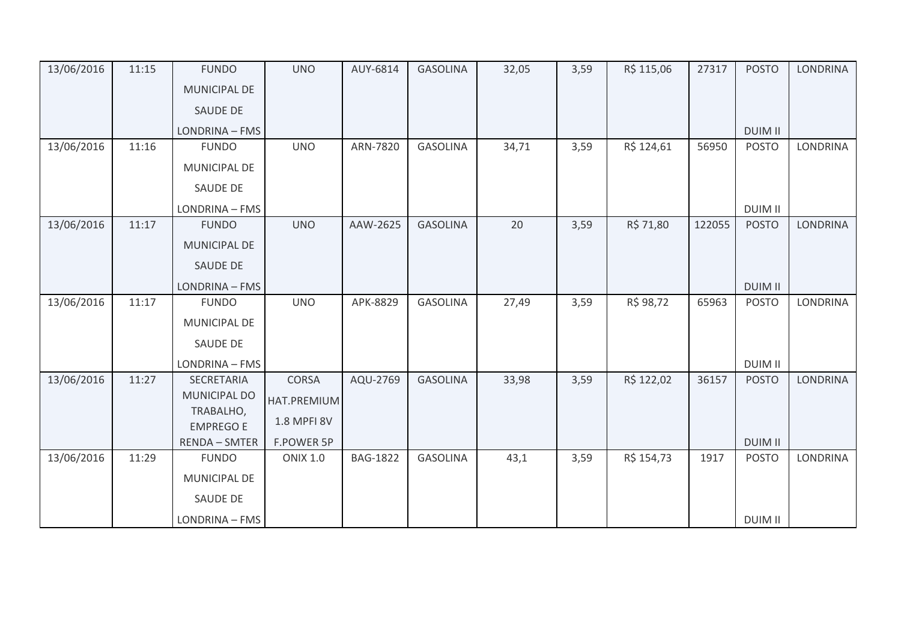| 13/06/2016 | 11:15 | <b>FUNDO</b>                  | <b>UNO</b>      | AUY-6814        | <b>GASOLINA</b> | 32,05 | 3,59 | R\$ 115,06 | 27317  | <b>POSTO</b>   | <b>LONDRINA</b> |
|------------|-------|-------------------------------|-----------------|-----------------|-----------------|-------|------|------------|--------|----------------|-----------------|
|            |       | <b>MUNICIPAL DE</b>           |                 |                 |                 |       |      |            |        |                |                 |
|            |       | <b>SAUDE DE</b>               |                 |                 |                 |       |      |            |        |                |                 |
|            |       | LONDRINA - FMS                |                 |                 |                 |       |      |            |        | <b>DUIM II</b> |                 |
| 13/06/2016 | 11:16 | <b>FUNDO</b>                  | <b>UNO</b>      | ARN-7820        | <b>GASOLINA</b> | 34,71 | 3,59 | R\$ 124,61 | 56950  | <b>POSTO</b>   | <b>LONDRINA</b> |
|            |       | MUNICIPAL DE                  |                 |                 |                 |       |      |            |        |                |                 |
|            |       | <b>SAUDE DE</b>               |                 |                 |                 |       |      |            |        |                |                 |
|            |       | LONDRINA - FMS                |                 |                 |                 |       |      |            |        | <b>DUIM II</b> |                 |
| 13/06/2016 | 11:17 | <b>FUNDO</b>                  | <b>UNO</b>      | AAW-2625        | <b>GASOLINA</b> | 20    | 3,59 | R\$ 71,80  | 122055 | <b>POSTO</b>   | <b>LONDRINA</b> |
|            |       | <b>MUNICIPAL DE</b>           |                 |                 |                 |       |      |            |        |                |                 |
|            |       | SAUDE DE                      |                 |                 |                 |       |      |            |        |                |                 |
|            |       | LONDRINA - FMS                |                 |                 |                 |       |      |            |        | <b>DUIM II</b> |                 |
| 13/06/2016 | 11:17 | <b>FUNDO</b>                  | <b>UNO</b>      | APK-8829        | <b>GASOLINA</b> | 27,49 | 3,59 | R\$ 98,72  | 65963  | <b>POSTO</b>   | <b>LONDRINA</b> |
|            |       | MUNICIPAL DE                  |                 |                 |                 |       |      |            |        |                |                 |
|            |       | SAUDE DE                      |                 |                 |                 |       |      |            |        |                |                 |
|            |       | LONDRINA - FMS                |                 |                 |                 |       |      |            |        | <b>DUIM II</b> |                 |
| 13/06/2016 | 11:27 | SECRETARIA                    | <b>CORSA</b>    | AQU-2769        | <b>GASOLINA</b> | 33,98 | 3,59 | R\$ 122,02 | 36157  | <b>POSTO</b>   | <b>LONDRINA</b> |
|            |       | <b>MUNICIPAL DO</b>           | HAT.PREMIUM     |                 |                 |       |      |            |        |                |                 |
|            |       | TRABALHO,<br><b>EMPREGO E</b> | 1.8 MPFI 8V     |                 |                 |       |      |            |        |                |                 |
|            |       | <b>RENDA - SMTER</b>          | F.POWER 5P      |                 |                 |       |      |            |        | <b>DUIM II</b> |                 |
| 13/06/2016 | 11:29 | <b>FUNDO</b>                  | <b>ONIX 1.0</b> | <b>BAG-1822</b> | <b>GASOLINA</b> | 43,1  | 3,59 | R\$ 154,73 | 1917   | <b>POSTO</b>   | <b>LONDRINA</b> |
|            |       | MUNICIPAL DE                  |                 |                 |                 |       |      |            |        |                |                 |
|            |       | SAUDE DE                      |                 |                 |                 |       |      |            |        |                |                 |
|            |       | LONDRINA - FMS                |                 |                 |                 |       |      |            |        | <b>DUIM II</b> |                 |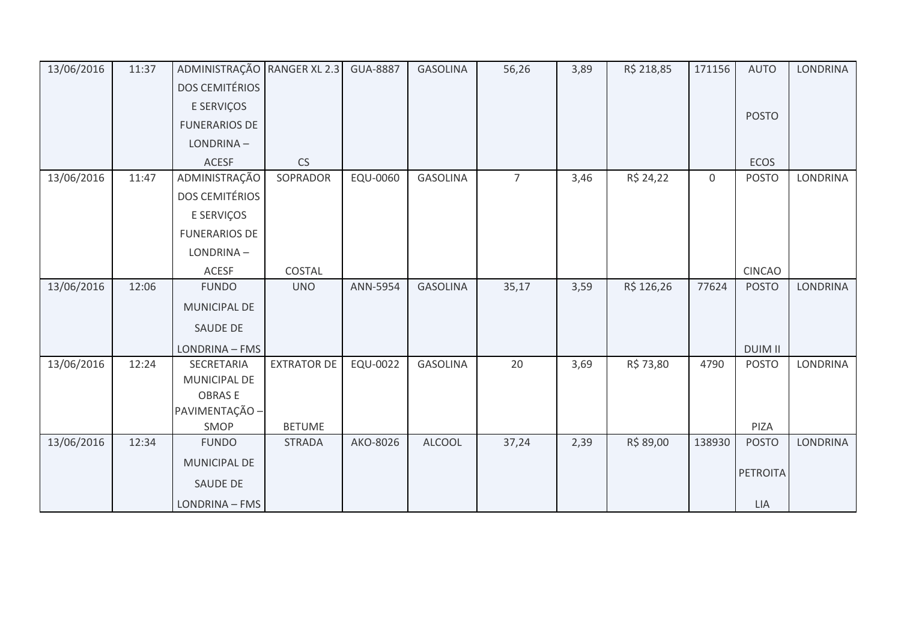| 13/06/2016 | 11:37 | ADMINISTRAÇÃO RANGER XL 2.3 |                    | <b>GUA-8887</b> | <b>GASOLINA</b> | 56,26          | 3,89 | R\$ 218,85 | 171156      | <b>AUTO</b>     | <b>LONDRINA</b> |
|------------|-------|-----------------------------|--------------------|-----------------|-----------------|----------------|------|------------|-------------|-----------------|-----------------|
|            |       | <b>DOS CEMITÉRIOS</b>       |                    |                 |                 |                |      |            |             |                 |                 |
|            |       | E SERVIÇOS                  |                    |                 |                 |                |      |            |             |                 |                 |
|            |       | <b>FUNERARIOS DE</b>        |                    |                 |                 |                |      |            |             | <b>POSTO</b>    |                 |
|            |       | LONDRINA-                   |                    |                 |                 |                |      |            |             |                 |                 |
|            |       | <b>ACESF</b>                | CS                 |                 |                 |                |      |            |             | <b>ECOS</b>     |                 |
| 13/06/2016 | 11:47 | ADMINISTRAÇÃO               | SOPRADOR           | EQU-0060        | <b>GASOLINA</b> | $\overline{7}$ | 3,46 | R\$ 24,22  | $\mathbf 0$ | <b>POSTO</b>    | LONDRINA        |
|            |       | <b>DOS CEMITÉRIOS</b>       |                    |                 |                 |                |      |            |             |                 |                 |
|            |       | E SERVIÇOS                  |                    |                 |                 |                |      |            |             |                 |                 |
|            |       | <b>FUNERARIOS DE</b>        |                    |                 |                 |                |      |            |             |                 |                 |
|            |       | LONDRINA-                   |                    |                 |                 |                |      |            |             |                 |                 |
|            |       | ACESF                       | COSTAL             |                 |                 |                |      |            |             | <b>CINCAO</b>   |                 |
| 13/06/2016 | 12:06 | <b>FUNDO</b>                | <b>UNO</b>         | ANN-5954        | <b>GASOLINA</b> | 35,17          | 3,59 | R\$ 126,26 | 77624       | <b>POSTO</b>    | <b>LONDRINA</b> |
|            |       | <b>MUNICIPAL DE</b>         |                    |                 |                 |                |      |            |             |                 |                 |
|            |       | SAUDE DE                    |                    |                 |                 |                |      |            |             |                 |                 |
|            |       | LONDRINA - FMS              |                    |                 |                 |                |      |            |             | <b>DUIM II</b>  |                 |
| 13/06/2016 | 12:24 | SECRETARIA                  | <b>EXTRATOR DE</b> | <b>EQU-0022</b> | <b>GASOLINA</b> | 20             | 3,69 | R\$ 73,80  | 4790        | <b>POSTO</b>    | LONDRINA        |
|            |       | <b>MUNICIPAL DE</b>         |                    |                 |                 |                |      |            |             |                 |                 |
|            |       | <b>OBRASE</b>               |                    |                 |                 |                |      |            |             |                 |                 |
|            |       | PAVIMENTAÇÃO -<br>SMOP      | <b>BETUME</b>      |                 |                 |                |      |            |             | PIZA            |                 |
| 13/06/2016 | 12:34 | <b>FUNDO</b>                | <b>STRADA</b>      | AKO-8026        | <b>ALCOOL</b>   | 37,24          | 2,39 | R\$ 89,00  | 138930      | <b>POSTO</b>    | <b>LONDRINA</b> |
|            |       | MUNICIPAL DE                |                    |                 |                 |                |      |            |             |                 |                 |
|            |       | <b>SAUDE DE</b>             |                    |                 |                 |                |      |            |             | <b>PETROITA</b> |                 |
|            |       |                             |                    |                 |                 |                |      |            |             |                 |                 |
|            |       | LONDRINA - FMS              |                    |                 |                 |                |      |            |             | LIA             |                 |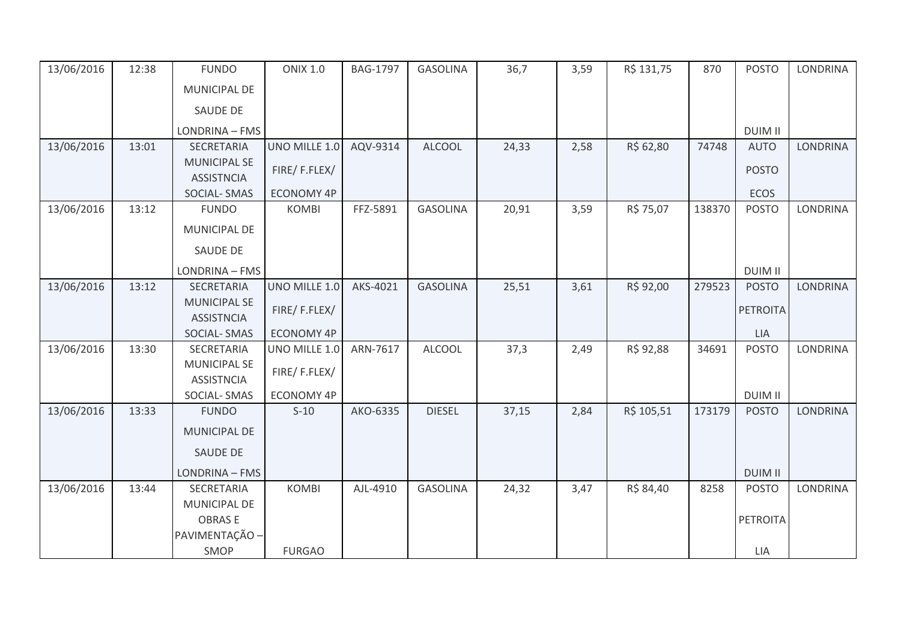| 13/06/2016 | 12:38 | <b>FUNDO</b>                             | <b>ONIX 1.0</b>   | BAG-1797 | <b>GASOLINA</b> | 36,7  | 3,59 | R\$ 131,75 | 870    | <b>POSTO</b>   | <b>LONDRINA</b> |
|------------|-------|------------------------------------------|-------------------|----------|-----------------|-------|------|------------|--------|----------------|-----------------|
|            |       | MUNICIPAL DE                             |                   |          |                 |       |      |            |        |                |                 |
|            |       | SAUDE DE                                 |                   |          |                 |       |      |            |        |                |                 |
|            |       | LONDRINA - FMS                           |                   |          |                 |       |      |            |        | <b>DUIM II</b> |                 |
| 13/06/2016 | 13:01 | SECRETARIA                               | UNO MILLE 1.0     | AQV-9314 | <b>ALCOOL</b>   | 24,33 | 2,58 | R\$ 62,80  | 74748  | <b>AUTO</b>    | <b>LONDRINA</b> |
|            |       | <b>MUNICIPAL SE</b><br><b>ASSISTNCIA</b> | FIRE/F.FLEX/      |          |                 |       |      |            |        | <b>POSTO</b>   |                 |
|            |       | SOCIAL-SMAS                              | <b>ECONOMY 4P</b> |          |                 |       |      |            |        | ECOS           |                 |
| 13/06/2016 | 13:12 | <b>FUNDO</b>                             | <b>KOMBI</b>      | FFZ-5891 | <b>GASOLINA</b> | 20,91 | 3,59 | R\$ 75,07  | 138370 | <b>POSTO</b>   | <b>LONDRINA</b> |
|            |       | MUNICIPAL DE                             |                   |          |                 |       |      |            |        |                |                 |
|            |       | <b>SAUDE DE</b>                          |                   |          |                 |       |      |            |        |                |                 |
|            |       | LONDRINA - FMS                           |                   |          |                 |       |      |            |        | <b>DUIM II</b> |                 |
| 13/06/2016 | 13:12 | SECRETARIA                               | UNO MILLE 1.0     | AKS-4021 | <b>GASOLINA</b> | 25,51 | 3,61 | R\$ 92,00  | 279523 | <b>POSTO</b>   | <b>LONDRINA</b> |
|            |       | <b>MUNICIPAL SE</b>                      | FIRE/F.FLEX/      |          |                 |       |      |            |        | PETROITA       |                 |
|            |       | <b>ASSISTNCIA</b>                        |                   |          |                 |       |      |            |        |                |                 |
|            |       | SOCIAL-SMAS                              | <b>ECONOMY 4P</b> |          |                 |       |      |            |        | LIA            |                 |
| 13/06/2016 | 13:30 | SECRETARIA                               | UNO MILLE 1.0     | ARN-7617 | <b>ALCOOL</b>   | 37,3  | 2,49 | R\$ 92,88  | 34691  | <b>POSTO</b>   | LONDRINA        |
|            |       | <b>MUNICIPAL SE</b><br><b>ASSISTNCIA</b> | FIRE/F.FLEX/      |          |                 |       |      |            |        |                |                 |
|            |       | SOCIAL-SMAS                              | <b>ECONOMY 4P</b> |          |                 |       |      |            |        | <b>DUIM II</b> |                 |
| 13/06/2016 | 13:33 | <b>FUNDO</b>                             | $S-10$            | AKO-6335 | <b>DIESEL</b>   | 37,15 | 2,84 | R\$ 105,51 | 173179 | <b>POSTO</b>   | <b>LONDRINA</b> |
|            |       | <b>MUNICIPAL DE</b>                      |                   |          |                 |       |      |            |        |                |                 |
|            |       | <b>SAUDE DE</b>                          |                   |          |                 |       |      |            |        |                |                 |
|            |       | LONDRINA - FMS                           |                   |          |                 |       |      |            |        | <b>DUIM II</b> |                 |
| 13/06/2016 | 13:44 | SECRETARIA                               | <b>KOMBI</b>      | AJL-4910 | <b>GASOLINA</b> | 24,32 | 3,47 | R\$ 84,40  | 8258   | <b>POSTO</b>   | <b>LONDRINA</b> |
|            |       | MUNICIPAL DE                             |                   |          |                 |       |      |            |        |                |                 |
|            |       | <b>OBRASE</b>                            |                   |          |                 |       |      |            |        | PETROITA       |                 |
|            |       | PAVIMENTAÇÃO -                           |                   |          |                 |       |      |            |        |                |                 |
|            |       | SMOP                                     | <b>FURGAO</b>     |          |                 |       |      |            |        | LIA            |                 |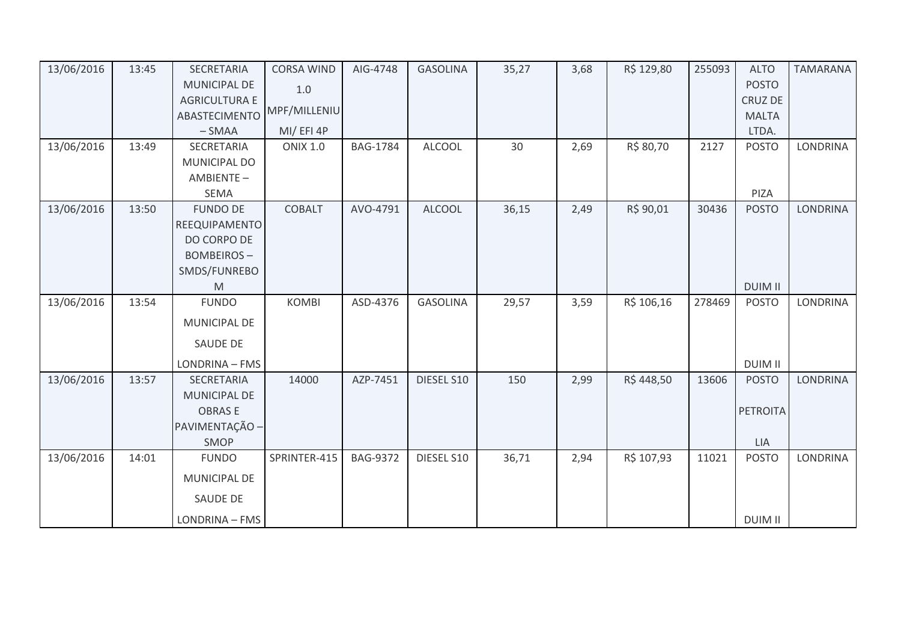| 13/06/2016 | 13:45 | SECRETARIA           | <b>CORSA WIND</b> | AIG-4748        | <b>GASOLINA</b> | 35,27 | 3,68 | R\$ 129,80 | 255093 | <b>ALTO</b>     | <b>TAMARANA</b> |
|------------|-------|----------------------|-------------------|-----------------|-----------------|-------|------|------------|--------|-----------------|-----------------|
|            |       | <b>MUNICIPAL DE</b>  | 1.0               |                 |                 |       |      |            |        | <b>POSTO</b>    |                 |
|            |       | <b>AGRICULTURA E</b> |                   |                 |                 |       |      |            |        | <b>CRUZ DE</b>  |                 |
|            |       | ABASTECIMENTO        | MPF/MILLENIU      |                 |                 |       |      |            |        | <b>MALTA</b>    |                 |
|            |       | $-SMAA$              | MI/EFI4P          |                 |                 |       |      |            |        | LTDA.           |                 |
| 13/06/2016 | 13:49 | SECRETARIA           | <b>ONIX 1.0</b>   | <b>BAG-1784</b> | ALCOOL          | 30    | 2,69 | R\$ 80,70  | 2127   | <b>POSTO</b>    | <b>LONDRINA</b> |
|            |       | MUNICIPAL DO         |                   |                 |                 |       |      |            |        |                 |                 |
|            |       | AMBIENTE-            |                   |                 |                 |       |      |            |        |                 |                 |
|            |       | <b>SEMA</b>          |                   |                 |                 |       |      |            |        | PIZA            |                 |
| 13/06/2016 | 13:50 | <b>FUNDO DE</b>      | <b>COBALT</b>     | AVO-4791        | <b>ALCOOL</b>   | 36,15 | 2,49 | R\$ 90,01  | 30436  | <b>POSTO</b>    | <b>LONDRINA</b> |
|            |       | REEQUIPAMENTO        |                   |                 |                 |       |      |            |        |                 |                 |
|            |       | DO CORPO DE          |                   |                 |                 |       |      |            |        |                 |                 |
|            |       | <b>BOMBEIROS-</b>    |                   |                 |                 |       |      |            |        |                 |                 |
|            |       | SMDS/FUNREBO         |                   |                 |                 |       |      |            |        |                 |                 |
|            |       | M                    |                   |                 |                 |       |      |            |        | <b>DUIM II</b>  |                 |
| 13/06/2016 | 13:54 | <b>FUNDO</b>         | <b>KOMBI</b>      | ASD-4376        | <b>GASOLINA</b> | 29,57 | 3,59 | R\$ 106,16 | 278469 | <b>POSTO</b>    | <b>LONDRINA</b> |
|            |       | MUNICIPAL DE         |                   |                 |                 |       |      |            |        |                 |                 |
|            |       | SAUDE DE             |                   |                 |                 |       |      |            |        |                 |                 |
|            |       | LONDRINA - FMS       |                   |                 |                 |       |      |            |        | <b>DUIM II</b>  |                 |
| 13/06/2016 | 13:57 | SECRETARIA           | 14000             | AZP-7451        | DIESEL S10      | 150   | 2,99 | R\$448,50  | 13606  | <b>POSTO</b>    | <b>LONDRINA</b> |
|            |       | MUNICIPAL DE         |                   |                 |                 |       |      |            |        |                 |                 |
|            |       | <b>OBRASE</b>        |                   |                 |                 |       |      |            |        | <b>PETROITA</b> |                 |
|            |       | PAVIMENTAÇÃO -       |                   |                 |                 |       |      |            |        |                 |                 |
|            |       | SMOP                 |                   |                 |                 |       |      |            |        | <b>LIA</b>      |                 |
| 13/06/2016 | 14:01 | <b>FUNDO</b>         | SPRINTER-415      | <b>BAG-9372</b> | DIESEL S10      | 36,71 | 2,94 | R\$ 107,93 | 11021  | <b>POSTO</b>    | <b>LONDRINA</b> |
|            |       | MUNICIPAL DE         |                   |                 |                 |       |      |            |        |                 |                 |
|            |       | <b>SAUDE DE</b>      |                   |                 |                 |       |      |            |        |                 |                 |
|            |       | LONDRINA - FMS       |                   |                 |                 |       |      |            |        | <b>DUIM II</b>  |                 |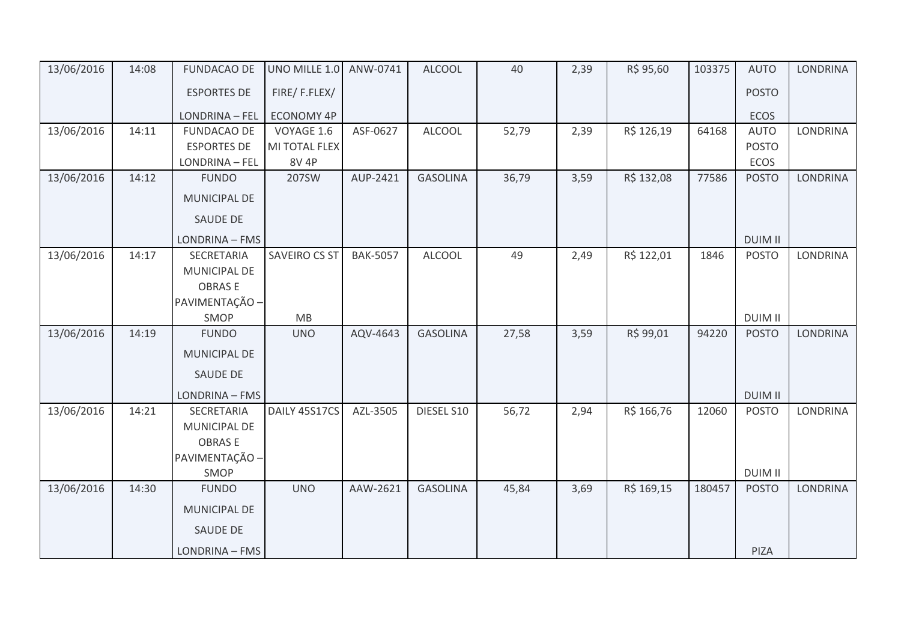| 13/06/2016 | 14:08 | <b>FUNDACAO DE</b>    | UNO MILLE 1.0 ANW-0741 |                 | <b>ALCOOL</b>   | 40    | 2,39 | R\$ 95,60  | 103375 | <b>AUTO</b>    | <b>LONDRINA</b> |
|------------|-------|-----------------------|------------------------|-----------------|-----------------|-------|------|------------|--------|----------------|-----------------|
|            |       | <b>ESPORTES DE</b>    | FIRE/F.FLEX/           |                 |                 |       |      |            |        | <b>POSTO</b>   |                 |
|            |       | <b>LONDRINA - FEL</b> | <b>ECONOMY 4P</b>      |                 |                 |       |      |            |        | ECOS           |                 |
| 13/06/2016 | 14:11 | <b>FUNDACAO DE</b>    | VOYAGE 1.6             | ASF-0627        | <b>ALCOOL</b>   | 52,79 | 2,39 | R\$ 126,19 | 64168  | <b>AUTO</b>    | LONDRINA        |
|            |       | <b>ESPORTES DE</b>    | MI TOTAL FLEX          |                 |                 |       |      |            |        | <b>POSTO</b>   |                 |
|            |       | LONDRINA - FEL        | <b>8V 4P</b>           |                 |                 |       |      |            |        | ECOS           |                 |
| 13/06/2016 | 14:12 | <b>FUNDO</b>          | 207SW                  | AUP-2421        | <b>GASOLINA</b> | 36,79 | 3,59 | R\$ 132,08 | 77586  | <b>POSTO</b>   | <b>LONDRINA</b> |
|            |       | MUNICIPAL DE          |                        |                 |                 |       |      |            |        |                |                 |
|            |       | <b>SAUDE DE</b>       |                        |                 |                 |       |      |            |        |                |                 |
|            |       | LONDRINA - FMS        |                        |                 |                 |       |      |            |        | <b>DUIM II</b> |                 |
| 13/06/2016 | 14:17 | SECRETARIA            | SAVEIRO CS ST          | <b>BAK-5057</b> | <b>ALCOOL</b>   | 49    | 2,49 | R\$ 122,01 | 1846   | <b>POSTO</b>   | <b>LONDRINA</b> |
|            |       | MUNICIPAL DE          |                        |                 |                 |       |      |            |        |                |                 |
|            |       | <b>OBRASE</b>         |                        |                 |                 |       |      |            |        |                |                 |
|            |       | PAVIMENTAÇÃO -        |                        |                 |                 |       |      |            |        |                |                 |
|            |       | SMOP                  | MB                     |                 |                 |       |      |            |        | <b>DUIM II</b> |                 |
| 13/06/2016 | 14:19 | <b>FUNDO</b>          | <b>UNO</b>             | AQV-4643        | <b>GASOLINA</b> | 27,58 | 3,59 | R\$ 99,01  | 94220  | <b>POSTO</b>   | LONDRINA        |
|            |       | MUNICIPAL DE          |                        |                 |                 |       |      |            |        |                |                 |
|            |       | <b>SAUDE DE</b>       |                        |                 |                 |       |      |            |        |                |                 |
|            |       | LONDRINA - FMS        |                        |                 |                 |       |      |            |        | <b>DUIM II</b> |                 |
| 13/06/2016 | 14:21 | SECRETARIA            | DAILY 45S17CS          | AZL-3505        | DIESEL S10      | 56,72 | 2,94 | R\$ 166,76 | 12060  | <b>POSTO</b>   | <b>LONDRINA</b> |
|            |       | MUNICIPAL DE          |                        |                 |                 |       |      |            |        |                |                 |
|            |       | <b>OBRASE</b>         |                        |                 |                 |       |      |            |        |                |                 |
|            |       | PAVIMENTAÇÃO -        |                        |                 |                 |       |      |            |        |                |                 |
|            |       | SMOP                  |                        |                 |                 |       |      |            |        | <b>DUIM II</b> |                 |
| 13/06/2016 | 14:30 | <b>FUNDO</b>          | <b>UNO</b>             | AAW-2621        | <b>GASOLINA</b> | 45,84 | 3,69 | R\$ 169,15 | 180457 | <b>POSTO</b>   | <b>LONDRINA</b> |
|            |       | MUNICIPAL DE          |                        |                 |                 |       |      |            |        |                |                 |
|            |       | SAUDE DE              |                        |                 |                 |       |      |            |        |                |                 |
|            |       | LONDRINA - FMS        |                        |                 |                 |       |      |            |        | PIZA           |                 |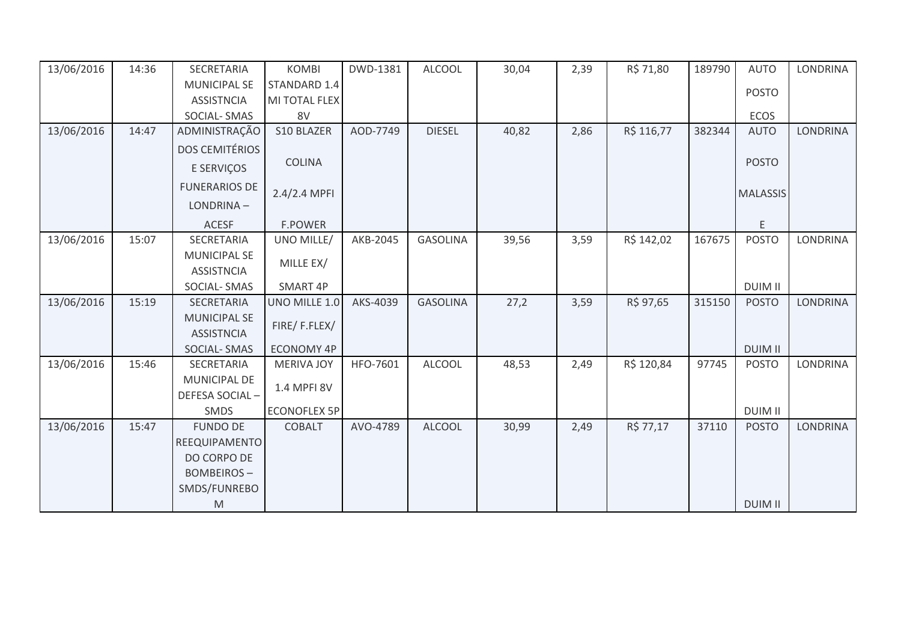| 13/06/2016 | 14:36 | SECRETARIA                                                                                                 | <b>KOMBI</b>        | DWD-1381 | <b>ALCOOL</b>   | 30,04 | 2,39 | R\$ 71,80  | 189790 | <b>AUTO</b>     | <b>LONDRINA</b> |
|------------|-------|------------------------------------------------------------------------------------------------------------|---------------------|----------|-----------------|-------|------|------------|--------|-----------------|-----------------|
|            |       | <b>MUNICIPAL SE</b>                                                                                        | STANDARD 1.4        |          |                 |       |      |            |        | <b>POSTO</b>    |                 |
|            |       | <b>ASSISTNCIA</b>                                                                                          | MI TOTAL FLEX       |          |                 |       |      |            |        |                 |                 |
|            |       | SOCIAL-SMAS                                                                                                | 8V                  |          |                 |       |      |            |        | <b>ECOS</b>     |                 |
| 13/06/2016 | 14:47 | ADMINISTRAÇÃO                                                                                              | S10 BLAZER          | AOD-7749 | <b>DIESEL</b>   | 40,82 | 2,86 | R\$ 116,77 | 382344 | <b>AUTO</b>     | <b>LONDRINA</b> |
|            |       | <b>DOS CEMITÉRIOS</b>                                                                                      |                     |          |                 |       |      |            |        |                 |                 |
|            |       | E SERVIÇOS                                                                                                 | <b>COLINA</b>       |          |                 |       |      |            |        | <b>POSTO</b>    |                 |
|            |       | <b>FUNERARIOS DE</b>                                                                                       | 2.4/2.4 MPFI        |          |                 |       |      |            |        | <b>MALASSIS</b> |                 |
|            |       | LONDRINA-                                                                                                  |                     |          |                 |       |      |            |        |                 |                 |
|            |       | <b>ACESF</b>                                                                                               | <b>F.POWER</b>      |          |                 |       |      |            |        | E               |                 |
| 13/06/2016 | 15:07 | SECRETARIA                                                                                                 | UNO MILLE/          | AKB-2045 | <b>GASOLINA</b> | 39,56 | 3,59 | R\$ 142,02 | 167675 | <b>POSTO</b>    | <b>LONDRINA</b> |
|            |       | <b>MUNICIPAL SE</b><br><b>ASSISTNCIA</b>                                                                   | MILLE EX/           |          |                 |       |      |            |        |                 |                 |
|            |       | SOCIAL-SMAS                                                                                                | SMART 4P            |          |                 |       |      |            |        | <b>DUIM II</b>  |                 |
| 13/06/2016 | 15:19 | <b>SECRETARIA</b>                                                                                          | UNO MILLE 1.0       | AKS-4039 | <b>GASOLINA</b> | 27,2  | 3,59 | R\$ 97,65  | 315150 | <b>POSTO</b>    | <b>LONDRINA</b> |
|            |       | <b>MUNICIPAL SE</b>                                                                                        | FIRE/F.FLEX/        |          |                 |       |      |            |        |                 |                 |
|            |       | <b>ASSISTNCIA</b>                                                                                          |                     |          |                 |       |      |            |        |                 |                 |
|            |       | <b>SOCIAL-SMAS</b>                                                                                         | <b>ECONOMY 4P</b>   |          |                 |       |      |            |        | <b>DUIM II</b>  |                 |
| 13/06/2016 | 15:46 | SECRETARIA                                                                                                 | <b>MERIVA JOY</b>   | HFO-7601 | <b>ALCOOL</b>   | 48,53 | 2,49 | R\$ 120,84 | 97745  | <b>POSTO</b>    | <b>LONDRINA</b> |
|            |       | MUNICIPAL DE                                                                                               | 1.4 MPFI 8V         |          |                 |       |      |            |        |                 |                 |
|            |       | DEFESA SOCIAL-                                                                                             |                     |          |                 |       |      |            |        |                 |                 |
|            |       | SMDS                                                                                                       | <b>ECONOFLEX 5P</b> |          |                 |       |      |            |        | <b>DUIM II</b>  |                 |
| 13/06/2016 | 15:47 | <b>FUNDO DE</b>                                                                                            | <b>COBALT</b>       | AVO-4789 | <b>ALCOOL</b>   | 30,99 | 2,49 | R\$ 77,17  | 37110  | <b>POSTO</b>    | <b>LONDRINA</b> |
|            |       | <b>REEQUIPAMENTO</b>                                                                                       |                     |          |                 |       |      |            |        |                 |                 |
|            |       | DO CORPO DE                                                                                                |                     |          |                 |       |      |            |        |                 |                 |
|            |       | <b>BOMBEIROS-</b>                                                                                          |                     |          |                 |       |      |            |        |                 |                 |
|            |       | SMDS/FUNREBO                                                                                               |                     |          |                 |       |      |            |        |                 |                 |
|            |       | $\mathsf{M}% _{T}=\mathsf{M}_{T}\!\left( a,b\right) ,\ \mathsf{M}_{T}=\mathsf{M}_{T}\!\left( a,b\right) ,$ |                     |          |                 |       |      |            |        | <b>DUIM II</b>  |                 |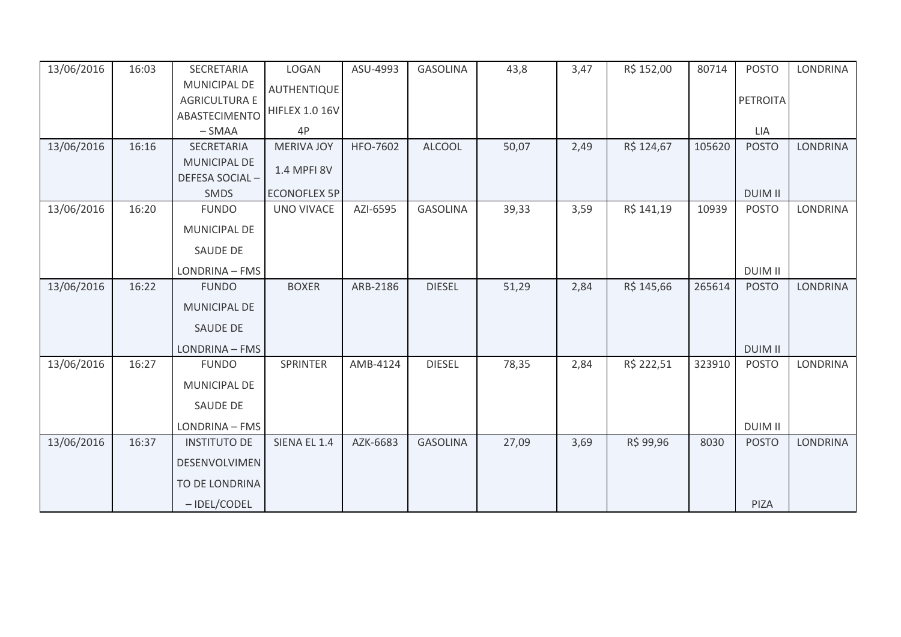| 13/06/2016 | 16:03 | SECRETARIA                     | LOGAN                 | ASU-4993 | <b>GASOLINA</b> | 43,8  | 3,47 | R\$ 152,00 | 80714  | <b>POSTO</b>   | <b>LONDRINA</b> |
|------------|-------|--------------------------------|-----------------------|----------|-----------------|-------|------|------------|--------|----------------|-----------------|
|            |       | <b>MUNICIPAL DE</b>            | <b>AUTHENTIQUE</b>    |          |                 |       |      |            |        |                |                 |
|            |       | <b>AGRICULTURA E</b>           | <b>HIFLEX 1.0 16V</b> |          |                 |       |      |            |        | PETROITA       |                 |
|            |       | ABASTECIMENTO                  |                       |          |                 |       |      |            |        |                |                 |
|            |       | $-SMAA$                        | 4P                    |          |                 |       |      |            |        | LIA            |                 |
| 13/06/2016 | 16:16 | <b>SECRETARIA</b>              | <b>MERIVA JOY</b>     | HFO-7602 | <b>ALCOOL</b>   | 50,07 | 2,49 | R\$ 124,67 | 105620 | <b>POSTO</b>   | <b>LONDRINA</b> |
|            |       | MUNICIPAL DE<br>DEFESA SOCIAL- | 1.4 MPFI 8V           |          |                 |       |      |            |        |                |                 |
|            |       | <b>SMDS</b>                    | <b>ECONOFLEX 5P</b>   |          |                 |       |      |            |        | <b>DUIM II</b> |                 |
| 13/06/2016 | 16:20 | <b>FUNDO</b>                   | <b>UNO VIVACE</b>     | AZI-6595 | <b>GASOLINA</b> | 39,33 | 3,59 | R\$ 141,19 | 10939  | <b>POSTO</b>   | LONDRINA        |
|            |       | MUNICIPAL DE                   |                       |          |                 |       |      |            |        |                |                 |
|            |       | <b>SAUDE DE</b>                |                       |          |                 |       |      |            |        |                |                 |
|            |       | LONDRINA - FMS                 |                       |          |                 |       |      |            |        | <b>DUIM II</b> |                 |
| 13/06/2016 | 16:22 | <b>FUNDO</b>                   | <b>BOXER</b>          | ARB-2186 | <b>DIESEL</b>   | 51,29 | 2,84 | R\$ 145,66 | 265614 | <b>POSTO</b>   | <b>LONDRINA</b> |
|            |       | <b>MUNICIPAL DE</b>            |                       |          |                 |       |      |            |        |                |                 |
|            |       | <b>SAUDE DE</b>                |                       |          |                 |       |      |            |        |                |                 |
|            |       | LONDRINA - FMS                 |                       |          |                 |       |      |            |        | <b>DUIM II</b> |                 |
| 13/06/2016 | 16:27 | <b>FUNDO</b>                   | SPRINTER              | AMB-4124 | <b>DIESEL</b>   | 78,35 | 2,84 | R\$ 222,51 | 323910 | <b>POSTO</b>   | LONDRINA        |
|            |       | MUNICIPAL DE                   |                       |          |                 |       |      |            |        |                |                 |
|            |       | <b>SAUDE DE</b>                |                       |          |                 |       |      |            |        |                |                 |
|            |       | LONDRINA - FMS                 |                       |          |                 |       |      |            |        | <b>DUIM II</b> |                 |
| 13/06/2016 | 16:37 | <b>INSTITUTO DE</b>            | SIENA EL 1.4          | AZK-6683 | <b>GASOLINA</b> | 27,09 | 3,69 | R\$ 99,96  | 8030   | <b>POSTO</b>   | <b>LONDRINA</b> |
|            |       | DESENVOLVIMEN                  |                       |          |                 |       |      |            |        |                |                 |
|            |       | TO DE LONDRINA                 |                       |          |                 |       |      |            |        |                |                 |
|            |       | - IDEL/CODEL                   |                       |          |                 |       |      |            |        | PIZA           |                 |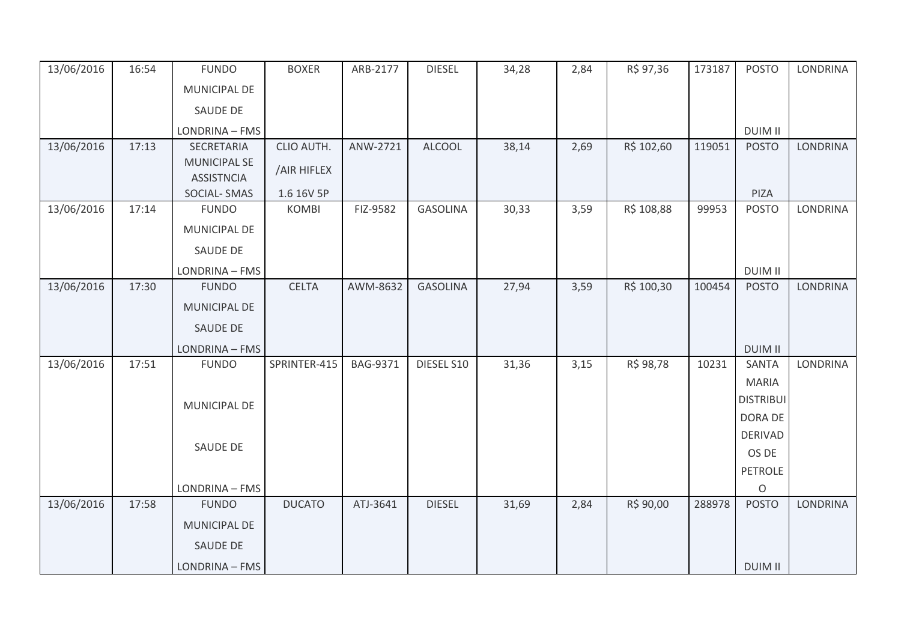| 13/06/2016 | 16:54 | <b>FUNDO</b>                             | <b>BOXER</b>  | ARB-2177 | <b>DIESEL</b>   | 34,28 | 2,84 | R\$ 97,36  | 173187 | <b>POSTO</b>            | <b>LONDRINA</b> |
|------------|-------|------------------------------------------|---------------|----------|-----------------|-------|------|------------|--------|-------------------------|-----------------|
|            |       | <b>MUNICIPAL DE</b>                      |               |          |                 |       |      |            |        |                         |                 |
|            |       | SAUDE DE                                 |               |          |                 |       |      |            |        |                         |                 |
|            |       | LONDRINA - FMS                           |               |          |                 |       |      |            |        | <b>DUIM II</b>          |                 |
| 13/06/2016 | 17:13 | SECRETARIA                               | CLIO AUTH.    | ANW-2721 | <b>ALCOOL</b>   | 38,14 | 2,69 | R\$ 102,60 | 119051 | <b>POSTO</b>            | <b>LONDRINA</b> |
|            |       | <b>MUNICIPAL SE</b><br><b>ASSISTNCIA</b> | /AIR HIFLEX   |          |                 |       |      |            |        |                         |                 |
|            |       | <b>SOCIAL-SMAS</b>                       | 1.6 16V 5P    |          |                 |       |      |            |        | PIZA                    |                 |
| 13/06/2016 | 17:14 | <b>FUNDO</b>                             | <b>KOMBI</b>  | FIZ-9582 | <b>GASOLINA</b> | 30,33 | 3,59 | R\$ 108,88 | 99953  | <b>POSTO</b>            | <b>LONDRINA</b> |
|            |       | MUNICIPAL DE                             |               |          |                 |       |      |            |        |                         |                 |
|            |       | <b>SAUDE DE</b>                          |               |          |                 |       |      |            |        |                         |                 |
|            |       | LONDRINA - FMS                           |               |          |                 |       |      |            |        | <b>DUIM II</b>          |                 |
| 13/06/2016 | 17:30 | <b>FUNDO</b>                             | <b>CELTA</b>  | AWM-8632 | <b>GASOLINA</b> | 27,94 | 3,59 | R\$ 100,30 | 100454 | <b>POSTO</b>            | <b>LONDRINA</b> |
|            |       | MUNICIPAL DE                             |               |          |                 |       |      |            |        |                         |                 |
|            |       | <b>SAUDE DE</b>                          |               |          |                 |       |      |            |        |                         |                 |
|            |       | LONDRINA - FMS                           |               |          |                 |       |      |            |        | <b>DUIM II</b>          |                 |
| 13/06/2016 | 17:51 | <b>FUNDO</b>                             | SPRINTER-415  | BAG-9371 | DIESEL S10      | 31,36 | 3,15 | R\$ 98,78  | 10231  | <b>SANTA</b>            | <b>LONDRINA</b> |
|            |       |                                          |               |          |                 |       |      |            |        | <b>MARIA</b>            |                 |
|            |       | <b>MUNICIPAL DE</b>                      |               |          |                 |       |      |            |        | <b>DISTRIBUI</b>        |                 |
|            |       |                                          |               |          |                 |       |      |            |        | DORA DE                 |                 |
|            |       | SAUDE DE                                 |               |          |                 |       |      |            |        | <b>DERIVAD</b>          |                 |
|            |       |                                          |               |          |                 |       |      |            |        | OS DE                   |                 |
|            |       |                                          |               |          |                 |       |      |            |        | <b>PETROLE</b>          |                 |
| 13/06/2016 | 17:58 | LONDRINA - FMS<br><b>FUNDO</b>           | <b>DUCATO</b> | ATJ-3641 | <b>DIESEL</b>   | 31,69 | 2,84 | R\$ 90,00  | 288978 | $\circ$<br><b>POSTO</b> | <b>LONDRINA</b> |
|            |       |                                          |               |          |                 |       |      |            |        |                         |                 |
|            |       | MUNICIPAL DE                             |               |          |                 |       |      |            |        |                         |                 |
|            |       | SAUDE DE                                 |               |          |                 |       |      |            |        |                         |                 |
|            |       | LONDRINA - FMS                           |               |          |                 |       |      |            |        | <b>DUIM II</b>          |                 |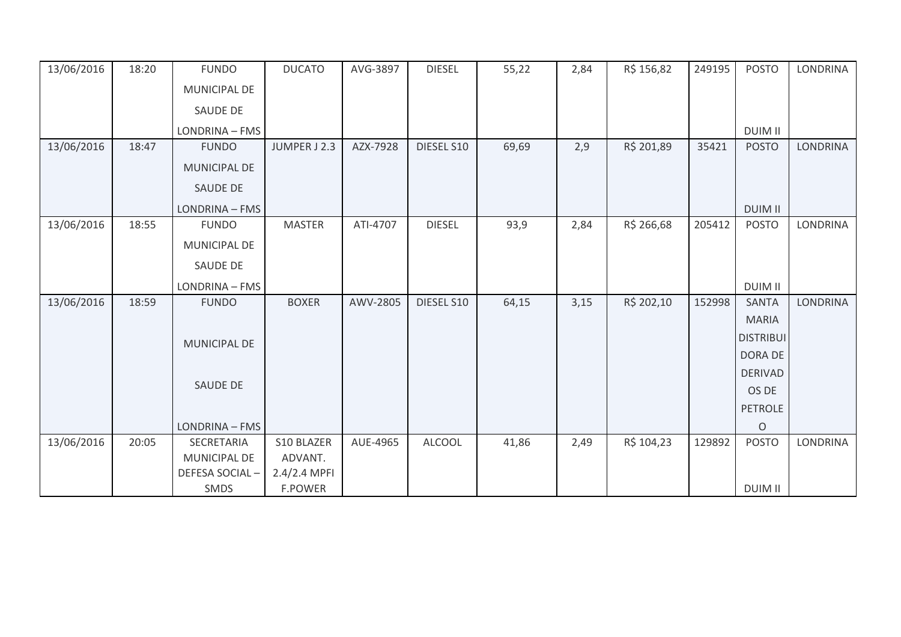| 13/06/2016 | 18:20 | <b>FUNDO</b>        | <b>DUCATO</b>  | AVG-3897 | <b>DIESEL</b> | 55,22 | 2,84 | R\$ 156,82 | 249195 | <b>POSTO</b>     | <b>LONDRINA</b> |
|------------|-------|---------------------|----------------|----------|---------------|-------|------|------------|--------|------------------|-----------------|
|            |       | MUNICIPAL DE        |                |          |               |       |      |            |        |                  |                 |
|            |       | SAUDE DE            |                |          |               |       |      |            |        |                  |                 |
|            |       | LONDRINA - FMS      |                |          |               |       |      |            |        | <b>DUIM II</b>   |                 |
| 13/06/2016 | 18:47 | <b>FUNDO</b>        | JUMPER J 2.3   | AZX-7928 | DIESEL S10    | 69,69 | 2,9  | R\$ 201,89 | 35421  | <b>POSTO</b>     | <b>LONDRINA</b> |
|            |       | <b>MUNICIPAL DE</b> |                |          |               |       |      |            |        |                  |                 |
|            |       | SAUDE DE            |                |          |               |       |      |            |        |                  |                 |
|            |       | LONDRINA - FMS      |                |          |               |       |      |            |        | <b>DUIM II</b>   |                 |
| 13/06/2016 | 18:55 | <b>FUNDO</b>        | <b>MASTER</b>  | ATI-4707 | <b>DIESEL</b> | 93,9  | 2,84 | R\$ 266,68 | 205412 | <b>POSTO</b>     | <b>LONDRINA</b> |
|            |       | MUNICIPAL DE        |                |          |               |       |      |            |        |                  |                 |
|            |       | SAUDE DE            |                |          |               |       |      |            |        |                  |                 |
|            |       | LONDRINA - FMS      |                |          |               |       |      |            |        | <b>DUIM II</b>   |                 |
| 13/06/2016 | 18:59 | <b>FUNDO</b>        | <b>BOXER</b>   | AWV-2805 | DIESEL S10    | 64,15 | 3,15 | R\$ 202,10 | 152998 | <b>SANTA</b>     | <b>LONDRINA</b> |
|            |       |                     |                |          |               |       |      |            |        | <b>MARIA</b>     |                 |
|            |       | MUNICIPAL DE        |                |          |               |       |      |            |        | <b>DISTRIBUI</b> |                 |
|            |       |                     |                |          |               |       |      |            |        | <b>DORA DE</b>   |                 |
|            |       | SAUDE DE            |                |          |               |       |      |            |        | <b>DERIVAD</b>   |                 |
|            |       |                     |                |          |               |       |      |            |        | OS DE            |                 |
|            |       |                     |                |          |               |       |      |            |        | <b>PETROLE</b>   |                 |
|            |       | LONDRINA - FMS      |                |          |               |       |      |            |        | $\circ$          |                 |
| 13/06/2016 | 20:05 | SECRETARIA          | S10 BLAZER     | AUE-4965 | <b>ALCOOL</b> | 41,86 | 2,49 | R\$ 104,23 | 129892 | <b>POSTO</b>     | LONDRINA        |
|            |       | <b>MUNICIPAL DE</b> | ADVANT.        |          |               |       |      |            |        |                  |                 |
|            |       | DEFESA SOCIAL-      | 2.4/2.4 MPFI   |          |               |       |      |            |        |                  |                 |
|            |       | SMDS                | <b>F.POWER</b> |          |               |       |      |            |        | <b>DUIM II</b>   |                 |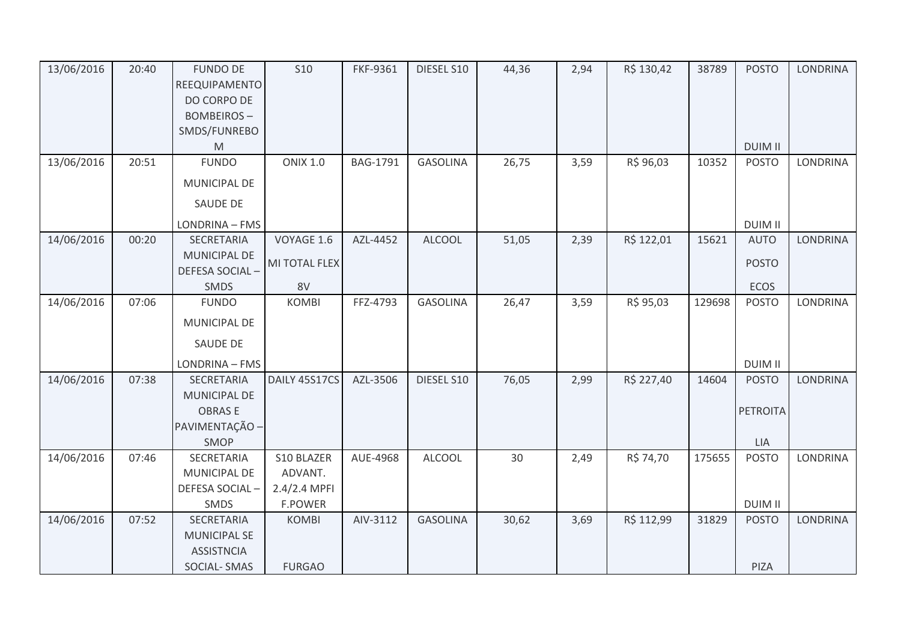| 13/06/2016 | 20:40 | <b>FUNDO DE</b><br>REEQUIPAMENTO<br>DO CORPO DE<br><b>BOMBEIROS-</b><br>SMDS/FUNREBO<br>M | <b>S10</b>      | FKF-9361        | DIESEL S10      | 44,36 | 2,94 | R\$ 130,42 | 38789  | <b>POSTO</b><br><b>DUIM II</b> | <b>LONDRINA</b> |
|------------|-------|-------------------------------------------------------------------------------------------|-----------------|-----------------|-----------------|-------|------|------------|--------|--------------------------------|-----------------|
| 13/06/2016 | 20:51 | <b>FUNDO</b>                                                                              | <b>ONIX 1.0</b> | <b>BAG-1791</b> | <b>GASOLINA</b> | 26,75 | 3,59 | R\$ 96,03  | 10352  | <b>POSTO</b>                   | LONDRINA        |
|            |       | MUNICIPAL DE                                                                              |                 |                 |                 |       |      |            |        |                                |                 |
|            |       | <b>SAUDE DE</b>                                                                           |                 |                 |                 |       |      |            |        |                                |                 |
|            |       | LONDRINA - FMS                                                                            |                 |                 |                 |       |      |            |        | <b>DUIM II</b>                 |                 |
| 14/06/2016 | 00:20 | SECRETARIA                                                                                | VOYAGE 1.6      | AZL-4452        | <b>ALCOOL</b>   | 51,05 | 2,39 | R\$ 122,01 | 15621  | <b>AUTO</b>                    | LONDRINA        |
|            |       | MUNICIPAL DE<br>DEFESA SOCIAL-                                                            | MI TOTAL FLEX   |                 |                 |       |      |            |        | <b>POSTO</b>                   |                 |
|            |       | SMDS                                                                                      | 8V              |                 |                 |       |      |            |        | ECOS                           |                 |
| 14/06/2016 | 07:06 | <b>FUNDO</b>                                                                              | <b>KOMBI</b>    | FFZ-4793        | <b>GASOLINA</b> | 26,47 | 3,59 | R\$ 95,03  | 129698 | <b>POSTO</b>                   | LONDRINA        |
|            |       | MUNICIPAL DE                                                                              |                 |                 |                 |       |      |            |        |                                |                 |
|            |       | <b>SAUDE DE</b>                                                                           |                 |                 |                 |       |      |            |        |                                |                 |
|            |       | LONDRINA - FMS                                                                            |                 |                 |                 |       |      |            |        | <b>DUIM II</b>                 |                 |
| 14/06/2016 | 07:38 | <b>SECRETARIA</b>                                                                         | DAILY 45S17CS   | AZL-3506        | DIESEL S10      | 76,05 | 2,99 | R\$ 227,40 | 14604  | <b>POSTO</b>                   | <b>LONDRINA</b> |
|            |       | MUNICIPAL DE                                                                              |                 |                 |                 |       |      |            |        |                                |                 |
|            |       | <b>OBRASE</b>                                                                             |                 |                 |                 |       |      |            |        | <b>PETROITA</b>                |                 |
|            |       | PAVIMENTAÇÃO -<br>SMOP                                                                    |                 |                 |                 |       |      |            |        | LIA                            |                 |
| 14/06/2016 | 07:46 | SECRETARIA                                                                                | S10 BLAZER      | AUE-4968        | <b>ALCOOL</b>   | 30    | 2,49 | R\$ 74,70  | 175655 | <b>POSTO</b>                   | LONDRINA        |
|            |       | MUNICIPAL DE                                                                              | ADVANT.         |                 |                 |       |      |            |        |                                |                 |
|            |       | DEFESA SOCIAL-                                                                            | 2.4/2.4 MPFI    |                 |                 |       |      |            |        |                                |                 |
|            |       | SMDS                                                                                      | <b>F.POWER</b>  |                 |                 |       |      |            |        | <b>DUIM II</b>                 |                 |
| 14/06/2016 | 07:52 | SECRETARIA                                                                                | <b>KOMBI</b>    | AIV-3112        | <b>GASOLINA</b> | 30,62 | 3,69 | R\$ 112,99 | 31829  | <b>POSTO</b>                   | LONDRINA        |
|            |       | <b>MUNICIPAL SE</b>                                                                       |                 |                 |                 |       |      |            |        |                                |                 |
|            |       | <b>ASSISTNCIA</b><br><b>SOCIAL-SMAS</b>                                                   | <b>FURGAO</b>   |                 |                 |       |      |            |        | PIZA                           |                 |
|            |       |                                                                                           |                 |                 |                 |       |      |            |        |                                |                 |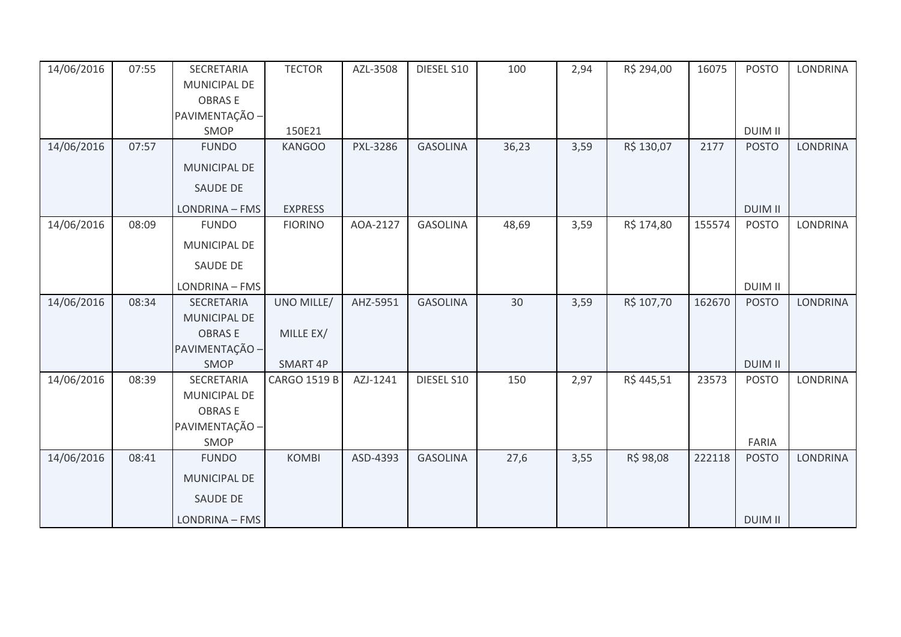| 14/06/2016 | 07:55 | SECRETARIA          | <b>TECTOR</b>       | AZL-3508 | DIESEL S10      | 100   | 2,94 | R\$ 294,00 | 16075  | <b>POSTO</b>   | <b>LONDRINA</b> |
|------------|-------|---------------------|---------------------|----------|-----------------|-------|------|------------|--------|----------------|-----------------|
|            |       | MUNICIPAL DE        |                     |          |                 |       |      |            |        |                |                 |
|            |       | <b>OBRASE</b>       |                     |          |                 |       |      |            |        |                |                 |
|            |       | PAVIMENTAÇÃO -      |                     |          |                 |       |      |            |        |                |                 |
|            |       | SMOP                | 150E21              |          |                 |       |      |            |        | <b>DUIM II</b> |                 |
| 14/06/2016 | 07:57 | <b>FUNDO</b>        | <b>KANGOO</b>       | PXL-3286 | <b>GASOLINA</b> | 36,23 | 3,59 | R\$ 130,07 | 2177   | <b>POSTO</b>   | <b>LONDRINA</b> |
|            |       | <b>MUNICIPAL DE</b> |                     |          |                 |       |      |            |        |                |                 |
|            |       | <b>SAUDE DE</b>     |                     |          |                 |       |      |            |        |                |                 |
|            |       | LONDRINA - FMS      | <b>EXPRESS</b>      |          |                 |       |      |            |        | <b>DUIM II</b> |                 |
| 14/06/2016 | 08:09 | <b>FUNDO</b>        | <b>FIORINO</b>      | AOA-2127 | <b>GASOLINA</b> | 48,69 | 3,59 | R\$ 174,80 | 155574 | <b>POSTO</b>   | <b>LONDRINA</b> |
|            |       | MUNICIPAL DE        |                     |          |                 |       |      |            |        |                |                 |
|            |       | SAUDE DE            |                     |          |                 |       |      |            |        |                |                 |
|            |       | LONDRINA - FMS      |                     |          |                 |       |      |            |        | <b>DUIM II</b> |                 |
| 14/06/2016 | 08:34 | SECRETARIA          | UNO MILLE/          | AHZ-5951 | <b>GASOLINA</b> | 30    | 3,59 | R\$ 107,70 | 162670 | <b>POSTO</b>   | <b>LONDRINA</b> |
|            |       | <b>MUNICIPAL DE</b> |                     |          |                 |       |      |            |        |                |                 |
|            |       | <b>OBRASE</b>       | MILLE EX/           |          |                 |       |      |            |        |                |                 |
|            |       | PAVIMENTAÇÃO -      |                     |          |                 |       |      |            |        |                |                 |
|            |       | SMOP                | SMART 4P            |          |                 |       |      |            |        | <b>DUIM II</b> |                 |
| 14/06/2016 | 08:39 | SECRETARIA          | <b>CARGO 1519 B</b> | AZJ-1241 | DIESEL S10      | 150   | 2,97 | R\$445,51  | 23573  | <b>POSTO</b>   | <b>LONDRINA</b> |
|            |       | MUNICIPAL DE        |                     |          |                 |       |      |            |        |                |                 |
|            |       | <b>OBRASE</b>       |                     |          |                 |       |      |            |        |                |                 |
|            |       | PAVIMENTAÇÃO -      |                     |          |                 |       |      |            |        |                |                 |
|            |       | SMOP                |                     |          |                 |       |      |            |        | FARIA          |                 |
| 14/06/2016 | 08:41 | <b>FUNDO</b>        | <b>KOMBI</b>        | ASD-4393 | <b>GASOLINA</b> | 27,6  | 3,55 | R\$ 98,08  | 222118 | <b>POSTO</b>   | <b>LONDRINA</b> |
|            |       | <b>MUNICIPAL DE</b> |                     |          |                 |       |      |            |        |                |                 |
|            |       | <b>SAUDE DE</b>     |                     |          |                 |       |      |            |        |                |                 |
|            |       | LONDRINA - FMS      |                     |          |                 |       |      |            |        | <b>DUIM II</b> |                 |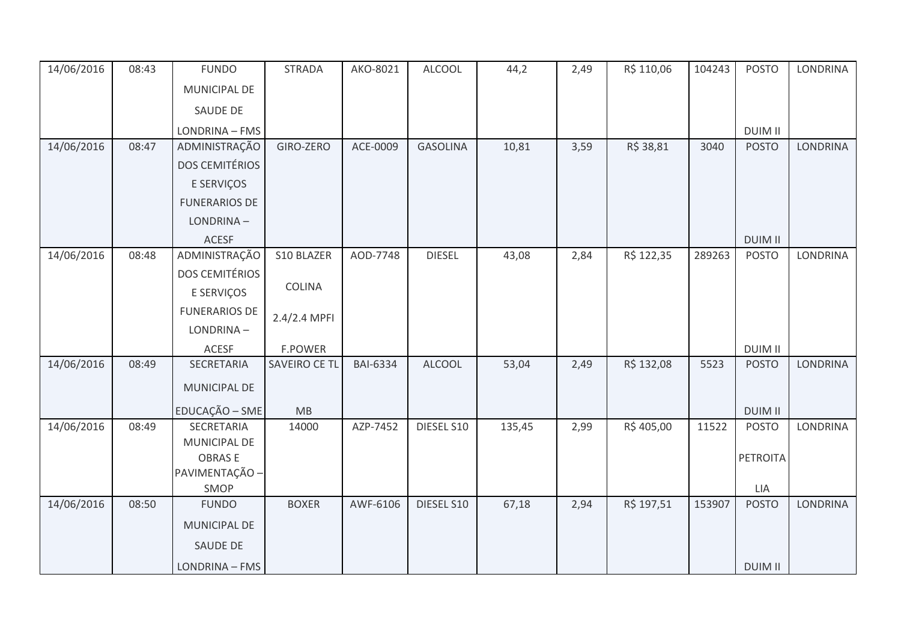| 14/06/2016 | 08:43 | <b>FUNDO</b>                    | <b>STRADA</b>  | AKO-8021        | ALCOOL          | 44,2   | 2,49 | R\$ 110,06 | 104243 | <b>POSTO</b>   | <b>LONDRINA</b> |
|------------|-------|---------------------------------|----------------|-----------------|-----------------|--------|------|------------|--------|----------------|-----------------|
|            |       | MUNICIPAL DE                    |                |                 |                 |        |      |            |        |                |                 |
|            |       | SAUDE DE                        |                |                 |                 |        |      |            |        |                |                 |
|            |       | LONDRINA - FMS                  |                |                 |                 |        |      |            |        | <b>DUIM II</b> |                 |
| 14/06/2016 | 08:47 | ADMINISTRAÇÃO                   | GIRO-ZERO      | ACE-0009        | <b>GASOLINA</b> | 10,81  | 3,59 | R\$ 38,81  | 3040   | <b>POSTO</b>   | <b>LONDRINA</b> |
|            |       | <b>DOS CEMITÉRIOS</b>           |                |                 |                 |        |      |            |        |                |                 |
|            |       | E SERVIÇOS                      |                |                 |                 |        |      |            |        |                |                 |
|            |       | <b>FUNERARIOS DE</b>            |                |                 |                 |        |      |            |        |                |                 |
|            |       | LONDRINA-                       |                |                 |                 |        |      |            |        |                |                 |
|            |       | <b>ACESF</b>                    |                |                 |                 |        |      |            |        | <b>DUIM II</b> |                 |
| 14/06/2016 | 08:48 | ADMINISTRAÇÃO                   | S10 BLAZER     | AOD-7748        | <b>DIESEL</b>   | 43,08  | 2,84 | R\$ 122,35 | 289263 | <b>POSTO</b>   | LONDRINA        |
|            |       | <b>DOS CEMITÉRIOS</b>           |                |                 |                 |        |      |            |        |                |                 |
|            |       | E SERVIÇOS                      | COLINA         |                 |                 |        |      |            |        |                |                 |
|            |       | <b>FUNERARIOS DE</b>            | 2.4/2.4 MPFI   |                 |                 |        |      |            |        |                |                 |
|            |       | LONDRINA-                       |                |                 |                 |        |      |            |        |                |                 |
|            |       | ACESF                           | <b>F.POWER</b> |                 |                 |        |      |            |        | <b>DUIM II</b> |                 |
| 14/06/2016 | 08:49 | SECRETARIA                      | SAVEIRO CE TL  | <b>BAI-6334</b> | <b>ALCOOL</b>   | 53,04  | 2,49 | R\$ 132,08 | 5523   | <b>POSTO</b>   | <b>LONDRINA</b> |
|            |       | MUNICIPAL DE                    |                |                 |                 |        |      |            |        |                |                 |
|            |       | EDUCAÇÃO - SME                  | MB             |                 |                 |        |      |            |        | <b>DUIM II</b> |                 |
| 14/06/2016 | 08:49 | SECRETARIA                      | 14000          | AZP-7452        | DIESEL S10      | 135,45 | 2,99 | R\$405,00  | 11522  | <b>POSTO</b>   | <b>LONDRINA</b> |
|            |       | MUNICIPAL DE                    |                |                 |                 |        |      |            |        |                |                 |
|            |       | <b>OBRASE</b><br>PAVIMENTAÇÃO - |                |                 |                 |        |      |            |        | PETROITA       |                 |
|            |       | SMOP                            |                |                 |                 |        |      |            |        | LIA            |                 |
| 14/06/2016 | 08:50 | <b>FUNDO</b>                    | <b>BOXER</b>   | AWF-6106        | DIESEL S10      | 67,18  | 2,94 | R\$ 197,51 | 153907 | <b>POSTO</b>   | <b>LONDRINA</b> |
|            |       | MUNICIPAL DE                    |                |                 |                 |        |      |            |        |                |                 |
|            |       | SAUDE DE                        |                |                 |                 |        |      |            |        |                |                 |
|            |       | LONDRINA - FMS                  |                |                 |                 |        |      |            |        | <b>DUIM II</b> |                 |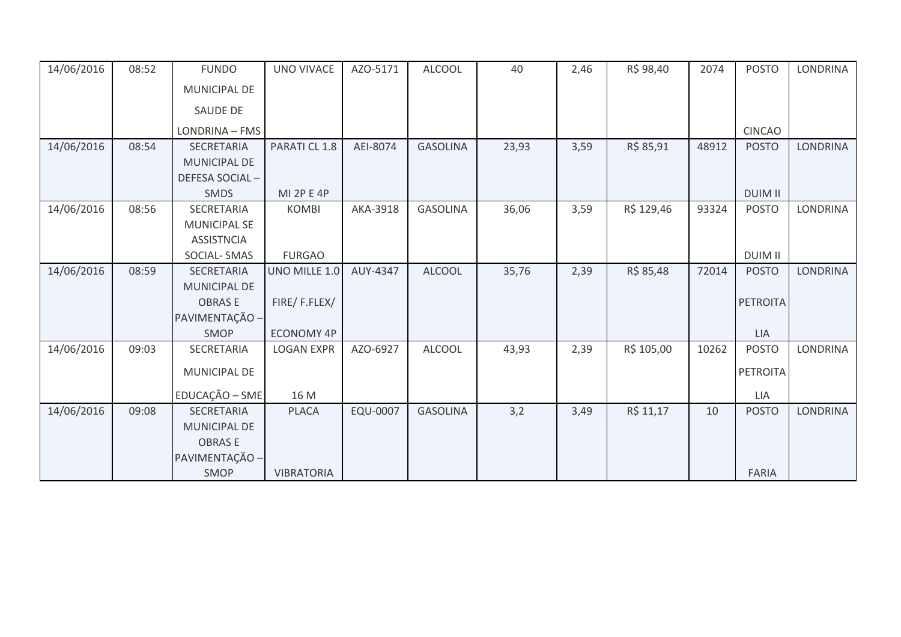| 14/06/2016 | 08:52 | <b>FUNDO</b>        | UNO VIVACE        | AZO-5171 | <b>ALCOOL</b>   | 40    | 2,46 | R\$ 98,40  | 2074  | <b>POSTO</b>    | LONDRINA        |
|------------|-------|---------------------|-------------------|----------|-----------------|-------|------|------------|-------|-----------------|-----------------|
|            |       | MUNICIPAL DE        |                   |          |                 |       |      |            |       |                 |                 |
|            |       | SAUDE DE            |                   |          |                 |       |      |            |       |                 |                 |
|            |       | LONDRINA - FMS      |                   |          |                 |       |      |            |       | <b>CINCAO</b>   |                 |
| 14/06/2016 | 08:54 | SECRETARIA          | PARATI CL 1.8     | AEI-8074 | <b>GASOLINA</b> | 23,93 | 3,59 | R\$ 85,91  | 48912 | <b>POSTO</b>    | <b>LONDRINA</b> |
|            |       | <b>MUNICIPAL DE</b> |                   |          |                 |       |      |            |       |                 |                 |
|            |       | DEFESA SOCIAL-      |                   |          |                 |       |      |            |       |                 |                 |
|            |       | <b>SMDS</b>         | <b>MI 2P E 4P</b> |          |                 |       |      |            |       | <b>DUIM II</b>  |                 |
| 14/06/2016 | 08:56 | SECRETARIA          | <b>KOMBI</b>      | AKA-3918 | <b>GASOLINA</b> | 36,06 | 3,59 | R\$ 129,46 | 93324 | <b>POSTO</b>    | LONDRINA        |
|            |       | <b>MUNICIPAL SE</b> |                   |          |                 |       |      |            |       |                 |                 |
|            |       | <b>ASSISTNCIA</b>   |                   |          |                 |       |      |            |       |                 |                 |
|            |       | <b>SOCIAL-SMAS</b>  | <b>FURGAO</b>     |          |                 |       |      |            |       | <b>DUIM II</b>  |                 |
| 14/06/2016 | 08:59 | SECRETARIA          | UNO MILLE 1.0     | AUY-4347 | <b>ALCOOL</b>   | 35,76 | 2,39 | R\$ 85,48  | 72014 | <b>POSTO</b>    | LONDRINA        |
|            |       | <b>MUNICIPAL DE</b> |                   |          |                 |       |      |            |       |                 |                 |
|            |       | <b>OBRASE</b>       | FIRE/F.FLEX/      |          |                 |       |      |            |       | <b>PETROITA</b> |                 |
|            |       | PAVIMENTAÇÃO -      |                   |          |                 |       |      |            |       |                 |                 |
|            |       | SMOP                | <b>ECONOMY 4P</b> |          |                 |       |      |            |       | LIA             |                 |
| 14/06/2016 | 09:03 | SECRETARIA          | <b>LOGAN EXPR</b> | AZO-6927 | <b>ALCOOL</b>   | 43,93 | 2,39 | R\$ 105,00 | 10262 | <b>POSTO</b>    | LONDRINA        |
|            |       | MUNICIPAL DE        |                   |          |                 |       |      |            |       | <b>PETROITA</b> |                 |
|            |       | EDUCAÇÃO - SME      | 16 M              |          |                 |       |      |            |       | LIA             |                 |
| 14/06/2016 | 09:08 | SECRETARIA          | <b>PLACA</b>      | EQU-0007 | <b>GASOLINA</b> | 3,2   | 3,49 | R\$ 11,17  | 10    | <b>POSTO</b>    | <b>LONDRINA</b> |
|            |       | MUNICIPAL DE        |                   |          |                 |       |      |            |       |                 |                 |
|            |       | <b>OBRASE</b>       |                   |          |                 |       |      |            |       |                 |                 |
|            |       | PAVIMENTAÇÃO -      |                   |          |                 |       |      |            |       |                 |                 |
|            |       | SMOP                | <b>VIBRATORIA</b> |          |                 |       |      |            |       | <b>FARIA</b>    |                 |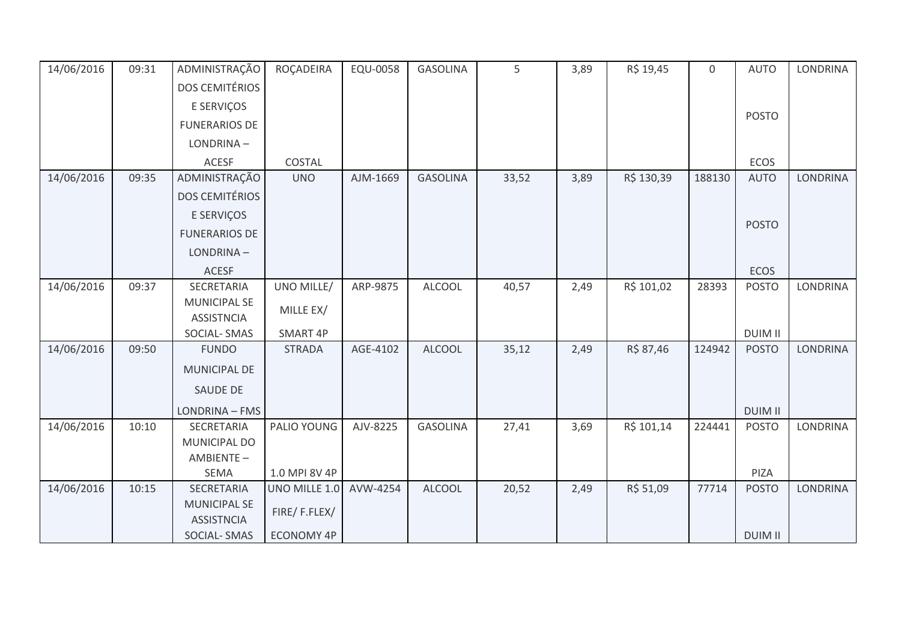| 14/06/2016 | 09:31 | ADMINISTRAÇÃO                            | ROÇADEIRA         | EQU-0058 | <b>GASOLINA</b> | 5     | 3,89 | R\$ 19,45  | $\mathbf 0$ | <b>AUTO</b>    | <b>LONDRINA</b> |
|------------|-------|------------------------------------------|-------------------|----------|-----------------|-------|------|------------|-------------|----------------|-----------------|
|            |       | <b>DOS CEMITÉRIOS</b>                    |                   |          |                 |       |      |            |             |                |                 |
|            |       | E SERVIÇOS                               |                   |          |                 |       |      |            |             |                |                 |
|            |       | <b>FUNERARIOS DE</b>                     |                   |          |                 |       |      |            |             | <b>POSTO</b>   |                 |
|            |       | LONDRINA-                                |                   |          |                 |       |      |            |             |                |                 |
|            |       | <b>ACESF</b>                             | COSTAL            |          |                 |       |      |            |             | ECOS           |                 |
| 14/06/2016 | 09:35 | ADMINISTRAÇÃO                            | <b>UNO</b>        | AJM-1669 | <b>GASOLINA</b> | 33,52 | 3,89 | R\$ 130,39 | 188130      | <b>AUTO</b>    | <b>LONDRINA</b> |
|            |       | <b>DOS CEMITÉRIOS</b>                    |                   |          |                 |       |      |            |             |                |                 |
|            |       | E SERVIÇOS                               |                   |          |                 |       |      |            |             |                |                 |
|            |       | <b>FUNERARIOS DE</b>                     |                   |          |                 |       |      |            |             | <b>POSTO</b>   |                 |
|            |       | LONDRINA-                                |                   |          |                 |       |      |            |             |                |                 |
|            |       | <b>ACESF</b>                             |                   |          |                 |       |      |            |             | <b>ECOS</b>    |                 |
| 14/06/2016 | 09:37 | SECRETARIA                               | UNO MILLE/        | ARP-9875 | <b>ALCOOL</b>   | 40,57 | 2,49 | R\$ 101,02 | 28393       | <b>POSTO</b>   | LONDRINA        |
|            |       | <b>MUNICIPAL SE</b>                      | MILLE EX/         |          |                 |       |      |            |             |                |                 |
|            |       | <b>ASSISTNCIA</b>                        |                   |          |                 |       |      |            |             |                |                 |
|            |       | <b>SOCIAL-SMAS</b>                       | SMART 4P          |          |                 |       |      |            |             | <b>DUIM II</b> |                 |
| 14/06/2016 | 09:50 | <b>FUNDO</b>                             | <b>STRADA</b>     | AGE-4102 | <b>ALCOOL</b>   | 35,12 | 2,49 | R\$ 87,46  | 124942      | <b>POSTO</b>   | LONDRINA        |
|            |       | <b>MUNICIPAL DE</b>                      |                   |          |                 |       |      |            |             |                |                 |
|            |       | SAUDE DE                                 |                   |          |                 |       |      |            |             |                |                 |
|            |       | LONDRINA - FMS                           |                   |          |                 |       |      |            |             | <b>DUIM II</b> |                 |
| 14/06/2016 | 10:10 | SECRETARIA                               | PALIO YOUNG       | AJV-8225 | <b>GASOLINA</b> | 27,41 | 3,69 | R\$ 101,14 | 224441      | <b>POSTO</b>   | <b>LONDRINA</b> |
|            |       | MUNICIPAL DO                             |                   |          |                 |       |      |            |             |                |                 |
|            |       | AMBIENTE-                                |                   |          |                 |       |      |            |             |                |                 |
|            |       | SEMA                                     | 1.0 MPI 8V 4P     |          |                 |       |      |            |             | PIZA           |                 |
| 14/06/2016 | 10:15 | SECRETARIA                               | UNO MILLE 1.0     | AVW-4254 | <b>ALCOOL</b>   | 20,52 | 2,49 | R\$ 51,09  | 77714       | <b>POSTO</b>   | <b>LONDRINA</b> |
|            |       | <b>MUNICIPAL SE</b><br><b>ASSISTNCIA</b> | FIRE/F.FLEX/      |          |                 |       |      |            |             |                |                 |
|            |       | <b>SOCIAL-SMAS</b>                       | <b>ECONOMY 4P</b> |          |                 |       |      |            |             | <b>DUIM II</b> |                 |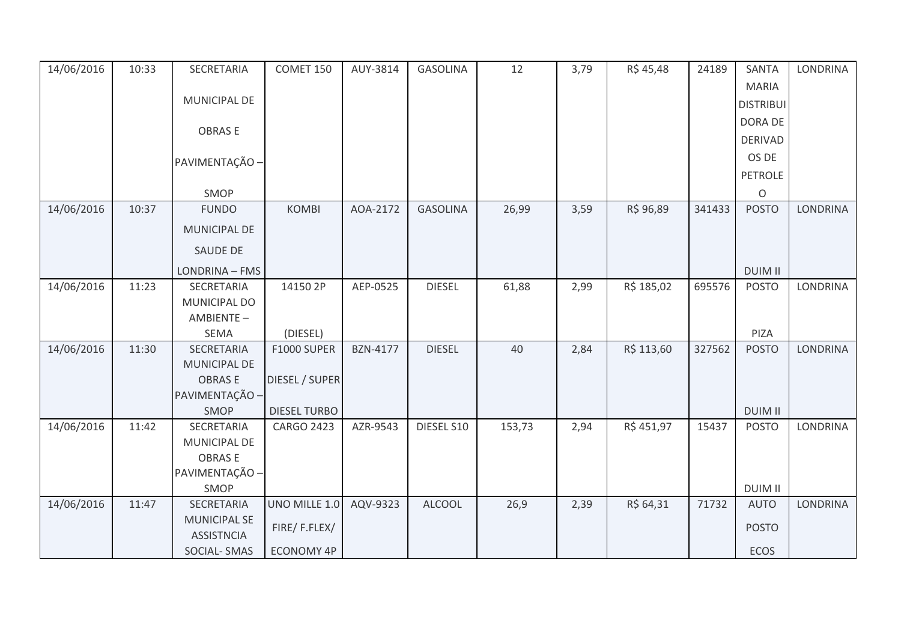| 14/06/2016 | 10:33 | SECRETARIA          | COMET 150           | AUY-3814        | <b>GASOLINA</b> | 12     | 3,79 | R\$ 45,48  | 24189  | <b>SANTA</b>     | <b>LONDRINA</b> |
|------------|-------|---------------------|---------------------|-----------------|-----------------|--------|------|------------|--------|------------------|-----------------|
|            |       |                     |                     |                 |                 |        |      |            |        | <b>MARIA</b>     |                 |
|            |       | MUNICIPAL DE        |                     |                 |                 |        |      |            |        | <b>DISTRIBUI</b> |                 |
|            |       |                     |                     |                 |                 |        |      |            |        | DORA DE          |                 |
|            |       | <b>OBRASE</b>       |                     |                 |                 |        |      |            |        | <b>DERIVAD</b>   |                 |
|            |       | PAVIMENTAÇÃO -      |                     |                 |                 |        |      |            |        | OS DE            |                 |
|            |       |                     |                     |                 |                 |        |      |            |        | <b>PETROLE</b>   |                 |
|            |       | SMOP                |                     |                 |                 |        |      |            |        | $\mathsf O$      |                 |
| 14/06/2016 | 10:37 | <b>FUNDO</b>        | <b>KOMBI</b>        | AOA-2172        | <b>GASOLINA</b> | 26,99  | 3,59 | R\$ 96,89  | 341433 | <b>POSTO</b>     | <b>LONDRINA</b> |
|            |       | MUNICIPAL DE        |                     |                 |                 |        |      |            |        |                  |                 |
|            |       | <b>SAUDE DE</b>     |                     |                 |                 |        |      |            |        |                  |                 |
|            |       | LONDRINA - FMS      |                     |                 |                 |        |      |            |        | <b>DUIM II</b>   |                 |
| 14/06/2016 | 11:23 | SECRETARIA          | 14150 2P            | AEP-0525        | <b>DIESEL</b>   | 61,88  | 2,99 | R\$ 185,02 | 695576 | <b>POSTO</b>     | <b>LONDRINA</b> |
|            |       | MUNICIPAL DO        |                     |                 |                 |        |      |            |        |                  |                 |
|            |       | AMBIENTE-           |                     |                 |                 |        |      |            |        |                  |                 |
|            |       | SEMA                | (DIESEL)            |                 |                 |        |      |            |        | PIZA             |                 |
| 14/06/2016 | 11:30 | SECRETARIA          | F1000 SUPER         | <b>BZN-4177</b> | <b>DIESEL</b>   | 40     | 2,84 | R\$ 113,60 | 327562 | <b>POSTO</b>     | LONDRINA        |
|            |       | MUNICIPAL DE        |                     |                 |                 |        |      |            |        |                  |                 |
|            |       | <b>OBRASE</b>       | DIESEL / SUPER      |                 |                 |        |      |            |        |                  |                 |
|            |       | PAVIMENTAÇÃO -      |                     |                 |                 |        |      |            |        |                  |                 |
|            |       | SMOP                | <b>DIESEL TURBO</b> |                 |                 |        |      |            |        | <b>DUIM II</b>   |                 |
| 14/06/2016 | 11:42 | SECRETARIA          | <b>CARGO 2423</b>   | AZR-9543        | DIESEL S10      | 153,73 | 2,94 | R\$ 451,97 | 15437  | <b>POSTO</b>     | <b>LONDRINA</b> |
|            |       | MUNICIPAL DE        |                     |                 |                 |        |      |            |        |                  |                 |
|            |       | <b>OBRASE</b>       |                     |                 |                 |        |      |            |        |                  |                 |
|            |       | PAVIMENTAÇÃO -      |                     |                 |                 |        |      |            |        |                  |                 |
|            |       | SMOP                |                     |                 |                 |        |      |            |        | <b>DUIM II</b>   |                 |
| 14/06/2016 | 11:47 | SECRETARIA          | UNO MILLE 1.0       | AQV-9323        | <b>ALCOOL</b>   | 26,9   | 2,39 | R\$ 64,31  | 71732  | <b>AUTO</b>      | <b>LONDRINA</b> |
|            |       | <b>MUNICIPAL SE</b> | FIRE/F.FLEX/        |                 |                 |        |      |            |        | <b>POSTO</b>     |                 |
|            |       | <b>ASSISTNCIA</b>   |                     |                 |                 |        |      |            |        |                  |                 |
|            |       | <b>SOCIAL-SMAS</b>  | <b>ECONOMY 4P</b>   |                 |                 |        |      |            |        | ECOS             |                 |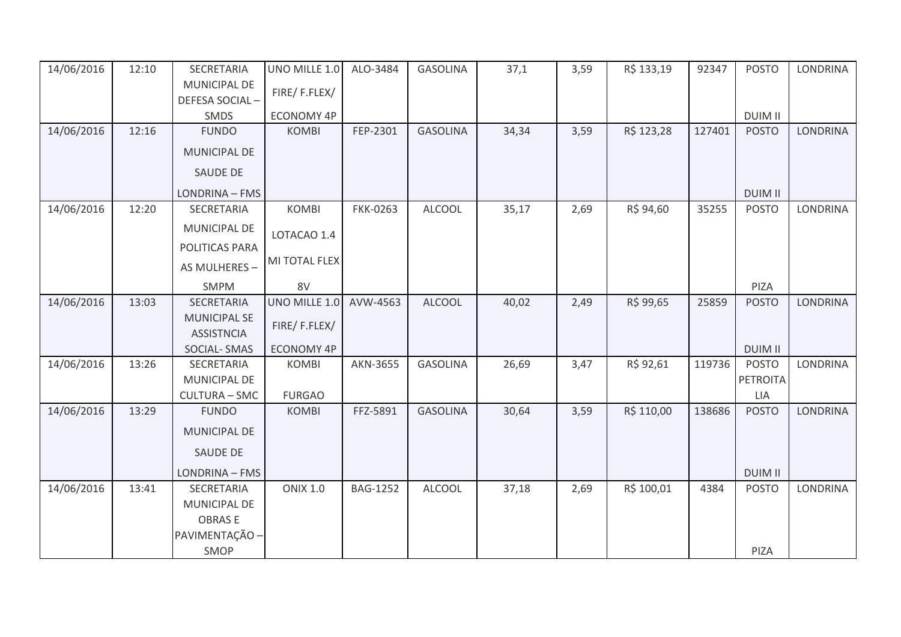| 14/06/2016 | 12:10 | SECRETARIA           | UNO MILLE 1.0     | ALO-3484        | <b>GASOLINA</b> | 37,1  | 3,59 | R\$ 133,19 | 92347  | <b>POSTO</b>   | <b>LONDRINA</b> |
|------------|-------|----------------------|-------------------|-----------------|-----------------|-------|------|------------|--------|----------------|-----------------|
|            |       | MUNICIPAL DE         | FIRE/F.FLEX/      |                 |                 |       |      |            |        |                |                 |
|            |       | DEFESA SOCIAL-       |                   |                 |                 |       |      |            |        |                |                 |
|            |       | SMDS                 | <b>ECONOMY 4P</b> |                 |                 |       |      |            |        | <b>DUIM II</b> |                 |
| 14/06/2016 | 12:16 | <b>FUNDO</b>         | <b>KOMBI</b>      | FEP-2301        | <b>GASOLINA</b> | 34,34 | 3,59 | R\$ 123,28 | 127401 | <b>POSTO</b>   | <b>LONDRINA</b> |
|            |       | MUNICIPAL DE         |                   |                 |                 |       |      |            |        |                |                 |
|            |       | SAUDE DE             |                   |                 |                 |       |      |            |        |                |                 |
|            |       | LONDRINA - FMS       |                   |                 |                 |       |      |            |        | <b>DUIM II</b> |                 |
| 14/06/2016 | 12:20 | SECRETARIA           | <b>KOMBI</b>      | <b>FKK-0263</b> | <b>ALCOOL</b>   | 35,17 | 2,69 | R\$ 94,60  | 35255  | <b>POSTO</b>   | <b>LONDRINA</b> |
|            |       | <b>MUNICIPAL DE</b>  | LOTACAO 1.4       |                 |                 |       |      |            |        |                |                 |
|            |       | POLITICAS PARA       |                   |                 |                 |       |      |            |        |                |                 |
|            |       | AS MULHERES -        | MI TOTAL FLEX     |                 |                 |       |      |            |        |                |                 |
|            |       | <b>SMPM</b>          | 8V                |                 |                 |       |      |            |        | PIZA           |                 |
| 14/06/2016 | 13:03 | SECRETARIA           | UNO MILLE 1.0     | AVW-4563        | <b>ALCOOL</b>   | 40,02 | 2,49 | R\$ 99,65  | 25859  | <b>POSTO</b>   | <b>LONDRINA</b> |
|            |       | <b>MUNICIPAL SE</b>  | FIRE/F.FLEX/      |                 |                 |       |      |            |        |                |                 |
|            |       | <b>ASSISTNCIA</b>    |                   |                 |                 |       |      |            |        |                |                 |
|            |       | SOCIAL-SMAS          | <b>ECONOMY 4P</b> |                 |                 |       |      |            |        | <b>DUIM II</b> |                 |
| 14/06/2016 | 13:26 | SECRETARIA           | <b>KOMBI</b>      | AKN-3655        | <b>GASOLINA</b> | 26,69 | 3,47 | R\$ 92,61  | 119736 | <b>POSTO</b>   | LONDRINA        |
|            |       | MUNICIPAL DE         |                   |                 |                 |       |      |            |        | PETROITA       |                 |
|            |       | <b>CULTURA - SMC</b> | <b>FURGAO</b>     |                 |                 |       |      |            |        | <b>LIA</b>     |                 |
| 14/06/2016 | 13:29 | <b>FUNDO</b>         | <b>KOMBI</b>      | FFZ-5891        | <b>GASOLINA</b> | 30,64 | 3,59 | R\$ 110,00 | 138686 | <b>POSTO</b>   | LONDRINA        |
|            |       | MUNICIPAL DE         |                   |                 |                 |       |      |            |        |                |                 |
|            |       | SAUDE DE             |                   |                 |                 |       |      |            |        |                |                 |
|            |       | LONDRINA - FMS       |                   |                 |                 |       |      |            |        | <b>DUIM II</b> |                 |
| 14/06/2016 | 13:41 | SECRETARIA           | <b>ONIX 1.0</b>   | <b>BAG-1252</b> | <b>ALCOOL</b>   | 37,18 | 2,69 | R\$ 100,01 | 4384   | <b>POSTO</b>   | <b>LONDRINA</b> |
|            |       | MUNICIPAL DE         |                   |                 |                 |       |      |            |        |                |                 |
|            |       | <b>OBRASE</b>        |                   |                 |                 |       |      |            |        |                |                 |
|            |       | PAVIMENTAÇÃO -       |                   |                 |                 |       |      |            |        |                |                 |
|            |       | SMOP                 |                   |                 |                 |       |      |            |        | PIZA           |                 |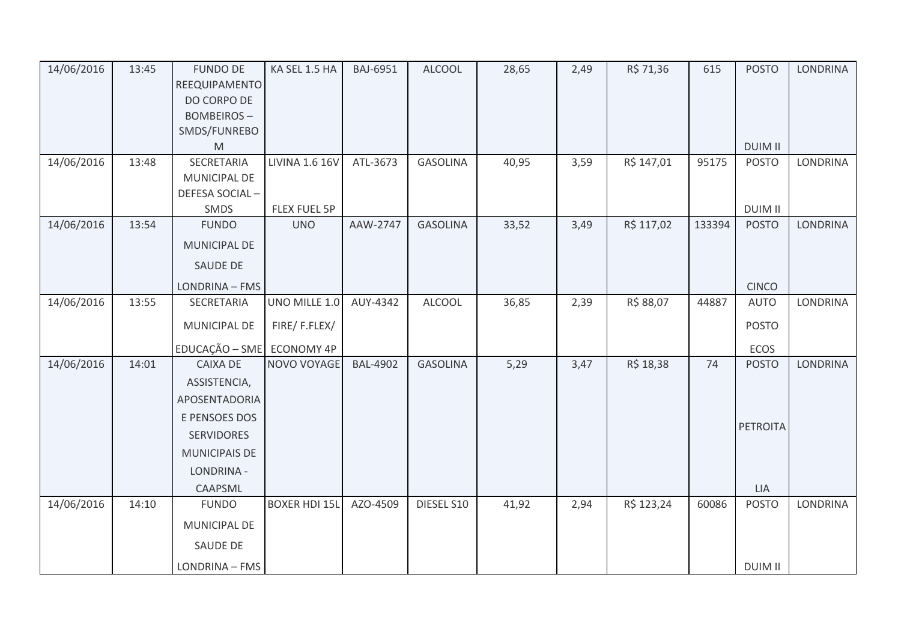| 14/06/2016 | 13:45 | <b>FUNDO DE</b>           | KA SEL 1.5 HA        | <b>BAJ-6951</b> | <b>ALCOOL</b>   | 28,65 | 2,49 | R\$ 71,36  | 615    | <b>POSTO</b>    | <b>LONDRINA</b> |
|------------|-------|---------------------------|----------------------|-----------------|-----------------|-------|------|------------|--------|-----------------|-----------------|
|            |       | REEQUIPAMENTO             |                      |                 |                 |       |      |            |        |                 |                 |
|            |       | DO CORPO DE               |                      |                 |                 |       |      |            |        |                 |                 |
|            |       | <b>BOMBEIROS-</b>         |                      |                 |                 |       |      |            |        |                 |                 |
|            |       | SMDS/FUNREBO              |                      |                 |                 |       |      |            |        |                 |                 |
|            |       | M                         |                      |                 |                 |       |      |            |        | <b>DUIM II</b>  |                 |
| 14/06/2016 | 13:48 | SECRETARIA                | LIVINA 1.6 16V       | ATL-3673        | <b>GASOLINA</b> | 40,95 | 3,59 | R\$ 147,01 | 95175  | <b>POSTO</b>    | <b>LONDRINA</b> |
|            |       | MUNICIPAL DE              |                      |                 |                 |       |      |            |        |                 |                 |
|            |       | DEFESA SOCIAL-            |                      |                 |                 |       |      |            |        |                 |                 |
|            |       | SMDS                      | FLEX FUEL 5P         |                 |                 |       |      |            |        | <b>DUIM II</b>  |                 |
| 14/06/2016 | 13:54 | <b>FUNDO</b>              | <b>UNO</b>           | AAW-2747        | <b>GASOLINA</b> | 33,52 | 3,49 | R\$ 117,02 | 133394 | <b>POSTO</b>    | <b>LONDRINA</b> |
|            |       | MUNICIPAL DE              |                      |                 |                 |       |      |            |        |                 |                 |
|            |       | <b>SAUDE DE</b>           |                      |                 |                 |       |      |            |        |                 |                 |
|            |       | LONDRINA - FMS            |                      |                 |                 |       |      |            |        | <b>CINCO</b>    |                 |
| 14/06/2016 | 13:55 | SECRETARIA                | UNO MILLE 1.0        | AUY-4342        | <b>ALCOOL</b>   | 36,85 | 2,39 | R\$ 88,07  | 44887  | <b>AUTO</b>     | LONDRINA        |
|            |       | MUNICIPAL DE              | FIRE/F.FLEX/         |                 |                 |       |      |            |        | <b>POSTO</b>    |                 |
|            |       | EDUCAÇÃO - SME ECONOMY 4P |                      |                 |                 |       |      |            |        | ECOS            |                 |
| 14/06/2016 | 14:01 | <b>CAIXA DE</b>           | NOVO VOYAGE          | <b>BAL-4902</b> | <b>GASOLINA</b> | 5,29  | 3,47 | R\$ 18,38  | 74     | <b>POSTO</b>    | <b>LONDRINA</b> |
|            |       | ASSISTENCIA,              |                      |                 |                 |       |      |            |        |                 |                 |
|            |       | APOSENTADORIA             |                      |                 |                 |       |      |            |        |                 |                 |
|            |       | E PENSOES DOS             |                      |                 |                 |       |      |            |        |                 |                 |
|            |       | <b>SERVIDORES</b>         |                      |                 |                 |       |      |            |        | <b>PETROITA</b> |                 |
|            |       | <b>MUNICIPAIS DE</b>      |                      |                 |                 |       |      |            |        |                 |                 |
|            |       | LONDRINA -                |                      |                 |                 |       |      |            |        |                 |                 |
|            |       | CAAPSML                   |                      |                 |                 |       |      |            |        | LIA             |                 |
| 14/06/2016 | 14:10 | <b>FUNDO</b>              | <b>BOXER HDI 15L</b> | AZO-4509        | DIESEL S10      | 41,92 | 2,94 | R\$ 123,24 | 60086  | <b>POSTO</b>    | LONDRINA        |
|            |       | MUNICIPAL DE              |                      |                 |                 |       |      |            |        |                 |                 |
|            |       | SAUDE DE                  |                      |                 |                 |       |      |            |        |                 |                 |
|            |       | LONDRINA - FMS            |                      |                 |                 |       |      |            |        | <b>DUIM II</b>  |                 |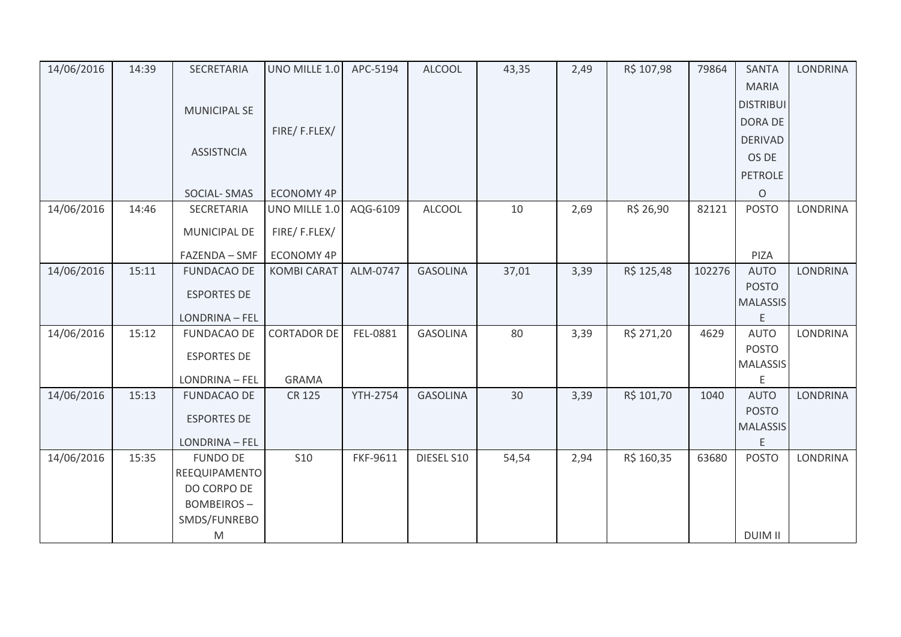| 14/06/2016 | 14:39 | SECRETARIA          | UNO MILLE 1.0      | APC-5194        | <b>ALCOOL</b>   | 43,35 | 2,49 | R\$ 107,98 | 79864  | <b>SANTA</b>         | <b>LONDRINA</b> |
|------------|-------|---------------------|--------------------|-----------------|-----------------|-------|------|------------|--------|----------------------|-----------------|
|            |       |                     |                    |                 |                 |       |      |            |        | <b>MARIA</b>         |                 |
|            |       | <b>MUNICIPAL SE</b> |                    |                 |                 |       |      |            |        | <b>DISTRIBUI</b>     |                 |
|            |       |                     |                    |                 |                 |       |      |            |        | <b>DORA DE</b>       |                 |
|            |       |                     | FIRE/F.FLEX/       |                 |                 |       |      |            |        | <b>DERIVAD</b>       |                 |
|            |       | <b>ASSISTNCIA</b>   |                    |                 |                 |       |      |            |        | OS DE                |                 |
|            |       |                     |                    |                 |                 |       |      |            |        | <b>PETROLE</b>       |                 |
|            |       | SOCIAL-SMAS         | <b>ECONOMY 4P</b>  |                 |                 |       |      |            |        | $\circ$              |                 |
| 14/06/2016 | 14:46 | SECRETARIA          | UNO MILLE 1.0      | AQG-6109        | ALCOOL          | 10    | 2,69 | R\$ 26,90  | 82121  | <b>POSTO</b>         | LONDRINA        |
|            |       | MUNICIPAL DE        | FIRE/F.FLEX/       |                 |                 |       |      |            |        |                      |                 |
|            |       |                     |                    |                 |                 |       |      |            |        |                      |                 |
|            |       | FAZENDA - SMF       | ECONOMY 4P         |                 |                 |       |      |            |        | PIZA                 |                 |
| 14/06/2016 | 15:11 | <b>FUNDACAO DE</b>  | <b>KOMBI CARAT</b> | ALM-0747        | <b>GASOLINA</b> | 37,01 | 3,39 | R\$ 125,48 | 102276 | <b>AUTO</b>          | <b>LONDRINA</b> |
|            |       | <b>ESPORTES DE</b>  |                    |                 |                 |       |      |            |        | <b>POSTO</b>         |                 |
|            |       |                     |                    |                 |                 |       |      |            |        | <b>MALASSIS</b>      |                 |
|            |       | LONDRINA - FEL      |                    |                 |                 |       |      |            |        | E                    |                 |
| 14/06/2016 | 15:12 | <b>FUNDACAO DE</b>  | <b>CORTADOR DE</b> | FEL-0881        | <b>GASOLINA</b> | 80    | 3,39 | R\$ 271,20 | 4629   | <b>AUTO</b>          | <b>LONDRINA</b> |
|            |       | <b>ESPORTES DE</b>  |                    |                 |                 |       |      |            |        | <b>POSTO</b>         |                 |
|            |       |                     |                    |                 |                 |       |      |            |        | <b>MALASSIS</b>      |                 |
|            |       | LONDRINA - FEL      | <b>GRAMA</b>       |                 |                 |       |      |            |        | E                    |                 |
| 14/06/2016 | 15:13 | <b>FUNDACAO DE</b>  | CR 125             | <b>YTH-2754</b> | <b>GASOLINA</b> | 30    | 3,39 | R\$ 101,70 | 1040   | <b>AUTO</b>          | <b>LONDRINA</b> |
|            |       | <b>ESPORTES DE</b>  |                    |                 |                 |       |      |            |        | <b>POSTO</b>         |                 |
|            |       | LONDRINA - FEL      |                    |                 |                 |       |      |            |        | <b>MALASSIS</b><br>E |                 |
|            |       |                     |                    |                 |                 |       |      |            |        |                      |                 |
| 14/06/2016 | 15:35 | <b>FUNDO DE</b>     | <b>S10</b>         | FKF-9611        | DIESEL S10      | 54,54 | 2,94 | R\$ 160,35 | 63680  | <b>POSTO</b>         | LONDRINA        |
|            |       | REEQUIPAMENTO       |                    |                 |                 |       |      |            |        |                      |                 |
|            |       | DO CORPO DE         |                    |                 |                 |       |      |            |        |                      |                 |
|            |       | <b>BOMBEIROS-</b>   |                    |                 |                 |       |      |            |        |                      |                 |
|            |       | SMDS/FUNREBO        |                    |                 |                 |       |      |            |        |                      |                 |
|            |       | M                   |                    |                 |                 |       |      |            |        | <b>DUIM II</b>       |                 |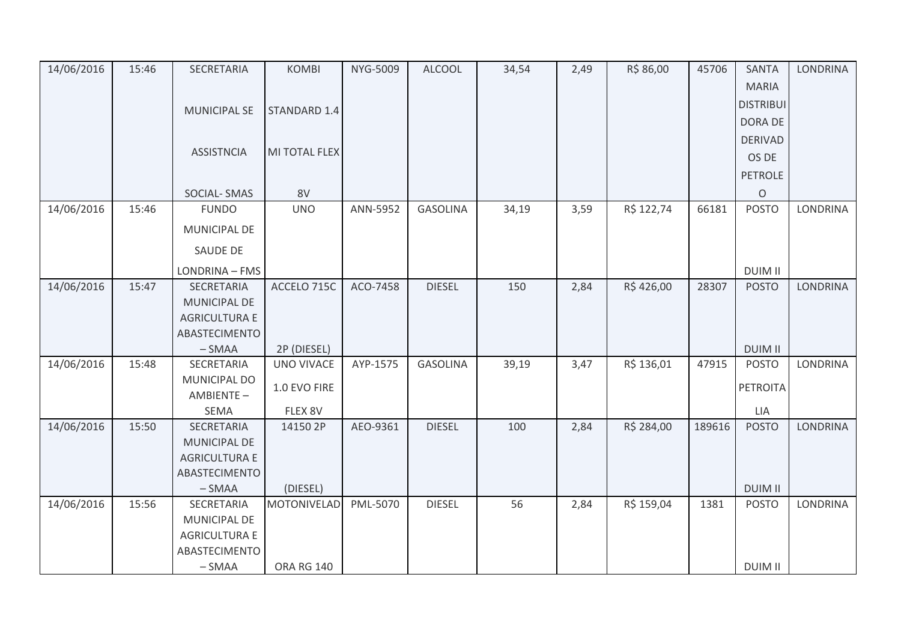| 14/06/2016 | 15:46 | SECRETARIA                | <b>KOMBI</b>      | NYG-5009 | <b>ALCOOL</b>   | 34,54 | 2,49 | R\$ 86,00  | 45706  | <b>SANTA</b>     | <b>LONDRINA</b> |
|------------|-------|---------------------------|-------------------|----------|-----------------|-------|------|------------|--------|------------------|-----------------|
|            |       |                           |                   |          |                 |       |      |            |        | <b>MARIA</b>     |                 |
|            |       | <b>MUNICIPAL SE</b>       | STANDARD 1.4      |          |                 |       |      |            |        | <b>DISTRIBUI</b> |                 |
|            |       |                           |                   |          |                 |       |      |            |        | DORA DE          |                 |
|            |       |                           |                   |          |                 |       |      |            |        | <b>DERIVAD</b>   |                 |
|            |       | <b>ASSISTNCIA</b>         | MI TOTAL FLEX     |          |                 |       |      |            |        | OS DE            |                 |
|            |       |                           |                   |          |                 |       |      |            |        | <b>PETROLE</b>   |                 |
|            |       | SOCIAL-SMAS               | 8V                |          |                 |       |      |            |        | O                |                 |
| 14/06/2016 | 15:46 | <b>FUNDO</b>              | <b>UNO</b>        | ANN-5952 | <b>GASOLINA</b> | 34,19 | 3,59 | R\$ 122,74 | 66181  | <b>POSTO</b>     | <b>LONDRINA</b> |
|            |       | <b>MUNICIPAL DE</b>       |                   |          |                 |       |      |            |        |                  |                 |
|            |       | SAUDE DE                  |                   |          |                 |       |      |            |        |                  |                 |
|            |       | LONDRINA - FMS            |                   |          |                 |       |      |            |        | <b>DUIM II</b>   |                 |
| 14/06/2016 | 15:47 | SECRETARIA                | ACCELO 715C       | ACO-7458 | <b>DIESEL</b>   | 150   | 2,84 | R\$426,00  | 28307  | <b>POSTO</b>     | <b>LONDRINA</b> |
|            |       | MUNICIPAL DE              |                   |          |                 |       |      |            |        |                  |                 |
|            |       | <b>AGRICULTURA E</b>      |                   |          |                 |       |      |            |        |                  |                 |
|            |       | ABASTECIMENTO             |                   |          |                 |       |      |            |        |                  |                 |
|            |       | $-SMAA$                   | 2P (DIESEL)       |          |                 |       |      |            |        | <b>DUIM II</b>   |                 |
| 14/06/2016 | 15:48 | SECRETARIA                | <b>UNO VIVACE</b> | AYP-1575 | <b>GASOLINA</b> | 39,19 | 3,47 | R\$ 136,01 | 47915  | <b>POSTO</b>     | <b>LONDRINA</b> |
|            |       | MUNICIPAL DO<br>AMBIENTE- | 1.0 EVO FIRE      |          |                 |       |      |            |        | PETROITA         |                 |
|            |       | <b>SEMA</b>               | FLEX 8V           |          |                 |       |      |            |        | LIA              |                 |
| 14/06/2016 | 15:50 | SECRETARIA                | 14150 2P          | AEO-9361 | <b>DIESEL</b>   | 100   | 2,84 | R\$ 284,00 | 189616 | <b>POSTO</b>     | <b>LONDRINA</b> |
|            |       | MUNICIPAL DE              |                   |          |                 |       |      |            |        |                  |                 |
|            |       | <b>AGRICULTURA E</b>      |                   |          |                 |       |      |            |        |                  |                 |
|            |       | ABASTECIMENTO             |                   |          |                 |       |      |            |        |                  |                 |
|            |       | $-SMAA$                   | (DIESEL)          |          |                 |       |      |            |        | <b>DUIM II</b>   |                 |
| 14/06/2016 | 15:56 | SECRETARIA                | MOTONIVELAD       | PML-5070 | <b>DIESEL</b>   | 56    | 2,84 | R\$ 159,04 | 1381   | <b>POSTO</b>     | <b>LONDRINA</b> |
|            |       | MUNICIPAL DE              |                   |          |                 |       |      |            |        |                  |                 |
|            |       | <b>AGRICULTURA E</b>      |                   |          |                 |       |      |            |        |                  |                 |
|            |       | ABASTECIMENTO             |                   |          |                 |       |      |            |        |                  |                 |
|            |       | $-SMAA$                   | <b>ORA RG 140</b> |          |                 |       |      |            |        | <b>DUIM II</b>   |                 |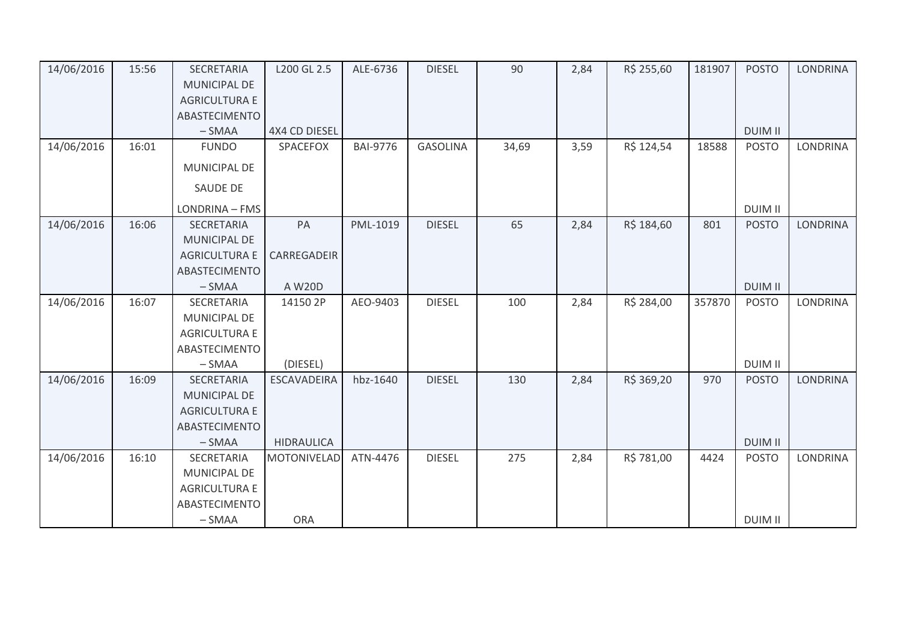| 14/06/2016 | 15:56 | SECRETARIA           | L200 GL 2.5        | ALE-6736        | <b>DIESEL</b>   | 90    | 2,84 | R\$ 255,60 | 181907 | <b>POSTO</b>   | <b>LONDRINA</b> |
|------------|-------|----------------------|--------------------|-----------------|-----------------|-------|------|------------|--------|----------------|-----------------|
|            |       | <b>MUNICIPAL DE</b>  |                    |                 |                 |       |      |            |        |                |                 |
|            |       | <b>AGRICULTURA E</b> |                    |                 |                 |       |      |            |        |                |                 |
|            |       | ABASTECIMENTO        |                    |                 |                 |       |      |            |        |                |                 |
|            |       | $-SMAA$              | 4X4 CD DIESEL      |                 |                 |       |      |            |        | <b>DUIM II</b> |                 |
| 14/06/2016 | 16:01 | <b>FUNDO</b>         | SPACEFOX           | <b>BAI-9776</b> | <b>GASOLINA</b> | 34,69 | 3,59 | R\$ 124,54 | 18588  | <b>POSTO</b>   | <b>LONDRINA</b> |
|            |       | MUNICIPAL DE         |                    |                 |                 |       |      |            |        |                |                 |
|            |       | <b>SAUDE DE</b>      |                    |                 |                 |       |      |            |        |                |                 |
|            |       | LONDRINA - FMS       |                    |                 |                 |       |      |            |        | <b>DUIM II</b> |                 |
| 14/06/2016 | 16:06 | <b>SECRETARIA</b>    | PA                 | PML-1019        | <b>DIESEL</b>   | 65    | 2,84 | R\$ 184,60 | 801    | <b>POSTO</b>   | <b>LONDRINA</b> |
|            |       | <b>MUNICIPAL DE</b>  |                    |                 |                 |       |      |            |        |                |                 |
|            |       | <b>AGRICULTURA E</b> | CARREGADEIR        |                 |                 |       |      |            |        |                |                 |
|            |       | ABASTECIMENTO        |                    |                 |                 |       |      |            |        |                |                 |
|            |       | $-SMAA$              | A W20D             |                 |                 |       |      |            |        | <b>DUIM II</b> |                 |
| 14/06/2016 | 16:07 | SECRETARIA           | 14150 2P           | AEO-9403        | <b>DIESEL</b>   | 100   | 2,84 | R\$ 284,00 | 357870 | <b>POSTO</b>   | <b>LONDRINA</b> |
|            |       | MUNICIPAL DE         |                    |                 |                 |       |      |            |        |                |                 |
|            |       | <b>AGRICULTURA E</b> |                    |                 |                 |       |      |            |        |                |                 |
|            |       | ABASTECIMENTO        |                    |                 |                 |       |      |            |        |                |                 |
|            |       | $-SMAA$              | (DIESEL)           |                 |                 |       |      |            |        | <b>DUIM II</b> |                 |
| 14/06/2016 | 16:09 | SECRETARIA           | <b>ESCAVADEIRA</b> | hbz-1640        | <b>DIESEL</b>   | 130   | 2,84 | R\$ 369,20 | 970    | <b>POSTO</b>   | <b>LONDRINA</b> |
|            |       | <b>MUNICIPAL DE</b>  |                    |                 |                 |       |      |            |        |                |                 |
|            |       | <b>AGRICULTURA E</b> |                    |                 |                 |       |      |            |        |                |                 |
|            |       | ABASTECIMENTO        |                    |                 |                 |       |      |            |        |                |                 |
|            |       | $-SMAA$              | <b>HIDRAULICA</b>  |                 |                 |       |      |            |        | <b>DUIM II</b> |                 |
| 14/06/2016 | 16:10 | SECRETARIA           | <b>MOTONIVELAD</b> | ATN-4476        | <b>DIESEL</b>   | 275   | 2,84 | R\$ 781,00 | 4424   | <b>POSTO</b>   | LONDRINA        |
|            |       | <b>MUNICIPAL DE</b>  |                    |                 |                 |       |      |            |        |                |                 |
|            |       | <b>AGRICULTURA E</b> |                    |                 |                 |       |      |            |        |                |                 |
|            |       | ABASTECIMENTO        |                    |                 |                 |       |      |            |        |                |                 |
|            |       | $-SMAA$              | <b>ORA</b>         |                 |                 |       |      |            |        | <b>DUIM II</b> |                 |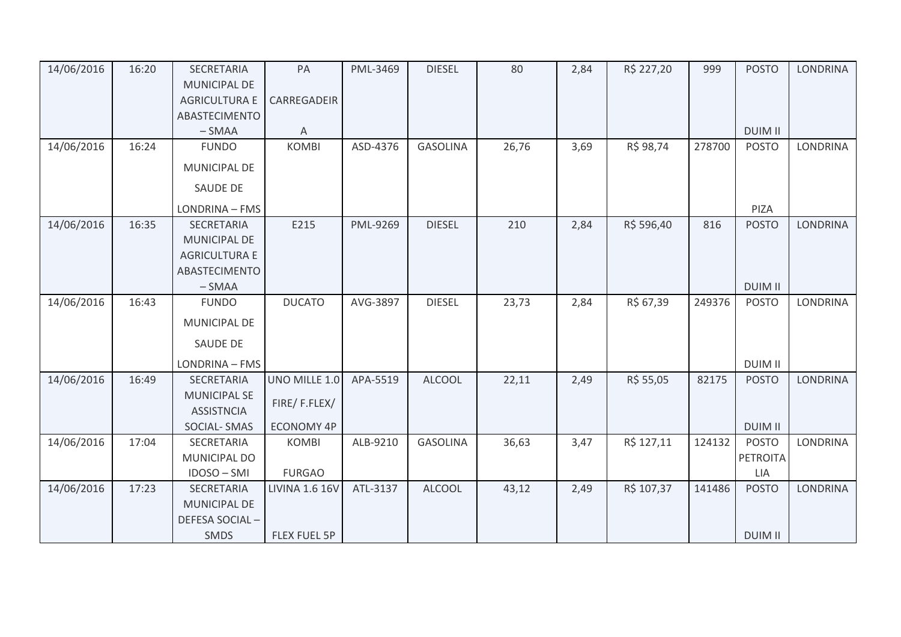| 14/06/2016 | 16:20 | SECRETARIA           | PA                    | PML-3469 | <b>DIESEL</b>   | 80    | 2,84 | R\$ 227,20 | 999    | <b>POSTO</b>    | <b>LONDRINA</b> |
|------------|-------|----------------------|-----------------------|----------|-----------------|-------|------|------------|--------|-----------------|-----------------|
|            |       | <b>MUNICIPAL DE</b>  |                       |          |                 |       |      |            |        |                 |                 |
|            |       | <b>AGRICULTURA E</b> | CARREGADEIR           |          |                 |       |      |            |        |                 |                 |
|            |       | ABASTECIMENTO        |                       |          |                 |       |      |            |        |                 |                 |
|            |       | $-SMAA$              | Α                     |          |                 |       |      |            |        | <b>DUIM II</b>  |                 |
| 14/06/2016 | 16:24 | <b>FUNDO</b>         | <b>KOMBI</b>          | ASD-4376 | <b>GASOLINA</b> | 26,76 | 3,69 | R\$ 98,74  | 278700 | <b>POSTO</b>    | <b>LONDRINA</b> |
|            |       | <b>MUNICIPAL DE</b>  |                       |          |                 |       |      |            |        |                 |                 |
|            |       | SAUDE DE             |                       |          |                 |       |      |            |        |                 |                 |
|            |       | LONDRINA - FMS       |                       |          |                 |       |      |            |        | PIZA            |                 |
| 14/06/2016 | 16:35 | <b>SECRETARIA</b>    | E215                  | PML-9269 | <b>DIESEL</b>   | 210   | 2,84 | R\$ 596,40 | 816    | <b>POSTO</b>    | <b>LONDRINA</b> |
|            |       | <b>MUNICIPAL DE</b>  |                       |          |                 |       |      |            |        |                 |                 |
|            |       | <b>AGRICULTURA E</b> |                       |          |                 |       |      |            |        |                 |                 |
|            |       | <b>ABASTECIMENTO</b> |                       |          |                 |       |      |            |        |                 |                 |
|            |       | $-SMAA$              |                       |          |                 |       |      |            |        | <b>DUIM II</b>  |                 |
| 14/06/2016 | 16:43 | <b>FUNDO</b>         | <b>DUCATO</b>         | AVG-3897 | <b>DIESEL</b>   | 23,73 | 2,84 | R\$ 67,39  | 249376 | <b>POSTO</b>    | LONDRINA        |
|            |       | MUNICIPAL DE         |                       |          |                 |       |      |            |        |                 |                 |
|            |       | <b>SAUDE DE</b>      |                       |          |                 |       |      |            |        |                 |                 |
|            |       | LONDRINA - FMS       |                       |          |                 |       |      |            |        | <b>DUIM II</b>  |                 |
| 14/06/2016 | 16:49 | SECRETARIA           | UNO MILLE 1.0         | APA-5519 | <b>ALCOOL</b>   | 22,11 | 2,49 | R\$ 55,05  | 82175  | <b>POSTO</b>    | <b>LONDRINA</b> |
|            |       | <b>MUNICIPAL SE</b>  |                       |          |                 |       |      |            |        |                 |                 |
|            |       | <b>ASSISTNCIA</b>    | FIRE/F.FLEX/          |          |                 |       |      |            |        |                 |                 |
|            |       | SOCIAL-SMAS          | <b>ECONOMY 4P</b>     |          |                 |       |      |            |        | <b>DUIM II</b>  |                 |
| 14/06/2016 | 17:04 | SECRETARIA           | <b>KOMBI</b>          | ALB-9210 | <b>GASOLINA</b> | 36,63 | 3,47 | R\$ 127,11 | 124132 | <b>POSTO</b>    | <b>LONDRINA</b> |
|            |       | MUNICIPAL DO         |                       |          |                 |       |      |            |        | <b>PETROITA</b> |                 |
|            |       | IDOSO-SMI            | <b>FURGAO</b>         |          |                 |       |      |            |        | <b>LIA</b>      |                 |
| 14/06/2016 | 17:23 | SECRETARIA           | <b>LIVINA 1.6 16V</b> | ATL-3137 | <b>ALCOOL</b>   | 43,12 | 2,49 | R\$ 107,37 | 141486 | <b>POSTO</b>    | <b>LONDRINA</b> |
|            |       | <b>MUNICIPAL DE</b>  |                       |          |                 |       |      |            |        |                 |                 |
|            |       | DEFESA SOCIAL-       |                       |          |                 |       |      |            |        |                 |                 |
|            |       | <b>SMDS</b>          | <b>FLEX FUEL 5P</b>   |          |                 |       |      |            |        | <b>DUIM II</b>  |                 |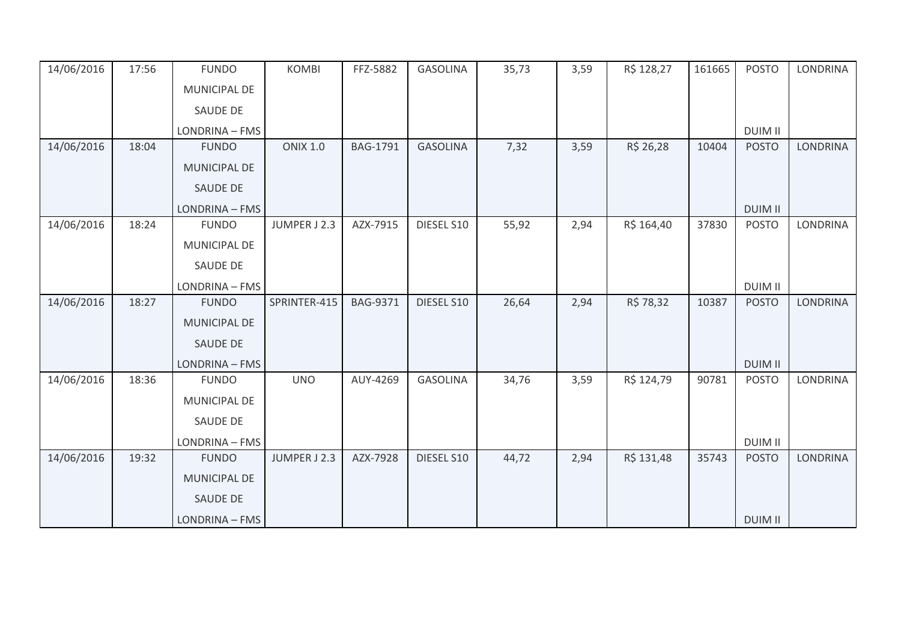| 14/06/2016 | 17:56 | <b>FUNDO</b>        | <b>KOMBI</b>    | FFZ-5882        | <b>GASOLINA</b> | 35,73 | 3,59 | R\$ 128,27 | 161665 | <b>POSTO</b>   | <b>LONDRINA</b> |
|------------|-------|---------------------|-----------------|-----------------|-----------------|-------|------|------------|--------|----------------|-----------------|
|            |       | MUNICIPAL DE        |                 |                 |                 |       |      |            |        |                |                 |
|            |       | <b>SAUDE DE</b>     |                 |                 |                 |       |      |            |        |                |                 |
|            |       | LONDRINA - FMS      |                 |                 |                 |       |      |            |        | <b>DUIM II</b> |                 |
| 14/06/2016 | 18:04 | <b>FUNDO</b>        | <b>ONIX 1.0</b> | <b>BAG-1791</b> | <b>GASOLINA</b> | 7,32  | 3,59 | R\$ 26,28  | 10404  | <b>POSTO</b>   | <b>LONDRINA</b> |
|            |       | MUNICIPAL DE        |                 |                 |                 |       |      |            |        |                |                 |
|            |       | <b>SAUDE DE</b>     |                 |                 |                 |       |      |            |        |                |                 |
|            |       | LONDRINA - FMS      |                 |                 |                 |       |      |            |        | <b>DUIM II</b> |                 |
| 14/06/2016 | 18:24 | <b>FUNDO</b>        | JUMPER J 2.3    | AZX-7915        | DIESEL S10      | 55,92 | 2,94 | R\$ 164,40 | 37830  | <b>POSTO</b>   | <b>LONDRINA</b> |
|            |       | MUNICIPAL DE        |                 |                 |                 |       |      |            |        |                |                 |
|            |       | <b>SAUDE DE</b>     |                 |                 |                 |       |      |            |        |                |                 |
|            |       | LONDRINA - FMS      |                 |                 |                 |       |      |            |        | <b>DUIM II</b> |                 |
| 14/06/2016 | 18:27 | <b>FUNDO</b>        | SPRINTER-415    | <b>BAG-9371</b> | DIESEL S10      | 26,64 | 2,94 | R\$ 78,32  | 10387  | <b>POSTO</b>   | <b>LONDRINA</b> |
|            |       | MUNICIPAL DE        |                 |                 |                 |       |      |            |        |                |                 |
|            |       | <b>SAUDE DE</b>     |                 |                 |                 |       |      |            |        |                |                 |
|            |       | LONDRINA - FMS      |                 |                 |                 |       |      |            |        | <b>DUIM II</b> |                 |
| 14/06/2016 | 18:36 | <b>FUNDO</b>        | <b>UNO</b>      | AUY-4269        | <b>GASOLINA</b> | 34,76 | 3,59 | R\$ 124,79 | 90781  | <b>POSTO</b>   | <b>LONDRINA</b> |
|            |       | MUNICIPAL DE        |                 |                 |                 |       |      |            |        |                |                 |
|            |       | <b>SAUDE DE</b>     |                 |                 |                 |       |      |            |        |                |                 |
|            |       | LONDRINA - FMS      |                 |                 |                 |       |      |            |        | <b>DUIM II</b> |                 |
| 14/06/2016 | 19:32 | <b>FUNDO</b>        | JUMPER J 2.3    | AZX-7928        | DIESEL S10      | 44,72 | 2,94 | R\$ 131,48 | 35743  | <b>POSTO</b>   | <b>LONDRINA</b> |
|            |       | <b>MUNICIPAL DE</b> |                 |                 |                 |       |      |            |        |                |                 |
|            |       | <b>SAUDE DE</b>     |                 |                 |                 |       |      |            |        |                |                 |
|            |       | LONDRINA - FMS      |                 |                 |                 |       |      |            |        | <b>DUIM II</b> |                 |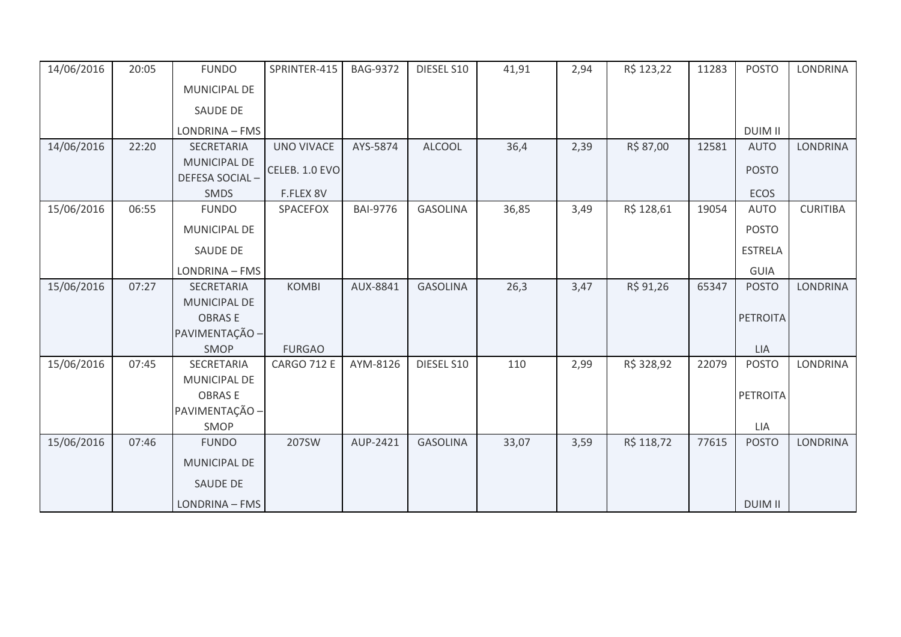| 14/06/2016 | 20:05 | <b>FUNDO</b>                   | SPRINTER-415       | <b>BAG-9372</b> | DIESEL S10      | 41,91 | 2,94 | R\$ 123,22 | 11283 | <b>POSTO</b>    | <b>LONDRINA</b> |
|------------|-------|--------------------------------|--------------------|-----------------|-----------------|-------|------|------------|-------|-----------------|-----------------|
|            |       | MUNICIPAL DE                   |                    |                 |                 |       |      |            |       |                 |                 |
|            |       | <b>SAUDE DE</b>                |                    |                 |                 |       |      |            |       |                 |                 |
|            |       | LONDRINA - FMS                 |                    |                 |                 |       |      |            |       | <b>DUIM II</b>  |                 |
| 14/06/2016 | 22:20 | <b>SECRETARIA</b>              | <b>UNO VIVACE</b>  | AYS-5874        | <b>ALCOOL</b>   | 36,4  | 2,39 | R\$ 87,00  | 12581 | <b>AUTO</b>     | <b>LONDRINA</b> |
|            |       | MUNICIPAL DE<br>DEFESA SOCIAL- | CELEB. 1.0 EVO     |                 |                 |       |      |            |       | <b>POSTO</b>    |                 |
|            |       | <b>SMDS</b>                    | F.FLEX 8V          |                 |                 |       |      |            |       | ECOS            |                 |
| 15/06/2016 | 06:55 | <b>FUNDO</b>                   | SPACEFOX           | <b>BAI-9776</b> | <b>GASOLINA</b> | 36,85 | 3,49 | R\$ 128,61 | 19054 | <b>AUTO</b>     | <b>CURITIBA</b> |
|            |       | MUNICIPAL DE                   |                    |                 |                 |       |      |            |       | <b>POSTO</b>    |                 |
|            |       | <b>SAUDE DE</b>                |                    |                 |                 |       |      |            |       | <b>ESTRELA</b>  |                 |
|            |       | LONDRINA - FMS                 |                    |                 |                 |       |      |            |       | <b>GUIA</b>     |                 |
| 15/06/2016 | 07:27 | <b>SECRETARIA</b>              | <b>KOMBI</b>       | AUX-8841        | <b>GASOLINA</b> | 26,3  | 3,47 | R\$ 91,26  | 65347 | <b>POSTO</b>    | <b>LONDRINA</b> |
|            |       | MUNICIPAL DE                   |                    |                 |                 |       |      |            |       |                 |                 |
|            |       | <b>OBRASE</b>                  |                    |                 |                 |       |      |            |       | <b>PETROITA</b> |                 |
|            |       | PAVIMENTAÇÃO -                 |                    |                 |                 |       |      |            |       |                 |                 |
|            |       | SMOP                           | <b>FURGAO</b>      |                 |                 |       |      |            |       | LIA             |                 |
| 15/06/2016 | 07:45 | SECRETARIA                     | <b>CARGO 712 E</b> | AYM-8126        | DIESEL S10      | 110   | 2,99 | R\$ 328,92 | 22079 | <b>POSTO</b>    | <b>LONDRINA</b> |
|            |       | MUNICIPAL DE                   |                    |                 |                 |       |      |            |       |                 |                 |
|            |       | <b>OBRASE</b>                  |                    |                 |                 |       |      |            |       | PETROITA        |                 |
|            |       | PAVIMENTAÇÃO -<br>SMOP         |                    |                 |                 |       |      |            |       | LIA             |                 |
| 15/06/2016 | 07:46 | <b>FUNDO</b>                   | 207SW              | AUP-2421        | <b>GASOLINA</b> | 33,07 | 3,59 | R\$ 118,72 | 77615 | <b>POSTO</b>    | <b>LONDRINA</b> |
|            |       | <b>MUNICIPAL DE</b>            |                    |                 |                 |       |      |            |       |                 |                 |
|            |       | <b>SAUDE DE</b>                |                    |                 |                 |       |      |            |       |                 |                 |
|            |       |                                |                    |                 |                 |       |      |            |       |                 |                 |
|            |       | LONDRINA - FMS                 |                    |                 |                 |       |      |            |       | <b>DUIM II</b>  |                 |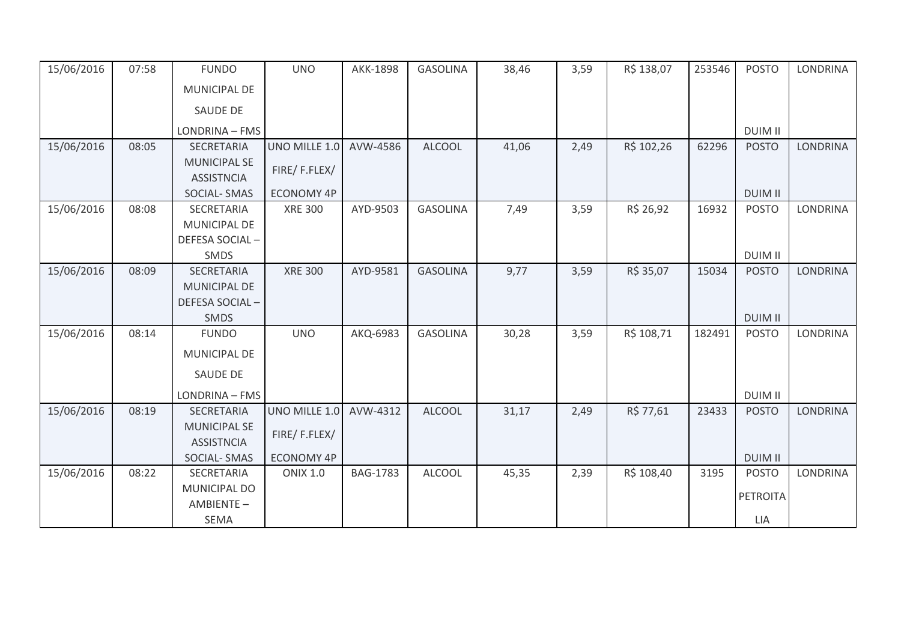| 15/06/2016 | 07:58 | <b>FUNDO</b>        | <b>UNO</b>        | AKK-1898        | <b>GASOLINA</b> | 38,46 | 3,59 | R\$ 138,07 | 253546 | <b>POSTO</b>    | <b>LONDRINA</b> |
|------------|-------|---------------------|-------------------|-----------------|-----------------|-------|------|------------|--------|-----------------|-----------------|
|            |       | MUNICIPAL DE        |                   |                 |                 |       |      |            |        |                 |                 |
|            |       | <b>SAUDE DE</b>     |                   |                 |                 |       |      |            |        |                 |                 |
|            |       | LONDRINA - FMS      |                   |                 |                 |       |      |            |        | <b>DUIM II</b>  |                 |
| 15/06/2016 | 08:05 | SECRETARIA          | UNO MILLE 1.0     | AVW-4586        | <b>ALCOOL</b>   | 41,06 | 2,49 | R\$ 102,26 | 62296  | <b>POSTO</b>    | <b>LONDRINA</b> |
|            |       | <b>MUNICIPAL SE</b> | FIRE/F.FLEX/      |                 |                 |       |      |            |        |                 |                 |
|            |       | <b>ASSISTNCIA</b>   |                   |                 |                 |       |      |            |        |                 |                 |
|            |       | <b>SOCIAL-SMAS</b>  | <b>ECONOMY 4P</b> |                 |                 |       |      |            |        | <b>DUIM II</b>  |                 |
| 15/06/2016 | 08:08 | <b>SECRETARIA</b>   | <b>XRE 300</b>    | AYD-9503        | <b>GASOLINA</b> | 7,49  | 3,59 | R\$ 26,92  | 16932  | <b>POSTO</b>    | <b>LONDRINA</b> |
|            |       | MUNICIPAL DE        |                   |                 |                 |       |      |            |        |                 |                 |
|            |       | DEFESA SOCIAL-      |                   |                 |                 |       |      |            |        |                 |                 |
|            |       | SMDS                |                   |                 |                 |       |      |            |        | <b>DUIM II</b>  |                 |
| 15/06/2016 | 08:09 | SECRETARIA          | <b>XRE 300</b>    | AYD-9581        | <b>GASOLINA</b> | 9,77  | 3,59 | R\$ 35,07  | 15034  | <b>POSTO</b>    | <b>LONDRINA</b> |
|            |       | MUNICIPAL DE        |                   |                 |                 |       |      |            |        |                 |                 |
|            |       | DEFESA SOCIAL-      |                   |                 |                 |       |      |            |        |                 |                 |
|            |       | <b>SMDS</b>         |                   |                 |                 |       |      |            |        | <b>DUIM II</b>  |                 |
| 15/06/2016 | 08:14 | <b>FUNDO</b>        | <b>UNO</b>        | AKQ-6983        | <b>GASOLINA</b> | 30,28 | 3,59 | R\$ 108,71 | 182491 | <b>POSTO</b>    | <b>LONDRINA</b> |
|            |       | <b>MUNICIPAL DE</b> |                   |                 |                 |       |      |            |        |                 |                 |
|            |       | <b>SAUDE DE</b>     |                   |                 |                 |       |      |            |        |                 |                 |
|            |       | LONDRINA - FMS      |                   |                 |                 |       |      |            |        | <b>DUIM II</b>  |                 |
| 15/06/2016 | 08:19 | SECRETARIA          | UNO MILLE 1.0     | AVW-4312        | <b>ALCOOL</b>   | 31,17 | 2,49 | R\$ 77,61  | 23433  | <b>POSTO</b>    | <b>LONDRINA</b> |
|            |       | <b>MUNICIPAL SE</b> | FIRE/F.FLEX/      |                 |                 |       |      |            |        |                 |                 |
|            |       | <b>ASSISTNCIA</b>   |                   |                 |                 |       |      |            |        |                 |                 |
|            |       | <b>SOCIAL-SMAS</b>  | <b>ECONOMY 4P</b> |                 |                 |       |      |            |        | <b>DUIM II</b>  |                 |
| 15/06/2016 | 08:22 | SECRETARIA          | <b>ONIX 1.0</b>   | <b>BAG-1783</b> | <b>ALCOOL</b>   | 45,35 | 2,39 | R\$ 108,40 | 3195   | <b>POSTO</b>    | <b>LONDRINA</b> |
|            |       | <b>MUNICIPAL DO</b> |                   |                 |                 |       |      |            |        | <b>PETROITA</b> |                 |
|            |       | AMBIENTE-           |                   |                 |                 |       |      |            |        |                 |                 |
|            |       | <b>SEMA</b>         |                   |                 |                 |       |      |            |        | LIA             |                 |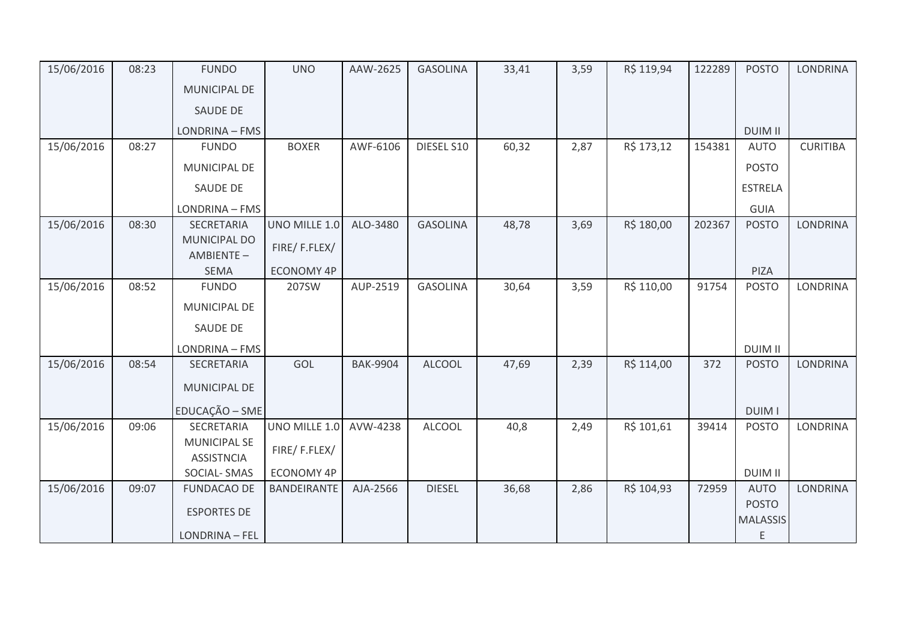| 15/06/2016 | 08:23 | <b>FUNDO</b>                             | <b>UNO</b>        | AAW-2625        | <b>GASOLINA</b> | 33,41 | 3,59 | R\$ 119,94 | 122289 | <b>POSTO</b>    | <b>LONDRINA</b> |
|------------|-------|------------------------------------------|-------------------|-----------------|-----------------|-------|------|------------|--------|-----------------|-----------------|
|            |       | <b>MUNICIPAL DE</b>                      |                   |                 |                 |       |      |            |        |                 |                 |
|            |       | SAUDE DE                                 |                   |                 |                 |       |      |            |        |                 |                 |
|            |       | LONDRINA - FMS                           |                   |                 |                 |       |      |            |        | <b>DUIM II</b>  |                 |
| 15/06/2016 | 08:27 | <b>FUNDO</b>                             | <b>BOXER</b>      | AWF-6106        | DIESEL S10      | 60,32 | 2,87 | R\$ 173,12 | 154381 | <b>AUTO</b>     | <b>CURITIBA</b> |
|            |       | MUNICIPAL DE                             |                   |                 |                 |       |      |            |        | <b>POSTO</b>    |                 |
|            |       | SAUDE DE                                 |                   |                 |                 |       |      |            |        | <b>ESTRELA</b>  |                 |
|            |       | LONDRINA - FMS                           |                   |                 |                 |       |      |            |        | GUIA            |                 |
| 15/06/2016 | 08:30 | SECRETARIA                               | UNO MILLE 1.0     | ALO-3480        | <b>GASOLINA</b> | 48,78 | 3,69 | R\$ 180,00 | 202367 | <b>POSTO</b>    | <b>LONDRINA</b> |
|            |       | <b>MUNICIPAL DO</b><br>AMBIENTE-         | FIRE/F.FLEX/      |                 |                 |       |      |            |        |                 |                 |
|            |       | <b>SEMA</b>                              | <b>ECONOMY 4P</b> |                 |                 |       |      |            |        | PIZA            |                 |
| 15/06/2016 | 08:52 | <b>FUNDO</b>                             | 207SW             | AUP-2519        | <b>GASOLINA</b> | 30,64 | 3,59 | R\$ 110,00 | 91754  | <b>POSTO</b>    | <b>LONDRINA</b> |
|            |       | MUNICIPAL DE                             |                   |                 |                 |       |      |            |        |                 |                 |
|            |       | SAUDE DE                                 |                   |                 |                 |       |      |            |        |                 |                 |
|            |       | LONDRINA - FMS                           |                   |                 |                 |       |      |            |        | <b>DUIM II</b>  |                 |
| 15/06/2016 | 08:54 | SECRETARIA                               | GOL               | <b>BAK-9904</b> | <b>ALCOOL</b>   | 47,69 | 2,39 | R\$ 114,00 | 372    | <b>POSTO</b>    | <b>LONDRINA</b> |
|            |       | MUNICIPAL DE                             |                   |                 |                 |       |      |            |        |                 |                 |
|            |       | EDUCAÇÃO - SME                           |                   |                 |                 |       |      |            |        | <b>DUIM I</b>   |                 |
| 15/06/2016 | 09:06 | SECRETARIA                               | UNO MILLE 1.0     | AVW-4238        | <b>ALCOOL</b>   | 40,8  | 2,49 | R\$ 101,61 | 39414  | <b>POSTO</b>    | <b>LONDRINA</b> |
|            |       | <b>MUNICIPAL SE</b><br><b>ASSISTNCIA</b> | FIRE/F.FLEX/      |                 |                 |       |      |            |        |                 |                 |
|            |       | SOCIAL-SMAS                              | ECONOMY 4P        |                 |                 |       |      |            |        | <b>DUIM II</b>  |                 |
| 15/06/2016 | 09:07 | <b>FUNDACAO DE</b>                       | BANDEIRANTE       | AJA-2566        | <b>DIESEL</b>   | 36,68 | 2,86 | R\$ 104,93 | 72959  | <b>AUTO</b>     | <b>LONDRINA</b> |
|            |       | <b>ESPORTES DE</b>                       |                   |                 |                 |       |      |            |        | <b>POSTO</b>    |                 |
|            |       |                                          |                   |                 |                 |       |      |            |        | <b>MALASSIS</b> |                 |
|            |       | LONDRINA - FEL                           |                   |                 |                 |       |      |            |        | E               |                 |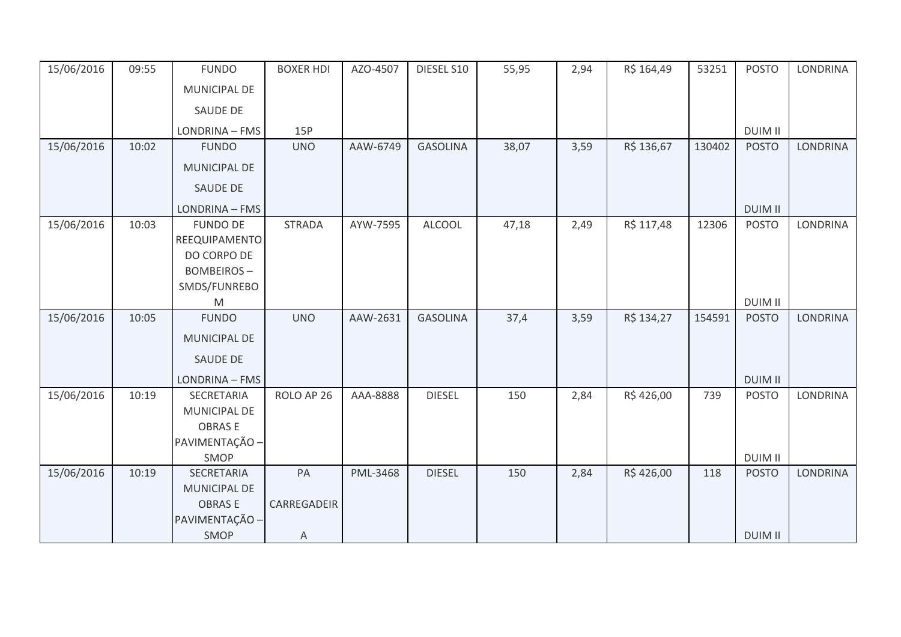| 15/06/2016 | 09:55 | <b>FUNDO</b>                     | <b>BOXER HDI</b> | AZO-4507 | DIESEL S10      | 55,95 | 2,94 | R\$ 164,49 | 53251  | <b>POSTO</b>   | <b>LONDRINA</b> |
|------------|-------|----------------------------------|------------------|----------|-----------------|-------|------|------------|--------|----------------|-----------------|
|            |       | MUNICIPAL DE                     |                  |          |                 |       |      |            |        |                |                 |
|            |       | SAUDE DE                         |                  |          |                 |       |      |            |        |                |                 |
|            |       | LONDRINA - FMS                   | 15P              |          |                 |       |      |            |        | <b>DUIM II</b> |                 |
| 15/06/2016 | 10:02 | <b>FUNDO</b>                     | <b>UNO</b>       | AAW-6749 | <b>GASOLINA</b> | 38,07 | 3,59 | R\$ 136,67 | 130402 | <b>POSTO</b>   | <b>LONDRINA</b> |
|            |       | MUNICIPAL DE                     |                  |          |                 |       |      |            |        |                |                 |
|            |       | SAUDE DE                         |                  |          |                 |       |      |            |        |                |                 |
|            |       | LONDRINA - FMS                   |                  |          |                 |       |      |            |        | <b>DUIM II</b> |                 |
| 15/06/2016 | 10:03 | <b>FUNDO DE</b>                  | <b>STRADA</b>    | AYW-7595 | <b>ALCOOL</b>   | 47,18 | 2,49 | R\$ 117,48 | 12306  | <b>POSTO</b>   | <b>LONDRINA</b> |
|            |       | REEQUIPAMENTO                    |                  |          |                 |       |      |            |        |                |                 |
|            |       | DO CORPO DE<br><b>BOMBEIROS-</b> |                  |          |                 |       |      |            |        |                |                 |
|            |       | SMDS/FUNREBO                     |                  |          |                 |       |      |            |        |                |                 |
|            |       | M                                |                  |          |                 |       |      |            |        | <b>DUIM II</b> |                 |
| 15/06/2016 | 10:05 | <b>FUNDO</b>                     | <b>UNO</b>       | AAW-2631 | <b>GASOLINA</b> | 37,4  | 3,59 | R\$ 134,27 | 154591 | <b>POSTO</b>   | <b>LONDRINA</b> |
|            |       | MUNICIPAL DE                     |                  |          |                 |       |      |            |        |                |                 |
|            |       | SAUDE DE                         |                  |          |                 |       |      |            |        |                |                 |
|            |       | LONDRINA - FMS                   |                  |          |                 |       |      |            |        | <b>DUIM II</b> |                 |
| 15/06/2016 | 10:19 | SECRETARIA                       | ROLO AP 26       | AAA-8888 | <b>DIESEL</b>   | 150   | 2,84 | R\$426,00  | 739    | <b>POSTO</b>   | <b>LONDRINA</b> |
|            |       | MUNICIPAL DE                     |                  |          |                 |       |      |            |        |                |                 |
|            |       | <b>OBRASE</b>                    |                  |          |                 |       |      |            |        |                |                 |
|            |       | PAVIMENTAÇÃO -                   |                  |          |                 |       |      |            |        |                |                 |
|            |       | SMOP                             |                  |          |                 |       |      |            |        | <b>DUIM II</b> |                 |
| 15/06/2016 | 10:19 | SECRETARIA<br>MUNICIPAL DE       | PA               | PML-3468 | <b>DIESEL</b>   | 150   | 2,84 | R\$426,00  | 118    | <b>POSTO</b>   | <b>LONDRINA</b> |
|            |       | <b>OBRASE</b>                    | CARREGADEIR      |          |                 |       |      |            |        |                |                 |
|            |       | PAVIMENTAÇÃO -                   |                  |          |                 |       |      |            |        |                |                 |
|            |       | SMOP                             | Α                |          |                 |       |      |            |        | <b>DUIM II</b> |                 |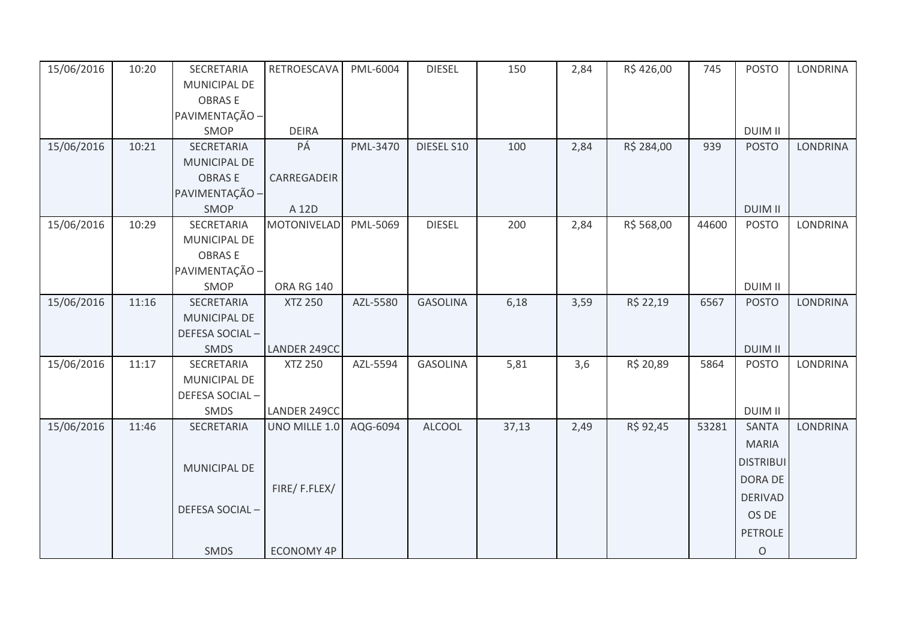| 15/06/2016 | 10:20 | SECRETARIA     | RETROESCAVA       | PML-6004 | <b>DIESEL</b>   | 150   | 2,84 | R\$426,00  | 745   | <b>POSTO</b>     | <b>LONDRINA</b> |
|------------|-------|----------------|-------------------|----------|-----------------|-------|------|------------|-------|------------------|-----------------|
|            |       | MUNICIPAL DE   |                   |          |                 |       |      |            |       |                  |                 |
|            |       | <b>OBRASE</b>  |                   |          |                 |       |      |            |       |                  |                 |
|            |       | PAVIMENTAÇÃO - |                   |          |                 |       |      |            |       |                  |                 |
|            |       | SMOP           | <b>DEIRA</b>      |          |                 |       |      |            |       | <b>DUIM II</b>   |                 |
| 15/06/2016 | 10:21 | SECRETARIA     | PÁ                | PML-3470 | DIESEL S10      | 100   | 2,84 | R\$ 284,00 | 939   | <b>POSTO</b>     | <b>LONDRINA</b> |
|            |       | MUNICIPAL DE   |                   |          |                 |       |      |            |       |                  |                 |
|            |       | <b>OBRASE</b>  | CARREGADEIR       |          |                 |       |      |            |       |                  |                 |
|            |       | PAVIMENTAÇÃO - |                   |          |                 |       |      |            |       |                  |                 |
|            |       | SMOP           | A 12D             |          |                 |       |      |            |       | <b>DUIM II</b>   |                 |
| 15/06/2016 | 10:29 | SECRETARIA     | MOTONIVELAD       | PML-5069 | <b>DIESEL</b>   | 200   | 2,84 | R\$ 568,00 | 44600 | <b>POSTO</b>     | <b>LONDRINA</b> |
|            |       | MUNICIPAL DE   |                   |          |                 |       |      |            |       |                  |                 |
|            |       | <b>OBRASE</b>  |                   |          |                 |       |      |            |       |                  |                 |
|            |       | PAVIMENTAÇÃO - |                   |          |                 |       |      |            |       |                  |                 |
|            |       | SMOP           | <b>ORA RG 140</b> |          |                 |       |      |            |       | <b>DUIM II</b>   |                 |
| 15/06/2016 | 11:16 | SECRETARIA     | <b>XTZ 250</b>    | AZL-5580 | <b>GASOLINA</b> | 6,18  | 3,59 | R\$ 22,19  | 6567  | <b>POSTO</b>     | <b>LONDRINA</b> |
|            |       | MUNICIPAL DE   |                   |          |                 |       |      |            |       |                  |                 |
|            |       | DEFESA SOCIAL- |                   |          |                 |       |      |            |       |                  |                 |
|            |       | SMDS           | LANDER 249CC      |          |                 |       |      |            |       | <b>DUIM II</b>   |                 |
| 15/06/2016 | 11:17 | SECRETARIA     | <b>XTZ 250</b>    | AZL-5594 | <b>GASOLINA</b> | 5,81  | 3,6  | R\$ 20,89  | 5864  | <b>POSTO</b>     | <b>LONDRINA</b> |
|            |       | MUNICIPAL DE   |                   |          |                 |       |      |            |       |                  |                 |
|            |       | DEFESA SOCIAL- |                   |          |                 |       |      |            |       |                  |                 |
|            |       | SMDS           | LANDER 249CC      |          |                 |       |      |            |       | <b>DUIM II</b>   |                 |
| 15/06/2016 | 11:46 | SECRETARIA     | UNO MILLE 1.0     | AQG-6094 | <b>ALCOOL</b>   | 37,13 | 2,49 | R\$ 92,45  | 53281 | <b>SANTA</b>     | <b>LONDRINA</b> |
|            |       |                |                   |          |                 |       |      |            |       | <b>MARIA</b>     |                 |
|            |       |                |                   |          |                 |       |      |            |       | <b>DISTRIBUI</b> |                 |
|            |       | MUNICIPAL DE   |                   |          |                 |       |      |            |       | DORA DE          |                 |
|            |       |                | FIRE/F.FLEX/      |          |                 |       |      |            |       | <b>DERIVAD</b>   |                 |
|            |       | DEFESA SOCIAL- |                   |          |                 |       |      |            |       |                  |                 |
|            |       |                |                   |          |                 |       |      |            |       | OS DE            |                 |
|            |       |                |                   |          |                 |       |      |            |       | PETROLE          |                 |
|            |       | <b>SMDS</b>    | <b>ECONOMY 4P</b> |          |                 |       |      |            |       | $\mathsf O$      |                 |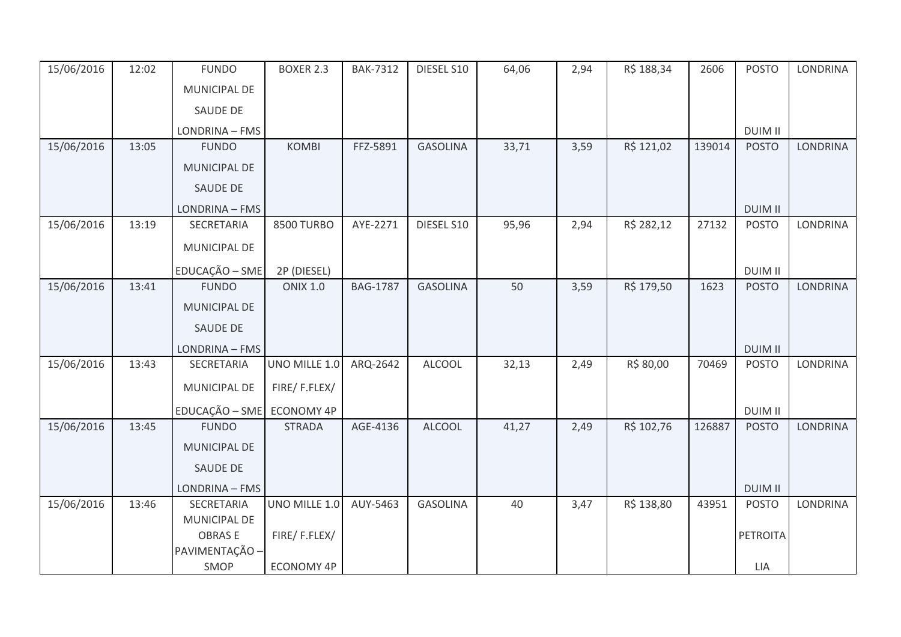| 15/06/2016 | 12:02 | <b>FUNDO</b>                    | <b>BOXER 2.3</b>  | <b>BAK-7312</b> | DIESEL S10      | 64,06 | 2,94 | R\$ 188,34 | 2606   | <b>POSTO</b>    | <b>LONDRINA</b> |
|------------|-------|---------------------------------|-------------------|-----------------|-----------------|-------|------|------------|--------|-----------------|-----------------|
|            |       | <b>MUNICIPAL DE</b>             |                   |                 |                 |       |      |            |        |                 |                 |
|            |       | SAUDE DE                        |                   |                 |                 |       |      |            |        |                 |                 |
|            |       | LONDRINA - FMS                  |                   |                 |                 |       |      |            |        | <b>DUIM II</b>  |                 |
| 15/06/2016 | 13:05 | <b>FUNDO</b>                    | <b>KOMBI</b>      | FFZ-5891        | <b>GASOLINA</b> | 33,71 | 3,59 | R\$ 121,02 | 139014 | <b>POSTO</b>    | <b>LONDRINA</b> |
|            |       | <b>MUNICIPAL DE</b>             |                   |                 |                 |       |      |            |        |                 |                 |
|            |       | SAUDE DE                        |                   |                 |                 |       |      |            |        |                 |                 |
|            |       | LONDRINA - FMS                  |                   |                 |                 |       |      |            |        | <b>DUIM II</b>  |                 |
| 15/06/2016 | 13:19 | SECRETARIA                      | <b>8500 TURBO</b> | AYE-2271        | DIESEL S10      | 95,96 | 2,94 | R\$ 282,12 | 27132  | <b>POSTO</b>    | <b>LONDRINA</b> |
|            |       | MUNICIPAL DE                    |                   |                 |                 |       |      |            |        |                 |                 |
|            |       | EDUCAÇÃO - SME                  | 2P (DIESEL)       |                 |                 |       |      |            |        | <b>DUIM II</b>  |                 |
| 15/06/2016 | 13:41 | <b>FUNDO</b>                    | <b>ONIX 1.0</b>   | <b>BAG-1787</b> | <b>GASOLINA</b> | 50    | 3,59 | R\$ 179,50 | 1623   | <b>POSTO</b>    | <b>LONDRINA</b> |
|            |       | MUNICIPAL DE                    |                   |                 |                 |       |      |            |        |                 |                 |
|            |       | SAUDE DE                        |                   |                 |                 |       |      |            |        |                 |                 |
|            |       | LONDRINA - FMS                  |                   |                 |                 |       |      |            |        | <b>DUIM II</b>  |                 |
| 15/06/2016 | 13:43 | <b>SECRETARIA</b>               | UNO MILLE 1.0     | ARQ-2642        | <b>ALCOOL</b>   | 32,13 | 2,49 | R\$ 80,00  | 70469  | <b>POSTO</b>    | <b>LONDRINA</b> |
|            |       | MUNICIPAL DE                    | FIRE/F.FLEX/      |                 |                 |       |      |            |        |                 |                 |
|            |       | EDUCAÇÃO - SME ECONOMY 4P       |                   |                 |                 |       |      |            |        | <b>DUIM II</b>  |                 |
| 15/06/2016 | 13:45 | <b>FUNDO</b>                    | <b>STRADA</b>     | AGE-4136        | <b>ALCOOL</b>   | 41,27 | 2,49 | R\$ 102,76 | 126887 | <b>POSTO</b>    | <b>LONDRINA</b> |
|            |       | MUNICIPAL DE                    |                   |                 |                 |       |      |            |        |                 |                 |
|            |       | SAUDE DE                        |                   |                 |                 |       |      |            |        |                 |                 |
|            |       | LONDRINA - FMS                  |                   |                 |                 |       |      |            |        | <b>DUIM II</b>  |                 |
| 15/06/2016 | 13:46 | SECRETARIA                      | UNO MILLE 1.0     | AUY-5463        | <b>GASOLINA</b> | 40    | 3,47 | R\$ 138,80 | 43951  | <b>POSTO</b>    | <b>LONDRINA</b> |
|            |       | MUNICIPAL DE                    |                   |                 |                 |       |      |            |        |                 |                 |
|            |       | <b>OBRASE</b><br>PAVIMENTAÇÃO - | FIRE/F.FLEX/      |                 |                 |       |      |            |        | <b>PETROITA</b> |                 |
|            |       | SMOP                            | ECONOMY 4P        |                 |                 |       |      |            |        | LIA             |                 |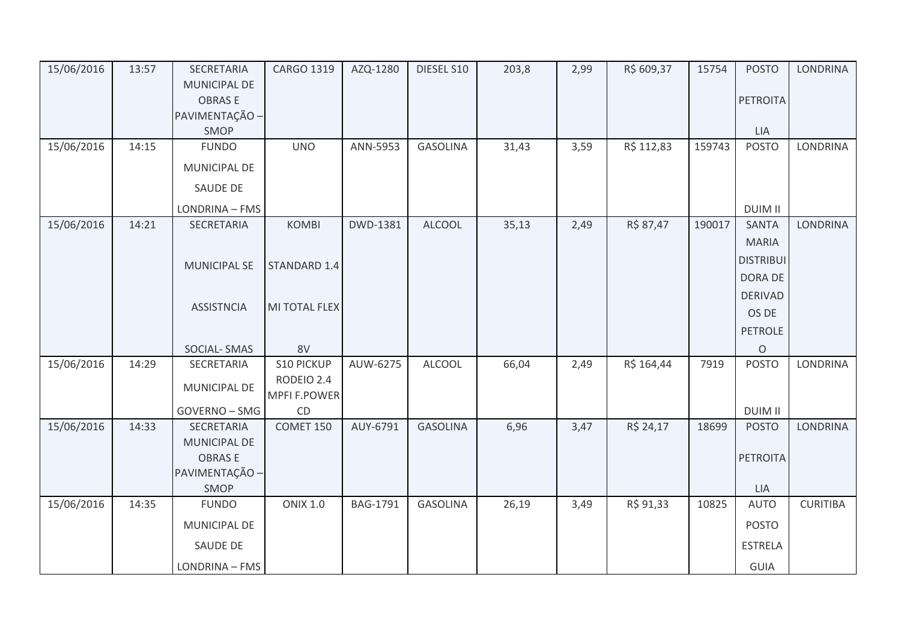| 15/06/2016 | 13:57 | SECRETARIA                    | CARGO 1319          | AZQ-1280        | DIESEL S10      | 203,8 | 2,99 | R\$ 609,37 | 15754  | <b>POSTO</b>     | <b>LONDRINA</b> |
|------------|-------|-------------------------------|---------------------|-----------------|-----------------|-------|------|------------|--------|------------------|-----------------|
|            |       | <b>MUNICIPAL DE</b>           |                     |                 |                 |       |      |            |        |                  |                 |
|            |       | <b>OBRASE</b>                 |                     |                 |                 |       |      |            |        | <b>PETROITA</b>  |                 |
|            |       | PAVIMENTAÇÃO -<br>SMOP        |                     |                 |                 |       |      |            |        | LIA              |                 |
| 15/06/2016 | 14:15 | <b>FUNDO</b>                  | <b>UNO</b>          | ANN-5953        | <b>GASOLINA</b> | 31,43 | 3,59 | R\$ 112,83 | 159743 | <b>POSTO</b>     | LONDRINA        |
|            |       |                               |                     |                 |                 |       |      |            |        |                  |                 |
|            |       | MUNICIPAL DE                  |                     |                 |                 |       |      |            |        |                  |                 |
|            |       | <b>SAUDE DE</b>               |                     |                 |                 |       |      |            |        |                  |                 |
|            |       | LONDRINA - FMS                |                     |                 |                 |       |      |            |        | <b>DUIM II</b>   |                 |
| 15/06/2016 | 14:21 | SECRETARIA                    | <b>KOMBI</b>        | DWD-1381        | <b>ALCOOL</b>   | 35,13 | 2,49 | R\$ 87,47  | 190017 | <b>SANTA</b>     | <b>LONDRINA</b> |
|            |       |                               |                     |                 |                 |       |      |            |        | <b>MARIA</b>     |                 |
|            |       | <b>MUNICIPAL SE</b>           | STANDARD 1.4        |                 |                 |       |      |            |        | <b>DISTRIBUI</b> |                 |
|            |       |                               |                     |                 |                 |       |      |            |        | DORA DE          |                 |
|            |       |                               |                     |                 |                 |       |      |            |        | <b>DERIVAD</b>   |                 |
|            |       | <b>ASSISTNCIA</b>             | MI TOTAL FLEX       |                 |                 |       |      |            |        | OS DE            |                 |
|            |       |                               |                     |                 |                 |       |      |            |        | <b>PETROLE</b>   |                 |
|            |       | SOCIAL-SMAS                   | 8V                  |                 |                 |       |      |            |        | $\mathsf O$      |                 |
| 15/06/2016 | 14:29 | SECRETARIA                    | S10 PICKUP          | AUW-6275        | <b>ALCOOL</b>   | 66,04 | 2,49 | R\$ 164,44 | 7919   | <b>POSTO</b>     | <b>LONDRINA</b> |
|            |       | MUNICIPAL DE                  | RODEIO 2.4          |                 |                 |       |      |            |        |                  |                 |
|            |       |                               | <b>MPFI F.POWER</b> |                 |                 |       |      |            |        |                  |                 |
|            |       | GOVERNO - SMG                 | CD                  |                 |                 |       |      |            |        | <b>DUIM II</b>   |                 |
| 15/06/2016 | 14:33 | <b>SECRETARIA</b>             | COMET 150           | AUY-6791        | <b>GASOLINA</b> | 6,96  | 3,47 | R\$ 24,17  | 18699  | <b>POSTO</b>     | <b>LONDRINA</b> |
|            |       | MUNICIPAL DE<br><b>OBRASE</b> |                     |                 |                 |       |      |            |        | PETROITA         |                 |
|            |       | PAVIMENTAÇÃO -                |                     |                 |                 |       |      |            |        |                  |                 |
|            |       | SMOP                          |                     |                 |                 |       |      |            |        | LIA              |                 |
| 15/06/2016 | 14:35 | <b>FUNDO</b>                  | <b>ONIX 1.0</b>     | <b>BAG-1791</b> | <b>GASOLINA</b> | 26,19 | 3,49 | R\$ 91,33  | 10825  | <b>AUTO</b>      | <b>CURITIBA</b> |
|            |       | MUNICIPAL DE                  |                     |                 |                 |       |      |            |        | <b>POSTO</b>     |                 |
|            |       | <b>SAUDE DE</b>               |                     |                 |                 |       |      |            |        | <b>ESTRELA</b>   |                 |
|            |       |                               |                     |                 |                 |       |      |            |        |                  |                 |
|            |       | LONDRINA - FMS                |                     |                 |                 |       |      |            |        | GUIA             |                 |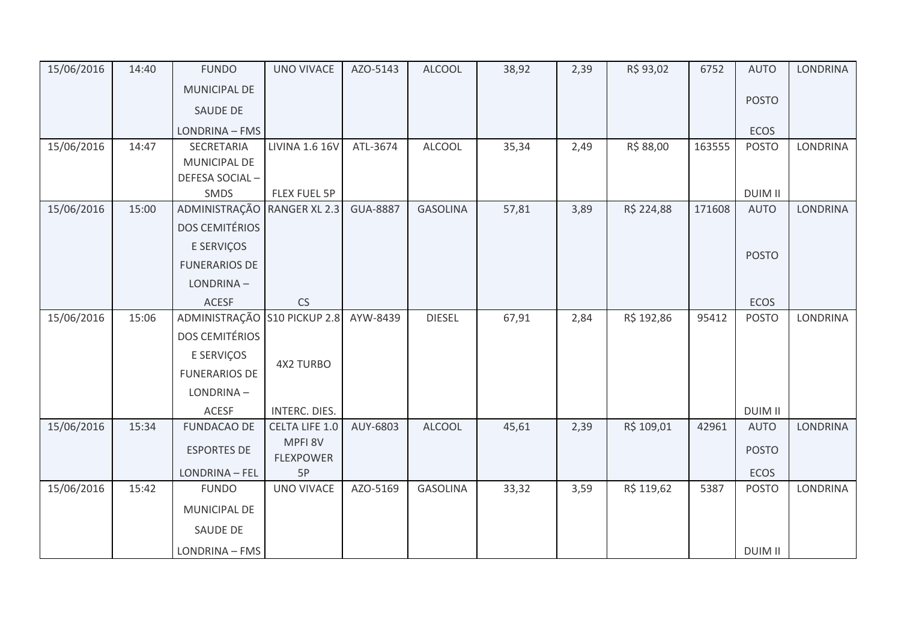| 15/06/2016 | 14:40 | <b>FUNDO</b>                 | <b>UNO VIVACE</b>           | AZO-5143        | <b>ALCOOL</b>   | 38,92 | 2,39 | R\$ 93,02  | 6752   | <b>AUTO</b>    | <b>LONDRINA</b> |
|------------|-------|------------------------------|-----------------------------|-----------------|-----------------|-------|------|------------|--------|----------------|-----------------|
|            |       | MUNICIPAL DE                 |                             |                 |                 |       |      |            |        |                |                 |
|            |       | <b>SAUDE DE</b>              |                             |                 |                 |       |      |            |        | <b>POSTO</b>   |                 |
|            |       | LONDRINA - FMS               |                             |                 |                 |       |      |            |        | <b>ECOS</b>    |                 |
| 15/06/2016 | 14:47 | SECRETARIA                   | LIVINA 1.6 16V              | ATL-3674        | <b>ALCOOL</b>   | 35,34 | 2,49 | R\$ 88,00  | 163555 | <b>POSTO</b>   | LONDRINA        |
|            |       | MUNICIPAL DE                 |                             |                 |                 |       |      |            |        |                |                 |
|            |       | DEFESA SOCIAL-               |                             |                 |                 |       |      |            |        |                |                 |
|            |       | SMDS                         | FLEX FUEL 5P                |                 |                 |       |      |            |        | <b>DUIM II</b> |                 |
| 15/06/2016 | 15:00 | ADMINISTRAÇÃO                | <b>RANGER XL 2.3</b>        | <b>GUA-8887</b> | <b>GASOLINA</b> | 57,81 | 3,89 | R\$ 224,88 | 171608 | <b>AUTO</b>    | <b>LONDRINA</b> |
|            |       | <b>DOS CEMITÉRIOS</b>        |                             |                 |                 |       |      |            |        |                |                 |
|            |       | E SERVIÇOS                   |                             |                 |                 |       |      |            |        |                |                 |
|            |       | <b>FUNERARIOS DE</b>         |                             |                 |                 |       |      |            |        | <b>POSTO</b>   |                 |
|            |       | LONDRINA-                    |                             |                 |                 |       |      |            |        |                |                 |
|            |       | <b>ACESF</b>                 | CS                          |                 |                 |       |      |            |        | <b>ECOS</b>    |                 |
| 15/06/2016 | 15:06 | ADMINISTRAÇÃO S10 PICKUP 2.8 |                             | AYW-8439        | <b>DIESEL</b>   | 67,91 | 2,84 | R\$ 192,86 | 95412  | <b>POSTO</b>   | LONDRINA        |
|            |       | <b>DOS CEMITÉRIOS</b>        |                             |                 |                 |       |      |            |        |                |                 |
|            |       | E SERVIÇOS                   |                             |                 |                 |       |      |            |        |                |                 |
|            |       | <b>FUNERARIOS DE</b>         | <b>4X2 TURBO</b>            |                 |                 |       |      |            |        |                |                 |
|            |       | LONDRINA-                    |                             |                 |                 |       |      |            |        |                |                 |
|            |       | ACESF                        | INTERC. DIES.               |                 |                 |       |      |            |        | <b>DUIM II</b> |                 |
| 15/06/2016 | 15:34 | <b>FUNDACAO DE</b>           | <b>CELTA LIFE 1.0</b>       | AUY-6803        | <b>ALCOOL</b>   | 45,61 | 2,39 | R\$ 109,01 | 42961  | <b>AUTO</b>    | LONDRINA        |
|            |       | <b>ESPORTES DE</b>           | MPFI 8V<br><b>FLEXPOWER</b> |                 |                 |       |      |            |        | <b>POSTO</b>   |                 |
|            |       | LONDRINA - FEL               | 5P                          |                 |                 |       |      |            |        | <b>ECOS</b>    |                 |
| 15/06/2016 | 15:42 | <b>FUNDO</b>                 | <b>UNO VIVACE</b>           | AZO-5169        | <b>GASOLINA</b> | 33,32 | 3,59 | R\$ 119,62 | 5387   | <b>POSTO</b>   | <b>LONDRINA</b> |
|            |       | MUNICIPAL DE                 |                             |                 |                 |       |      |            |        |                |                 |
|            |       | SAUDE DE                     |                             |                 |                 |       |      |            |        |                |                 |
|            |       | LONDRINA - FMS               |                             |                 |                 |       |      |            |        | <b>DUIM II</b> |                 |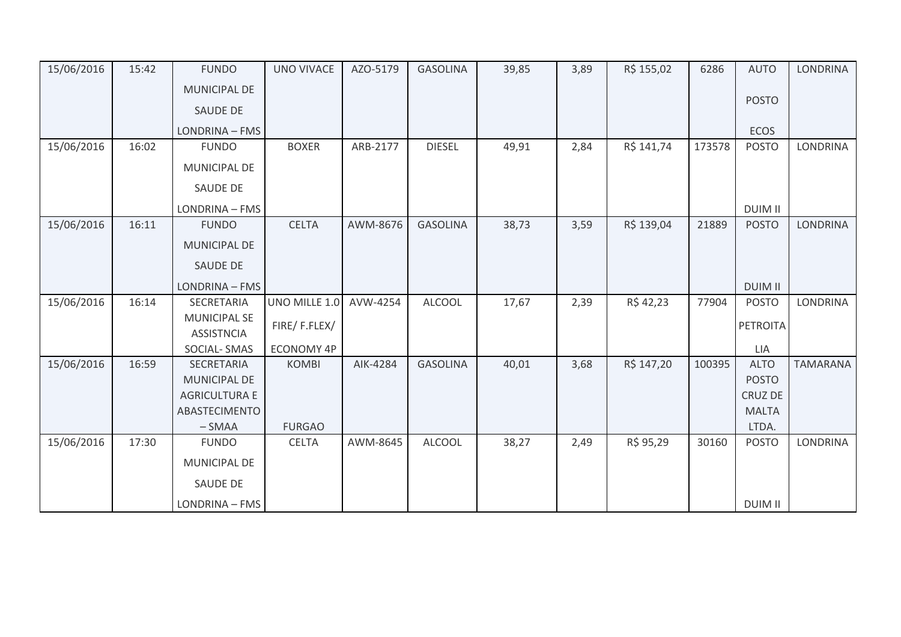| 15/06/2016 | 15:42 | <b>FUNDO</b>                             | <b>UNO VIVACE</b> | AZO-5179 | <b>GASOLINA</b> | 39,85 | 3,89 | R\$ 155,02 | 6286   | <b>AUTO</b>     | <b>LONDRINA</b> |
|------------|-------|------------------------------------------|-------------------|----------|-----------------|-------|------|------------|--------|-----------------|-----------------|
|            |       | <b>MUNICIPAL DE</b>                      |                   |          |                 |       |      |            |        |                 |                 |
|            |       | <b>SAUDE DE</b>                          |                   |          |                 |       |      |            |        | <b>POSTO</b>    |                 |
|            |       | LONDRINA - FMS                           |                   |          |                 |       |      |            |        | <b>ECOS</b>     |                 |
| 15/06/2016 | 16:02 | <b>FUNDO</b>                             | <b>BOXER</b>      | ARB-2177 | <b>DIESEL</b>   | 49,91 | 2,84 | R\$ 141,74 | 173578 | <b>POSTO</b>    | LONDRINA        |
|            |       | MUNICIPAL DE                             |                   |          |                 |       |      |            |        |                 |                 |
|            |       | SAUDE DE                                 |                   |          |                 |       |      |            |        |                 |                 |
|            |       | LONDRINA - FMS                           |                   |          |                 |       |      |            |        | <b>DUIM II</b>  |                 |
| 15/06/2016 | 16:11 | <b>FUNDO</b>                             | <b>CELTA</b>      | AWM-8676 | <b>GASOLINA</b> | 38,73 | 3,59 | R\$ 139,04 | 21889  | <b>POSTO</b>    | <b>LONDRINA</b> |
|            |       | <b>MUNICIPAL DE</b>                      |                   |          |                 |       |      |            |        |                 |                 |
|            |       | <b>SAUDE DE</b>                          |                   |          |                 |       |      |            |        |                 |                 |
|            |       | LONDRINA - FMS                           |                   |          |                 |       |      |            |        | <b>DUIM II</b>  |                 |
| 15/06/2016 | 16:14 | SECRETARIA                               | UNO MILLE 1.0     | AVW-4254 | <b>ALCOOL</b>   | 17,67 | 2,39 | R\$42,23   | 77904  | <b>POSTO</b>    | <b>LONDRINA</b> |
|            |       | <b>MUNICIPAL SE</b><br><b>ASSISTNCIA</b> | FIRE/F.FLEX/      |          |                 |       |      |            |        | <b>PETROITA</b> |                 |
|            |       | SOCIAL-SMAS                              | <b>ECONOMY 4P</b> |          |                 |       |      |            |        | LIA             |                 |
| 15/06/2016 | 16:59 | SECRETARIA                               | <b>KOMBI</b>      | AIK-4284 | <b>GASOLINA</b> | 40,01 | 3,68 | R\$ 147,20 | 100395 | <b>ALTO</b>     | <b>TAMARANA</b> |
|            |       | <b>MUNICIPAL DE</b>                      |                   |          |                 |       |      |            |        | <b>POSTO</b>    |                 |
|            |       | <b>AGRICULTURA E</b>                     |                   |          |                 |       |      |            |        | <b>CRUZ DE</b>  |                 |
|            |       | ABASTECIMENTO                            |                   |          |                 |       |      |            |        | <b>MALTA</b>    |                 |
|            |       | $-SMAA$                                  | <b>FURGAO</b>     |          |                 |       |      |            |        | LTDA.           |                 |
| 15/06/2016 | 17:30 | <b>FUNDO</b>                             | <b>CELTA</b>      | AWM-8645 | <b>ALCOOL</b>   | 38,27 | 2,49 | R\$ 95,29  | 30160  | <b>POSTO</b>    | <b>LONDRINA</b> |
|            |       | MUNICIPAL DE                             |                   |          |                 |       |      |            |        |                 |                 |
|            |       | <b>SAUDE DE</b>                          |                   |          |                 |       |      |            |        |                 |                 |
|            |       | LONDRINA - FMS                           |                   |          |                 |       |      |            |        | <b>DUIM II</b>  |                 |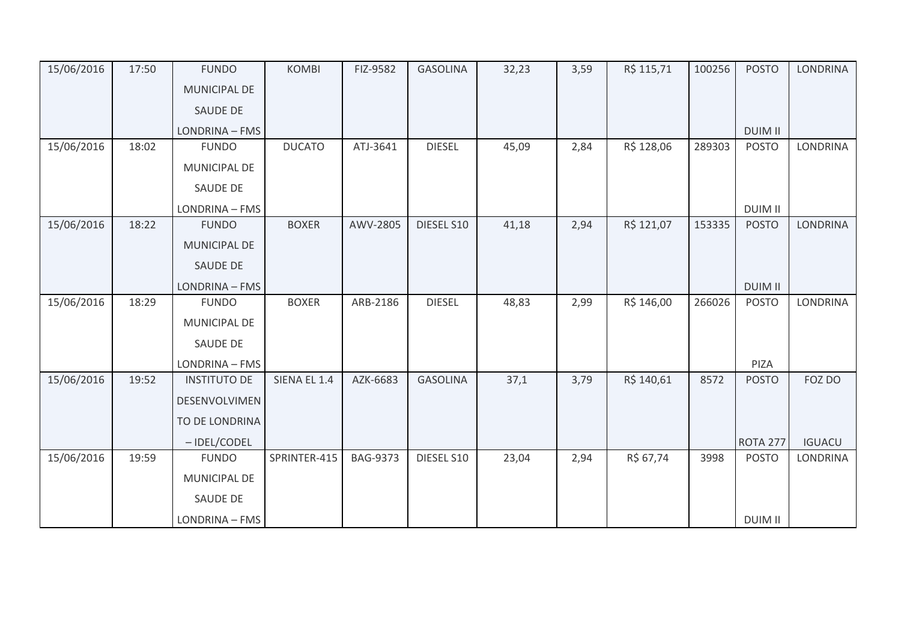| 15/06/2016 | 17:50 | <b>FUNDO</b>        | <b>KOMBI</b>  | FIZ-9582        | <b>GASOLINA</b> | 32,23 | 3,59 | R\$ 115,71 | 100256 | <b>POSTO</b>    | <b>LONDRINA</b> |
|------------|-------|---------------------|---------------|-----------------|-----------------|-------|------|------------|--------|-----------------|-----------------|
|            |       | MUNICIPAL DE        |               |                 |                 |       |      |            |        |                 |                 |
|            |       | <b>SAUDE DE</b>     |               |                 |                 |       |      |            |        |                 |                 |
|            |       | LONDRINA - FMS      |               |                 |                 |       |      |            |        | <b>DUIM II</b>  |                 |
| 15/06/2016 | 18:02 | <b>FUNDO</b>        | <b>DUCATO</b> | ATJ-3641        | <b>DIESEL</b>   | 45,09 | 2,84 | R\$ 128,06 | 289303 | <b>POSTO</b>    | <b>LONDRINA</b> |
|            |       | MUNICIPAL DE        |               |                 |                 |       |      |            |        |                 |                 |
|            |       | <b>SAUDE DE</b>     |               |                 |                 |       |      |            |        |                 |                 |
|            |       | LONDRINA - FMS      |               |                 |                 |       |      |            |        | <b>DUIM II</b>  |                 |
| 15/06/2016 | 18:22 | <b>FUNDO</b>        | <b>BOXER</b>  | AWV-2805        | DIESEL S10      | 41,18 | 2,94 | R\$ 121,07 | 153335 | <b>POSTO</b>    | <b>LONDRINA</b> |
|            |       | MUNICIPAL DE        |               |                 |                 |       |      |            |        |                 |                 |
|            |       | SAUDE DE            |               |                 |                 |       |      |            |        |                 |                 |
|            |       | LONDRINA - FMS      |               |                 |                 |       |      |            |        | <b>DUIM II</b>  |                 |
| 15/06/2016 | 18:29 | <b>FUNDO</b>        | <b>BOXER</b>  | ARB-2186        | <b>DIESEL</b>   | 48,83 | 2,99 | R\$ 146,00 | 266026 | <b>POSTO</b>    | LONDRINA        |
|            |       | MUNICIPAL DE        |               |                 |                 |       |      |            |        |                 |                 |
|            |       | SAUDE DE            |               |                 |                 |       |      |            |        |                 |                 |
|            |       | LONDRINA - FMS      |               |                 |                 |       |      |            |        | PIZA            |                 |
| 15/06/2016 | 19:52 | <b>INSTITUTO DE</b> | SIENA EL 1.4  | AZK-6683        | <b>GASOLINA</b> | 37,1  | 3,79 | R\$ 140,61 | 8572   | <b>POSTO</b>    | FOZ DO          |
|            |       | DESENVOLVIMEN       |               |                 |                 |       |      |            |        |                 |                 |
|            |       | TO DE LONDRINA      |               |                 |                 |       |      |            |        |                 |                 |
|            |       | -IDEL/CODEL         |               |                 |                 |       |      |            |        | <b>ROTA 277</b> | <b>IGUACU</b>   |
| 15/06/2016 | 19:59 | <b>FUNDO</b>        | SPRINTER-415  | <b>BAG-9373</b> | DIESEL S10      | 23,04 | 2,94 | R\$ 67,74  | 3998   | <b>POSTO</b>    | LONDRINA        |
|            |       | MUNICIPAL DE        |               |                 |                 |       |      |            |        |                 |                 |
|            |       | <b>SAUDE DE</b>     |               |                 |                 |       |      |            |        |                 |                 |
|            |       | LONDRINA - FMS      |               |                 |                 |       |      |            |        | <b>DUIM II</b>  |                 |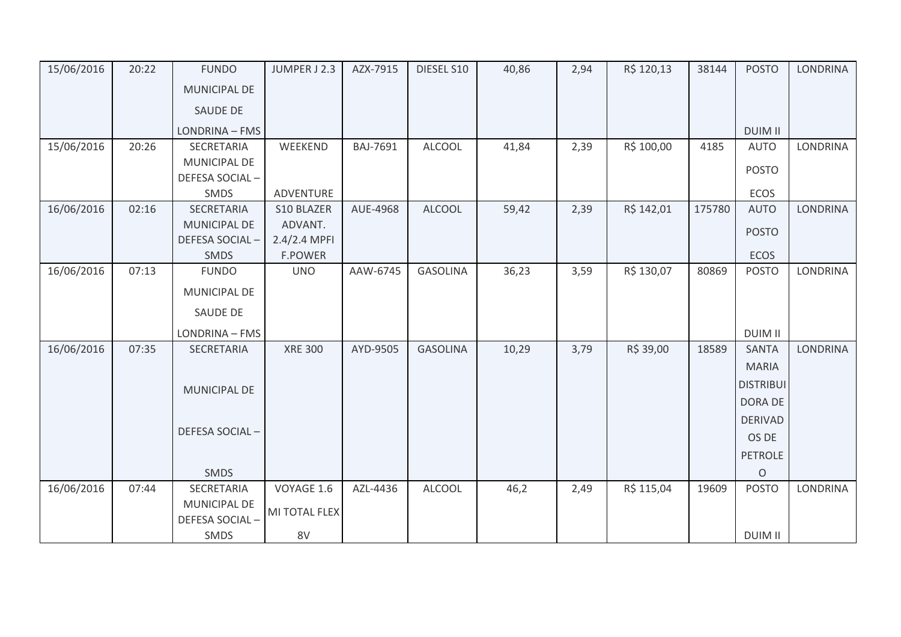| 15/06/2016 | 20:22 | <b>FUNDO</b>        | JUMPER J 2.3   | AZX-7915 | DIESEL S10      | 40,86 | 2,94 | R\$ 120,13 | 38144  | <b>POSTO</b>     | <b>LONDRINA</b> |
|------------|-------|---------------------|----------------|----------|-----------------|-------|------|------------|--------|------------------|-----------------|
|            |       | <b>MUNICIPAL DE</b> |                |          |                 |       |      |            |        |                  |                 |
|            |       | SAUDE DE            |                |          |                 |       |      |            |        |                  |                 |
|            |       | LONDRINA - FMS      |                |          |                 |       |      |            |        | <b>DUIM II</b>   |                 |
| 15/06/2016 | 20:26 | SECRETARIA          | WEEKEND        | BAJ-7691 | <b>ALCOOL</b>   | 41,84 | 2,39 | R\$ 100,00 | 4185   | <b>AUTO</b>      | <b>LONDRINA</b> |
|            |       | MUNICIPAL DE        |                |          |                 |       |      |            |        |                  |                 |
|            |       | DEFESA SOCIAL-      |                |          |                 |       |      |            |        | <b>POSTO</b>     |                 |
|            |       | SMDS                | ADVENTURE      |          |                 |       |      |            |        | <b>ECOS</b>      |                 |
| 16/06/2016 | 02:16 | SECRETARIA          | S10 BLAZER     | AUE-4968 | <b>ALCOOL</b>   | 59,42 | 2,39 | R\$ 142,01 | 175780 | <b>AUTO</b>      | LONDRINA        |
|            |       | MUNICIPAL DE        | ADVANT.        |          |                 |       |      |            |        | <b>POSTO</b>     |                 |
|            |       | DEFESA SOCIAL-      | $2.4/2.4$ MPFI |          |                 |       |      |            |        |                  |                 |
|            |       | SMDS                | <b>F.POWER</b> |          |                 |       |      |            |        | <b>ECOS</b>      |                 |
| 16/06/2016 | 07:13 | <b>FUNDO</b>        | <b>UNO</b>     | AAW-6745 | <b>GASOLINA</b> | 36,23 | 3,59 | R\$ 130,07 | 80869  | <b>POSTO</b>     | <b>LONDRINA</b> |
|            |       | MUNICIPAL DE        |                |          |                 |       |      |            |        |                  |                 |
|            |       | SAUDE DE            |                |          |                 |       |      |            |        |                  |                 |
|            |       | LONDRINA - FMS      |                |          |                 |       |      |            |        | <b>DUIM II</b>   |                 |
| 16/06/2016 | 07:35 | SECRETARIA          | <b>XRE 300</b> | AYD-9505 | <b>GASOLINA</b> | 10,29 | 3,79 | R\$ 39,00  | 18589  | <b>SANTA</b>     | LONDRINA        |
|            |       |                     |                |          |                 |       |      |            |        | <b>MARIA</b>     |                 |
|            |       |                     |                |          |                 |       |      |            |        | <b>DISTRIBUI</b> |                 |
|            |       | MUNICIPAL DE        |                |          |                 |       |      |            |        | DORA DE          |                 |
|            |       |                     |                |          |                 |       |      |            |        |                  |                 |
|            |       | DEFESA SOCIAL-      |                |          |                 |       |      |            |        | <b>DERIVAD</b>   |                 |
|            |       |                     |                |          |                 |       |      |            |        | OS DE            |                 |
|            |       |                     |                |          |                 |       |      |            |        | <b>PETROLE</b>   |                 |
|            |       | <b>SMDS</b>         |                |          |                 |       |      |            |        | $\circ$          |                 |
| 16/06/2016 | 07:44 | SECRETARIA          | VOYAGE 1.6     | AZL-4436 | <b>ALCOOL</b>   | 46,2  | 2,49 | R\$ 115,04 | 19609  | <b>POSTO</b>     | <b>LONDRINA</b> |
|            |       | MUNICIPAL DE        | MI TOTAL FLEX  |          |                 |       |      |            |        |                  |                 |
|            |       | DEFESA SOCIAL-      |                |          |                 |       |      |            |        |                  |                 |
|            |       | SMDS                | 8V             |          |                 |       |      |            |        | <b>DUIM II</b>   |                 |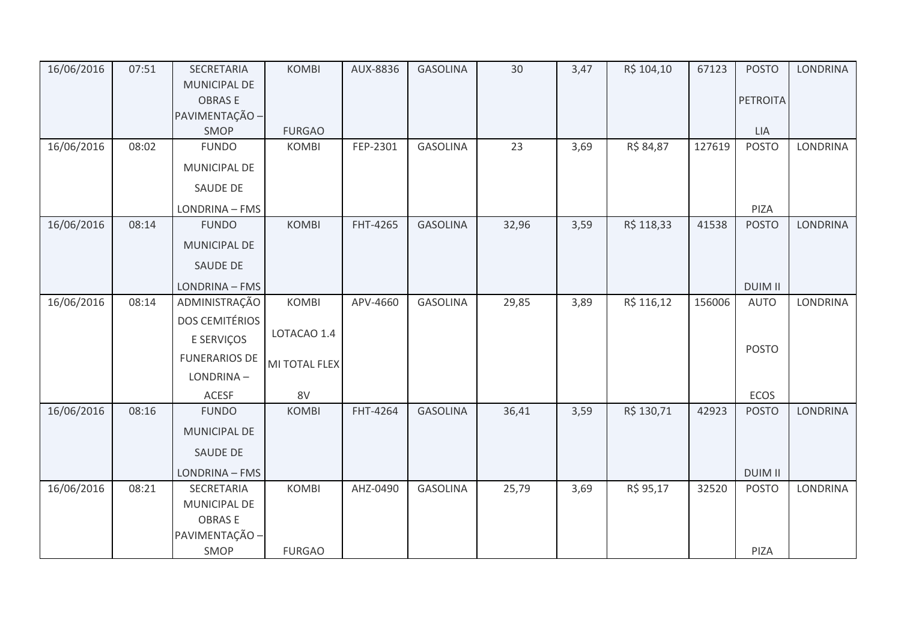| 16/06/2016 | 07:51 | SECRETARIA            | <b>KOMBI</b>  | AUX-8836 | <b>GASOLINA</b> | 30    | 3,47 | R\$ 104,10 | 67123  | <b>POSTO</b>    | <b>LONDRINA</b> |
|------------|-------|-----------------------|---------------|----------|-----------------|-------|------|------------|--------|-----------------|-----------------|
|            |       | MUNICIPAL DE          |               |          |                 |       |      |            |        |                 |                 |
|            |       | <b>OBRASE</b>         |               |          |                 |       |      |            |        | <b>PETROITA</b> |                 |
|            |       | PAVIMENTAÇÃO -        |               |          |                 |       |      |            |        |                 |                 |
|            |       | SMOP                  | <b>FURGAO</b> |          |                 |       |      |            |        | LIA             |                 |
| 16/06/2016 | 08:02 | <b>FUNDO</b>          | <b>KOMBI</b>  | FEP-2301 | <b>GASOLINA</b> | 23    | 3,69 | R\$ 84,87  | 127619 | <b>POSTO</b>    | LONDRINA        |
|            |       | MUNICIPAL DE          |               |          |                 |       |      |            |        |                 |                 |
|            |       | SAUDE DE              |               |          |                 |       |      |            |        |                 |                 |
|            |       | LONDRINA - FMS        |               |          |                 |       |      |            |        | PIZA            |                 |
| 16/06/2016 | 08:14 | <b>FUNDO</b>          | <b>KOMBI</b>  | FHT-4265 | <b>GASOLINA</b> | 32,96 | 3,59 | R\$ 118,33 | 41538  | <b>POSTO</b>    | <b>LONDRINA</b> |
|            |       | MUNICIPAL DE          |               |          |                 |       |      |            |        |                 |                 |
|            |       | SAUDE DE              |               |          |                 |       |      |            |        |                 |                 |
|            |       | LONDRINA - FMS        |               |          |                 |       |      |            |        | <b>DUIM II</b>  |                 |
| 16/06/2016 | 08:14 | ADMINISTRAÇÃO         | <b>KOMBI</b>  | APV-4660 | <b>GASOLINA</b> | 29,85 | 3,89 | R\$ 116,12 | 156006 | <b>AUTO</b>     | <b>LONDRINA</b> |
|            |       | <b>DOS CEMITÉRIOS</b> |               |          |                 |       |      |            |        |                 |                 |
|            |       | E SERVIÇOS            | LOTACAO 1.4   |          |                 |       |      |            |        | <b>POSTO</b>    |                 |
|            |       | <b>FUNERARIOS DE</b>  | MI TOTAL FLEX |          |                 |       |      |            |        |                 |                 |
|            |       | LONDRINA-             |               |          |                 |       |      |            |        |                 |                 |
|            |       | <b>ACESF</b>          | 8V            |          |                 |       |      |            |        | ECOS            |                 |
| 16/06/2016 | 08:16 | <b>FUNDO</b>          | <b>KOMBI</b>  | FHT-4264 | <b>GASOLINA</b> | 36,41 | 3,59 | R\$ 130,71 | 42923  | <b>POSTO</b>    | <b>LONDRINA</b> |
|            |       | MUNICIPAL DE          |               |          |                 |       |      |            |        |                 |                 |
|            |       | SAUDE DE              |               |          |                 |       |      |            |        |                 |                 |
|            |       | LONDRINA - FMS        |               |          |                 |       |      |            |        | <b>DUIM II</b>  |                 |
| 16/06/2016 | 08:21 | SECRETARIA            | <b>KOMBI</b>  | AHZ-0490 | <b>GASOLINA</b> | 25,79 | 3,69 | R\$ 95,17  | 32520  | <b>POSTO</b>    | <b>LONDRINA</b> |
|            |       | MUNICIPAL DE          |               |          |                 |       |      |            |        |                 |                 |
|            |       | <b>OBRASE</b>         |               |          |                 |       |      |            |        |                 |                 |
|            |       | PAVIMENTAÇÃO -        |               |          |                 |       |      |            |        |                 |                 |
|            |       | SMOP                  | <b>FURGAO</b> |          |                 |       |      |            |        | PIZA            |                 |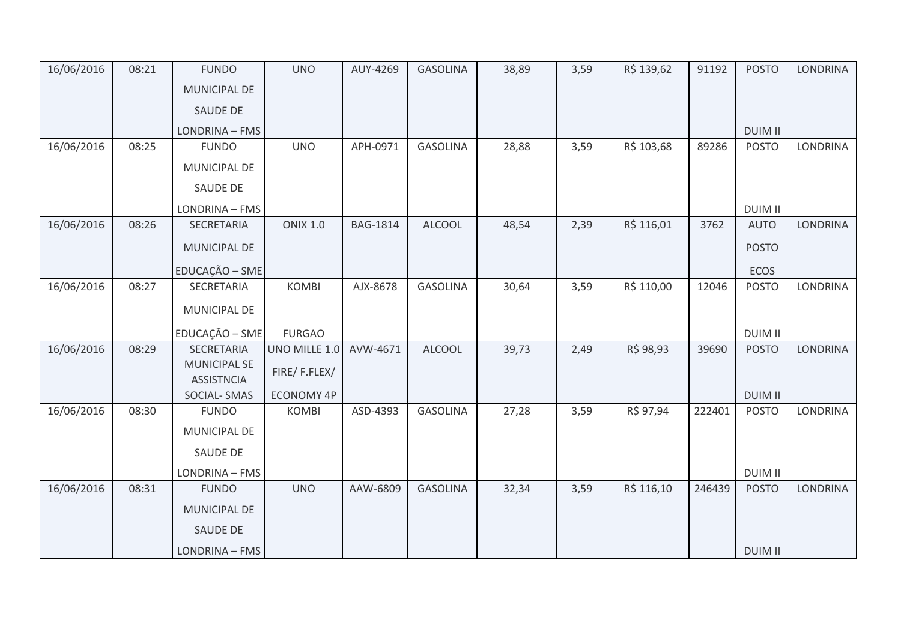| 16/06/2016 | 08:21 | <b>FUNDO</b>        | <b>UNO</b>        | AUY-4269        | <b>GASOLINA</b> | 38,89 | 3,59 | R\$ 139,62 | 91192  | <b>POSTO</b>   | <b>LONDRINA</b> |
|------------|-------|---------------------|-------------------|-----------------|-----------------|-------|------|------------|--------|----------------|-----------------|
|            |       | <b>MUNICIPAL DE</b> |                   |                 |                 |       |      |            |        |                |                 |
|            |       | <b>SAUDE DE</b>     |                   |                 |                 |       |      |            |        |                |                 |
|            |       | LONDRINA - FMS      |                   |                 |                 |       |      |            |        | <b>DUIM II</b> |                 |
| 16/06/2016 | 08:25 | <b>FUNDO</b>        | <b>UNO</b>        | APH-0971        | <b>GASOLINA</b> | 28,88 | 3,59 | R\$ 103,68 | 89286  | <b>POSTO</b>   | LONDRINA        |
|            |       | MUNICIPAL DE        |                   |                 |                 |       |      |            |        |                |                 |
|            |       | SAUDE DE            |                   |                 |                 |       |      |            |        |                |                 |
|            |       | LONDRINA - FMS      |                   |                 |                 |       |      |            |        | <b>DUIM II</b> |                 |
| 16/06/2016 | 08:26 | SECRETARIA          | <b>ONIX 1.0</b>   | <b>BAG-1814</b> | <b>ALCOOL</b>   | 48,54 | 2,39 | R\$ 116,01 | 3762   | <b>AUTO</b>    | <b>LONDRINA</b> |
|            |       | MUNICIPAL DE        |                   |                 |                 |       |      |            |        | <b>POSTO</b>   |                 |
|            |       | EDUCAÇÃO - SME      |                   |                 |                 |       |      |            |        | ECOS           |                 |
| 16/06/2016 | 08:27 | SECRETARIA          | <b>KOMBI</b>      | AJX-8678        | <b>GASOLINA</b> | 30,64 | 3,59 | R\$ 110,00 | 12046  | <b>POSTO</b>   | <b>LONDRINA</b> |
|            |       | MUNICIPAL DE        |                   |                 |                 |       |      |            |        |                |                 |
|            |       | EDUCAÇÃO - SME      | <b>FURGAO</b>     |                 |                 |       |      |            |        | <b>DUIM II</b> |                 |
| 16/06/2016 | 08:29 | <b>SECRETARIA</b>   | UNO MILLE 1.0     | AVW-4671        | <b>ALCOOL</b>   | 39,73 | 2,49 | R\$ 98,93  | 39690  | <b>POSTO</b>   | LONDRINA        |
|            |       | <b>MUNICIPAL SE</b> |                   |                 |                 |       |      |            |        |                |                 |
|            |       | <b>ASSISTNCIA</b>   | FIRE/F.FLEX/      |                 |                 |       |      |            |        |                |                 |
|            |       | SOCIAL-SMAS         | <b>ECONOMY 4P</b> |                 |                 |       |      |            |        | <b>DUIM II</b> |                 |
| 16/06/2016 | 08:30 | <b>FUNDO</b>        | <b>KOMBI</b>      | ASD-4393        | <b>GASOLINA</b> | 27,28 | 3,59 | R\$ 97,94  | 222401 | <b>POSTO</b>   | <b>LONDRINA</b> |
|            |       | MUNICIPAL DE        |                   |                 |                 |       |      |            |        |                |                 |
|            |       | SAUDE DE            |                   |                 |                 |       |      |            |        |                |                 |
|            |       | LONDRINA - FMS      |                   |                 |                 |       |      |            |        | <b>DUIM II</b> |                 |
| 16/06/2016 | 08:31 | <b>FUNDO</b>        | <b>UNO</b>        | AAW-6809        | <b>GASOLINA</b> | 32,34 | 3,59 | R\$ 116,10 | 246439 | <b>POSTO</b>   | <b>LONDRINA</b> |
|            |       | MUNICIPAL DE        |                   |                 |                 |       |      |            |        |                |                 |
|            |       | SAUDE DE            |                   |                 |                 |       |      |            |        |                |                 |
|            |       | LONDRINA - FMS      |                   |                 |                 |       |      |            |        | <b>DUIM II</b> |                 |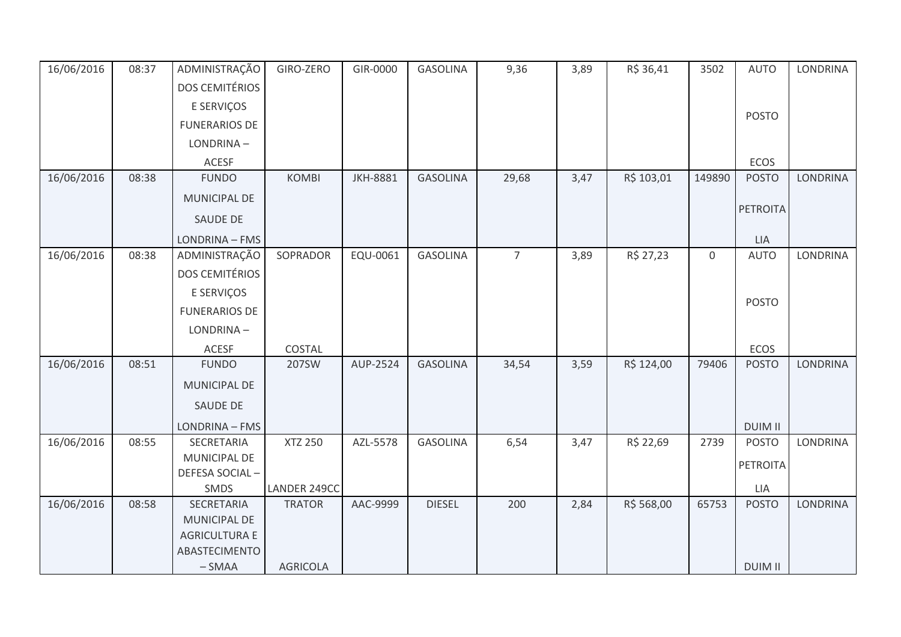| 16/06/2016 | 08:37 | ADMINISTRAÇÃO         | GIRO-ZERO                     | GIR-0000        | <b>GASOLINA</b> | 9,36           | 3,89 | R\$ 36,41  | 3502             | <b>AUTO</b>         | <b>LONDRINA</b> |
|------------|-------|-----------------------|-------------------------------|-----------------|-----------------|----------------|------|------------|------------------|---------------------|-----------------|
|            |       | <b>DOS CEMITÉRIOS</b> |                               |                 |                 |                |      |            |                  |                     |                 |
|            |       | E SERVIÇOS            |                               |                 |                 |                |      |            |                  |                     |                 |
|            |       | <b>FUNERARIOS DE</b>  |                               |                 |                 |                |      |            |                  | <b>POSTO</b>        |                 |
|            |       | LONDRINA-             |                               |                 |                 |                |      |            |                  |                     |                 |
|            |       | <b>ACESF</b>          |                               |                 |                 |                |      |            |                  | ECOS                |                 |
| 16/06/2016 | 08:38 | <b>FUNDO</b>          | <b>KOMBI</b>                  | <b>JKH-8881</b> | <b>GASOLINA</b> | 29,68          | 3,47 | R\$ 103,01 | 149890           | <b>POSTO</b>        | <b>LONDRINA</b> |
|            |       | MUNICIPAL DE          |                               |                 |                 |                |      |            |                  |                     |                 |
|            |       | SAUDE DE              |                               |                 |                 |                |      |            |                  | <b>PETROITA</b>     |                 |
|            |       | LONDRINA - FMS        |                               |                 |                 |                |      |            |                  | LIA                 |                 |
| 16/06/2016 | 08:38 | ADMINISTRAÇÃO         | SOPRADOR                      | EQU-0061        | <b>GASOLINA</b> | $\overline{7}$ | 3,89 | R\$ 27,23  | $\boldsymbol{0}$ | <b>AUTO</b>         | LONDRINA        |
|            |       | <b>DOS CEMITÉRIOS</b> |                               |                 |                 |                |      |            |                  |                     |                 |
|            |       | E SERVIÇOS            |                               |                 |                 |                |      |            |                  |                     |                 |
|            |       | <b>FUNERARIOS DE</b>  |                               |                 |                 |                |      |            |                  | <b>POSTO</b>        |                 |
|            |       | LONDRINA-             |                               |                 |                 |                |      |            |                  |                     |                 |
|            |       | ACESF                 | COSTAL                        |                 |                 |                |      |            |                  | ECOS                |                 |
| 16/06/2016 | 08:51 | <b>FUNDO</b>          | 207SW                         | AUP-2524        | <b>GASOLINA</b> | 34,54          | 3,59 | R\$ 124,00 | 79406            | <b>POSTO</b>        | <b>LONDRINA</b> |
|            |       | <b>MUNICIPAL DE</b>   |                               |                 |                 |                |      |            |                  |                     |                 |
|            |       | <b>SAUDE DE</b>       |                               |                 |                 |                |      |            |                  |                     |                 |
|            |       | LONDRINA - FMS        |                               |                 |                 |                |      |            |                  | <b>DUIM II</b>      |                 |
| 16/06/2016 | 08:55 | SECRETARIA            | <b>XTZ 250</b>                | AZL-5578        | <b>GASOLINA</b> | 6,54           | 3,47 | R\$ 22,69  | 2739             | <b>POSTO</b>        | <b>LONDRINA</b> |
|            |       | MUNICIPAL DE          |                               |                 |                 |                |      |            |                  | <b>PETROITA</b>     |                 |
|            |       | DEFESA SOCIAL-        |                               |                 |                 |                |      |            |                  |                     |                 |
| 16/06/2016 | 08:58 | SMDS<br>SECRETARIA    | LANDER 249CC<br><b>TRATOR</b> | AAC-9999        | <b>DIESEL</b>   | 200            | 2,84 | R\$ 568,00 | 65753            | LIA<br><b>POSTO</b> | LONDRINA        |
|            |       | <b>MUNICIPAL DE</b>   |                               |                 |                 |                |      |            |                  |                     |                 |
|            |       | <b>AGRICULTURA E</b>  |                               |                 |                 |                |      |            |                  |                     |                 |
|            |       | ABASTECIMENTO         |                               |                 |                 |                |      |            |                  |                     |                 |
|            |       | $-SMAA$               | <b>AGRICOLA</b>               |                 |                 |                |      |            |                  | <b>DUIM II</b>      |                 |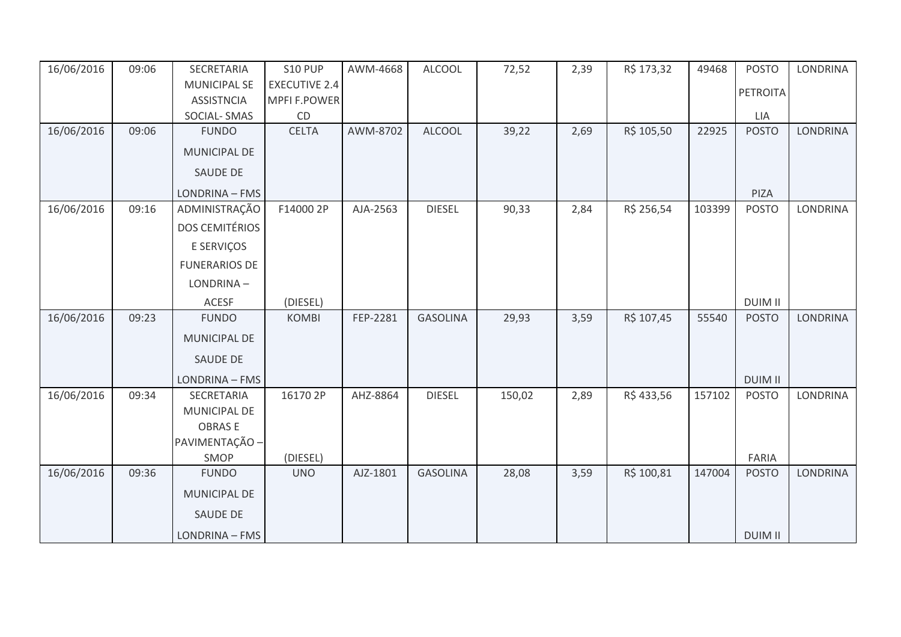| 16/06/2016 | 09:06 | SECRETARIA            | S10 PUP              | AWM-4668 | <b>ALCOOL</b>   | 72,52  | 2,39 | R\$ 173,32 | 49468  | <b>POSTO</b>   | <b>LONDRINA</b> |
|------------|-------|-----------------------|----------------------|----------|-----------------|--------|------|------------|--------|----------------|-----------------|
|            |       | <b>MUNICIPAL SE</b>   | <b>EXECUTIVE 2.4</b> |          |                 |        |      |            |        | PETROITA       |                 |
|            |       | <b>ASSISTNCIA</b>     | MPFI F.POWER         |          |                 |        |      |            |        |                |                 |
|            |       | <b>SOCIAL-SMAS</b>    | CD                   |          |                 |        |      |            |        | <b>LIA</b>     |                 |
| 16/06/2016 | 09:06 | <b>FUNDO</b>          | <b>CELTA</b>         | AWM-8702 | <b>ALCOOL</b>   | 39,22  | 2,69 | R\$ 105,50 | 22925  | <b>POSTO</b>   | <b>LONDRINA</b> |
|            |       | MUNICIPAL DE          |                      |          |                 |        |      |            |        |                |                 |
|            |       | <b>SAUDE DE</b>       |                      |          |                 |        |      |            |        |                |                 |
|            |       | LONDRINA - FMS        |                      |          |                 |        |      |            |        | PIZA           |                 |
| 16/06/2016 | 09:16 | ADMINISTRAÇÃO         | F14000 2P            | AJA-2563 | <b>DIESEL</b>   | 90,33  | 2,84 | R\$ 256,54 | 103399 | <b>POSTO</b>   | <b>LONDRINA</b> |
|            |       | <b>DOS CEMITÉRIOS</b> |                      |          |                 |        |      |            |        |                |                 |
|            |       | E SERVIÇOS            |                      |          |                 |        |      |            |        |                |                 |
|            |       | <b>FUNERARIOS DE</b>  |                      |          |                 |        |      |            |        |                |                 |
|            |       | LONDRINA-             |                      |          |                 |        |      |            |        |                |                 |
|            |       | ACESF                 | (DIESEL)             |          |                 |        |      |            |        | <b>DUIM II</b> |                 |
| 16/06/2016 | 09:23 | <b>FUNDO</b>          | <b>KOMBI</b>         | FEP-2281 | <b>GASOLINA</b> | 29,93  | 3,59 | R\$ 107,45 | 55540  | <b>POSTO</b>   | <b>LONDRINA</b> |
|            |       | <b>MUNICIPAL DE</b>   |                      |          |                 |        |      |            |        |                |                 |
|            |       | <b>SAUDE DE</b>       |                      |          |                 |        |      |            |        |                |                 |
|            |       | LONDRINA - FMS        |                      |          |                 |        |      |            |        | <b>DUIM II</b> |                 |
| 16/06/2016 | 09:34 | SECRETARIA            | 16170 2P             | AHZ-8864 | <b>DIESEL</b>   | 150,02 | 2,89 | R\$433,56  | 157102 | <b>POSTO</b>   | <b>LONDRINA</b> |
|            |       | <b>MUNICIPAL DE</b>   |                      |          |                 |        |      |            |        |                |                 |
|            |       | <b>OBRASE</b>         |                      |          |                 |        |      |            |        |                |                 |
|            |       | PAVIMENTAÇÃO -        |                      |          |                 |        |      |            |        |                |                 |
|            |       | SMOP                  | (DIESEL)             |          |                 |        |      |            |        | FARIA          |                 |
| 16/06/2016 | 09:36 | <b>FUNDO</b>          | <b>UNO</b>           | AJZ-1801 | <b>GASOLINA</b> | 28,08  | 3,59 | R\$ 100,81 | 147004 | <b>POSTO</b>   | <b>LONDRINA</b> |
|            |       | <b>MUNICIPAL DE</b>   |                      |          |                 |        |      |            |        |                |                 |
|            |       | <b>SAUDE DE</b>       |                      |          |                 |        |      |            |        |                |                 |
|            |       | LONDRINA - FMS        |                      |          |                 |        |      |            |        | <b>DUIM II</b> |                 |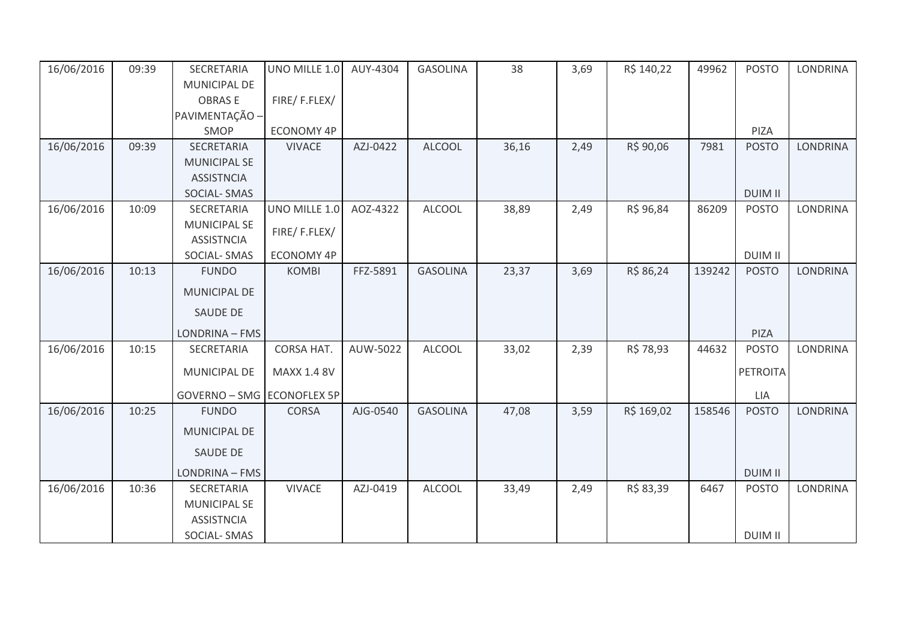| 16/06/2016 | 09:39 | SECRETARIA                 | UNO MILLE 1.0     | AUY-4304 | <b>GASOLINA</b> | 38    | 3,69 | R\$ 140,22 | 49962  | <b>POSTO</b>    | <b>LONDRINA</b> |
|------------|-------|----------------------------|-------------------|----------|-----------------|-------|------|------------|--------|-----------------|-----------------|
|            |       | MUNICIPAL DE               |                   |          |                 |       |      |            |        |                 |                 |
|            |       | <b>OBRASE</b>              | FIRE/F.FLEX/      |          |                 |       |      |            |        |                 |                 |
|            |       | PAVIMENTAÇÃO -             |                   |          |                 |       |      |            |        |                 |                 |
|            |       | SMOP                       | ECONOMY 4P        |          |                 |       |      |            |        | PIZA            |                 |
| 16/06/2016 | 09:39 | SECRETARIA                 | <b>VIVACE</b>     | AZJ-0422 | <b>ALCOOL</b>   | 36,16 | 2,49 | R\$ 90,06  | 7981   | <b>POSTO</b>    | <b>LONDRINA</b> |
|            |       | <b>MUNICIPAL SE</b>        |                   |          |                 |       |      |            |        |                 |                 |
|            |       | <b>ASSISTNCIA</b>          |                   |          |                 |       |      |            |        |                 |                 |
|            |       | <b>SOCIAL-SMAS</b>         |                   |          |                 |       |      |            |        | <b>DUIM II</b>  |                 |
| 16/06/2016 | 10:09 | SECRETARIA                 | UNO MILLE 1.0     | AOZ-4322 | <b>ALCOOL</b>   | 38,89 | 2,49 | R\$ 96,84  | 86209  | <b>POSTO</b>    | LONDRINA        |
|            |       | <b>MUNICIPAL SE</b>        | FIRE/F.FLEX/      |          |                 |       |      |            |        |                 |                 |
|            |       | <b>ASSISTNCIA</b>          |                   |          |                 |       |      |            |        |                 |                 |
|            |       | SOCIAL-SMAS                | <b>ECONOMY 4P</b> |          |                 |       |      |            |        | <b>DUIM II</b>  |                 |
| 16/06/2016 | 10:13 | <b>FUNDO</b>               | <b>KOMBI</b>      | FFZ-5891 | <b>GASOLINA</b> | 23,37 | 3,69 | R\$ 86,24  | 139242 | <b>POSTO</b>    | <b>LONDRINA</b> |
|            |       | MUNICIPAL DE               |                   |          |                 |       |      |            |        |                 |                 |
|            |       | <b>SAUDE DE</b>            |                   |          |                 |       |      |            |        |                 |                 |
|            |       | LONDRINA - FMS             |                   |          |                 |       |      |            |        | PIZA            |                 |
| 16/06/2016 | 10:15 | SECRETARIA                 | CORSA HAT.        | AUW-5022 | <b>ALCOOL</b>   | 33,02 | 2,39 | R\$ 78,93  | 44632  | <b>POSTO</b>    | LONDRINA        |
|            |       | <b>MUNICIPAL DE</b>        | MAXX 1.4 8V       |          |                 |       |      |            |        | <b>PETROITA</b> |                 |
|            |       |                            |                   |          |                 |       |      |            |        |                 |                 |
|            |       | GOVERNO - SMG ECONOFLEX 5P |                   |          |                 |       |      |            |        | LIA             |                 |
| 16/06/2016 | 10:25 | <b>FUNDO</b>               | <b>CORSA</b>      | AJG-0540 | <b>GASOLINA</b> | 47,08 | 3,59 | R\$ 169,02 | 158546 | <b>POSTO</b>    | <b>LONDRINA</b> |
|            |       | <b>MUNICIPAL DE</b>        |                   |          |                 |       |      |            |        |                 |                 |
|            |       | <b>SAUDE DE</b>            |                   |          |                 |       |      |            |        |                 |                 |
|            |       | LONDRINA - FMS             |                   |          |                 |       |      |            |        | <b>DUIM II</b>  |                 |
| 16/06/2016 | 10:36 | SECRETARIA                 | <b>VIVACE</b>     | AZJ-0419 | <b>ALCOOL</b>   | 33,49 | 2,49 | R\$ 83,39  | 6467   | <b>POSTO</b>    | <b>LONDRINA</b> |
|            |       | <b>MUNICIPAL SE</b>        |                   |          |                 |       |      |            |        |                 |                 |
|            |       | <b>ASSISTNCIA</b>          |                   |          |                 |       |      |            |        |                 |                 |
|            |       | SOCIAL-SMAS                |                   |          |                 |       |      |            |        | <b>DUIM II</b>  |                 |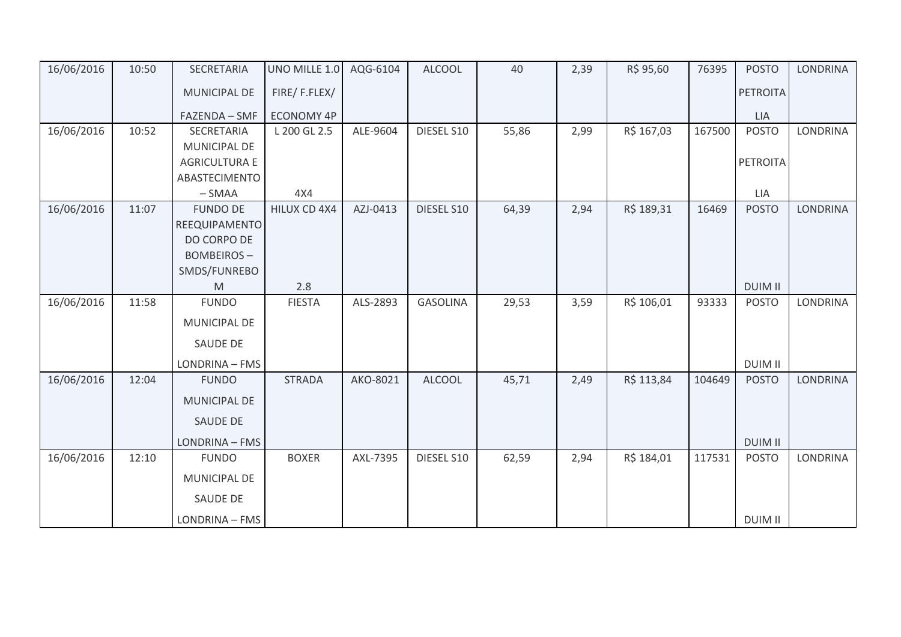| 16/06/2016 | 10:50 | SECRETARIA           | UNO MILLE 1.0     | AQG-6104 | <b>ALCOOL</b>   | 40    | 2,39 | R\$ 95,60  | 76395  | <b>POSTO</b>    | <b>LONDRINA</b> |
|------------|-------|----------------------|-------------------|----------|-----------------|-------|------|------------|--------|-----------------|-----------------|
|            |       | MUNICIPAL DE         | FIRE/F.FLEX/      |          |                 |       |      |            |        | <b>PETROITA</b> |                 |
|            |       | FAZENDA - SMF        | <b>ECONOMY 4P</b> |          |                 |       |      |            |        | LIA             |                 |
| 16/06/2016 | 10:52 | SECRETARIA           | L 200 GL 2.5      | ALE-9604 | DIESEL S10      | 55,86 | 2,99 | R\$ 167,03 | 167500 | <b>POSTO</b>    | <b>LONDRINA</b> |
|            |       | MUNICIPAL DE         |                   |          |                 |       |      |            |        |                 |                 |
|            |       | <b>AGRICULTURA E</b> |                   |          |                 |       |      |            |        | <b>PETROITA</b> |                 |
|            |       | ABASTECIMENTO        |                   |          |                 |       |      |            |        |                 |                 |
|            |       | $-SMAA$              | 4X4               |          |                 |       |      |            |        | LIA             |                 |
| 16/06/2016 | 11:07 | <b>FUNDO DE</b>      | HILUX CD 4X4      | AZJ-0413 | DIESEL S10      | 64,39 | 2,94 | R\$ 189,31 | 16469  | <b>POSTO</b>    | <b>LONDRINA</b> |
|            |       | REEQUIPAMENTO        |                   |          |                 |       |      |            |        |                 |                 |
|            |       | DO CORPO DE          |                   |          |                 |       |      |            |        |                 |                 |
|            |       | <b>BOMBEIROS-</b>    |                   |          |                 |       |      |            |        |                 |                 |
|            |       | SMDS/FUNREBO         |                   |          |                 |       |      |            |        |                 |                 |
|            |       | M                    | 2.8               |          |                 |       |      |            |        | <b>DUIM II</b>  |                 |
| 16/06/2016 | 11:58 | <b>FUNDO</b>         | <b>FIESTA</b>     | ALS-2893 | <b>GASOLINA</b> | 29,53 | 3,59 | R\$ 106,01 | 93333  | <b>POSTO</b>    | <b>LONDRINA</b> |
|            |       | MUNICIPAL DE         |                   |          |                 |       |      |            |        |                 |                 |
|            |       | <b>SAUDE DE</b>      |                   |          |                 |       |      |            |        |                 |                 |
|            |       | LONDRINA - FMS       |                   |          |                 |       |      |            |        | <b>DUIM II</b>  |                 |
| 16/06/2016 | 12:04 | <b>FUNDO</b>         | <b>STRADA</b>     | AKO-8021 | <b>ALCOOL</b>   | 45,71 | 2,49 | R\$ 113,84 | 104649 | <b>POSTO</b>    | <b>LONDRINA</b> |
|            |       | MUNICIPAL DE         |                   |          |                 |       |      |            |        |                 |                 |
|            |       | SAUDE DE             |                   |          |                 |       |      |            |        |                 |                 |
|            |       | LONDRINA - FMS       |                   |          |                 |       |      |            |        | <b>DUIM II</b>  |                 |
| 16/06/2016 | 12:10 | <b>FUNDO</b>         | <b>BOXER</b>      | AXL-7395 | DIESEL S10      | 62,59 | 2,94 | R\$ 184,01 | 117531 | <b>POSTO</b>    | <b>LONDRINA</b> |
|            |       | <b>MUNICIPAL DE</b>  |                   |          |                 |       |      |            |        |                 |                 |
|            |       | <b>SAUDE DE</b>      |                   |          |                 |       |      |            |        |                 |                 |
|            |       | LONDRINA - FMS       |                   |          |                 |       |      |            |        | <b>DUIM II</b>  |                 |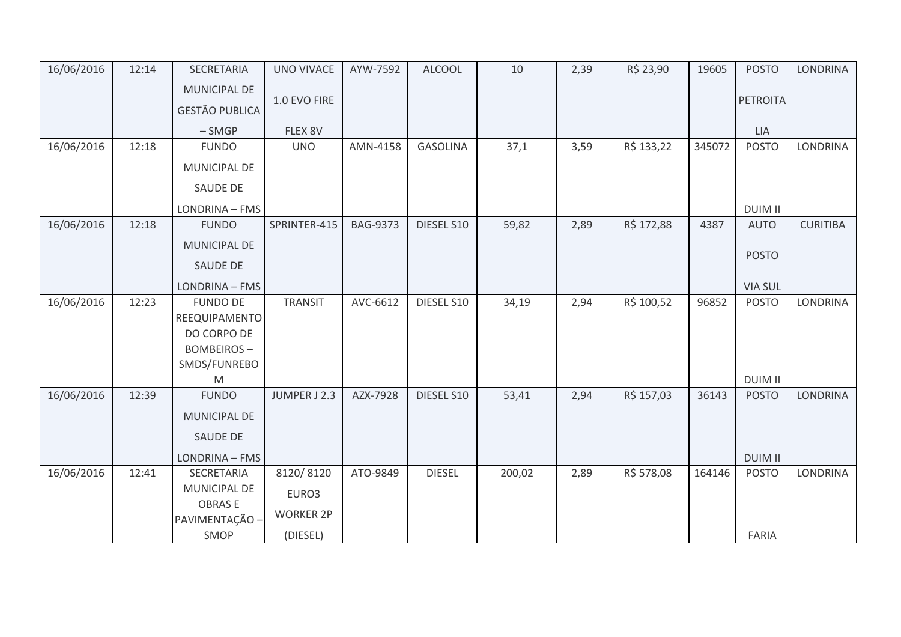| 16/06/2016 | 12:14 | SECRETARIA                       | <b>UNO VIVACE</b> | AYW-7592        | <b>ALCOOL</b>   | 10     | 2,39 | R\$ 23,90  | 19605  | <b>POSTO</b>    | <b>LONDRINA</b> |
|------------|-------|----------------------------------|-------------------|-----------------|-----------------|--------|------|------------|--------|-----------------|-----------------|
|            |       | <b>MUNICIPAL DE</b>              |                   |                 |                 |        |      |            |        |                 |                 |
|            |       | <b>GESTÃO PUBLICA</b>            | 1.0 EVO FIRE      |                 |                 |        |      |            |        | <b>PETROITA</b> |                 |
|            |       | $-SMGP$                          | FLEX 8V           |                 |                 |        |      |            |        | <b>LIA</b>      |                 |
| 16/06/2016 | 12:18 | <b>FUNDO</b>                     | <b>UNO</b>        | AMN-4158        | <b>GASOLINA</b> | 37,1   | 3,59 | R\$ 133,22 | 345072 | <b>POSTO</b>    | <b>LONDRINA</b> |
|            |       | MUNICIPAL DE                     |                   |                 |                 |        |      |            |        |                 |                 |
|            |       | SAUDE DE                         |                   |                 |                 |        |      |            |        |                 |                 |
|            |       | LONDRINA - FMS                   |                   |                 |                 |        |      |            |        | <b>DUIM II</b>  |                 |
| 16/06/2016 | 12:18 | <b>FUNDO</b>                     | SPRINTER-415      | <b>BAG-9373</b> | DIESEL S10      | 59,82  | 2,89 | R\$ 172,88 | 4387   | <b>AUTO</b>     | <b>CURITIBA</b> |
|            |       | <b>MUNICIPAL DE</b>              |                   |                 |                 |        |      |            |        |                 |                 |
|            |       | SAUDE DE                         |                   |                 |                 |        |      |            |        | <b>POSTO</b>    |                 |
|            |       | LONDRINA - FMS                   |                   |                 |                 |        |      |            |        | <b>VIA SUL</b>  |                 |
| 16/06/2016 | 12:23 | <b>FUNDO DE</b>                  | <b>TRANSIT</b>    | AVC-6612        | DIESEL S10      | 34,19  | 2,94 | R\$ 100,52 | 96852  | <b>POSTO</b>    | <b>LONDRINA</b> |
|            |       | REEQUIPAMENTO                    |                   |                 |                 |        |      |            |        |                 |                 |
|            |       | DO CORPO DE<br><b>BOMBEIROS-</b> |                   |                 |                 |        |      |            |        |                 |                 |
|            |       | SMDS/FUNREBO                     |                   |                 |                 |        |      |            |        |                 |                 |
|            |       | M                                |                   |                 |                 |        |      |            |        | <b>DUIM II</b>  |                 |
| 16/06/2016 | 12:39 | <b>FUNDO</b>                     | JUMPER J 2.3      | AZX-7928        | DIESEL S10      | 53,41  | 2,94 | R\$ 157,03 | 36143  | <b>POSTO</b>    | <b>LONDRINA</b> |
|            |       | <b>MUNICIPAL DE</b>              |                   |                 |                 |        |      |            |        |                 |                 |
|            |       | <b>SAUDE DE</b>                  |                   |                 |                 |        |      |            |        |                 |                 |
|            |       | LONDRINA - FMS                   |                   |                 |                 |        |      |            |        | <b>DUIM II</b>  |                 |
| 16/06/2016 | 12:41 | SECRETARIA                       | 8120/8120         | ATO-9849        | <b>DIESEL</b>   | 200,02 | 2,89 | R\$ 578,08 | 164146 | <b>POSTO</b>    | <b>LONDRINA</b> |
|            |       | <b>MUNICIPAL DE</b>              | EURO3             |                 |                 |        |      |            |        |                 |                 |
|            |       | <b>OBRASE</b>                    | <b>WORKER 2P</b>  |                 |                 |        |      |            |        |                 |                 |
|            |       | PAVIMENTAÇÃO -                   |                   |                 |                 |        |      |            |        |                 |                 |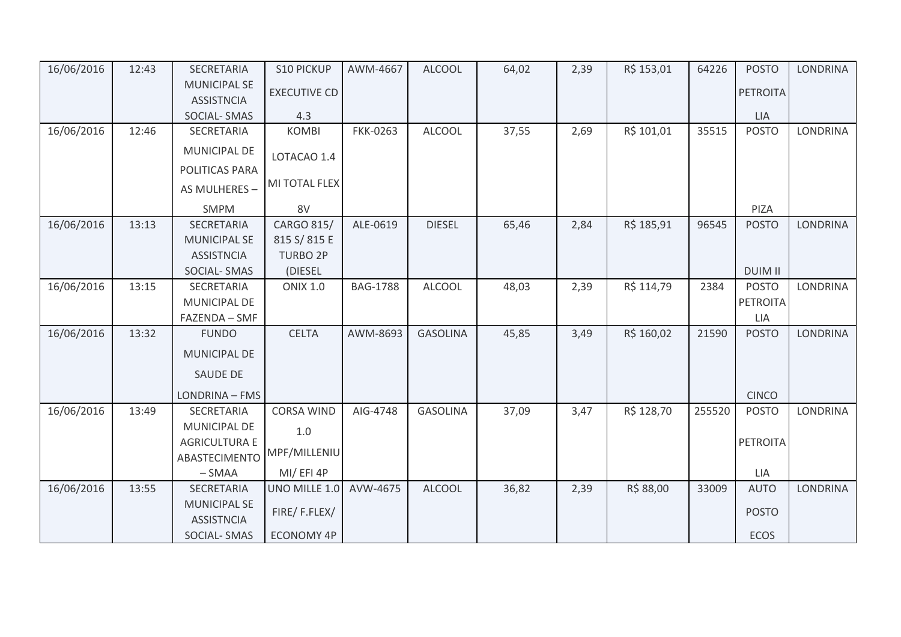| 16/06/2016 | 12:43 | SECRETARIA                               | <b>S10 PICKUP</b>   | AWM-4667        | <b>ALCOOL</b>   | 64,02 | 2,39 | R\$ 153,01 | 64226  | <b>POSTO</b>    | <b>LONDRINA</b> |
|------------|-------|------------------------------------------|---------------------|-----------------|-----------------|-------|------|------------|--------|-----------------|-----------------|
|            |       | <b>MUNICIPAL SE</b><br><b>ASSISTNCIA</b> | <b>EXECUTIVE CD</b> |                 |                 |       |      |            |        | <b>PETROITA</b> |                 |
|            |       | <b>SOCIAL-SMAS</b>                       | 4.3                 |                 |                 |       |      |            |        | LIA             |                 |
| 16/06/2016 | 12:46 | SECRETARIA                               | <b>KOMBI</b>        | <b>FKK-0263</b> | <b>ALCOOL</b>   | 37,55 | 2,69 | R\$ 101,01 | 35515  | <b>POSTO</b>    | LONDRINA        |
|            |       | <b>MUNICIPAL DE</b>                      | LOTACAO 1.4         |                 |                 |       |      |            |        |                 |                 |
|            |       | POLITICAS PARA                           |                     |                 |                 |       |      |            |        |                 |                 |
|            |       | AS MULHERES -                            | MI TOTAL FLEX       |                 |                 |       |      |            |        |                 |                 |
|            |       | <b>SMPM</b>                              | 8V                  |                 |                 |       |      |            |        | PIZA            |                 |
| 16/06/2016 | 13:13 | SECRETARIA                               | CARGO 815/          | ALE-0619        | <b>DIESEL</b>   | 65,46 | 2,84 | R\$ 185,91 | 96545  | <b>POSTO</b>    | <b>LONDRINA</b> |
|            |       | <b>MUNICIPAL SE</b>                      | 815 S/815 E         |                 |                 |       |      |            |        |                 |                 |
|            |       | <b>ASSISTNCIA</b>                        | <b>TURBO 2P</b>     |                 |                 |       |      |            |        |                 |                 |
|            |       | <b>SOCIAL-SMAS</b>                       | (DIESEL             |                 |                 |       |      |            |        | <b>DUIM II</b>  |                 |
| 16/06/2016 | 13:15 | SECRETARIA                               | <b>ONIX 1.0</b>     | <b>BAG-1788</b> | <b>ALCOOL</b>   | 48,03 | 2,39 | R\$ 114,79 | 2384   | <b>POSTO</b>    | <b>LONDRINA</b> |
|            |       | MUNICIPAL DE                             |                     |                 |                 |       |      |            |        | <b>PETROITA</b> |                 |
|            |       | FAZENDA - SMF                            |                     |                 |                 |       |      |            |        | <b>LIA</b>      |                 |
| 16/06/2016 | 13:32 | <b>FUNDO</b>                             | <b>CELTA</b>        | AWM-8693        | <b>GASOLINA</b> | 45,85 | 3,49 | R\$ 160,02 | 21590  | <b>POSTO</b>    | LONDRINA        |
|            |       | MUNICIPAL DE                             |                     |                 |                 |       |      |            |        |                 |                 |
|            |       | <b>SAUDE DE</b>                          |                     |                 |                 |       |      |            |        |                 |                 |
|            |       | LONDRINA - FMS                           |                     |                 |                 |       |      |            |        | <b>CINCO</b>    |                 |
| 16/06/2016 | 13:49 | SECRETARIA                               | <b>CORSA WIND</b>   | AIG-4748        | <b>GASOLINA</b> | 37,09 | 3,47 | R\$ 128,70 | 255520 | <b>POSTO</b>    | <b>LONDRINA</b> |
|            |       | <b>MUNICIPAL DE</b>                      | $1.0$               |                 |                 |       |      |            |        |                 |                 |
|            |       | <b>AGRICULTURA E</b>                     |                     |                 |                 |       |      |            |        | <b>PETROITA</b> |                 |
|            |       | <b>ABASTECIMENTO</b>                     | MPF/MILLENIU        |                 |                 |       |      |            |        |                 |                 |
|            |       | $-SMAA$                                  | MI/EFI4P            |                 |                 |       |      |            |        | LIA             |                 |
| 16/06/2016 | 13:55 | SECRETARIA                               | UNO MILLE 1.0       | AVW-4675        | <b>ALCOOL</b>   | 36,82 | 2,39 | R\$ 88,00  | 33009  | <b>AUTO</b>     | <b>LONDRINA</b> |
|            |       | <b>MUNICIPAL SE</b><br><b>ASSISTNCIA</b> | FIRE/F.FLEX/        |                 |                 |       |      |            |        | <b>POSTO</b>    |                 |
|            |       | <b>SOCIAL-SMAS</b>                       | <b>ECONOMY 4P</b>   |                 |                 |       |      |            |        | <b>ECOS</b>     |                 |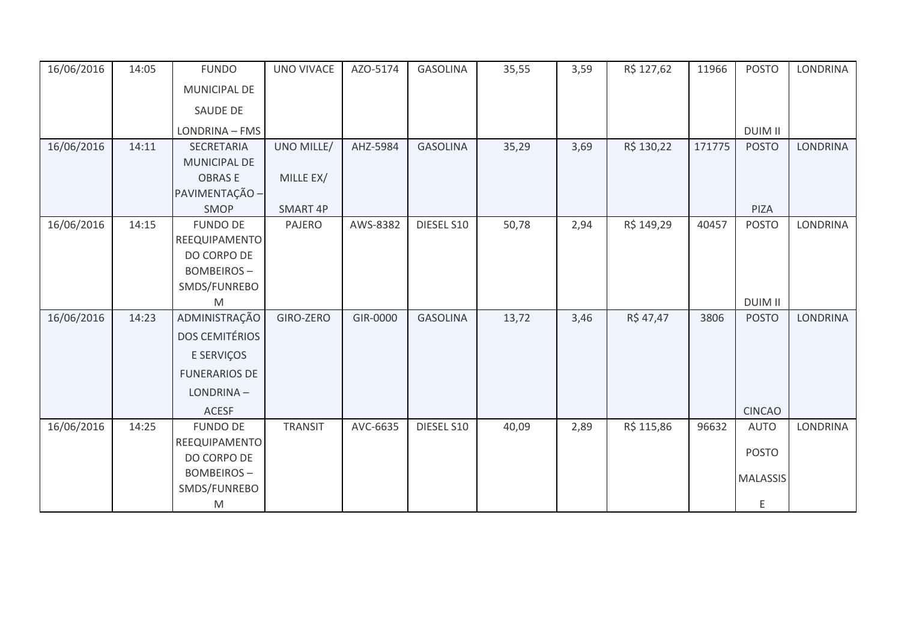| 16/06/2016 | 14:05 | <b>FUNDO</b>          | <b>UNO VIVACE</b> | AZO-5174 | <b>GASOLINA</b> | 35,55 | 3,59 | R\$ 127,62 | 11966  | <b>POSTO</b>    | <b>LONDRINA</b> |
|------------|-------|-----------------------|-------------------|----------|-----------------|-------|------|------------|--------|-----------------|-----------------|
|            |       | <b>MUNICIPAL DE</b>   |                   |          |                 |       |      |            |        |                 |                 |
|            |       | SAUDE DE              |                   |          |                 |       |      |            |        |                 |                 |
|            |       | LONDRINA - FMS        |                   |          |                 |       |      |            |        | <b>DUIM II</b>  |                 |
| 16/06/2016 | 14:11 | SECRETARIA            | UNO MILLE/        | AHZ-5984 | <b>GASOLINA</b> | 35,29 | 3,69 | R\$ 130,22 | 171775 | <b>POSTO</b>    | <b>LONDRINA</b> |
|            |       | <b>MUNICIPAL DE</b>   |                   |          |                 |       |      |            |        |                 |                 |
|            |       | <b>OBRASE</b>         | MILLE EX/         |          |                 |       |      |            |        |                 |                 |
|            |       | PAVIMENTAÇÃO -        |                   |          |                 |       |      |            |        |                 |                 |
|            |       | SMOP                  | SMART 4P          |          |                 |       |      |            |        | PIZA            |                 |
| 16/06/2016 | 14:15 | <b>FUNDO DE</b>       | PAJERO            | AWS-8382 | DIESEL S10      | 50,78 | 2,94 | R\$ 149,29 | 40457  | <b>POSTO</b>    | <b>LONDRINA</b> |
|            |       | REEQUIPAMENTO         |                   |          |                 |       |      |            |        |                 |                 |
|            |       | DO CORPO DE           |                   |          |                 |       |      |            |        |                 |                 |
|            |       | <b>BOMBEIROS-</b>     |                   |          |                 |       |      |            |        |                 |                 |
|            |       | SMDS/FUNREBO          |                   |          |                 |       |      |            |        |                 |                 |
|            |       | M                     |                   |          |                 |       |      |            |        | <b>DUIM II</b>  |                 |
| 16/06/2016 | 14:23 | ADMINISTRAÇÃO         | GIRO-ZERO         | GIR-0000 | <b>GASOLINA</b> | 13,72 | 3,46 | R\$ 47,47  | 3806   | <b>POSTO</b>    | <b>LONDRINA</b> |
|            |       | <b>DOS CEMITÉRIOS</b> |                   |          |                 |       |      |            |        |                 |                 |
|            |       | E SERVIÇOS            |                   |          |                 |       |      |            |        |                 |                 |
|            |       | <b>FUNERARIOS DE</b>  |                   |          |                 |       |      |            |        |                 |                 |
|            |       | LONDRINA-             |                   |          |                 |       |      |            |        |                 |                 |
|            |       | <b>ACESF</b>          |                   |          |                 |       |      |            |        | <b>CINCAO</b>   |                 |
| 16/06/2016 | 14:25 | <b>FUNDO DE</b>       | <b>TRANSIT</b>    | AVC-6635 | DIESEL S10      | 40,09 | 2,89 | R\$ 115,86 | 96632  | <b>AUTO</b>     | <b>LONDRINA</b> |
|            |       | REEQUIPAMENTO         |                   |          |                 |       |      |            |        |                 |                 |
|            |       | DO CORPO DE           |                   |          |                 |       |      |            |        | <b>POSTO</b>    |                 |
|            |       | <b>BOMBEIROS-</b>     |                   |          |                 |       |      |            |        | <b>MALASSIS</b> |                 |
|            |       | SMDS/FUNREBO          |                   |          |                 |       |      |            |        |                 |                 |
|            |       | M                     |                   |          |                 |       |      |            |        | Ε               |                 |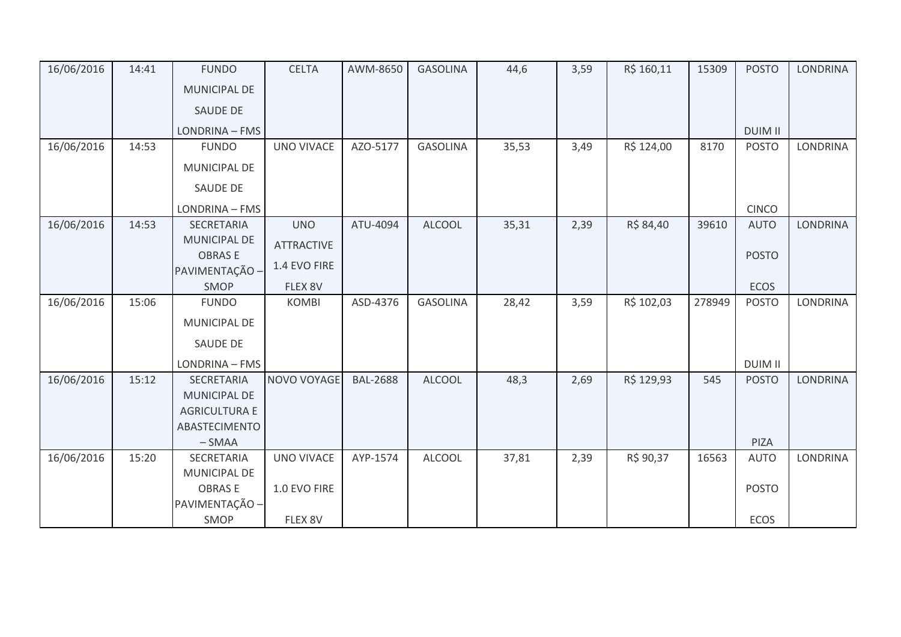| 16/06/2016 | 14:41 | <b>FUNDO</b>                         | <b>CELTA</b>      | AWM-8650        | <b>GASOLINA</b> | 44,6  | 3,59 | R\$ 160,11 | 15309  | <b>POSTO</b>   | <b>LONDRINA</b> |
|------------|-------|--------------------------------------|-------------------|-----------------|-----------------|-------|------|------------|--------|----------------|-----------------|
|            |       | MUNICIPAL DE                         |                   |                 |                 |       |      |            |        |                |                 |
|            |       | <b>SAUDE DE</b>                      |                   |                 |                 |       |      |            |        |                |                 |
|            |       | LONDRINA - FMS                       |                   |                 |                 |       |      |            |        | <b>DUIM II</b> |                 |
| 16/06/2016 | 14:53 | <b>FUNDO</b>                         | <b>UNO VIVACE</b> | AZO-5177        | <b>GASOLINA</b> | 35,53 | 3,49 | R\$ 124,00 | 8170   | <b>POSTO</b>   | <b>LONDRINA</b> |
|            |       | MUNICIPAL DE                         |                   |                 |                 |       |      |            |        |                |                 |
|            |       | SAUDE DE                             |                   |                 |                 |       |      |            |        |                |                 |
|            |       | LONDRINA - FMS                       |                   |                 |                 |       |      |            |        | <b>CINCO</b>   |                 |
| 16/06/2016 | 14:53 | <b>SECRETARIA</b>                    | <b>UNO</b>        | ATU-4094        | <b>ALCOOL</b>   | 35,31 | 2,39 | R\$ 84,40  | 39610  | <b>AUTO</b>    | <b>LONDRINA</b> |
|            |       | <b>MUNICIPAL DE</b><br><b>OBRASE</b> | <b>ATTRACTIVE</b> |                 |                 |       |      |            |        |                |                 |
|            |       | PAVIMENTAÇÃO -                       | 1.4 EVO FIRE      |                 |                 |       |      |            |        | <b>POSTO</b>   |                 |
|            |       | SMOP                                 | FLEX 8V           |                 |                 |       |      |            |        | <b>ECOS</b>    |                 |
| 16/06/2016 | 15:06 | <b>FUNDO</b>                         | <b>KOMBI</b>      | ASD-4376        | <b>GASOLINA</b> | 28,42 | 3,59 | R\$ 102,03 | 278949 | <b>POSTO</b>   | LONDRINA        |
|            |       | <b>MUNICIPAL DE</b>                  |                   |                 |                 |       |      |            |        |                |                 |
|            |       | SAUDE DE                             |                   |                 |                 |       |      |            |        |                |                 |
|            |       | LONDRINA - FMS                       |                   |                 |                 |       |      |            |        | <b>DUIM II</b> |                 |
| 16/06/2016 | 15:12 | SECRETARIA                           | NOVO VOYAGE       | <b>BAL-2688</b> | <b>ALCOOL</b>   | 48,3  | 2,69 | R\$ 129,93 | 545    | <b>POSTO</b>   | <b>LONDRINA</b> |
|            |       | <b>MUNICIPAL DE</b>                  |                   |                 |                 |       |      |            |        |                |                 |
|            |       | <b>AGRICULTURA E</b>                 |                   |                 |                 |       |      |            |        |                |                 |
|            |       | ABASTECIMENTO<br>$-SMAA$             |                   |                 |                 |       |      |            |        | PIZA           |                 |
| 16/06/2016 | 15:20 | SECRETARIA                           | <b>UNO VIVACE</b> | AYP-1574        | <b>ALCOOL</b>   | 37,81 | 2,39 | R\$ 90,37  | 16563  | <b>AUTO</b>    | <b>LONDRINA</b> |
|            |       | <b>MUNICIPAL DE</b>                  |                   |                 |                 |       |      |            |        |                |                 |
|            |       | <b>OBRASE</b>                        | 1.0 EVO FIRE      |                 |                 |       |      |            |        | <b>POSTO</b>   |                 |
|            |       | PAVIMENTAÇÃO -                       |                   |                 |                 |       |      |            |        |                |                 |
|            |       | SMOP                                 | FLEX 8V           |                 |                 |       |      |            |        | ECOS           |                 |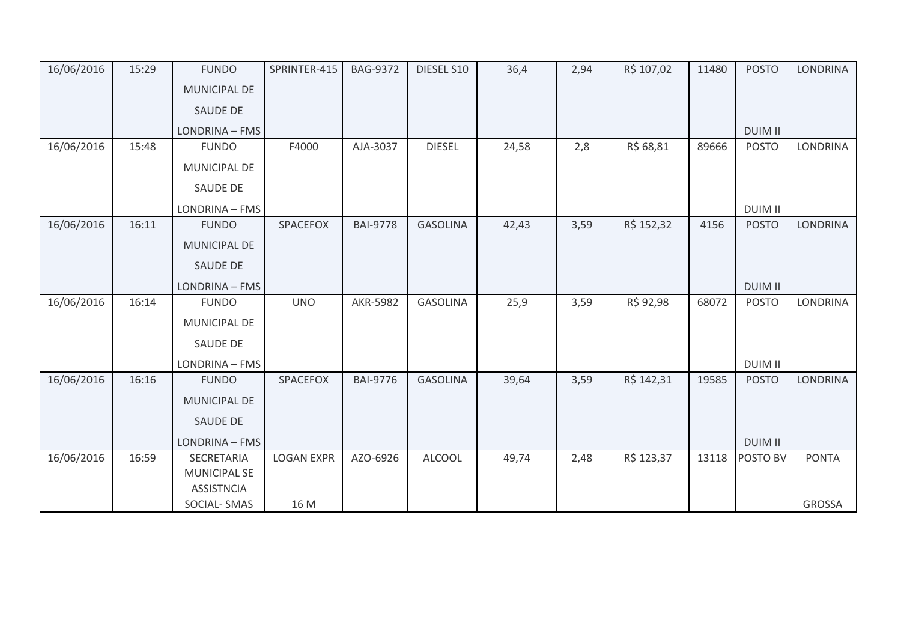| 16/06/2016 | 15:29 | <b>FUNDO</b>                            | SPRINTER-415      | <b>BAG-9372</b> | DIESEL S10      | 36,4  | 2,94 | R\$ 107,02 | 11480 | <b>POSTO</b>   | <b>LONDRINA</b> |
|------------|-------|-----------------------------------------|-------------------|-----------------|-----------------|-------|------|------------|-------|----------------|-----------------|
|            |       | <b>MUNICIPAL DE</b>                     |                   |                 |                 |       |      |            |       |                |                 |
|            |       | <b>SAUDE DE</b>                         |                   |                 |                 |       |      |            |       |                |                 |
|            |       | LONDRINA - FMS                          |                   |                 |                 |       |      |            |       | <b>DUIM II</b> |                 |
| 16/06/2016 | 15:48 | <b>FUNDO</b>                            | F4000             | AJA-3037        | <b>DIESEL</b>   | 24,58 | 2,8  | R\$ 68,81  | 89666 | <b>POSTO</b>   | <b>LONDRINA</b> |
|            |       | MUNICIPAL DE                            |                   |                 |                 |       |      |            |       |                |                 |
|            |       | <b>SAUDE DE</b>                         |                   |                 |                 |       |      |            |       |                |                 |
|            |       | LONDRINA - FMS                          |                   |                 |                 |       |      |            |       | <b>DUIM II</b> |                 |
| 16/06/2016 | 16:11 | <b>FUNDO</b>                            | SPACEFOX          | <b>BAI-9778</b> | <b>GASOLINA</b> | 42,43 | 3,59 | R\$ 152,32 | 4156  | <b>POSTO</b>   | <b>LONDRINA</b> |
|            |       | <b>MUNICIPAL DE</b>                     |                   |                 |                 |       |      |            |       |                |                 |
|            |       | <b>SAUDE DE</b>                         |                   |                 |                 |       |      |            |       |                |                 |
|            |       | LONDRINA - FMS                          |                   |                 |                 |       |      |            |       | <b>DUIM II</b> |                 |
| 16/06/2016 | 16:14 | <b>FUNDO</b>                            | <b>UNO</b>        | <b>AKR-5982</b> | <b>GASOLINA</b> | 25,9  | 3,59 | R\$ 92,98  | 68072 | <b>POSTO</b>   | <b>LONDRINA</b> |
|            |       | MUNICIPAL DE                            |                   |                 |                 |       |      |            |       |                |                 |
|            |       | SAUDE DE                                |                   |                 |                 |       |      |            |       |                |                 |
|            |       | LONDRINA - FMS                          |                   |                 |                 |       |      |            |       | <b>DUIM II</b> |                 |
| 16/06/2016 | 16:16 | <b>FUNDO</b>                            | SPACEFOX          | <b>BAI-9776</b> | <b>GASOLINA</b> | 39,64 | 3,59 | R\$ 142,31 | 19585 | <b>POSTO</b>   | <b>LONDRINA</b> |
|            |       | <b>MUNICIPAL DE</b>                     |                   |                 |                 |       |      |            |       |                |                 |
|            |       | SAUDE DE                                |                   |                 |                 |       |      |            |       |                |                 |
|            |       | LONDRINA - FMS                          |                   |                 |                 |       |      |            |       | <b>DUIM II</b> |                 |
| 16/06/2016 | 16:59 | SECRETARIA                              | <b>LOGAN EXPR</b> | AZO-6926        | <b>ALCOOL</b>   | 49,74 | 2,48 | R\$ 123,37 | 13118 | POSTO BV       | <b>PONTA</b>    |
|            |       | <b>MUNICIPAL SE</b>                     |                   |                 |                 |       |      |            |       |                |                 |
|            |       | <b>ASSISTNCIA</b><br><b>SOCIAL-SMAS</b> | 16 M              |                 |                 |       |      |            |       |                | <b>GROSSA</b>   |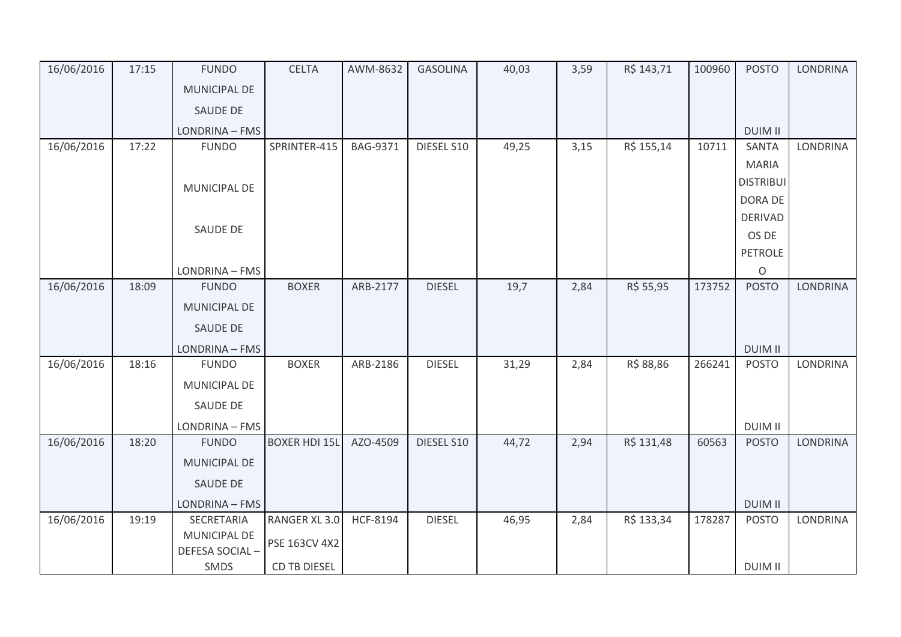| 16/06/2016 | 17:15 | <b>FUNDO</b>          | <b>CELTA</b>         | AWM-8632        | <b>GASOLINA</b> | 40,03 | 3,59 | R\$ 143,71 | 100960 | <b>POSTO</b>     | LONDRINA        |
|------------|-------|-----------------------|----------------------|-----------------|-----------------|-------|------|------------|--------|------------------|-----------------|
|            |       | MUNICIPAL DE          |                      |                 |                 |       |      |            |        |                  |                 |
|            |       | <b>SAUDE DE</b>       |                      |                 |                 |       |      |            |        |                  |                 |
|            |       | LONDRINA - FMS        |                      |                 |                 |       |      |            |        | <b>DUIM II</b>   |                 |
| 16/06/2016 | 17:22 | <b>FUNDO</b>          | SPRINTER-415         | BAG-9371        | DIESEL S10      | 49,25 | 3,15 | R\$ 155,14 | 10711  | <b>SANTA</b>     | LONDRINA        |
|            |       |                       |                      |                 |                 |       |      |            |        | <b>MARIA</b>     |                 |
|            |       | MUNICIPAL DE          |                      |                 |                 |       |      |            |        | <b>DISTRIBUI</b> |                 |
|            |       |                       |                      |                 |                 |       |      |            |        | DORA DE          |                 |
|            |       | SAUDE DE              |                      |                 |                 |       |      |            |        | <b>DERIVAD</b>   |                 |
|            |       |                       |                      |                 |                 |       |      |            |        | OS DE            |                 |
|            |       |                       |                      |                 |                 |       |      |            |        | PETROLE          |                 |
|            |       | LONDRINA - FMS        |                      |                 |                 |       |      |            |        | $\circ$          |                 |
| 16/06/2016 | 18:09 | <b>FUNDO</b>          | <b>BOXER</b>         | ARB-2177        | <b>DIESEL</b>   | 19,7  | 2,84 | R\$ 55,95  | 173752 | <b>POSTO</b>     | <b>LONDRINA</b> |
|            |       | <b>MUNICIPAL DE</b>   |                      |                 |                 |       |      |            |        |                  |                 |
|            |       | SAUDE DE              |                      |                 |                 |       |      |            |        |                  |                 |
|            |       | LONDRINA - FMS        |                      |                 |                 |       |      |            |        | <b>DUIM II</b>   |                 |
| 16/06/2016 | 18:16 | <b>FUNDO</b>          | <b>BOXER</b>         | ARB-2186        | <b>DIESEL</b>   | 31,29 | 2,84 | R\$ 88,86  | 266241 | <b>POSTO</b>     | <b>LONDRINA</b> |
|            |       | MUNICIPAL DE          |                      |                 |                 |       |      |            |        |                  |                 |
|            |       | SAUDE DE              |                      |                 |                 |       |      |            |        |                  |                 |
|            |       | <b>LONDRINA - FMS</b> |                      |                 |                 |       |      |            |        | <b>DUIM II</b>   |                 |
| 16/06/2016 | 18:20 | <b>FUNDO</b>          | <b>BOXER HDI 15L</b> | AZO-4509        | DIESEL S10      | 44,72 | 2,94 | R\$ 131,48 | 60563  | <b>POSTO</b>     | LONDRINA        |
|            |       | <b>MUNICIPAL DE</b>   |                      |                 |                 |       |      |            |        |                  |                 |
|            |       | SAUDE DE              |                      |                 |                 |       |      |            |        |                  |                 |
|            |       | LONDRINA - FMS        |                      |                 |                 |       |      |            |        | <b>DUIM II</b>   |                 |
| 16/06/2016 | 19:19 | SECRETARIA            | RANGER XL 3.0        | <b>HCF-8194</b> | <b>DIESEL</b>   | 46,95 | 2,84 | R\$ 133,34 | 178287 | <b>POSTO</b>     | <b>LONDRINA</b> |
|            |       | <b>MUNICIPAL DE</b>   | PSE 163CV 4X2        |                 |                 |       |      |            |        |                  |                 |
|            |       | DEFESA SOCIAL-        |                      |                 |                 |       |      |            |        |                  |                 |
|            |       | SMDS                  | <b>CD TB DIESEL</b>  |                 |                 |       |      |            |        | <b>DUIM II</b>   |                 |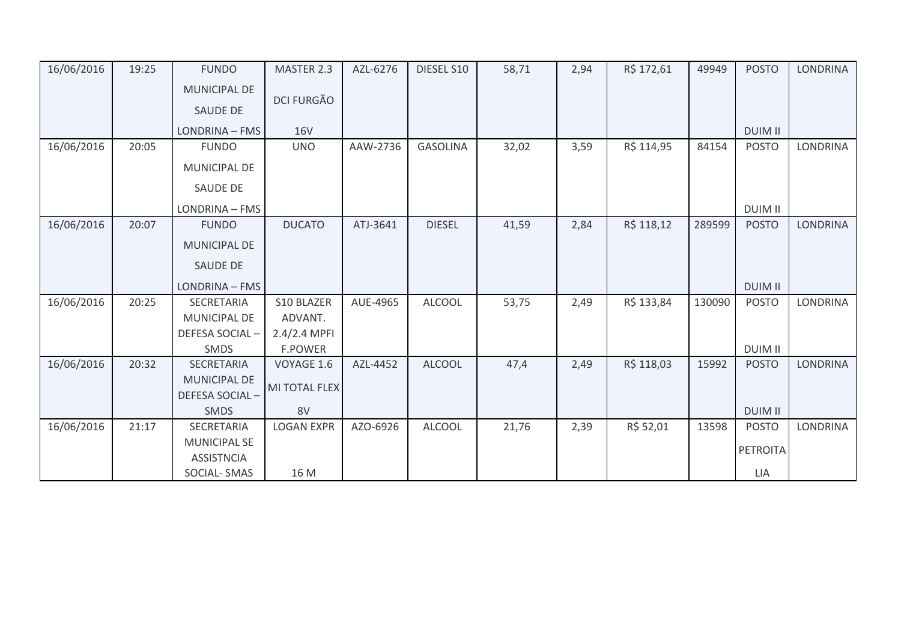| 16/06/2016 | 19:25 | <b>FUNDO</b>        | MASTER 2.3        | AZL-6276 | DIESEL S10      | 58,71 | 2,94 | R\$ 172,61 | 49949  | <b>POSTO</b>    | LONDRINA        |
|------------|-------|---------------------|-------------------|----------|-----------------|-------|------|------------|--------|-----------------|-----------------|
|            |       | MUNICIPAL DE        |                   |          |                 |       |      |            |        |                 |                 |
|            |       | <b>SAUDE DE</b>     | <b>DCI FURGÃO</b> |          |                 |       |      |            |        |                 |                 |
|            |       | LONDRINA - FMS      | <b>16V</b>        |          |                 |       |      |            |        | <b>DUIM II</b>  |                 |
| 16/06/2016 | 20:05 | <b>FUNDO</b>        | <b>UNO</b>        | AAW-2736 | <b>GASOLINA</b> | 32,02 | 3,59 | R\$ 114,95 | 84154  | <b>POSTO</b>    | <b>LONDRINA</b> |
|            |       | MUNICIPAL DE        |                   |          |                 |       |      |            |        |                 |                 |
|            |       | SAUDE DE            |                   |          |                 |       |      |            |        |                 |                 |
|            |       | LONDRINA - FMS      |                   |          |                 |       |      |            |        | <b>DUIM II</b>  |                 |
| 16/06/2016 | 20:07 | <b>FUNDO</b>        | <b>DUCATO</b>     | ATJ-3641 | <b>DIESEL</b>   | 41,59 | 2,84 | R\$ 118,12 | 289599 | <b>POSTO</b>    | <b>LONDRINA</b> |
|            |       | <b>MUNICIPAL DE</b> |                   |          |                 |       |      |            |        |                 |                 |
|            |       | SAUDE DE            |                   |          |                 |       |      |            |        |                 |                 |
|            |       | LONDRINA - FMS      |                   |          |                 |       |      |            |        | <b>DUIM II</b>  |                 |
| 16/06/2016 | 20:25 | SECRETARIA          | S10 BLAZER        | AUE-4965 | <b>ALCOOL</b>   | 53,75 | 2,49 | R\$ 133,84 | 130090 | <b>POSTO</b>    | <b>LONDRINA</b> |
|            |       | <b>MUNICIPAL DE</b> | ADVANT.           |          |                 |       |      |            |        |                 |                 |
|            |       | DEFESA SOCIAL-      | $2.4/2.4$ MPFI    |          |                 |       |      |            |        |                 |                 |
|            |       | SMDS                | <b>F.POWER</b>    |          |                 |       |      |            |        | <b>DUIM II</b>  |                 |
| 16/06/2016 | 20:32 | SECRETARIA          | VOYAGE 1.6        | AZL-4452 | <b>ALCOOL</b>   | 47,4  | 2,49 | R\$ 118,03 | 15992  | <b>POSTO</b>    | <b>LONDRINA</b> |
|            |       | <b>MUNICIPAL DE</b> | MI TOTAL FLEX     |          |                 |       |      |            |        |                 |                 |
|            |       | DEFESA SOCIAL-      |                   |          |                 |       |      |            |        |                 |                 |
|            |       | <b>SMDS</b>         | 8V                |          |                 |       |      |            |        | <b>DUIM II</b>  |                 |
| 16/06/2016 | 21:17 | SECRETARIA          | <b>LOGAN EXPR</b> | AZO-6926 | <b>ALCOOL</b>   | 21,76 | 2,39 | R\$ 52,01  | 13598  | <b>POSTO</b>    | <b>LONDRINA</b> |
|            |       | <b>MUNICIPAL SE</b> |                   |          |                 |       |      |            |        | <b>PETROITA</b> |                 |
|            |       | <b>ASSISTNCIA</b>   |                   |          |                 |       |      |            |        |                 |                 |
|            |       | SOCIAL-SMAS         | 16 M              |          |                 |       |      |            |        | LIA             |                 |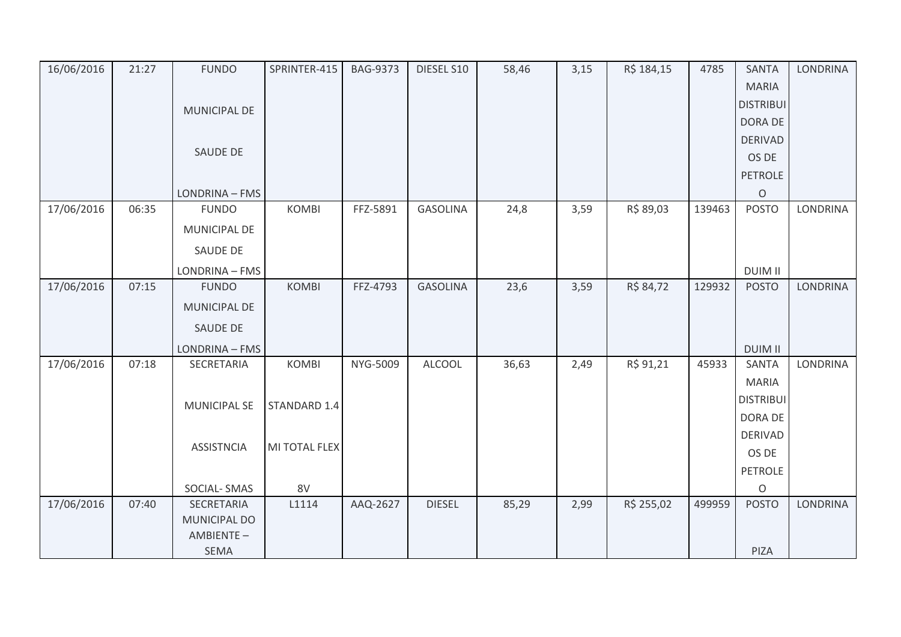| 16/06/2016 | 21:27 | <b>FUNDO</b>             | SPRINTER-415  | <b>BAG-9373</b> | DIESEL S10      | 58,46 | 3,15 | R\$ 184,15 | 4785   | <b>SANTA</b>     | <b>LONDRINA</b> |
|------------|-------|--------------------------|---------------|-----------------|-----------------|-------|------|------------|--------|------------------|-----------------|
|            |       |                          |               |                 |                 |       |      |            |        | <b>MARIA</b>     |                 |
|            |       | MUNICIPAL DE             |               |                 |                 |       |      |            |        | <b>DISTRIBUI</b> |                 |
|            |       |                          |               |                 |                 |       |      |            |        | DORA DE          |                 |
|            |       |                          |               |                 |                 |       |      |            |        | <b>DERIVAD</b>   |                 |
|            |       | SAUDE DE                 |               |                 |                 |       |      |            |        | OS DE            |                 |
|            |       |                          |               |                 |                 |       |      |            |        | <b>PETROLE</b>   |                 |
|            |       | LONDRINA - FMS           |               |                 |                 |       |      |            |        | $\mathsf O$      |                 |
| 17/06/2016 | 06:35 | <b>FUNDO</b>             | <b>KOMBI</b>  | FFZ-5891        | <b>GASOLINA</b> | 24,8  | 3,59 | R\$ 89,03  | 139463 | <b>POSTO</b>     | <b>LONDRINA</b> |
|            |       | MUNICIPAL DE             |               |                 |                 |       |      |            |        |                  |                 |
|            |       | SAUDE DE                 |               |                 |                 |       |      |            |        |                  |                 |
|            |       | LONDRINA - FMS           |               |                 |                 |       |      |            |        | <b>DUIM II</b>   |                 |
| 17/06/2016 | 07:15 | <b>FUNDO</b>             | <b>KOMBI</b>  | FFZ-4793        | <b>GASOLINA</b> | 23,6  | 3,59 | R\$ 84,72  | 129932 | <b>POSTO</b>     | LONDRINA        |
|            |       | MUNICIPAL DE             |               |                 |                 |       |      |            |        |                  |                 |
|            |       | SAUDE DE                 |               |                 |                 |       |      |            |        |                  |                 |
|            |       | LONDRINA - FMS           |               |                 |                 |       |      |            |        | <b>DUIM II</b>   |                 |
| 17/06/2016 | 07:18 | SECRETARIA               | <b>KOMBI</b>  | NYG-5009        | <b>ALCOOL</b>   | 36,63 | 2,49 | R\$ 91,21  | 45933  | <b>SANTA</b>     | <b>LONDRINA</b> |
|            |       |                          |               |                 |                 |       |      |            |        | <b>MARIA</b>     |                 |
|            |       | <b>MUNICIPAL SE</b>      | STANDARD 1.4  |                 |                 |       |      |            |        | <b>DISTRIBUI</b> |                 |
|            |       |                          |               |                 |                 |       |      |            |        | DORA DE          |                 |
|            |       |                          |               |                 |                 |       |      |            |        | <b>DERIVAD</b>   |                 |
|            |       | <b>ASSISTNCIA</b>        | MI TOTAL FLEX |                 |                 |       |      |            |        | OS DE            |                 |
|            |       |                          |               |                 |                 |       |      |            |        | <b>PETROLE</b>   |                 |
|            |       | SOCIAL-SMAS              | 8V            |                 |                 |       |      |            |        | $\circ$          |                 |
| 17/06/2016 | 07:40 | SECRETARIA               | L1114         | AAQ-2627        | <b>DIESEL</b>   | 85,29 | 2,99 | R\$ 255,02 | 499959 | <b>POSTO</b>     | <b>LONDRINA</b> |
|            |       | MUNICIPAL DO             |               |                 |                 |       |      |            |        |                  |                 |
|            |       | AMBIENTE-<br><b>SEMA</b> |               |                 |                 |       |      |            |        | PIZA             |                 |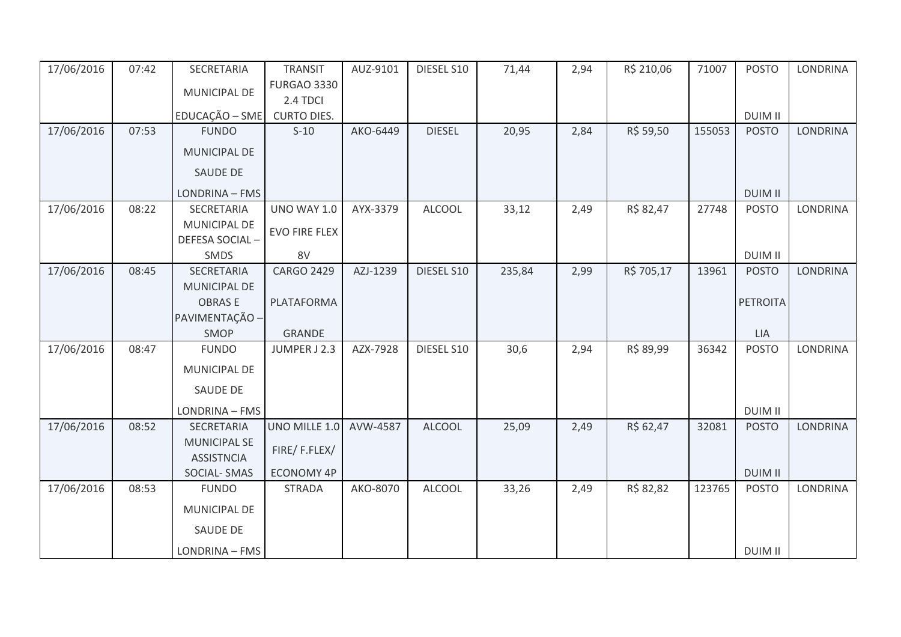| 17/06/2016 | 07:42 | SECRETARIA          | <b>TRANSIT</b>       | AUZ-9101 | DIESEL S10    | 71,44  | 2,94 | R\$ 210,06 | 71007  | <b>POSTO</b>    | <b>LONDRINA</b> |
|------------|-------|---------------------|----------------------|----------|---------------|--------|------|------------|--------|-----------------|-----------------|
|            |       | MUNICIPAL DE        | <b>FURGAO 3330</b>   |          |               |        |      |            |        |                 |                 |
|            |       |                     | 2.4 TDCI             |          |               |        |      |            |        |                 |                 |
|            |       | EDUCAÇÃO - SME      | <b>CURTO DIES.</b>   |          |               |        |      |            |        | <b>DUIM II</b>  |                 |
| 17/06/2016 | 07:53 | <b>FUNDO</b>        | $S-10$               | AKO-6449 | <b>DIESEL</b> | 20,95  | 2,84 | R\$ 59,50  | 155053 | <b>POSTO</b>    | <b>LONDRINA</b> |
|            |       | MUNICIPAL DE        |                      |          |               |        |      |            |        |                 |                 |
|            |       | SAUDE DE            |                      |          |               |        |      |            |        |                 |                 |
|            |       | LONDRINA - FMS      |                      |          |               |        |      |            |        | <b>DUIM II</b>  |                 |
| 17/06/2016 | 08:22 | SECRETARIA          | <b>UNO WAY 1.0</b>   | AYX-3379 | <b>ALCOOL</b> | 33,12  | 2,49 | R\$ 82,47  | 27748  | <b>POSTO</b>    | <b>LONDRINA</b> |
|            |       | MUNICIPAL DE        | <b>EVO FIRE FLEX</b> |          |               |        |      |            |        |                 |                 |
|            |       | DEFESA SOCIAL-      |                      |          |               |        |      |            |        |                 |                 |
|            |       | SMDS                | 8V                   |          |               |        |      |            |        | <b>DUIM II</b>  |                 |
| 17/06/2016 | 08:45 | SECRETARIA          | <b>CARGO 2429</b>    | AZJ-1239 | DIESEL S10    | 235,84 | 2,99 | R\$ 705,17 | 13961  | <b>POSTO</b>    | <b>LONDRINA</b> |
|            |       | MUNICIPAL DE        |                      |          |               |        |      |            |        |                 |                 |
|            |       | <b>OBRASE</b>       | PLATAFORMA           |          |               |        |      |            |        | <b>PETROITA</b> |                 |
|            |       | PAVIMENTAÇÃO -      |                      |          |               |        |      |            |        |                 |                 |
|            |       | SMOP                | <b>GRANDE</b>        |          |               |        |      |            |        | LIA             |                 |
| 17/06/2016 | 08:47 | <b>FUNDO</b>        | JUMPER J 2.3         | AZX-7928 | DIESEL S10    | 30,6   | 2,94 | R\$ 89,99  | 36342  | <b>POSTO</b>    | LONDRINA        |
|            |       | MUNICIPAL DE        |                      |          |               |        |      |            |        |                 |                 |
|            |       | SAUDE DE            |                      |          |               |        |      |            |        |                 |                 |
|            |       | LONDRINA - FMS      |                      |          |               |        |      |            |        | <b>DUIM II</b>  |                 |
| 17/06/2016 | 08:52 | SECRETARIA          | UNO MILLE 1.0        | AVW-4587 | <b>ALCOOL</b> | 25,09  | 2,49 | R\$ 62,47  | 32081  | <b>POSTO</b>    | <b>LONDRINA</b> |
|            |       | <b>MUNICIPAL SE</b> | FIRE/F.FLEX/         |          |               |        |      |            |        |                 |                 |
|            |       | <b>ASSISTNCIA</b>   |                      |          |               |        |      |            |        |                 |                 |
|            |       | SOCIAL-SMAS         | <b>ECONOMY 4P</b>    |          |               |        |      |            |        | <b>DUIM II</b>  |                 |
| 17/06/2016 | 08:53 | <b>FUNDO</b>        | <b>STRADA</b>        | AKO-8070 | <b>ALCOOL</b> | 33,26  | 2,49 | R\$ 82,82  | 123765 | <b>POSTO</b>    | <b>LONDRINA</b> |
|            |       | MUNICIPAL DE        |                      |          |               |        |      |            |        |                 |                 |
|            |       | <b>SAUDE DE</b>     |                      |          |               |        |      |            |        |                 |                 |
|            |       | LONDRINA - FMS      |                      |          |               |        |      |            |        | <b>DUIM II</b>  |                 |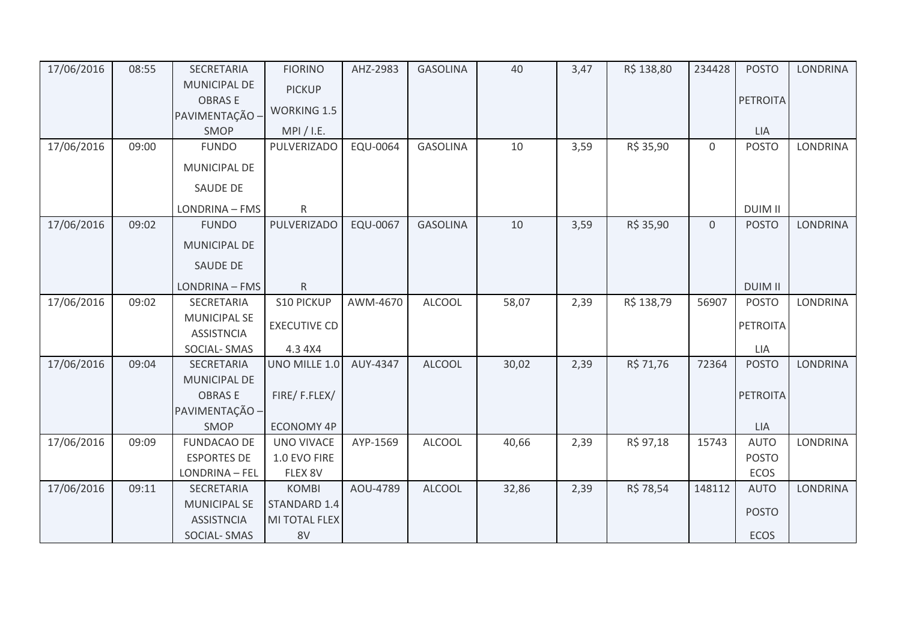| 17/06/2016 | 08:55 | SECRETARIA          | <b>FIORINO</b>      | AHZ-2983 | <b>GASOLINA</b> | 40    | 3,47 | R\$ 138,80 | 234428         | <b>POSTO</b>    | <b>LONDRINA</b> |
|------------|-------|---------------------|---------------------|----------|-----------------|-------|------|------------|----------------|-----------------|-----------------|
|            |       | MUNICIPAL DE        | <b>PICKUP</b>       |          |                 |       |      |            |                |                 |                 |
|            |       | <b>OBRASE</b>       | <b>WORKING 1.5</b>  |          |                 |       |      |            |                | <b>PETROITA</b> |                 |
|            |       | PAVIMENTAÇÃO -      |                     |          |                 |       |      |            |                |                 |                 |
|            |       | SMOP                | MPI / I.E.          |          |                 |       |      |            |                | LIA             |                 |
| 17/06/2016 | 09:00 | <b>FUNDO</b>        | PULVERIZADO         | EQU-0064 | <b>GASOLINA</b> | 10    | 3,59 | R\$ 35,90  | $\mathbf 0$    | <b>POSTO</b>    | <b>LONDRINA</b> |
|            |       | MUNICIPAL DE        |                     |          |                 |       |      |            |                |                 |                 |
|            |       | SAUDE DE            |                     |          |                 |       |      |            |                |                 |                 |
|            |       | LONDRINA - FMS      | $\mathsf{R}$        |          |                 |       |      |            |                | <b>DUIM II</b>  |                 |
| 17/06/2016 | 09:02 | <b>FUNDO</b>        | PULVERIZADO         | EQU-0067 | <b>GASOLINA</b> | 10    | 3,59 | R\$ 35,90  | $\overline{0}$ | <b>POSTO</b>    | <b>LONDRINA</b> |
|            |       | <b>MUNICIPAL DE</b> |                     |          |                 |       |      |            |                |                 |                 |
|            |       | <b>SAUDE DE</b>     |                     |          |                 |       |      |            |                |                 |                 |
|            |       | LONDRINA - FMS      | ${\sf R}$           |          |                 |       |      |            |                | <b>DUIM II</b>  |                 |
| 17/06/2016 | 09:02 | SECRETARIA          | <b>S10 PICKUP</b>   | AWM-4670 | <b>ALCOOL</b>   | 58,07 | 2,39 | R\$ 138,79 | 56907          | <b>POSTO</b>    | LONDRINA        |
|            |       | <b>MUNICIPAL SE</b> | <b>EXECUTIVE CD</b> |          |                 |       |      |            |                | <b>PETROITA</b> |                 |
|            |       | <b>ASSISTNCIA</b>   |                     |          |                 |       |      |            |                |                 |                 |
|            |       | SOCIAL-SMAS         | 4.3 4X4             |          |                 |       |      |            |                | LIA             |                 |
| 17/06/2016 | 09:04 | SECRETARIA          | UNO MILLE 1.0       | AUY-4347 | <b>ALCOOL</b>   | 30,02 | 2,39 | R\$ 71,76  | 72364          | <b>POSTO</b>    | <b>LONDRINA</b> |
|            |       | MUNICIPAL DE        |                     |          |                 |       |      |            |                |                 |                 |
|            |       | <b>OBRASE</b>       | FIRE/F.FLEX/        |          |                 |       |      |            |                | <b>PETROITA</b> |                 |
|            |       | PAVIMENTAÇÃO -      |                     |          |                 |       |      |            |                |                 |                 |
|            |       | SMOP                | <b>ECONOMY 4P</b>   |          |                 |       |      |            |                | <b>LIA</b>      |                 |
| 17/06/2016 | 09:09 | <b>FUNDACAO DE</b>  | <b>UNO VIVACE</b>   | AYP-1569 | <b>ALCOOL</b>   | 40,66 | 2,39 | R\$ 97,18  | 15743          | <b>AUTO</b>     | LONDRINA        |
|            |       | <b>ESPORTES DE</b>  | 1.0 EVO FIRE        |          |                 |       |      |            |                | <b>POSTO</b>    |                 |
|            |       | LONDRINA - FEL      | FLEX 8V             |          |                 |       |      |            |                | ECOS            |                 |
| 17/06/2016 | 09:11 | SECRETARIA          | <b>KOMBI</b>        | AOU-4789 | <b>ALCOOL</b>   | 32,86 | 2,39 | R\$ 78,54  | 148112         | <b>AUTO</b>     | <b>LONDRINA</b> |
|            |       | <b>MUNICIPAL SE</b> | STANDARD 1.4        |          |                 |       |      |            |                | <b>POSTO</b>    |                 |
|            |       | <b>ASSISTNCIA</b>   | MI TOTAL FLEX       |          |                 |       |      |            |                |                 |                 |
|            |       | <b>SOCIAL-SMAS</b>  | 8V                  |          |                 |       |      |            |                | <b>ECOS</b>     |                 |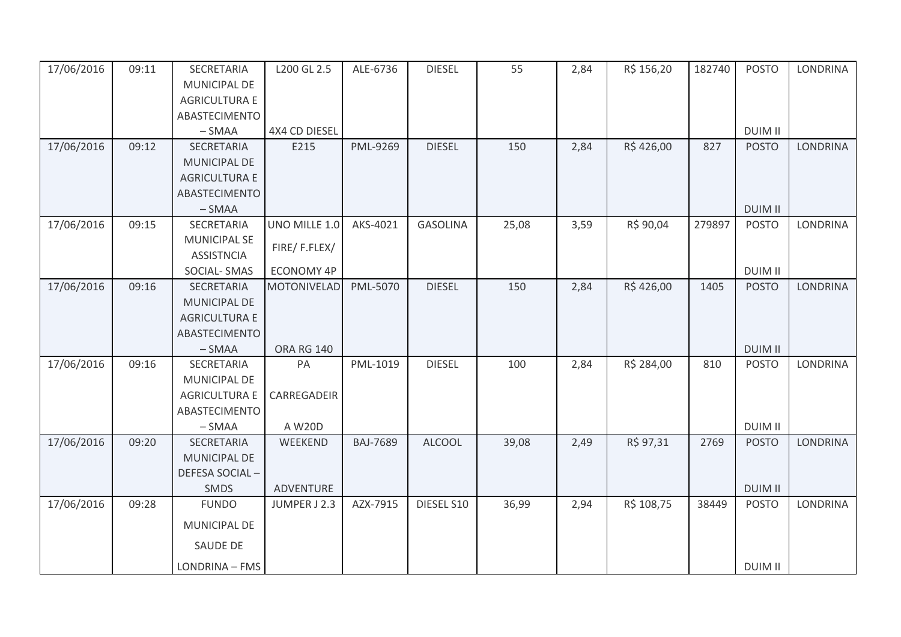| 17/06/2016 | 09:11 | SECRETARIA<br>MUNICIPAL DE | L200 GL 2.5        | ALE-6736        | <b>DIESEL</b>   | 55    | 2,84 | R\$ 156,20 | 182740 | <b>POSTO</b>   | <b>LONDRINA</b> |
|------------|-------|----------------------------|--------------------|-----------------|-----------------|-------|------|------------|--------|----------------|-----------------|
|            |       | <b>AGRICULTURA E</b>       |                    |                 |                 |       |      |            |        |                |                 |
|            |       | ABASTECIMENTO              |                    |                 |                 |       |      |            |        |                |                 |
|            |       | $-SMAA$                    | 4X4 CD DIESEL      |                 |                 |       |      |            |        | <b>DUIM II</b> |                 |
| 17/06/2016 | 09:12 | SECRETARIA                 | E215               | PML-9269        | <b>DIESEL</b>   | 150   | 2,84 | R\$426,00  | 827    | <b>POSTO</b>   | <b>LONDRINA</b> |
|            |       | <b>MUNICIPAL DE</b>        |                    |                 |                 |       |      |            |        |                |                 |
|            |       | <b>AGRICULTURA E</b>       |                    |                 |                 |       |      |            |        |                |                 |
|            |       | ABASTECIMENTO              |                    |                 |                 |       |      |            |        |                |                 |
|            |       | $-SMAA$                    |                    |                 |                 |       |      |            |        | <b>DUIM II</b> |                 |
| 17/06/2016 | 09:15 | SECRETARIA                 | UNO MILLE 1.0      | AKS-4021        | <b>GASOLINA</b> | 25,08 | 3,59 | R\$ 90,04  | 279897 | <b>POSTO</b>   | <b>LONDRINA</b> |
|            |       | <b>MUNICIPAL SE</b>        | FIRE/F.FLEX/       |                 |                 |       |      |            |        |                |                 |
|            |       | <b>ASSISTNCIA</b>          |                    |                 |                 |       |      |            |        |                |                 |
|            |       | <b>SOCIAL-SMAS</b>         | <b>ECONOMY 4P</b>  |                 |                 |       |      |            |        | <b>DUIM II</b> |                 |
| 17/06/2016 | 09:16 | SECRETARIA                 | <b>MOTONIVELAD</b> | PML-5070        | <b>DIESEL</b>   | 150   | 2,84 | R\$426,00  | 1405   | <b>POSTO</b>   | <b>LONDRINA</b> |
|            |       | MUNICIPAL DE               |                    |                 |                 |       |      |            |        |                |                 |
|            |       | <b>AGRICULTURA E</b>       |                    |                 |                 |       |      |            |        |                |                 |
|            |       | ABASTECIMENTO              |                    |                 |                 |       |      |            |        |                |                 |
|            |       | $-SMAA$                    | <b>ORA RG 140</b>  |                 |                 |       |      |            |        | <b>DUIM II</b> |                 |
| 17/06/2016 | 09:16 | SECRETARIA<br>MUNICIPAL DE | PA                 | PML-1019        | <b>DIESEL</b>   | 100   | 2,84 | R\$ 284,00 | 810    | <b>POSTO</b>   | <b>LONDRINA</b> |
|            |       | <b>AGRICULTURA E</b>       | CARREGADEIR        |                 |                 |       |      |            |        |                |                 |
|            |       | ABASTECIMENTO              |                    |                 |                 |       |      |            |        |                |                 |
|            |       | $-SMAA$                    | A W20D             |                 |                 |       |      |            |        | <b>DUIM II</b> |                 |
| 17/06/2016 | 09:20 | SECRETARIA                 | WEEKEND            | <b>BAJ-7689</b> | <b>ALCOOL</b>   | 39,08 | 2,49 | R\$ 97,31  | 2769   | <b>POSTO</b>   | <b>LONDRINA</b> |
|            |       | <b>MUNICIPAL DE</b>        |                    |                 |                 |       |      |            |        |                |                 |
|            |       | DEFESA SOCIAL-             |                    |                 |                 |       |      |            |        |                |                 |
|            |       | <b>SMDS</b>                | <b>ADVENTURE</b>   |                 |                 |       |      |            |        | <b>DUIM II</b> |                 |
| 17/06/2016 | 09:28 | <b>FUNDO</b>               | JUMPER J 2.3       | AZX-7915        | DIESEL S10      | 36,99 | 2,94 | R\$ 108,75 | 38449  | <b>POSTO</b>   | <b>LONDRINA</b> |
|            |       | <b>MUNICIPAL DE</b>        |                    |                 |                 |       |      |            |        |                |                 |
|            |       | SAUDE DE                   |                    |                 |                 |       |      |            |        |                |                 |
|            |       | LONDRINA - FMS             |                    |                 |                 |       |      |            |        | <b>DUIM II</b> |                 |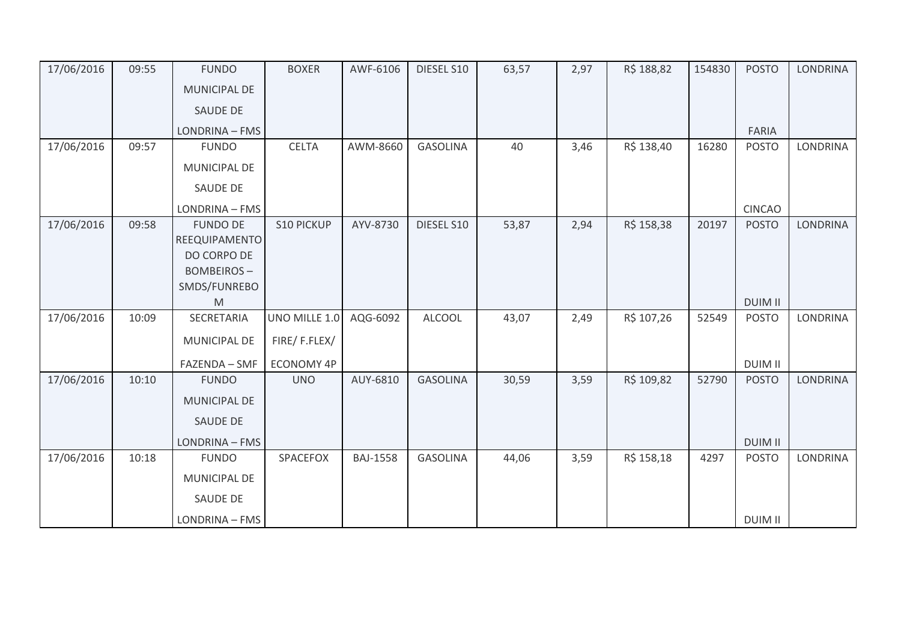| 17/06/2016 | 09:55 | <b>FUNDO</b>      | <b>BOXER</b>      | AWF-6106        | DIESEL S10      | 63,57 | 2,97 | R\$ 188,82 | 154830 | <b>POSTO</b>   | <b>LONDRINA</b> |
|------------|-------|-------------------|-------------------|-----------------|-----------------|-------|------|------------|--------|----------------|-----------------|
|            |       | MUNICIPAL DE      |                   |                 |                 |       |      |            |        |                |                 |
|            |       | <b>SAUDE DE</b>   |                   |                 |                 |       |      |            |        |                |                 |
|            |       | LONDRINA - FMS    |                   |                 |                 |       |      |            |        | FARIA          |                 |
| 17/06/2016 | 09:57 | <b>FUNDO</b>      | <b>CELTA</b>      | AWM-8660        | <b>GASOLINA</b> | 40    | 3,46 | R\$ 138,40 | 16280  | <b>POSTO</b>   | LONDRINA        |
|            |       | MUNICIPAL DE      |                   |                 |                 |       |      |            |        |                |                 |
|            |       | <b>SAUDE DE</b>   |                   |                 |                 |       |      |            |        |                |                 |
|            |       | LONDRINA - FMS    |                   |                 |                 |       |      |            |        | <b>CINCAO</b>  |                 |
| 17/06/2016 | 09:58 | <b>FUNDO DE</b>   | <b>S10 PICKUP</b> | AYV-8730        | DIESEL S10      | 53,87 | 2,94 | R\$ 158,38 | 20197  | <b>POSTO</b>   | <b>LONDRINA</b> |
|            |       | REEQUIPAMENTO     |                   |                 |                 |       |      |            |        |                |                 |
|            |       | DO CORPO DE       |                   |                 |                 |       |      |            |        |                |                 |
|            |       | <b>BOMBEIROS-</b> |                   |                 |                 |       |      |            |        |                |                 |
|            |       | SMDS/FUNREBO      |                   |                 |                 |       |      |            |        |                |                 |
|            |       | M                 |                   |                 |                 |       |      |            |        | <b>DUIM II</b> |                 |
| 17/06/2016 | 10:09 | SECRETARIA        | UNO MILLE 1.0     | AQG-6092        | <b>ALCOOL</b>   | 43,07 | 2,49 | R\$ 107,26 | 52549  | <b>POSTO</b>   | <b>LONDRINA</b> |
|            |       | MUNICIPAL DE      | FIRE/F.FLEX/      |                 |                 |       |      |            |        |                |                 |
|            |       | FAZENDA - SMF     | <b>ECONOMY 4P</b> |                 |                 |       |      |            |        | <b>DUIM II</b> |                 |
| 17/06/2016 | 10:10 | <b>FUNDO</b>      | <b>UNO</b>        | AUY-6810        | <b>GASOLINA</b> | 30,59 | 3,59 | R\$ 109,82 | 52790  | <b>POSTO</b>   | <b>LONDRINA</b> |
|            |       | MUNICIPAL DE      |                   |                 |                 |       |      |            |        |                |                 |
|            |       | <b>SAUDE DE</b>   |                   |                 |                 |       |      |            |        |                |                 |
|            |       | LONDRINA - FMS    |                   |                 |                 |       |      |            |        | <b>DUIM II</b> |                 |
| 17/06/2016 | 10:18 | <b>FUNDO</b>      | SPACEFOX          | <b>BAJ-1558</b> | <b>GASOLINA</b> | 44,06 | 3,59 | R\$ 158,18 | 4297   | <b>POSTO</b>   | LONDRINA        |
|            |       | MUNICIPAL DE      |                   |                 |                 |       |      |            |        |                |                 |
|            |       | <b>SAUDE DE</b>   |                   |                 |                 |       |      |            |        |                |                 |
|            |       | LONDRINA - FMS    |                   |                 |                 |       |      |            |        | <b>DUIM II</b> |                 |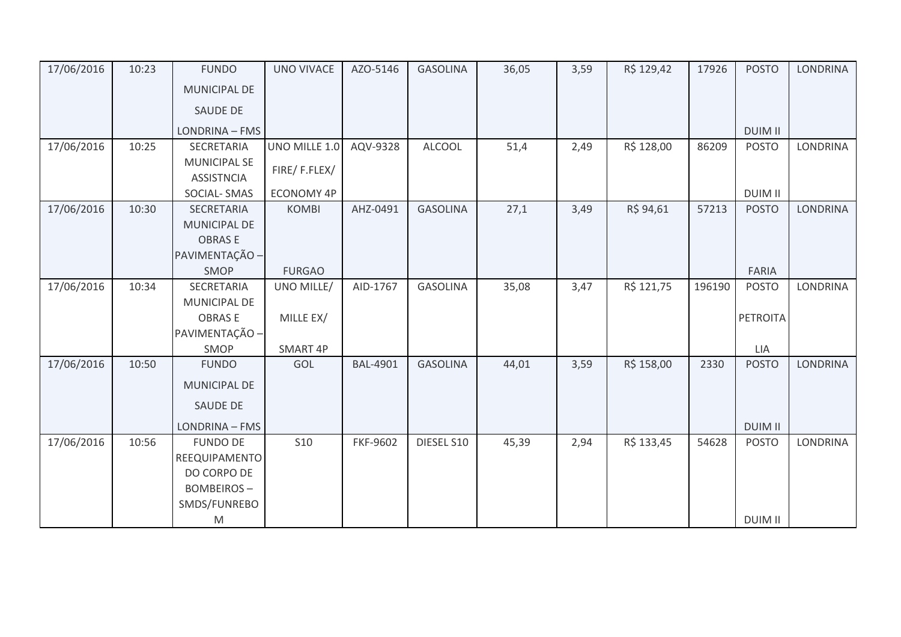| 17/06/2016 | 10:23 | <b>FUNDO</b>        | <b>UNO VIVACE</b> | AZO-5146        | <b>GASOLINA</b> | 36,05 | 3,59 | R\$ 129,42 | 17926  | <b>POSTO</b>    | <b>LONDRINA</b> |
|------------|-------|---------------------|-------------------|-----------------|-----------------|-------|------|------------|--------|-----------------|-----------------|
|            |       | <b>MUNICIPAL DE</b> |                   |                 |                 |       |      |            |        |                 |                 |
|            |       | <b>SAUDE DE</b>     |                   |                 |                 |       |      |            |        |                 |                 |
|            |       | LONDRINA - FMS      |                   |                 |                 |       |      |            |        | <b>DUIM II</b>  |                 |
| 17/06/2016 | 10:25 | SECRETARIA          | UNO MILLE 1.0     | AQV-9328        | <b>ALCOOL</b>   | 51,4  | 2,49 | R\$ 128,00 | 86209  | <b>POSTO</b>    | LONDRINA        |
|            |       | <b>MUNICIPAL SE</b> | FIRE/F.FLEX/      |                 |                 |       |      |            |        |                 |                 |
|            |       | <b>ASSISTNCIA</b>   |                   |                 |                 |       |      |            |        |                 |                 |
|            |       | <b>SOCIAL-SMAS</b>  | <b>ECONOMY 4P</b> |                 |                 |       |      |            |        | <b>DUIM II</b>  |                 |
| 17/06/2016 | 10:30 | SECRETARIA          | <b>KOMBI</b>      | AHZ-0491        | <b>GASOLINA</b> | 27,1  | 3,49 | R\$ 94,61  | 57213  | <b>POSTO</b>    | <b>LONDRINA</b> |
|            |       | MUNICIPAL DE        |                   |                 |                 |       |      |            |        |                 |                 |
|            |       | <b>OBRASE</b>       |                   |                 |                 |       |      |            |        |                 |                 |
|            |       | PAVIMENTAÇÃO -      |                   |                 |                 |       |      |            |        |                 |                 |
|            |       | SMOP                | <b>FURGAO</b>     |                 |                 |       |      |            |        | <b>FARIA</b>    |                 |
| 17/06/2016 | 10:34 | SECRETARIA          | UNO MILLE/        | AID-1767        | <b>GASOLINA</b> | 35,08 | 3,47 | R\$ 121,75 | 196190 | <b>POSTO</b>    | <b>LONDRINA</b> |
|            |       | <b>MUNICIPAL DE</b> |                   |                 |                 |       |      |            |        |                 |                 |
|            |       | <b>OBRASE</b>       | MILLE EX/         |                 |                 |       |      |            |        | <b>PETROITA</b> |                 |
|            |       | PAVIMENTAÇÃO -      |                   |                 |                 |       |      |            |        |                 |                 |
|            |       | SMOP                | SMART 4P          |                 |                 |       |      |            |        | LIA             |                 |
| 17/06/2016 | 10:50 | <b>FUNDO</b>        | GOL               | <b>BAL-4901</b> | <b>GASOLINA</b> | 44,01 | 3,59 | R\$ 158,00 | 2330   | <b>POSTO</b>    | <b>LONDRINA</b> |
|            |       | MUNICIPAL DE        |                   |                 |                 |       |      |            |        |                 |                 |
|            |       | SAUDE DE            |                   |                 |                 |       |      |            |        |                 |                 |
|            |       | LONDRINA - FMS      |                   |                 |                 |       |      |            |        | <b>DUIM II</b>  |                 |
| 17/06/2016 | 10:56 | <b>FUNDO DE</b>     | <b>S10</b>        | FKF-9602        | DIESEL S10      | 45,39 | 2,94 | R\$ 133,45 | 54628  | <b>POSTO</b>    | LONDRINA        |
|            |       | REEQUIPAMENTO       |                   |                 |                 |       |      |            |        |                 |                 |
|            |       | DO CORPO DE         |                   |                 |                 |       |      |            |        |                 |                 |
|            |       | <b>BOMBEIROS-</b>   |                   |                 |                 |       |      |            |        |                 |                 |
|            |       | SMDS/FUNREBO        |                   |                 |                 |       |      |            |        |                 |                 |
|            |       | M                   |                   |                 |                 |       |      |            |        | <b>DUIM II</b>  |                 |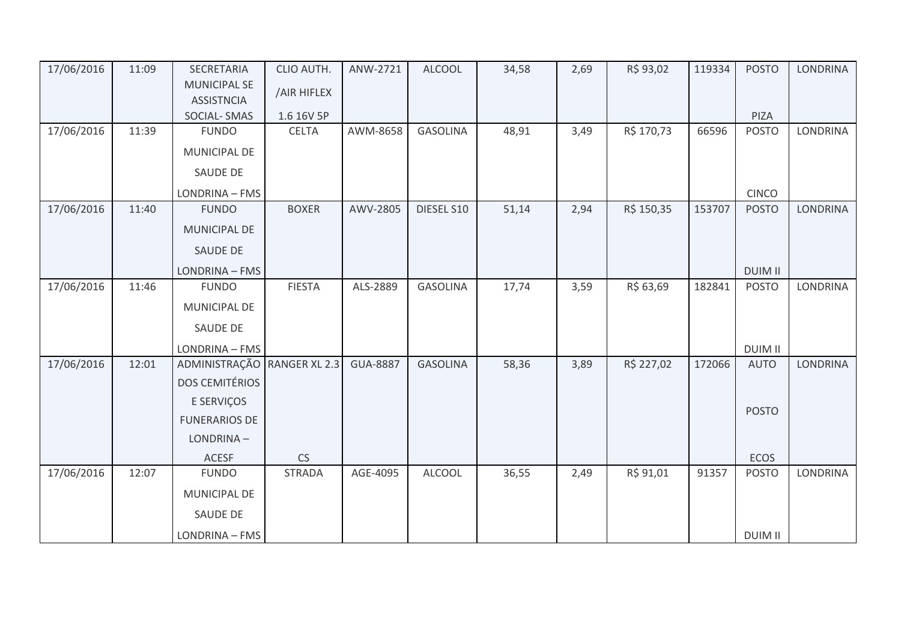| 17/06/2016 | 11:09 | SECRETARIA                  | CLIO AUTH.    | ANW-2721        | <b>ALCOOL</b>   | 34,58 | 2,69 | R\$ 93,02  | 119334 | <b>POSTO</b>   | <b>LONDRINA</b> |
|------------|-------|-----------------------------|---------------|-----------------|-----------------|-------|------|------------|--------|----------------|-----------------|
|            |       | <b>MUNICIPAL SE</b>         | /AIR HIFLEX   |                 |                 |       |      |            |        |                |                 |
|            |       | <b>ASSISTNCIA</b>           |               |                 |                 |       |      |            |        |                |                 |
|            |       | <b>SOCIAL-SMAS</b>          | 1.6 16V 5P    |                 |                 |       |      |            |        | PIZA           |                 |
| 17/06/2016 | 11:39 | <b>FUNDO</b>                | <b>CELTA</b>  | AWM-8658        | <b>GASOLINA</b> | 48,91 | 3,49 | R\$ 170,73 | 66596  | <b>POSTO</b>   | LONDRINA        |
|            |       | MUNICIPAL DE                |               |                 |                 |       |      |            |        |                |                 |
|            |       | SAUDE DE                    |               |                 |                 |       |      |            |        |                |                 |
|            |       | LONDRINA - FMS              |               |                 |                 |       |      |            |        | <b>CINCO</b>   |                 |
| 17/06/2016 | 11:40 | <b>FUNDO</b>                | <b>BOXER</b>  | AWV-2805        | DIESEL S10      | 51,14 | 2,94 | R\$ 150,35 | 153707 | <b>POSTO</b>   | <b>LONDRINA</b> |
|            |       | MUNICIPAL DE                |               |                 |                 |       |      |            |        |                |                 |
|            |       | <b>SAUDE DE</b>             |               |                 |                 |       |      |            |        |                |                 |
|            |       | LONDRINA - FMS              |               |                 |                 |       |      |            |        | <b>DUIM II</b> |                 |
| 17/06/2016 | 11:46 | <b>FUNDO</b>                | <b>FIESTA</b> | ALS-2889        | <b>GASOLINA</b> | 17,74 | 3,59 | R\$ 63,69  | 182841 | <b>POSTO</b>   | <b>LONDRINA</b> |
|            |       | <b>MUNICIPAL DE</b>         |               |                 |                 |       |      |            |        |                |                 |
|            |       | SAUDE DE                    |               |                 |                 |       |      |            |        |                |                 |
|            |       | LONDRINA - FMS              |               |                 |                 |       |      |            |        | <b>DUIM II</b> |                 |
| 17/06/2016 | 12:01 | ADMINISTRAÇÃO RANGER XL 2.3 |               | <b>GUA-8887</b> | <b>GASOLINA</b> | 58,36 | 3,89 | R\$ 227,02 | 172066 | <b>AUTO</b>    | <b>LONDRINA</b> |
|            |       | <b>DOS CEMITÉRIOS</b>       |               |                 |                 |       |      |            |        |                |                 |
|            |       | E SERVIÇOS                  |               |                 |                 |       |      |            |        |                |                 |
|            |       | <b>FUNERARIOS DE</b>        |               |                 |                 |       |      |            |        | <b>POSTO</b>   |                 |
|            |       | LONDRINA-                   |               |                 |                 |       |      |            |        |                |                 |
|            |       | ACESF                       | CS            |                 |                 |       |      |            |        | <b>ECOS</b>    |                 |
| 17/06/2016 | 12:07 | <b>FUNDO</b>                | <b>STRADA</b> | AGE-4095        | <b>ALCOOL</b>   | 36,55 | 2,49 | R\$ 91,01  | 91357  | <b>POSTO</b>   | <b>LONDRINA</b> |
|            |       | MUNICIPAL DE                |               |                 |                 |       |      |            |        |                |                 |
|            |       | <b>SAUDE DE</b>             |               |                 |                 |       |      |            |        |                |                 |
|            |       | LONDRINA - FMS              |               |                 |                 |       |      |            |        | <b>DUIM II</b> |                 |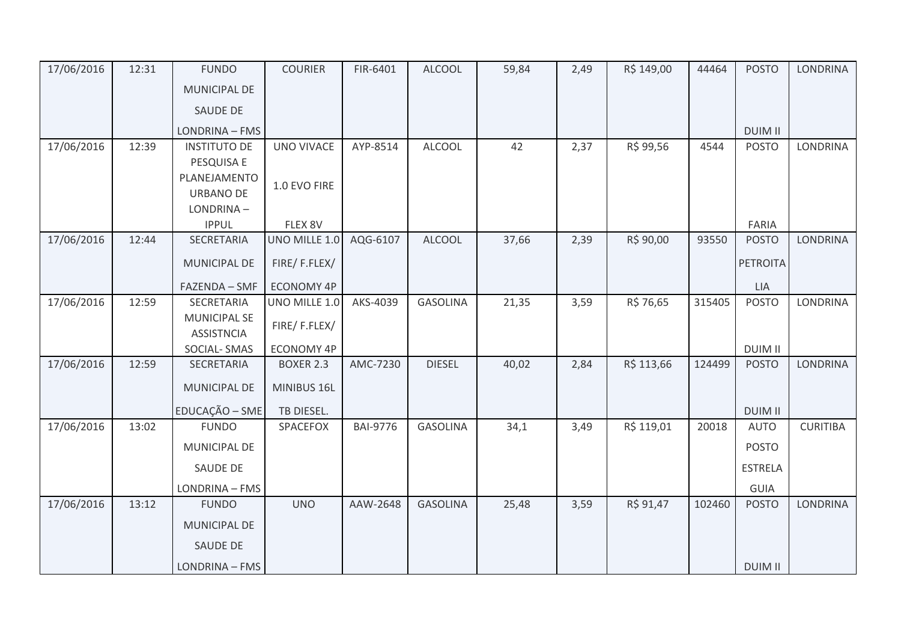| 17/06/2016 | 12:31 | <b>FUNDO</b>                      | <b>COURIER</b>    | FIR-6401        | <b>ALCOOL</b>   | 59,84 | 2,49 | R\$ 149,00 | 44464  | <b>POSTO</b>        | <b>LONDRINA</b> |
|------------|-------|-----------------------------------|-------------------|-----------------|-----------------|-------|------|------------|--------|---------------------|-----------------|
|            |       | MUNICIPAL DE                      |                   |                 |                 |       |      |            |        |                     |                 |
|            |       | SAUDE DE                          |                   |                 |                 |       |      |            |        |                     |                 |
|            |       | LONDRINA - FMS                    |                   |                 |                 |       |      |            |        | <b>DUIM II</b>      |                 |
| 17/06/2016 | 12:39 | <b>INSTITUTO DE</b>               | <b>UNO VIVACE</b> | AYP-8514        | <b>ALCOOL</b>   | 42    | 2,37 | R\$ 99,56  | 4544   | <b>POSTO</b>        | LONDRINA        |
|            |       | PESQUISA E                        |                   |                 |                 |       |      |            |        |                     |                 |
|            |       | PLANEJAMENTO                      | 1.0 EVO FIRE      |                 |                 |       |      |            |        |                     |                 |
|            |       | <b>URBANO DE</b><br>LONDRINA-     |                   |                 |                 |       |      |            |        |                     |                 |
|            |       | <b>IPPUL</b>                      | FLEX 8V           |                 |                 |       |      |            |        | FARIA               |                 |
| 17/06/2016 | 12:44 | SECRETARIA                        | UNO MILLE 1.0     | AQG-6107        | <b>ALCOOL</b>   | 37,66 | 2,39 | R\$ 90,00  | 93550  | <b>POSTO</b>        | <b>LONDRINA</b> |
|            |       | MUNICIPAL DE                      | FIRE/F.FLEX/      |                 |                 |       |      |            |        | <b>PETROITA</b>     |                 |
|            |       |                                   |                   |                 |                 |       |      |            |        |                     |                 |
|            | 12:59 | FAZENDA - SMF                     | <b>ECONOMY 4P</b> | AKS-4039        |                 |       |      | R\$ 76,65  |        | LIA<br><b>POSTO</b> | <b>LONDRINA</b> |
| 17/06/2016 |       | SECRETARIA<br><b>MUNICIPAL SE</b> | UNO MILLE 1.0     |                 | <b>GASOLINA</b> | 21,35 | 3,59 |            | 315405 |                     |                 |
|            |       | <b>ASSISTNCIA</b>                 | FIRE/F.FLEX/      |                 |                 |       |      |            |        |                     |                 |
|            |       | SOCIAL-SMAS                       | <b>ECONOMY 4P</b> |                 |                 |       |      |            |        | <b>DUIM II</b>      |                 |
| 17/06/2016 | 12:59 | SECRETARIA                        | <b>BOXER 2.3</b>  | AMC-7230        | <b>DIESEL</b>   | 40,02 | 2,84 | R\$ 113,66 | 124499 | <b>POSTO</b>        | <b>LONDRINA</b> |
|            |       | <b>MUNICIPAL DE</b>               | MINIBUS 16L       |                 |                 |       |      |            |        |                     |                 |
|            |       | EDUCAÇÃO - SME                    | TB DIESEL.        |                 |                 |       |      |            |        | <b>DUIM II</b>      |                 |
| 17/06/2016 | 13:02 | <b>FUNDO</b>                      | SPACEFOX          | <b>BAI-9776</b> | <b>GASOLINA</b> | 34,1  | 3,49 | R\$ 119,01 | 20018  | <b>AUTO</b>         | <b>CURITIBA</b> |
|            |       | MUNICIPAL DE                      |                   |                 |                 |       |      |            |        | <b>POSTO</b>        |                 |
|            |       | SAUDE DE                          |                   |                 |                 |       |      |            |        | <b>ESTRELA</b>      |                 |
|            |       | LONDRINA - FMS                    |                   |                 |                 |       |      |            |        | GUIA                |                 |
| 17/06/2016 | 13:12 | <b>FUNDO</b>                      | <b>UNO</b>        | AAW-2648        | <b>GASOLINA</b> | 25,48 | 3,59 | R\$ 91,47  | 102460 | <b>POSTO</b>        | <b>LONDRINA</b> |
|            |       | MUNICIPAL DE                      |                   |                 |                 |       |      |            |        |                     |                 |
|            |       | SAUDE DE                          |                   |                 |                 |       |      |            |        |                     |                 |
|            |       | LONDRINA - FMS                    |                   |                 |                 |       |      |            |        | <b>DUIM II</b>      |                 |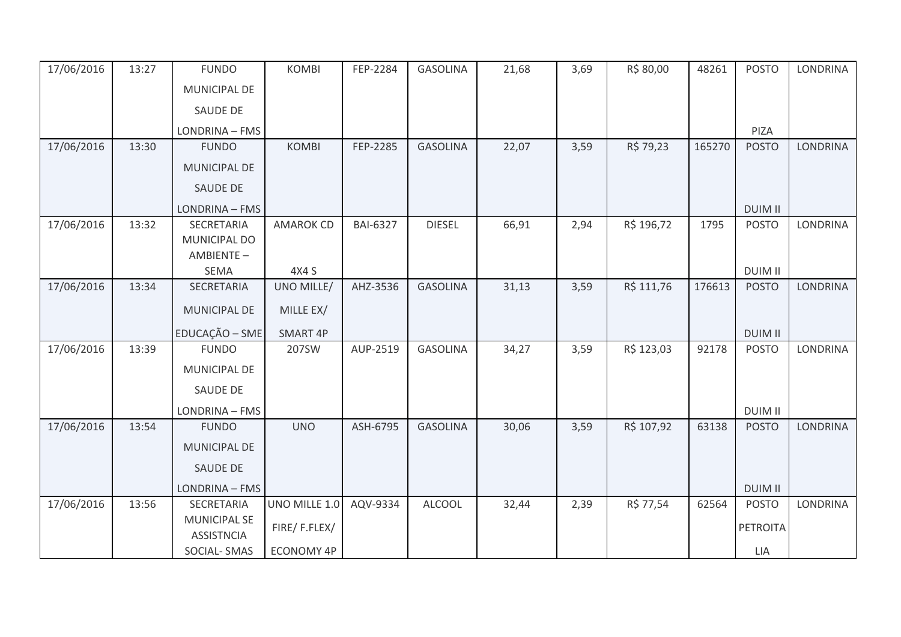| 17/06/2016 | 13:27 | <b>FUNDO</b>                             | <b>KOMBI</b>      | FEP-2284        | <b>GASOLINA</b> | 21,68 | 3,69 | R\$ 80,00  | 48261  | <b>POSTO</b>    | <b>LONDRINA</b> |
|------------|-------|------------------------------------------|-------------------|-----------------|-----------------|-------|------|------------|--------|-----------------|-----------------|
|            |       | <b>MUNICIPAL DE</b>                      |                   |                 |                 |       |      |            |        |                 |                 |
|            |       | <b>SAUDE DE</b>                          |                   |                 |                 |       |      |            |        |                 |                 |
|            |       | LONDRINA - FMS                           |                   |                 |                 |       |      |            |        | PIZA            |                 |
| 17/06/2016 | 13:30 | <b>FUNDO</b>                             | <b>KOMBI</b>      | FEP-2285        | <b>GASOLINA</b> | 22,07 | 3,59 | R\$ 79,23  | 165270 | <b>POSTO</b>    | <b>LONDRINA</b> |
|            |       | <b>MUNICIPAL DE</b>                      |                   |                 |                 |       |      |            |        |                 |                 |
|            |       | SAUDE DE                                 |                   |                 |                 |       |      |            |        |                 |                 |
|            |       | LONDRINA - FMS                           |                   |                 |                 |       |      |            |        | <b>DUIM II</b>  |                 |
| 17/06/2016 | 13:32 | SECRETARIA                               | <b>AMAROK CD</b>  | <b>BAI-6327</b> | <b>DIESEL</b>   | 66,91 | 2,94 | R\$ 196,72 | 1795   | <b>POSTO</b>    | <b>LONDRINA</b> |
|            |       | MUNICIPAL DO                             |                   |                 |                 |       |      |            |        |                 |                 |
|            |       | AMBIENTE-                                |                   |                 |                 |       |      |            |        |                 |                 |
|            |       | <b>SEMA</b>                              | 4X4 S             |                 |                 |       |      |            |        | <b>DUIM II</b>  |                 |
| 17/06/2016 | 13:34 | SECRETARIA                               | UNO MILLE/        | AHZ-3536        | <b>GASOLINA</b> | 31,13 | 3,59 | R\$ 111,76 | 176613 | <b>POSTO</b>    | <b>LONDRINA</b> |
|            |       | MUNICIPAL DE                             | MILLE EX/         |                 |                 |       |      |            |        |                 |                 |
|            |       | EDUCAÇÃO - SME                           | SMART 4P          |                 |                 |       |      |            |        | <b>DUIM II</b>  |                 |
| 17/06/2016 | 13:39 | <b>FUNDO</b>                             | 207SW             | AUP-2519        | <b>GASOLINA</b> | 34,27 | 3,59 | R\$ 123,03 | 92178  | <b>POSTO</b>    | LONDRINA        |
|            |       | MUNICIPAL DE                             |                   |                 |                 |       |      |            |        |                 |                 |
|            |       | SAUDE DE                                 |                   |                 |                 |       |      |            |        |                 |                 |
|            |       | LONDRINA - FMS                           |                   |                 |                 |       |      |            |        | <b>DUIM II</b>  |                 |
| 17/06/2016 | 13:54 | <b>FUNDO</b>                             | <b>UNO</b>        | ASH-6795        | <b>GASOLINA</b> | 30,06 | 3,59 | R\$ 107,92 | 63138  | <b>POSTO</b>    | <b>LONDRINA</b> |
|            |       | MUNICIPAL DE                             |                   |                 |                 |       |      |            |        |                 |                 |
|            |       | <b>SAUDE DE</b>                          |                   |                 |                 |       |      |            |        |                 |                 |
|            |       | LONDRINA - FMS                           |                   |                 |                 |       |      |            |        | <b>DUIM II</b>  |                 |
| 17/06/2016 | 13:56 | SECRETARIA                               | UNO MILLE 1.0     | AQV-9334        | <b>ALCOOL</b>   | 32,44 | 2,39 | R\$ 77,54  | 62564  | <b>POSTO</b>    | <b>LONDRINA</b> |
|            |       | <b>MUNICIPAL SE</b><br><b>ASSISTNCIA</b> | FIRE/F.FLEX/      |                 |                 |       |      |            |        | <b>PETROITA</b> |                 |
|            |       | SOCIAL-SMAS                              | <b>ECONOMY 4P</b> |                 |                 |       |      |            |        | LIA             |                 |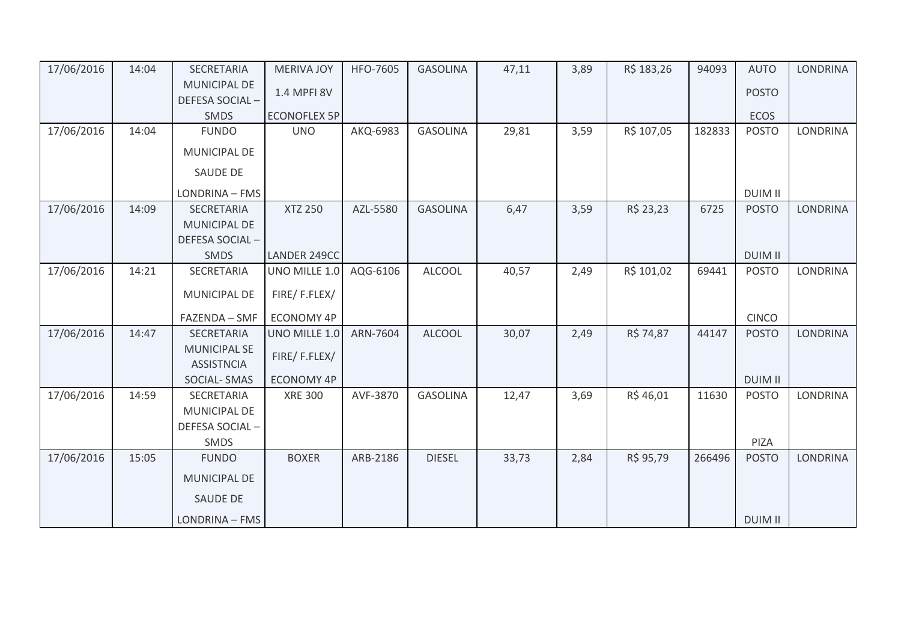| 17/06/2016 | 14:04 | <b>SECRETARIA</b>   | <b>MERIVA JOY</b>   | <b>HFO-7605</b> | <b>GASOLINA</b> | 47,11 | 3,89 | R\$ 183,26 | 94093  | <b>AUTO</b>    | <b>LONDRINA</b> |
|------------|-------|---------------------|---------------------|-----------------|-----------------|-------|------|------------|--------|----------------|-----------------|
|            |       | MUNICIPAL DE        | 1.4 MPFI 8V         |                 |                 |       |      |            |        | <b>POSTO</b>   |                 |
|            |       | DEFESA SOCIAL-      |                     |                 |                 |       |      |            |        |                |                 |
|            |       | SMDS                | <b>ECONOFLEX 5P</b> |                 |                 |       |      |            |        | <b>ECOS</b>    |                 |
| 17/06/2016 | 14:04 | <b>FUNDO</b>        | <b>UNO</b>          | AKQ-6983        | <b>GASOLINA</b> | 29,81 | 3,59 | R\$ 107,05 | 182833 | <b>POSTO</b>   | <b>LONDRINA</b> |
|            |       | <b>MUNICIPAL DE</b> |                     |                 |                 |       |      |            |        |                |                 |
|            |       | <b>SAUDE DE</b>     |                     |                 |                 |       |      |            |        |                |                 |
|            |       | LONDRINA - FMS      |                     |                 |                 |       |      |            |        | <b>DUIM II</b> |                 |
| 17/06/2016 | 14:09 | SECRETARIA          | <b>XTZ 250</b>      | AZL-5580        | <b>GASOLINA</b> | 6,47  | 3,59 | R\$ 23,23  | 6725   | <b>POSTO</b>   | <b>LONDRINA</b> |
|            |       | <b>MUNICIPAL DE</b> |                     |                 |                 |       |      |            |        |                |                 |
|            |       | DEFESA SOCIAL-      |                     |                 |                 |       |      |            |        |                |                 |
|            |       | <b>SMDS</b>         | LANDER 249CC        |                 |                 |       |      |            |        | <b>DUIM II</b> |                 |
| 17/06/2016 | 14:21 | SECRETARIA          | UNO MILLE 1.0       | AQG-6106        | <b>ALCOOL</b>   | 40,57 | 2,49 | R\$ 101,02 | 69441  | <b>POSTO</b>   | <b>LONDRINA</b> |
|            |       | MUNICIPAL DE        | FIRE/F.FLEX/        |                 |                 |       |      |            |        |                |                 |
|            |       | FAZENDA - SMF       | <b>ECONOMY 4P</b>   |                 |                 |       |      |            |        | <b>CINCO</b>   |                 |
| 17/06/2016 | 14:47 | SECRETARIA          | UNO MILLE 1.0       | ARN-7604        | <b>ALCOOL</b>   | 30,07 | 2,49 | R\$ 74,87  | 44147  | <b>POSTO</b>   | <b>LONDRINA</b> |
|            |       | <b>MUNICIPAL SE</b> |                     |                 |                 |       |      |            |        |                |                 |
|            |       | <b>ASSISTNCIA</b>   | FIRE/F.FLEX/        |                 |                 |       |      |            |        |                |                 |
|            |       | <b>SOCIAL-SMAS</b>  | <b>ECONOMY 4P</b>   |                 |                 |       |      |            |        | <b>DUIM II</b> |                 |
| 17/06/2016 | 14:59 | SECRETARIA          | <b>XRE 300</b>      | AVF-3870        | <b>GASOLINA</b> | 12,47 | 3,69 | R\$46,01   | 11630  | <b>POSTO</b>   | LONDRINA        |
|            |       | MUNICIPAL DE        |                     |                 |                 |       |      |            |        |                |                 |
|            |       | DEFESA SOCIAL-      |                     |                 |                 |       |      |            |        |                |                 |
|            |       | SMDS                |                     |                 |                 |       |      |            |        | PIZA           |                 |
| 17/06/2016 | 15:05 | <b>FUNDO</b>        | <b>BOXER</b>        | ARB-2186        | <b>DIESEL</b>   | 33,73 | 2,84 | R\$ 95,79  | 266496 | <b>POSTO</b>   | <b>LONDRINA</b> |
|            |       | <b>MUNICIPAL DE</b> |                     |                 |                 |       |      |            |        |                |                 |
|            |       | <b>SAUDE DE</b>     |                     |                 |                 |       |      |            |        |                |                 |
|            |       | LONDRINA - FMS      |                     |                 |                 |       |      |            |        | <b>DUIM II</b> |                 |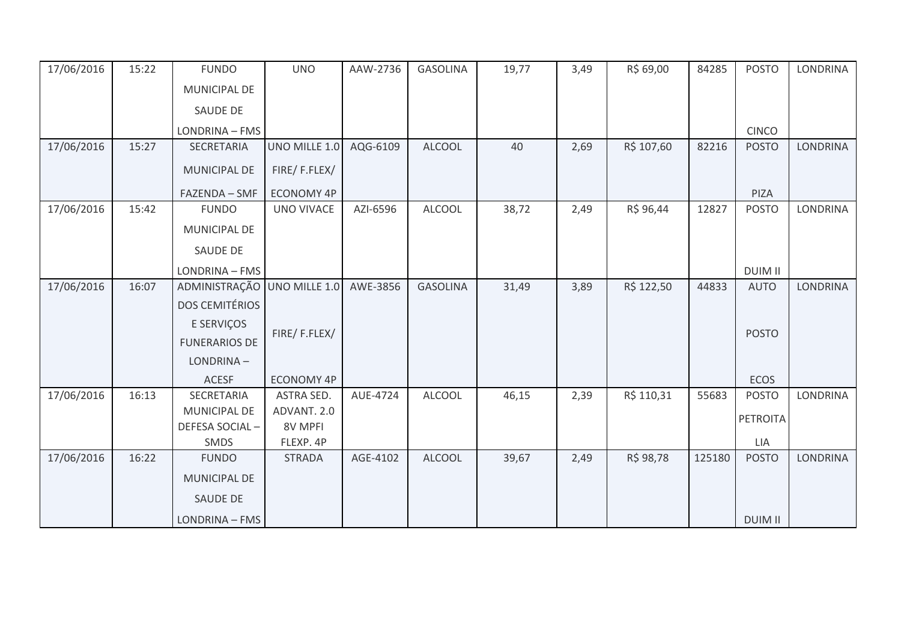| 17/06/2016 | 15:22 | <b>FUNDO</b>          | <b>UNO</b>        | AAW-2736 | <b>GASOLINA</b> | 19,77 | 3,49 | R\$ 69,00  | 84285  | <b>POSTO</b>   | <b>LONDRINA</b> |
|------------|-------|-----------------------|-------------------|----------|-----------------|-------|------|------------|--------|----------------|-----------------|
|            |       | MUNICIPAL DE          |                   |          |                 |       |      |            |        |                |                 |
|            |       | SAUDE DE              |                   |          |                 |       |      |            |        |                |                 |
|            |       | LONDRINA - FMS        |                   |          |                 |       |      |            |        | <b>CINCO</b>   |                 |
| 17/06/2016 | 15:27 | SECRETARIA            | UNO MILLE 1.0     | AQG-6109 | <b>ALCOOL</b>   | 40    | 2,69 | R\$ 107,60 | 82216  | <b>POSTO</b>   | <b>LONDRINA</b> |
|            |       | MUNICIPAL DE          | FIRE/F.FLEX/      |          |                 |       |      |            |        |                |                 |
|            |       | FAZENDA - SMF         | <b>ECONOMY 4P</b> |          |                 |       |      |            |        | PIZA           |                 |
| 17/06/2016 | 15:42 | <b>FUNDO</b>          | <b>UNO VIVACE</b> | AZI-6596 | <b>ALCOOL</b>   | 38,72 | 2,49 | R\$ 96,44  | 12827  | <b>POSTO</b>   | <b>LONDRINA</b> |
|            |       | MUNICIPAL DE          |                   |          |                 |       |      |            |        |                |                 |
|            |       | <b>SAUDE DE</b>       |                   |          |                 |       |      |            |        |                |                 |
|            |       | LONDRINA - FMS        |                   |          |                 |       |      |            |        | <b>DUIM II</b> |                 |
| 17/06/2016 | 16:07 | ADMINISTRAÇÃO         | UNO MILLE 1.0     | AWE-3856 | <b>GASOLINA</b> | 31,49 | 3,89 | R\$ 122,50 | 44833  | <b>AUTO</b>    | <b>LONDRINA</b> |
|            |       | <b>DOS CEMITÉRIOS</b> |                   |          |                 |       |      |            |        |                |                 |
|            |       | E SERVIÇOS            |                   |          |                 |       |      |            |        |                |                 |
|            |       | <b>FUNERARIOS DE</b>  | FIRE/F.FLEX/      |          |                 |       |      |            |        | <b>POSTO</b>   |                 |
|            |       | LONDRINA-             |                   |          |                 |       |      |            |        |                |                 |
|            |       | <b>ACESF</b>          | <b>ECONOMY 4P</b> |          |                 |       |      |            |        | <b>ECOS</b>    |                 |
| 17/06/2016 | 16:13 | SECRETARIA            | ASTRA SED.        | AUE-4724 | <b>ALCOOL</b>   | 46,15 | 2,39 | R\$ 110,31 | 55683  | <b>POSTO</b>   | <b>LONDRINA</b> |
|            |       | <b>MUNICIPAL DE</b>   | ADVANT. 2.0       |          |                 |       |      |            |        | PETROITA       |                 |
|            |       | DEFESA SOCIAL-        | 8V MPFI           |          |                 |       |      |            |        |                |                 |
|            |       | SMDS                  | FLEXP. 4P         |          |                 |       |      |            |        | <b>LIA</b>     |                 |
| 17/06/2016 | 16:22 | <b>FUNDO</b>          | <b>STRADA</b>     | AGE-4102 | <b>ALCOOL</b>   | 39,67 | 2,49 | R\$ 98,78  | 125180 | <b>POSTO</b>   | <b>LONDRINA</b> |
|            |       | <b>MUNICIPAL DE</b>   |                   |          |                 |       |      |            |        |                |                 |
|            |       | SAUDE DE              |                   |          |                 |       |      |            |        |                |                 |
|            |       | LONDRINA - FMS        |                   |          |                 |       |      |            |        | <b>DUIM II</b> |                 |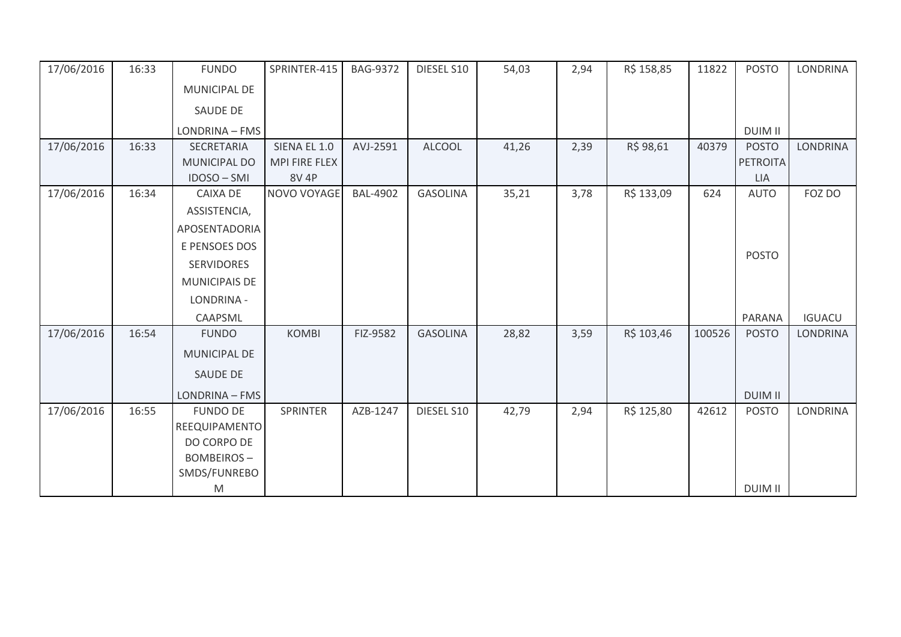| 17/06/2016 | 16:33 | <b>FUNDO</b>         | SPRINTER-415  | <b>BAG-9372</b> | DIESEL S10      | 54,03 | 2,94 | R\$ 158,85 | 11822  | <b>POSTO</b>   | <b>LONDRINA</b> |
|------------|-------|----------------------|---------------|-----------------|-----------------|-------|------|------------|--------|----------------|-----------------|
|            |       | MUNICIPAL DE         |               |                 |                 |       |      |            |        |                |                 |
|            |       | <b>SAUDE DE</b>      |               |                 |                 |       |      |            |        |                |                 |
|            |       | LONDRINA - FMS       |               |                 |                 |       |      |            |        | <b>DUIM II</b> |                 |
| 17/06/2016 | 16:33 | SECRETARIA           | SIENA EL 1.0  | AVJ-2591        | <b>ALCOOL</b>   | 41,26 | 2,39 | R\$ 98,61  | 40379  | <b>POSTO</b>   | <b>LONDRINA</b> |
|            |       | <b>MUNICIPAL DO</b>  | MPI FIRE FLEX |                 |                 |       |      |            |        | PETROITA       |                 |
|            |       | IDOSO-SMI            | <b>8V 4P</b>  |                 |                 |       |      |            |        | <b>LIA</b>     |                 |
| 17/06/2016 | 16:34 | <b>CAIXA DE</b>      | NOVO VOYAGE   | <b>BAL-4902</b> | <b>GASOLINA</b> | 35,21 | 3,78 | R\$ 133,09 | 624    | <b>AUTO</b>    | FOZ DO          |
|            |       | ASSISTENCIA,         |               |                 |                 |       |      |            |        |                |                 |
|            |       | APOSENTADORIA        |               |                 |                 |       |      |            |        |                |                 |
|            |       | E PENSOES DOS        |               |                 |                 |       |      |            |        |                |                 |
|            |       | <b>SERVIDORES</b>    |               |                 |                 |       |      |            |        | <b>POSTO</b>   |                 |
|            |       | <b>MUNICIPAIS DE</b> |               |                 |                 |       |      |            |        |                |                 |
|            |       | LONDRINA -           |               |                 |                 |       |      |            |        |                |                 |
|            |       | CAAPSML              |               |                 |                 |       |      |            |        | <b>PARANA</b>  | <b>IGUACU</b>   |
| 17/06/2016 | 16:54 | <b>FUNDO</b>         | <b>KOMBI</b>  | FIZ-9582        | <b>GASOLINA</b> | 28,82 | 3,59 | R\$ 103,46 | 100526 | <b>POSTO</b>   | <b>LONDRINA</b> |
|            |       | MUNICIPAL DE         |               |                 |                 |       |      |            |        |                |                 |
|            |       | <b>SAUDE DE</b>      |               |                 |                 |       |      |            |        |                |                 |
|            |       | LONDRINA - FMS       |               |                 |                 |       |      |            |        | <b>DUIM II</b> |                 |
| 17/06/2016 | 16:55 | <b>FUNDO DE</b>      | SPRINTER      | AZB-1247        | DIESEL S10      | 42,79 | 2,94 | R\$ 125,80 | 42612  | <b>POSTO</b>   | LONDRINA        |
|            |       | REEQUIPAMENTO        |               |                 |                 |       |      |            |        |                |                 |
|            |       | DO CORPO DE          |               |                 |                 |       |      |            |        |                |                 |
|            |       | <b>BOMBEIROS-</b>    |               |                 |                 |       |      |            |        |                |                 |
|            |       | SMDS/FUNREBO         |               |                 |                 |       |      |            |        |                |                 |
|            |       | M                    |               |                 |                 |       |      |            |        | <b>DUIM II</b> |                 |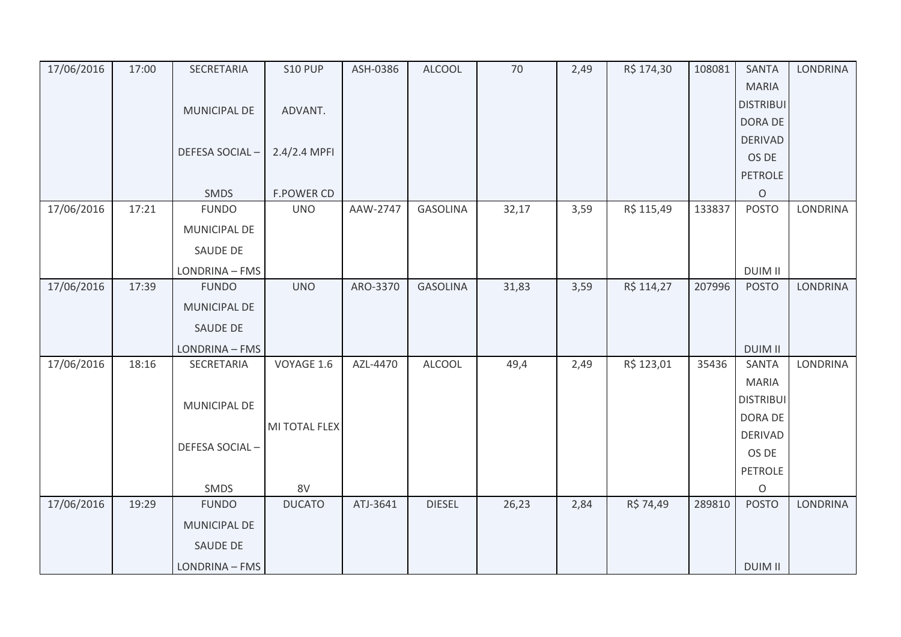| 17/06/2016 | 17:00 | SECRETARIA          | <b>S10 PUP</b>    | ASH-0386 | <b>ALCOOL</b>   | 70    | 2,49 | R\$ 174,30 | 108081 | <b>SANTA</b>     | <b>LONDRINA</b> |
|------------|-------|---------------------|-------------------|----------|-----------------|-------|------|------------|--------|------------------|-----------------|
|            |       |                     |                   |          |                 |       |      |            |        | <b>MARIA</b>     |                 |
|            |       | <b>MUNICIPAL DE</b> | ADVANT.           |          |                 |       |      |            |        | <b>DISTRIBUI</b> |                 |
|            |       |                     |                   |          |                 |       |      |            |        | DORA DE          |                 |
|            |       |                     |                   |          |                 |       |      |            |        | <b>DERIVAD</b>   |                 |
|            |       | DEFESA SOCIAL-      | 2.4/2.4 MPFI      |          |                 |       |      |            |        | OS DE            |                 |
|            |       |                     |                   |          |                 |       |      |            |        | <b>PETROLE</b>   |                 |
|            |       | SMDS                | <b>F.POWER CD</b> |          |                 |       |      |            |        | $\circ$          |                 |
| 17/06/2016 | 17:21 | <b>FUNDO</b>        | <b>UNO</b>        | AAW-2747 | <b>GASOLINA</b> | 32,17 | 3,59 | R\$ 115,49 | 133837 | <b>POSTO</b>     | <b>LONDRINA</b> |
|            |       | MUNICIPAL DE        |                   |          |                 |       |      |            |        |                  |                 |
|            |       | SAUDE DE            |                   |          |                 |       |      |            |        |                  |                 |
|            |       | LONDRINA - FMS      |                   |          |                 |       |      |            |        | <b>DUIM II</b>   |                 |
| 17/06/2016 | 17:39 | <b>FUNDO</b>        | <b>UNO</b>        | ARO-3370 | <b>GASOLINA</b> | 31,83 | 3,59 | R\$ 114,27 | 207996 | <b>POSTO</b>     | <b>LONDRINA</b> |
|            |       | MUNICIPAL DE        |                   |          |                 |       |      |            |        |                  |                 |
|            |       | SAUDE DE            |                   |          |                 |       |      |            |        |                  |                 |
|            |       | LONDRINA - FMS      |                   |          |                 |       |      |            |        | <b>DUIM II</b>   |                 |
| 17/06/2016 | 18:16 | SECRETARIA          | VOYAGE 1.6        | AZL-4470 | <b>ALCOOL</b>   | 49,4  | 2,49 | R\$ 123,01 | 35436  | <b>SANTA</b>     | <b>LONDRINA</b> |
|            |       |                     |                   |          |                 |       |      |            |        | <b>MARIA</b>     |                 |
|            |       | MUNICIPAL DE        |                   |          |                 |       |      |            |        | <b>DISTRIBUI</b> |                 |
|            |       |                     |                   |          |                 |       |      |            |        | DORA DE          |                 |
|            |       |                     | MI TOTAL FLEX     |          |                 |       |      |            |        | <b>DERIVAD</b>   |                 |
|            |       | DEFESA SOCIAL-      |                   |          |                 |       |      |            |        | OS DE            |                 |
|            |       |                     |                   |          |                 |       |      |            |        | <b>PETROLE</b>   |                 |
|            |       | SMDS                | 8V                |          |                 |       |      |            |        | $\circ$          |                 |
| 17/06/2016 | 19:29 | <b>FUNDO</b>        | <b>DUCATO</b>     | ATJ-3641 | <b>DIESEL</b>   | 26,23 | 2,84 | R\$ 74,49  | 289810 | <b>POSTO</b>     | <b>LONDRINA</b> |
|            |       | <b>MUNICIPAL DE</b> |                   |          |                 |       |      |            |        |                  |                 |
|            |       | SAUDE DE            |                   |          |                 |       |      |            |        |                  |                 |
|            |       | LONDRINA - FMS      |                   |          |                 |       |      |            |        | <b>DUIM II</b>   |                 |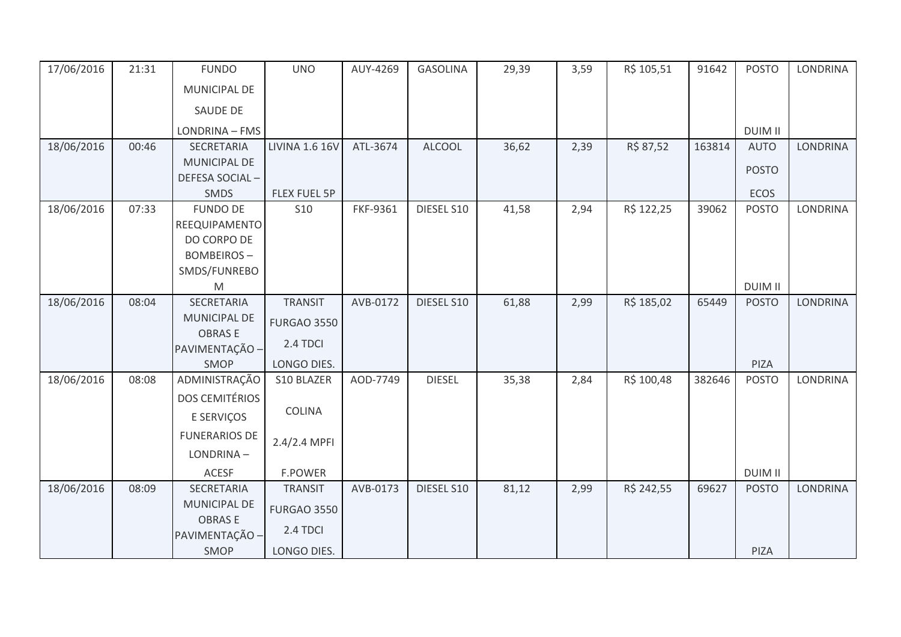| 17/06/2016 | 21:31 | <b>FUNDO</b>          | <b>UNO</b>            | AUY-4269 | <b>GASOLINA</b> | 29,39 | 3,59 | R\$ 105,51 | 91642  | <b>POSTO</b>   | LONDRINA        |
|------------|-------|-----------------------|-----------------------|----------|-----------------|-------|------|------------|--------|----------------|-----------------|
|            |       | MUNICIPAL DE          |                       |          |                 |       |      |            |        |                |                 |
|            |       | SAUDE DE              |                       |          |                 |       |      |            |        |                |                 |
|            |       | LONDRINA - FMS        |                       |          |                 |       |      |            |        | <b>DUIM II</b> |                 |
| 18/06/2016 | 00:46 | SECRETARIA            | <b>LIVINA 1.6 16V</b> | ATL-3674 | <b>ALCOOL</b>   | 36,62 | 2,39 | R\$ 87,52  | 163814 | <b>AUTO</b>    | <b>LONDRINA</b> |
|            |       | MUNICIPAL DE          |                       |          |                 |       |      |            |        | <b>POSTO</b>   |                 |
|            |       | DEFESA SOCIAL-        |                       |          |                 |       |      |            |        |                |                 |
|            |       | SMDS                  | FLEX FUEL 5P          |          |                 |       |      |            |        | ECOS           |                 |
| 18/06/2016 | 07:33 | <b>FUNDO DE</b>       | <b>S10</b>            | FKF-9361 | DIESEL S10      | 41,58 | 2,94 | R\$ 122,25 | 39062  | <b>POSTO</b>   | <b>LONDRINA</b> |
|            |       | REEQUIPAMENTO         |                       |          |                 |       |      |            |        |                |                 |
|            |       | DO CORPO DE           |                       |          |                 |       |      |            |        |                |                 |
|            |       | <b>BOMBEIROS-</b>     |                       |          |                 |       |      |            |        |                |                 |
|            |       | SMDS/FUNREBO          |                       |          |                 |       |      |            |        |                |                 |
|            |       | M                     |                       |          |                 |       |      |            |        | <b>DUIM II</b> |                 |
| 18/06/2016 | 08:04 | SECRETARIA            | <b>TRANSIT</b>        | AVB-0172 | DIESEL S10      | 61,88 | 2,99 | R\$ 185,02 | 65449  | <b>POSTO</b>   | <b>LONDRINA</b> |
|            |       | <b>MUNICIPAL DE</b>   | <b>FURGAO 3550</b>    |          |                 |       |      |            |        |                |                 |
|            |       | <b>OBRASE</b>         |                       |          |                 |       |      |            |        |                |                 |
|            |       | PAVIMENTAÇÃO -        | 2.4 TDCI              |          |                 |       |      |            |        |                |                 |
|            |       | SMOP                  | LONGO DIES.           |          |                 |       |      |            |        | PIZA           |                 |
| 18/06/2016 | 08:08 | ADMINISTRAÇÃO         | S10 BLAZER            | AOD-7749 | <b>DIESEL</b>   | 35,38 | 2,84 | R\$ 100,48 | 382646 | <b>POSTO</b>   | <b>LONDRINA</b> |
|            |       | <b>DOS CEMITÉRIOS</b> |                       |          |                 |       |      |            |        |                |                 |
|            |       | E SERVIÇOS            | <b>COLINA</b>         |          |                 |       |      |            |        |                |                 |
|            |       | <b>FUNERARIOS DE</b>  | 2.4/2.4 MPFI          |          |                 |       |      |            |        |                |                 |
|            |       | LONDRINA-             |                       |          |                 |       |      |            |        |                |                 |
|            |       | <b>ACESF</b>          | <b>F.POWER</b>        |          |                 |       |      |            |        | <b>DUIM II</b> |                 |
| 18/06/2016 | 08:09 | SECRETARIA            | <b>TRANSIT</b>        | AVB-0173 | DIESEL S10      | 81,12 | 2,99 | R\$ 242,55 | 69627  | <b>POSTO</b>   | <b>LONDRINA</b> |
|            |       | <b>MUNICIPAL DE</b>   | <b>FURGAO 3550</b>    |          |                 |       |      |            |        |                |                 |
|            |       | <b>OBRASE</b>         |                       |          |                 |       |      |            |        |                |                 |
|            |       | PAVIMENTAÇÃO -        | 2.4 TDCI              |          |                 |       |      |            |        |                |                 |
|            |       | SMOP                  | LONGO DIES.           |          |                 |       |      |            |        | PIZA           |                 |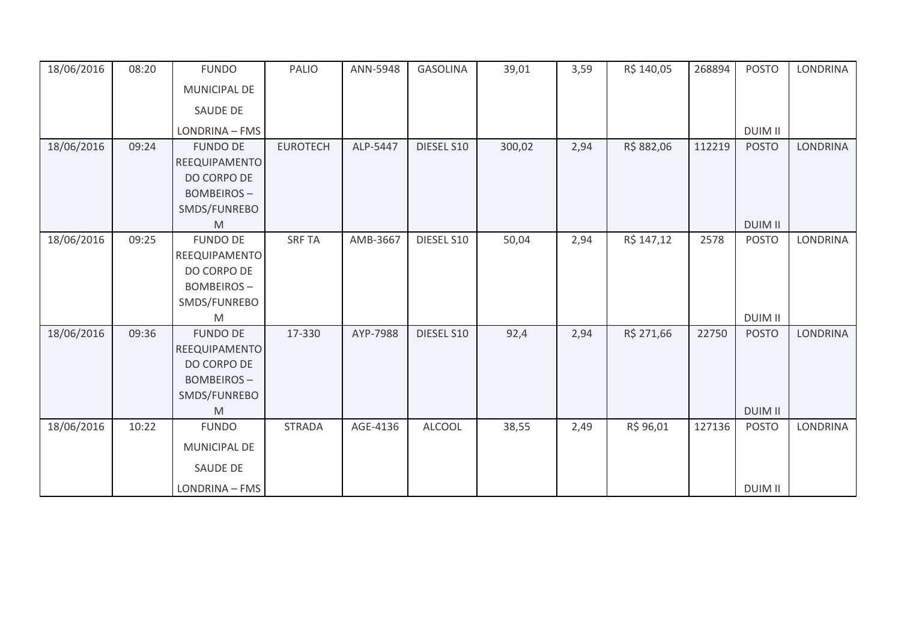| 18/06/2016               | 08:20          | <b>FUNDO</b>                                                                                                 | PALIO                   | ANN-5948             | <b>GASOLINA</b>          | 39,01         | 3,59         | R\$ 140,05               | 268894        | <b>POSTO</b>                                   | <b>LONDRINA</b>             |
|--------------------------|----------------|--------------------------------------------------------------------------------------------------------------|-------------------------|----------------------|--------------------------|---------------|--------------|--------------------------|---------------|------------------------------------------------|-----------------------------|
|                          |                | MUNICIPAL DE                                                                                                 |                         |                      |                          |               |              |                          |               |                                                |                             |
|                          |                | SAUDE DE                                                                                                     |                         |                      |                          |               |              |                          |               |                                                |                             |
|                          |                | LONDRINA - FMS                                                                                               |                         |                      |                          |               |              |                          |               | <b>DUIM II</b>                                 |                             |
| 18/06/2016               | 09:24          | <b>FUNDO DE</b><br>REEQUIPAMENTO<br>DO CORPO DE<br><b>BOMBEIROS-</b><br>SMDS/FUNREBO                         | <b>EUROTECH</b>         | ALP-5447             | DIESEL S10               | 300,02        | 2,94         | R\$ 882,06               | 112219        | <b>POSTO</b>                                   | <b>LONDRINA</b>             |
|                          |                | M                                                                                                            |                         |                      |                          |               |              |                          |               | <b>DUIM II</b>                                 |                             |
| 18/06/2016<br>18/06/2016 | 09:25<br>09:36 | <b>FUNDO DE</b><br>REEQUIPAMENTO<br>DO CORPO DE<br><b>BOMBEIROS-</b><br>SMDS/FUNREBO<br>M<br><b>FUNDO DE</b> | <b>SRF TA</b><br>17-330 | AMB-3667<br>AYP-7988 | DIESEL S10<br>DIESEL S10 | 50,04<br>92,4 | 2,94<br>2,94 | R\$ 147,12<br>R\$ 271,66 | 2578<br>22750 | <b>POSTO</b><br><b>DUIM II</b><br><b>POSTO</b> | LONDRINA<br><b>LONDRINA</b> |
|                          |                | REEQUIPAMENTO<br>DO CORPO DE<br><b>BOMBEIROS-</b><br>SMDS/FUNREBO<br>M                                       |                         |                      |                          |               |              |                          |               | <b>DUIM II</b>                                 |                             |
| 18/06/2016               | 10:22          | <b>FUNDO</b><br>MUNICIPAL DE<br><b>SAUDE DE</b><br>LONDRINA - FMS                                            | <b>STRADA</b>           | AGE-4136             | <b>ALCOOL</b>            | 38,55         | 2,49         | R\$ 96,01                | 127136        | <b>POSTO</b><br><b>DUIM II</b>                 | LONDRINA                    |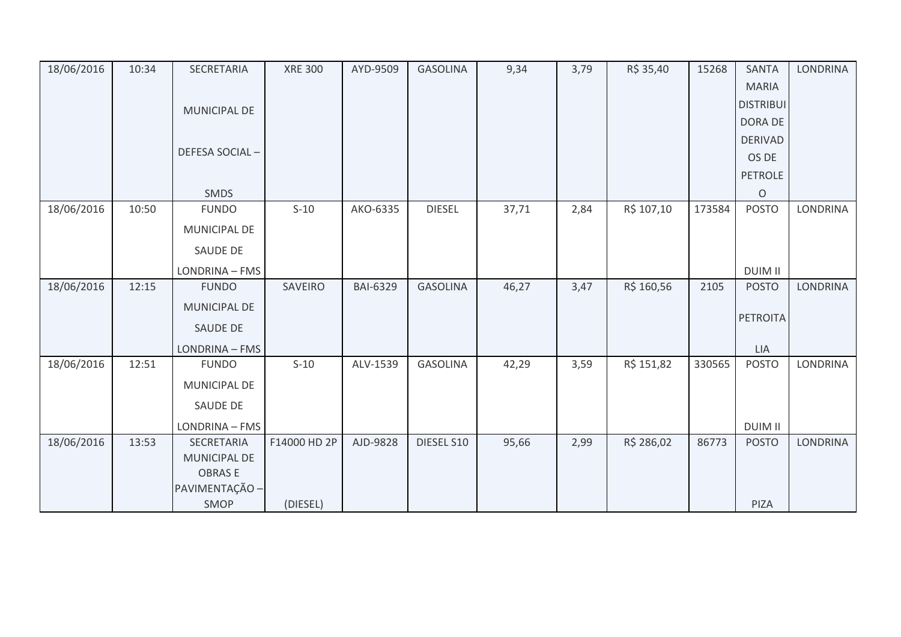| 18/06/2016 | 10:34 | SECRETARIA          | <b>XRE 300</b> | AYD-9509        | <b>GASOLINA</b> | 9,34  | 3,79 | R\$ 35,40  | 15268  | <b>SANTA</b>     | <b>LONDRINA</b> |
|------------|-------|---------------------|----------------|-----------------|-----------------|-------|------|------------|--------|------------------|-----------------|
|            |       |                     |                |                 |                 |       |      |            |        | <b>MARIA</b>     |                 |
|            |       | <b>MUNICIPAL DE</b> |                |                 |                 |       |      |            |        | <b>DISTRIBUI</b> |                 |
|            |       |                     |                |                 |                 |       |      |            |        | <b>DORA DE</b>   |                 |
|            |       |                     |                |                 |                 |       |      |            |        | <b>DERIVAD</b>   |                 |
|            |       | DEFESA SOCIAL-      |                |                 |                 |       |      |            |        | OS DE            |                 |
|            |       |                     |                |                 |                 |       |      |            |        | <b>PETROLE</b>   |                 |
|            |       | SMDS                |                |                 |                 |       |      |            |        | $\circ$          |                 |
| 18/06/2016 | 10:50 | <b>FUNDO</b>        | $S-10$         | AKO-6335        | <b>DIESEL</b>   | 37,71 | 2,84 | R\$ 107,10 | 173584 | <b>POSTO</b>     | LONDRINA        |
|            |       | MUNICIPAL DE        |                |                 |                 |       |      |            |        |                  |                 |
|            |       | <b>SAUDE DE</b>     |                |                 |                 |       |      |            |        |                  |                 |
|            |       | LONDRINA - FMS      |                |                 |                 |       |      |            |        | <b>DUIM II</b>   |                 |
| 18/06/2016 | 12:15 | <b>FUNDO</b>        | SAVEIRO        | <b>BAI-6329</b> | <b>GASOLINA</b> | 46,27 | 3,47 | R\$ 160,56 | 2105   | <b>POSTO</b>     | <b>LONDRINA</b> |
|            |       | MUNICIPAL DE        |                |                 |                 |       |      |            |        | <b>PETROITA</b>  |                 |
|            |       | <b>SAUDE DE</b>     |                |                 |                 |       |      |            |        |                  |                 |
|            |       | LONDRINA - FMS      |                |                 |                 |       |      |            |        | LIA              |                 |
| 18/06/2016 | 12:51 | <b>FUNDO</b>        | $S-10$         | ALV-1539        | <b>GASOLINA</b> | 42,29 | 3,59 | R\$ 151,82 | 330565 | <b>POSTO</b>     | LONDRINA        |
|            |       | MUNICIPAL DE        |                |                 |                 |       |      |            |        |                  |                 |
|            |       | SAUDE DE            |                |                 |                 |       |      |            |        |                  |                 |
|            |       | LONDRINA - FMS      |                |                 |                 |       |      |            |        | <b>DUIM II</b>   |                 |
| 18/06/2016 | 13:53 | SECRETARIA          | F14000 HD 2P   | AJD-9828        | DIESEL S10      | 95,66 | 2,99 | R\$ 286,02 | 86773  | <b>POSTO</b>     | <b>LONDRINA</b> |
|            |       | MUNICIPAL DE        |                |                 |                 |       |      |            |        |                  |                 |
|            |       | <b>OBRASE</b>       |                |                 |                 |       |      |            |        |                  |                 |
|            |       | PAVIMENTAÇÃO -      |                |                 |                 |       |      |            |        |                  |                 |
|            |       | <b>SMOP</b>         | (DIESEL)       |                 |                 |       |      |            |        | PIZA             |                 |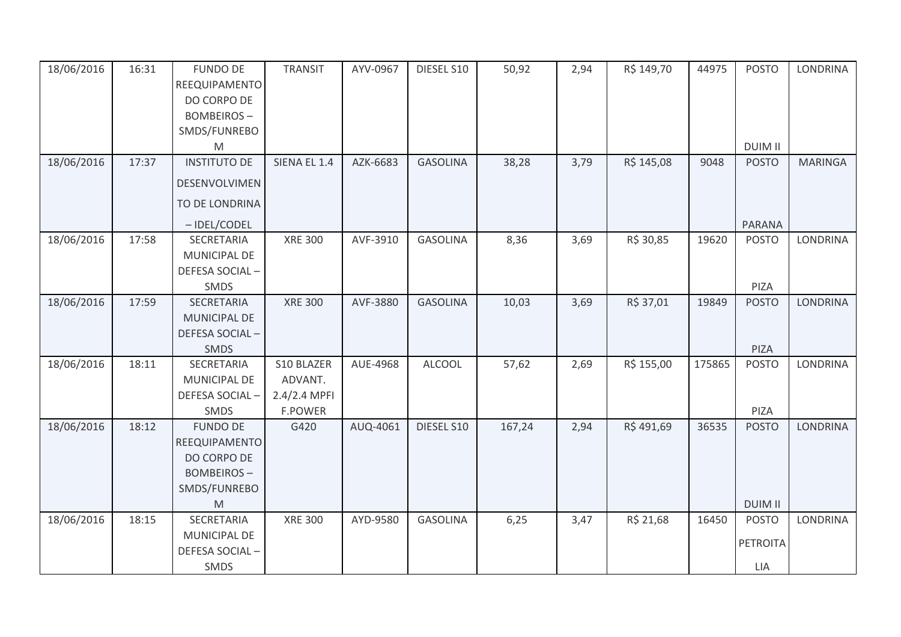| 18/06/2016 | 16:31 | <b>FUNDO DE</b><br>REEQUIPAMENTO<br>DO CORPO DE<br><b>BOMBEIROS-</b><br>SMDS/FUNREBO<br>M                                                                                                          | <b>TRANSIT</b>                                          | AYV-0967 | DIESEL S10      | 50,92  | 2,94 | R\$ 149,70 | 44975  | <b>POSTO</b><br><b>DUIM II</b>         | <b>LONDRINA</b> |
|------------|-------|----------------------------------------------------------------------------------------------------------------------------------------------------------------------------------------------------|---------------------------------------------------------|----------|-----------------|--------|------|------------|--------|----------------------------------------|-----------------|
| 18/06/2016 | 17:37 | <b>INSTITUTO DE</b><br>DESENVOLVIMEN<br>TO DE LONDRINA<br>-IDEL/CODEL                                                                                                                              | SIENA EL 1.4                                            | AZK-6683 | <b>GASOLINA</b> | 38,28  | 3,79 | R\$ 145,08 | 9048   | <b>POSTO</b><br>PARANA                 | <b>MARINGA</b>  |
| 18/06/2016 | 17:58 | SECRETARIA<br>MUNICIPAL DE<br>DEFESA SOCIAL-<br>SMDS                                                                                                                                               | <b>XRE 300</b>                                          | AVF-3910 | <b>GASOLINA</b> | 8,36   | 3,69 | R\$ 30,85  | 19620  | <b>POSTO</b><br>PIZA                   | LONDRINA        |
| 18/06/2016 | 17:59 | SECRETARIA<br>MUNICIPAL DE<br>DEFESA SOCIAL-<br><b>SMDS</b>                                                                                                                                        | <b>XRE 300</b>                                          | AVF-3880 | <b>GASOLINA</b> | 10,03  | 3,69 | R\$ 37,01  | 19849  | <b>POSTO</b><br>PIZA                   | LONDRINA        |
| 18/06/2016 | 18:11 | SECRETARIA<br>MUNICIPAL DE<br>DEFESA SOCIAL-<br>SMDS                                                                                                                                               | S10 BLAZER<br>ADVANT.<br>2.4/2.4 MPFI<br><b>F.POWER</b> | AUE-4968 | <b>ALCOOL</b>   | 57,62  | 2,69 | R\$ 155,00 | 175865 | <b>POSTO</b><br>PIZA                   | LONDRINA        |
| 18/06/2016 | 18:12 | <b>FUNDO DE</b><br>REEQUIPAMENTO<br>DO CORPO DE<br><b>BOMBEIROS-</b><br>SMDS/FUNREBO<br>$\mathsf{M}% _{T}=\mathsf{M}_{T}\!\left( a,b\right) ,\ \mathsf{M}_{T}=\mathsf{M}_{T}\!\left( a,b\right) ,$ | G420                                                    | AUQ-4061 | DIESEL S10      | 167,24 | 2,94 | R\$491,69  | 36535  | <b>POSTO</b><br><b>DUIM II</b>         | <b>LONDRINA</b> |
| 18/06/2016 | 18:15 | SECRETARIA<br>MUNICIPAL DE<br>DEFESA SOCIAL-<br>SMDS                                                                                                                                               | <b>XRE 300</b>                                          | AYD-9580 | <b>GASOLINA</b> | 6,25   | 3,47 | R\$ 21,68  | 16450  | <b>POSTO</b><br><b>PETROITA</b><br>LIA | LONDRINA        |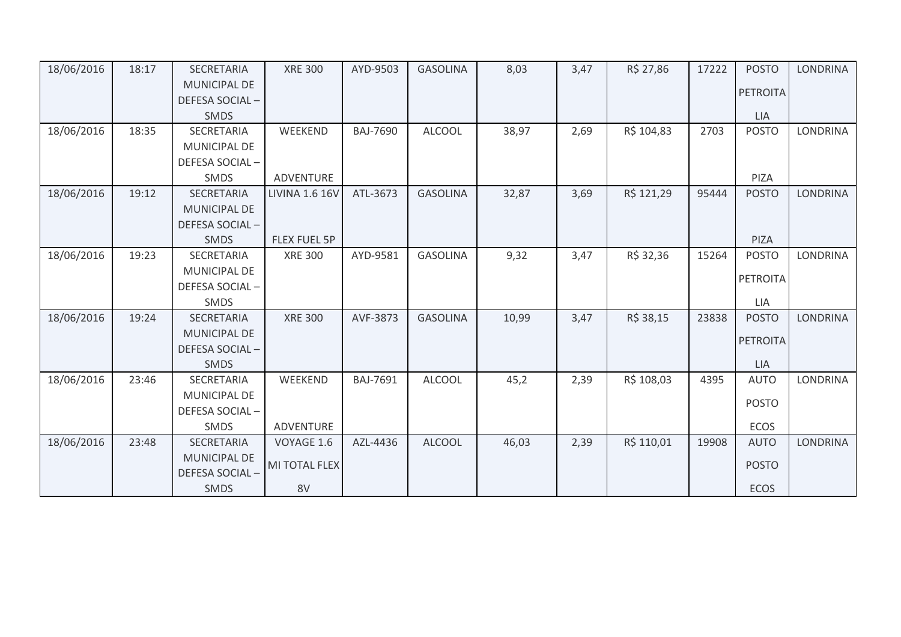| 18/06/2016 | 18:17 | <b>SECRETARIA</b>   | <b>XRE 300</b>        | AYD-9503        | <b>GASOLINA</b> | 8,03  | 3,47 | R\$ 27,86  | 17222 | <b>POSTO</b>    | <b>LONDRINA</b> |
|------------|-------|---------------------|-----------------------|-----------------|-----------------|-------|------|------------|-------|-----------------|-----------------|
|            |       | <b>MUNICIPAL DE</b> |                       |                 |                 |       |      |            |       | <b>PETROITA</b> |                 |
|            |       | DEFESA SOCIAL-      |                       |                 |                 |       |      |            |       |                 |                 |
|            |       | SMDS                |                       |                 |                 |       |      |            |       | LIA             |                 |
| 18/06/2016 | 18:35 | <b>SECRETARIA</b>   | WEEKEND               | <b>BAJ-7690</b> | <b>ALCOOL</b>   | 38,97 | 2,69 | R\$ 104,83 | 2703  | <b>POSTO</b>    | <b>LONDRINA</b> |
|            |       | MUNICIPAL DE        |                       |                 |                 |       |      |            |       |                 |                 |
|            |       | DEFESA SOCIAL-      |                       |                 |                 |       |      |            |       |                 |                 |
|            |       | SMDS                | <b>ADVENTURE</b>      |                 |                 |       |      |            |       | PIZA            |                 |
| 18/06/2016 | 19:12 | SECRETARIA          | <b>LIVINA 1.6 16V</b> | ATL-3673        | <b>GASOLINA</b> | 32,87 | 3,69 | R\$ 121,29 | 95444 | <b>POSTO</b>    | <b>LONDRINA</b> |
|            |       | MUNICIPAL DE        |                       |                 |                 |       |      |            |       |                 |                 |
|            |       | DEFESA SOCIAL-      |                       |                 |                 |       |      |            |       |                 |                 |
|            |       | <b>SMDS</b>         | <b>FLEX FUEL 5P</b>   |                 |                 |       |      |            |       | PIZA            |                 |
| 18/06/2016 | 19:23 | SECRETARIA          | <b>XRE 300</b>        | AYD-9581        | <b>GASOLINA</b> | 9,32  | 3,47 | R\$ 32,36  | 15264 | <b>POSTO</b>    | <b>LONDRINA</b> |
|            |       | <b>MUNICIPAL DE</b> |                       |                 |                 |       |      |            |       | <b>PETROITA</b> |                 |
|            |       | DEFESA SOCIAL-      |                       |                 |                 |       |      |            |       |                 |                 |
|            |       | <b>SMDS</b>         |                       |                 |                 |       |      |            |       | LIA             |                 |
| 18/06/2016 | 19:24 | <b>SECRETARIA</b>   | <b>XRE 300</b>        | AVF-3873        | <b>GASOLINA</b> | 10,99 | 3,47 | R\$ 38,15  | 23838 | <b>POSTO</b>    | <b>LONDRINA</b> |
|            |       | <b>MUNICIPAL DE</b> |                       |                 |                 |       |      |            |       | <b>PETROITA</b> |                 |
|            |       | DEFESA SOCIAL-      |                       |                 |                 |       |      |            |       |                 |                 |
|            |       | <b>SMDS</b>         |                       |                 |                 |       |      |            |       | <b>LIA</b>      |                 |
| 18/06/2016 | 23:46 | SECRETARIA          | WEEKEND               | BAJ-7691        | <b>ALCOOL</b>   | 45,2  | 2,39 | R\$ 108,03 | 4395  | <b>AUTO</b>     | LONDRINA        |
|            |       | <b>MUNICIPAL DE</b> |                       |                 |                 |       |      |            |       | <b>POSTO</b>    |                 |
|            |       | DEFESA SOCIAL-      |                       |                 |                 |       |      |            |       |                 |                 |
|            |       | <b>SMDS</b>         | <b>ADVENTURE</b>      |                 |                 |       |      |            |       | <b>ECOS</b>     |                 |
| 18/06/2016 | 23:48 | SECRETARIA          | VOYAGE 1.6            | AZL-4436        | <b>ALCOOL</b>   | 46,03 | 2,39 | R\$ 110,01 | 19908 | <b>AUTO</b>     | <b>LONDRINA</b> |
|            |       | <b>MUNICIPAL DE</b> | <b>MI TOTAL FLEX</b>  |                 |                 |       |      |            |       | <b>POSTO</b>    |                 |
|            |       | DEFESA SOCIAL-      |                       |                 |                 |       |      |            |       |                 |                 |
|            |       | SMDS                | 8V                    |                 |                 |       |      |            |       | <b>ECOS</b>     |                 |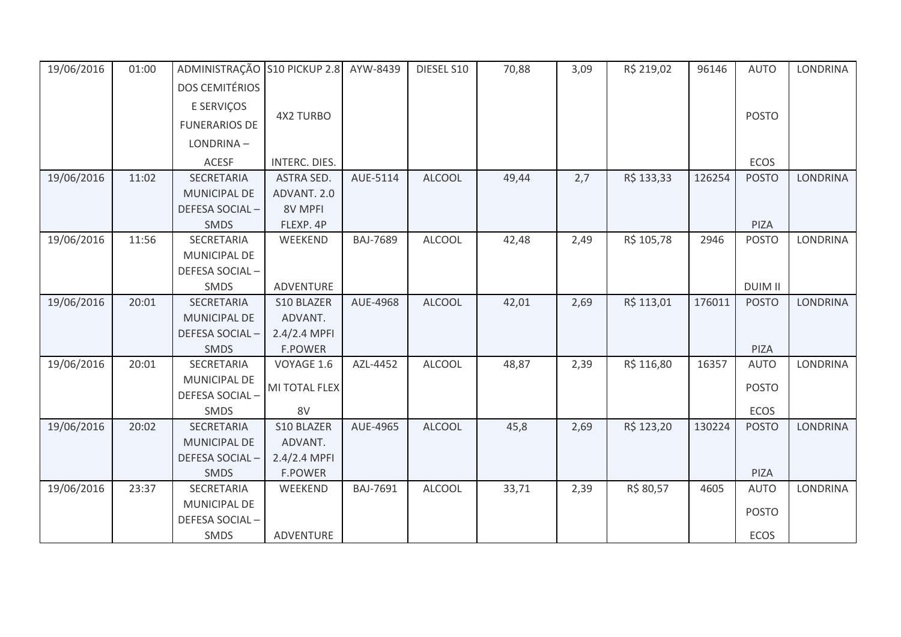| 19/06/2016 | 01:00 | ADMINISTRAÇÃO S10 PICKUP 2.8 |                   | AYW-8439        | DIESEL S10    | 70,88 | 3,09 | R\$ 219,02 | 96146  | <b>AUTO</b>    | LONDRINA |
|------------|-------|------------------------------|-------------------|-----------------|---------------|-------|------|------------|--------|----------------|----------|
|            |       | <b>DOS CEMITÉRIOS</b>        |                   |                 |               |       |      |            |        |                |          |
|            |       | E SERVIÇOS                   |                   |                 |               |       |      |            |        |                |          |
|            |       | <b>FUNERARIOS DE</b>         | <b>4X2 TURBO</b>  |                 |               |       |      |            |        | <b>POSTO</b>   |          |
|            |       | LONDRINA-                    |                   |                 |               |       |      |            |        |                |          |
|            |       | <b>ACESF</b>                 | INTERC. DIES.     |                 |               |       |      |            |        | ECOS           |          |
| 19/06/2016 | 11:02 | SECRETARIA                   | <b>ASTRA SED.</b> | AUE-5114        | <b>ALCOOL</b> | 49,44 | 2,7  | R\$ 133,33 | 126254 | <b>POSTO</b>   | LONDRINA |
|            |       | MUNICIPAL DE                 | ADVANT. 2.0       |                 |               |       |      |            |        |                |          |
|            |       | DEFESA SOCIAL-               | 8V MPFI           |                 |               |       |      |            |        |                |          |
|            |       | SMDS                         | FLEXP. 4P         |                 |               |       |      |            |        | PIZA           |          |
| 19/06/2016 | 11:56 | SECRETARIA                   | WEEKEND           | <b>BAJ-7689</b> | <b>ALCOOL</b> | 42,48 | 2,49 | R\$ 105,78 | 2946   | <b>POSTO</b>   | LONDRINA |
|            |       | MUNICIPAL DE                 |                   |                 |               |       |      |            |        |                |          |
|            |       | DEFESA SOCIAL-               |                   |                 |               |       |      |            |        |                |          |
|            |       | SMDS                         | ADVENTURE         |                 |               |       |      |            |        | <b>DUIM II</b> |          |
| 19/06/2016 | 20:01 | <b>SECRETARIA</b>            | S10 BLAZER        | AUE-4968        | <b>ALCOOL</b> | 42,01 | 2,69 | R\$ 113,01 | 176011 | <b>POSTO</b>   | LONDRINA |
|            |       | <b>MUNICIPAL DE</b>          | ADVANT.           |                 |               |       |      |            |        |                |          |
|            |       | DEFESA SOCIAL-               | 2.4/2.4 MPFI      |                 |               |       |      |            |        |                |          |
|            |       | SMDS                         | <b>F.POWER</b>    |                 |               |       |      |            |        | PIZA           |          |
| 19/06/2016 | 20:01 | SECRETARIA                   | VOYAGE 1.6        | AZL-4452        | <b>ALCOOL</b> | 48,87 | 2,39 | R\$ 116,80 | 16357  | <b>AUTO</b>    | LONDRINA |
|            |       | <b>MUNICIPAL DE</b>          | MI TOTAL FLEX     |                 |               |       |      |            |        | <b>POSTO</b>   |          |
|            |       | DEFESA SOCIAL-               |                   |                 |               |       |      |            |        |                |          |
|            |       | SMDS                         | 8V                |                 |               |       |      |            |        | ECOS           |          |
| 19/06/2016 | 20:02 | SECRETARIA                   | S10 BLAZER        | AUE-4965        | <b>ALCOOL</b> | 45,8  | 2,69 | R\$ 123,20 | 130224 | <b>POSTO</b>   | LONDRINA |
|            |       | MUNICIPAL DE                 | ADVANT.           |                 |               |       |      |            |        |                |          |
|            |       | DEFESA SOCIAL-               | 2.4/2.4 MPFI      |                 |               |       |      |            |        |                |          |
|            |       | SMDS                         | <b>F.POWER</b>    |                 |               |       |      |            |        | PIZA           |          |
| 19/06/2016 | 23:37 | SECRETARIA                   | WEEKEND           | BAJ-7691        | <b>ALCOOL</b> | 33,71 | 2,39 | R\$ 80,57  | 4605   | <b>AUTO</b>    | LONDRINA |
|            |       | MUNICIPAL DE                 |                   |                 |               |       |      |            |        | <b>POSTO</b>   |          |
|            |       | DEFESA SOCIAL-               |                   |                 |               |       |      |            |        |                |          |
|            |       | SMDS                         | ADVENTURE         |                 |               |       |      |            |        | <b>ECOS</b>    |          |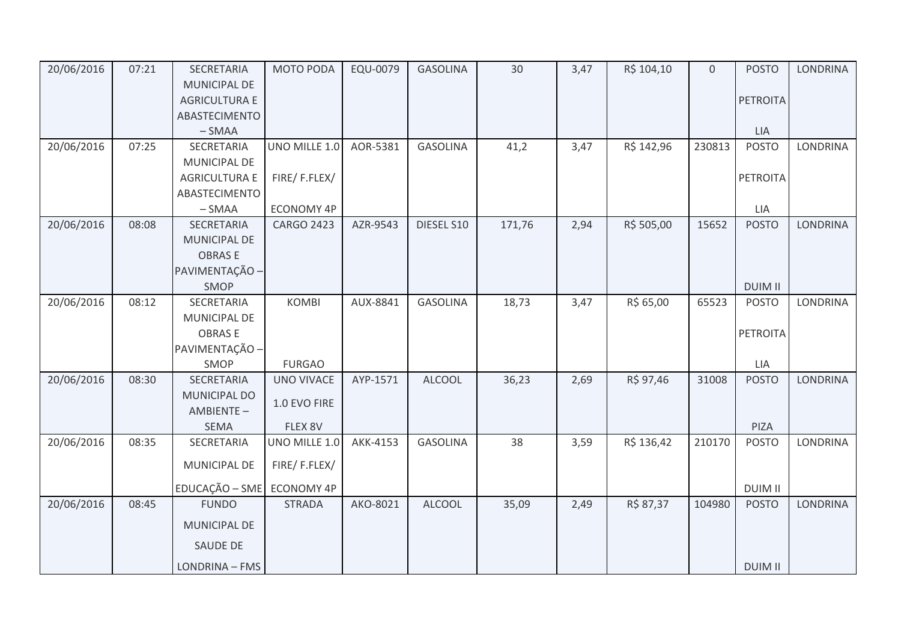| 20/06/2016 | 07:21 | SECRETARIA                | MOTO PODA         | EQU-0079 | <b>GASOLINA</b> | 30     | 3,47 | R\$ 104,10 | $\mathbf{0}$ | <b>POSTO</b>   | <b>LONDRINA</b> |
|------------|-------|---------------------------|-------------------|----------|-----------------|--------|------|------------|--------------|----------------|-----------------|
|            |       | <b>MUNICIPAL DE</b>       |                   |          |                 |        |      |            |              |                |                 |
|            |       | <b>AGRICULTURA E</b>      |                   |          |                 |        |      |            |              | PETROITA       |                 |
|            |       | ABASTECIMENTO             |                   |          |                 |        |      |            |              |                |                 |
|            |       | $-SMAA$                   |                   |          |                 |        |      |            |              | LIA            |                 |
| 20/06/2016 | 07:25 | SECRETARIA                | UNO MILLE 1.0     | AOR-5381 | <b>GASOLINA</b> | 41,2   | 3,47 | R\$ 142,96 | 230813       | <b>POSTO</b>   | <b>LONDRINA</b> |
|            |       | MUNICIPAL DE              |                   |          |                 |        |      |            |              |                |                 |
|            |       | <b>AGRICULTURA E</b>      | FIRE/F.FLEX/      |          |                 |        |      |            |              | PETROITA       |                 |
|            |       | ABASTECIMENTO             |                   |          |                 |        |      |            |              |                |                 |
|            |       | $-SMAA$                   | ECONOMY 4P        |          |                 |        |      |            |              | LIA            |                 |
| 20/06/2016 | 08:08 | SECRETARIA                | <b>CARGO 2423</b> | AZR-9543 | DIESEL S10      | 171,76 | 2,94 | R\$ 505,00 | 15652        | <b>POSTO</b>   | <b>LONDRINA</b> |
|            |       | MUNICIPAL DE              |                   |          |                 |        |      |            |              |                |                 |
|            |       | <b>OBRASE</b>             |                   |          |                 |        |      |            |              |                |                 |
|            |       | PAVIMENTAÇÃO -            |                   |          |                 |        |      |            |              |                |                 |
|            |       | <b>SMOP</b>               |                   |          |                 |        |      |            |              | <b>DUIM II</b> |                 |
| 20/06/2016 | 08:12 | SECRETARIA                | <b>KOMBI</b>      | AUX-8841 | <b>GASOLINA</b> | 18,73  | 3,47 | R\$ 65,00  | 65523        | <b>POSTO</b>   | <b>LONDRINA</b> |
|            |       | MUNICIPAL DE              |                   |          |                 |        |      |            |              |                |                 |
|            |       | <b>OBRASE</b>             |                   |          |                 |        |      |            |              | PETROITA       |                 |
|            |       | PAVIMENTAÇÃO -            |                   |          |                 |        |      |            |              |                |                 |
|            |       | SMOP                      | <b>FURGAO</b>     |          |                 |        |      |            |              | LIA            |                 |
| 20/06/2016 | 08:30 | SECRETARIA                | <b>UNO VIVACE</b> | AYP-1571 | <b>ALCOOL</b>   | 36,23  | 2,69 | R\$ 97,46  | 31008        | <b>POSTO</b>   | <b>LONDRINA</b> |
|            |       | <b>MUNICIPAL DO</b>       | 1.0 EVO FIRE      |          |                 |        |      |            |              |                |                 |
|            |       | AMBIENTE-                 |                   |          |                 |        |      |            |              |                |                 |
|            |       | SEMA                      | FLEX 8V           |          |                 |        |      |            |              | PIZA           |                 |
| 20/06/2016 | 08:35 | SECRETARIA                | UNO MILLE 1.0     | AKK-4153 | <b>GASOLINA</b> | 38     | 3,59 | R\$ 136,42 | 210170       | <b>POSTO</b>   | <b>LONDRINA</b> |
|            |       | MUNICIPAL DE              | FIRE/F.FLEX/      |          |                 |        |      |            |              |                |                 |
|            |       | EDUCAÇÃO - SME ECONOMY 4P |                   |          |                 |        |      |            |              | <b>DUIM II</b> |                 |
| 20/06/2016 | 08:45 | <b>FUNDO</b>              | <b>STRADA</b>     | AKO-8021 | <b>ALCOOL</b>   | 35,09  | 2,49 | R\$ 87,37  | 104980       | <b>POSTO</b>   | <b>LONDRINA</b> |
|            |       | MUNICIPAL DE              |                   |          |                 |        |      |            |              |                |                 |
|            |       | <b>SAUDE DE</b>           |                   |          |                 |        |      |            |              |                |                 |
|            |       | LONDRINA - FMS            |                   |          |                 |        |      |            |              | <b>DUIM II</b> |                 |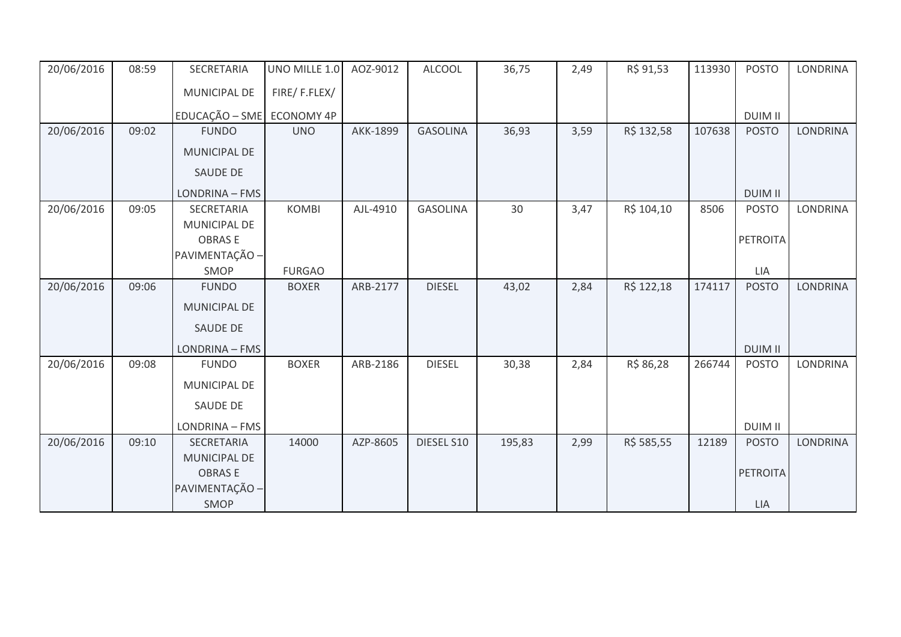| 20/06/2016 | 08:59 | SECRETARIA          | UNO MILLE 1.0     | AOZ-9012 | <b>ALCOOL</b>   | 36,75  | 2,49 | R\$ 91,53  | 113930 | <b>POSTO</b>    | <b>LONDRINA</b> |
|------------|-------|---------------------|-------------------|----------|-----------------|--------|------|------------|--------|-----------------|-----------------|
|            |       | MUNICIPAL DE        | FIRE/F.FLEX/      |          |                 |        |      |            |        |                 |                 |
|            |       | EDUCAÇÃO - SME      | <b>ECONOMY 4P</b> |          |                 |        |      |            |        | <b>DUIM II</b>  |                 |
| 20/06/2016 | 09:02 | <b>FUNDO</b>        | <b>UNO</b>        | AKK-1899 | <b>GASOLINA</b> | 36,93  | 3,59 | R\$ 132,58 | 107638 | <b>POSTO</b>    | <b>LONDRINA</b> |
|            |       | <b>MUNICIPAL DE</b> |                   |          |                 |        |      |            |        |                 |                 |
|            |       | <b>SAUDE DE</b>     |                   |          |                 |        |      |            |        |                 |                 |
|            |       | LONDRINA - FMS      |                   |          |                 |        |      |            |        | <b>DUIM II</b>  |                 |
| 20/06/2016 | 09:05 | SECRETARIA          | <b>KOMBI</b>      | AJL-4910 | <b>GASOLINA</b> | 30     | 3,47 | R\$ 104,10 | 8506   | <b>POSTO</b>    | LONDRINA        |
|            |       | MUNICIPAL DE        |                   |          |                 |        |      |            |        |                 |                 |
|            |       | <b>OBRASE</b>       |                   |          |                 |        |      |            |        | <b>PETROITA</b> |                 |
|            |       | PAVIMENTAÇÃO -      |                   |          |                 |        |      |            |        |                 |                 |
|            |       | SMOP                | <b>FURGAO</b>     |          |                 |        |      |            |        | LIA             |                 |
| 20/06/2016 | 09:06 | <b>FUNDO</b>        | <b>BOXER</b>      | ARB-2177 | <b>DIESEL</b>   | 43,02  | 2,84 | R\$ 122,18 | 174117 | <b>POSTO</b>    | <b>LONDRINA</b> |
|            |       | <b>MUNICIPAL DE</b> |                   |          |                 |        |      |            |        |                 |                 |
|            |       | <b>SAUDE DE</b>     |                   |          |                 |        |      |            |        |                 |                 |
|            |       | LONDRINA - FMS      |                   |          |                 |        |      |            |        | <b>DUIM II</b>  |                 |
| 20/06/2016 | 09:08 | <b>FUNDO</b>        | <b>BOXER</b>      | ARB-2186 | <b>DIESEL</b>   | 30,38  | 2,84 | R\$ 86,28  | 266744 | <b>POSTO</b>    | <b>LONDRINA</b> |
|            |       | MUNICIPAL DE        |                   |          |                 |        |      |            |        |                 |                 |
|            |       | <b>SAUDE DE</b>     |                   |          |                 |        |      |            |        |                 |                 |
|            |       | LONDRINA - FMS      |                   |          |                 |        |      |            |        | <b>DUIM II</b>  |                 |
| 20/06/2016 | 09:10 | SECRETARIA          | 14000             | AZP-8605 | DIESEL S10      | 195,83 | 2,99 | R\$ 585,55 | 12189  | <b>POSTO</b>    | <b>LONDRINA</b> |
|            |       | MUNICIPAL DE        |                   |          |                 |        |      |            |        |                 |                 |
|            |       | <b>OBRASE</b>       |                   |          |                 |        |      |            |        | <b>PETROITA</b> |                 |
|            |       | PAVIMENTAÇÃO -      |                   |          |                 |        |      |            |        |                 |                 |
|            |       | SMOP                |                   |          |                 |        |      |            |        | LIA             |                 |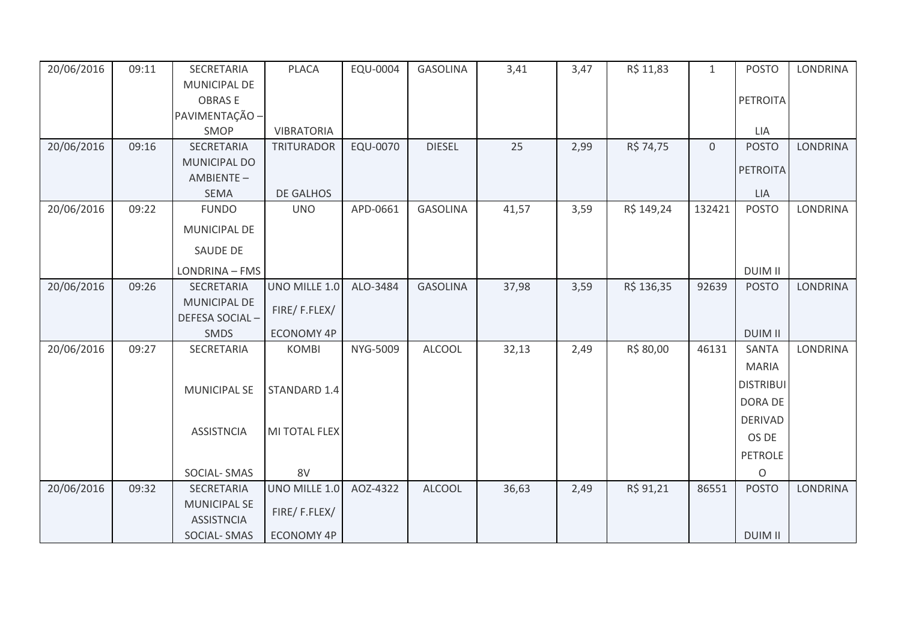| 20/06/2016 | 09:11 | SECRETARIA          | <b>PLACA</b>      | EQU-0004 | <b>GASOLINA</b> | 3,41  | 3,47 | R\$ 11,83  | $\mathbf{1}$ | <b>POSTO</b>     | <b>LONDRINA</b> |
|------------|-------|---------------------|-------------------|----------|-----------------|-------|------|------------|--------------|------------------|-----------------|
|            |       | MUNICIPAL DE        |                   |          |                 |       |      |            |              |                  |                 |
|            |       | <b>OBRASE</b>       |                   |          |                 |       |      |            |              | PETROITA         |                 |
|            |       | PAVIMENTAÇÃO -      |                   |          |                 |       |      |            |              |                  |                 |
|            |       | SMOP                | <b>VIBRATORIA</b> |          |                 |       |      |            |              | LIA              |                 |
| 20/06/2016 | 09:16 | SECRETARIA          | <b>TRITURADOR</b> | EQU-0070 | <b>DIESEL</b>   | 25    | 2,99 | R\$ 74,75  | $\mathbf 0$  | <b>POSTO</b>     | <b>LONDRINA</b> |
|            |       | MUNICIPAL DO        |                   |          |                 |       |      |            |              | PETROITA         |                 |
|            |       | AMBIENTE-           |                   |          |                 |       |      |            |              |                  |                 |
|            |       | <b>SEMA</b>         | DE GALHOS         |          |                 |       |      |            |              | <b>LIA</b>       |                 |
| 20/06/2016 | 09:22 | <b>FUNDO</b>        | <b>UNO</b>        | APD-0661 | <b>GASOLINA</b> | 41,57 | 3,59 | R\$ 149,24 | 132421       | <b>POSTO</b>     | <b>LONDRINA</b> |
|            |       | MUNICIPAL DE        |                   |          |                 |       |      |            |              |                  |                 |
|            |       | SAUDE DE            |                   |          |                 |       |      |            |              |                  |                 |
|            |       | LONDRINA - FMS      |                   |          |                 |       |      |            |              | <b>DUIM II</b>   |                 |
| 20/06/2016 | 09:26 | SECRETARIA          | UNO MILLE 1.0     | ALO-3484 | <b>GASOLINA</b> | 37,98 | 3,59 | R\$ 136,35 | 92639        | <b>POSTO</b>     | <b>LONDRINA</b> |
|            |       | <b>MUNICIPAL DE</b> | FIRE/F.FLEX/      |          |                 |       |      |            |              |                  |                 |
|            |       | DEFESA SOCIAL-      |                   |          |                 |       |      |            |              |                  |                 |
|            |       | SMDS                | <b>ECONOMY 4P</b> |          |                 |       |      |            |              | <b>DUIM II</b>   |                 |
| 20/06/2016 | 09:27 | SECRETARIA          | <b>KOMBI</b>      | NYG-5009 | <b>ALCOOL</b>   | 32,13 | 2,49 | R\$ 80,00  | 46131        | SANTA            | LONDRINA        |
|            |       |                     |                   |          |                 |       |      |            |              | <b>MARIA</b>     |                 |
|            |       | <b>MUNICIPAL SE</b> | STANDARD 1.4      |          |                 |       |      |            |              | <b>DISTRIBUI</b> |                 |
|            |       |                     |                   |          |                 |       |      |            |              | DORA DE          |                 |
|            |       |                     |                   |          |                 |       |      |            |              | <b>DERIVAD</b>   |                 |
|            |       | <b>ASSISTNCIA</b>   | MI TOTAL FLEX     |          |                 |       |      |            |              | OS DE            |                 |
|            |       |                     |                   |          |                 |       |      |            |              | <b>PETROLE</b>   |                 |
|            |       | SOCIAL-SMAS         | 8V                |          |                 |       |      |            |              | $\circ$          |                 |
| 20/06/2016 | 09:32 | SECRETARIA          | UNO MILLE 1.0     | AOZ-4322 | <b>ALCOOL</b>   | 36,63 | 2,49 | R\$ 91,21  | 86551        | <b>POSTO</b>     | <b>LONDRINA</b> |
|            |       | <b>MUNICIPAL SE</b> |                   |          |                 |       |      |            |              |                  |                 |
|            |       | <b>ASSISTNCIA</b>   | FIRE/F.FLEX/      |          |                 |       |      |            |              |                  |                 |
|            |       | <b>SOCIAL-SMAS</b>  | <b>ECONOMY 4P</b> |          |                 |       |      |            |              | <b>DUIM II</b>   |                 |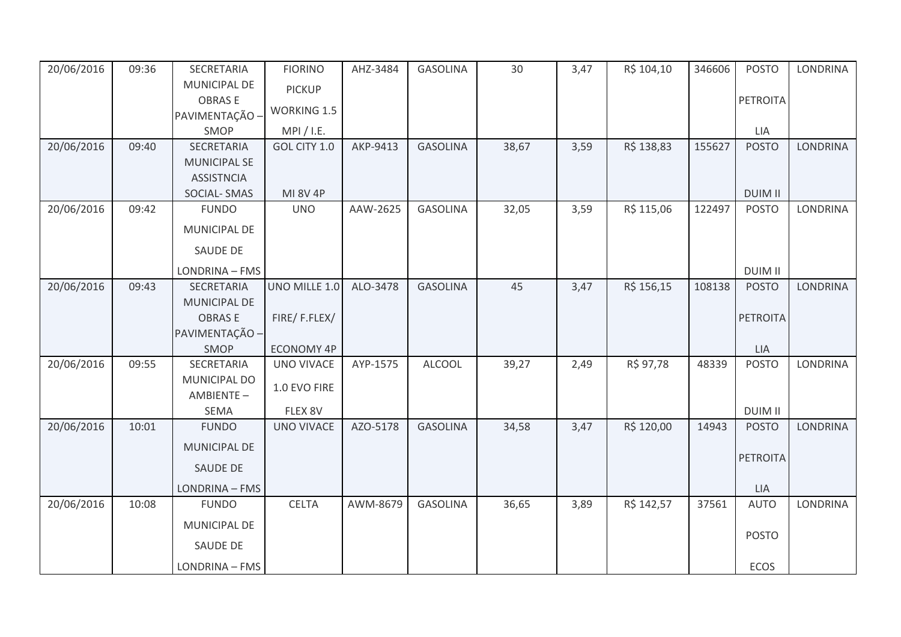| 20/06/2016 | 09:36 | SECRETARIA                               | <b>FIORINO</b>     | AHZ-3484 | <b>GASOLINA</b> | 30    | 3,47 | R\$ 104,10 | 346606 | <b>POSTO</b>    | <b>LONDRINA</b> |
|------------|-------|------------------------------------------|--------------------|----------|-----------------|-------|------|------------|--------|-----------------|-----------------|
|            |       | MUNICIPAL DE                             | <b>PICKUP</b>      |          |                 |       |      |            |        |                 |                 |
|            |       | <b>OBRASE</b>                            | <b>WORKING 1.5</b> |          |                 |       |      |            |        | PETROITA        |                 |
|            |       | PAVIMENTAÇÃO -                           |                    |          |                 |       |      |            |        |                 |                 |
|            |       | SMOP                                     | MPI / I.E.         |          |                 |       |      |            |        | LIA             |                 |
| 20/06/2016 | 09:40 | SECRETARIA                               | GOL CITY 1.0       | AKP-9413 | <b>GASOLINA</b> | 38,67 | 3,59 | R\$ 138,83 | 155627 | <b>POSTO</b>    | <b>LONDRINA</b> |
|            |       | <b>MUNICIPAL SE</b><br><b>ASSISTNCIA</b> |                    |          |                 |       |      |            |        |                 |                 |
|            |       | SOCIAL-SMAS                              | <b>MI 8V 4P</b>    |          |                 |       |      |            |        | <b>DUIM II</b>  |                 |
| 20/06/2016 | 09:42 | <b>FUNDO</b>                             | <b>UNO</b>         | AAW-2625 | <b>GASOLINA</b> | 32,05 | 3,59 | R\$ 115,06 | 122497 | <b>POSTO</b>    | <b>LONDRINA</b> |
|            |       | <b>MUNICIPAL DE</b>                      |                    |          |                 |       |      |            |        |                 |                 |
|            |       |                                          |                    |          |                 |       |      |            |        |                 |                 |
|            |       | <b>SAUDE DE</b>                          |                    |          |                 |       |      |            |        |                 |                 |
|            |       | LONDRINA - FMS                           |                    |          |                 |       |      |            |        | <b>DUIM II</b>  |                 |
| 20/06/2016 | 09:43 | SECRETARIA                               | UNO MILLE 1.0      | ALO-3478 | <b>GASOLINA</b> | 45    | 3,47 | R\$ 156,15 | 108138 | <b>POSTO</b>    | <b>LONDRINA</b> |
|            |       | MUNICIPAL DE                             |                    |          |                 |       |      |            |        |                 |                 |
|            |       | <b>OBRASE</b>                            | FIRE/F.FLEX/       |          |                 |       |      |            |        | <b>PETROITA</b> |                 |
|            |       | PAVIMENTAÇÃO -                           |                    |          |                 |       |      |            |        |                 |                 |
|            |       | SMOP                                     | ECONOMY 4P         |          |                 |       |      |            |        | LIA             |                 |
| 20/06/2016 | 09:55 | SECRETARIA                               | <b>UNO VIVACE</b>  | AYP-1575 | <b>ALCOOL</b>   | 39,27 | 2,49 | R\$ 97,78  | 48339  | <b>POSTO</b>    | <b>LONDRINA</b> |
|            |       | MUNICIPAL DO<br>AMBIENTE-                | 1.0 EVO FIRE       |          |                 |       |      |            |        |                 |                 |
|            |       | SEMA                                     | FLEX 8V            |          |                 |       |      |            |        | <b>DUIM II</b>  |                 |
| 20/06/2016 | 10:01 | <b>FUNDO</b>                             | <b>UNO VIVACE</b>  | AZO-5178 | <b>GASOLINA</b> | 34,58 | 3,47 | R\$ 120,00 | 14943  | <b>POSTO</b>    | <b>LONDRINA</b> |
|            |       | <b>MUNICIPAL DE</b>                      |                    |          |                 |       |      |            |        |                 |                 |
|            |       | SAUDE DE                                 |                    |          |                 |       |      |            |        | <b>PETROITA</b> |                 |
|            |       |                                          |                    |          |                 |       |      |            |        |                 |                 |
|            |       | LONDRINA - FMS                           |                    |          |                 |       |      |            |        | <b>LIA</b>      |                 |
| 20/06/2016 | 10:08 | <b>FUNDO</b>                             | <b>CELTA</b>       | AWM-8679 | <b>GASOLINA</b> | 36,65 | 3,89 | R\$ 142,57 | 37561  | <b>AUTO</b>     | <b>LONDRINA</b> |
|            |       | MUNICIPAL DE                             |                    |          |                 |       |      |            |        | <b>POSTO</b>    |                 |
|            |       | <b>SAUDE DE</b>                          |                    |          |                 |       |      |            |        |                 |                 |
|            |       | LONDRINA - FMS                           |                    |          |                 |       |      |            |        | <b>ECOS</b>     |                 |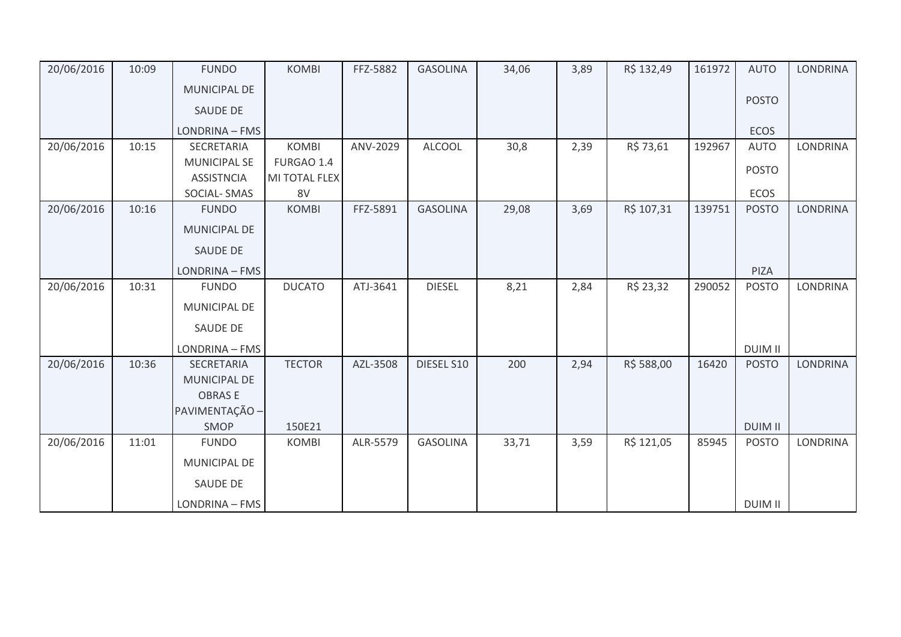| 20/06/2016 | 10:09 | <b>FUNDO</b>        | <b>KOMBI</b>  | FFZ-5882 | <b>GASOLINA</b> | 34,06 | 3,89 | R\$ 132,49 | 161972 | <b>AUTO</b>    | <b>LONDRINA</b> |
|------------|-------|---------------------|---------------|----------|-----------------|-------|------|------------|--------|----------------|-----------------|
|            |       | <b>MUNICIPAL DE</b> |               |          |                 |       |      |            |        |                |                 |
|            |       | <b>SAUDE DE</b>     |               |          |                 |       |      |            |        | <b>POSTO</b>   |                 |
|            |       | LONDRINA - FMS      |               |          |                 |       |      |            |        | <b>ECOS</b>    |                 |
| 20/06/2016 | 10:15 | SECRETARIA          | <b>KOMBI</b>  | ANV-2029 | <b>ALCOOL</b>   | 30,8  | 2,39 | R\$ 73,61  | 192967 | <b>AUTO</b>    | <b>LONDRINA</b> |
|            |       | <b>MUNICIPAL SE</b> | FURGAO 1.4    |          |                 |       |      |            |        | <b>POSTO</b>   |                 |
|            |       | <b>ASSISTNCIA</b>   | MI TOTAL FLEX |          |                 |       |      |            |        |                |                 |
|            |       | SOCIAL-SMAS         | 8V            |          |                 |       |      |            |        | ECOS           |                 |
| 20/06/2016 | 10:16 | <b>FUNDO</b>        | <b>KOMBI</b>  | FFZ-5891 | <b>GASOLINA</b> | 29,08 | 3,69 | R\$ 107,31 | 139751 | <b>POSTO</b>   | LONDRINA        |
|            |       | <b>MUNICIPAL DE</b> |               |          |                 |       |      |            |        |                |                 |
|            |       | SAUDE DE            |               |          |                 |       |      |            |        |                |                 |
|            |       | LONDRINA - FMS      |               |          |                 |       |      |            |        | PIZA           |                 |
| 20/06/2016 | 10:31 | <b>FUNDO</b>        | <b>DUCATO</b> | ATJ-3641 | <b>DIESEL</b>   | 8,21  | 2,84 | R\$ 23,32  | 290052 | <b>POSTO</b>   | LONDRINA        |
|            |       | MUNICIPAL DE        |               |          |                 |       |      |            |        |                |                 |
|            |       | SAUDE DE            |               |          |                 |       |      |            |        |                |                 |
|            |       | LONDRINA - FMS      |               |          |                 |       |      |            |        | <b>DUIM II</b> |                 |
| 20/06/2016 | 10:36 | SECRETARIA          | <b>TECTOR</b> | AZL-3508 | DIESEL S10      | 200   | 2,94 | R\$ 588,00 | 16420  | <b>POSTO</b>   | <b>LONDRINA</b> |
|            |       | <b>MUNICIPAL DE</b> |               |          |                 |       |      |            |        |                |                 |
|            |       | <b>OBRASE</b>       |               |          |                 |       |      |            |        |                |                 |
|            |       | PAVIMENTAÇÃO -      |               |          |                 |       |      |            |        |                |                 |
|            |       | SMOP                | 150E21        |          |                 |       |      |            |        | <b>DUIM II</b> |                 |
| 20/06/2016 | 11:01 | <b>FUNDO</b>        | <b>KOMBI</b>  | ALR-5579 | <b>GASOLINA</b> | 33,71 | 3,59 | R\$ 121,05 | 85945  | <b>POSTO</b>   | <b>LONDRINA</b> |
|            |       | MUNICIPAL DE        |               |          |                 |       |      |            |        |                |                 |
|            |       | SAUDE DE            |               |          |                 |       |      |            |        |                |                 |
|            |       | LONDRINA - FMS      |               |          |                 |       |      |            |        | <b>DUIM II</b> |                 |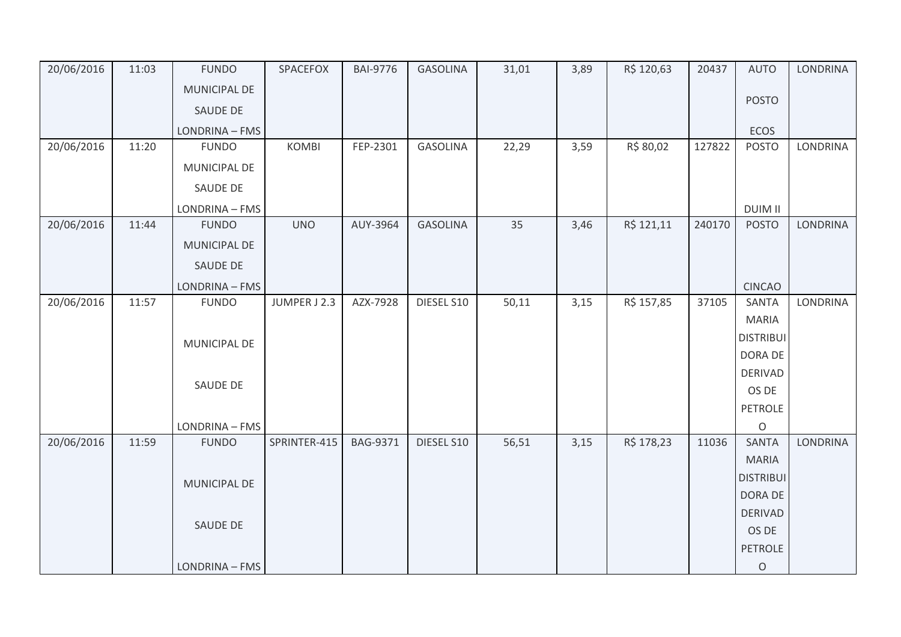| 20/06/2016 | 11:03 | <b>FUNDO</b>   | SPACEFOX     | <b>BAI-9776</b> | <b>GASOLINA</b> | 31,01 | 3,89 | R\$ 120,63 | 20437  | <b>AUTO</b>      | <b>LONDRINA</b> |
|------------|-------|----------------|--------------|-----------------|-----------------|-------|------|------------|--------|------------------|-----------------|
|            |       | MUNICIPAL DE   |              |                 |                 |       |      |            |        |                  |                 |
|            |       | SAUDE DE       |              |                 |                 |       |      |            |        | <b>POSTO</b>     |                 |
|            |       | LONDRINA - FMS |              |                 |                 |       |      |            |        | ECOS             |                 |
| 20/06/2016 | 11:20 | <b>FUNDO</b>   | <b>KOMBI</b> | FEP-2301        | <b>GASOLINA</b> | 22,29 | 3,59 | R\$ 80,02  | 127822 | <b>POSTO</b>     | <b>LONDRINA</b> |
|            |       | MUNICIPAL DE   |              |                 |                 |       |      |            |        |                  |                 |
|            |       | SAUDE DE       |              |                 |                 |       |      |            |        |                  |                 |
|            |       | LONDRINA - FMS |              |                 |                 |       |      |            |        | <b>DUIM II</b>   |                 |
| 20/06/2016 | 11:44 | <b>FUNDO</b>   | <b>UNO</b>   | AUY-3964        | <b>GASOLINA</b> | 35    | 3,46 | R\$ 121,11 | 240170 | <b>POSTO</b>     | <b>LONDRINA</b> |
|            |       | MUNICIPAL DE   |              |                 |                 |       |      |            |        |                  |                 |
|            |       | SAUDE DE       |              |                 |                 |       |      |            |        |                  |                 |
|            |       | LONDRINA - FMS |              |                 |                 |       |      |            |        | <b>CINCAO</b>    |                 |
| 20/06/2016 | 11:57 | <b>FUNDO</b>   | JUMPER J 2.3 | AZX-7928        | DIESEL S10      | 50,11 | 3,15 | R\$ 157,85 | 37105  | <b>SANTA</b>     | <b>LONDRINA</b> |
|            |       |                |              |                 |                 |       |      |            |        | <b>MARIA</b>     |                 |
|            |       | MUNICIPAL DE   |              |                 |                 |       |      |            |        | <b>DISTRIBUI</b> |                 |
|            |       |                |              |                 |                 |       |      |            |        | DORA DE          |                 |
|            |       | SAUDE DE       |              |                 |                 |       |      |            |        | <b>DERIVAD</b>   |                 |
|            |       |                |              |                 |                 |       |      |            |        | OS DE            |                 |
|            |       |                |              |                 |                 |       |      |            |        | <b>PETROLE</b>   |                 |
|            |       | LONDRINA - FMS |              |                 |                 |       |      |            |        | $\circ$          |                 |
| 20/06/2016 | 11:59 | <b>FUNDO</b>   | SPRINTER-415 | <b>BAG-9371</b> | DIESEL S10      | 56,51 | 3,15 | R\$ 178,23 | 11036  | <b>SANTA</b>     | LONDRINA        |
|            |       |                |              |                 |                 |       |      |            |        | <b>MARIA</b>     |                 |
|            |       | MUNICIPAL DE   |              |                 |                 |       |      |            |        | <b>DISTRIBUI</b> |                 |
|            |       |                |              |                 |                 |       |      |            |        | <b>DORA DE</b>   |                 |
|            |       | SAUDE DE       |              |                 |                 |       |      |            |        | <b>DERIVAD</b>   |                 |
|            |       |                |              |                 |                 |       |      |            |        | OS DE            |                 |
|            |       |                |              |                 |                 |       |      |            |        | <b>PETROLE</b>   |                 |
|            |       | LONDRINA - FMS |              |                 |                 |       |      |            |        | $\bigcirc$       |                 |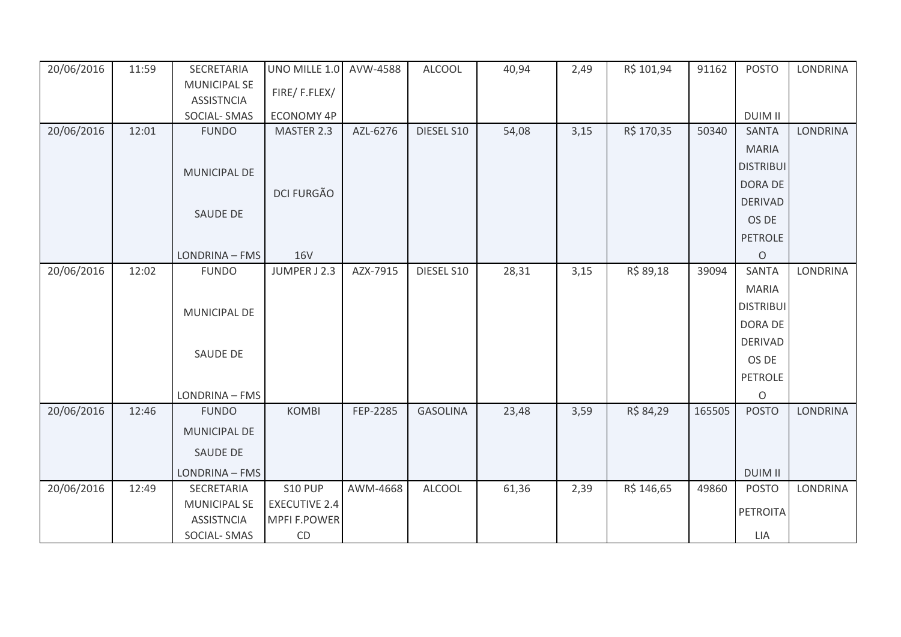| 20/06/2016 | 11:59 | SECRETARIA          | UNO MILLE 1.0        | AVW-4588 | <b>ALCOOL</b>   | 40,94 | 2,49 | R\$ 101,94 | 91162  | <b>POSTO</b>     | LONDRINA        |
|------------|-------|---------------------|----------------------|----------|-----------------|-------|------|------------|--------|------------------|-----------------|
|            |       | <b>MUNICIPAL SE</b> | FIRE/F.FLEX/         |          |                 |       |      |            |        |                  |                 |
|            |       | <b>ASSISTNCIA</b>   |                      |          |                 |       |      |            |        |                  |                 |
|            |       | SOCIAL-SMAS         | <b>ECONOMY 4P</b>    |          |                 |       |      |            |        | <b>DUIM II</b>   |                 |
| 20/06/2016 | 12:01 | <b>FUNDO</b>        | MASTER 2.3           | AZL-6276 | DIESEL S10      | 54,08 | 3,15 | R\$ 170,35 | 50340  | <b>SANTA</b>     | LONDRINA        |
|            |       |                     |                      |          |                 |       |      |            |        | <b>MARIA</b>     |                 |
|            |       | <b>MUNICIPAL DE</b> |                      |          |                 |       |      |            |        | <b>DISTRIBUI</b> |                 |
|            |       |                     |                      |          |                 |       |      |            |        | DORA DE          |                 |
|            |       |                     | <b>DCI FURGÃO</b>    |          |                 |       |      |            |        | <b>DERIVAD</b>   |                 |
|            |       | SAUDE DE            |                      |          |                 |       |      |            |        | OS DE            |                 |
|            |       |                     |                      |          |                 |       |      |            |        | <b>PETROLE</b>   |                 |
|            |       | LONDRINA - FMS      | <b>16V</b>           |          |                 |       |      |            |        | $\mathsf O$      |                 |
| 20/06/2016 | 12:02 | <b>FUNDO</b>        | JUMPER J 2.3         | AZX-7915 | DIESEL S10      | 28,31 | 3,15 | R\$ 89,18  | 39094  | <b>SANTA</b>     | LONDRINA        |
|            |       |                     |                      |          |                 |       |      |            |        | <b>MARIA</b>     |                 |
|            |       |                     |                      |          |                 |       |      |            |        | <b>DISTRIBUI</b> |                 |
|            |       | MUNICIPAL DE        |                      |          |                 |       |      |            |        | DORA DE          |                 |
|            |       |                     |                      |          |                 |       |      |            |        | <b>DERIVAD</b>   |                 |
|            |       | SAUDE DE            |                      |          |                 |       |      |            |        | OS DE            |                 |
|            |       |                     |                      |          |                 |       |      |            |        |                  |                 |
|            |       |                     |                      |          |                 |       |      |            |        | <b>PETROLE</b>   |                 |
|            |       | LONDRINA - FMS      |                      |          |                 |       |      |            |        | $\circ$          |                 |
| 20/06/2016 | 12:46 | <b>FUNDO</b>        | <b>KOMBI</b>         | FEP-2285 | <b>GASOLINA</b> | 23,48 | 3,59 | R\$ 84,29  | 165505 | <b>POSTO</b>     | LONDRINA        |
|            |       | MUNICIPAL DE        |                      |          |                 |       |      |            |        |                  |                 |
|            |       | SAUDE DE            |                      |          |                 |       |      |            |        |                  |                 |
|            |       | LONDRINA - FMS      |                      |          |                 |       |      |            |        | <b>DUIM II</b>   |                 |
| 20/06/2016 | 12:49 | SECRETARIA          | S10 PUP              | AWM-4668 | <b>ALCOOL</b>   | 61,36 | 2,39 | R\$ 146,65 | 49860  | <b>POSTO</b>     | <b>LONDRINA</b> |
|            |       | <b>MUNICIPAL SE</b> | <b>EXECUTIVE 2.4</b> |          |                 |       |      |            |        |                  |                 |
|            |       | <b>ASSISTNCIA</b>   | <b>MPFI F.POWER</b>  |          |                 |       |      |            |        | <b>PETROITA</b>  |                 |
|            |       | SOCIAL-SMAS         | CD                   |          |                 |       |      |            |        | LIA              |                 |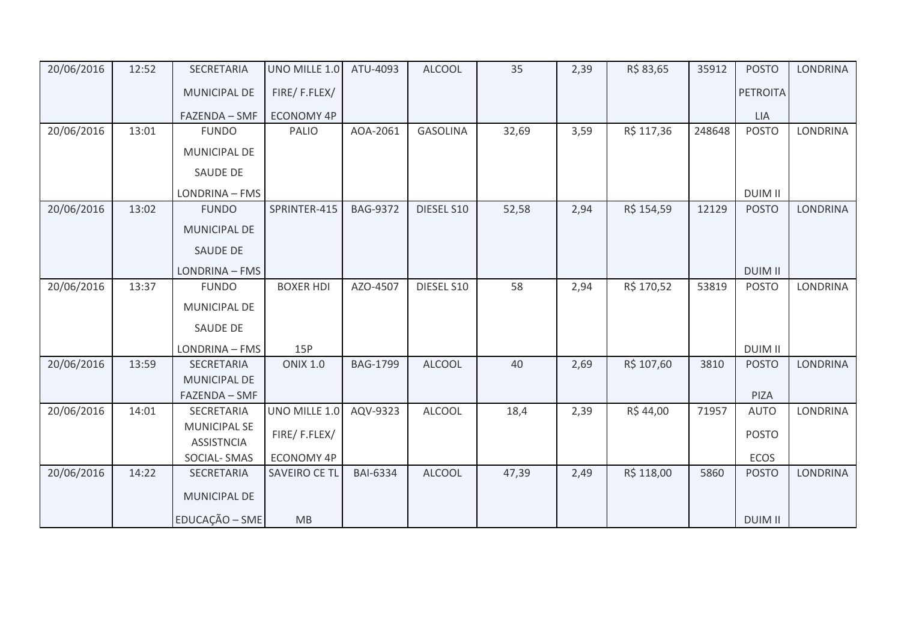| 20/06/2016 | 12:52 | SECRETARIA                        | UNO MILLE 1.0        | ATU-4093        | <b>ALCOOL</b>   | 35    | 2,39 | R\$ 83,65  | 35912  | <b>POSTO</b>    | <b>LONDRINA</b> |
|------------|-------|-----------------------------------|----------------------|-----------------|-----------------|-------|------|------------|--------|-----------------|-----------------|
|            |       | MUNICIPAL DE                      | FIRE/F.FLEX/         |                 |                 |       |      |            |        | <b>PETROITA</b> |                 |
|            |       | FAZENDA - SMF                     | <b>ECONOMY 4P</b>    |                 |                 |       |      |            |        | LIA             |                 |
| 20/06/2016 | 13:01 | <b>FUNDO</b>                      | PALIO                | AOA-2061        | <b>GASOLINA</b> | 32,69 | 3,59 | R\$ 117,36 | 248648 | <b>POSTO</b>    | <b>LONDRINA</b> |
|            |       | MUNICIPAL DE                      |                      |                 |                 |       |      |            |        |                 |                 |
|            |       | <b>SAUDE DE</b>                   |                      |                 |                 |       |      |            |        |                 |                 |
|            |       | LONDRINA - FMS                    |                      |                 |                 |       |      |            |        | <b>DUIM II</b>  |                 |
| 20/06/2016 | 13:02 | <b>FUNDO</b>                      | SPRINTER-415         | <b>BAG-9372</b> | DIESEL S10      | 52,58 | 2,94 | R\$ 154,59 | 12129  | <b>POSTO</b>    | <b>LONDRINA</b> |
|            |       | <b>MUNICIPAL DE</b>               |                      |                 |                 |       |      |            |        |                 |                 |
|            |       | SAUDE DE                          |                      |                 |                 |       |      |            |        |                 |                 |
|            |       | LONDRINA - FMS                    |                      |                 |                 |       |      |            |        | <b>DUIM II</b>  |                 |
| 20/06/2016 | 13:37 | <b>FUNDO</b>                      | <b>BOXER HDI</b>     | AZO-4507        | DIESEL S10      | 58    | 2,94 | R\$ 170,52 | 53819  | <b>POSTO</b>    | <b>LONDRINA</b> |
|            |       | MUNICIPAL DE                      |                      |                 |                 |       |      |            |        |                 |                 |
|            |       | SAUDE DE                          |                      |                 |                 |       |      |            |        |                 |                 |
|            |       | LONDRINA - FMS                    | 15P                  |                 |                 |       |      |            |        | <b>DUIM II</b>  |                 |
| 20/06/2016 | 13:59 | SECRETARIA                        | <b>ONIX 1.0</b>      | <b>BAG-1799</b> | <b>ALCOOL</b>   | 40    | 2,69 | R\$ 107,60 | 3810   | <b>POSTO</b>    | <b>LONDRINA</b> |
|            |       | MUNICIPAL DE                      |                      |                 |                 |       |      |            |        |                 |                 |
|            |       | FAZENDA - SMF                     |                      |                 |                 |       |      |            |        | PIZA            |                 |
| 20/06/2016 | 14:01 | SECRETARIA<br><b>MUNICIPAL SE</b> | UNO MILLE 1.0        | AQV-9323        | <b>ALCOOL</b>   | 18,4  | 2,39 | R\$44,00   | 71957  | <b>AUTO</b>     | <b>LONDRINA</b> |
|            |       | <b>ASSISTNCIA</b>                 | FIRE/F.FLEX/         |                 |                 |       |      |            |        | <b>POSTO</b>    |                 |
|            |       | <b>SOCIAL-SMAS</b>                | <b>ECONOMY 4P</b>    |                 |                 |       |      |            |        | ECOS            |                 |
| 20/06/2016 | 14:22 | SECRETARIA                        | <b>SAVEIRO CE TL</b> | <b>BAI-6334</b> | <b>ALCOOL</b>   | 47,39 | 2,49 | R\$ 118,00 | 5860   | <b>POSTO</b>    | <b>LONDRINA</b> |
|            |       | MUNICIPAL DE                      |                      |                 |                 |       |      |            |        |                 |                 |
|            |       | EDUCAÇÃO - SME                    | MB                   |                 |                 |       |      |            |        | <b>DUIM II</b>  |                 |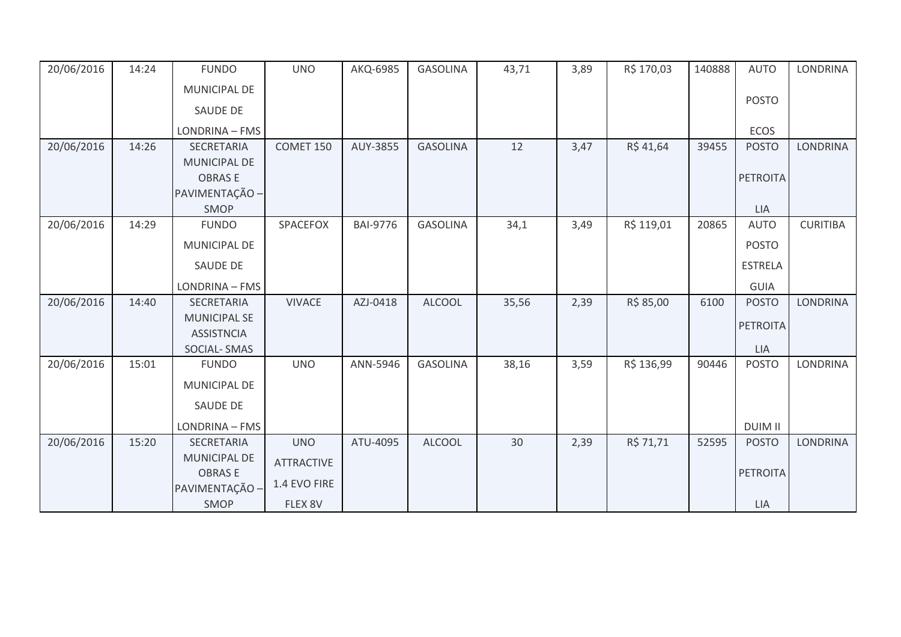| 20/06/2016 | 14:24 | <b>FUNDO</b>                            | <b>UNO</b>        | AKQ-6985        | <b>GASOLINA</b> | 43,71 | 3,89 | R\$ 170,03 | 140888 | <b>AUTO</b>     | <b>LONDRINA</b> |
|------------|-------|-----------------------------------------|-------------------|-----------------|-----------------|-------|------|------------|--------|-----------------|-----------------|
|            |       | MUNICIPAL DE                            |                   |                 |                 |       |      |            |        |                 |                 |
|            |       | <b>SAUDE DE</b>                         |                   |                 |                 |       |      |            |        | <b>POSTO</b>    |                 |
|            |       | LONDRINA - FMS                          |                   |                 |                 |       |      |            |        | <b>ECOS</b>     |                 |
| 20/06/2016 | 14:26 | SECRETARIA                              | COMET 150         | AUY-3855        | <b>GASOLINA</b> | 12    | 3,47 | R\$41,64   | 39455  | <b>POSTO</b>    | <b>LONDRINA</b> |
|            |       | <b>MUNICIPAL DE</b>                     |                   |                 |                 |       |      |            |        |                 |                 |
|            |       | <b>OBRASE</b><br>PAVIMENTAÇÃO -         |                   |                 |                 |       |      |            |        | <b>PETROITA</b> |                 |
|            |       | SMOP                                    |                   |                 |                 |       |      |            |        | <b>LIA</b>      |                 |
| 20/06/2016 | 14:29 | <b>FUNDO</b>                            | SPACEFOX          | <b>BAI-9776</b> | <b>GASOLINA</b> | 34,1  | 3,49 | R\$ 119,01 | 20865  | <b>AUTO</b>     | <b>CURITIBA</b> |
|            |       | <b>MUNICIPAL DE</b>                     |                   |                 |                 |       |      |            |        | <b>POSTO</b>    |                 |
|            |       | <b>SAUDE DE</b>                         |                   |                 |                 |       |      |            |        | <b>ESTRELA</b>  |                 |
|            |       | LONDRINA - FMS                          |                   |                 |                 |       |      |            |        | <b>GUIA</b>     |                 |
| 20/06/2016 | 14:40 | <b>SECRETARIA</b>                       | <b>VIVACE</b>     | AZJ-0418        | <b>ALCOOL</b>   | 35,56 | 2,39 | R\$ 85,00  | 6100   | <b>POSTO</b>    | <b>LONDRINA</b> |
|            |       | <b>MUNICIPAL SE</b>                     |                   |                 |                 |       |      |            |        | <b>PETROITA</b> |                 |
|            |       | <b>ASSISTNCIA</b><br><b>SOCIAL-SMAS</b> |                   |                 |                 |       |      |            |        | LIA             |                 |
| 20/06/2016 | 15:01 | <b>FUNDO</b>                            | <b>UNO</b>        | ANN-5946        | <b>GASOLINA</b> | 38,16 | 3,59 | R\$ 136,99 | 90446  | <b>POSTO</b>    | <b>LONDRINA</b> |
|            |       | MUNICIPAL DE                            |                   |                 |                 |       |      |            |        |                 |                 |
|            |       | <b>SAUDE DE</b>                         |                   |                 |                 |       |      |            |        |                 |                 |
|            |       | LONDRINA - FMS                          |                   |                 |                 |       |      |            |        | <b>DUIM II</b>  |                 |
| 20/06/2016 | 15:20 | <b>SECRETARIA</b>                       | <b>UNO</b>        | ATU-4095        | <b>ALCOOL</b>   | 30    | 2,39 | R\$ 71,71  | 52595  | <b>POSTO</b>    | <b>LONDRINA</b> |
|            |       | MUNICIPAL DE                            | <b>ATTRACTIVE</b> |                 |                 |       |      |            |        |                 |                 |
|            |       | <b>OBRASE</b><br>PAVIMENTAÇÃO -         | 1.4 EVO FIRE      |                 |                 |       |      |            |        | <b>PETROITA</b> |                 |
|            |       | SMOP                                    | FLEX 8V           |                 |                 |       |      |            |        | LIA             |                 |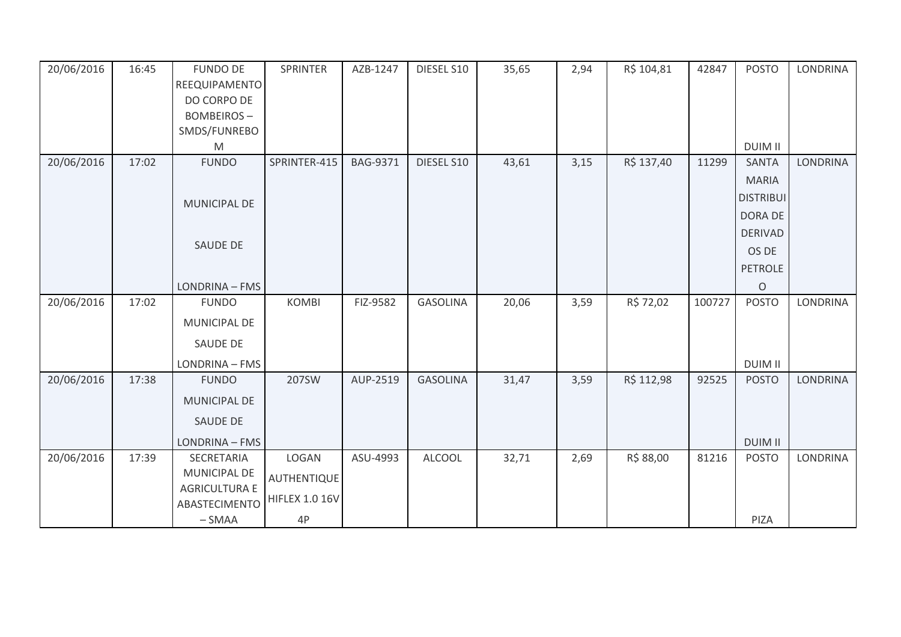| 20/06/2016 | 16:45 | <b>FUNDO DE</b>      | <b>SPRINTER</b>       | AZB-1247        | DIESEL S10      | 35,65 | 2,94 | R\$ 104,81 | 42847  | <b>POSTO</b>     | <b>LONDRINA</b> |
|------------|-------|----------------------|-----------------------|-----------------|-----------------|-------|------|------------|--------|------------------|-----------------|
|            |       | REEQUIPAMENTO        |                       |                 |                 |       |      |            |        |                  |                 |
|            |       | DO CORPO DE          |                       |                 |                 |       |      |            |        |                  |                 |
|            |       | <b>BOMBEIROS-</b>    |                       |                 |                 |       |      |            |        |                  |                 |
|            |       | SMDS/FUNREBO         |                       |                 |                 |       |      |            |        | <b>DUIM II</b>   |                 |
| 20/06/2016 | 17:02 | M<br><b>FUNDO</b>    | SPRINTER-415          | <b>BAG-9371</b> | DIESEL S10      | 43,61 | 3,15 | R\$ 137,40 | 11299  | <b>SANTA</b>     | LONDRINA        |
|            |       |                      |                       |                 |                 |       |      |            |        |                  |                 |
|            |       |                      |                       |                 |                 |       |      |            |        | <b>MARIA</b>     |                 |
|            |       | MUNICIPAL DE         |                       |                 |                 |       |      |            |        | <b>DISTRIBUI</b> |                 |
|            |       |                      |                       |                 |                 |       |      |            |        | DORA DE          |                 |
|            |       | <b>SAUDE DE</b>      |                       |                 |                 |       |      |            |        | <b>DERIVAD</b>   |                 |
|            |       |                      |                       |                 |                 |       |      |            |        | OS DE            |                 |
|            |       |                      |                       |                 |                 |       |      |            |        | <b>PETROLE</b>   |                 |
|            |       | LONDRINA - FMS       |                       |                 |                 |       |      |            |        | $\circ$          |                 |
| 20/06/2016 | 17:02 | <b>FUNDO</b>         | <b>KOMBI</b>          | FIZ-9582        | <b>GASOLINA</b> | 20,06 | 3,59 | R\$ 72,02  | 100727 | <b>POSTO</b>     | LONDRINA        |
|            |       | MUNICIPAL DE         |                       |                 |                 |       |      |            |        |                  |                 |
|            |       | SAUDE DE             |                       |                 |                 |       |      |            |        |                  |                 |
|            |       | LONDRINA - FMS       |                       |                 |                 |       |      |            |        | <b>DUIM II</b>   |                 |
| 20/06/2016 | 17:38 | <b>FUNDO</b>         | 207SW                 | AUP-2519        | <b>GASOLINA</b> | 31,47 | 3,59 | R\$ 112,98 | 92525  | <b>POSTO</b>     | LONDRINA        |
|            |       | MUNICIPAL DE         |                       |                 |                 |       |      |            |        |                  |                 |
|            |       | <b>SAUDE DE</b>      |                       |                 |                 |       |      |            |        |                  |                 |
|            |       | LONDRINA - FMS       |                       |                 |                 |       |      |            |        | <b>DUIM II</b>   |                 |
| 20/06/2016 | 17:39 | SECRETARIA           | LOGAN                 | ASU-4993        | <b>ALCOOL</b>   | 32,71 | 2,69 | R\$ 88,00  | 81216  | <b>POSTO</b>     | LONDRINA        |
|            |       | MUNICIPAL DE         | AUTHENTIQUE           |                 |                 |       |      |            |        |                  |                 |
|            |       | <b>AGRICULTURA E</b> | <b>HIFLEX 1.0 16V</b> |                 |                 |       |      |            |        |                  |                 |
|            |       | ABASTECIMENTO        |                       |                 |                 |       |      |            |        |                  |                 |
|            |       | $-SMAA$              | 4P                    |                 |                 |       |      |            |        | PIZA             |                 |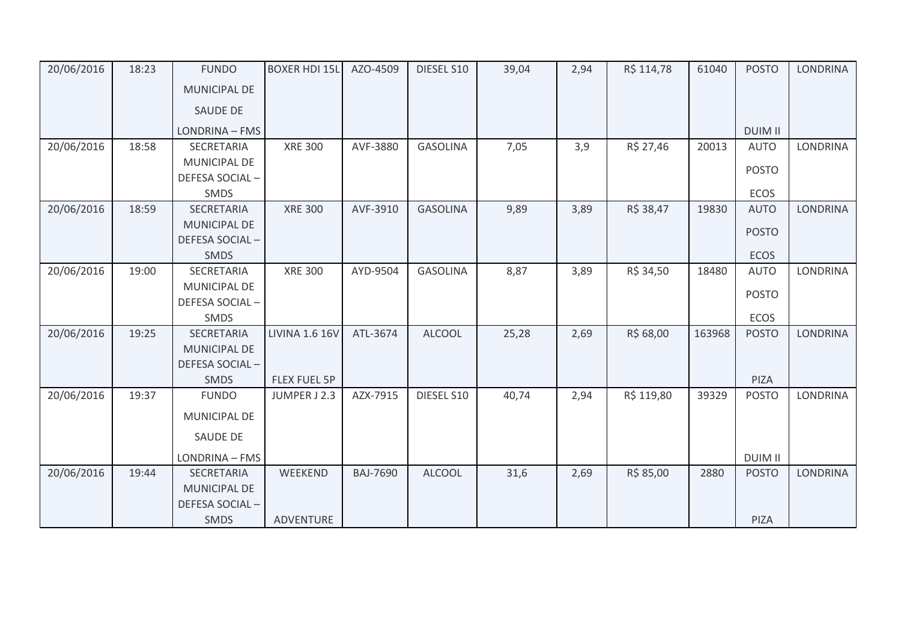| 20/06/2016 | 18:23 | <b>FUNDO</b>        | <b>BOXER HDI 15L</b>  | AZO-4509        | DIESEL S10      | 39,04 | 2,94 | R\$ 114,78 | 61040  | <b>POSTO</b>   | <b>LONDRINA</b> |
|------------|-------|---------------------|-----------------------|-----------------|-----------------|-------|------|------------|--------|----------------|-----------------|
|            |       | MUNICIPAL DE        |                       |                 |                 |       |      |            |        |                |                 |
|            |       | <b>SAUDE DE</b>     |                       |                 |                 |       |      |            |        |                |                 |
|            |       | LONDRINA - FMS      |                       |                 |                 |       |      |            |        | <b>DUIM II</b> |                 |
| 20/06/2016 | 18:58 | <b>SECRETARIA</b>   | <b>XRE 300</b>        | AVF-3880        | <b>GASOLINA</b> | 7,05  | 3,9  | R\$ 27,46  | 20013  | <b>AUTO</b>    | <b>LONDRINA</b> |
|            |       | MUNICIPAL DE        |                       |                 |                 |       |      |            |        | <b>POSTO</b>   |                 |
|            |       | DEFESA SOCIAL-      |                       |                 |                 |       |      |            |        |                |                 |
|            |       | SMDS                |                       |                 |                 |       |      |            |        | ECOS           |                 |
| 20/06/2016 | 18:59 | <b>SECRETARIA</b>   | <b>XRE 300</b>        | AVF-3910        | <b>GASOLINA</b> | 9,89  | 3,89 | R\$ 38,47  | 19830  | <b>AUTO</b>    | <b>LONDRINA</b> |
|            |       | MUNICIPAL DE        |                       |                 |                 |       |      |            |        | <b>POSTO</b>   |                 |
|            |       | DEFESA SOCIAL-      |                       |                 |                 |       |      |            |        |                |                 |
|            |       | <b>SMDS</b>         |                       |                 |                 |       |      |            |        | <b>ECOS</b>    |                 |
| 20/06/2016 | 19:00 | <b>SECRETARIA</b>   | <b>XRE 300</b>        | AYD-9504        | <b>GASOLINA</b> | 8,87  | 3,89 | R\$ 34,50  | 18480  | <b>AUTO</b>    | <b>LONDRINA</b> |
|            |       | MUNICIPAL DE        |                       |                 |                 |       |      |            |        | <b>POSTO</b>   |                 |
|            |       | DEFESA SOCIAL-      |                       |                 |                 |       |      |            |        |                |                 |
|            |       | SMDS                |                       |                 |                 |       |      |            |        | ECOS           |                 |
| 20/06/2016 | 19:25 | <b>SECRETARIA</b>   | <b>LIVINA 1.6 16V</b> | ATL-3674        | <b>ALCOOL</b>   | 25,28 | 2,69 | R\$ 68,00  | 163968 | <b>POSTO</b>   | <b>LONDRINA</b> |
|            |       | <b>MUNICIPAL DE</b> |                       |                 |                 |       |      |            |        |                |                 |
|            |       | DEFESA SOCIAL-      |                       |                 |                 |       |      |            |        |                |                 |
|            |       | <b>SMDS</b>         | <b>FLEX FUEL 5P</b>   |                 |                 |       |      |            |        | PIZA           |                 |
| 20/06/2016 | 19:37 | <b>FUNDO</b>        | JUMPER J 2.3          | AZX-7915        | DIESEL S10      | 40,74 | 2,94 | R\$ 119,80 | 39329  | <b>POSTO</b>   | <b>LONDRINA</b> |
|            |       | <b>MUNICIPAL DE</b> |                       |                 |                 |       |      |            |        |                |                 |
|            |       | <b>SAUDE DE</b>     |                       |                 |                 |       |      |            |        |                |                 |
|            |       | LONDRINA - FMS      |                       |                 |                 |       |      |            |        | <b>DUIM II</b> |                 |
| 20/06/2016 | 19:44 | <b>SECRETARIA</b>   | WEEKEND               | <b>BAJ-7690</b> | <b>ALCOOL</b>   | 31,6  | 2,69 | R\$ 85,00  | 2880   | <b>POSTO</b>   | <b>LONDRINA</b> |
|            |       | <b>MUNICIPAL DE</b> |                       |                 |                 |       |      |            |        |                |                 |
|            |       | DEFESA SOCIAL-      |                       |                 |                 |       |      |            |        |                |                 |
|            |       | <b>SMDS</b>         | <b>ADVENTURE</b>      |                 |                 |       |      |            |        | PIZA           |                 |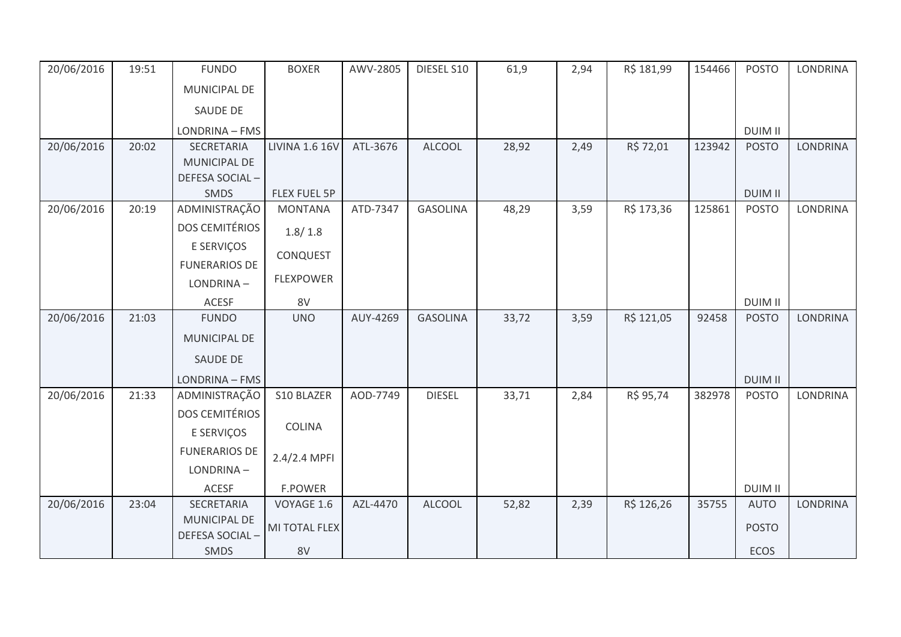| 20/06/2016 | 19:51 | <b>FUNDO</b>          | <b>BOXER</b>          | AWV-2805 | DIESEL S10      | 61,9  | 2,94 | R\$ 181,99 | 154466 | <b>POSTO</b>   | <b>LONDRINA</b> |
|------------|-------|-----------------------|-----------------------|----------|-----------------|-------|------|------------|--------|----------------|-----------------|
|            |       | MUNICIPAL DE          |                       |          |                 |       |      |            |        |                |                 |
|            |       | <b>SAUDE DE</b>       |                       |          |                 |       |      |            |        |                |                 |
|            |       | LONDRINA - FMS        |                       |          |                 |       |      |            |        | <b>DUIM II</b> |                 |
| 20/06/2016 | 20:02 | SECRETARIA            | <b>LIVINA 1.6 16V</b> | ATL-3676 | <b>ALCOOL</b>   | 28,92 | 2,49 | R\$ 72,01  | 123942 | <b>POSTO</b>   | <b>LONDRINA</b> |
|            |       | MUNICIPAL DE          |                       |          |                 |       |      |            |        |                |                 |
|            |       | DEFESA SOCIAL-        |                       |          |                 |       |      |            |        |                |                 |
|            |       | SMDS                  | <b>FLEX FUEL 5P</b>   |          |                 |       |      |            |        | <b>DUIM II</b> |                 |
| 20/06/2016 | 20:19 | ADMINISTRAÇÃO         | <b>MONTANA</b>        | ATD-7347 | <b>GASOLINA</b> | 48,29 | 3,59 | R\$ 173,36 | 125861 | <b>POSTO</b>   | <b>LONDRINA</b> |
|            |       | <b>DOS CEMITÉRIOS</b> | 1.8/1.8               |          |                 |       |      |            |        |                |                 |
|            |       | E SERVIÇOS            | CONQUEST              |          |                 |       |      |            |        |                |                 |
|            |       | <b>FUNERARIOS DE</b>  |                       |          |                 |       |      |            |        |                |                 |
|            |       | LONDRINA-             | <b>FLEXPOWER</b>      |          |                 |       |      |            |        |                |                 |
|            |       | <b>ACESF</b>          | 8V                    |          |                 |       |      |            |        | <b>DUIM II</b> |                 |
| 20/06/2016 | 21:03 | <b>FUNDO</b>          | <b>UNO</b>            | AUY-4269 | <b>GASOLINA</b> | 33,72 | 3,59 | R\$ 121,05 | 92458  | <b>POSTO</b>   | <b>LONDRINA</b> |
|            |       | MUNICIPAL DE          |                       |          |                 |       |      |            |        |                |                 |
|            |       | <b>SAUDE DE</b>       |                       |          |                 |       |      |            |        |                |                 |
|            |       | LONDRINA - FMS        |                       |          |                 |       |      |            |        | <b>DUIM II</b> |                 |
| 20/06/2016 | 21:33 | ADMINISTRAÇÃO         | S10 BLAZER            | AOD-7749 | <b>DIESEL</b>   | 33,71 | 2,84 | R\$ 95,74  | 382978 | <b>POSTO</b>   | <b>LONDRINA</b> |
|            |       | <b>DOS CEMITÉRIOS</b> |                       |          |                 |       |      |            |        |                |                 |
|            |       | E SERVIÇOS            | <b>COLINA</b>         |          |                 |       |      |            |        |                |                 |
|            |       | <b>FUNERARIOS DE</b>  | 2.4/2.4 MPFI          |          |                 |       |      |            |        |                |                 |
|            |       | LONDRINA-             |                       |          |                 |       |      |            |        |                |                 |
|            |       | ACESF                 | <b>F.POWER</b>        |          |                 |       |      |            |        | <b>DUIM II</b> |                 |
| 20/06/2016 | 23:04 | SECRETARIA            | VOYAGE 1.6            | AZL-4470 | <b>ALCOOL</b>   | 52,82 | 2,39 | R\$ 126,26 | 35755  | <b>AUTO</b>    | <b>LONDRINA</b> |
|            |       | <b>MUNICIPAL DE</b>   |                       |          |                 |       |      |            |        |                |                 |
|            |       | DEFESA SOCIAL-        | MI TOTAL FLEX         |          |                 |       |      |            |        | <b>POSTO</b>   |                 |
|            |       | <b>SMDS</b>           | 8V                    |          |                 |       |      |            |        | <b>ECOS</b>    |                 |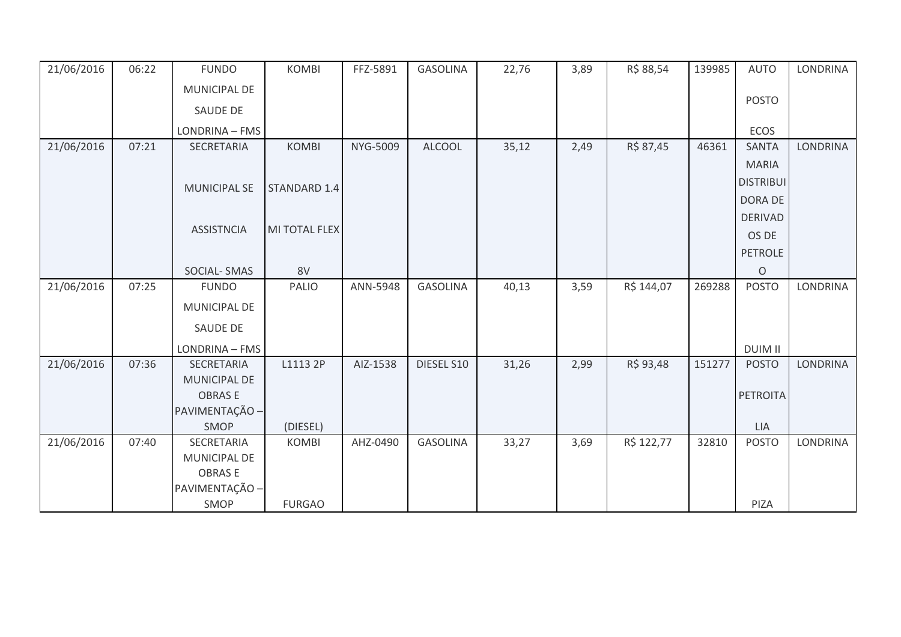| 21/06/2016 | 06:22 | <b>FUNDO</b>        | <b>KOMBI</b>             | FFZ-5891 | <b>GASOLINA</b> | 22,76 | 3,89 | R\$ 88,54  | 139985 | <b>AUTO</b>         | <b>LONDRINA</b> |
|------------|-------|---------------------|--------------------------|----------|-----------------|-------|------|------------|--------|---------------------|-----------------|
|            |       | MUNICIPAL DE        |                          |          |                 |       |      |            |        |                     |                 |
|            |       | SAUDE DE            |                          |          |                 |       |      |            |        | <b>POSTO</b>        |                 |
|            |       | LONDRINA - FMS      |                          |          |                 |       |      |            |        | ECOS                |                 |
| 21/06/2016 | 07:21 | SECRETARIA          | <b>KOMBI</b>             | NYG-5009 | <b>ALCOOL</b>   | 35,12 | 2,49 | R\$ 87,45  | 46361  | <b>SANTA</b>        | <b>LONDRINA</b> |
|            |       |                     |                          |          |                 |       |      |            |        | <b>MARIA</b>        |                 |
|            |       | <b>MUNICIPAL SE</b> | STANDARD 1.4             |          |                 |       |      |            |        | <b>DISTRIBUI</b>    |                 |
|            |       |                     |                          |          |                 |       |      |            |        | DORA DE             |                 |
|            |       |                     |                          |          |                 |       |      |            |        | <b>DERIVAD</b>      |                 |
|            |       | <b>ASSISTNCIA</b>   | MI TOTAL FLEX            |          |                 |       |      |            |        | OS DE               |                 |
|            |       |                     |                          |          |                 |       |      |            |        | <b>PETROLE</b>      |                 |
|            |       | SOCIAL-SMAS         | 8V                       |          |                 |       |      |            |        | $\circ$             |                 |
| 21/06/2016 | 07:25 | <b>FUNDO</b>        | PALIO                    | ANN-5948 | <b>GASOLINA</b> | 40,13 | 3,59 | R\$ 144,07 | 269288 | <b>POSTO</b>        | <b>LONDRINA</b> |
|            |       | MUNICIPAL DE        |                          |          |                 |       |      |            |        |                     |                 |
|            |       | SAUDE DE            |                          |          |                 |       |      |            |        |                     |                 |
|            |       | LONDRINA - FMS      |                          |          |                 |       |      |            |        | <b>DUIM II</b>      |                 |
| 21/06/2016 | 07:36 | SECRETARIA          | L1113 2P                 | AIZ-1538 | DIESEL S10      | 31,26 | 2,99 | R\$ 93,48  | 151277 | <b>POSTO</b>        | <b>LONDRINA</b> |
|            |       | MUNICIPAL DE        |                          |          |                 |       |      |            |        |                     |                 |
|            |       | <b>OBRASE</b>       |                          |          |                 |       |      |            |        | <b>PETROITA</b>     |                 |
|            |       | PAVIMENTAÇÃO -      |                          |          |                 |       |      |            |        |                     |                 |
| 21/06/2016 | 07:40 | SMOP<br>SECRETARIA  | (DIESEL)<br><b>KOMBI</b> | AHZ-0490 | <b>GASOLINA</b> | 33,27 | 3,69 | R\$ 122,77 | 32810  | LIA<br><b>POSTO</b> | <b>LONDRINA</b> |
|            |       | MUNICIPAL DE        |                          |          |                 |       |      |            |        |                     |                 |
|            |       | <b>OBRASE</b>       |                          |          |                 |       |      |            |        |                     |                 |
|            |       | PAVIMENTAÇÃO -      |                          |          |                 |       |      |            |        |                     |                 |
|            |       | <b>SMOP</b>         | <b>FURGAO</b>            |          |                 |       |      |            |        | PIZA                |                 |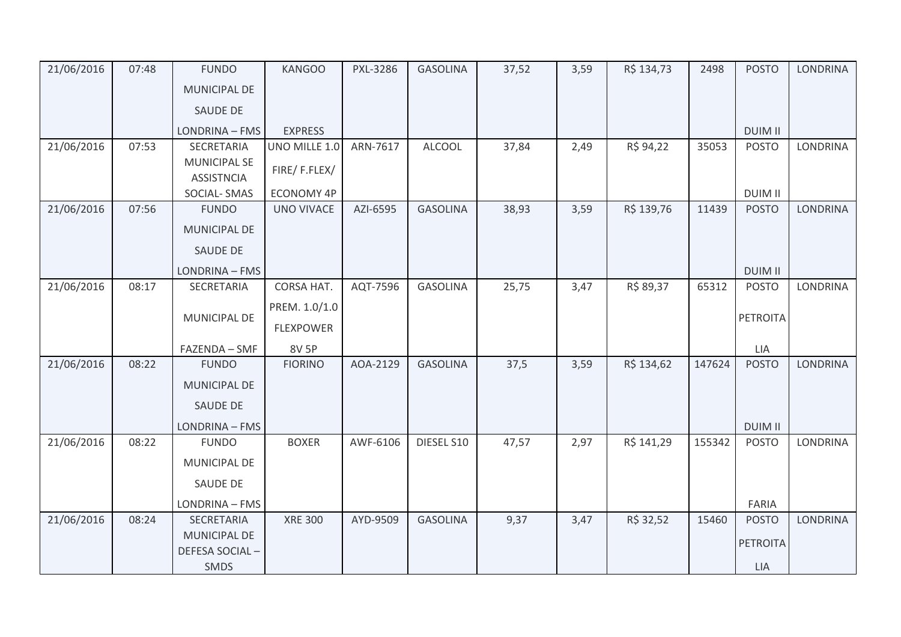| 21/06/2016 | 07:48 | <b>FUNDO</b>                             | <b>KANGOO</b>     | PXL-3286 | <b>GASOLINA</b> | 37,52 | 3,59 | R\$ 134,73 | 2498   | <b>POSTO</b>    | <b>LONDRINA</b> |
|------------|-------|------------------------------------------|-------------------|----------|-----------------|-------|------|------------|--------|-----------------|-----------------|
|            |       | <b>MUNICIPAL DE</b>                      |                   |          |                 |       |      |            |        |                 |                 |
|            |       | <b>SAUDE DE</b>                          |                   |          |                 |       |      |            |        |                 |                 |
|            |       | LONDRINA - FMS                           | <b>EXPRESS</b>    |          |                 |       |      |            |        | <b>DUIM II</b>  |                 |
| 21/06/2016 | 07:53 | <b>SECRETARIA</b>                        | UNO MILLE 1.0     | ARN-7617 | <b>ALCOOL</b>   | 37,84 | 2,49 | R\$ 94,22  | 35053  | <b>POSTO</b>    | <b>LONDRINA</b> |
|            |       | <b>MUNICIPAL SE</b><br><b>ASSISTNCIA</b> | FIRE/F.FLEX/      |          |                 |       |      |            |        |                 |                 |
|            |       | SOCIAL-SMAS                              | <b>ECONOMY 4P</b> |          |                 |       |      |            |        | <b>DUIM II</b>  |                 |
| 21/06/2016 | 07:56 | <b>FUNDO</b>                             | <b>UNO VIVACE</b> | AZI-6595 | <b>GASOLINA</b> | 38,93 | 3,59 | R\$ 139,76 | 11439  | <b>POSTO</b>    | <b>LONDRINA</b> |
|            |       | <b>MUNICIPAL DE</b>                      |                   |          |                 |       |      |            |        |                 |                 |
|            |       | <b>SAUDE DE</b>                          |                   |          |                 |       |      |            |        |                 |                 |
|            |       | LONDRINA - FMS                           |                   |          |                 |       |      |            |        | <b>DUIM II</b>  |                 |
| 21/06/2016 | 08:17 | SECRETARIA                               | CORSA HAT.        | AQT-7596 | <b>GASOLINA</b> | 25,75 | 3,47 | R\$ 89,37  | 65312  | <b>POSTO</b>    | <b>LONDRINA</b> |
|            |       |                                          | PREM. 1.0/1.0     |          |                 |       |      |            |        |                 |                 |
|            |       | MUNICIPAL DE                             | <b>FLEXPOWER</b>  |          |                 |       |      |            |        | PETROITA        |                 |
|            |       | FAZENDA - SMF                            | <b>8V 5P</b>      |          |                 |       |      |            |        | LIA             |                 |
| 21/06/2016 | 08:22 | <b>FUNDO</b>                             | <b>FIORINO</b>    | AOA-2129 | <b>GASOLINA</b> | 37,5  | 3,59 | R\$ 134,62 | 147624 | <b>POSTO</b>    | <b>LONDRINA</b> |
|            |       | <b>MUNICIPAL DE</b>                      |                   |          |                 |       |      |            |        |                 |                 |
|            |       | <b>SAUDE DE</b>                          |                   |          |                 |       |      |            |        |                 |                 |
|            |       | LONDRINA - FMS                           |                   |          |                 |       |      |            |        | <b>DUIM II</b>  |                 |
| 21/06/2016 | 08:22 | <b>FUNDO</b>                             | <b>BOXER</b>      | AWF-6106 | DIESEL S10      | 47,57 | 2,97 | R\$ 141,29 | 155342 | <b>POSTO</b>    | <b>LONDRINA</b> |
|            |       | <b>MUNICIPAL DE</b>                      |                   |          |                 |       |      |            |        |                 |                 |
|            |       | SAUDE DE                                 |                   |          |                 |       |      |            |        |                 |                 |
|            |       | LONDRINA - FMS                           |                   |          |                 |       |      |            |        | FARIA           |                 |
| 21/06/2016 | 08:24 | SECRETARIA                               | <b>XRE 300</b>    | AYD-9509 | <b>GASOLINA</b> | 9,37  | 3,47 | R\$ 32,52  | 15460  | <b>POSTO</b>    | <b>LONDRINA</b> |
|            |       | <b>MUNICIPAL DE</b>                      |                   |          |                 |       |      |            |        | <b>PETROITA</b> |                 |
|            |       | DEFESA SOCIAL-                           |                   |          |                 |       |      |            |        |                 |                 |
|            |       | <b>SMDS</b>                              |                   |          |                 |       |      |            |        | <b>LIA</b>      |                 |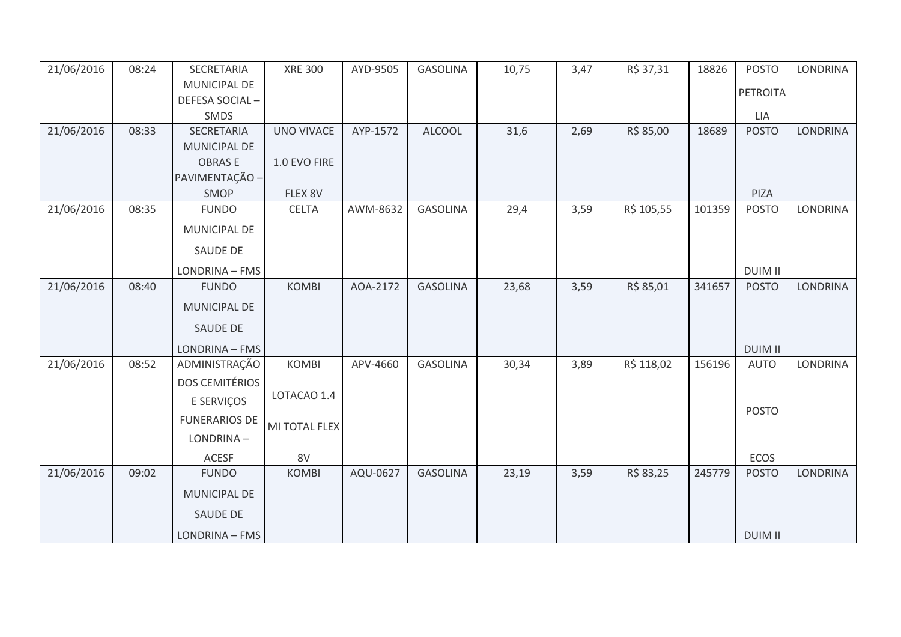| 21/06/2016 | 08:24 | SECRETARIA            | <b>XRE 300</b> | AYD-9505 | <b>GASOLINA</b> | 10,75 | 3,47 | R\$ 37,31  | 18826  | <b>POSTO</b>    | <b>LONDRINA</b> |
|------------|-------|-----------------------|----------------|----------|-----------------|-------|------|------------|--------|-----------------|-----------------|
|            |       | MUNICIPAL DE          |                |          |                 |       |      |            |        | <b>PETROITA</b> |                 |
|            |       | DEFESA SOCIAL-        |                |          |                 |       |      |            |        |                 |                 |
|            |       | SMDS                  |                |          |                 |       |      |            |        | LIA             |                 |
| 21/06/2016 | 08:33 | SECRETARIA            | UNO VIVACE     | AYP-1572 | <b>ALCOOL</b>   | 31,6  | 2,69 | R\$ 85,00  | 18689  | <b>POSTO</b>    | <b>LONDRINA</b> |
|            |       | <b>MUNICIPAL DE</b>   |                |          |                 |       |      |            |        |                 |                 |
|            |       | <b>OBRASE</b>         | 1.0 EVO FIRE   |          |                 |       |      |            |        |                 |                 |
|            |       | PAVIMENTAÇÃO -        |                |          |                 |       |      |            |        |                 |                 |
|            |       | SMOP                  | FLEX 8V        |          |                 |       |      |            |        | PIZA            |                 |
| 21/06/2016 | 08:35 | <b>FUNDO</b>          | <b>CELTA</b>   | AWM-8632 | <b>GASOLINA</b> | 29,4  | 3,59 | R\$ 105,55 | 101359 | <b>POSTO</b>    | <b>LONDRINA</b> |
|            |       | MUNICIPAL DE          |                |          |                 |       |      |            |        |                 |                 |
|            |       | SAUDE DE              |                |          |                 |       |      |            |        |                 |                 |
|            |       | LONDRINA - FMS        |                |          |                 |       |      |            |        | <b>DUIM II</b>  |                 |
| 21/06/2016 | 08:40 | <b>FUNDO</b>          | <b>KOMBI</b>   | AOA-2172 | <b>GASOLINA</b> | 23,68 | 3,59 | R\$ 85,01  | 341657 | <b>POSTO</b>    | <b>LONDRINA</b> |
|            |       | MUNICIPAL DE          |                |          |                 |       |      |            |        |                 |                 |
|            |       | <b>SAUDE DE</b>       |                |          |                 |       |      |            |        |                 |                 |
|            |       | LONDRINA - FMS        |                |          |                 |       |      |            |        | <b>DUIM II</b>  |                 |
| 21/06/2016 | 08:52 | ADMINISTRAÇÃO         | <b>KOMBI</b>   | APV-4660 | <b>GASOLINA</b> | 30,34 | 3,89 | R\$ 118,02 | 156196 | <b>AUTO</b>     | LONDRINA        |
|            |       | <b>DOS CEMITÉRIOS</b> |                |          |                 |       |      |            |        |                 |                 |
|            |       | E SERVIÇOS            | LOTACAO 1.4    |          |                 |       |      |            |        |                 |                 |
|            |       | <b>FUNERARIOS DE</b>  | MI TOTAL FLEX  |          |                 |       |      |            |        | <b>POSTO</b>    |                 |
|            |       | LONDRINA-             |                |          |                 |       |      |            |        |                 |                 |
|            |       | <b>ACESF</b>          | 8V             |          |                 |       |      |            |        | ECOS            |                 |
| 21/06/2016 | 09:02 | <b>FUNDO</b>          | <b>KOMBI</b>   | AQU-0627 | <b>GASOLINA</b> | 23,19 | 3,59 | R\$ 83,25  | 245779 | <b>POSTO</b>    | <b>LONDRINA</b> |
|            |       | MUNICIPAL DE          |                |          |                 |       |      |            |        |                 |                 |
|            |       | <b>SAUDE DE</b>       |                |          |                 |       |      |            |        |                 |                 |
|            |       | LONDRINA - FMS        |                |          |                 |       |      |            |        | <b>DUIM II</b>  |                 |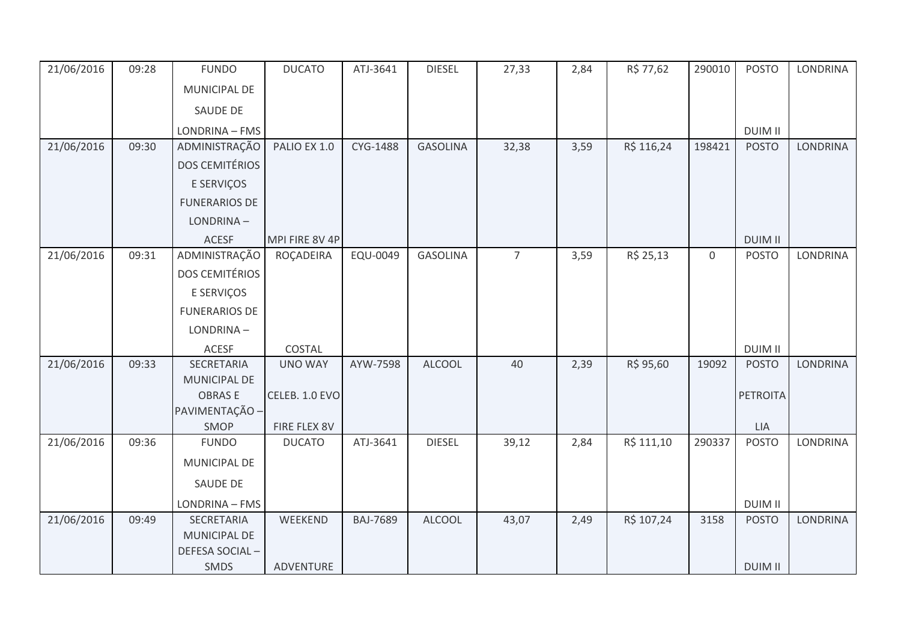| 21/06/2016 | 09:28 | <b>FUNDO</b>                    | <b>DUCATO</b>  | ATJ-3641        | <b>DIESEL</b>   | 27,33          | 2,84 | R\$ 77,62  | 290010           | <b>POSTO</b>    | <b>LONDRINA</b> |
|------------|-------|---------------------------------|----------------|-----------------|-----------------|----------------|------|------------|------------------|-----------------|-----------------|
|            |       | <b>MUNICIPAL DE</b>             |                |                 |                 |                |      |            |                  |                 |                 |
|            |       | SAUDE DE                        |                |                 |                 |                |      |            |                  |                 |                 |
|            |       | LONDRINA - FMS                  |                |                 |                 |                |      |            |                  | <b>DUIM II</b>  |                 |
| 21/06/2016 | 09:30 | ADMINISTRAÇÃO                   | PALIO EX 1.0   | CYG-1488        | <b>GASOLINA</b> | 32,38          | 3,59 | R\$ 116,24 | 198421           | <b>POSTO</b>    | LONDRINA        |
|            |       | <b>DOS CEMITÉRIOS</b>           |                |                 |                 |                |      |            |                  |                 |                 |
|            |       | E SERVIÇOS                      |                |                 |                 |                |      |            |                  |                 |                 |
|            |       | <b>FUNERARIOS DE</b>            |                |                 |                 |                |      |            |                  |                 |                 |
|            |       | LONDRINA-                       |                |                 |                 |                |      |            |                  |                 |                 |
|            |       | <b>ACESF</b>                    | MPI FIRE 8V 4P |                 |                 |                |      |            |                  | <b>DUIM II</b>  |                 |
| 21/06/2016 | 09:31 | ADMINISTRAÇÃO                   | ROÇADEIRA      | EQU-0049        | <b>GASOLINA</b> | $\overline{7}$ | 3,59 | R\$ 25,13  | $\boldsymbol{0}$ | <b>POSTO</b>    | <b>LONDRINA</b> |
|            |       | <b>DOS CEMITÉRIOS</b>           |                |                 |                 |                |      |            |                  |                 |                 |
|            |       | E SERVIÇOS                      |                |                 |                 |                |      |            |                  |                 |                 |
|            |       | <b>FUNERARIOS DE</b>            |                |                 |                 |                |      |            |                  |                 |                 |
|            |       | LONDRINA-                       |                |                 |                 |                |      |            |                  |                 |                 |
|            |       | <b>ACESF</b>                    | COSTAL         |                 |                 |                |      |            |                  | <b>DUIM II</b>  |                 |
| 21/06/2016 | 09:33 | <b>SECRETARIA</b>               | <b>UNO WAY</b> | AYW-7598        | <b>ALCOOL</b>   | 40             | 2,39 | R\$ 95,60  | 19092            | <b>POSTO</b>    | <b>LONDRINA</b> |
|            |       | MUNICIPAL DE                    |                |                 |                 |                |      |            |                  |                 |                 |
|            |       | <b>OBRASE</b><br>PAVIMENTAÇÃO - | CELEB. 1.0 EVO |                 |                 |                |      |            |                  | <b>PETROITA</b> |                 |
|            |       | SMOP                            | FIRE FLEX 8V   |                 |                 |                |      |            |                  | <b>LIA</b>      |                 |
| 21/06/2016 | 09:36 | <b>FUNDO</b>                    | <b>DUCATO</b>  | ATJ-3641        | <b>DIESEL</b>   | 39,12          | 2,84 | R\$ 111,10 | 290337           | <b>POSTO</b>    | LONDRINA        |
|            |       | MUNICIPAL DE                    |                |                 |                 |                |      |            |                  |                 |                 |
|            |       | SAUDE DE                        |                |                 |                 |                |      |            |                  |                 |                 |
|            |       | LONDRINA - FMS                  |                |                 |                 |                |      |            |                  | <b>DUIM II</b>  |                 |
| 21/06/2016 | 09:49 | SECRETARIA                      | WEEKEND        | <b>BAJ-7689</b> | <b>ALCOOL</b>   | 43,07          | 2,49 | R\$ 107,24 | 3158             | <b>POSTO</b>    | LONDRINA        |
|            |       | MUNICIPAL DE                    |                |                 |                 |                |      |            |                  |                 |                 |
|            |       | DEFESA SOCIAL-                  |                |                 |                 |                |      |            |                  |                 |                 |
|            |       | SMDS                            | ADVENTURE      |                 |                 |                |      |            |                  | <b>DUIM II</b>  |                 |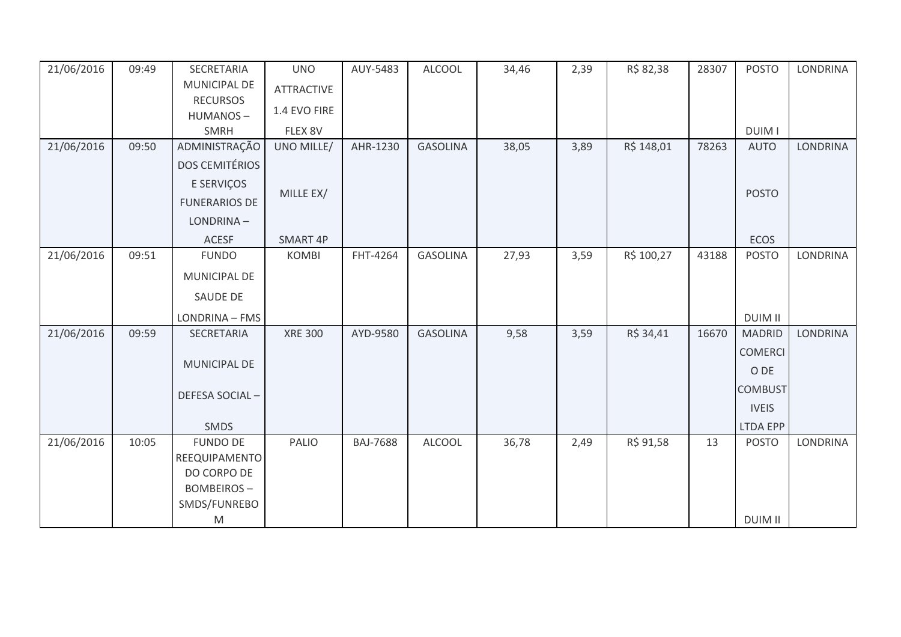| 21/06/2016 | 09:49 | SECRETARIA            | <b>UNO</b>        | AUY-5483        | <b>ALCOOL</b>   | 34,46 | 2,39 | R\$ 82,38  | 28307 | <b>POSTO</b>   | <b>LONDRINA</b> |
|------------|-------|-----------------------|-------------------|-----------------|-----------------|-------|------|------------|-------|----------------|-----------------|
|            |       | <b>MUNICIPAL DE</b>   | <b>ATTRACTIVE</b> |                 |                 |       |      |            |       |                |                 |
|            |       | <b>RECURSOS</b>       | 1.4 EVO FIRE      |                 |                 |       |      |            |       |                |                 |
|            |       | HUMANOS-              |                   |                 |                 |       |      |            |       |                |                 |
|            |       | <b>SMRH</b>           | FLEX 8V           |                 |                 |       |      |            |       | <b>DUIM I</b>  |                 |
| 21/06/2016 | 09:50 | ADMINISTRAÇÃO         | UNO MILLE/        | AHR-1230        | <b>GASOLINA</b> | 38,05 | 3,89 | R\$ 148,01 | 78263 | <b>AUTO</b>    | <b>LONDRINA</b> |
|            |       | <b>DOS CEMITÉRIOS</b> |                   |                 |                 |       |      |            |       |                |                 |
|            |       | E SERVIÇOS            |                   |                 |                 |       |      |            |       | <b>POSTO</b>   |                 |
|            |       | <b>FUNERARIOS DE</b>  | MILLE EX/         |                 |                 |       |      |            |       |                |                 |
|            |       | LONDRINA-             |                   |                 |                 |       |      |            |       |                |                 |
|            |       | <b>ACESF</b>          | SMART 4P          |                 |                 |       |      |            |       | <b>ECOS</b>    |                 |
| 21/06/2016 | 09:51 | <b>FUNDO</b>          | <b>KOMBI</b>      | FHT-4264        | <b>GASOLINA</b> | 27,93 | 3,59 | R\$ 100,27 | 43188 | <b>POSTO</b>   | <b>LONDRINA</b> |
|            |       | MUNICIPAL DE          |                   |                 |                 |       |      |            |       |                |                 |
|            |       | <b>SAUDE DE</b>       |                   |                 |                 |       |      |            |       |                |                 |
|            |       | LONDRINA - FMS        |                   |                 |                 |       |      |            |       | <b>DUIM II</b> |                 |
| 21/06/2016 | 09:59 | SECRETARIA            | <b>XRE 300</b>    | AYD-9580        | <b>GASOLINA</b> | 9,58  | 3,59 | R\$ 34,41  | 16670 | <b>MADRID</b>  | <b>LONDRINA</b> |
|            |       |                       |                   |                 |                 |       |      |            |       | <b>COMERCI</b> |                 |
|            |       | MUNICIPAL DE          |                   |                 |                 |       |      |            |       | O DE           |                 |
|            |       |                       |                   |                 |                 |       |      |            |       | <b>COMBUST</b> |                 |
|            |       | DEFESA SOCIAL-        |                   |                 |                 |       |      |            |       | <b>IVEIS</b>   |                 |
|            |       | SMDS                  |                   |                 |                 |       |      |            |       | LTDA EPP       |                 |
| 21/06/2016 | 10:05 | <b>FUNDO DE</b>       | PALIO             | <b>BAJ-7688</b> | <b>ALCOOL</b>   | 36,78 | 2,49 | R\$ 91,58  | 13    | <b>POSTO</b>   | <b>LONDRINA</b> |
|            |       | REEQUIPAMENTO         |                   |                 |                 |       |      |            |       |                |                 |
|            |       | DO CORPO DE           |                   |                 |                 |       |      |            |       |                |                 |
|            |       | <b>BOMBEIROS-</b>     |                   |                 |                 |       |      |            |       |                |                 |
|            |       | SMDS/FUNREBO          |                   |                 |                 |       |      |            |       |                |                 |
|            |       | ${\sf M}$             |                   |                 |                 |       |      |            |       | <b>DUIM II</b> |                 |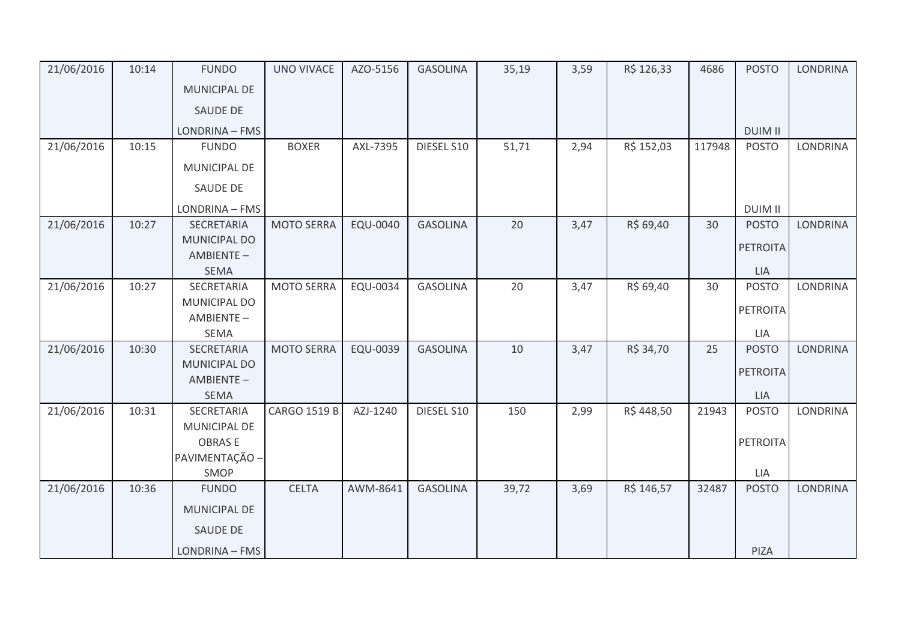| 21/06/2016 | 10:14 | <b>FUNDO</b>             | <b>UNO VIVACE</b>   | AZO-5156 | <b>GASOLINA</b> | 35,19 | 3,59 | R\$ 126,33 | 4686   | <b>POSTO</b>    | <b>LONDRINA</b> |
|------------|-------|--------------------------|---------------------|----------|-----------------|-------|------|------------|--------|-----------------|-----------------|
|            |       | <b>MUNICIPAL DE</b>      |                     |          |                 |       |      |            |        |                 |                 |
|            |       | <b>SAUDE DE</b>          |                     |          |                 |       |      |            |        |                 |                 |
|            |       | LONDRINA - FMS           |                     |          |                 |       |      |            |        | <b>DUIM II</b>  |                 |
| 21/06/2016 | 10:15 | <b>FUNDO</b>             | <b>BOXER</b>        | AXL-7395 | DIESEL S10      | 51,71 | 2,94 | R\$ 152,03 | 117948 | <b>POSTO</b>    | <b>LONDRINA</b> |
|            |       | MUNICIPAL DE             |                     |          |                 |       |      |            |        |                 |                 |
|            |       | SAUDE DE                 |                     |          |                 |       |      |            |        |                 |                 |
|            |       | LONDRINA - FMS           |                     |          |                 |       |      |            |        | <b>DUIM II</b>  |                 |
| 21/06/2016 | 10:27 | SECRETARIA               | <b>MOTO SERRA</b>   | EQU-0040 | <b>GASOLINA</b> | 20    | 3,47 | R\$ 69,40  | 30     | <b>POSTO</b>    | <b>LONDRINA</b> |
|            |       | <b>MUNICIPAL DO</b>      |                     |          |                 |       |      |            |        | <b>PETROITA</b> |                 |
|            |       | AMBIENTE-                |                     |          |                 |       |      |            |        |                 |                 |
|            |       | <b>SEMA</b>              |                     |          |                 |       |      |            |        | LIA             |                 |
| 21/06/2016 | 10:27 | SECRETARIA               | <b>MOTO SERRA</b>   | EQU-0034 | <b>GASOLINA</b> | 20    | 3,47 | R\$ 69,40  | 30     | <b>POSTO</b>    | <b>LONDRINA</b> |
|            |       | MUNICIPAL DO             |                     |          |                 |       |      |            |        | <b>PETROITA</b> |                 |
|            |       | AMBIENTE-<br><b>SEMA</b> |                     |          |                 |       |      |            |        | LIA             |                 |
| 21/06/2016 | 10:30 | <b>SECRETARIA</b>        | <b>MOTO SERRA</b>   | EQU-0039 | <b>GASOLINA</b> | 10    | 3,47 | R\$ 34,70  | 25     | <b>POSTO</b>    | LONDRINA        |
|            |       | <b>MUNICIPAL DO</b>      |                     |          |                 |       |      |            |        |                 |                 |
|            |       | AMBIENTE-                |                     |          |                 |       |      |            |        | <b>PETROITA</b> |                 |
|            |       | <b>SEMA</b>              |                     |          |                 |       |      |            |        | LIA             |                 |
| 21/06/2016 | 10:31 | SECRETARIA               | <b>CARGO 1519 B</b> | AZJ-1240 | DIESEL S10      | 150   | 2,99 | R\$448,50  | 21943  | <b>POSTO</b>    | LONDRINA        |
|            |       | MUNICIPAL DE             |                     |          |                 |       |      |            |        |                 |                 |
|            |       | <b>OBRASE</b>            |                     |          |                 |       |      |            |        | <b>PETROITA</b> |                 |
|            |       | PAVIMENTAÇÃO -           |                     |          |                 |       |      |            |        |                 |                 |
|            |       | SMOP                     |                     |          |                 |       |      |            |        | LIA             |                 |
| 21/06/2016 | 10:36 | <b>FUNDO</b>             | <b>CELTA</b>        | AWM-8641 | <b>GASOLINA</b> | 39,72 | 3,69 | R\$ 146,57 | 32487  | <b>POSTO</b>    | <b>LONDRINA</b> |
|            |       | MUNICIPAL DE             |                     |          |                 |       |      |            |        |                 |                 |
|            |       | SAUDE DE                 |                     |          |                 |       |      |            |        |                 |                 |
|            |       | LONDRINA - FMS           |                     |          |                 |       |      |            |        | PIZA            |                 |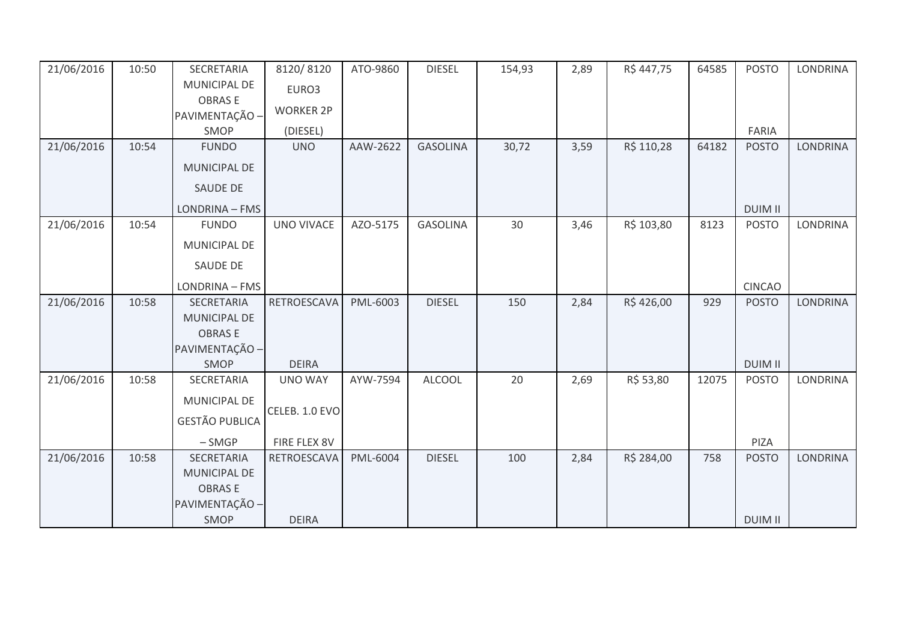| 21/06/2016 | 10:50 | SECRETARIA            | 8120/8120         | ATO-9860 | <b>DIESEL</b>   | 154,93 | 2,89 | R\$447,75  | 64585 | <b>POSTO</b>   | <b>LONDRINA</b> |
|------------|-------|-----------------------|-------------------|----------|-----------------|--------|------|------------|-------|----------------|-----------------|
|            |       | MUNICIPAL DE          | EURO3             |          |                 |        |      |            |       |                |                 |
|            |       | <b>OBRASE</b>         | <b>WORKER 2P</b>  |          |                 |        |      |            |       |                |                 |
|            |       | PAVIMENTAÇÃO -        |                   |          |                 |        |      |            |       |                |                 |
|            |       | SMOP                  | (DIESEL)          |          |                 |        |      |            |       | FARIA          |                 |
| 21/06/2016 | 10:54 | <b>FUNDO</b>          | <b>UNO</b>        | AAW-2622 | <b>GASOLINA</b> | 30,72  | 3,59 | R\$ 110,28 | 64182 | <b>POSTO</b>   | <b>LONDRINA</b> |
|            |       | MUNICIPAL DE          |                   |          |                 |        |      |            |       |                |                 |
|            |       | <b>SAUDE DE</b>       |                   |          |                 |        |      |            |       |                |                 |
|            |       | LONDRINA - FMS        |                   |          |                 |        |      |            |       | <b>DUIM II</b> |                 |
| 21/06/2016 | 10:54 | <b>FUNDO</b>          | <b>UNO VIVACE</b> | AZO-5175 | <b>GASOLINA</b> | 30     | 3,46 | R\$ 103,80 | 8123  | <b>POSTO</b>   | <b>LONDRINA</b> |
|            |       | MUNICIPAL DE          |                   |          |                 |        |      |            |       |                |                 |
|            |       | SAUDE DE              |                   |          |                 |        |      |            |       |                |                 |
|            |       | LONDRINA - FMS        |                   |          |                 |        |      |            |       | <b>CINCAO</b>  |                 |
| 21/06/2016 | 10:58 | <b>SECRETARIA</b>     | RETROESCAVA       | PML-6003 | <b>DIESEL</b>   | 150    | 2,84 | R\$426,00  | 929   | <b>POSTO</b>   | <b>LONDRINA</b> |
|            |       | <b>MUNICIPAL DE</b>   |                   |          |                 |        |      |            |       |                |                 |
|            |       | <b>OBRASE</b>         |                   |          |                 |        |      |            |       |                |                 |
|            |       | PAVIMENTAÇÃO -        |                   |          |                 |        |      |            |       |                |                 |
|            |       | SMOP                  | <b>DEIRA</b>      |          |                 |        |      |            |       | <b>DUIM II</b> |                 |
| 21/06/2016 | 10:58 | SECRETARIA            | <b>UNO WAY</b>    | AYW-7594 | <b>ALCOOL</b>   | 20     | 2,69 | R\$ 53,80  | 12075 | <b>POSTO</b>   | <b>LONDRINA</b> |
|            |       | MUNICIPAL DE          |                   |          |                 |        |      |            |       |                |                 |
|            |       | <b>GESTÃO PUBLICA</b> | CELEB. 1.0 EVO    |          |                 |        |      |            |       |                |                 |
|            |       | $-SMGP$               | FIRE FLEX 8V      |          |                 |        |      |            |       | PIZA           |                 |
|            |       | SECRETARIA            |                   |          |                 |        |      |            | 758   |                |                 |
| 21/06/2016 | 10:58 |                       | RETROESCAVA       | PML-6004 | <b>DIESEL</b>   | 100    | 2,84 | R\$ 284,00 |       | <b>POSTO</b>   | <b>LONDRINA</b> |
|            |       | <b>MUNICIPAL DE</b>   |                   |          |                 |        |      |            |       |                |                 |
|            |       | <b>OBRASE</b>         |                   |          |                 |        |      |            |       |                |                 |
|            |       | PAVIMENTAÇÃO -        |                   |          |                 |        |      |            |       |                |                 |
|            |       | SMOP                  | <b>DEIRA</b>      |          |                 |        |      |            |       | <b>DUIM II</b> |                 |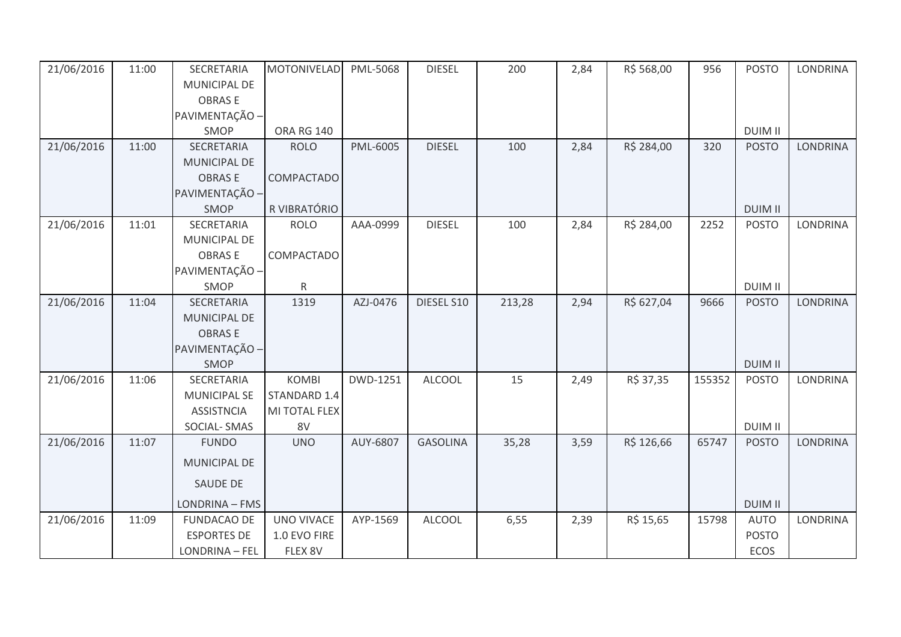| 21/06/2016 | 11:00 | SECRETARIA          | <b>MOTONIVELAD</b> | PML-5068 | <b>DIESEL</b>   | 200    | 2,84 | R\$ 568,00 | 956    | <b>POSTO</b>   | <b>LONDRINA</b> |
|------------|-------|---------------------|--------------------|----------|-----------------|--------|------|------------|--------|----------------|-----------------|
|            |       | MUNICIPAL DE        |                    |          |                 |        |      |            |        |                |                 |
|            |       | <b>OBRASE</b>       |                    |          |                 |        |      |            |        |                |                 |
|            |       | PAVIMENTAÇÃO -      |                    |          |                 |        |      |            |        |                |                 |
|            |       | SMOP                | <b>ORA RG 140</b>  |          |                 |        |      |            |        | <b>DUIM II</b> |                 |
| 21/06/2016 | 11:00 | SECRETARIA          | <b>ROLO</b>        | PML-6005 | <b>DIESEL</b>   | 100    | 2,84 | R\$ 284,00 | 320    | <b>POSTO</b>   | <b>LONDRINA</b> |
|            |       | MUNICIPAL DE        |                    |          |                 |        |      |            |        |                |                 |
|            |       | <b>OBRASE</b>       | COMPACTADO         |          |                 |        |      |            |        |                |                 |
|            |       | PAVIMENTAÇÃO -      |                    |          |                 |        |      |            |        |                |                 |
|            |       | SMOP                | R VIBRATÓRIO       |          |                 |        |      |            |        | <b>DUIM II</b> |                 |
| 21/06/2016 | 11:01 | SECRETARIA          | <b>ROLO</b>        | AAA-0999 | <b>DIESEL</b>   | 100    | 2,84 | R\$ 284,00 | 2252   | <b>POSTO</b>   | LONDRINA        |
|            |       | MUNICIPAL DE        |                    |          |                 |        |      |            |        |                |                 |
|            |       | <b>OBRASE</b>       | COMPACTADO         |          |                 |        |      |            |        |                |                 |
|            |       | PAVIMENTAÇÃO -      |                    |          |                 |        |      |            |        |                |                 |
|            |       | SMOP                | R                  |          |                 |        |      |            |        | <b>DUIM II</b> |                 |
| 21/06/2016 | 11:04 | SECRETARIA          | 1319               | AZJ-0476 | DIESEL S10      | 213,28 | 2,94 | R\$ 627,04 | 9666   | <b>POSTO</b>   | <b>LONDRINA</b> |
|            |       | MUNICIPAL DE        |                    |          |                 |        |      |            |        |                |                 |
|            |       | <b>OBRASE</b>       |                    |          |                 |        |      |            |        |                |                 |
|            |       | PAVIMENTAÇÃO -      |                    |          |                 |        |      |            |        |                |                 |
|            |       | SMOP                |                    |          |                 |        |      |            |        | <b>DUIM II</b> |                 |
| 21/06/2016 | 11:06 | SECRETARIA          | <b>KOMBI</b>       | DWD-1251 | <b>ALCOOL</b>   | 15     | 2,49 | R\$ 37,35  | 155352 | <b>POSTO</b>   | <b>LONDRINA</b> |
|            |       | <b>MUNICIPAL SE</b> | STANDARD 1.4       |          |                 |        |      |            |        |                |                 |
|            |       | <b>ASSISTNCIA</b>   | MI TOTAL FLEX      |          |                 |        |      |            |        |                |                 |
|            |       | <b>SOCIAL-SMAS</b>  | 8V                 |          |                 |        |      |            |        | <b>DUIM II</b> |                 |
| 21/06/2016 | 11:07 | <b>FUNDO</b>        | <b>UNO</b>         | AUY-6807 | <b>GASOLINA</b> | 35,28  | 3,59 | R\$ 126,66 | 65747  | <b>POSTO</b>   | <b>LONDRINA</b> |
|            |       | <b>MUNICIPAL DE</b> |                    |          |                 |        |      |            |        |                |                 |
|            |       | <b>SAUDE DE</b>     |                    |          |                 |        |      |            |        |                |                 |
|            |       | LONDRINA - FMS      |                    |          |                 |        |      |            |        | <b>DUIM II</b> |                 |
| 21/06/2016 | 11:09 | <b>FUNDACAO DE</b>  | <b>UNO VIVACE</b>  | AYP-1569 | <b>ALCOOL</b>   | 6,55   | 2,39 | R\$ 15,65  | 15798  | <b>AUTO</b>    | <b>LONDRINA</b> |
|            |       | <b>ESPORTES DE</b>  | 1.0 EVO FIRE       |          |                 |        |      |            |        | <b>POSTO</b>   |                 |
|            |       | LONDRINA - FEL      | FLEX 8V            |          |                 |        |      |            |        | ECOS           |                 |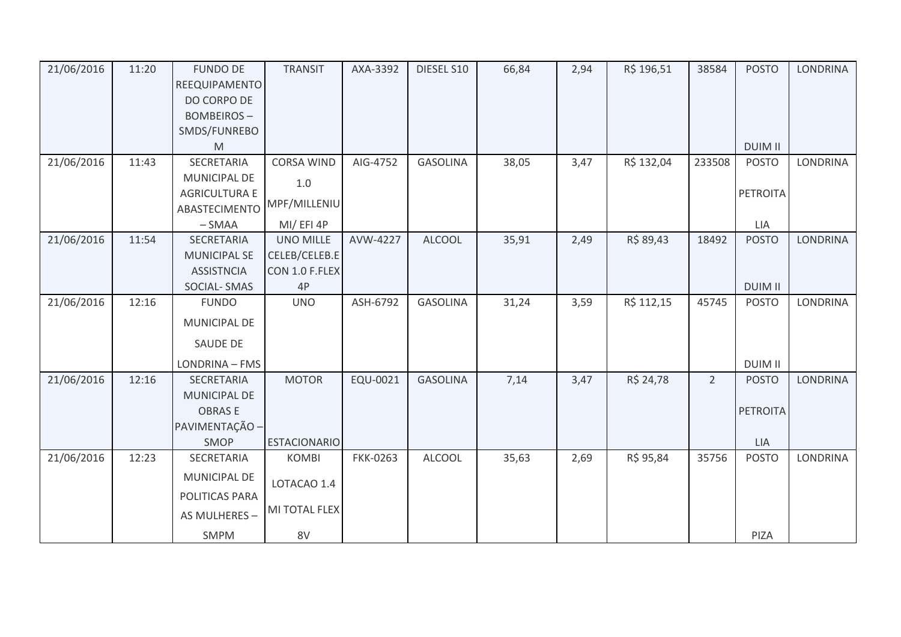| 21/06/2016 | 11:20 | <b>FUNDO DE</b>      | <b>TRANSIT</b>      | AXA-3392        | DIESEL S10      | 66,84 | 2,94 | R\$ 196,51 | 38584          | <b>POSTO</b>    | <b>LONDRINA</b> |
|------------|-------|----------------------|---------------------|-----------------|-----------------|-------|------|------------|----------------|-----------------|-----------------|
|            |       | REEQUIPAMENTO        |                     |                 |                 |       |      |            |                |                 |                 |
|            |       | DO CORPO DE          |                     |                 |                 |       |      |            |                |                 |                 |
|            |       | <b>BOMBEIROS-</b>    |                     |                 |                 |       |      |            |                |                 |                 |
|            |       | SMDS/FUNREBO         |                     |                 |                 |       |      |            |                |                 |                 |
|            |       | M                    |                     |                 |                 |       |      |            |                | <b>DUIM II</b>  |                 |
| 21/06/2016 | 11:43 | SECRETARIA           | <b>CORSA WIND</b>   | AIG-4752        | <b>GASOLINA</b> | 38,05 | 3,47 | R\$ 132,04 | 233508         | <b>POSTO</b>    | LONDRINA        |
|            |       | MUNICIPAL DE         | 1.0                 |                 |                 |       |      |            |                |                 |                 |
|            |       | <b>AGRICULTURA E</b> |                     |                 |                 |       |      |            |                | <b>PETROITA</b> |                 |
|            |       | ABASTECIMENTO        | MPF/MILLENIU        |                 |                 |       |      |            |                |                 |                 |
|            |       | $-SMAA$              | MI/EFI4P            |                 |                 |       |      |            |                | LIA             |                 |
| 21/06/2016 | 11:54 | SECRETARIA           | <b>UNO MILLE</b>    | AVW-4227        | <b>ALCOOL</b>   | 35,91 | 2,49 | R\$ 89,43  | 18492          | <b>POSTO</b>    | <b>LONDRINA</b> |
|            |       | <b>MUNICIPAL SE</b>  | CELEB/CELEB.E       |                 |                 |       |      |            |                |                 |                 |
|            |       | <b>ASSISTNCIA</b>    | CON 1.0 F.FLEX      |                 |                 |       |      |            |                |                 |                 |
|            |       | <b>SOCIAL-SMAS</b>   | 4P                  |                 |                 |       |      |            |                | <b>DUIM II</b>  |                 |
| 21/06/2016 | 12:16 | <b>FUNDO</b>         | <b>UNO</b>          | ASH-6792        | <b>GASOLINA</b> | 31,24 | 3,59 | R\$ 112,15 | 45745          | <b>POSTO</b>    | <b>LONDRINA</b> |
|            |       | <b>MUNICIPAL DE</b>  |                     |                 |                 |       |      |            |                |                 |                 |
|            |       | SAUDE DE             |                     |                 |                 |       |      |            |                |                 |                 |
|            |       | LONDRINA - FMS       |                     |                 |                 |       |      |            |                | <b>DUIM II</b>  |                 |
| 21/06/2016 | 12:16 | <b>SECRETARIA</b>    | <b>MOTOR</b>        | EQU-0021        | <b>GASOLINA</b> | 7,14  | 3,47 | R\$ 24,78  | $\overline{2}$ | <b>POSTO</b>    | <b>LONDRINA</b> |
|            |       | <b>MUNICIPAL DE</b>  |                     |                 |                 |       |      |            |                |                 |                 |
|            |       | <b>OBRASE</b>        |                     |                 |                 |       |      |            |                | <b>PETROITA</b> |                 |
|            |       | PAVIMENTAÇÃO -       |                     |                 |                 |       |      |            |                |                 |                 |
|            |       | <b>SMOP</b>          | <b>ESTACIONARIO</b> |                 |                 |       |      |            |                | <b>LIA</b>      |                 |
| 21/06/2016 | 12:23 | SECRETARIA           | <b>KOMBI</b>        | <b>FKK-0263</b> | <b>ALCOOL</b>   | 35,63 | 2,69 | R\$ 95,84  | 35756          | <b>POSTO</b>    | <b>LONDRINA</b> |
|            |       | MUNICIPAL DE         | LOTACAO 1.4         |                 |                 |       |      |            |                |                 |                 |
|            |       | POLITICAS PARA       |                     |                 |                 |       |      |            |                |                 |                 |
|            |       | AS MULHERES -        | MI TOTAL FLEX       |                 |                 |       |      |            |                |                 |                 |
|            |       |                      |                     |                 |                 |       |      |            |                |                 |                 |
|            |       | <b>SMPM</b>          | 8V                  |                 |                 |       |      |            |                | PIZA            |                 |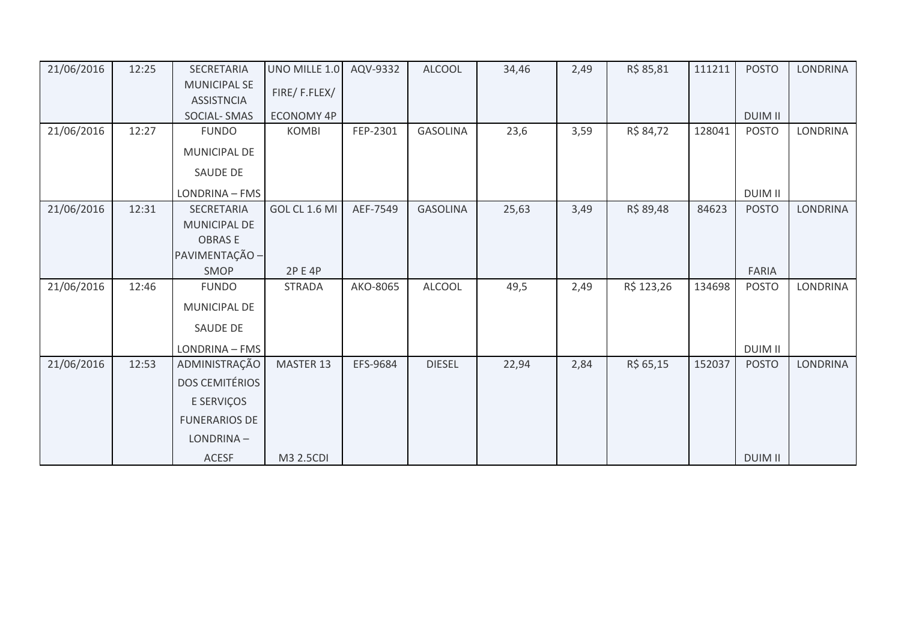| 21/06/2016 | 12:25 | SECRETARIA            | UNO MILLE 1.0     | AQV-9332 | <b>ALCOOL</b>   | 34,46 | 2,49 | R\$ 85,81  | 111211 | <b>POSTO</b>   | LONDRINA        |
|------------|-------|-----------------------|-------------------|----------|-----------------|-------|------|------------|--------|----------------|-----------------|
|            |       | <b>MUNICIPAL SE</b>   |                   |          |                 |       |      |            |        |                |                 |
|            |       | <b>ASSISTNCIA</b>     | FIRE/F.FLEX/      |          |                 |       |      |            |        |                |                 |
|            |       | <b>SOCIAL-SMAS</b>    | <b>ECONOMY 4P</b> |          |                 |       |      |            |        | <b>DUIM II</b> |                 |
| 21/06/2016 | 12:27 | <b>FUNDO</b>          | <b>KOMBI</b>      | FEP-2301 | <b>GASOLINA</b> | 23,6  | 3,59 | R\$ 84,72  | 128041 | <b>POSTO</b>   | <b>LONDRINA</b> |
|            |       | <b>MUNICIPAL DE</b>   |                   |          |                 |       |      |            |        |                |                 |
|            |       | SAUDE DE              |                   |          |                 |       |      |            |        |                |                 |
|            |       | LONDRINA - FMS        |                   |          |                 |       |      |            |        | <b>DUIM II</b> |                 |
| 21/06/2016 | 12:31 | SECRETARIA            | GOL CL 1.6 MI     | AEF-7549 | <b>GASOLINA</b> | 25,63 | 3,49 | R\$ 89,48  | 84623  | <b>POSTO</b>   | LONDRINA        |
|            |       | <b>MUNICIPAL DE</b>   |                   |          |                 |       |      |            |        |                |                 |
|            |       | <b>OBRASE</b>         |                   |          |                 |       |      |            |        |                |                 |
|            |       | PAVIMENTAÇÃO -        |                   |          |                 |       |      |            |        |                |                 |
|            |       | SMOP                  | 2P E 4P           |          |                 |       |      |            |        | FARIA          |                 |
| 21/06/2016 | 12:46 | <b>FUNDO</b>          | <b>STRADA</b>     | AKO-8065 | <b>ALCOOL</b>   | 49,5  | 2,49 | R\$ 123,26 | 134698 | <b>POSTO</b>   | <b>LONDRINA</b> |
|            |       | MUNICIPAL DE          |                   |          |                 |       |      |            |        |                |                 |
|            |       | SAUDE DE              |                   |          |                 |       |      |            |        |                |                 |
|            |       | LONDRINA - FMS        |                   |          |                 |       |      |            |        | <b>DUIM II</b> |                 |
| 21/06/2016 | 12:53 | ADMINISTRAÇÃO         | MASTER 13         | EFS-9684 | <b>DIESEL</b>   | 22,94 | 2,84 | R\$ 65,15  | 152037 | <b>POSTO</b>   | <b>LONDRINA</b> |
|            |       | <b>DOS CEMITÉRIOS</b> |                   |          |                 |       |      |            |        |                |                 |
|            |       | E SERVIÇOS            |                   |          |                 |       |      |            |        |                |                 |
|            |       | <b>FUNERARIOS DE</b>  |                   |          |                 |       |      |            |        |                |                 |
|            |       | LONDRINA-             |                   |          |                 |       |      |            |        |                |                 |
|            |       | <b>ACESF</b>          | M3 2.5CDI         |          |                 |       |      |            |        | <b>DUIM II</b> |                 |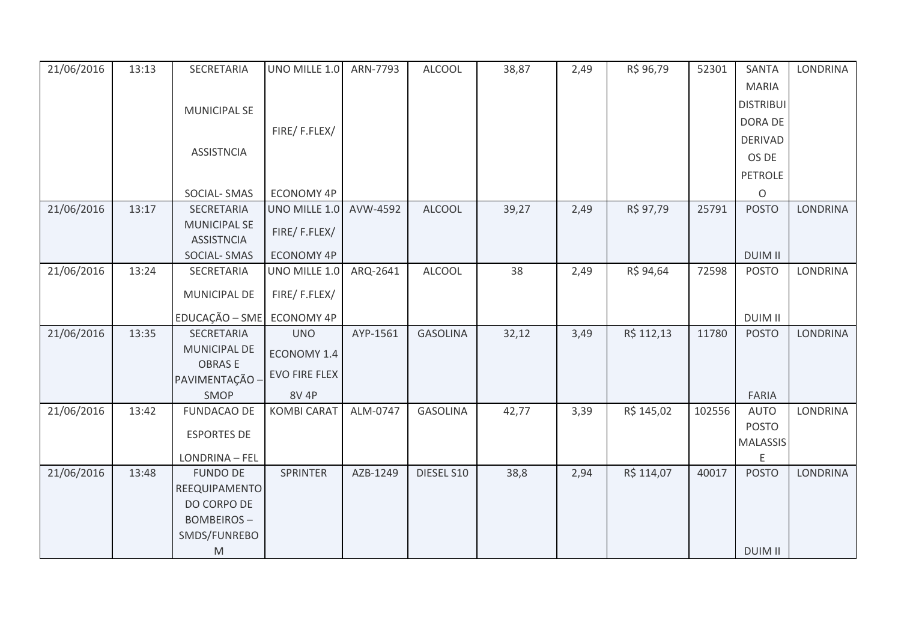| 21/06/2016 | 13:13 | SECRETARIA                               | UNO MILLE 1.0        | ARN-7793 | <b>ALCOOL</b>   | 38,87 | 2,49 | R\$ 96,79  | 52301  | <b>SANTA</b>     | <b>LONDRINA</b> |
|------------|-------|------------------------------------------|----------------------|----------|-----------------|-------|------|------------|--------|------------------|-----------------|
|            |       |                                          |                      |          |                 |       |      |            |        | <b>MARIA</b>     |                 |
|            |       | <b>MUNICIPAL SE</b>                      |                      |          |                 |       |      |            |        | <b>DISTRIBUI</b> |                 |
|            |       |                                          |                      |          |                 |       |      |            |        | DORA DE          |                 |
|            |       |                                          | FIRE/F.FLEX/         |          |                 |       |      |            |        | <b>DERIVAD</b>   |                 |
|            |       | <b>ASSISTNCIA</b>                        |                      |          |                 |       |      |            |        | OS DE            |                 |
|            |       |                                          |                      |          |                 |       |      |            |        | PETROLE          |                 |
|            |       | SOCIAL-SMAS                              | ECONOMY 4P           |          |                 |       |      |            |        | $\mathsf O$      |                 |
| 21/06/2016 | 13:17 | SECRETARIA                               | UNO MILLE 1.0        | AVW-4592 | <b>ALCOOL</b>   | 39,27 | 2,49 | R\$ 97,79  | 25791  | <b>POSTO</b>     | <b>LONDRINA</b> |
|            |       | <b>MUNICIPAL SE</b><br><b>ASSISTNCIA</b> | FIRE/F.FLEX/         |          |                 |       |      |            |        |                  |                 |
|            |       | <b>SOCIAL-SMAS</b>                       | <b>ECONOMY 4P</b>    |          |                 |       |      |            |        | <b>DUIM II</b>   |                 |
| 21/06/2016 | 13:24 | SECRETARIA                               | UNO MILLE 1.0        | ARQ-2641 | <b>ALCOOL</b>   | 38    | 2,49 | R\$ 94,64  | 72598  | <b>POSTO</b>     | <b>LONDRINA</b> |
|            |       | MUNICIPAL DE                             | FIRE/F.FLEX/         |          |                 |       |      |            |        |                  |                 |
|            |       | EDUCAÇÃO - SME                           | <b>ECONOMY 4P</b>    |          |                 |       |      |            |        | <b>DUIM II</b>   |                 |
| 21/06/2016 | 13:35 | SECRETARIA                               | <b>UNO</b>           | AYP-1561 | <b>GASOLINA</b> | 32,12 | 3,49 | R\$ 112,13 | 11780  | <b>POSTO</b>     | <b>LONDRINA</b> |
|            |       | MUNICIPAL DE                             | ECONOMY 1.4          |          |                 |       |      |            |        |                  |                 |
|            |       | <b>OBRASE</b><br>PAVIMENTAÇÃO -          | <b>EVO FIRE FLEX</b> |          |                 |       |      |            |        |                  |                 |
|            |       | SMOP                                     | 8V 4P                |          |                 |       |      |            |        | <b>FARIA</b>     |                 |
| 21/06/2016 | 13:42 | <b>FUNDACAO DE</b>                       | <b>KOMBI CARAT</b>   | ALM-0747 | <b>GASOLINA</b> | 42,77 | 3,39 | R\$ 145,02 | 102556 | <b>AUTO</b>      | <b>LONDRINA</b> |
|            |       | <b>ESPORTES DE</b>                       |                      |          |                 |       |      |            |        | <b>POSTO</b>     |                 |
|            |       |                                          |                      |          |                 |       |      |            |        | <b>MALASSIS</b>  |                 |
|            |       | LONDRINA - FEL                           |                      |          |                 |       |      |            |        | E                |                 |
| 21/06/2016 | 13:48 | <b>FUNDO DE</b>                          | <b>SPRINTER</b>      | AZB-1249 | DIESEL S10      | 38,8  | 2,94 | R\$ 114,07 | 40017  | <b>POSTO</b>     | <b>LONDRINA</b> |
|            |       | REEQUIPAMENTO                            |                      |          |                 |       |      |            |        |                  |                 |
|            |       | DO CORPO DE                              |                      |          |                 |       |      |            |        |                  |                 |
|            |       | <b>BOMBEIROS-</b>                        |                      |          |                 |       |      |            |        |                  |                 |
|            |       | SMDS/FUNREBO                             |                      |          |                 |       |      |            |        |                  |                 |
|            |       | M                                        |                      |          |                 |       |      |            |        | <b>DUIM II</b>   |                 |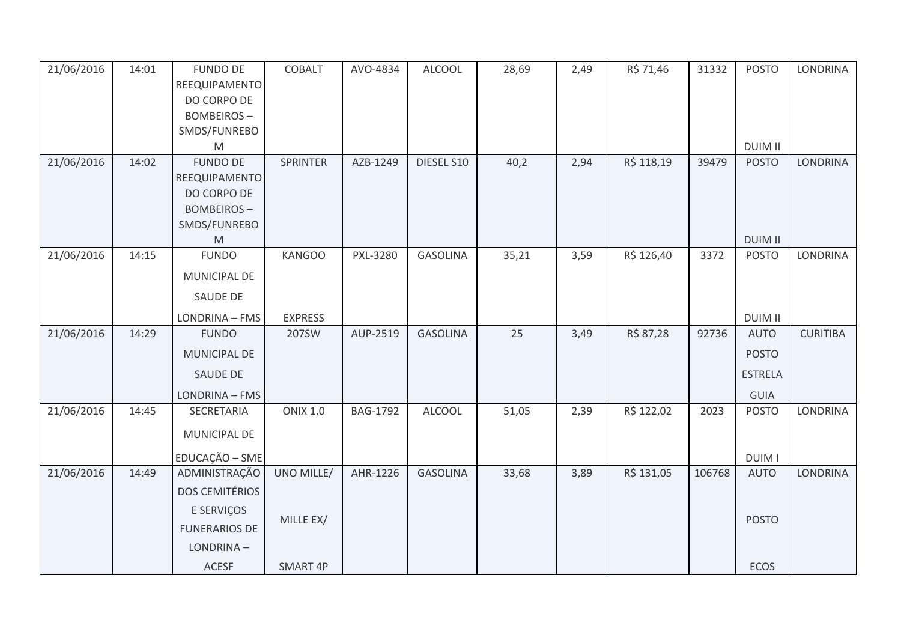| 21/06/2016 | 14:01 | <b>FUNDO DE</b>       | <b>COBALT</b>   | AVO-4834        | <b>ALCOOL</b>   | 28,69 | 2,49 | R\$ 71,46  | 31332  | <b>POSTO</b>   | LONDRINA        |
|------------|-------|-----------------------|-----------------|-----------------|-----------------|-------|------|------------|--------|----------------|-----------------|
|            |       | REEQUIPAMENTO         |                 |                 |                 |       |      |            |        |                |                 |
|            |       | DO CORPO DE           |                 |                 |                 |       |      |            |        |                |                 |
|            |       | <b>BOMBEIROS-</b>     |                 |                 |                 |       |      |            |        |                |                 |
|            |       | SMDS/FUNREBO<br>M     |                 |                 |                 |       |      |            |        | <b>DUIM II</b> |                 |
| 21/06/2016 | 14:02 | <b>FUNDO DE</b>       | SPRINTER        | AZB-1249        | DIESEL S10      | 40,2  | 2,94 | R\$ 118,19 | 39479  | <b>POSTO</b>   | LONDRINA        |
|            |       | REEQUIPAMENTO         |                 |                 |                 |       |      |            |        |                |                 |
|            |       | DO CORPO DE           |                 |                 |                 |       |      |            |        |                |                 |
|            |       | <b>BOMBEIROS-</b>     |                 |                 |                 |       |      |            |        |                |                 |
|            |       | SMDS/FUNREBO          |                 |                 |                 |       |      |            |        |                |                 |
|            |       | M                     |                 |                 |                 |       |      |            |        | <b>DUIM II</b> |                 |
| 21/06/2016 | 14:15 | <b>FUNDO</b>          | <b>KANGOO</b>   | PXL-3280        | <b>GASOLINA</b> | 35,21 | 3,59 | R\$ 126,40 | 3372   | <b>POSTO</b>   | LONDRINA        |
|            |       | MUNICIPAL DE          |                 |                 |                 |       |      |            |        |                |                 |
|            |       | SAUDE DE              |                 |                 |                 |       |      |            |        |                |                 |
|            |       | LONDRINA - FMS        | <b>EXPRESS</b>  |                 |                 |       |      |            |        | <b>DUIM II</b> |                 |
| 21/06/2016 | 14:29 | <b>FUNDO</b>          | 207SW           | AUP-2519        | <b>GASOLINA</b> | 25    | 3,49 | R\$ 87,28  | 92736  | <b>AUTO</b>    | <b>CURITIBA</b> |
|            |       | <b>MUNICIPAL DE</b>   |                 |                 |                 |       |      |            |        | <b>POSTO</b>   |                 |
|            |       | SAUDE DE              |                 |                 |                 |       |      |            |        | <b>ESTRELA</b> |                 |
|            |       | LONDRINA - FMS        |                 |                 |                 |       |      |            |        | <b>GUIA</b>    |                 |
| 21/06/2016 | 14:45 | SECRETARIA            | <b>ONIX 1.0</b> | <b>BAG-1792</b> | <b>ALCOOL</b>   | 51,05 | 2,39 | R\$ 122,02 | 2023   | <b>POSTO</b>   | LONDRINA        |
|            |       | MUNICIPAL DE          |                 |                 |                 |       |      |            |        |                |                 |
|            |       | EDUCAÇÃO - SME        |                 |                 |                 |       |      |            |        | <b>DUIM I</b>  |                 |
| 21/06/2016 | 14:49 | ADMINISTRAÇÃO         | UNO MILLE/      | AHR-1226        | <b>GASOLINA</b> | 33,68 | 3,89 | R\$ 131,05 | 106768 | <b>AUTO</b>    | <b>LONDRINA</b> |
|            |       | <b>DOS CEMITÉRIOS</b> |                 |                 |                 |       |      |            |        |                |                 |
|            |       | E SERVIÇOS            |                 |                 |                 |       |      |            |        |                |                 |
|            |       | <b>FUNERARIOS DE</b>  | MILLE EX/       |                 |                 |       |      |            |        | <b>POSTO</b>   |                 |
|            |       | LONDRINA-             |                 |                 |                 |       |      |            |        |                |                 |
|            |       | ACESF                 | SMART 4P        |                 |                 |       |      |            |        | <b>ECOS</b>    |                 |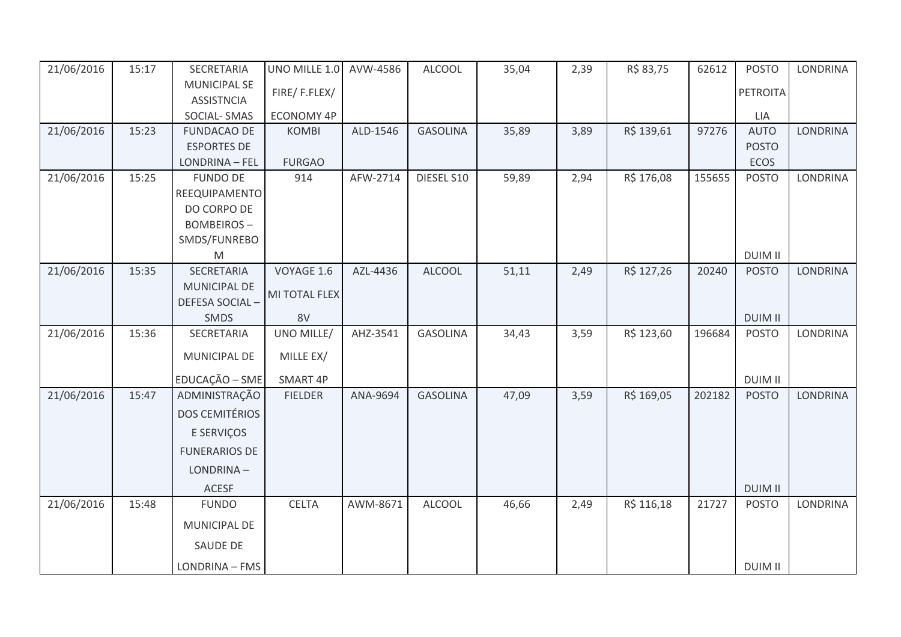| 21/06/2016 | 15:17 | SECRETARIA                               | UNO MILLE 1.0     | AVW-4586 | <b>ALCOOL</b>   | 35,04 | 2,39 | R\$ 83,75  | 62612  | <b>POSTO</b>    | <b>LONDRINA</b> |
|------------|-------|------------------------------------------|-------------------|----------|-----------------|-------|------|------------|--------|-----------------|-----------------|
|            |       | <b>MUNICIPAL SE</b><br><b>ASSISTNCIA</b> | FIRE/F.FLEX/      |          |                 |       |      |            |        | <b>PETROITA</b> |                 |
|            |       | SOCIAL-SMAS                              | <b>ECONOMY 4P</b> |          |                 |       |      |            |        | <b>LIA</b>      |                 |
| 21/06/2016 | 15:23 | <b>FUNDACAO DE</b>                       | <b>KOMBI</b>      | ALD-1546 | <b>GASOLINA</b> | 35,89 | 3,89 | R\$ 139,61 | 97276  | <b>AUTO</b>     | <b>LONDRINA</b> |
|            |       | <b>ESPORTES DE</b>                       |                   |          |                 |       |      |            |        | <b>POSTO</b>    |                 |
|            |       | LONDRINA - FEL                           | <b>FURGAO</b>     |          |                 |       |      |            |        | ECOS            |                 |
| 21/06/2016 | 15:25 | <b>FUNDO DE</b>                          | 914               | AFW-2714 | DIESEL S10      | 59,89 | 2,94 | R\$ 176,08 | 155655 | <b>POSTO</b>    | LONDRINA        |
|            |       | REEQUIPAMENTO                            |                   |          |                 |       |      |            |        |                 |                 |
|            |       | DO CORPO DE                              |                   |          |                 |       |      |            |        |                 |                 |
|            |       | <b>BOMBEIROS-</b>                        |                   |          |                 |       |      |            |        |                 |                 |
|            |       | SMDS/FUNREBO                             |                   |          |                 |       |      |            |        |                 |                 |
|            |       | M                                        |                   |          |                 |       |      |            |        | <b>DUIM II</b>  |                 |
| 21/06/2016 | 15:35 | <b>SECRETARIA</b>                        | VOYAGE 1.6        | AZL-4436 | <b>ALCOOL</b>   | 51,11 | 2,49 | R\$ 127,26 | 20240  | <b>POSTO</b>    | <b>LONDRINA</b> |
|            |       | MUNICIPAL DE                             | MI TOTAL FLEX     |          |                 |       |      |            |        |                 |                 |
|            |       | <b>DEFESA SOCIAL-</b>                    |                   |          |                 |       |      |            |        |                 |                 |
|            |       | SMDS                                     | 8V                |          |                 |       |      |            |        | <b>DUIM II</b>  |                 |
| 21/06/2016 | 15:36 | SECRETARIA                               | UNO MILLE/        | AHZ-3541 | <b>GASOLINA</b> | 34,43 | 3,59 | R\$ 123,60 | 196684 | <b>POSTO</b>    | LONDRINA        |
|            |       | <b>MUNICIPAL DE</b>                      | MILLE EX/         |          |                 |       |      |            |        |                 |                 |
|            |       | EDUCAÇÃO - SME                           | SMART 4P          |          |                 |       |      |            |        | <b>DUIM II</b>  |                 |
| 21/06/2016 | 15:47 | ADMINISTRAÇÃO                            | <b>FIELDER</b>    | ANA-9694 | <b>GASOLINA</b> | 47,09 | 3,59 | R\$ 169,05 | 202182 | <b>POSTO</b>    | <b>LONDRINA</b> |
|            |       | <b>DOS CEMITÉRIOS</b>                    |                   |          |                 |       |      |            |        |                 |                 |
|            |       | E SERVIÇOS                               |                   |          |                 |       |      |            |        |                 |                 |
|            |       | <b>FUNERARIOS DE</b>                     |                   |          |                 |       |      |            |        |                 |                 |
|            |       | LONDRINA-                                |                   |          |                 |       |      |            |        |                 |                 |
|            |       | <b>ACESF</b>                             |                   |          |                 |       |      |            |        | <b>DUIM II</b>  |                 |
| 21/06/2016 | 15:48 | <b>FUNDO</b>                             | <b>CELTA</b>      | AWM-8671 | <b>ALCOOL</b>   | 46,66 | 2,49 | R\$ 116,18 | 21727  | <b>POSTO</b>    | <b>LONDRINA</b> |
|            |       | MUNICIPAL DE                             |                   |          |                 |       |      |            |        |                 |                 |
|            |       | SAUDE DE                                 |                   |          |                 |       |      |            |        |                 |                 |
|            |       | LONDRINA - FMS                           |                   |          |                 |       |      |            |        | <b>DUIM II</b>  |                 |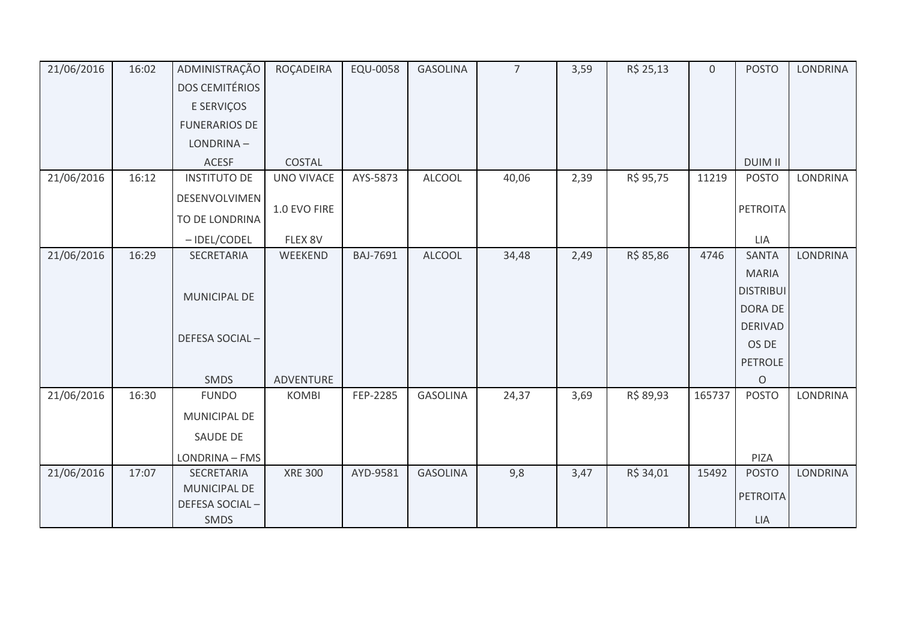| 21/06/2016 | 16:02 | ADMINISTRAÇÃO         | ROÇADEIRA         | EQU-0058 | <b>GASOLINA</b> | $\overline{7}$ | 3,59 | R\$ 25,13 | $\overline{0}$ | <b>POSTO</b>     | <b>LONDRINA</b> |
|------------|-------|-----------------------|-------------------|----------|-----------------|----------------|------|-----------|----------------|------------------|-----------------|
|            |       | <b>DOS CEMITÉRIOS</b> |                   |          |                 |                |      |           |                |                  |                 |
|            |       | E SERVIÇOS            |                   |          |                 |                |      |           |                |                  |                 |
|            |       | <b>FUNERARIOS DE</b>  |                   |          |                 |                |      |           |                |                  |                 |
|            |       | LONDRINA-             |                   |          |                 |                |      |           |                |                  |                 |
|            |       | <b>ACESF</b>          | COSTAL            |          |                 |                |      |           |                | <b>DUIM II</b>   |                 |
| 21/06/2016 | 16:12 | <b>INSTITUTO DE</b>   | <b>UNO VIVACE</b> | AYS-5873 | <b>ALCOOL</b>   | 40,06          | 2,39 | R\$ 95,75 | 11219          | <b>POSTO</b>     | LONDRINA        |
|            |       | DESENVOLVIMEN         |                   |          |                 |                |      |           |                |                  |                 |
|            |       | TO DE LONDRINA        | 1.0 EVO FIRE      |          |                 |                |      |           |                | <b>PETROITA</b>  |                 |
|            |       | - IDEL/CODEL          | FLEX 8V           |          |                 |                |      |           |                | LIA              |                 |
| 21/06/2016 | 16:29 | SECRETARIA            | WEEKEND           | BAJ-7691 | <b>ALCOOL</b>   | 34,48          | 2,49 | R\$ 85,86 | 4746           | <b>SANTA</b>     | LONDRINA        |
|            |       |                       |                   |          |                 |                |      |           |                | <b>MARIA</b>     |                 |
|            |       | <b>MUNICIPAL DE</b>   |                   |          |                 |                |      |           |                | <b>DISTRIBUI</b> |                 |
|            |       |                       |                   |          |                 |                |      |           |                | DORA DE          |                 |
|            |       | DEFESA SOCIAL-        |                   |          |                 |                |      |           |                | <b>DERIVAD</b>   |                 |
|            |       |                       |                   |          |                 |                |      |           |                | OS DE            |                 |
|            |       |                       |                   |          |                 |                |      |           |                | <b>PETROLE</b>   |                 |
|            |       | SMDS                  | ADVENTURE         |          |                 |                |      |           |                | $\Omega$         |                 |
| 21/06/2016 | 16:30 | <b>FUNDO</b>          | <b>KOMBI</b>      | FEP-2285 | <b>GASOLINA</b> | 24,37          | 3,69 | R\$ 89,93 | 165737         | <b>POSTO</b>     | LONDRINA        |
|            |       | <b>MUNICIPAL DE</b>   |                   |          |                 |                |      |           |                |                  |                 |
|            |       | SAUDE DE              |                   |          |                 |                |      |           |                |                  |                 |
|            |       | LONDRINA - FMS        |                   |          |                 |                |      |           |                | PIZA             |                 |
| 21/06/2016 | 17:07 | SECRETARIA            | <b>XRE 300</b>    | AYD-9581 | <b>GASOLINA</b> | 9,8            | 3,47 | R\$ 34,01 | 15492          | <b>POSTO</b>     | <b>LONDRINA</b> |
|            |       | <b>MUNICIPAL DE</b>   |                   |          |                 |                |      |           |                | <b>PETROITA</b>  |                 |
|            |       | DEFESA SOCIAL-        |                   |          |                 |                |      |           |                |                  |                 |
|            |       | SMDS                  |                   |          |                 |                |      |           |                | ${\sf LIA}$      |                 |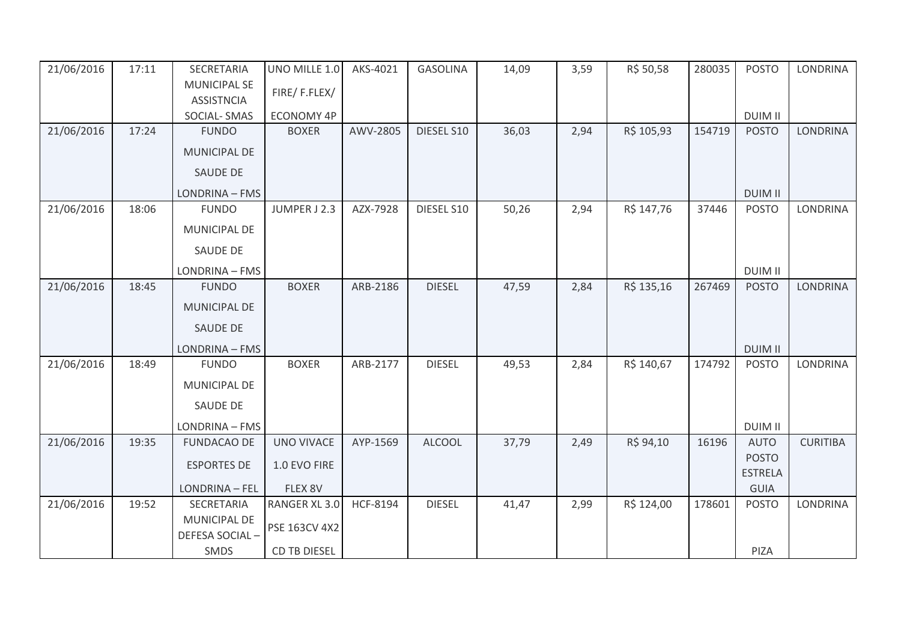| 21/06/2016 | 17:11 | SECRETARIA          | UNO MILLE 1.0       | AKS-4021 | <b>GASOLINA</b> | 14,09 | 3,59 | R\$ 50,58  | 280035 | <b>POSTO</b>   | <b>LONDRINA</b> |
|------------|-------|---------------------|---------------------|----------|-----------------|-------|------|------------|--------|----------------|-----------------|
|            |       | <b>MUNICIPAL SE</b> | FIRE/F.FLEX/        |          |                 |       |      |            |        |                |                 |
|            |       | <b>ASSISTNCIA</b>   |                     |          |                 |       |      |            |        |                |                 |
|            |       | SOCIAL-SMAS         | <b>ECONOMY 4P</b>   |          |                 |       |      |            |        | <b>DUIM II</b> |                 |
| 21/06/2016 | 17:24 | <b>FUNDO</b>        | <b>BOXER</b>        | AWV-2805 | DIESEL S10      | 36,03 | 2,94 | R\$ 105,93 | 154719 | <b>POSTO</b>   | <b>LONDRINA</b> |
|            |       | MUNICIPAL DE        |                     |          |                 |       |      |            |        |                |                 |
|            |       | <b>SAUDE DE</b>     |                     |          |                 |       |      |            |        |                |                 |
|            |       | LONDRINA - FMS      |                     |          |                 |       |      |            |        | <b>DUIM II</b> |                 |
| 21/06/2016 | 18:06 | <b>FUNDO</b>        | JUMPER J 2.3        | AZX-7928 | DIESEL S10      | 50,26 | 2,94 | R\$ 147,76 | 37446  | <b>POSTO</b>   | <b>LONDRINA</b> |
|            |       | <b>MUNICIPAL DE</b> |                     |          |                 |       |      |            |        |                |                 |
|            |       | <b>SAUDE DE</b>     |                     |          |                 |       |      |            |        |                |                 |
|            |       | LONDRINA - FMS      |                     |          |                 |       |      |            |        | <b>DUIM II</b> |                 |
| 21/06/2016 | 18:45 | <b>FUNDO</b>        | <b>BOXER</b>        | ARB-2186 | <b>DIESEL</b>   | 47,59 | 2,84 | R\$ 135,16 | 267469 | <b>POSTO</b>   | <b>LONDRINA</b> |
|            |       | <b>MUNICIPAL DE</b> |                     |          |                 |       |      |            |        |                |                 |
|            |       | <b>SAUDE DE</b>     |                     |          |                 |       |      |            |        |                |                 |
|            |       | LONDRINA - FMS      |                     |          |                 |       |      |            |        | <b>DUIM II</b> |                 |
| 21/06/2016 | 18:49 | <b>FUNDO</b>        | <b>BOXER</b>        | ARB-2177 | <b>DIESEL</b>   | 49,53 | 2,84 | R\$ 140,67 | 174792 | <b>POSTO</b>   | <b>LONDRINA</b> |
|            |       | MUNICIPAL DE        |                     |          |                 |       |      |            |        |                |                 |
|            |       | SAUDE DE            |                     |          |                 |       |      |            |        |                |                 |
|            |       | LONDRINA - FMS      |                     |          |                 |       |      |            |        | <b>DUIM II</b> |                 |
| 21/06/2016 | 19:35 | <b>FUNDACAO DE</b>  | <b>UNO VIVACE</b>   | AYP-1569 | <b>ALCOOL</b>   | 37,79 | 2,49 | R\$ 94,10  | 16196  | <b>AUTO</b>    | <b>CURITIBA</b> |
|            |       | <b>ESPORTES DE</b>  | 1.0 EVO FIRE        |          |                 |       |      |            |        | <b>POSTO</b>   |                 |
|            |       |                     |                     |          |                 |       |      |            |        | <b>ESTRELA</b> |                 |
|            |       | LONDRINA - FEL      | FLEX 8V             |          |                 |       |      |            |        | GUIA           |                 |
| 21/06/2016 | 19:52 | SECRETARIA          | RANGER XL 3.0       | HCF-8194 | <b>DIESEL</b>   | 41,47 | 2,99 | R\$ 124,00 | 178601 | <b>POSTO</b>   | <b>LONDRINA</b> |
|            |       | <b>MUNICIPAL DE</b> | PSE 163CV 4X2       |          |                 |       |      |            |        |                |                 |
|            |       | DEFESA SOCIAL-      |                     |          |                 |       |      |            |        |                |                 |
|            |       | SMDS                | <b>CD TB DIESEL</b> |          |                 |       |      |            |        | PIZA           |                 |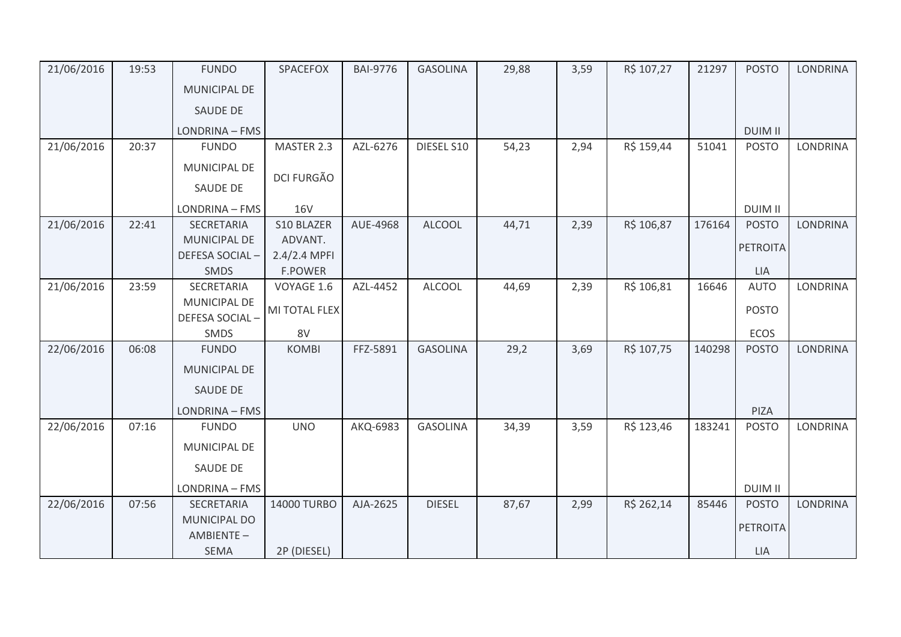| 21/06/2016 | 19:53 | <b>FUNDO</b>               | SPACEFOX          | <b>BAI-9776</b> | <b>GASOLINA</b> | 29,88 | 3,59 | R\$ 107,27 | 21297  | <b>POSTO</b>    | LONDRINA        |
|------------|-------|----------------------------|-------------------|-----------------|-----------------|-------|------|------------|--------|-----------------|-----------------|
|            |       | <b>MUNICIPAL DE</b>        |                   |                 |                 |       |      |            |        |                 |                 |
|            |       | <b>SAUDE DE</b>            |                   |                 |                 |       |      |            |        |                 |                 |
|            |       | LONDRINA - FMS             |                   |                 |                 |       |      |            |        | <b>DUIM II</b>  |                 |
| 21/06/2016 | 20:37 | <b>FUNDO</b>               | MASTER 2.3        | AZL-6276        | DIESEL S10      | 54,23 | 2,94 | R\$ 159,44 | 51041  | <b>POSTO</b>    | LONDRINA        |
|            |       | MUNICIPAL DE               |                   |                 |                 |       |      |            |        |                 |                 |
|            |       | SAUDE DE                   | <b>DCI FURGÃO</b> |                 |                 |       |      |            |        |                 |                 |
|            |       | LONDRINA - FMS             | <b>16V</b>        |                 |                 |       |      |            |        | <b>DUIM II</b>  |                 |
| 21/06/2016 | 22:41 | SECRETARIA                 | S10 BLAZER        | AUE-4968        | <b>ALCOOL</b>   | 44,71 | 2,39 | R\$ 106,87 | 176164 | <b>POSTO</b>    | <b>LONDRINA</b> |
|            |       | MUNICIPAL DE               | ADVANT.           |                 |                 |       |      |            |        | <b>PETROITA</b> |                 |
|            |       | DEFESA SOCIAL-             | 2.4/2.4 MPFI      |                 |                 |       |      |            |        |                 |                 |
|            |       | <b>SMDS</b>                | <b>F.POWER</b>    |                 |                 |       |      |            |        | <b>LIA</b>      |                 |
| 21/06/2016 | 23:59 | SECRETARIA<br>MUNICIPAL DE | VOYAGE 1.6        | AZL-4452        | <b>ALCOOL</b>   | 44,69 | 2,39 | R\$ 106,81 | 16646  | <b>AUTO</b>     | LONDRINA        |
|            |       | DEFESA SOCIAL-             | MI TOTAL FLEX     |                 |                 |       |      |            |        | <b>POSTO</b>    |                 |
|            |       | SMDS                       | 8V                |                 |                 |       |      |            |        | ECOS            |                 |
| 22/06/2016 | 06:08 | <b>FUNDO</b>               | <b>KOMBI</b>      | FFZ-5891        | <b>GASOLINA</b> | 29,2  | 3,69 | R\$ 107,75 | 140298 | <b>POSTO</b>    | LONDRINA        |
|            |       | <b>MUNICIPAL DE</b>        |                   |                 |                 |       |      |            |        |                 |                 |
|            |       | <b>SAUDE DE</b>            |                   |                 |                 |       |      |            |        |                 |                 |
|            |       | LONDRINA - FMS             |                   |                 |                 |       |      |            |        | PIZA            |                 |
| 22/06/2016 | 07:16 | <b>FUNDO</b>               | <b>UNO</b>        | AKQ-6983        | <b>GASOLINA</b> | 34,39 | 3,59 | R\$ 123,46 | 183241 | <b>POSTO</b>    | LONDRINA        |
|            |       | MUNICIPAL DE               |                   |                 |                 |       |      |            |        |                 |                 |
|            |       | SAUDE DE                   |                   |                 |                 |       |      |            |        |                 |                 |
|            |       | LONDRINA - FMS             |                   |                 |                 |       |      |            |        | <b>DUIM II</b>  |                 |
| 22/06/2016 | 07:56 | SECRETARIA                 | 14000 TURBO       | AJA-2625        | <b>DIESEL</b>   | 87,67 | 2,99 | R\$ 262,14 | 85446  | <b>POSTO</b>    | LONDRINA        |
|            |       | <b>MUNICIPAL DO</b>        |                   |                 |                 |       |      |            |        | <b>PETROITA</b> |                 |
|            |       | AMBIENTE-                  |                   |                 |                 |       |      |            |        |                 |                 |
|            |       | <b>SEMA</b>                | 2P (DIESEL)       |                 |                 |       |      |            |        | <b>LIA</b>      |                 |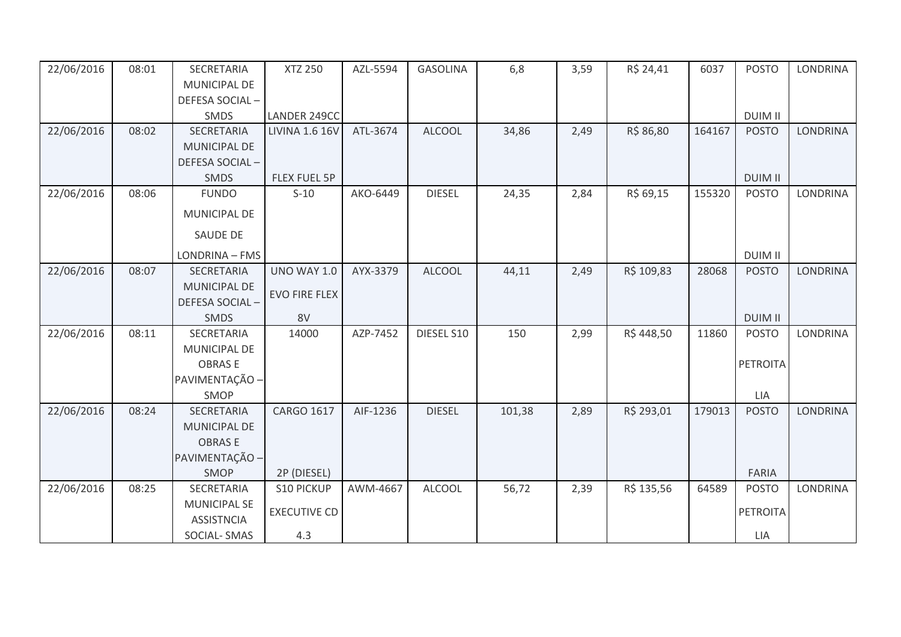| 22/06/2016 | 08:01 | SECRETARIA                               | <b>XTZ 250</b>        | AZL-5594 | <b>GASOLINA</b> | 6,8    | 3,59 | R\$ 24,41  | 6037   | <b>POSTO</b>    | <b>LONDRINA</b> |
|------------|-------|------------------------------------------|-----------------------|----------|-----------------|--------|------|------------|--------|-----------------|-----------------|
|            |       | MUNICIPAL DE                             |                       |          |                 |        |      |            |        |                 |                 |
|            |       | DEFESA SOCIAL-                           |                       |          |                 |        |      |            |        |                 |                 |
|            |       | SMDS                                     | LANDER 249CC          |          |                 |        |      |            |        | <b>DUIM II</b>  |                 |
| 22/06/2016 | 08:02 | SECRETARIA                               | <b>LIVINA 1.6 16V</b> | ATL-3674 | <b>ALCOOL</b>   | 34,86  | 2,49 | R\$ 86,80  | 164167 | <b>POSTO</b>    | LONDRINA        |
|            |       | MUNICIPAL DE                             |                       |          |                 |        |      |            |        |                 |                 |
|            |       | DEFESA SOCIAL-                           |                       |          |                 |        |      |            |        |                 |                 |
|            |       | <b>SMDS</b>                              | FLEX FUEL 5P          |          |                 |        |      |            |        | <b>DUIM II</b>  |                 |
| 22/06/2016 | 08:06 | <b>FUNDO</b>                             | $S-10$                | AKO-6449 | <b>DIESEL</b>   | 24,35  | 2,84 | R\$ 69,15  | 155320 | <b>POSTO</b>    | LONDRINA        |
|            |       | MUNICIPAL DE                             |                       |          |                 |        |      |            |        |                 |                 |
|            |       | <b>SAUDE DE</b>                          |                       |          |                 |        |      |            |        |                 |                 |
|            |       | LONDRINA - FMS                           |                       |          |                 |        |      |            |        | <b>DUIM II</b>  |                 |
| 22/06/2016 | 08:07 | <b>SECRETARIA</b>                        | <b>UNO WAY 1.0</b>    | AYX-3379 | <b>ALCOOL</b>   | 44,11  | 2,49 | R\$ 109,83 | 28068  | <b>POSTO</b>    | <b>LONDRINA</b> |
|            |       | <b>MUNICIPAL DE</b>                      | <b>EVO FIRE FLEX</b>  |          |                 |        |      |            |        |                 |                 |
|            |       | DEFESA SOCIAL-                           |                       |          |                 |        |      |            |        |                 |                 |
|            |       | <b>SMDS</b>                              | 8V                    |          |                 |        |      |            |        | <b>DUIM II</b>  |                 |
| 22/06/2016 | 08:11 | SECRETARIA                               | 14000                 | AZP-7452 | DIESEL S10      | 150    | 2,99 | R\$448,50  | 11860  | <b>POSTO</b>    | <b>LONDRINA</b> |
|            |       | MUNICIPAL DE                             |                       |          |                 |        |      |            |        |                 |                 |
|            |       | <b>OBRASE</b>                            |                       |          |                 |        |      |            |        | <b>PETROITA</b> |                 |
|            |       | PAVIMENTAÇÃO -                           |                       |          |                 |        |      |            |        |                 |                 |
|            |       | SMOP                                     |                       |          |                 |        |      |            |        | LIA             |                 |
| 22/06/2016 | 08:24 | SECRETARIA                               | <b>CARGO 1617</b>     | AIF-1236 | <b>DIESEL</b>   | 101,38 | 2,89 | R\$ 293,01 | 179013 | <b>POSTO</b>    | <b>LONDRINA</b> |
|            |       | MUNICIPAL DE                             |                       |          |                 |        |      |            |        |                 |                 |
|            |       | <b>OBRASE</b>                            |                       |          |                 |        |      |            |        |                 |                 |
|            |       | PAVIMENTAÇÃO -                           |                       |          |                 |        |      |            |        |                 |                 |
|            |       | SMOP                                     | 2P (DIESEL)           |          |                 |        |      |            |        | <b>FARIA</b>    |                 |
| 22/06/2016 | 08:25 | SECRETARIA                               | <b>S10 PICKUP</b>     | AWM-4667 | <b>ALCOOL</b>   | 56,72  | 2,39 | R\$ 135,56 | 64589  | <b>POSTO</b>    | <b>LONDRINA</b> |
|            |       | <b>MUNICIPAL SE</b><br><b>ASSISTNCIA</b> | <b>EXECUTIVE CD</b>   |          |                 |        |      |            |        | <b>PETROITA</b> |                 |
|            |       | SOCIAL-SMAS                              | 4.3                   |          |                 |        |      |            |        | LIA             |                 |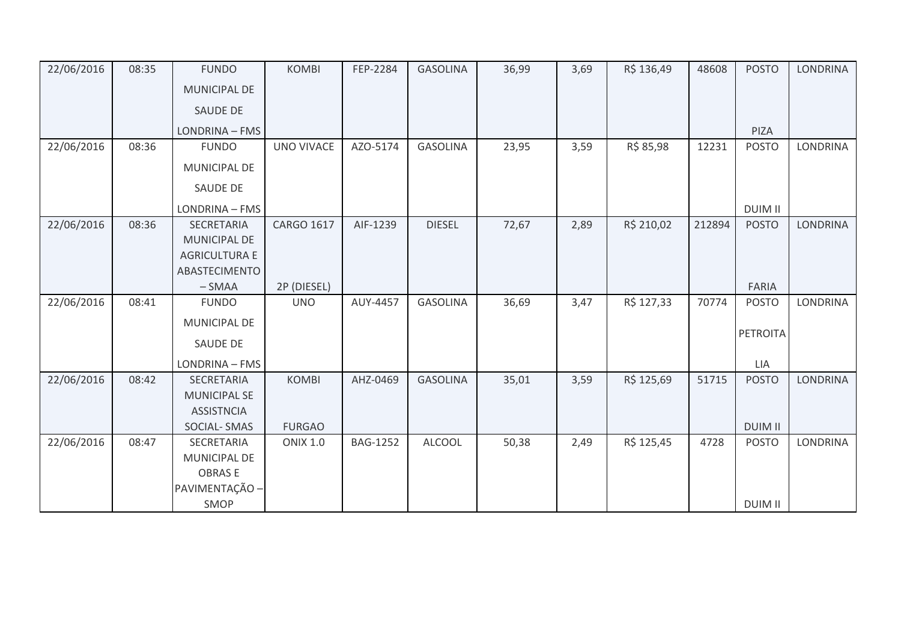| 22/06/2016 | 08:35 | <b>FUNDO</b>         | <b>KOMBI</b>      | FEP-2284        | <b>GASOLINA</b> | 36,99 | 3,69 | R\$ 136,49 | 48608  | <b>POSTO</b>    | <b>LONDRINA</b> |
|------------|-------|----------------------|-------------------|-----------------|-----------------|-------|------|------------|--------|-----------------|-----------------|
|            |       | <b>MUNICIPAL DE</b>  |                   |                 |                 |       |      |            |        |                 |                 |
|            |       | <b>SAUDE DE</b>      |                   |                 |                 |       |      |            |        |                 |                 |
|            |       | LONDRINA - FMS       |                   |                 |                 |       |      |            |        | PIZA            |                 |
| 22/06/2016 | 08:36 | <b>FUNDO</b>         | <b>UNO VIVACE</b> | AZO-5174        | <b>GASOLINA</b> | 23,95 | 3,59 | R\$ 85,98  | 12231  | <b>POSTO</b>    | <b>LONDRINA</b> |
|            |       | MUNICIPAL DE         |                   |                 |                 |       |      |            |        |                 |                 |
|            |       | <b>SAUDE DE</b>      |                   |                 |                 |       |      |            |        |                 |                 |
|            |       | LONDRINA - FMS       |                   |                 |                 |       |      |            |        | <b>DUIM II</b>  |                 |
| 22/06/2016 | 08:36 | SECRETARIA           | CARGO 1617        | AIF-1239        | <b>DIESEL</b>   | 72,67 | 2,89 | R\$ 210,02 | 212894 | <b>POSTO</b>    | <b>LONDRINA</b> |
|            |       | <b>MUNICIPAL DE</b>  |                   |                 |                 |       |      |            |        |                 |                 |
|            |       | <b>AGRICULTURA E</b> |                   |                 |                 |       |      |            |        |                 |                 |
|            |       | ABASTECIMENTO        |                   |                 |                 |       |      |            |        |                 |                 |
|            |       | $-SMAA$              | 2P (DIESEL)       |                 |                 |       |      |            |        | <b>FARIA</b>    |                 |
| 22/06/2016 | 08:41 | <b>FUNDO</b>         | <b>UNO</b>        | AUY-4457        | <b>GASOLINA</b> | 36,69 | 3,47 | R\$ 127,33 | 70774  | <b>POSTO</b>    | <b>LONDRINA</b> |
|            |       | MUNICIPAL DE         |                   |                 |                 |       |      |            |        |                 |                 |
|            |       | SAUDE DE             |                   |                 |                 |       |      |            |        | <b>PETROITA</b> |                 |
|            |       | LONDRINA - FMS       |                   |                 |                 |       |      |            |        | LIA             |                 |
| 22/06/2016 | 08:42 | SECRETARIA           | <b>KOMBI</b>      | AHZ-0469        | <b>GASOLINA</b> | 35,01 | 3,59 | R\$ 125,69 | 51715  | <b>POSTO</b>    | <b>LONDRINA</b> |
|            |       | <b>MUNICIPAL SE</b>  |                   |                 |                 |       |      |            |        |                 |                 |
|            |       | <b>ASSISTNCIA</b>    |                   |                 |                 |       |      |            |        |                 |                 |
|            |       | <b>SOCIAL-SMAS</b>   | <b>FURGAO</b>     |                 |                 |       |      |            |        | <b>DUIM II</b>  |                 |
| 22/06/2016 | 08:47 | SECRETARIA           | <b>ONIX 1.0</b>   | <b>BAG-1252</b> | <b>ALCOOL</b>   | 50,38 | 2,49 | R\$ 125,45 | 4728   | <b>POSTO</b>    | LONDRINA        |
|            |       | MUNICIPAL DE         |                   |                 |                 |       |      |            |        |                 |                 |
|            |       | <b>OBRASE</b>        |                   |                 |                 |       |      |            |        |                 |                 |
|            |       | PAVIMENTAÇÃO -       |                   |                 |                 |       |      |            |        |                 |                 |
|            |       | SMOP                 |                   |                 |                 |       |      |            |        | <b>DUIM II</b>  |                 |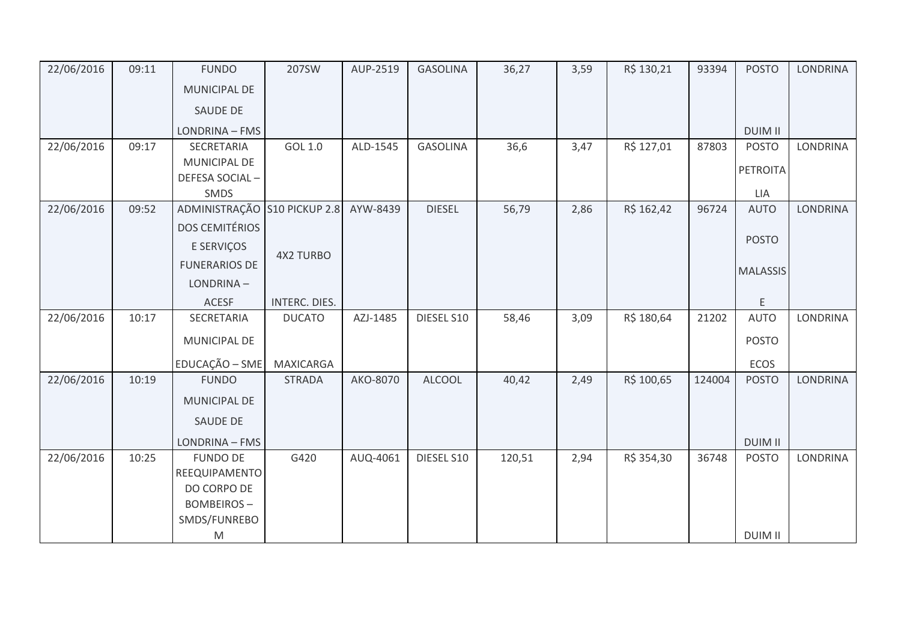| 22/06/2016 | 09:11 | <b>FUNDO</b>                 | 207SW            | AUP-2519 | <b>GASOLINA</b> | 36,27  | 3,59 | R\$ 130,21 | 93394  | <b>POSTO</b>    | <b>LONDRINA</b> |
|------------|-------|------------------------------|------------------|----------|-----------------|--------|------|------------|--------|-----------------|-----------------|
|            |       | <b>MUNICIPAL DE</b>          |                  |          |                 |        |      |            |        |                 |                 |
|            |       | SAUDE DE                     |                  |          |                 |        |      |            |        |                 |                 |
|            |       | LONDRINA - FMS               |                  |          |                 |        |      |            |        | <b>DUIM II</b>  |                 |
| 22/06/2016 | 09:17 | SECRETARIA                   | GOL 1.0          | ALD-1545 | <b>GASOLINA</b> | 36,6   | 3,47 | R\$ 127,01 | 87803  | <b>POSTO</b>    | LONDRINA        |
|            |       | MUNICIPAL DE                 |                  |          |                 |        |      |            |        | PETROITA        |                 |
|            |       | DEFESA SOCIAL-               |                  |          |                 |        |      |            |        |                 |                 |
|            |       | SMDS                         |                  |          |                 |        |      |            |        | LIA             |                 |
| 22/06/2016 | 09:52 | ADMINISTRAÇÃO S10 PICKUP 2.8 |                  | AYW-8439 | <b>DIESEL</b>   | 56,79  | 2,86 | R\$ 162,42 | 96724  | <b>AUTO</b>     | <b>LONDRINA</b> |
|            |       | <b>DOS CEMITÉRIOS</b>        |                  |          |                 |        |      |            |        |                 |                 |
|            |       | E SERVIÇOS                   |                  |          |                 |        |      |            |        | <b>POSTO</b>    |                 |
|            |       | <b>FUNERARIOS DE</b>         | <b>4X2 TURBO</b> |          |                 |        |      |            |        | <b>MALASSIS</b> |                 |
|            |       | LONDRINA-                    |                  |          |                 |        |      |            |        |                 |                 |
|            |       | <b>ACESF</b>                 | INTERC. DIES.    |          |                 |        |      |            |        | E               |                 |
| 22/06/2016 | 10:17 | SECRETARIA                   | <b>DUCATO</b>    | AZJ-1485 | DIESEL S10      | 58,46  | 3,09 | R\$ 180,64 | 21202  | <b>AUTO</b>     | LONDRINA        |
|            |       | MUNICIPAL DE                 |                  |          |                 |        |      |            |        | <b>POSTO</b>    |                 |
|            |       | EDUCAÇÃO - SME               | <b>MAXICARGA</b> |          |                 |        |      |            |        | <b>ECOS</b>     |                 |
| 22/06/2016 | 10:19 | <b>FUNDO</b>                 | <b>STRADA</b>    | AKO-8070 | <b>ALCOOL</b>   | 40,42  | 2,49 | R\$ 100,65 | 124004 | <b>POSTO</b>    | <b>LONDRINA</b> |
|            |       | MUNICIPAL DE                 |                  |          |                 |        |      |            |        |                 |                 |
|            |       | SAUDE DE                     |                  |          |                 |        |      |            |        |                 |                 |
|            |       | LONDRINA - FMS               |                  |          |                 |        |      |            |        | <b>DUIM II</b>  |                 |
| 22/06/2016 | 10:25 | <b>FUNDO DE</b>              | G420             | AUQ-4061 | DIESEL S10      | 120,51 | 2,94 | R\$ 354,30 | 36748  | <b>POSTO</b>    | <b>LONDRINA</b> |
|            |       | REEQUIPAMENTO                |                  |          |                 |        |      |            |        |                 |                 |
|            |       | DO CORPO DE                  |                  |          |                 |        |      |            |        |                 |                 |
|            |       | <b>BOMBEIROS-</b>            |                  |          |                 |        |      |            |        |                 |                 |
|            |       | SMDS/FUNREBO                 |                  |          |                 |        |      |            |        |                 |                 |
|            |       | M                            |                  |          |                 |        |      |            |        | <b>DUIM II</b>  |                 |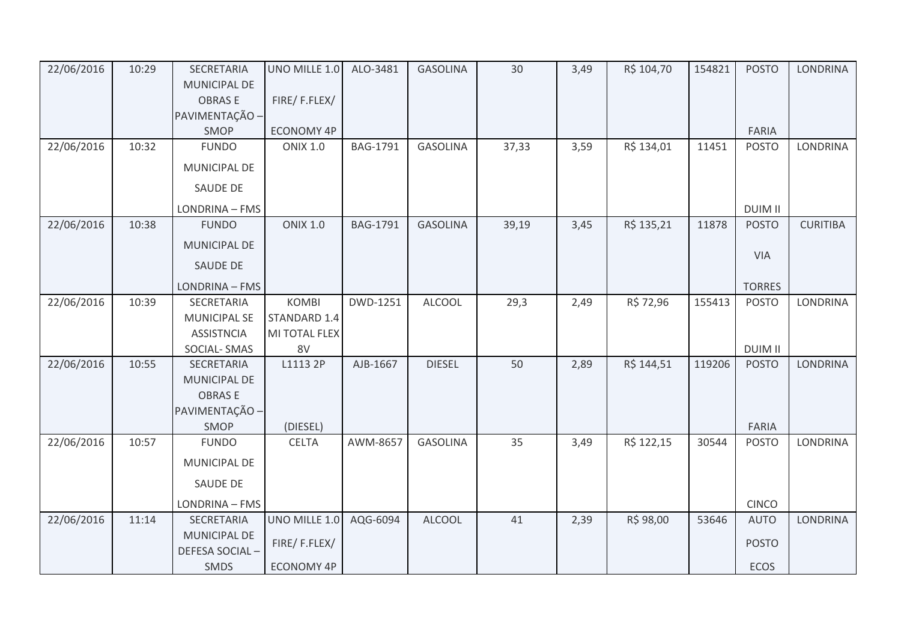| 22/06/2016 | 10:29 | <b>SECRETARIA</b>   | UNO MILLE 1.0     | ALO-3481        | <b>GASOLINA</b> | 30    | 3,49 | R\$ 104,70 | 154821 | <b>POSTO</b>   | <b>LONDRINA</b> |
|------------|-------|---------------------|-------------------|-----------------|-----------------|-------|------|------------|--------|----------------|-----------------|
|            |       | MUNICIPAL DE        |                   |                 |                 |       |      |            |        |                |                 |
|            |       | <b>OBRASE</b>       | FIRE/F.FLEX/      |                 |                 |       |      |            |        |                |                 |
|            |       | PAVIMENTAÇÃO -      |                   |                 |                 |       |      |            |        |                |                 |
|            |       | SMOP                | ECONOMY 4P        |                 |                 |       |      |            |        | FARIA          |                 |
| 22/06/2016 | 10:32 | <b>FUNDO</b>        | <b>ONIX 1.0</b>   | BAG-1791        | <b>GASOLINA</b> | 37,33 | 3,59 | R\$ 134,01 | 11451  | <b>POSTO</b>   | <b>LONDRINA</b> |
|            |       | MUNICIPAL DE        |                   |                 |                 |       |      |            |        |                |                 |
|            |       | SAUDE DE            |                   |                 |                 |       |      |            |        |                |                 |
|            |       | LONDRINA - FMS      |                   |                 |                 |       |      |            |        | <b>DUIM II</b> |                 |
| 22/06/2016 | 10:38 | <b>FUNDO</b>        | <b>ONIX 1.0</b>   | <b>BAG-1791</b> | <b>GASOLINA</b> | 39,19 | 3,45 | R\$ 135,21 | 11878  | <b>POSTO</b>   | <b>CURITIBA</b> |
|            |       | MUNICIPAL DE        |                   |                 |                 |       |      |            |        | <b>VIA</b>     |                 |
|            |       | <b>SAUDE DE</b>     |                   |                 |                 |       |      |            |        |                |                 |
|            |       | LONDRINA - FMS      |                   |                 |                 |       |      |            |        | <b>TORRES</b>  |                 |
| 22/06/2016 | 10:39 | <b>SECRETARIA</b>   | <b>KOMBI</b>      | DWD-1251        | <b>ALCOOL</b>   | 29,3  | 2,49 | R\$ 72,96  | 155413 | <b>POSTO</b>   | <b>LONDRINA</b> |
|            |       | <b>MUNICIPAL SE</b> | STANDARD 1.4      |                 |                 |       |      |            |        |                |                 |
|            |       | <b>ASSISTNCIA</b>   | MI TOTAL FLEX     |                 |                 |       |      |            |        |                |                 |
|            |       | SOCIAL-SMAS         | 8V                |                 |                 |       |      |            |        | <b>DUIM II</b> |                 |
| 22/06/2016 | 10:55 | <b>SECRETARIA</b>   | L1113 2P          | AJB-1667        | <b>DIESEL</b>   | 50    | 2,89 | R\$ 144,51 | 119206 | <b>POSTO</b>   | <b>LONDRINA</b> |
|            |       | MUNICIPAL DE        |                   |                 |                 |       |      |            |        |                |                 |
|            |       | <b>OBRASE</b>       |                   |                 |                 |       |      |            |        |                |                 |
|            |       | PAVIMENTAÇÃO -      |                   |                 |                 |       |      |            |        |                |                 |
|            |       | SMOP                | (DIESEL)          |                 |                 |       |      |            |        | FARIA          |                 |
| 22/06/2016 | 10:57 | <b>FUNDO</b>        | <b>CELTA</b>      | AWM-8657        | <b>GASOLINA</b> | 35    | 3,49 | R\$ 122,15 | 30544  | <b>POSTO</b>   | <b>LONDRINA</b> |
|            |       | <b>MUNICIPAL DE</b> |                   |                 |                 |       |      |            |        |                |                 |
|            |       | SAUDE DE            |                   |                 |                 |       |      |            |        |                |                 |
|            |       | LONDRINA - FMS      |                   |                 |                 |       |      |            |        | <b>CINCO</b>   |                 |
| 22/06/2016 | 11:14 | SECRETARIA          | UNO MILLE 1.0     | AQG-6094        | <b>ALCOOL</b>   | 41    | 2,39 | R\$ 98,00  | 53646  | <b>AUTO</b>    | <b>LONDRINA</b> |
|            |       | MUNICIPAL DE        | FIRE/F.FLEX/      |                 |                 |       |      |            |        | <b>POSTO</b>   |                 |
|            |       | DEFESA SOCIAL-      |                   |                 |                 |       |      |            |        |                |                 |
|            |       | SMDS                | <b>ECONOMY 4P</b> |                 |                 |       |      |            |        | ECOS           |                 |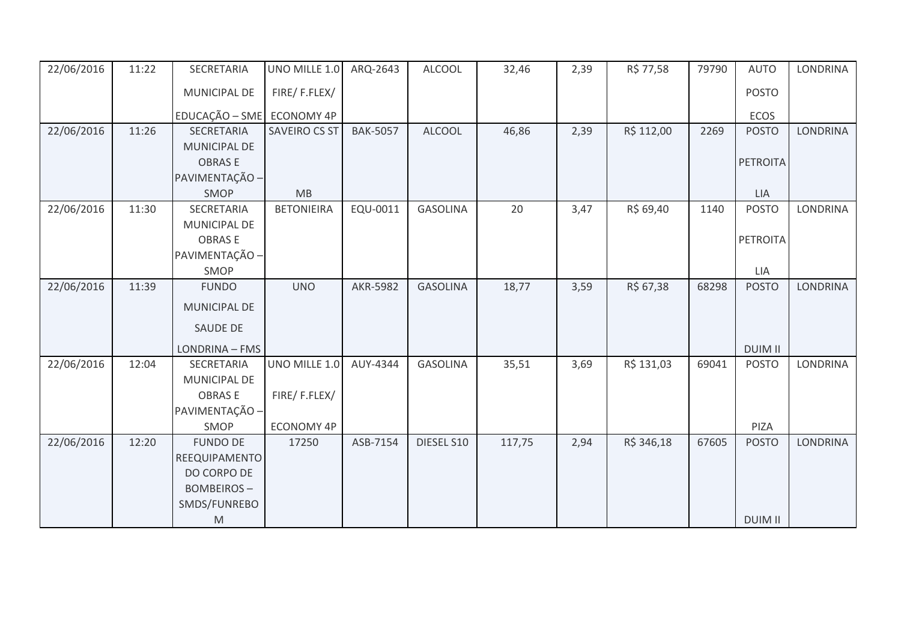| 22/06/2016 | 11:22 | SECRETARIA        | UNO MILLE 1.0        | ARQ-2643        | <b>ALCOOL</b>   | 32,46  | 2,39 | R\$ 77,58  | 79790 | <b>AUTO</b>     | <b>LONDRINA</b> |
|------------|-------|-------------------|----------------------|-----------------|-----------------|--------|------|------------|-------|-----------------|-----------------|
|            |       | MUNICIPAL DE      | FIRE/F.FLEX/         |                 |                 |        |      |            |       | <b>POSTO</b>    |                 |
|            |       | EDUCAÇÃO - SME    | ECONOMY 4P           |                 |                 |        |      |            |       | ECOS            |                 |
| 22/06/2016 | 11:26 | SECRETARIA        | <b>SAVEIRO CS ST</b> | <b>BAK-5057</b> | <b>ALCOOL</b>   | 46,86  | 2,39 | R\$ 112,00 | 2269  | <b>POSTO</b>    | <b>LONDRINA</b> |
|            |       | MUNICIPAL DE      |                      |                 |                 |        |      |            |       |                 |                 |
|            |       | <b>OBRASE</b>     |                      |                 |                 |        |      |            |       | <b>PETROITA</b> |                 |
|            |       | PAVIMENTAÇÃO -    |                      |                 |                 |        |      |            |       |                 |                 |
|            |       | SMOP              | MB                   |                 |                 |        |      |            |       | <b>LIA</b>      |                 |
| 22/06/2016 | 11:30 | SECRETARIA        | <b>BETONIEIRA</b>    | EQU-0011        | <b>GASOLINA</b> | 20     | 3,47 | R\$ 69,40  | 1140  | <b>POSTO</b>    | <b>LONDRINA</b> |
|            |       | MUNICIPAL DE      |                      |                 |                 |        |      |            |       |                 |                 |
|            |       | <b>OBRASE</b>     |                      |                 |                 |        |      |            |       | PETROITA        |                 |
|            |       | PAVIMENTAÇÃO -    |                      |                 |                 |        |      |            |       |                 |                 |
|            |       | SMOP              |                      |                 |                 |        |      |            |       | LIA             |                 |
| 22/06/2016 | 11:39 | <b>FUNDO</b>      | <b>UNO</b>           | <b>AKR-5982</b> | <b>GASOLINA</b> | 18,77  | 3,59 | R\$ 67,38  | 68298 | <b>POSTO</b>    | <b>LONDRINA</b> |
|            |       | MUNICIPAL DE      |                      |                 |                 |        |      |            |       |                 |                 |
|            |       | <b>SAUDE DE</b>   |                      |                 |                 |        |      |            |       |                 |                 |
|            |       | LONDRINA - FMS    |                      |                 |                 |        |      |            |       | <b>DUIM II</b>  |                 |
| 22/06/2016 | 12:04 | SECRETARIA        | UNO MILLE 1.0        | AUY-4344        | <b>GASOLINA</b> | 35,51  | 3,69 | R\$ 131,03 | 69041 | <b>POSTO</b>    | <b>LONDRINA</b> |
|            |       | MUNICIPAL DE      |                      |                 |                 |        |      |            |       |                 |                 |
|            |       | <b>OBRASE</b>     | FIRE/F.FLEX/         |                 |                 |        |      |            |       |                 |                 |
|            |       | PAVIMENTAÇÃO -    |                      |                 |                 |        |      |            |       |                 |                 |
|            |       | SMOP              | <b>ECONOMY 4P</b>    |                 |                 |        |      |            |       | PIZA            |                 |
| 22/06/2016 | 12:20 | <b>FUNDO DE</b>   | 17250                | ASB-7154        | DIESEL S10      | 117,75 | 2,94 | R\$ 346,18 | 67605 | <b>POSTO</b>    | <b>LONDRINA</b> |
|            |       | REEQUIPAMENTO     |                      |                 |                 |        |      |            |       |                 |                 |
|            |       | DO CORPO DE       |                      |                 |                 |        |      |            |       |                 |                 |
|            |       | <b>BOMBEIROS-</b> |                      |                 |                 |        |      |            |       |                 |                 |
|            |       | SMDS/FUNREBO      |                      |                 |                 |        |      |            |       |                 |                 |
|            |       | ${\sf M}$         |                      |                 |                 |        |      |            |       | <b>DUIM II</b>  |                 |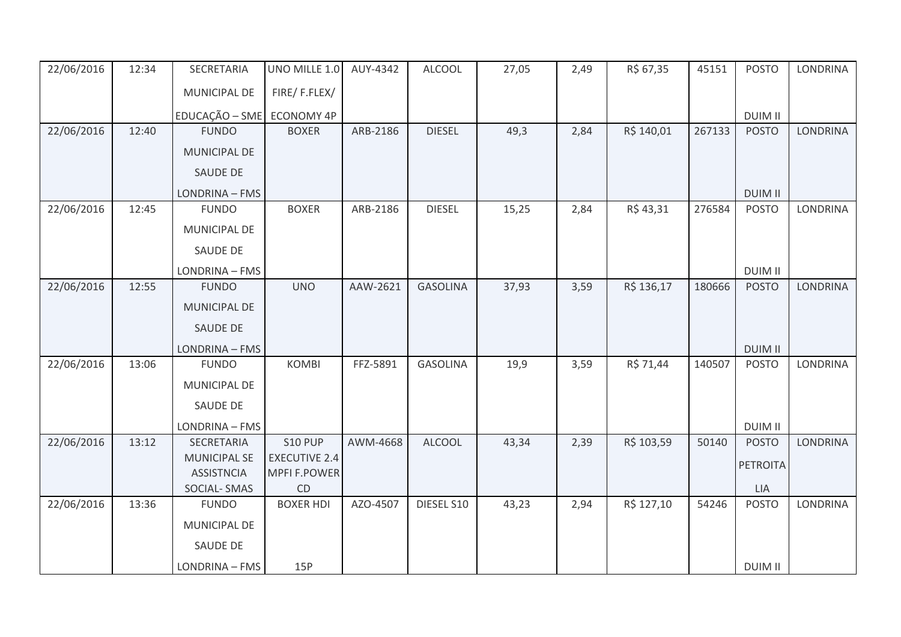| 22/06/2016 | 12:34 | SECRETARIA                       | UNO MILLE 1.0             | AUY-4342 | <b>ALCOOL</b>   | 27,05 | 2,49 | R\$ 67,35  | 45151  | <b>POSTO</b>    | <b>LONDRINA</b> |
|------------|-------|----------------------------------|---------------------------|----------|-----------------|-------|------|------------|--------|-----------------|-----------------|
|            |       | MUNICIPAL DE                     | FIRE/F.FLEX/              |          |                 |       |      |            |        |                 |                 |
|            |       | EDUCAÇÃO - SME                   | <b>ECONOMY 4P</b>         |          |                 |       |      |            |        | <b>DUIM II</b>  |                 |
| 22/06/2016 | 12:40 | <b>FUNDO</b>                     | <b>BOXER</b>              | ARB-2186 | <b>DIESEL</b>   | 49,3  | 2,84 | R\$ 140,01 | 267133 | <b>POSTO</b>    | <b>LONDRINA</b> |
|            |       | <b>MUNICIPAL DE</b>              |                           |          |                 |       |      |            |        |                 |                 |
|            |       | SAUDE DE                         |                           |          |                 |       |      |            |        |                 |                 |
|            |       | LONDRINA - FMS                   |                           |          |                 |       |      |            |        | <b>DUIM II</b>  |                 |
| 22/06/2016 | 12:45 | <b>FUNDO</b>                     | <b>BOXER</b>              | ARB-2186 | <b>DIESEL</b>   | 15,25 | 2,84 | R\$43,31   | 276584 | <b>POSTO</b>    | LONDRINA        |
|            |       | MUNICIPAL DE                     |                           |          |                 |       |      |            |        |                 |                 |
|            |       | SAUDE DE                         |                           |          |                 |       |      |            |        |                 |                 |
|            |       | LONDRINA - FMS                   |                           |          |                 |       |      |            |        | <b>DUIM II</b>  |                 |
| 22/06/2016 | 12:55 | <b>FUNDO</b>                     | <b>UNO</b>                | AAW-2621 | <b>GASOLINA</b> | 37,93 | 3,59 | R\$ 136,17 | 180666 | <b>POSTO</b>    | <b>LONDRINA</b> |
|            |       | MUNICIPAL DE                     |                           |          |                 |       |      |            |        |                 |                 |
|            |       | <b>SAUDE DE</b>                  |                           |          |                 |       |      |            |        |                 |                 |
|            |       | LONDRINA - FMS                   |                           |          |                 |       |      |            |        | <b>DUIM II</b>  |                 |
| 22/06/2016 | 13:06 | <b>FUNDO</b>                     | <b>KOMBI</b>              | FFZ-5891 | <b>GASOLINA</b> | 19,9  | 3,59 | R\$ 71,44  | 140507 | <b>POSTO</b>    | <b>LONDRINA</b> |
|            |       | MUNICIPAL DE                     |                           |          |                 |       |      |            |        |                 |                 |
|            |       | <b>SAUDE DE</b>                  |                           |          |                 |       |      |            |        |                 |                 |
|            |       | LONDRINA - FMS                   |                           |          |                 |       |      |            |        | <b>DUIM II</b>  |                 |
| 22/06/2016 | 13:12 | SECRETARIA                       | <b>S10 PUP</b>            | AWM-4668 | <b>ALCOOL</b>   | 43,34 | 2,39 | R\$ 103,59 | 50140  | <b>POSTO</b>    | LONDRINA        |
|            |       | <b>MUNICIPAL SE</b>              | <b>EXECUTIVE 2.4</b>      |          |                 |       |      |            |        | <b>PETROITA</b> |                 |
|            |       | <b>ASSISTNCIA</b><br>SOCIAL-SMAS | <b>MPFI F.POWER</b><br>CD |          |                 |       |      |            |        | <b>LIA</b>      |                 |
| 22/06/2016 | 13:36 | <b>FUNDO</b>                     | <b>BOXER HDI</b>          | AZO-4507 | DIESEL S10      | 43,23 | 2,94 | R\$ 127,10 | 54246  | <b>POSTO</b>    | LONDRINA        |
|            |       | MUNICIPAL DE                     |                           |          |                 |       |      |            |        |                 |                 |
|            |       | SAUDE DE                         |                           |          |                 |       |      |            |        |                 |                 |
|            |       | LONDRINA - FMS                   | 15P                       |          |                 |       |      |            |        | <b>DUIM II</b>  |                 |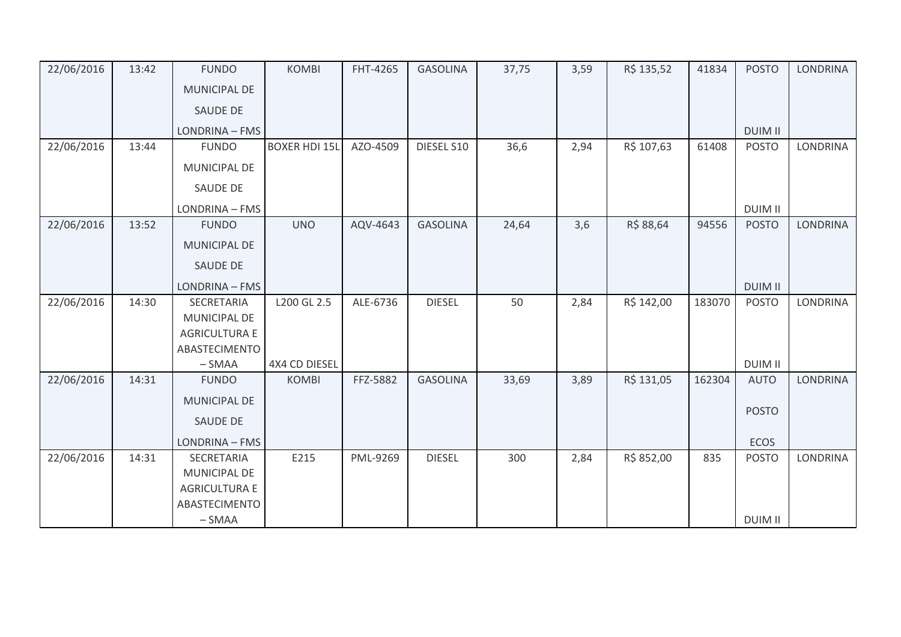| 22/06/2016 | 13:42 | <b>FUNDO</b>         | <b>KOMBI</b>         | FHT-4265 | <b>GASOLINA</b> | 37,75 | 3,59 | R\$ 135,52 | 41834  | <b>POSTO</b>   | <b>LONDRINA</b> |
|------------|-------|----------------------|----------------------|----------|-----------------|-------|------|------------|--------|----------------|-----------------|
|            |       | <b>MUNICIPAL DE</b>  |                      |          |                 |       |      |            |        |                |                 |
|            |       | SAUDE DE             |                      |          |                 |       |      |            |        |                |                 |
|            |       | LONDRINA - FMS       |                      |          |                 |       |      |            |        | <b>DUIM II</b> |                 |
| 22/06/2016 | 13:44 | <b>FUNDO</b>         | <b>BOXER HDI 15L</b> | AZO-4509 | DIESEL S10      | 36,6  | 2,94 | R\$ 107,63 | 61408  | <b>POSTO</b>   | LONDRINA        |
|            |       | MUNICIPAL DE         |                      |          |                 |       |      |            |        |                |                 |
|            |       | <b>SAUDE DE</b>      |                      |          |                 |       |      |            |        |                |                 |
|            |       | LONDRINA - FMS       |                      |          |                 |       |      |            |        | <b>DUIM II</b> |                 |
| 22/06/2016 | 13:52 | <b>FUNDO</b>         | <b>UNO</b>           | AQV-4643 | <b>GASOLINA</b> | 24,64 | 3,6  | R\$ 88,64  | 94556  | <b>POSTO</b>   | <b>LONDRINA</b> |
|            |       | MUNICIPAL DE         |                      |          |                 |       |      |            |        |                |                 |
|            |       | <b>SAUDE DE</b>      |                      |          |                 |       |      |            |        |                |                 |
|            |       | LONDRINA - FMS       |                      |          |                 |       |      |            |        | <b>DUIM II</b> |                 |
| 22/06/2016 | 14:30 | SECRETARIA           | L200 GL 2.5          | ALE-6736 | <b>DIESEL</b>   | 50    | 2,84 | R\$ 142,00 | 183070 | <b>POSTO</b>   | LONDRINA        |
|            |       | <b>MUNICIPAL DE</b>  |                      |          |                 |       |      |            |        |                |                 |
|            |       | <b>AGRICULTURA E</b> |                      |          |                 |       |      |            |        |                |                 |
|            |       | ABASTECIMENTO        |                      |          |                 |       |      |            |        |                |                 |
|            |       | $-SMAA$              | 4X4 CD DIESEL        |          | <b>GASOLINA</b> |       |      |            |        | <b>DUIM II</b> | <b>LONDRINA</b> |
| 22/06/2016 | 14:31 | <b>FUNDO</b>         | <b>KOMBI</b>         | FFZ-5882 |                 | 33,69 | 3,89 | R\$ 131,05 | 162304 | <b>AUTO</b>    |                 |
|            |       | <b>MUNICIPAL DE</b>  |                      |          |                 |       |      |            |        | <b>POSTO</b>   |                 |
|            |       | SAUDE DE             |                      |          |                 |       |      |            |        |                |                 |
|            |       | LONDRINA - FMS       |                      |          |                 |       |      |            |        | <b>ECOS</b>    |                 |
| 22/06/2016 | 14:31 | SECRETARIA           | E215                 | PML-9269 | <b>DIESEL</b>   | 300   | 2,84 | R\$ 852,00 | 835    | <b>POSTO</b>   | <b>LONDRINA</b> |
|            |       | <b>MUNICIPAL DE</b>  |                      |          |                 |       |      |            |        |                |                 |
|            |       | <b>AGRICULTURA E</b> |                      |          |                 |       |      |            |        |                |                 |
|            |       | ABASTECIMENTO        |                      |          |                 |       |      |            |        |                |                 |
|            |       | $-SMAA$              |                      |          |                 |       |      |            |        | <b>DUIM II</b> |                 |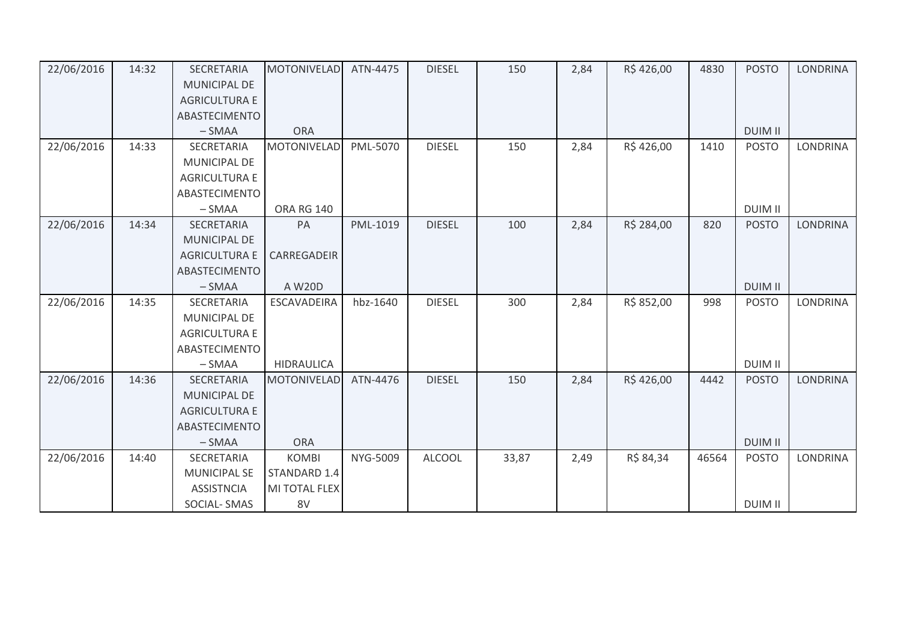| 22/06/2016 | 14:32 | <b>SECRETARIA</b>    | <b>MOTONIVELAD</b> | ATN-4475 | <b>DIESEL</b> | 150   | 2,84 | R\$426,00  | 4830  | <b>POSTO</b>   | <b>LONDRINA</b> |
|------------|-------|----------------------|--------------------|----------|---------------|-------|------|------------|-------|----------------|-----------------|
|            |       | <b>MUNICIPAL DE</b>  |                    |          |               |       |      |            |       |                |                 |
|            |       | <b>AGRICULTURA E</b> |                    |          |               |       |      |            |       |                |                 |
|            |       | ABASTECIMENTO        |                    |          |               |       |      |            |       |                |                 |
|            |       | $-SMAA$              | <b>ORA</b>         |          |               |       |      |            |       | <b>DUIM II</b> |                 |
| 22/06/2016 | 14:33 | <b>SECRETARIA</b>    | <b>MOTONIVELAD</b> | PML-5070 | <b>DIESEL</b> | 150   | 2,84 | R\$426,00  | 1410  | <b>POSTO</b>   | <b>LONDRINA</b> |
|            |       | <b>MUNICIPAL DE</b>  |                    |          |               |       |      |            |       |                |                 |
|            |       | <b>AGRICULTURA E</b> |                    |          |               |       |      |            |       |                |                 |
|            |       | ABASTECIMENTO        |                    |          |               |       |      |            |       |                |                 |
|            |       | $-SMAA$              | <b>ORA RG 140</b>  |          |               |       |      |            |       | <b>DUIM II</b> |                 |
| 22/06/2016 | 14:34 | SECRETARIA           | PA                 | PML-1019 | <b>DIESEL</b> | 100   | 2,84 | R\$ 284,00 | 820   | <b>POSTO</b>   | <b>LONDRINA</b> |
|            |       | <b>MUNICIPAL DE</b>  |                    |          |               |       |      |            |       |                |                 |
|            |       | <b>AGRICULTURA E</b> | CARREGADEIR        |          |               |       |      |            |       |                |                 |
|            |       | ABASTECIMENTO        |                    |          |               |       |      |            |       |                |                 |
|            |       | $-SMAA$              | A W20D             |          |               |       |      |            |       | <b>DUIM II</b> |                 |
| 22/06/2016 | 14:35 | SECRETARIA           | <b>ESCAVADEIRA</b> | hbz-1640 | <b>DIESEL</b> | 300   | 2,84 | R\$ 852,00 | 998   | <b>POSTO</b>   | <b>LONDRINA</b> |
|            |       | <b>MUNICIPAL DE</b>  |                    |          |               |       |      |            |       |                |                 |
|            |       | <b>AGRICULTURA E</b> |                    |          |               |       |      |            |       |                |                 |
|            |       | ABASTECIMENTO        |                    |          |               |       |      |            |       |                |                 |
|            |       | $-SMAA$              | <b>HIDRAULICA</b>  |          |               |       |      |            |       | <b>DUIM II</b> |                 |
| 22/06/2016 | 14:36 | <b>SECRETARIA</b>    | <b>MOTONIVELAD</b> | ATN-4476 | <b>DIESEL</b> | 150   | 2,84 | R\$426,00  | 4442  | <b>POSTO</b>   | <b>LONDRINA</b> |
|            |       | <b>MUNICIPAL DE</b>  |                    |          |               |       |      |            |       |                |                 |
|            |       | <b>AGRICULTURA E</b> |                    |          |               |       |      |            |       |                |                 |
|            |       | ABASTECIMENTO        |                    |          |               |       |      |            |       |                |                 |
|            |       | $-SMAA$              | <b>ORA</b>         |          |               |       |      |            |       | <b>DUIM II</b> |                 |
| 22/06/2016 | 14:40 | SECRETARIA           | <b>KOMBI</b>       | NYG-5009 | <b>ALCOOL</b> | 33,87 | 2,49 | R\$ 84,34  | 46564 | <b>POSTO</b>   | <b>LONDRINA</b> |
|            |       | <b>MUNICIPAL SE</b>  | STANDARD 1.4       |          |               |       |      |            |       |                |                 |
|            |       | <b>ASSISTNCIA</b>    | MI TOTAL FLEX      |          |               |       |      |            |       |                |                 |
|            |       | SOCIAL-SMAS          | 8V                 |          |               |       |      |            |       | <b>DUIM II</b> |                 |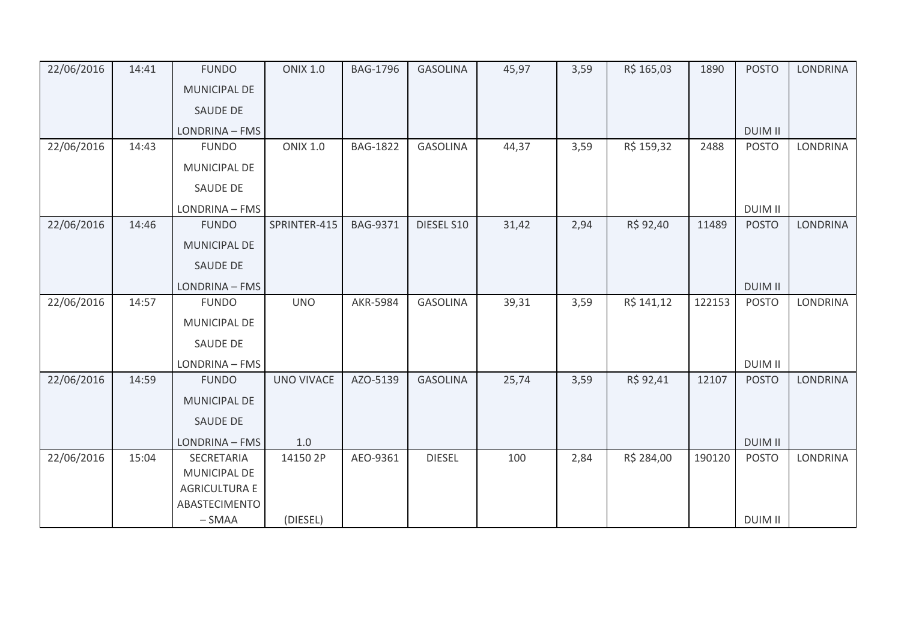| 22/06/2016 | 14:41 | <b>FUNDO</b>                          | <b>ONIX 1.0</b>   | <b>BAG-1796</b> | <b>GASOLINA</b> | 45,97 | 3,59 | R\$ 165,03 | 1890   | <b>POSTO</b>   | <b>LONDRINA</b> |
|------------|-------|---------------------------------------|-------------------|-----------------|-----------------|-------|------|------------|--------|----------------|-----------------|
|            |       | <b>MUNICIPAL DE</b>                   |                   |                 |                 |       |      |            |        |                |                 |
|            |       | <b>SAUDE DE</b>                       |                   |                 |                 |       |      |            |        |                |                 |
|            |       | LONDRINA - FMS                        |                   |                 |                 |       |      |            |        | <b>DUIM II</b> |                 |
| 22/06/2016 | 14:43 | <b>FUNDO</b>                          | <b>ONIX 1.0</b>   | <b>BAG-1822</b> | <b>GASOLINA</b> | 44,37 | 3,59 | R\$ 159,32 | 2488   | <b>POSTO</b>   | <b>LONDRINA</b> |
|            |       | MUNICIPAL DE                          |                   |                 |                 |       |      |            |        |                |                 |
|            |       | <b>SAUDE DE</b>                       |                   |                 |                 |       |      |            |        |                |                 |
|            |       | LONDRINA - FMS                        |                   |                 |                 |       |      |            |        | <b>DUIM II</b> |                 |
| 22/06/2016 | 14:46 | <b>FUNDO</b>                          | SPRINTER-415      | <b>BAG-9371</b> | DIESEL S10      | 31,42 | 2,94 | R\$ 92,40  | 11489  | <b>POSTO</b>   | <b>LONDRINA</b> |
|            |       | MUNICIPAL DE                          |                   |                 |                 |       |      |            |        |                |                 |
|            |       | <b>SAUDE DE</b>                       |                   |                 |                 |       |      |            |        |                |                 |
|            |       | LONDRINA - FMS                        |                   |                 |                 |       |      |            |        | <b>DUIM II</b> |                 |
| 22/06/2016 | 14:57 | <b>FUNDO</b>                          | <b>UNO</b>        | <b>AKR-5984</b> | <b>GASOLINA</b> | 39,31 | 3,59 | R\$ 141,12 | 122153 | <b>POSTO</b>   | <b>LONDRINA</b> |
|            |       | MUNICIPAL DE                          |                   |                 |                 |       |      |            |        |                |                 |
|            |       | SAUDE DE                              |                   |                 |                 |       |      |            |        |                |                 |
|            |       | LONDRINA - FMS                        |                   |                 |                 |       |      |            |        | <b>DUIM II</b> |                 |
| 22/06/2016 | 14:59 | <b>FUNDO</b>                          | <b>UNO VIVACE</b> | AZO-5139        | <b>GASOLINA</b> | 25,74 | 3,59 | R\$ 92,41  | 12107  | <b>POSTO</b>   | <b>LONDRINA</b> |
|            |       | <b>MUNICIPAL DE</b>                   |                   |                 |                 |       |      |            |        |                |                 |
|            |       | SAUDE DE                              |                   |                 |                 |       |      |            |        |                |                 |
|            |       | LONDRINA - FMS                        | 1.0               |                 |                 |       |      |            |        | <b>DUIM II</b> |                 |
| 22/06/2016 | 15:04 | SECRETARIA                            | 14150 2P          | AEO-9361        | <b>DIESEL</b>   | 100   | 2,84 | R\$ 284,00 | 190120 | <b>POSTO</b>   | <b>LONDRINA</b> |
|            |       | MUNICIPAL DE                          |                   |                 |                 |       |      |            |        |                |                 |
|            |       | <b>AGRICULTURA E</b><br>ABASTECIMENTO |                   |                 |                 |       |      |            |        |                |                 |
|            |       | $-SMAA$                               | (DIESEL)          |                 |                 |       |      |            |        | <b>DUIM II</b> |                 |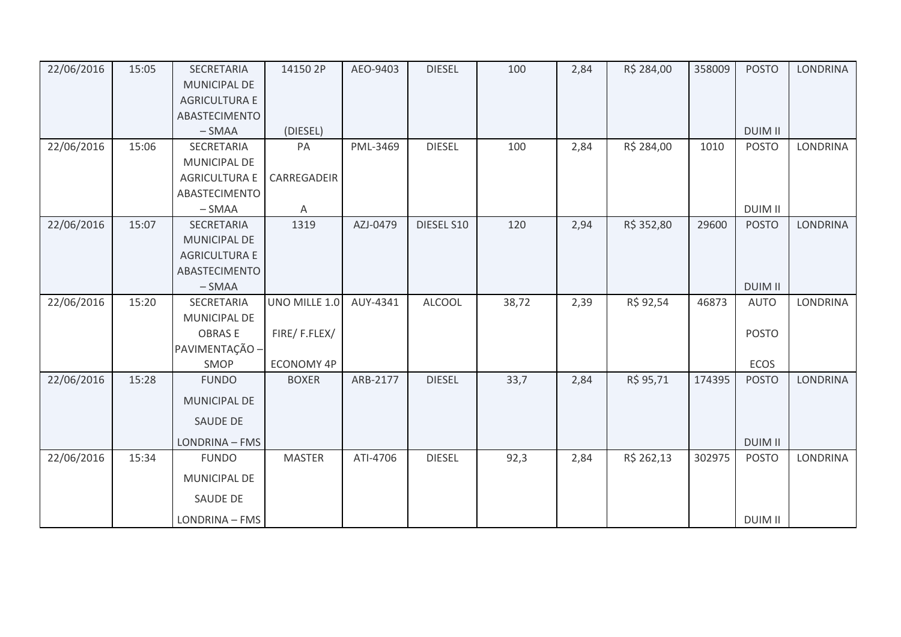| 22/06/2016 | 15:05 | SECRETARIA           | 14150 2P          | AEO-9403 | <b>DIESEL</b> | 100   | 2,84 | R\$ 284,00 | 358009 | <b>POSTO</b>   | <b>LONDRINA</b> |
|------------|-------|----------------------|-------------------|----------|---------------|-------|------|------------|--------|----------------|-----------------|
|            |       | <b>MUNICIPAL DE</b>  |                   |          |               |       |      |            |        |                |                 |
|            |       | <b>AGRICULTURA E</b> |                   |          |               |       |      |            |        |                |                 |
|            |       | ABASTECIMENTO        |                   |          |               |       |      |            |        |                |                 |
|            |       | $-SMAA$              | (DIESEL)          |          |               |       |      |            |        | <b>DUIM II</b> |                 |
| 22/06/2016 | 15:06 | SECRETARIA           | PA                | PML-3469 | <b>DIESEL</b> | 100   | 2,84 | R\$ 284,00 | 1010   | <b>POSTO</b>   | <b>LONDRINA</b> |
|            |       | <b>MUNICIPAL DE</b>  |                   |          |               |       |      |            |        |                |                 |
|            |       | <b>AGRICULTURA E</b> | CARREGADEIR       |          |               |       |      |            |        |                |                 |
|            |       | <b>ABASTECIMENTO</b> |                   |          |               |       |      |            |        |                |                 |
|            |       | $-SMAA$              | Α                 |          |               |       |      |            |        | <b>DUIM II</b> |                 |
| 22/06/2016 | 15:07 | SECRETARIA           | 1319              | AZJ-0479 | DIESEL S10    | 120   | 2,94 | R\$ 352,80 | 29600  | <b>POSTO</b>   | <b>LONDRINA</b> |
|            |       | MUNICIPAL DE         |                   |          |               |       |      |            |        |                |                 |
|            |       | <b>AGRICULTURA E</b> |                   |          |               |       |      |            |        |                |                 |
|            |       | ABASTECIMENTO        |                   |          |               |       |      |            |        |                |                 |
|            |       | $-SMAA$              |                   |          |               |       |      |            |        | <b>DUIM II</b> |                 |
| 22/06/2016 | 15:20 | SECRETARIA           | UNO MILLE 1.0     | AUY-4341 | <b>ALCOOL</b> | 38,72 | 2,39 | R\$ 92,54  | 46873  | <b>AUTO</b>    | <b>LONDRINA</b> |
|            |       | <b>MUNICIPAL DE</b>  |                   |          |               |       |      |            |        |                |                 |
|            |       | <b>OBRASE</b>        | FIRE/F.FLEX/      |          |               |       |      |            |        | <b>POSTO</b>   |                 |
|            |       | PAVIMENTAÇÃO -       |                   |          |               |       |      |            |        |                |                 |
|            |       | SMOP                 | <b>ECONOMY 4P</b> |          |               |       |      |            |        | ECOS           |                 |
| 22/06/2016 | 15:28 | <b>FUNDO</b>         | <b>BOXER</b>      | ARB-2177 | <b>DIESEL</b> | 33,7  | 2,84 | R\$ 95,71  | 174395 | <b>POSTO</b>   | <b>LONDRINA</b> |
|            |       | <b>MUNICIPAL DE</b>  |                   |          |               |       |      |            |        |                |                 |
|            |       | SAUDE DE             |                   |          |               |       |      |            |        |                |                 |
|            |       | LONDRINA - FMS       |                   |          |               |       |      |            |        | <b>DUIM II</b> |                 |
| 22/06/2016 | 15:34 | <b>FUNDO</b>         | <b>MASTER</b>     | ATI-4706 | <b>DIESEL</b> | 92,3  | 2,84 | R\$ 262,13 | 302975 | <b>POSTO</b>   | LONDRINA        |
|            |       | MUNICIPAL DE         |                   |          |               |       |      |            |        |                |                 |
|            |       | <b>SAUDE DE</b>      |                   |          |               |       |      |            |        |                |                 |
|            |       | LONDRINA - FMS       |                   |          |               |       |      |            |        | <b>DUIM II</b> |                 |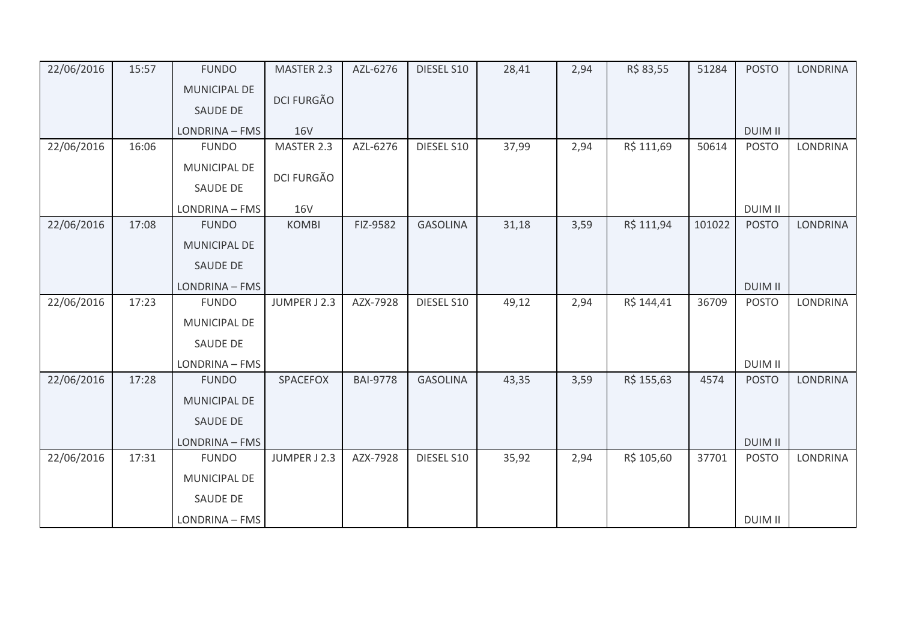| 22/06/2016 | 15:57 | <b>FUNDO</b>        | MASTER 2.3        | AZL-6276        | DIESEL S10      | 28,41 | 2,94 | R\$ 83,55  | 51284  | <b>POSTO</b>   | <b>LONDRINA</b> |
|------------|-------|---------------------|-------------------|-----------------|-----------------|-------|------|------------|--------|----------------|-----------------|
|            |       | <b>MUNICIPAL DE</b> |                   |                 |                 |       |      |            |        |                |                 |
|            |       | <b>SAUDE DE</b>     | <b>DCI FURGÃO</b> |                 |                 |       |      |            |        |                |                 |
|            |       | LONDRINA - FMS      | <b>16V</b>        |                 |                 |       |      |            |        | <b>DUIM II</b> |                 |
| 22/06/2016 | 16:06 | <b>FUNDO</b>        | MASTER 2.3        | AZL-6276        | DIESEL S10      | 37,99 | 2,94 | R\$ 111,69 | 50614  | <b>POSTO</b>   | LONDRINA        |
|            |       | MUNICIPAL DE        | DCI FURGÃO        |                 |                 |       |      |            |        |                |                 |
|            |       | SAUDE DE            |                   |                 |                 |       |      |            |        |                |                 |
|            |       | LONDRINA - FMS      | <b>16V</b>        |                 |                 |       |      |            |        | <b>DUIM II</b> |                 |
| 22/06/2016 | 17:08 | <b>FUNDO</b>        | <b>KOMBI</b>      | FIZ-9582        | <b>GASOLINA</b> | 31,18 | 3,59 | R\$ 111,94 | 101022 | <b>POSTO</b>   | <b>LONDRINA</b> |
|            |       | MUNICIPAL DE        |                   |                 |                 |       |      |            |        |                |                 |
|            |       | SAUDE DE            |                   |                 |                 |       |      |            |        |                |                 |
|            |       | LONDRINA - FMS      |                   |                 |                 |       |      |            |        | <b>DUIM II</b> |                 |
| 22/06/2016 | 17:23 | <b>FUNDO</b>        | JUMPER J 2.3      | AZX-7928        | DIESEL S10      | 49,12 | 2,94 | R\$ 144,41 | 36709  | <b>POSTO</b>   | <b>LONDRINA</b> |
|            |       | <b>MUNICIPAL DE</b> |                   |                 |                 |       |      |            |        |                |                 |
|            |       | SAUDE DE            |                   |                 |                 |       |      |            |        |                |                 |
|            |       | LONDRINA - FMS      |                   |                 |                 |       |      |            |        | <b>DUIM II</b> |                 |
| 22/06/2016 | 17:28 | <b>FUNDO</b>        | SPACEFOX          | <b>BAI-9778</b> | <b>GASOLINA</b> | 43,35 | 3,59 | R\$ 155,63 | 4574   | <b>POSTO</b>   | <b>LONDRINA</b> |
|            |       | <b>MUNICIPAL DE</b> |                   |                 |                 |       |      |            |        |                |                 |
|            |       | SAUDE DE            |                   |                 |                 |       |      |            |        |                |                 |
|            |       | LONDRINA - FMS      |                   |                 |                 |       |      |            |        | <b>DUIM II</b> |                 |
| 22/06/2016 | 17:31 | <b>FUNDO</b>        | JUMPER J 2.3      | AZX-7928        | DIESEL S10      | 35,92 | 2,94 | R\$ 105,60 | 37701  | <b>POSTO</b>   | <b>LONDRINA</b> |
|            |       | MUNICIPAL DE        |                   |                 |                 |       |      |            |        |                |                 |
|            |       | <b>SAUDE DE</b>     |                   |                 |                 |       |      |            |        |                |                 |
|            |       | LONDRINA - FMS      |                   |                 |                 |       |      |            |        | <b>DUIM II</b> |                 |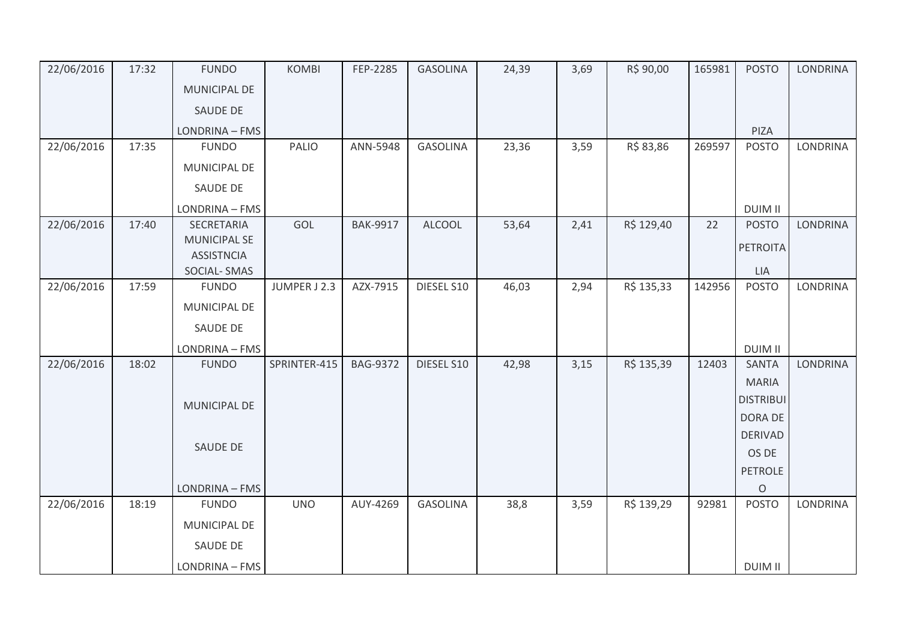| 22/06/2016 | 17:32 | <b>FUNDO</b>                            | <b>KOMBI</b> | FEP-2285        | <b>GASOLINA</b> | 24,39 | 3,69 | R\$ 90,00  | 165981 | <b>POSTO</b>     | <b>LONDRINA</b> |
|------------|-------|-----------------------------------------|--------------|-----------------|-----------------|-------|------|------------|--------|------------------|-----------------|
|            |       | <b>MUNICIPAL DE</b>                     |              |                 |                 |       |      |            |        |                  |                 |
|            |       | SAUDE DE                                |              |                 |                 |       |      |            |        |                  |                 |
|            |       | LONDRINA - FMS                          |              |                 |                 |       |      |            |        | PIZA             |                 |
| 22/06/2016 | 17:35 | <b>FUNDO</b>                            | PALIO        | ANN-5948        | <b>GASOLINA</b> | 23,36 | 3,59 | R\$ 83,86  | 269597 | <b>POSTO</b>     | <b>LONDRINA</b> |
|            |       | <b>MUNICIPAL DE</b>                     |              |                 |                 |       |      |            |        |                  |                 |
|            |       | SAUDE DE                                |              |                 |                 |       |      |            |        |                  |                 |
|            |       | LONDRINA - FMS                          |              |                 |                 |       |      |            |        | <b>DUIM II</b>   |                 |
| 22/06/2016 | 17:40 | SECRETARIA                              | GOL          | <b>BAK-9917</b> | <b>ALCOOL</b>   | 53,64 | 2,41 | R\$ 129,40 | 22     | <b>POSTO</b>     | <b>LONDRINA</b> |
|            |       | <b>MUNICIPAL SE</b>                     |              |                 |                 |       |      |            |        | <b>PETROITA</b>  |                 |
|            |       | <b>ASSISTNCIA</b><br><b>SOCIAL-SMAS</b> |              |                 |                 |       |      |            |        | <b>LIA</b>       |                 |
| 22/06/2016 | 17:59 | <b>FUNDO</b>                            | JUMPER J 2.3 | AZX-7915        | DIESEL S10      | 46,03 | 2,94 | R\$ 135,33 | 142956 | <b>POSTO</b>     | LONDRINA        |
|            |       | MUNICIPAL DE                            |              |                 |                 |       |      |            |        |                  |                 |
|            |       | SAUDE DE                                |              |                 |                 |       |      |            |        |                  |                 |
|            |       | LONDRINA - FMS                          |              |                 |                 |       |      |            |        | <b>DUIM II</b>   |                 |
| 22/06/2016 | 18:02 | <b>FUNDO</b>                            | SPRINTER-415 | <b>BAG-9372</b> | DIESEL S10      | 42,98 | 3,15 | R\$ 135,39 | 12403  | <b>SANTA</b>     | <b>LONDRINA</b> |
|            |       |                                         |              |                 |                 |       |      |            |        | <b>MARIA</b>     |                 |
|            |       | <b>MUNICIPAL DE</b>                     |              |                 |                 |       |      |            |        | <b>DISTRIBUI</b> |                 |
|            |       |                                         |              |                 |                 |       |      |            |        | <b>DORA DE</b>   |                 |
|            |       | SAUDE DE                                |              |                 |                 |       |      |            |        | <b>DERIVAD</b>   |                 |
|            |       |                                         |              |                 |                 |       |      |            |        | OS DE            |                 |
|            |       |                                         |              |                 |                 |       |      |            |        | <b>PETROLE</b>   |                 |
|            |       | LONDRINA - FMS                          |              |                 |                 |       |      |            |        | $\circ$          |                 |
| 22/06/2016 | 18:19 | <b>FUNDO</b>                            | <b>UNO</b>   | AUY-4269        | <b>GASOLINA</b> | 38,8  | 3,59 | R\$ 139,29 | 92981  | <b>POSTO</b>     | <b>LONDRINA</b> |
|            |       | MUNICIPAL DE                            |              |                 |                 |       |      |            |        |                  |                 |
|            |       | SAUDE DE                                |              |                 |                 |       |      |            |        |                  |                 |
|            |       | LONDRINA - FMS                          |              |                 |                 |       |      |            |        | <b>DUIM II</b>   |                 |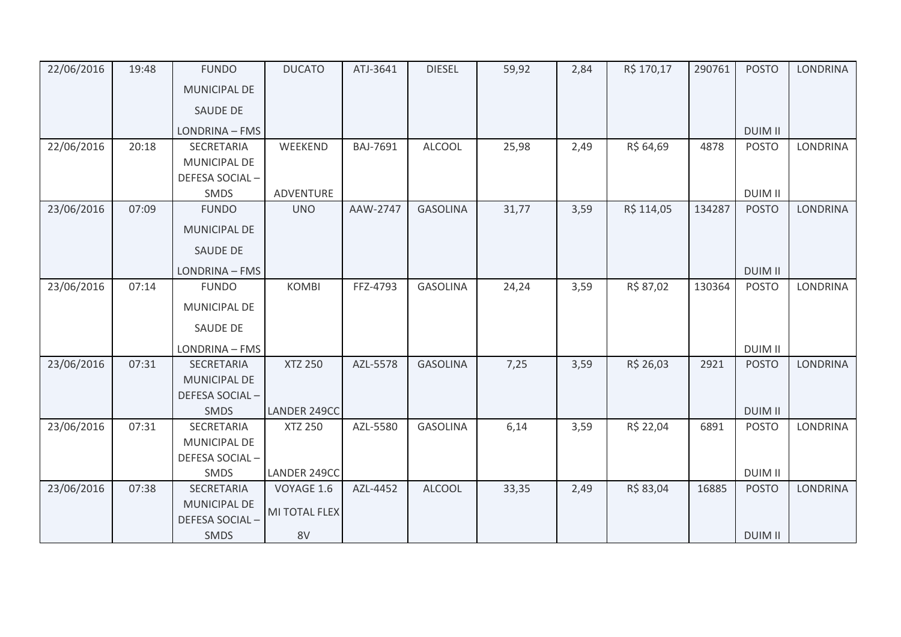| 22/06/2016 | 19:48 | <b>FUNDO</b>        | <b>DUCATO</b>  | ATJ-3641 | <b>DIESEL</b>   | 59,92 | 2,84 | R\$ 170,17 | 290761 | <b>POSTO</b>   | <b>LONDRINA</b> |
|------------|-------|---------------------|----------------|----------|-----------------|-------|------|------------|--------|----------------|-----------------|
|            |       | <b>MUNICIPAL DE</b> |                |          |                 |       |      |            |        |                |                 |
|            |       | <b>SAUDE DE</b>     |                |          |                 |       |      |            |        |                |                 |
|            |       | LONDRINA - FMS      |                |          |                 |       |      |            |        | <b>DUIM II</b> |                 |
| 22/06/2016 | 20:18 | <b>SECRETARIA</b>   | WEEKEND        | BAJ-7691 | <b>ALCOOL</b>   | 25,98 | 2,49 | R\$ 64,69  | 4878   | <b>POSTO</b>   | <b>LONDRINA</b> |
|            |       | <b>MUNICIPAL DE</b> |                |          |                 |       |      |            |        |                |                 |
|            |       | DEFESA SOCIAL-      |                |          |                 |       |      |            |        |                |                 |
|            |       | SMDS                | ADVENTURE      |          |                 |       |      |            |        | <b>DUIM II</b> |                 |
| 23/06/2016 | 07:09 | <b>FUNDO</b>        | <b>UNO</b>     | AAW-2747 | <b>GASOLINA</b> | 31,77 | 3,59 | R\$ 114,05 | 134287 | <b>POSTO</b>   | <b>LONDRINA</b> |
|            |       | <b>MUNICIPAL DE</b> |                |          |                 |       |      |            |        |                |                 |
|            |       | <b>SAUDE DE</b>     |                |          |                 |       |      |            |        |                |                 |
|            |       | LONDRINA - FMS      |                |          |                 |       |      |            |        | <b>DUIM II</b> |                 |
| 23/06/2016 | 07:14 | <b>FUNDO</b>        | <b>KOMBI</b>   | FFZ-4793 | <b>GASOLINA</b> | 24,24 | 3,59 | R\$ 87,02  | 130364 | <b>POSTO</b>   | <b>LONDRINA</b> |
|            |       | <b>MUNICIPAL DE</b> |                |          |                 |       |      |            |        |                |                 |
|            |       | <b>SAUDE DE</b>     |                |          |                 |       |      |            |        |                |                 |
|            |       | LONDRINA - FMS      |                |          |                 |       |      |            |        | <b>DUIM II</b> |                 |
| 23/06/2016 | 07:31 | SECRETARIA          | <b>XTZ 250</b> | AZL-5578 | <b>GASOLINA</b> | 7,25  | 3,59 | R\$ 26,03  | 2921   | <b>POSTO</b>   | <b>LONDRINA</b> |
|            |       | <b>MUNICIPAL DE</b> |                |          |                 |       |      |            |        |                |                 |
|            |       | DEFESA SOCIAL-      |                |          |                 |       |      |            |        |                |                 |
|            |       | <b>SMDS</b>         | LANDER 249CC   |          |                 |       |      |            |        | <b>DUIM II</b> |                 |
| 23/06/2016 | 07:31 | SECRETARIA          | <b>XTZ 250</b> | AZL-5580 | <b>GASOLINA</b> | 6,14  | 3,59 | R\$ 22,04  | 6891   | <b>POSTO</b>   | <b>LONDRINA</b> |
|            |       | MUNICIPAL DE        |                |          |                 |       |      |            |        |                |                 |
|            |       | DEFESA SOCIAL-      |                |          |                 |       |      |            |        |                |                 |
|            |       | SMDS                | LANDER 249CC   |          |                 |       |      |            |        | <b>DUIM II</b> |                 |
| 23/06/2016 | 07:38 | SECRETARIA          | VOYAGE 1.6     | AZL-4452 | <b>ALCOOL</b>   | 33,35 | 2,49 | R\$ 83,04  | 16885  | <b>POSTO</b>   | <b>LONDRINA</b> |
|            |       | <b>MUNICIPAL DE</b> | MI TOTAL FLEX  |          |                 |       |      |            |        |                |                 |
|            |       | DEFESA SOCIAL-      |                |          |                 |       |      |            |        |                |                 |
|            |       | <b>SMDS</b>         | 8V             |          |                 |       |      |            |        | <b>DUIM II</b> |                 |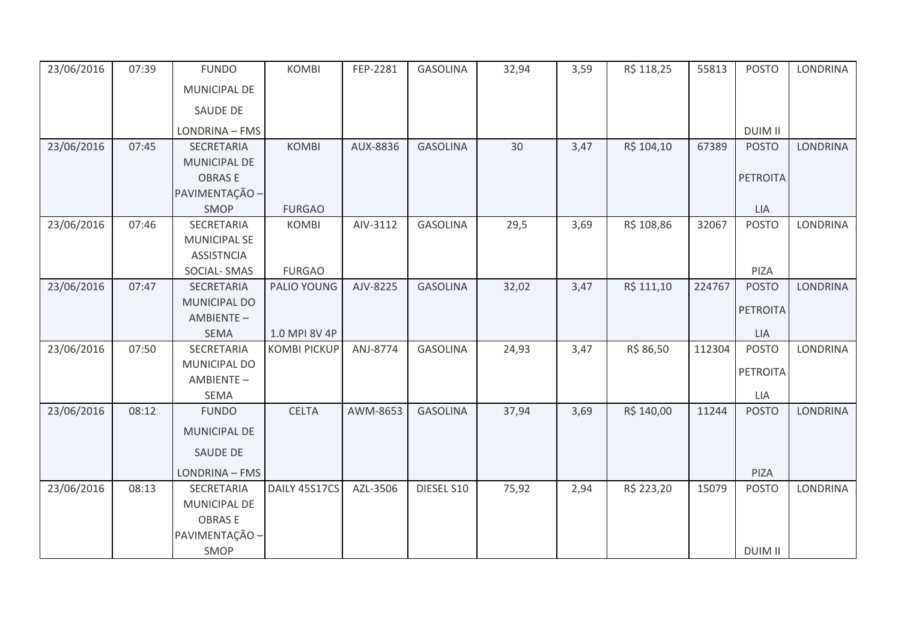| 23/06/2016 | 07:39 | <b>FUNDO</b>        | <b>KOMBI</b>        | FEP-2281 | <b>GASOLINA</b> | 32,94  | 3,59 | R\$ 118,25 | 55813  | <b>POSTO</b>    | <b>LONDRINA</b> |
|------------|-------|---------------------|---------------------|----------|-----------------|--------|------|------------|--------|-----------------|-----------------|
|            |       | MUNICIPAL DE        |                     |          |                 |        |      |            |        |                 |                 |
|            |       | <b>SAUDE DE</b>     |                     |          |                 |        |      |            |        |                 |                 |
|            |       | LONDRINA - FMS      |                     |          |                 |        |      |            |        | <b>DUIM II</b>  |                 |
| 23/06/2016 | 07:45 | SECRETARIA          | <b>KOMBI</b>        | AUX-8836 | <b>GASOLINA</b> | $30\,$ | 3,47 | R\$ 104,10 | 67389  | <b>POSTO</b>    | <b>LONDRINA</b> |
|            |       | MUNICIPAL DE        |                     |          |                 |        |      |            |        |                 |                 |
|            |       | <b>OBRASE</b>       |                     |          |                 |        |      |            |        | <b>PETROITA</b> |                 |
|            |       | PAVIMENTAÇÃO -      |                     |          |                 |        |      |            |        |                 |                 |
|            |       | SMOP                | <b>FURGAO</b>       |          |                 |        |      |            |        | <b>LIA</b>      |                 |
| 23/06/2016 | 07:46 | SECRETARIA          | <b>KOMBI</b>        | AIV-3112 | <b>GASOLINA</b> | 29,5   | 3,69 | R\$ 108,86 | 32067  | <b>POSTO</b>    | LONDRINA        |
|            |       | <b>MUNICIPAL SE</b> |                     |          |                 |        |      |            |        |                 |                 |
|            |       | <b>ASSISTNCIA</b>   |                     |          |                 |        |      |            |        |                 |                 |
|            |       | SOCIAL-SMAS         | <b>FURGAO</b>       |          |                 |        |      |            |        | PIZA            |                 |
| 23/06/2016 | 07:47 | SECRETARIA          | PALIO YOUNG         | AJV-8225 | <b>GASOLINA</b> | 32,02  | 3,47 | R\$ 111,10 | 224767 | <b>POSTO</b>    | <b>LONDRINA</b> |
|            |       | <b>MUNICIPAL DO</b> |                     |          |                 |        |      |            |        | <b>PETROITA</b> |                 |
|            |       | AMBIENTE-           |                     |          |                 |        |      |            |        |                 |                 |
|            |       | <b>SEMA</b>         | 1.0 MPI 8V 4P       |          |                 |        |      |            |        | LIA             |                 |
| 23/06/2016 | 07:50 | SECRETARIA          | <b>KOMBI PICKUP</b> | ANJ-8774 | <b>GASOLINA</b> | 24,93  | 3,47 | R\$ 86,50  | 112304 | <b>POSTO</b>    | LONDRINA        |
|            |       | MUNICIPAL DO        |                     |          |                 |        |      |            |        | <b>PETROITA</b> |                 |
|            |       | AMBIENTE-           |                     |          |                 |        |      |            |        |                 |                 |
|            |       | <b>SEMA</b>         |                     |          |                 |        |      |            |        | LIA             |                 |
| 23/06/2016 | 08:12 | <b>FUNDO</b>        | <b>CELTA</b>        | AWM-8653 | <b>GASOLINA</b> | 37,94  | 3,69 | R\$ 140,00 | 11244  | <b>POSTO</b>    | <b>LONDRINA</b> |
|            |       | MUNICIPAL DE        |                     |          |                 |        |      |            |        |                 |                 |
|            |       | <b>SAUDE DE</b>     |                     |          |                 |        |      |            |        |                 |                 |
|            |       | LONDRINA - FMS      |                     |          |                 |        |      |            |        | PIZA            |                 |
| 23/06/2016 | 08:13 | SECRETARIA          | DAILY 45S17CS       | AZL-3506 | DIESEL S10      | 75,92  | 2,94 | R\$ 223,20 | 15079  | <b>POSTO</b>    | <b>LONDRINA</b> |
|            |       | <b>MUNICIPAL DE</b> |                     |          |                 |        |      |            |        |                 |                 |
|            |       | <b>OBRASE</b>       |                     |          |                 |        |      |            |        |                 |                 |
|            |       | PAVIMENTAÇÃO -      |                     |          |                 |        |      |            |        |                 |                 |
|            |       | SMOP                |                     |          |                 |        |      |            |        | <b>DUIM II</b>  |                 |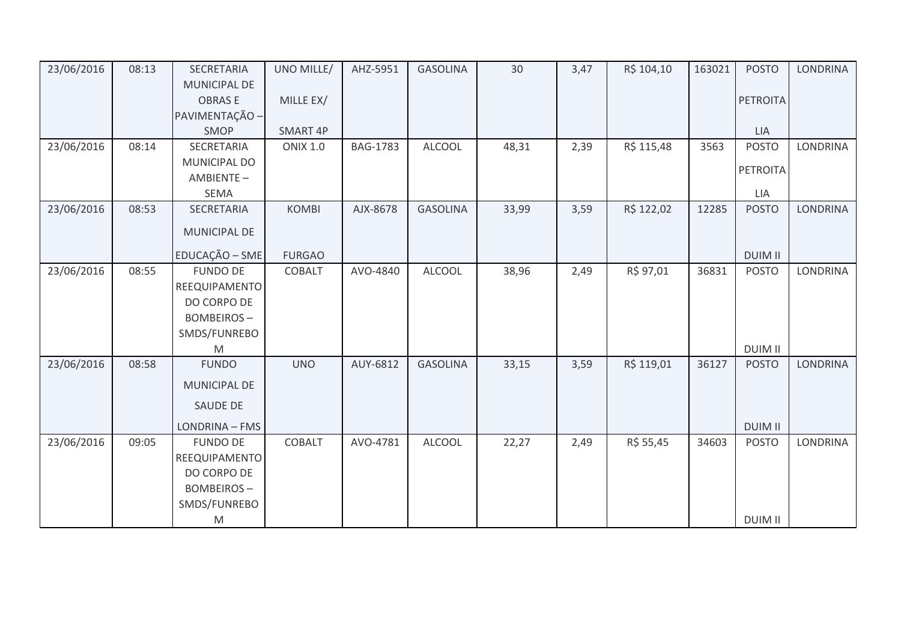| 23/06/2016 | 08:13 | SECRETARIA          | UNO MILLE/      | AHZ-5951        | <b>GASOLINA</b> | 30    | 3,47 | R\$ 104,10 | 163021 | <b>POSTO</b>    | <b>LONDRINA</b> |
|------------|-------|---------------------|-----------------|-----------------|-----------------|-------|------|------------|--------|-----------------|-----------------|
|            |       | <b>MUNICIPAL DE</b> |                 |                 |                 |       |      |            |        |                 |                 |
|            |       | <b>OBRASE</b>       | MILLE EX/       |                 |                 |       |      |            |        | <b>PETROITA</b> |                 |
|            |       | PAVIMENTAÇÃO -      |                 |                 |                 |       |      |            |        |                 |                 |
|            |       | SMOP                | SMART 4P        |                 |                 |       |      |            |        | <b>LIA</b>      |                 |
| 23/06/2016 | 08:14 | SECRETARIA          | <b>ONIX 1.0</b> | <b>BAG-1783</b> | <b>ALCOOL</b>   | 48,31 | 2,39 | R\$ 115,48 | 3563   | <b>POSTO</b>    | <b>LONDRINA</b> |
|            |       | MUNICIPAL DO        |                 |                 |                 |       |      |            |        | PETROITA        |                 |
|            |       | AMBIENTE-           |                 |                 |                 |       |      |            |        |                 |                 |
|            |       | <b>SEMA</b>         |                 |                 |                 |       |      |            |        | LIA             |                 |
| 23/06/2016 | 08:53 | SECRETARIA          | <b>KOMBI</b>    | AJX-8678        | <b>GASOLINA</b> | 33,99 | 3,59 | R\$ 122,02 | 12285  | <b>POSTO</b>    | <b>LONDRINA</b> |
|            |       | MUNICIPAL DE        |                 |                 |                 |       |      |            |        |                 |                 |
|            |       | EDUCAÇÃO - SME      | <b>FURGAO</b>   |                 |                 |       |      |            |        | <b>DUIM II</b>  |                 |
| 23/06/2016 | 08:55 | <b>FUNDO DE</b>     | <b>COBALT</b>   | AVO-4840        | <b>ALCOOL</b>   | 38,96 | 2,49 | R\$ 97,01  | 36831  | <b>POSTO</b>    | <b>LONDRINA</b> |
|            |       | REEQUIPAMENTO       |                 |                 |                 |       |      |            |        |                 |                 |
|            |       | DO CORPO DE         |                 |                 |                 |       |      |            |        |                 |                 |
|            |       | <b>BOMBEIROS-</b>   |                 |                 |                 |       |      |            |        |                 |                 |
|            |       | SMDS/FUNREBO        |                 |                 |                 |       |      |            |        |                 |                 |
|            |       | M                   |                 |                 |                 |       |      |            |        | <b>DUIM II</b>  |                 |
| 23/06/2016 | 08:58 | <b>FUNDO</b>        | <b>UNO</b>      | AUY-6812        | <b>GASOLINA</b> | 33,15 | 3,59 | R\$ 119,01 | 36127  | <b>POSTO</b>    | <b>LONDRINA</b> |
|            |       | MUNICIPAL DE        |                 |                 |                 |       |      |            |        |                 |                 |
|            |       | <b>SAUDE DE</b>     |                 |                 |                 |       |      |            |        |                 |                 |
|            |       | LONDRINA - FMS      |                 |                 |                 |       |      |            |        | <b>DUIM II</b>  |                 |
| 23/06/2016 | 09:05 | <b>FUNDO DE</b>     | COBALT          | AVO-4781        | <b>ALCOOL</b>   | 22,27 | 2,49 | R\$ 55,45  | 34603  | <b>POSTO</b>    | <b>LONDRINA</b> |
|            |       | REEQUIPAMENTO       |                 |                 |                 |       |      |            |        |                 |                 |
|            |       | DO CORPO DE         |                 |                 |                 |       |      |            |        |                 |                 |
|            |       | <b>BOMBEIROS-</b>   |                 |                 |                 |       |      |            |        |                 |                 |
|            |       | SMDS/FUNREBO        |                 |                 |                 |       |      |            |        |                 |                 |
|            |       | ${\sf M}$           |                 |                 |                 |       |      |            |        | <b>DUIM II</b>  |                 |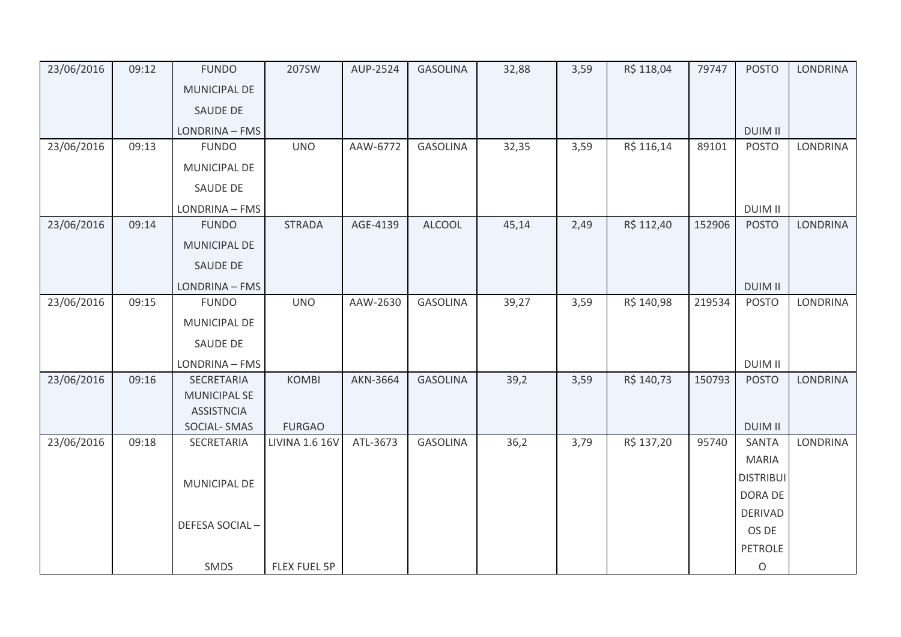| 23/06/2016 | 09:12 | <b>FUNDO</b>                             | 207SW                 | AUP-2524 | <b>GASOLINA</b> | 32,88 | 3,59 | R\$ 118,04 | 79747  | <b>POSTO</b>     | <b>LONDRINA</b> |
|------------|-------|------------------------------------------|-----------------------|----------|-----------------|-------|------|------------|--------|------------------|-----------------|
|            |       | <b>MUNICIPAL DE</b>                      |                       |          |                 |       |      |            |        |                  |                 |
|            |       | SAUDE DE                                 |                       |          |                 |       |      |            |        |                  |                 |
|            |       | LONDRINA - FMS                           |                       |          |                 |       |      |            |        | <b>DUIM II</b>   |                 |
| 23/06/2016 | 09:13 | <b>FUNDO</b>                             | <b>UNO</b>            | AAW-6772 | <b>GASOLINA</b> | 32,35 | 3,59 | R\$ 116,14 | 89101  | <b>POSTO</b>     | <b>LONDRINA</b> |
|            |       | MUNICIPAL DE                             |                       |          |                 |       |      |            |        |                  |                 |
|            |       | SAUDE DE                                 |                       |          |                 |       |      |            |        |                  |                 |
|            |       | LONDRINA - FMS                           |                       |          |                 |       |      |            |        | <b>DUIM II</b>   |                 |
| 23/06/2016 | 09:14 | <b>FUNDO</b>                             | <b>STRADA</b>         | AGE-4139 | <b>ALCOOL</b>   | 45,14 | 2,49 | R\$ 112,40 | 152906 | <b>POSTO</b>     | <b>LONDRINA</b> |
|            |       | MUNICIPAL DE                             |                       |          |                 |       |      |            |        |                  |                 |
|            |       | SAUDE DE                                 |                       |          |                 |       |      |            |        |                  |                 |
|            |       | LONDRINA - FMS                           |                       |          |                 |       |      |            |        | <b>DUIM II</b>   |                 |
| 23/06/2016 | 09:15 | <b>FUNDO</b>                             | <b>UNO</b>            | AAW-2630 | <b>GASOLINA</b> | 39,27 | 3,59 | R\$ 140,98 | 219534 | <b>POSTO</b>     | <b>LONDRINA</b> |
|            |       | MUNICIPAL DE                             |                       |          |                 |       |      |            |        |                  |                 |
|            |       | SAUDE DE                                 |                       |          |                 |       |      |            |        |                  |                 |
|            |       | LONDRINA - FMS                           |                       |          |                 |       |      |            |        | <b>DUIM II</b>   |                 |
| 23/06/2016 | 09:16 | SECRETARIA                               | <b>KOMBI</b>          | AKN-3664 | <b>GASOLINA</b> | 39,2  | 3,59 | R\$ 140,73 | 150793 | <b>POSTO</b>     | <b>LONDRINA</b> |
|            |       | <b>MUNICIPAL SE</b><br><b>ASSISTNCIA</b> |                       |          |                 |       |      |            |        |                  |                 |
|            |       | <b>SOCIAL-SMAS</b>                       | <b>FURGAO</b>         |          |                 |       |      |            |        | <b>DUIM II</b>   |                 |
| 23/06/2016 | 09:18 | SECRETARIA                               | <b>LIVINA 1.6 16V</b> | ATL-3673 | <b>GASOLINA</b> | 36,2  | 3,79 | R\$ 137,20 | 95740  | SANTA            | LONDRINA        |
|            |       |                                          |                       |          |                 |       |      |            |        | <b>MARIA</b>     |                 |
|            |       | MUNICIPAL DE                             |                       |          |                 |       |      |            |        | <b>DISTRIBUI</b> |                 |
|            |       |                                          |                       |          |                 |       |      |            |        | <b>DORA DE</b>   |                 |
|            |       | DEFESA SOCIAL-                           |                       |          |                 |       |      |            |        | <b>DERIVAD</b>   |                 |
|            |       |                                          |                       |          |                 |       |      |            |        | OS DE            |                 |
|            |       |                                          |                       |          |                 |       |      |            |        | <b>PETROLE</b>   |                 |
|            |       | SMDS                                     | <b>FLEX FUEL 5P</b>   |          |                 |       |      |            |        | O                |                 |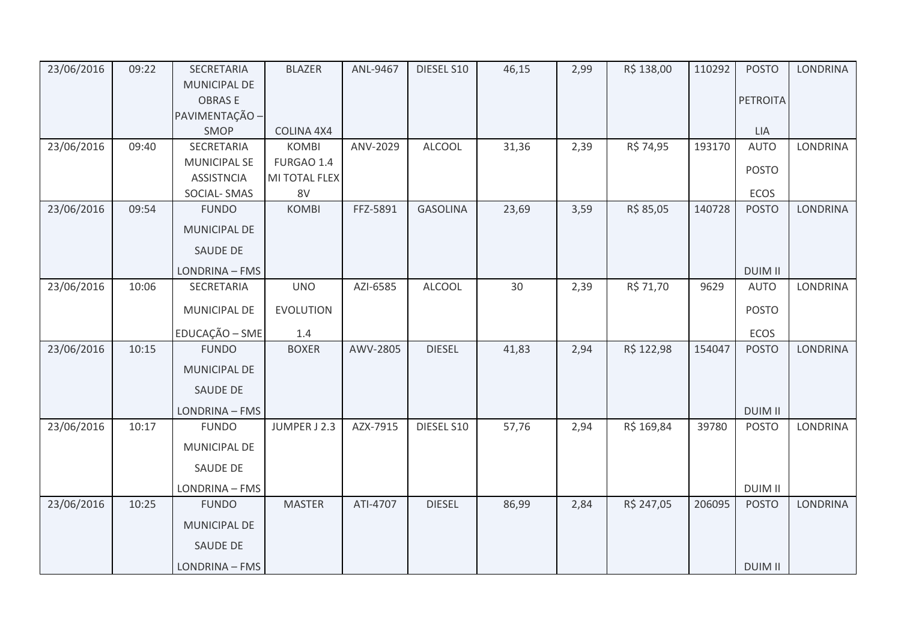| 23/06/2016 | 09:22 | SECRETARIA          | <b>BLAZER</b>    | ANL-9467 | DIESEL S10      | 46,15 | 2,99 | R\$ 138,00 | 110292 | <b>POSTO</b>    | <b>LONDRINA</b> |
|------------|-------|---------------------|------------------|----------|-----------------|-------|------|------------|--------|-----------------|-----------------|
|            |       | <b>MUNICIPAL DE</b> |                  |          |                 |       |      |            |        |                 |                 |
|            |       | <b>OBRASE</b>       |                  |          |                 |       |      |            |        | <b>PETROITA</b> |                 |
|            |       | PAVIMENTAÇÃO -      |                  |          |                 |       |      |            |        |                 |                 |
|            |       | SMOP                | COLINA 4X4       |          |                 |       |      |            |        | LIA             |                 |
| 23/06/2016 | 09:40 | SECRETARIA          | <b>KOMBI</b>     | ANV-2029 | <b>ALCOOL</b>   | 31,36 | 2,39 | R\$ 74,95  | 193170 | <b>AUTO</b>     | <b>LONDRINA</b> |
|            |       | <b>MUNICIPAL SE</b> | FURGAO 1.4       |          |                 |       |      |            |        | <b>POSTO</b>    |                 |
|            |       | <b>ASSISTNCIA</b>   | MI TOTAL FLEX    |          |                 |       |      |            |        |                 |                 |
|            |       | SOCIAL-SMAS         | 8V               |          |                 |       |      |            |        | ECOS            |                 |
| 23/06/2016 | 09:54 | <b>FUNDO</b>        | <b>KOMBI</b>     | FFZ-5891 | <b>GASOLINA</b> | 23,69 | 3,59 | R\$ 85,05  | 140728 | <b>POSTO</b>    | <b>LONDRINA</b> |
|            |       | <b>MUNICIPAL DE</b> |                  |          |                 |       |      |            |        |                 |                 |
|            |       | SAUDE DE            |                  |          |                 |       |      |            |        |                 |                 |
|            |       | LONDRINA - FMS      |                  |          |                 |       |      |            |        | <b>DUIM II</b>  |                 |
| 23/06/2016 | 10:06 | SECRETARIA          | <b>UNO</b>       | AZI-6585 | <b>ALCOOL</b>   | 30    | 2,39 | R\$ 71,70  | 9629   | <b>AUTO</b>     | <b>LONDRINA</b> |
|            |       | MUNICIPAL DE        | <b>EVOLUTION</b> |          |                 |       |      |            |        | <b>POSTO</b>    |                 |
|            |       | EDUCAÇÃO - SME      | 1.4              |          |                 |       |      |            |        | ECOS            |                 |
| 23/06/2016 | 10:15 | <b>FUNDO</b>        | <b>BOXER</b>     | AWV-2805 | <b>DIESEL</b>   | 41,83 | 2,94 | R\$ 122,98 | 154047 | <b>POSTO</b>    | LONDRINA        |
|            |       | MUNICIPAL DE        |                  |          |                 |       |      |            |        |                 |                 |
|            |       | <b>SAUDE DE</b>     |                  |          |                 |       |      |            |        |                 |                 |
|            |       | LONDRINA - FMS      |                  |          |                 |       |      |            |        | <b>DUIM II</b>  |                 |
| 23/06/2016 | 10:17 | <b>FUNDO</b>        | JUMPER J 2.3     | AZX-7915 | DIESEL S10      | 57,76 | 2,94 | R\$ 169,84 | 39780  | <b>POSTO</b>    | <b>LONDRINA</b> |
|            |       | MUNICIPAL DE        |                  |          |                 |       |      |            |        |                 |                 |
|            |       | SAUDE DE            |                  |          |                 |       |      |            |        |                 |                 |
|            |       | LONDRINA - FMS      |                  |          |                 |       |      |            |        | <b>DUIM II</b>  |                 |
| 23/06/2016 | 10:25 | <b>FUNDO</b>        | <b>MASTER</b>    | ATI-4707 | <b>DIESEL</b>   | 86,99 | 2,84 | R\$ 247,05 | 206095 | <b>POSTO</b>    | <b>LONDRINA</b> |
|            |       | MUNICIPAL DE        |                  |          |                 |       |      |            |        |                 |                 |
|            |       | SAUDE DE            |                  |          |                 |       |      |            |        |                 |                 |
|            |       | LONDRINA - FMS      |                  |          |                 |       |      |            |        | <b>DUIM II</b>  |                 |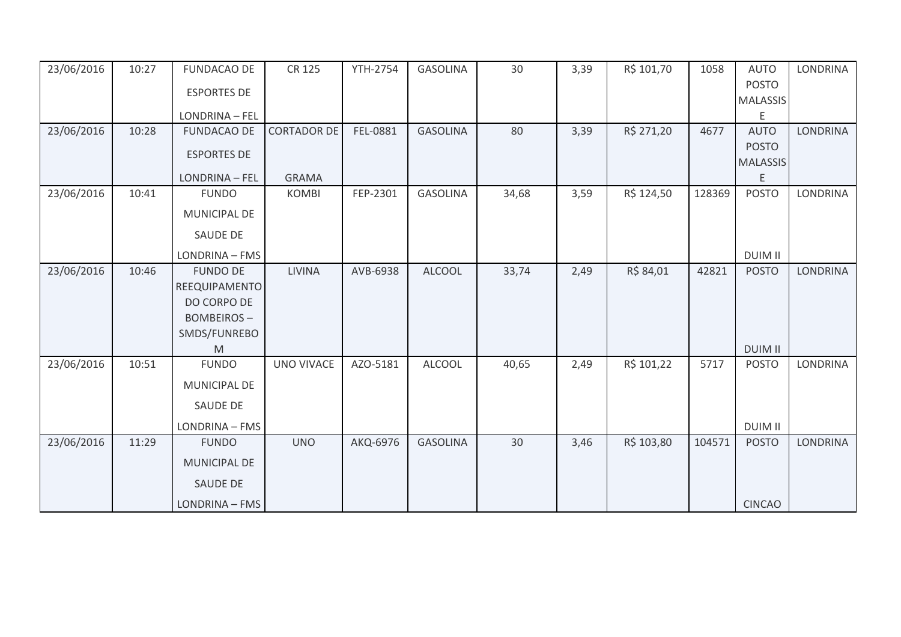| 23/06/2016 | 10:27 | <b>FUNDACAO DE</b>                   | <b>CR 125</b>      | <b>YTH-2754</b> | <b>GASOLINA</b> | 30    | 3,39 | R\$ 101,70 | 1058   | <b>AUTO</b>      | <b>LONDRINA</b> |
|------------|-------|--------------------------------------|--------------------|-----------------|-----------------|-------|------|------------|--------|------------------|-----------------|
|            |       | <b>ESPORTES DE</b>                   |                    |                 |                 |       |      |            |        | <b>POSTO</b>     |                 |
|            |       |                                      |                    |                 |                 |       |      |            |        | <b>MALASSIS</b>  |                 |
| 23/06/2016 | 10:28 | LONDRINA - FEL<br><b>FUNDACAO DE</b> | <b>CORTADOR DE</b> | FEL-0881        | <b>GASOLINA</b> | 80    | 3,39 | R\$ 271,20 | 4677   | E<br><b>AUTO</b> | <b>LONDRINA</b> |
|            |       |                                      |                    |                 |                 |       |      |            |        | <b>POSTO</b>     |                 |
|            |       | <b>ESPORTES DE</b>                   |                    |                 |                 |       |      |            |        | <b>MALASSIS</b>  |                 |
|            |       | LONDRINA - FEL                       | <b>GRAMA</b>       |                 |                 |       |      |            |        | Ε                |                 |
| 23/06/2016 | 10:41 | <b>FUNDO</b>                         | <b>KOMBI</b>       | FEP-2301        | <b>GASOLINA</b> | 34,68 | 3,59 | R\$ 124,50 | 128369 | <b>POSTO</b>     | <b>LONDRINA</b> |
|            |       | MUNICIPAL DE                         |                    |                 |                 |       |      |            |        |                  |                 |
|            |       | <b>SAUDE DE</b>                      |                    |                 |                 |       |      |            |        |                  |                 |
|            |       | LONDRINA - FMS                       |                    |                 |                 |       |      |            |        | <b>DUIM II</b>   |                 |
| 23/06/2016 | 10:46 | <b>FUNDO DE</b>                      | <b>LIVINA</b>      | AVB-6938        | <b>ALCOOL</b>   | 33,74 | 2,49 | R\$ 84,01  | 42821  | <b>POSTO</b>     | <b>LONDRINA</b> |
|            |       | REEQUIPAMENTO                        |                    |                 |                 |       |      |            |        |                  |                 |
|            |       | DO CORPO DE                          |                    |                 |                 |       |      |            |        |                  |                 |
|            |       | <b>BOMBEIROS-</b>                    |                    |                 |                 |       |      |            |        |                  |                 |
|            |       | SMDS/FUNREBO                         |                    |                 |                 |       |      |            |        |                  |                 |
|            |       | M                                    |                    |                 |                 |       |      |            |        | <b>DUIM II</b>   |                 |
| 23/06/2016 | 10:51 | <b>FUNDO</b>                         | <b>UNO VIVACE</b>  | AZO-5181        | <b>ALCOOL</b>   | 40,65 | 2,49 | R\$ 101,22 | 5717   | <b>POSTO</b>     | <b>LONDRINA</b> |
|            |       | MUNICIPAL DE                         |                    |                 |                 |       |      |            |        |                  |                 |
|            |       | SAUDE DE                             |                    |                 |                 |       |      |            |        |                  |                 |
|            |       | LONDRINA - FMS                       |                    |                 |                 |       |      |            |        | <b>DUIM II</b>   |                 |
| 23/06/2016 | 11:29 | <b>FUNDO</b>                         | <b>UNO</b>         | AKQ-6976        | <b>GASOLINA</b> | 30    | 3,46 | R\$ 103,80 | 104571 | <b>POSTO</b>     | <b>LONDRINA</b> |
|            |       | MUNICIPAL DE                         |                    |                 |                 |       |      |            |        |                  |                 |
|            |       | <b>SAUDE DE</b>                      |                    |                 |                 |       |      |            |        |                  |                 |
|            |       | LONDRINA - FMS                       |                    |                 |                 |       |      |            |        | <b>CINCAO</b>    |                 |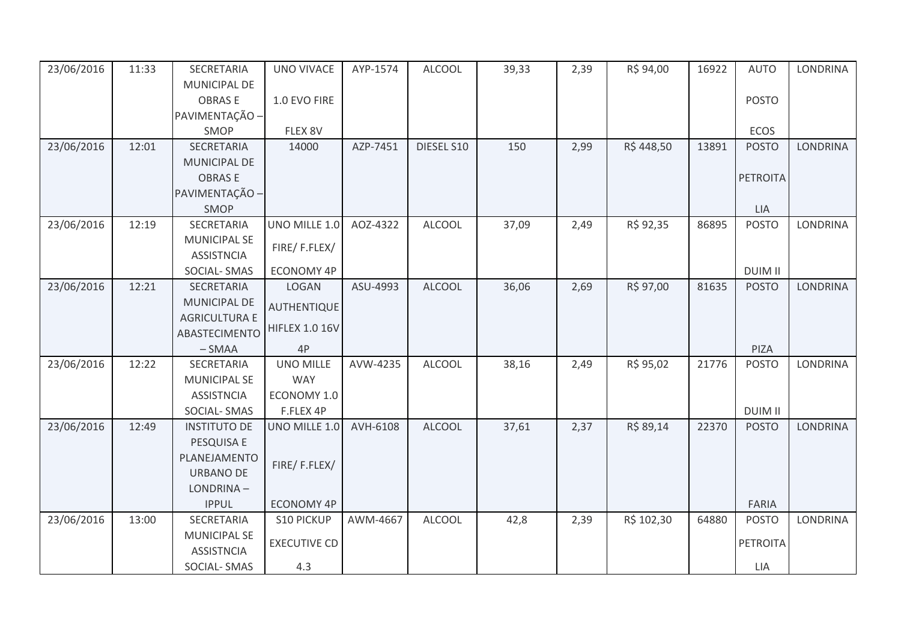| 23/06/2016 | 11:33 | SECRETARIA                               | <b>UNO VIVACE</b>     | AYP-1574 | <b>ALCOOL</b> | 39,33 | 2,39 | R\$ 94,00  | 16922 | <b>AUTO</b>     | LONDRINA        |
|------------|-------|------------------------------------------|-----------------------|----------|---------------|-------|------|------------|-------|-----------------|-----------------|
|            |       | MUNICIPAL DE                             |                       |          |               |       |      |            |       |                 |                 |
|            |       | <b>OBRASE</b>                            | 1.0 EVO FIRE          |          |               |       |      |            |       | <b>POSTO</b>    |                 |
|            |       | PAVIMENTAÇÃO -                           |                       |          |               |       |      |            |       |                 |                 |
|            |       | SMOP                                     | FLEX 8V               |          |               |       |      |            |       | ECOS            |                 |
| 23/06/2016 | 12:01 | <b>SECRETARIA</b>                        | 14000                 | AZP-7451 | DIESEL S10    | 150   | 2,99 | R\$448,50  | 13891 | <b>POSTO</b>    | <b>LONDRINA</b> |
|            |       | MUNICIPAL DE                             |                       |          |               |       |      |            |       |                 |                 |
|            |       | <b>OBRASE</b>                            |                       |          |               |       |      |            |       | <b>PETROITA</b> |                 |
|            |       | PAVIMENTAÇÃO -                           |                       |          |               |       |      |            |       |                 |                 |
|            |       | SMOP                                     |                       |          |               |       |      |            |       | <b>LIA</b>      |                 |
| 23/06/2016 | 12:19 | SECRETARIA                               | UNO MILLE 1.0         | AOZ-4322 | <b>ALCOOL</b> | 37,09 | 2,49 | R\$ 92,35  | 86895 | <b>POSTO</b>    | <b>LONDRINA</b> |
|            |       | <b>MUNICIPAL SE</b>                      | FIRE/F.FLEX/          |          |               |       |      |            |       |                 |                 |
|            |       | <b>ASSISTNCIA</b>                        |                       |          |               |       |      |            |       |                 |                 |
|            |       | SOCIAL-SMAS                              | <b>ECONOMY 4P</b>     |          |               |       |      |            |       | <b>DUIM II</b>  |                 |
| 23/06/2016 | 12:21 | SECRETARIA                               | LOGAN                 | ASU-4993 | <b>ALCOOL</b> | 36,06 | 2,69 | R\$ 97,00  | 81635 | <b>POSTO</b>    | <b>LONDRINA</b> |
|            |       | MUNICIPAL DE                             | AUTHENTIQUE           |          |               |       |      |            |       |                 |                 |
|            |       | <b>AGRICULTURA E</b>                     | <b>HIFLEX 1.0 16V</b> |          |               |       |      |            |       |                 |                 |
|            |       | ABASTECIMENTO                            |                       |          |               |       |      |            |       |                 |                 |
|            |       | $-SMAA$                                  | 4P                    |          |               |       |      |            |       | PIZA            |                 |
| 23/06/2016 | 12:22 | SECRETARIA                               | <b>UNO MILLE</b>      | AVW-4235 | <b>ALCOOL</b> | 38,16 | 2,49 | R\$ 95,02  | 21776 | <b>POSTO</b>    | <b>LONDRINA</b> |
|            |       | MUNICIPAL SE                             | <b>WAY</b>            |          |               |       |      |            |       |                 |                 |
|            |       | <b>ASSISTNCIA</b>                        | ECONOMY 1.0           |          |               |       |      |            |       |                 |                 |
|            |       | SOCIAL-SMAS                              | F.FLEX 4P             |          |               |       |      |            |       | <b>DUIM II</b>  |                 |
| 23/06/2016 | 12:49 | <b>INSTITUTO DE</b>                      | UNO MILLE 1.0         | AVH-6108 | <b>ALCOOL</b> | 37,61 | 2,37 | R\$ 89,14  | 22370 | <b>POSTO</b>    | <b>LONDRINA</b> |
|            |       | PESQUISA E                               |                       |          |               |       |      |            |       |                 |                 |
|            |       | PLANEJAMENTO                             | FIRE/F.FLEX/          |          |               |       |      |            |       |                 |                 |
|            |       | URBANO DE                                |                       |          |               |       |      |            |       |                 |                 |
|            |       | LONDRINA-                                |                       |          |               |       |      |            |       |                 |                 |
|            |       | <b>IPPUL</b>                             | <b>ECONOMY 4P</b>     |          |               |       |      |            |       | <b>FARIA</b>    |                 |
| 23/06/2016 | 13:00 | SECRETARIA                               | <b>S10 PICKUP</b>     | AWM-4667 | <b>ALCOOL</b> | 42,8  | 2,39 | R\$ 102,30 | 64880 | <b>POSTO</b>    | <b>LONDRINA</b> |
|            |       | <b>MUNICIPAL SE</b><br><b>ASSISTNCIA</b> | <b>EXECUTIVE CD</b>   |          |               |       |      |            |       | <b>PETROITA</b> |                 |
|            |       | SOCIAL-SMAS                              | 4.3                   |          |               |       |      |            |       | LIA             |                 |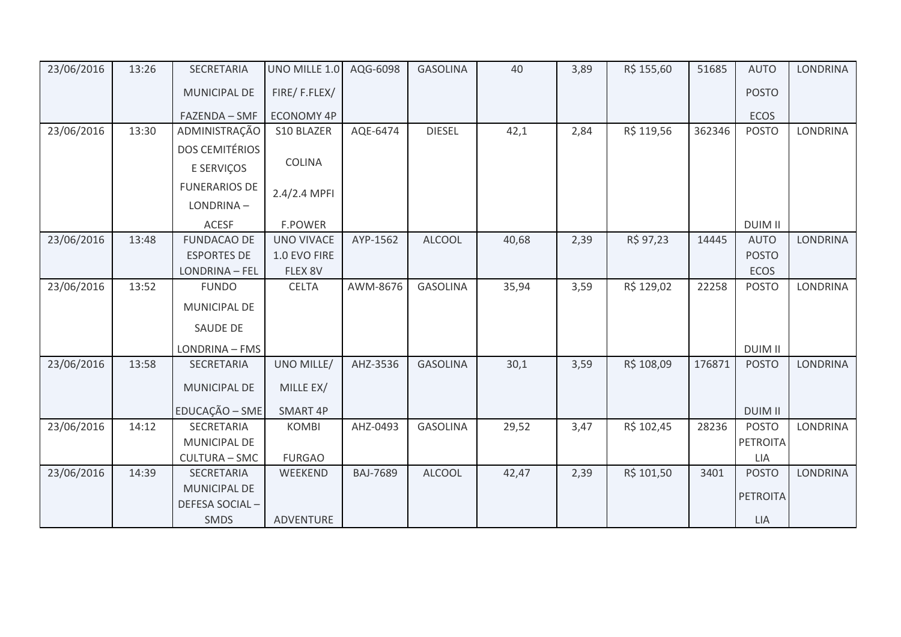| 23/06/2016 | 13:26 | SECRETARIA            | UNO MILLE 1.0     | AQG-6098        | <b>GASOLINA</b> | 40    | 3,89 | R\$ 155,60 | 51685  | <b>AUTO</b>     | <b>LONDRINA</b> |
|------------|-------|-----------------------|-------------------|-----------------|-----------------|-------|------|------------|--------|-----------------|-----------------|
|            |       | MUNICIPAL DE          | FIRE/F.FLEX/      |                 |                 |       |      |            |        | <b>POSTO</b>    |                 |
|            |       | FAZENDA - SMF         | <b>ECONOMY 4P</b> |                 |                 |       |      |            |        | ECOS            |                 |
| 23/06/2016 | 13:30 | ADMINISTRAÇÃO         | S10 BLAZER        | AQE-6474        | <b>DIESEL</b>   | 42,1  | 2,84 | R\$ 119,56 | 362346 | <b>POSTO</b>    | LONDRINA        |
|            |       | <b>DOS CEMITÉRIOS</b> |                   |                 |                 |       |      |            |        |                 |                 |
|            |       | E SERVIÇOS            | <b>COLINA</b>     |                 |                 |       |      |            |        |                 |                 |
|            |       | <b>FUNERARIOS DE</b>  | 2.4/2.4 MPFI      |                 |                 |       |      |            |        |                 |                 |
|            |       | LONDRINA-             |                   |                 |                 |       |      |            |        |                 |                 |
|            |       | <b>ACESF</b>          | <b>F.POWER</b>    |                 |                 |       |      |            |        | <b>DUIM II</b>  |                 |
| 23/06/2016 | 13:48 | <b>FUNDACAO DE</b>    | <b>UNO VIVACE</b> | AYP-1562        | <b>ALCOOL</b>   | 40,68 | 2,39 | R\$ 97,23  | 14445  | <b>AUTO</b>     | LONDRINA        |
|            |       | <b>ESPORTES DE</b>    | 1.0 EVO FIRE      |                 |                 |       |      |            |        | <b>POSTO</b>    |                 |
|            |       | LONDRINA - FEL        | FLEX 8V           |                 |                 |       |      |            |        | ECOS            |                 |
| 23/06/2016 | 13:52 | <b>FUNDO</b>          | <b>CELTA</b>      | AWM-8676        | <b>GASOLINA</b> | 35,94 | 3,59 | R\$ 129,02 | 22258  | <b>POSTO</b>    | LONDRINA        |
|            |       | MUNICIPAL DE          |                   |                 |                 |       |      |            |        |                 |                 |
|            |       | SAUDE DE              |                   |                 |                 |       |      |            |        |                 |                 |
|            |       | LONDRINA - FMS        |                   |                 |                 |       |      |            |        | <b>DUIM II</b>  |                 |
| 23/06/2016 | 13:58 | SECRETARIA            | UNO MILLE/        | AHZ-3536        | <b>GASOLINA</b> | 30,1  | 3,59 | R\$ 108,09 | 176871 | <b>POSTO</b>    | LONDRINA        |
|            |       | MUNICIPAL DE          | MILLE EX/         |                 |                 |       |      |            |        |                 |                 |
|            |       | EDUCAÇÃO - SME        | SMART 4P          |                 |                 |       |      |            |        | <b>DUIM II</b>  |                 |
| 23/06/2016 | 14:12 | SECRETARIA            | <b>KOMBI</b>      | AHZ-0493        | <b>GASOLINA</b> | 29,52 | 3,47 | R\$ 102,45 | 28236  | <b>POSTO</b>    | <b>LONDRINA</b> |
|            |       | MUNICIPAL DE          |                   |                 |                 |       |      |            |        | <b>PETROITA</b> |                 |
|            |       | <b>CULTURA - SMC</b>  | <b>FURGAO</b>     |                 |                 |       |      |            |        | <b>LIA</b>      |                 |
| 23/06/2016 | 14:39 | SECRETARIA            | WEEKEND           | <b>BAJ-7689</b> | <b>ALCOOL</b>   | 42,47 | 2,39 | R\$ 101,50 | 3401   | <b>POSTO</b>    | <b>LONDRINA</b> |
|            |       | MUNICIPAL DE          |                   |                 |                 |       |      |            |        | <b>PETROITA</b> |                 |
|            |       | DEFESA SOCIAL-        |                   |                 |                 |       |      |            |        |                 |                 |
|            |       | SMDS                  | ADVENTURE         |                 |                 |       |      |            |        | LIA             |                 |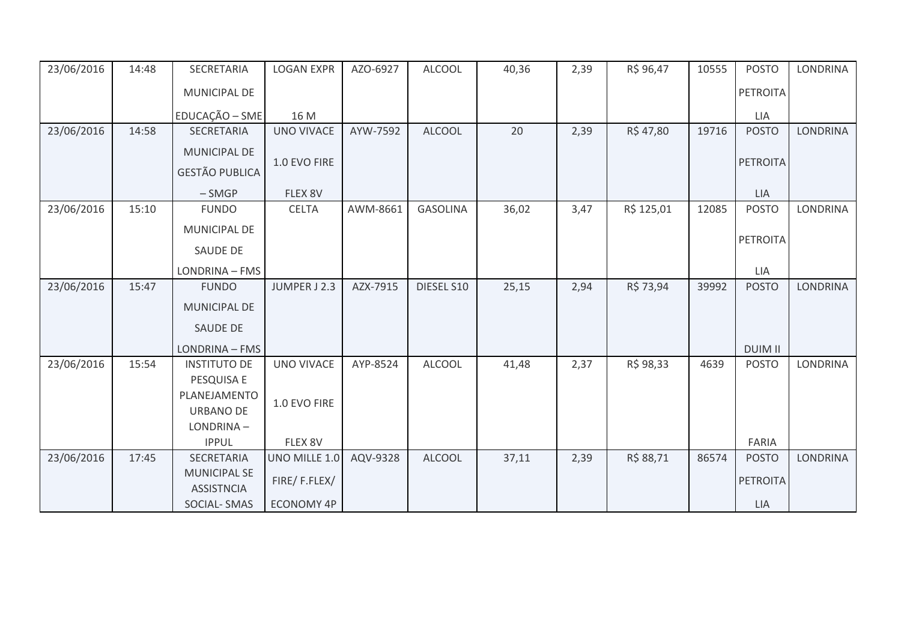| 23/06/2016 | 14:48 | SECRETARIA                               | <b>LOGAN EXPR</b> | AZO-6927 | <b>ALCOOL</b>   | 40,36 | 2,39 | R\$ 96,47  | 10555 | <b>POSTO</b>    | <b>LONDRINA</b> |
|------------|-------|------------------------------------------|-------------------|----------|-----------------|-------|------|------------|-------|-----------------|-----------------|
|            |       | MUNICIPAL DE                             |                   |          |                 |       |      |            |       | PETROITA        |                 |
|            |       | EDUCAÇÃO - SME                           | 16 M              |          |                 |       |      |            |       | LIA             |                 |
| 23/06/2016 | 14:58 | SECRETARIA                               | <b>UNO VIVACE</b> | AYW-7592 | <b>ALCOOL</b>   | 20    | 2,39 | R\$47,80   | 19716 | <b>POSTO</b>    | <b>LONDRINA</b> |
|            |       | MUNICIPAL DE                             |                   |          |                 |       |      |            |       |                 |                 |
|            |       | <b>GESTÃO PUBLICA</b>                    | 1.0 EVO FIRE      |          |                 |       |      |            |       | PETROITA        |                 |
|            |       | $-SMGP$                                  | FLEX 8V           |          |                 |       |      |            |       | <b>LIA</b>      |                 |
| 23/06/2016 | 15:10 | <b>FUNDO</b>                             | <b>CELTA</b>      | AWM-8661 | <b>GASOLINA</b> | 36,02 | 3,47 | R\$ 125,01 | 12085 | <b>POSTO</b>    | <b>LONDRINA</b> |
|            |       | MUNICIPAL DE                             |                   |          |                 |       |      |            |       |                 |                 |
|            |       | SAUDE DE                                 |                   |          |                 |       |      |            |       | <b>PETROITA</b> |                 |
|            |       | LONDRINA - FMS                           |                   |          |                 |       |      |            |       | LIA             |                 |
| 23/06/2016 | 15:47 | <b>FUNDO</b>                             | JUMPER J 2.3      | AZX-7915 | DIESEL S10      | 25,15 | 2,94 | R\$ 73,94  | 39992 | <b>POSTO</b>    | <b>LONDRINA</b> |
|            |       | MUNICIPAL DE                             |                   |          |                 |       |      |            |       |                 |                 |
|            |       | <b>SAUDE DE</b>                          |                   |          |                 |       |      |            |       |                 |                 |
|            |       | LONDRINA - FMS                           |                   |          |                 |       |      |            |       | <b>DUIM II</b>  |                 |
| 23/06/2016 | 15:54 | <b>INSTITUTO DE</b>                      | <b>UNO VIVACE</b> | AYP-8524 | <b>ALCOOL</b>   | 41,48 | 2,37 | R\$ 98,33  | 4639  | <b>POSTO</b>    | <b>LONDRINA</b> |
|            |       | PESQUISA E                               |                   |          |                 |       |      |            |       |                 |                 |
|            |       | PLANEJAMENTO                             | 1.0 EVO FIRE      |          |                 |       |      |            |       |                 |                 |
|            |       | <b>URBANO DE</b><br>LONDRINA-            |                   |          |                 |       |      |            |       |                 |                 |
|            |       | <b>IPPUL</b>                             | FLEX 8V           |          |                 |       |      |            |       | FARIA           |                 |
| 23/06/2016 | 17:45 | SECRETARIA                               | UNO MILLE 1.0     | AQV-9328 | <b>ALCOOL</b>   | 37,11 | 2,39 | R\$ 88,71  | 86574 | <b>POSTO</b>    | <b>LONDRINA</b> |
|            |       | <b>MUNICIPAL SE</b><br><b>ASSISTNCIA</b> | FIRE/F.FLEX/      |          |                 |       |      |            |       | <b>PETROITA</b> |                 |
|            |       | SOCIAL-SMAS                              | ECONOMY 4P        |          |                 |       |      |            |       | LIA             |                 |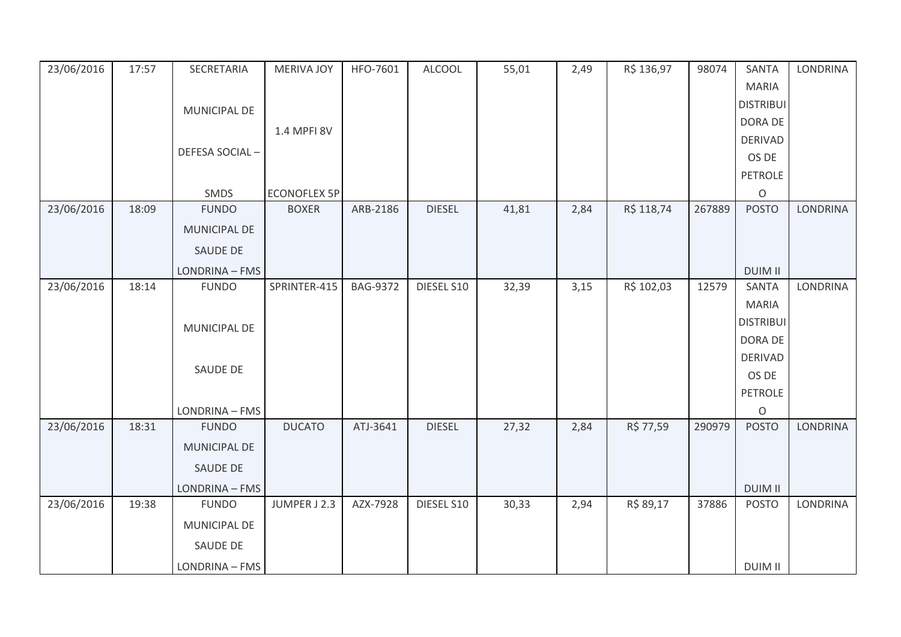| 23/06/2016 | 17:57 | SECRETARIA     | <b>MERIVA JOY</b>   | HFO-7601        | <b>ALCOOL</b> | 55,01 | 2,49 | R\$ 136,97 | 98074  | <b>SANTA</b>     | <b>LONDRINA</b> |
|------------|-------|----------------|---------------------|-----------------|---------------|-------|------|------------|--------|------------------|-----------------|
|            |       |                |                     |                 |               |       |      |            |        | <b>MARIA</b>     |                 |
|            |       | MUNICIPAL DE   |                     |                 |               |       |      |            |        | <b>DISTRIBUI</b> |                 |
|            |       |                | 1.4 MPFI 8V         |                 |               |       |      |            |        | DORA DE          |                 |
|            |       |                |                     |                 |               |       |      |            |        | <b>DERIVAD</b>   |                 |
|            |       | DEFESA SOCIAL- |                     |                 |               |       |      |            |        | OS DE            |                 |
|            |       |                |                     |                 |               |       |      |            |        | <b>PETROLE</b>   |                 |
|            |       | SMDS           | <b>ECONOFLEX 5P</b> |                 |               |       |      |            |        | $\circ$          |                 |
| 23/06/2016 | 18:09 | <b>FUNDO</b>   | <b>BOXER</b>        | ARB-2186        | <b>DIESEL</b> | 41,81 | 2,84 | R\$ 118,74 | 267889 | <b>POSTO</b>     | <b>LONDRINA</b> |
|            |       | MUNICIPAL DE   |                     |                 |               |       |      |            |        |                  |                 |
|            |       | SAUDE DE       |                     |                 |               |       |      |            |        |                  |                 |
|            |       | LONDRINA - FMS |                     |                 |               |       |      |            |        | <b>DUIM II</b>   |                 |
| 23/06/2016 | 18:14 | <b>FUNDO</b>   | SPRINTER-415        | <b>BAG-9372</b> | DIESEL S10    | 32,39 | 3,15 | R\$ 102,03 | 12579  | <b>SANTA</b>     | LONDRINA        |
|            |       |                |                     |                 |               |       |      |            |        | <b>MARIA</b>     |                 |
|            |       | MUNICIPAL DE   |                     |                 |               |       |      |            |        | <b>DISTRIBUI</b> |                 |
|            |       |                |                     |                 |               |       |      |            |        | DORA DE          |                 |
|            |       | SAUDE DE       |                     |                 |               |       |      |            |        | <b>DERIVAD</b>   |                 |
|            |       |                |                     |                 |               |       |      |            |        | OS DE            |                 |
|            |       |                |                     |                 |               |       |      |            |        | <b>PETROLE</b>   |                 |
|            |       | LONDRINA - FMS |                     |                 |               |       |      |            |        | $\mathsf O$      |                 |
| 23/06/2016 | 18:31 | <b>FUNDO</b>   | <b>DUCATO</b>       | ATJ-3641        | <b>DIESEL</b> | 27,32 | 2,84 | R\$ 77,59  | 290979 | <b>POSTO</b>     | <b>LONDRINA</b> |
|            |       | MUNICIPAL DE   |                     |                 |               |       |      |            |        |                  |                 |
|            |       | SAUDE DE       |                     |                 |               |       |      |            |        |                  |                 |
|            |       | LONDRINA - FMS |                     |                 |               |       |      |            |        | <b>DUIM II</b>   |                 |
| 23/06/2016 | 19:38 | <b>FUNDO</b>   | JUMPER J 2.3        | AZX-7928        | DIESEL S10    | 30,33 | 2,94 | R\$ 89,17  | 37886  | <b>POSTO</b>     | <b>LONDRINA</b> |
|            |       | MUNICIPAL DE   |                     |                 |               |       |      |            |        |                  |                 |
|            |       | SAUDE DE       |                     |                 |               |       |      |            |        |                  |                 |
|            |       | LONDRINA - FMS |                     |                 |               |       |      |            |        | <b>DUIM II</b>   |                 |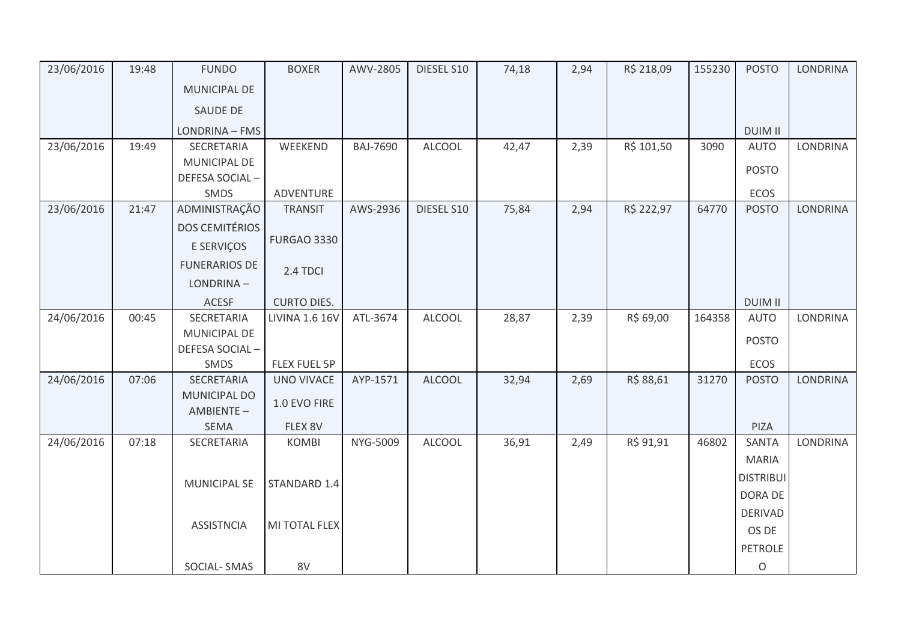| 23/06/2016 | 19:48 | <b>FUNDO</b>          | <b>BOXER</b>          | AWV-2805        | DIESEL S10    | 74,18 | 2,94 | R\$ 218,09 | 155230 | <b>POSTO</b>     | <b>LONDRINA</b> |
|------------|-------|-----------------------|-----------------------|-----------------|---------------|-------|------|------------|--------|------------------|-----------------|
|            |       | <b>MUNICIPAL DE</b>   |                       |                 |               |       |      |            |        |                  |                 |
|            |       | SAUDE DE              |                       |                 |               |       |      |            |        |                  |                 |
|            |       | LONDRINA - FMS        |                       |                 |               |       |      |            |        | <b>DUIM II</b>   |                 |
| 23/06/2016 | 19:49 | SECRETARIA            | WEEKEND               | <b>BAJ-7690</b> | <b>ALCOOL</b> | 42,47 | 2,39 | R\$ 101,50 | 3090   | <b>AUTO</b>      | <b>LONDRINA</b> |
|            |       | MUNICIPAL DE          |                       |                 |               |       |      |            |        | <b>POSTO</b>     |                 |
|            |       | DEFESA SOCIAL-        |                       |                 |               |       |      |            |        |                  |                 |
|            |       | SMDS                  | ADVENTURE             |                 |               |       |      |            |        | ECOS             |                 |
| 23/06/2016 | 21:47 | ADMINISTRAÇÃO         | <b>TRANSIT</b>        | AWS-2936        | DIESEL S10    | 75,84 | 2,94 | R\$ 222,97 | 64770  | <b>POSTO</b>     | <b>LONDRINA</b> |
|            |       | <b>DOS CEMITÉRIOS</b> |                       |                 |               |       |      |            |        |                  |                 |
|            |       | E SERVIÇOS            | <b>FURGAO 3330</b>    |                 |               |       |      |            |        |                  |                 |
|            |       | <b>FUNERARIOS DE</b>  | 2.4 TDCI              |                 |               |       |      |            |        |                  |                 |
|            |       | LONDRINA-             |                       |                 |               |       |      |            |        |                  |                 |
|            |       | <b>ACESF</b>          | <b>CURTO DIES.</b>    |                 |               |       |      |            |        | <b>DUIM II</b>   |                 |
| 24/06/2016 | 00:45 | SECRETARIA            | <b>LIVINA 1.6 16V</b> | ATL-3674        | <b>ALCOOL</b> | 28,87 | 2,39 | R\$ 69,00  | 164358 | <b>AUTO</b>      | LONDRINA        |
|            |       | MUNICIPAL DE          |                       |                 |               |       |      |            |        | <b>POSTO</b>     |                 |
|            |       | DEFESA SOCIAL-        |                       |                 |               |       |      |            |        |                  |                 |
|            |       | SMDS                  | FLEX FUEL 5P          |                 |               |       |      |            |        | ECOS             |                 |
| 24/06/2016 | 07:06 | SECRETARIA            | <b>UNO VIVACE</b>     | AYP-1571        | <b>ALCOOL</b> | 32,94 | 2,69 | R\$ 88,61  | 31270  | <b>POSTO</b>     | <b>LONDRINA</b> |
|            |       | <b>MUNICIPAL DO</b>   | 1.0 EVO FIRE          |                 |               |       |      |            |        |                  |                 |
|            |       | AMBIENTE-             |                       |                 |               |       |      |            |        |                  |                 |
|            |       | <b>SEMA</b>           | FLEX 8V               |                 |               |       |      |            |        | PIZA             |                 |
| 24/06/2016 | 07:18 | SECRETARIA            | <b>KOMBI</b>          | NYG-5009        | <b>ALCOOL</b> | 36,91 | 2,49 | R\$ 91,91  | 46802  | SANTA            | <b>LONDRINA</b> |
|            |       |                       |                       |                 |               |       |      |            |        | <b>MARIA</b>     |                 |
|            |       | <b>MUNICIPAL SE</b>   | STANDARD 1.4          |                 |               |       |      |            |        | <b>DISTRIBUI</b> |                 |
|            |       |                       |                       |                 |               |       |      |            |        | <b>DORA DE</b>   |                 |
|            |       |                       |                       |                 |               |       |      |            |        | <b>DERIVAD</b>   |                 |
|            |       | <b>ASSISTNCIA</b>     | MI TOTAL FLEX         |                 |               |       |      |            |        | OS DE            |                 |
|            |       |                       |                       |                 |               |       |      |            |        | <b>PETROLE</b>   |                 |
|            |       | SOCIAL-SMAS           | 8V                    |                 |               |       |      |            |        | O                |                 |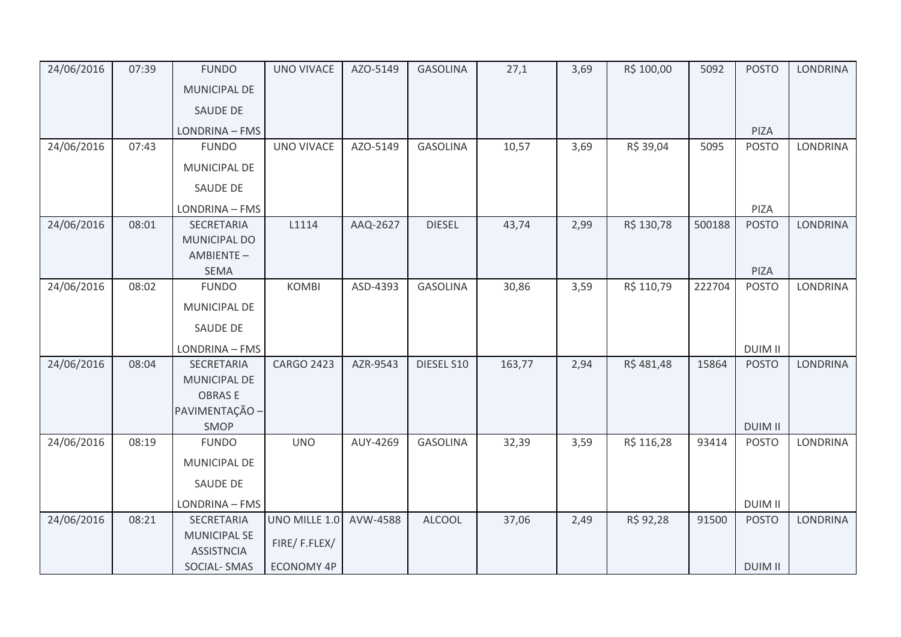| 24/06/2016 | 07:39 | <b>FUNDO</b>                             | <b>UNO VIVACE</b> | AZO-5149 | <b>GASOLINA</b> | 27,1   | 3,69 | R\$ 100,00 | 5092   | <b>POSTO</b>   | <b>LONDRINA</b> |
|------------|-------|------------------------------------------|-------------------|----------|-----------------|--------|------|------------|--------|----------------|-----------------|
|            |       | <b>MUNICIPAL DE</b>                      |                   |          |                 |        |      |            |        |                |                 |
|            |       | SAUDE DE                                 |                   |          |                 |        |      |            |        |                |                 |
|            |       | LONDRINA - FMS                           |                   |          |                 |        |      |            |        | PIZA           |                 |
| 24/06/2016 | 07:43 | <b>FUNDO</b>                             | <b>UNO VIVACE</b> | AZO-5149 | <b>GASOLINA</b> | 10,57  | 3,69 | R\$ 39,04  | 5095   | <b>POSTO</b>   | <b>LONDRINA</b> |
|            |       | MUNICIPAL DE                             |                   |          |                 |        |      |            |        |                |                 |
|            |       | <b>SAUDE DE</b>                          |                   |          |                 |        |      |            |        |                |                 |
|            |       | LONDRINA - FMS                           |                   |          |                 |        |      |            |        | PIZA           |                 |
| 24/06/2016 | 08:01 | SECRETARIA                               | L1114             | AAQ-2627 | <b>DIESEL</b>   | 43,74  | 2,99 | R\$ 130,78 | 500188 | <b>POSTO</b>   | <b>LONDRINA</b> |
|            |       | <b>MUNICIPAL DO</b>                      |                   |          |                 |        |      |            |        |                |                 |
|            |       | AMBIENTE-<br><b>SEMA</b>                 |                   |          |                 |        |      |            |        | PIZA           |                 |
| 24/06/2016 | 08:02 | <b>FUNDO</b>                             | <b>KOMBI</b>      | ASD-4393 | <b>GASOLINA</b> | 30,86  | 3,59 | R\$ 110,79 | 222704 | <b>POSTO</b>   | <b>LONDRINA</b> |
|            |       | MUNICIPAL DE                             |                   |          |                 |        |      |            |        |                |                 |
|            |       | <b>SAUDE DE</b>                          |                   |          |                 |        |      |            |        |                |                 |
|            |       | LONDRINA - FMS                           |                   |          |                 |        |      |            |        | <b>DUIM II</b> |                 |
| 24/06/2016 | 08:04 | SECRETARIA                               | <b>CARGO 2423</b> | AZR-9543 | DIESEL S10      | 163,77 | 2,94 | R\$481,48  | 15864  | <b>POSTO</b>   | <b>LONDRINA</b> |
|            |       | MUNICIPAL DE                             |                   |          |                 |        |      |            |        |                |                 |
|            |       | <b>OBRASE</b>                            |                   |          |                 |        |      |            |        |                |                 |
|            |       | PAVIMENTAÇÃO -                           |                   |          |                 |        |      |            |        |                |                 |
|            |       | SMOP                                     |                   |          |                 |        |      |            |        | <b>DUIM II</b> |                 |
| 24/06/2016 | 08:19 | <b>FUNDO</b>                             | <b>UNO</b>        | AUY-4269 | <b>GASOLINA</b> | 32,39  | 3,59 | R\$ 116,28 | 93414  | <b>POSTO</b>   | <b>LONDRINA</b> |
|            |       | MUNICIPAL DE                             |                   |          |                 |        |      |            |        |                |                 |
|            |       | <b>SAUDE DE</b>                          |                   |          |                 |        |      |            |        |                |                 |
|            |       | LONDRINA - FMS                           |                   |          |                 |        |      |            |        | <b>DUIM II</b> |                 |
| 24/06/2016 | 08:21 | SECRETARIA                               | UNO MILLE 1.0     | AVW-4588 | <b>ALCOOL</b>   | 37,06  | 2,49 | R\$ 92,28  | 91500  | <b>POSTO</b>   | <b>LONDRINA</b> |
|            |       | <b>MUNICIPAL SE</b><br><b>ASSISTNCIA</b> | FIRE/F.FLEX/      |          |                 |        |      |            |        |                |                 |
|            |       | SOCIAL-SMAS                              | <b>ECONOMY 4P</b> |          |                 |        |      |            |        | <b>DUIM II</b> |                 |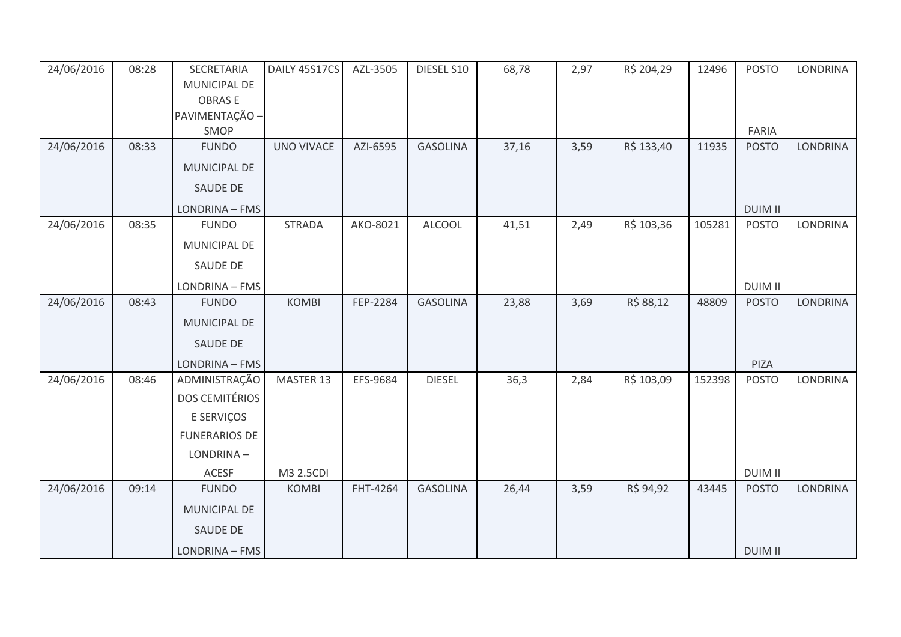| 24/06/2016 | 08:28 | SECRETARIA            | DAILY 45S17CS | AZL-3505 | DIESEL S10      | 68,78 | 2,97 | R\$ 204,29 | 12496  | <b>POSTO</b>   | <b>LONDRINA</b> |
|------------|-------|-----------------------|---------------|----------|-----------------|-------|------|------------|--------|----------------|-----------------|
|            |       | MUNICIPAL DE          |               |          |                 |       |      |            |        |                |                 |
|            |       | <b>OBRASE</b>         |               |          |                 |       |      |            |        |                |                 |
|            |       | PAVIMENTAÇÃO -        |               |          |                 |       |      |            |        |                |                 |
|            |       | SMOP                  |               |          |                 |       |      |            |        | FARIA          |                 |
| 24/06/2016 | 08:33 | <b>FUNDO</b>          | UNO VIVACE    | AZI-6595 | <b>GASOLINA</b> | 37,16 | 3,59 | R\$ 133,40 | 11935  | <b>POSTO</b>   | LONDRINA        |
|            |       | MUNICIPAL DE          |               |          |                 |       |      |            |        |                |                 |
|            |       | SAUDE DE              |               |          |                 |       |      |            |        |                |                 |
|            |       | LONDRINA - FMS        |               |          |                 |       |      |            |        | <b>DUIM II</b> |                 |
| 24/06/2016 | 08:35 | <b>FUNDO</b>          | <b>STRADA</b> | AKO-8021 | <b>ALCOOL</b>   | 41,51 | 2,49 | R\$ 103,36 | 105281 | <b>POSTO</b>   | LONDRINA        |
|            |       | MUNICIPAL DE          |               |          |                 |       |      |            |        |                |                 |
|            |       | SAUDE DE              |               |          |                 |       |      |            |        |                |                 |
|            |       | LONDRINA - FMS        |               |          |                 |       |      |            |        | <b>DUIM II</b> |                 |
| 24/06/2016 | 08:43 | <b>FUNDO</b>          | <b>KOMBI</b>  | FEP-2284 | <b>GASOLINA</b> | 23,88 | 3,69 | R\$ 88,12  | 48809  | <b>POSTO</b>   | <b>LONDRINA</b> |
|            |       | MUNICIPAL DE          |               |          |                 |       |      |            |        |                |                 |
|            |       | <b>SAUDE DE</b>       |               |          |                 |       |      |            |        |                |                 |
|            |       | LONDRINA - FMS        |               |          |                 |       |      |            |        | PIZA           |                 |
| 24/06/2016 | 08:46 | ADMINISTRAÇÃO         | MASTER 13     | EFS-9684 | <b>DIESEL</b>   | 36,3  | 2,84 | R\$ 103,09 | 152398 | <b>POSTO</b>   | LONDRINA        |
|            |       | <b>DOS CEMITÉRIOS</b> |               |          |                 |       |      |            |        |                |                 |
|            |       | E SERVIÇOS            |               |          |                 |       |      |            |        |                |                 |
|            |       | <b>FUNERARIOS DE</b>  |               |          |                 |       |      |            |        |                |                 |
|            |       | LONDRINA-             |               |          |                 |       |      |            |        |                |                 |
|            |       | ACESF                 | M3 2.5CDI     |          |                 |       |      |            |        | <b>DUIM II</b> |                 |
| 24/06/2016 | 09:14 | <b>FUNDO</b>          | <b>KOMBI</b>  | FHT-4264 | <b>GASOLINA</b> | 26,44 | 3,59 | R\$ 94,92  | 43445  | <b>POSTO</b>   | <b>LONDRINA</b> |
|            |       | MUNICIPAL DE          |               |          |                 |       |      |            |        |                |                 |
|            |       | SAUDE DE              |               |          |                 |       |      |            |        |                |                 |
|            |       | LONDRINA - FMS        |               |          |                 |       |      |            |        | <b>DUIM II</b> |                 |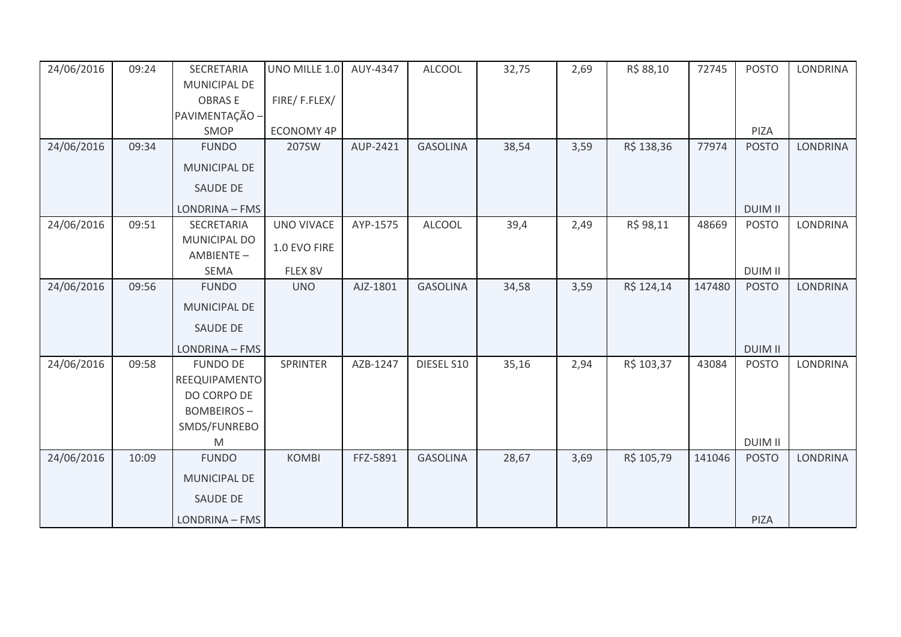| 24/06/2016 | 09:24 | SECRETARIA          | UNO MILLE 1.0     | AUY-4347 | <b>ALCOOL</b>   | 32,75 | 2,69 | R\$ 88,10  | 72745  | <b>POSTO</b>   | <b>LONDRINA</b> |
|------------|-------|---------------------|-------------------|----------|-----------------|-------|------|------------|--------|----------------|-----------------|
|            |       | MUNICIPAL DE        |                   |          |                 |       |      |            |        |                |                 |
|            |       | <b>OBRASE</b>       | FIRE/F.FLEX/      |          |                 |       |      |            |        |                |                 |
|            |       | PAVIMENTAÇÃO -      |                   |          |                 |       |      |            |        |                |                 |
|            |       | SMOP                | <b>ECONOMY 4P</b> |          |                 |       |      |            |        | PIZA           |                 |
| 24/06/2016 | 09:34 | <b>FUNDO</b>        | 207SW             | AUP-2421 | <b>GASOLINA</b> | 38,54 | 3,59 | R\$ 138,36 | 77974  | <b>POSTO</b>   | <b>LONDRINA</b> |
|            |       | MUNICIPAL DE        |                   |          |                 |       |      |            |        |                |                 |
|            |       | <b>SAUDE DE</b>     |                   |          |                 |       |      |            |        |                |                 |
|            |       | LONDRINA - FMS      |                   |          |                 |       |      |            |        | <b>DUIM II</b> |                 |
| 24/06/2016 | 09:51 | SECRETARIA          | <b>UNO VIVACE</b> | AYP-1575 | <b>ALCOOL</b>   | 39,4  | 2,49 | R\$ 98,11  | 48669  | <b>POSTO</b>   | LONDRINA        |
|            |       | MUNICIPAL DO        | 1.0 EVO FIRE      |          |                 |       |      |            |        |                |                 |
|            |       | AMBIENTE-           |                   |          |                 |       |      |            |        |                |                 |
|            |       | <b>SEMA</b>         | FLEX 8V           |          |                 |       |      |            |        | <b>DUIM II</b> |                 |
| 24/06/2016 | 09:56 | <b>FUNDO</b>        | <b>UNO</b>        | AJZ-1801 | <b>GASOLINA</b> | 34,58 | 3,59 | R\$ 124,14 | 147480 | <b>POSTO</b>   | <b>LONDRINA</b> |
|            |       | MUNICIPAL DE        |                   |          |                 |       |      |            |        |                |                 |
|            |       | <b>SAUDE DE</b>     |                   |          |                 |       |      |            |        |                |                 |
|            |       | LONDRINA - FMS      |                   |          |                 |       |      |            |        | <b>DUIM II</b> |                 |
| 24/06/2016 | 09:58 | <b>FUNDO DE</b>     | <b>SPRINTER</b>   | AZB-1247 | DIESEL S10      | 35,16 | 2,94 | R\$ 103,37 | 43084  | <b>POSTO</b>   | LONDRINA        |
|            |       | REEQUIPAMENTO       |                   |          |                 |       |      |            |        |                |                 |
|            |       | DO CORPO DE         |                   |          |                 |       |      |            |        |                |                 |
|            |       | <b>BOMBEIROS-</b>   |                   |          |                 |       |      |            |        |                |                 |
|            |       | SMDS/FUNREBO        |                   |          |                 |       |      |            |        |                |                 |
|            |       | M                   |                   |          |                 |       |      |            |        | <b>DUIM II</b> |                 |
| 24/06/2016 | 10:09 | <b>FUNDO</b>        | <b>KOMBI</b>      | FFZ-5891 | <b>GASOLINA</b> | 28,67 | 3,69 | R\$ 105,79 | 141046 | <b>POSTO</b>   | <b>LONDRINA</b> |
|            |       | <b>MUNICIPAL DE</b> |                   |          |                 |       |      |            |        |                |                 |
|            |       | <b>SAUDE DE</b>     |                   |          |                 |       |      |            |        |                |                 |
|            |       | LONDRINA - FMS      |                   |          |                 |       |      |            |        | PIZA           |                 |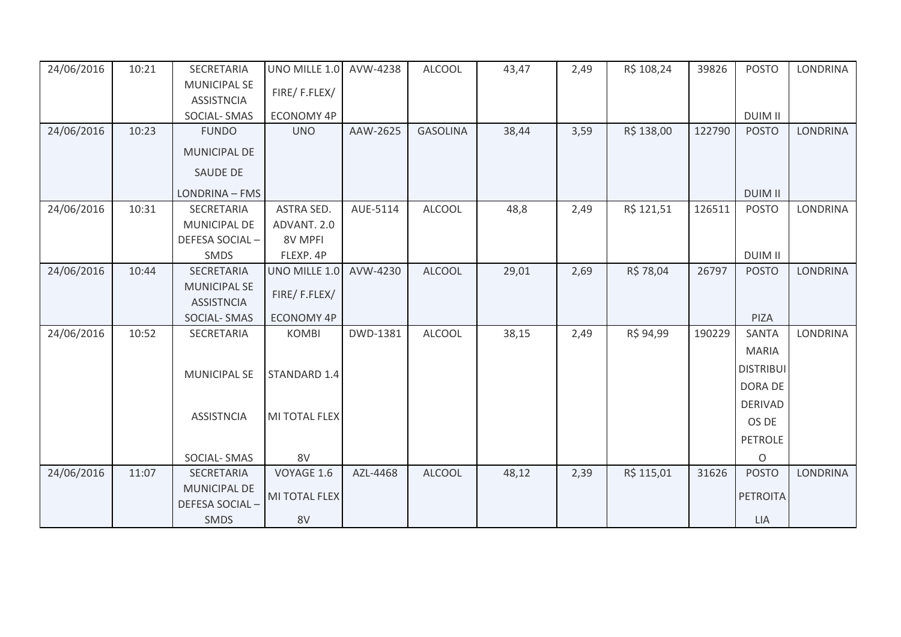| 24/06/2016 | 10:21 | SECRETARIA          | UNO MILLE 1.0     | AVW-4238 | <b>ALCOOL</b>   | 43,47 | 2,49 | R\$ 108,24 | 39826  | <b>POSTO</b>     | <b>LONDRINA</b> |
|------------|-------|---------------------|-------------------|----------|-----------------|-------|------|------------|--------|------------------|-----------------|
|            |       | <b>MUNICIPAL SE</b> |                   |          |                 |       |      |            |        |                  |                 |
|            |       | <b>ASSISTNCIA</b>   | FIRE/F.FLEX/      |          |                 |       |      |            |        |                  |                 |
|            |       | <b>SOCIAL-SMAS</b>  | <b>ECONOMY 4P</b> |          |                 |       |      |            |        | <b>DUIM II</b>   |                 |
| 24/06/2016 | 10:23 | <b>FUNDO</b>        | <b>UNO</b>        | AAW-2625 | <b>GASOLINA</b> | 38,44 | 3,59 | R\$ 138,00 | 122790 | <b>POSTO</b>     | <b>LONDRINA</b> |
|            |       | MUNICIPAL DE        |                   |          |                 |       |      |            |        |                  |                 |
|            |       | <b>SAUDE DE</b>     |                   |          |                 |       |      |            |        |                  |                 |
|            |       | LONDRINA - FMS      |                   |          |                 |       |      |            |        | <b>DUIM II</b>   |                 |
| 24/06/2016 | 10:31 | SECRETARIA          | <b>ASTRA SED.</b> | AUE-5114 | <b>ALCOOL</b>   | 48,8  | 2,49 | R\$ 121,51 | 126511 | <b>POSTO</b>     | <b>LONDRINA</b> |
|            |       | <b>MUNICIPAL DE</b> | ADVANT. 2.0       |          |                 |       |      |            |        |                  |                 |
|            |       | DEFESA SOCIAL-      | 8V MPFI           |          |                 |       |      |            |        |                  |                 |
|            |       | SMDS                | FLEXP. 4P         |          |                 |       |      |            |        | <b>DUIM II</b>   |                 |
| 24/06/2016 | 10:44 | <b>SECRETARIA</b>   | UNO MILLE 1.0     | AVW-4230 | <b>ALCOOL</b>   | 29,01 | 2,69 | R\$ 78,04  | 26797  | <b>POSTO</b>     | <b>LONDRINA</b> |
|            |       | <b>MUNICIPAL SE</b> | FIRE/F.FLEX/      |          |                 |       |      |            |        |                  |                 |
|            |       | <b>ASSISTNCIA</b>   |                   |          |                 |       |      |            |        |                  |                 |
|            |       | <b>SOCIAL-SMAS</b>  | <b>ECONOMY 4P</b> |          |                 |       |      |            |        | PIZA             |                 |
| 24/06/2016 | 10:52 | SECRETARIA          | <b>KOMBI</b>      | DWD-1381 | <b>ALCOOL</b>   | 38,15 | 2,49 | R\$ 94,99  | 190229 | <b>SANTA</b>     | <b>LONDRINA</b> |
|            |       |                     |                   |          |                 |       |      |            |        | <b>MARIA</b>     |                 |
|            |       | <b>MUNICIPAL SE</b> | STANDARD 1.4      |          |                 |       |      |            |        | <b>DISTRIBUI</b> |                 |
|            |       |                     |                   |          |                 |       |      |            |        | <b>DORA DE</b>   |                 |
|            |       |                     |                   |          |                 |       |      |            |        | <b>DERIVAD</b>   |                 |
|            |       | <b>ASSISTNCIA</b>   | MI TOTAL FLEX     |          |                 |       |      |            |        | OS DE            |                 |
|            |       |                     |                   |          |                 |       |      |            |        |                  |                 |
|            |       |                     |                   |          |                 |       |      |            |        | <b>PETROLE</b>   |                 |
|            |       | SOCIAL-SMAS         | 8V                |          |                 |       |      |            |        | $\circ$          |                 |
| 24/06/2016 | 11:07 | <b>SECRETARIA</b>   | VOYAGE 1.6        | AZL-4468 | <b>ALCOOL</b>   | 48,12 | 2,39 | R\$ 115,01 | 31626  | <b>POSTO</b>     | <b>LONDRINA</b> |
|            |       | <b>MUNICIPAL DE</b> | MI TOTAL FLEX     |          |                 |       |      |            |        | <b>PETROITA</b>  |                 |
|            |       | DEFESA SOCIAL-      |                   |          |                 |       |      |            |        |                  |                 |
|            |       | <b>SMDS</b>         | 8V                |          |                 |       |      |            |        | LIA              |                 |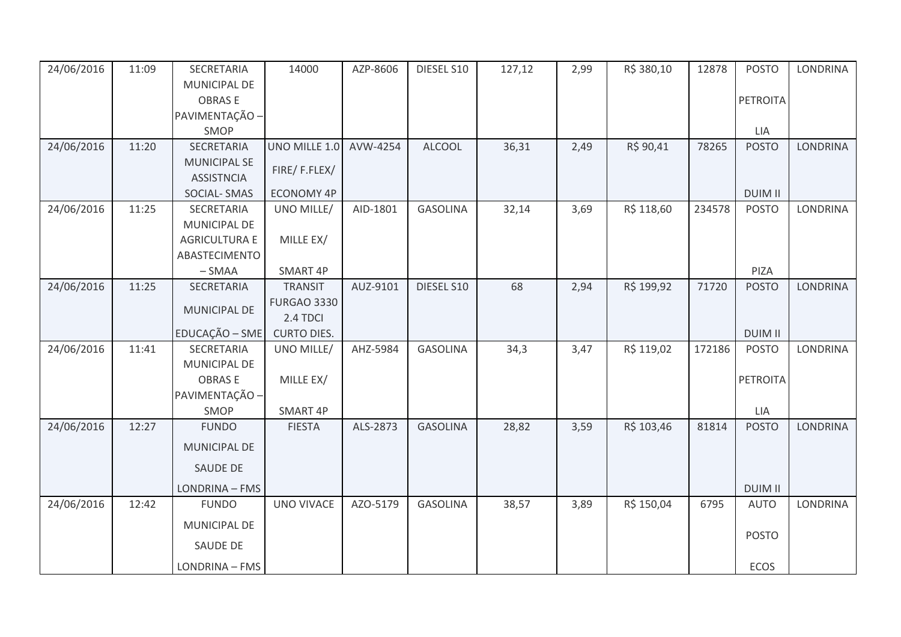| 24/06/2016 | 11:09 | SECRETARIA           | 14000              | AZP-8606 | DIESEL S10      | 127,12 | 2,99 | R\$ 380,10 | 12878  | <b>POSTO</b>   | <b>LONDRINA</b> |
|------------|-------|----------------------|--------------------|----------|-----------------|--------|------|------------|--------|----------------|-----------------|
|            |       | MUNICIPAL DE         |                    |          |                 |        |      |            |        |                |                 |
|            |       | <b>OBRASE</b>        |                    |          |                 |        |      |            |        | PETROITA       |                 |
|            |       | PAVIMENTAÇÃO -       |                    |          |                 |        |      |            |        |                |                 |
|            |       | SMOP                 |                    |          |                 |        |      |            |        | LIA            |                 |
| 24/06/2016 | 11:20 | SECRETARIA           | UNO MILLE 1.0      | AVW-4254 | <b>ALCOOL</b>   | 36,31  | 2,49 | R\$ 90,41  | 78265  | <b>POSTO</b>   | <b>LONDRINA</b> |
|            |       | <b>MUNICIPAL SE</b>  | FIRE/F.FLEX/       |          |                 |        |      |            |        |                |                 |
|            |       | <b>ASSISTNCIA</b>    |                    |          |                 |        |      |            |        |                |                 |
|            |       | SOCIAL-SMAS          | <b>ECONOMY 4P</b>  |          |                 |        |      |            |        | <b>DUIM II</b> |                 |
| 24/06/2016 | 11:25 | SECRETARIA           | UNO MILLE/         | AID-1801 | <b>GASOLINA</b> | 32,14  | 3,69 | R\$ 118,60 | 234578 | <b>POSTO</b>   | <b>LONDRINA</b> |
|            |       | <b>MUNICIPAL DE</b>  |                    |          |                 |        |      |            |        |                |                 |
|            |       | <b>AGRICULTURA E</b> | MILLE EX/          |          |                 |        |      |            |        |                |                 |
|            |       | ABASTECIMENTO        |                    |          |                 |        |      |            |        |                |                 |
|            |       | $-SMAA$              | SMART 4P           |          |                 |        |      |            |        | PIZA           |                 |
| 24/06/2016 | 11:25 | SECRETARIA           | <b>TRANSIT</b>     | AUZ-9101 | DIESEL S10      | 68     | 2,94 | R\$ 199,92 | 71720  | <b>POSTO</b>   | <b>LONDRINA</b> |
|            |       | MUNICIPAL DE         | <b>FURGAO 3330</b> |          |                 |        |      |            |        |                |                 |
|            |       |                      | 2.4 TDCI           |          |                 |        |      |            |        |                |                 |
|            |       | EDUCAÇÃO - SME       | <b>CURTO DIES.</b> |          |                 |        |      |            |        | <b>DUIM II</b> |                 |
| 24/06/2016 | 11:41 | SECRETARIA           | UNO MILLE/         | AHZ-5984 | <b>GASOLINA</b> | 34,3   | 3,47 | R\$ 119,02 | 172186 | <b>POSTO</b>   | LONDRINA        |
|            |       | MUNICIPAL DE         |                    |          |                 |        |      |            |        |                |                 |
|            |       | <b>OBRASE</b>        | MILLE EX/          |          |                 |        |      |            |        | PETROITA       |                 |
|            |       | PAVIMENTAÇÃO -       |                    |          |                 |        |      |            |        |                |                 |
|            |       | SMOP                 | SMART 4P           |          |                 |        |      |            |        | LIA            |                 |
| 24/06/2016 | 12:27 | <b>FUNDO</b>         | <b>FIESTA</b>      | ALS-2873 | <b>GASOLINA</b> | 28,82  | 3,59 | R\$ 103,46 | 81814  | <b>POSTO</b>   | <b>LONDRINA</b> |
|            |       | <b>MUNICIPAL DE</b>  |                    |          |                 |        |      |            |        |                |                 |
|            |       | SAUDE DE             |                    |          |                 |        |      |            |        |                |                 |
|            |       | LONDRINA - FMS       |                    |          |                 |        |      |            |        | <b>DUIM II</b> |                 |
| 24/06/2016 | 12:42 | <b>FUNDO</b>         | <b>UNO VIVACE</b>  | AZO-5179 | <b>GASOLINA</b> | 38,57  | 3,89 | R\$ 150,04 | 6795   | <b>AUTO</b>    | <b>LONDRINA</b> |
|            |       | MUNICIPAL DE         |                    |          |                 |        |      |            |        |                |                 |
|            |       | <b>SAUDE DE</b>      |                    |          |                 |        |      |            |        | <b>POSTO</b>   |                 |
|            |       | LONDRINA - FMS       |                    |          |                 |        |      |            |        | ECOS           |                 |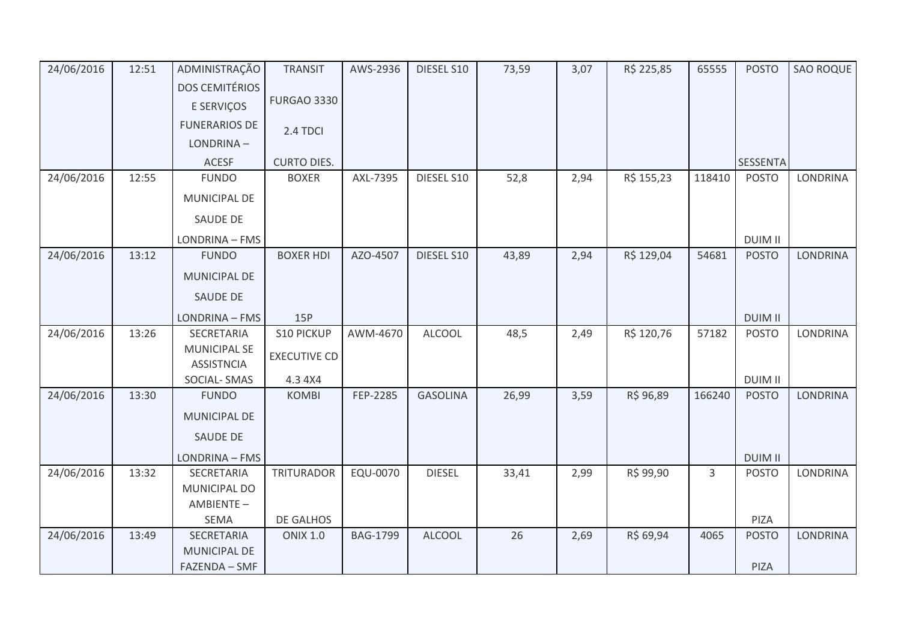| 24/06/2016 | 12:51 | ADMINISTRAÇÃO                            | <b>TRANSIT</b>               | AWS-2936        | DIESEL S10      | 73,59 | 3,07 | R\$ 225,85 | 65555          | <b>POSTO</b>         | <b>SAO ROQUE</b> |
|------------|-------|------------------------------------------|------------------------------|-----------------|-----------------|-------|------|------------|----------------|----------------------|------------------|
|            |       | <b>DOS CEMITÉRIOS</b>                    |                              |                 |                 |       |      |            |                |                      |                  |
|            |       | E SERVIÇOS                               | <b>FURGAO 3330</b>           |                 |                 |       |      |            |                |                      |                  |
|            |       | <b>FUNERARIOS DE</b>                     | 2.4 TDCI                     |                 |                 |       |      |            |                |                      |                  |
|            |       | LONDRINA-                                |                              |                 |                 |       |      |            |                |                      |                  |
|            |       | <b>ACESF</b>                             | <b>CURTO DIES.</b>           |                 |                 |       |      |            |                | <b>SESSENTA</b>      |                  |
| 24/06/2016 | 12:55 | <b>FUNDO</b>                             | <b>BOXER</b>                 | AXL-7395        | DIESEL S10      | 52,8  | 2,94 | R\$ 155,23 | 118410         | <b>POSTO</b>         | LONDRINA         |
|            |       | MUNICIPAL DE                             |                              |                 |                 |       |      |            |                |                      |                  |
|            |       | SAUDE DE                                 |                              |                 |                 |       |      |            |                |                      |                  |
|            |       | LONDRINA - FMS                           |                              |                 |                 |       |      |            |                | <b>DUIM II</b>       |                  |
| 24/06/2016 | 13:12 | <b>FUNDO</b>                             | <b>BOXER HDI</b>             | AZO-4507        | DIESEL S10      | 43,89 | 2,94 | R\$ 129,04 | 54681          | <b>POSTO</b>         | LONDRINA         |
|            |       | MUNICIPAL DE                             |                              |                 |                 |       |      |            |                |                      |                  |
|            |       | SAUDE DE                                 |                              |                 |                 |       |      |            |                |                      |                  |
|            |       | LONDRINA - FMS                           | 15P                          |                 |                 |       |      |            |                | <b>DUIM II</b>       |                  |
| 24/06/2016 | 13:26 | SECRETARIA                               | <b>S10 PICKUP</b>            | AWM-4670        | <b>ALCOOL</b>   | 48,5  | 2,49 | R\$ 120,76 | 57182          | <b>POSTO</b>         | LONDRINA         |
|            |       | <b>MUNICIPAL SE</b><br><b>ASSISTNCIA</b> | <b>EXECUTIVE CD</b>          |                 |                 |       |      |            |                |                      |                  |
|            |       | SOCIAL-SMAS                              | 4.3 4X4                      |                 |                 |       |      |            |                | <b>DUIM II</b>       |                  |
| 24/06/2016 | 13:30 | <b>FUNDO</b>                             | <b>KOMBI</b>                 | FEP-2285        | <b>GASOLINA</b> | 26,99 | 3,59 | R\$ 96,89  | 166240         | <b>POSTO</b>         | <b>LONDRINA</b>  |
|            |       | MUNICIPAL DE                             |                              |                 |                 |       |      |            |                |                      |                  |
|            |       | <b>SAUDE DE</b>                          |                              |                 |                 |       |      |            |                |                      |                  |
|            |       | LONDRINA - FMS                           |                              |                 |                 |       |      |            |                | <b>DUIM II</b>       |                  |
| 24/06/2016 | 13:32 | SECRETARIA                               | <b>TRITURADOR</b>            | EQU-0070        | <b>DIESEL</b>   | 33,41 | 2,99 | R\$ 99,90  | $\overline{3}$ | <b>POSTO</b>         | LONDRINA         |
|            |       | MUNICIPAL DO                             |                              |                 |                 |       |      |            |                |                      |                  |
|            |       | AMBIENTE-                                |                              |                 |                 |       |      |            |                |                      |                  |
| 24/06/2016 | 13:49 | SEMA<br>SECRETARIA                       | DE GALHOS<br><b>ONIX 1.0</b> | <b>BAG-1799</b> | <b>ALCOOL</b>   | 26    | 2,69 | R\$ 69,94  | 4065           | PIZA<br><b>POSTO</b> | <b>LONDRINA</b>  |
|            |       | MUNICIPAL DE                             |                              |                 |                 |       |      |            |                |                      |                  |
|            |       | FAZENDA - SMF                            |                              |                 |                 |       |      |            |                | PIZA                 |                  |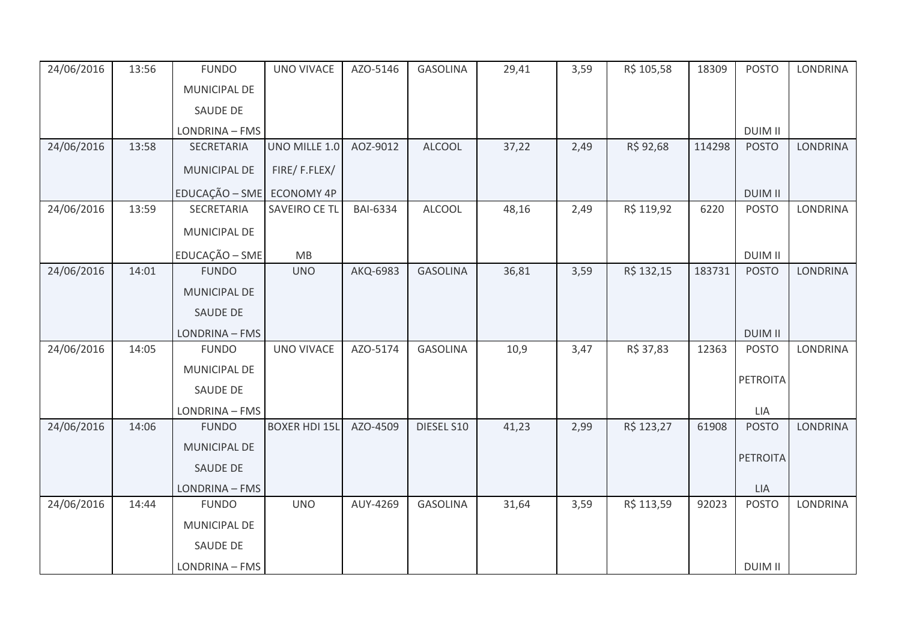| 24/06/2016 | 13:56 | <b>FUNDO</b>    | <b>UNO VIVACE</b>    | AZO-5146        | <b>GASOLINA</b> | 29,41 | 3,59 | R\$ 105,58 | 18309  | <b>POSTO</b>    | <b>LONDRINA</b> |
|------------|-------|-----------------|----------------------|-----------------|-----------------|-------|------|------------|--------|-----------------|-----------------|
|            |       | MUNICIPAL DE    |                      |                 |                 |       |      |            |        |                 |                 |
|            |       | SAUDE DE        |                      |                 |                 |       |      |            |        |                 |                 |
|            |       | LONDRINA - FMS  |                      |                 |                 |       |      |            |        | <b>DUIM II</b>  |                 |
| 24/06/2016 | 13:58 | SECRETARIA      | UNO MILLE 1.0        | AOZ-9012        | <b>ALCOOL</b>   | 37,22 | 2,49 | R\$ 92,68  | 114298 | <b>POSTO</b>    | <b>LONDRINA</b> |
|            |       | MUNICIPAL DE    | FIRE/F.FLEX/         |                 |                 |       |      |            |        |                 |                 |
|            |       | EDUCAÇÃO - SME  | <b>ECONOMY 4P</b>    |                 |                 |       |      |            |        | <b>DUIM II</b>  |                 |
| 24/06/2016 | 13:59 | SECRETARIA      | SAVEIRO CE TL        | <b>BAI-6334</b> | <b>ALCOOL</b>   | 48,16 | 2,49 | R\$ 119,92 | 6220   | <b>POSTO</b>    | <b>LONDRINA</b> |
|            |       | MUNICIPAL DE    |                      |                 |                 |       |      |            |        |                 |                 |
|            |       | EDUCAÇÃO - SME  | MB                   |                 |                 |       |      |            |        | <b>DUIM II</b>  |                 |
| 24/06/2016 | 14:01 | <b>FUNDO</b>    | <b>UNO</b>           | AKQ-6983        | <b>GASOLINA</b> | 36,81 | 3,59 | R\$ 132,15 | 183731 | <b>POSTO</b>    | LONDRINA        |
|            |       | MUNICIPAL DE    |                      |                 |                 |       |      |            |        |                 |                 |
|            |       | SAUDE DE        |                      |                 |                 |       |      |            |        |                 |                 |
|            |       | LONDRINA - FMS  |                      |                 |                 |       |      |            |        | <b>DUIM II</b>  |                 |
| 24/06/2016 | 14:05 | <b>FUNDO</b>    | <b>UNO VIVACE</b>    | AZO-5174        | <b>GASOLINA</b> | 10,9  | 3,47 | R\$ 37,83  | 12363  | <b>POSTO</b>    | LONDRINA        |
|            |       | MUNICIPAL DE    |                      |                 |                 |       |      |            |        |                 |                 |
|            |       | <b>SAUDE DE</b> |                      |                 |                 |       |      |            |        | <b>PETROITA</b> |                 |
|            |       | LONDRINA - FMS  |                      |                 |                 |       |      |            |        | LIA             |                 |
| 24/06/2016 | 14:06 | <b>FUNDO</b>    | <b>BOXER HDI 15L</b> | AZO-4509        | DIESEL S10      | 41,23 | 2,99 | R\$ 123,27 | 61908  | <b>POSTO</b>    | <b>LONDRINA</b> |
|            |       | MUNICIPAL DE    |                      |                 |                 |       |      |            |        |                 |                 |
|            |       | SAUDE DE        |                      |                 |                 |       |      |            |        | <b>PETROITA</b> |                 |
|            |       | LONDRINA - FMS  |                      |                 |                 |       |      |            |        | <b>LIA</b>      |                 |
| 24/06/2016 | 14:44 | <b>FUNDO</b>    | <b>UNO</b>           | AUY-4269        | <b>GASOLINA</b> | 31,64 | 3,59 | R\$ 113,59 | 92023  | <b>POSTO</b>    | <b>LONDRINA</b> |
|            |       | MUNICIPAL DE    |                      |                 |                 |       |      |            |        |                 |                 |
|            |       | SAUDE DE        |                      |                 |                 |       |      |            |        |                 |                 |
|            |       | LONDRINA - FMS  |                      |                 |                 |       |      |            |        | <b>DUIM II</b>  |                 |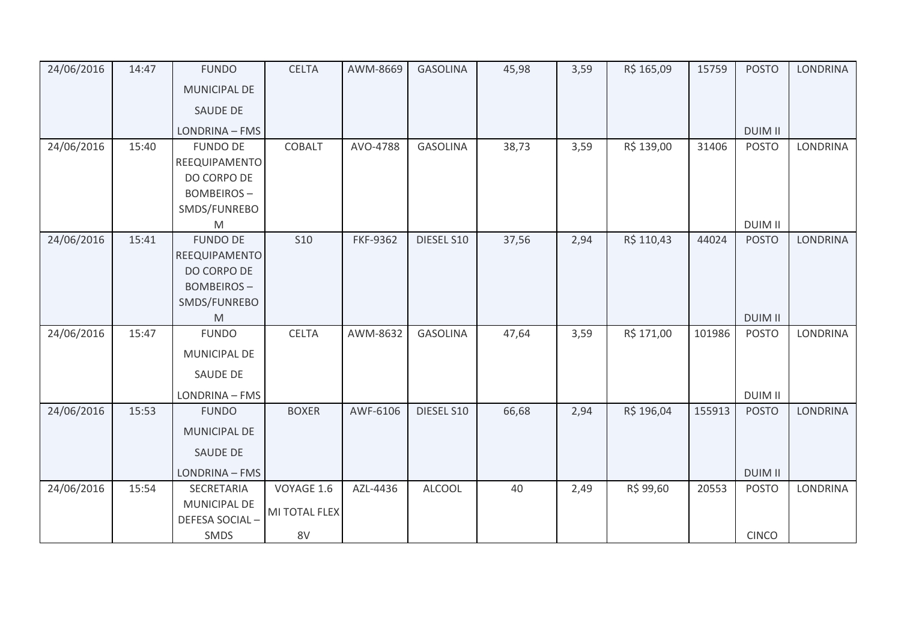| 24/06/2016 | 14:47 | <b>FUNDO</b>        | <b>CELTA</b>  | AWM-8669        | <b>GASOLINA</b> | 45,98 | 3,59 | R\$ 165,09 | 15759  | <b>POSTO</b>   | <b>LONDRINA</b> |
|------------|-------|---------------------|---------------|-----------------|-----------------|-------|------|------------|--------|----------------|-----------------|
|            |       | <b>MUNICIPAL DE</b> |               |                 |                 |       |      |            |        |                |                 |
|            |       | SAUDE DE            |               |                 |                 |       |      |            |        |                |                 |
|            |       | LONDRINA - FMS      |               |                 |                 |       |      |            |        | <b>DUIM II</b> |                 |
| 24/06/2016 | 15:40 | <b>FUNDO DE</b>     | COBALT        | AVO-4788        | <b>GASOLINA</b> | 38,73 | 3,59 | R\$ 139,00 | 31406  | <b>POSTO</b>   | LONDRINA        |
|            |       | REEQUIPAMENTO       |               |                 |                 |       |      |            |        |                |                 |
|            |       | DO CORPO DE         |               |                 |                 |       |      |            |        |                |                 |
|            |       | <b>BOMBEIROS-</b>   |               |                 |                 |       |      |            |        |                |                 |
|            |       | SMDS/FUNREBO        |               |                 |                 |       |      |            |        |                |                 |
|            |       | M                   |               |                 |                 |       |      |            |        | <b>DUIM II</b> |                 |
| 24/06/2016 | 15:41 | <b>FUNDO DE</b>     | <b>S10</b>    | <b>FKF-9362</b> | DIESEL S10      | 37,56 | 2,94 | R\$ 110,43 | 44024  | <b>POSTO</b>   | <b>LONDRINA</b> |
|            |       | REEQUIPAMENTO       |               |                 |                 |       |      |            |        |                |                 |
|            |       | DO CORPO DE         |               |                 |                 |       |      |            |        |                |                 |
|            |       | <b>BOMBEIROS-</b>   |               |                 |                 |       |      |            |        |                |                 |
|            |       | SMDS/FUNREBO<br>M   |               |                 |                 |       |      |            |        | <b>DUIM II</b> |                 |
| 24/06/2016 | 15:47 | <b>FUNDO</b>        | <b>CELTA</b>  | AWM-8632        | <b>GASOLINA</b> | 47,64 | 3,59 | R\$ 171,00 | 101986 | <b>POSTO</b>   | <b>LONDRINA</b> |
|            |       |                     |               |                 |                 |       |      |            |        |                |                 |
|            |       | MUNICIPAL DE        |               |                 |                 |       |      |            |        |                |                 |
|            |       | SAUDE DE            |               |                 |                 |       |      |            |        |                |                 |
|            |       | LONDRINA - FMS      |               |                 |                 |       |      |            |        | <b>DUIM II</b> |                 |
| 24/06/2016 | 15:53 | <b>FUNDO</b>        | <b>BOXER</b>  | AWF-6106        | DIESEL S10      | 66,68 | 2,94 | R\$ 196,04 | 155913 | <b>POSTO</b>   | <b>LONDRINA</b> |
|            |       | <b>MUNICIPAL DE</b> |               |                 |                 |       |      |            |        |                |                 |
|            |       | SAUDE DE            |               |                 |                 |       |      |            |        |                |                 |
|            |       | LONDRINA - FMS      |               |                 |                 |       |      |            |        | <b>DUIM II</b> |                 |
| 24/06/2016 | 15:54 | SECRETARIA          | VOYAGE 1.6    | AZL-4436        | <b>ALCOOL</b>   | 40    | 2,49 | R\$ 99,60  | 20553  | <b>POSTO</b>   | <b>LONDRINA</b> |
|            |       | <b>MUNICIPAL DE</b> | MI TOTAL FLEX |                 |                 |       |      |            |        |                |                 |
|            |       | DEFESA SOCIAL-      |               |                 |                 |       |      |            |        |                |                 |
|            |       | <b>SMDS</b>         | 8V            |                 |                 |       |      |            |        | <b>CINCO</b>   |                 |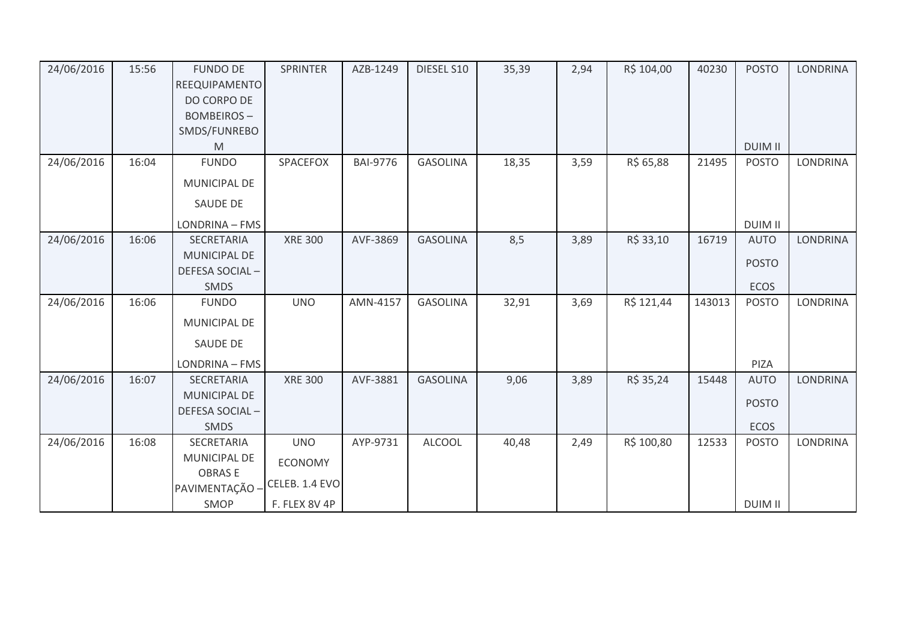| 24/06/2016 | 15:56 | <b>FUNDO DE</b><br>REEQUIPAMENTO<br>DO CORPO DE<br><b>BOMBEIROS-</b><br>SMDS/FUNREBO<br>M | <b>SPRINTER</b>                                                 | AZB-1249        | DIESEL S10      | 35,39 | 2,94 | R\$ 104,00 | 40230  | <b>POSTO</b><br><b>DUIM II</b>             | LONDRINA        |
|------------|-------|-------------------------------------------------------------------------------------------|-----------------------------------------------------------------|-----------------|-----------------|-------|------|------------|--------|--------------------------------------------|-----------------|
| 24/06/2016 | 16:04 | <b>FUNDO</b><br>MUNICIPAL DE<br><b>SAUDE DE</b><br>LONDRINA - FMS                         | SPACEFOX                                                        | <b>BAI-9776</b> | <b>GASOLINA</b> | 18,35 | 3,59 | R\$ 65,88  | 21495  | <b>POSTO</b><br><b>DUIM II</b>             | <b>LONDRINA</b> |
| 24/06/2016 | 16:06 | <b>SECRETARIA</b><br><b>MUNICIPAL DE</b><br>DEFESA SOCIAL-<br><b>SMDS</b>                 | <b>XRE 300</b>                                                  | AVF-3869        | <b>GASOLINA</b> | 8,5   | 3,89 | R\$ 33,10  | 16719  | <b>AUTO</b><br><b>POSTO</b><br><b>ECOS</b> | <b>LONDRINA</b> |
| 24/06/2016 | 16:06 | <b>FUNDO</b><br>MUNICIPAL DE<br><b>SAUDE DE</b><br>LONDRINA - FMS                         | <b>UNO</b>                                                      | AMN-4157        | <b>GASOLINA</b> | 32,91 | 3,69 | R\$ 121,44 | 143013 | <b>POSTO</b><br>PIZA                       | <b>LONDRINA</b> |
| 24/06/2016 | 16:07 | <b>SECRETARIA</b><br><b>MUNICIPAL DE</b><br>DEFESA SOCIAL-<br><b>SMDS</b>                 | <b>XRE 300</b>                                                  | AVF-3881        | <b>GASOLINA</b> | 9,06  | 3,89 | R\$ 35,24  | 15448  | <b>AUTO</b><br><b>POSTO</b><br>ECOS        | <b>LONDRINA</b> |
| 24/06/2016 | 16:08 | SECRETARIA<br>MUNICIPAL DE<br><b>OBRASE</b><br>PAVIMENTAÇÃO -<br>SMOP                     | <b>UNO</b><br><b>ECONOMY</b><br>CELEB. 1.4 EVO<br>F. FLEX 8V 4P | AYP-9731        | <b>ALCOOL</b>   | 40,48 | 2,49 | R\$ 100,80 | 12533  | <b>POSTO</b><br><b>DUIM II</b>             | LONDRINA        |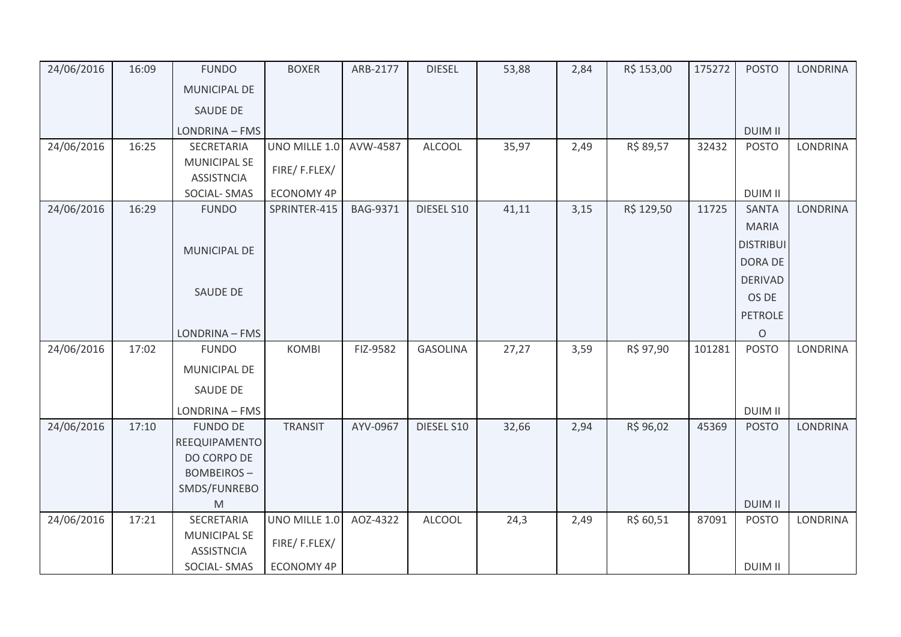| 24/06/2016 | 16:09 | <b>FUNDO</b>                             | <b>BOXER</b>      | ARB-2177 | <b>DIESEL</b>   | 53,88 | 2,84 | R\$ 153,00 | 175272 | <b>POSTO</b>     | <b>LONDRINA</b> |
|------------|-------|------------------------------------------|-------------------|----------|-----------------|-------|------|------------|--------|------------------|-----------------|
|            |       | MUNICIPAL DE                             |                   |          |                 |       |      |            |        |                  |                 |
|            |       | SAUDE DE                                 |                   |          |                 |       |      |            |        |                  |                 |
|            |       | LONDRINA - FMS                           |                   |          |                 |       |      |            |        | <b>DUIM II</b>   |                 |
| 24/06/2016 | 16:25 | SECRETARIA                               | UNO MILLE 1.0     | AVW-4587 | <b>ALCOOL</b>   | 35,97 | 2,49 | R\$ 89,57  | 32432  | <b>POSTO</b>     | <b>LONDRINA</b> |
|            |       | <b>MUNICIPAL SE</b><br><b>ASSISTNCIA</b> | FIRE/F.FLEX/      |          |                 |       |      |            |        |                  |                 |
|            |       | SOCIAL-SMAS                              | ECONOMY 4P        |          |                 |       |      |            |        | <b>DUIM II</b>   |                 |
| 24/06/2016 | 16:29 | <b>FUNDO</b>                             | SPRINTER-415      | BAG-9371 | DIESEL S10      | 41,11 | 3,15 | R\$ 129,50 | 11725  | <b>SANTA</b>     | <b>LONDRINA</b> |
|            |       |                                          |                   |          |                 |       |      |            |        | <b>MARIA</b>     |                 |
|            |       | MUNICIPAL DE                             |                   |          |                 |       |      |            |        | <b>DISTRIBUI</b> |                 |
|            |       |                                          |                   |          |                 |       |      |            |        | <b>DORA DE</b>   |                 |
|            |       |                                          |                   |          |                 |       |      |            |        | <b>DERIVAD</b>   |                 |
|            |       | SAUDE DE                                 |                   |          |                 |       |      |            |        | OS DE            |                 |
|            |       |                                          |                   |          |                 |       |      |            |        | <b>PETROLE</b>   |                 |
|            |       | LONDRINA - FMS                           |                   |          |                 |       |      |            |        | $\circ$          |                 |
| 24/06/2016 | 17:02 | <b>FUNDO</b>                             | <b>KOMBI</b>      | FIZ-9582 | <b>GASOLINA</b> | 27,27 | 3,59 | R\$ 97,90  | 101281 | <b>POSTO</b>     | LONDRINA        |
|            |       | MUNICIPAL DE                             |                   |          |                 |       |      |            |        |                  |                 |
|            |       | <b>SAUDE DE</b>                          |                   |          |                 |       |      |            |        |                  |                 |
|            |       | LONDRINA - FMS                           |                   |          |                 |       |      |            |        | <b>DUIM II</b>   |                 |
| 24/06/2016 | 17:10 | <b>FUNDO DE</b><br>REEQUIPAMENTO         | <b>TRANSIT</b>    | AYV-0967 | DIESEL S10      | 32,66 | 2,94 | R\$ 96,02  | 45369  | <b>POSTO</b>     | <b>LONDRINA</b> |
|            |       | DO CORPO DE                              |                   |          |                 |       |      |            |        |                  |                 |
|            |       | <b>BOMBEIROS-</b>                        |                   |          |                 |       |      |            |        |                  |                 |
|            |       | SMDS/FUNREBO                             |                   |          |                 |       |      |            |        |                  |                 |
|            |       | M                                        |                   |          |                 |       |      |            |        | <b>DUIM II</b>   |                 |
| 24/06/2016 | 17:21 | SECRETARIA                               | UNO MILLE 1.0     | AOZ-4322 | <b>ALCOOL</b>   | 24,3  | 2,49 | R\$ 60,51  | 87091  | <b>POSTO</b>     | LONDRINA        |
|            |       | <b>MUNICIPAL SE</b><br><b>ASSISTNCIA</b> | FIRE/F.FLEX/      |          |                 |       |      |            |        |                  |                 |
|            |       | SOCIAL-SMAS                              | <b>ECONOMY 4P</b> |          |                 |       |      |            |        | <b>DUIM II</b>   |                 |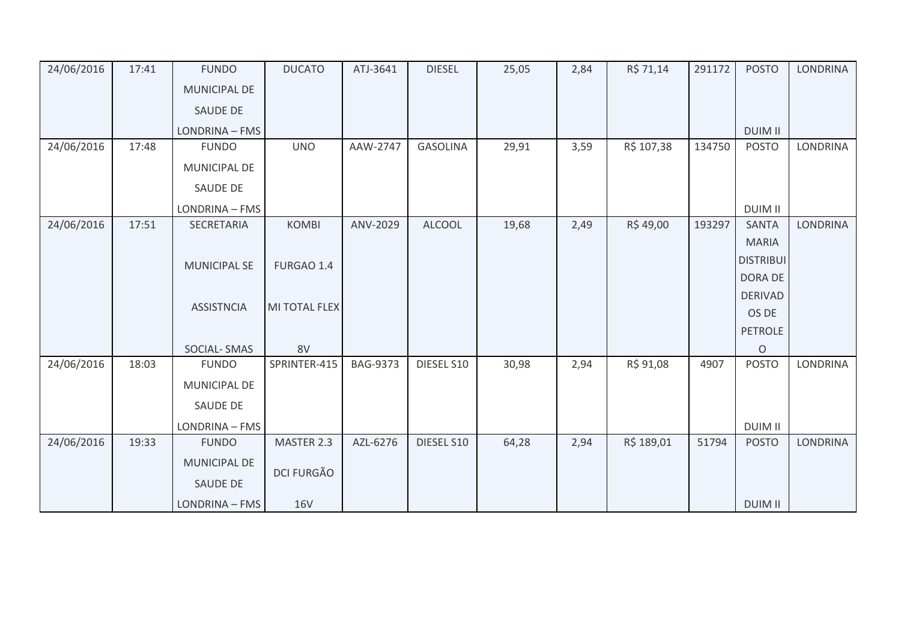| 24/06/2016 | 17:41 | <b>FUNDO</b>        | <b>DUCATO</b>     | ATJ-3641        | <b>DIESEL</b>   | 25,05 | 2,84 | R\$ 71,14  | 291172 | <b>POSTO</b>     | <b>LONDRINA</b> |
|------------|-------|---------------------|-------------------|-----------------|-----------------|-------|------|------------|--------|------------------|-----------------|
|            |       | MUNICIPAL DE        |                   |                 |                 |       |      |            |        |                  |                 |
|            |       | <b>SAUDE DE</b>     |                   |                 |                 |       |      |            |        |                  |                 |
|            |       | LONDRINA - FMS      |                   |                 |                 |       |      |            |        | <b>DUIM II</b>   |                 |
| 24/06/2016 | 17:48 | <b>FUNDO</b>        | <b>UNO</b>        | AAW-2747        | <b>GASOLINA</b> | 29,91 | 3,59 | R\$ 107,38 | 134750 | <b>POSTO</b>     | LONDRINA        |
|            |       | MUNICIPAL DE        |                   |                 |                 |       |      |            |        |                  |                 |
|            |       | SAUDE DE            |                   |                 |                 |       |      |            |        |                  |                 |
|            |       | LONDRINA - FMS      |                   |                 |                 |       |      |            |        | <b>DUIM II</b>   |                 |
| 24/06/2016 | 17:51 | SECRETARIA          | <b>KOMBI</b>      | ANV-2029        | <b>ALCOOL</b>   | 19,68 | 2,49 | R\$49,00   | 193297 | <b>SANTA</b>     | <b>LONDRINA</b> |
|            |       |                     |                   |                 |                 |       |      |            |        | <b>MARIA</b>     |                 |
|            |       | <b>MUNICIPAL SE</b> | FURGAO 1.4        |                 |                 |       |      |            |        | <b>DISTRIBUI</b> |                 |
|            |       |                     |                   |                 |                 |       |      |            |        | <b>DORA DE</b>   |                 |
|            |       |                     |                   |                 |                 |       |      |            |        | <b>DERIVAD</b>   |                 |
|            |       | <b>ASSISTNCIA</b>   | MI TOTAL FLEX     |                 |                 |       |      |            |        | OS DE            |                 |
|            |       |                     |                   |                 |                 |       |      |            |        | <b>PETROLE</b>   |                 |
|            |       | <b>SOCIAL-SMAS</b>  | 8V                |                 |                 |       |      |            |        | $\circ$          |                 |
| 24/06/2016 | 18:03 | <b>FUNDO</b>        | SPRINTER-415      | <b>BAG-9373</b> | DIESEL S10      | 30,98 | 2,94 | R\$ 91,08  | 4907   | <b>POSTO</b>     | <b>LONDRINA</b> |
|            |       | MUNICIPAL DE        |                   |                 |                 |       |      |            |        |                  |                 |
|            |       | SAUDE DE            |                   |                 |                 |       |      |            |        |                  |                 |
|            |       | LONDRINA - FMS      |                   |                 |                 |       |      |            |        | <b>DUIM II</b>   |                 |
| 24/06/2016 | 19:33 | <b>FUNDO</b>        | MASTER 2.3        | AZL-6276        | DIESEL S10      | 64,28 | 2,94 | R\$ 189,01 | 51794  | <b>POSTO</b>     | <b>LONDRINA</b> |
|            |       | <b>MUNICIPAL DE</b> |                   |                 |                 |       |      |            |        |                  |                 |
|            |       | SAUDE DE            | <b>DCI FURGÃO</b> |                 |                 |       |      |            |        |                  |                 |
|            |       | LONDRINA - FMS      | <b>16V</b>        |                 |                 |       |      |            |        | <b>DUIM II</b>   |                 |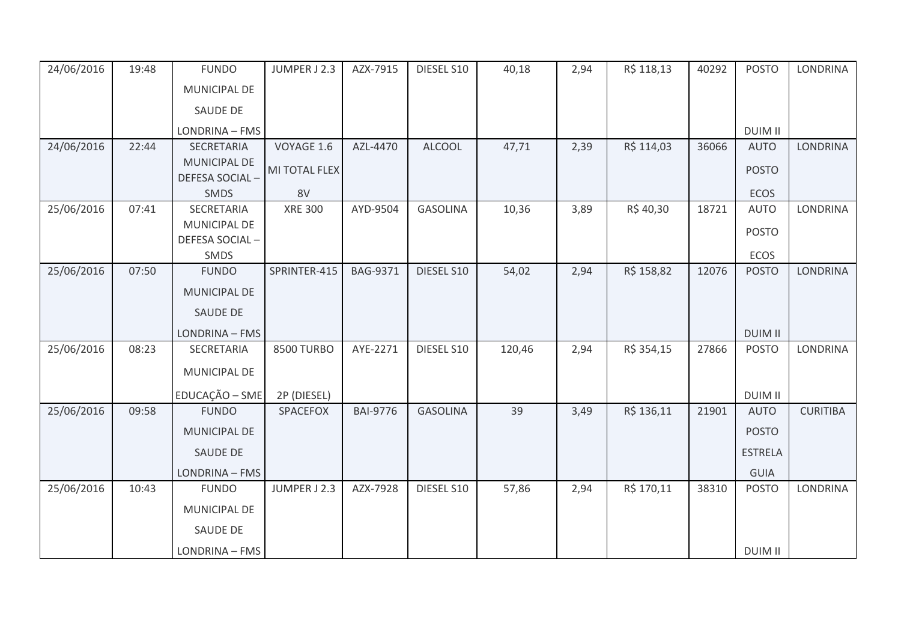| 24/06/2016 | 19:48 | <b>FUNDO</b>                          | JUMPER J 2.3   | AZX-7915        | DIESEL S10      | 40,18  | 2,94 | R\$ 118,13 | 40292 | <b>POSTO</b>   | <b>LONDRINA</b> |
|------------|-------|---------------------------------------|----------------|-----------------|-----------------|--------|------|------------|-------|----------------|-----------------|
|            |       | MUNICIPAL DE                          |                |                 |                 |        |      |            |       |                |                 |
|            |       | SAUDE DE                              |                |                 |                 |        |      |            |       |                |                 |
|            |       | LONDRINA - FMS                        |                |                 |                 |        |      |            |       | <b>DUIM II</b> |                 |
| 24/06/2016 | 22:44 | SECRETARIA                            | VOYAGE 1.6     | AZL-4470        | <b>ALCOOL</b>   | 47,71  | 2,39 | R\$ 114,03 | 36066 | <b>AUTO</b>    | <b>LONDRINA</b> |
|            |       | <b>MUNICIPAL DE</b><br>DEFESA SOCIAL- | MI TOTAL FLEX  |                 |                 |        |      |            |       | <b>POSTO</b>   |                 |
|            |       | SMDS                                  | 8V             |                 |                 |        |      |            |       | ECOS           |                 |
| 25/06/2016 | 07:41 | SECRETARIA                            | <b>XRE 300</b> | AYD-9504        | <b>GASOLINA</b> | 10,36  | 3,89 | R\$40,30   | 18721 | <b>AUTO</b>    | <b>LONDRINA</b> |
|            |       | MUNICIPAL DE<br>DEFESA SOCIAL-        |                |                 |                 |        |      |            |       | <b>POSTO</b>   |                 |
|            |       | SMDS                                  |                |                 |                 |        |      |            |       | <b>ECOS</b>    |                 |
| 25/06/2016 | 07:50 | <b>FUNDO</b>                          | SPRINTER-415   | <b>BAG-9371</b> | DIESEL S10      | 54,02  | 2,94 | R\$ 158,82 | 12076 | <b>POSTO</b>   | <b>LONDRINA</b> |
|            |       | <b>MUNICIPAL DE</b>                   |                |                 |                 |        |      |            |       |                |                 |
|            |       | SAUDE DE                              |                |                 |                 |        |      |            |       |                |                 |
|            |       | LONDRINA - FMS                        |                |                 |                 |        |      |            |       | <b>DUIM II</b> |                 |
| 25/06/2016 | 08:23 | SECRETARIA                            | 8500 TURBO     | AYE-2271        | DIESEL S10      | 120,46 | 2,94 | R\$ 354,15 | 27866 | <b>POSTO</b>   | LONDRINA        |
|            |       | MUNICIPAL DE                          |                |                 |                 |        |      |            |       |                |                 |
|            |       | EDUCAÇÃO - SME                        | 2P (DIESEL)    |                 |                 |        |      |            |       | <b>DUIM II</b> |                 |
| 25/06/2016 | 09:58 | <b>FUNDO</b>                          | SPACEFOX       | <b>BAI-9776</b> | <b>GASOLINA</b> | 39     | 3,49 | R\$ 136,11 | 21901 | <b>AUTO</b>    | <b>CURITIBA</b> |
|            |       | MUNICIPAL DE                          |                |                 |                 |        |      |            |       | <b>POSTO</b>   |                 |
|            |       | SAUDE DE                              |                |                 |                 |        |      |            |       | <b>ESTRELA</b> |                 |
|            |       | LONDRINA - FMS                        |                |                 |                 |        |      |            |       | <b>GUIA</b>    |                 |
| 25/06/2016 | 10:43 | <b>FUNDO</b>                          | JUMPER J 2.3   | AZX-7928        | DIESEL S10      | 57,86  | 2,94 | R\$ 170,11 | 38310 | <b>POSTO</b>   | <b>LONDRINA</b> |
|            |       | MUNICIPAL DE                          |                |                 |                 |        |      |            |       |                |                 |
|            |       | SAUDE DE                              |                |                 |                 |        |      |            |       |                |                 |
|            |       | LONDRINA - FMS                        |                |                 |                 |        |      |            |       | <b>DUIM II</b> |                 |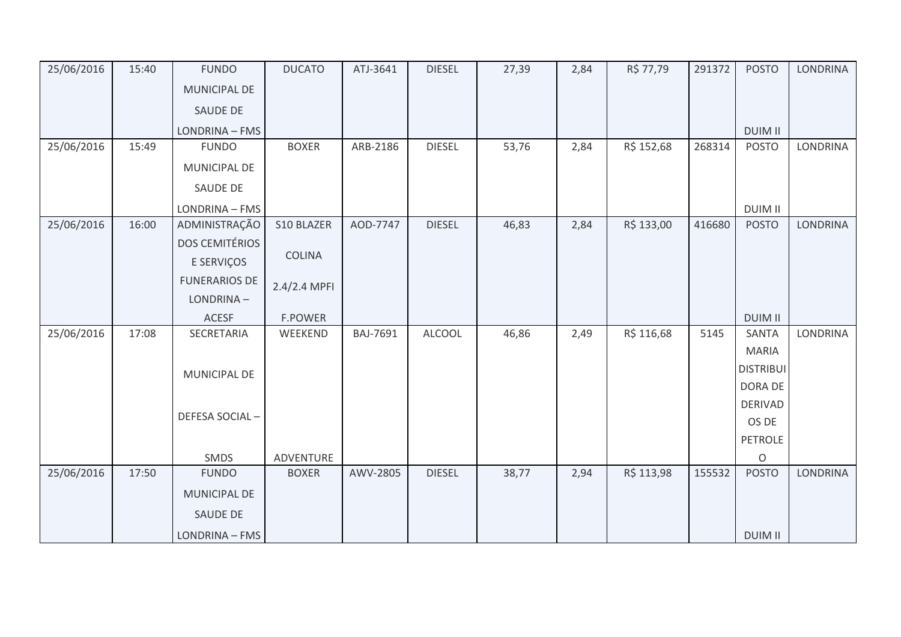| 25/06/2016 | 15:40 | <b>FUNDO</b>          | <b>DUCATO</b>  | ATJ-3641 | <b>DIESEL</b> | 27,39 | 2,84 | R\$ 77,79  | 291372 | <b>POSTO</b>     | <b>LONDRINA</b> |
|------------|-------|-----------------------|----------------|----------|---------------|-------|------|------------|--------|------------------|-----------------|
|            |       | MUNICIPAL DE          |                |          |               |       |      |            |        |                  |                 |
|            |       | SAUDE DE              |                |          |               |       |      |            |        |                  |                 |
|            |       | LONDRINA - FMS        |                |          |               |       |      |            |        | <b>DUIM II</b>   |                 |
| 25/06/2016 | 15:49 | <b>FUNDO</b>          | <b>BOXER</b>   | ARB-2186 | <b>DIESEL</b> | 53,76 | 2,84 | R\$ 152,68 | 268314 | <b>POSTO</b>     | <b>LONDRINA</b> |
|            |       | MUNICIPAL DE          |                |          |               |       |      |            |        |                  |                 |
|            |       | SAUDE DE              |                |          |               |       |      |            |        |                  |                 |
|            |       | LONDRINA - FMS        |                |          |               |       |      |            |        | <b>DUIM II</b>   |                 |
| 25/06/2016 | 16:00 | ADMINISTRAÇÃO         | S10 BLAZER     | AOD-7747 | <b>DIESEL</b> | 46,83 | 2,84 | R\$ 133,00 | 416680 | <b>POSTO</b>     | <b>LONDRINA</b> |
|            |       | <b>DOS CEMITÉRIOS</b> |                |          |               |       |      |            |        |                  |                 |
|            |       | E SERVIÇOS            | <b>COLINA</b>  |          |               |       |      |            |        |                  |                 |
|            |       | <b>FUNERARIOS DE</b>  | 2.4/2.4 MPFI   |          |               |       |      |            |        |                  |                 |
|            |       | LONDRINA-             |                |          |               |       |      |            |        |                  |                 |
|            |       | <b>ACESF</b>          | <b>F.POWER</b> |          |               |       |      |            |        | <b>DUIM II</b>   |                 |
| 25/06/2016 | 17:08 | SECRETARIA            | WEEKEND        | BAJ-7691 | <b>ALCOOL</b> | 46,86 | 2,49 | R\$ 116,68 | 5145   | <b>SANTA</b>     | LONDRINA        |
|            |       |                       |                |          |               |       |      |            |        | <b>MARIA</b>     |                 |
|            |       | MUNICIPAL DE          |                |          |               |       |      |            |        | <b>DISTRIBUI</b> |                 |
|            |       |                       |                |          |               |       |      |            |        | DORA DE          |                 |
|            |       |                       |                |          |               |       |      |            |        | <b>DERIVAD</b>   |                 |
|            |       | DEFESA SOCIAL-        |                |          |               |       |      |            |        | OS DE            |                 |
|            |       |                       |                |          |               |       |      |            |        | <b>PETROLE</b>   |                 |
|            |       | SMDS                  | ADVENTURE      |          |               |       |      |            |        | $\circ$          |                 |
| 25/06/2016 | 17:50 | <b>FUNDO</b>          | <b>BOXER</b>   | AWV-2805 | <b>DIESEL</b> | 38,77 | 2,94 | R\$ 113,98 | 155532 | <b>POSTO</b>     | <b>LONDRINA</b> |
|            |       | <b>MUNICIPAL DE</b>   |                |          |               |       |      |            |        |                  |                 |
|            |       | SAUDE DE              |                |          |               |       |      |            |        |                  |                 |
|            |       | LONDRINA - FMS        |                |          |               |       |      |            |        | <b>DUIM II</b>   |                 |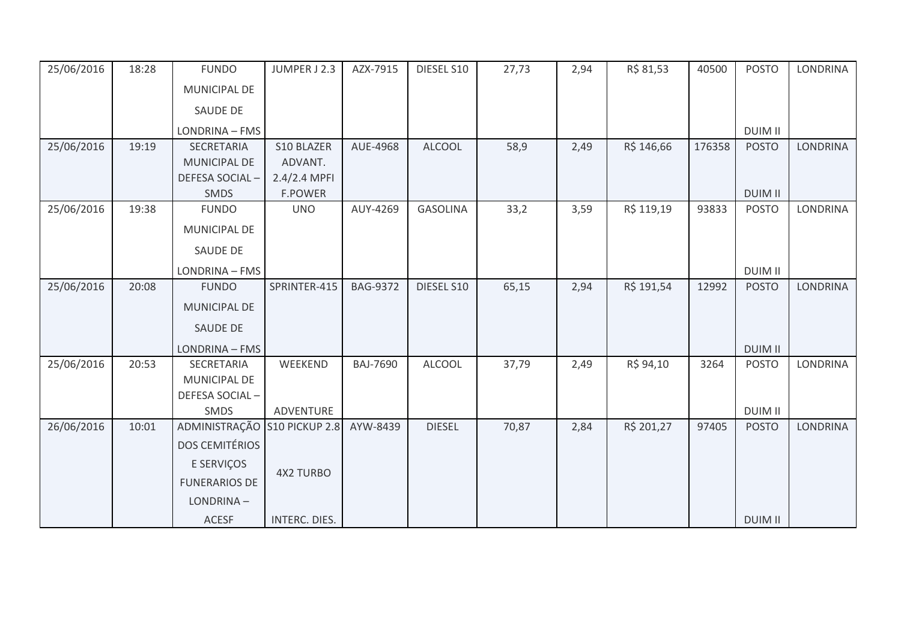| 25/06/2016 | 18:28 | <b>FUNDO</b>                 | JUMPER J 2.3     | AZX-7915        | DIESEL S10      | 27,73 | 2,94 | R\$ 81,53  | 40500  | <b>POSTO</b>   | <b>LONDRINA</b> |
|------------|-------|------------------------------|------------------|-----------------|-----------------|-------|------|------------|--------|----------------|-----------------|
|            |       | MUNICIPAL DE                 |                  |                 |                 |       |      |            |        |                |                 |
|            |       | <b>SAUDE DE</b>              |                  |                 |                 |       |      |            |        |                |                 |
|            |       | LONDRINA - FMS               |                  |                 |                 |       |      |            |        | <b>DUIM II</b> |                 |
| 25/06/2016 | 19:19 | SECRETARIA                   | S10 BLAZER       | AUE-4968        | <b>ALCOOL</b>   | 58,9  | 2,49 | R\$ 146,66 | 176358 | <b>POSTO</b>   | <b>LONDRINA</b> |
|            |       | MUNICIPAL DE                 | ADVANT.          |                 |                 |       |      |            |        |                |                 |
|            |       | DEFESA SOCIAL-               | $2.4/2.4$ MPFI   |                 |                 |       |      |            |        |                |                 |
|            |       | SMDS                         | <b>F.POWER</b>   |                 |                 |       |      |            |        | <b>DUIM II</b> |                 |
| 25/06/2016 | 19:38 | <b>FUNDO</b>                 | <b>UNO</b>       | AUY-4269        | <b>GASOLINA</b> | 33,2  | 3,59 | R\$ 119,19 | 93833  | <b>POSTO</b>   | <b>LONDRINA</b> |
|            |       | MUNICIPAL DE                 |                  |                 |                 |       |      |            |        |                |                 |
|            |       | <b>SAUDE DE</b>              |                  |                 |                 |       |      |            |        |                |                 |
|            |       | LONDRINA - FMS               |                  |                 |                 |       |      |            |        | <b>DUIM II</b> |                 |
| 25/06/2016 | 20:08 | <b>FUNDO</b>                 | SPRINTER-415     | <b>BAG-9372</b> | DIESEL S10      | 65,15 | 2,94 | R\$ 191,54 | 12992  | <b>POSTO</b>   | <b>LONDRINA</b> |
|            |       | MUNICIPAL DE                 |                  |                 |                 |       |      |            |        |                |                 |
|            |       | <b>SAUDE DE</b>              |                  |                 |                 |       |      |            |        |                |                 |
|            |       | LONDRINA - FMS               |                  |                 |                 |       |      |            |        | <b>DUIM II</b> |                 |
| 25/06/2016 | 20:53 | SECRETARIA                   | WEEKEND          | <b>BAJ-7690</b> | <b>ALCOOL</b>   | 37,79 | 2,49 | R\$ 94,10  | 3264   | <b>POSTO</b>   | <b>LONDRINA</b> |
|            |       | MUNICIPAL DE                 |                  |                 |                 |       |      |            |        |                |                 |
|            |       | DEFESA SOCIAL-               |                  |                 |                 |       |      |            |        |                |                 |
|            |       | SMDS                         | ADVENTURE        |                 |                 |       |      |            |        | <b>DUIM II</b> |                 |
| 26/06/2016 | 10:01 | ADMINISTRAÇÃO S10 PICKUP 2.8 |                  | AYW-8439        | <b>DIESEL</b>   | 70,87 | 2,84 | R\$ 201,27 | 97405  | <b>POSTO</b>   | LONDRINA        |
|            |       | <b>DOS CEMITÉRIOS</b>        |                  |                 |                 |       |      |            |        |                |                 |
|            |       | E SERVIÇOS                   |                  |                 |                 |       |      |            |        |                |                 |
|            |       | <b>FUNERARIOS DE</b>         | <b>4X2 TURBO</b> |                 |                 |       |      |            |        |                |                 |
|            |       | LONDRINA-                    |                  |                 |                 |       |      |            |        |                |                 |
|            |       | <b>ACESF</b>                 | INTERC. DIES.    |                 |                 |       |      |            |        | <b>DUIM II</b> |                 |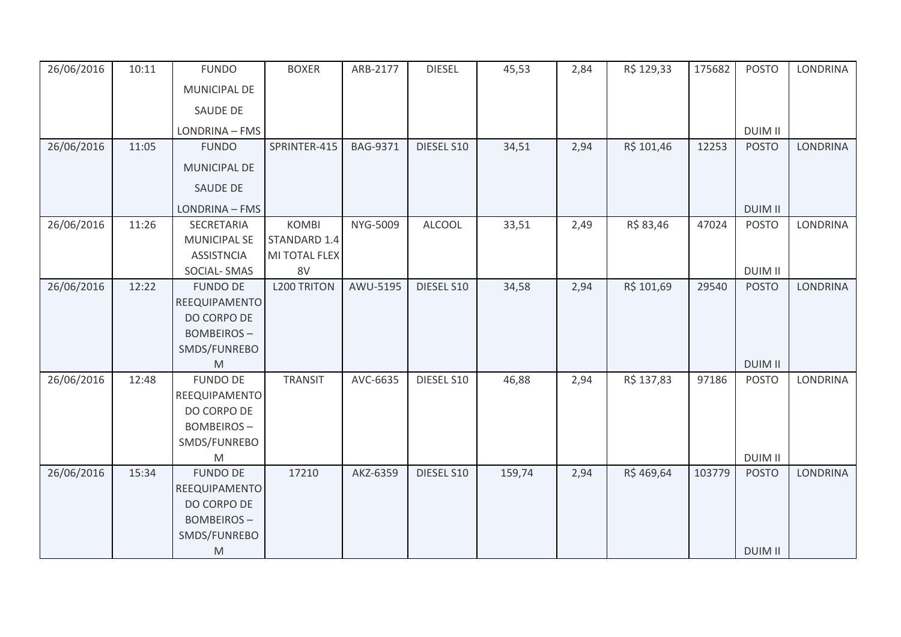| 26/06/2016 | 10:11 | <b>FUNDO</b>        | <b>BOXER</b>       | ARB-2177 | <b>DIESEL</b> | 45,53  | 2,84 | R\$ 129,33 | 175682 | <b>POSTO</b>   | <b>LONDRINA</b> |
|------------|-------|---------------------|--------------------|----------|---------------|--------|------|------------|--------|----------------|-----------------|
|            |       | MUNICIPAL DE        |                    |          |               |        |      |            |        |                |                 |
|            |       | SAUDE DE            |                    |          |               |        |      |            |        |                |                 |
|            |       | LONDRINA - FMS      |                    |          |               |        |      |            |        | <b>DUIM II</b> |                 |
| 26/06/2016 | 11:05 | <b>FUNDO</b>        | SPRINTER-415       | BAG-9371 | DIESEL S10    | 34,51  | 2,94 | R\$ 101,46 | 12253  | <b>POSTO</b>   | <b>LONDRINA</b> |
|            |       | MUNICIPAL DE        |                    |          |               |        |      |            |        |                |                 |
|            |       | SAUDE DE            |                    |          |               |        |      |            |        |                |                 |
|            |       | LONDRINA - FMS      |                    |          |               |        |      |            |        | <b>DUIM II</b> |                 |
| 26/06/2016 | 11:26 | SECRETARIA          | <b>KOMBI</b>       | NYG-5009 | <b>ALCOOL</b> | 33,51  | 2,49 | R\$ 83,46  | 47024  | <b>POSTO</b>   | LONDRINA        |
|            |       | <b>MUNICIPAL SE</b> | STANDARD 1.4       |          |               |        |      |            |        |                |                 |
|            |       | <b>ASSISTNCIA</b>   | MI TOTAL FLEX      |          |               |        |      |            |        |                |                 |
|            |       | SOCIAL-SMAS         | 8V                 |          |               |        |      |            |        | <b>DUIM II</b> |                 |
| 26/06/2016 | 12:22 | <b>FUNDO DE</b>     | <b>L200 TRITON</b> | AWU-5195 | DIESEL S10    | 34,58  | 2,94 | R\$ 101,69 | 29540  | <b>POSTO</b>   | <b>LONDRINA</b> |
|            |       | REEQUIPAMENTO       |                    |          |               |        |      |            |        |                |                 |
|            |       | DO CORPO DE         |                    |          |               |        |      |            |        |                |                 |
|            |       | <b>BOMBEIROS-</b>   |                    |          |               |        |      |            |        |                |                 |
|            |       | SMDS/FUNREBO        |                    |          |               |        |      |            |        |                |                 |
|            |       | M                   |                    |          |               |        |      |            |        | <b>DUIM II</b> |                 |
| 26/06/2016 | 12:48 | <b>FUNDO DE</b>     | <b>TRANSIT</b>     | AVC-6635 | DIESEL S10    | 46,88  | 2,94 | R\$ 137,83 | 97186  | <b>POSTO</b>   | LONDRINA        |
|            |       | REEQUIPAMENTO       |                    |          |               |        |      |            |        |                |                 |
|            |       | DO CORPO DE         |                    |          |               |        |      |            |        |                |                 |
|            |       | <b>BOMBEIROS-</b>   |                    |          |               |        |      |            |        |                |                 |
|            |       | SMDS/FUNREBO        |                    |          |               |        |      |            |        |                |                 |
|            |       | M                   |                    |          |               |        |      |            |        | <b>DUIM II</b> |                 |
| 26/06/2016 | 15:34 | <b>FUNDO DE</b>     | 17210              | AKZ-6359 | DIESEL S10    | 159,74 | 2,94 | R\$469,64  | 103779 | <b>POSTO</b>   | <b>LONDRINA</b> |
|            |       | REEQUIPAMENTO       |                    |          |               |        |      |            |        |                |                 |
|            |       | DO CORPO DE         |                    |          |               |        |      |            |        |                |                 |
|            |       | <b>BOMBEIROS-</b>   |                    |          |               |        |      |            |        |                |                 |
|            |       | SMDS/FUNREBO        |                    |          |               |        |      |            |        |                |                 |
|            |       | M                   |                    |          |               |        |      |            |        | <b>DUIM II</b> |                 |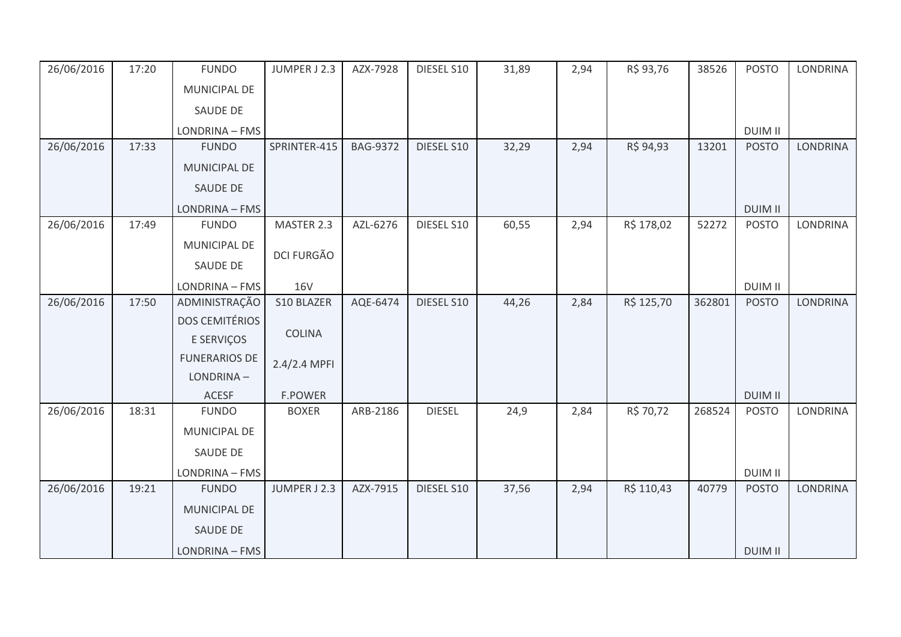| 26/06/2016 | 17:20 | <b>FUNDO</b>          | JUMPER J 2.3      | AZX-7928        | DIESEL S10    | 31,89 | 2,94 | R\$ 93,76  | 38526  | <b>POSTO</b>   | <b>LONDRINA</b> |
|------------|-------|-----------------------|-------------------|-----------------|---------------|-------|------|------------|--------|----------------|-----------------|
|            |       | MUNICIPAL DE          |                   |                 |               |       |      |            |        |                |                 |
|            |       | SAUDE DE              |                   |                 |               |       |      |            |        |                |                 |
|            |       | LONDRINA - FMS        |                   |                 |               |       |      |            |        | <b>DUIM II</b> |                 |
| 26/06/2016 | 17:33 | <b>FUNDO</b>          | SPRINTER-415      | <b>BAG-9372</b> | DIESEL S10    | 32,29 | 2,94 | R\$ 94,93  | 13201  | <b>POSTO</b>   | <b>LONDRINA</b> |
|            |       | MUNICIPAL DE          |                   |                 |               |       |      |            |        |                |                 |
|            |       | SAUDE DE              |                   |                 |               |       |      |            |        |                |                 |
|            |       | LONDRINA - FMS        |                   |                 |               |       |      |            |        | <b>DUIM II</b> |                 |
| 26/06/2016 | 17:49 | <b>FUNDO</b>          | MASTER 2.3        | AZL-6276        | DIESEL S10    | 60,55 | 2,94 | R\$ 178,02 | 52272  | <b>POSTO</b>   | <b>LONDRINA</b> |
|            |       | MUNICIPAL DE          |                   |                 |               |       |      |            |        |                |                 |
|            |       | SAUDE DE              | <b>DCI FURGÃO</b> |                 |               |       |      |            |        |                |                 |
|            |       | LONDRINA - FMS        | <b>16V</b>        |                 |               |       |      |            |        | <b>DUIM II</b> |                 |
| 26/06/2016 | 17:50 | ADMINISTRAÇÃO         | S10 BLAZER        | AQE-6474        | DIESEL S10    | 44,26 | 2,84 | R\$ 125,70 | 362801 | <b>POSTO</b>   | <b>LONDRINA</b> |
|            |       | <b>DOS CEMITÉRIOS</b> |                   |                 |               |       |      |            |        |                |                 |
|            |       | E SERVIÇOS            | <b>COLINA</b>     |                 |               |       |      |            |        |                |                 |
|            |       | <b>FUNERARIOS DE</b>  | 2.4/2.4 MPFI      |                 |               |       |      |            |        |                |                 |
|            |       | LONDRINA-             |                   |                 |               |       |      |            |        |                |                 |
|            |       | <b>ACESF</b>          | <b>F.POWER</b>    |                 |               |       |      |            |        | <b>DUIM II</b> |                 |
| 26/06/2016 | 18:31 | <b>FUNDO</b>          | <b>BOXER</b>      | ARB-2186        | <b>DIESEL</b> | 24,9  | 2,84 | R\$ 70,72  | 268524 | <b>POSTO</b>   | <b>LONDRINA</b> |
|            |       | MUNICIPAL DE          |                   |                 |               |       |      |            |        |                |                 |
|            |       | SAUDE DE              |                   |                 |               |       |      |            |        |                |                 |
|            |       | LONDRINA - FMS        |                   |                 |               |       |      |            |        | <b>DUIM II</b> |                 |
| 26/06/2016 | 19:21 | <b>FUNDO</b>          | JUMPER J 2.3      | AZX-7915        | DIESEL S10    | 37,56 | 2,94 | R\$ 110,43 | 40779  | <b>POSTO</b>   | <b>LONDRINA</b> |
|            |       | MUNICIPAL DE          |                   |                 |               |       |      |            |        |                |                 |
|            |       | SAUDE DE              |                   |                 |               |       |      |            |        |                |                 |
|            |       | LONDRINA - FMS        |                   |                 |               |       |      |            |        | <b>DUIM II</b> |                 |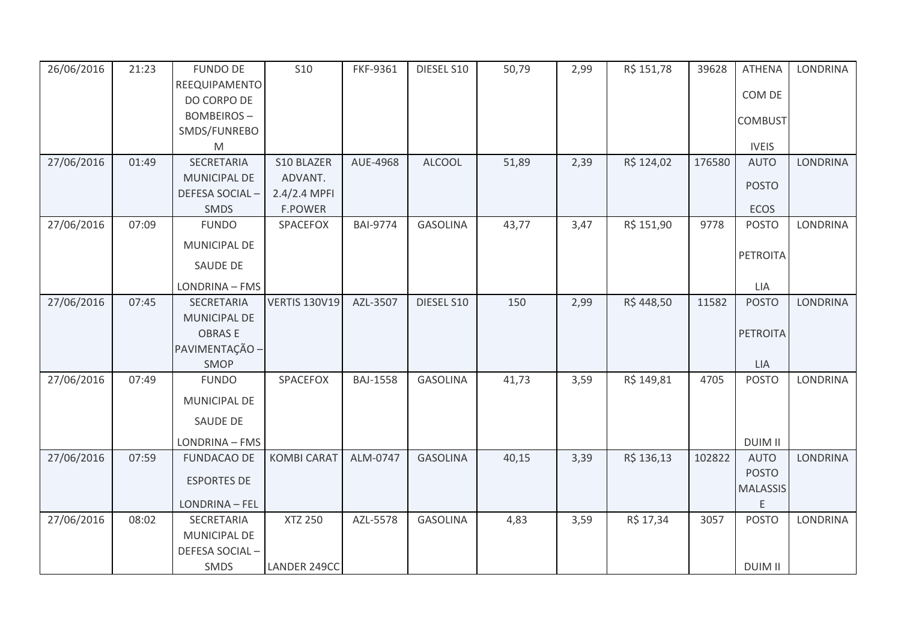| 26/06/2016 | 21:23 | <b>FUNDO DE</b>     | <b>S10</b>           | FKF-9361        | DIESEL S10      | 50,79 | 2,99 | R\$ 151,78 | 39628  | <b>ATHENA</b>   | <b>LONDRINA</b> |
|------------|-------|---------------------|----------------------|-----------------|-----------------|-------|------|------------|--------|-----------------|-----------------|
|            |       | REEQUIPAMENTO       |                      |                 |                 |       |      |            |        |                 |                 |
|            |       | DO CORPO DE         |                      |                 |                 |       |      |            |        | COM DE          |                 |
|            |       | <b>BOMBEIROS-</b>   |                      |                 |                 |       |      |            |        | <b>COMBUST</b>  |                 |
|            |       | SMDS/FUNREBO        |                      |                 |                 |       |      |            |        |                 |                 |
|            |       | M                   |                      |                 |                 |       |      |            |        | <b>IVEIS</b>    |                 |
| 27/06/2016 | 01:49 | SECRETARIA          | S10 BLAZER           | AUE-4968        | <b>ALCOOL</b>   | 51,89 | 2,39 | R\$ 124,02 | 176580 | <b>AUTO</b>     | <b>LONDRINA</b> |
|            |       | <b>MUNICIPAL DE</b> | ADVANT.              |                 |                 |       |      |            |        | <b>POSTO</b>    |                 |
|            |       | DEFESA SOCIAL-      | 2.4/2.4 MPFI         |                 |                 |       |      |            |        |                 |                 |
|            |       | SMDS                | <b>F.POWER</b>       |                 |                 |       |      |            |        | ECOS            |                 |
| 27/06/2016 | 07:09 | <b>FUNDO</b>        | SPACEFOX             | <b>BAI-9774</b> | <b>GASOLINA</b> | 43,77 | 3,47 | R\$ 151,90 | 9778   | <b>POSTO</b>    | <b>LONDRINA</b> |
|            |       | MUNICIPAL DE        |                      |                 |                 |       |      |            |        |                 |                 |
|            |       | SAUDE DE            |                      |                 |                 |       |      |            |        | <b>PETROITA</b> |                 |
|            |       | LONDRINA - FMS      |                      |                 |                 |       |      |            |        | LIA             |                 |
| 27/06/2016 | 07:45 | <b>SECRETARIA</b>   | <b>VERTIS 130V19</b> | AZL-3507        | DIESEL S10      | 150   | 2,99 | R\$448,50  | 11582  | <b>POSTO</b>    | <b>LONDRINA</b> |
|            |       | <b>MUNICIPAL DE</b> |                      |                 |                 |       |      |            |        |                 |                 |
|            |       | <b>OBRASE</b>       |                      |                 |                 |       |      |            |        | <b>PETROITA</b> |                 |
|            |       | PAVIMENTAÇÃO ·      |                      |                 |                 |       |      |            |        |                 |                 |
|            |       | SMOP                |                      |                 |                 |       |      |            |        | <b>LIA</b>      |                 |
| 27/06/2016 | 07:49 | <b>FUNDO</b>        | SPACEFOX             | <b>BAJ-1558</b> | <b>GASOLINA</b> | 41,73 | 3,59 | R\$ 149,81 | 4705   | <b>POSTO</b>    | <b>LONDRINA</b> |
|            |       | MUNICIPAL DE        |                      |                 |                 |       |      |            |        |                 |                 |
|            |       | <b>SAUDE DE</b>     |                      |                 |                 |       |      |            |        |                 |                 |
|            |       | LONDRINA - FMS      |                      |                 |                 |       |      |            |        | <b>DUIM II</b>  |                 |
| 27/06/2016 | 07:59 | <b>FUNDACAO DE</b>  | <b>KOMBI CARAT</b>   | ALM-0747        | <b>GASOLINA</b> | 40,15 | 3,39 | R\$ 136,13 | 102822 | <b>AUTO</b>     | <b>LONDRINA</b> |
|            |       | <b>ESPORTES DE</b>  |                      |                 |                 |       |      |            |        | <b>POSTO</b>    |                 |
|            |       |                     |                      |                 |                 |       |      |            |        | <b>MALASSIS</b> |                 |
|            |       | LONDRINA - FEL      |                      |                 |                 |       |      |            |        | E               |                 |
| 27/06/2016 | 08:02 | SECRETARIA          | <b>XTZ 250</b>       | AZL-5578        | <b>GASOLINA</b> | 4,83  | 3,59 | R\$ 17,34  | 3057   | <b>POSTO</b>    | <b>LONDRINA</b> |
|            |       | MUNICIPAL DE        |                      |                 |                 |       |      |            |        |                 |                 |
|            |       | DEFESA SOCIAL-      |                      |                 |                 |       |      |            |        |                 |                 |
|            |       | SMDS                | LANDER 249CC         |                 |                 |       |      |            |        | <b>DUIM II</b>  |                 |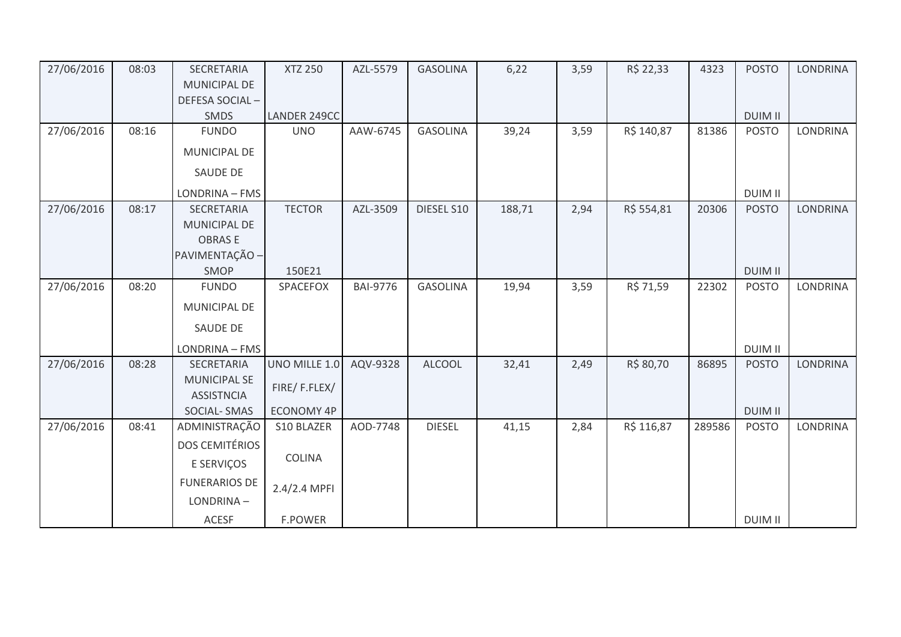| 27/06/2016 | 08:03 | <b>SECRETARIA</b>                        | <b>XTZ 250</b>    | AZL-5579        | <b>GASOLINA</b> | 6,22   | 3,59 | R\$ 22,33  | 4323   | <b>POSTO</b>   | LONDRINA        |
|------------|-------|------------------------------------------|-------------------|-----------------|-----------------|--------|------|------------|--------|----------------|-----------------|
|            |       | <b>MUNICIPAL DE</b>                      |                   |                 |                 |        |      |            |        |                |                 |
|            |       | DEFESA SOCIAL-                           |                   |                 |                 |        |      |            |        |                |                 |
|            |       | SMDS                                     | LANDER 249CC      |                 |                 |        |      |            |        | <b>DUIM II</b> |                 |
| 27/06/2016 | 08:16 | <b>FUNDO</b>                             | <b>UNO</b>        | AAW-6745        | <b>GASOLINA</b> | 39,24  | 3,59 | R\$ 140,87 | 81386  | <b>POSTO</b>   | <b>LONDRINA</b> |
|            |       | MUNICIPAL DE                             |                   |                 |                 |        |      |            |        |                |                 |
|            |       | <b>SAUDE DE</b>                          |                   |                 |                 |        |      |            |        |                |                 |
|            |       | LONDRINA - FMS                           |                   |                 |                 |        |      |            |        | <b>DUIM II</b> |                 |
| 27/06/2016 | 08:17 | SECRETARIA                               | <b>TECTOR</b>     | AZL-3509        | DIESEL S10      | 188,71 | 2,94 | R\$ 554,81 | 20306  | <b>POSTO</b>   | LONDRINA        |
|            |       | MUNICIPAL DE                             |                   |                 |                 |        |      |            |        |                |                 |
|            |       | <b>OBRASE</b>                            |                   |                 |                 |        |      |            |        |                |                 |
|            |       | PAVIMENTAÇÃO -                           |                   |                 |                 |        |      |            |        |                |                 |
|            |       | SMOP                                     | 150E21            |                 |                 |        |      |            |        | <b>DUIM II</b> |                 |
| 27/06/2016 | 08:20 | <b>FUNDO</b>                             | SPACEFOX          | <b>BAI-9776</b> | <b>GASOLINA</b> | 19,94  | 3,59 | R\$ 71,59  | 22302  | <b>POSTO</b>   | LONDRINA        |
|            |       | <b>MUNICIPAL DE</b>                      |                   |                 |                 |        |      |            |        |                |                 |
|            |       | <b>SAUDE DE</b>                          |                   |                 |                 |        |      |            |        |                |                 |
|            |       | LONDRINA - FMS                           |                   |                 |                 |        |      |            |        | <b>DUIM II</b> |                 |
| 27/06/2016 | 08:28 | SECRETARIA                               | UNO MILLE 1.0     | AQV-9328        | <b>ALCOOL</b>   | 32,41  | 2,49 | R\$ 80,70  | 86895  | <b>POSTO</b>   | <b>LONDRINA</b> |
|            |       | <b>MUNICIPAL SE</b><br><b>ASSISTNCIA</b> | FIRE/F.FLEX/      |                 |                 |        |      |            |        |                |                 |
|            |       | SOCIAL-SMAS                              | <b>ECONOMY 4P</b> |                 |                 |        |      |            |        | <b>DUIM II</b> |                 |
| 27/06/2016 | 08:41 | ADMINISTRAÇÃO                            | S10 BLAZER        | AOD-7748        | <b>DIESEL</b>   | 41,15  | 2,84 | R\$ 116,87 | 289586 | <b>POSTO</b>   | <b>LONDRINA</b> |
|            |       | DOS CEMITÉRIOS                           |                   |                 |                 |        |      |            |        |                |                 |
|            |       | E SERVIÇOS                               | COLINA            |                 |                 |        |      |            |        |                |                 |
|            |       | <b>FUNERARIOS DE</b>                     | 2.4/2.4 MPFI      |                 |                 |        |      |            |        |                |                 |
|            |       | LONDRINA-                                |                   |                 |                 |        |      |            |        |                |                 |
|            |       | <b>ACESF</b>                             | F.POWER           |                 |                 |        |      |            |        | <b>DUIM II</b> |                 |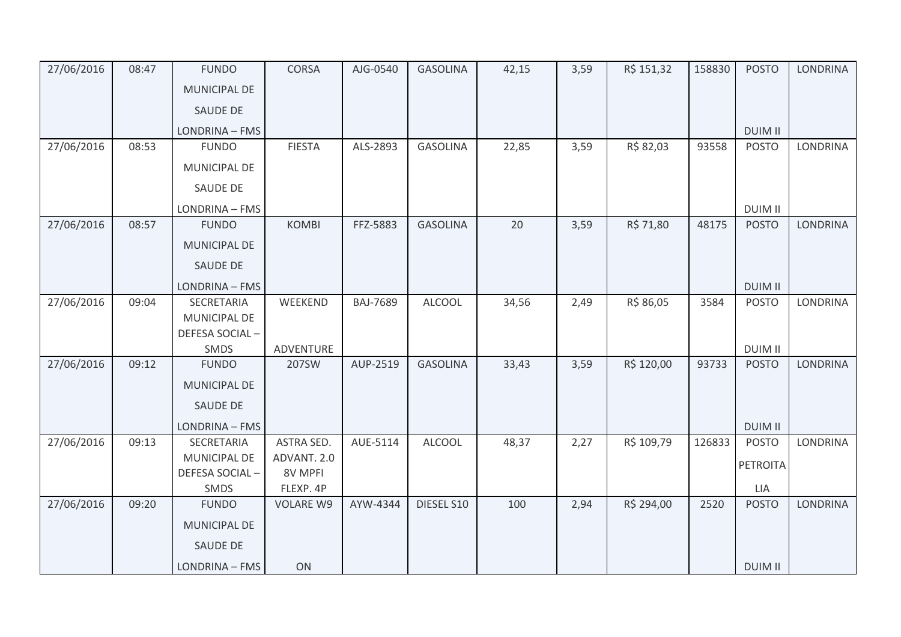| 27/06/2016 | 08:47 | <b>FUNDO</b>           | <b>CORSA</b>     | AJG-0540        | <b>GASOLINA</b> | 42,15 | 3,59 | R\$ 151,32 | 158830 | <b>POSTO</b>   | <b>LONDRINA</b> |
|------------|-------|------------------------|------------------|-----------------|-----------------|-------|------|------------|--------|----------------|-----------------|
|            |       | <b>MUNICIPAL DE</b>    |                  |                 |                 |       |      |            |        |                |                 |
|            |       | SAUDE DE               |                  |                 |                 |       |      |            |        |                |                 |
|            |       | LONDRINA - FMS         |                  |                 |                 |       |      |            |        | <b>DUIM II</b> |                 |
| 27/06/2016 | 08:53 | <b>FUNDO</b>           | <b>FIESTA</b>    | ALS-2893        | <b>GASOLINA</b> | 22,85 | 3,59 | R\$ 82,03  | 93558  | <b>POSTO</b>   | LONDRINA        |
|            |       | MUNICIPAL DE           |                  |                 |                 |       |      |            |        |                |                 |
|            |       | SAUDE DE               |                  |                 |                 |       |      |            |        |                |                 |
|            |       | LONDRINA - FMS         |                  |                 |                 |       |      |            |        | <b>DUIM II</b> |                 |
| 27/06/2016 | 08:57 | <b>FUNDO</b>           | <b>KOMBI</b>     | FFZ-5883        | <b>GASOLINA</b> | 20    | 3,59 | R\$ 71,80  | 48175  | <b>POSTO</b>   | <b>LONDRINA</b> |
|            |       | <b>MUNICIPAL DE</b>    |                  |                 |                 |       |      |            |        |                |                 |
|            |       | SAUDE DE               |                  |                 |                 |       |      |            |        |                |                 |
|            |       | LONDRINA - FMS         |                  |                 |                 |       |      |            |        | <b>DUIM II</b> |                 |
| 27/06/2016 | 09:04 | SECRETARIA             | WEEKEND          | <b>BAJ-7689</b> | <b>ALCOOL</b>   | 34,56 | 2,49 | R\$ 86,05  | 3584   | <b>POSTO</b>   | LONDRINA        |
|            |       | MUNICIPAL DE           |                  |                 |                 |       |      |            |        |                |                 |
|            |       | DEFESA SOCIAL-<br>SMDS | ADVENTURE        |                 |                 |       |      |            |        | <b>DUIM II</b> |                 |
| 27/06/2016 | 09:12 | <b>FUNDO</b>           | 207SW            | AUP-2519        | <b>GASOLINA</b> | 33,43 | 3,59 | R\$ 120,00 | 93733  | <b>POSTO</b>   | <b>LONDRINA</b> |
|            |       | MUNICIPAL DE           |                  |                 |                 |       |      |            |        |                |                 |
|            |       | <b>SAUDE DE</b>        |                  |                 |                 |       |      |            |        |                |                 |
|            |       | LONDRINA - FMS         |                  |                 |                 |       |      |            |        | <b>DUIM II</b> |                 |
| 27/06/2016 | 09:13 | SECRETARIA             | ASTRA SED.       | AUE-5114        | <b>ALCOOL</b>   | 48,37 | 2,27 | R\$ 109,79 | 126833 | <b>POSTO</b>   | <b>LONDRINA</b> |
|            |       | <b>MUNICIPAL DE</b>    | ADVANT. 2.0      |                 |                 |       |      |            |        | PETROITA       |                 |
|            |       | DEFESA SOCIAL-         | 8V MPFI          |                 |                 |       |      |            |        |                |                 |
|            |       | SMDS                   | FLEXP. 4P        |                 |                 |       |      |            |        | LIA            |                 |
| 27/06/2016 | 09:20 | <b>FUNDO</b>           | <b>VOLARE W9</b> | AYW-4344        | DIESEL S10      | 100   | 2,94 | R\$ 294,00 | 2520   | <b>POSTO</b>   | <b>LONDRINA</b> |
|            |       | <b>MUNICIPAL DE</b>    |                  |                 |                 |       |      |            |        |                |                 |
|            |       | <b>SAUDE DE</b>        |                  |                 |                 |       |      |            |        |                |                 |
|            |       | LONDRINA - FMS         | ON               |                 |                 |       |      |            |        | <b>DUIM II</b> |                 |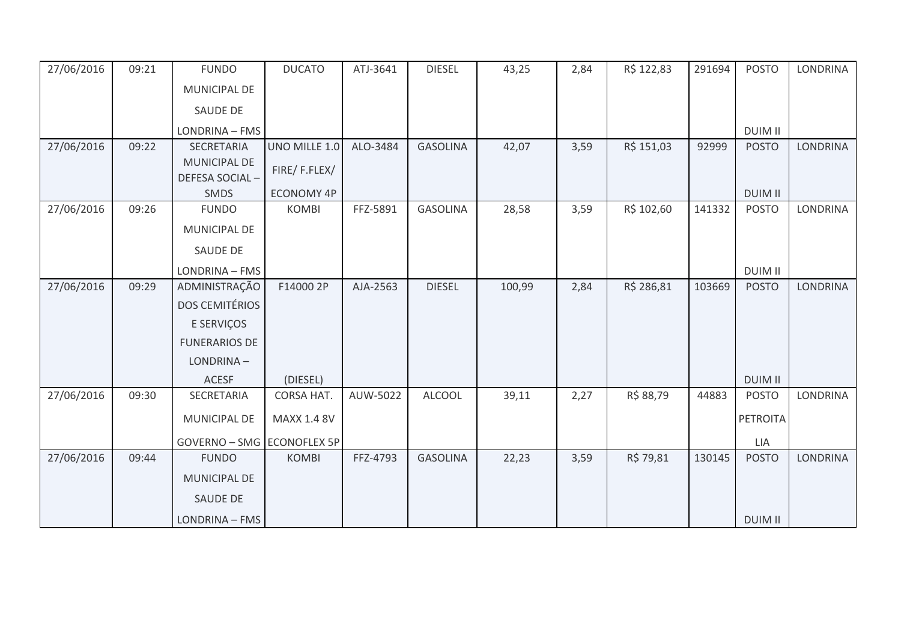| 27/06/2016 | 09:21 | <b>FUNDO</b>               | <b>DUCATO</b>     | ATJ-3641 | <b>DIESEL</b>   | 43,25  | 2,84 | R\$ 122,83 | 291694 | <b>POSTO</b>    | <b>LONDRINA</b> |
|------------|-------|----------------------------|-------------------|----------|-----------------|--------|------|------------|--------|-----------------|-----------------|
|            |       | MUNICIPAL DE               |                   |          |                 |        |      |            |        |                 |                 |
|            |       | <b>SAUDE DE</b>            |                   |          |                 |        |      |            |        |                 |                 |
|            |       | LONDRINA - FMS             |                   |          |                 |        |      |            |        | <b>DUIM II</b>  |                 |
| 27/06/2016 | 09:22 | SECRETARIA                 | UNO MILLE 1.0     | ALO-3484 | <b>GASOLINA</b> | 42,07  | 3,59 | R\$ 151,03 | 92999  | <b>POSTO</b>    | <b>LONDRINA</b> |
|            |       | <b>MUNICIPAL DE</b>        | FIRE/F.FLEX/      |          |                 |        |      |            |        |                 |                 |
|            |       | DEFESA SOCIAL-             |                   |          |                 |        |      |            |        |                 |                 |
|            |       | <b>SMDS</b>                | <b>ECONOMY 4P</b> |          |                 |        |      |            |        | <b>DUIM II</b>  |                 |
| 27/06/2016 | 09:26 | <b>FUNDO</b>               | <b>KOMBI</b>      | FFZ-5891 | <b>GASOLINA</b> | 28,58  | 3,59 | R\$ 102,60 | 141332 | <b>POSTO</b>    | <b>LONDRINA</b> |
|            |       | <b>MUNICIPAL DE</b>        |                   |          |                 |        |      |            |        |                 |                 |
|            |       | <b>SAUDE DE</b>            |                   |          |                 |        |      |            |        |                 |                 |
|            |       | LONDRINA - FMS             |                   |          |                 |        |      |            |        | <b>DUIM II</b>  |                 |
| 27/06/2016 | 09:29 | ADMINISTRAÇÃO              | F14000 2P         | AJA-2563 | <b>DIESEL</b>   | 100,99 | 2,84 | R\$ 286,81 | 103669 | <b>POSTO</b>    | <b>LONDRINA</b> |
|            |       | <b>DOS CEMITÉRIOS</b>      |                   |          |                 |        |      |            |        |                 |                 |
|            |       | E SERVIÇOS                 |                   |          |                 |        |      |            |        |                 |                 |
|            |       | <b>FUNERARIOS DE</b>       |                   |          |                 |        |      |            |        |                 |                 |
|            |       | LONDRINA-                  |                   |          |                 |        |      |            |        |                 |                 |
|            |       | <b>ACESF</b>               | (DIESEL)          |          |                 |        |      |            |        | <b>DUIM II</b>  |                 |
| 27/06/2016 | 09:30 | SECRETARIA                 | CORSA HAT.        | AUW-5022 | <b>ALCOOL</b>   | 39,11  | 2,27 | R\$ 88,79  | 44883  | <b>POSTO</b>    | LONDRINA        |
|            |       | <b>MUNICIPAL DE</b>        | MAXX 1.4 8V       |          |                 |        |      |            |        | <b>PETROITA</b> |                 |
|            |       | GOVERNO - SMG ECONOFLEX 5P |                   |          |                 |        |      |            |        | LIA             |                 |
| 27/06/2016 | 09:44 | <b>FUNDO</b>               | <b>KOMBI</b>      | FFZ-4793 | <b>GASOLINA</b> | 22,23  | 3,59 | R\$ 79,81  | 130145 | <b>POSTO</b>    | <b>LONDRINA</b> |
|            |       | MUNICIPAL DE               |                   |          |                 |        |      |            |        |                 |                 |
|            |       | <b>SAUDE DE</b>            |                   |          |                 |        |      |            |        |                 |                 |
|            |       |                            |                   |          |                 |        |      |            |        |                 |                 |
|            |       | LONDRINA - FMS             |                   |          |                 |        |      |            |        | <b>DUIM II</b>  |                 |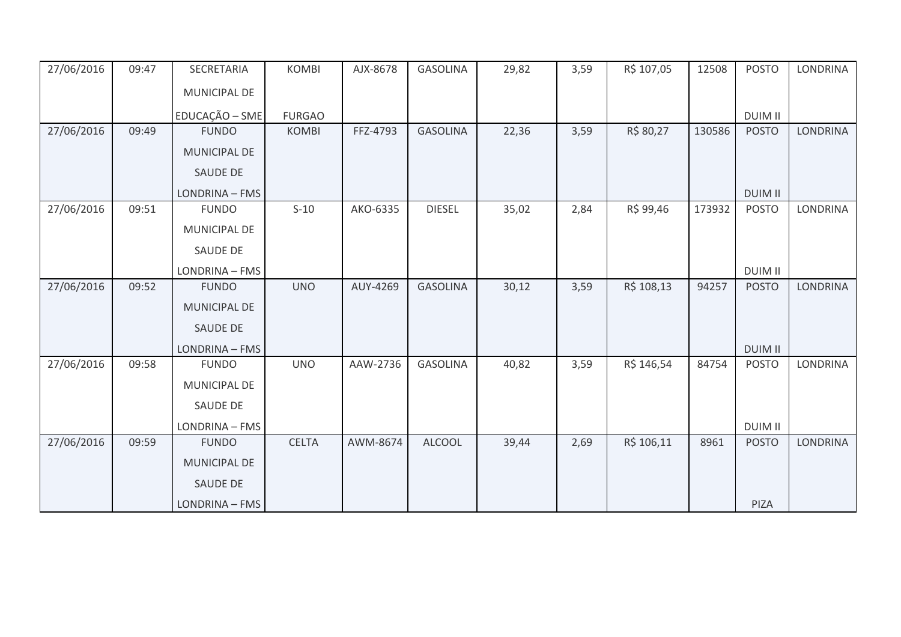| 27/06/2016 | 09:47 | SECRETARIA          | <b>KOMBI</b>  | AJX-8678 | <b>GASOLINA</b> | 29,82 | 3,59 | R\$ 107,05 | 12508  | <b>POSTO</b>   | <b>LONDRINA</b> |
|------------|-------|---------------------|---------------|----------|-----------------|-------|------|------------|--------|----------------|-----------------|
|            |       | <b>MUNICIPAL DE</b> |               |          |                 |       |      |            |        |                |                 |
|            |       | EDUCAÇÃO - SME      | <b>FURGAO</b> |          |                 |       |      |            |        | <b>DUIM II</b> |                 |
| 27/06/2016 | 09:49 | <b>FUNDO</b>        | <b>KOMBI</b>  | FFZ-4793 | <b>GASOLINA</b> | 22,36 | 3,59 | R\$ 80,27  | 130586 | <b>POSTO</b>   | <b>LONDRINA</b> |
|            |       | MUNICIPAL DE        |               |          |                 |       |      |            |        |                |                 |
|            |       | <b>SAUDE DE</b>     |               |          |                 |       |      |            |        |                |                 |
|            |       | LONDRINA - FMS      |               |          |                 |       |      |            |        | <b>DUIM II</b> |                 |
| 27/06/2016 | 09:51 | <b>FUNDO</b>        | $S-10$        | AKO-6335 | <b>DIESEL</b>   | 35,02 | 2,84 | R\$ 99,46  | 173932 | <b>POSTO</b>   | LONDRINA        |
|            |       | <b>MUNICIPAL DE</b> |               |          |                 |       |      |            |        |                |                 |
|            |       | <b>SAUDE DE</b>     |               |          |                 |       |      |            |        |                |                 |
|            |       | LONDRINA - FMS      |               |          |                 |       |      |            |        | <b>DUIM II</b> |                 |
| 27/06/2016 | 09:52 | <b>FUNDO</b>        | <b>UNO</b>    | AUY-4269 | <b>GASOLINA</b> | 30,12 | 3,59 | R\$ 108,13 | 94257  | <b>POSTO</b>   | <b>LONDRINA</b> |
|            |       | <b>MUNICIPAL DE</b> |               |          |                 |       |      |            |        |                |                 |
|            |       | <b>SAUDE DE</b>     |               |          |                 |       |      |            |        |                |                 |
|            |       | LONDRINA - FMS      |               |          |                 |       |      |            |        | <b>DUIM II</b> |                 |
| 27/06/2016 | 09:58 | <b>FUNDO</b>        | <b>UNO</b>    | AAW-2736 | <b>GASOLINA</b> | 40,82 | 3,59 | R\$ 146,54 | 84754  | <b>POSTO</b>   | <b>LONDRINA</b> |
|            |       | <b>MUNICIPAL DE</b> |               |          |                 |       |      |            |        |                |                 |
|            |       | <b>SAUDE DE</b>     |               |          |                 |       |      |            |        |                |                 |
|            |       | LONDRINA - FMS      |               |          |                 |       |      |            |        | <b>DUIM II</b> |                 |
| 27/06/2016 | 09:59 | <b>FUNDO</b>        | <b>CELTA</b>  | AWM-8674 | <b>ALCOOL</b>   | 39,44 | 2,69 | R\$ 106,11 | 8961   | <b>POSTO</b>   | <b>LONDRINA</b> |
|            |       | <b>MUNICIPAL DE</b> |               |          |                 |       |      |            |        |                |                 |
|            |       | <b>SAUDE DE</b>     |               |          |                 |       |      |            |        |                |                 |
|            |       | LONDRINA - FMS      |               |          |                 |       |      |            |        | PIZA           |                 |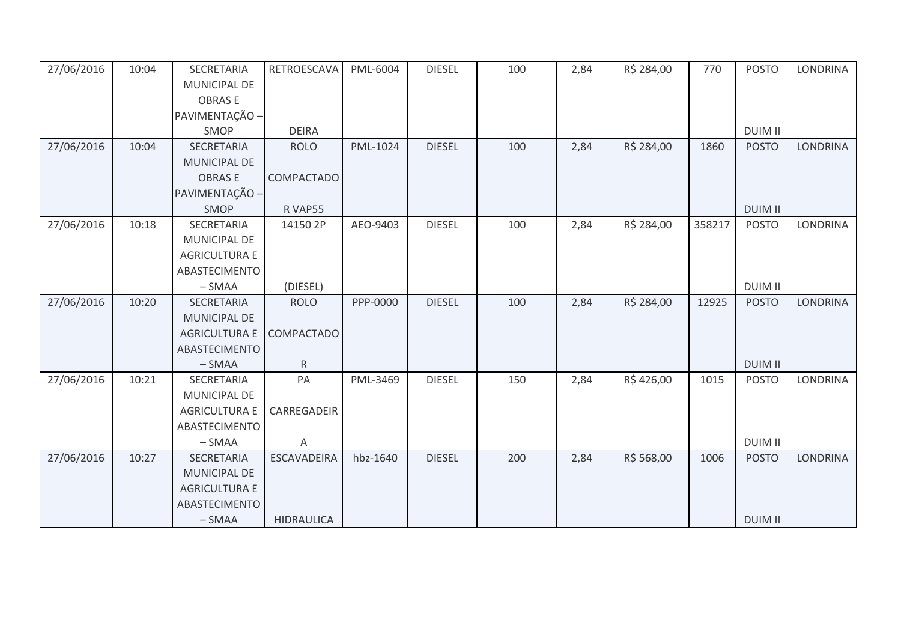| 27/06/2016 | 10:04 | SECRETARIA           | RETROESCAVA        | PML-6004 | <b>DIESEL</b> | 100 | 2,84 | R\$ 284,00 | 770    | <b>POSTO</b>   | <b>LONDRINA</b> |
|------------|-------|----------------------|--------------------|----------|---------------|-----|------|------------|--------|----------------|-----------------|
|            |       | <b>MUNICIPAL DE</b>  |                    |          |               |     |      |            |        |                |                 |
|            |       | <b>OBRASE</b>        |                    |          |               |     |      |            |        |                |                 |
|            |       | PAVIMENTAÇÃO -       |                    |          |               |     |      |            |        |                |                 |
|            |       | SMOP                 | <b>DEIRA</b>       |          |               |     |      |            |        | <b>DUIM II</b> |                 |
| 27/06/2016 | 10:04 | SECRETARIA           | <b>ROLO</b>        | PML-1024 | <b>DIESEL</b> | 100 | 2,84 | R\$ 284,00 | 1860   | <b>POSTO</b>   | <b>LONDRINA</b> |
|            |       | MUNICIPAL DE         |                    |          |               |     |      |            |        |                |                 |
|            |       | <b>OBRASE</b>        | <b>COMPACTADO</b>  |          |               |     |      |            |        |                |                 |
|            |       | PAVIMENTAÇÃO -       |                    |          |               |     |      |            |        |                |                 |
|            |       | SMOP                 | R VAP55            |          |               |     |      |            |        | <b>DUIM II</b> |                 |
| 27/06/2016 | 10:18 | SECRETARIA           | 14150 2P           | AEO-9403 | <b>DIESEL</b> | 100 | 2,84 | R\$ 284,00 | 358217 | <b>POSTO</b>   | LONDRINA        |
|            |       | MUNICIPAL DE         |                    |          |               |     |      |            |        |                |                 |
|            |       | <b>AGRICULTURA E</b> |                    |          |               |     |      |            |        |                |                 |
|            |       | ABASTECIMENTO        |                    |          |               |     |      |            |        |                |                 |
|            |       | $-SMAA$              | (DIESEL)           |          |               |     |      |            |        | <b>DUIM II</b> |                 |
| 27/06/2016 | 10:20 | SECRETARIA           | <b>ROLO</b>        | PPP-0000 | <b>DIESEL</b> | 100 | 2,84 | R\$ 284,00 | 12925  | <b>POSTO</b>   | <b>LONDRINA</b> |
|            |       | MUNICIPAL DE         |                    |          |               |     |      |            |        |                |                 |
|            |       | <b>AGRICULTURA E</b> | COMPACTADO         |          |               |     |      |            |        |                |                 |
|            |       | ABASTECIMENTO        |                    |          |               |     |      |            |        |                |                 |
|            |       | $-SMAA$              | $\mathsf{R}$       |          |               |     |      |            |        | <b>DUIM II</b> |                 |
| 27/06/2016 | 10:21 | SECRETARIA           | PA                 | PML-3469 | <b>DIESEL</b> | 150 | 2,84 | R\$426,00  | 1015   | <b>POSTO</b>   | LONDRINA        |
|            |       | <b>MUNICIPAL DE</b>  |                    |          |               |     |      |            |        |                |                 |
|            |       | <b>AGRICULTURA E</b> | CARREGADEIR        |          |               |     |      |            |        |                |                 |
|            |       | ABASTECIMENTO        |                    |          |               |     |      |            |        |                |                 |
|            |       | $-SMAA$              | Α                  |          |               |     |      |            |        | <b>DUIM II</b> |                 |
| 27/06/2016 | 10:27 | SECRETARIA           | <b>ESCAVADEIRA</b> | hbz-1640 | <b>DIESEL</b> | 200 | 2,84 | R\$ 568,00 | 1006   | <b>POSTO</b>   | <b>LONDRINA</b> |
|            |       | MUNICIPAL DE         |                    |          |               |     |      |            |        |                |                 |
|            |       | <b>AGRICULTURA E</b> |                    |          |               |     |      |            |        |                |                 |
|            |       | ABASTECIMENTO        |                    |          |               |     |      |            |        |                |                 |
|            |       | $-SMAA$              | <b>HIDRAULICA</b>  |          |               |     |      |            |        | <b>DUIM II</b> |                 |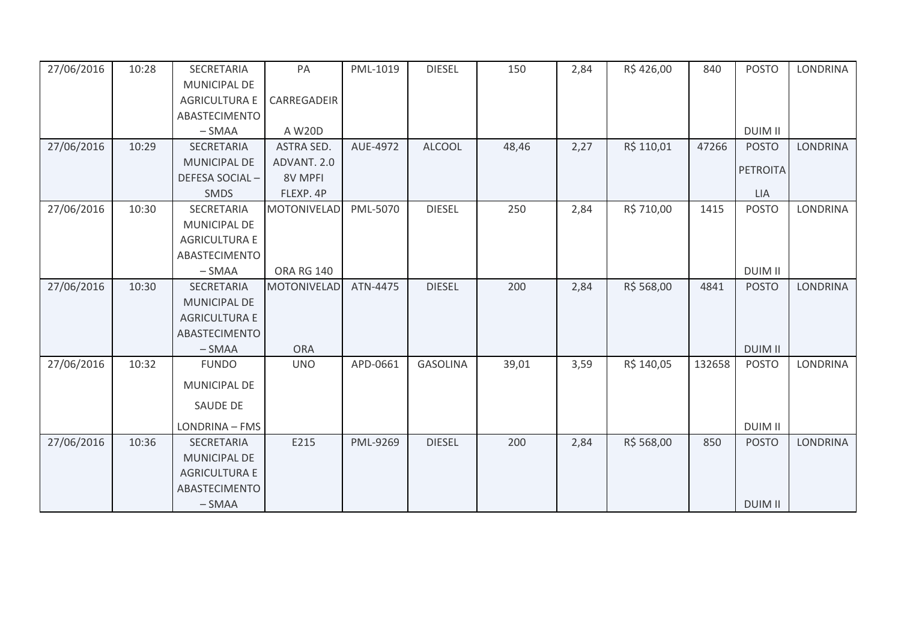| 27/06/2016 | 10:28 | SECRETARIA           | PA                 | PML-1019 | <b>DIESEL</b>   | 150   | 2,84 | R\$426,00  | 840    | <b>POSTO</b>    | <b>LONDRINA</b> |
|------------|-------|----------------------|--------------------|----------|-----------------|-------|------|------------|--------|-----------------|-----------------|
|            |       | <b>MUNICIPAL DE</b>  |                    |          |                 |       |      |            |        |                 |                 |
|            |       | <b>AGRICULTURA E</b> | CARREGADEIR        |          |                 |       |      |            |        |                 |                 |
|            |       | <b>ABASTECIMENTO</b> |                    |          |                 |       |      |            |        |                 |                 |
|            |       | $-SMAA$              | A W20D             |          |                 |       |      |            |        | <b>DUIM II</b>  |                 |
| 27/06/2016 | 10:29 | <b>SECRETARIA</b>    | <b>ASTRA SED.</b>  | AUE-4972 | <b>ALCOOL</b>   | 48,46 | 2,27 | R\$ 110,01 | 47266  | <b>POSTO</b>    | <b>LONDRINA</b> |
|            |       | <b>MUNICIPAL DE</b>  | ADVANT. 2.0        |          |                 |       |      |            |        | <b>PETROITA</b> |                 |
|            |       | DEFESA SOCIAL-       | 8V MPFI            |          |                 |       |      |            |        |                 |                 |
|            |       | <b>SMDS</b>          | FLEXP. 4P          |          |                 |       |      |            |        | <b>LIA</b>      |                 |
| 27/06/2016 | 10:30 | SECRETARIA           | <b>MOTONIVELAD</b> | PML-5070 | <b>DIESEL</b>   | 250   | 2,84 | R\$ 710,00 | 1415   | <b>POSTO</b>    | <b>LONDRINA</b> |
|            |       | <b>MUNICIPAL DE</b>  |                    |          |                 |       |      |            |        |                 |                 |
|            |       | <b>AGRICULTURA E</b> |                    |          |                 |       |      |            |        |                 |                 |
|            |       | ABASTECIMENTO        |                    |          |                 |       |      |            |        |                 |                 |
|            |       | $-SMAA$              | <b>ORA RG 140</b>  |          |                 |       |      |            |        | <b>DUIM II</b>  |                 |
| 27/06/2016 | 10:30 | <b>SECRETARIA</b>    | <b>MOTONIVELAD</b> | ATN-4475 | <b>DIESEL</b>   | 200   | 2,84 | R\$ 568,00 | 4841   | <b>POSTO</b>    | <b>LONDRINA</b> |
|            |       | <b>MUNICIPAL DE</b>  |                    |          |                 |       |      |            |        |                 |                 |
|            |       | <b>AGRICULTURA E</b> |                    |          |                 |       |      |            |        |                 |                 |
|            |       | ABASTECIMENTO        |                    |          |                 |       |      |            |        |                 |                 |
|            |       | $-SMAA$              | <b>ORA</b>         |          |                 |       |      |            |        | <b>DUIM II</b>  |                 |
| 27/06/2016 | 10:32 | <b>FUNDO</b>         | <b>UNO</b>         | APD-0661 | <b>GASOLINA</b> | 39,01 | 3,59 | R\$ 140,05 | 132658 | <b>POSTO</b>    | <b>LONDRINA</b> |
|            |       | MUNICIPAL DE         |                    |          |                 |       |      |            |        |                 |                 |
|            |       | SAUDE DE             |                    |          |                 |       |      |            |        |                 |                 |
|            |       | LONDRINA - FMS       |                    |          |                 |       |      |            |        | <b>DUIM II</b>  |                 |
| 27/06/2016 | 10:36 | SECRETARIA           | E215               | PML-9269 | <b>DIESEL</b>   | 200   | 2,84 | R\$ 568,00 | 850    | <b>POSTO</b>    | <b>LONDRINA</b> |
|            |       | <b>MUNICIPAL DE</b>  |                    |          |                 |       |      |            |        |                 |                 |
|            |       | <b>AGRICULTURA E</b> |                    |          |                 |       |      |            |        |                 |                 |
|            |       | <b>ABASTECIMENTO</b> |                    |          |                 |       |      |            |        |                 |                 |
|            |       | $-SMAA$              |                    |          |                 |       |      |            |        | <b>DUIM II</b>  |                 |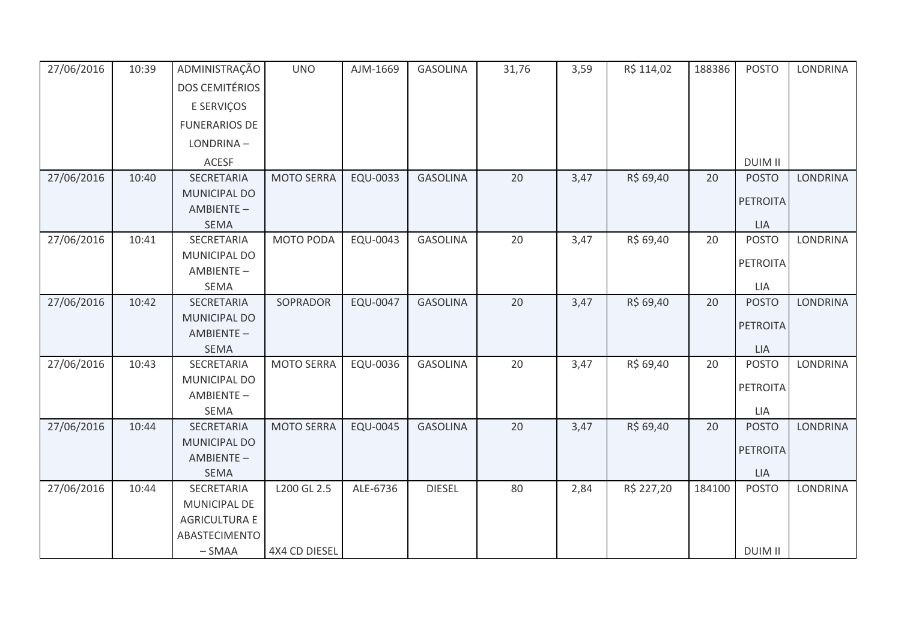| 27/06/2016 | 10:39 | ADMINISTRAÇÃO              | <b>UNO</b>        | AJM-1669 | <b>GASOLINA</b> | 31,76 | 3,59 | R\$ 114,02 | 188386 | <b>POSTO</b>    | <b>LONDRINA</b> |
|------------|-------|----------------------------|-------------------|----------|-----------------|-------|------|------------|--------|-----------------|-----------------|
|            |       | <b>DOS CEMITÉRIOS</b>      |                   |          |                 |       |      |            |        |                 |                 |
|            |       | E SERVIÇOS                 |                   |          |                 |       |      |            |        |                 |                 |
|            |       | <b>FUNERARIOS DE</b>       |                   |          |                 |       |      |            |        |                 |                 |
|            |       | LONDRINA-                  |                   |          |                 |       |      |            |        |                 |                 |
|            |       | <b>ACESF</b>               |                   |          |                 |       |      |            |        | <b>DUIM II</b>  |                 |
| 27/06/2016 | 10:40 | SECRETARIA                 | <b>MOTO SERRA</b> | EQU-0033 | <b>GASOLINA</b> | 20    | 3,47 | R\$ 69,40  | 20     | <b>POSTO</b>    | <b>LONDRINA</b> |
|            |       | MUNICIPAL DO               |                   |          |                 |       |      |            |        | <b>PETROITA</b> |                 |
|            |       | AMBIENTE-                  |                   |          |                 |       |      |            |        |                 |                 |
|            |       | <b>SEMA</b>                |                   |          |                 |       |      |            |        | LIA             |                 |
| 27/06/2016 | 10:41 | SECRETARIA                 | MOTO PODA         | EQU-0043 | <b>GASOLINA</b> | 20    | 3,47 | R\$ 69,40  | 20     | <b>POSTO</b>    | <b>LONDRINA</b> |
|            |       | MUNICIPAL DO<br>AMBIENTE-  |                   |          |                 |       |      |            |        | <b>PETROITA</b> |                 |
|            |       | <b>SEMA</b>                |                   |          |                 |       |      |            |        | LIA             |                 |
| 27/06/2016 | 10:42 | SECRETARIA                 | SOPRADOR          | EQU-0047 | <b>GASOLINA</b> | 20    | 3,47 | R\$ 69,40  | 20     | <b>POSTO</b>    | <b>LONDRINA</b> |
|            |       | MUNICIPAL DO               |                   |          |                 |       |      |            |        |                 |                 |
|            |       | AMBIENTE-                  |                   |          |                 |       |      |            |        | <b>PETROITA</b> |                 |
|            |       | <b>SEMA</b>                |                   |          |                 |       |      |            |        | LIA             |                 |
| 27/06/2016 | 10:43 | SECRETARIA                 | <b>MOTO SERRA</b> | EQU-0036 | <b>GASOLINA</b> | 20    | 3,47 | R\$ 69,40  | 20     | <b>POSTO</b>    | <b>LONDRINA</b> |
|            |       | MUNICIPAL DO               |                   |          |                 |       |      |            |        | <b>PETROITA</b> |                 |
|            |       | AMBIENTE-                  |                   |          |                 |       |      |            |        |                 |                 |
|            |       | <b>SEMA</b>                |                   |          |                 | 20    |      |            |        | LIA             | <b>LONDRINA</b> |
| 27/06/2016 | 10:44 | SECRETARIA<br>MUNICIPAL DO | <b>MOTO SERRA</b> | EQU-0045 | <b>GASOLINA</b> |       | 3,47 | R\$ 69,40  | 20     | <b>POSTO</b>    |                 |
|            |       | AMBIENTE-                  |                   |          |                 |       |      |            |        | <b>PETROITA</b> |                 |
|            |       | <b>SEMA</b>                |                   |          |                 |       |      |            |        | <b>LIA</b>      |                 |
| 27/06/2016 | 10:44 | SECRETARIA                 | L200 GL 2.5       | ALE-6736 | <b>DIESEL</b>   | 80    | 2,84 | R\$ 227,20 | 184100 | <b>POSTO</b>    | <b>LONDRINA</b> |
|            |       | MUNICIPAL DE               |                   |          |                 |       |      |            |        |                 |                 |
|            |       | <b>AGRICULTURA E</b>       |                   |          |                 |       |      |            |        |                 |                 |
|            |       | ABASTECIMENTO              |                   |          |                 |       |      |            |        |                 |                 |
|            |       | $-SMAA$                    | 4X4 CD DIESEL     |          |                 |       |      |            |        | <b>DUIM II</b>  |                 |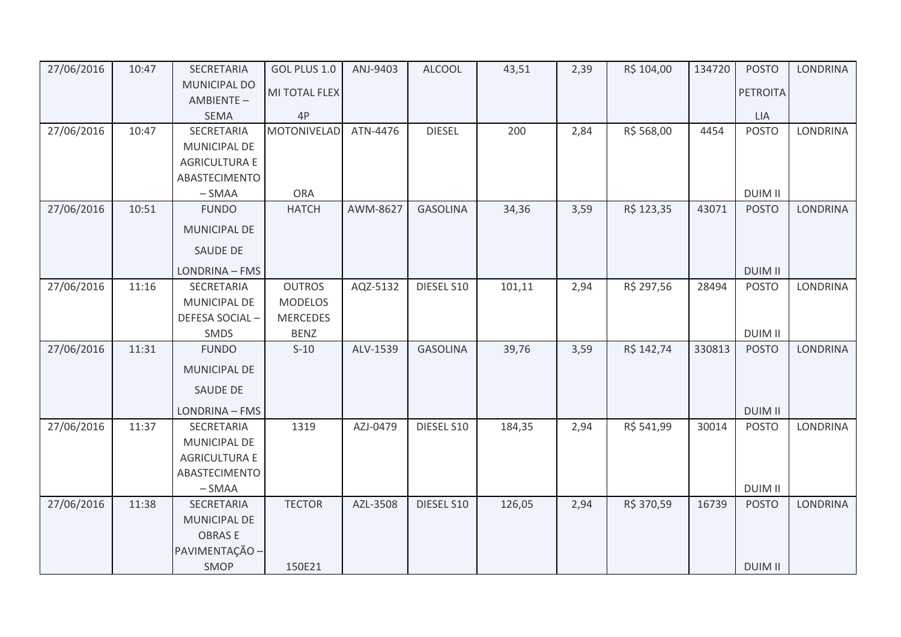| 27/06/2016 | 10:47 | SECRETARIA                       | GOL PLUS 1.0       | ANJ-9403 | <b>ALCOOL</b>   | 43,51  | 2,39 | R\$ 104,00 | 134720 | <b>POSTO</b>    | <b>LONDRINA</b> |
|------------|-------|----------------------------------|--------------------|----------|-----------------|--------|------|------------|--------|-----------------|-----------------|
|            |       | <b>MUNICIPAL DO</b><br>AMBIENTE- | MI TOTAL FLEX      |          |                 |        |      |            |        | <b>PETROITA</b> |                 |
|            |       | <b>SEMA</b>                      | 4P                 |          |                 |        |      |            |        | <b>LIA</b>      |                 |
| 27/06/2016 | 10:47 | SECRETARIA                       | <b>MOTONIVELAD</b> | ATN-4476 | <b>DIESEL</b>   | 200    | 2,84 | R\$ 568,00 | 4454   | <b>POSTO</b>    | <b>LONDRINA</b> |
|            |       | MUNICIPAL DE                     |                    |          |                 |        |      |            |        |                 |                 |
|            |       | <b>AGRICULTURA E</b>             |                    |          |                 |        |      |            |        |                 |                 |
|            |       | ABASTECIMENTO                    |                    |          |                 |        |      |            |        |                 |                 |
|            |       | $-SMAA$                          | <b>ORA</b>         |          |                 |        |      |            |        | <b>DUIM II</b>  |                 |
| 27/06/2016 | 10:51 | <b>FUNDO</b>                     | <b>HATCH</b>       | AWM-8627 | <b>GASOLINA</b> | 34,36  | 3,59 | R\$ 123,35 | 43071  | <b>POSTO</b>    | <b>LONDRINA</b> |
|            |       | MUNICIPAL DE                     |                    |          |                 |        |      |            |        |                 |                 |
|            |       | <b>SAUDE DE</b>                  |                    |          |                 |        |      |            |        |                 |                 |
|            |       | LONDRINA - FMS                   |                    |          |                 |        |      |            |        | <b>DUIM II</b>  |                 |
| 27/06/2016 | 11:16 | SECRETARIA                       | <b>OUTROS</b>      | AQZ-5132 | DIESEL S10      | 101,11 | 2,94 | R\$ 297,56 | 28494  | <b>POSTO</b>    | LONDRINA        |
|            |       | <b>MUNICIPAL DE</b>              | <b>MODELOS</b>     |          |                 |        |      |            |        |                 |                 |
|            |       | DEFESA SOCIAL-                   | <b>MERCEDES</b>    |          |                 |        |      |            |        |                 |                 |
|            |       | <b>SMDS</b>                      | <b>BENZ</b>        |          |                 |        |      |            |        | <b>DUIM II</b>  |                 |
| 27/06/2016 | 11:31 | <b>FUNDO</b>                     | $S-10$             | ALV-1539 | <b>GASOLINA</b> | 39,76  | 3,59 | R\$ 142,74 | 330813 | <b>POSTO</b>    | LONDRINA        |
|            |       | MUNICIPAL DE                     |                    |          |                 |        |      |            |        |                 |                 |
|            |       | <b>SAUDE DE</b>                  |                    |          |                 |        |      |            |        |                 |                 |
|            |       | LONDRINA - FMS                   |                    |          |                 |        |      |            |        | <b>DUIM II</b>  |                 |
| 27/06/2016 | 11:37 | SECRETARIA                       | 1319               | AZJ-0479 | DIESEL S10      | 184,35 | 2,94 | R\$ 541,99 | 30014  | <b>POSTO</b>    | <b>LONDRINA</b> |
|            |       | <b>MUNICIPAL DE</b>              |                    |          |                 |        |      |            |        |                 |                 |
|            |       | <b>AGRICULTURA E</b>             |                    |          |                 |        |      |            |        |                 |                 |
|            |       | ABASTECIMENTO                    |                    |          |                 |        |      |            |        |                 |                 |
|            |       | $-SMAA$                          |                    |          |                 |        |      |            |        | <b>DUIM II</b>  |                 |
| 27/06/2016 | 11:38 | SECRETARIA                       | <b>TECTOR</b>      | AZL-3508 | DIESEL S10      | 126,05 | 2,94 | R\$ 370,59 | 16739  | <b>POSTO</b>    | <b>LONDRINA</b> |
|            |       | MUNICIPAL DE                     |                    |          |                 |        |      |            |        |                 |                 |
|            |       | <b>OBRASE</b>                    |                    |          |                 |        |      |            |        |                 |                 |
|            |       | PAVIMENTAÇÃO -                   |                    |          |                 |        |      |            |        |                 |                 |
|            |       | <b>SMOP</b>                      | 150E21             |          |                 |        |      |            |        | <b>DUIM II</b>  |                 |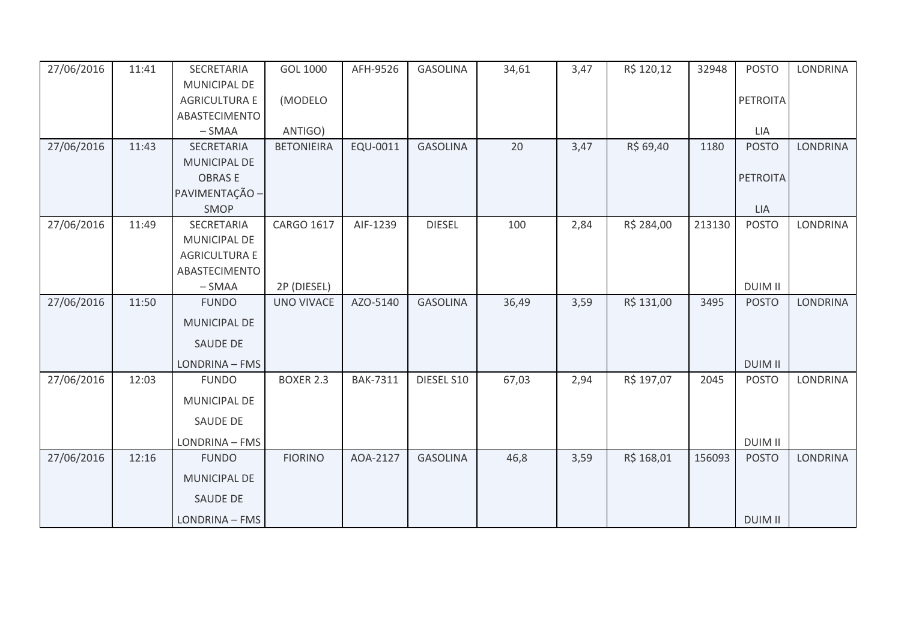| 27/06/2016 | 11:41 | SECRETARIA           | GOL 1000          | AFH-9526        | <b>GASOLINA</b> | 34,61 | 3,47 | R\$ 120,12 | 32948  | <b>POSTO</b>    | <b>LONDRINA</b> |
|------------|-------|----------------------|-------------------|-----------------|-----------------|-------|------|------------|--------|-----------------|-----------------|
|            |       | MUNICIPAL DE         |                   |                 |                 |       |      |            |        |                 |                 |
|            |       | <b>AGRICULTURA E</b> | (MODELO           |                 |                 |       |      |            |        | <b>PETROITA</b> |                 |
|            |       | ABASTECIMENTO        |                   |                 |                 |       |      |            |        |                 |                 |
|            |       | $-SMAA$              | ANTIGO)           |                 |                 |       |      |            |        | LIA             |                 |
| 27/06/2016 | 11:43 | SECRETARIA           | <b>BETONIEIRA</b> | EQU-0011        | <b>GASOLINA</b> | 20    | 3,47 | R\$ 69,40  | 1180   | <b>POSTO</b>    | <b>LONDRINA</b> |
|            |       | <b>MUNICIPAL DE</b>  |                   |                 |                 |       |      |            |        |                 |                 |
|            |       | <b>OBRASE</b>        |                   |                 |                 |       |      |            |        | PETROITA        |                 |
|            |       | PAVIMENTAÇÃO -       |                   |                 |                 |       |      |            |        |                 |                 |
|            |       | SMOP                 |                   |                 |                 |       |      |            |        | <b>LIA</b>      |                 |
| 27/06/2016 | 11:49 | SECRETARIA           | CARGO 1617        | AIF-1239        | <b>DIESEL</b>   | 100   | 2,84 | R\$ 284,00 | 213130 | <b>POSTO</b>    | <b>LONDRINA</b> |
|            |       | MUNICIPAL DE         |                   |                 |                 |       |      |            |        |                 |                 |
|            |       | <b>AGRICULTURA E</b> |                   |                 |                 |       |      |            |        |                 |                 |
|            |       | ABASTECIMENTO        |                   |                 |                 |       |      |            |        |                 |                 |
|            |       | $-SMAA$              | 2P (DIESEL)       |                 |                 |       |      |            |        | <b>DUIM II</b>  |                 |
| 27/06/2016 | 11:50 | <b>FUNDO</b>         | <b>UNO VIVACE</b> | AZO-5140        | <b>GASOLINA</b> | 36,49 | 3,59 | R\$ 131,00 | 3495   | <b>POSTO</b>    | <b>LONDRINA</b> |
|            |       | <b>MUNICIPAL DE</b>  |                   |                 |                 |       |      |            |        |                 |                 |
|            |       | SAUDE DE             |                   |                 |                 |       |      |            |        |                 |                 |
|            |       | LONDRINA - FMS       |                   |                 |                 |       |      |            |        | <b>DUIM II</b>  |                 |
| 27/06/2016 | 12:03 | <b>FUNDO</b>         | <b>BOXER 2.3</b>  | <b>BAK-7311</b> | DIESEL S10      | 67,03 | 2,94 | R\$ 197,07 | 2045   | <b>POSTO</b>    | LONDRINA        |
|            |       | MUNICIPAL DE         |                   |                 |                 |       |      |            |        |                 |                 |
|            |       | <b>SAUDE DE</b>      |                   |                 |                 |       |      |            |        |                 |                 |
|            |       | LONDRINA - FMS       |                   |                 |                 |       |      |            |        | <b>DUIM II</b>  |                 |
| 27/06/2016 | 12:16 | <b>FUNDO</b>         | <b>FIORINO</b>    | AOA-2127        | <b>GASOLINA</b> | 46,8  | 3,59 | R\$ 168,01 | 156093 | <b>POSTO</b>    | <b>LONDRINA</b> |
|            |       | MUNICIPAL DE         |                   |                 |                 |       |      |            |        |                 |                 |
|            |       | <b>SAUDE DE</b>      |                   |                 |                 |       |      |            |        |                 |                 |
|            |       | LONDRINA - FMS       |                   |                 |                 |       |      |            |        | <b>DUIM II</b>  |                 |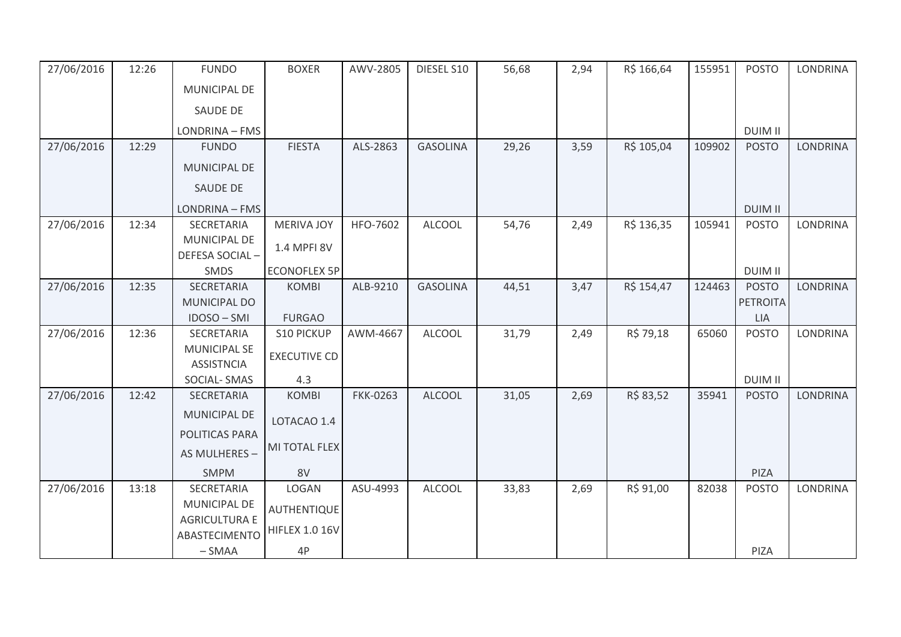| 27/06/2016 | 12:26 | <b>FUNDO</b>                             | <b>BOXER</b>          | AWV-2805        | DIESEL S10      | 56,68 | 2,94 | R\$ 166,64 | 155951 | <b>POSTO</b>    | <b>LONDRINA</b> |
|------------|-------|------------------------------------------|-----------------------|-----------------|-----------------|-------|------|------------|--------|-----------------|-----------------|
|            |       | <b>MUNICIPAL DE</b>                      |                       |                 |                 |       |      |            |        |                 |                 |
|            |       | <b>SAUDE DE</b>                          |                       |                 |                 |       |      |            |        |                 |                 |
|            |       | LONDRINA - FMS                           |                       |                 |                 |       |      |            |        | <b>DUIM II</b>  |                 |
| 27/06/2016 | 12:29 | <b>FUNDO</b>                             | <b>FIESTA</b>         | ALS-2863        | <b>GASOLINA</b> | 29,26 | 3,59 | R\$ 105,04 | 109902 | <b>POSTO</b>    | LONDRINA        |
|            |       | <b>MUNICIPAL DE</b>                      |                       |                 |                 |       |      |            |        |                 |                 |
|            |       | SAUDE DE                                 |                       |                 |                 |       |      |            |        |                 |                 |
|            |       | LONDRINA - FMS                           |                       |                 |                 |       |      |            |        | <b>DUIM II</b>  |                 |
| 27/06/2016 | 12:34 | SECRETARIA                               | <b>MERIVA JOY</b>     | HFO-7602        | <b>ALCOOL</b>   | 54,76 | 2,49 | R\$ 136,35 | 105941 | <b>POSTO</b>    | <b>LONDRINA</b> |
|            |       | <b>MUNICIPAL DE</b>                      | 1.4 MPFI 8V           |                 |                 |       |      |            |        |                 |                 |
|            |       | DEFESA SOCIAL-                           |                       |                 |                 |       |      |            |        |                 |                 |
|            |       | SMDS                                     | <b>ECONOFLEX 5P</b>   |                 |                 |       |      |            |        | <b>DUIM II</b>  |                 |
| 27/06/2016 | 12:35 | SECRETARIA                               | <b>KOMBI</b>          | ALB-9210        | <b>GASOLINA</b> | 44,51 | 3,47 | R\$ 154,47 | 124463 | <b>POSTO</b>    | <b>LONDRINA</b> |
|            |       | <b>MUNICIPAL DO</b>                      |                       |                 |                 |       |      |            |        | <b>PETROITA</b> |                 |
|            |       | IDOSO-SMI                                | <b>FURGAO</b>         |                 |                 |       |      |            |        | <b>LIA</b>      |                 |
| 27/06/2016 | 12:36 | SECRETARIA                               | <b>S10 PICKUP</b>     | AWM-4667        | <b>ALCOOL</b>   | 31,79 | 2,49 | R\$ 79,18  | 65060  | <b>POSTO</b>    | <b>LONDRINA</b> |
|            |       | <b>MUNICIPAL SE</b><br><b>ASSISTNCIA</b> | <b>EXECUTIVE CD</b>   |                 |                 |       |      |            |        |                 |                 |
|            |       | SOCIAL-SMAS                              | 4.3                   |                 |                 |       |      |            |        | <b>DUIM II</b>  |                 |
| 27/06/2016 | 12:42 | SECRETARIA                               | <b>KOMBI</b>          | <b>FKK-0263</b> | <b>ALCOOL</b>   | 31,05 | 2,69 | R\$ 83,52  | 35941  | <b>POSTO</b>    | <b>LONDRINA</b> |
|            |       | <b>MUNICIPAL DE</b>                      | LOTACAO 1.4           |                 |                 |       |      |            |        |                 |                 |
|            |       | POLITICAS PARA                           |                       |                 |                 |       |      |            |        |                 |                 |
|            |       | AS MULHERES -                            | MI TOTAL FLEX         |                 |                 |       |      |            |        |                 |                 |
|            |       | <b>SMPM</b>                              | 8V                    |                 |                 |       |      |            |        | PIZA            |                 |
| 27/06/2016 | 13:18 | SECRETARIA                               | LOGAN                 | ASU-4993        | <b>ALCOOL</b>   | 33,83 | 2,69 | R\$ 91,00  | 82038  | <b>POSTO</b>    | <b>LONDRINA</b> |
|            |       | <b>MUNICIPAL DE</b>                      | AUTHENTIQUE           |                 |                 |       |      |            |        |                 |                 |
|            |       | <b>AGRICULTURA E</b>                     |                       |                 |                 |       |      |            |        |                 |                 |
|            |       | <b>ABASTECIMENTO</b>                     | <b>HIFLEX 1.0 16V</b> |                 |                 |       |      |            |        |                 |                 |
|            |       | $-SMAA$                                  | 4P                    |                 |                 |       |      |            |        | PIZA            |                 |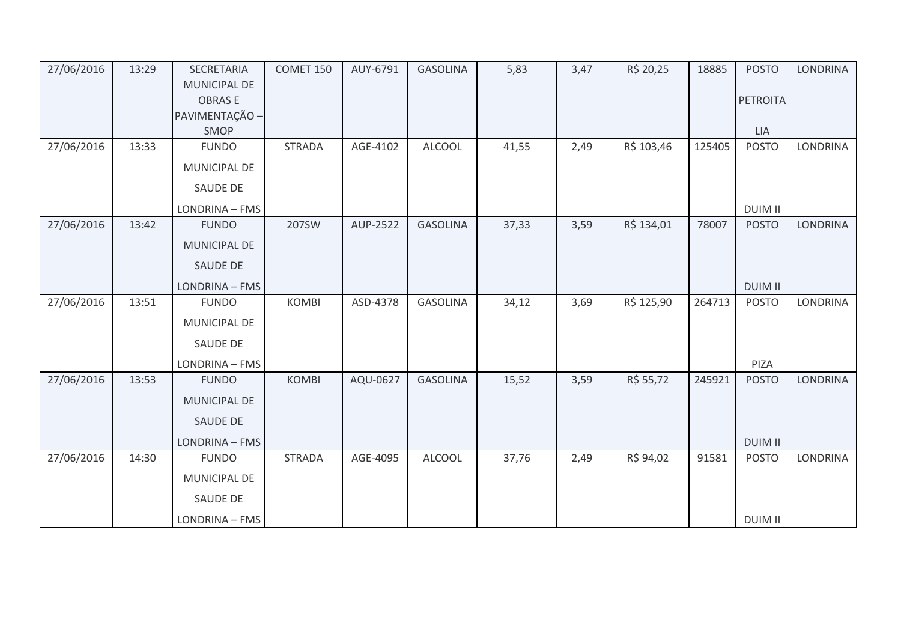| 27/06/2016 | 13:29 | SECRETARIA             | COMET 150     | AUY-6791 | <b>GASOLINA</b> | 5,83  | 3,47 | R\$ 20,25  | 18885  | <b>POSTO</b>    | <b>LONDRINA</b> |
|------------|-------|------------------------|---------------|----------|-----------------|-------|------|------------|--------|-----------------|-----------------|
|            |       | <b>MUNICIPAL DE</b>    |               |          |                 |       |      |            |        |                 |                 |
|            |       | <b>OBRASE</b>          |               |          |                 |       |      |            |        | <b>PETROITA</b> |                 |
|            |       | PAVIMENTAÇÃO -<br>SMOP |               |          |                 |       |      |            |        | <b>LIA</b>      |                 |
| 27/06/2016 | 13:33 | <b>FUNDO</b>           | <b>STRADA</b> | AGE-4102 | <b>ALCOOL</b>   | 41,55 | 2,49 | R\$ 103,46 | 125405 | <b>POSTO</b>    | <b>LONDRINA</b> |
|            |       |                        |               |          |                 |       |      |            |        |                 |                 |
|            |       | MUNICIPAL DE           |               |          |                 |       |      |            |        |                 |                 |
|            |       | <b>SAUDE DE</b>        |               |          |                 |       |      |            |        |                 |                 |
|            |       | LONDRINA - FMS         |               |          |                 |       |      |            |        | <b>DUIM II</b>  |                 |
| 27/06/2016 | 13:42 | <b>FUNDO</b>           | 207SW         | AUP-2522 | <b>GASOLINA</b> | 37,33 | 3,59 | R\$ 134,01 | 78007  | <b>POSTO</b>    | <b>LONDRINA</b> |
|            |       | <b>MUNICIPAL DE</b>    |               |          |                 |       |      |            |        |                 |                 |
|            |       | SAUDE DE               |               |          |                 |       |      |            |        |                 |                 |
|            |       | LONDRINA - FMS         |               |          |                 |       |      |            |        | <b>DUIM II</b>  |                 |
| 27/06/2016 | 13:51 | <b>FUNDO</b>           | <b>KOMBI</b>  | ASD-4378 | <b>GASOLINA</b> | 34,12 | 3,69 | R\$ 125,90 | 264713 | <b>POSTO</b>    | <b>LONDRINA</b> |
|            |       | MUNICIPAL DE           |               |          |                 |       |      |            |        |                 |                 |
|            |       | SAUDE DE               |               |          |                 |       |      |            |        |                 |                 |
|            |       | LONDRINA - FMS         |               |          |                 |       |      |            |        | PIZA            |                 |
| 27/06/2016 | 13:53 | <b>FUNDO</b>           | <b>KOMBI</b>  | AQU-0627 | <b>GASOLINA</b> | 15,52 | 3,59 | R\$ 55,72  | 245921 | <b>POSTO</b>    | <b>LONDRINA</b> |
|            |       | MUNICIPAL DE           |               |          |                 |       |      |            |        |                 |                 |
|            |       | SAUDE DE               |               |          |                 |       |      |            |        |                 |                 |
|            |       | LONDRINA - FMS         |               |          |                 |       |      |            |        | <b>DUIM II</b>  |                 |
| 27/06/2016 | 14:30 | <b>FUNDO</b>           | <b>STRADA</b> | AGE-4095 | <b>ALCOOL</b>   | 37,76 | 2,49 | R\$ 94,02  | 91581  | <b>POSTO</b>    | LONDRINA        |
|            |       | MUNICIPAL DE           |               |          |                 |       |      |            |        |                 |                 |
|            |       | SAUDE DE               |               |          |                 |       |      |            |        |                 |                 |
|            |       | LONDRINA - FMS         |               |          |                 |       |      |            |        | <b>DUIM II</b>  |                 |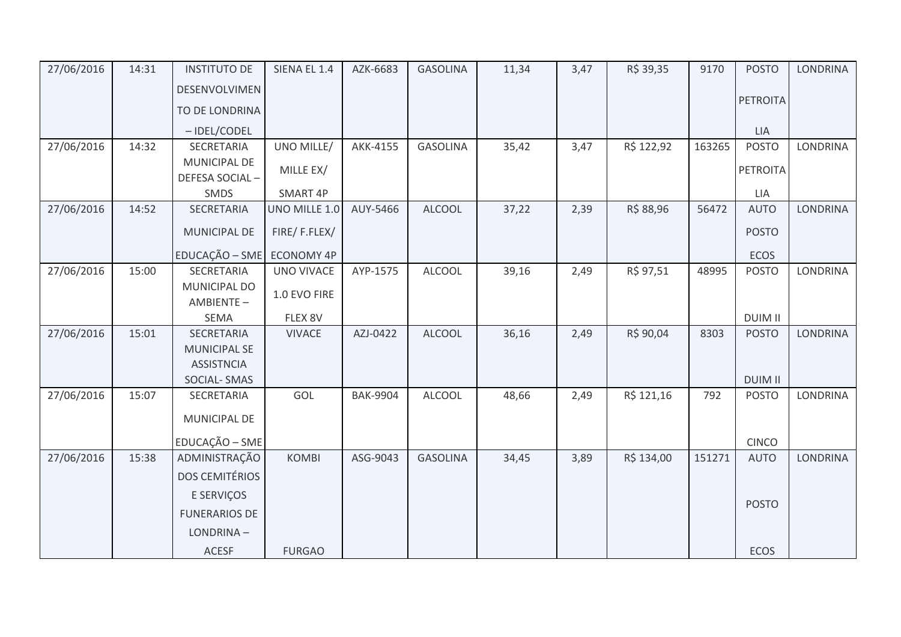| 27/06/2016 | 14:31 | <b>INSTITUTO DE</b>            | SIENA EL 1.4      | AZK-6683        | <b>GASOLINA</b> | 11,34 | 3,47 | R\$ 39,35  | 9170   | <b>POSTO</b>                   | <b>LONDRINA</b> |
|------------|-------|--------------------------------|-------------------|-----------------|-----------------|-------|------|------------|--------|--------------------------------|-----------------|
|            |       | DESENVOLVIMEN                  |                   |                 |                 |       |      |            |        |                                |                 |
|            |       | TO DE LONDRINA                 |                   |                 |                 |       |      |            |        | PETROITA                       |                 |
|            |       | -IDEL/CODEL                    |                   |                 |                 |       |      |            |        | <b>LIA</b>                     |                 |
| 27/06/2016 | 14:32 | SECRETARIA                     | UNO MILLE/        | AKK-4155        | <b>GASOLINA</b> | 35,42 | 3,47 | R\$ 122,92 | 163265 | <b>POSTO</b>                   | <b>LONDRINA</b> |
|            |       | MUNICIPAL DE<br>DEFESA SOCIAL- | MILLE EX/         |                 |                 |       |      |            |        | PETROITA                       |                 |
|            |       | SMDS                           | SMART 4P          |                 |                 |       |      |            |        | LIA                            |                 |
| 27/06/2016 | 14:52 | SECRETARIA                     | UNO MILLE 1.0     | AUY-5466        | <b>ALCOOL</b>   | 37,22 | 2,39 | R\$ 88,96  | 56472  | <b>AUTO</b>                    | <b>LONDRINA</b> |
|            |       | MUNICIPAL DE                   | FIRE/F.FLEX/      |                 |                 |       |      |            |        | <b>POSTO</b>                   |                 |
|            |       | EDUCAÇÃO - SME                 | <b>ECONOMY 4P</b> |                 |                 |       |      |            |        | <b>ECOS</b>                    |                 |
| 27/06/2016 | 15:00 | SECRETARIA                     | UNO VIVACE        | AYP-1575        | <b>ALCOOL</b>   | 39,16 | 2,49 | R\$ 97,51  | 48995  | <b>POSTO</b>                   | <b>LONDRINA</b> |
|            |       | MUNICIPAL DO<br>AMBIENTE-      | 1.0 EVO FIRE      |                 |                 |       |      |            |        |                                |                 |
|            |       | SEMA                           | FLEX 8V           |                 |                 |       |      |            |        | <b>DUIM II</b>                 |                 |
| 27/06/2016 | 15:01 | SECRETARIA                     | <b>VIVACE</b>     | AZJ-0422        | <b>ALCOOL</b>   | 36,16 | 2,49 | R\$ 90,04  | 8303   | <b>POSTO</b>                   | <b>LONDRINA</b> |
|            |       | <b>MUNICIPAL SE</b>            |                   |                 |                 |       |      |            |        |                                |                 |
|            |       | <b>ASSISTNCIA</b>              |                   |                 |                 |       |      |            |        |                                |                 |
| 27/06/2016 | 15:07 | SOCIAL-SMAS<br>SECRETARIA      | GOL               | <b>BAK-9904</b> | <b>ALCOOL</b>   | 48,66 | 2,49 | R\$ 121,16 | 792    | <b>DUIM II</b><br><b>POSTO</b> | <b>LONDRINA</b> |
|            |       |                                |                   |                 |                 |       |      |            |        |                                |                 |
|            |       | MUNICIPAL DE                   |                   |                 |                 |       |      |            |        |                                |                 |
|            |       | EDUCAÇÃO - SME                 |                   |                 |                 |       |      |            |        | <b>CINCO</b>                   |                 |
| 27/06/2016 | 15:38 | ADMINISTRAÇÃO                  | <b>KOMBI</b>      | ASG-9043        | <b>GASOLINA</b> | 34,45 | 3,89 | R\$ 134,00 | 151271 | <b>AUTO</b>                    | <b>LONDRINA</b> |
|            |       | <b>DOS CEMITÉRIOS</b>          |                   |                 |                 |       |      |            |        |                                |                 |
|            |       | E SERVIÇOS                     |                   |                 |                 |       |      |            |        |                                |                 |
|            |       | <b>FUNERARIOS DE</b>           |                   |                 |                 |       |      |            |        | <b>POSTO</b>                   |                 |
|            |       | LONDRINA-                      |                   |                 |                 |       |      |            |        |                                |                 |
|            |       | <b>ACESF</b>                   | <b>FURGAO</b>     |                 |                 |       |      |            |        | <b>ECOS</b>                    |                 |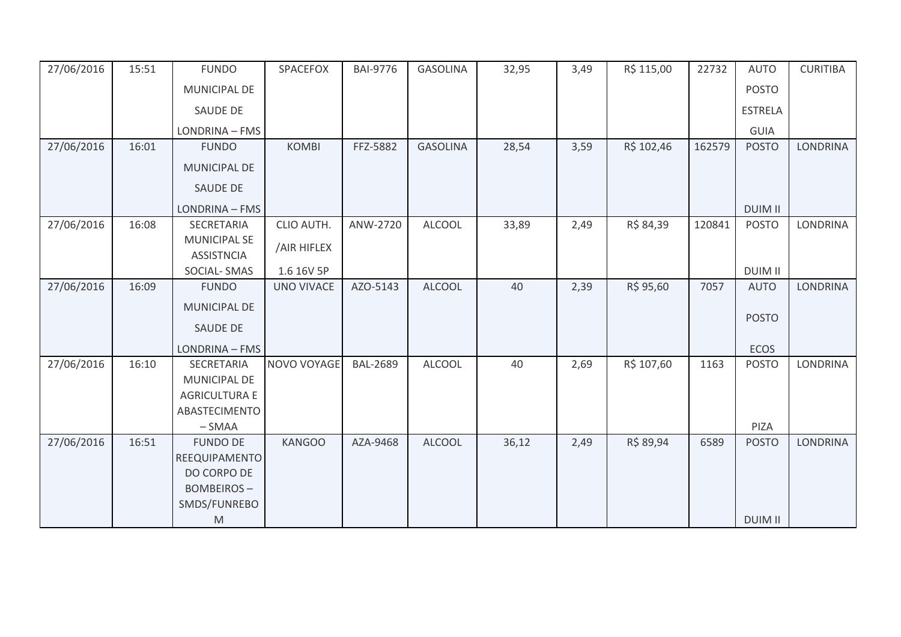| 27/06/2016 | 15:51 | <b>FUNDO</b>                            | SPACEFOX          | <b>BAI-9776</b> | <b>GASOLINA</b> | 32,95 | 3,49 | R\$ 115,00 | 22732  | <b>AUTO</b>    | <b>CURITIBA</b> |
|------------|-------|-----------------------------------------|-------------------|-----------------|-----------------|-------|------|------------|--------|----------------|-----------------|
|            |       | MUNICIPAL DE                            |                   |                 |                 |       |      |            |        | <b>POSTO</b>   |                 |
|            |       | <b>SAUDE DE</b>                         |                   |                 |                 |       |      |            |        | <b>ESTRELA</b> |                 |
|            |       | LONDRINA - FMS                          |                   |                 |                 |       |      |            |        | <b>GUIA</b>    |                 |
| 27/06/2016 | 16:01 | <b>FUNDO</b>                            | <b>KOMBI</b>      | FFZ-5882        | <b>GASOLINA</b> | 28,54 | 3,59 | R\$ 102,46 | 162579 | <b>POSTO</b>   | <b>LONDRINA</b> |
|            |       | MUNICIPAL DE                            |                   |                 |                 |       |      |            |        |                |                 |
|            |       | <b>SAUDE DE</b>                         |                   |                 |                 |       |      |            |        |                |                 |
|            |       | LONDRINA - FMS                          |                   |                 |                 |       |      |            |        | <b>DUIM II</b> |                 |
| 27/06/2016 | 16:08 | SECRETARIA                              | CLIO AUTH.        | ANW-2720        | <b>ALCOOL</b>   | 33,89 | 2,49 | R\$ 84,39  | 120841 | <b>POSTO</b>   | LONDRINA        |
|            |       | <b>MUNICIPAL SE</b>                     | /AIR HIFLEX       |                 |                 |       |      |            |        |                |                 |
|            |       | <b>ASSISTNCIA</b><br><b>SOCIAL-SMAS</b> | 1.6 16V 5P        |                 |                 |       |      |            |        | <b>DUIM II</b> |                 |
| 27/06/2016 | 16:09 | <b>FUNDO</b>                            | <b>UNO VIVACE</b> | AZO-5143        | <b>ALCOOL</b>   | 40    | 2,39 | R\$ 95,60  | 7057   | <b>AUTO</b>    | <b>LONDRINA</b> |
|            |       |                                         |                   |                 |                 |       |      |            |        |                |                 |
|            |       | <b>MUNICIPAL DE</b>                     |                   |                 |                 |       |      |            |        | <b>POSTO</b>   |                 |
|            |       | <b>SAUDE DE</b>                         |                   |                 |                 |       |      |            |        |                |                 |
|            |       | LONDRINA - FMS                          |                   |                 |                 |       |      |            |        | <b>ECOS</b>    |                 |
| 27/06/2016 | 16:10 | SECRETARIA                              | NOVO VOYAGE       | <b>BAL-2689</b> | <b>ALCOOL</b>   | 40    | 2,69 | R\$ 107,60 | 1163   | <b>POSTO</b>   | <b>LONDRINA</b> |
|            |       | MUNICIPAL DE                            |                   |                 |                 |       |      |            |        |                |                 |
|            |       | <b>AGRICULTURA E</b>                    |                   |                 |                 |       |      |            |        |                |                 |
|            |       | ABASTECIMENTO                           |                   |                 |                 |       |      |            |        |                |                 |
|            |       | $-SMAA$                                 |                   |                 |                 |       |      |            |        | PIZA           |                 |
| 27/06/2016 | 16:51 | <b>FUNDO DE</b>                         | <b>KANGOO</b>     | AZA-9468        | <b>ALCOOL</b>   | 36,12 | 2,49 | R\$ 89,94  | 6589   | <b>POSTO</b>   | <b>LONDRINA</b> |
|            |       | REEQUIPAMENTO                           |                   |                 |                 |       |      |            |        |                |                 |
|            |       | DO CORPO DE                             |                   |                 |                 |       |      |            |        |                |                 |
|            |       | <b>BOMBEIROS-</b>                       |                   |                 |                 |       |      |            |        |                |                 |
|            |       | SMDS/FUNREBO                            |                   |                 |                 |       |      |            |        |                |                 |
|            |       | M                                       |                   |                 |                 |       |      |            |        | <b>DUIM II</b> |                 |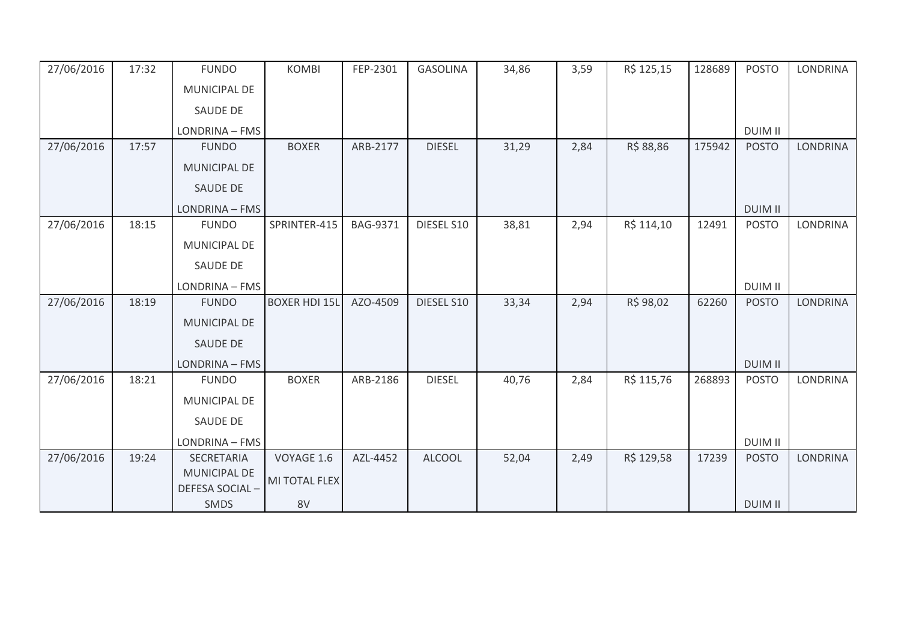| 27/06/2016 | 17:32 | <b>FUNDO</b>                          | <b>KOMBI</b>         | FEP-2301        | <b>GASOLINA</b> | 34,86 | 3,59 | R\$ 125,15 | 128689 | <b>POSTO</b>   | <b>LONDRINA</b> |
|------------|-------|---------------------------------------|----------------------|-----------------|-----------------|-------|------|------------|--------|----------------|-----------------|
|            |       | MUNICIPAL DE                          |                      |                 |                 |       |      |            |        |                |                 |
|            |       | <b>SAUDE DE</b>                       |                      |                 |                 |       |      |            |        |                |                 |
|            |       | LONDRINA - FMS                        |                      |                 |                 |       |      |            |        | <b>DUIM II</b> |                 |
| 27/06/2016 | 17:57 | <b>FUNDO</b>                          | <b>BOXER</b>         | ARB-2177        | <b>DIESEL</b>   | 31,29 | 2,84 | R\$ 88,86  | 175942 | <b>POSTO</b>   | <b>LONDRINA</b> |
|            |       | MUNICIPAL DE                          |                      |                 |                 |       |      |            |        |                |                 |
|            |       | <b>SAUDE DE</b>                       |                      |                 |                 |       |      |            |        |                |                 |
|            |       | LONDRINA - FMS                        |                      |                 |                 |       |      |            |        | <b>DUIM II</b> |                 |
| 27/06/2016 | 18:15 | <b>FUNDO</b>                          | SPRINTER-415         | <b>BAG-9371</b> | DIESEL S10      | 38,81 | 2,94 | R\$ 114,10 | 12491  | <b>POSTO</b>   | <b>LONDRINA</b> |
|            |       | MUNICIPAL DE                          |                      |                 |                 |       |      |            |        |                |                 |
|            |       | SAUDE DE                              |                      |                 |                 |       |      |            |        |                |                 |
|            |       | LONDRINA - FMS                        |                      |                 |                 |       |      |            |        | <b>DUIM II</b> |                 |
| 27/06/2016 | 18:19 | <b>FUNDO</b>                          | <b>BOXER HDI 15L</b> | AZO-4509        | DIESEL S10      | 33,34 | 2,94 | R\$ 98,02  | 62260  | <b>POSTO</b>   | LONDRINA        |
|            |       | MUNICIPAL DE                          |                      |                 |                 |       |      |            |        |                |                 |
|            |       | <b>SAUDE DE</b>                       |                      |                 |                 |       |      |            |        |                |                 |
|            |       | LONDRINA - FMS                        |                      |                 |                 |       |      |            |        | <b>DUIM II</b> |                 |
| 27/06/2016 | 18:21 | <b>FUNDO</b>                          | <b>BOXER</b>         | ARB-2186        | <b>DIESEL</b>   | 40,76 | 2,84 | R\$ 115,76 | 268893 | <b>POSTO</b>   | LONDRINA        |
|            |       | MUNICIPAL DE                          |                      |                 |                 |       |      |            |        |                |                 |
|            |       | <b>SAUDE DE</b>                       |                      |                 |                 |       |      |            |        |                |                 |
|            |       | LONDRINA - FMS                        |                      |                 |                 |       |      |            |        | <b>DUIM II</b> |                 |
| 27/06/2016 | 19:24 | SECRETARIA                            | VOYAGE 1.6           | AZL-4452        | <b>ALCOOL</b>   | 52,04 | 2,49 | R\$ 129,58 | 17239  | <b>POSTO</b>   | <b>LONDRINA</b> |
|            |       | <b>MUNICIPAL DE</b><br>DEFESA SOCIAL- | MI TOTAL FLEX        |                 |                 |       |      |            |        |                |                 |
|            |       | <b>SMDS</b>                           | 8V                   |                 |                 |       |      |            |        | <b>DUIM II</b> |                 |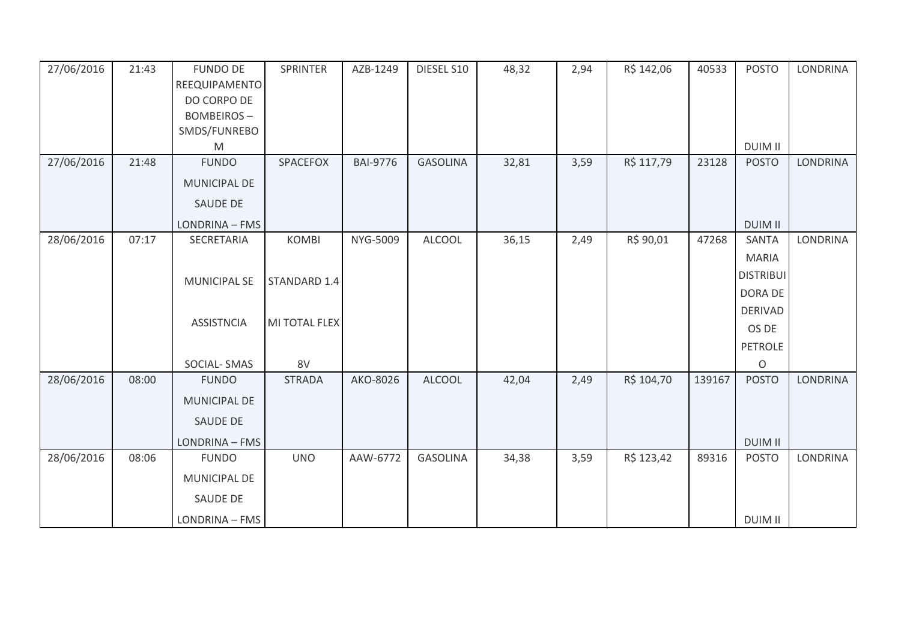| 27/06/2016 | 21:43 | <b>FUNDO DE</b><br>REEQUIPAMENTO | SPRINTER      | AZB-1249        | DIESEL S10      | 48,32 | 2,94 | R\$ 142,06 | 40533  | <b>POSTO</b>                   | LONDRINA        |
|------------|-------|----------------------------------|---------------|-----------------|-----------------|-------|------|------------|--------|--------------------------------|-----------------|
|            |       | DO CORPO DE                      |               |                 |                 |       |      |            |        |                                |                 |
|            |       | <b>BOMBEIROS-</b>                |               |                 |                 |       |      |            |        |                                |                 |
|            |       | SMDS/FUNREBO                     |               |                 |                 |       |      |            |        |                                |                 |
| 27/06/2016 | 21:48 | M<br><b>FUNDO</b>                | SPACEFOX      | <b>BAI-9776</b> | <b>GASOLINA</b> | 32,81 | 3,59 | R\$ 117,79 | 23128  | <b>DUIM II</b><br><b>POSTO</b> | <b>LONDRINA</b> |
|            |       |                                  |               |                 |                 |       |      |            |        |                                |                 |
|            |       | <b>MUNICIPAL DE</b>              |               |                 |                 |       |      |            |        |                                |                 |
|            |       | <b>SAUDE DE</b>                  |               |                 |                 |       |      |            |        |                                |                 |
|            |       | LONDRINA - FMS                   |               |                 |                 |       |      |            |        | <b>DUIM II</b>                 |                 |
| 28/06/2016 | 07:17 | SECRETARIA                       | <b>KOMBI</b>  | NYG-5009        | <b>ALCOOL</b>   | 36,15 | 2,49 | R\$ 90,01  | 47268  | SANTA                          | LONDRINA        |
|            |       |                                  |               |                 |                 |       |      |            |        | <b>MARIA</b>                   |                 |
|            |       | <b>MUNICIPAL SE</b>              | STANDARD 1.4  |                 |                 |       |      |            |        | <b>DISTRIBUI</b>               |                 |
|            |       |                                  |               |                 |                 |       |      |            |        | DORA DE                        |                 |
|            |       |                                  |               |                 |                 |       |      |            |        | <b>DERIVAD</b>                 |                 |
|            |       | <b>ASSISTNCIA</b>                | MI TOTAL FLEX |                 |                 |       |      |            |        | OS DE                          |                 |
|            |       |                                  |               |                 |                 |       |      |            |        | PETROLE                        |                 |
|            |       | SOCIAL-SMAS                      | 8V            |                 |                 |       |      |            |        | $\Omega$                       |                 |
| 28/06/2016 | 08:00 | <b>FUNDO</b>                     | <b>STRADA</b> | AKO-8026        | <b>ALCOOL</b>   | 42,04 | 2,49 | R\$ 104,70 | 139167 | <b>POSTO</b>                   | <b>LONDRINA</b> |
|            |       | <b>MUNICIPAL DE</b>              |               |                 |                 |       |      |            |        |                                |                 |
|            |       | SAUDE DE                         |               |                 |                 |       |      |            |        |                                |                 |
|            |       | LONDRINA - FMS                   |               |                 |                 |       |      |            |        | <b>DUIM II</b>                 |                 |
| 28/06/2016 | 08:06 | <b>FUNDO</b>                     | <b>UNO</b>    | AAW-6772        | <b>GASOLINA</b> | 34,38 | 3,59 | R\$ 123,42 | 89316  | <b>POSTO</b>                   | LONDRINA        |
|            |       | MUNICIPAL DE                     |               |                 |                 |       |      |            |        |                                |                 |
|            |       | SAUDE DE                         |               |                 |                 |       |      |            |        |                                |                 |
|            |       | LONDRINA - FMS                   |               |                 |                 |       |      |            |        | <b>DUIM II</b>                 |                 |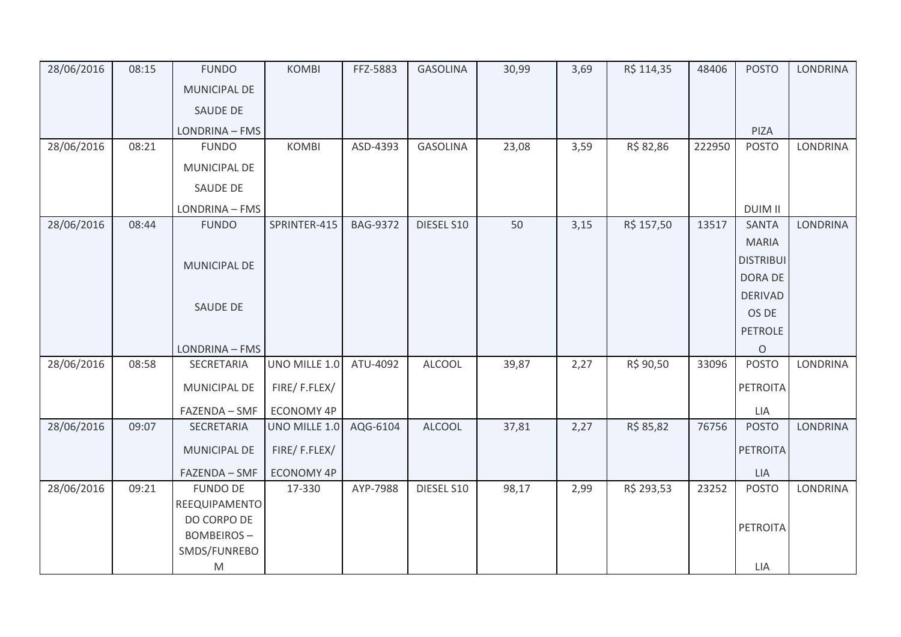| 28/06/2016 | 08:15 | <b>FUNDO</b>        | <b>KOMBI</b>      | FFZ-5883        | <b>GASOLINA</b> | 30,99 | 3,69 | R\$ 114,35 | 48406  | <b>POSTO</b>     | <b>LONDRINA</b> |
|------------|-------|---------------------|-------------------|-----------------|-----------------|-------|------|------------|--------|------------------|-----------------|
|            |       | MUNICIPAL DE        |                   |                 |                 |       |      |            |        |                  |                 |
|            |       | SAUDE DE            |                   |                 |                 |       |      |            |        |                  |                 |
|            |       | LONDRINA - FMS      |                   |                 |                 |       |      |            |        | PIZA             |                 |
| 28/06/2016 | 08:21 | <b>FUNDO</b>        | <b>KOMBI</b>      | ASD-4393        | <b>GASOLINA</b> | 23,08 | 3,59 | R\$ 82,86  | 222950 | <b>POSTO</b>     | LONDRINA        |
|            |       | MUNICIPAL DE        |                   |                 |                 |       |      |            |        |                  |                 |
|            |       | SAUDE DE            |                   |                 |                 |       |      |            |        |                  |                 |
|            |       | LONDRINA - FMS      |                   |                 |                 |       |      |            |        | <b>DUIM II</b>   |                 |
| 28/06/2016 | 08:44 | <b>FUNDO</b>        | SPRINTER-415      | <b>BAG-9372</b> | DIESEL S10      | 50    | 3,15 | R\$ 157,50 | 13517  | <b>SANTA</b>     | <b>LONDRINA</b> |
|            |       |                     |                   |                 |                 |       |      |            |        | <b>MARIA</b>     |                 |
|            |       | MUNICIPAL DE        |                   |                 |                 |       |      |            |        | <b>DISTRIBUI</b> |                 |
|            |       |                     |                   |                 |                 |       |      |            |        | DORA DE          |                 |
|            |       |                     |                   |                 |                 |       |      |            |        | <b>DERIVAD</b>   |                 |
|            |       | SAUDE DE            |                   |                 |                 |       |      |            |        | OS DE            |                 |
|            |       |                     |                   |                 |                 |       |      |            |        | <b>PETROLE</b>   |                 |
|            |       | LONDRINA - FMS      |                   |                 |                 |       |      |            |        | $\mathsf O$      |                 |
| 28/06/2016 | 08:58 | SECRETARIA          | UNO MILLE 1.0     | ATU-4092        | <b>ALCOOL</b>   | 39,87 | 2,27 | R\$ 90,50  | 33096  | <b>POSTO</b>     | <b>LONDRINA</b> |
|            |       | MUNICIPAL DE        | FIRE/F.FLEX/      |                 |                 |       |      |            |        | <b>PETROITA</b>  |                 |
|            |       | FAZENDA - SMF       | ECONOMY 4P        |                 |                 |       |      |            |        | LIA              |                 |
| 28/06/2016 | 09:07 | SECRETARIA          | UNO MILLE 1.0     | AQG-6104        | <b>ALCOOL</b>   | 37,81 | 2,27 | R\$ 85,82  | 76756  | <b>POSTO</b>     | <b>LONDRINA</b> |
|            |       | <b>MUNICIPAL DE</b> | FIRE/F.FLEX/      |                 |                 |       |      |            |        | <b>PETROITA</b>  |                 |
|            |       | FAZENDA - SMF       | <b>ECONOMY 4P</b> |                 |                 |       |      |            |        | LIA              |                 |
| 28/06/2016 | 09:21 | <b>FUNDO DE</b>     | 17-330            | AYP-7988        | DIESEL S10      | 98,17 | 2,99 | R\$ 293,53 | 23252  | <b>POSTO</b>     | <b>LONDRINA</b> |
|            |       | REEQUIPAMENTO       |                   |                 |                 |       |      |            |        |                  |                 |
|            |       | DO CORPO DE         |                   |                 |                 |       |      |            |        | <b>PETROITA</b>  |                 |
|            |       | <b>BOMBEIROS-</b>   |                   |                 |                 |       |      |            |        |                  |                 |
|            |       | SMDS/FUNREBO        |                   |                 |                 |       |      |            |        |                  |                 |
|            |       | M                   |                   |                 |                 |       |      |            |        | LIA              |                 |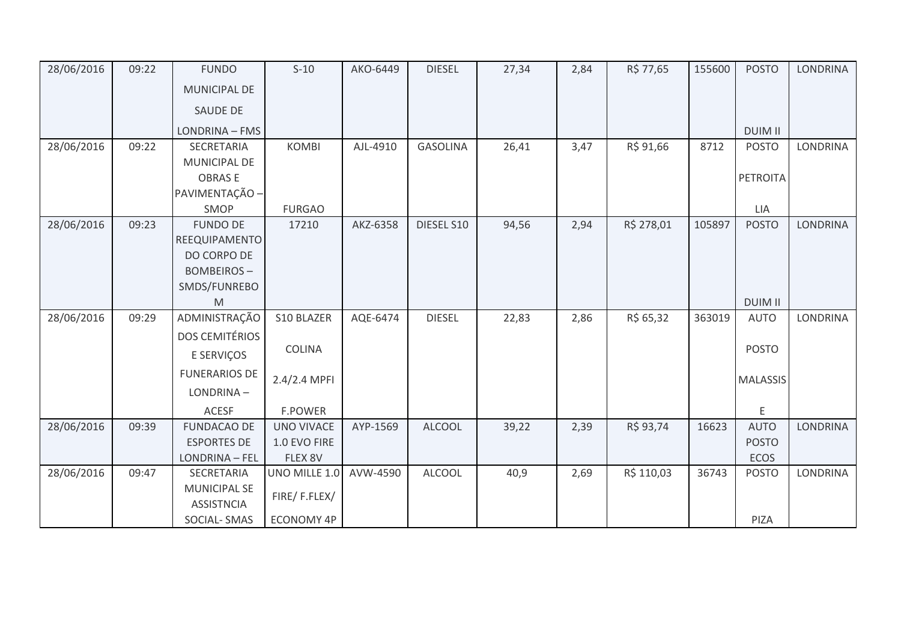| 28/06/2016 | 09:22 | <b>FUNDO</b>                             | $S-10$            | AKO-6449 | <b>DIESEL</b>   | 27,34 | 2,84 | R\$ 77,65  | 155600 | <b>POSTO</b>    | <b>LONDRINA</b> |
|------------|-------|------------------------------------------|-------------------|----------|-----------------|-------|------|------------|--------|-----------------|-----------------|
|            |       | MUNICIPAL DE                             |                   |          |                 |       |      |            |        |                 |                 |
|            |       | SAUDE DE                                 |                   |          |                 |       |      |            |        |                 |                 |
|            |       | LONDRINA - FMS                           |                   |          |                 |       |      |            |        | <b>DUIM II</b>  |                 |
| 28/06/2016 | 09:22 | SECRETARIA                               | <b>KOMBI</b>      | AJL-4910 | <b>GASOLINA</b> | 26,41 | 3,47 | R\$ 91,66  | 8712   | <b>POSTO</b>    | <b>LONDRINA</b> |
|            |       | MUNICIPAL DE                             |                   |          |                 |       |      |            |        |                 |                 |
|            |       | <b>OBRASE</b>                            |                   |          |                 |       |      |            |        | PETROITA        |                 |
|            |       | PAVIMENTAÇÃO -                           |                   |          |                 |       |      |            |        |                 |                 |
|            |       | SMOP                                     | <b>FURGAO</b>     |          |                 |       |      |            |        | LIA             |                 |
| 28/06/2016 | 09:23 | <b>FUNDO DE</b>                          | 17210             | AKZ-6358 | DIESEL S10      | 94,56 | 2,94 | R\$ 278,01 | 105897 | <b>POSTO</b>    | <b>LONDRINA</b> |
|            |       | REEQUIPAMENTO                            |                   |          |                 |       |      |            |        |                 |                 |
|            |       | DO CORPO DE                              |                   |          |                 |       |      |            |        |                 |                 |
|            |       | <b>BOMBEIROS-</b>                        |                   |          |                 |       |      |            |        |                 |                 |
|            |       | SMDS/FUNREBO                             |                   |          |                 |       |      |            |        |                 |                 |
|            |       | M                                        |                   |          |                 |       |      |            |        | <b>DUIM II</b>  |                 |
| 28/06/2016 | 09:29 | ADMINISTRAÇÃO                            | S10 BLAZER        | AQE-6474 | <b>DIESEL</b>   | 22,83 | 2,86 | R\$ 65,32  | 363019 | <b>AUTO</b>     | <b>LONDRINA</b> |
|            |       | <b>DOS CEMITÉRIOS</b>                    |                   |          |                 |       |      |            |        |                 |                 |
|            |       | E SERVIÇOS                               | COLINA            |          |                 |       |      |            |        | <b>POSTO</b>    |                 |
|            |       | <b>FUNERARIOS DE</b>                     | 2.4/2.4 MPFI      |          |                 |       |      |            |        | <b>MALASSIS</b> |                 |
|            |       | LONDRINA-                                |                   |          |                 |       |      |            |        |                 |                 |
|            |       | <b>ACESF</b>                             | <b>F.POWER</b>    |          |                 |       |      |            |        | E               |                 |
| 28/06/2016 | 09:39 | <b>FUNDACAO DE</b>                       | <b>UNO VIVACE</b> | AYP-1569 | <b>ALCOOL</b>   | 39,22 | 2,39 | R\$ 93,74  | 16623  | <b>AUTO</b>     | <b>LONDRINA</b> |
|            |       | <b>ESPORTES DE</b>                       | 1.0 EVO FIRE      |          |                 |       |      |            |        | <b>POSTO</b>    |                 |
|            |       | LONDRINA - FEL                           | FLEX 8V           |          |                 |       |      |            |        | <b>ECOS</b>     |                 |
| 28/06/2016 | 09:47 | SECRETARIA                               | UNO MILLE 1.0     | AVW-4590 | <b>ALCOOL</b>   | 40,9  | 2,69 | R\$ 110,03 | 36743  | <b>POSTO</b>    | <b>LONDRINA</b> |
|            |       | <b>MUNICIPAL SE</b><br><b>ASSISTNCIA</b> | FIRE/F.FLEX/      |          |                 |       |      |            |        |                 |                 |
|            |       | <b>SOCIAL-SMAS</b>                       | <b>ECONOMY 4P</b> |          |                 |       |      |            |        | PIZA            |                 |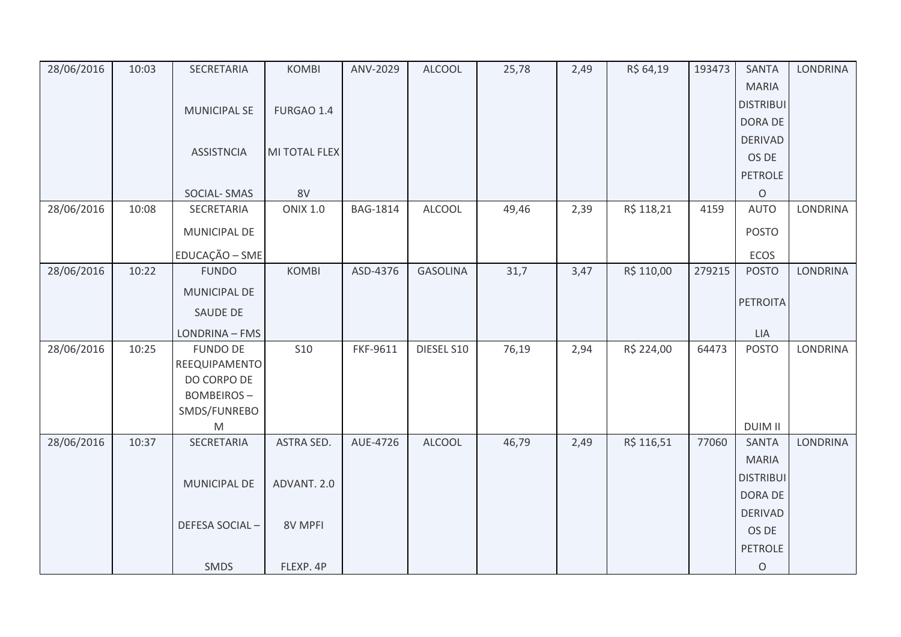| 28/06/2016 | 10:03 | SECRETARIA          | <b>KOMBI</b>      | ANV-2029        | <b>ALCOOL</b>   | 25,78 | 2,49 | R\$ 64,19  | 193473 | <b>SANTA</b>     | <b>LONDRINA</b> |
|------------|-------|---------------------|-------------------|-----------------|-----------------|-------|------|------------|--------|------------------|-----------------|
|            |       |                     |                   |                 |                 |       |      |            |        | <b>MARIA</b>     |                 |
|            |       | <b>MUNICIPAL SE</b> | FURGAO 1.4        |                 |                 |       |      |            |        | <b>DISTRIBUI</b> |                 |
|            |       |                     |                   |                 |                 |       |      |            |        | DORA DE          |                 |
|            |       |                     |                   |                 |                 |       |      |            |        | <b>DERIVAD</b>   |                 |
|            |       | <b>ASSISTNCIA</b>   | MI TOTAL FLEX     |                 |                 |       |      |            |        | OS DE            |                 |
|            |       |                     |                   |                 |                 |       |      |            |        | <b>PETROLE</b>   |                 |
|            |       | SOCIAL-SMAS         | 8V                |                 |                 |       |      |            |        | $\circ$          |                 |
| 28/06/2016 | 10:08 | SECRETARIA          | <b>ONIX 1.0</b>   | <b>BAG-1814</b> | ALCOOL          | 49,46 | 2,39 | R\$ 118,21 | 4159   | <b>AUTO</b>      | <b>LONDRINA</b> |
|            |       | MUNICIPAL DE        |                   |                 |                 |       |      |            |        | <b>POSTO</b>     |                 |
|            |       | EDUCAÇÃO - SME      |                   |                 |                 |       |      |            |        | ECOS             |                 |
| 28/06/2016 | 10:22 | <b>FUNDO</b>        | <b>KOMBI</b>      | ASD-4376        | <b>GASOLINA</b> | 31,7  | 3,47 | R\$ 110,00 | 279215 | <b>POSTO</b>     | <b>LONDRINA</b> |
|            |       | MUNICIPAL DE        |                   |                 |                 |       |      |            |        |                  |                 |
|            |       | SAUDE DE            |                   |                 |                 |       |      |            |        | PETROITA         |                 |
|            |       | LONDRINA - FMS      |                   |                 |                 |       |      |            |        | <b>LIA</b>       |                 |
| 28/06/2016 | 10:25 | <b>FUNDO DE</b>     | <b>S10</b>        | FKF-9611        | DIESEL S10      | 76,19 | 2,94 | R\$ 224,00 | 64473  | POSTO            | <b>LONDRINA</b> |
|            |       | REEQUIPAMENTO       |                   |                 |                 |       |      |            |        |                  |                 |
|            |       | DO CORPO DE         |                   |                 |                 |       |      |            |        |                  |                 |
|            |       | <b>BOMBEIROS-</b>   |                   |                 |                 |       |      |            |        |                  |                 |
|            |       | SMDS/FUNREBO        |                   |                 |                 |       |      |            |        |                  |                 |
|            |       | M                   |                   |                 |                 |       |      |            |        | <b>DUIM II</b>   |                 |
| 28/06/2016 | 10:37 | SECRETARIA          | <b>ASTRA SED.</b> | AUE-4726        | ALCOOL          | 46,79 | 2,49 | R\$ 116,51 | 77060  | <b>SANTA</b>     | <b>LONDRINA</b> |
|            |       |                     |                   |                 |                 |       |      |            |        | <b>MARIA</b>     |                 |
|            |       | MUNICIPAL DE        | ADVANT. 2.0       |                 |                 |       |      |            |        | <b>DISTRIBUI</b> |                 |
|            |       |                     |                   |                 |                 |       |      |            |        | DORA DE          |                 |
|            |       | DEFESA SOCIAL-      | 8V MPFI           |                 |                 |       |      |            |        | <b>DERIVAD</b>   |                 |
|            |       |                     |                   |                 |                 |       |      |            |        | OS DE            |                 |
|            |       |                     |                   |                 |                 |       |      |            |        | <b>PETROLE</b>   |                 |
|            |       | SMDS                | FLEXP. 4P         |                 |                 |       |      |            |        | $\circ$          |                 |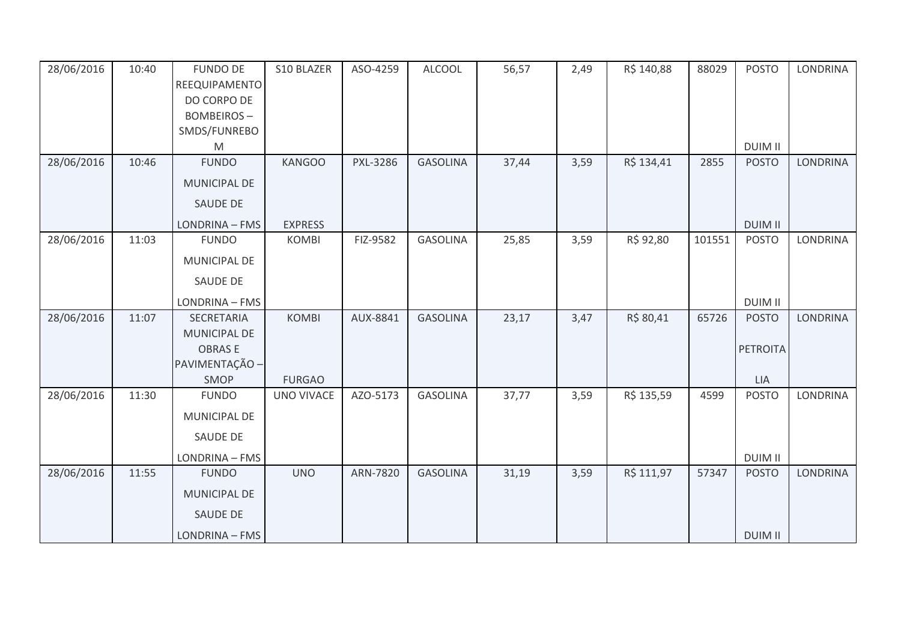| 28/06/2016 | 10:40 | <b>FUNDO DE</b><br>REEQUIPAMENTO<br>DO CORPO DE<br><b>BOMBEIROS-</b> | S10 BLAZER        | ASO-4259 | <b>ALCOOL</b>   | 56,57 | 2,49 | R\$ 140,88 | 88029  | <b>POSTO</b>   | <b>LONDRINA</b> |
|------------|-------|----------------------------------------------------------------------|-------------------|----------|-----------------|-------|------|------------|--------|----------------|-----------------|
|            |       | SMDS/FUNREBO<br>M                                                    |                   |          |                 |       |      |            |        | <b>DUIM II</b> |                 |
| 28/06/2016 | 10:46 | <b>FUNDO</b>                                                         | <b>KANGOO</b>     | PXL-3286 | <b>GASOLINA</b> | 37,44 | 3,59 | R\$ 134,41 | 2855   | <b>POSTO</b>   | <b>LONDRINA</b> |
|            |       | <b>MUNICIPAL DE</b>                                                  |                   |          |                 |       |      |            |        |                |                 |
|            |       | <b>SAUDE DE</b>                                                      |                   |          |                 |       |      |            |        |                |                 |
|            |       | LONDRINA - FMS                                                       | <b>EXPRESS</b>    |          |                 |       |      |            |        | <b>DUIM II</b> |                 |
| 28/06/2016 | 11:03 | <b>FUNDO</b>                                                         | <b>KOMBI</b>      | FIZ-9582 | <b>GASOLINA</b> | 25,85 | 3,59 | R\$ 92,80  | 101551 | <b>POSTO</b>   | <b>LONDRINA</b> |
|            |       | MUNICIPAL DE                                                         |                   |          |                 |       |      |            |        |                |                 |
|            |       | <b>SAUDE DE</b>                                                      |                   |          |                 |       |      |            |        |                |                 |
|            |       | LONDRINA - FMS                                                       |                   |          |                 |       |      |            |        | <b>DUIM II</b> |                 |
| 28/06/2016 | 11:07 | <b>SECRETARIA</b>                                                    | <b>KOMBI</b>      | AUX-8841 | <b>GASOLINA</b> | 23,17 | 3,47 | R\$ 80,41  | 65726  | <b>POSTO</b>   | <b>LONDRINA</b> |
|            |       | <b>MUNICIPAL DE</b><br><b>OBRASE</b>                                 |                   |          |                 |       |      |            |        | PETROITA       |                 |
|            |       | PAVIMENTAÇÃO -                                                       |                   |          |                 |       |      |            |        |                |                 |
|            |       | SMOP                                                                 | <b>FURGAO</b>     |          |                 |       |      |            |        | <b>LIA</b>     |                 |
| 28/06/2016 | 11:30 | <b>FUNDO</b>                                                         | <b>UNO VIVACE</b> | AZO-5173 | <b>GASOLINA</b> | 37,77 | 3,59 | R\$ 135,59 | 4599   | <b>POSTO</b>   | <b>LONDRINA</b> |
|            |       | <b>MUNICIPAL DE</b>                                                  |                   |          |                 |       |      |            |        |                |                 |
|            |       | SAUDE DE                                                             |                   |          |                 |       |      |            |        |                |                 |
|            |       | LONDRINA - FMS                                                       |                   |          |                 |       |      |            |        | <b>DUIM II</b> |                 |
| 28/06/2016 | 11:55 | <b>FUNDO</b>                                                         | <b>UNO</b>        | ARN-7820 | <b>GASOLINA</b> | 31,19 | 3,59 | R\$ 111,97 | 57347  | <b>POSTO</b>   | <b>LONDRINA</b> |
|            |       | <b>MUNICIPAL DE</b>                                                  |                   |          |                 |       |      |            |        |                |                 |
|            |       | SAUDE DE                                                             |                   |          |                 |       |      |            |        |                |                 |
|            |       | LONDRINA - FMS                                                       |                   |          |                 |       |      |            |        | <b>DUIM II</b> |                 |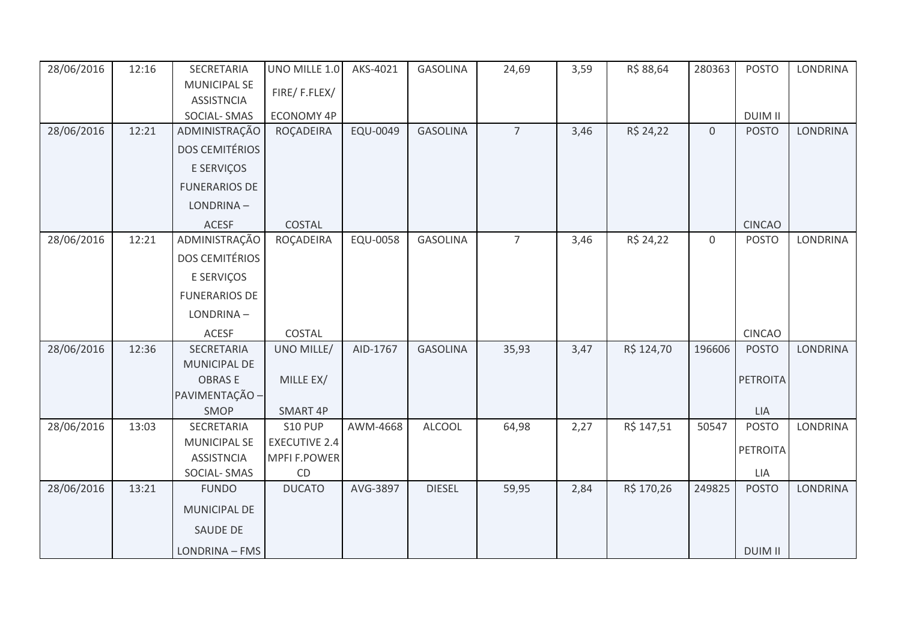| 28/06/2016 | 12:16 | SECRETARIA            | UNO MILLE 1.0        | AKS-4021 | <b>GASOLINA</b> | 24,69          | 3,59 | R\$ 88,64  | 280363           | <b>POSTO</b>    | <b>LONDRINA</b> |
|------------|-------|-----------------------|----------------------|----------|-----------------|----------------|------|------------|------------------|-----------------|-----------------|
|            |       | <b>MUNICIPAL SE</b>   | FIRE/F.FLEX/         |          |                 |                |      |            |                  |                 |                 |
|            |       | <b>ASSISTNCIA</b>     |                      |          |                 |                |      |            |                  |                 |                 |
|            |       | SOCIAL-SMAS           | <b>ECONOMY 4P</b>    |          |                 |                |      |            |                  | <b>DUIM II</b>  |                 |
| 28/06/2016 | 12:21 | ADMINISTRAÇÃO         | ROÇADEIRA            | EQU-0049 | <b>GASOLINA</b> | $\overline{7}$ | 3,46 | R\$ 24,22  | $\mathbf{0}$     | <b>POSTO</b>    | <b>LONDRINA</b> |
|            |       | <b>DOS CEMITÉRIOS</b> |                      |          |                 |                |      |            |                  |                 |                 |
|            |       | E SERVIÇOS            |                      |          |                 |                |      |            |                  |                 |                 |
|            |       | <b>FUNERARIOS DE</b>  |                      |          |                 |                |      |            |                  |                 |                 |
|            |       | LONDRINA-             |                      |          |                 |                |      |            |                  |                 |                 |
|            |       | <b>ACESF</b>          | COSTAL               |          |                 |                |      |            |                  | <b>CINCAO</b>   |                 |
| 28/06/2016 | 12:21 | ADMINISTRAÇÃO         | ROÇADEIRA            | EQU-0058 | <b>GASOLINA</b> | $\overline{7}$ | 3,46 | R\$ 24,22  | $\boldsymbol{0}$ | <b>POSTO</b>    | <b>LONDRINA</b> |
|            |       | <b>DOS CEMITÉRIOS</b> |                      |          |                 |                |      |            |                  |                 |                 |
|            |       | E SERVIÇOS            |                      |          |                 |                |      |            |                  |                 |                 |
|            |       | <b>FUNERARIOS DE</b>  |                      |          |                 |                |      |            |                  |                 |                 |
|            |       | LONDRINA-             |                      |          |                 |                |      |            |                  |                 |                 |
|            |       | <b>ACESF</b>          | COSTAL               |          |                 |                |      |            |                  | <b>CINCAO</b>   |                 |
| 28/06/2016 | 12:36 | SECRETARIA            | UNO MILLE/           | AID-1767 | <b>GASOLINA</b> | 35,93          | 3,47 | R\$ 124,70 | 196606           | <b>POSTO</b>    | LONDRINA        |
|            |       | MUNICIPAL DE          |                      |          |                 |                |      |            |                  |                 |                 |
|            |       | <b>OBRASE</b>         | MILLE EX/            |          |                 |                |      |            |                  | <b>PETROITA</b> |                 |
|            |       | PAVIMENTAÇÃO -        |                      |          |                 |                |      |            |                  |                 |                 |
|            |       | SMOP                  | SMART 4P             |          |                 |                |      |            |                  | LIA             |                 |
| 28/06/2016 | 13:03 | SECRETARIA            | <b>S10 PUP</b>       | AWM-4668 | <b>ALCOOL</b>   | 64,98          | 2,27 | R\$ 147,51 | 50547            | <b>POSTO</b>    | <b>LONDRINA</b> |
|            |       | <b>MUNICIPAL SE</b>   | <b>EXECUTIVE 2.4</b> |          |                 |                |      |            |                  | PETROITA        |                 |
|            |       | <b>ASSISTNCIA</b>     | <b>MPFI F.POWER</b>  |          |                 |                |      |            |                  |                 |                 |
|            |       | SOCIAL-SMAS           | CD                   |          |                 |                |      |            |                  | LIA             |                 |
| 28/06/2016 | 13:21 | <b>FUNDO</b>          | <b>DUCATO</b>        | AVG-3897 | <b>DIESEL</b>   | 59,95          | 2,84 | R\$ 170,26 | 249825           | <b>POSTO</b>    | <b>LONDRINA</b> |
|            |       | MUNICIPAL DE          |                      |          |                 |                |      |            |                  |                 |                 |
|            |       | <b>SAUDE DE</b>       |                      |          |                 |                |      |            |                  |                 |                 |
|            |       | LONDRINA - FMS        |                      |          |                 |                |      |            |                  | <b>DUIM II</b>  |                 |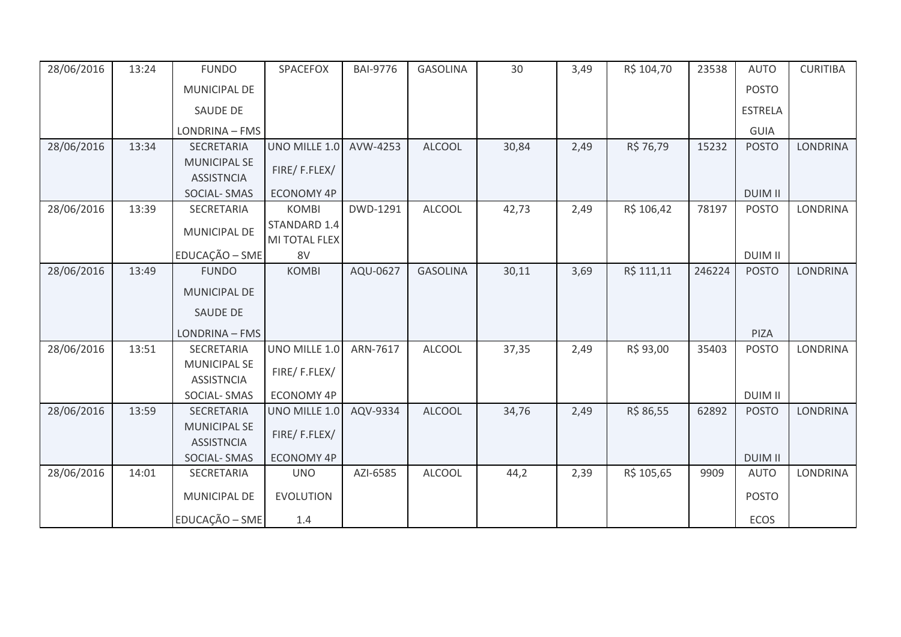| 28/06/2016 | 13:24 | <b>FUNDO</b>        | SPACEFOX          | <b>BAI-9776</b> | <b>GASOLINA</b> | 30    | 3,49 | R\$ 104,70 | 23538  | <b>AUTO</b>    | <b>CURITIBA</b> |
|------------|-------|---------------------|-------------------|-----------------|-----------------|-------|------|------------|--------|----------------|-----------------|
|            |       | <b>MUNICIPAL DE</b> |                   |                 |                 |       |      |            |        | <b>POSTO</b>   |                 |
|            |       | <b>SAUDE DE</b>     |                   |                 |                 |       |      |            |        | <b>ESTRELA</b> |                 |
|            |       | LONDRINA - FMS      |                   |                 |                 |       |      |            |        | <b>GUIA</b>    |                 |
| 28/06/2016 | 13:34 | <b>SECRETARIA</b>   | UNO MILLE 1.0     | AVW-4253        | <b>ALCOOL</b>   | 30,84 | 2,49 | R\$ 76,79  | 15232  | <b>POSTO</b>   | <b>LONDRINA</b> |
|            |       | <b>MUNICIPAL SE</b> |                   |                 |                 |       |      |            |        |                |                 |
|            |       | <b>ASSISTNCIA</b>   | FIRE/F.FLEX/      |                 |                 |       |      |            |        |                |                 |
|            |       | <b>SOCIAL-SMAS</b>  | <b>ECONOMY 4P</b> |                 |                 |       |      |            |        | <b>DUIM II</b> |                 |
| 28/06/2016 | 13:39 | SECRETARIA          | <b>KOMBI</b>      | DWD-1291        | <b>ALCOOL</b>   | 42,73 | 2,49 | R\$ 106,42 | 78197  | <b>POSTO</b>   | <b>LONDRINA</b> |
|            |       | MUNICIPAL DE        | STANDARD 1.4      |                 |                 |       |      |            |        |                |                 |
|            |       |                     | MI TOTAL FLEX     |                 |                 |       |      |            |        |                |                 |
|            |       | EDUCAÇÃO - SME      | 8V                |                 |                 |       |      |            |        | <b>DUIM II</b> |                 |
| 28/06/2016 | 13:49 | <b>FUNDO</b>        | <b>KOMBI</b>      | AQU-0627        | <b>GASOLINA</b> | 30,11 | 3,69 | R\$ 111,11 | 246224 | <b>POSTO</b>   | <b>LONDRINA</b> |
|            |       | <b>MUNICIPAL DE</b> |                   |                 |                 |       |      |            |        |                |                 |
|            |       | <b>SAUDE DE</b>     |                   |                 |                 |       |      |            |        |                |                 |
|            |       |                     |                   |                 |                 |       |      |            |        |                |                 |
|            |       | LONDRINA - FMS      |                   |                 |                 |       |      |            |        | PIZA           |                 |
| 28/06/2016 | 13:51 | SECRETARIA          | UNO MILLE 1.0     | ARN-7617        | <b>ALCOOL</b>   | 37,35 | 2,49 | R\$ 93,00  | 35403  | <b>POSTO</b>   | LONDRINA        |
|            |       | <b>MUNICIPAL SE</b> | FIRE/F.FLEX/      |                 |                 |       |      |            |        |                |                 |
|            |       | <b>ASSISTNCIA</b>   |                   |                 |                 |       |      |            |        |                |                 |
|            |       | SOCIAL-SMAS         | <b>ECONOMY 4P</b> |                 |                 |       |      |            |        | <b>DUIM II</b> |                 |
| 28/06/2016 | 13:59 | <b>SECRETARIA</b>   | UNO MILLE 1.0     | AQV-9334        | <b>ALCOOL</b>   | 34,76 | 2,49 | R\$ 86,55  | 62892  | <b>POSTO</b>   | <b>LONDRINA</b> |
|            |       | <b>MUNICIPAL SE</b> |                   |                 |                 |       |      |            |        |                |                 |
|            |       | <b>ASSISTNCIA</b>   | FIRE/F.FLEX/      |                 |                 |       |      |            |        |                |                 |
|            |       | <b>SOCIAL-SMAS</b>  | <b>ECONOMY 4P</b> |                 |                 |       |      |            |        | <b>DUIM II</b> |                 |
| 28/06/2016 | 14:01 | <b>SECRETARIA</b>   | <b>UNO</b>        | AZI-6585        | <b>ALCOOL</b>   | 44,2  | 2,39 | R\$ 105,65 | 9909   | <b>AUTO</b>    | <b>LONDRINA</b> |
|            |       | MUNICIPAL DE        | <b>EVOLUTION</b>  |                 |                 |       |      |            |        | <b>POSTO</b>   |                 |
|            |       |                     |                   |                 |                 |       |      |            |        |                |                 |
|            |       | EDUCAÇÃO - SME      | 1.4               |                 |                 |       |      |            |        | ECOS           |                 |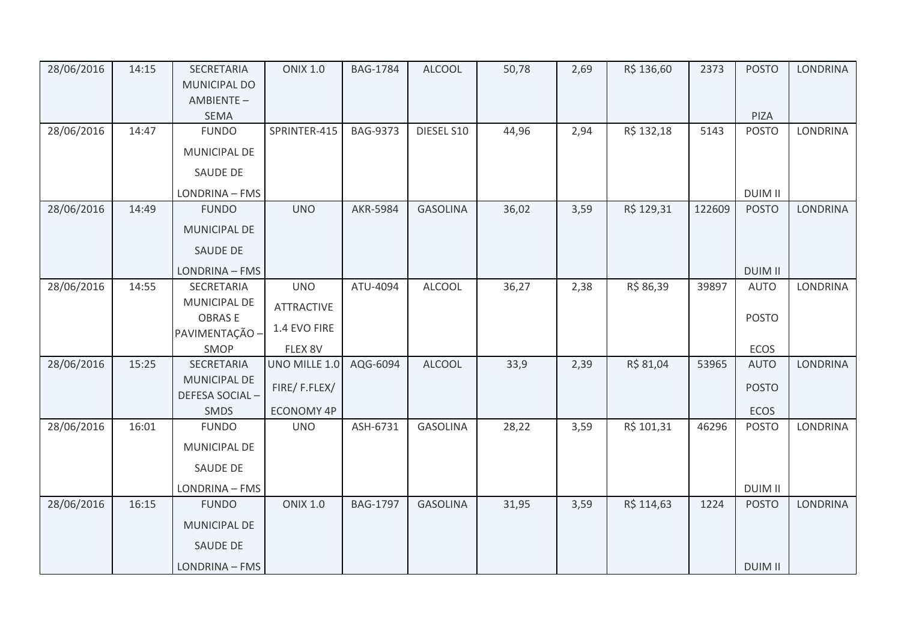| 28/06/2016 | 14:15 | SECRETARIA<br><b>MUNICIPAL DO</b>     | <b>ONIX 1.0</b>   | <b>BAG-1784</b> | <b>ALCOOL</b>   | 50,78 | 2,69 | R\$ 136,60 | 2373   | <b>POSTO</b>   | <b>LONDRINA</b> |
|------------|-------|---------------------------------------|-------------------|-----------------|-----------------|-------|------|------------|--------|----------------|-----------------|
|            |       | AMBIENTE-<br><b>SEMA</b>              |                   |                 |                 |       |      |            |        | PIZA           |                 |
| 28/06/2016 | 14:47 | <b>FUNDO</b>                          | SPRINTER-415      | <b>BAG-9373</b> | DIESEL S10      | 44,96 | 2,94 | R\$ 132,18 | 5143   | <b>POSTO</b>   | <b>LONDRINA</b> |
|            |       | <b>MUNICIPAL DE</b>                   |                   |                 |                 |       |      |            |        |                |                 |
|            |       | <b>SAUDE DE</b>                       |                   |                 |                 |       |      |            |        |                |                 |
|            |       | LONDRINA - FMS                        |                   |                 |                 |       |      |            |        | <b>DUIM II</b> |                 |
| 28/06/2016 | 14:49 | <b>FUNDO</b>                          | <b>UNO</b>        | <b>AKR-5984</b> | <b>GASOLINA</b> | 36,02 | 3,59 | R\$ 129,31 | 122609 | <b>POSTO</b>   | <b>LONDRINA</b> |
|            |       | <b>MUNICIPAL DE</b>                   |                   |                 |                 |       |      |            |        |                |                 |
|            |       | <b>SAUDE DE</b>                       |                   |                 |                 |       |      |            |        |                |                 |
|            |       | LONDRINA - FMS                        |                   |                 |                 |       |      |            |        | <b>DUIM II</b> |                 |
| 28/06/2016 | 14:55 | SECRETARIA                            | <b>UNO</b>        | ATU-4094        | <b>ALCOOL</b>   | 36,27 | 2,38 | R\$ 86,39  | 39897  | <b>AUTO</b>    | LONDRINA        |
|            |       | MUNICIPAL DE                          | <b>ATTRACTIVE</b> |                 |                 |       |      |            |        |                |                 |
|            |       | <b>OBRASE</b><br>PAVIMENTAÇÃO -       | 1.4 EVO FIRE      |                 |                 |       |      |            |        | <b>POSTO</b>   |                 |
|            |       | SMOP                                  | FLEX 8V           |                 |                 |       |      |            |        | <b>ECOS</b>    |                 |
| 28/06/2016 | 15:25 | SECRETARIA                            | UNO MILLE 1.0     | AQG-6094        | <b>ALCOOL</b>   | 33,9  | 2,39 | R\$ 81,04  | 53965  | <b>AUTO</b>    | <b>LONDRINA</b> |
|            |       | <b>MUNICIPAL DE</b><br>DEFESA SOCIAL- | FIRE/F.FLEX/      |                 |                 |       |      |            |        | <b>POSTO</b>   |                 |
|            |       | <b>SMDS</b>                           | <b>ECONOMY 4P</b> |                 |                 |       |      |            |        | <b>ECOS</b>    |                 |
| 28/06/2016 | 16:01 | <b>FUNDO</b>                          | <b>UNO</b>        | ASH-6731        | <b>GASOLINA</b> | 28,22 | 3,59 | R\$ 101,31 | 46296  | <b>POSTO</b>   | LONDRINA        |
|            |       | <b>MUNICIPAL DE</b>                   |                   |                 |                 |       |      |            |        |                |                 |
|            |       | <b>SAUDE DE</b>                       |                   |                 |                 |       |      |            |        |                |                 |
|            |       | LONDRINA - FMS                        |                   |                 |                 |       |      |            |        | <b>DUIM II</b> |                 |
| 28/06/2016 | 16:15 | <b>FUNDO</b>                          | <b>ONIX 1.0</b>   | <b>BAG-1797</b> | <b>GASOLINA</b> | 31,95 | 3,59 | R\$ 114,63 | 1224   | <b>POSTO</b>   | <b>LONDRINA</b> |
|            |       | MUNICIPAL DE                          |                   |                 |                 |       |      |            |        |                |                 |
|            |       | <b>SAUDE DE</b>                       |                   |                 |                 |       |      |            |        |                |                 |
|            |       | LONDRINA - FMS                        |                   |                 |                 |       |      |            |        | <b>DUIM II</b> |                 |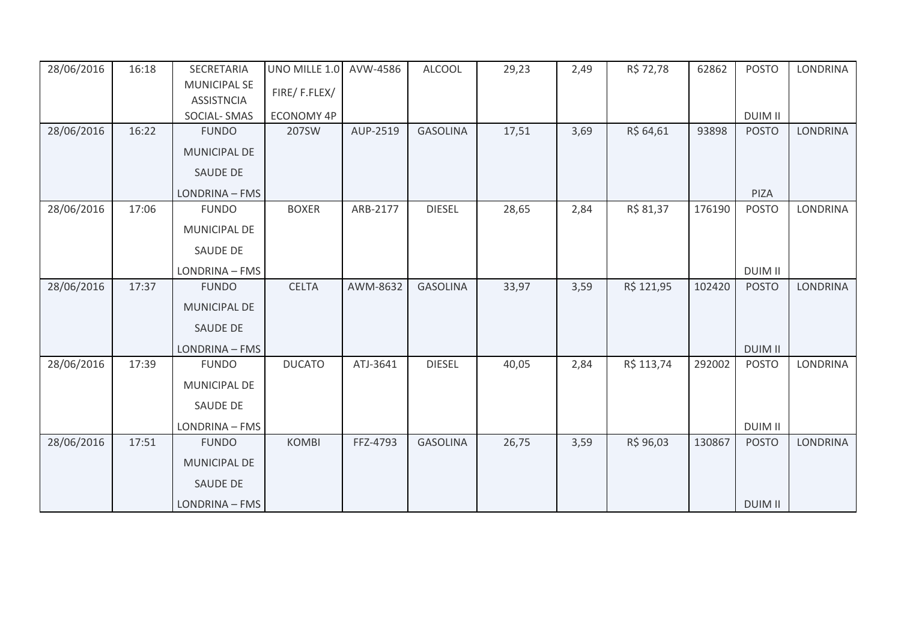| 28/06/2016 | 16:18 | SECRETARIA          | UNO MILLE 1.0     | AVW-4586 | <b>ALCOOL</b>   | 29,23 | 2,49 | R\$ 72,78  | 62862  | <b>POSTO</b>   | <b>LONDRINA</b> |
|------------|-------|---------------------|-------------------|----------|-----------------|-------|------|------------|--------|----------------|-----------------|
|            |       | <b>MUNICIPAL SE</b> | FIRE/F.FLEX/      |          |                 |       |      |            |        |                |                 |
|            |       | <b>ASSISTNCIA</b>   |                   |          |                 |       |      |            |        |                |                 |
|            |       | SOCIAL-SMAS         | <b>ECONOMY 4P</b> |          |                 |       |      |            |        | <b>DUIM II</b> |                 |
| 28/06/2016 | 16:22 | <b>FUNDO</b>        | 207SW             | AUP-2519 | <b>GASOLINA</b> | 17,51 | 3,69 | R\$ 64,61  | 93898  | <b>POSTO</b>   | <b>LONDRINA</b> |
|            |       | MUNICIPAL DE        |                   |          |                 |       |      |            |        |                |                 |
|            |       | <b>SAUDE DE</b>     |                   |          |                 |       |      |            |        |                |                 |
|            |       | LONDRINA - FMS      |                   |          |                 |       |      |            |        | PIZA           |                 |
| 28/06/2016 | 17:06 | <b>FUNDO</b>        | <b>BOXER</b>      | ARB-2177 | <b>DIESEL</b>   | 28,65 | 2,84 | R\$ 81,37  | 176190 | <b>POSTO</b>   | LONDRINA        |
|            |       | <b>MUNICIPAL DE</b> |                   |          |                 |       |      |            |        |                |                 |
|            |       | <b>SAUDE DE</b>     |                   |          |                 |       |      |            |        |                |                 |
|            |       | LONDRINA - FMS      |                   |          |                 |       |      |            |        | <b>DUIM II</b> |                 |
| 28/06/2016 | 17:37 | <b>FUNDO</b>        | <b>CELTA</b>      | AWM-8632 | <b>GASOLINA</b> | 33,97 | 3,59 | R\$ 121,95 | 102420 | <b>POSTO</b>   | <b>LONDRINA</b> |
|            |       | <b>MUNICIPAL DE</b> |                   |          |                 |       |      |            |        |                |                 |
|            |       | <b>SAUDE DE</b>     |                   |          |                 |       |      |            |        |                |                 |
|            |       | LONDRINA - FMS      |                   |          |                 |       |      |            |        | <b>DUIM II</b> |                 |
| 28/06/2016 | 17:39 | <b>FUNDO</b>        | <b>DUCATO</b>     | ATJ-3641 | <b>DIESEL</b>   | 40,05 | 2,84 | R\$ 113,74 | 292002 | <b>POSTO</b>   | <b>LONDRINA</b> |
|            |       | <b>MUNICIPAL DE</b> |                   |          |                 |       |      |            |        |                |                 |
|            |       | <b>SAUDE DE</b>     |                   |          |                 |       |      |            |        |                |                 |
|            |       | LONDRINA - FMS      |                   |          |                 |       |      |            |        | <b>DUIM II</b> |                 |
| 28/06/2016 | 17:51 | <b>FUNDO</b>        | <b>KOMBI</b>      | FFZ-4793 | <b>GASOLINA</b> | 26,75 | 3,59 | R\$ 96,03  | 130867 | <b>POSTO</b>   | <b>LONDRINA</b> |
|            |       | <b>MUNICIPAL DE</b> |                   |          |                 |       |      |            |        |                |                 |
|            |       | <b>SAUDE DE</b>     |                   |          |                 |       |      |            |        |                |                 |
|            |       | LONDRINA - FMS      |                   |          |                 |       |      |            |        | <b>DUIM II</b> |                 |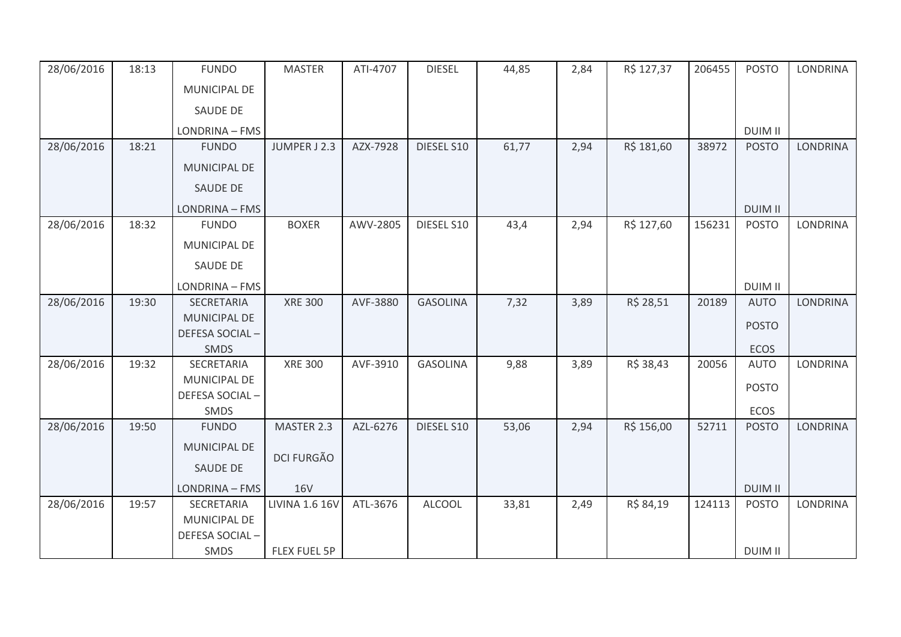| 28/06/2016 | 18:13 | <b>FUNDO</b>        | <b>MASTER</b>         | ATI-4707 | <b>DIESEL</b>   | 44,85 | 2,84 | R\$ 127,37 | 206455 | <b>POSTO</b>               | <b>LONDRINA</b> |
|------------|-------|---------------------|-----------------------|----------|-----------------|-------|------|------------|--------|----------------------------|-----------------|
|            |       | MUNICIPAL DE        |                       |          |                 |       |      |            |        |                            |                 |
|            |       | <b>SAUDE DE</b>     |                       |          |                 |       |      |            |        |                            |                 |
|            |       | LONDRINA - FMS      |                       |          |                 |       |      |            |        | <b>DUIM II</b>             |                 |
| 28/06/2016 | 18:21 | <b>FUNDO</b>        | JUMPER J 2.3          | AZX-7928 | DIESEL S10      | 61,77 | 2,94 | R\$ 181,60 | 38972  | <b>POSTO</b>               | <b>LONDRINA</b> |
|            |       | <b>MUNICIPAL DE</b> |                       |          |                 |       |      |            |        |                            |                 |
|            |       | SAUDE DE            |                       |          |                 |       |      |            |        |                            |                 |
|            |       | LONDRINA - FMS      |                       |          |                 |       |      |            |        | <b>DUIM II</b>             |                 |
| 28/06/2016 | 18:32 | <b>FUNDO</b>        | <b>BOXER</b>          | AWV-2805 | DIESEL S10      | 43,4  | 2,94 | R\$ 127,60 | 156231 | <b>POSTO</b>               | <b>LONDRINA</b> |
|            |       | MUNICIPAL DE        |                       |          |                 |       |      |            |        |                            |                 |
|            |       | SAUDE DE            |                       |          |                 |       |      |            |        |                            |                 |
|            |       | LONDRINA - FMS      |                       |          |                 |       |      |            |        | <b>DUIM II</b>             |                 |
| 28/06/2016 | 19:30 | <b>SECRETARIA</b>   | <b>XRE 300</b>        | AVF-3880 | <b>GASOLINA</b> | 7,32  | 3,89 | R\$ 28,51  | 20189  | <b>AUTO</b>                | <b>LONDRINA</b> |
|            |       | <b>MUNICIPAL DE</b> |                       |          |                 |       |      |            |        | <b>POSTO</b>               |                 |
|            |       | DEFESA SOCIAL-      |                       |          |                 |       |      |            |        |                            |                 |
| 28/06/2016 | 19:32 | SMDS<br>SECRETARIA  | <b>XRE 300</b>        | AVF-3910 | <b>GASOLINA</b> | 9,88  | 3,89 | R\$ 38,43  | 20056  | <b>ECOS</b><br><b>AUTO</b> | LONDRINA        |
|            |       | <b>MUNICIPAL DE</b> |                       |          |                 |       |      |            |        |                            |                 |
|            |       | DEFESA SOCIAL-      |                       |          |                 |       |      |            |        | <b>POSTO</b>               |                 |
|            |       | SMDS                |                       |          |                 |       |      |            |        | <b>ECOS</b>                |                 |
| 28/06/2016 | 19:50 | <b>FUNDO</b>        | MASTER 2.3            | AZL-6276 | DIESEL S10      | 53,06 | 2,94 | R\$ 156,00 | 52711  | <b>POSTO</b>               | <b>LONDRINA</b> |
|            |       | <b>MUNICIPAL DE</b> |                       |          |                 |       |      |            |        |                            |                 |
|            |       | SAUDE DE            | <b>DCI FURGÃO</b>     |          |                 |       |      |            |        |                            |                 |
|            |       | LONDRINA - FMS      | <b>16V</b>            |          |                 |       |      |            |        | <b>DUIM II</b>             |                 |
| 28/06/2016 | 19:57 | SECRETARIA          | <b>LIVINA 1.6 16V</b> | ATL-3676 | <b>ALCOOL</b>   | 33,81 | 2,49 | R\$ 84,19  | 124113 | <b>POSTO</b>               | <b>LONDRINA</b> |
|            |       | <b>MUNICIPAL DE</b> |                       |          |                 |       |      |            |        |                            |                 |
|            |       | DEFESA SOCIAL-      |                       |          |                 |       |      |            |        |                            |                 |
|            |       | <b>SMDS</b>         | FLEX FUEL 5P          |          |                 |       |      |            |        | <b>DUIM II</b>             |                 |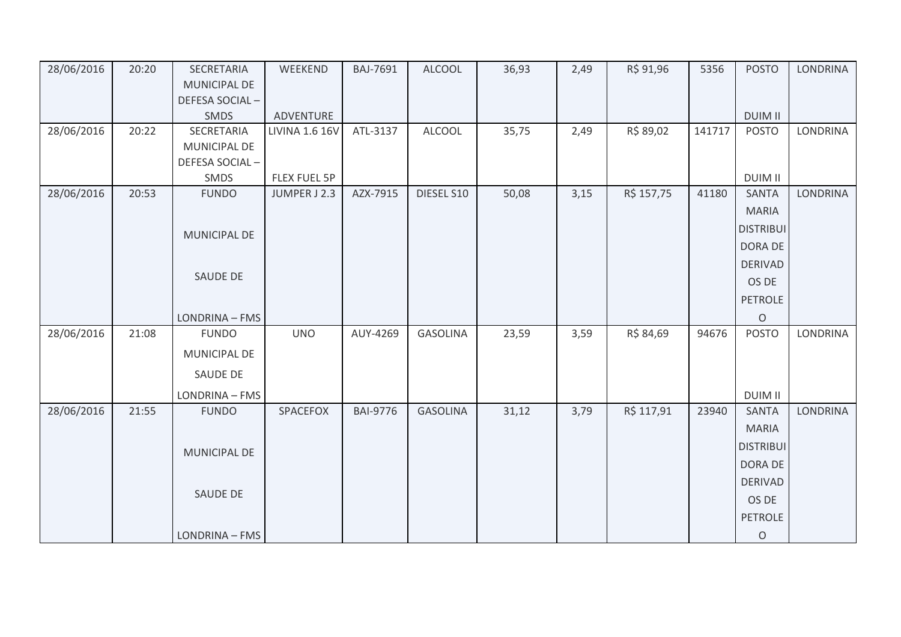| 28/06/2016 | 20:20 | SECRETARIA          | WEEKEND               | BAJ-7691        | <b>ALCOOL</b>   | 36,93 | 2,49 | R\$ 91,96  | 5356   | <b>POSTO</b>     | <b>LONDRINA</b> |
|------------|-------|---------------------|-----------------------|-----------------|-----------------|-------|------|------------|--------|------------------|-----------------|
|            |       | <b>MUNICIPAL DE</b> |                       |                 |                 |       |      |            |        |                  |                 |
|            |       | DEFESA SOCIAL-      |                       |                 |                 |       |      |            |        |                  |                 |
|            |       | <b>SMDS</b>         | ADVENTURE             |                 |                 |       |      |            |        | <b>DUIM II</b>   |                 |
| 28/06/2016 | 20:22 | SECRETARIA          | <b>LIVINA 1.6 16V</b> | ATL-3137        | <b>ALCOOL</b>   | 35,75 | 2,49 | R\$ 89,02  | 141717 | <b>POSTO</b>     | <b>LONDRINA</b> |
|            |       | MUNICIPAL DE        |                       |                 |                 |       |      |            |        |                  |                 |
|            |       | DEFESA SOCIAL-      |                       |                 |                 |       |      |            |        |                  |                 |
|            |       | SMDS                | FLEX FUEL 5P          |                 |                 |       |      |            |        | <b>DUIM II</b>   |                 |
| 28/06/2016 | 20:53 | <b>FUNDO</b>        | JUMPER J 2.3          | AZX-7915        | DIESEL S10      | 50,08 | 3,15 | R\$ 157,75 | 41180  | <b>SANTA</b>     | <b>LONDRINA</b> |
|            |       |                     |                       |                 |                 |       |      |            |        | <b>MARIA</b>     |                 |
|            |       | <b>MUNICIPAL DE</b> |                       |                 |                 |       |      |            |        | <b>DISTRIBUI</b> |                 |
|            |       |                     |                       |                 |                 |       |      |            |        | DORA DE          |                 |
|            |       |                     |                       |                 |                 |       |      |            |        | <b>DERIVAD</b>   |                 |
|            |       | SAUDE DE            |                       |                 |                 |       |      |            |        | OS DE            |                 |
|            |       |                     |                       |                 |                 |       |      |            |        | <b>PETROLE</b>   |                 |
|            |       | LONDRINA - FMS      |                       |                 |                 |       |      |            |        | $\circ$          |                 |
| 28/06/2016 | 21:08 | <b>FUNDO</b>        | <b>UNO</b>            | AUY-4269        | <b>GASOLINA</b> | 23,59 | 3,59 | R\$ 84,69  | 94676  | <b>POSTO</b>     | <b>LONDRINA</b> |
|            |       | <b>MUNICIPAL DE</b> |                       |                 |                 |       |      |            |        |                  |                 |
|            |       | SAUDE DE            |                       |                 |                 |       |      |            |        |                  |                 |
|            |       |                     |                       |                 |                 |       |      |            |        |                  |                 |
|            |       | LONDRINA - FMS      |                       |                 |                 |       |      |            |        | <b>DUIM II</b>   |                 |
| 28/06/2016 | 21:55 | <b>FUNDO</b>        | SPACEFOX              | <b>BAI-9776</b> | <b>GASOLINA</b> | 31,12 | 3,79 | R\$ 117,91 | 23940  | <b>SANTA</b>     | <b>LONDRINA</b> |
|            |       |                     |                       |                 |                 |       |      |            |        | <b>MARIA</b>     |                 |
|            |       | MUNICIPAL DE        |                       |                 |                 |       |      |            |        | <b>DISTRIBUI</b> |                 |
|            |       |                     |                       |                 |                 |       |      |            |        | DORA DE          |                 |
|            |       |                     |                       |                 |                 |       |      |            |        | <b>DERIVAD</b>   |                 |
|            |       | SAUDE DE            |                       |                 |                 |       |      |            |        | OS DE            |                 |
|            |       |                     |                       |                 |                 |       |      |            |        | <b>PETROLE</b>   |                 |
|            |       | LONDRINA - FMS      |                       |                 |                 |       |      |            |        | $\circ$          |                 |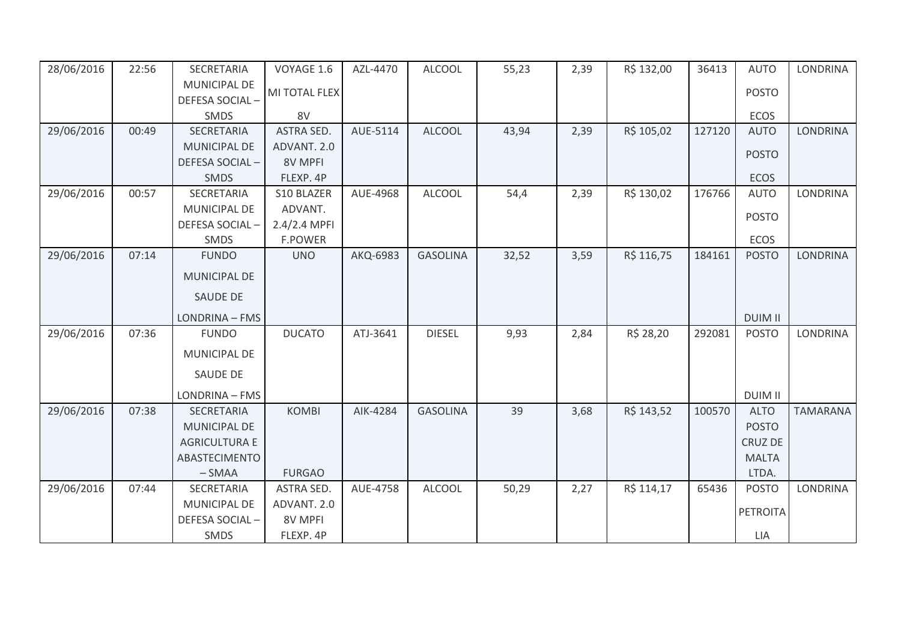| 28/06/2016 | 22:56 | SECRETARIA           | VOYAGE 1.6     | AZL-4470 | <b>ALCOOL</b>   | 55,23 | 2,39 | R\$ 132,00 | 36413  | <b>AUTO</b>    | <b>LONDRINA</b> |
|------------|-------|----------------------|----------------|----------|-----------------|-------|------|------------|--------|----------------|-----------------|
|            |       | <b>MUNICIPAL DE</b>  | MI TOTAL FLEX  |          |                 |       |      |            |        | <b>POSTO</b>   |                 |
|            |       | DEFESA SOCIAL-       |                |          |                 |       |      |            |        |                |                 |
|            |       | SMDS                 | 8V             |          |                 |       |      |            |        | <b>ECOS</b>    |                 |
| 29/06/2016 | 00:49 | SECRETARIA           | ASTRA SED.     | AUE-5114 | <b>ALCOOL</b>   | 43,94 | 2,39 | R\$ 105,02 | 127120 | <b>AUTO</b>    | <b>LONDRINA</b> |
|            |       | <b>MUNICIPAL DE</b>  | ADVANT. 2.0    |          |                 |       |      |            |        | <b>POSTO</b>   |                 |
|            |       | DEFESA SOCIAL-       | 8V MPFI        |          |                 |       |      |            |        |                |                 |
|            |       | <b>SMDS</b>          | FLEXP. 4P      |          |                 |       |      |            |        | <b>ECOS</b>    |                 |
| 29/06/2016 | 00:57 | SECRETARIA           | S10 BLAZER     | AUE-4968 | <b>ALCOOL</b>   | 54,4  | 2,39 | R\$ 130,02 | 176766 | <b>AUTO</b>    | LONDRINA        |
|            |       | MUNICIPAL DE         | ADVANT.        |          |                 |       |      |            |        | <b>POSTO</b>   |                 |
|            |       | DEFESA SOCIAL-       | 2.4/2.4 MPFI   |          |                 |       |      |            |        |                |                 |
|            |       | SMDS                 | <b>F.POWER</b> |          |                 |       |      |            |        | <b>ECOS</b>    |                 |
| 29/06/2016 | 07:14 | <b>FUNDO</b>         | <b>UNO</b>     | AKQ-6983 | <b>GASOLINA</b> | 32,52 | 3,59 | R\$ 116,75 | 184161 | <b>POSTO</b>   | <b>LONDRINA</b> |
|            |       | <b>MUNICIPAL DE</b>  |                |          |                 |       |      |            |        |                |                 |
|            |       | <b>SAUDE DE</b>      |                |          |                 |       |      |            |        |                |                 |
|            |       | LONDRINA - FMS       |                |          |                 |       |      |            |        | <b>DUIM II</b> |                 |
| 29/06/2016 | 07:36 | <b>FUNDO</b>         | <b>DUCATO</b>  | ATJ-3641 | <b>DIESEL</b>   | 9,93  | 2,84 | R\$ 28,20  | 292081 | <b>POSTO</b>   | <b>LONDRINA</b> |
|            |       | MUNICIPAL DE         |                |          |                 |       |      |            |        |                |                 |
|            |       | <b>SAUDE DE</b>      |                |          |                 |       |      |            |        |                |                 |
|            |       | LONDRINA - FMS       |                |          |                 |       |      |            |        | <b>DUIM II</b> |                 |
| 29/06/2016 | 07:38 | SECRETARIA           | <b>KOMBI</b>   | AIK-4284 | <b>GASOLINA</b> | 39    | 3,68 | R\$ 143,52 | 100570 | <b>ALTO</b>    | <b>TAMARANA</b> |
|            |       | MUNICIPAL DE         |                |          |                 |       |      |            |        | <b>POSTO</b>   |                 |
|            |       | <b>AGRICULTURA E</b> |                |          |                 |       |      |            |        | <b>CRUZ DE</b> |                 |
|            |       | ABASTECIMENTO        |                |          |                 |       |      |            |        | <b>MALTA</b>   |                 |
|            |       | $-SMAA$              | <b>FURGAO</b>  |          |                 |       |      |            |        | LTDA.          |                 |
| 29/06/2016 | 07:44 | SECRETARIA           | ASTRA SED.     | AUE-4758 | <b>ALCOOL</b>   | 50,29 | 2,27 | R\$ 114,17 | 65436  | <b>POSTO</b>   | <b>LONDRINA</b> |
|            |       | <b>MUNICIPAL DE</b>  | ADVANT. 2.0    |          |                 |       |      |            |        |                |                 |
|            |       | DEFESA SOCIAL-       | 8V MPFI        |          |                 |       |      |            |        | PETROITA       |                 |
|            |       | SMDS                 | FLEXP. 4P      |          |                 |       |      |            |        | LIA            |                 |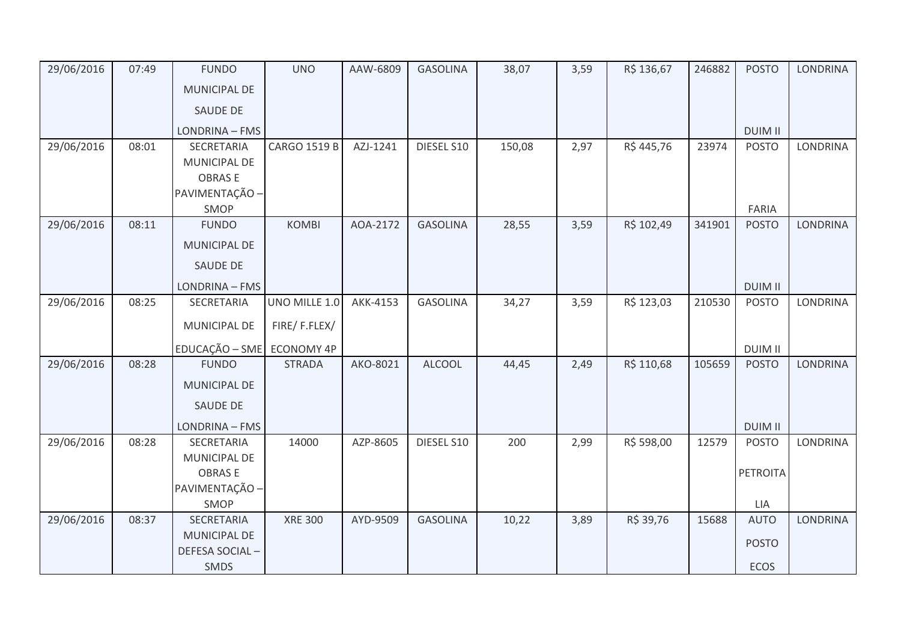| MUNICIPAL DE<br><b>SAUDE DE</b><br><b>DUIM II</b><br>LONDRINA - FMS<br><b>CARGO 1519 B</b><br>29/06/2016<br>08:01<br><b>SECRETARIA</b><br>AZJ-1241<br>DIESEL S10<br>150,08<br>2,97<br>R\$445,76<br>23974<br><b>POSTO</b><br>MUNICIPAL DE<br><b>OBRASE</b><br>PAVIMENTAÇÃO -<br>SMOP<br>FARIA<br>29/06/2016<br><b>GASOLINA</b><br>3,59<br>R\$ 102,49<br>341901<br><b>POSTO</b><br>08:11<br><b>FUNDO</b><br><b>KOMBI</b><br>AOA-2172<br>28,55<br><b>LONDRINA</b><br>MUNICIPAL DE<br>SAUDE DE | 29/06/2016 | 07:49 | <b>FUNDO</b> | <b>UNO</b> | AAW-6809 | <b>GASOLINA</b> | 38,07 | 3,59 | R\$ 136,67 | 246882 | <b>POSTO</b> | <b>LONDRINA</b> |
|--------------------------------------------------------------------------------------------------------------------------------------------------------------------------------------------------------------------------------------------------------------------------------------------------------------------------------------------------------------------------------------------------------------------------------------------------------------------------------------------|------------|-------|--------------|------------|----------|-----------------|-------|------|------------|--------|--------------|-----------------|
|                                                                                                                                                                                                                                                                                                                                                                                                                                                                                            |            |       |              |            |          |                 |       |      |            |        |              |                 |
|                                                                                                                                                                                                                                                                                                                                                                                                                                                                                            |            |       |              |            |          |                 |       |      |            |        |              |                 |
|                                                                                                                                                                                                                                                                                                                                                                                                                                                                                            |            |       |              |            |          |                 |       |      |            |        |              |                 |
|                                                                                                                                                                                                                                                                                                                                                                                                                                                                                            |            |       |              |            |          |                 |       |      |            |        |              | <b>LONDRINA</b> |
|                                                                                                                                                                                                                                                                                                                                                                                                                                                                                            |            |       |              |            |          |                 |       |      |            |        |              |                 |
|                                                                                                                                                                                                                                                                                                                                                                                                                                                                                            |            |       |              |            |          |                 |       |      |            |        |              |                 |
|                                                                                                                                                                                                                                                                                                                                                                                                                                                                                            |            |       |              |            |          |                 |       |      |            |        |              |                 |
|                                                                                                                                                                                                                                                                                                                                                                                                                                                                                            |            |       |              |            |          |                 |       |      |            |        |              |                 |
|                                                                                                                                                                                                                                                                                                                                                                                                                                                                                            |            |       |              |            |          |                 |       |      |            |        |              |                 |
|                                                                                                                                                                                                                                                                                                                                                                                                                                                                                            |            |       |              |            |          |                 |       |      |            |        |              |                 |
|                                                                                                                                                                                                                                                                                                                                                                                                                                                                                            |            |       |              |            |          |                 |       |      |            |        |              |                 |
| <b>DUIM II</b><br>LONDRINA - FMS                                                                                                                                                                                                                                                                                                                                                                                                                                                           |            |       |              |            |          |                 |       |      |            |        |              |                 |
| 29/06/2016<br>UNO MILLE 1.0<br>R\$ 123,03<br>08:25<br>AKK-4153<br><b>GASOLINA</b><br>34,27<br>3,59<br>210530<br><b>POSTO</b><br>SECRETARIA                                                                                                                                                                                                                                                                                                                                                 |            |       |              |            |          |                 |       |      |            |        |              | <b>LONDRINA</b> |
| FIRE/F.FLEX/<br>MUNICIPAL DE                                                                                                                                                                                                                                                                                                                                                                                                                                                               |            |       |              |            |          |                 |       |      |            |        |              |                 |
| EDUCAÇÃO - SME ECONOMY 4P<br><b>DUIM II</b>                                                                                                                                                                                                                                                                                                                                                                                                                                                |            |       |              |            |          |                 |       |      |            |        |              |                 |
| 29/06/2016<br><b>FUNDO</b><br><b>ALCOOL</b><br>08:28<br><b>STRADA</b><br>AKO-8021<br>R\$ 110,68<br>105659<br><b>POSTO</b><br>44,45<br>2,49                                                                                                                                                                                                                                                                                                                                                 |            |       |              |            |          |                 |       |      |            |        |              | <b>LONDRINA</b> |
| <b>MUNICIPAL DE</b>                                                                                                                                                                                                                                                                                                                                                                                                                                                                        |            |       |              |            |          |                 |       |      |            |        |              |                 |
| <b>SAUDE DE</b>                                                                                                                                                                                                                                                                                                                                                                                                                                                                            |            |       |              |            |          |                 |       |      |            |        |              |                 |
| <b>DUIM II</b><br>LONDRINA - FMS                                                                                                                                                                                                                                                                                                                                                                                                                                                           |            |       |              |            |          |                 |       |      |            |        |              |                 |
| 29/06/2016<br>R\$ 598,00<br><b>POSTO</b><br>08:28<br>SECRETARIA<br>14000<br>AZP-8605<br>DIESEL S10<br>200<br>2,99<br>12579                                                                                                                                                                                                                                                                                                                                                                 |            |       |              |            |          |                 |       |      |            |        |              | <b>LONDRINA</b> |
| MUNICIPAL DE                                                                                                                                                                                                                                                                                                                                                                                                                                                                               |            |       |              |            |          |                 |       |      |            |        |              |                 |
| <b>OBRASE</b><br><b>PETROITA</b>                                                                                                                                                                                                                                                                                                                                                                                                                                                           |            |       |              |            |          |                 |       |      |            |        |              |                 |
| PAVIMENTAÇÃO -                                                                                                                                                                                                                                                                                                                                                                                                                                                                             |            |       |              |            |          |                 |       |      |            |        |              |                 |
| SMOP<br>LIA                                                                                                                                                                                                                                                                                                                                                                                                                                                                                |            |       |              |            |          |                 |       |      |            |        |              |                 |
| 29/06/2016<br>08:37<br><b>XRE 300</b><br>10,22<br>R\$ 39,76<br>15688<br>SECRETARIA<br>AYD-9509<br><b>GASOLINA</b><br>3,89<br><b>AUTO</b>                                                                                                                                                                                                                                                                                                                                                   |            |       |              |            |          |                 |       |      |            |        |              | <b>LONDRINA</b> |
| <b>MUNICIPAL DE</b><br><b>POSTO</b><br><b>DEFESA SOCIAL-</b>                                                                                                                                                                                                                                                                                                                                                                                                                               |            |       |              |            |          |                 |       |      |            |        |              |                 |
| ECOS<br>SMDS                                                                                                                                                                                                                                                                                                                                                                                                                                                                               |            |       |              |            |          |                 |       |      |            |        |              |                 |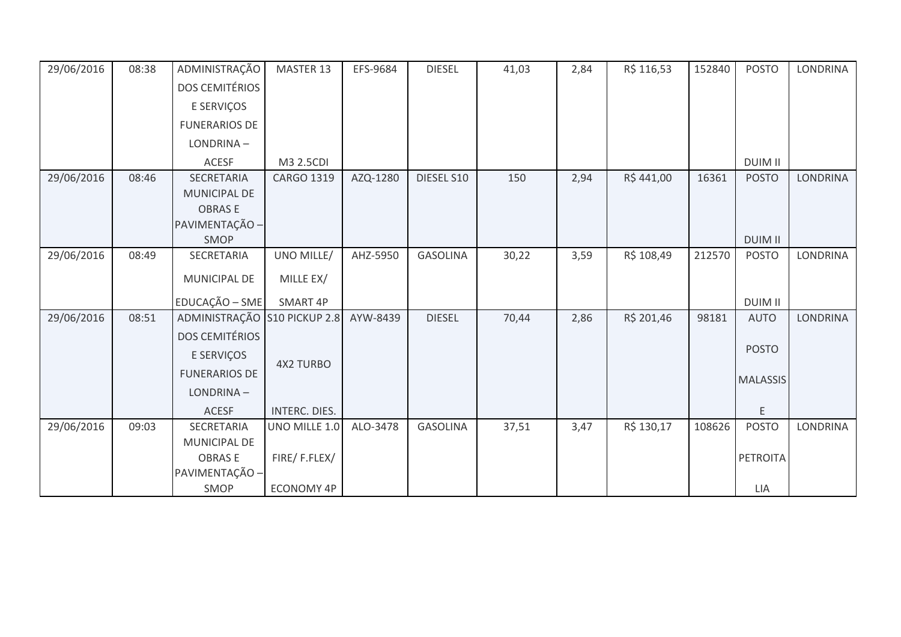| 29/06/2016 | 08:38 | ADMINISTRAÇÃO                        | MASTER 13            | EFS-9684 | <b>DIESEL</b>   | 41,03 | 2,84 | R\$ 116,53 | 152840 | <b>POSTO</b>    | LONDRINA        |
|------------|-------|--------------------------------------|----------------------|----------|-----------------|-------|------|------------|--------|-----------------|-----------------|
|            |       | <b>DOS CEMITÉRIOS</b>                |                      |          |                 |       |      |            |        |                 |                 |
|            |       | E SERVIÇOS                           |                      |          |                 |       |      |            |        |                 |                 |
|            |       | <b>FUNERARIOS DE</b>                 |                      |          |                 |       |      |            |        |                 |                 |
|            |       | LONDRINA-                            |                      |          |                 |       |      |            |        |                 |                 |
|            |       | ACESF                                | M3 2.5CDI            |          |                 |       |      |            |        | <b>DUIM II</b>  |                 |
| 29/06/2016 | 08:46 | <b>SECRETARIA</b>                    | <b>CARGO 1319</b>    | AZQ-1280 | DIESEL S10      | 150   | 2,94 | R\$441,00  | 16361  | <b>POSTO</b>    | <b>LONDRINA</b> |
|            |       | <b>MUNICIPAL DE</b><br><b>OBRASE</b> |                      |          |                 |       |      |            |        |                 |                 |
|            |       | PAVIMENTAÇÃO -                       |                      |          |                 |       |      |            |        |                 |                 |
|            |       | <b>SMOP</b>                          |                      |          |                 |       |      |            |        | <b>DUIM II</b>  |                 |
| 29/06/2016 | 08:49 | SECRETARIA                           | UNO MILLE/           | AHZ-5950 | <b>GASOLINA</b> | 30,22 | 3,59 | R\$ 108,49 | 212570 | <b>POSTO</b>    | LONDRINA        |
|            |       | MUNICIPAL DE                         | MILLE EX/            |          |                 |       |      |            |        |                 |                 |
|            |       | EDUCAÇÃO - SME                       | SMART 4P             |          |                 |       |      |            |        | <b>DUIM II</b>  |                 |
| 29/06/2016 | 08:51 | ADMINISTRAÇÃO                        | S10 PICKUP 2.8       | AYW-8439 | <b>DIESEL</b>   | 70,44 | 2,86 | R\$ 201,46 | 98181  | <b>AUTO</b>     | <b>LONDRINA</b> |
|            |       | <b>DOS CEMITÉRIOS</b>                |                      |          |                 |       |      |            |        |                 |                 |
|            |       | E SERVIÇOS                           | <b>4X2 TURBO</b>     |          |                 |       |      |            |        | <b>POSTO</b>    |                 |
|            |       | <b>FUNERARIOS DE</b>                 |                      |          |                 |       |      |            |        | <b>MALASSIS</b> |                 |
|            |       | LONDRINA-                            |                      |          |                 |       |      |            |        |                 |                 |
|            |       | <b>ACESF</b>                         | <b>INTERC. DIES.</b> |          |                 |       |      |            |        | E               |                 |
| 29/06/2016 | 09:03 | SECRETARIA                           | UNO MILLE 1.0        | ALO-3478 | <b>GASOLINA</b> | 37,51 | 3,47 | R\$ 130,17 | 108626 | <b>POSTO</b>    | <b>LONDRINA</b> |
|            |       | MUNICIPAL DE<br><b>OBRASE</b>        | FIRE/F.FLEX/         |          |                 |       |      |            |        | PETROITA        |                 |
|            |       | PAVIMENTAÇÃO -                       |                      |          |                 |       |      |            |        |                 |                 |
|            |       | SMOP                                 | <b>ECONOMY 4P</b>    |          |                 |       |      |            |        | LIA             |                 |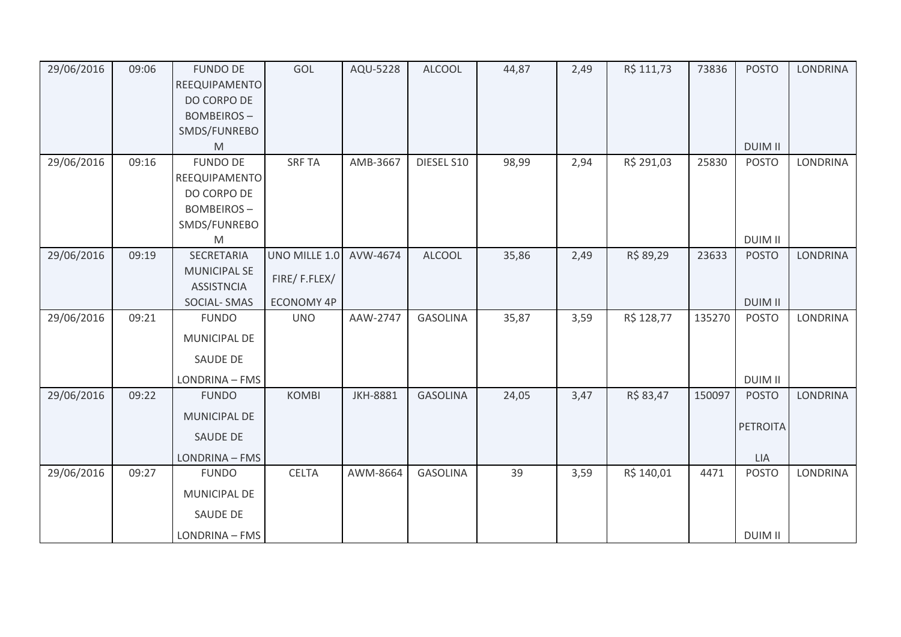| 29/06/2016 | 09:06 | <b>FUNDO DE</b>                          | GOL               | AQU-5228        | <b>ALCOOL</b>   | 44,87 | 2,49 | R\$ 111,73 | 73836  | <b>POSTO</b>   | <b>LONDRINA</b> |
|------------|-------|------------------------------------------|-------------------|-----------------|-----------------|-------|------|------------|--------|----------------|-----------------|
|            |       | REEQUIPAMENTO<br>DO CORPO DE             |                   |                 |                 |       |      |            |        |                |                 |
|            |       | <b>BOMBEIROS-</b>                        |                   |                 |                 |       |      |            |        |                |                 |
|            |       | SMDS/FUNREBO                             |                   |                 |                 |       |      |            |        |                |                 |
|            |       | M                                        |                   |                 |                 |       |      |            |        | <b>DUIM II</b> |                 |
| 29/06/2016 | 09:16 | <b>FUNDO DE</b>                          | <b>SRF TA</b>     | AMB-3667        | DIESEL S10      | 98,99 | 2,94 | R\$ 291,03 | 25830  | <b>POSTO</b>   | <b>LONDRINA</b> |
|            |       | REEQUIPAMENTO                            |                   |                 |                 |       |      |            |        |                |                 |
|            |       | DO CORPO DE                              |                   |                 |                 |       |      |            |        |                |                 |
|            |       | <b>BOMBEIROS-</b>                        |                   |                 |                 |       |      |            |        |                |                 |
|            |       | SMDS/FUNREBO                             |                   |                 |                 |       |      |            |        |                |                 |
|            |       | M                                        |                   |                 |                 |       |      |            |        | <b>DUIM II</b> |                 |
| 29/06/2016 | 09:19 | SECRETARIA                               | UNO MILLE 1.0     | AVW-4674        | <b>ALCOOL</b>   | 35,86 | 2,49 | R\$ 89,29  | 23633  | <b>POSTO</b>   | <b>LONDRINA</b> |
|            |       | <b>MUNICIPAL SE</b><br><b>ASSISTNCIA</b> | FIRE/F.FLEX/      |                 |                 |       |      |            |        |                |                 |
|            |       | <b>SOCIAL-SMAS</b>                       | <b>ECONOMY 4P</b> |                 |                 |       |      |            |        | <b>DUIM II</b> |                 |
| 29/06/2016 | 09:21 | <b>FUNDO</b>                             | <b>UNO</b>        | AAW-2747        | <b>GASOLINA</b> | 35,87 | 3,59 | R\$ 128,77 | 135270 | <b>POSTO</b>   | <b>LONDRINA</b> |
|            |       | MUNICIPAL DE                             |                   |                 |                 |       |      |            |        |                |                 |
|            |       | SAUDE DE                                 |                   |                 |                 |       |      |            |        |                |                 |
|            |       | LONDRINA - FMS                           |                   |                 |                 |       |      |            |        | <b>DUIM II</b> |                 |
| 29/06/2016 | 09:22 | <b>FUNDO</b>                             | <b>KOMBI</b>      | <b>JKH-8881</b> | <b>GASOLINA</b> | 24,05 | 3,47 | R\$ 83,47  | 150097 | <b>POSTO</b>   | <b>LONDRINA</b> |
|            |       | <b>MUNICIPAL DE</b>                      |                   |                 |                 |       |      |            |        | PETROITA       |                 |
|            |       | <b>SAUDE DE</b>                          |                   |                 |                 |       |      |            |        |                |                 |
|            |       | LONDRINA - FMS                           |                   |                 |                 |       |      |            |        | LIA            |                 |
| 29/06/2016 | 09:27 | <b>FUNDO</b>                             | <b>CELTA</b>      | AWM-8664        | <b>GASOLINA</b> | 39    | 3,59 | R\$ 140,01 | 4471   | <b>POSTO</b>   | <b>LONDRINA</b> |
|            |       | <b>MUNICIPAL DE</b>                      |                   |                 |                 |       |      |            |        |                |                 |
|            |       | SAUDE DE                                 |                   |                 |                 |       |      |            |        |                |                 |
|            |       | LONDRINA - FMS                           |                   |                 |                 |       |      |            |        | <b>DUIM II</b> |                 |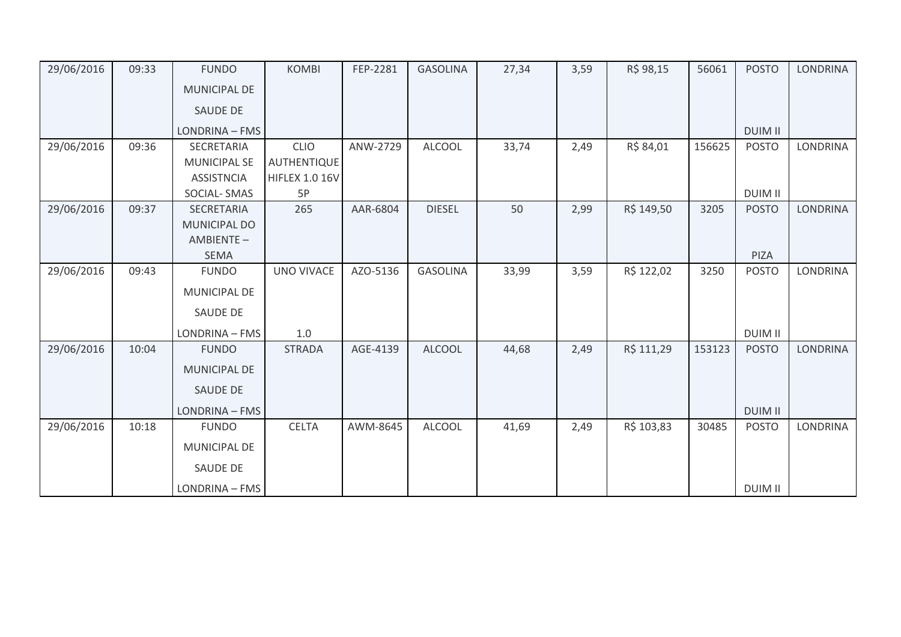| 29/06/2016 | 09:33 | <b>FUNDO</b>        | <b>KOMBI</b>          | FEP-2281 | <b>GASOLINA</b> | 27,34 | 3,59 | R\$ 98,15  | 56061  | <b>POSTO</b>   | <b>LONDRINA</b> |
|------------|-------|---------------------|-----------------------|----------|-----------------|-------|------|------------|--------|----------------|-----------------|
|            |       | <b>MUNICIPAL DE</b> |                       |          |                 |       |      |            |        |                |                 |
|            |       | <b>SAUDE DE</b>     |                       |          |                 |       |      |            |        |                |                 |
|            |       | LONDRINA - FMS      |                       |          |                 |       |      |            |        | <b>DUIM II</b> |                 |
| 29/06/2016 | 09:36 | SECRETARIA          | <b>CLIO</b>           | ANW-2729 | <b>ALCOOL</b>   | 33,74 | 2,49 | R\$ 84,01  | 156625 | <b>POSTO</b>   | <b>LONDRINA</b> |
|            |       | <b>MUNICIPAL SE</b> | <b>AUTHENTIQUE</b>    |          |                 |       |      |            |        |                |                 |
|            |       | <b>ASSISTNCIA</b>   | <b>HIFLEX 1.0 16V</b> |          |                 |       |      |            |        |                |                 |
|            |       | SOCIAL-SMAS         | 5P                    |          |                 |       |      |            |        | <b>DUIM II</b> |                 |
| 29/06/2016 | 09:37 | SECRETARIA          | 265                   | AAR-6804 | <b>DIESEL</b>   | 50    | 2,99 | R\$ 149,50 | 3205   | <b>POSTO</b>   | <b>LONDRINA</b> |
|            |       | <b>MUNICIPAL DO</b> |                       |          |                 |       |      |            |        |                |                 |
|            |       | AMBIENTE-           |                       |          |                 |       |      |            |        |                |                 |
|            |       | <b>SEMA</b>         |                       |          |                 |       |      |            |        | PIZA           |                 |
| 29/06/2016 | 09:43 | <b>FUNDO</b>        | <b>UNO VIVACE</b>     | AZO-5136 | <b>GASOLINA</b> | 33,99 | 3,59 | R\$ 122,02 | 3250   | <b>POSTO</b>   | <b>LONDRINA</b> |
|            |       | <b>MUNICIPAL DE</b> |                       |          |                 |       |      |            |        |                |                 |
|            |       | SAUDE DE            |                       |          |                 |       |      |            |        |                |                 |
|            |       | LONDRINA - FMS      | 1.0                   |          |                 |       |      |            |        | <b>DUIM II</b> |                 |
| 29/06/2016 | 10:04 | <b>FUNDO</b>        | <b>STRADA</b>         | AGE-4139 | <b>ALCOOL</b>   | 44,68 | 2,49 | R\$ 111,29 | 153123 | <b>POSTO</b>   | LONDRINA        |
|            |       | <b>MUNICIPAL DE</b> |                       |          |                 |       |      |            |        |                |                 |
|            |       | <b>SAUDE DE</b>     |                       |          |                 |       |      |            |        |                |                 |
|            |       | LONDRINA - FMS      |                       |          |                 |       |      |            |        | <b>DUIM II</b> |                 |
| 29/06/2016 | 10:18 | <b>FUNDO</b>        | <b>CELTA</b>          | AWM-8645 | <b>ALCOOL</b>   | 41,69 | 2,49 | R\$ 103,83 | 30485  | <b>POSTO</b>   | <b>LONDRINA</b> |
|            |       | MUNICIPAL DE        |                       |          |                 |       |      |            |        |                |                 |
|            |       | SAUDE DE            |                       |          |                 |       |      |            |        |                |                 |
|            |       | LONDRINA - FMS      |                       |          |                 |       |      |            |        | <b>DUIM II</b> |                 |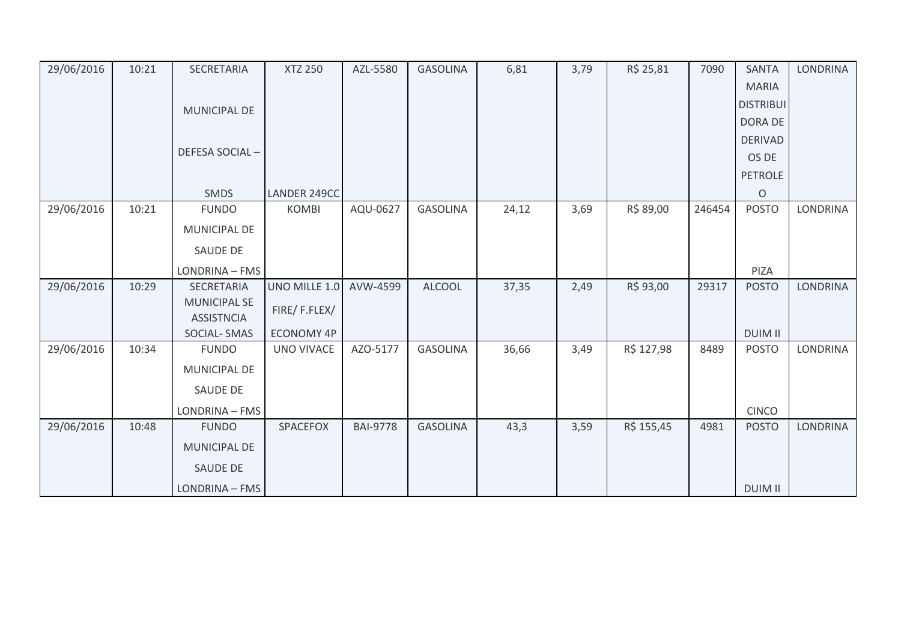| 29/06/2016 | 10:21 | SECRETARIA                              | <b>XTZ 250</b>    | AZL-5580        | <b>GASOLINA</b> | 6,81  | 3,79 | R\$ 25,81  | 7090   | <b>SANTA</b>     | <b>LONDRINA</b> |
|------------|-------|-----------------------------------------|-------------------|-----------------|-----------------|-------|------|------------|--------|------------------|-----------------|
|            |       |                                         |                   |                 |                 |       |      |            |        | <b>MARIA</b>     |                 |
|            |       | <b>MUNICIPAL DE</b>                     |                   |                 |                 |       |      |            |        | <b>DISTRIBUI</b> |                 |
|            |       |                                         |                   |                 |                 |       |      |            |        | <b>DORA DE</b>   |                 |
|            |       |                                         |                   |                 |                 |       |      |            |        | <b>DERIVAD</b>   |                 |
|            |       | DEFESA SOCIAL-                          |                   |                 |                 |       |      |            |        | OS DE            |                 |
|            |       |                                         |                   |                 |                 |       |      |            |        | <b>PETROLE</b>   |                 |
|            |       | <b>SMDS</b>                             | LANDER 249CC      |                 |                 |       |      |            |        | $\circ$          |                 |
| 29/06/2016 | 10:21 | <b>FUNDO</b>                            | <b>KOMBI</b>      | AQU-0627        | <b>GASOLINA</b> | 24,12 | 3,69 | R\$ 89,00  | 246454 | <b>POSTO</b>     | <b>LONDRINA</b> |
|            |       | MUNICIPAL DE                            |                   |                 |                 |       |      |            |        |                  |                 |
|            |       | SAUDE DE                                |                   |                 |                 |       |      |            |        |                  |                 |
|            |       | LONDRINA - FMS                          |                   |                 |                 |       |      |            |        | PIZA             |                 |
| 29/06/2016 | 10:29 | SECRETARIA                              | UNO MILLE 1.0     | AVW-4599        | <b>ALCOOL</b>   | 37,35 | 2,49 | R\$ 93,00  | 29317  | <b>POSTO</b>     | <b>LONDRINA</b> |
|            |       | <b>MUNICIPAL SE</b>                     | FIRE/F.FLEX/      |                 |                 |       |      |            |        |                  |                 |
|            |       | <b>ASSISTNCIA</b><br><b>SOCIAL-SMAS</b> | <b>ECONOMY 4P</b> |                 |                 |       |      |            |        | <b>DUIM II</b>   |                 |
| 29/06/2016 | 10:34 | <b>FUNDO</b>                            | UNO VIVACE        | AZO-5177        | <b>GASOLINA</b> | 36,66 | 3,49 | R\$ 127,98 | 8489   | <b>POSTO</b>     | LONDRINA        |
|            |       |                                         |                   |                 |                 |       |      |            |        |                  |                 |
|            |       | MUNICIPAL DE                            |                   |                 |                 |       |      |            |        |                  |                 |
|            |       | SAUDE DE                                |                   |                 |                 |       |      |            |        |                  |                 |
|            |       | LONDRINA - FMS                          |                   |                 |                 |       |      |            |        | <b>CINCO</b>     |                 |
| 29/06/2016 | 10:48 | <b>FUNDO</b>                            | SPACEFOX          | <b>BAI-9778</b> | <b>GASOLINA</b> | 43,3  | 3,59 | R\$ 155,45 | 4981   | <b>POSTO</b>     | <b>LONDRINA</b> |
|            |       | <b>MUNICIPAL DE</b>                     |                   |                 |                 |       |      |            |        |                  |                 |
|            |       | SAUDE DE                                |                   |                 |                 |       |      |            |        |                  |                 |
|            |       | LONDRINA - FMS                          |                   |                 |                 |       |      |            |        | <b>DUIM II</b>   |                 |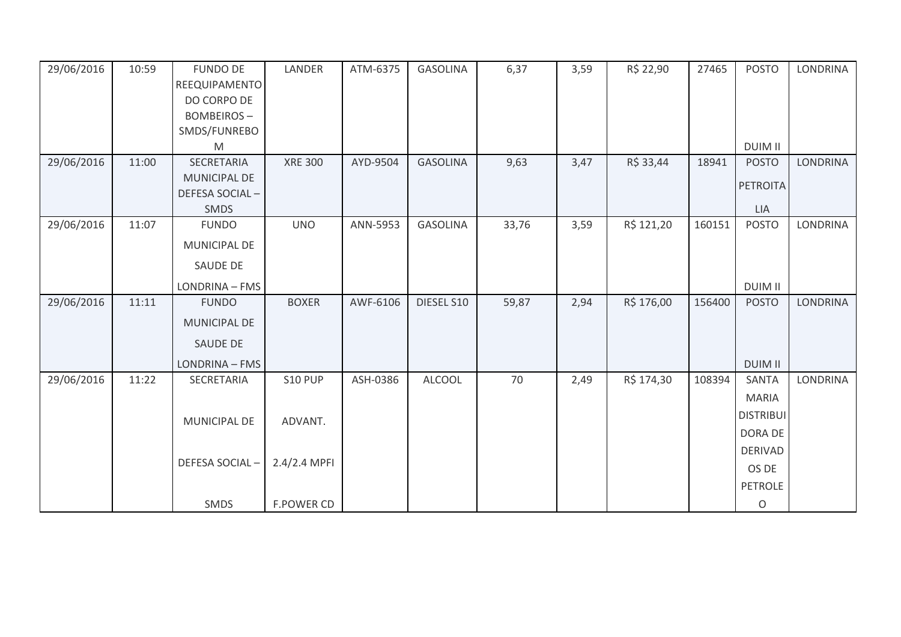| 29/06/2016 | 10:59 | <b>FUNDO DE</b><br>REEQUIPAMENTO<br>DO CORPO DE | LANDER         | ATM-6375 | <b>GASOLINA</b> | 6,37  | 3,59 | R\$ 22,90  | 27465  | <b>POSTO</b>     | LONDRINA        |
|------------|-------|-------------------------------------------------|----------------|----------|-----------------|-------|------|------------|--------|------------------|-----------------|
|            |       | <b>BOMBEIROS-</b><br>SMDS/FUNREBO               |                |          |                 |       |      |            |        |                  |                 |
|            |       | M                                               |                |          |                 |       |      |            |        | <b>DUIM II</b>   |                 |
| 29/06/2016 | 11:00 | SECRETARIA                                      | <b>XRE 300</b> | AYD-9504 | <b>GASOLINA</b> | 9,63  | 3,47 | R\$ 33,44  | 18941  | <b>POSTO</b>     | <b>LONDRINA</b> |
|            |       | MUNICIPAL DE                                    |                |          |                 |       |      |            |        | <b>PETROITA</b>  |                 |
|            |       | DEFESA SOCIAL-<br>SMDS                          |                |          |                 |       |      |            |        | <b>LIA</b>       |                 |
| 29/06/2016 | 11:07 | <b>FUNDO</b>                                    | <b>UNO</b>     | ANN-5953 | <b>GASOLINA</b> | 33,76 | 3,59 | R\$ 121,20 | 160151 | <b>POSTO</b>     | <b>LONDRINA</b> |
|            |       | MUNICIPAL DE                                    |                |          |                 |       |      |            |        |                  |                 |
|            |       | SAUDE DE                                        |                |          |                 |       |      |            |        |                  |                 |
|            |       | LONDRINA - FMS                                  |                |          |                 |       |      |            |        | <b>DUIM II</b>   |                 |
| 29/06/2016 | 11:11 | <b>FUNDO</b>                                    | <b>BOXER</b>   | AWF-6106 | DIESEL S10      | 59,87 | 2,94 | R\$ 176,00 | 156400 | <b>POSTO</b>     | <b>LONDRINA</b> |
|            |       | MUNICIPAL DE                                    |                |          |                 |       |      |            |        |                  |                 |
|            |       | SAUDE DE                                        |                |          |                 |       |      |            |        |                  |                 |
|            |       | LONDRINA - FMS                                  |                |          |                 |       |      |            |        | <b>DUIM II</b>   |                 |
| 29/06/2016 | 11:22 | SECRETARIA                                      | <b>S10 PUP</b> | ASH-0386 | <b>ALCOOL</b>   | 70    | 2,49 | R\$ 174,30 | 108394 | <b>SANTA</b>     | <b>LONDRINA</b> |
|            |       |                                                 |                |          |                 |       |      |            |        | <b>MARIA</b>     |                 |
|            |       | MUNICIPAL DE                                    | ADVANT.        |          |                 |       |      |            |        | <b>DISTRIBUI</b> |                 |
|            |       |                                                 |                |          |                 |       |      |            |        | DORA DE          |                 |
|            |       | DEFESA SOCIAL-                                  | 2.4/2.4 MPFI   |          |                 |       |      |            |        | <b>DERIVAD</b>   |                 |
|            |       |                                                 |                |          |                 |       |      |            |        | OS DE            |                 |
|            |       |                                                 |                |          |                 |       |      |            |        | <b>PETROLE</b>   |                 |
|            |       | SMDS                                            | F.POWER CD     |          |                 |       |      |            |        | $\mathsf O$      |                 |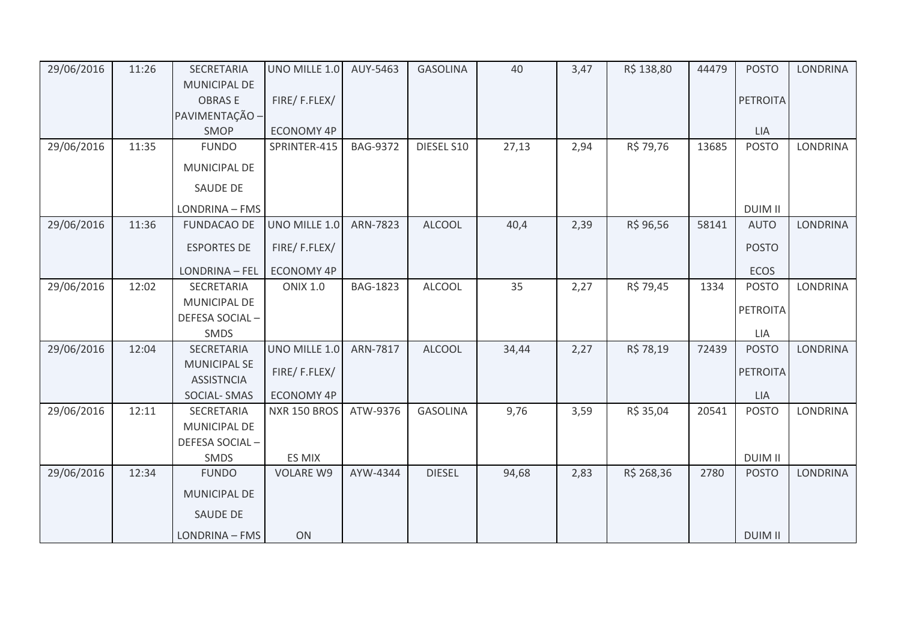| 29/06/2016 | 11:26 | SECRETARIA                               | UNO MILLE 1.0     | AUY-5463        | <b>GASOLINA</b> | 40    | 3,47 | R\$ 138,80 | 44479 | <b>POSTO</b>    | <b>LONDRINA</b> |
|------------|-------|------------------------------------------|-------------------|-----------------|-----------------|-------|------|------------|-------|-----------------|-----------------|
|            |       | <b>MUNICIPAL DE</b>                      |                   |                 |                 |       |      |            |       |                 |                 |
|            |       | <b>OBRASE</b>                            | FIRE/F.FLEX/      |                 |                 |       |      |            |       | <b>PETROITA</b> |                 |
|            |       | PAVIMENTAÇÃO -                           |                   |                 |                 |       |      |            |       |                 |                 |
|            |       | SMOP                                     | ECONOMY 4P        |                 |                 |       |      |            |       | <b>LIA</b>      |                 |
| 29/06/2016 | 11:35 | <b>FUNDO</b>                             | SPRINTER-415      | <b>BAG-9372</b> | DIESEL S10      | 27,13 | 2,94 | R\$ 79,76  | 13685 | <b>POSTO</b>    | <b>LONDRINA</b> |
|            |       | <b>MUNICIPAL DE</b>                      |                   |                 |                 |       |      |            |       |                 |                 |
|            |       | SAUDE DE                                 |                   |                 |                 |       |      |            |       |                 |                 |
|            |       | LONDRINA - FMS                           |                   |                 |                 |       |      |            |       | <b>DUIM II</b>  |                 |
| 29/06/2016 | 11:36 | <b>FUNDACAO DE</b>                       | UNO MILLE 1.0     | ARN-7823        | <b>ALCOOL</b>   | 40,4  | 2,39 | R\$ 96,56  | 58141 | <b>AUTO</b>     | <b>LONDRINA</b> |
|            |       | <b>ESPORTES DE</b>                       | FIRE/F.FLEX/      |                 |                 |       |      |            |       | <b>POSTO</b>    |                 |
|            |       | <b>LONDRINA - FEL</b>                    | <b>ECONOMY 4P</b> |                 |                 |       |      |            |       | <b>ECOS</b>     |                 |
| 29/06/2016 | 12:02 | SECRETARIA                               | <b>ONIX 1.0</b>   | <b>BAG-1823</b> | <b>ALCOOL</b>   | 35    | 2,27 | R\$ 79,45  | 1334  | <b>POSTO</b>    | <b>LONDRINA</b> |
|            |       | MUNICIPAL DE                             |                   |                 |                 |       |      |            |       | <b>PETROITA</b> |                 |
|            |       | DEFESA SOCIAL-                           |                   |                 |                 |       |      |            |       |                 |                 |
|            |       | SMDS                                     |                   |                 |                 |       |      |            |       | LIA             |                 |
| 29/06/2016 | 12:04 | SECRETARIA                               | UNO MILLE 1.0     | ARN-7817        | <b>ALCOOL</b>   | 34,44 | 2,27 | R\$ 78,19  | 72439 | <b>POSTO</b>    | LONDRINA        |
|            |       | <b>MUNICIPAL SE</b><br><b>ASSISTNCIA</b> | FIRE/F.FLEX/      |                 |                 |       |      |            |       | <b>PETROITA</b> |                 |
|            |       | <b>SOCIAL-SMAS</b>                       | <b>ECONOMY 4P</b> |                 |                 |       |      |            |       | LIA             |                 |
| 29/06/2016 | 12:11 | SECRETARIA                               | NXR 150 BROS      | ATW-9376        | <b>GASOLINA</b> | 9,76  | 3,59 | R\$ 35,04  | 20541 | <b>POSTO</b>    | <b>LONDRINA</b> |
|            |       | MUNICIPAL DE                             |                   |                 |                 |       |      |            |       |                 |                 |
|            |       | DEFESA SOCIAL-                           |                   |                 |                 |       |      |            |       |                 |                 |
|            |       | SMDS                                     | ES MIX            |                 |                 |       |      |            |       | <b>DUIM II</b>  |                 |
| 29/06/2016 | 12:34 | <b>FUNDO</b>                             | <b>VOLARE W9</b>  | AYW-4344        | <b>DIESEL</b>   | 94,68 | 2,83 | R\$ 268,36 | 2780  | <b>POSTO</b>    | <b>LONDRINA</b> |
|            |       | <b>MUNICIPAL DE</b>                      |                   |                 |                 |       |      |            |       |                 |                 |
|            |       | SAUDE DE                                 |                   |                 |                 |       |      |            |       |                 |                 |
|            |       | LONDRINA - FMS                           | ON                |                 |                 |       |      |            |       | <b>DUIM II</b>  |                 |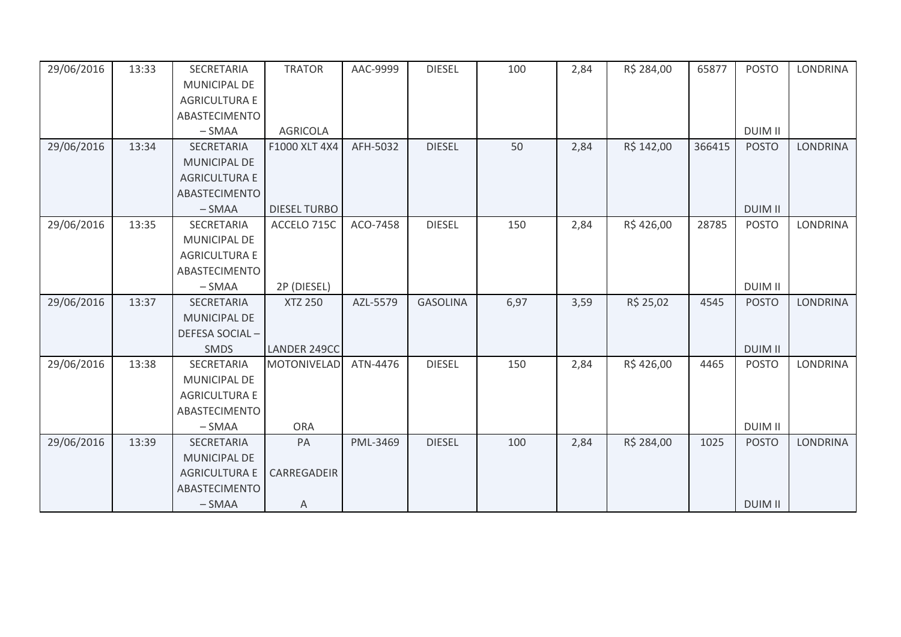| 29/06/2016 | 13:33 | SECRETARIA           | <b>TRATOR</b>       | AAC-9999 | <b>DIESEL</b>   | 100  | 2,84 | R\$ 284,00 | 65877  | <b>POSTO</b>   | <b>LONDRINA</b> |
|------------|-------|----------------------|---------------------|----------|-----------------|------|------|------------|--------|----------------|-----------------|
|            |       | <b>MUNICIPAL DE</b>  |                     |          |                 |      |      |            |        |                |                 |
|            |       | <b>AGRICULTURA E</b> |                     |          |                 |      |      |            |        |                |                 |
|            |       |                      |                     |          |                 |      |      |            |        |                |                 |
|            |       | <b>ABASTECIMENTO</b> |                     |          |                 |      |      |            |        |                |                 |
|            |       | $-SMAA$              | <b>AGRICOLA</b>     |          |                 |      |      |            |        | <b>DUIM II</b> |                 |
| 29/06/2016 | 13:34 | <b>SECRETARIA</b>    | F1000 XLT 4X4       | AFH-5032 | <b>DIESEL</b>   | 50   | 2,84 | R\$ 142,00 | 366415 | <b>POSTO</b>   | <b>LONDRINA</b> |
|            |       | <b>MUNICIPAL DE</b>  |                     |          |                 |      |      |            |        |                |                 |
|            |       | <b>AGRICULTURA E</b> |                     |          |                 |      |      |            |        |                |                 |
|            |       | ABASTECIMENTO        |                     |          |                 |      |      |            |        |                |                 |
|            |       | $-SMAA$              | <b>DIESEL TURBO</b> |          |                 |      |      |            |        | <b>DUIM II</b> |                 |
| 29/06/2016 | 13:35 | SECRETARIA           | ACCELO 715C         | ACO-7458 | <b>DIESEL</b>   | 150  | 2,84 | R\$426,00  | 28785  | <b>POSTO</b>   | <b>LONDRINA</b> |
|            |       | <b>MUNICIPAL DE</b>  |                     |          |                 |      |      |            |        |                |                 |
|            |       | <b>AGRICULTURA E</b> |                     |          |                 |      |      |            |        |                |                 |
|            |       | ABASTECIMENTO        |                     |          |                 |      |      |            |        |                |                 |
|            |       | $-SMAA$              | 2P (DIESEL)         |          |                 |      |      |            |        | <b>DUIM II</b> |                 |
| 29/06/2016 | 13:37 | <b>SECRETARIA</b>    | <b>XTZ 250</b>      | AZL-5579 | <b>GASOLINA</b> | 6,97 | 3,59 | R\$ 25,02  | 4545   | <b>POSTO</b>   | <b>LONDRINA</b> |
|            |       | <b>MUNICIPAL DE</b>  |                     |          |                 |      |      |            |        |                |                 |
|            |       | DEFESA SOCIAL-       |                     |          |                 |      |      |            |        |                |                 |
|            |       | <b>SMDS</b>          | LANDER 249CC        |          |                 |      |      |            |        | <b>DUIM II</b> |                 |
| 29/06/2016 | 13:38 | SECRETARIA           | <b>MOTONIVELAD</b>  | ATN-4476 | <b>DIESEL</b>   | 150  | 2,84 | R\$426,00  | 4465   | <b>POSTO</b>   | <b>LONDRINA</b> |
|            |       | <b>MUNICIPAL DE</b>  |                     |          |                 |      |      |            |        |                |                 |
|            |       | <b>AGRICULTURA E</b> |                     |          |                 |      |      |            |        |                |                 |
|            |       | ABASTECIMENTO        |                     |          |                 |      |      |            |        |                |                 |
|            |       | $-SMAA$              | <b>ORA</b>          |          |                 |      |      |            |        | <b>DUIM II</b> |                 |
| 29/06/2016 | 13:39 | SECRETARIA           | PA                  | PML-3469 | <b>DIESEL</b>   | 100  | 2,84 | R\$ 284,00 | 1025   | <b>POSTO</b>   | <b>LONDRINA</b> |
|            |       | <b>MUNICIPAL DE</b>  |                     |          |                 |      |      |            |        |                |                 |
|            |       | <b>AGRICULTURA E</b> | CARREGADEIR         |          |                 |      |      |            |        |                |                 |
|            |       | <b>ABASTECIMENTO</b> |                     |          |                 |      |      |            |        |                |                 |
|            |       | $-SMAA$              | Α                   |          |                 |      |      |            |        | <b>DUIM II</b> |                 |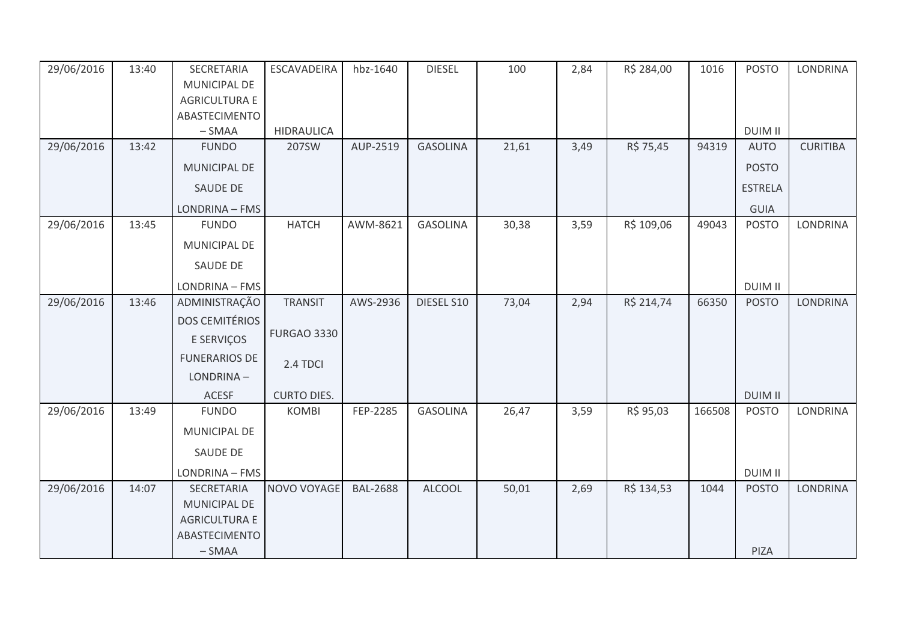| 29/06/2016 | 13:40 | SECRETARIA            | <b>ESCAVADEIRA</b> | hbz-1640        | <b>DIESEL</b>   | 100   | 2,84 | R\$ 284,00 | 1016   | <b>POSTO</b>   | <b>LONDRINA</b> |
|------------|-------|-----------------------|--------------------|-----------------|-----------------|-------|------|------------|--------|----------------|-----------------|
|            |       | MUNICIPAL DE          |                    |                 |                 |       |      |            |        |                |                 |
|            |       | <b>AGRICULTURA E</b>  |                    |                 |                 |       |      |            |        |                |                 |
|            |       | ABASTECIMENTO         |                    |                 |                 |       |      |            |        |                |                 |
|            |       | $-SMAA$               | <b>HIDRAULICA</b>  |                 |                 |       |      |            |        | <b>DUIM II</b> |                 |
| 29/06/2016 | 13:42 | <b>FUNDO</b>          | 207SW              | AUP-2519        | <b>GASOLINA</b> | 21,61 | 3,49 | R\$ 75,45  | 94319  | <b>AUTO</b>    | <b>CURITIBA</b> |
|            |       | MUNICIPAL DE          |                    |                 |                 |       |      |            |        | <b>POSTO</b>   |                 |
|            |       | <b>SAUDE DE</b>       |                    |                 |                 |       |      |            |        | <b>ESTRELA</b> |                 |
|            |       | LONDRINA - FMS        |                    |                 |                 |       |      |            |        | <b>GUIA</b>    |                 |
| 29/06/2016 | 13:45 | <b>FUNDO</b>          | <b>HATCH</b>       | AWM-8621        | <b>GASOLINA</b> | 30,38 | 3,59 | R\$ 109,06 | 49043  | <b>POSTO</b>   | LONDRINA        |
|            |       | MUNICIPAL DE          |                    |                 |                 |       |      |            |        |                |                 |
|            |       | <b>SAUDE DE</b>       |                    |                 |                 |       |      |            |        |                |                 |
|            |       | LONDRINA - FMS        |                    |                 |                 |       |      |            |        | <b>DUIM II</b> |                 |
| 29/06/2016 | 13:46 | ADMINISTRAÇÃO         | <b>TRANSIT</b>     | AWS-2936        | DIESEL S10      | 73,04 | 2,94 | R\$ 214,74 | 66350  | <b>POSTO</b>   | <b>LONDRINA</b> |
|            |       | <b>DOS CEMITÉRIOS</b> |                    |                 |                 |       |      |            |        |                |                 |
|            |       | E SERVIÇOS            | <b>FURGAO 3330</b> |                 |                 |       |      |            |        |                |                 |
|            |       | <b>FUNERARIOS DE</b>  | 2.4 TDCI           |                 |                 |       |      |            |        |                |                 |
|            |       | LONDRINA-             |                    |                 |                 |       |      |            |        |                |                 |
|            |       | <b>ACESF</b>          | <b>CURTO DIES.</b> |                 |                 |       |      |            |        | <b>DUIM II</b> |                 |
| 29/06/2016 | 13:49 | <b>FUNDO</b>          | <b>KOMBI</b>       | FEP-2285        | <b>GASOLINA</b> | 26,47 | 3,59 | R\$ 95,03  | 166508 | <b>POSTO</b>   | <b>LONDRINA</b> |
|            |       | MUNICIPAL DE          |                    |                 |                 |       |      |            |        |                |                 |
|            |       | <b>SAUDE DE</b>       |                    |                 |                 |       |      |            |        |                |                 |
|            |       | LONDRINA - FMS        |                    |                 |                 |       |      |            |        | <b>DUIM II</b> |                 |
| 29/06/2016 | 14:07 | SECRETARIA            | NOVO VOYAGE        | <b>BAL-2688</b> | <b>ALCOOL</b>   | 50,01 | 2,69 | R\$ 134,53 | 1044   | <b>POSTO</b>   | <b>LONDRINA</b> |
|            |       | MUNICIPAL DE          |                    |                 |                 |       |      |            |        |                |                 |
|            |       | <b>AGRICULTURA E</b>  |                    |                 |                 |       |      |            |        |                |                 |
|            |       | ABASTECIMENTO         |                    |                 |                 |       |      |            |        |                |                 |
|            |       | $-SMAA$               |                    |                 |                 |       |      |            |        | PIZA           |                 |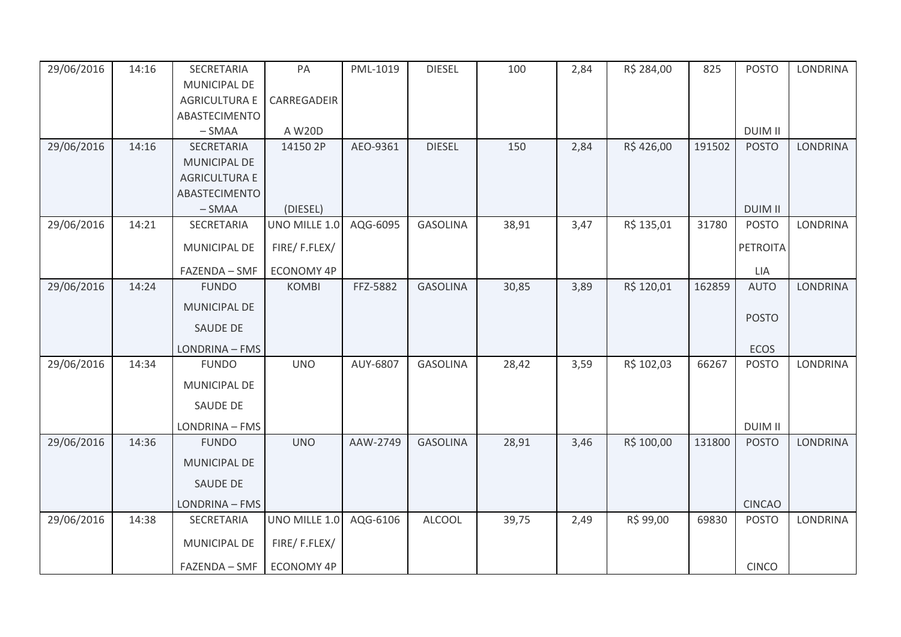| 29/06/2016 | 14:16 | SECRETARIA           | PA                | PML-1019 | <b>DIESEL</b>   | 100   | 2,84 | R\$ 284,00 | 825    | <b>POSTO</b>   | <b>LONDRINA</b> |
|------------|-------|----------------------|-------------------|----------|-----------------|-------|------|------------|--------|----------------|-----------------|
|            |       | MUNICIPAL DE         |                   |          |                 |       |      |            |        |                |                 |
|            |       | <b>AGRICULTURA E</b> | CARREGADEIR       |          |                 |       |      |            |        |                |                 |
|            |       | ABASTECIMENTO        |                   |          |                 |       |      |            |        |                |                 |
|            |       | $-SMAA$              | A W20D            |          |                 |       |      |            |        | <b>DUIM II</b> |                 |
| 29/06/2016 | 14:16 | SECRETARIA           | 14150 2P          | AEO-9361 | <b>DIESEL</b>   | 150   | 2,84 | R\$426,00  | 191502 | <b>POSTO</b>   | <b>LONDRINA</b> |
|            |       | MUNICIPAL DE         |                   |          |                 |       |      |            |        |                |                 |
|            |       | <b>AGRICULTURA E</b> |                   |          |                 |       |      |            |        |                |                 |
|            |       | ABASTECIMENTO        |                   |          |                 |       |      |            |        |                |                 |
|            |       | $-SMAA$              | (DIESEL)          |          |                 |       |      |            |        | <b>DUIM II</b> |                 |
| 29/06/2016 | 14:21 | SECRETARIA           | UNO MILLE 1.0     | AQG-6095 | <b>GASOLINA</b> | 38,91 | 3,47 | R\$ 135,01 | 31780  | <b>POSTO</b>   | <b>LONDRINA</b> |
|            |       | <b>MUNICIPAL DE</b>  | FIRE/F.FLEX/      |          |                 |       |      |            |        | PETROITA       |                 |
|            |       | FAZENDA - SMF        | <b>ECONOMY 4P</b> |          |                 |       |      |            |        | LIA            |                 |
| 29/06/2016 | 14:24 | <b>FUNDO</b>         | <b>KOMBI</b>      | FFZ-5882 | <b>GASOLINA</b> | 30,85 | 3,89 | R\$ 120,01 | 162859 | <b>AUTO</b>    | <b>LONDRINA</b> |
|            |       | <b>MUNICIPAL DE</b>  |                   |          |                 |       |      |            |        |                |                 |
|            |       | SAUDE DE             |                   |          |                 |       |      |            |        | <b>POSTO</b>   |                 |
|            |       | LONDRINA - FMS       |                   |          |                 |       |      |            |        | ECOS           |                 |
| 29/06/2016 | 14:34 | <b>FUNDO</b>         | <b>UNO</b>        | AUY-6807 | <b>GASOLINA</b> | 28,42 | 3,59 | R\$ 102,03 | 66267  | <b>POSTO</b>   | LONDRINA        |
|            |       | MUNICIPAL DE         |                   |          |                 |       |      |            |        |                |                 |
|            |       | <b>SAUDE DE</b>      |                   |          |                 |       |      |            |        |                |                 |
|            |       | LONDRINA - FMS       |                   |          |                 |       |      |            |        | <b>DUIM II</b> |                 |
| 29/06/2016 | 14:36 | <b>FUNDO</b>         | <b>UNO</b>        | AAW-2749 | <b>GASOLINA</b> | 28,91 | 3,46 | R\$ 100,00 | 131800 | <b>POSTO</b>   | <b>LONDRINA</b> |
|            |       | <b>MUNICIPAL DE</b>  |                   |          |                 |       |      |            |        |                |                 |
|            |       | SAUDE DE             |                   |          |                 |       |      |            |        |                |                 |
|            |       | LONDRINA - FMS       |                   |          |                 |       |      |            |        | <b>CINCAO</b>  |                 |
| 29/06/2016 | 14:38 | SECRETARIA           | UNO MILLE 1.0     | AQG-6106 | <b>ALCOOL</b>   | 39,75 | 2,49 | R\$ 99,00  | 69830  | <b>POSTO</b>   | <b>LONDRINA</b> |
|            |       | <b>MUNICIPAL DE</b>  | FIRE/F.FLEX/      |          |                 |       |      |            |        |                |                 |
|            |       | FAZENDA - SMF        | ECONOMY 4P        |          |                 |       |      |            |        | <b>CINCO</b>   |                 |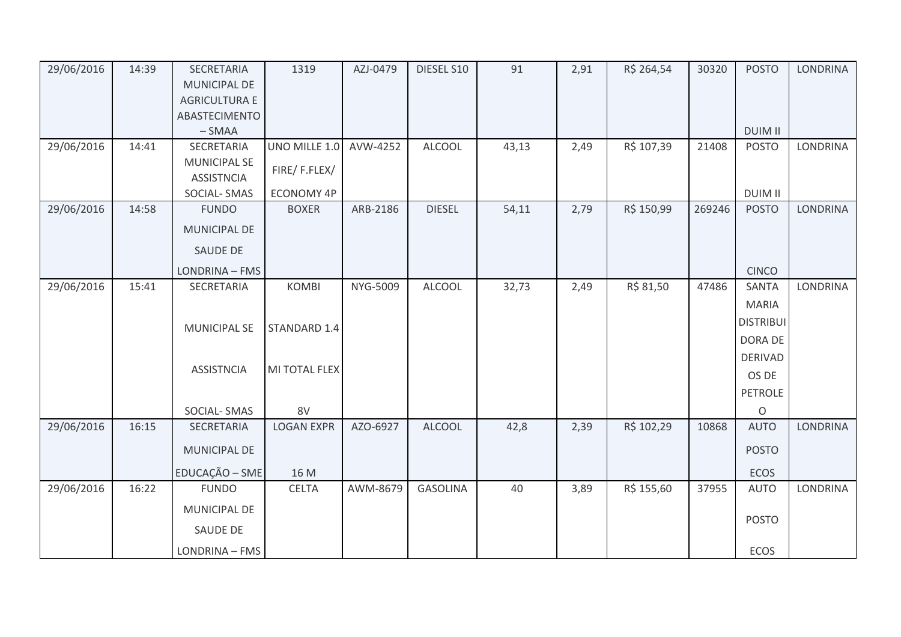| 29/06/2016 | 14:39 | SECRETARIA<br>MUNICIPAL DE               | 1319              | AZJ-0479 | DIESEL S10      | 91    | 2,91 | R\$ 264,54 | 30320  | <b>POSTO</b>     | <b>LONDRINA</b> |
|------------|-------|------------------------------------------|-------------------|----------|-----------------|-------|------|------------|--------|------------------|-----------------|
|            |       | <b>AGRICULTURA E</b>                     |                   |          |                 |       |      |            |        |                  |                 |
|            |       | ABASTECIMENTO                            |                   |          |                 |       |      |            |        |                  |                 |
|            |       | $-SMAA$                                  |                   |          |                 |       |      |            |        | <b>DUIM II</b>   |                 |
| 29/06/2016 | 14:41 | SECRETARIA                               | UNO MILLE 1.0     | AVW-4252 | <b>ALCOOL</b>   | 43,13 | 2,49 | R\$ 107,39 | 21408  | <b>POSTO</b>     | LONDRINA        |
|            |       | <b>MUNICIPAL SE</b><br><b>ASSISTNCIA</b> | FIRE/F.FLEX/      |          |                 |       |      |            |        |                  |                 |
|            |       | SOCIAL-SMAS                              | ECONOMY 4P        |          |                 |       |      |            |        | <b>DUIM II</b>   |                 |
| 29/06/2016 | 14:58 | <b>FUNDO</b>                             | <b>BOXER</b>      | ARB-2186 | <b>DIESEL</b>   | 54,11 | 2,79 | R\$ 150,99 | 269246 | <b>POSTO</b>     | LONDRINA        |
|            |       | MUNICIPAL DE                             |                   |          |                 |       |      |            |        |                  |                 |
|            |       | SAUDE DE                                 |                   |          |                 |       |      |            |        |                  |                 |
|            |       | LONDRINA - FMS                           |                   |          |                 |       |      |            |        | <b>CINCO</b>     |                 |
| 29/06/2016 | 15:41 | SECRETARIA                               | <b>KOMBI</b>      | NYG-5009 | <b>ALCOOL</b>   | 32,73 | 2,49 | R\$ 81,50  | 47486  | <b>SANTA</b>     | LONDRINA        |
|            |       |                                          |                   |          |                 |       |      |            |        | <b>MARIA</b>     |                 |
|            |       | <b>MUNICIPAL SE</b>                      | STANDARD 1.4      |          |                 |       |      |            |        | <b>DISTRIBUI</b> |                 |
|            |       |                                          |                   |          |                 |       |      |            |        | DORA DE          |                 |
|            |       |                                          |                   |          |                 |       |      |            |        | <b>DERIVAD</b>   |                 |
|            |       | <b>ASSISTNCIA</b>                        | MI TOTAL FLEX     |          |                 |       |      |            |        | OS DE            |                 |
|            |       |                                          |                   |          |                 |       |      |            |        | PETROLE          |                 |
|            |       | SOCIAL-SMAS                              | 8V                |          |                 |       |      |            |        | $\circ$          |                 |
| 29/06/2016 | 16:15 | SECRETARIA                               | <b>LOGAN EXPR</b> | AZO-6927 | <b>ALCOOL</b>   | 42,8  | 2,39 | R\$ 102,29 | 10868  | <b>AUTO</b>      | LONDRINA        |
|            |       | MUNICIPAL DE                             |                   |          |                 |       |      |            |        | <b>POSTO</b>     |                 |
|            |       | EDUCAÇÃO - SME                           | 16 M              |          |                 |       |      |            |        | ECOS             |                 |
| 29/06/2016 | 16:22 | <b>FUNDO</b>                             | <b>CELTA</b>      | AWM-8679 | <b>GASOLINA</b> | 40    | 3,89 | R\$ 155,60 | 37955  | <b>AUTO</b>      | LONDRINA        |
|            |       | MUNICIPAL DE                             |                   |          |                 |       |      |            |        |                  |                 |
|            |       | SAUDE DE                                 |                   |          |                 |       |      |            |        | <b>POSTO</b>     |                 |
|            |       | LONDRINA - FMS                           |                   |          |                 |       |      |            |        | ECOS             |                 |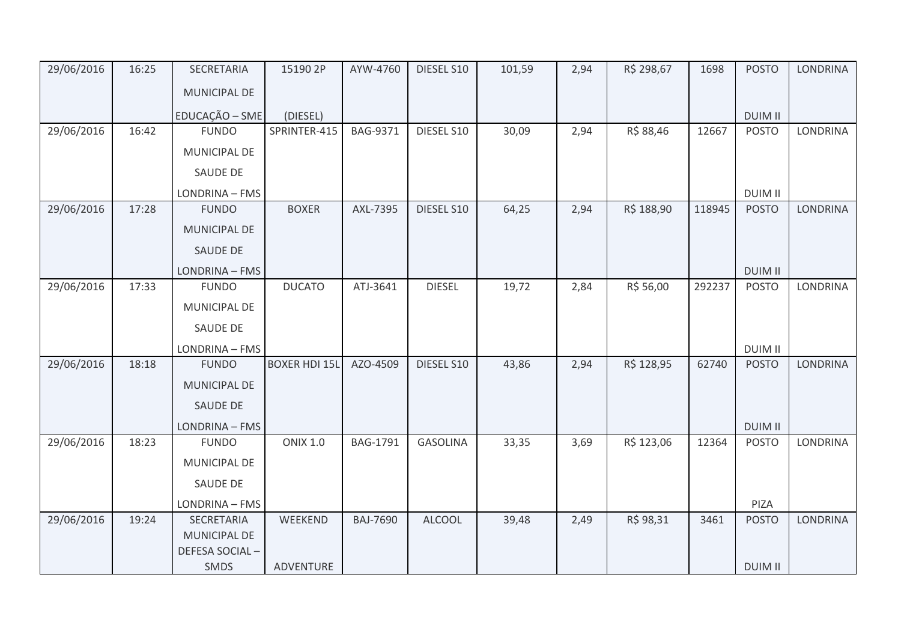| 29/06/2016 | 16:25 | SECRETARIA             | 15190 2P             | AYW-4760        | DIESEL S10      | 101,59 | 2,94 | R\$ 298,67 | 1698   | <b>POSTO</b>   | <b>LONDRINA</b> |
|------------|-------|------------------------|----------------------|-----------------|-----------------|--------|------|------------|--------|----------------|-----------------|
|            |       | MUNICIPAL DE           |                      |                 |                 |        |      |            |        |                |                 |
|            |       | EDUCAÇÃO - SME         | (DIESEL)             |                 |                 |        |      |            |        | <b>DUIM II</b> |                 |
| 29/06/2016 | 16:42 | <b>FUNDO</b>           | SPRINTER-415         | BAG-9371        | DIESEL S10      | 30,09  | 2,94 | R\$ 88,46  | 12667  | <b>POSTO</b>   | <b>LONDRINA</b> |
|            |       | MUNICIPAL DE           |                      |                 |                 |        |      |            |        |                |                 |
|            |       | SAUDE DE               |                      |                 |                 |        |      |            |        |                |                 |
|            |       | LONDRINA - FMS         |                      |                 |                 |        |      |            |        | <b>DUIM II</b> |                 |
| 29/06/2016 | 17:28 | <b>FUNDO</b>           | <b>BOXER</b>         | AXL-7395        | DIESEL S10      | 64,25  | 2,94 | R\$ 188,90 | 118945 | <b>POSTO</b>   | <b>LONDRINA</b> |
|            |       | MUNICIPAL DE           |                      |                 |                 |        |      |            |        |                |                 |
|            |       | <b>SAUDE DE</b>        |                      |                 |                 |        |      |            |        |                |                 |
|            |       | LONDRINA - FMS         |                      |                 |                 |        |      |            |        | <b>DUIM II</b> |                 |
| 29/06/2016 | 17:33 | <b>FUNDO</b>           | <b>DUCATO</b>        | ATJ-3641        | <b>DIESEL</b>   | 19,72  | 2,84 | R\$ 56,00  | 292237 | <b>POSTO</b>   | <b>LONDRINA</b> |
|            |       | MUNICIPAL DE           |                      |                 |                 |        |      |            |        |                |                 |
|            |       | <b>SAUDE DE</b>        |                      |                 |                 |        |      |            |        |                |                 |
|            |       | LONDRINA - FMS         |                      |                 |                 |        |      |            |        | <b>DUIM II</b> |                 |
| 29/06/2016 | 18:18 | <b>FUNDO</b>           | <b>BOXER HDI 15L</b> | AZO-4509        | DIESEL S10      | 43,86  | 2,94 | R\$ 128,95 | 62740  | <b>POSTO</b>   | <b>LONDRINA</b> |
|            |       | <b>MUNICIPAL DE</b>    |                      |                 |                 |        |      |            |        |                |                 |
|            |       | <b>SAUDE DE</b>        |                      |                 |                 |        |      |            |        |                |                 |
|            |       | LONDRINA - FMS         |                      |                 |                 |        |      |            |        | <b>DUIM II</b> |                 |
| 29/06/2016 | 18:23 | <b>FUNDO</b>           | <b>ONIX 1.0</b>      | BAG-1791        | <b>GASOLINA</b> | 33,35  | 3,69 | R\$ 123,06 | 12364  | <b>POSTO</b>   | <b>LONDRINA</b> |
|            |       | MUNICIPAL DE           |                      |                 |                 |        |      |            |        |                |                 |
|            |       | <b>SAUDE DE</b>        |                      |                 |                 |        |      |            |        |                |                 |
|            |       | LONDRINA - FMS         |                      |                 |                 |        |      |            |        | PIZA           |                 |
| 29/06/2016 | 19:24 | SECRETARIA             | WEEKEND              | <b>BAJ-7690</b> | <b>ALCOOL</b>   | 39,48  | 2,49 | R\$ 98,31  | 3461   | <b>POSTO</b>   | <b>LONDRINA</b> |
|            |       | MUNICIPAL DE           |                      |                 |                 |        |      |            |        |                |                 |
|            |       | DEFESA SOCIAL-<br>SMDS | ADVENTURE            |                 |                 |        |      |            |        | <b>DUIM II</b> |                 |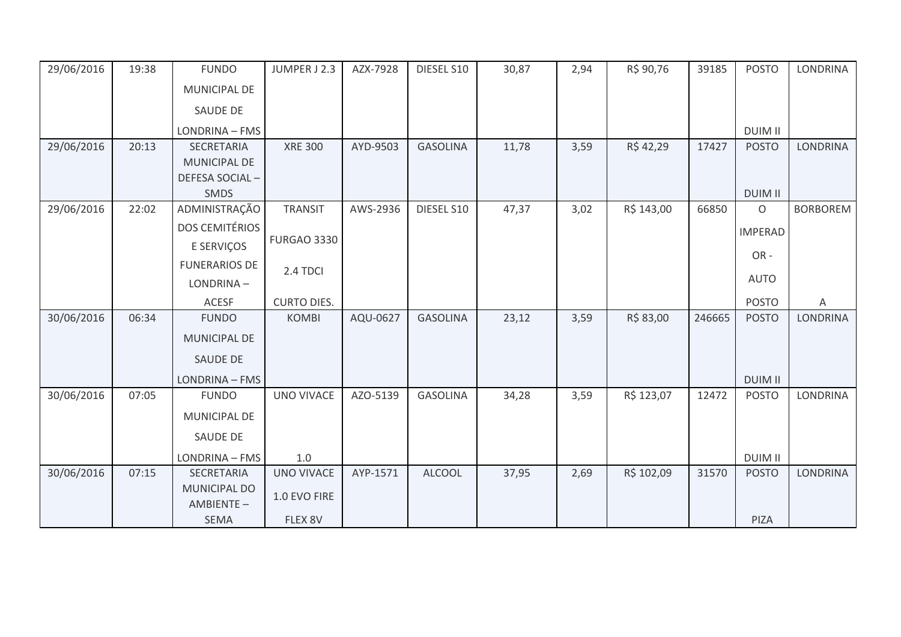| 29/06/2016 | 19:38 | <b>FUNDO</b>          | JUMPER J 2.3       | AZX-7928 | DIESEL S10      | 30,87 | 2,94 | R\$ 90,76  | 39185  | <b>POSTO</b>   | <b>LONDRINA</b> |
|------------|-------|-----------------------|--------------------|----------|-----------------|-------|------|------------|--------|----------------|-----------------|
|            |       | MUNICIPAL DE          |                    |          |                 |       |      |            |        |                |                 |
|            |       | SAUDE DE              |                    |          |                 |       |      |            |        |                |                 |
|            |       | LONDRINA - FMS        |                    |          |                 |       |      |            |        | <b>DUIM II</b> |                 |
| 29/06/2016 | 20:13 | <b>SECRETARIA</b>     | <b>XRE 300</b>     | AYD-9503 | <b>GASOLINA</b> | 11,78 | 3,59 | R\$42,29   | 17427  | <b>POSTO</b>   | <b>LONDRINA</b> |
|            |       | <b>MUNICIPAL DE</b>   |                    |          |                 |       |      |            |        |                |                 |
|            |       | DEFESA SOCIAL-        |                    |          |                 |       |      |            |        |                |                 |
|            |       | <b>SMDS</b>           |                    |          |                 |       |      |            |        | <b>DUIM II</b> |                 |
| 29/06/2016 | 22:02 | ADMINISTRAÇÃO         | <b>TRANSIT</b>     | AWS-2936 | DIESEL S10      | 47,37 | 3,02 | R\$ 143,00 | 66850  | $\mathsf O$    | <b>BORBOREM</b> |
|            |       | <b>DOS CEMITÉRIOS</b> |                    |          |                 |       |      |            |        | <b>IMPERAD</b> |                 |
|            |       | E SERVIÇOS            | <b>FURGAO 3330</b> |          |                 |       |      |            |        | OR-            |                 |
|            |       | <b>FUNERARIOS DE</b>  | 2.4 TDCI           |          |                 |       |      |            |        |                |                 |
|            |       | LONDRINA-             |                    |          |                 |       |      |            |        | <b>AUTO</b>    |                 |
|            |       | <b>ACESF</b>          | <b>CURTO DIES.</b> |          |                 |       |      |            |        | <b>POSTO</b>   | $\mathsf A$     |
| 30/06/2016 | 06:34 | <b>FUNDO</b>          | <b>KOMBI</b>       | AQU-0627 | <b>GASOLINA</b> | 23,12 | 3,59 | R\$ 83,00  | 246665 | <b>POSTO</b>   | <b>LONDRINA</b> |
|            |       | MUNICIPAL DE          |                    |          |                 |       |      |            |        |                |                 |
|            |       | <b>SAUDE DE</b>       |                    |          |                 |       |      |            |        |                |                 |
|            |       | LONDRINA - FMS        |                    |          |                 |       |      |            |        | <b>DUIM II</b> |                 |
| 30/06/2016 | 07:05 | <b>FUNDO</b>          | <b>UNO VIVACE</b>  | AZO-5139 | <b>GASOLINA</b> | 34,28 | 3,59 | R\$ 123,07 | 12472  | <b>POSTO</b>   | LONDRINA        |
|            |       | MUNICIPAL DE          |                    |          |                 |       |      |            |        |                |                 |
|            |       | <b>SAUDE DE</b>       |                    |          |                 |       |      |            |        |                |                 |
|            |       | LONDRINA - FMS        | 1.0                |          |                 |       |      |            |        | <b>DUIM II</b> |                 |
| 30/06/2016 | 07:15 | <b>SECRETARIA</b>     | <b>UNO VIVACE</b>  | AYP-1571 | <b>ALCOOL</b>   | 37,95 | 2,69 | R\$ 102,09 | 31570  | <b>POSTO</b>   | <b>LONDRINA</b> |
|            |       | <b>MUNICIPAL DO</b>   | 1.0 EVO FIRE       |          |                 |       |      |            |        |                |                 |
|            |       | AMBIENTE-             |                    |          |                 |       |      |            |        |                |                 |
|            |       | <b>SEMA</b>           | FLEX 8V            |          |                 |       |      |            |        | PIZA           |                 |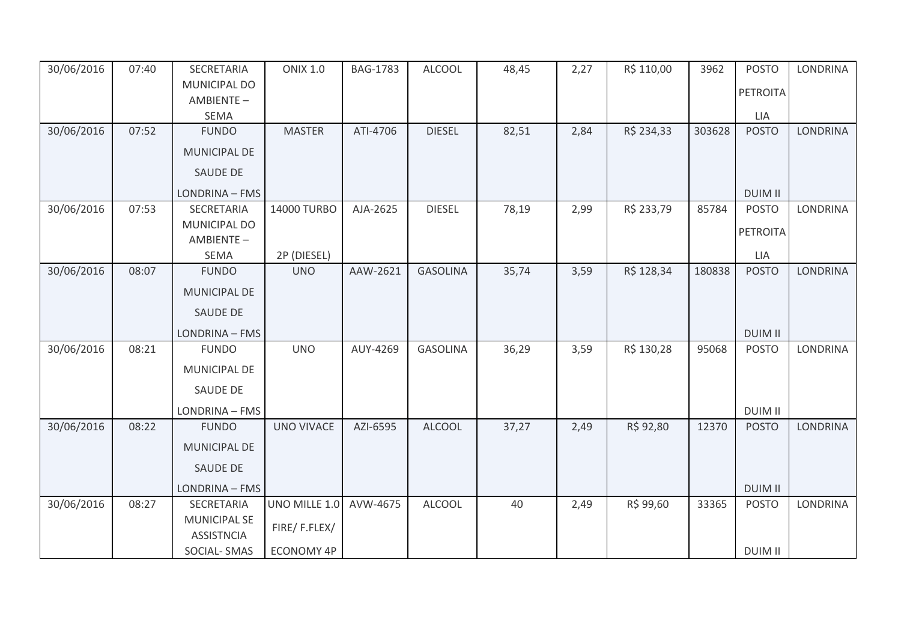| 30/06/2016 | 07:40 | SECRETARIA                               | <b>ONIX 1.0</b>           | <b>BAG-1783</b> | <b>ALCOOL</b>   | 48,45 | 2,27 | R\$ 110,00 | 3962   | <b>POSTO</b>   | <b>LONDRINA</b> |
|------------|-------|------------------------------------------|---------------------------|-----------------|-----------------|-------|------|------------|--------|----------------|-----------------|
|            |       | MUNICIPAL DO                             |                           |                 |                 |       |      |            |        | PETROITA       |                 |
|            |       | AMBIENTE-                                |                           |                 |                 |       |      |            |        |                |                 |
|            |       | SEMA                                     |                           |                 |                 |       |      |            |        | <b>LIA</b>     |                 |
| 30/06/2016 | 07:52 | <b>FUNDO</b>                             | <b>MASTER</b>             | ATI-4706        | <b>DIESEL</b>   | 82,51 | 2,84 | R\$ 234,33 | 303628 | <b>POSTO</b>   | <b>LONDRINA</b> |
|            |       | <b>MUNICIPAL DE</b>                      |                           |                 |                 |       |      |            |        |                |                 |
|            |       | <b>SAUDE DE</b>                          |                           |                 |                 |       |      |            |        |                |                 |
|            |       | LONDRINA - FMS                           |                           |                 |                 |       |      |            |        | <b>DUIM II</b> |                 |
| 30/06/2016 | 07:53 | SECRETARIA                               | 14000 TURBO               | AJA-2625        | <b>DIESEL</b>   | 78,19 | 2,99 | R\$ 233,79 | 85784  | <b>POSTO</b>   | <b>LONDRINA</b> |
|            |       | MUNICIPAL DO                             |                           |                 |                 |       |      |            |        | PETROITA       |                 |
|            |       | AMBIENTE-<br>SEMA                        |                           |                 |                 |       |      |            |        | LIA            |                 |
| 30/06/2016 | 08:07 | <b>FUNDO</b>                             | 2P (DIESEL)<br><b>UNO</b> | AAW-2621        | <b>GASOLINA</b> | 35,74 | 3,59 | R\$ 128,34 | 180838 | <b>POSTO</b>   | <b>LONDRINA</b> |
|            |       |                                          |                           |                 |                 |       |      |            |        |                |                 |
|            |       | MUNICIPAL DE                             |                           |                 |                 |       |      |            |        |                |                 |
|            |       | SAUDE DE                                 |                           |                 |                 |       |      |            |        |                |                 |
|            |       | LONDRINA - FMS                           |                           |                 |                 |       |      |            |        | <b>DUIM II</b> |                 |
| 30/06/2016 | 08:21 | <b>FUNDO</b>                             | <b>UNO</b>                | AUY-4269        | <b>GASOLINA</b> | 36,29 | 3,59 | R\$ 130,28 | 95068  | <b>POSTO</b>   | LONDRINA        |
|            |       | MUNICIPAL DE                             |                           |                 |                 |       |      |            |        |                |                 |
|            |       | SAUDE DE                                 |                           |                 |                 |       |      |            |        |                |                 |
|            |       | LONDRINA - FMS                           |                           |                 |                 |       |      |            |        | <b>DUIM II</b> |                 |
| 30/06/2016 | 08:22 | <b>FUNDO</b>                             | <b>UNO VIVACE</b>         | AZI-6595        | <b>ALCOOL</b>   | 37,27 | 2,49 | R\$ 92,80  | 12370  | <b>POSTO</b>   | <b>LONDRINA</b> |
|            |       | MUNICIPAL DE                             |                           |                 |                 |       |      |            |        |                |                 |
|            |       | <b>SAUDE DE</b>                          |                           |                 |                 |       |      |            |        |                |                 |
|            |       | LONDRINA - FMS                           |                           |                 |                 |       |      |            |        | <b>DUIM II</b> |                 |
| 30/06/2016 | 08:27 | SECRETARIA                               | UNO MILLE 1.0             | AVW-4675        | <b>ALCOOL</b>   | 40    | 2,49 | R\$ 99,60  | 33365  | <b>POSTO</b>   | <b>LONDRINA</b> |
|            |       | <b>MUNICIPAL SE</b><br><b>ASSISTNCIA</b> | FIRE/F.FLEX/              |                 |                 |       |      |            |        |                |                 |
|            |       | SOCIAL-SMAS                              | <b>ECONOMY 4P</b>         |                 |                 |       |      |            |        | <b>DUIM II</b> |                 |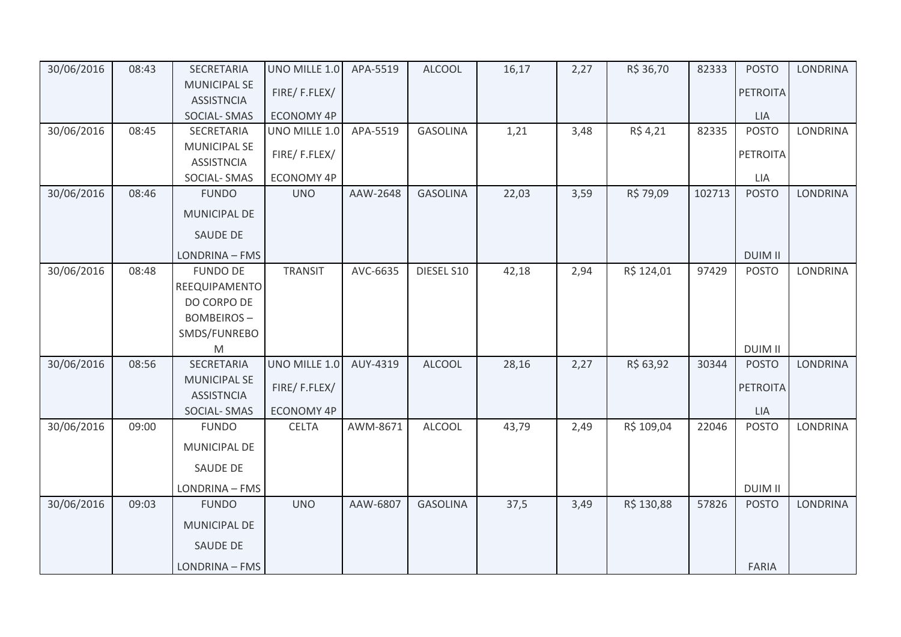| 30/06/2016 | 08:43 | SECRETARIA                               | UNO MILLE 1.0     | APA-5519 | <b>ALCOOL</b>   | 16,17 | 2,27 | R\$ 36,70  | 82333  | <b>POSTO</b>    | <b>LONDRINA</b> |
|------------|-------|------------------------------------------|-------------------|----------|-----------------|-------|------|------------|--------|-----------------|-----------------|
|            |       | <b>MUNICIPAL SE</b><br><b>ASSISTNCIA</b> | FIRE/F.FLEX/      |          |                 |       |      |            |        | <b>PETROITA</b> |                 |
|            |       | SOCIAL-SMAS                              | <b>ECONOMY 4P</b> |          |                 |       |      |            |        | <b>LIA</b>      |                 |
| 30/06/2016 | 08:45 | SECRETARIA                               | UNO MILLE 1.0     | APA-5519 | <b>GASOLINA</b> | 1,21  | 3,48 | R\$ 4,21   | 82335  | <b>POSTO</b>    | <b>LONDRINA</b> |
|            |       | <b>MUNICIPAL SE</b><br><b>ASSISTNCIA</b> | FIRE/F.FLEX/      |          |                 |       |      |            |        | <b>PETROITA</b> |                 |
|            |       | <b>SOCIAL-SMAS</b>                       | <b>ECONOMY 4P</b> |          |                 |       |      |            |        | LIA             |                 |
| 30/06/2016 | 08:46 | <b>FUNDO</b>                             | <b>UNO</b>        | AAW-2648 | <b>GASOLINA</b> | 22,03 | 3,59 | R\$ 79,09  | 102713 | <b>POSTO</b>    | <b>LONDRINA</b> |
|            |       | MUNICIPAL DE                             |                   |          |                 |       |      |            |        |                 |                 |
|            |       | SAUDE DE                                 |                   |          |                 |       |      |            |        |                 |                 |
|            |       | LONDRINA - FMS                           |                   |          |                 |       |      |            |        | <b>DUIM II</b>  |                 |
| 30/06/2016 | 08:48 | <b>FUNDO DE</b>                          | <b>TRANSIT</b>    | AVC-6635 | DIESEL S10      | 42,18 | 2,94 | R\$ 124,01 | 97429  | <b>POSTO</b>    | <b>LONDRINA</b> |
|            |       | REEQUIPAMENTO                            |                   |          |                 |       |      |            |        |                 |                 |
|            |       | DO CORPO DE                              |                   |          |                 |       |      |            |        |                 |                 |
|            |       | <b>BOMBEIROS-</b>                        |                   |          |                 |       |      |            |        |                 |                 |
|            |       | SMDS/FUNREBO                             |                   |          |                 |       |      |            |        |                 |                 |
|            |       | ${\sf M}$                                |                   |          |                 |       |      |            |        | <b>DUIM II</b>  |                 |
| 30/06/2016 | 08:56 | SECRETARIA<br><b>MUNICIPAL SE</b>        | UNO MILLE 1.0     | AUY-4319 | <b>ALCOOL</b>   | 28,16 | 2,27 | R\$ 63,92  | 30344  | <b>POSTO</b>    | <b>LONDRINA</b> |
|            |       | <b>ASSISTNCIA</b>                        | FIRE/F.FLEX/      |          |                 |       |      |            |        | <b>PETROITA</b> |                 |
|            |       | <b>SOCIAL-SMAS</b>                       | <b>ECONOMY 4P</b> |          |                 |       |      |            |        | <b>LIA</b>      |                 |
| 30/06/2016 | 09:00 | <b>FUNDO</b>                             | <b>CELTA</b>      | AWM-8671 | <b>ALCOOL</b>   | 43,79 | 2,49 | R\$ 109,04 | 22046  | <b>POSTO</b>    | <b>LONDRINA</b> |
|            |       | MUNICIPAL DE                             |                   |          |                 |       |      |            |        |                 |                 |
|            |       | SAUDE DE                                 |                   |          |                 |       |      |            |        |                 |                 |
|            |       | LONDRINA - FMS                           |                   |          |                 |       |      |            |        | <b>DUIM II</b>  |                 |
| 30/06/2016 | 09:03 | <b>FUNDO</b>                             | <b>UNO</b>        | AAW-6807 | <b>GASOLINA</b> | 37,5  | 3,49 | R\$ 130,88 | 57826  | <b>POSTO</b>    | <b>LONDRINA</b> |
|            |       | MUNICIPAL DE                             |                   |          |                 |       |      |            |        |                 |                 |
|            |       | <b>SAUDE DE</b>                          |                   |          |                 |       |      |            |        |                 |                 |
|            |       | LONDRINA - FMS                           |                   |          |                 |       |      |            |        | <b>FARIA</b>    |                 |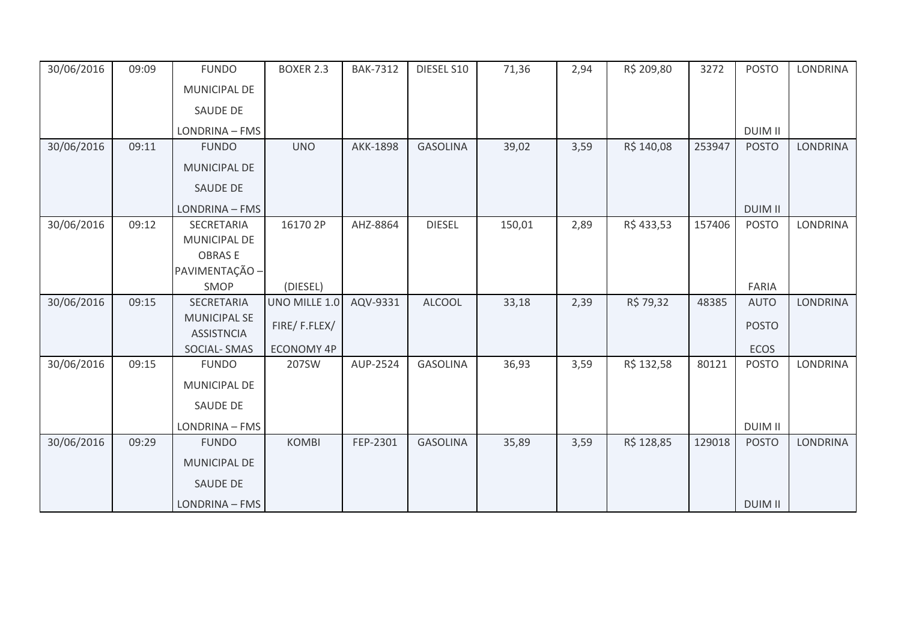| 30/06/2016 | 09:09 | <b>FUNDO</b>        | <b>BOXER 2.3</b> | <b>BAK-7312</b> | DIESEL S10      | 71,36  | 2,94 | R\$ 209,80 | 3272   | <b>POSTO</b>   | <b>LONDRINA</b> |
|------------|-------|---------------------|------------------|-----------------|-----------------|--------|------|------------|--------|----------------|-----------------|
|            |       | MUNICIPAL DE        |                  |                 |                 |        |      |            |        |                |                 |
|            |       | <b>SAUDE DE</b>     |                  |                 |                 |        |      |            |        |                |                 |
|            |       | LONDRINA - FMS      |                  |                 |                 |        |      |            |        | <b>DUIM II</b> |                 |
| 30/06/2016 | 09:11 | <b>FUNDO</b>        | <b>UNO</b>       | <b>AKK-1898</b> | <b>GASOLINA</b> | 39,02  | 3,59 | R\$ 140,08 | 253947 | <b>POSTO</b>   | <b>LONDRINA</b> |
|            |       | <b>MUNICIPAL DE</b> |                  |                 |                 |        |      |            |        |                |                 |
|            |       | <b>SAUDE DE</b>     |                  |                 |                 |        |      |            |        |                |                 |
|            |       | LONDRINA - FMS      |                  |                 |                 |        |      |            |        | <b>DUIM II</b> |                 |
| 30/06/2016 | 09:12 | SECRETARIA          | 16170 2P         | AHZ-8864        | <b>DIESEL</b>   | 150,01 | 2,89 | R\$433,53  | 157406 | <b>POSTO</b>   | <b>LONDRINA</b> |
|            |       | MUNICIPAL DE        |                  |                 |                 |        |      |            |        |                |                 |
|            |       | <b>OBRASE</b>       |                  |                 |                 |        |      |            |        |                |                 |
|            |       | PAVIMENTAÇÃO -      |                  |                 |                 |        |      |            |        |                |                 |
|            |       | SMOP                | (DIESEL)         |                 |                 |        |      |            |        | FARIA          |                 |
| 30/06/2016 | 09:15 | <b>SECRETARIA</b>   | UNO MILLE 1.0    | AQV-9331        | <b>ALCOOL</b>   | 33,18  | 2,39 | R\$ 79,32  | 48385  | <b>AUTO</b>    | <b>LONDRINA</b> |
|            |       | <b>MUNICIPAL SE</b> | FIRE/F.FLEX/     |                 |                 |        |      |            |        | <b>POSTO</b>   |                 |
|            |       | <b>ASSISTNCIA</b>   |                  |                 |                 |        |      |            |        |                |                 |
|            |       | <b>SOCIAL-SMAS</b>  | ECONOMY 4P       |                 |                 |        |      |            |        | ECOS           |                 |
| 30/06/2016 | 09:15 | <b>FUNDO</b>        | 207SW            | AUP-2524        | <b>GASOLINA</b> | 36,93  | 3,59 | R\$ 132,58 | 80121  | <b>POSTO</b>   | <b>LONDRINA</b> |
|            |       | MUNICIPAL DE        |                  |                 |                 |        |      |            |        |                |                 |
|            |       | <b>SAUDE DE</b>     |                  |                 |                 |        |      |            |        |                |                 |
|            |       | LONDRINA - FMS      |                  |                 |                 |        |      |            |        | <b>DUIM II</b> |                 |
| 30/06/2016 | 09:29 | <b>FUNDO</b>        | <b>KOMBI</b>     | FEP-2301        | <b>GASOLINA</b> | 35,89  | 3,59 | R\$ 128,85 | 129018 | <b>POSTO</b>   | <b>LONDRINA</b> |
|            |       | <b>MUNICIPAL DE</b> |                  |                 |                 |        |      |            |        |                |                 |
|            |       | <b>SAUDE DE</b>     |                  |                 |                 |        |      |            |        |                |                 |
|            |       | LONDRINA - FMS      |                  |                 |                 |        |      |            |        | <b>DUIM II</b> |                 |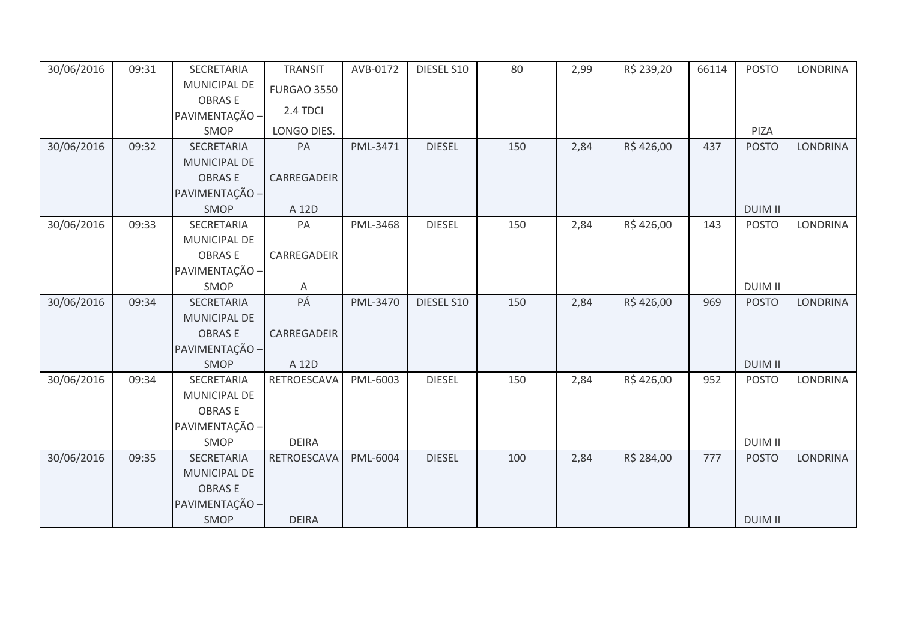| 30/06/2016 | 09:31 | SECRETARIA          | <b>TRANSIT</b>     | AVB-0172 | DIESEL S10    | 80  | 2,99 | R\$ 239,20 | 66114 | <b>POSTO</b>   | <b>LONDRINA</b> |
|------------|-------|---------------------|--------------------|----------|---------------|-----|------|------------|-------|----------------|-----------------|
|            |       | MUNICIPAL DE        | <b>FURGAO 3550</b> |          |               |     |      |            |       |                |                 |
|            |       | <b>OBRASE</b>       |                    |          |               |     |      |            |       |                |                 |
|            |       | PAVIMENTAÇÃO -      | 2.4 TDCI           |          |               |     |      |            |       |                |                 |
|            |       | SMOP                | LONGO DIES.        |          |               |     |      |            |       | PIZA           |                 |
| 30/06/2016 | 09:32 | SECRETARIA          | PA                 | PML-3471 | <b>DIESEL</b> | 150 | 2,84 | R\$426,00  | 437   | <b>POSTO</b>   | <b>LONDRINA</b> |
|            |       | <b>MUNICIPAL DE</b> |                    |          |               |     |      |            |       |                |                 |
|            |       | <b>OBRASE</b>       | CARREGADEIR        |          |               |     |      |            |       |                |                 |
|            |       | PAVIMENTAÇÃO -      |                    |          |               |     |      |            |       |                |                 |
|            |       | SMOP                | A 12D              |          |               |     |      |            |       | <b>DUIM II</b> |                 |
| 30/06/2016 | 09:33 | SECRETARIA          | PA                 | PML-3468 | <b>DIESEL</b> | 150 | 2,84 | R\$426,00  | 143   | <b>POSTO</b>   | <b>LONDRINA</b> |
|            |       | MUNICIPAL DE        |                    |          |               |     |      |            |       |                |                 |
|            |       | <b>OBRASE</b>       | CARREGADEIR        |          |               |     |      |            |       |                |                 |
|            |       | PAVIMENTAÇÃO -      |                    |          |               |     |      |            |       |                |                 |
|            |       | <b>SMOP</b>         | A                  |          |               |     |      |            |       | <b>DUIM II</b> |                 |
| 30/06/2016 | 09:34 | SECRETARIA          | PÁ                 | PML-3470 | DIESEL S10    | 150 | 2,84 | R\$426,00  | 969   | <b>POSTO</b>   | <b>LONDRINA</b> |
|            |       | <b>MUNICIPAL DE</b> |                    |          |               |     |      |            |       |                |                 |
|            |       | <b>OBRASE</b>       | CARREGADEIR        |          |               |     |      |            |       |                |                 |
|            |       | PAVIMENTAÇÃO -      |                    |          |               |     |      |            |       |                |                 |
|            |       | SMOP                | A 12D              |          |               |     |      |            |       | <b>DUIM II</b> |                 |
| 30/06/2016 | 09:34 | SECRETARIA          | RETROESCAVA        | PML-6003 | <b>DIESEL</b> | 150 | 2,84 | R\$426,00  | 952   | <b>POSTO</b>   | <b>LONDRINA</b> |
|            |       | MUNICIPAL DE        |                    |          |               |     |      |            |       |                |                 |
|            |       | <b>OBRASE</b>       |                    |          |               |     |      |            |       |                |                 |
|            |       | PAVIMENTAÇÃO -      |                    |          |               |     |      |            |       |                |                 |
|            |       | SMOP                | <b>DEIRA</b>       |          |               |     |      |            |       | <b>DUIM II</b> |                 |
| 30/06/2016 | 09:35 | SECRETARIA          | RETROESCAVA        | PML-6004 | <b>DIESEL</b> | 100 | 2,84 | R\$ 284,00 | 777   | <b>POSTO</b>   | <b>LONDRINA</b> |
|            |       | <b>MUNICIPAL DE</b> |                    |          |               |     |      |            |       |                |                 |
|            |       | <b>OBRASE</b>       |                    |          |               |     |      |            |       |                |                 |
|            |       | PAVIMENTAÇÃO -      |                    |          |               |     |      |            |       |                |                 |
|            |       | <b>SMOP</b>         | <b>DEIRA</b>       |          |               |     |      |            |       | <b>DUIM II</b> |                 |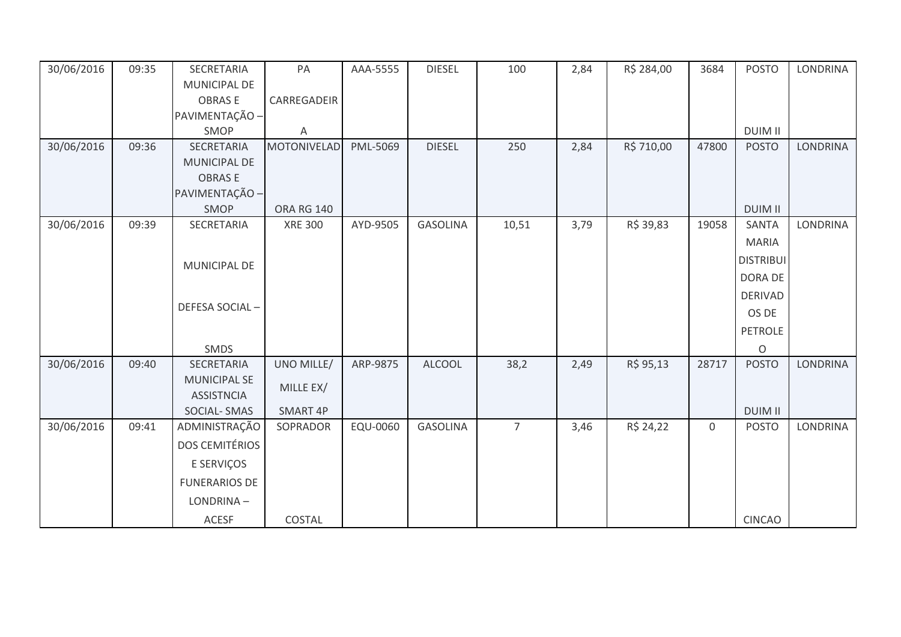| 30/06/2016 | 09:35 | SECRETARIA                               | PA                 | AAA-5555 | <b>DIESEL</b>   | 100            | 2,84 | R\$ 284,00 | 3684        | <b>POSTO</b>     | <b>LONDRINA</b> |
|------------|-------|------------------------------------------|--------------------|----------|-----------------|----------------|------|------------|-------------|------------------|-----------------|
|            |       | <b>MUNICIPAL DE</b>                      |                    |          |                 |                |      |            |             |                  |                 |
|            |       | <b>OBRASE</b>                            | CARREGADEIR        |          |                 |                |      |            |             |                  |                 |
|            |       | PAVIMENTAÇÃO -                           |                    |          |                 |                |      |            |             |                  |                 |
|            |       | SMOP                                     | A                  |          |                 |                |      |            |             | <b>DUIM II</b>   |                 |
| 30/06/2016 | 09:36 | SECRETARIA                               | <b>MOTONIVELAD</b> | PML-5069 | <b>DIESEL</b>   | 250            | 2,84 | R\$ 710,00 | 47800       | <b>POSTO</b>     | <b>LONDRINA</b> |
|            |       | <b>MUNICIPAL DE</b>                      |                    |          |                 |                |      |            |             |                  |                 |
|            |       | <b>OBRASE</b>                            |                    |          |                 |                |      |            |             |                  |                 |
|            |       | PAVIMENTAÇÃO -                           |                    |          |                 |                |      |            |             |                  |                 |
|            |       | SMOP                                     | <b>ORA RG 140</b>  |          |                 |                |      |            |             | <b>DUIM II</b>   |                 |
| 30/06/2016 | 09:39 | SECRETARIA                               | <b>XRE 300</b>     | AYD-9505 | <b>GASOLINA</b> | 10,51          | 3,79 | R\$ 39,83  | 19058       | SANTA            | <b>LONDRINA</b> |
|            |       |                                          |                    |          |                 |                |      |            |             | <b>MARIA</b>     |                 |
|            |       |                                          |                    |          |                 |                |      |            |             | <b>DISTRIBUI</b> |                 |
|            |       | MUNICIPAL DE                             |                    |          |                 |                |      |            |             | DORA DE          |                 |
|            |       |                                          |                    |          |                 |                |      |            |             | <b>DERIVAD</b>   |                 |
|            |       | DEFESA SOCIAL-                           |                    |          |                 |                |      |            |             |                  |                 |
|            |       |                                          |                    |          |                 |                |      |            |             | OS DE            |                 |
|            |       |                                          |                    |          |                 |                |      |            |             | <b>PETROLE</b>   |                 |
|            |       | SMDS                                     |                    |          |                 |                |      |            |             | $\circ$          |                 |
| 30/06/2016 | 09:40 | SECRETARIA                               | UNO MILLE/         | ARP-9875 | <b>ALCOOL</b>   | 38,2           | 2,49 | R\$ 95,13  | 28717       | <b>POSTO</b>     | <b>LONDRINA</b> |
|            |       | <b>MUNICIPAL SE</b><br><b>ASSISTNCIA</b> | MILLE EX/          |          |                 |                |      |            |             |                  |                 |
|            |       | <b>SOCIAL-SMAS</b>                       | SMART 4P           |          |                 |                |      |            |             | <b>DUIM II</b>   |                 |
| 30/06/2016 | 09:41 | ADMINISTRAÇÃO                            | SOPRADOR           | EQU-0060 | <b>GASOLINA</b> | $\overline{7}$ | 3,46 | R\$ 24,22  | $\mathbf 0$ | <b>POSTO</b>     | LONDRINA        |
|            |       | <b>DOS CEMITÉRIOS</b>                    |                    |          |                 |                |      |            |             |                  |                 |
|            |       | E SERVIÇOS                               |                    |          |                 |                |      |            |             |                  |                 |
|            |       | <b>FUNERARIOS DE</b>                     |                    |          |                 |                |      |            |             |                  |                 |
|            |       | LONDRINA-                                |                    |          |                 |                |      |            |             |                  |                 |
|            |       | ACESF                                    | COSTAL             |          |                 |                |      |            |             | <b>CINCAO</b>    |                 |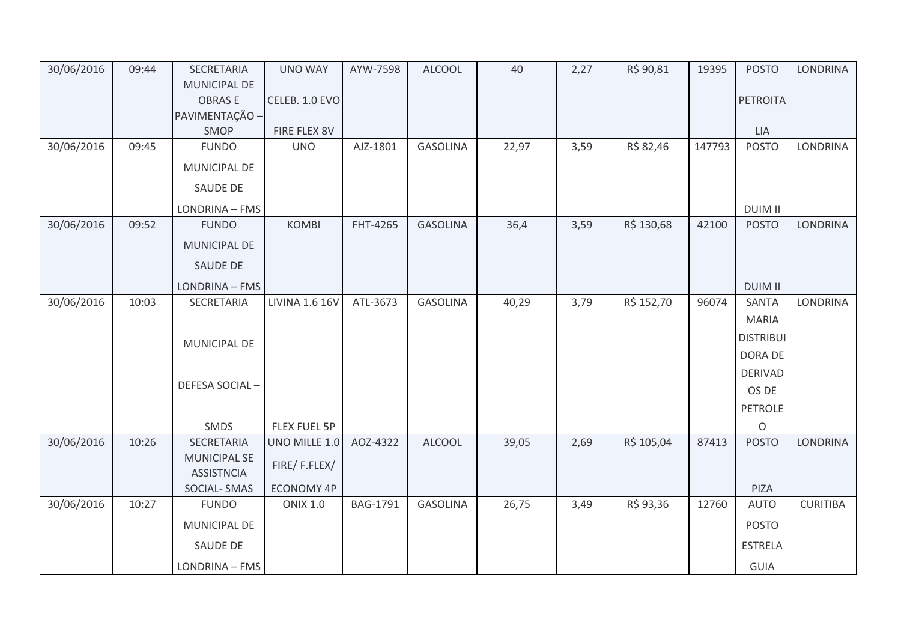| 30/06/2016 | 09:44 | SECRETARIA                               | <b>UNO WAY</b>        | AYW-7598 | <b>ALCOOL</b>   | 40    | 2,27 | R\$ 90,81  | 19395  | <b>POSTO</b>     | <b>LONDRINA</b> |
|------------|-------|------------------------------------------|-----------------------|----------|-----------------|-------|------|------------|--------|------------------|-----------------|
|            |       | MUNICIPAL DE                             |                       |          |                 |       |      |            |        |                  |                 |
|            |       | <b>OBRASE</b>                            | CELEB. 1.0 EVO        |          |                 |       |      |            |        | <b>PETROITA</b>  |                 |
|            |       | PAVIMENTAÇÃO -                           |                       |          |                 |       |      |            |        |                  |                 |
|            |       | SMOP                                     | FIRE FLEX 8V          |          |                 |       |      |            |        | LIA              |                 |
| 30/06/2016 | 09:45 | <b>FUNDO</b>                             | <b>UNO</b>            | AJZ-1801 | <b>GASOLINA</b> | 22,97 | 3,59 | R\$ 82,46  | 147793 | <b>POSTO</b>     | <b>LONDRINA</b> |
|            |       | MUNICIPAL DE                             |                       |          |                 |       |      |            |        |                  |                 |
|            |       | SAUDE DE                                 |                       |          |                 |       |      |            |        |                  |                 |
|            |       | LONDRINA - FMS                           |                       |          |                 |       |      |            |        | <b>DUIM II</b>   |                 |
| 30/06/2016 | 09:52 | <b>FUNDO</b>                             | <b>KOMBI</b>          | FHT-4265 | <b>GASOLINA</b> | 36,4  | 3,59 | R\$ 130,68 | 42100  | <b>POSTO</b>     | <b>LONDRINA</b> |
|            |       | MUNICIPAL DE                             |                       |          |                 |       |      |            |        |                  |                 |
|            |       | SAUDE DE                                 |                       |          |                 |       |      |            |        |                  |                 |
|            |       | LONDRINA - FMS                           |                       |          |                 |       |      |            |        | <b>DUIM II</b>   |                 |
| 30/06/2016 | 10:03 | <b>SECRETARIA</b>                        | <b>LIVINA 1.6 16V</b> | ATL-3673 | <b>GASOLINA</b> | 40,29 | 3,79 | R\$ 152,70 | 96074  | <b>SANTA</b>     | <b>LONDRINA</b> |
|            |       |                                          |                       |          |                 |       |      |            |        | <b>MARIA</b>     |                 |
|            |       | <b>MUNICIPAL DE</b>                      |                       |          |                 |       |      |            |        | <b>DISTRIBUI</b> |                 |
|            |       |                                          |                       |          |                 |       |      |            |        | DORA DE          |                 |
|            |       |                                          |                       |          |                 |       |      |            |        | <b>DERIVAD</b>   |                 |
|            |       | DEFESA SOCIAL-                           |                       |          |                 |       |      |            |        | OS DE            |                 |
|            |       |                                          |                       |          |                 |       |      |            |        | <b>PETROLE</b>   |                 |
|            |       | SMDS                                     | FLEX FUEL 5P          |          |                 |       |      |            |        | O                |                 |
| 30/06/2016 | 10:26 | SECRETARIA                               | UNO MILLE 1.0         | AOZ-4322 | <b>ALCOOL</b>   | 39,05 | 2,69 | R\$ 105,04 | 87413  | <b>POSTO</b>     | <b>LONDRINA</b> |
|            |       | <b>MUNICIPAL SE</b><br><b>ASSISTNCIA</b> | FIRE/F.FLEX/          |          |                 |       |      |            |        |                  |                 |
|            |       | <b>SOCIAL-SMAS</b>                       | <b>ECONOMY 4P</b>     |          |                 |       |      |            |        | PIZA             |                 |
| 30/06/2016 | 10:27 | <b>FUNDO</b>                             | <b>ONIX 1.0</b>       | BAG-1791 | <b>GASOLINA</b> | 26,75 | 3,49 | R\$ 93,36  | 12760  | <b>AUTO</b>      | <b>CURITIBA</b> |
|            |       | MUNICIPAL DE                             |                       |          |                 |       |      |            |        | <b>POSTO</b>     |                 |
|            |       | SAUDE DE                                 |                       |          |                 |       |      |            |        | <b>ESTRELA</b>   |                 |
|            |       | LONDRINA - FMS                           |                       |          |                 |       |      |            |        | GUIA             |                 |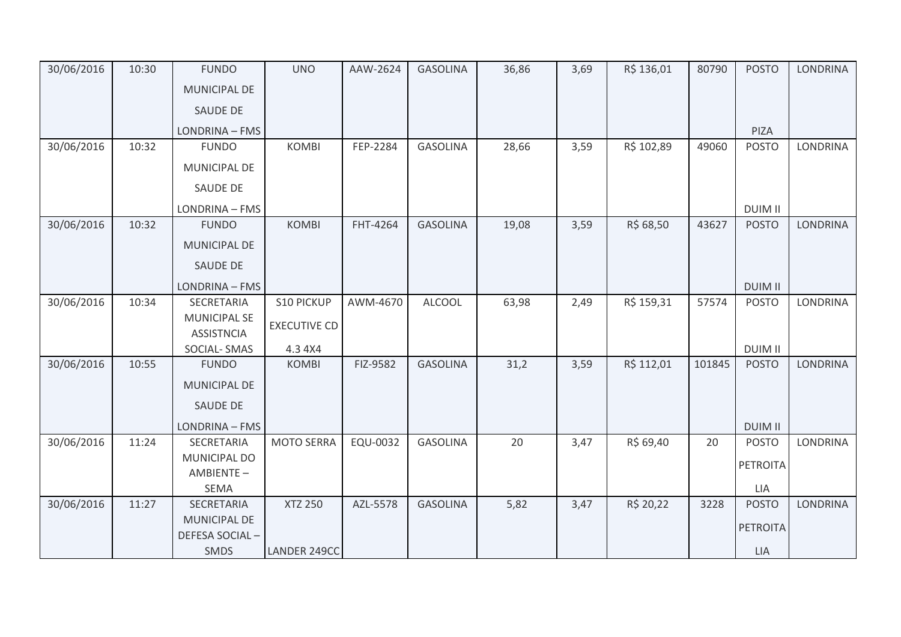| 10:30 | <b>FUNDO</b>          | <b>UNO</b>                                                                           | AAW-2624       | <b>GASOLINA</b> | 36,86           | 3,69 | R\$ 136,01 | 80790     | <b>POSTO</b>    | <b>LONDRINA</b>                 |
|-------|-----------------------|--------------------------------------------------------------------------------------|----------------|-----------------|-----------------|------|------------|-----------|-----------------|---------------------------------|
|       | <b>MUNICIPAL DE</b>   |                                                                                      |                |                 |                 |      |            |           |                 |                                 |
|       | <b>SAUDE DE</b>       |                                                                                      |                |                 |                 |      |            |           |                 |                                 |
|       | LONDRINA - FMS        |                                                                                      |                |                 |                 |      |            |           | PIZA            |                                 |
| 10:32 | <b>FUNDO</b>          | <b>KOMBI</b>                                                                         | FEP-2284       | <b>GASOLINA</b> | 28,66           | 3,59 | R\$ 102,89 | 49060     | <b>POSTO</b>    | LONDRINA                        |
|       | MUNICIPAL DE          |                                                                                      |                |                 |                 |      |            |           |                 |                                 |
|       | <b>SAUDE DE</b>       |                                                                                      |                |                 |                 |      |            |           |                 |                                 |
|       | LONDRINA - FMS        |                                                                                      |                |                 |                 |      |            |           | <b>DUIM II</b>  |                                 |
| 10:32 | <b>FUNDO</b>          | <b>KOMBI</b>                                                                         | FHT-4264       | <b>GASOLINA</b> | 19,08           | 3,59 | R\$ 68,50  | 43627     | <b>POSTO</b>    | <b>LONDRINA</b>                 |
|       | <b>MUNICIPAL DE</b>   |                                                                                      |                |                 |                 |      |            |           |                 |                                 |
|       | SAUDE DE              |                                                                                      |                |                 |                 |      |            |           |                 |                                 |
|       | LONDRINA - FMS        |                                                                                      |                |                 |                 |      |            |           | <b>DUIM II</b>  |                                 |
| 10:34 | SECRETARIA            | <b>S10 PICKUP</b>                                                                    | AWM-4670       | <b>ALCOOL</b>   | 63,98           | 2,49 | R\$ 159,31 | 57574     | <b>POSTO</b>    | <b>LONDRINA</b>                 |
|       | <b>ASSISTNCIA</b>     | <b>EXECUTIVE CD</b>                                                                  |                |                 |                 |      |            |           |                 |                                 |
|       | SOCIAL-SMAS           | 4.3 4X4                                                                              |                |                 |                 |      |            |           | <b>DUIM II</b>  |                                 |
| 10:55 | <b>FUNDO</b>          | <b>KOMBI</b>                                                                         | FIZ-9582       | <b>GASOLINA</b> | 31,2            | 3,59 | R\$ 112,01 | 101845    | <b>POSTO</b>    | <b>LONDRINA</b>                 |
|       | <b>MUNICIPAL DE</b>   |                                                                                      |                |                 |                 |      |            |           |                 |                                 |
|       | SAUDE DE              |                                                                                      |                |                 |                 |      |            |           |                 |                                 |
|       | LONDRINA - FMS        |                                                                                      |                |                 |                 |      |            |           | <b>DUIM II</b>  |                                 |
| 11:24 | SECRETARIA            | <b>MOTO SERRA</b>                                                                    | EQU-0032       | <b>GASOLINA</b> | 20              | 3,47 | R\$ 69,40  | 20        | <b>POSTO</b>    | <b>LONDRINA</b>                 |
|       | MUNICIPAL DO          |                                                                                      |                |                 |                 |      |            |           |                 |                                 |
|       |                       |                                                                                      |                |                 |                 |      |            |           |                 |                                 |
|       |                       |                                                                                      |                |                 |                 |      |            |           |                 | <b>LONDRINA</b>                 |
|       |                       |                                                                                      |                |                 |                 |      |            |           |                 |                                 |
|       | <b>DEFESA SOCIAL-</b> |                                                                                      |                |                 |                 |      |            |           | <b>PETROITA</b> |                                 |
|       |                       |                                                                                      |                |                 |                 |      |            |           |                 |                                 |
|       | 11:27                 | <b>MUNICIPAL SE</b><br>AMBIENTE-<br><b>SEMA</b><br>SECRETARIA<br><b>MUNICIPAL DE</b> | <b>XTZ 250</b> | AZL-5578        | <b>GASOLINA</b> | 5,82 | 3,47       | R\$ 20,22 | 3228            | PETROITA<br>LIA<br><b>POSTO</b> |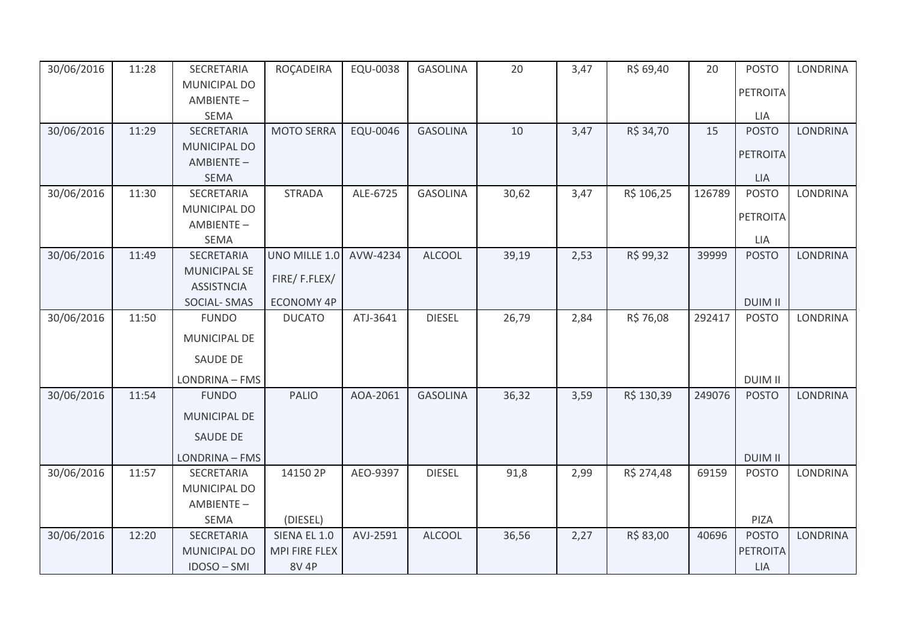| 30/06/2016 | 11:28 | SECRETARIA                 | ROÇADEIRA         | EQU-0038 | <b>GASOLINA</b> | 20    | 3,47 | R\$ 69,40  | 20     | <b>POSTO</b>    | <b>LONDRINA</b> |
|------------|-------|----------------------------|-------------------|----------|-----------------|-------|------|------------|--------|-----------------|-----------------|
|            |       | MUNICIPAL DO               |                   |          |                 |       |      |            |        | <b>PETROITA</b> |                 |
|            |       | AMBIENTE-                  |                   |          |                 |       |      |            |        |                 |                 |
|            |       | <b>SEMA</b>                |                   |          |                 |       |      |            |        | LIA             |                 |
| 30/06/2016 | 11:29 | <b>SECRETARIA</b>          | <b>MOTO SERRA</b> | EQU-0046 | <b>GASOLINA</b> | 10    | 3,47 | R\$ 34,70  | 15     | <b>POSTO</b>    | <b>LONDRINA</b> |
|            |       | <b>MUNICIPAL DO</b>        |                   |          |                 |       |      |            |        | <b>PETROITA</b> |                 |
|            |       | AMBIENTE-                  |                   |          |                 |       |      |            |        |                 |                 |
|            |       | <b>SEMA</b>                |                   |          | <b>GASOLINA</b> |       |      |            | 126789 | <b>LIA</b>      | <b>LONDRINA</b> |
| 30/06/2016 | 11:30 | SECRETARIA<br>MUNICIPAL DO | <b>STRADA</b>     | ALE-6725 |                 | 30,62 | 3,47 | R\$ 106,25 |        | <b>POSTO</b>    |                 |
|            |       | AMBIENTE-                  |                   |          |                 |       |      |            |        | <b>PETROITA</b> |                 |
|            |       | <b>SEMA</b>                |                   |          |                 |       |      |            |        | LIA             |                 |
| 30/06/2016 | 11:49 | SECRETARIA                 | UNO MILLE 1.0     | AVW-4234 | <b>ALCOOL</b>   | 39,19 | 2,53 | R\$ 99,32  | 39999  | <b>POSTO</b>    | <b>LONDRINA</b> |
|            |       | <b>MUNICIPAL SE</b>        |                   |          |                 |       |      |            |        |                 |                 |
|            |       | <b>ASSISTNCIA</b>          | FIRE/F.FLEX/      |          |                 |       |      |            |        |                 |                 |
|            |       | <b>SOCIAL-SMAS</b>         | <b>ECONOMY 4P</b> |          |                 |       |      |            |        | <b>DUIM II</b>  |                 |
| 30/06/2016 | 11:50 | <b>FUNDO</b>               | <b>DUCATO</b>     | ATJ-3641 | <b>DIESEL</b>   | 26,79 | 2,84 | R\$ 76,08  | 292417 | <b>POSTO</b>    | <b>LONDRINA</b> |
|            |       | MUNICIPAL DE               |                   |          |                 |       |      |            |        |                 |                 |
|            |       |                            |                   |          |                 |       |      |            |        |                 |                 |
|            |       | <b>SAUDE DE</b>            |                   |          |                 |       |      |            |        |                 |                 |
|            |       | LONDRINA - FMS             |                   |          |                 |       |      |            |        | <b>DUIM II</b>  |                 |
| 30/06/2016 | 11:54 | <b>FUNDO</b>               | <b>PALIO</b>      | AOA-2061 | <b>GASOLINA</b> | 36,32 | 3,59 | R\$ 130,39 | 249076 | <b>POSTO</b>    | <b>LONDRINA</b> |
|            |       | MUNICIPAL DE               |                   |          |                 |       |      |            |        |                 |                 |
|            |       | <b>SAUDE DE</b>            |                   |          |                 |       |      |            |        |                 |                 |
|            |       | LONDRINA - FMS             |                   |          |                 |       |      |            |        | <b>DUIM II</b>  |                 |
| 30/06/2016 | 11:57 | SECRETARIA                 | 14150 2P          | AEO-9397 | <b>DIESEL</b>   | 91,8  | 2,99 | R\$ 274,48 | 69159  | <b>POSTO</b>    | <b>LONDRINA</b> |
|            |       | MUNICIPAL DO               |                   |          |                 |       |      |            |        |                 |                 |
|            |       | AMBIENTE-                  |                   |          |                 |       |      |            |        |                 |                 |
|            |       | <b>SEMA</b>                | (DIESEL)          |          |                 |       |      |            |        | PIZA            |                 |
| 30/06/2016 | 12:20 | SECRETARIA                 | SIENA EL 1.0      | AVJ-2591 | <b>ALCOOL</b>   | 36,56 | 2,27 | R\$83,00   | 40696  | <b>POSTO</b>    | <b>LONDRINA</b> |
|            |       | <b>MUNICIPAL DO</b>        | MPI FIRE FLEX     |          |                 |       |      |            |        | <b>PETROITA</b> |                 |
|            |       | IDOSO-SMI                  | <b>8V 4P</b>      |          |                 |       |      |            |        | <b>LIA</b>      |                 |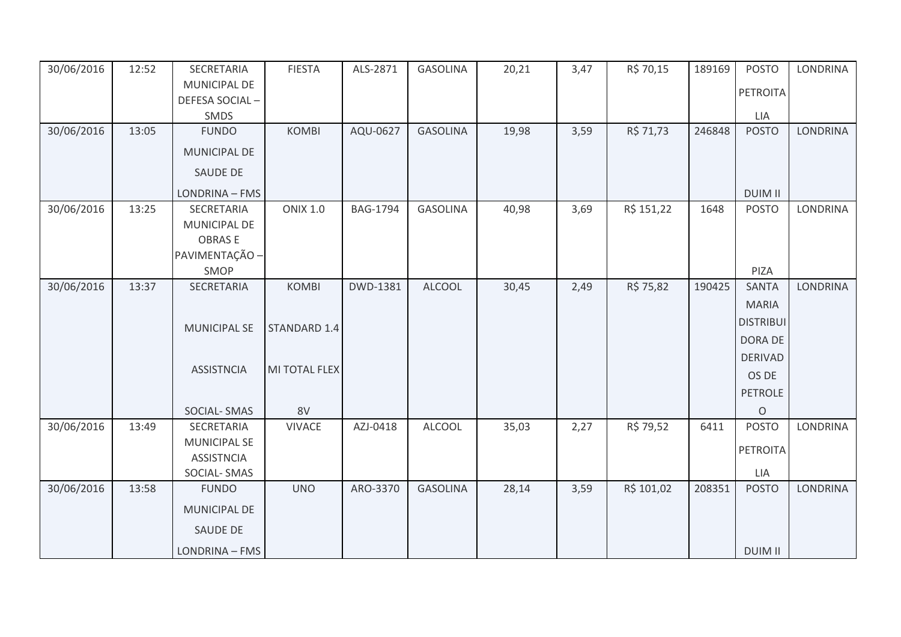| 30/06/2016 | 12:52 | SECRETARIA          | <b>FIESTA</b>   | ALS-2871        | <b>GASOLINA</b> | 20,21 | 3,47 | R\$ 70,15  | 189169 | <b>POSTO</b>     | <b>LONDRINA</b> |
|------------|-------|---------------------|-----------------|-----------------|-----------------|-------|------|------------|--------|------------------|-----------------|
|            |       | MUNICIPAL DE        |                 |                 |                 |       |      |            |        | PETROITA         |                 |
|            |       | DEFESA SOCIAL-      |                 |                 |                 |       |      |            |        |                  |                 |
|            |       | SMDS                |                 |                 |                 |       |      |            |        | LIA              |                 |
| 30/06/2016 | 13:05 | <b>FUNDO</b>        | <b>KOMBI</b>    | AQU-0627        | <b>GASOLINA</b> | 19,98 | 3,59 | R\$ 71,73  | 246848 | <b>POSTO</b>     | <b>LONDRINA</b> |
|            |       | MUNICIPAL DE        |                 |                 |                 |       |      |            |        |                  |                 |
|            |       | SAUDE DE            |                 |                 |                 |       |      |            |        |                  |                 |
|            |       | LONDRINA - FMS      |                 |                 |                 |       |      |            |        | <b>DUIM II</b>   |                 |
| 30/06/2016 | 13:25 | SECRETARIA          | <b>ONIX 1.0</b> | <b>BAG-1794</b> | <b>GASOLINA</b> | 40,98 | 3,69 | R\$ 151,22 | 1648   | <b>POSTO</b>     | <b>LONDRINA</b> |
|            |       | MUNICIPAL DE        |                 |                 |                 |       |      |            |        |                  |                 |
|            |       | <b>OBRASE</b>       |                 |                 |                 |       |      |            |        |                  |                 |
|            |       | PAVIMENTAÇÃO -      |                 |                 |                 |       |      |            |        |                  |                 |
|            |       | SMOP                |                 |                 |                 |       |      |            |        | PIZA             |                 |
| 30/06/2016 | 13:37 | SECRETARIA          | <b>KOMBI</b>    | DWD-1381        | <b>ALCOOL</b>   | 30,45 | 2,49 | R\$ 75,82  | 190425 | <b>SANTA</b>     | <b>LONDRINA</b> |
|            |       |                     |                 |                 |                 |       |      |            |        | <b>MARIA</b>     |                 |
|            |       |                     |                 |                 |                 |       |      |            |        | <b>DISTRIBUI</b> |                 |
|            |       | <b>MUNICIPAL SE</b> | STANDARD 1.4    |                 |                 |       |      |            |        | DORA DE          |                 |
|            |       |                     |                 |                 |                 |       |      |            |        | <b>DERIVAD</b>   |                 |
|            |       | <b>ASSISTNCIA</b>   | MI TOTAL FLEX   |                 |                 |       |      |            |        | OS DE            |                 |
|            |       |                     |                 |                 |                 |       |      |            |        |                  |                 |
|            |       |                     |                 |                 |                 |       |      |            |        | PETROLE          |                 |
|            |       | SOCIAL-SMAS         | 8V              |                 |                 |       |      |            |        | $\circ$          |                 |
| 30/06/2016 | 13:49 | SECRETARIA          | <b>VIVACE</b>   | AZJ-0418        | <b>ALCOOL</b>   | 35,03 | 2,27 | R\$ 79,52  | 6411   | <b>POSTO</b>     | LONDRINA        |
|            |       | <b>MUNICIPAL SE</b> |                 |                 |                 |       |      |            |        | PETROITA         |                 |
|            |       | <b>ASSISTNCIA</b>   |                 |                 |                 |       |      |            |        |                  |                 |
|            |       | SOCIAL-SMAS         |                 |                 |                 |       |      |            |        | LIA              |                 |
| 30/06/2016 | 13:58 | <b>FUNDO</b>        | <b>UNO</b>      | ARO-3370        | <b>GASOLINA</b> | 28,14 | 3,59 | R\$ 101,02 | 208351 | <b>POSTO</b>     | <b>LONDRINA</b> |
|            |       | MUNICIPAL DE        |                 |                 |                 |       |      |            |        |                  |                 |
|            |       | SAUDE DE            |                 |                 |                 |       |      |            |        |                  |                 |
|            |       | LONDRINA - FMS      |                 |                 |                 |       |      |            |        | <b>DUIM II</b>   |                 |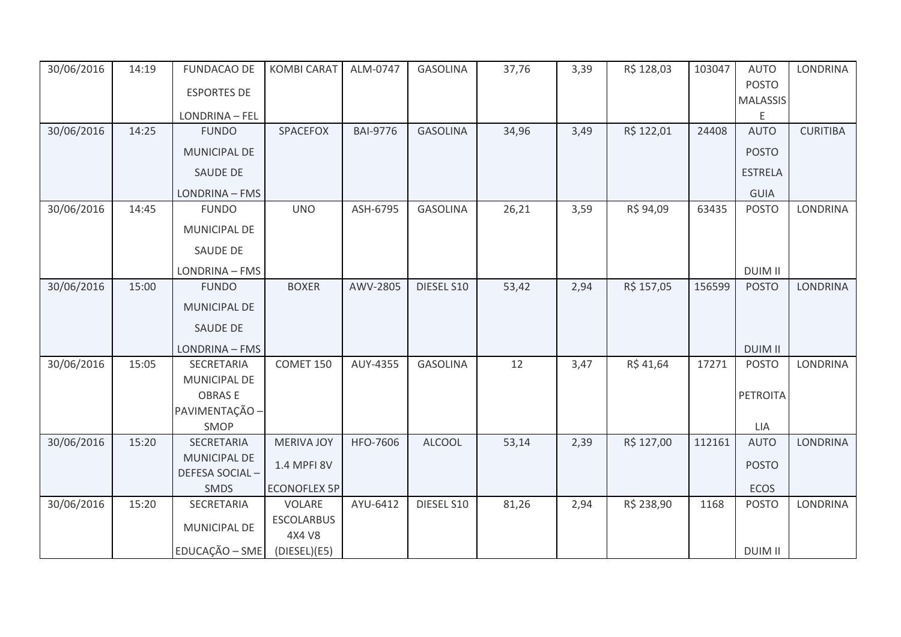| 30/06/2016 | 14:19 | <b>FUNDACAO DE</b>  | <b>KOMBI CARAT</b>          | ALM-0747        | <b>GASOLINA</b> | 37,76 | 3,39 | R\$ 128,03 | 103047 | <b>AUTO</b>     | <b>LONDRINA</b> |
|------------|-------|---------------------|-----------------------------|-----------------|-----------------|-------|------|------------|--------|-----------------|-----------------|
|            |       | <b>ESPORTES DE</b>  |                             |                 |                 |       |      |            |        | <b>POSTO</b>    |                 |
|            |       |                     |                             |                 |                 |       |      |            |        | <b>MALASSIS</b> |                 |
|            |       | LONDRINA - FEL      |                             |                 |                 |       |      |            |        | Ε               |                 |
| 30/06/2016 | 14:25 | <b>FUNDO</b>        | SPACEFOX                    | <b>BAI-9776</b> | <b>GASOLINA</b> | 34,96 | 3,49 | R\$ 122,01 | 24408  | <b>AUTO</b>     | <b>CURITIBA</b> |
|            |       | MUNICIPAL DE        |                             |                 |                 |       |      |            |        | <b>POSTO</b>    |                 |
|            |       | <b>SAUDE DE</b>     |                             |                 |                 |       |      |            |        | <b>ESTRELA</b>  |                 |
|            |       | LONDRINA - FMS      |                             |                 |                 |       |      |            |        | GUIA            |                 |
| 30/06/2016 | 14:45 | <b>FUNDO</b>        | <b>UNO</b>                  | ASH-6795        | <b>GASOLINA</b> | 26,21 | 3,59 | R\$ 94,09  | 63435  | <b>POSTO</b>    | <b>LONDRINA</b> |
|            |       | MUNICIPAL DE        |                             |                 |                 |       |      |            |        |                 |                 |
|            |       | <b>SAUDE DE</b>     |                             |                 |                 |       |      |            |        |                 |                 |
|            |       | LONDRINA - FMS      |                             |                 |                 |       |      |            |        | <b>DUIM II</b>  |                 |
| 30/06/2016 | 15:00 | <b>FUNDO</b>        | <b>BOXER</b>                | AWV-2805        | DIESEL S10      | 53,42 | 2,94 | R\$ 157,05 | 156599 | <b>POSTO</b>    | <b>LONDRINA</b> |
|            |       | <b>MUNICIPAL DE</b> |                             |                 |                 |       |      |            |        |                 |                 |
|            |       | <b>SAUDE DE</b>     |                             |                 |                 |       |      |            |        |                 |                 |
|            |       | LONDRINA - FMS      |                             |                 |                 |       |      |            |        | <b>DUIM II</b>  |                 |
| 30/06/2016 | 15:05 | SECRETARIA          | COMET 150                   | AUY-4355        | <b>GASOLINA</b> | 12    | 3,47 | R\$41,64   | 17271  | <b>POSTO</b>    | <b>LONDRINA</b> |
|            |       | MUNICIPAL DE        |                             |                 |                 |       |      |            |        |                 |                 |
|            |       | <b>OBRASE</b>       |                             |                 |                 |       |      |            |        | PETROITA        |                 |
|            |       | PAVIMENTAÇÃO -      |                             |                 |                 |       |      |            |        |                 |                 |
|            |       | SMOP                |                             |                 |                 |       |      |            |        | LIA             |                 |
| 30/06/2016 | 15:20 | SECRETARIA          | <b>MERIVA JOY</b>           | HFO-7606        | <b>ALCOOL</b>   | 53,14 | 2,39 | R\$ 127,00 | 112161 | <b>AUTO</b>     | <b>LONDRINA</b> |
|            |       | <b>MUNICIPAL DE</b> | 1.4 MPFI 8V                 |                 |                 |       |      |            |        | <b>POSTO</b>    |                 |
|            |       | DEFESA SOCIAL-      |                             |                 |                 |       |      |            |        |                 |                 |
|            |       | SMDS                | <b>ECONOFLEX 5P</b>         |                 |                 |       |      |            |        | ECOS            |                 |
| 30/06/2016 | 15:20 | SECRETARIA          | VOLARE                      | AYU-6412        | DIESEL S10      | 81,26 | 2,94 | R\$ 238,90 | 1168   | <b>POSTO</b>    | <b>LONDRINA</b> |
|            |       | MUNICIPAL DE        | <b>ESCOLARBUS</b><br>4X4 V8 |                 |                 |       |      |            |        |                 |                 |
|            |       | EDUCAÇÃO - SME      | (DIESEL)(E5)                |                 |                 |       |      |            |        | <b>DUIM II</b>  |                 |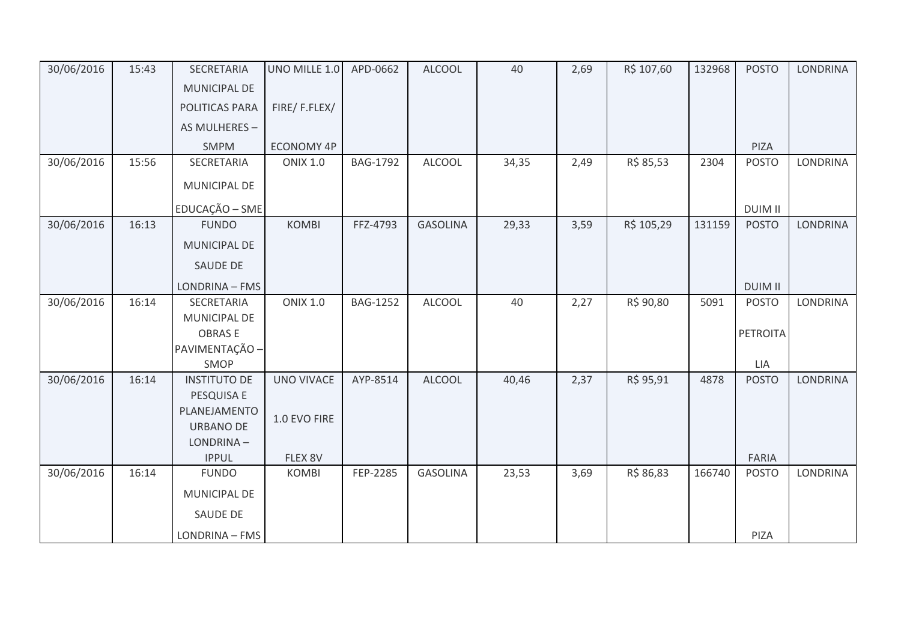| 30/06/2016 | 15:43 | <b>SECRETARIA</b>               | UNO MILLE 1.0     | APD-0662        | <b>ALCOOL</b>   | 40    | 2,69 | R\$ 107,60 | 132968 | <b>POSTO</b>    | <b>LONDRINA</b> |
|------------|-------|---------------------------------|-------------------|-----------------|-----------------|-------|------|------------|--------|-----------------|-----------------|
|            |       | MUNICIPAL DE                    |                   |                 |                 |       |      |            |        |                 |                 |
|            |       | POLITICAS PARA                  | FIRE/F.FLEX/      |                 |                 |       |      |            |        |                 |                 |
|            |       | AS MULHERES -                   |                   |                 |                 |       |      |            |        |                 |                 |
|            |       | <b>SMPM</b>                     | <b>ECONOMY 4P</b> |                 |                 |       |      |            |        | PIZA            |                 |
| 30/06/2016 | 15:56 | SECRETARIA                      | <b>ONIX 1.0</b>   | <b>BAG-1792</b> | <b>ALCOOL</b>   | 34,35 | 2,49 | R\$ 85,53  | 2304   | <b>POSTO</b>    | <b>LONDRINA</b> |
|            |       | MUNICIPAL DE                    |                   |                 |                 |       |      |            |        |                 |                 |
|            |       | EDUCAÇÃO - SME                  |                   |                 |                 |       |      |            |        | <b>DUIM II</b>  |                 |
| 30/06/2016 | 16:13 | <b>FUNDO</b>                    | <b>KOMBI</b>      | FFZ-4793        | <b>GASOLINA</b> | 29,33 | 3,59 | R\$ 105,29 | 131159 | <b>POSTO</b>    | <b>LONDRINA</b> |
|            |       | <b>MUNICIPAL DE</b>             |                   |                 |                 |       |      |            |        |                 |                 |
|            |       | SAUDE DE                        |                   |                 |                 |       |      |            |        |                 |                 |
|            |       | LONDRINA - FMS                  |                   |                 |                 |       |      |            |        | <b>DUIM II</b>  |                 |
| 30/06/2016 | 16:14 | <b>SECRETARIA</b>               | <b>ONIX 1.0</b>   | <b>BAG-1252</b> | <b>ALCOOL</b>   | 40    | 2,27 | R\$ 90,80  | 5091   | <b>POSTO</b>    | <b>LONDRINA</b> |
|            |       | MUNICIPAL DE                    |                   |                 |                 |       |      |            |        |                 |                 |
|            |       | <b>OBRASE</b><br>PAVIMENTAÇÃO - |                   |                 |                 |       |      |            |        | <b>PETROITA</b> |                 |
|            |       | SMOP                            |                   |                 |                 |       |      |            |        | LIA             |                 |
| 30/06/2016 | 16:14 | <b>INSTITUTO DE</b>             | <b>UNO VIVACE</b> | AYP-8514        | <b>ALCOOL</b>   | 40,46 | 2,37 | R\$ 95,91  | 4878   | <b>POSTO</b>    | <b>LONDRINA</b> |
|            |       | PESQUISA E                      |                   |                 |                 |       |      |            |        |                 |                 |
|            |       | PLANEJAMENTO                    | 1.0 EVO FIRE      |                 |                 |       |      |            |        |                 |                 |
|            |       | <b>URBANO DE</b>                |                   |                 |                 |       |      |            |        |                 |                 |
|            |       | LONDRINA-                       |                   |                 |                 |       |      |            |        |                 |                 |
|            |       | <b>IPPUL</b>                    | FLEX 8V           |                 |                 |       |      |            |        | FARIA           |                 |
| 30/06/2016 | 16:14 | <b>FUNDO</b>                    | <b>KOMBI</b>      | FEP-2285        | <b>GASOLINA</b> | 23,53 | 3,69 | R\$ 86,83  | 166740 | <b>POSTO</b>    | <b>LONDRINA</b> |
|            |       | MUNICIPAL DE                    |                   |                 |                 |       |      |            |        |                 |                 |
|            |       | SAUDE DE                        |                   |                 |                 |       |      |            |        |                 |                 |
|            |       | LONDRINA - FMS                  |                   |                 |                 |       |      |            |        | <b>PIZA</b>     |                 |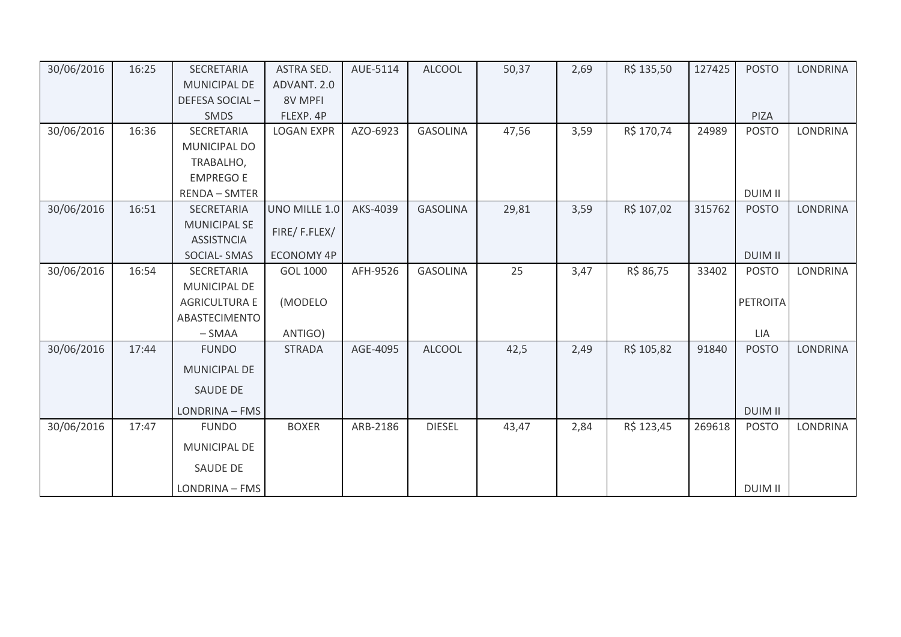| 30/06/2016 | 16:25 | SECRETARIA           | <b>ASTRA SED.</b> | AUE-5114 | <b>ALCOOL</b>   | 50,37 | 2,69 | R\$ 135,50 | 127425 | <b>POSTO</b>   | <b>LONDRINA</b> |
|------------|-------|----------------------|-------------------|----------|-----------------|-------|------|------------|--------|----------------|-----------------|
|            |       | <b>MUNICIPAL DE</b>  | ADVANT. 2.0       |          |                 |       |      |            |        |                |                 |
|            |       | DEFESA SOCIAL-       | 8V MPFI           |          |                 |       |      |            |        |                |                 |
|            |       | <b>SMDS</b>          | FLEXP. 4P         |          |                 |       |      |            |        | PIZA           |                 |
| 30/06/2016 | 16:36 | <b>SECRETARIA</b>    | <b>LOGAN EXPR</b> | AZO-6923 | <b>GASOLINA</b> | 47,56 | 3,59 | R\$ 170,74 | 24989  | <b>POSTO</b>   | <b>LONDRINA</b> |
|            |       | MUNICIPAL DO         |                   |          |                 |       |      |            |        |                |                 |
|            |       | TRABALHO,            |                   |          |                 |       |      |            |        |                |                 |
|            |       | <b>EMPREGO E</b>     |                   |          |                 |       |      |            |        |                |                 |
|            |       | <b>RENDA - SMTER</b> |                   |          |                 |       |      |            |        | <b>DUIM II</b> |                 |
| 30/06/2016 | 16:51 | SECRETARIA           | UNO MILLE 1.0     | AKS-4039 | <b>GASOLINA</b> | 29,81 | 3,59 | R\$ 107,02 | 315762 | <b>POSTO</b>   | <b>LONDRINA</b> |
|            |       | <b>MUNICIPAL SE</b>  | FIRE/F.FLEX/      |          |                 |       |      |            |        |                |                 |
|            |       | <b>ASSISTNCIA</b>    |                   |          |                 |       |      |            |        |                |                 |
|            |       | <b>SOCIAL-SMAS</b>   | <b>ECONOMY 4P</b> |          |                 |       |      |            |        | <b>DUIM II</b> |                 |
| 30/06/2016 | 16:54 | SECRETARIA           | GOL 1000          | AFH-9526 | <b>GASOLINA</b> | 25    | 3,47 | R\$ 86,75  | 33402  | <b>POSTO</b>   | <b>LONDRINA</b> |
|            |       | MUNICIPAL DE         |                   |          |                 |       |      |            |        |                |                 |
|            |       | <b>AGRICULTURA E</b> | (MODELO           |          |                 |       |      |            |        | PETROITA       |                 |
|            |       | ABASTECIMENTO        |                   |          |                 |       |      |            |        |                |                 |
|            |       | $-SMAA$              | ANTIGO)           |          |                 |       |      |            |        | LIA            |                 |
| 30/06/2016 | 17:44 | <b>FUNDO</b>         | <b>STRADA</b>     | AGE-4095 | <b>ALCOOL</b>   | 42,5  | 2,49 | R\$ 105,82 | 91840  | <b>POSTO</b>   | LONDRINA        |
|            |       | <b>MUNICIPAL DE</b>  |                   |          |                 |       |      |            |        |                |                 |
|            |       | <b>SAUDE DE</b>      |                   |          |                 |       |      |            |        |                |                 |
|            |       | LONDRINA - FMS       |                   |          |                 |       |      |            |        | <b>DUIM II</b> |                 |
| 30/06/2016 | 17:47 | <b>FUNDO</b>         | <b>BOXER</b>      | ARB-2186 | <b>DIESEL</b>   | 43,47 | 2,84 | R\$ 123,45 | 269618 | <b>POSTO</b>   | <b>LONDRINA</b> |
|            |       | MUNICIPAL DE         |                   |          |                 |       |      |            |        |                |                 |
|            |       | SAUDE DE             |                   |          |                 |       |      |            |        |                |                 |
|            |       | LONDRINA - FMS       |                   |          |                 |       |      |            |        | <b>DUIM II</b> |                 |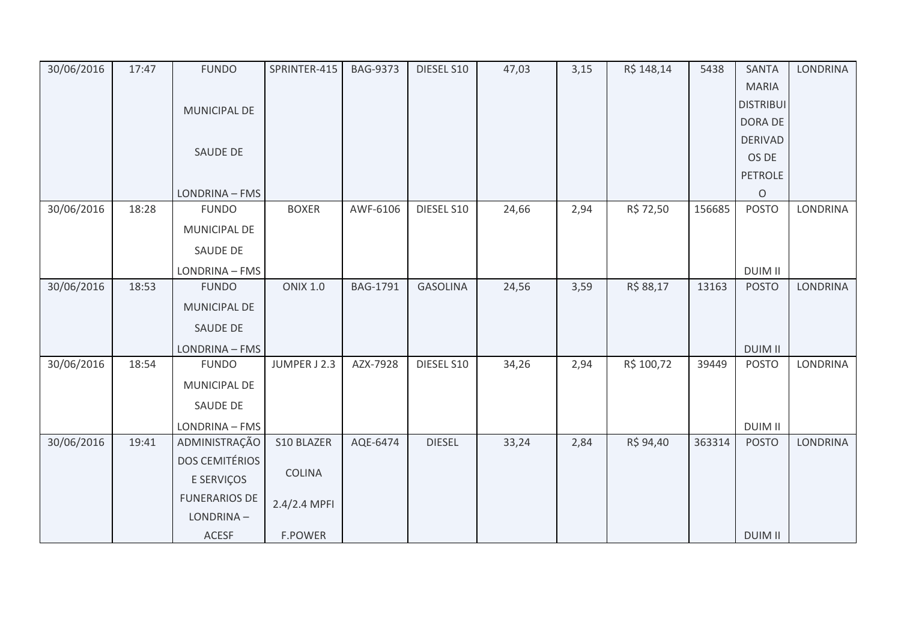| 30/06/2016 | 17:47 | <b>FUNDO</b>          | SPRINTER-415    | <b>BAG-9373</b> | DIESEL S10      | 47,03 | 3,15 | R\$ 148,14 | 5438   | SANTA            | <b>LONDRINA</b> |
|------------|-------|-----------------------|-----------------|-----------------|-----------------|-------|------|------------|--------|------------------|-----------------|
|            |       |                       |                 |                 |                 |       |      |            |        | <b>MARIA</b>     |                 |
|            |       | MUNICIPAL DE          |                 |                 |                 |       |      |            |        | <b>DISTRIBUI</b> |                 |
|            |       |                       |                 |                 |                 |       |      |            |        | <b>DORA DE</b>   |                 |
|            |       |                       |                 |                 |                 |       |      |            |        | <b>DERIVAD</b>   |                 |
|            |       | SAUDE DE              |                 |                 |                 |       |      |            |        | OS DE            |                 |
|            |       |                       |                 |                 |                 |       |      |            |        | PETROLE          |                 |
|            |       | LONDRINA - FMS        |                 |                 |                 |       |      |            |        | $\circ$          |                 |
| 30/06/2016 | 18:28 | <b>FUNDO</b>          | <b>BOXER</b>    | AWF-6106        | DIESEL S10      | 24,66 | 2,94 | R\$ 72,50  | 156685 | <b>POSTO</b>     | <b>LONDRINA</b> |
|            |       | MUNICIPAL DE          |                 |                 |                 |       |      |            |        |                  |                 |
|            |       | SAUDE DE              |                 |                 |                 |       |      |            |        |                  |                 |
|            |       | LONDRINA - FMS        |                 |                 |                 |       |      |            |        | <b>DUIM II</b>   |                 |
| 30/06/2016 | 18:53 | <b>FUNDO</b>          | <b>ONIX 1.0</b> | <b>BAG-1791</b> | <b>GASOLINA</b> | 24,56 | 3,59 | R\$ 88,17  | 13163  | <b>POSTO</b>     | <b>LONDRINA</b> |
|            |       | MUNICIPAL DE          |                 |                 |                 |       |      |            |        |                  |                 |
|            |       | SAUDE DE              |                 |                 |                 |       |      |            |        |                  |                 |
|            |       | LONDRINA - FMS        |                 |                 |                 |       |      |            |        | <b>DUIM II</b>   |                 |
| 30/06/2016 | 18:54 | <b>FUNDO</b>          | JUMPER J 2.3    | AZX-7928        | DIESEL S10      | 34,26 | 2,94 | R\$ 100,72 | 39449  | <b>POSTO</b>     | LONDRINA        |
|            |       | MUNICIPAL DE          |                 |                 |                 |       |      |            |        |                  |                 |
|            |       | SAUDE DE              |                 |                 |                 |       |      |            |        |                  |                 |
|            |       | LONDRINA - FMS        |                 |                 |                 |       |      |            |        | <b>DUIM II</b>   |                 |
| 30/06/2016 | 19:41 | ADMINISTRAÇÃO         | S10 BLAZER      | AQE-6474        | <b>DIESEL</b>   | 33,24 | 2,84 | R\$ 94,40  | 363314 | <b>POSTO</b>     | <b>LONDRINA</b> |
|            |       | <b>DOS CEMITÉRIOS</b> |                 |                 |                 |       |      |            |        |                  |                 |
|            |       | E SERVIÇOS            | <b>COLINA</b>   |                 |                 |       |      |            |        |                  |                 |
|            |       | <b>FUNERARIOS DE</b>  | 2.4/2.4 MPFI    |                 |                 |       |      |            |        |                  |                 |
|            |       | LONDRINA-             |                 |                 |                 |       |      |            |        |                  |                 |
|            |       | <b>ACESF</b>          | <b>F.POWER</b>  |                 |                 |       |      |            |        | <b>DUIM II</b>   |                 |